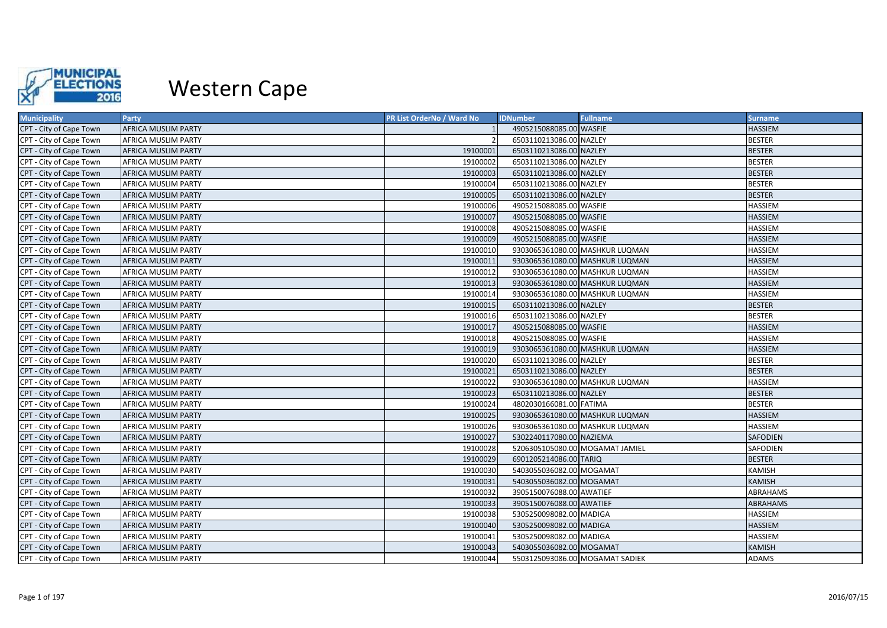

| <b>Municipality</b>     | Party                      | <b>PR List OrderNo / Ward No</b> | <b>IDNumber</b>                 | <b>Fullname</b>                 | <b>Surname</b>  |
|-------------------------|----------------------------|----------------------------------|---------------------------------|---------------------------------|-----------------|
| CPT - City of Cape Town | AFRICA MUSLIM PARTY        |                                  | 4905215088085.00 WASFIE         |                                 | <b>HASSIEM</b>  |
| CPT - City of Cape Town | AFRICA MUSLIM PARTY        |                                  | 6503110213086.00 NAZLEY         |                                 | <b>BESTER</b>   |
| CPT - City of Cape Town | AFRICA MUSLIM PARTY        | 19100001                         | 6503110213086.00 NAZLEY         |                                 | <b>BESTER</b>   |
| CPT - City of Cape Town | AFRICA MUSLIM PARTY        | 19100002                         | 6503110213086.00 NAZLEY         |                                 | <b>BESTER</b>   |
| CPT - City of Cape Town | <b>AFRICA MUSLIM PARTY</b> | 19100003                         | 6503110213086.00 NAZLEY         |                                 | <b>BESTER</b>   |
| CPT - City of Cape Town | AFRICA MUSLIM PARTY        | 19100004                         | 6503110213086.00 NAZLEY         |                                 | <b>BESTER</b>   |
| CPT - City of Cape Town | AFRICA MUSLIM PARTY        | 19100005                         | 6503110213086.00 NAZLEY         |                                 | <b>BESTER</b>   |
| CPT - City of Cape Town | AFRICA MUSLIM PARTY        | 19100006                         | 4905215088085.00 WASFIE         |                                 | <b>HASSIEM</b>  |
| CPT - City of Cape Town | AFRICA MUSLIM PARTY        | 19100007                         | 4905215088085.00 WASFIE         |                                 | <b>HASSIEM</b>  |
| CPT - City of Cape Town | AFRICA MUSLIM PARTY        | 19100008                         | 4905215088085.00 WASFIE         |                                 | <b>HASSIEM</b>  |
| CPT - City of Cape Town | <b>AFRICA MUSLIM PARTY</b> | 19100009                         | 4905215088085.00 WASFIE         |                                 | <b>HASSIEM</b>  |
| CPT - City of Cape Town | AFRICA MUSLIM PARTY        | 19100010                         |                                 | 9303065361080.00 MASHKUR LUQMAN | <b>HASSIEM</b>  |
| CPT - City of Cape Town | AFRICA MUSLIM PARTY        | 19100011                         |                                 | 9303065361080.00 MASHKUR LUQMAN | <b>HASSIEM</b>  |
| CPT - City of Cape Town | AFRICA MUSLIM PARTY        | 19100012                         |                                 | 9303065361080.00 MASHKUR LUQMAN | <b>HASSIEM</b>  |
| CPT - City of Cape Town | AFRICA MUSLIM PARTY        | 19100013                         |                                 | 9303065361080.00 MASHKUR LUQMAN | <b>HASSIEM</b>  |
| CPT - City of Cape Town | AFRICA MUSLIM PARTY        | 19100014                         |                                 | 9303065361080.00 MASHKUR LUQMAN | <b>HASSIEM</b>  |
| CPT - City of Cape Town | <b>AFRICA MUSLIM PARTY</b> | 19100015                         | 6503110213086.00 NAZLEY         |                                 | <b>BESTER</b>   |
| CPT - City of Cape Town | AFRICA MUSLIM PARTY        | 19100016                         | 6503110213086.00 NAZLEY         |                                 | <b>BESTER</b>   |
| CPT - City of Cape Town | <b>AFRICA MUSLIM PARTY</b> | 19100017                         | 4905215088085.00 WASFIE         |                                 | <b>HASSIEM</b>  |
| CPT - City of Cape Town | AFRICA MUSLIM PARTY        | 19100018                         | 4905215088085.00 WASFIE         |                                 | <b>HASSIEM</b>  |
| CPT - City of Cape Town | AFRICA MUSLIM PARTY        | 19100019                         |                                 | 9303065361080.00 MASHKUR LUQMAN | <b>HASSIEM</b>  |
| CPT - City of Cape Town | AFRICA MUSLIM PARTY        | 19100020                         | 6503110213086.00 NAZLEY         |                                 | <b>BESTER</b>   |
| CPT - City of Cape Town | AFRICA MUSLIM PARTY        | 19100021                         | 6503110213086.00 NAZLEY         |                                 | <b>BESTER</b>   |
| CPT - City of Cape Town | AFRICA MUSLIM PARTY        | 19100022                         |                                 | 9303065361080.00 MASHKUR LUQMAN | <b>HASSIEM</b>  |
| CPT - City of Cape Town | AFRICA MUSLIM PARTY        | 19100023                         | 6503110213086.00 NAZLEY         |                                 | <b>BESTER</b>   |
| CPT - City of Cape Town | AFRICA MUSLIM PARTY        | 19100024                         | 4802030166081.00 FATIMA         |                                 | <b>BESTER</b>   |
| CPT - City of Cape Town | <b>AFRICA MUSLIM PARTY</b> | 19100025                         |                                 | 9303065361080.00 MASHKUR LUQMAN | <b>HASSIEM</b>  |
| CPT - City of Cape Town | AFRICA MUSLIM PARTY        | 19100026                         |                                 | 9303065361080.00 MASHKUR LUQMAN | <b>HASSIEM</b>  |
| CPT - City of Cape Town | <b>AFRICA MUSLIM PARTY</b> | 19100027                         | 5302240117080.00 NAZIEMA        |                                 | <b>SAFODIEN</b> |
| CPT - City of Cape Town | AFRICA MUSLIM PARTY        | 19100028                         | 5206305105080.00 MOGAMAT JAMIEL |                                 | SAFODIEN        |
| CPT - City of Cape Town | AFRICA MUSLIM PARTY        | 19100029                         | 6901205214086.00 TARIQ          |                                 | <b>BESTER</b>   |
| CPT - City of Cape Town | AFRICA MUSLIM PARTY        | 19100030                         | 5403055036082.00 MOGAMAT        |                                 | <b>KAMISH</b>   |
| CPT - City of Cape Town | AFRICA MUSLIM PARTY        | 19100031                         | 5403055036082.00 MOGAMAT        |                                 | <b>KAMISH</b>   |
| CPT - City of Cape Town | AFRICA MUSLIM PARTY        | 19100032                         | 3905150076088.00 AWATIEF        |                                 | ABRAHAMS        |
| CPT - City of Cape Town | AFRICA MUSLIM PARTY        | 19100033                         | 3905150076088.00 AWATIEF        |                                 | <b>ABRAHAMS</b> |
| CPT - City of Cape Town | AFRICA MUSLIM PARTY        | 19100038                         | 5305250098082.00 MADIGA         |                                 | <b>HASSIEM</b>  |
| CPT - City of Cape Town | AFRICA MUSLIM PARTY        | 19100040                         | 5305250098082.00 MADIGA         |                                 | <b>HASSIEM</b>  |
| CPT - City of Cape Town | AFRICA MUSLIM PARTY        | 19100041                         | 5305250098082.00 MADIGA         |                                 | <b>HASSIEM</b>  |
| CPT - City of Cape Town | AFRICA MUSLIM PARTY        | 19100043                         | 5403055036082.00 MOGAMAT        |                                 | <b>KAMISH</b>   |
| CPT - City of Cape Town | AFRICA MUSLIM PARTY        | 19100044                         | 5503125093086.00 MOGAMAT SADIEK |                                 | <b>ADAMS</b>    |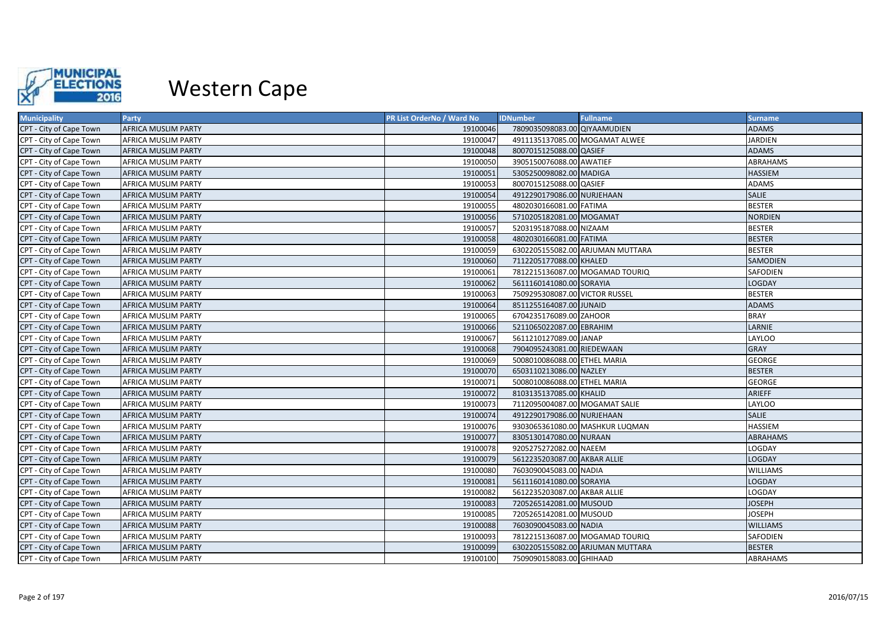

| <b>Municipality</b>     | Party                      | <b>PR List OrderNo / Ward No</b> | <b>IDNumber</b><br><b>Fullname</b> | <b>Surname</b>  |
|-------------------------|----------------------------|----------------------------------|------------------------------------|-----------------|
| CPT - City of Cape Town | AFRICA MUSLIM PARTY        | 19100046                         | 7809035098083.00 QIYAAMUDIEN       | <b>ADAMS</b>    |
| CPT - City of Cape Town | AFRICA MUSLIM PARTY        | 19100047                         | 4911135137085.00 MOGAMAT ALWEE     | <b>JARDIEN</b>  |
| CPT - City of Cape Town | AFRICA MUSLIM PARTY        | 19100048                         | 8007015125088.00 QASIEF            | <b>ADAMS</b>    |
| CPT - City of Cape Town | AFRICA MUSLIM PARTY        | 19100050                         | 3905150076088.00 AWATIEF           | ABRAHAMS        |
| CPT - City of Cape Town | <b>AFRICA MUSLIM PARTY</b> | 19100051                         | 5305250098082.00 MADIGA            | HASSIEM         |
| CPT - City of Cape Town | AFRICA MUSLIM PARTY        | 19100053                         | 8007015125088.00 QASIEF            | ADAMS           |
| CPT - City of Cape Town | AFRICA MUSLIM PARTY        | 19100054                         | 4912290179086.00 NURJEHAAN         | <b>SALIE</b>    |
| CPT - City of Cape Town | AFRICA MUSLIM PARTY        | 19100055                         | 4802030166081.00 FATIMA            | <b>BESTER</b>   |
| CPT - City of Cape Town | AFRICA MUSLIM PARTY        | 19100056                         | 5710205182081.00 MOGAMAT           | <b>NORDIEN</b>  |
| CPT - City of Cape Town | AFRICA MUSLIM PARTY        | 19100057                         | 5203195187088.00 NIZAAM            | <b>BESTER</b>   |
| CPT - City of Cape Town | <b>AFRICA MUSLIM PARTY</b> | 19100058                         | 4802030166081.00 FATIMA            | <b>BESTER</b>   |
| CPT - City of Cape Town | AFRICA MUSLIM PARTY        | 19100059                         | 6302205155082.00 ARJUMAN MUTTARA   | <b>BESTER</b>   |
| CPT - City of Cape Town | AFRICA MUSLIM PARTY        | 19100060                         | 7112205177088.00 KHALED            | SAMODIEN        |
| CPT - City of Cape Town | AFRICA MUSLIM PARTY        | 19100061                         | 7812215136087.00 MOGAMAD TOURIQ    | SAFODIEN        |
| CPT - City of Cape Town | AFRICA MUSLIM PARTY        | 19100062                         | 5611160141080.00 SORAYIA           | LOGDAY          |
| CPT - City of Cape Town | AFRICA MUSLIM PARTY        | 19100063                         | 7509295308087.00 VICTOR RUSSEL     | <b>BESTER</b>   |
| CPT - City of Cape Town | <b>AFRICA MUSLIM PARTY</b> | 19100064                         | 8511255164087.00 JUNAID            | <b>ADAMS</b>    |
| CPT - City of Cape Town | AFRICA MUSLIM PARTY        | 19100065                         | 6704235176089.00 ZAHOOR            | <b>BRAY</b>     |
| CPT - City of Cape Town | AFRICA MUSLIM PARTY        | 19100066                         | 5211065022087.00 EBRAHIM           | LARNIE          |
| CPT - City of Cape Town | AFRICA MUSLIM PARTY        | 19100067                         | 5611210127089.00 JANAP             | <b>LAYLOO</b>   |
| CPT - City of Cape Town | AFRICA MUSLIM PARTY        | 19100068                         | 7904095243081.00 RIEDEWAAN         | GRAY            |
| CPT - City of Cape Town | <b>AFRICA MUSLIM PARTY</b> | 19100069                         | 5008010086088.00 ETHEL MARIA       | <b>GEORGE</b>   |
| CPT - City of Cape Town | <b>AFRICA MUSLIM PARTY</b> | 19100070                         | 6503110213086.00 NAZLEY            | <b>BESTER</b>   |
| CPT - City of Cape Town | AFRICA MUSLIM PARTY        | 19100071                         | 5008010086088.00 ETHEL MARIA       | <b>GEORGE</b>   |
| CPT - City of Cape Town | <b>AFRICA MUSLIM PARTY</b> | 19100072                         | 8103135137085.00 KHALID            | ARIEFF          |
| CPT - City of Cape Town | AFRICA MUSLIM PARTY        | 19100073                         | 7112095004087.00 MOGAMAT SALIE     | <b>LAYLOO</b>   |
| CPT - City of Cape Town | AFRICA MUSLIM PARTY        | 19100074                         | 4912290179086.00 NURJEHAAN         | <b>SALIE</b>    |
| CPT - City of Cape Town | AFRICA MUSLIM PARTY        | 19100076                         | 9303065361080.00 MASHKUR LUQMAN    | <b>HASSIEM</b>  |
| CPT - City of Cape Town | AFRICA MUSLIM PARTY        | 19100077                         | 8305130147080.00 NURAAN            | <b>ABRAHAMS</b> |
| CPT - City of Cape Town | AFRICA MUSLIM PARTY        | 19100078                         | 9205275272082.00 NAEEM             | LOGDAY          |
| CPT - City of Cape Town | AFRICA MUSLIM PARTY        | 19100079                         | 5612235203087.00 AKBAR ALLIE       | LOGDAY          |
| CPT - City of Cape Town | AFRICA MUSLIM PARTY        | 19100080                         | 7603090045083.00 NADIA             | <b>WILLIAMS</b> |
| CPT - City of Cape Town | AFRICA MUSLIM PARTY        | 19100081                         | 5611160141080.00 SORAYIA           | <b>LOGDAY</b>   |
| CPT - City of Cape Town | AFRICA MUSLIM PARTY        | 19100082                         | 5612235203087.00 AKBAR ALLIE       | LOGDAY          |
| CPT - City of Cape Town | AFRICA MUSLIM PARTY        | 19100083                         | 7205265142081.00 MUSOUD            | <b>JOSEPH</b>   |
| CPT - City of Cape Town | AFRICA MUSLIM PARTY        | 19100085                         | 7205265142081.00 MUSOUD            | <b>JOSEPH</b>   |
| CPT - City of Cape Town | AFRICA MUSLIM PARTY        | 19100088                         | 7603090045083.00 NADIA             | <b>WILLIAMS</b> |
| CPT - City of Cape Town | AFRICA MUSLIM PARTY        | 19100093                         | 7812215136087.00 MOGAMAD TOURIQ    | SAFODIEN        |
| CPT - City of Cape Town | <b>AFRICA MUSLIM PARTY</b> | 19100099                         | 6302205155082.00 ARJUMAN MUTTARA   | <b>BESTER</b>   |
| CPT - City of Cape Town | AFRICA MUSLIM PARTY        | 19100100                         | 7509090158083.00 GHIHAAD           | ABRAHAMS        |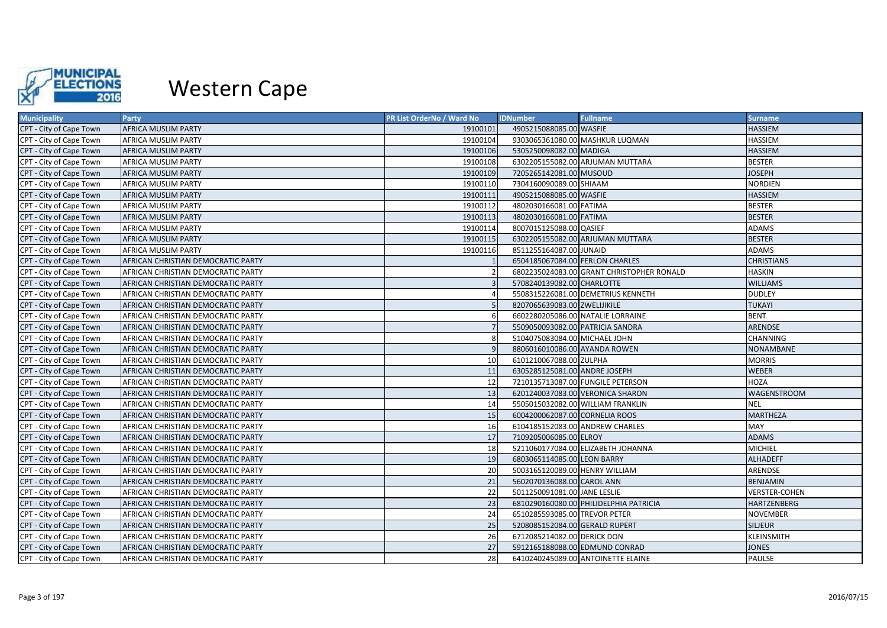

| <b>Municipality</b>     | Party                              | PR List OrderNo / Ward No | <b>IDNumber</b>                   | <b>Fullname</b>                           | <b>Surname</b>       |
|-------------------------|------------------------------------|---------------------------|-----------------------------------|-------------------------------------------|----------------------|
| CPT - City of Cape Town | AFRICA MUSLIM PARTY                | 19100101                  | 4905215088085.00 WASFIE           |                                           | <b>HASSIEM</b>       |
| CPT - City of Cape Town | AFRICA MUSLIM PARTY                | 19100104                  |                                   | 9303065361080.00 MASHKUR LUQMAN           | <b>HASSIEM</b>       |
| CPT - City of Cape Town | AFRICA MUSLIM PARTY                | 19100106                  | 5305250098082.00 MADIGA           |                                           | <b>HASSIEM</b>       |
| CPT - City of Cape Town | AFRICA MUSLIM PARTY                | 19100108                  |                                   | 6302205155082.00 ARJUMAN MUTTARA          | <b>BESTER</b>        |
| CPT - City of Cape Town | <b>AFRICA MUSLIM PARTY</b>         | 19100109                  | 7205265142081.00 MUSOUD           |                                           | <b>JOSEPH</b>        |
| CPT - City of Cape Town | AFRICA MUSLIM PARTY                | 19100110                  | 7304160090089.00 SHIAAM           |                                           | <b>NORDIEN</b>       |
| CPT - City of Cape Town | AFRICA MUSLIM PARTY                | 19100111                  | 4905215088085.00 WASFIE           |                                           | <b>HASSIEM</b>       |
| CPT - City of Cape Town | <b>AFRICA MUSLIM PARTY</b>         | 19100112                  | 4802030166081.00 FATIMA           |                                           | <b>BESTER</b>        |
| CPT - City of Cape Town | AFRICA MUSLIM PARTY                | 19100113                  | 4802030166081.00 FATIMA           |                                           | <b>BESTER</b>        |
| CPT - City of Cape Town | AFRICA MUSLIM PARTY                | 19100114                  | 8007015125088.00 QASIEF           |                                           | <b>ADAMS</b>         |
| CPT - City of Cape Town | <b>AFRICA MUSLIM PARTY</b>         | 19100115                  |                                   | 6302205155082.00 ARJUMAN MUTTARA          | <b>BESTER</b>        |
| CPT - City of Cape Town | AFRICA MUSLIM PARTY                | 19100116                  | 8511255164087.00 JUNAID           |                                           | <b>ADAMS</b>         |
| CPT - City of Cape Town | AFRICAN CHRISTIAN DEMOCRATIC PARTY |                           | 6504185067084.00 FERLON CHARLES   |                                           | <b>CHRISTIANS</b>    |
| CPT - City of Cape Town | AFRICAN CHRISTIAN DEMOCRATIC PARTY |                           |                                   | 6802235024083.00 GRANT CHRISTOPHER RONALD | <b>HASKIN</b>        |
| CPT - City of Cape Town | AFRICAN CHRISTIAN DEMOCRATIC PARTY |                           | 5708240139082.00 CHARLOTTE        |                                           | <b>WILLIAMS</b>      |
| CPT - City of Cape Town | AFRICAN CHRISTIAN DEMOCRATIC PARTY |                           |                                   | 5508315226081.00 DEMETRIUS KENNETH        | <b>DUDLEY</b>        |
| CPT - City of Cape Town | AFRICAN CHRISTIAN DEMOCRATIC PARTY |                           | 8207065639083.00 ZWELIJIKILE      |                                           | <b>TUKAYI</b>        |
| CPT - City of Cape Town | AFRICAN CHRISTIAN DEMOCRATIC PARTY |                           | 6602280205086.00 NATALIE LORRAINE |                                           | <b>BENT</b>          |
| CPT - City of Cape Town | AFRICAN CHRISTIAN DEMOCRATIC PARTY |                           | 5509050093082.00 PATRICIA SANDRA  |                                           | <b>ARENDSE</b>       |
| CPT - City of Cape Town | AFRICAN CHRISTIAN DEMOCRATIC PARTY |                           | 5104075083084.00 MICHAEL JOHN     |                                           | CHANNING             |
| CPT - City of Cape Town | AFRICAN CHRISTIAN DEMOCRATIC PARTY |                           | 8806016010086.00 AYANDA ROWEN     |                                           | NONAMBANE            |
| CPT - City of Cape Town | AFRICAN CHRISTIAN DEMOCRATIC PARTY | 10                        | 6101210067088.00 ZULPHA           |                                           | <b>MORRIS</b>        |
| CPT - City of Cape Town | AFRICAN CHRISTIAN DEMOCRATIC PARTY | 11                        | 6305285125081.00 ANDRE JOSEPH     |                                           | <b>WEBER</b>         |
| CPT - City of Cape Town | AFRICAN CHRISTIAN DEMOCRATIC PARTY | 12                        |                                   | 7210135713087.00 FUNGILE PETERSON         | <b>HOZA</b>          |
| CPT - City of Cape Town | AFRICAN CHRISTIAN DEMOCRATIC PARTY | 13                        |                                   | 6201240037083.00 VERONICA SHARON          | <b>WAGENSTROOM</b>   |
| CPT - City of Cape Town | AFRICAN CHRISTIAN DEMOCRATIC PARTY | 14                        |                                   | 5505015032082.00 WILLIAM FRANKLIN         | <b>NEL</b>           |
| CPT - City of Cape Town | AFRICAN CHRISTIAN DEMOCRATIC PARTY | 15                        | 6004200062087.00 CORNELIA ROOS    |                                           | <b>MARTHEZA</b>      |
| CPT - City of Cape Town | AFRICAN CHRISTIAN DEMOCRATIC PARTY | 16                        | 6104185152083.00 ANDREW CHARLES   |                                           | MAY                  |
| CPT - City of Cape Town | AFRICAN CHRISTIAN DEMOCRATIC PARTY | 17                        | 7109205006085.00 ELROY            |                                           | <b>ADAMS</b>         |
| CPT - City of Cape Town | AFRICAN CHRISTIAN DEMOCRATIC PARTY | 18                        |                                   | 5211060177084.00 ELIZABETH JOHANNA        | <b>MICHIEL</b>       |
| CPT - City of Cape Town | AFRICAN CHRISTIAN DEMOCRATIC PARTY | 19                        | 6803065114085.00 LEON BARRY       |                                           | <b>ALHADEFF</b>      |
| CPT - City of Cape Town | AFRICAN CHRISTIAN DEMOCRATIC PARTY | 20                        | 5003165120089.00 HENRY WILLIAM    |                                           | ARENDSE              |
| CPT - City of Cape Town | AFRICAN CHRISTIAN DEMOCRATIC PARTY | 21                        | 5602070136088.00 CAROL ANN        |                                           | <b>BENJAMIN</b>      |
| CPT - City of Cape Town | AFRICAN CHRISTIAN DEMOCRATIC PARTY | 22                        | 5011250091081.00 JANE LESLIE      |                                           | <b>VERSTER-COHEN</b> |
| CPT - City of Cape Town | AFRICAN CHRISTIAN DEMOCRATIC PARTY | 23                        |                                   | 6810290160080.00 PHILIDELPHIA PATRICIA    | <b>HARTZENBERG</b>   |
| CPT - City of Cape Town | AFRICAN CHRISTIAN DEMOCRATIC PARTY | 24                        | 6510285593085.00 TREVOR PETER     |                                           | <b>NOVEMBER</b>      |
| CPT - City of Cape Town | AFRICAN CHRISTIAN DEMOCRATIC PARTY | 25                        | 5208085152084.00 GERALD RUPERT    |                                           | <b>SILJEUR</b>       |
| CPT - City of Cape Town | AFRICAN CHRISTIAN DEMOCRATIC PARTY | 26                        | 6712085214082.00 DERICK DON       |                                           | KLEINSMITH           |
| CPT - City of Cape Town | AFRICAN CHRISTIAN DEMOCRATIC PARTY | 27                        | 5912165188088.00 EDMUND CONRAD    |                                           | <b>JONES</b>         |
| CPT - City of Cape Town | AFRICAN CHRISTIAN DEMOCRATIC PARTY | 28                        |                                   | 6410240245089.00 ANTOINETTE ELAINE        | PAULSE               |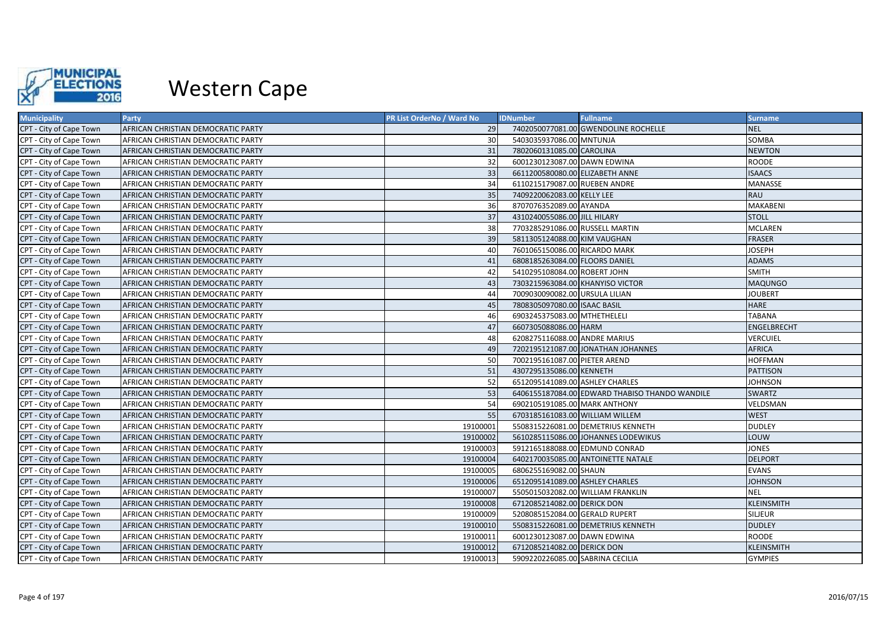

| <b>Municipality</b>     | Party                              | <b>PR List OrderNo / Ward No</b> | <b>IDNumber</b>                  | <b>Fullname</b>                                | <b>Surname</b>     |
|-------------------------|------------------------------------|----------------------------------|----------------------------------|------------------------------------------------|--------------------|
| CPT - City of Cape Town | AFRICAN CHRISTIAN DEMOCRATIC PARTY | 29                               |                                  | 7402050077081.00 GWENDOLINE ROCHELLE           | <b>NEL</b>         |
| CPT - City of Cape Town | AFRICAN CHRISTIAN DEMOCRATIC PARTY | 30                               | 5403035937086.00 MNTUNJA         |                                                | SOMBA              |
| CPT - City of Cape Town | AFRICAN CHRISTIAN DEMOCRATIC PARTY | 31                               | 7802060131085.00 CAROLINA        |                                                | <b>NEWTON</b>      |
| CPT - City of Cape Town | AFRICAN CHRISTIAN DEMOCRATIC PARTY | 32                               | 6001230123087.00 DAWN EDWINA     |                                                | <b>ROODE</b>       |
| CPT - City of Cape Town | AFRICAN CHRISTIAN DEMOCRATIC PARTY | 33                               | 6611200580080.00 ELIZABETH ANNE  |                                                | <b>ISAACS</b>      |
| CPT - City of Cape Town | AFRICAN CHRISTIAN DEMOCRATIC PARTY | 34                               | 6110215179087.00 RUEBEN ANDRE    |                                                | MANASSE            |
| CPT - City of Cape Town | AFRICAN CHRISTIAN DEMOCRATIC PARTY | 35                               | 7409220062083.00 KELLY LEE       |                                                | <b>RAU</b>         |
| CPT - City of Cape Town | AFRICAN CHRISTIAN DEMOCRATIC PARTY | 36                               | 8707076352089.00 AYANDA          |                                                | MAKABENI           |
| CPT - City of Cape Town | AFRICAN CHRISTIAN DEMOCRATIC PARTY | 37                               | 4310240055086.00 JILL HILARY     |                                                | <b>STOLL</b>       |
| CPT - City of Cape Town | AFRICAN CHRISTIAN DEMOCRATIC PARTY | 38                               | 7703285291086.00 RUSSELL MARTIN  |                                                | <b>MCLAREN</b>     |
| CPT - City of Cape Town | AFRICAN CHRISTIAN DEMOCRATIC PARTY | 39                               | 5811305124088.00 KIM VAUGHAN     |                                                | <b>FRASER</b>      |
| CPT - City of Cape Town | AFRICAN CHRISTIAN DEMOCRATIC PARTY | 40                               | 7601065150086.00 RICARDO MARK    |                                                | <b>JOSEPH</b>      |
| CPT - City of Cape Town | AFRICAN CHRISTIAN DEMOCRATIC PARTY | 41                               | 6808185263084.00 FLOORS DANIEL   |                                                | <b>ADAMS</b>       |
| CPT - City of Cape Town | AFRICAN CHRISTIAN DEMOCRATIC PARTY | 42                               | 5410295108084.00 ROBERT JOHN     |                                                | <b>SMITH</b>       |
| CPT - City of Cape Town | AFRICAN CHRISTIAN DEMOCRATIC PARTY | 43                               | 7303215963084.00 KHANYISO VICTOR |                                                | <b>MAQUNGO</b>     |
| CPT - City of Cape Town | AFRICAN CHRISTIAN DEMOCRATIC PARTY | 44                               | 7009030090082.00 URSULA LILIAN   |                                                | <b>JOUBERT</b>     |
| CPT - City of Cape Town | AFRICAN CHRISTIAN DEMOCRATIC PARTY | 45                               | 7808305097080.00 ISAAC BASIL     |                                                | <b>HARE</b>        |
| CPT - City of Cape Town | AFRICAN CHRISTIAN DEMOCRATIC PARTY | 46                               | 6903245375083.00 MTHETHELELI     |                                                | <b>TABANA</b>      |
| CPT - City of Cape Town | AFRICAN CHRISTIAN DEMOCRATIC PARTY | 47                               | 6607305088086.00 HARM            |                                                | <b>ENGELBRECHT</b> |
| CPT - City of Cape Town | AFRICAN CHRISTIAN DEMOCRATIC PARTY | 48                               | 6208275116088.00 ANDRE MARIUS    |                                                | <b>VERCUIEL</b>    |
| CPT - City of Cape Town | AFRICAN CHRISTIAN DEMOCRATIC PARTY | 49                               |                                  | 7202195121087.00 JONATHAN JOHANNES             | <b>AFRICA</b>      |
| CPT - City of Cape Town | AFRICAN CHRISTIAN DEMOCRATIC PARTY | 50                               | 7002195161087.00 PIETER AREND    |                                                | <b>HOFFMAN</b>     |
| CPT - City of Cape Town | AFRICAN CHRISTIAN DEMOCRATIC PARTY | 51                               | 4307295135086.00 KENNETH         |                                                | <b>PATTISON</b>    |
| CPT - City of Cape Town | AFRICAN CHRISTIAN DEMOCRATIC PARTY | 52                               | 6512095141089.00 ASHLEY CHARLES  |                                                | <b>JOHNSON</b>     |
| CPT - City of Cape Town | AFRICAN CHRISTIAN DEMOCRATIC PARTY | 53                               |                                  | 6406155187084.00 EDWARD THABISO THANDO WANDILE | SWARTZ             |
| CPT - City of Cape Town | AFRICAN CHRISTIAN DEMOCRATIC PARTY | 54                               | 6902105191085.00 MARK ANTHONY    |                                                | VELDSMAN           |
| CPT - City of Cape Town | AFRICAN CHRISTIAN DEMOCRATIC PARTY | 55                               | 6703185161083.00 WILLIAM WILLEM  |                                                | <b>WEST</b>        |
| CPT - City of Cape Town | AFRICAN CHRISTIAN DEMOCRATIC PARTY | 19100001                         |                                  | 5508315226081.00 DEMETRIUS KENNETH             | <b>DUDLEY</b>      |
| CPT - City of Cape Town | AFRICAN CHRISTIAN DEMOCRATIC PARTY | 19100002                         |                                  | 5610285115086.00 JOHANNES LODEWIKUS            | LOUW               |
| CPT - City of Cape Town | AFRICAN CHRISTIAN DEMOCRATIC PARTY | 19100003                         | 5912165188088.00 EDMUND CONRAD   |                                                | <b>JONES</b>       |
| CPT - City of Cape Town | AFRICAN CHRISTIAN DEMOCRATIC PARTY | 19100004                         |                                  | 6402170035085.00 ANTOINETTE NATALE             | <b>DELPORT</b>     |
| CPT - City of Cape Town | AFRICAN CHRISTIAN DEMOCRATIC PARTY | 19100005                         | 6806255169082.00 SHAUN           |                                                | <b>EVANS</b>       |
| CPT - City of Cape Town | AFRICAN CHRISTIAN DEMOCRATIC PARTY | 19100006                         | 6512095141089.00 ASHLEY CHARLES  |                                                | <b>JOHNSON</b>     |
| CPT - City of Cape Town | AFRICAN CHRISTIAN DEMOCRATIC PARTY | 19100007                         |                                  | 5505015032082.00 WILLIAM FRANKLIN              | <b>NEL</b>         |
| CPT - City of Cape Town | AFRICAN CHRISTIAN DEMOCRATIC PARTY | 19100008                         | 6712085214082.00 DERICK DON      |                                                | <b>KLEINSMITH</b>  |
| CPT - City of Cape Town | AFRICAN CHRISTIAN DEMOCRATIC PARTY | 19100009                         | 5208085152084.00 GERALD RUPERT   |                                                | <b>SILJEUR</b>     |
| CPT - City of Cape Town | AFRICAN CHRISTIAN DEMOCRATIC PARTY | 19100010                         |                                  | 5508315226081.00 DEMETRIUS KENNETH             | <b>DUDLEY</b>      |
| CPT - City of Cape Town | AFRICAN CHRISTIAN DEMOCRATIC PARTY | 19100011                         | 6001230123087.00 DAWN EDWINA     |                                                | <b>ROODE</b>       |
| CPT - City of Cape Town | AFRICAN CHRISTIAN DEMOCRATIC PARTY | 19100012                         | 6712085214082.00 DERICK DON      |                                                | <b>KLEINSMITH</b>  |
| CPT - City of Cape Town | AFRICAN CHRISTIAN DEMOCRATIC PARTY | 19100013                         | 5909220226085.00 SABRINA CECILIA |                                                | <b>GYMPIES</b>     |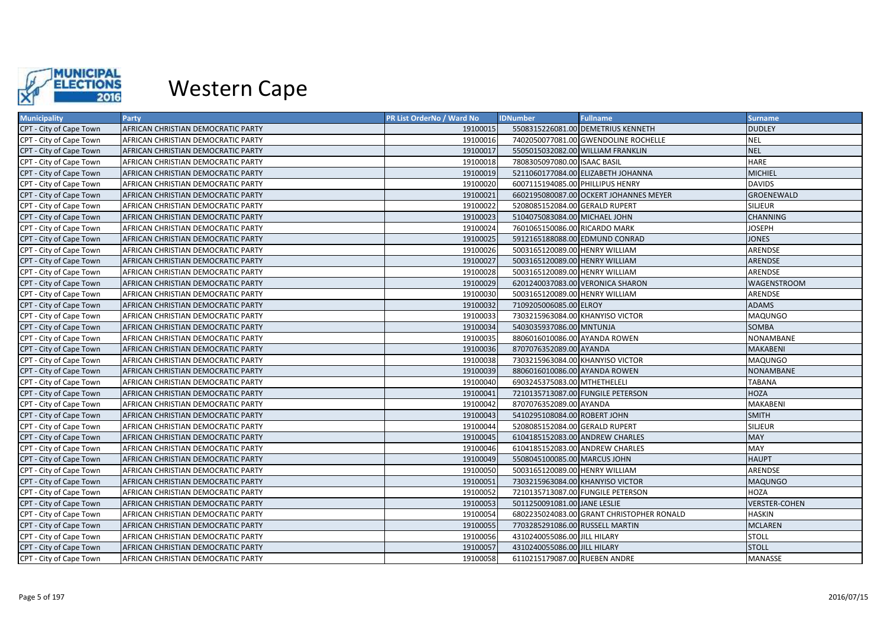

| <b>Municipality</b>     | Party                              | <b>PR List OrderNo / Ward No</b> | <b>IDNumber</b>                  | <b>Fullname</b>                           | <b>Surname</b>       |
|-------------------------|------------------------------------|----------------------------------|----------------------------------|-------------------------------------------|----------------------|
| CPT - City of Cape Town | AFRICAN CHRISTIAN DEMOCRATIC PARTY | 19100015                         |                                  | 5508315226081.00 DEMETRIUS KENNETH        | <b>DUDLEY</b>        |
| CPT - City of Cape Town | AFRICAN CHRISTIAN DEMOCRATIC PARTY | 19100016                         |                                  | 7402050077081.00 GWENDOLINE ROCHELLE      | <b>NEL</b>           |
| CPT - City of Cape Town | AFRICAN CHRISTIAN DEMOCRATIC PARTY | 19100017                         |                                  | 5505015032082.00 WILLIAM FRANKLIN         | <b>NEL</b>           |
| CPT - City of Cape Town | AFRICAN CHRISTIAN DEMOCRATIC PARTY | 19100018                         | 7808305097080.00 ISAAC BASIL     |                                           | <b>HARE</b>          |
| CPT - City of Cape Town | AFRICAN CHRISTIAN DEMOCRATIC PARTY | 19100019                         |                                  | 5211060177084.00 ELIZABETH JOHANNA        | <b>MICHIEL</b>       |
| CPT - City of Cape Town | AFRICAN CHRISTIAN DEMOCRATIC PARTY | 19100020                         | 6007115194085.00 PHILLIPUS HENRY |                                           | <b>DAVIDS</b>        |
| CPT - City of Cape Town | AFRICAN CHRISTIAN DEMOCRATIC PARTY | 19100021                         |                                  | 6602195080087.00 OCKERT JOHANNES MEYER    | <b>GROENEWALD</b>    |
| CPT - City of Cape Town | AFRICAN CHRISTIAN DEMOCRATIC PARTY | 19100022                         | 5208085152084.00 GERALD RUPERT   |                                           | <b>SILJEUR</b>       |
| CPT - City of Cape Town | AFRICAN CHRISTIAN DEMOCRATIC PARTY | 19100023                         | 5104075083084.00 MICHAEL JOHN    |                                           | <b>CHANNING</b>      |
| CPT - City of Cape Town | AFRICAN CHRISTIAN DEMOCRATIC PARTY | 19100024                         | 7601065150086.00 RICARDO MARK    |                                           | <b>JOSEPH</b>        |
| CPT - City of Cape Town | AFRICAN CHRISTIAN DEMOCRATIC PARTY | 19100025                         | 5912165188088.00 EDMUND CONRAD   |                                           | <b>JONES</b>         |
| CPT - City of Cape Town | AFRICAN CHRISTIAN DEMOCRATIC PARTY | 19100026                         | 5003165120089.00 HENRY WILLIAM   |                                           | ARENDSE              |
| CPT - City of Cape Town | AFRICAN CHRISTIAN DEMOCRATIC PARTY | 19100027                         | 5003165120089.00 HENRY WILLIAM   |                                           | ARENDSE              |
| CPT - City of Cape Town | AFRICAN CHRISTIAN DEMOCRATIC PARTY | 19100028                         | 5003165120089.00 HENRY WILLIAM   |                                           | ARENDSE              |
| CPT - City of Cape Town | AFRICAN CHRISTIAN DEMOCRATIC PARTY | 19100029                         |                                  | 6201240037083.00 VERONICA SHARON          | <b>WAGENSTROOM</b>   |
| CPT - City of Cape Town | AFRICAN CHRISTIAN DEMOCRATIC PARTY | 19100030                         | 5003165120089.00 HENRY WILLIAM   |                                           | ARENDSE              |
| CPT - City of Cape Town | AFRICAN CHRISTIAN DEMOCRATIC PARTY | 19100032                         | 7109205006085.00 ELROY           |                                           | <b>ADAMS</b>         |
| CPT - City of Cape Town | AFRICAN CHRISTIAN DEMOCRATIC PARTY | 19100033                         | 7303215963084.00 KHANYISO VICTOR |                                           | <b>MAQUNGO</b>       |
| CPT - City of Cape Town | AFRICAN CHRISTIAN DEMOCRATIC PARTY | 19100034                         | 5403035937086.00 MNTUNJA         |                                           | <b>SOMBA</b>         |
| CPT - City of Cape Town | AFRICAN CHRISTIAN DEMOCRATIC PARTY | 19100035                         | 8806016010086.00 AYANDA ROWEN    |                                           | NONAMBANE            |
| CPT - City of Cape Town | AFRICAN CHRISTIAN DEMOCRATIC PARTY | 19100036                         | 8707076352089.00 AYANDA          |                                           | <b>MAKABENI</b>      |
| CPT - City of Cape Town | AFRICAN CHRISTIAN DEMOCRATIC PARTY | 19100038                         | 7303215963084.00 KHANYISO VICTOR |                                           | <b>MAQUNGO</b>       |
| CPT - City of Cape Town | AFRICAN CHRISTIAN DEMOCRATIC PARTY | 19100039                         | 8806016010086.00 AYANDA ROWEN    |                                           | <b>NONAMBANE</b>     |
| CPT - City of Cape Town | AFRICAN CHRISTIAN DEMOCRATIC PARTY | 19100040                         | 6903245375083.00 MTHETHELELI     |                                           | <b>TABANA</b>        |
| CPT - City of Cape Town | AFRICAN CHRISTIAN DEMOCRATIC PARTY | 19100041                         |                                  | 7210135713087.00 FUNGILE PETERSON         | <b>HOZA</b>          |
| CPT - City of Cape Town | AFRICAN CHRISTIAN DEMOCRATIC PARTY | 19100042                         | 8707076352089.00 AYANDA          |                                           | MAKABENI             |
| CPT - City of Cape Town | AFRICAN CHRISTIAN DEMOCRATIC PARTY | 19100043                         | 5410295108084.00 ROBERT JOHN     |                                           | <b>SMITH</b>         |
| CPT - City of Cape Town | AFRICAN CHRISTIAN DEMOCRATIC PARTY | 19100044                         | 5208085152084.00 GERALD RUPERT   |                                           | <b>SILJEUR</b>       |
| CPT - City of Cape Town | AFRICAN CHRISTIAN DEMOCRATIC PARTY | 19100045                         |                                  | 6104185152083.00 ANDREW CHARLES           | <b>MAY</b>           |
| CPT - City of Cape Town | AFRICAN CHRISTIAN DEMOCRATIC PARTY | 19100046                         |                                  | 6104185152083.00 ANDREW CHARLES           | MAY                  |
| CPT - City of Cape Town | AFRICAN CHRISTIAN DEMOCRATIC PARTY | 19100049                         | 5508045100085.00 MARCUS JOHN     |                                           | <b>HAUPT</b>         |
| CPT - City of Cape Town | AFRICAN CHRISTIAN DEMOCRATIC PARTY | 19100050                         | 5003165120089.00 HENRY WILLIAM   |                                           | ARENDSE              |
| CPT - City of Cape Town | AFRICAN CHRISTIAN DEMOCRATIC PARTY | 19100051                         | 7303215963084.00 KHANYISO VICTOR |                                           | <b>MAQUNGO</b>       |
| CPT - City of Cape Town | AFRICAN CHRISTIAN DEMOCRATIC PARTY | 19100052                         |                                  | 7210135713087.00 FUNGILE PETERSON         | <b>HOZA</b>          |
| CPT - City of Cape Town | AFRICAN CHRISTIAN DEMOCRATIC PARTY | 19100053                         | 5011250091081.00 JANE LESLIE     |                                           | <b>VERSTER-COHEN</b> |
| CPT - City of Cape Town | AFRICAN CHRISTIAN DEMOCRATIC PARTY | 19100054                         |                                  | 6802235024083.00 GRANT CHRISTOPHER RONALD | <b>HASKIN</b>        |
| CPT - City of Cape Town | AFRICAN CHRISTIAN DEMOCRATIC PARTY | 19100055                         | 7703285291086.00 RUSSELL MARTIN  |                                           | <b>MCLAREN</b>       |
| CPT - City of Cape Town | AFRICAN CHRISTIAN DEMOCRATIC PARTY | 19100056                         | 4310240055086.00 JILL HILARY     |                                           | <b>STOLL</b>         |
| CPT - City of Cape Town | AFRICAN CHRISTIAN DEMOCRATIC PARTY | 19100057                         | 4310240055086.00 JILL HILARY     |                                           | <b>STOLL</b>         |
| CPT - City of Cape Town | AFRICAN CHRISTIAN DEMOCRATIC PARTY | 19100058                         | 6110215179087.00 RUEBEN ANDRE    |                                           | <b>MANASSE</b>       |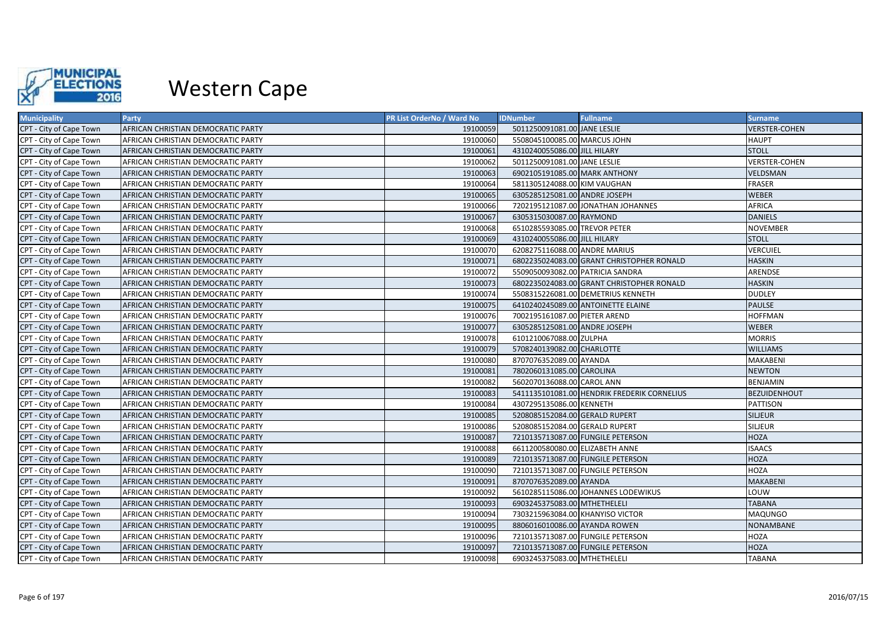

| <b>Municipality</b>     | Party                              | <b>PR List OrderNo / Ward No</b> | <b>IDNumber</b>                  | <b>Fullname</b>                             | <b>Surname</b>       |
|-------------------------|------------------------------------|----------------------------------|----------------------------------|---------------------------------------------|----------------------|
| CPT - City of Cape Town | AFRICAN CHRISTIAN DEMOCRATIC PARTY | 19100059                         | 5011250091081.00 JANE LESLIE     |                                             | <b>VERSTER-COHEN</b> |
| CPT - City of Cape Town | AFRICAN CHRISTIAN DEMOCRATIC PARTY | 19100060                         | 5508045100085.00 MARCUS JOHN     |                                             | <b>HAUPT</b>         |
| CPT - City of Cape Town | AFRICAN CHRISTIAN DEMOCRATIC PARTY | 19100061                         | 4310240055086.00 JILL HILARY     |                                             | <b>STOLL</b>         |
| CPT - City of Cape Town | AFRICAN CHRISTIAN DEMOCRATIC PARTY | 19100062                         | 5011250091081.00 JANE LESLIE     |                                             | <b>VERSTER-COHEN</b> |
| CPT - City of Cape Town | AFRICAN CHRISTIAN DEMOCRATIC PARTY | 19100063                         | 6902105191085.00 MARK ANTHONY    |                                             | VELDSMAN             |
| CPT - City of Cape Town | AFRICAN CHRISTIAN DEMOCRATIC PARTY | 19100064                         | 5811305124088.00 KIM VAUGHAN     |                                             | <b>FRASER</b>        |
| CPT - City of Cape Town | AFRICAN CHRISTIAN DEMOCRATIC PARTY | 19100065                         | 6305285125081.00 ANDRE JOSEPH    |                                             | WEBER                |
| CPT - City of Cape Town | AFRICAN CHRISTIAN DEMOCRATIC PARTY | 19100066                         |                                  | 7202195121087.00 JONATHAN JOHANNES          | <b>AFRICA</b>        |
| CPT - City of Cape Town | AFRICAN CHRISTIAN DEMOCRATIC PARTY | 19100067                         | 6305315030087.00 RAYMOND         |                                             | <b>DANIELS</b>       |
| CPT - City of Cape Town | AFRICAN CHRISTIAN DEMOCRATIC PARTY | 19100068                         | 6510285593085.00 TREVOR PETER    |                                             | <b>NOVEMBER</b>      |
| CPT - City of Cape Town | AFRICAN CHRISTIAN DEMOCRATIC PARTY | 19100069                         | 4310240055086.00 JILL HILARY     |                                             | <b>STOLL</b>         |
| CPT - City of Cape Town | AFRICAN CHRISTIAN DEMOCRATIC PARTY | 19100070                         | 6208275116088.00 ANDRE MARIUS    |                                             | <b>VERCUIEL</b>      |
| CPT - City of Cape Town | AFRICAN CHRISTIAN DEMOCRATIC PARTY | 19100071                         |                                  | 6802235024083.00 GRANT CHRISTOPHER RONALD   | <b>HASKIN</b>        |
| CPT - City of Cape Town | AFRICAN CHRISTIAN DEMOCRATIC PARTY | 19100072                         | 5509050093082.00 PATRICIA SANDRA |                                             | ARENDSE              |
| CPT - City of Cape Town | AFRICAN CHRISTIAN DEMOCRATIC PARTY | 19100073                         |                                  | 6802235024083.00 GRANT CHRISTOPHER RONALD   | <b>HASKIN</b>        |
| CPT - City of Cape Town | AFRICAN CHRISTIAN DEMOCRATIC PARTY | 19100074                         |                                  | 5508315226081.00 DEMETRIUS KENNETH          | <b>DUDLEY</b>        |
| CPT - City of Cape Town | AFRICAN CHRISTIAN DEMOCRATIC PARTY | 19100075                         |                                  | 6410240245089.00 ANTOINETTE ELAINE          | <b>PAULSE</b>        |
| CPT - City of Cape Town | AFRICAN CHRISTIAN DEMOCRATIC PARTY | 19100076                         | 7002195161087.00 PIETER AREND    |                                             | <b>HOFFMAN</b>       |
| CPT - City of Cape Town | AFRICAN CHRISTIAN DEMOCRATIC PARTY | 19100077                         | 6305285125081.00 ANDRE JOSEPH    |                                             | <b>WEBER</b>         |
| CPT - City of Cape Town | AFRICAN CHRISTIAN DEMOCRATIC PARTY | 19100078                         | 6101210067088.00 ZULPHA          |                                             | <b>MORRIS</b>        |
| CPT - City of Cape Town | AFRICAN CHRISTIAN DEMOCRATIC PARTY | 19100079                         | 5708240139082.00 CHARLOTTE       |                                             | <b>WILLIAMS</b>      |
| CPT - City of Cape Town | AFRICAN CHRISTIAN DEMOCRATIC PARTY | 19100080                         | 8707076352089.00 AYANDA          |                                             | <b>MAKABENI</b>      |
| CPT - City of Cape Town | AFRICAN CHRISTIAN DEMOCRATIC PARTY | 19100081                         | 7802060131085.00 CAROLINA        |                                             | <b>NEWTON</b>        |
| CPT - City of Cape Town | AFRICAN CHRISTIAN DEMOCRATIC PARTY | 19100082                         | 5602070136088.00 CAROL ANN       |                                             | <b>BENJAMIN</b>      |
| CPT - City of Cape Town | AFRICAN CHRISTIAN DEMOCRATIC PARTY | 19100083                         |                                  | 5411135101081.00 HENDRIK FREDERIK CORNELIUS | <b>BEZUIDENHOUT</b>  |
| CPT - City of Cape Town | AFRICAN CHRISTIAN DEMOCRATIC PARTY | 19100084                         | 4307295135086.00 KENNETH         |                                             | <b>PATTISON</b>      |
| CPT - City of Cape Town | AFRICAN CHRISTIAN DEMOCRATIC PARTY | 19100085                         | 5208085152084.00 GERALD RUPERT   |                                             | <b>SILJEUR</b>       |
| CPT - City of Cape Town | AFRICAN CHRISTIAN DEMOCRATIC PARTY | 19100086                         | 5208085152084.00 GERALD RUPERT   |                                             | <b>SILJEUR</b>       |
| CPT - City of Cape Town | AFRICAN CHRISTIAN DEMOCRATIC PARTY | 19100087                         |                                  | 7210135713087.00 FUNGILE PETERSON           | <b>HOZA</b>          |
| CPT - City of Cape Town | AFRICAN CHRISTIAN DEMOCRATIC PARTY | 19100088                         | 6611200580080.00 ELIZABETH ANNE  |                                             | <b>ISAACS</b>        |
| CPT - City of Cape Town | AFRICAN CHRISTIAN DEMOCRATIC PARTY | 19100089                         |                                  | 7210135713087.00 FUNGILE PETERSON           | <b>HOZA</b>          |
| CPT - City of Cape Town | AFRICAN CHRISTIAN DEMOCRATIC PARTY | 19100090                         |                                  | 7210135713087.00 FUNGILE PETERSON           | <b>HOZA</b>          |
| CPT - City of Cape Town | AFRICAN CHRISTIAN DEMOCRATIC PARTY | 19100091                         | 8707076352089.00 AYANDA          |                                             | <b>MAKABENI</b>      |
| CPT - City of Cape Town | AFRICAN CHRISTIAN DEMOCRATIC PARTY | 19100092                         |                                  | 5610285115086.00 JOHANNES LODEWIKUS         | LOUW                 |
| CPT - City of Cape Town | AFRICAN CHRISTIAN DEMOCRATIC PARTY | 19100093                         | 6903245375083.00 MTHETHELELI     |                                             | <b>TABANA</b>        |
| CPT - City of Cape Town | AFRICAN CHRISTIAN DEMOCRATIC PARTY | 19100094                         | 7303215963084.00 KHANYISO VICTOR |                                             | <b>MAQUNGO</b>       |
| CPT - City of Cape Town | AFRICAN CHRISTIAN DEMOCRATIC PARTY | 19100095                         | 8806016010086.00 AYANDA ROWEN    |                                             | NONAMBANE            |
| CPT - City of Cape Town | AFRICAN CHRISTIAN DEMOCRATIC PARTY | 19100096                         |                                  | 7210135713087.00 FUNGILE PETERSON           | <b>HOZA</b>          |
| CPT - City of Cape Town | AFRICAN CHRISTIAN DEMOCRATIC PARTY | 19100097                         |                                  | 7210135713087.00 FUNGILE PETERSON           | <b>HOZA</b>          |
| CPT - City of Cape Town | AFRICAN CHRISTIAN DEMOCRATIC PARTY | 19100098                         | 6903245375083.00 MTHETHELELI     |                                             | TABANA               |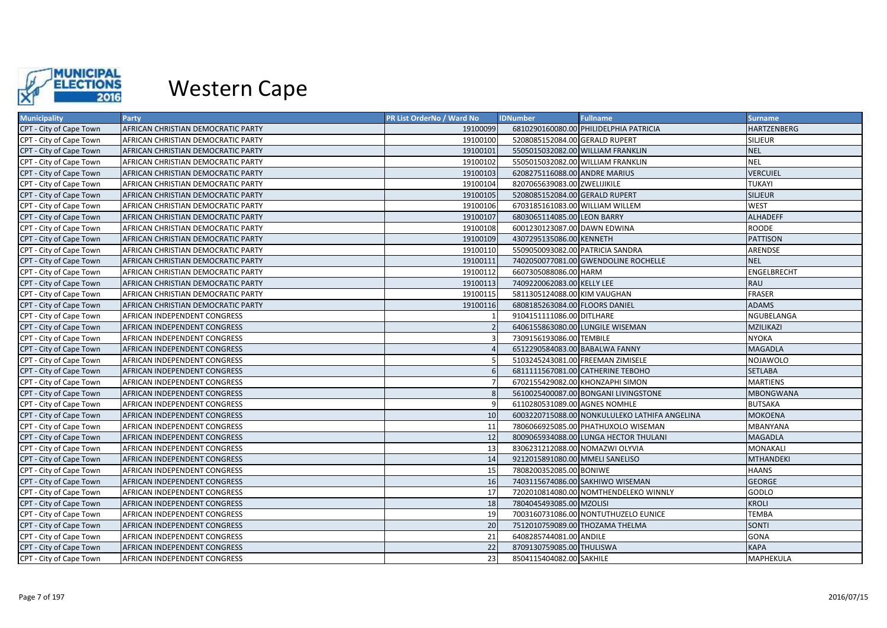

| <b>Municipality</b>     | Party                                     | <b>PR List OrderNo / Ward No</b> | <b>IDNumber</b>                  | <b>Fullname</b>                               | <b>Surname</b>     |
|-------------------------|-------------------------------------------|----------------------------------|----------------------------------|-----------------------------------------------|--------------------|
| CPT - City of Cape Town | AFRICAN CHRISTIAN DEMOCRATIC PARTY        | 19100099                         |                                  | 6810290160080.00 PHILIDELPHIA PATRICIA        | <b>HARTZENBERG</b> |
| CPT - City of Cape Town | AFRICAN CHRISTIAN DEMOCRATIC PARTY        | 19100100                         | 5208085152084.00 GERALD RUPERT   |                                               | <b>SILJEUR</b>     |
| CPT - City of Cape Town | AFRICAN CHRISTIAN DEMOCRATIC PARTY        | 19100101                         |                                  | 5505015032082.00 WILLIAM FRANKLIN             | <b>NEL</b>         |
| CPT - City of Cape Town | AFRICAN CHRISTIAN DEMOCRATIC PARTY        | 19100102                         |                                  | 5505015032082.00 WILLIAM FRANKLIN             | <b>NEL</b>         |
| CPT - City of Cape Town | AFRICAN CHRISTIAN DEMOCRATIC PARTY        | 19100103                         | 6208275116088.00 ANDRE MARIUS    |                                               | <b>VERCUIEL</b>    |
| CPT - City of Cape Town | AFRICAN CHRISTIAN DEMOCRATIC PARTY        | 19100104                         | 8207065639083.00 ZWELIJIKILE     |                                               | <b>TUKAYI</b>      |
| CPT - City of Cape Town | AFRICAN CHRISTIAN DEMOCRATIC PARTY        | 19100105                         | 5208085152084.00 GERALD RUPERT   |                                               | <b>SILJEUR</b>     |
| CPT - City of Cape Town | AFRICAN CHRISTIAN DEMOCRATIC PARTY        | 19100106                         | 6703185161083.00 WILLIAM WILLEM  |                                               | <b>WEST</b>        |
| CPT - City of Cape Town | AFRICAN CHRISTIAN DEMOCRATIC PARTY        | 19100107                         | 6803065114085.00 LEON BARRY      |                                               | ALHADEFF           |
| CPT - City of Cape Town | AFRICAN CHRISTIAN DEMOCRATIC PARTY        | 19100108                         | 6001230123087.00 DAWN EDWINA     |                                               | <b>ROODE</b>       |
| CPT - City of Cape Town | AFRICAN CHRISTIAN DEMOCRATIC PARTY        | 19100109                         | 4307295135086.00 KENNETH         |                                               | <b>PATTISON</b>    |
| CPT - City of Cape Town | AFRICAN CHRISTIAN DEMOCRATIC PARTY        | 19100110                         | 5509050093082.00 PATRICIA SANDRA |                                               | ARENDSE            |
| CPT - City of Cape Town | AFRICAN CHRISTIAN DEMOCRATIC PARTY        | 19100111                         |                                  | 7402050077081.00 GWENDOLINE ROCHELLE          | <b>NEL</b>         |
| CPT - City of Cape Town | AFRICAN CHRISTIAN DEMOCRATIC PARTY        | 19100112                         | 6607305088086.00 HARM            |                                               | <b>ENGELBRECHT</b> |
| CPT - City of Cape Town | AFRICAN CHRISTIAN DEMOCRATIC PARTY        | 19100113                         | 7409220062083.00 KELLY LEE       |                                               | <b>RAU</b>         |
| CPT - City of Cape Town | AFRICAN CHRISTIAN DEMOCRATIC PARTY        | 19100115                         | 5811305124088.00 KIM VAUGHAN     |                                               | <b>FRASER</b>      |
| CPT - City of Cape Town | <b>AFRICAN CHRISTIAN DEMOCRATIC PARTY</b> | 19100116                         | 6808185263084.00 FLOORS DANIEL   |                                               | <b>ADAMS</b>       |
| CPT - City of Cape Town | AFRICAN INDEPENDENT CONGRESS              |                                  | 9104151111086.00 DITLHARE        |                                               | NGUBELANGA         |
| CPT - City of Cape Town | AFRICAN INDEPENDENT CONGRESS              |                                  |                                  | 6406155863080.00 LUNGILE WISEMAN              | MZILIKAZI          |
| CPT - City of Cape Town | AFRICAN INDEPENDENT CONGRESS              |                                  | 7309156193086.00 TEMBILE         |                                               | <b>NYOKA</b>       |
| CPT - City of Cape Town | AFRICAN INDEPENDENT CONGRESS              |                                  | 6512290584083.00 BABALWA FANNY   |                                               | <b>MAGADLA</b>     |
| CPT - City of Cape Town | AFRICAN INDEPENDENT CONGRESS              |                                  |                                  | 5103245243081.00 FREEMAN ZIMISELE             | <b>NOJAWOLO</b>    |
| CPT - City of Cape Town | AFRICAN INDEPENDENT CONGRESS              |                                  |                                  | 6811111567081.00 CATHERINE TEBOHO             | <b>SETLABA</b>     |
| CPT - City of Cape Town | AFRICAN INDEPENDENT CONGRESS              |                                  |                                  | 6702155429082.00 KHONZAPHI SIMON              | <b>MARTIENS</b>    |
| CPT - City of Cape Town | AFRICAN INDEPENDENT CONGRESS              |                                  |                                  | 5610025400087.00 BONGANI LIVINGSTONE          | <b>MBONGWANA</b>   |
| CPT - City of Cape Town | AFRICAN INDEPENDENT CONGRESS              |                                  | 6110280531089.00 AGNES NOMHLE    |                                               | <b>BUTSAKA</b>     |
| CPT - City of Cape Town | AFRICAN INDEPENDENT CONGRESS              | 10                               |                                  | 6003220715088.00 NONKULULEKO LATHIFA ANGELINA | <b>MOKOENA</b>     |
| CPT - City of Cape Town | AFRICAN INDEPENDENT CONGRESS              | -11                              |                                  | 7806066925085.00 PHATHUXOLO WISEMAN           | MBANYANA           |
| CPT - City of Cape Town | AFRICAN INDEPENDENT CONGRESS              | 12                               |                                  | 8009065934088.00 LUNGA HECTOR THULANI         | <b>MAGADLA</b>     |
| CPT - City of Cape Town | AFRICAN INDEPENDENT CONGRESS              | 13                               | 8306231212088.00 NOMAZWI OLYVIA  |                                               | <b>MONAKALI</b>    |
| CPT - City of Cape Town | AFRICAN INDEPENDENT CONGRESS              | 14                               | 9212015891080.00 MMELI SANELISO  |                                               | <b>MTHANDEKI</b>   |
| CPT - City of Cape Town | AFRICAN INDEPENDENT CONGRESS              | 15                               | 7808200352085.00 BONIWE          |                                               | <b>HAANS</b>       |
| CPT - City of Cape Town | AFRICAN INDEPENDENT CONGRESS              | 16                               |                                  | 7403115674086.00 SAKHIWO WISEMAN              | <b>GEORGE</b>      |
| CPT - City of Cape Town | AFRICAN INDEPENDENT CONGRESS              | 17                               |                                  | 7202010814080.00 NOMTHENDELEKO WINNLY         | <b>GODLO</b>       |
| CPT - City of Cape Town | AFRICAN INDEPENDENT CONGRESS              | 18                               | 7804045493085.00 MZOLISI         |                                               | <b>KROLI</b>       |
| CPT - City of Cape Town | AFRICAN INDEPENDENT CONGRESS              | 19                               |                                  | 7003160731086.00 NONTUTHUZELO EUNICE          | <b>TEMBA</b>       |
| CPT - City of Cape Town | AFRICAN INDEPENDENT CONGRESS              | 20                               |                                  | 7512010759089.00 THOZAMA THELMA               | <b>SONTI</b>       |
| CPT - City of Cape Town | AFRICAN INDEPENDENT CONGRESS              | 21                               | 6408285744081.00 ANDILE          |                                               | GONA               |
| CPT - City of Cape Town | AFRICAN INDEPENDENT CONGRESS              | 22                               | 8709130759085.00 THULISWA        |                                               | <b>KAPA</b>        |
| CPT - City of Cape Town | AFRICAN INDEPENDENT CONGRESS              | 23                               | 8504115404082.00 SAKHILE         |                                               | <b>MAPHEKULA</b>   |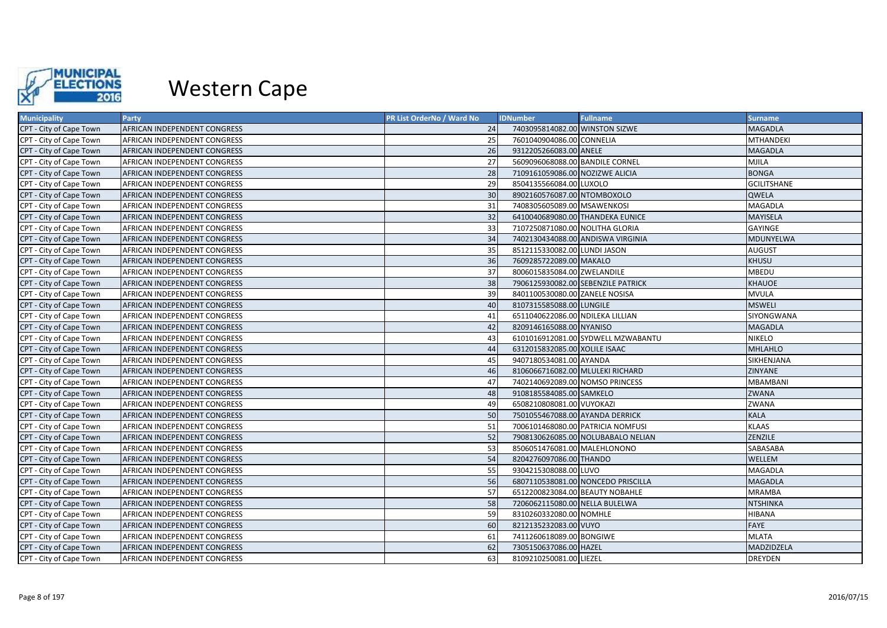

| <b>Municipality</b>     | Party                               | <b>PR List OrderNo / Ward No</b> | <b>IDNumber</b>                   | <b>Fullname</b>                    | <b>Surname</b>     |
|-------------------------|-------------------------------------|----------------------------------|-----------------------------------|------------------------------------|--------------------|
| CPT - City of Cape Town | AFRICAN INDEPENDENT CONGRESS        | 24                               | 7403095814082.00 WINSTON SIZWE    |                                    | <b>MAGADLA</b>     |
| CPT - City of Cape Town | AFRICAN INDEPENDENT CONGRESS        | 25                               | 7601040904086.00 CONNELIA         |                                    | <b>MTHANDEKI</b>   |
| CPT - City of Cape Town | AFRICAN INDEPENDENT CONGRESS        | 26                               | 9312205266083.00 ANELE            |                                    | <b>MAGADLA</b>     |
| CPT - City of Cape Town | AFRICAN INDEPENDENT CONGRESS        | 27                               | 5609096068088.00 BANDILE CORNEL   |                                    | <b>MJILA</b>       |
| CPT - City of Cape Town | AFRICAN INDEPENDENT CONGRESS        | 28                               | 7109161059086.00 NOZIZWE ALICIA   |                                    | <b>BONGA</b>       |
| CPT - City of Cape Town | AFRICAN INDEPENDENT CONGRESS        | 29                               | 8504135566084.00 LUXOLO           |                                    | <b>GCILITSHANE</b> |
| CPT - City of Cape Town | AFRICAN INDEPENDENT CONGRESS        | 30                               | 8902160576087.00 NTOMBOXOLO       |                                    | <b>QWELA</b>       |
| CPT - City of Cape Town | AFRICAN INDEPENDENT CONGRESS        | 31                               | 7408305605089.00 MSAWENKOSI       |                                    | <b>MAGADLA</b>     |
| CPT - City of Cape Town | AFRICAN INDEPENDENT CONGRESS        | 32                               |                                   | 6410040689080.00 THANDEKA EUNICE   | <b>MAYISELA</b>    |
| CPT - City of Cape Town | AFRICAN INDEPENDENT CONGRESS        | 33                               | 7107250871080.00 NOLITHA GLORIA   |                                    | GAYINGE            |
| CPT - City of Cape Town | AFRICAN INDEPENDENT CONGRESS        | 34                               |                                   | 7402130434088.00 ANDISWA VIRGINIA  | MDUNYELWA          |
| CPT - City of Cape Town | AFRICAN INDEPENDENT CONGRESS        | 35                               | 8512115330082.00 LUNDI JASON      |                                    | <b>AUGUST</b>      |
| CPT - City of Cape Town | AFRICAN INDEPENDENT CONGRESS        | 36                               | 7609285722089.00 MAKALO           |                                    | <b>KHUSU</b>       |
| CPT - City of Cape Town | AFRICAN INDEPENDENT CONGRESS        | 37                               | 8006015835084.00 ZWELANDILE       |                                    | <b>MBEDU</b>       |
| CPT - City of Cape Town | AFRICAN INDEPENDENT CONGRESS        | 38                               |                                   | 7906125930082.00 SEBENZILE PATRICK | <b>KHAUOE</b>      |
| CPT - City of Cape Town | AFRICAN INDEPENDENT CONGRESS        | 39                               | 8401100530080.00 ZANELE NOSISA    |                                    | <b>MVULA</b>       |
| CPT - City of Cape Town | <b>AFRICAN INDEPENDENT CONGRESS</b> | 40                               | 8107315585088.00 LUNGILE          |                                    | <b>MSWELI</b>      |
| CPT - City of Cape Town | AFRICAN INDEPENDENT CONGRESS        | 41                               | 6511040622086.00 NDILEKA LILLIAN  |                                    | SIYONGWANA         |
| CPT - City of Cape Town | AFRICAN INDEPENDENT CONGRESS        | 42                               | 8209146165088.00 NYANISO          |                                    | <b>MAGADLA</b>     |
| CPT - City of Cape Town | AFRICAN INDEPENDENT CONGRESS        | 43                               |                                   | 6101016912081.00 SYDWELL MZWABANTU | <b>NIKELO</b>      |
| CPT - City of Cape Town | AFRICAN INDEPENDENT CONGRESS        | 44                               | 6312015832085.00 XOLILE ISAAC     |                                    | <b>MHLAHLO</b>     |
| CPT - City of Cape Town | AFRICAN INDEPENDENT CONGRESS        | 45                               | 9407180534081.00 AYANDA           |                                    | SIKHENJANA         |
| CPT - City of Cape Town | AFRICAN INDEPENDENT CONGRESS        | 46                               | 8106066716082.00 MLULEKI RICHARD  |                                    | <b>ZINYANE</b>     |
| CPT - City of Cape Town | AFRICAN INDEPENDENT CONGRESS        | 47                               | 7402140692089.00 NOMSO PRINCESS   |                                    | <b>MBAMBANI</b>    |
| CPT - City of Cape Town | AFRICAN INDEPENDENT CONGRESS        | 48                               | 9108185584085.00 SAMKELO          |                                    | <b>ZWANA</b>       |
| CPT - City of Cape Town | AFRICAN INDEPENDENT CONGRESS        | 49                               | 6508210808081.00 VUYOKAZI         |                                    | ZWANA              |
| CPT - City of Cape Town | AFRICAN INDEPENDENT CONGRESS        | 50                               | 7501055467088.00 AYANDA DERRICK   |                                    | <b>KALA</b>        |
| CPT - City of Cape Town | AFRICAN INDEPENDENT CONGRESS        | 51                               | 7006101468080.00 PATRICIA NOMFUSI |                                    | <b>KLAAS</b>       |
| CPT - City of Cape Town | AFRICAN INDEPENDENT CONGRESS        | 52                               |                                   | 7908130626085.00 NOLUBABALO NELIAN | <b>ZENZILE</b>     |
| CPT - City of Cape Town | AFRICAN INDEPENDENT CONGRESS        | 53                               | 8506051476081.00 MALEHLONONO      |                                    | SABASABA           |
| CPT - City of Cape Town | AFRICAN INDEPENDENT CONGRESS        | 54                               | 8204276097086.00 THANDO           |                                    | WELLEM             |
| CPT - City of Cape Town | AFRICAN INDEPENDENT CONGRESS        | 55                               | 9304215308088.00 LUVO             |                                    | <b>MAGADLA</b>     |
| CPT - City of Cape Town | AFRICAN INDEPENDENT CONGRESS        | 56                               |                                   | 6807110538081.00 NONCEDO PRISCILLA | <b>MAGADLA</b>     |
| CPT - City of Cape Town | AFRICAN INDEPENDENT CONGRESS        | 57                               | 6512200823084.00 BEAUTY NOBAHLE   |                                    | <b>MRAMBA</b>      |
| CPT - City of Cape Town | AFRICAN INDEPENDENT CONGRESS        | 58                               | 7206062115080.00 NELLA BULELWA    |                                    | <b>NTSHINKA</b>    |
| CPT - City of Cape Town | AFRICAN INDEPENDENT CONGRESS        | 59                               | 8310260332080.00 NOMHLE           |                                    | <b>HIBANA</b>      |
| CPT - City of Cape Town | AFRICAN INDEPENDENT CONGRESS        | 60                               | 8212135232083.00 VUYO             |                                    | <b>FAYE</b>        |
| CPT - City of Cape Town | AFRICAN INDEPENDENT CONGRESS        | 61                               | 7411260618089.00 BONGIWE          |                                    | <b>MLATA</b>       |
| CPT - City of Cape Town | AFRICAN INDEPENDENT CONGRESS        | 62                               | 7305150637086.00 HAZEL            |                                    | MADZIDZELA         |
| CPT - City of Cape Town | AFRICAN INDEPENDENT CONGRESS        | 63                               | 8109210250081.00 LIEZEL           |                                    | <b>DREYDEN</b>     |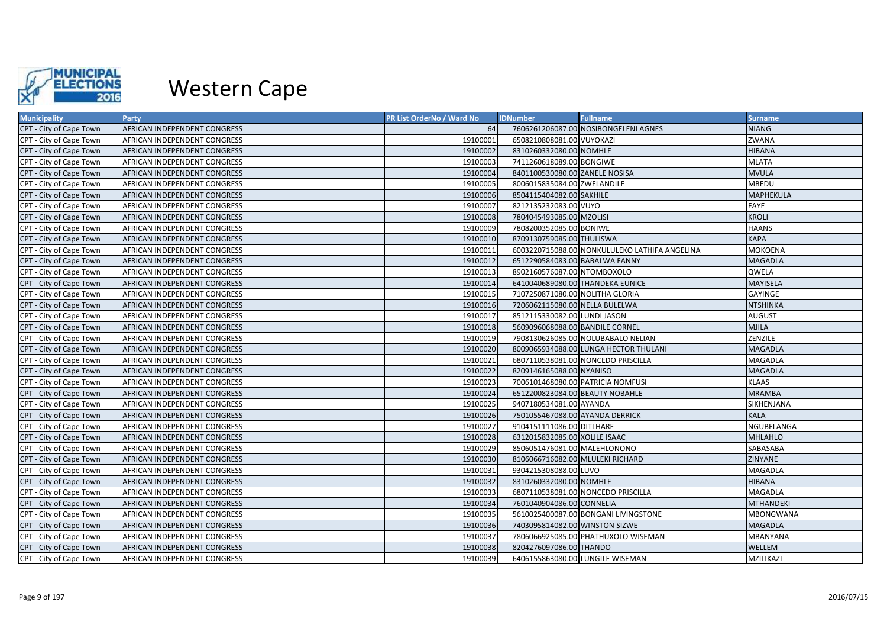

| <b>Municipality</b>     | Party                        | <b>PR List OrderNo / Ward No</b> | <b>IDNumber</b>                  | <b>Fullname</b>                               | <b>Surname</b>   |
|-------------------------|------------------------------|----------------------------------|----------------------------------|-----------------------------------------------|------------------|
| CPT - City of Cape Town | AFRICAN INDEPENDENT CONGRESS | 64                               |                                  | 7606261206087.00 NOSIBONGELENI AGNES          | <b>NIANG</b>     |
| CPT - City of Cape Town | AFRICAN INDEPENDENT CONGRESS | 19100001                         | 6508210808081.00 VUYOKAZI        |                                               | ZWANA            |
| CPT - City of Cape Town | AFRICAN INDEPENDENT CONGRESS | 19100002                         | 8310260332080.00 NOMHLE          |                                               | <b>HIBANA</b>    |
| CPT - City of Cape Town | AFRICAN INDEPENDENT CONGRESS | 19100003                         | 7411260618089.00 BONGIWE         |                                               | <b>MLATA</b>     |
| CPT - City of Cape Town | AFRICAN INDEPENDENT CONGRESS | 19100004                         | 8401100530080.00 ZANELE NOSISA   |                                               | <b>MVULA</b>     |
| CPT - City of Cape Town | AFRICAN INDEPENDENT CONGRESS | 19100005                         | 8006015835084.00 ZWELANDILE      |                                               | <b>MBEDU</b>     |
| CPT - City of Cape Town | AFRICAN INDEPENDENT CONGRESS | 19100006                         | 8504115404082.00 SAKHILE         |                                               | <b>MAPHEKULA</b> |
| CPT - City of Cape Town | AFRICAN INDEPENDENT CONGRESS | 19100007                         | 8212135232083.00 VUYO            |                                               | FAYE             |
| CPT - City of Cape Town | AFRICAN INDEPENDENT CONGRESS | 19100008                         | 7804045493085.00 MZOLISI         |                                               | <b>KROLI</b>     |
| CPT - City of Cape Town | AFRICAN INDEPENDENT CONGRESS | 19100009                         | 7808200352085.00 BONIWE          |                                               | <b>HAANS</b>     |
| CPT - City of Cape Town | AFRICAN INDEPENDENT CONGRESS | 19100010                         | 8709130759085.00 THULISWA        |                                               | <b>KAPA</b>      |
| CPT - City of Cape Town | AFRICAN INDEPENDENT CONGRESS | 19100011                         |                                  | 6003220715088.00 NONKULULEKO LATHIFA ANGELINA | MOKOENA          |
| CPT - City of Cape Town | AFRICAN INDEPENDENT CONGRESS | 19100012                         | 6512290584083.00 BABALWA FANNY   |                                               | <b>MAGADLA</b>   |
| CPT - City of Cape Town | AFRICAN INDEPENDENT CONGRESS | 19100013                         | 8902160576087.00 NTOMBOXOLO      |                                               | QWELA            |
| CPT - City of Cape Town | AFRICAN INDEPENDENT CONGRESS | 19100014                         |                                  | 6410040689080.00 THANDEKA EUNICE              | MAYISELA         |
| CPT - City of Cape Town | AFRICAN INDEPENDENT CONGRESS | 19100015                         | 7107250871080.00 NOLITHA GLORIA  |                                               | <b>GAYINGE</b>   |
| CPT - City of Cape Town | AFRICAN INDEPENDENT CONGRESS | 19100016                         | 7206062115080.00 NELLA BULELWA   |                                               | <b>NTSHINKA</b>  |
| CPT - City of Cape Town | AFRICAN INDEPENDENT CONGRESS | 19100017                         | 8512115330082.00 LUNDI JASON     |                                               | <b>AUGUST</b>    |
| CPT - City of Cape Town | AFRICAN INDEPENDENT CONGRESS | 19100018                         | 5609096068088.00 BANDILE CORNEL  |                                               | <b>MJILA</b>     |
| CPT - City of Cape Town | AFRICAN INDEPENDENT CONGRESS | 19100019                         |                                  | 7908130626085.00 NOLUBABALO NELIAN            | ZENZILE          |
| CPT - City of Cape Town | AFRICAN INDEPENDENT CONGRESS | 19100020                         |                                  | 8009065934088.00 LUNGA HECTOR THULANI         | <b>MAGADLA</b>   |
| CPT - City of Cape Town | AFRICAN INDEPENDENT CONGRESS | 19100021                         |                                  | 6807110538081.00 NONCEDO PRISCILLA            | <b>MAGADLA</b>   |
| CPT - City of Cape Town | AFRICAN INDEPENDENT CONGRESS | 19100022                         | 8209146165088.00 NYANISO         |                                               | <b>MAGADLA</b>   |
| CPT - City of Cape Town | AFRICAN INDEPENDENT CONGRESS | 19100023                         |                                  | 7006101468080.00 PATRICIA NOMFUSI             | <b>KLAAS</b>     |
| CPT - City of Cape Town | AFRICAN INDEPENDENT CONGRESS | 19100024                         | 6512200823084.00 BEAUTY NOBAHLE  |                                               | <b>MRAMBA</b>    |
| CPT - City of Cape Town | AFRICAN INDEPENDENT CONGRESS | 19100025                         | 9407180534081.00 AYANDA          |                                               | SIKHENJANA       |
| CPT - City of Cape Town | AFRICAN INDEPENDENT CONGRESS | 19100026                         | 7501055467088.00 AYANDA DERRICK  |                                               | <b>KALA</b>      |
| CPT - City of Cape Town | AFRICAN INDEPENDENT CONGRESS | 19100027                         | 9104151111086.00 DITLHARE        |                                               | NGUBELANGA       |
| CPT - City of Cape Town | AFRICAN INDEPENDENT CONGRESS | 19100028                         | 6312015832085.00 XOLILE ISAAC    |                                               | <b>MHLAHLO</b>   |
| CPT - City of Cape Town | AFRICAN INDEPENDENT CONGRESS | 19100029                         | 8506051476081.00 MALEHLONONO     |                                               | SABASABA         |
| CPT - City of Cape Town | AFRICAN INDEPENDENT CONGRESS | 19100030                         | 8106066716082.00 MLULEKI RICHARD |                                               | ZINYANE          |
| CPT - City of Cape Town | AFRICAN INDEPENDENT CONGRESS | 19100031                         | 9304215308088.00 LUVO            |                                               | MAGADLA          |
| CPT - City of Cape Town | AFRICAN INDEPENDENT CONGRESS | 19100032                         | 8310260332080.00 NOMHLE          |                                               | <b>HIBANA</b>    |
| CPT - City of Cape Town | AFRICAN INDEPENDENT CONGRESS | 19100033                         |                                  | 6807110538081.00 NONCEDO PRISCILLA            | MAGADLA          |
| CPT - City of Cape Town | AFRICAN INDEPENDENT CONGRESS | 19100034                         | 7601040904086.00 CONNELIA        |                                               | <b>MTHANDEKI</b> |
| CPT - City of Cape Town | AFRICAN INDEPENDENT CONGRESS | 19100035                         |                                  | 5610025400087.00 BONGANI LIVINGSTONE          | MBONGWANA        |
| CPT - City of Cape Town | AFRICAN INDEPENDENT CONGRESS | 19100036                         | 7403095814082.00 WINSTON SIZWE   |                                               | <b>MAGADLA</b>   |
| CPT - City of Cape Town | AFRICAN INDEPENDENT CONGRESS | 19100037                         |                                  | 7806066925085.00 PHATHUXOLO WISEMAN           | MBANYANA         |
| CPT - City of Cape Town | AFRICAN INDEPENDENT CONGRESS | 19100038                         | 8204276097086.00 THANDO          |                                               | WELLEM           |
| CPT - City of Cape Town | AFRICAN INDEPENDENT CONGRESS | 19100039                         |                                  | 6406155863080.00 LUNGILE WISEMAN              | MZILIKAZI        |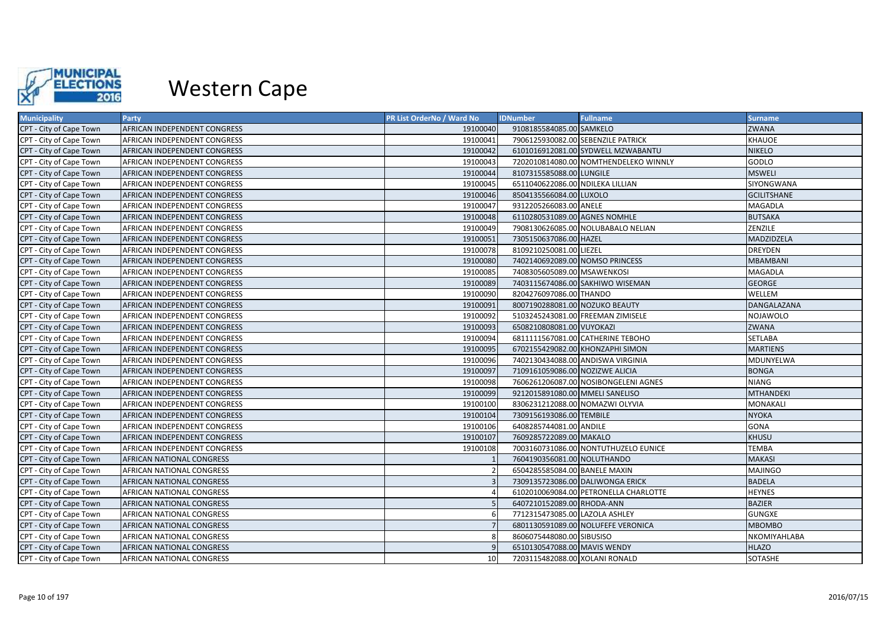

| <b>Municipality</b>     | Party                        | PR List OrderNo / Ward No | <b>IDNumber</b>                  | <b>Fullname</b>                       | <b>Surname</b>     |
|-------------------------|------------------------------|---------------------------|----------------------------------|---------------------------------------|--------------------|
| CPT - City of Cape Town | AFRICAN INDEPENDENT CONGRESS | 19100040                  | 9108185584085.00 SAMKELO         |                                       | ZWANA              |
| CPT - City of Cape Town | AFRICAN INDEPENDENT CONGRESS | 19100041                  |                                  | 7906125930082.00 SEBENZILE PATRICK    | KHAUOE             |
| CPT - City of Cape Town | AFRICAN INDEPENDENT CONGRESS | 19100042                  |                                  | 6101016912081.00 SYDWELL MZWABANTU    | <b>NIKELO</b>      |
| CPT - City of Cape Town | AFRICAN INDEPENDENT CONGRESS | 19100043                  |                                  | 7202010814080.00 NOMTHENDELEKO WINNLY | GODLO              |
| CPT - City of Cape Town | AFRICAN INDEPENDENT CONGRESS | 19100044                  | 8107315585088.00 LUNGILE         |                                       | <b>MSWELI</b>      |
| CPT - City of Cape Town | AFRICAN INDEPENDENT CONGRESS | 19100045                  | 6511040622086.00 NDILEKA LILLIAN |                                       | SIYONGWANA         |
| CPT - City of Cape Town | AFRICAN INDEPENDENT CONGRESS | 19100046                  | 8504135566084.00 LUXOLO          |                                       | <b>GCILITSHANE</b> |
| CPT - City of Cape Town | AFRICAN INDEPENDENT CONGRESS | 19100047                  | 9312205266083.00 ANELE           |                                       | MAGADLA            |
| CPT - City of Cape Town | AFRICAN INDEPENDENT CONGRESS | 19100048                  | 6110280531089.00 AGNES NOMHLE    |                                       | <b>BUTSAKA</b>     |
| CPT - City of Cape Town | AFRICAN INDEPENDENT CONGRESS | 19100049                  |                                  | 7908130626085.00 NOLUBABALO NELIAN    | ZENZILE            |
| CPT - City of Cape Town | AFRICAN INDEPENDENT CONGRESS | 19100051                  | 7305150637086.00 HAZEL           |                                       | MADZIDZELA         |
| CPT - City of Cape Town | AFRICAN INDEPENDENT CONGRESS | 19100078                  | 8109210250081.00 LIEZEL          |                                       | <b>DREYDEN</b>     |
| CPT - City of Cape Town | AFRICAN INDEPENDENT CONGRESS | 19100080                  | 7402140692089.00 NOMSO PRINCESS  |                                       | <b>MBAMBANI</b>    |
| CPT - City of Cape Town | AFRICAN INDEPENDENT CONGRESS | 19100085                  | 7408305605089.00 MSAWENKOSI      |                                       | MAGADLA            |
| CPT - City of Cape Town | AFRICAN INDEPENDENT CONGRESS | 19100089                  |                                  | 7403115674086.00 SAKHIWO WISEMAN      | <b>GEORGE</b>      |
| CPT - City of Cape Town | AFRICAN INDEPENDENT CONGRESS | 19100090                  | 8204276097086.00 THANDO          |                                       | WELLEM             |
| CPT - City of Cape Town | AFRICAN INDEPENDENT CONGRESS | 19100091                  | 8007190288081.00 NOZUKO BEAUTY   |                                       | DANGALAZANA        |
| CPT - City of Cape Town | AFRICAN INDEPENDENT CONGRESS | 19100092                  |                                  | 5103245243081.00 FREEMAN ZIMISELE     | <b>NOJAWOLO</b>    |
| CPT - City of Cape Town | AFRICAN INDEPENDENT CONGRESS | 19100093                  | 6508210808081.00 VUYOKAZI        |                                       | ZWANA              |
| CPT - City of Cape Town | AFRICAN INDEPENDENT CONGRESS | 19100094                  |                                  | 6811111567081.00 CATHERINE TEBOHO     | SETLABA            |
| CPT - City of Cape Town | AFRICAN INDEPENDENT CONGRESS | 19100095                  |                                  | 6702155429082.00 KHONZAPHI SIMON      | <b>MARTIENS</b>    |
| CPT - City of Cape Town | AFRICAN INDEPENDENT CONGRESS | 19100096                  |                                  | 7402130434088.00 ANDISWA VIRGINIA     | MDUNYELWA          |
| CPT - City of Cape Town | AFRICAN INDEPENDENT CONGRESS | 19100097                  | 7109161059086.00 NOZIZWE ALICIA  |                                       | <b>BONGA</b>       |
| CPT - City of Cape Town | AFRICAN INDEPENDENT CONGRESS | 19100098                  |                                  | 7606261206087.00 NOSIBONGELENI AGNES  | <b>NIANG</b>       |
| CPT - City of Cape Town | AFRICAN INDEPENDENT CONGRESS | 19100099                  | 9212015891080.00 MMELI SANELISO  |                                       | <b>MTHANDEKI</b>   |
| CPT - City of Cape Town | AFRICAN INDEPENDENT CONGRESS | 19100100                  | 8306231212088.00 NOMAZWI OLYVIA  |                                       | MONAKALI           |
| CPT - City of Cape Town | AFRICAN INDEPENDENT CONGRESS | 19100104                  | 7309156193086.00 TEMBILE         |                                       | <b>NYOKA</b>       |
| CPT - City of Cape Town | AFRICAN INDEPENDENT CONGRESS | 19100106                  | 6408285744081.00 ANDILE          |                                       | <b>GONA</b>        |
| CPT - City of Cape Town | AFRICAN INDEPENDENT CONGRESS | 19100107                  | 7609285722089.00 MAKALO          |                                       | <b>KHUSU</b>       |
| CPT - City of Cape Town | AFRICAN INDEPENDENT CONGRESS | 19100108                  |                                  | 7003160731086.00 NONTUTHUZELO EUNICE  | <b>TEMBA</b>       |
| CPT - City of Cape Town | AFRICAN NATIONAL CONGRESS    |                           | 7604190356081.00 NOLUTHANDO      |                                       | <b>MAKASI</b>      |
| CPT - City of Cape Town | AFRICAN NATIONAL CONGRESS    |                           | 6504285585084.00 BANELE MAXIN    |                                       | MAJINGO            |
| CPT - City of Cape Town | AFRICAN NATIONAL CONGRESS    |                           |                                  | 7309135723086.00 DALIWONGA ERICK      | <b>BADELA</b>      |
| CPT - City of Cape Town | AFRICAN NATIONAL CONGRESS    |                           |                                  | 6102010069084.00 PETRONELLA CHARLOTTE | <b>HEYNES</b>      |
| CPT - City of Cape Town | AFRICAN NATIONAL CONGRESS    |                           | 6407210152089.00 RHODA-ANN       |                                       | <b>BAZIER</b>      |
| CPT - City of Cape Town | AFRICAN NATIONAL CONGRESS    |                           | 7712315473085.00 LAZOLA ASHLEY   |                                       | <b>GUNGXE</b>      |
| CPT - City of Cape Town | AFRICAN NATIONAL CONGRESS    |                           |                                  | 6801130591089.00 NOLUFEFE VERONICA    | <b>MBOMBO</b>      |
| CPT - City of Cape Town | AFRICAN NATIONAL CONGRESS    |                           | 8606075448080.00 SIBUSISO        |                                       | NKOMIYAHLABA       |
| CPT - City of Cape Town | AFRICAN NATIONAL CONGRESS    |                           | 6510130547088.00 MAVIS WENDY     |                                       | <b>HLAZO</b>       |
| CPT - City of Cape Town | AFRICAN NATIONAL CONGRESS    | 10                        | 7203115482088.00 XOLANI RONALD   |                                       | SOTASHE            |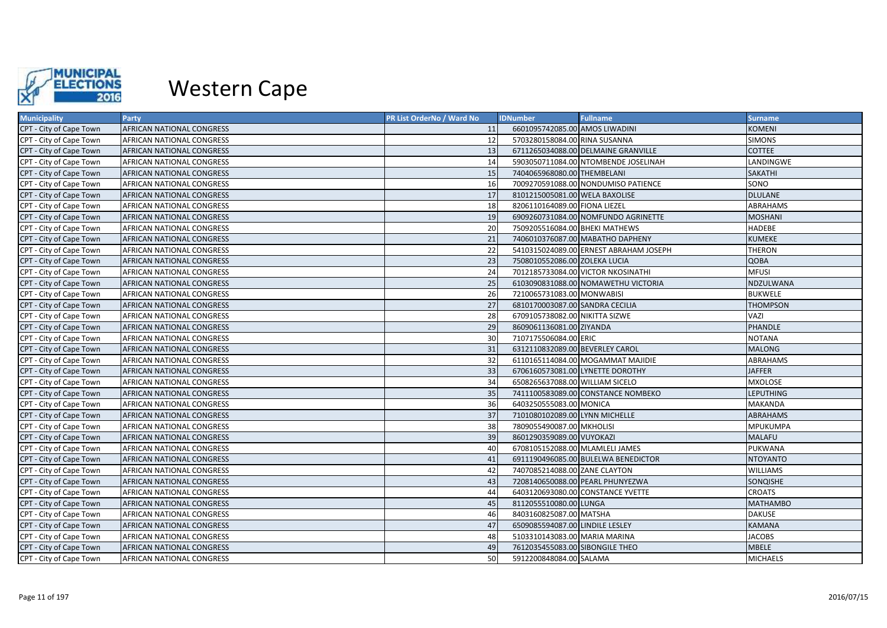

| <b>Municipality</b>     | Party                            | PR List OrderNo / Ward No | <b>IDNumber</b>                 | <b>Fullname</b>                        | <b>Surname</b>   |
|-------------------------|----------------------------------|---------------------------|---------------------------------|----------------------------------------|------------------|
| CPT - City of Cape Town | AFRICAN NATIONAL CONGRESS        | 11                        | 6601095742085.00 AMOS LIWADINI  |                                        | <b>KOMENI</b>    |
| CPT - City of Cape Town | AFRICAN NATIONAL CONGRESS        | 12                        | 5703280158084.00 RINA SUSANNA   |                                        | <b>SIMONS</b>    |
| CPT - City of Cape Town | AFRICAN NATIONAL CONGRESS        | 13                        |                                 | 6711265034088.00 DELMAINE GRANVILLE    | <b>COTTEE</b>    |
| CPT - City of Cape Town | AFRICAN NATIONAL CONGRESS        | 14                        |                                 | 5903050711084.00 NTOMBENDE JOSELINAH   | LANDINGWE        |
| CPT - City of Cape Town | AFRICAN NATIONAL CONGRESS        | 15                        | 7404065968080.00 THEMBELANI     |                                        | SAKATHI          |
| CPT - City of Cape Town | AFRICAN NATIONAL CONGRESS        | 16                        |                                 | 7009270591088.00 NONDUMISO PATIENCE    | SONO             |
| CPT - City of Cape Town | AFRICAN NATIONAL CONGRESS        | 17                        | 8101215005081.00 WELA BAXOLISE  |                                        | <b>DLULANE</b>   |
| CPT - City of Cape Town | AFRICAN NATIONAL CONGRESS        | 18                        | 8206110164089.00 FIONA LIEZEL   |                                        | <b>ABRAHAMS</b>  |
| CPT - City of Cape Town | AFRICAN NATIONAL CONGRESS        | 19                        |                                 | 6909260731084.00 NOMFUNDO AGRINETTE    | <b>MOSHANI</b>   |
| CPT - City of Cape Town | AFRICAN NATIONAL CONGRESS        | 20                        | 7509205516084.00 BHEKI MATHEWS  |                                        | HADEBE           |
| CPT - City of Cape Town | AFRICAN NATIONAL CONGRESS        | 21                        |                                 | 7406010376087.00 MABATHO DAPHENY       | <b>KUMEKE</b>    |
| CPT - City of Cape Town | AFRICAN NATIONAL CONGRESS        | 22                        |                                 | 5410315024089.00 ERNEST ABRAHAM JOSEPH | <b>THERON</b>    |
| CPT - City of Cape Town | AFRICAN NATIONAL CONGRESS        | 23                        | 7508010552086.00 ZOLEKA LUCIA   |                                        | <b>QOBA</b>      |
| CPT - City of Cape Town | AFRICAN NATIONAL CONGRESS        | 24                        |                                 | 7012185733084.00 VICTOR NKOSINATHI     | <b>MFUSI</b>     |
| CPT - City of Cape Town | AFRICAN NATIONAL CONGRESS        | 25                        |                                 | 6103090831088.00 NOMAWETHU VICTORIA    | NDZULWANA        |
| CPT - City of Cape Town | AFRICAN NATIONAL CONGRESS        | 26                        | 7210065731083.00 MONWABISI      |                                        | BUKWELE          |
| CPT - City of Cape Town | AFRICAN NATIONAL CONGRESS        | 27                        | 6810170003087.00 SANDRA CECILIA |                                        | <b>THOMPSON</b>  |
| CPT - City of Cape Town | AFRICAN NATIONAL CONGRESS        | 28                        | 6709105738082.00 NIKITTA SIZWE  |                                        | VAZI             |
| CPT - City of Cape Town | <b>AFRICAN NATIONAL CONGRESS</b> | 29                        | 8609061136081.00 ZIYANDA        |                                        | PHANDLE          |
| CPT - City of Cape Town | AFRICAN NATIONAL CONGRESS        | 30                        | 7107175506084.00 ERIC           |                                        | NOTANA           |
| CPT - City of Cape Town | AFRICAN NATIONAL CONGRESS        | 31                        | 6312110832089.00 BEVERLEY CAROL |                                        | <b>MALONG</b>    |
| CPT - City of Cape Town | AFRICAN NATIONAL CONGRESS        | 32                        |                                 | 6110165114084.00 MOGAMMAT MAJIDIE      | ABRAHAMS         |
| CPT - City of Cape Town | <b>AFRICAN NATIONAL CONGRESS</b> | 33                        |                                 | 6706160573081.00 LYNETTE DOROTHY       | <b>JAFFER</b>    |
| CPT - City of Cape Town | AFRICAN NATIONAL CONGRESS        | 34                        | 6508265637088.00 WILLIAM SICELO |                                        | <b>MXOLOSE</b>   |
| CPT - City of Cape Town | AFRICAN NATIONAL CONGRESS        | 35                        |                                 | 7411100583089.00 CONSTANCE NOMBEKO     | <b>LEPUTHING</b> |
| CPT - City of Cape Town | AFRICAN NATIONAL CONGRESS        | 36                        | 6403250555083.00 MONICA         |                                        | MAKANDA          |
| CPT - City of Cape Town | AFRICAN NATIONAL CONGRESS        | 37                        | 7101080102089.00 LYNN MICHELLE  |                                        | ABRAHAMS         |
| CPT - City of Cape Town | AFRICAN NATIONAL CONGRESS        | 38                        | 7809055490087.00 MKHOLISI       |                                        | <b>MPUKUMPA</b>  |
| CPT - City of Cape Town | AFRICAN NATIONAL CONGRESS        | 39                        | 8601290359089.00 VUYOKAZI       |                                        | <b>MALAFU</b>    |
| CPT - City of Cape Town | AFRICAN NATIONAL CONGRESS        | 40                        | 6708105152088.00 MLAMLELI JAMES |                                        | PUKWANA          |
| CPT - City of Cape Town | AFRICAN NATIONAL CONGRESS        | 41                        |                                 | 6911190496085.00 BULELWA BENEDICTOR    | <b>NTOYANTO</b>  |
| CPT - City of Cape Town | AFRICAN NATIONAL CONGRESS        | 42                        | 7407085214088.00 ZANE CLAYTON   |                                        | WILLIAMS         |
| CPT - City of Cape Town | AFRICAN NATIONAL CONGRESS        | 43                        |                                 | 7208140650088.00 PEARL PHUNYEZWA       | SONQISHE         |
| CPT - City of Cape Town | AFRICAN NATIONAL CONGRESS        | 44                        |                                 | 6403120693080.00 CONSTANCE YVETTE      | <b>CROATS</b>    |
| CPT - City of Cape Town | AFRICAN NATIONAL CONGRESS        | 45                        | 8112055510080.00 LUNGA          |                                        | <b>MATHAMBO</b>  |
| CPT - City of Cape Town | AFRICAN NATIONAL CONGRESS        | 46                        | 8403160825087.00 MATSHA         |                                        | <b>DAKUSE</b>    |
| CPT - City of Cape Town | AFRICAN NATIONAL CONGRESS        | 47                        | 6509085594087.00 LINDILE LESLEY |                                        | <b>KAMANA</b>    |
| CPT - City of Cape Town | AFRICAN NATIONAL CONGRESS        | 48                        | 5103310143083.00 MARIA MARINA   |                                        | <b>JACOBS</b>    |
| CPT - City of Cape Town | AFRICAN NATIONAL CONGRESS        | 49                        | 7612035455083.00 SIBONGILE THEO |                                        | <b>MBELE</b>     |
| CPT - City of Cape Town | AFRICAN NATIONAL CONGRESS        | 50                        | 5912200848084.00 SALAMA         |                                        | <b>MICHAELS</b>  |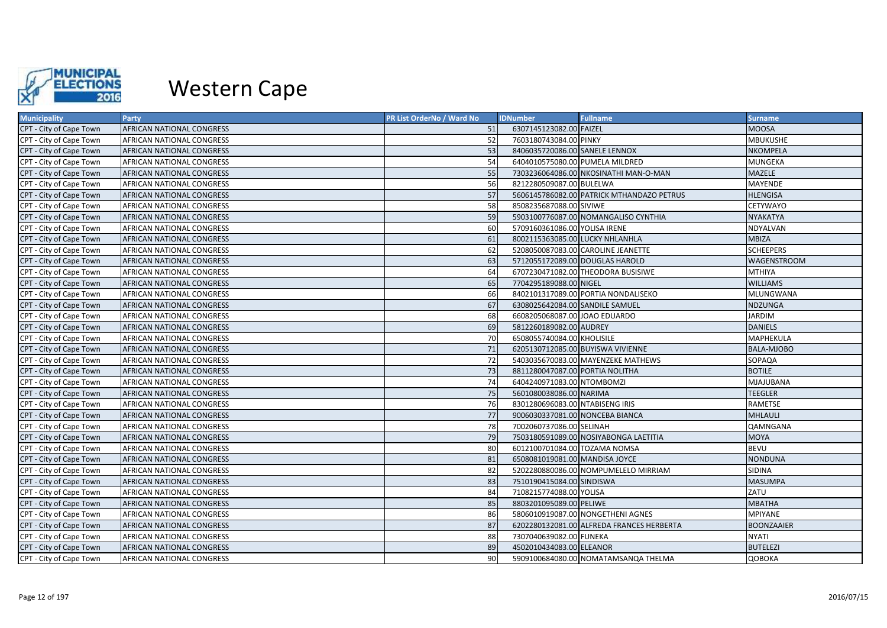

| <b>Municipality</b>     | Party                            | PR List OrderNo / Ward No | <b>IDNumber</b>                 | <b>Fullname</b>                           | <b>Surname</b>    |
|-------------------------|----------------------------------|---------------------------|---------------------------------|-------------------------------------------|-------------------|
| CPT - City of Cape Town | AFRICAN NATIONAL CONGRESS        | 51                        | 6307145123082.00 FAIZEL         |                                           | <b>MOOSA</b>      |
| CPT - City of Cape Town | AFRICAN NATIONAL CONGRESS        | 52                        | 7603180743084.00 PINKY          |                                           | <b>MBUKUSHE</b>   |
| CPT - City of Cape Town | AFRICAN NATIONAL CONGRESS        | 53                        | 8406035720086.00 SANELE LENNOX  |                                           | <b>NKOMPELA</b>   |
| CPT - City of Cape Town | AFRICAN NATIONAL CONGRESS        | 54                        | 6404010575080.00 PUMELA MILDRED |                                           | <b>MUNGEKA</b>    |
| CPT - City of Cape Town | AFRICAN NATIONAL CONGRESS        | 55                        |                                 | 7303236064086.00 NKOSINATHI MAN-O-MAN     | MAZELE            |
| CPT - City of Cape Town | AFRICAN NATIONAL CONGRESS        | 56                        | 8212280509087.00 BULELWA        |                                           | MAYENDE           |
| CPT - City of Cape Town | AFRICAN NATIONAL CONGRESS        | 57                        |                                 | 5606145786082.00 PATRICK MTHANDAZO PETRUS | <b>HLENGISA</b>   |
| CPT - City of Cape Town | AFRICAN NATIONAL CONGRESS        | 58                        | 8508235687088.00 SIVIWE         |                                           | CETYWAYO          |
| CPT - City of Cape Town | AFRICAN NATIONAL CONGRESS        | 59                        |                                 | 5903100776087.00 NOMANGALISO CYNTHIA      | <b>NYAKATYA</b>   |
| CPT - City of Cape Town | AFRICAN NATIONAL CONGRESS        | 60                        | 5709160361086.00 YOLISA IRENE   |                                           | NDYALVAN          |
| CPT - City of Cape Town | AFRICAN NATIONAL CONGRESS        | 61                        | 8002115363085.00 LUCKY NHLANHLA |                                           | <b>MBIZA</b>      |
| CPT - City of Cape Town | AFRICAN NATIONAL CONGRESS        | 62                        |                                 | 5208050087083.00 CAROLINE JEANETTE        | <b>SCHEEPERS</b>  |
| CPT - City of Cape Town | AFRICAN NATIONAL CONGRESS        | 63                        | 5712055172089.00 DOUGLAS HAROLD |                                           | WAGENSTROOM       |
| CPT - City of Cape Town | AFRICAN NATIONAL CONGRESS        | 64                        |                                 | 6707230471082.00 THEODORA BUSISIWE        | <b>MTHIYA</b>     |
| CPT - City of Cape Town | AFRICAN NATIONAL CONGRESS        | 65                        | 7704295189088.00 NIGEL          |                                           | <b>WILLIAMS</b>   |
| CPT - City of Cape Town | AFRICAN NATIONAL CONGRESS        | 66                        |                                 | 8402101317089.00 PORTIA NONDALISEKO       | MLUNGWANA         |
| CPT - City of Cape Town | AFRICAN NATIONAL CONGRESS        | 67                        | 6308025642084.00 SANDILE SAMUEL |                                           | <b>NDZUNGA</b>    |
| CPT - City of Cape Town | AFRICAN NATIONAL CONGRESS        | 68                        | 6608205068087.00 JOAO EDUARDO   |                                           | <b>JARDIM</b>     |
| CPT - City of Cape Town | AFRICAN NATIONAL CONGRESS        | 69                        | 5812260189082.00 AUDREY         |                                           | <b>DANIELS</b>    |
| CPT - City of Cape Town | AFRICAN NATIONAL CONGRESS        | 70                        | 6508055740084.00 KHOLISILE      |                                           | MAPHEKULA         |
| CPT - City of Cape Town | AFRICAN NATIONAL CONGRESS        | 71                        |                                 | 6205130712085.00 BUYISWA VIVIENNE         | BALA-MJOBO        |
| CPT - City of Cape Town | AFRICAN NATIONAL CONGRESS        | 72                        |                                 | 5403035670083.00 MAYENZEKE MATHEWS        | SOPAQA            |
| CPT - City of Cape Town | AFRICAN NATIONAL CONGRESS        | 73                        | 8811280047087.00 PORTIA NOLITHA |                                           | <b>BOTILE</b>     |
| CPT - City of Cape Town | AFRICAN NATIONAL CONGRESS        | 74                        | 6404240971083.00 NTOMBOMZI      |                                           | MJAJUBANA         |
| CPT - City of Cape Town | AFRICAN NATIONAL CONGRESS        | 75                        | 5601080038086.00 NARIMA         |                                           | <b>TEEGLER</b>    |
| CPT - City of Cape Town | AFRICAN NATIONAL CONGRESS        | 76                        | 8301280696083.00 NTABISENG IRIS |                                           | RAMETSE           |
| CPT - City of Cape Town | AFRICAN NATIONAL CONGRESS        | 77                        | 9006030337081.00 NONCEBA BIANCA |                                           | MHLAULI           |
| CPT - City of Cape Town | AFRICAN NATIONAL CONGRESS        | 78                        | 7002060737086.00 SELINAH        |                                           | QAMNGANA          |
| CPT - City of Cape Town | AFRICAN NATIONAL CONGRESS        | 79                        |                                 | 7503180591089.00 NOSIYABONGA LAETITIA     | <b>MOYA</b>       |
| CPT - City of Cape Town | AFRICAN NATIONAL CONGRESS        | 80                        | 6012100701084.00 TOZAMA NOMSA   |                                           | <b>BEVU</b>       |
| CPT - City of Cape Town | AFRICAN NATIONAL CONGRESS        | 81                        | 6508081019081.00 MANDISA JOYCE  |                                           | <b>NONDUNA</b>    |
| CPT - City of Cape Town | AFRICAN NATIONAL CONGRESS        | 82                        |                                 | 5202280880086.00 NOMPUMELELO MIRRIAM      | <b>SIDINA</b>     |
| CPT - City of Cape Town | <b>AFRICAN NATIONAL CONGRESS</b> | 83                        | 7510190415084.00 SINDISWA       |                                           | <b>MASUMPA</b>    |
| CPT - City of Cape Town | AFRICAN NATIONAL CONGRESS        | 84                        | 7108215774088.00 YOLISA         |                                           | ZATU              |
| CPT - City of Cape Town | AFRICAN NATIONAL CONGRESS        | 85                        | 8803201095089.00 PELIWE         |                                           | <b>MBATHA</b>     |
| CPT - City of Cape Town | AFRICAN NATIONAL CONGRESS        | 86                        |                                 | 5806010919087.00 NONGETHENI AGNES         | <b>MPIYANE</b>    |
| CPT - City of Cape Town | AFRICAN NATIONAL CONGRESS        | 87                        |                                 | 6202280132081.00 ALFREDA FRANCES HERBERTA | <b>BOONZAAIER</b> |
| CPT - City of Cape Town | AFRICAN NATIONAL CONGRESS        | 88                        | 7307040639082.00 FUNEKA         |                                           | <b>NYATI</b>      |
| CPT - City of Cape Town | AFRICAN NATIONAL CONGRESS        | 89                        | 4502010434083.00 ELEANOR        |                                           | <b>BUTELEZI</b>   |
| CPT - City of Cape Town | AFRICAN NATIONAL CONGRESS        | 90                        |                                 | 5909100684080.00 NOMATAMSANQA THELMA      | QOBOKA            |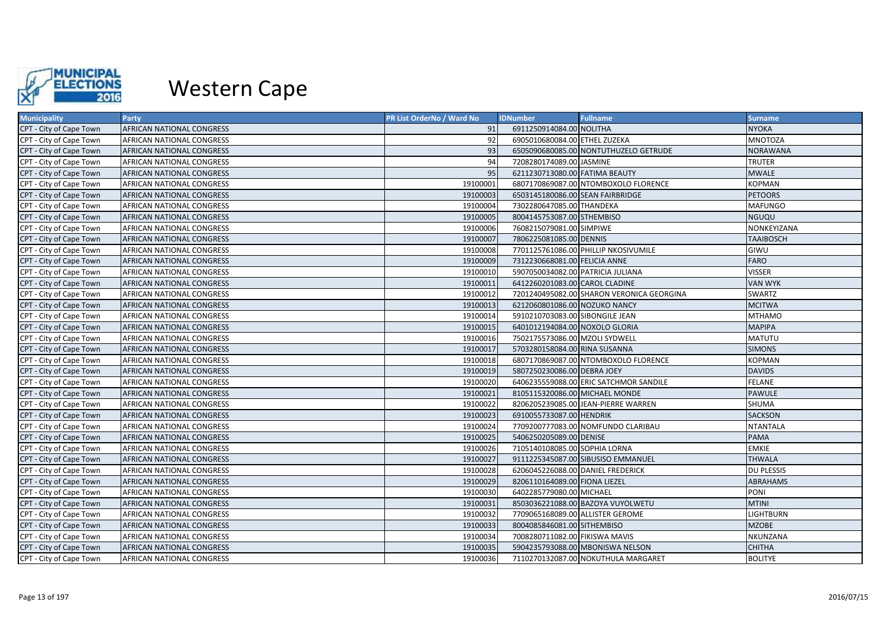

| <b>Municipality</b>     | <b>Party</b>              | PR List OrderNo / Ward No | <b>IDNumber</b>                   | <b>Fullname</b>                           | <b>Surname</b>    |
|-------------------------|---------------------------|---------------------------|-----------------------------------|-------------------------------------------|-------------------|
| CPT - City of Cape Town | AFRICAN NATIONAL CONGRESS | 91                        | 6911250914084.00 NOLITHA          |                                           | <b>NYOKA</b>      |
| CPT - City of Cape Town | AFRICAN NATIONAL CONGRESS | 92                        | 6905010680084.00 ETHEL ZUZEKA     |                                           | <b>MNOTOZA</b>    |
| CPT - City of Cape Town | AFRICAN NATIONAL CONGRESS | 93                        |                                   | 6505090680085.00 NONTUTHUZELO GETRUDE     | <b>NORAWANA</b>   |
| CPT - City of Cape Town | AFRICAN NATIONAL CONGRESS | 94                        | 7208280174089.00 JASMINE          |                                           | TRUTER            |
| CPT - City of Cape Town | AFRICAN NATIONAL CONGRESS | 95                        | 6211230713080.00 FATIMA BEAUTY    |                                           | <b>MWALE</b>      |
| CPT - City of Cape Town | AFRICAN NATIONAL CONGRESS | 19100001                  |                                   | 6807170869087.00 NTOMBOXOLO FLORENCE      | <b>KOPMAN</b>     |
| CPT - City of Cape Town | AFRICAN NATIONAL CONGRESS | 19100003                  | 6503145180086.00 SEAN FAIRBRIDGE  |                                           | <b>PETOORS</b>    |
| CPT - City of Cape Town | AFRICAN NATIONAL CONGRESS | 19100004                  | 7302280647085.00 THANDEKA         |                                           | <b>MAFUNGO</b>    |
| CPT - City of Cape Town | AFRICAN NATIONAL CONGRESS | 19100005                  | 8004145753087.00 STHEMBISO        |                                           | <b>NGUQU</b>      |
| CPT - City of Cape Town | AFRICAN NATIONAL CONGRESS | 19100006                  | 7608215079081.00 SIMPIWE          |                                           | NONKEYIZANA       |
| CPT - City of Cape Town | AFRICAN NATIONAL CONGRESS | 19100007                  | 7806225081085.00 DENNIS           |                                           | <b>TAAIBOSCH</b>  |
| CPT - City of Cape Town | AFRICAN NATIONAL CONGRESS | 19100008                  |                                   | 7701125761086.00 PHILLIP NKOSIVUMILE      | GIWU              |
| CPT - City of Cape Town | AFRICAN NATIONAL CONGRESS | 19100009                  | 7312230668081.00 FELICIA ANNE     |                                           | <b>FARO</b>       |
| CPT - City of Cape Town | AFRICAN NATIONAL CONGRESS | 19100010                  | 5907050034082.00 PATRICIA JULIANA |                                           | <b>VISSER</b>     |
| CPT - City of Cape Town | AFRICAN NATIONAL CONGRESS | 19100011                  | 6412260201083.00 CAROL CLADINE    |                                           | <b>VAN WYK</b>    |
| CPT - City of Cape Town | AFRICAN NATIONAL CONGRESS | 19100012                  |                                   | 7201240495082.00 SHARON VERONICA GEORGINA | <b>SWARTZ</b>     |
| CPT - City of Cape Town | AFRICAN NATIONAL CONGRESS | 19100013                  | 6212060801086.00 NOZUKO NANCY     |                                           | <b>MCITWA</b>     |
| CPT - City of Cape Town | AFRICAN NATIONAL CONGRESS | 19100014                  | 5910210703083.00 SIBONGILE JEAN   |                                           | <b>MTHAMO</b>     |
| CPT - City of Cape Town | AFRICAN NATIONAL CONGRESS | 19100015                  | 6401012194084.00 NOXOLO GLORIA    |                                           | <b>MAPIPA</b>     |
| CPT - City of Cape Town | AFRICAN NATIONAL CONGRESS | 19100016                  | 7502175573086.00 MZOLI SYDWELL    |                                           | <b>MATUTU</b>     |
| CPT - City of Cape Town | AFRICAN NATIONAL CONGRESS | 19100017                  | 5703280158084.00 RINA SUSANNA     |                                           | <b>SIMONS</b>     |
| CPT - City of Cape Town | AFRICAN NATIONAL CONGRESS | 19100018                  |                                   | 6807170869087.00 NTOMBOXOLO FLORENCE      | <b>KOPMAN</b>     |
| CPT - City of Cape Town | AFRICAN NATIONAL CONGRESS | 19100019                  | 5807250230086.00 DEBRA JOEY       |                                           | <b>DAVIDS</b>     |
| CPT - City of Cape Town | AFRICAN NATIONAL CONGRESS | 19100020                  |                                   | 6406235559088.00 ERIC SATCHMOR SANDILE    | <b>FELANE</b>     |
| CPT - City of Cape Town | AFRICAN NATIONAL CONGRESS | 19100021                  | 8105115320086.00 MICHAEL MONDE    |                                           | PAWULE            |
| CPT - City of Cape Town | AFRICAN NATIONAL CONGRESS | 19100022                  |                                   | 8206205239085.00 JEAN-PIERRE WARREN       | SHUMA             |
| CPT - City of Cape Town | AFRICAN NATIONAL CONGRESS | 19100023                  | 6910055733087.00 HENDRIK          |                                           | <b>SACKSON</b>    |
| CPT - City of Cape Town | AFRICAN NATIONAL CONGRESS | 19100024                  |                                   | 7709200777083.00 NOMFUNDO CLARIBAU        | <b>NTANTALA</b>   |
| CPT - City of Cape Town | AFRICAN NATIONAL CONGRESS | 19100025                  | 5406250205089.00 DENISE           |                                           | <b>PAMA</b>       |
| CPT - City of Cape Town | AFRICAN NATIONAL CONGRESS | 19100026                  | 7105140108085.00 SOPHIA LORNA     |                                           | <b>EMKIE</b>      |
| CPT - City of Cape Town | AFRICAN NATIONAL CONGRESS | 19100027                  |                                   | 9111225345087.00 SIBUSISO EMMANUEL        | <b>THWALA</b>     |
| CPT - City of Cape Town | AFRICAN NATIONAL CONGRESS | 19100028                  | 6206045226088.00 DANIEL FREDERICK |                                           | <b>DU PLESSIS</b> |
| CPT - City of Cape Town | AFRICAN NATIONAL CONGRESS | 19100029                  | 8206110164089.00 FIONA LIEZEL     |                                           | <b>ABRAHAMS</b>   |
| CPT - City of Cape Town | AFRICAN NATIONAL CONGRESS | 19100030                  | 6402285779080.00 MICHAEL          |                                           | PONI              |
| CPT - City of Cape Town | AFRICAN NATIONAL CONGRESS | 19100031                  |                                   | 8503036221088.00 BAZOYA VUYOLWETU         | <b>MTINI</b>      |
| CPT - City of Cape Town | AFRICAN NATIONAL CONGRESS | 19100032                  | 7709065168089.00 ALLISTER GEROME  |                                           | <b>LIGHTBURN</b>  |
| CPT - City of Cape Town | AFRICAN NATIONAL CONGRESS | 19100033                  | 8004085846081.00 SITHEMBISO       |                                           | <b>MZOBE</b>      |
| CPT - City of Cape Town | AFRICAN NATIONAL CONGRESS | 19100034                  | 7008280711082.00 FIKISWA MAVIS    |                                           | NKUNZANA          |
| CPT - City of Cape Town | AFRICAN NATIONAL CONGRESS | 19100035                  |                                   | 5904235793088.00 MBONISWA NELSON          | <b>CHITHA</b>     |
| CPT - City of Cape Town | AFRICAN NATIONAL CONGRESS | 19100036                  |                                   | 7110270132087.00 NOKUTHULA MARGARET       | <b>BOLITYE</b>    |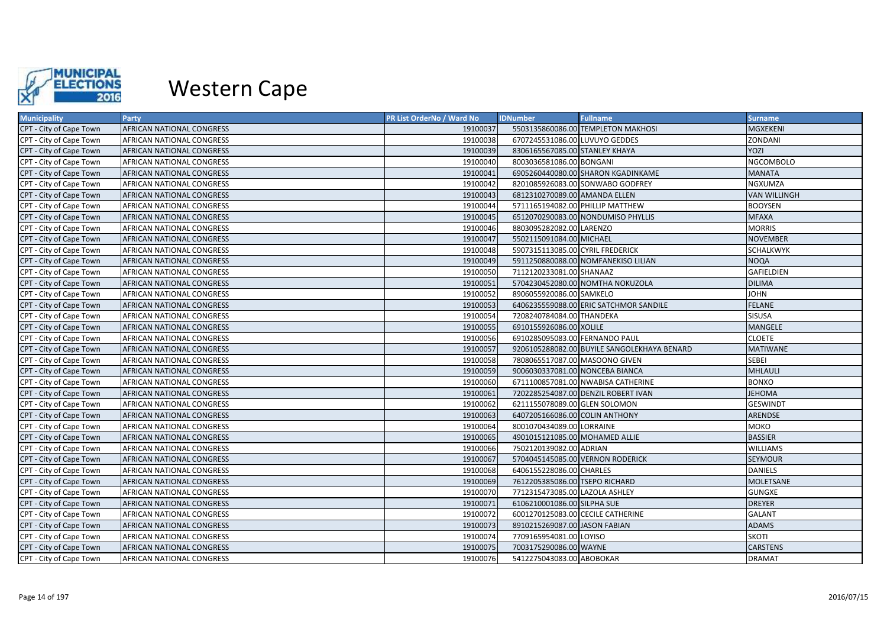

| <b>Municipality</b>     | Party                            | PR List OrderNo / Ward No | <b>IDNumber</b>                   | <b>Fullname</b>                             | <b>Surname</b>      |
|-------------------------|----------------------------------|---------------------------|-----------------------------------|---------------------------------------------|---------------------|
| CPT - City of Cape Town | AFRICAN NATIONAL CONGRESS        | 19100037                  |                                   | 5503135860086.00 TEMPLETON MAKHOSI          | <b>MGXEKENI</b>     |
| CPT - City of Cape Town | AFRICAN NATIONAL CONGRESS        | 19100038                  | 6707245531086.00 LUVUYO GEDDES    |                                             | ZONDANI             |
| CPT - City of Cape Town | AFRICAN NATIONAL CONGRESS        | 19100039                  | 8306165567085.00 STANLEY KHAYA    |                                             | YOZI                |
| CPT - City of Cape Town | AFRICAN NATIONAL CONGRESS        | 19100040                  | 8003036581086.00 BONGANI          |                                             | <b>NGCOMBOLO</b>    |
| CPT - City of Cape Town | AFRICAN NATIONAL CONGRESS        | 19100041                  |                                   | 6905260440080.00 SHARON KGADINKAME          | <b>MANATA</b>       |
| CPT - City of Cape Town | AFRICAN NATIONAL CONGRESS        | 19100042                  |                                   | 8201085926083.00 SONWABO GODFREY            | NGXUMZA             |
| CPT - City of Cape Town | AFRICAN NATIONAL CONGRESS        | 19100043                  | 6812310270089.00 AMANDA ELLEN     |                                             | <b>VAN WILLINGH</b> |
| CPT - City of Cape Town | AFRICAN NATIONAL CONGRESS        | 19100044                  | 5711165194082.00 PHILLIP MATTHEW  |                                             | <b>BOOYSEN</b>      |
| CPT - City of Cape Town | AFRICAN NATIONAL CONGRESS        | 19100045                  |                                   | 6512070290083.00 NONDUMISO PHYLLIS          | <b>MFAXA</b>        |
| CPT - City of Cape Town | AFRICAN NATIONAL CONGRESS        | 19100046                  | 8803095282082.00 LARENZO          |                                             | <b>MORRIS</b>       |
| CPT - City of Cape Town | AFRICAN NATIONAL CONGRESS        | 19100047                  | 5502115091084.00 MICHAEL          |                                             | <b>NOVEMBER</b>     |
| CPT - City of Cape Town | AFRICAN NATIONAL CONGRESS        | 19100048                  | 5907315113085.00 CYRIL FREDERICK  |                                             | <b>SCHALKWYK</b>    |
| CPT - City of Cape Town | AFRICAN NATIONAL CONGRESS        | 19100049                  |                                   | 5911250880088.00 NOMFANEKISO LILIAN         | <b>NOQA</b>         |
| CPT - City of Cape Town | AFRICAN NATIONAL CONGRESS        | 19100050                  | 7112120233081.00 SHANAAZ          |                                             | GAFIELDIEN          |
| CPT - City of Cape Town | AFRICAN NATIONAL CONGRESS        | 19100051                  |                                   | 5704230452080.00 NOMTHA NOKUZOLA            | <b>DILIMA</b>       |
| CPT - City of Cape Town | AFRICAN NATIONAL CONGRESS        | 19100052                  | 8906055920086.00 SAMKELO          |                                             | <b>JOHN</b>         |
| CPT - City of Cape Town | AFRICAN NATIONAL CONGRESS        | 19100053                  |                                   | 6406235559088.00 ERIC SATCHMOR SANDILE      | <b>FELANE</b>       |
| CPT - City of Cape Town | AFRICAN NATIONAL CONGRESS        | 19100054                  | 7208240784084.00 THANDEKA         |                                             | <b>SISUSA</b>       |
| CPT - City of Cape Town | AFRICAN NATIONAL CONGRESS        | 19100055                  | 6910155926086.00 XOLILE           |                                             | MANGELE             |
| CPT - City of Cape Town | AFRICAN NATIONAL CONGRESS        | 19100056                  | 6910285095083.00 FERNANDO PAUL    |                                             | <b>CLOETE</b>       |
| CPT - City of Cape Town | AFRICAN NATIONAL CONGRESS        | 19100057                  |                                   | 9206105288082.00 BUYILE SANGOLEKHAYA BENARD | <b>MATIWANE</b>     |
| CPT - City of Cape Town | AFRICAN NATIONAL CONGRESS        | 19100058                  | 7808065517087.00 MASOONO GIVEN    |                                             | SEBEI               |
| CPT - City of Cape Town | <b>AFRICAN NATIONAL CONGRESS</b> | 19100059                  | 9006030337081.00 NONCEBA BIANCA   |                                             | <b>MHLAULI</b>      |
| CPT - City of Cape Town | AFRICAN NATIONAL CONGRESS        | 19100060                  |                                   | 6711100857081.00 NWABISA CATHERINE          | <b>BONXO</b>        |
| CPT - City of Cape Town | AFRICAN NATIONAL CONGRESS        | 19100061                  |                                   | 7202285254087.00 DENZIL ROBERT IVAN         | <b>JEHOMA</b>       |
| CPT - City of Cape Town | AFRICAN NATIONAL CONGRESS        | 19100062                  | 6211155078089.00 GLEN SOLOMON     |                                             | GESWINDT            |
| CPT - City of Cape Town | AFRICAN NATIONAL CONGRESS        | 19100063                  | 6407205166086.00 COLIN ANTHONY    |                                             | ARENDSE             |
| CPT - City of Cape Town | AFRICAN NATIONAL CONGRESS        | 19100064                  | 8001070434089.00 LORRAINE         |                                             | МОКО                |
| CPT - City of Cape Town | AFRICAN NATIONAL CONGRESS        | 19100065                  | 4901015121085.00 MOHAMED ALLIE    |                                             | <b>BASSIER</b>      |
| CPT - City of Cape Town | AFRICAN NATIONAL CONGRESS        | 19100066                  | 7502120139082.00 ADRIAN           |                                             | WILLIAMS            |
| CPT - City of Cape Town | AFRICAN NATIONAL CONGRESS        | 19100067                  |                                   | 5704045145085.00 VERNON RODERICK            | <b>SEYMOUR</b>      |
| CPT - City of Cape Town | AFRICAN NATIONAL CONGRESS        | 19100068                  | 6406155228086.00 CHARLES          |                                             | <b>DANIELS</b>      |
| CPT - City of Cape Town | AFRICAN NATIONAL CONGRESS        | 19100069                  | 7612205385086.00 TSEPO RICHARD    |                                             | <b>MOLETSANE</b>    |
| CPT - City of Cape Town | AFRICAN NATIONAL CONGRESS        | 19100070                  | 7712315473085.00 LAZOLA ASHLEY    |                                             | <b>GUNGXE</b>       |
| CPT - City of Cape Town | AFRICAN NATIONAL CONGRESS        | 19100071                  | 6106210001086.00 SILPHA SUE       |                                             | <b>DREYER</b>       |
| CPT - City of Cape Town | AFRICAN NATIONAL CONGRESS        | 19100072                  | 6001270125083.00 CECILE CATHERINE |                                             | <b>GALANT</b>       |
| CPT - City of Cape Town | AFRICAN NATIONAL CONGRESS        | 19100073                  | 8910215269087.00 JASON FABIAN     |                                             | <b>ADAMS</b>        |
| CPT - City of Cape Town | AFRICAN NATIONAL CONGRESS        | 19100074                  | 7709165954081.00 LOYISO           |                                             | <b>SKOTI</b>        |
| CPT - City of Cape Town | AFRICAN NATIONAL CONGRESS        | 19100075                  | 7003175290086.00 WAYNE            |                                             | <b>CARSTENS</b>     |
| CPT - City of Cape Town | AFRICAN NATIONAL CONGRESS        | 19100076                  | 5412275043083.00 ABOBOKAR         |                                             | <b>DRAMAT</b>       |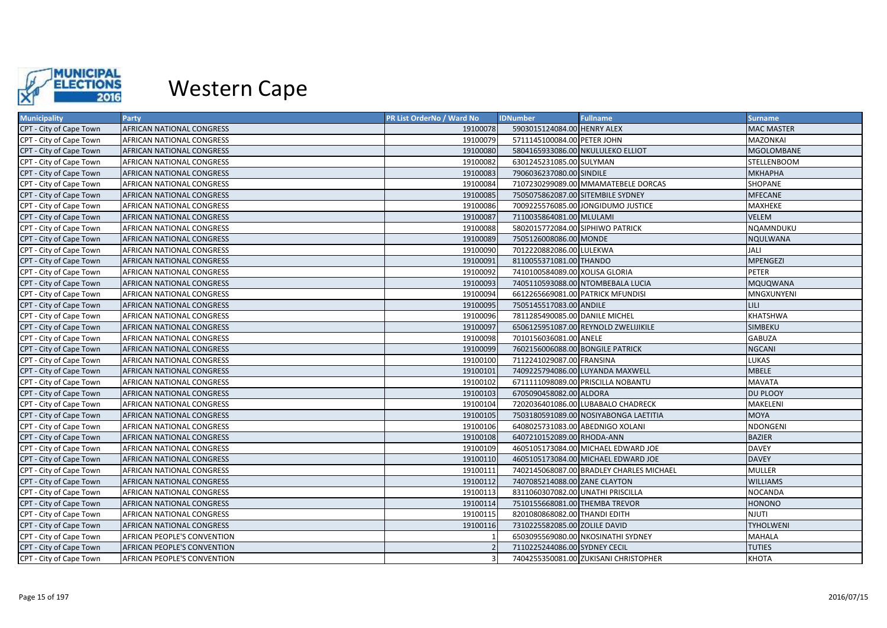

| <b>Municipality</b>     | Party                              | PR List OrderNo / Ward No | <b>IDNumber</b>                   | <b>Fullname</b>                          | <b>Surname</b>     |
|-------------------------|------------------------------------|---------------------------|-----------------------------------|------------------------------------------|--------------------|
| CPT - City of Cape Town | AFRICAN NATIONAL CONGRESS          | 19100078                  | 5903015124084.00 HENRY ALEX       |                                          | <b>MAC MASTER</b>  |
| CPT - City of Cape Town | AFRICAN NATIONAL CONGRESS          | 19100079                  | 5711145100084.00 PETER JOHN       |                                          | MAZONKAI           |
| CPT - City of Cape Town | AFRICAN NATIONAL CONGRESS          | 19100080                  | 5804165933086.00 NKULULEKO ELLIOT |                                          | MGOLOMBANE         |
| CPT - City of Cape Town | AFRICAN NATIONAL CONGRESS          | 19100082                  | 6301245231085.00 SULYMAN          |                                          | <b>STELLENBOOM</b> |
| CPT - City of Cape Town | AFRICAN NATIONAL CONGRESS          | 19100083                  | 7906036237080.00 SINDILE          |                                          | <b>МКНАРНА</b>     |
| CPT - City of Cape Town | AFRICAN NATIONAL CONGRESS          | 19100084                  |                                   | 7107230299089.00 MMAMATEBELE DORCAS      | <b>SHOPANE</b>     |
| CPT - City of Cape Town | AFRICAN NATIONAL CONGRESS          | 19100085                  | 7505075862087.00 SITEMBILE SYDNEY |                                          | <b>MFECANE</b>     |
| CPT - City of Cape Town | AFRICAN NATIONAL CONGRESS          | 19100086                  |                                   | 7009225576085.00 JONGIDUMO JUSTICE       | MAXHEKE            |
| CPT - City of Cape Town | AFRICAN NATIONAL CONGRESS          | 19100087                  | 7110035864081.00 MLULAMI          |                                          | VELEM              |
| CPT - City of Cape Town | AFRICAN NATIONAL CONGRESS          | 19100088                  | 5802015772084.00 SIPHIWO PATRICK  |                                          | NQAMNDUKU          |
| CPT - City of Cape Town | AFRICAN NATIONAL CONGRESS          | 19100089                  | 7505126008086.00 MONDE            |                                          | NQULWANA           |
| CPT - City of Cape Town | AFRICAN NATIONAL CONGRESS          | 19100090                  | 7012220882086.00 LULEKWA          |                                          | <b>JALI</b>        |
| CPT - City of Cape Town | AFRICAN NATIONAL CONGRESS          | 19100091                  | 8110055371081.00 THANDO           |                                          | <b>MPENGEZI</b>    |
| CPT - City of Cape Town | AFRICAN NATIONAL CONGRESS          | 19100092                  | 7410100584089.00 XOLISA GLORIA    |                                          | PETER              |
| CPT - City of Cape Town | AFRICAN NATIONAL CONGRESS          | 19100093                  |                                   | 7405110593088.00 NTOMBEBALA LUCIA        | MQUQWANA           |
| CPT - City of Cape Town | AFRICAN NATIONAL CONGRESS          | 19100094                  | 6612265669081.00 PATRICK MFUNDISI |                                          | MNGXUNYENI         |
| CPT - City of Cape Town | AFRICAN NATIONAL CONGRESS          | 19100095                  | 7505145517083.00 ANDILE           |                                          | <b>LILI</b>        |
| CPT - City of Cape Town | AFRICAN NATIONAL CONGRESS          | 19100096                  | 7811285490085.00 DANILE MICHEL    |                                          | <b>KHATSHWA</b>    |
| CPT - City of Cape Town | AFRICAN NATIONAL CONGRESS          | 19100097                  |                                   | 6506125951087.00 REYNOLD ZWELIJIKILE     | SIMBEKU            |
| CPT - City of Cape Town | AFRICAN NATIONAL CONGRESS          | 19100098                  | 7010156036081.00 ANELE            |                                          | <b>GABUZA</b>      |
| CPT - City of Cape Town | AFRICAN NATIONAL CONGRESS          | 19100099                  | 7602156006088.00 BONGILE PATRICK  |                                          | <b>NGCANI</b>      |
| CPT - City of Cape Town | AFRICAN NATIONAL CONGRESS          | 19100100                  | 7112241029087.00 FRANSINA         |                                          | LUKAS              |
| CPT - City of Cape Town | <b>AFRICAN NATIONAL CONGRESS</b>   | 19100101                  |                                   | 7409225794086.00 LUYANDA MAXWELL         | <b>MBELE</b>       |
| CPT - City of Cape Town | AFRICAN NATIONAL CONGRESS          | 19100102                  |                                   | 6711111098089.00 PRISCILLA NOBANTU       | <b>MAVATA</b>      |
| CPT - City of Cape Town | AFRICAN NATIONAL CONGRESS          | 19100103                  | 6705090458082.00 ALDORA           |                                          | DU PLOOY           |
| CPT - City of Cape Town | AFRICAN NATIONAL CONGRESS          | 19100104                  |                                   | 7202036401086.00 LUBABALO CHADRECK       | MAKELENI           |
| CPT - City of Cape Town | AFRICAN NATIONAL CONGRESS          | 19100105                  |                                   | 7503180591089.00 NOSIYABONGA LAETITIA    | <b>MOYA</b>        |
| CPT - City of Cape Town | AFRICAN NATIONAL CONGRESS          | 19100106                  | 6408025731083.00 ABEDNIGO XOLANI  |                                          | NDONGENI           |
| CPT - City of Cape Town | AFRICAN NATIONAL CONGRESS          | 19100108                  | 6407210152089.00 RHODA-ANN        |                                          | <b>BAZIER</b>      |
| CPT - City of Cape Town | AFRICAN NATIONAL CONGRESS          | 19100109                  |                                   | 4605105173084.00 MICHAEL EDWARD JOE      | <b>DAVEY</b>       |
| CPT - City of Cape Town | AFRICAN NATIONAL CONGRESS          | 19100110                  |                                   | 4605105173084.00 MICHAEL EDWARD JOE      | <b>DAVEY</b>       |
| CPT - City of Cape Town | AFRICAN NATIONAL CONGRESS          | 19100111                  |                                   | 7402145068087.00 BRADLEY CHARLES MICHAEL | MULLER             |
| CPT - City of Cape Town | AFRICAN NATIONAL CONGRESS          | 19100112                  | 7407085214088.00 ZANE CLAYTON     |                                          | <b>WILLIAMS</b>    |
| CPT - City of Cape Town | AFRICAN NATIONAL CONGRESS          | 19100113                  | 8311060307082.00 UNATHI PRISCILLA |                                          | <b>NOCANDA</b>     |
| CPT - City of Cape Town | AFRICAN NATIONAL CONGRESS          | 19100114                  | 7510155668081.00 THEMBA TREVOR    |                                          | <b>HONONO</b>      |
| CPT - City of Cape Town | AFRICAN NATIONAL CONGRESS          | 19100115                  | 8201080868082.00 THANDI EDITH     |                                          | <b>NJUTI</b>       |
| CPT - City of Cape Town | AFRICAN NATIONAL CONGRESS          | 19100116                  | 7310225582085.00 ZOLILE DAVID     |                                          | <b>TYHOLWENI</b>   |
| CPT - City of Cape Town | AFRICAN PEOPLE'S CONVENTION        |                           |                                   | 6503095569080.00 NKOSINATHI SYDNEY       | MAHALA             |
| CPT - City of Cape Town | <b>AFRICAN PEOPLE'S CONVENTION</b> |                           | 7110225244086.00 SYDNEY CECIL     |                                          | <b>TUTIES</b>      |
| CPT - City of Cape Town | AFRICAN PEOPLE'S CONVENTION        |                           |                                   | 7404255350081.00 ZUKISANI CHRISTOPHER    | <b>KHOTA</b>       |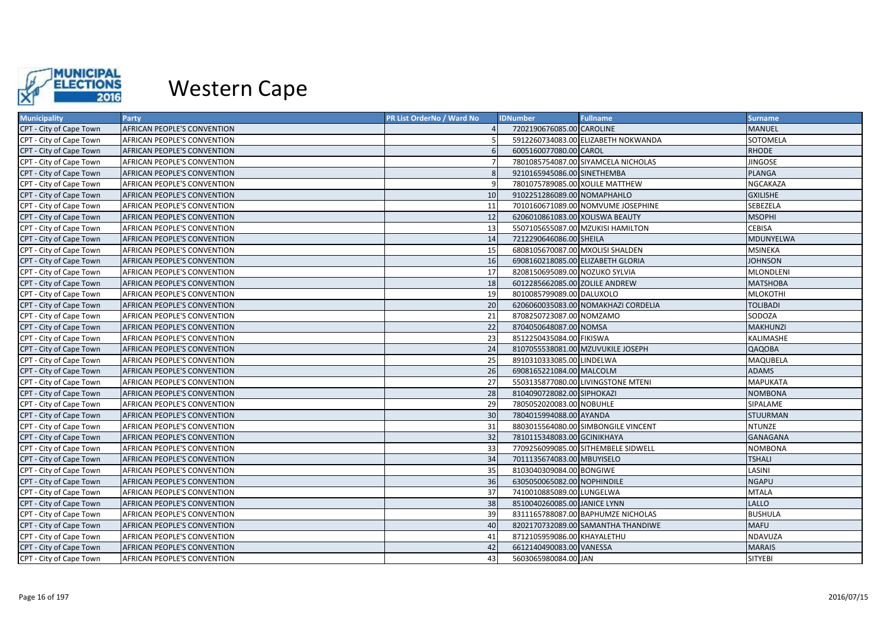

| <b>Municipality</b>     | Party                              | PR List OrderNo / Ward No | <b>IDNumber</b>                   | <b>Fullname</b>                     | <b>Surname</b>   |
|-------------------------|------------------------------------|---------------------------|-----------------------------------|-------------------------------------|------------------|
| CPT - City of Cape Town | AFRICAN PEOPLE'S CONVENTION        |                           | 7202190676085.00 CAROLINE         |                                     | <b>MANUEL</b>    |
| CPT - City of Cape Town | <b>AFRICAN PEOPLE'S CONVENTION</b> |                           |                                   | 5912260734083.00 ELIZABETH NOKWANDA | SOTOMELA         |
| CPT - City of Cape Town | AFRICAN PEOPLE'S CONVENTION        |                           | 6005160077080.00 CAROL            |                                     | <b>RHODE</b>     |
| CPT - City of Cape Town | AFRICAN PEOPLE'S CONVENTION        |                           |                                   | 7801085754087.00 SIYAMCELA NICHOLAS | <b>JINGOSE</b>   |
| CPT - City of Cape Town | AFRICAN PEOPLE'S CONVENTION        |                           | 9210165945086.00 SINETHEMBA       |                                     | <b>PLANGA</b>    |
| CPT - City of Cape Town | AFRICAN PEOPLE'S CONVENTION        |                           | 7801075789085.00 XOLILE MATTHEW   |                                     | <b>NGCAKAZA</b>  |
| CPT - City of Cape Town | AFRICAN PEOPLE'S CONVENTION        | 10 <sup>1</sup>           | 9102251286089.00 NOMAPHAHLO       |                                     | <b>GXILISHE</b>  |
| CPT - City of Cape Town | AFRICAN PEOPLE'S CONVENTION        | 11                        |                                   | 7010160671089.00 NOMVUME JOSEPHINE  | SEBEZELA         |
| CPT - City of Cape Town | AFRICAN PEOPLE'S CONVENTION        | 12                        | 6206010861083.00 XOLISWA BEAUTY   |                                     | <b>MSOPHI</b>    |
| CPT - City of Cape Town | AFRICAN PEOPLE'S CONVENTION        | 13                        |                                   | 5507105655087.00 MZUKISI HAMILTON   | <b>CEBISA</b>    |
| CPT - City of Cape Town | AFRICAN PEOPLE'S CONVENTION        | 14                        | 7212290646086.00 SHEILA           |                                     | MDUNYELWA        |
| CPT - City of Cape Town | AFRICAN PEOPLE'S CONVENTION        | 15                        | 6808105670087.00 MXOLISI SHALDEN  |                                     | <b>MSINEKA</b>   |
| CPT - City of Cape Town | AFRICAN PEOPLE'S CONVENTION        | 16                        | 6908160218085.00 ELIZABETH GLORIA |                                     | <b>JOHNSON</b>   |
| CPT - City of Cape Town | AFRICAN PEOPLE'S CONVENTION        | 17                        | 8208150695089.00 NOZUKO SYLVIA    |                                     | <b>MLONDLENI</b> |
| CPT - City of Cape Town | AFRICAN PEOPLE'S CONVENTION        | 18                        | 6012285662085.00 ZOLILE ANDREW    |                                     | <b>MATSHOBA</b>  |
| CPT - City of Cape Town | AFRICAN PEOPLE'S CONVENTION        | 19                        | 8010085799089.00 DALUXOLO         |                                     | <b>М</b> ГОКОТНІ |
| CPT - City of Cape Town | <b>AFRICAN PEOPLE'S CONVENTION</b> | 20                        |                                   | 6206060035083.00 NOMAKHAZI CORDELIA | <b>TOLIBADI</b>  |
| CPT - City of Cape Town | AFRICAN PEOPLE'S CONVENTION        | 21                        | 8708250723087.00 NOMZAMO          |                                     | SODOZA           |
| CPT - City of Cape Town | AFRICAN PEOPLE'S CONVENTION        | 22                        | 8704050648087.00 NOMSA            |                                     | <b>MAKHUNZI</b>  |
| CPT - City of Cape Town | AFRICAN PEOPLE'S CONVENTION        | 23                        | 8512250435084.00 FIKISWA          |                                     | KALIMASHE        |
| CPT - City of Cape Town | AFRICAN PEOPLE'S CONVENTION        | 24                        |                                   | 8107055538081.00 MZUVUKILE JOSEPH   | <b>QAQOBA</b>    |
| CPT - City of Cape Town | AFRICAN PEOPLE'S CONVENTION        | 25                        | 8910310333085.00 LINDELWA         |                                     | MAQUBELA         |
| CPT - City of Cape Town | <b>AFRICAN PEOPLE'S CONVENTION</b> | 26                        | 6908165221084.00 MALCOLM          |                                     | <b>ADAMS</b>     |
| CPT - City of Cape Town | AFRICAN PEOPLE'S CONVENTION        | 27                        |                                   | 5503135877080.00 LIVINGSTONE MTENI  | <b>MAPUKATA</b>  |
| CPT - City of Cape Town | AFRICAN PEOPLE'S CONVENTION        | 28                        | 8104090728082.00 SIPHOKAZI        |                                     | <b>NOMBONA</b>   |
| CPT - City of Cape Town | AFRICAN PEOPLE'S CONVENTION        | 29                        | 7805052020083.00 NOBUHLE          |                                     | SIPALAME         |
| CPT - City of Cape Town | AFRICAN PEOPLE'S CONVENTION        | 30                        | 7804015994088.00 AYANDA           |                                     | <b>STUURMAN</b>  |
| CPT - City of Cape Town | AFRICAN PEOPLE'S CONVENTION        | 31                        |                                   | 8803015564080.00 SIMBONGILE VINCENT | <b>NTUNZE</b>    |
| CPT - City of Cape Town | <b>AFRICAN PEOPLE'S CONVENTION</b> | 32                        | 7810115348083.00 GCINIKHAYA       |                                     | <b>GANAGANA</b>  |
| CPT - City of Cape Town | AFRICAN PEOPLE'S CONVENTION        | 33                        |                                   | 7709256099085.00 SITHEMBELE SIDWELL | <b>NOMBONA</b>   |
| CPT - City of Cape Town | AFRICAN PEOPLE'S CONVENTION        | 34                        | 7011135674083.00 MBUYISELO        |                                     | <b>TSHALI</b>    |
| CPT - City of Cape Town | AFRICAN PEOPLE'S CONVENTION        | 35                        | 8103040309084.00 BONGIWE          |                                     | LASINI           |
| CPT - City of Cape Town | AFRICAN PEOPLE'S CONVENTION        | 36                        | 6305050065082.00 NOPHINDILE       |                                     | <b>NGAPU</b>     |
| CPT - City of Cape Town | AFRICAN PEOPLE'S CONVENTION        | 37                        | 7410010885089.00 LUNGELWA         |                                     | <b>MTALA</b>     |
| CPT - City of Cape Town | <b>AFRICAN PEOPLE'S CONVENTION</b> | 38                        | 8510040260085.00 JANICE LYNN      |                                     | <b>LALLO</b>     |
| CPT - City of Cape Town | AFRICAN PEOPLE'S CONVENTION        | 39                        |                                   | 8311165788087.00 BAPHUMZE NICHOLAS  | <b>BUSHULA</b>   |
| CPT - City of Cape Town | AFRICAN PEOPLE'S CONVENTION        | 40                        |                                   | 8202170732089.00 SAMANTHA THANDIWE  | <b>MAFU</b>      |
| CPT - City of Cape Town | AFRICAN PEOPLE'S CONVENTION        | 41                        | 8712105959086.00 KHAYALETHU       |                                     | NDAVUZA          |
| CPT - City of Cape Town | AFRICAN PEOPLE'S CONVENTION        | 42                        | 6612140490083.00 VANESSA          |                                     | <b>MARAIS</b>    |
| CPT - City of Cape Town | AFRICAN PEOPLE'S CONVENTION        | 43                        | 5603065980084.00 JAN              |                                     | <b>SITYEBI</b>   |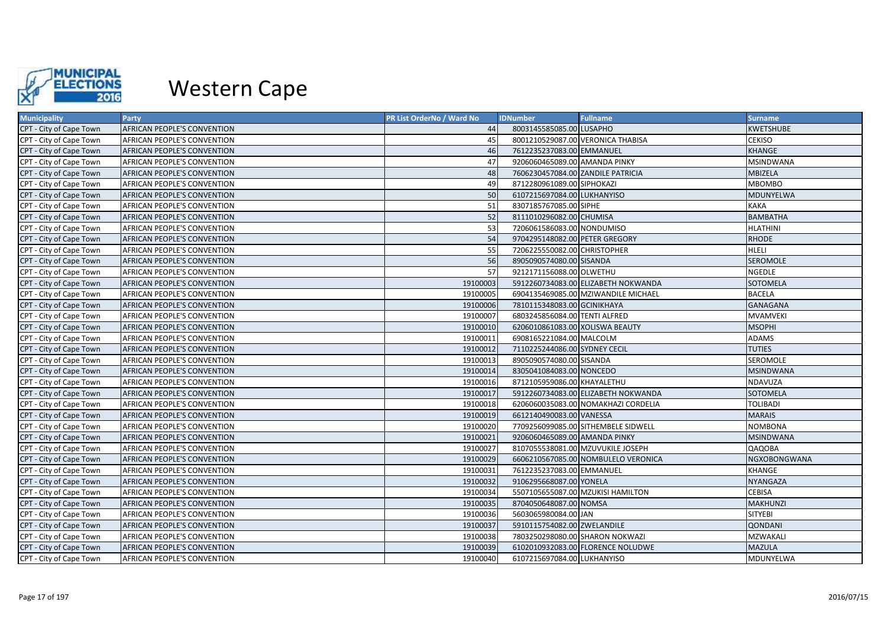

| <b>Municipality</b>     | Party                              | PR List OrderNo / Ward No | <b>IDNumber</b>                   | <b>Fullname</b>                     | <b>Surname</b>   |
|-------------------------|------------------------------------|---------------------------|-----------------------------------|-------------------------------------|------------------|
| CPT - City of Cape Town | AFRICAN PEOPLE'S CONVENTION        | 44                        | 8003145585085.00 LUSAPHO          |                                     | <b>KWETSHUBE</b> |
| CPT - City of Cape Town | AFRICAN PEOPLE'S CONVENTION        | 45                        |                                   | 8001210529087.00 VERONICA THABISA   | <b>CEKISO</b>    |
| CPT - City of Cape Town | AFRICAN PEOPLE'S CONVENTION        | 46                        | 7612235237083.00 EMMANUEL         |                                     | <b>KHANGE</b>    |
| CPT - City of Cape Town | AFRICAN PEOPLE'S CONVENTION        | 47                        | 9206060465089.00 AMANDA PINKY     |                                     | <b>MSINDWANA</b> |
| CPT - City of Cape Town | AFRICAN PEOPLE'S CONVENTION        | 48                        | 7606230457084.00 ZANDILE PATRICIA |                                     | MBIZELA          |
| CPT - City of Cape Town | AFRICAN PEOPLE'S CONVENTION        | 49                        | 8712280961089.00 SIPHOKAZI        |                                     | <b>MBOMBO</b>    |
| CPT - City of Cape Town | AFRICAN PEOPLE'S CONVENTION        | 50                        | 6107215697084.00 LUKHANYISO       |                                     | MDUNYELWA        |
| CPT - City of Cape Town | AFRICAN PEOPLE'S CONVENTION        | 51                        | 8307185767085.00 SIPHE            |                                     | <b>KAKA</b>      |
| CPT - City of Cape Town | AFRICAN PEOPLE'S CONVENTION        | 52                        | 8111010296082.00 CHUMISA          |                                     | <b>BAMBATHA</b>  |
| CPT - City of Cape Town | AFRICAN PEOPLE'S CONVENTION        | 53                        | 7206061586083.00 NONDUMISO        |                                     | <b>HLATHINI</b>  |
| CPT - City of Cape Town | AFRICAN PEOPLE'S CONVENTION        | 54                        | 9704295148082.00 PETER GREGORY    |                                     | <b>RHODE</b>     |
| CPT - City of Cape Town | AFRICAN PEOPLE'S CONVENTION        | 55                        | 7206225550082.00 CHRISTOPHER      |                                     | <b>HLELI</b>     |
| CPT - City of Cape Town | AFRICAN PEOPLE'S CONVENTION        | 56                        | 8905090574080.00 SISANDA          |                                     | <b>SEROMOLE</b>  |
| CPT - City of Cape Town | <b>AFRICAN PEOPLE'S CONVENTION</b> | 57                        | 9212171156088.00 OLWETHU          |                                     | <b>NGEDLE</b>    |
| CPT - City of Cape Town | AFRICAN PEOPLE'S CONVENTION        | 19100003                  |                                   | 5912260734083.00 ELIZABETH NOKWANDA | SOTOMELA         |
| CPT - City of Cape Town | AFRICAN PEOPLE'S CONVENTION        | 19100005                  |                                   | 6904135469085.00 MZIWANDILE MICHAEL | <b>BACELA</b>    |
| CPT - City of Cape Town | AFRICAN PEOPLE'S CONVENTION        | 19100006                  | 7810115348083.00 GCINIKHAYA       |                                     | <b>GANAGANA</b>  |
| CPT - City of Cape Town | AFRICAN PEOPLE'S CONVENTION        | 19100007                  | 6803245856084.00 TENTI ALFRED     |                                     | <b>MVAMVEKI</b>  |
| CPT - City of Cape Town | AFRICAN PEOPLE'S CONVENTION        | 19100010                  | 6206010861083.00 XOLISWA BEAUTY   |                                     | <b>MSOPHI</b>    |
| CPT - City of Cape Town | AFRICAN PEOPLE'S CONVENTION        | 19100011                  | 6908165221084.00 MALCOLM          |                                     | <b>ADAMS</b>     |
| CPT - City of Cape Town | AFRICAN PEOPLE'S CONVENTION        | 19100012                  | 7110225244086.00 SYDNEY CECIL     |                                     | <b>TUTIES</b>    |
| CPT - City of Cape Town | AFRICAN PEOPLE'S CONVENTION        | 19100013                  | 8905090574080.00 SISANDA          |                                     | SEROMOLE         |
| CPT - City of Cape Town | AFRICAN PEOPLE'S CONVENTION        | 19100014                  | 8305041084083.00 NONCEDO          |                                     | <b>MSINDWANA</b> |
| CPT - City of Cape Town | AFRICAN PEOPLE'S CONVENTION        | 19100016                  | 8712105959086.00 KHAYALETHU       |                                     | NDAVUZA          |
| CPT - City of Cape Town | AFRICAN PEOPLE'S CONVENTION        | 19100017                  |                                   | 5912260734083.00 ELIZABETH NOKWANDA | SOTOMELA         |
| CPT - City of Cape Town | AFRICAN PEOPLE'S CONVENTION        | 19100018                  |                                   | 6206060035083.00 NOMAKHAZI CORDELIA | <b>TOLIBADI</b>  |
| CPT - City of Cape Town | AFRICAN PEOPLE'S CONVENTION        | 19100019                  | 6612140490083.00 VANESSA          |                                     | <b>MARAIS</b>    |
| CPT - City of Cape Town | AFRICAN PEOPLE'S CONVENTION        | 19100020                  |                                   | 7709256099085.00 SITHEMBELE SIDWELL | <b>NOMBONA</b>   |
| CPT - City of Cape Town | <b>AFRICAN PEOPLE'S CONVENTION</b> | 19100021                  | 9206060465089.00 AMANDA PINKY     |                                     | <b>MSINDWANA</b> |
| CPT - City of Cape Town | AFRICAN PEOPLE'S CONVENTION        | 19100027                  |                                   | 8107055538081.00 MZUVUKILE JOSEPH   | QAQOBA           |
| CPT - City of Cape Town | AFRICAN PEOPLE'S CONVENTION        | 19100029                  |                                   | 6606210567085.00 NOMBULELO VERONICA | NGXOBONGWANA     |
| CPT - City of Cape Town | AFRICAN PEOPLE'S CONVENTION        | 19100031                  | 7612235237083.00 EMMANUEL         |                                     | KHANGE           |
| CPT - City of Cape Town | AFRICAN PEOPLE'S CONVENTION        | 19100032                  | 9106295668087.00 YONELA           |                                     | <b>NYANGAZA</b>  |
| CPT - City of Cape Town | AFRICAN PEOPLE'S CONVENTION        | 19100034                  |                                   | 5507105655087.00 MZUKISI HAMILTON   | <b>CEBISA</b>    |
| CPT - City of Cape Town | AFRICAN PEOPLE'S CONVENTION        | 19100035                  | 8704050648087.00 NOMSA            |                                     | <b>MAKHUNZI</b>  |
| CPT - City of Cape Town | AFRICAN PEOPLE'S CONVENTION        | 19100036                  | 5603065980084.00 JAN              |                                     | <b>SITYEBI</b>   |
| CPT - City of Cape Town | AFRICAN PEOPLE'S CONVENTION        | 19100037                  | 5910115754082.00 ZWELANDILE       |                                     | <b>QONDANI</b>   |
| CPT - City of Cape Town | AFRICAN PEOPLE'S CONVENTION        | 19100038                  | 7803250298080.00 SHARON NOKWAZI   |                                     | MZWAKALI         |
| CPT - City of Cape Town | AFRICAN PEOPLE'S CONVENTION        | 19100039                  |                                   | 6102010932083.00 FLORENCE NOLUDWE   | <b>MAZULA</b>    |
| CPT - City of Cape Town | AFRICAN PEOPLE'S CONVENTION        | 19100040                  | 6107215697084.00 LUKHANYISO       |                                     | MDUNYELWA        |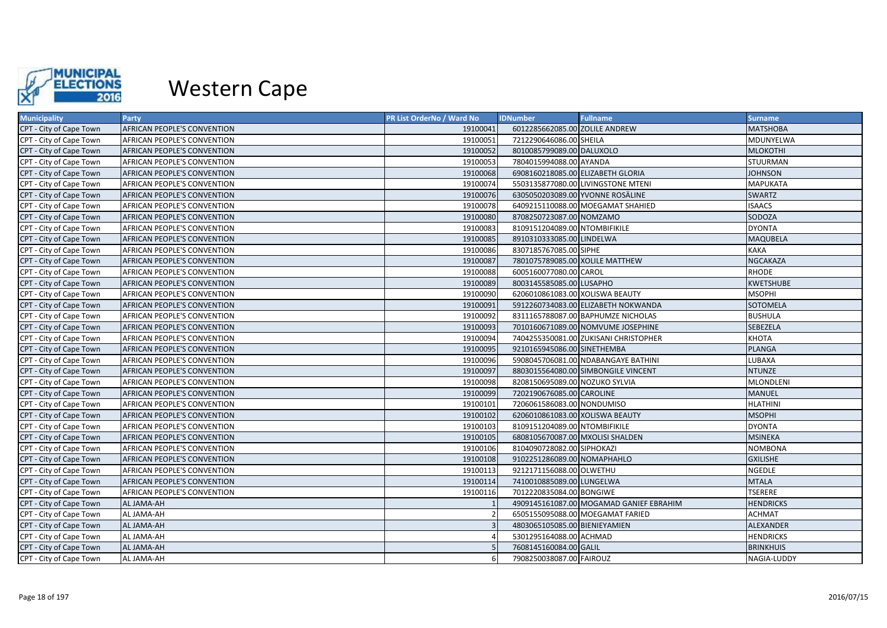

| <b>Municipality</b>     | Party                              | PR List OrderNo / Ward No | <b>IDNumber</b>                   | <b>Fullname</b>                         | <b>Surname</b>   |
|-------------------------|------------------------------------|---------------------------|-----------------------------------|-----------------------------------------|------------------|
| CPT - City of Cape Town | AFRICAN PEOPLE'S CONVENTION        | 19100041                  | 6012285662085.00 ZOLILE ANDREW    |                                         | <b>MATSHOBA</b>  |
| CPT - City of Cape Town | AFRICAN PEOPLE'S CONVENTION        | 19100051                  | 7212290646086.00 SHEILA           |                                         | MDUNYELWA        |
| CPT - City of Cape Town | AFRICAN PEOPLE'S CONVENTION        | 19100052                  | 8010085799089.00 DALUXOLO         |                                         | <b>MLOKOTHI</b>  |
| CPT - City of Cape Town | AFRICAN PEOPLE'S CONVENTION        | 19100053                  | 7804015994088.00 AYANDA           |                                         | STUURMAN         |
| CPT - City of Cape Town | AFRICAN PEOPLE'S CONVENTION        | 19100068                  | 6908160218085.00 ELIZABETH GLORIA |                                         | <b>JOHNSON</b>   |
| CPT - City of Cape Town | AFRICAN PEOPLE'S CONVENTION        | 19100074                  |                                   | 5503135877080.00 LIVINGSTONE MTENI      | <b>MAPUKATA</b>  |
| CPT - City of Cape Town | AFRICAN PEOPLE'S CONVENTION        | 19100076                  |                                   | 6305050203089.00 YVONNE ROSÄLINE        | <b>SWARTZ</b>    |
| CPT - City of Cape Town | AFRICAN PEOPLE'S CONVENTION        | 19100078                  |                                   | 6409215110088.00 MOEGAMAT SHAHIED       | <b>ISAACS</b>    |
| CPT - City of Cape Town | AFRICAN PEOPLE'S CONVENTION        | 19100080                  | 8708250723087.00 NOMZAMO          |                                         | SODOZA           |
| CPT - City of Cape Town | AFRICAN PEOPLE'S CONVENTION        | 19100083                  | 8109151204089.00 NTOMBIFIKILE     |                                         | <b>DYONTA</b>    |
| CPT - City of Cape Town | AFRICAN PEOPLE'S CONVENTION        | 19100085                  | 8910310333085.00 LINDELWA         |                                         | <b>MAQUBELA</b>  |
| CPT - City of Cape Town | AFRICAN PEOPLE'S CONVENTION        | 19100086                  | 8307185767085.00 SIPHE            |                                         | <b>KAKA</b>      |
| CPT - City of Cape Town | AFRICAN PEOPLE'S CONVENTION        | 19100087                  | 7801075789085.00 XOLILE MATTHEW   |                                         | <b>NGCAKAZA</b>  |
| CPT - City of Cape Town | AFRICAN PEOPLE'S CONVENTION        | 19100088                  | 6005160077080.00 CAROL            |                                         | <b>RHODE</b>     |
| CPT - City of Cape Town | AFRICAN PEOPLE'S CONVENTION        | 19100089                  | 8003145585085.00 LUSAPHO          |                                         | KWETSHUBE        |
| CPT - City of Cape Town | AFRICAN PEOPLE'S CONVENTION        | 19100090                  | 6206010861083.00 XOLISWA BEAUTY   |                                         | <b>MSOPHI</b>    |
| CPT - City of Cape Town | AFRICAN PEOPLE'S CONVENTION        | 19100091                  |                                   | 5912260734083.00 ELIZABETH NOKWANDA     | <b>SOTOMELA</b>  |
| CPT - City of Cape Town | AFRICAN PEOPLE'S CONVENTION        | 19100092                  |                                   | 8311165788087.00 BAPHUMZE NICHOLAS      | <b>BUSHULA</b>   |
| CPT - City of Cape Town | AFRICAN PEOPLE'S CONVENTION        | 19100093                  |                                   | 7010160671089.00 NOMVUME JOSEPHINE      | <b>SEBEZELA</b>  |
| CPT - City of Cape Town | AFRICAN PEOPLE'S CONVENTION        | 19100094                  |                                   | 7404255350081.00 ZUKISANI CHRISTOPHER   | КНОТА            |
| CPT - City of Cape Town | AFRICAN PEOPLE'S CONVENTION        | 19100095                  | 9210165945086.00 SINETHEMBA       |                                         | <b>PLANGA</b>    |
| CPT - City of Cape Town | AFRICAN PEOPLE'S CONVENTION        | 19100096                  |                                   | 5908045706081.00 NDABANGAYE BATHINI     | LUBAXA           |
| CPT - City of Cape Town | AFRICAN PEOPLE'S CONVENTION        | 19100097                  |                                   | 8803015564080.00 SIMBONGILE VINCENT     | <b>NTUNZE</b>    |
| CPT - City of Cape Town | AFRICAN PEOPLE'S CONVENTION        | 19100098                  | 8208150695089.00 NOZUKO SYLVIA    |                                         | <b>MLONDLENI</b> |
| CPT - City of Cape Town | AFRICAN PEOPLE'S CONVENTION        | 19100099                  | 7202190676085.00 CAROLINE         |                                         | <b>MANUEL</b>    |
| CPT - City of Cape Town | AFRICAN PEOPLE'S CONVENTION        | 19100101                  | 7206061586083.00 NONDUMISO        |                                         | <b>HLATHINI</b>  |
| CPT - City of Cape Town | AFRICAN PEOPLE'S CONVENTION        | 19100102                  | 6206010861083.00 XOLISWA BEAUTY   |                                         | <b>MSOPHI</b>    |
| CPT - City of Cape Town | AFRICAN PEOPLE'S CONVENTION        | 19100103                  | 8109151204089.00 NTOMBIFIKILE     |                                         | <b>DYONTA</b>    |
| CPT - City of Cape Town | <b>AFRICAN PEOPLE'S CONVENTION</b> | 19100105                  | 6808105670087.00 MXOLISI SHALDEN  |                                         | <b>MSINEKA</b>   |
| CPT - City of Cape Town | AFRICAN PEOPLE'S CONVENTION        | 19100106                  | 8104090728082.00 SIPHOKAZI        |                                         | <b>NOMBONA</b>   |
| CPT - City of Cape Town | AFRICAN PEOPLE'S CONVENTION        | 19100108                  | 9102251286089.00 NOMAPHAHLO       |                                         | <b>GXILISHE</b>  |
| CPT - City of Cape Town | AFRICAN PEOPLE'S CONVENTION        | 19100113                  | 9212171156088.00 OLWETHU          |                                         | <b>NGEDLE</b>    |
| CPT - City of Cape Town | AFRICAN PEOPLE'S CONVENTION        | 19100114                  | 7410010885089.00 LUNGELWA         |                                         | <b>MTALA</b>     |
| CPT - City of Cape Town | AFRICAN PEOPLE'S CONVENTION        | 19100116                  | 7012220835084.00 BONGIWE          |                                         | <b>TSERERE</b>   |
| CPT - City of Cape Town | AL JAMA-AH                         |                           |                                   | 4909145161087.00 MOGAMAD GANIEF EBRAHIM | <b>HENDRICKS</b> |
| CPT - City of Cape Town | AL JAMA-AH                         |                           |                                   | 6505155095088.00 MOEGAMAT FARIED        | <b>ACHMAT</b>    |
| CPT - City of Cape Town | AL JAMA-AH                         |                           | 4803065105085.00 BIENIEYAMIEN     |                                         | ALEXANDER        |
| CPT - City of Cape Town | AL JAMA-AH                         |                           | 5301295164088.00 ACHMAD           |                                         | <b>HENDRICKS</b> |
| CPT - City of Cape Town | AL JAMA-AH                         |                           | 7608145160084.00 GALIL            |                                         | <b>BRINKHUIS</b> |
| CPT - City of Cape Town | AL JAMA-AH                         |                           | 7908250038087.00 FAIROUZ          |                                         | NAGIA-LUDDY      |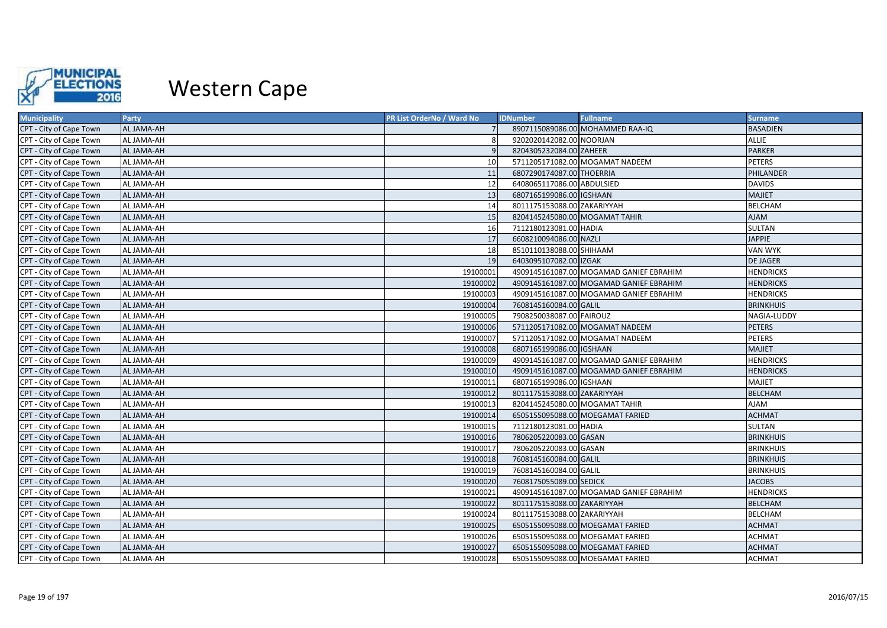

| <b>Municipality</b>     | Party      | PR List OrderNo / Ward No | <b>IDNumber</b>                | <b>Fullname</b>                         | <b>Surname</b>   |
|-------------------------|------------|---------------------------|--------------------------------|-----------------------------------------|------------------|
| CPT - City of Cape Town | AL JAMA-AH |                           |                                | 8907115089086.00 MOHAMMED RAA-IQ        | <b>BASADIEN</b>  |
| CPT - City of Cape Town | AL JAMA-AH |                           | 9202020142082.00 NOORJAN       |                                         | <b>ALLIE</b>     |
| CPT - City of Cape Town | AL JAMA-AH |                           | 8204305232084.00 ZAHEER        |                                         | <b>PARKER</b>    |
| CPT - City of Cape Town | AL JAMA-AH | 10                        |                                | 5711205171082.00 MOGAMAT NADEEM         | <b>PETERS</b>    |
| CPT - City of Cape Town | AL JAMA-AH | 11                        | 6807290174087.00 THOERRIA      |                                         | PHILANDER        |
| CPT - City of Cape Town | AL JAMA-AH | 12                        | 6408065117086.00 ABDULSIED     |                                         | <b>DAVIDS</b>    |
| CPT - City of Cape Town | AL JAMA-AH | 13                        | 6807165199086.00 IGSHAAN       |                                         | <b>MAJIET</b>    |
| CPT - City of Cape Town | AL JAMA-AH | 14                        | 8011175153088.00 ZAKARIYYAH    |                                         | <b>BELCHAM</b>   |
| CPT - City of Cape Town | AL JAMA-AH | 15                        | 8204145245080.00 MOGAMAT TAHIR |                                         | <b>AJAM</b>      |
| CPT - City of Cape Town | AL JAMA-AH | 16                        | 7112180123081.00 HADIA         |                                         | <b>SULTAN</b>    |
| CPT - City of Cape Town | AL JAMA-AH | 17                        | 6608210094086.00 NAZLI         |                                         | <b>JAPPIE</b>    |
| CPT - City of Cape Town | AL JAMA-AH | 18                        | 8510110138088.00 SHIHAAM       |                                         | <b>VAN WYK</b>   |
| CPT - City of Cape Town | AL JAMA-AH | 19                        | 6403095107082.00 IZGAK         |                                         | <b>DE JAGER</b>  |
| CPT - City of Cape Town | AL JAMA-AH | 19100001                  |                                | 4909145161087.00 MOGAMAD GANIEF EBRAHIM | <b>HENDRICKS</b> |
| CPT - City of Cape Town | AL JAMA-AH | 19100002                  |                                | 4909145161087.00 MOGAMAD GANIEF EBRAHIM | <b>HENDRICKS</b> |
| CPT - City of Cape Town | AL JAMA-AH | 19100003                  |                                | 4909145161087.00 MOGAMAD GANIEF EBRAHIM | <b>HENDRICKS</b> |
| CPT - City of Cape Town | AL JAMA-AH | 19100004                  | 7608145160084.00 GALIL         |                                         | <b>BRINKHUIS</b> |
| CPT - City of Cape Town | AL JAMA-AH | 19100005                  | 7908250038087.00 FAIROUZ       |                                         | NAGIA-LUDDY      |
| CPT - City of Cape Town | AL JAMA-AH | 19100006                  |                                | 5711205171082.00 MOGAMAT NADEEM         | <b>PETERS</b>    |
| CPT - City of Cape Town | AL JAMA-AH | 19100007                  |                                | 5711205171082.00 MOGAMAT NADEEM         | <b>PETERS</b>    |
| CPT - City of Cape Town | AL JAMA-AH | 19100008                  | 6807165199086.00 IGSHAAN       |                                         | <b>MAJIET</b>    |
| CPT - City of Cape Town | AL JAMA-AH | 19100009                  |                                | 4909145161087.00 MOGAMAD GANIEF EBRAHIM | <b>HENDRICKS</b> |
| CPT - City of Cape Town | AL JAMA-AH | 19100010                  |                                | 4909145161087.00 MOGAMAD GANIEF EBRAHIM | <b>HENDRICKS</b> |
| CPT - City of Cape Town | AL JAMA-AH | 19100011                  | 6807165199086.00 IGSHAAN       |                                         | <b>MAJIET</b>    |
| CPT - City of Cape Town | AL JAMA-AH | 19100012                  | 8011175153088.00 ZAKARIYYAH    |                                         | <b>BELCHAM</b>   |
| CPT - City of Cape Town | AL JAMA-AH | 19100013                  | 8204145245080.00 MOGAMAT TAHIR |                                         | <b>AJAM</b>      |
| CPT - City of Cape Town | AL JAMA-AH | 19100014                  |                                | 6505155095088.00 MOEGAMAT FARIED        | <b>ACHMAT</b>    |
| CPT - City of Cape Town | AL JAMA-AH | 19100015                  | 7112180123081.00 HADIA         |                                         | <b>SULTAN</b>    |
| CPT - City of Cape Town | AL JAMA-AH | 19100016                  | 7806205220083.00 GASAN         |                                         | <b>BRINKHUIS</b> |
| CPT - City of Cape Town | AL JAMA-AH | 19100017                  | 7806205220083.00 GASAN         |                                         | <b>BRINKHUIS</b> |
| CPT - City of Cape Town | AL JAMA-AH | 19100018                  | 7608145160084.00 GALIL         |                                         | <b>BRINKHUIS</b> |
| CPT - City of Cape Town | AL JAMA-AH | 19100019                  | 7608145160084.00 GALIL         |                                         | <b>BRINKHUIS</b> |
| CPT - City of Cape Town | AL JAMA-AH | 19100020                  | 7608175055089.00 SEDICK        |                                         | <b>JACOBS</b>    |
| CPT - City of Cape Town | AL JAMA-AH | 19100021                  |                                | 4909145161087.00 MOGAMAD GANIEF EBRAHIM | <b>HENDRICKS</b> |
| CPT - City of Cape Town | AL JAMA-AH | 19100022                  | 8011175153088.00 ZAKARIYYAH    |                                         | <b>BELCHAM</b>   |
| CPT - City of Cape Town | AL JAMA-AH | 19100024                  | 8011175153088.00 ZAKARIYYAH    |                                         | <b>BELCHAM</b>   |
| CPT - City of Cape Town | AL JAMA-AH | 19100025                  |                                | 6505155095088.00 MOEGAMAT FARIED        | <b>ACHMAT</b>    |
| CPT - City of Cape Town | AL JAMA-AH | 19100026                  |                                | 6505155095088.00 MOEGAMAT FARIED        | <b>ACHMAT</b>    |
| CPT - City of Cape Town | AL JAMA-AH | 19100027                  |                                | 6505155095088.00 MOEGAMAT FARIED        | <b>ACHMAT</b>    |
| CPT - City of Cape Town | AL JAMA-AH | 19100028                  |                                | 6505155095088.00 MOEGAMAT FARIED        | <b>ACHMAT</b>    |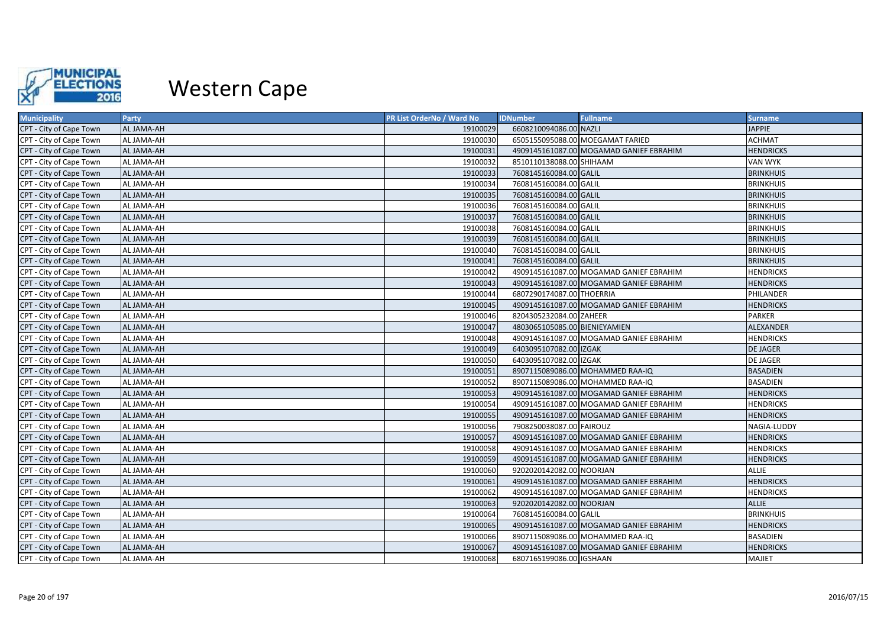

| <b>Municipality</b>     | Party             | <b>PR List OrderNo / Ward No</b> | <b>IDNumber</b>               | <b>Fullname</b>                         | <b>Surname</b>   |
|-------------------------|-------------------|----------------------------------|-------------------------------|-----------------------------------------|------------------|
| CPT - City of Cape Town | AL JAMA-AH        | 19100029                         | 6608210094086.00 NAZLI        |                                         | <b>JAPPIE</b>    |
| CPT - City of Cape Town | AL JAMA-AH        | 19100030                         |                               | 6505155095088.00 MOEGAMAT FARIED        | <b>ACHMAT</b>    |
| CPT - City of Cape Town | AL JAMA-AH        | 19100031                         |                               | 4909145161087.00 MOGAMAD GANIEF EBRAHIM | <b>HENDRICKS</b> |
| CPT - City of Cape Town | AL JAMA-AH        | 19100032                         | 8510110138088.00 SHIHAAM      |                                         | <b>VAN WYK</b>   |
| CPT - City of Cape Town | AL JAMA-AH        | 19100033                         | 7608145160084.00 GALIL        |                                         | <b>BRINKHUIS</b> |
| CPT - City of Cape Town | AL JAMA-AH        | 19100034                         | 7608145160084.00 GALIL        |                                         | <b>BRINKHUIS</b> |
| CPT - City of Cape Town | AL JAMA-AH        | 19100035                         | 7608145160084.00 GALIL        |                                         | <b>BRINKHUIS</b> |
| CPT - City of Cape Town | AL JAMA-AH        | 19100036                         | 7608145160084.00 GALIL        |                                         | <b>BRINKHUIS</b> |
| CPT - City of Cape Town | AL JAMA-AH        | 19100037                         | 7608145160084.00 GALIL        |                                         | <b>BRINKHUIS</b> |
| CPT - City of Cape Town | AL JAMA-AH        | 19100038                         | 7608145160084.00 GALIL        |                                         | <b>BRINKHUIS</b> |
| CPT - City of Cape Town | <b>AL JAMA-AH</b> | 19100039                         | 7608145160084.00 GALIL        |                                         | <b>BRINKHUIS</b> |
| CPT - City of Cape Town | AL JAMA-AH        | 19100040                         | 7608145160084.00 GALIL        |                                         | <b>BRINKHUIS</b> |
| CPT - City of Cape Town | AL JAMA-AH        | 19100041                         | 7608145160084.00 GALIL        |                                         | <b>BRINKHUIS</b> |
| CPT - City of Cape Town | AL JAMA-AH        | 19100042                         |                               | 4909145161087.00 MOGAMAD GANIEF EBRAHIM | <b>HENDRICKS</b> |
| CPT - City of Cape Town | AL JAMA-AH        | 19100043                         |                               | 4909145161087.00 MOGAMAD GANIEF EBRAHIM | <b>HENDRICKS</b> |
| CPT - City of Cape Town | AL JAMA-AH        | 19100044                         | 6807290174087.00 THOERRIA     |                                         | PHILANDER        |
| CPT - City of Cape Town | AL JAMA-AH        | 19100045                         |                               | 4909145161087.00 MOGAMAD GANIEF EBRAHIM | <b>HENDRICKS</b> |
| CPT - City of Cape Town | AL JAMA-AH        | 19100046                         | 8204305232084.00 ZAHEER       |                                         | <b>PARKER</b>    |
| CPT - City of Cape Town | AL JAMA-AH        | 19100047                         | 4803065105085.00 BIENIEYAMIEN |                                         | <b>ALEXANDER</b> |
| CPT - City of Cape Town | AL JAMA-AH        | 19100048                         |                               | 4909145161087.00 MOGAMAD GANIEF EBRAHIM | <b>HENDRICKS</b> |
| CPT - City of Cape Town | AL JAMA-AH        | 19100049                         | 6403095107082.00 IZGAK        |                                         | <b>DE JAGER</b>  |
| CPT - City of Cape Town | AL JAMA-AH        | 19100050                         | 6403095107082.00 IZGAK        |                                         | <b>DE JAGER</b>  |
| CPT - City of Cape Town | AL JAMA-AH        | 19100051                         |                               | 8907115089086.00 MOHAMMED RAA-IQ        | <b>BASADIEN</b>  |
| CPT - City of Cape Town | AL JAMA-AH        | 19100052                         |                               | 8907115089086.00 MOHAMMED RAA-IQ        | <b>BASADIEN</b>  |
| CPT - City of Cape Town | AL JAMA-AH        | 19100053                         |                               | 4909145161087.00 MOGAMAD GANIEF EBRAHIM | <b>HENDRICKS</b> |
| CPT - City of Cape Town | AL JAMA-AH        | 19100054                         |                               | 4909145161087.00 MOGAMAD GANIEF EBRAHIM | <b>HENDRICKS</b> |
| CPT - City of Cape Town | AL JAMA-AH        | 19100055                         |                               | 4909145161087.00 MOGAMAD GANIEF EBRAHIM | <b>HENDRICKS</b> |
| CPT - City of Cape Town | AL JAMA-AH        | 19100056                         | 7908250038087.00 FAIROUZ      |                                         | NAGIA-LUDDY      |
| CPT - City of Cape Town | AL JAMA-AH        | 19100057                         |                               | 4909145161087.00 MOGAMAD GANIEF EBRAHIM | <b>HENDRICKS</b> |
| CPT - City of Cape Town | AL JAMA-AH        | 19100058                         |                               | 4909145161087.00 MOGAMAD GANIEF EBRAHIM | <b>HENDRICKS</b> |
| CPT - City of Cape Town | AL JAMA-AH        | 19100059                         |                               | 4909145161087.00 MOGAMAD GANIEF EBRAHIM | <b>HENDRICKS</b> |
| CPT - City of Cape Town | AL JAMA-AH        | 19100060                         | 9202020142082.00 NOORJAN      |                                         | ALLIE            |
| CPT - City of Cape Town | AL JAMA-AH        | 19100061                         |                               | 4909145161087.00 MOGAMAD GANIEF EBRAHIM | <b>HENDRICKS</b> |
| CPT - City of Cape Town | AL JAMA-AH        | 19100062                         |                               | 4909145161087.00 MOGAMAD GANIEF EBRAHIM | <b>HENDRICKS</b> |
| CPT - City of Cape Town | AL JAMA-AH        | 19100063                         | 9202020142082.00 NOORJAN      |                                         | <b>ALLIE</b>     |
| CPT - City of Cape Town | AL JAMA-AH        | 19100064                         | 7608145160084.00 GALIL        |                                         | <b>BRINKHUIS</b> |
| CPT - City of Cape Town | AL JAMA-AH        | 19100065                         |                               | 4909145161087.00 MOGAMAD GANIEF EBRAHIM | <b>HENDRICKS</b> |
| CPT - City of Cape Town | AL JAMA-AH        | 19100066                         |                               | 8907115089086.00 MOHAMMED RAA-IQ        | <b>BASADIEN</b>  |
| CPT - City of Cape Town | AL JAMA-AH        | 19100067                         |                               | 4909145161087.00 MOGAMAD GANIEF EBRAHIM | <b>HENDRICKS</b> |
| CPT - City of Cape Town | AL JAMA-AH        | 19100068                         | 6807165199086.00 IGSHAAN      |                                         | <b>MAJIET</b>    |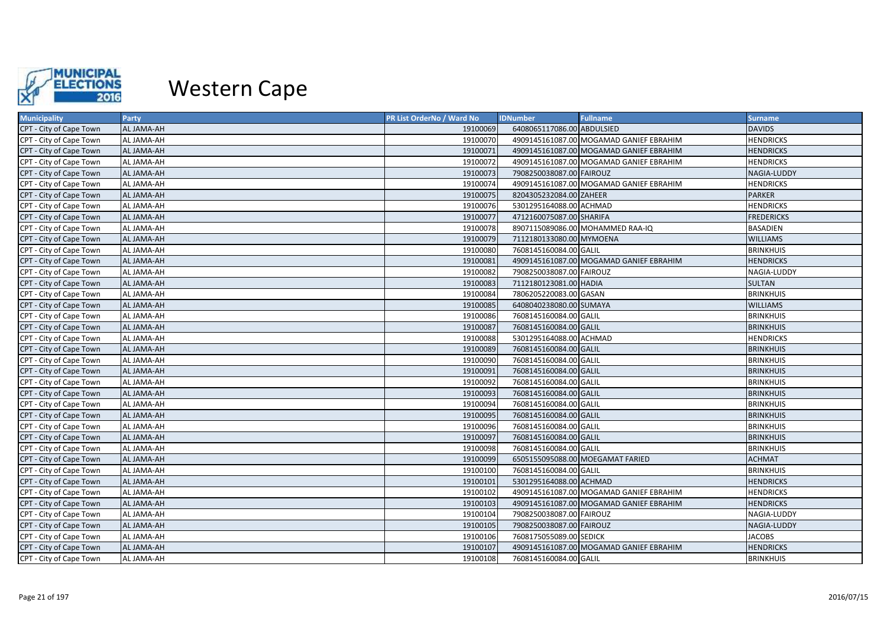

| <b>Municipality</b>     | Party             | <b>PR List OrderNo / Ward No</b> | <b>IDNumber</b>            | <b>Fullname</b>                         | <b>Surname</b>    |
|-------------------------|-------------------|----------------------------------|----------------------------|-----------------------------------------|-------------------|
| CPT - City of Cape Town | AL JAMA-AH        | 19100069                         | 6408065117086.00 ABDULSIED |                                         | <b>DAVIDS</b>     |
| CPT - City of Cape Town | AL JAMA-AH        | 19100070                         |                            | 4909145161087.00 MOGAMAD GANIEF EBRAHIM | <b>HENDRICKS</b>  |
| CPT - City of Cape Town | AL JAMA-AH        | 19100071                         |                            | 4909145161087.00 MOGAMAD GANIEF EBRAHIM | <b>HENDRICKS</b>  |
| CPT - City of Cape Town | AL JAMA-AH        | 19100072                         |                            | 4909145161087.00 MOGAMAD GANIEF EBRAHIM | <b>HENDRICKS</b>  |
| CPT - City of Cape Town | AL JAMA-AH        | 19100073                         | 7908250038087.00 FAIROUZ   |                                         | NAGIA-LUDDY       |
| CPT - City of Cape Town | AL JAMA-AH        | 19100074                         |                            | 4909145161087.00 MOGAMAD GANIEF EBRAHIM | <b>HENDRICKS</b>  |
| CPT - City of Cape Town | AL JAMA-AH        | 19100075                         | 8204305232084.00 ZAHEER    |                                         | <b>PARKER</b>     |
| CPT - City of Cape Town | AL JAMA-AH        | 19100076                         | 5301295164088.00 ACHMAD    |                                         | <b>HENDRICKS</b>  |
| CPT - City of Cape Town | AL JAMA-AH        | 19100077                         | 4712160075087.00 SHARIFA   |                                         | <b>FREDERICKS</b> |
| CPT - City of Cape Town | AL JAMA-AH        | 19100078                         |                            | 8907115089086.00 MOHAMMED RAA-IQ        | <b>BASADIEN</b>   |
| CPT - City of Cape Town | <b>AL JAMA-AH</b> | 19100079                         | 7112180133080.00 MYMOENA   |                                         | <b>WILLIAMS</b>   |
| CPT - City of Cape Town | AL JAMA-AH        | 19100080                         | 7608145160084.00 GALIL     |                                         | <b>BRINKHUIS</b>  |
| CPT - City of Cape Town | AL JAMA-AH        | 19100081                         |                            | 4909145161087.00 MOGAMAD GANIEF EBRAHIM | <b>HENDRICKS</b>  |
| CPT - City of Cape Town | AL JAMA-AH        | 19100082                         | 7908250038087.00 FAIROUZ   |                                         | NAGIA-LUDDY       |
| CPT - City of Cape Town | AL JAMA-AH        | 19100083                         | 7112180123081.00 HADIA     |                                         | <b>SULTAN</b>     |
| CPT - City of Cape Town | AL JAMA-AH        | 19100084                         | 7806205220083.00 GASAN     |                                         | <b>BRINKHUIS</b>  |
| CPT - City of Cape Town | AL JAMA-AH        | 19100085                         | 6408040238080.00 SUMAYA    |                                         | <b>WILLIAMS</b>   |
| CPT - City of Cape Town | AL JAMA-AH        | 19100086                         | 7608145160084.00 GALIL     |                                         | <b>BRINKHUIS</b>  |
| CPT - City of Cape Town | AL JAMA-AH        | 19100087                         | 7608145160084.00 GALIL     |                                         | <b>BRINKHUIS</b>  |
| CPT - City of Cape Town | AL JAMA-AH        | 19100088                         | 5301295164088.00 ACHMAD    |                                         | <b>HENDRICKS</b>  |
| CPT - City of Cape Town | AL JAMA-AH        | 19100089                         | 7608145160084.00 GALIL     |                                         | <b>BRINKHUIS</b>  |
| CPT - City of Cape Town | AL JAMA-AH        | 19100090                         | 7608145160084.00 GALIL     |                                         | <b>BRINKHUIS</b>  |
| CPT - City of Cape Town | AL JAMA-AH        | 19100091                         | 7608145160084.00 GALIL     |                                         | <b>BRINKHUIS</b>  |
| CPT - City of Cape Town | AL JAMA-AH        | 19100092                         | 7608145160084.00 GALIL     |                                         | <b>BRINKHUIS</b>  |
| CPT - City of Cape Town | AL JAMA-AH        | 19100093                         | 7608145160084.00 GALIL     |                                         | <b>BRINKHUIS</b>  |
| CPT - City of Cape Town | AL JAMA-AH        | 19100094                         | 7608145160084.00 GALIL     |                                         | <b>BRINKHUIS</b>  |
| CPT - City of Cape Town | AL JAMA-AH        | 19100095                         | 7608145160084.00 GALIL     |                                         | <b>BRINKHUIS</b>  |
| CPT - City of Cape Town | AL JAMA-AH        | 19100096                         | 7608145160084.00 GALIL     |                                         | <b>BRINKHUIS</b>  |
| CPT - City of Cape Town | AL JAMA-AH        | 19100097                         | 7608145160084.00 GALIL     |                                         | <b>BRINKHUIS</b>  |
| CPT - City of Cape Town | AL JAMA-AH        | 19100098                         | 7608145160084.00 GALIL     |                                         | <b>BRINKHUIS</b>  |
| CPT - City of Cape Town | AL JAMA-AH        | 19100099                         |                            | 6505155095088.00 MOEGAMAT FARIED        | <b>ACHMAT</b>     |
| CPT - City of Cape Town | AL JAMA-AH        | 19100100                         | 7608145160084.00 GALIL     |                                         | <b>BRINKHUIS</b>  |
| CPT - City of Cape Town | AL JAMA-AH        | 19100101                         | 5301295164088.00 ACHMAD    |                                         | <b>HENDRICKS</b>  |
| CPT - City of Cape Town | AL JAMA-AH        | 19100102                         |                            | 4909145161087.00 MOGAMAD GANIEF EBRAHIM | <b>HENDRICKS</b>  |
| CPT - City of Cape Town | AL JAMA-AH        | 19100103                         |                            | 4909145161087.00 MOGAMAD GANIEF EBRAHIM | <b>HENDRICKS</b>  |
| CPT - City of Cape Town | AL JAMA-AH        | 19100104                         | 7908250038087.00 FAIROUZ   |                                         | NAGIA-LUDDY       |
| CPT - City of Cape Town | AL JAMA-AH        | 19100105                         | 7908250038087.00 FAIROUZ   |                                         | NAGIA-LUDDY       |
| CPT - City of Cape Town | AL JAMA-AH        | 19100106                         | 7608175055089.00 SEDICK    |                                         | <b>JACOBS</b>     |
| CPT - City of Cape Town | AL JAMA-AH        | 19100107                         |                            | 4909145161087.00 MOGAMAD GANIEF EBRAHIM | <b>HENDRICKS</b>  |
| CPT - City of Cape Town | AL JAMA-AH        | 19100108                         | 7608145160084.00 GALIL     |                                         | <b>BRINKHUIS</b>  |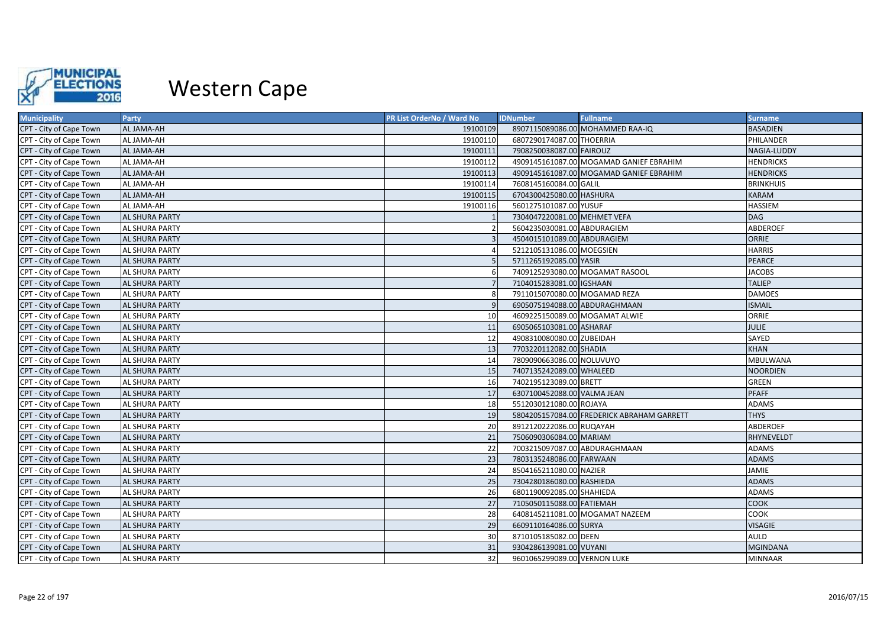

| <b>Municipality</b>     | Party                 | PR List OrderNo / Ward No | <b>IDNumber</b>                 | <b>Fullname</b>                            | <b>Surname</b>   |
|-------------------------|-----------------------|---------------------------|---------------------------------|--------------------------------------------|------------------|
| CPT - City of Cape Town | AL JAMA-AH            | 19100109                  |                                 | 8907115089086.00 MOHAMMED RAA-IQ           | <b>BASADIEN</b>  |
| CPT - City of Cape Town | AL JAMA-AH            | 19100110                  | 6807290174087.00 THOERRIA       |                                            | PHILANDER        |
| CPT - City of Cape Town | AL JAMA-AH            | 19100111                  | 7908250038087.00 FAIROUZ        |                                            | NAGIA-LUDDY      |
| CPT - City of Cape Town | AL JAMA-AH            | 19100112                  |                                 | 4909145161087.00 MOGAMAD GANIEF EBRAHIM    | <b>HENDRICKS</b> |
| CPT - City of Cape Town | AL JAMA-AH            | 19100113                  |                                 | 4909145161087.00 MOGAMAD GANIEF EBRAHIM    | <b>HENDRICKS</b> |
| CPT - City of Cape Town | AL JAMA-AH            | 19100114                  | 7608145160084.00 GALIL          |                                            | <b>BRINKHUIS</b> |
| CPT - City of Cape Town | AL JAMA-AH            | 19100115                  | 6704300425080.00 HASHURA        |                                            | <b>KARAM</b>     |
| CPT - City of Cape Town | AL JAMA-AH            | 19100116                  | 5601275101087.00 YUSUF          |                                            | HASSIEM          |
| CPT - City of Cape Town | AL SHURA PARTY        |                           | 7304047220081.00 MEHMET VEFA    |                                            | <b>DAG</b>       |
| CPT - City of Cape Town | AL SHURA PARTY        |                           | 5604235030081.00 ABDURAGIEM     |                                            | ABDEROEF         |
| CPT - City of Cape Town | AL SHURA PARTY        |                           | 4504015101089.00 ABDURAGIEM     |                                            | <b>ORRIE</b>     |
| CPT - City of Cape Town | AL SHURA PARTY        |                           | 5212105131086.00 MOEGSIEN       |                                            | <b>HARRIS</b>    |
| CPT - City of Cape Town | AL SHURA PARTY        |                           | 5711265192085.00 YASIR          |                                            | <b>PEARCE</b>    |
| CPT - City of Cape Town | AL SHURA PARTY        |                           | 7409125293080.00 MOGAMAT RASOOL |                                            | <b>JACOBS</b>    |
| CPT - City of Cape Town | AL SHURA PARTY        |                           | 7104015283081.00 IGSHAAN        |                                            | <b>TALIEP</b>    |
| CPT - City of Cape Town | AL SHURA PARTY        |                           | 7911015070080.00 MOGAMAD REZA   |                                            | <b>DAMOES</b>    |
| CPT - City of Cape Town | <b>AL SHURA PARTY</b> |                           | 6905075194088.00 ABDURAGHMAAN   |                                            | <b>ISMAIL</b>    |
| CPT - City of Cape Town | AL SHURA PARTY        | 10                        | 4609225150089.00 MOGAMAT ALWIE  |                                            | ORRIE            |
| CPT - City of Cape Town | AL SHURA PARTY        | 11                        | 6905065103081.00 ASHARAF        |                                            | <b>JULIE</b>     |
| CPT - City of Cape Town | AL SHURA PARTY        | 12                        | 4908310080080.00 ZUBEIDAH       |                                            | SAYED            |
| CPT - City of Cape Town | AL SHURA PARTY        | 13                        | 7703220112082.00 SHADIA         |                                            | <b>KHAN</b>      |
| CPT - City of Cape Town | AL SHURA PARTY        | 14                        | 7809090663086.00 NOLUVUYO       |                                            | MBULWANA         |
| CPT - City of Cape Town | <b>AL SHURA PARTY</b> | 15                        | 7407135242089.00 WHALEED        |                                            | <b>NOORDIEN</b>  |
| CPT - City of Cape Town | AL SHURA PARTY        | 16                        | 7402195123089.00 BRETT          |                                            | <b>GREEN</b>     |
| CPT - City of Cape Town | AL SHURA PARTY        | 17                        | 6307100452088.00 VALMA JEAN     |                                            | <b>PFAFF</b>     |
| CPT - City of Cape Town | AL SHURA PARTY        | 18                        | 5512030121080.00 ROJAYA         |                                            | <b>ADAMS</b>     |
| CPT - City of Cape Town | AL SHURA PARTY        | 19                        |                                 | 5804205157084.00 FREDERICK ABRAHAM GARRETT | <b>THYS</b>      |
| CPT - City of Cape Town | AL SHURA PARTY        | 20                        | 8912120222086.00 RUQAYAH        |                                            | ABDEROEF         |
| CPT - City of Cape Town | <b>AL SHURA PARTY</b> | 21                        | 7506090306084.00 MARIAM         |                                            | RHYNEVELDT       |
| CPT - City of Cape Town | AL SHURA PARTY        | 22                        | 7003215097087.00 ABDURAGHMAAN   |                                            | <b>ADAMS</b>     |
| CPT - City of Cape Town | AL SHURA PARTY        | 23                        | 7803135248086.00 FARWAAN        |                                            | <b>ADAMS</b>     |
| CPT - City of Cape Town | AL SHURA PARTY        | 24                        | 8504165211080.00 NAZIER         |                                            | <b>JAMIE</b>     |
| CPT - City of Cape Town | AL SHURA PARTY        | 25                        | 7304280186080.00 RASHIEDA       |                                            | <b>ADAMS</b>     |
| CPT - City of Cape Town | AL SHURA PARTY        | 26                        | 6801190092085.00 SHAHIEDA       |                                            | <b>ADAMS</b>     |
| CPT - City of Cape Town | AL SHURA PARTY        | 27                        | 7105050115088.00 FATIEMAH       |                                            | COOK             |
| CPT - City of Cape Town | AL SHURA PARTY        | 28                        |                                 | 6408145211081.00 MOGAMAT NAZEEM            | COOK             |
| CPT - City of Cape Town | AL SHURA PARTY        | 29                        | 6609110164086.00 SURYA          |                                            | <b>VISAGIE</b>   |
| CPT - City of Cape Town | AL SHURA PARTY        | 30                        | 8710105185082.00 DEEN           |                                            | AULD             |
| CPT - City of Cape Town | AL SHURA PARTY        | 31                        | 9304286139081.00 VUYANI         |                                            | <b>MGINDANA</b>  |
| CPT - City of Cape Town | <b>AL SHURA PARTY</b> | 32                        | 9601065299089.00 VERNON LUKE    |                                            | <b>MINNAAR</b>   |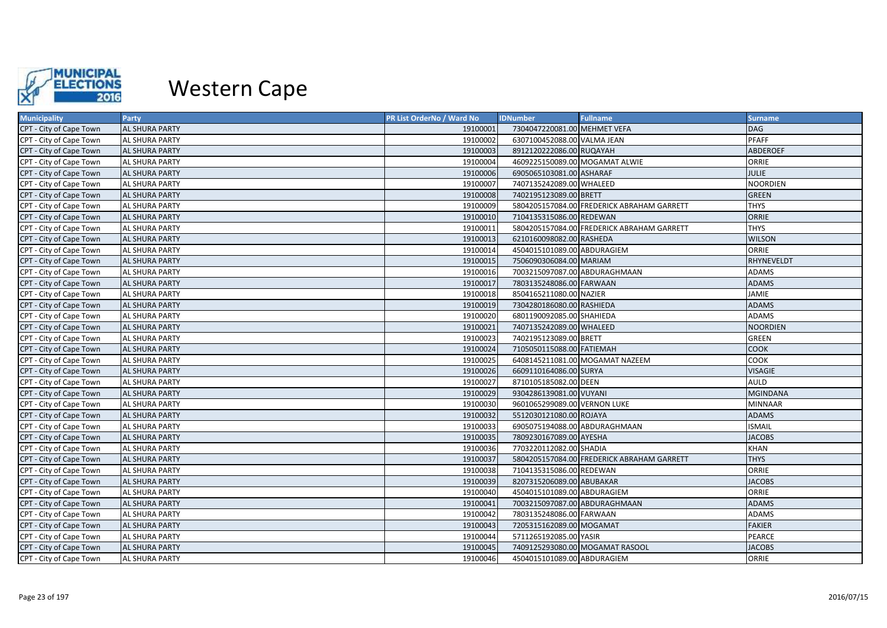

| <b>Municipality</b>     | Party                 | <b>PR List OrderNo / Ward No</b> | <b>IDNumber</b>                | <b>Fullname</b>                            | <b>Surname</b>  |
|-------------------------|-----------------------|----------------------------------|--------------------------------|--------------------------------------------|-----------------|
| CPT - City of Cape Town | AL SHURA PARTY        | 19100001                         | 7304047220081.00 MEHMET VEFA   |                                            | <b>DAG</b>      |
| CPT - City of Cape Town | AL SHURA PARTY        | 19100002                         | 6307100452088.00 VALMA JEAN    |                                            | <b>PFAFF</b>    |
| CPT - City of Cape Town | AL SHURA PARTY        | 19100003                         | 8912120222086.00 RUQAYAH       |                                            | <b>ABDEROEF</b> |
| CPT - City of Cape Town | AL SHURA PARTY        | 19100004                         | 4609225150089.00 MOGAMAT ALWIE |                                            | ORRIE           |
| CPT - City of Cape Town | AL SHURA PARTY        | 19100006                         | 6905065103081.00 ASHARAF       |                                            | <b>JULIE</b>    |
| CPT - City of Cape Town | AL SHURA PARTY        | 19100007                         | 7407135242089.00 WHALEED       |                                            | <b>NOORDIEN</b> |
| CPT - City of Cape Town | AL SHURA PARTY        | 19100008                         | 7402195123089.00 BRETT         |                                            | <b>GREEN</b>    |
| CPT - City of Cape Town | AL SHURA PARTY        | 19100009                         |                                | 5804205157084.00 FREDERICK ABRAHAM GARRETT | <b>THYS</b>     |
| CPT - City of Cape Town | AL SHURA PARTY        | 19100010                         | 7104135315086.00 REDEWAN       |                                            | <b>ORRIE</b>    |
| CPT - City of Cape Town | AL SHURA PARTY        | 19100011                         |                                | 5804205157084.00 FREDERICK ABRAHAM GARRETT | <b>THYS</b>     |
| CPT - City of Cape Town | AL SHURA PARTY        | 19100013                         | 6210160098082.00 RASHEDA       |                                            | <b>WILSON</b>   |
| CPT - City of Cape Town | AL SHURA PARTY        | 19100014                         | 4504015101089.00 ABDURAGIEM    |                                            | ORRIE           |
| CPT - City of Cape Town | AL SHURA PARTY        | 19100015                         | 7506090306084.00 MARIAM        |                                            | RHYNEVELDT      |
| CPT - City of Cape Town | AL SHURA PARTY        | 19100016                         | 7003215097087.00 ABDURAGHMAAN  |                                            | <b>ADAMS</b>    |
| CPT - City of Cape Town | AL SHURA PARTY        | 19100017                         | 7803135248086.00 FARWAAN       |                                            | <b>ADAMS</b>    |
| CPT - City of Cape Town | AL SHURA PARTY        | 19100018                         | 8504165211080.00 NAZIER        |                                            | <b>JAMIE</b>    |
| CPT - City of Cape Town | AL SHURA PARTY        | 19100019                         | 7304280186080.00 RASHIEDA      |                                            | <b>ADAMS</b>    |
| CPT - City of Cape Town | AL SHURA PARTY        | 19100020                         | 6801190092085.00 SHAHIEDA      |                                            | <b>ADAMS</b>    |
| CPT - City of Cape Town | AL SHURA PARTY        | 19100021                         | 7407135242089.00 WHALEED       |                                            | <b>NOORDIEN</b> |
| CPT - City of Cape Town | AL SHURA PARTY        | 19100023                         | 7402195123089.00 BRETT         |                                            | <b>GREEN</b>    |
| CPT - City of Cape Town | AL SHURA PARTY        | 19100024                         | 7105050115088.00 FATIEMAH      |                                            | <b>COOK</b>     |
| CPT - City of Cape Town | AL SHURA PARTY        | 19100025                         |                                | 6408145211081.00 MOGAMAT NAZEEM            | COOK            |
| CPT - City of Cape Town | AL SHURA PARTY        | 19100026                         | 6609110164086.00 SURYA         |                                            | <b>VISAGIE</b>  |
| CPT - City of Cape Town | AL SHURA PARTY        | 19100027                         | 8710105185082.00 DEEN          |                                            | <b>AULD</b>     |
| CPT - City of Cape Town | AL SHURA PARTY        | 19100029                         | 9304286139081.00 VUYANI        |                                            | <b>MGINDANA</b> |
| CPT - City of Cape Town | AL SHURA PARTY        | 19100030                         | 9601065299089.00 VERNON LUKE   |                                            | <b>MINNAAR</b>  |
| CPT - City of Cape Town | AL SHURA PARTY        | 19100032                         | 5512030121080.00 ROJAYA        |                                            | <b>ADAMS</b>    |
| CPT - City of Cape Town | AL SHURA PARTY        | 19100033                         | 6905075194088.00 ABDURAGHMAAN  |                                            | <b>ISMAIL</b>   |
| CPT - City of Cape Town | AL SHURA PARTY        | 19100035                         | 7809230167089.00 AYESHA        |                                            | <b>JACOBS</b>   |
| CPT - City of Cape Town | AL SHURA PARTY        | 19100036                         | 7703220112082.00 SHADIA        |                                            | <b>KHAN</b>     |
| CPT - City of Cape Town | AL SHURA PARTY        | 19100037                         |                                | 5804205157084.00 FREDERICK ABRAHAM GARRETT | <b>THYS</b>     |
| CPT - City of Cape Town | AL SHURA PARTY        | 19100038                         | 7104135315086.00 REDEWAN       |                                            | <b>ORRIE</b>    |
| CPT - City of Cape Town | AL SHURA PARTY        | 19100039                         | 8207315206089.00 ABUBAKAR      |                                            | <b>JACOBS</b>   |
| CPT - City of Cape Town | AL SHURA PARTY        | 19100040                         | 4504015101089.00 ABDURAGIEM    |                                            | <b>ORRIE</b>    |
| CPT - City of Cape Town | AL SHURA PARTY        | 19100041                         | 7003215097087.00 ABDURAGHMAAN  |                                            | <b>ADAMS</b>    |
| CPT - City of Cape Town | AL SHURA PARTY        | 19100042                         | 7803135248086.00 FARWAAN       |                                            | <b>ADAMS</b>    |
| CPT - City of Cape Town | AL SHURA PARTY        | 19100043                         | 7205315162089.00 MOGAMAT       |                                            | <b>FAKIER</b>   |
| CPT - City of Cape Town | AL SHURA PARTY        | 19100044                         | 5711265192085.00 YASIR         |                                            | <b>PEARCE</b>   |
| CPT - City of Cape Town | <b>AL SHURA PARTY</b> | 19100045                         |                                | 7409125293080.00 MOGAMAT RASOOL            | <b>JACOBS</b>   |
| CPT - City of Cape Town | AL SHURA PARTY        | 19100046                         | 4504015101089.00 ABDURAGIEM    |                                            | ORRIE           |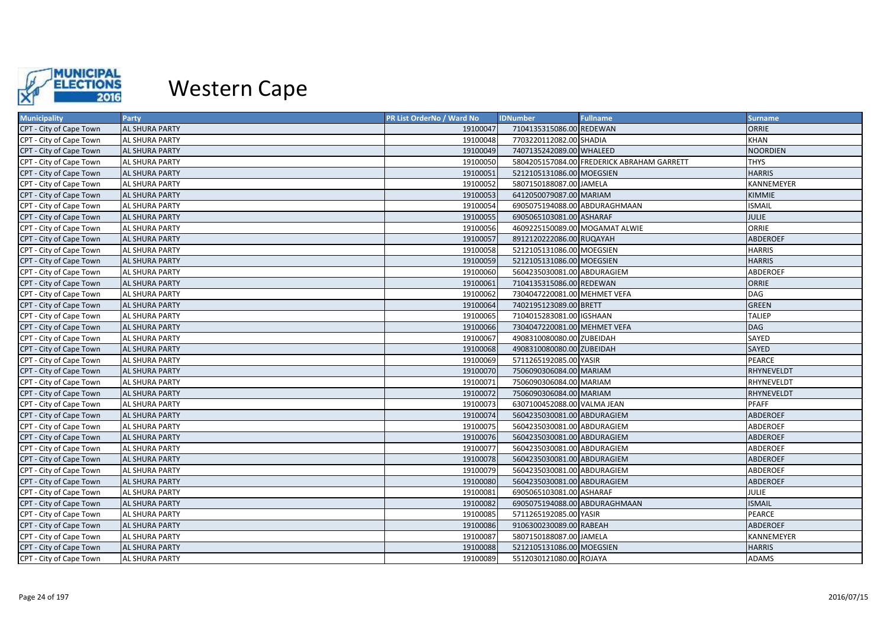

| <b>Municipality</b>     | Party                 | PR List OrderNo / Ward No | <b>IDNumber</b>                | <b>Fullname</b>                            | <b>Surname</b>  |
|-------------------------|-----------------------|---------------------------|--------------------------------|--------------------------------------------|-----------------|
| CPT - City of Cape Town | AL SHURA PARTY        | 19100047                  | 7104135315086.00 REDEWAN       |                                            | <b>ORRIE</b>    |
| CPT - City of Cape Town | AL SHURA PARTY        | 19100048                  | 7703220112082.00 SHADIA        |                                            | <b>KHAN</b>     |
| CPT - City of Cape Town | AL SHURA PARTY        | 19100049                  | 7407135242089.00 WHALEED       |                                            | NOORDIEN        |
| CPT - City of Cape Town | AL SHURA PARTY        | 19100050                  |                                | 5804205157084.00 FREDERICK ABRAHAM GARRETT | <b>THYS</b>     |
| CPT - City of Cape Town | AL SHURA PARTY        | 19100051                  | 5212105131086.00 MOEGSIEN      |                                            | <b>HARRIS</b>   |
| CPT - City of Cape Town | AL SHURA PARTY        | 19100052                  | 5807150188087.00 JAMELA        |                                            | KANNEMEYER      |
| CPT - City of Cape Town | AL SHURA PARTY        | 19100053                  | 6412050079087.00 MARIAM        |                                            | <b>KIMMIE</b>   |
| CPT - City of Cape Town | AL SHURA PARTY        | 19100054                  | 6905075194088.00 ABDURAGHMAAN  |                                            | <b>ISMAIL</b>   |
| CPT - City of Cape Town | AL SHURA PARTY        | 19100055                  | 6905065103081.00 ASHARAF       |                                            | <b>JULIE</b>    |
| CPT - City of Cape Town | AL SHURA PARTY        | 19100056                  | 4609225150089.00 MOGAMAT ALWIE |                                            | <b>ORRIE</b>    |
| CPT - City of Cape Town | AL SHURA PARTY        | 19100057                  | 8912120222086.00 RUQAYAH       |                                            | <b>ABDEROEF</b> |
| CPT - City of Cape Town | AL SHURA PARTY        | 19100058                  | 5212105131086.00 MOEGSIEN      |                                            | <b>HARRIS</b>   |
| CPT - City of Cape Town | AL SHURA PARTY        | 19100059                  | 5212105131086.00 MOEGSIEN      |                                            | <b>HARRIS</b>   |
| CPT - City of Cape Town | AL SHURA PARTY        | 19100060                  | 5604235030081.00 ABDURAGIEM    |                                            | <b>ABDEROEF</b> |
| CPT - City of Cape Town | AL SHURA PARTY        | 19100061                  | 7104135315086.00 REDEWAN       |                                            | <b>ORRIE</b>    |
| CPT - City of Cape Town | AL SHURA PARTY        | 19100062                  | 7304047220081.00 MEHMET VEFA   |                                            | <b>DAG</b>      |
| CPT - City of Cape Town | AL SHURA PARTY        | 19100064                  | 7402195123089.00 BRETT         |                                            | GREEN           |
| CPT - City of Cape Town | AL SHURA PARTY        | 19100065                  | 7104015283081.00 IGSHAAN       |                                            | <b>TALIEP</b>   |
| CPT - City of Cape Town | AL SHURA PARTY        | 19100066                  | 7304047220081.00 MEHMET VEFA   |                                            | DAG             |
| CPT - City of Cape Town | AL SHURA PARTY        | 19100067                  | 4908310080080.00 ZUBEIDAH      |                                            | SAYED           |
| CPT - City of Cape Town | AL SHURA PARTY        | 19100068                  | 4908310080080.00 ZUBEIDAH      |                                            | SAYED           |
| CPT - City of Cape Town | AL SHURA PARTY        | 19100069                  | 5711265192085.00 YASIR         |                                            | PEARCE          |
| CPT - City of Cape Town | AL SHURA PARTY        | 19100070                  | 7506090306084.00 MARIAM        |                                            | RHYNEVELDT      |
| CPT - City of Cape Town | AL SHURA PARTY        | 19100071                  | 7506090306084.00 MARIAM        |                                            | RHYNEVELDT      |
| CPT - City of Cape Town | AL SHURA PARTY        | 19100072                  | 7506090306084.00 MARIAM        |                                            | RHYNEVELDT      |
| CPT - City of Cape Town | AL SHURA PARTY        | 19100073                  | 6307100452088.00 VALMA JEAN    |                                            | PFAFF           |
| CPT - City of Cape Town | AL SHURA PARTY        | 19100074                  | 5604235030081.00 ABDURAGIEM    |                                            | ABDEROEF        |
| CPT - City of Cape Town | AL SHURA PARTY        | 19100075                  | 5604235030081.00 ABDURAGIEM    |                                            | <b>ABDEROEF</b> |
| CPT - City of Cape Town | AL SHURA PARTY        | 19100076                  | 5604235030081.00 ABDURAGIEM    |                                            | <b>ABDEROEF</b> |
| CPT - City of Cape Town | AL SHURA PARTY        | 19100077                  | 5604235030081.00 ABDURAGIEM    |                                            | <b>ABDEROEF</b> |
| CPT - City of Cape Town | AL SHURA PARTY        | 19100078                  | 5604235030081.00 ABDURAGIEM    |                                            | <b>ABDEROEF</b> |
| CPT - City of Cape Town | AL SHURA PARTY        | 19100079                  | 5604235030081.00 ABDURAGIEM    |                                            | <b>ABDEROEF</b> |
| CPT - City of Cape Town | AL SHURA PARTY        | 19100080                  | 5604235030081.00 ABDURAGIEM    |                                            | <b>ABDEROEF</b> |
| CPT - City of Cape Town | AL SHURA PARTY        | 19100081                  | 6905065103081.00 ASHARAF       |                                            | <b>JULIE</b>    |
| CPT - City of Cape Town | AL SHURA PARTY        | 19100082                  | 6905075194088.00 ABDURAGHMAAN  |                                            | <b>ISMAIL</b>   |
| CPT - City of Cape Town | AL SHURA PARTY        | 19100085                  | 5711265192085.00 YASIR         |                                            | <b>PEARCE</b>   |
| CPT - City of Cape Town | AL SHURA PARTY        | 19100086                  | 9106300230089.00 RABEAH        |                                            | <b>ABDEROEF</b> |
| CPT - City of Cape Town | AL SHURA PARTY        | 19100087                  | 5807150188087.00 JAMELA        |                                            | KANNEMEYER      |
| CPT - City of Cape Town | <b>AL SHURA PARTY</b> | 19100088                  | 5212105131086.00 MOEGSIEN      |                                            | <b>HARRIS</b>   |
| CPT - City of Cape Town | AL SHURA PARTY        | 19100089                  | 5512030121080.00 ROJAYA        |                                            | <b>ADAMS</b>    |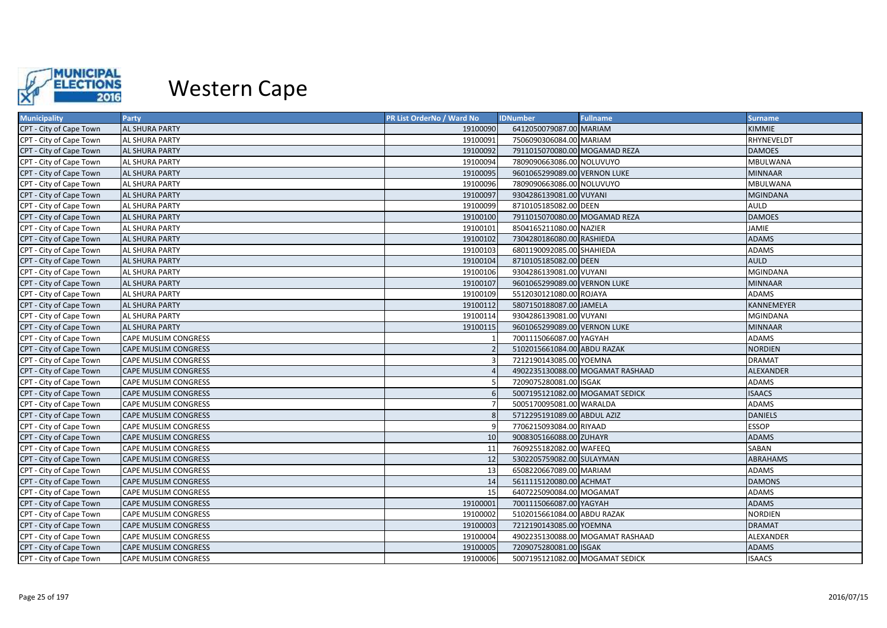

| <b>Municipality</b>     | Party                       | <b>PR List OrderNo / Ward No</b> | <b>IDNumber</b>                 | <b>Fullname</b>                  | <b>Surname</b>   |
|-------------------------|-----------------------------|----------------------------------|---------------------------------|----------------------------------|------------------|
| CPT - City of Cape Town | AL SHURA PARTY              | 19100090                         | 6412050079087.00 MARIAM         |                                  | <b>KIMMIE</b>    |
| CPT - City of Cape Town | AL SHURA PARTY              | 19100091                         | 7506090306084.00 MARIAM         |                                  | RHYNEVELDT       |
| CPT - City of Cape Town | AL SHURA PARTY              | 19100092                         | 7911015070080.00 MOGAMAD REZA   |                                  | <b>DAMOES</b>    |
| CPT - City of Cape Town | AL SHURA PARTY              | 19100094                         | 7809090663086.00 NOLUVUYO       |                                  | MBULWANA         |
| CPT - City of Cape Town | AL SHURA PARTY              | 19100095                         | 9601065299089.00 VERNON LUKE    |                                  | <b>MINNAAR</b>   |
| CPT - City of Cape Town | <b>AL SHURA PARTY</b>       | 19100096                         | 7809090663086.00 NOLUVUYO       |                                  | MBULWANA         |
| CPT - City of Cape Town | <b>AL SHURA PARTY</b>       | 19100097                         | 9304286139081.00 VUYANI         |                                  | <b>MGINDANA</b>  |
| CPT - City of Cape Town | AL SHURA PARTY              | 19100099                         | 8710105185082.00 DEEN           |                                  | <b>AULD</b>      |
| CPT - City of Cape Town | <b>AL SHURA PARTY</b>       | 19100100                         | 7911015070080.00 MOGAMAD REZA   |                                  | <b>DAMOES</b>    |
| CPT - City of Cape Town | AL SHURA PARTY              | 19100101                         | 8504165211080.00 NAZIER         |                                  | JAMIE            |
| CPT - City of Cape Town | AL SHURA PARTY              | 19100102                         | 7304280186080.00 RASHIEDA       |                                  | <b>ADAMS</b>     |
| CPT - City of Cape Town | AL SHURA PARTY              | 19100103                         | 6801190092085.00 SHAHIEDA       |                                  | <b>ADAMS</b>     |
| CPT - City of Cape Town | AL SHURA PARTY              | 19100104                         | 8710105185082.00 DEEN           |                                  | <b>AULD</b>      |
| CPT - City of Cape Town | AL SHURA PARTY              | 19100106                         | 9304286139081.00 VUYANI         |                                  | <b>MGINDANA</b>  |
| CPT - City of Cape Town | AL SHURA PARTY              | 19100107                         | 9601065299089.00 VERNON LUKE    |                                  | <b>MINNAAR</b>   |
| CPT - City of Cape Town | AL SHURA PARTY              | 19100109                         | 5512030121080.00 ROJAYA         |                                  | <b>ADAMS</b>     |
| CPT - City of Cape Town | AL SHURA PARTY              | 19100112                         | 5807150188087.00 JAMELA         |                                  | KANNEMEYER       |
| CPT - City of Cape Town | AL SHURA PARTY              | 19100114                         | 9304286139081.00 VUYANI         |                                  | <b>MGINDANA</b>  |
| CPT - City of Cape Town | AL SHURA PARTY              | 19100115                         | 9601065299089.00 VERNON LUKE    |                                  | <b>MINNAAR</b>   |
| CPT - City of Cape Town | CAPE MUSLIM CONGRESS        |                                  | 7001115066087.00 YAGYAH         |                                  | <b>ADAMS</b>     |
| CPT - City of Cape Town | CAPE MUSLIM CONGRESS        |                                  | 5102015661084.00 ABDU RAZAK     |                                  | <b>NORDIEN</b>   |
| CPT - City of Cape Town | CAPE MUSLIM CONGRESS        |                                  | 7212190143085.00 YOEMNA         |                                  | <b>DRAMAT</b>    |
| CPT - City of Cape Town | <b>CAPE MUSLIM CONGRESS</b> |                                  |                                 | 4902235130088.00 MOGAMAT RASHAAD | <b>ALEXANDER</b> |
| CPT - City of Cape Town | CAPE MUSLIM CONGRESS        |                                  | 7209075280081.00 ISGAK          |                                  | <b>ADAMS</b>     |
| CPT - City of Cape Town | CAPE MUSLIM CONGRESS        |                                  | 5007195121082.00 MOGAMAT SEDICK |                                  | <b>ISAACS</b>    |
| CPT - City of Cape Town | CAPE MUSLIM CONGRESS        |                                  | 5005170095081.00 WARALDA        |                                  | <b>ADAMS</b>     |
| CPT - City of Cape Town | <b>CAPE MUSLIM CONGRESS</b> |                                  | 5712295191089.00 ABDUL AZIZ     |                                  | <b>DANIELS</b>   |
| CPT - City of Cape Town | CAPE MUSLIM CONGRESS        |                                  | 7706215093084.00 RIYAAD         |                                  | <b>ESSOP</b>     |
| CPT - City of Cape Town | <b>CAPE MUSLIM CONGRESS</b> | 10                               | 9008305166088.00 ZUHAYR         |                                  | <b>ADAMS</b>     |
| CPT - City of Cape Town | CAPE MUSLIM CONGRESS        | 11                               | 7609255182082.00 WAFEEQ         |                                  | SABAN            |
| CPT - City of Cape Town | CAPE MUSLIM CONGRESS        | 12                               | 5302205759082.00 SULAYMAN       |                                  | ABRAHAMS         |
| CPT - City of Cape Town | CAPE MUSLIM CONGRESS        | 13                               | 6508220667089.00 MARIAM         |                                  | <b>ADAMS</b>     |
| CPT - City of Cape Town | <b>CAPE MUSLIM CONGRESS</b> | 14                               | 5611115120080.00 ACHMAT         |                                  | <b>DAMONS</b>    |
| CPT - City of Cape Town | CAPE MUSLIM CONGRESS        | 15                               | 6407225090084.00 MOGAMAT        |                                  | <b>ADAMS</b>     |
| CPT - City of Cape Town | CAPE MUSLIM CONGRESS        | 19100001                         | 7001115066087.00 YAGYAH         |                                  | <b>ADAMS</b>     |
| CPT - City of Cape Town | CAPE MUSLIM CONGRESS        | 19100002                         | 5102015661084.00 ABDU RAZAK     |                                  | NORDIEN          |
| CPT - City of Cape Town | CAPE MUSLIM CONGRESS        | 19100003                         | 7212190143085.00 YOEMNA         |                                  | <b>DRAMAT</b>    |
| CPT - City of Cape Town | CAPE MUSLIM CONGRESS        | 19100004                         |                                 | 4902235130088.00 MOGAMAT RASHAAD | ALEXANDER        |
| CPT - City of Cape Town | CAPE MUSLIM CONGRESS        | 19100005                         | 7209075280081.00 ISGAK          |                                  | <b>ADAMS</b>     |
| CPT - City of Cape Town | CAPE MUSLIM CONGRESS        | 19100006                         | 5007195121082.00 MOGAMAT SEDICK |                                  | <b>ISAACS</b>    |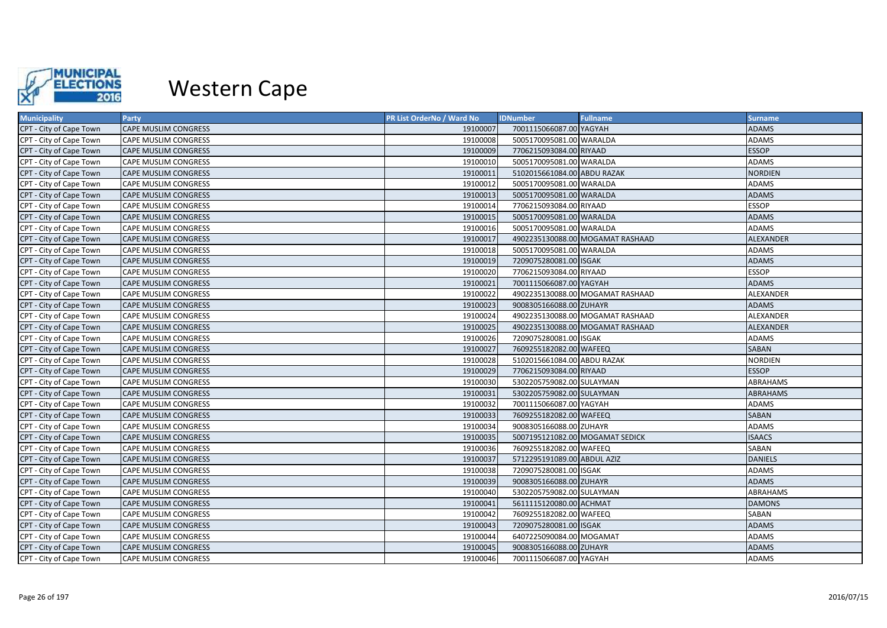

| <b>Municipality</b>     | <b>Party</b>                | PR List OrderNo / Ward No | <b>IDNumber</b>             | <b>Fullname</b>                  | <b>Surname</b>  |
|-------------------------|-----------------------------|---------------------------|-----------------------------|----------------------------------|-----------------|
| CPT - City of Cape Town | <b>CAPE MUSLIM CONGRESS</b> | 19100007                  | 7001115066087.00 YAGYAH     |                                  | <b>ADAMS</b>    |
| CPT - City of Cape Town | <b>CAPE MUSLIM CONGRESS</b> | 19100008                  | 5005170095081.00 WARALDA    |                                  | <b>ADAMS</b>    |
| CPT - City of Cape Town | <b>CAPE MUSLIM CONGRESS</b> | 19100009                  | 7706215093084.00 RIYAAD     |                                  | <b>ESSOP</b>    |
| CPT - City of Cape Town | <b>CAPE MUSLIM CONGRESS</b> | 19100010                  | 5005170095081.00 WARALDA    |                                  | <b>ADAMS</b>    |
| CPT - City of Cape Town | <b>CAPE MUSLIM CONGRESS</b> | 19100011                  | 5102015661084.00 ABDU RAZAK |                                  | <b>NORDIEN</b>  |
| CPT - City of Cape Town | <b>CAPE MUSLIM CONGRESS</b> | 19100012                  | 5005170095081.00 WARALDA    |                                  | <b>ADAMS</b>    |
| CPT - City of Cape Town | <b>CAPE MUSLIM CONGRESS</b> | 19100013                  | 5005170095081.00 WARALDA    |                                  | <b>ADAMS</b>    |
| CPT - City of Cape Town | <b>CAPE MUSLIM CONGRESS</b> | 19100014                  | 7706215093084.00 RIYAAD     |                                  | <b>ESSOP</b>    |
| CPT - City of Cape Town | <b>CAPE MUSLIM CONGRESS</b> | 19100015                  | 5005170095081.00 WARALDA    |                                  | <b>ADAMS</b>    |
| CPT - City of Cape Town | <b>CAPE MUSLIM CONGRESS</b> | 19100016                  | 5005170095081.00 WARALDA    |                                  | <b>ADAMS</b>    |
| CPT - City of Cape Town | <b>CAPE MUSLIM CONGRESS</b> | 19100017                  |                             | 4902235130088.00 MOGAMAT RASHAAD | ALEXANDER       |
| CPT - City of Cape Town | <b>CAPE MUSLIM CONGRESS</b> | 19100018                  | 5005170095081.00 WARALDA    |                                  | <b>ADAMS</b>    |
| CPT - City of Cape Town | <b>CAPE MUSLIM CONGRESS</b> | 19100019                  | 7209075280081.00 ISGAK      |                                  | <b>ADAMS</b>    |
| CPT - City of Cape Town | <b>CAPE MUSLIM CONGRESS</b> | 19100020                  | 7706215093084.00 RIYAAD     |                                  | <b>ESSOP</b>    |
| CPT - City of Cape Town | <b>CAPE MUSLIM CONGRESS</b> | 19100021                  | 7001115066087.00 YAGYAH     |                                  | <b>ADAMS</b>    |
| CPT - City of Cape Town | CAPE MUSLIM CONGRESS        | 19100022                  |                             | 4902235130088.00 MOGAMAT RASHAAD | ALEXANDER       |
| CPT - City of Cape Town | <b>CAPE MUSLIM CONGRESS</b> | 19100023                  | 9008305166088.00 ZUHAYR     |                                  | <b>ADAMS</b>    |
| CPT - City of Cape Town | <b>CAPE MUSLIM CONGRESS</b> | 19100024                  |                             | 4902235130088.00 MOGAMAT RASHAAD | ALEXANDER       |
| CPT - City of Cape Town | <b>CAPE MUSLIM CONGRESS</b> | 19100025                  |                             | 4902235130088.00 MOGAMAT RASHAAD | ALEXANDER       |
| CPT - City of Cape Town | <b>CAPE MUSLIM CONGRESS</b> | 19100026                  | 7209075280081.00 ISGAK      |                                  | <b>ADAMS</b>    |
| CPT - City of Cape Town | <b>CAPE MUSLIM CONGRESS</b> | 19100027                  | 7609255182082.00 WAFEEQ     |                                  | SABAN           |
| CPT - City of Cape Town | <b>CAPE MUSLIM CONGRESS</b> | 19100028                  | 5102015661084.00 ABDU RAZAK |                                  | <b>NORDIEN</b>  |
| CPT - City of Cape Town | <b>CAPE MUSLIM CONGRESS</b> | 19100029                  | 7706215093084.00 RIYAAD     |                                  | <b>ESSOP</b>    |
| CPT - City of Cape Town | <b>CAPE MUSLIM CONGRESS</b> | 19100030                  | 5302205759082.00 SULAYMAN   |                                  | <b>ABRAHAMS</b> |
| CPT - City of Cape Town | <b>CAPE MUSLIM CONGRESS</b> | 19100031                  | 5302205759082.00 SULAYMAN   |                                  | ABRAHAMS        |
| CPT - City of Cape Town | <b>CAPE MUSLIM CONGRESS</b> | 19100032                  | 7001115066087.00 YAGYAH     |                                  | <b>ADAMS</b>    |
| CPT - City of Cape Town | <b>CAPE MUSLIM CONGRESS</b> | 19100033                  | 7609255182082.00 WAFEEQ     |                                  | <b>SABAN</b>    |
| CPT - City of Cape Town | <b>CAPE MUSLIM CONGRESS</b> | 19100034                  | 9008305166088.00 ZUHAYR     |                                  | <b>ADAMS</b>    |
| CPT - City of Cape Town | <b>CAPE MUSLIM CONGRESS</b> | 19100035                  |                             | 5007195121082.00 MOGAMAT SEDICK  | <b>ISAACS</b>   |
| CPT - City of Cape Town | <b>CAPE MUSLIM CONGRESS</b> | 19100036                  | 7609255182082.00 WAFEEQ     |                                  | SABAN           |
| CPT - City of Cape Town | <b>CAPE MUSLIM CONGRESS</b> | 19100037                  | 5712295191089.00 ABDUL AZIZ |                                  | <b>DANIELS</b>  |
| CPT - City of Cape Town | <b>CAPE MUSLIM CONGRESS</b> | 19100038                  | 7209075280081.00 ISGAK      |                                  | <b>ADAMS</b>    |
| CPT - City of Cape Town | <b>CAPE MUSLIM CONGRESS</b> | 19100039                  | 9008305166088.00 ZUHAYR     |                                  | <b>ADAMS</b>    |
| CPT - City of Cape Town | <b>CAPE MUSLIM CONGRESS</b> | 19100040                  | 5302205759082.00 SULAYMAN   |                                  | ABRAHAMS        |
| CPT - City of Cape Town | <b>CAPE MUSLIM CONGRESS</b> | 19100041                  | 5611115120080.00 ACHMAT     |                                  | <b>DAMONS</b>   |
| CPT - City of Cape Town | <b>CAPE MUSLIM CONGRESS</b> | 19100042                  | 7609255182082.00 WAFEEQ     |                                  | SABAN           |
| CPT - City of Cape Town | <b>CAPE MUSLIM CONGRESS</b> | 19100043                  | 7209075280081.00 ISGAK      |                                  | <b>ADAMS</b>    |
| CPT - City of Cape Town | <b>CAPE MUSLIM CONGRESS</b> | 19100044                  | 6407225090084.00 MOGAMAT    |                                  | <b>ADAMS</b>    |
| CPT - City of Cape Town | <b>CAPE MUSLIM CONGRESS</b> | 19100045                  | 9008305166088.00 ZUHAYR     |                                  | <b>ADAMS</b>    |
| CPT - City of Cape Town | <b>CAPE MUSLIM CONGRESS</b> | 19100046                  | 7001115066087.00 YAGYAH     |                                  | <b>ADAMS</b>    |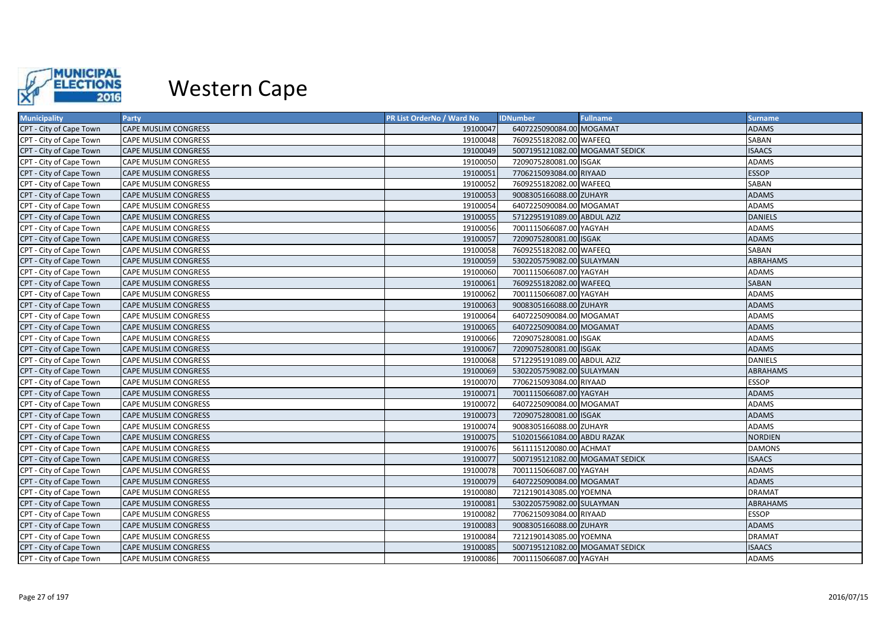

| <b>Municipality</b>     | Party                       | PR List OrderNo / Ward No | <b>IDNumber</b>                 | <b>Fullname</b> | <b>Surname</b>  |
|-------------------------|-----------------------------|---------------------------|---------------------------------|-----------------|-----------------|
| CPT - City of Cape Town | <b>CAPE MUSLIM CONGRESS</b> | 19100047                  | 6407225090084.00 MOGAMAT        |                 | <b>ADAMS</b>    |
| CPT - City of Cape Town | CAPE MUSLIM CONGRESS        | 19100048                  | 7609255182082.00 WAFEEQ         |                 | SABAN           |
| CPT - City of Cape Town | CAPE MUSLIM CONGRESS        | 19100049                  | 5007195121082.00 MOGAMAT SEDICK |                 | <b>ISAACS</b>   |
| CPT - City of Cape Town | CAPE MUSLIM CONGRESS        | 19100050                  | 7209075280081.00 ISGAK          |                 | <b>ADAMS</b>    |
| CPT - City of Cape Town | <b>CAPE MUSLIM CONGRESS</b> | 19100051                  | 7706215093084.00 RIYAAD         |                 | <b>ESSOP</b>    |
| CPT - City of Cape Town | CAPE MUSLIM CONGRESS        | 19100052                  | 7609255182082.00 WAFEEQ         |                 | SABAN           |
| CPT - City of Cape Town | CAPE MUSLIM CONGRESS        | 19100053                  | 9008305166088.00 ZUHAYR         |                 | <b>ADAMS</b>    |
| CPT - City of Cape Town | <b>CAPE MUSLIM CONGRESS</b> | 19100054                  | 6407225090084.00 MOGAMAT        |                 | <b>ADAMS</b>    |
| CPT - City of Cape Town | CAPE MUSLIM CONGRESS        | 19100055                  | 5712295191089.00 ABDUL AZIZ     |                 | <b>DANIELS</b>  |
| CPT - City of Cape Town | CAPE MUSLIM CONGRESS        | 19100056                  | 7001115066087.00 YAGYAH         |                 | <b>ADAMS</b>    |
| CPT - City of Cape Town | <b>CAPE MUSLIM CONGRESS</b> | 19100057                  | 7209075280081.00 ISGAK          |                 | <b>ADAMS</b>    |
| CPT - City of Cape Town | CAPE MUSLIM CONGRESS        | 19100058                  | 7609255182082.00 WAFEEQ         |                 | SABAN           |
| CPT - City of Cape Town | CAPE MUSLIM CONGRESS        | 19100059                  | 5302205759082.00 SULAYMAN       |                 | <b>ABRAHAMS</b> |
| CPT - City of Cape Town | <b>CAPE MUSLIM CONGRESS</b> | 19100060                  | 7001115066087.00 YAGYAH         |                 | <b>ADAMS</b>    |
| CPT - City of Cape Town | CAPE MUSLIM CONGRESS        | 19100061                  | 7609255182082.00 WAFEEQ         |                 | <b>SABAN</b>    |
| CPT - City of Cape Town | CAPE MUSLIM CONGRESS        | 19100062                  | 7001115066087.00 YAGYAH         |                 | <b>ADAMS</b>    |
| CPT - City of Cape Town | <b>CAPE MUSLIM CONGRESS</b> | 19100063                  | 9008305166088.00 ZUHAYR         |                 | <b>ADAMS</b>    |
| CPT - City of Cape Town | CAPE MUSLIM CONGRESS        | 19100064                  | 6407225090084.00 MOGAMAT        |                 | <b>ADAMS</b>    |
| CPT - City of Cape Town | CAPE MUSLIM CONGRESS        | 19100065                  | 6407225090084.00 MOGAMAT        |                 | <b>ADAMS</b>    |
| CPT - City of Cape Town | CAPE MUSLIM CONGRESS        | 19100066                  | 7209075280081.00 ISGAK          |                 | <b>ADAMS</b>    |
| CPT - City of Cape Town | CAPE MUSLIM CONGRESS        | 19100067                  | 7209075280081.00 ISGAK          |                 | <b>ADAMS</b>    |
| CPT - City of Cape Town | CAPE MUSLIM CONGRESS        | 19100068                  | 5712295191089.00 ABDUL AZIZ     |                 | <b>DANIELS</b>  |
| CPT - City of Cape Town | <b>CAPE MUSLIM CONGRESS</b> | 19100069                  | 5302205759082.00 SULAYMAN       |                 | ABRAHAMS        |
| CPT - City of Cape Town | CAPE MUSLIM CONGRESS        | 19100070                  | 7706215093084.00 RIYAAD         |                 | <b>ESSOP</b>    |
| CPT - City of Cape Town | CAPE MUSLIM CONGRESS        | 19100071                  | 7001115066087.00 YAGYAH         |                 | <b>ADAMS</b>    |
| CPT - City of Cape Town | CAPE MUSLIM CONGRESS        | 19100072                  | 6407225090084.00 MOGAMAT        |                 | <b>ADAMS</b>    |
| CPT - City of Cape Town | CAPE MUSLIM CONGRESS        | 19100073                  | 7209075280081.00 ISGAK          |                 | <b>ADAMS</b>    |
| CPT - City of Cape Town | CAPE MUSLIM CONGRESS        | 19100074                  | 9008305166088.00 ZUHAYR         |                 | <b>ADAMS</b>    |
| CPT - City of Cape Town | CAPE MUSLIM CONGRESS        | 19100075                  | 5102015661084.00 ABDU RAZAK     |                 | <b>NORDIEN</b>  |
| CPT - City of Cape Town | CAPE MUSLIM CONGRESS        | 19100076                  | 5611115120080.00 ACHMAT         |                 | <b>DAMONS</b>   |
| CPT - City of Cape Town | CAPE MUSLIM CONGRESS        | 19100077                  | 5007195121082.00 MOGAMAT SEDICK |                 | <b>ISAACS</b>   |
| CPT - City of Cape Town | CAPE MUSLIM CONGRESS        | 19100078                  | 7001115066087.00 YAGYAH         |                 | <b>ADAMS</b>    |
| CPT - City of Cape Town | <b>CAPE MUSLIM CONGRESS</b> | 19100079                  | 6407225090084.00 MOGAMAT        |                 | <b>ADAMS</b>    |
| CPT - City of Cape Town | CAPE MUSLIM CONGRESS        | 19100080                  | 7212190143085.00 YOEMNA         |                 | <b>DRAMAT</b>   |
| CPT - City of Cape Town | CAPE MUSLIM CONGRESS        | 19100081                  | 5302205759082.00 SULAYMAN       |                 | <b>ABRAHAMS</b> |
| CPT - City of Cape Town | CAPE MUSLIM CONGRESS        | 19100082                  | 7706215093084.00 RIYAAD         |                 | <b>ESSOP</b>    |
| CPT - City of Cape Town | CAPE MUSLIM CONGRESS        | 19100083                  | 9008305166088.00 ZUHAYR         |                 | <b>ADAMS</b>    |
| CPT - City of Cape Town | CAPE MUSLIM CONGRESS        | 19100084                  | 7212190143085.00 YOEMNA         |                 | <b>DRAMAT</b>   |
| CPT - City of Cape Town | CAPE MUSLIM CONGRESS        | 19100085                  | 5007195121082.00 MOGAMAT SEDICK |                 | <b>ISAACS</b>   |
| CPT - City of Cape Town | CAPE MUSLIM CONGRESS        | 19100086                  | 7001115066087.00 YAGYAH         |                 | <b>ADAMS</b>    |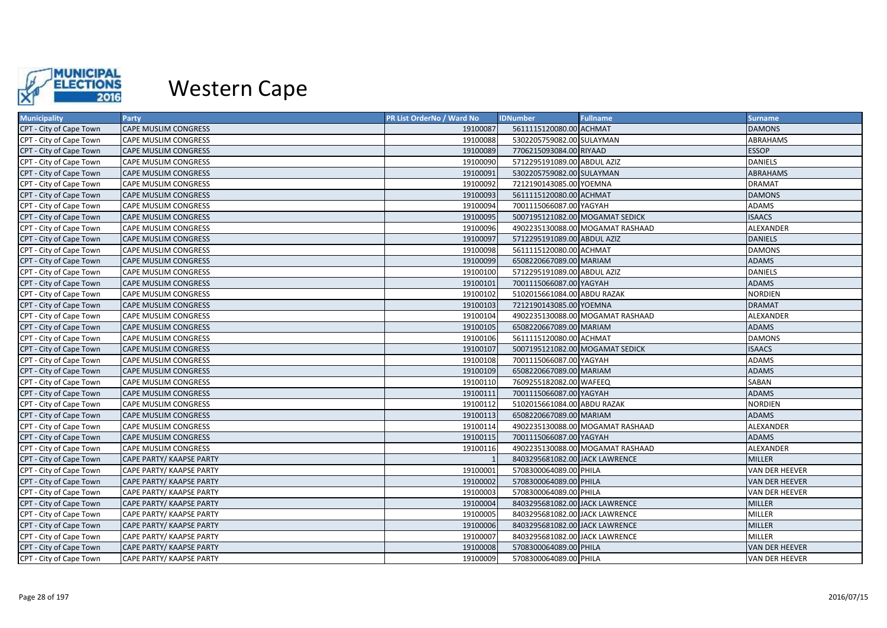

| <b>Municipality</b>     | Party                           | PR List OrderNo / Ward No | <b>IDNumber</b>                 | <b>Fullname</b>                  | <b>Surname</b>        |
|-------------------------|---------------------------------|---------------------------|---------------------------------|----------------------------------|-----------------------|
| CPT - City of Cape Town | <b>CAPE MUSLIM CONGRESS</b>     | 19100087                  | 5611115120080.00 ACHMAT         |                                  | <b>DAMONS</b>         |
| CPT - City of Cape Town | <b>CAPE MUSLIM CONGRESS</b>     | 19100088                  | 5302205759082.00 SULAYMAN       |                                  | ABRAHAMS              |
| CPT - City of Cape Town | <b>CAPE MUSLIM CONGRESS</b>     | 19100089                  | 7706215093084.00 RIYAAD         |                                  | <b>ESSOP</b>          |
| CPT - City of Cape Town | <b>CAPE MUSLIM CONGRESS</b>     | 19100090                  | 5712295191089.00 ABDUL AZIZ     |                                  | <b>DANIELS</b>        |
| CPT - City of Cape Town | <b>CAPE MUSLIM CONGRESS</b>     | 19100091                  | 5302205759082.00 SULAYMAN       |                                  | <b>ABRAHAMS</b>       |
| CPT - City of Cape Town | <b>CAPE MUSLIM CONGRESS</b>     | 19100092                  | 7212190143085.00 YOEMNA         |                                  | <b>DRAMAT</b>         |
| CPT - City of Cape Town | <b>CAPE MUSLIM CONGRESS</b>     | 19100093                  | 5611115120080.00 ACHMAT         |                                  | <b>DAMONS</b>         |
| CPT - City of Cape Town | <b>CAPE MUSLIM CONGRESS</b>     | 19100094                  | 7001115066087.00 YAGYAH         |                                  | <b>ADAMS</b>          |
| CPT - City of Cape Town | <b>CAPE MUSLIM CONGRESS</b>     | 19100095                  | 5007195121082.00 MOGAMAT SEDICK |                                  | <b>ISAACS</b>         |
| CPT - City of Cape Town | <b>CAPE MUSLIM CONGRESS</b>     | 19100096                  |                                 | 4902235130088.00 MOGAMAT RASHAAD | ALEXANDER             |
| CPT - City of Cape Town | <b>CAPE MUSLIM CONGRESS</b>     | 19100097                  | 5712295191089.00 ABDUL AZIZ     |                                  | <b>DANIELS</b>        |
| CPT - City of Cape Town | <b>CAPE MUSLIM CONGRESS</b>     | 19100098                  | 5611115120080.00 ACHMAT         |                                  | <b>DAMONS</b>         |
| CPT - City of Cape Town | <b>CAPE MUSLIM CONGRESS</b>     | 19100099                  | 6508220667089.00 MARIAM         |                                  | <b>ADAMS</b>          |
| CPT - City of Cape Town | <b>CAPE MUSLIM CONGRESS</b>     | 19100100                  | 5712295191089.00 ABDUL AZIZ     |                                  | <b>DANIELS</b>        |
| CPT - City of Cape Town | <b>CAPE MUSLIM CONGRESS</b>     | 19100101                  | 7001115066087.00 YAGYAH         |                                  | <b>ADAMS</b>          |
| CPT - City of Cape Town | <b>CAPE MUSLIM CONGRESS</b>     | 19100102                  | 5102015661084.00 ABDU RAZAK     |                                  | <b>NORDIEN</b>        |
| CPT - City of Cape Town | <b>CAPE MUSLIM CONGRESS</b>     | 19100103                  | 7212190143085.00 YOEMNA         |                                  | <b>DRAMAT</b>         |
| CPT - City of Cape Town | <b>CAPE MUSLIM CONGRESS</b>     | 19100104                  |                                 | 4902235130088.00 MOGAMAT RASHAAD | ALEXANDER             |
| CPT - City of Cape Town | <b>CAPE MUSLIM CONGRESS</b>     | 19100105                  | 6508220667089.00 MARIAM         |                                  | <b>ADAMS</b>          |
| CPT - City of Cape Town | <b>CAPE MUSLIM CONGRESS</b>     | 19100106                  | 5611115120080.00 ACHMAT         |                                  | <b>DAMONS</b>         |
| CPT - City of Cape Town | <b>CAPE MUSLIM CONGRESS</b>     | 19100107                  | 5007195121082.00 MOGAMAT SEDICK |                                  | <b>ISAACS</b>         |
| CPT - City of Cape Town | <b>CAPE MUSLIM CONGRESS</b>     | 19100108                  | 7001115066087.00 YAGYAH         |                                  | <b>ADAMS</b>          |
| CPT - City of Cape Town | <b>CAPE MUSLIM CONGRESS</b>     | 19100109                  | 6508220667089.00 MARIAM         |                                  | <b>ADAMS</b>          |
| CPT - City of Cape Town | <b>CAPE MUSLIM CONGRESS</b>     | 19100110                  | 7609255182082.00 WAFEEQ         |                                  | SABAN                 |
| CPT - City of Cape Town | <b>CAPE MUSLIM CONGRESS</b>     | 19100111                  | 7001115066087.00 YAGYAH         |                                  | <b>ADAMS</b>          |
| CPT - City of Cape Town | <b>CAPE MUSLIM CONGRESS</b>     | 19100112                  | 5102015661084.00 ABDU RAZAK     |                                  | <b>NORDIEN</b>        |
| CPT - City of Cape Town | <b>CAPE MUSLIM CONGRESS</b>     | 19100113                  | 6508220667089.00 MARIAM         |                                  | <b>ADAMS</b>          |
| CPT - City of Cape Town | <b>CAPE MUSLIM CONGRESS</b>     | 19100114                  |                                 | 4902235130088.00 MOGAMAT RASHAAD | ALEXANDER             |
| CPT - City of Cape Town | <b>CAPE MUSLIM CONGRESS</b>     | 19100115                  | 7001115066087.00 YAGYAH         |                                  | <b>ADAMS</b>          |
| CPT - City of Cape Town | <b>CAPE MUSLIM CONGRESS</b>     | 19100116                  |                                 | 4902235130088.00 MOGAMAT RASHAAD | ALEXANDER             |
| CPT - City of Cape Town | <b>CAPE PARTY/ KAAPSE PARTY</b> |                           | 8403295681082.00 JACK LAWRENCE  |                                  | <b>MILLER</b>         |
| CPT - City of Cape Town | <b>CAPE PARTY/ KAAPSE PARTY</b> | 19100001                  | 5708300064089.00 PHILA          |                                  | <b>VAN DER HEEVER</b> |
| CPT - City of Cape Town | CAPE PARTY/ KAAPSE PARTY        | 19100002                  | 5708300064089.00 PHILA          |                                  | <b>VAN DER HEEVER</b> |
| CPT - City of Cape Town | CAPE PARTY/ KAAPSE PARTY        | 19100003                  | 5708300064089.00 PHILA          |                                  | <b>VAN DER HEEVER</b> |
| CPT - City of Cape Town | CAPE PARTY/ KAAPSE PARTY        | 19100004                  | 8403295681082.00 JACK LAWRENCE  |                                  | <b>MILLER</b>         |
| CPT - City of Cape Town | CAPE PARTY/ KAAPSE PARTY        | 19100005                  | 8403295681082.00 JACK LAWRENCE  |                                  | <b>MILLER</b>         |
| CPT - City of Cape Town | <b>CAPE PARTY/ KAAPSE PARTY</b> | 19100006                  | 8403295681082.00 JACK LAWRENCE  |                                  | <b>MILLER</b>         |
| CPT - City of Cape Town | CAPE PARTY/ KAAPSE PARTY        | 19100007                  | 8403295681082.00 JACK LAWRENCE  |                                  | <b>MILLER</b>         |
| CPT - City of Cape Town | <b>CAPE PARTY/ KAAPSE PARTY</b> | 19100008                  | 5708300064089.00 PHILA          |                                  | <b>VAN DER HEEVER</b> |
| CPT - City of Cape Town | CAPE PARTY/ KAAPSE PARTY        | 19100009                  | 5708300064089.00 PHILA          |                                  | <b>VAN DER HEEVER</b> |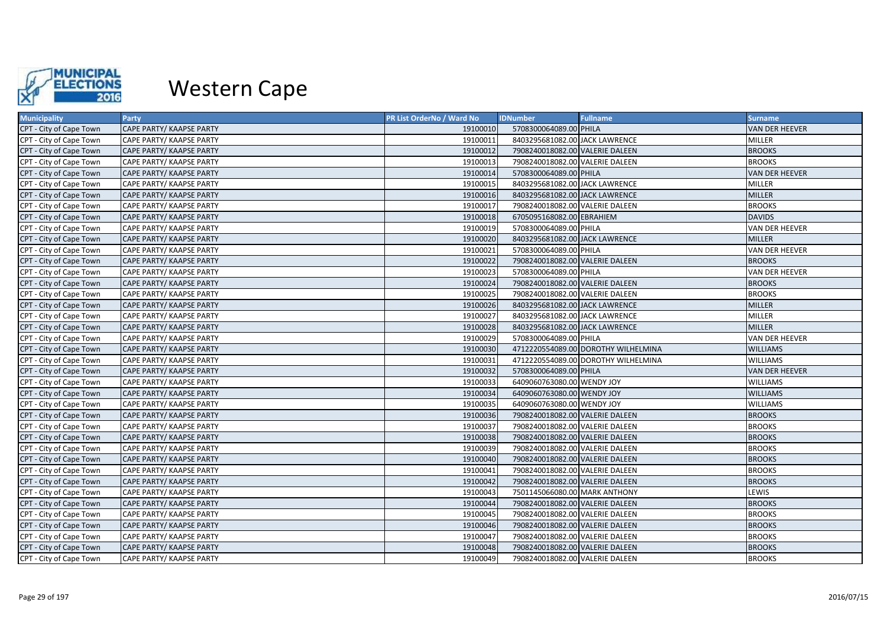

| <b>Municipality</b>     | <b>Party</b>             | PR List OrderNo / Ward No | <b>IDNumber</b>                 | <b>Fullname</b>                     | <b>Surname</b>        |
|-------------------------|--------------------------|---------------------------|---------------------------------|-------------------------------------|-----------------------|
| CPT - City of Cape Town | CAPE PARTY/ KAAPSE PARTY | 19100010                  | 5708300064089.00 PHILA          |                                     | <b>VAN DER HEEVER</b> |
| CPT - City of Cape Town | CAPE PARTY/ KAAPSE PARTY | 19100011                  | 8403295681082.00 JACK LAWRENCE  |                                     | <b>MILLER</b>         |
| CPT - City of Cape Town | CAPE PARTY/ KAAPSE PARTY | 19100012                  | 7908240018082.00 VALERIE DALEEN |                                     | <b>BROOKS</b>         |
| CPT - City of Cape Town | CAPE PARTY/ KAAPSE PARTY | 19100013                  | 7908240018082.00 VALERIE DALEEN |                                     | <b>BROOKS</b>         |
| CPT - City of Cape Town | CAPE PARTY/ KAAPSE PARTY | 19100014                  | 5708300064089.00 PHILA          |                                     | <b>VAN DER HEEVER</b> |
| CPT - City of Cape Town | CAPE PARTY/ KAAPSE PARTY | 19100015                  | 8403295681082.00 JACK LAWRENCE  |                                     | <b>MILLER</b>         |
| CPT - City of Cape Town | CAPE PARTY/ KAAPSE PARTY | 19100016                  | 8403295681082.00 JACK LAWRENCE  |                                     | <b>MILLER</b>         |
| CPT - City of Cape Town | CAPE PARTY/ KAAPSE PARTY | 19100017                  | 7908240018082.00 VALERIE DALEEN |                                     | <b>BROOKS</b>         |
| CPT - City of Cape Town | CAPE PARTY/ KAAPSE PARTY | 19100018                  | 6705095168082.00 EBRAHIEM       |                                     | <b>DAVIDS</b>         |
| CPT - City of Cape Town | CAPE PARTY/ KAAPSE PARTY | 19100019                  | 5708300064089.00 PHILA          |                                     | <b>VAN DER HEEVER</b> |
| CPT - City of Cape Town | CAPE PARTY/ KAAPSE PARTY | 19100020                  | 8403295681082.00 JACK LAWRENCE  |                                     | <b>MILLER</b>         |
| CPT - City of Cape Town | CAPE PARTY/ KAAPSE PARTY | 19100021                  | 5708300064089.00 PHILA          |                                     | <b>VAN DER HEEVER</b> |
| CPT - City of Cape Town | CAPE PARTY/ KAAPSE PARTY | 19100022                  | 7908240018082.00 VALERIE DALEEN |                                     | <b>BROOKS</b>         |
| CPT - City of Cape Town | CAPE PARTY/ KAAPSE PARTY | 19100023                  | 5708300064089.00 PHILA          |                                     | VAN DER HEEVER        |
| CPT - City of Cape Town | CAPE PARTY/ KAAPSE PARTY | 19100024                  | 7908240018082.00 VALERIE DALEEN |                                     | <b>BROOKS</b>         |
| CPT - City of Cape Town | CAPE PARTY/ KAAPSE PARTY | 19100025                  | 7908240018082.00 VALERIE DALEEN |                                     | <b>BROOKS</b>         |
| CPT - City of Cape Town | CAPE PARTY/ KAAPSE PARTY | 19100026                  | 8403295681082.00 JACK LAWRENCE  |                                     | <b>MILLER</b>         |
| CPT - City of Cape Town | CAPE PARTY/ KAAPSE PARTY | 19100027                  | 8403295681082.00 JACK LAWRENCE  |                                     | <b>MILLER</b>         |
| CPT - City of Cape Town | CAPE PARTY/ KAAPSE PARTY | 19100028                  | 8403295681082.00 JACK LAWRENCE  |                                     | <b>MILLER</b>         |
| CPT - City of Cape Town | CAPE PARTY/ KAAPSE PARTY | 19100029                  | 5708300064089.00 PHILA          |                                     | <b>VAN DER HEEVER</b> |
| CPT - City of Cape Town | CAPE PARTY/ KAAPSE PARTY | 19100030                  |                                 | 4712220554089.00 DOROTHY WILHELMINA | <b>WILLIAMS</b>       |
| CPT - City of Cape Town | CAPE PARTY/ KAAPSE PARTY | 19100031                  |                                 | 4712220554089.00 DOROTHY WILHELMINA | <b>WILLIAMS</b>       |
| CPT - City of Cape Town | CAPE PARTY/ KAAPSE PARTY | 19100032                  | 5708300064089.00 PHILA          |                                     | <b>VAN DER HEEVER</b> |
| CPT - City of Cape Town | CAPE PARTY/ KAAPSE PARTY | 19100033                  | 6409060763080.00 WENDY JOY      |                                     | <b>WILLIAMS</b>       |
| CPT - City of Cape Town | CAPE PARTY/ KAAPSE PARTY | 19100034                  | 6409060763080.00 WENDY JOY      |                                     | <b>WILLIAMS</b>       |
| CPT - City of Cape Town | CAPE PARTY/ KAAPSE PARTY | 19100035                  | 6409060763080.00 WENDY JOY      |                                     | <b>WILLIAMS</b>       |
| CPT - City of Cape Town | CAPE PARTY/ KAAPSE PARTY | 19100036                  | 7908240018082.00 VALERIE DALEEN |                                     | <b>BROOKS</b>         |
| CPT - City of Cape Town | CAPE PARTY/ KAAPSE PARTY | 19100037                  | 7908240018082.00 VALERIE DALEEN |                                     | <b>BROOKS</b>         |
| CPT - City of Cape Town | CAPE PARTY/ KAAPSE PARTY | 19100038                  | 7908240018082.00 VALERIE DALEEN |                                     | <b>BROOKS</b>         |
| CPT - City of Cape Town | CAPE PARTY/ KAAPSE PARTY | 19100039                  | 7908240018082.00 VALERIE DALEEN |                                     | <b>BROOKS</b>         |
| CPT - City of Cape Town | CAPE PARTY/ KAAPSE PARTY | 19100040                  | 7908240018082.00 VALERIE DALEEN |                                     | <b>BROOKS</b>         |
| CPT - City of Cape Town | CAPE PARTY/ KAAPSE PARTY | 19100041                  | 7908240018082.00 VALERIE DALEEN |                                     | <b>BROOKS</b>         |
| CPT - City of Cape Town | CAPE PARTY/ KAAPSE PARTY | 19100042                  | 7908240018082.00 VALERIE DALEEN |                                     | <b>BROOKS</b>         |
| CPT - City of Cape Town | CAPE PARTY/ KAAPSE PARTY | 19100043                  | 7501145066080.00 MARK ANTHONY   |                                     | LEWIS                 |
| CPT - City of Cape Town | CAPE PARTY/ KAAPSE PARTY | 19100044                  | 7908240018082.00 VALERIE DALEEN |                                     | <b>BROOKS</b>         |
| CPT - City of Cape Town | CAPE PARTY/ KAAPSE PARTY | 19100045                  | 7908240018082.00 VALERIE DALEEN |                                     | <b>BROOKS</b>         |
| CPT - City of Cape Town | CAPE PARTY/ KAAPSE PARTY | 19100046                  | 7908240018082.00 VALERIE DALEEN |                                     | <b>BROOKS</b>         |
| CPT - City of Cape Town | CAPE PARTY/ KAAPSE PARTY | 19100047                  | 7908240018082.00 VALERIE DALEEN |                                     | <b>BROOKS</b>         |
| CPT - City of Cape Town | CAPE PARTY/ KAAPSE PARTY | 19100048                  | 7908240018082.00 VALERIE DALEEN |                                     | <b>BROOKS</b>         |
| CPT - City of Cape Town | CAPE PARTY/ KAAPSE PARTY | 19100049                  | 7908240018082.00 VALERIE DALEEN |                                     | <b>BROOKS</b>         |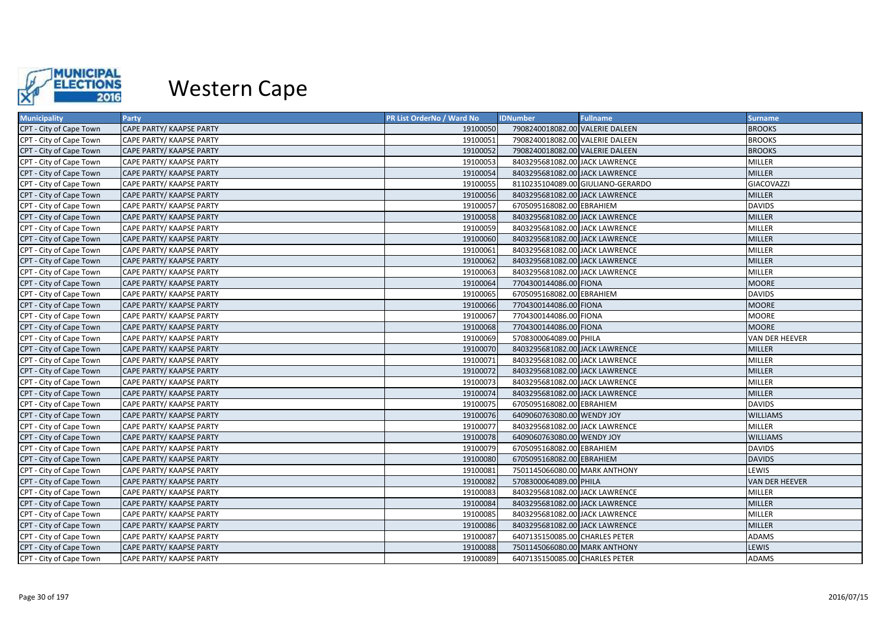

| <b>Municipality</b>     | Party                    | <b>PR List OrderNo / Ward No</b> | <b>IDNumber</b>                 | <b>Fullname</b>                   | <b>Surname</b>        |
|-------------------------|--------------------------|----------------------------------|---------------------------------|-----------------------------------|-----------------------|
| CPT - City of Cape Town | CAPE PARTY/ KAAPSE PARTY | 19100050                         | 7908240018082.00 VALERIE DALEEN |                                   | <b>BROOKS</b>         |
| CPT - City of Cape Town | CAPE PARTY/ KAAPSE PARTY | 19100051                         | 7908240018082.00 VALERIE DALEEN |                                   | <b>BROOKS</b>         |
| CPT - City of Cape Town | CAPE PARTY/ KAAPSE PARTY | 19100052                         | 7908240018082.00 VALERIE DALEEN |                                   | <b>BROOKS</b>         |
| CPT - City of Cape Town | CAPE PARTY/ KAAPSE PARTY | 19100053                         | 8403295681082.00 JACK LAWRENCE  |                                   | <b>MILLER</b>         |
| CPT - City of Cape Town | CAPE PARTY/ KAAPSE PARTY | 19100054                         | 8403295681082.00 JACK LAWRENCE  |                                   | <b>MILLER</b>         |
| CPT - City of Cape Town | CAPE PARTY/ KAAPSE PARTY | 19100055                         |                                 | 8110235104089.00 GIULIANO-GERARDO | GIACOVAZZI            |
| CPT - City of Cape Town | CAPE PARTY/ KAAPSE PARTY | 19100056                         | 8403295681082.00 JACK LAWRENCE  |                                   | <b>MILLER</b>         |
| CPT - City of Cape Town | CAPE PARTY/ KAAPSE PARTY | 19100057                         | 6705095168082.00 EBRAHIEM       |                                   | <b>DAVIDS</b>         |
| CPT - City of Cape Town | CAPE PARTY/ KAAPSE PARTY | 19100058                         | 8403295681082.00 JACK LAWRENCE  |                                   | <b>MILLER</b>         |
| CPT - City of Cape Town | CAPE PARTY/ KAAPSE PARTY | 19100059                         | 8403295681082.00 JACK LAWRENCE  |                                   | <b>MILLER</b>         |
| CPT - City of Cape Town | CAPE PARTY/ KAAPSE PARTY | 19100060                         | 8403295681082.00 JACK LAWRENCE  |                                   | <b>MILLER</b>         |
| CPT - City of Cape Town | CAPE PARTY/ KAAPSE PARTY | 19100061                         | 8403295681082.00 JACK LAWRENCE  |                                   | <b>MILLER</b>         |
| CPT - City of Cape Town | CAPE PARTY/ KAAPSE PARTY | 19100062                         | 8403295681082.00 JACK LAWRENCE  |                                   | <b>MILLER</b>         |
| CPT - City of Cape Town | CAPE PARTY/ KAAPSE PARTY | 19100063                         | 8403295681082.00 JACK LAWRENCE  |                                   | <b>MILLER</b>         |
| CPT - City of Cape Town | CAPE PARTY/ KAAPSE PARTY | 19100064                         | 7704300144086.00 FIONA          |                                   | <b>MOORE</b>          |
| CPT - City of Cape Town | CAPE PARTY/ KAAPSE PARTY | 19100065                         | 6705095168082.00 EBRAHIEM       |                                   | <b>DAVIDS</b>         |
| CPT - City of Cape Town | CAPE PARTY/ KAAPSE PARTY | 19100066                         | 7704300144086.00 FIONA          |                                   | <b>MOORE</b>          |
| CPT - City of Cape Town | CAPE PARTY/ KAAPSE PARTY | 19100067                         | 7704300144086.00 FIONA          |                                   | <b>MOORE</b>          |
| CPT - City of Cape Town | CAPE PARTY/ KAAPSE PARTY | 19100068                         | 7704300144086.00 FIONA          |                                   | <b>MOORE</b>          |
| CPT - City of Cape Town | CAPE PARTY/ KAAPSE PARTY | 19100069                         | 5708300064089.00 PHILA          |                                   | <b>VAN DER HEEVER</b> |
| CPT - City of Cape Town | CAPE PARTY/ KAAPSE PARTY | 19100070                         | 8403295681082.00 JACK LAWRENCE  |                                   | <b>MILLER</b>         |
| CPT - City of Cape Town | CAPE PARTY/ KAAPSE PARTY | 19100071                         | 8403295681082.00 JACK LAWRENCE  |                                   | <b>MILLER</b>         |
| CPT - City of Cape Town | CAPE PARTY/ KAAPSE PARTY | 19100072                         | 8403295681082.00 JACK LAWRENCE  |                                   | <b>MILLER</b>         |
| CPT - City of Cape Town | CAPE PARTY/ KAAPSE PARTY | 19100073                         | 8403295681082.00 JACK LAWRENCE  |                                   | MILLER                |
| CPT - City of Cape Town | CAPE PARTY/ KAAPSE PARTY | 19100074                         | 8403295681082.00 JACK LAWRENCE  |                                   | <b>MILLER</b>         |
| CPT - City of Cape Town | CAPE PARTY/ KAAPSE PARTY | 19100075                         | 6705095168082.00 EBRAHIEM       |                                   | <b>DAVIDS</b>         |
| CPT - City of Cape Town | CAPE PARTY/ KAAPSE PARTY | 19100076                         | 6409060763080.00 WENDY JOY      |                                   | <b>WILLIAMS</b>       |
| CPT - City of Cape Town | CAPE PARTY/ KAAPSE PARTY | 19100077                         | 8403295681082.00 JACK LAWRENCE  |                                   | MILLER                |
| CPT - City of Cape Town | CAPE PARTY/ KAAPSE PARTY | 19100078                         | 6409060763080.00 WENDY JOY      |                                   | <b>WILLIAMS</b>       |
| CPT - City of Cape Town | CAPE PARTY/ KAAPSE PARTY | 19100079                         | 6705095168082.00 EBRAHIEM       |                                   | <b>DAVIDS</b>         |
| CPT - City of Cape Town | CAPE PARTY/ KAAPSE PARTY | 19100080                         | 6705095168082.00 EBRAHIEM       |                                   | <b>DAVIDS</b>         |
| CPT - City of Cape Town | CAPE PARTY/ KAAPSE PARTY | 19100081                         | 7501145066080.00 MARK ANTHONY   |                                   | LEWIS                 |
| CPT - City of Cape Town | CAPE PARTY/ KAAPSE PARTY | 19100082                         | 5708300064089.00 PHILA          |                                   | <b>VAN DER HEEVER</b> |
| CPT - City of Cape Town | CAPE PARTY/ KAAPSE PARTY | 19100083                         | 8403295681082.00 JACK LAWRENCE  |                                   | <b>MILLER</b>         |
| CPT - City of Cape Town | CAPE PARTY/ KAAPSE PARTY | 19100084                         | 8403295681082.00 JACK LAWRENCE  |                                   | <b>MILLER</b>         |
| CPT - City of Cape Town | CAPE PARTY/ KAAPSE PARTY | 19100085                         | 8403295681082.00 JACK LAWRENCE  |                                   | <b>MILLER</b>         |
| CPT - City of Cape Town | CAPE PARTY/ KAAPSE PARTY | 19100086                         | 8403295681082.00 JACK LAWRENCE  |                                   | <b>MILLER</b>         |
| CPT - City of Cape Town | CAPE PARTY/ KAAPSE PARTY | 19100087                         | 6407135150085.00 CHARLES PETER  |                                   | <b>ADAMS</b>          |
| CPT - City of Cape Town | CAPE PARTY/ KAAPSE PARTY | 19100088                         | 7501145066080.00 MARK ANTHONY   |                                   | LEWIS                 |
| CPT - City of Cape Town | CAPE PARTY/ KAAPSE PARTY | 19100089                         | 6407135150085.00 CHARLES PETER  |                                   | <b>ADAMS</b>          |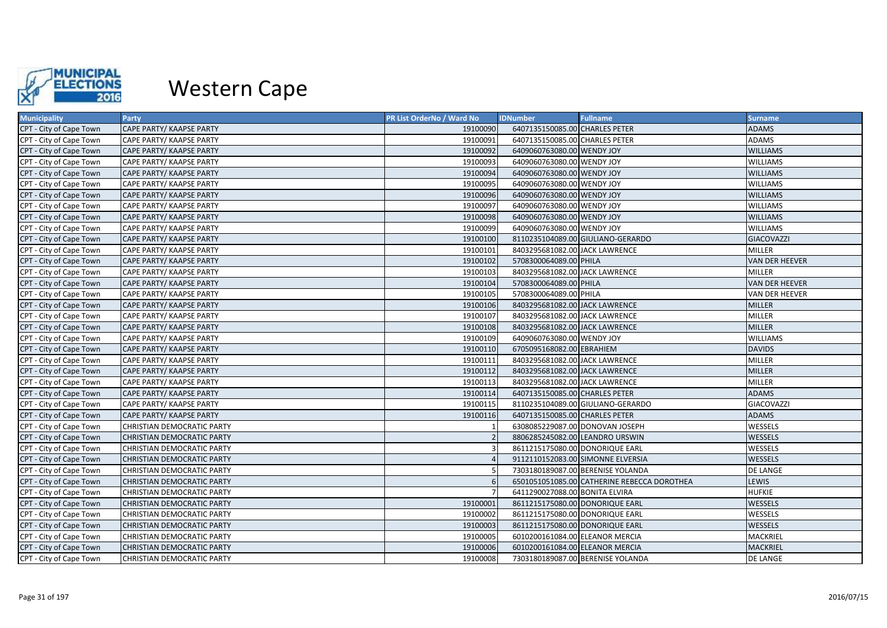

| <b>Municipality</b>     | Party                             | PR List OrderNo / Ward No | <b>IDNumber</b>                 | <b>Fullname</b>                             | <b>Surname</b>        |
|-------------------------|-----------------------------------|---------------------------|---------------------------------|---------------------------------------------|-----------------------|
| CPT - City of Cape Town | CAPE PARTY/ KAAPSE PARTY          | 19100090                  | 6407135150085.00 CHARLES PETER  |                                             | <b>ADAMS</b>          |
| CPT - City of Cape Town | CAPE PARTY/ KAAPSE PARTY          | 19100091                  | 6407135150085.00 CHARLES PETER  |                                             | <b>ADAMS</b>          |
| CPT - City of Cape Town | CAPE PARTY/ KAAPSE PARTY          | 19100092                  | 6409060763080.00 WENDY JOY      |                                             | <b>WILLIAMS</b>       |
| CPT - City of Cape Town | CAPE PARTY/ KAAPSE PARTY          | 19100093                  | 6409060763080.00 WENDY JOY      |                                             | <b>WILLIAMS</b>       |
| CPT - City of Cape Town | CAPE PARTY/ KAAPSE PARTY          | 19100094                  | 6409060763080.00 WENDY JOY      |                                             | <b>WILLIAMS</b>       |
| CPT - City of Cape Town | CAPE PARTY/ KAAPSE PARTY          | 19100095                  | 6409060763080.00 WENDY JOY      |                                             | WILLIAMS              |
| CPT - City of Cape Town | CAPE PARTY/ KAAPSE PARTY          | 19100096                  | 6409060763080.00 WENDY JOY      |                                             | <b>WILLIAMS</b>       |
| CPT - City of Cape Town | CAPE PARTY/ KAAPSE PARTY          | 19100097                  | 6409060763080.00 WENDY JOY      |                                             | <b>WILLIAMS</b>       |
| CPT - City of Cape Town | CAPE PARTY/ KAAPSE PARTY          | 19100098                  | 6409060763080.00 WENDY JOY      |                                             | <b>WILLIAMS</b>       |
| CPT - City of Cape Town | CAPE PARTY/ KAAPSE PARTY          | 19100099                  | 6409060763080.00 WENDY JOY      |                                             | <b>WILLIAMS</b>       |
| CPT - City of Cape Town | CAPE PARTY/ KAAPSE PARTY          | 19100100                  |                                 | 8110235104089.00 GIULIANO-GERARDO           | GIACOVAZZI            |
| CPT - City of Cape Town | CAPE PARTY/ KAAPSE PARTY          | 19100101                  | 8403295681082.00 JACK LAWRENCE  |                                             | <b>MILLER</b>         |
| CPT - City of Cape Town | CAPE PARTY/ KAAPSE PARTY          | 19100102                  | 5708300064089.00 PHILA          |                                             | <b>VAN DER HEEVER</b> |
| CPT - City of Cape Town | CAPE PARTY/ KAAPSE PARTY          | 19100103                  | 8403295681082.00 JACK LAWRENCE  |                                             | <b>MILLER</b>         |
| CPT - City of Cape Town | CAPE PARTY/ KAAPSE PARTY          | 19100104                  | 5708300064089.00 PHILA          |                                             | <b>VAN DER HEEVER</b> |
| CPT - City of Cape Town | CAPE PARTY/ KAAPSE PARTY          | 19100105                  | 5708300064089.00 PHILA          |                                             | <b>VAN DER HEEVER</b> |
| CPT - City of Cape Town | CAPE PARTY/ KAAPSE PARTY          | 19100106                  | 8403295681082.00 JACK LAWRENCE  |                                             | <b>MILLER</b>         |
| CPT - City of Cape Town | CAPE PARTY/ KAAPSE PARTY          | 19100107                  | 8403295681082.00 JACK LAWRENCE  |                                             | <b>MILLER</b>         |
| CPT - City of Cape Town | CAPE PARTY/ KAAPSE PARTY          | 19100108                  | 8403295681082.00 JACK LAWRENCE  |                                             | <b>MILLER</b>         |
| CPT - City of Cape Town | CAPE PARTY/ KAAPSE PARTY          | 19100109                  | 6409060763080.00 WENDY JOY      |                                             | <b>WILLIAMS</b>       |
| CPT - City of Cape Town | CAPE PARTY/ KAAPSE PARTY          | 19100110                  | 6705095168082.00 EBRAHIEM       |                                             | <b>DAVIDS</b>         |
| CPT - City of Cape Town | CAPE PARTY/ KAAPSE PARTY          | 19100111                  | 8403295681082.00 JACK LAWRENCE  |                                             | <b>MILLER</b>         |
| CPT - City of Cape Town | CAPE PARTY/ KAAPSE PARTY          | 19100112                  | 8403295681082.00 JACK LAWRENCE  |                                             | <b>MILLER</b>         |
| CPT - City of Cape Town | CAPE PARTY/ KAAPSE PARTY          | 19100113                  | 8403295681082.00 JACK LAWRENCE  |                                             | <b>MILLER</b>         |
| CPT - City of Cape Town | CAPE PARTY/ KAAPSE PARTY          | 19100114                  | 6407135150085.00 CHARLES PETER  |                                             | <b>ADAMS</b>          |
| CPT - City of Cape Town | CAPE PARTY/ KAAPSE PARTY          | 19100115                  |                                 | 8110235104089.00 GIULIANO-GERARDO           | GIACOVAZZI            |
| CPT - City of Cape Town | CAPE PARTY/ KAAPSE PARTY          | 19100116                  | 6407135150085.00 CHARLES PETER  |                                             | <b>ADAMS</b>          |
| CPT - City of Cape Town | CHRISTIAN DEMOCRATIC PARTY        |                           | 6308085229087.00 DONOVAN JOSEPH |                                             | WESSELS               |
| CPT - City of Cape Town | <b>CHRISTIAN DEMOCRATIC PARTY</b> |                           | 8806285245082.00 LEANDRO URSWIN |                                             | <b>WESSELS</b>        |
| CPT - City of Cape Town | CHRISTIAN DEMOCRATIC PARTY        |                           | 8611215175080.00 DONORIQUE EARL |                                             | WESSELS               |
| CPT - City of Cape Town | <b>CHRISTIAN DEMOCRATIC PARTY</b> |                           |                                 | 9112110152083.00 SIMONNE ELVERSIA           | <b>WESSELS</b>        |
| CPT - City of Cape Town | <b>CHRISTIAN DEMOCRATIC PARTY</b> |                           |                                 | 7303180189087.00 BERENISE YOLANDA           | <b>DE LANGE</b>       |
| CPT - City of Cape Town | <b>CHRISTIAN DEMOCRATIC PARTY</b> |                           |                                 | 6501051051085.00 CATHERINE REBECCA DOROTHEA | LEWIS                 |
| CPT - City of Cape Town | <b>CHRISTIAN DEMOCRATIC PARTY</b> |                           | 6411290027088.00 BONITA ELVIRA  |                                             | <b>HUFKIE</b>         |
| CPT - City of Cape Town | <b>CHRISTIAN DEMOCRATIC PARTY</b> | 19100001                  | 8611215175080.00 DONORIQUE EARL |                                             | <b>WESSELS</b>        |
| CPT - City of Cape Town | CHRISTIAN DEMOCRATIC PARTY        | 19100002                  | 8611215175080.00 DONORIQUE EARL |                                             | WESSELS               |
| CPT - City of Cape Town | <b>CHRISTIAN DEMOCRATIC PARTY</b> | 19100003                  | 8611215175080.00 DONORIQUE EARL |                                             | <b>WESSELS</b>        |
| CPT - City of Cape Town | CHRISTIAN DEMOCRATIC PARTY        | 19100005                  | 6010200161084.00 ELEANOR MERCIA |                                             | <b>MACKRIEL</b>       |
| CPT - City of Cape Town | <b>CHRISTIAN DEMOCRATIC PARTY</b> | 19100006                  | 6010200161084.00 ELEANOR MERCIA |                                             | <b>MACKRIEL</b>       |
| CPT - City of Cape Town | CHRISTIAN DEMOCRATIC PARTY        | 19100008                  |                                 | 7303180189087.00 BERENISE YOLANDA           | <b>DE LANGE</b>       |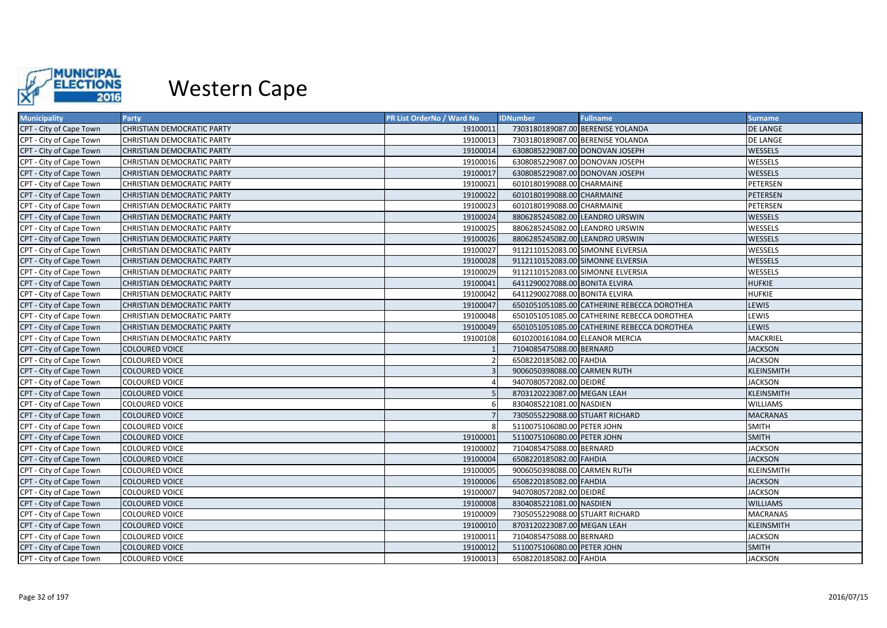

| <b>Municipality</b>     | Party                             | PR List OrderNo / Ward No | <b>IDNumber</b>                 | <b>Fullname</b>                             | <b>Surname</b>    |
|-------------------------|-----------------------------------|---------------------------|---------------------------------|---------------------------------------------|-------------------|
| CPT - City of Cape Town | <b>CHRISTIAN DEMOCRATIC PARTY</b> | 19100011                  |                                 | 7303180189087.00 BERENISE YOLANDA           | <b>DE LANGE</b>   |
| CPT - City of Cape Town | <b>CHRISTIAN DEMOCRATIC PARTY</b> | 19100013                  |                                 | 7303180189087.00 BERENISE YOLANDA           | <b>DE LANGE</b>   |
| CPT - City of Cape Town | <b>CHRISTIAN DEMOCRATIC PARTY</b> | 19100014                  | 6308085229087.00 DONOVAN JOSEPH |                                             | WESSELS           |
| CPT - City of Cape Town | CHRISTIAN DEMOCRATIC PARTY        | 19100016                  | 6308085229087.00 DONOVAN JOSEPH |                                             | WESSELS           |
| CPT - City of Cape Town | <b>CHRISTIAN DEMOCRATIC PARTY</b> | 19100017                  | 6308085229087.00 DONOVAN JOSEPH |                                             | WESSELS           |
| CPT - City of Cape Town | <b>CHRISTIAN DEMOCRATIC PARTY</b> | 19100021                  | 6010180199088.00 CHARMAINE      |                                             | PETERSEN          |
| CPT - City of Cape Town | CHRISTIAN DEMOCRATIC PARTY        | 19100022                  | 6010180199088.00 CHARMAINE      |                                             | PETERSEN          |
| CPT - City of Cape Town | <b>CHRISTIAN DEMOCRATIC PARTY</b> | 19100023                  | 6010180199088.00 CHARMAINE      |                                             | <b>PETERSEN</b>   |
| CPT - City of Cape Town | <b>CHRISTIAN DEMOCRATIC PARTY</b> | 19100024                  | 8806285245082.00 LEANDRO URSWIN |                                             | <b>WESSELS</b>    |
| CPT - City of Cape Town | <b>CHRISTIAN DEMOCRATIC PARTY</b> | 19100025                  | 8806285245082.00 LEANDRO URSWIN |                                             | WESSELS           |
| CPT - City of Cape Town | <b>CHRISTIAN DEMOCRATIC PARTY</b> | 19100026                  | 8806285245082.00 LEANDRO URSWIN |                                             | <b>WESSELS</b>    |
| CPT - City of Cape Town | <b>CHRISTIAN DEMOCRATIC PARTY</b> | 19100027                  |                                 | 9112110152083.00 SIMONNE ELVERSIA           | WESSELS           |
| CPT - City of Cape Town | <b>CHRISTIAN DEMOCRATIC PARTY</b> | 19100028                  |                                 | 9112110152083.00 SIMONNE ELVERSIA           | <b>WESSELS</b>    |
| CPT - City of Cape Town | <b>CHRISTIAN DEMOCRATIC PARTY</b> | 19100029                  |                                 | 9112110152083.00 SIMONNE ELVERSIA           | WESSELS           |
| CPT - City of Cape Town | <b>CHRISTIAN DEMOCRATIC PARTY</b> | 19100041                  | 6411290027088.00 BONITA ELVIRA  |                                             | <b>HUFKIE</b>     |
| CPT - City of Cape Town | CHRISTIAN DEMOCRATIC PARTY        | 19100042                  | 6411290027088.00 BONITA ELVIRA  |                                             | <b>HUFKIE</b>     |
| CPT - City of Cape Town | <b>CHRISTIAN DEMOCRATIC PARTY</b> | 19100047                  |                                 | 6501051051085.00 CATHERINE REBECCA DOROTHEA | LEWIS             |
| CPT - City of Cape Town | CHRISTIAN DEMOCRATIC PARTY        | 19100048                  |                                 | 6501051051085.00 CATHERINE REBECCA DOROTHEA | LEWIS             |
| CPT - City of Cape Town | CHRISTIAN DEMOCRATIC PARTY        | 19100049                  |                                 | 6501051051085.00 CATHERINE REBECCA DOROTHEA | LEWIS             |
| CPT - City of Cape Town | CHRISTIAN DEMOCRATIC PARTY        | 19100108                  | 6010200161084.00 ELEANOR MERCIA |                                             | <b>MACKRIEL</b>   |
| CPT - City of Cape Town | <b>COLOURED VOICE</b>             |                           | 7104085475088.00 BERNARD        |                                             | <b>JACKSON</b>    |
| CPT - City of Cape Town | <b>COLOURED VOICE</b>             |                           | 6508220185082.00 FAHDIA         |                                             | <b>JACKSON</b>    |
| CPT - City of Cape Town | <b>COLOURED VOICE</b>             |                           | 9006050398088.00 CARMEN RUTH    |                                             | KLEINSMITH        |
| CPT - City of Cape Town | <b>COLOURED VOICE</b>             |                           | 9407080572082.00 DEIDRÉ         |                                             | <b>JACKSON</b>    |
| CPT - City of Cape Town | <b>COLOURED VOICE</b>             |                           | 8703120223087.00 MEGAN LEAH     |                                             | <b>KLEINSMITH</b> |
| CPT - City of Cape Town | <b>COLOURED VOICE</b>             |                           | 8304085221081.00 NASDIEN        |                                             | <b>WILLIAMS</b>   |
| CPT - City of Cape Town | <b>COLOURED VOICE</b>             |                           | 7305055229088.00 STUART RICHARD |                                             | <b>MACRANAS</b>   |
| CPT - City of Cape Town | <b>COLOURED VOICE</b>             |                           | 5110075106080.00 PETER JOHN     |                                             | <b>SMITH</b>      |
| CPT - City of Cape Town | <b>COLOURED VOICE</b>             | 19100001                  | 5110075106080.00 PETER JOHN     |                                             | <b>SMITH</b>      |
| CPT - City of Cape Town | <b>COLOURED VOICE</b>             | 19100002                  | 7104085475088.00 BERNARD        |                                             | <b>JACKSON</b>    |
| CPT - City of Cape Town | <b>COLOURED VOICE</b>             | 19100004                  | 6508220185082.00 FAHDIA         |                                             | <b>JACKSON</b>    |
| CPT - City of Cape Town | <b>COLOURED VOICE</b>             | 19100005                  | 9006050398088.00 CARMEN RUTH    |                                             | KLEINSMITH        |
| CPT - City of Cape Town | <b>COLOURED VOICE</b>             | 19100006                  | 6508220185082.00 FAHDIA         |                                             | <b>JACKSON</b>    |
| CPT - City of Cape Town | <b>COLOURED VOICE</b>             | 19100007                  | 9407080572082.00 DEIDRÉ         |                                             | <b>JACKSON</b>    |
| CPT - City of Cape Town | <b>COLOURED VOICE</b>             | 19100008                  | 8304085221081.00 NASDIEN        |                                             | <b>WILLIAMS</b>   |
| CPT - City of Cape Town | <b>COLOURED VOICE</b>             | 19100009                  | 7305055229088.00 STUART RICHARD |                                             | <b>MACRANAS</b>   |
| CPT - City of Cape Town | <b>COLOURED VOICE</b>             | 19100010                  | 8703120223087.00 MEGAN LEAH     |                                             | <b>KLEINSMITH</b> |
| CPT - City of Cape Town | <b>COLOURED VOICE</b>             | 19100011                  | 7104085475088.00 BERNARD        |                                             | <b>JACKSON</b>    |
| CPT - City of Cape Town | <b>COLOURED VOICE</b>             | 19100012                  | 5110075106080.00 PETER JOHN     |                                             | <b>SMITH</b>      |
| CPT - City of Cape Town | <b>COLOURED VOICE</b>             | 19100013                  | 6508220185082.00 FAHDIA         |                                             | <b>JACKSON</b>    |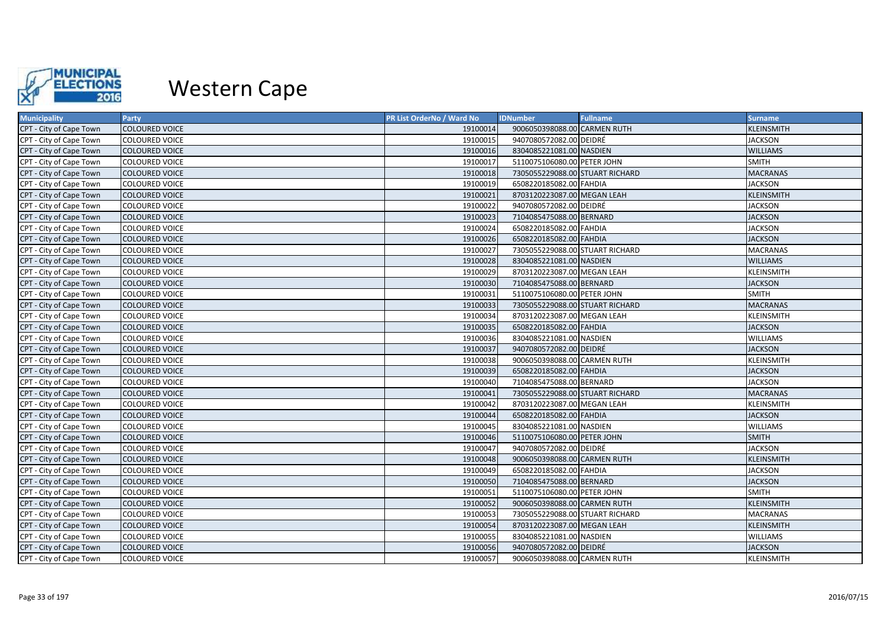

| <b>Municipality</b>     | Party                 | PR List OrderNo / Ward No | <b>IDNumber</b>                 | <b>Fullname</b> | <b>Surname</b>    |
|-------------------------|-----------------------|---------------------------|---------------------------------|-----------------|-------------------|
| CPT - City of Cape Town | <b>COLOURED VOICE</b> | 19100014                  | 9006050398088.00 CARMEN RUTH    |                 | <b>KLEINSMITH</b> |
| CPT - City of Cape Town | <b>COLOURED VOICE</b> | 19100015                  | 9407080572082.00 DEIDRÉ         |                 | <b>JACKSON</b>    |
| CPT - City of Cape Town | <b>COLOURED VOICE</b> | 19100016                  | 8304085221081.00 NASDIEN        |                 | <b>WILLIAMS</b>   |
| CPT - City of Cape Town | COLOURED VOICE        | 19100017                  | 5110075106080.00 PETER JOHN     |                 | <b>SMITH</b>      |
| CPT - City of Cape Town | <b>COLOURED VOICE</b> | 19100018                  | 7305055229088.00 STUART RICHARD |                 | <b>MACRANAS</b>   |
| CPT - City of Cape Town | COLOURED VOICE        | 19100019                  | 6508220185082.00 FAHDIA         |                 | <b>JACKSON</b>    |
| CPT - City of Cape Town | <b>COLOURED VOICE</b> | 19100021                  | 8703120223087.00 MEGAN LEAH     |                 | KLEINSMITH        |
| CPT - City of Cape Town | <b>COLOURED VOICE</b> | 19100022                  | 9407080572082.00 DEIDRÉ         |                 | <b>JACKSON</b>    |
| CPT - City of Cape Town | <b>COLOURED VOICE</b> | 19100023                  | 7104085475088.00 BERNARD        |                 | <b>JACKSON</b>    |
| CPT - City of Cape Town | <b>COLOURED VOICE</b> | 19100024                  | 6508220185082.00 FAHDIA         |                 | <b>JACKSON</b>    |
| CPT - City of Cape Town | <b>COLOURED VOICE</b> | 19100026                  | 6508220185082.00 FAHDIA         |                 | <b>JACKSON</b>    |
| CPT - City of Cape Town | COLOURED VOICE        | 19100027                  | 7305055229088.00 STUART RICHARD |                 | <b>MACRANAS</b>   |
| CPT - City of Cape Town | <b>COLOURED VOICE</b> | 19100028                  | 8304085221081.00 NASDIEN        |                 | <b>WILLIAMS</b>   |
| CPT - City of Cape Town | <b>COLOURED VOICE</b> | 19100029                  | 8703120223087.00 MEGAN LEAH     |                 | <b>KLEINSMITH</b> |
| CPT - City of Cape Town | <b>COLOURED VOICE</b> | 19100030                  | 7104085475088.00 BERNARD        |                 | <b>JACKSON</b>    |
| CPT - City of Cape Town | <b>COLOURED VOICE</b> | 19100031                  | 5110075106080.00 PETER JOHN     |                 | <b>SMITH</b>      |
| CPT - City of Cape Town | <b>COLOURED VOICE</b> | 19100033                  | 7305055229088.00 STUART RICHARD |                 | <b>MACRANAS</b>   |
| CPT - City of Cape Town | <b>COLOURED VOICE</b> | 19100034                  | 8703120223087.00 MEGAN LEAH     |                 | KLEINSMITH        |
| CPT - City of Cape Town | <b>COLOURED VOICE</b> | 19100035                  | 6508220185082.00 FAHDIA         |                 | <b>JACKSON</b>    |
| CPT - City of Cape Town | <b>COLOURED VOICE</b> | 19100036                  | 8304085221081.00 NASDIEN        |                 | <b>WILLIAMS</b>   |
| CPT - City of Cape Town | <b>COLOURED VOICE</b> | 19100037                  | 9407080572082.00 DEIDRÉ         |                 | <b>JACKSON</b>    |
| CPT - City of Cape Town | COLOURED VOICE        | 19100038                  | 9006050398088.00 CARMEN RUTH    |                 | KLEINSMITH        |
| CPT - City of Cape Town | <b>COLOURED VOICE</b> | 19100039                  | 6508220185082.00 FAHDIA         |                 | <b>JACKSON</b>    |
| CPT - City of Cape Town | <b>COLOURED VOICE</b> | 19100040                  | 7104085475088.00 BERNARD        |                 | <b>JACKSON</b>    |
| CPT - City of Cape Town | <b>COLOURED VOICE</b> | 19100041                  | 7305055229088.00 STUART RICHARD |                 | <b>MACRANAS</b>   |
| CPT - City of Cape Town | <b>COLOURED VOICE</b> | 19100042                  | 8703120223087.00 MEGAN LEAH     |                 | KLEINSMITH        |
| CPT - City of Cape Town | <b>COLOURED VOICE</b> | 19100044                  | 6508220185082.00 FAHDIA         |                 | <b>JACKSON</b>    |
| CPT - City of Cape Town | <b>COLOURED VOICE</b> | 19100045                  | 8304085221081.00 NASDIEN        |                 | <b>WILLIAMS</b>   |
| CPT - City of Cape Town | <b>COLOURED VOICE</b> | 19100046                  | 5110075106080.00 PETER JOHN     |                 | <b>SMITH</b>      |
| CPT - City of Cape Town | <b>COLOURED VOICE</b> | 19100047                  | 9407080572082.00 DEIDRÉ         |                 | <b>JACKSON</b>    |
| CPT - City of Cape Town | <b>COLOURED VOICE</b> | 19100048                  | 9006050398088.00 CARMEN RUTH    |                 | <b>KLEINSMITH</b> |
| CPT - City of Cape Town | <b>COLOURED VOICE</b> | 19100049                  | 6508220185082.00 FAHDIA         |                 | <b>JACKSON</b>    |
| CPT - City of Cape Town | <b>COLOURED VOICE</b> | 19100050                  | 7104085475088.00 BERNARD        |                 | <b>JACKSON</b>    |
| CPT - City of Cape Town | <b>COLOURED VOICE</b> | 19100051                  | 5110075106080.00 PETER JOHN     |                 | <b>SMITH</b>      |
| CPT - City of Cape Town | <b>COLOURED VOICE</b> | 19100052                  | 9006050398088.00 CARMEN RUTH    |                 | KLEINSMITH        |
| CPT - City of Cape Town | <b>COLOURED VOICE</b> | 19100053                  | 7305055229088.00 STUART RICHARD |                 | <b>MACRANAS</b>   |
| CPT - City of Cape Town | <b>COLOURED VOICE</b> | 19100054                  | 8703120223087.00 MEGAN LEAH     |                 | <b>KLEINSMITH</b> |
| CPT - City of Cape Town | COLOURED VOICE        | 19100055                  | 8304085221081.00 NASDIEN        |                 | <b>WILLIAMS</b>   |
| CPT - City of Cape Town | <b>COLOURED VOICE</b> | 19100056                  | 9407080572082.00 DEIDRÉ         |                 | <b>JACKSON</b>    |
| CPT - City of Cape Town | <b>COLOURED VOICE</b> | 19100057                  | 9006050398088.00 CARMEN RUTH    |                 | KLEINSMITH        |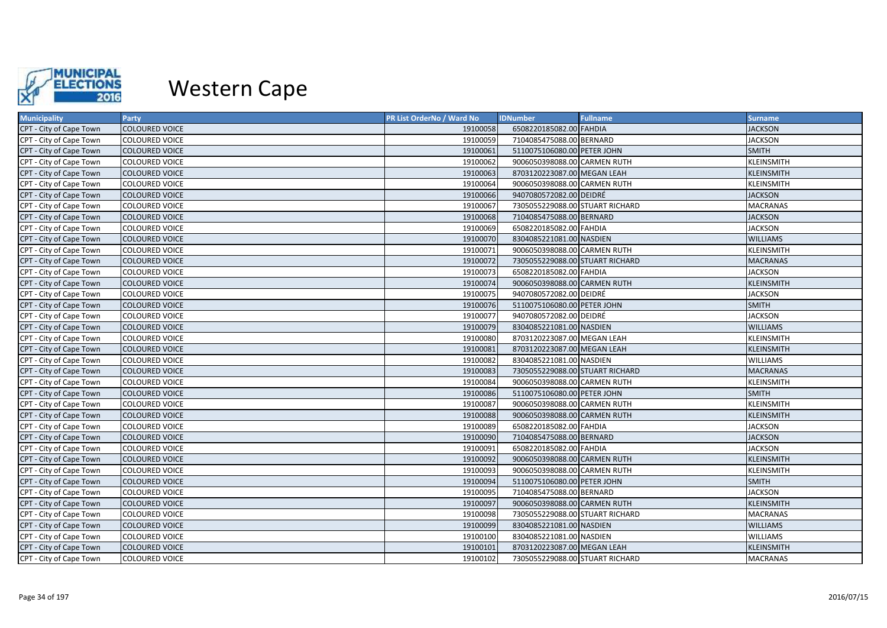

| <b>Municipality</b>     | Party                 | <b>PR List OrderNo / Ward No</b> | <b>IDNumber</b><br><b>Fullname</b> | <b>Surname</b>    |
|-------------------------|-----------------------|----------------------------------|------------------------------------|-------------------|
| CPT - City of Cape Town | <b>COLOURED VOICE</b> | 19100058                         | 6508220185082.00 FAHDIA            | <b>JACKSON</b>    |
| CPT - City of Cape Town | <b>COLOURED VOICE</b> | 19100059                         | 7104085475088.00 BERNARD           | <b>JACKSON</b>    |
| CPT - City of Cape Town | <b>COLOURED VOICE</b> | 19100061                         | 5110075106080.00 PETER JOHN        | <b>SMITH</b>      |
| CPT - City of Cape Town | <b>COLOURED VOICE</b> | 19100062                         | 9006050398088.00 CARMEN RUTH       | KLEINSMITH        |
| CPT - City of Cape Town | <b>COLOURED VOICE</b> | 19100063                         | 8703120223087.00 MEGAN LEAH        | KLEINSMITH        |
| CPT - City of Cape Town | <b>COLOURED VOICE</b> | 19100064                         | 9006050398088.00 CARMEN RUTH       | KLEINSMITH        |
| CPT - City of Cape Town | <b>COLOURED VOICE</b> | 19100066                         | 9407080572082.00 DEIDRÉ            | <b>JACKSON</b>    |
| CPT - City of Cape Town | <b>COLOURED VOICE</b> | 19100067                         | 7305055229088.00 STUART RICHARD    | <b>MACRANAS</b>   |
| CPT - City of Cape Town | <b>COLOURED VOICE</b> | 19100068                         | 7104085475088.00 BERNARD           | <b>JACKSON</b>    |
| CPT - City of Cape Town | <b>COLOURED VOICE</b> | 19100069                         | 6508220185082.00 FAHDIA            | <b>JACKSON</b>    |
| CPT - City of Cape Town | <b>COLOURED VOICE</b> | 19100070                         | 8304085221081.00 NASDIEN           | <b>WILLIAMS</b>   |
| CPT - City of Cape Town | <b>COLOURED VOICE</b> | 19100071                         | 9006050398088.00 CARMEN RUTH       | KLEINSMITH        |
| CPT - City of Cape Town | <b>COLOURED VOICE</b> | 19100072                         | 7305055229088.00 STUART RICHARD    | <b>MACRANAS</b>   |
| CPT - City of Cape Town | <b>COLOURED VOICE</b> | 19100073                         | 6508220185082.00 FAHDIA            | <b>JACKSON</b>    |
| CPT - City of Cape Town | <b>COLOURED VOICE</b> | 19100074                         | 9006050398088.00 CARMEN RUTH       | KLEINSMITH        |
| CPT - City of Cape Town | <b>COLOURED VOICE</b> | 19100075                         | 9407080572082.00 DEIDRÉ            | <b>JACKSON</b>    |
| CPT - City of Cape Town | <b>COLOURED VOICE</b> | 19100076                         | 5110075106080.00 PETER JOHN        | <b>SMITH</b>      |
| CPT - City of Cape Town | <b>COLOURED VOICE</b> | 19100077                         | 9407080572082.00 DEIDRÉ            | <b>JACKSON</b>    |
| CPT - City of Cape Town | <b>COLOURED VOICE</b> | 19100079                         | 8304085221081.00 NASDIEN           | <b>WILLIAMS</b>   |
| CPT - City of Cape Town | <b>COLOURED VOICE</b> | 19100080                         | 8703120223087.00 MEGAN LEAH        | KLEINSMITH        |
| CPT - City of Cape Town | <b>COLOURED VOICE</b> | 19100081                         | 8703120223087.00 MEGAN LEAH        | KLEINSMITH        |
| CPT - City of Cape Town | <b>COLOURED VOICE</b> | 19100082                         | 8304085221081.00 NASDIEN           | WILLIAMS          |
| CPT - City of Cape Town | <b>COLOURED VOICE</b> | 19100083                         | 7305055229088.00 STUART RICHARD    | <b>MACRANAS</b>   |
| CPT - City of Cape Town | <b>COLOURED VOICE</b> | 19100084                         | 9006050398088.00 CARMEN RUTH       | KLEINSMITH        |
| CPT - City of Cape Town | <b>COLOURED VOICE</b> | 19100086                         | 5110075106080.00 PETER JOHN        | <b>SMITH</b>      |
| CPT - City of Cape Town | <b>COLOURED VOICE</b> | 19100087                         | 9006050398088.00 CARMEN RUTH       | KLEINSMITH        |
| CPT - City of Cape Town | <b>COLOURED VOICE</b> | 19100088                         | 9006050398088.00 CARMEN RUTH       | KLEINSMITH        |
| CPT - City of Cape Town | <b>COLOURED VOICE</b> | 19100089                         | 6508220185082.00 FAHDIA            | <b>JACKSON</b>    |
| CPT - City of Cape Town | <b>COLOURED VOICE</b> | 19100090                         | 7104085475088.00 BERNARD           | <b>JACKSON</b>    |
| CPT - City of Cape Town | <b>COLOURED VOICE</b> | 19100091                         | 6508220185082.00 FAHDIA            | <b>JACKSON</b>    |
| CPT - City of Cape Town | <b>COLOURED VOICE</b> | 19100092                         | 9006050398088.00 CARMEN RUTH       | <b>KLEINSMITH</b> |
| CPT - City of Cape Town | <b>COLOURED VOICE</b> | 19100093                         | 9006050398088.00 CARMEN RUTH       | KLEINSMITH        |
| CPT - City of Cape Town | <b>COLOURED VOICE</b> | 19100094                         | 5110075106080.00 PETER JOHN        | <b>SMITH</b>      |
| CPT - City of Cape Town | <b>COLOURED VOICE</b> | 19100095                         | 7104085475088.00 BERNARD           | <b>JACKSON</b>    |
| CPT - City of Cape Town | <b>COLOURED VOICE</b> | 19100097                         | 9006050398088.00 CARMEN RUTH       | KLEINSMITH        |
| CPT - City of Cape Town | <b>COLOURED VOICE</b> | 19100098                         | 7305055229088.00 STUART RICHARD    | <b>MACRANAS</b>   |
| CPT - City of Cape Town | <b>COLOURED VOICE</b> | 19100099                         | 8304085221081.00 NASDIEN           | <b>WILLIAMS</b>   |
| CPT - City of Cape Town | <b>COLOURED VOICE</b> | 19100100                         | 8304085221081.00 NASDIEN           | WILLIAMS          |
| CPT - City of Cape Town | <b>COLOURED VOICE</b> | 19100101                         | 8703120223087.00 MEGAN LEAH        | KLEINSMITH        |
| CPT - City of Cape Town | <b>COLOURED VOICE</b> | 19100102                         | 7305055229088.00 STUART RICHARD    | <b>MACRANAS</b>   |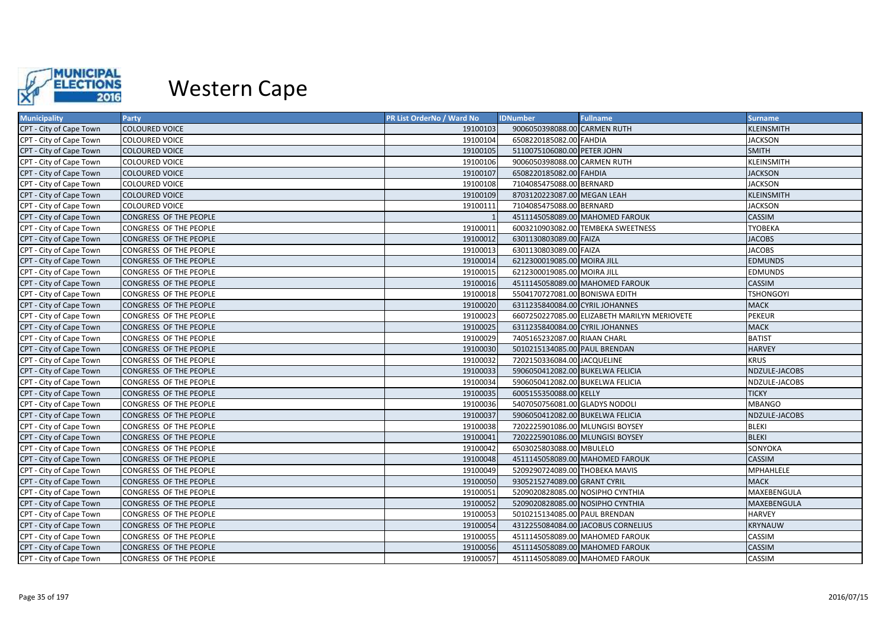

| <b>Municipality</b>     | <b>Party</b>                  | <b>PR List OrderNo / Ward No</b> | <b>IDNumber</b><br><b>Fullname</b>           | <b>Surname</b>    |
|-------------------------|-------------------------------|----------------------------------|----------------------------------------------|-------------------|
| CPT - City of Cape Town | <b>COLOURED VOICE</b>         | 19100103                         | 9006050398088.00 CARMEN RUTH                 | KLEINSMITH        |
| CPT - City of Cape Town | <b>COLOURED VOICE</b>         | 19100104                         | 6508220185082.00 FAHDIA                      | <b>JACKSON</b>    |
| CPT - City of Cape Town | <b>COLOURED VOICE</b>         | 19100105                         | 5110075106080.00 PETER JOHN                  | <b>SMITH</b>      |
| CPT - City of Cape Town | <b>COLOURED VOICE</b>         | 19100106                         | 9006050398088.00 CARMEN RUTH                 | KLEINSMITH        |
| CPT - City of Cape Town | <b>COLOURED VOICE</b>         | 19100107                         | 6508220185082.00 FAHDIA                      | <b>JACKSON</b>    |
| CPT - City of Cape Town | <b>COLOURED VOICE</b>         | 19100108                         | 7104085475088.00 BERNARD                     | <b>JACKSON</b>    |
| CPT - City of Cape Town | <b>COLOURED VOICE</b>         | 19100109                         | 8703120223087.00 MEGAN LEAH                  | <b>KLEINSMITH</b> |
| CPT - City of Cape Town | <b>COLOURED VOICE</b>         | 19100111                         | 7104085475088.00 BERNARD                     | JACKSON           |
| CPT - City of Cape Town | CONGRESS OF THE PEOPLE        |                                  | 4511145058089.00 MAHOMED FAROUK              | CASSIM            |
| CPT - City of Cape Town | CONGRESS OF THE PEOPLE        | 19100011                         | 6003210903082.00 TEMBEKA SWEETNESS           | <b>TYOBEKA</b>    |
| CPT - City of Cape Town | CONGRESS OF THE PEOPLE        | 19100012                         | 6301130803089.00 FAIZA                       | <b>JACOBS</b>     |
| CPT - City of Cape Town | CONGRESS OF THE PEOPLE        | 19100013                         | 6301130803089.00 FAIZA                       | <b>JACOBS</b>     |
| CPT - City of Cape Town | CONGRESS OF THE PEOPLE        | 19100014                         | 6212300019085.00 MOIRA JILL                  | <b>EDMUNDS</b>    |
| CPT - City of Cape Town | CONGRESS OF THE PEOPLE        | 19100015                         | 6212300019085.00 MOIRA JILL                  | <b>EDMUNDS</b>    |
| CPT - City of Cape Town | CONGRESS OF THE PEOPLE        | 19100016                         | 4511145058089.00 MAHOMED FAROUK              | CASSIM            |
| CPT - City of Cape Town | CONGRESS OF THE PEOPLE        | 19100018                         | 5504170727081.00 BONISWA EDITH               | <b>TSHONGOYI</b>  |
| CPT - City of Cape Town | CONGRESS OF THE PEOPLE        | 19100020                         | 6311235840084.00 CYRIL JOHANNES              | <b>MACK</b>       |
| CPT - City of Cape Town | CONGRESS OF THE PEOPLE        | 19100023                         | 6607250227085.00 ELIZABETH MARILYN MERIOVETE | <b>PEKEUR</b>     |
| CPT - City of Cape Town | CONGRESS OF THE PEOPLE        | 19100025                         | 6311235840084.00 CYRIL JOHANNES              | <b>MACK</b>       |
| CPT - City of Cape Town | CONGRESS OF THE PEOPLE        | 19100029                         | 7405165232087.00 RIAAN CHARL                 | <b>BATIST</b>     |
| CPT - City of Cape Town | CONGRESS OF THE PEOPLE        | 19100030                         | 5010215134085.00 PAUL BRENDAN                | <b>HARVEY</b>     |
| CPT - City of Cape Town | CONGRESS OF THE PEOPLE        | 19100032                         | 7202150336084.00 JACQUELINE                  | <b>KRUS</b>       |
| CPT - City of Cape Town | <b>CONGRESS OF THE PEOPLE</b> | 19100033                         | 5906050412082.00 BUKELWA FELICIA             | NDZULE-JACOBS     |
| CPT - City of Cape Town | CONGRESS OF THE PEOPLE        | 19100034                         | 5906050412082.00 BUKELWA FELICIA             | NDZULE-JACOBS     |
| CPT - City of Cape Town | CONGRESS OF THE PEOPLE        | 19100035                         | 6005155350088.00 KELLY                       | <b>TICKY</b>      |
| CPT - City of Cape Town | CONGRESS OF THE PEOPLE        | 19100036                         | 5407050756081.00 GLADYS NODOLI               | <b>MBANGO</b>     |
| CPT - City of Cape Town | CONGRESS OF THE PEOPLE        | 19100037                         | 5906050412082.00 BUKELWA FELICIA             | NDZULE-JACOBS     |
| CPT - City of Cape Town | CONGRESS OF THE PEOPLE        | 19100038                         | 7202225901086.00 MLUNGISI BOYSEY             | <b>BLEKI</b>      |
| CPT - City of Cape Town | CONGRESS OF THE PEOPLE        | 19100041                         | 7202225901086.00 MLUNGISI BOYSEY             | <b>BLEKI</b>      |
| CPT - City of Cape Town | CONGRESS OF THE PEOPLE        | 19100042                         | 6503025803088.00 MBULELO                     | SONYOKA           |
| CPT - City of Cape Town | CONGRESS OF THE PEOPLE        | 19100048                         | 4511145058089.00 MAHOMED FAROUK              | <b>CASSIM</b>     |
| CPT - City of Cape Town | CONGRESS OF THE PEOPLE        | 19100049                         | 5209290724089.00 THOBEKA MAVIS               | MPHAHLELE         |
| CPT - City of Cape Town | CONGRESS OF THE PEOPLE        | 19100050                         | 9305215274089.00 GRANT CYRIL                 | <b>MACK</b>       |
| CPT - City of Cape Town | CONGRESS OF THE PEOPLE        | 19100051                         | 5209020828085.00 NOSIPHO CYNTHIA             | MAXEBENGULA       |
| CPT - City of Cape Town | CONGRESS OF THE PEOPLE        | 19100052                         | 5209020828085.00 NOSIPHO CYNTHIA             | MAXEBENGULA       |
| CPT - City of Cape Town | CONGRESS OF THE PEOPLE        | 19100053                         | 5010215134085.00 PAUL BRENDAN                | <b>HARVEY</b>     |
| CPT - City of Cape Town | CONGRESS OF THE PEOPLE        | 19100054                         | 4312255084084.00 JACOBUS CORNELIUS           | <b>KRYNAUW</b>    |
| CPT - City of Cape Town | CONGRESS OF THE PEOPLE        | 19100055                         | 4511145058089.00 MAHOMED FAROUK              | CASSIM            |
| CPT - City of Cape Town | CONGRESS OF THE PEOPLE        | 19100056                         | 4511145058089.00 MAHOMED FAROUK              | CASSIM            |
| CPT - City of Cape Town | CONGRESS OF THE PEOPLE        | 19100057                         | 4511145058089.00 MAHOMED FAROUK              | CASSIM            |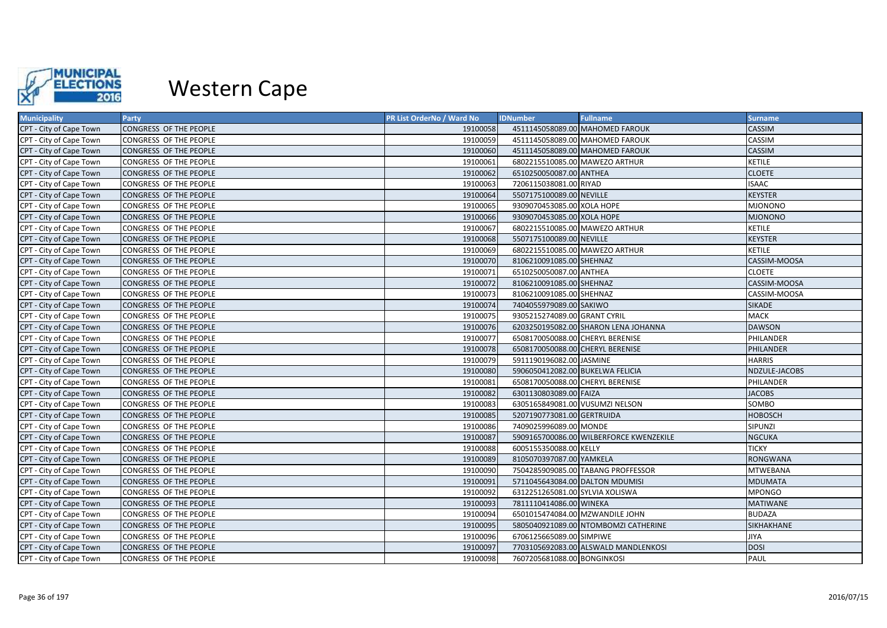

| <b>Municipality</b>     | Party                  | PR List OrderNo / Ward No | <b>IDNumber</b>                  | <b>Fullname</b>                         | <b>Surname</b>  |
|-------------------------|------------------------|---------------------------|----------------------------------|-----------------------------------------|-----------------|
| CPT - City of Cape Town | CONGRESS OF THE PEOPLE | 19100058                  |                                  | 4511145058089.00 MAHOMED FAROUK         | <b>CASSIM</b>   |
| CPT - City of Cape Town | CONGRESS OF THE PEOPLE | 19100059                  |                                  | 4511145058089.00 MAHOMED FAROUK         | CASSIM          |
| CPT - City of Cape Town | CONGRESS OF THE PEOPLE | 19100060                  |                                  | 4511145058089.00 MAHOMED FAROUK         | <b>CASSIM</b>   |
| CPT - City of Cape Town | CONGRESS OF THE PEOPLE | 19100061                  | 6802215510085.00 MAWEZO ARTHUR   |                                         | <b>KETILE</b>   |
| CPT - City of Cape Town | CONGRESS OF THE PEOPLE | 19100062                  | 6510250050087.00 ANTHEA          |                                         | <b>CLOETE</b>   |
| CPT - City of Cape Town | CONGRESS OF THE PEOPLE | 19100063                  | 7206115038081.00 RIYAD           |                                         | <b>ISAAC</b>    |
| CPT - City of Cape Town | CONGRESS OF THE PEOPLE | 19100064                  | 5507175100089.00 NEVILLE         |                                         | <b>KEYSTER</b>  |
| CPT - City of Cape Town | CONGRESS OF THE PEOPLE | 19100065                  | 9309070453085.00 XOLA HOPE       |                                         | <b>MJONONO</b>  |
| CPT - City of Cape Town | CONGRESS OF THE PEOPLE | 19100066                  | 9309070453085.00 XOLA HOPE       |                                         | <b>MJONONO</b>  |
| CPT - City of Cape Town | CONGRESS OF THE PEOPLE | 19100067                  | 6802215510085.00 MAWEZO ARTHUR   |                                         | KETILE          |
| CPT - City of Cape Town | CONGRESS OF THE PEOPLE | 19100068                  | 5507175100089.00 NEVILLE         |                                         | <b>KEYSTER</b>  |
| CPT - City of Cape Town | CONGRESS OF THE PEOPLE | 19100069                  | 6802215510085.00 MAWEZO ARTHUR   |                                         | <b>KETILE</b>   |
| CPT - City of Cape Town | CONGRESS OF THE PEOPLE | 19100070                  | 8106210091085.00 SHEHNAZ         |                                         | CASSIM-MOOSA    |
| CPT - City of Cape Town | CONGRESS OF THE PEOPLE | 19100071                  | 6510250050087.00 ANTHEA          |                                         | <b>CLOETE</b>   |
| CPT - City of Cape Town | CONGRESS OF THE PEOPLE | 19100072                  | 8106210091085.00 SHEHNAZ         |                                         | CASSIM-MOOSA    |
| CPT - City of Cape Town | CONGRESS OF THE PEOPLE | 19100073                  | 8106210091085.00 SHEHNAZ         |                                         | CASSIM-MOOSA    |
| CPT - City of Cape Town | CONGRESS OF THE PEOPLE | 19100074                  | 7404055979089.00 SAKIWO          |                                         | <b>SIKADE</b>   |
| CPT - City of Cape Town | CONGRESS OF THE PEOPLE | 19100075                  | 9305215274089.00 GRANT CYRIL     |                                         | <b>MACK</b>     |
| CPT - City of Cape Town | CONGRESS OF THE PEOPLE | 19100076                  |                                  | 6203250195082.00 SHARON LENA JOHANNA    | <b>DAWSON</b>   |
| CPT - City of Cape Town | CONGRESS OF THE PEOPLE | 19100077                  | 6508170050088.00 CHERYL BERENISE |                                         | PHILANDER       |
| CPT - City of Cape Town | CONGRESS OF THE PEOPLE | 19100078                  | 6508170050088.00 CHERYL BERENISE |                                         | PHILANDER       |
| CPT - City of Cape Town | CONGRESS OF THE PEOPLE | 19100079                  | 5911190196082.00 JASMINE         |                                         | <b>HARRIS</b>   |
| CPT - City of Cape Town | CONGRESS OF THE PEOPLE | 19100080                  | 5906050412082.00 BUKELWA FELICIA |                                         | NDZULE-JACOBS   |
| CPT - City of Cape Town | CONGRESS OF THE PEOPLE | 19100081                  | 6508170050088.00 CHERYL BERENISE |                                         | PHILANDER       |
| CPT - City of Cape Town | CONGRESS OF THE PEOPLE | 19100082                  | 6301130803089.00 FAIZA           |                                         | <b>JACOBS</b>   |
| CPT - City of Cape Town | CONGRESS OF THE PEOPLE | 19100083                  | 6305165849081.00 VUSUMZI NELSON  |                                         | SOMBO           |
| CPT - City of Cape Town | CONGRESS OF THE PEOPLE | 19100085                  | 5207190773081.00 GERTRUIDA       |                                         | <b>HOBOSCH</b>  |
| CPT - City of Cape Town | CONGRESS OF THE PEOPLE | 19100086                  | 7409025996089.00 MONDE           |                                         | SIPUNZI         |
| CPT - City of Cape Town | CONGRESS OF THE PEOPLE | 19100087                  |                                  | 5909165700086.00 WILBERFORCE KWENZEKILE | <b>NGCUKA</b>   |
| CPT - City of Cape Town | CONGRESS OF THE PEOPLE | 19100088                  | 6005155350088.00 KELLY           |                                         | <b>TICKY</b>    |
| CPT - City of Cape Town | CONGRESS OF THE PEOPLE | 19100089                  | 8105070397087.00 YAMKELA         |                                         | <b>RONGWANA</b> |
| CPT - City of Cape Town | CONGRESS OF THE PEOPLE | 19100090                  |                                  | 7504285909085.00 TABANG PROFFESSOR      | <b>MTWEBANA</b> |
| CPT - City of Cape Town | CONGRESS OF THE PEOPLE | 19100091                  | 5711045643084.00 DALTON MDUMISI  |                                         | <b>MDUMATA</b>  |
| CPT - City of Cape Town | CONGRESS OF THE PEOPLE | 19100092                  | 6312251265081.00 SYLVIA XOLISWA  |                                         | <b>MPONGO</b>   |
| CPT - City of Cape Town | CONGRESS OF THE PEOPLE | 19100093                  | 7811110414086.00 WINEKA          |                                         | <b>MATIWANE</b> |
| CPT - City of Cape Town | CONGRESS OF THE PEOPLE | 19100094                  | 6501015474084.00 MZWANDILE JOHN  |                                         | <b>BUDAZA</b>   |
| CPT - City of Cape Town | CONGRESS OF THE PEOPLE | 19100095                  |                                  | 5805040921089.00 NTOMBOMZI CATHERINE    | SIKHAKHANE      |
| CPT - City of Cape Town | CONGRESS OF THE PEOPLE | 19100096                  | 6706125665089.00 SIMPIWE         |                                         | <b>JIYA</b>     |
| CPT - City of Cape Town | CONGRESS OF THE PEOPLE | 19100097                  |                                  | 7703105692083.00 ALSWALD MANDLENKOSI    | <b>DOSI</b>     |
| CPT - City of Cape Town | CONGRESS OF THE PEOPLE | 19100098                  | 7607205681088.00 BONGINKOSI      |                                         | PAUL            |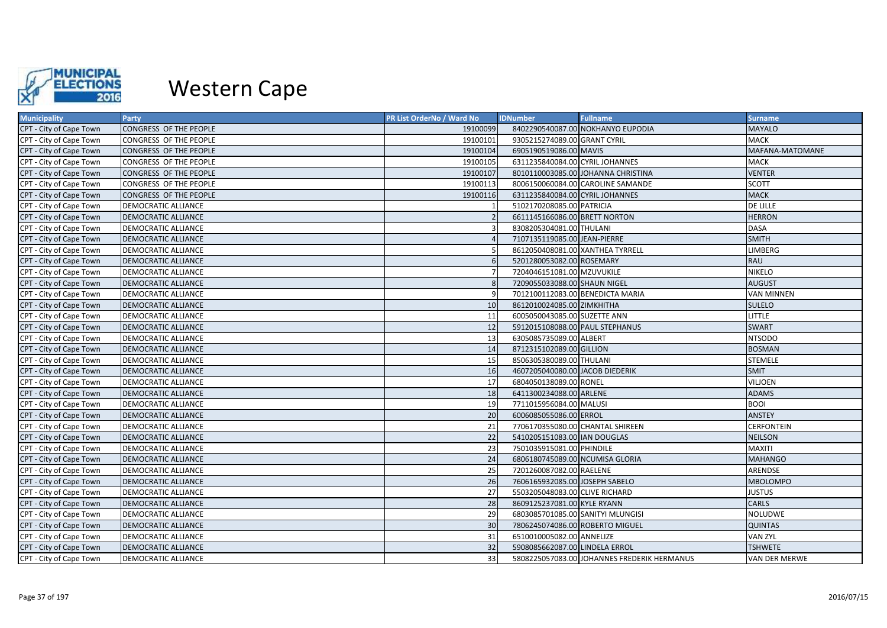

| <b>Municipality</b>     | Party                      | PR List OrderNo / Ward No | <b>IDNumber</b>                   | <b>Fullname</b>                             | <b>Surname</b>       |
|-------------------------|----------------------------|---------------------------|-----------------------------------|---------------------------------------------|----------------------|
| CPT - City of Cape Town | CONGRESS OF THE PEOPLE     | 19100099                  |                                   | 8402290540087.00 NOKHANYO EUPODIA           | <b>MAYALO</b>        |
| CPT - City of Cape Town | CONGRESS OF THE PEOPLE     | 19100101                  | 9305215274089.00 GRANT CYRIL      |                                             | <b>MACK</b>          |
| CPT - City of Cape Town | CONGRESS OF THE PEOPLE     | 19100104                  | 6905190519086.00 MAVIS            |                                             | MAFANA-MATOMANE      |
| CPT - City of Cape Town | CONGRESS OF THE PEOPLE     | 19100105                  | 6311235840084.00 CYRIL JOHANNES   |                                             | <b>MACK</b>          |
| CPT - City of Cape Town | CONGRESS OF THE PEOPLE     | 19100107                  |                                   | 8010110003085.00 JOHANNA CHRISTINA          | <b>VENTER</b>        |
| CPT - City of Cape Town | CONGRESS OF THE PEOPLE     | 19100113                  |                                   | 8006150060084.00 CAROLINE SAMANDE           | <b>SCOTT</b>         |
| CPT - City of Cape Town | CONGRESS OF THE PEOPLE     | 19100116                  | 6311235840084.00 CYRIL JOHANNES   |                                             | <b>MACK</b>          |
| CPT - City of Cape Town | DEMOCRATIC ALLIANCE        |                           | 5102170208085.00 PATRICIA         |                                             | <b>DE LILLE</b>      |
| CPT - City of Cape Town | DEMOCRATIC ALLIANCE        |                           | 6611145166086.00 BRETT NORTON     |                                             | <b>HERRON</b>        |
| CPT - City of Cape Town | DEMOCRATIC ALLIANCE        |                           | 8308205304081.00 THULANI          |                                             | <b>DASA</b>          |
| CPT - City of Cape Town | <b>DEMOCRATIC ALLIANCE</b> |                           | 7107135119085.00 JEAN-PIERRE      |                                             | <b>SMITH</b>         |
| CPT - City of Cape Town | DEMOCRATIC ALLIANCE        |                           | 8612050408081.00 XANTHEA TYRRELL  |                                             | <b>LIMBERG</b>       |
| CPT - City of Cape Town | DEMOCRATIC ALLIANCE        |                           | 5201280053082.00 ROSEMARY         |                                             | RAU                  |
| CPT - City of Cape Town | DEMOCRATIC ALLIANCE        |                           | 7204046151081.00 MZUVUKILE        |                                             | <b>NIKELO</b>        |
| CPT - City of Cape Town | <b>DEMOCRATIC ALLIANCE</b> |                           | 7209055033088.00 SHAUN NIGEL      |                                             | <b>AUGUST</b>        |
| CPT - City of Cape Town | DEMOCRATIC ALLIANCE        |                           | 7012100112083.00 BENEDICTA MARIA  |                                             | <b>VAN MINNEN</b>    |
| CPT - City of Cape Town | DEMOCRATIC ALLIANCE        | 10                        | 8612010024085.00 ZIMKHITHA        |                                             | <b>SULELO</b>        |
| CPT - City of Cape Town | DEMOCRATIC ALLIANCE        | 11                        | 6005050043085.00 SUZETTE ANN      |                                             | <b>LITTLE</b>        |
| CPT - City of Cape Town | <b>DEMOCRATIC ALLIANCE</b> | 12                        | 5912015108088.00 PAUL STEPHANUS   |                                             | <b>SWART</b>         |
| CPT - City of Cape Town | DEMOCRATIC ALLIANCE        | 13                        | 6305085735089.00 ALBERT           |                                             | <b>NTSODO</b>        |
| CPT - City of Cape Town | DEMOCRATIC ALLIANCE        | 14                        | 8712315102089.00 GILLION          |                                             | <b>BOSMAN</b>        |
| CPT - City of Cape Town | DEMOCRATIC ALLIANCE        | 15                        | 8506305380089.00 THULANI          |                                             | <b>STEMELE</b>       |
| CPT - City of Cape Town | <b>DEMOCRATIC ALLIANCE</b> | 16                        | 4607205040080.00 JACOB DIEDERIK   |                                             | <b>SMIT</b>          |
| CPT - City of Cape Town | DEMOCRATIC ALLIANCE        | 17                        | 6804050138089.00 RONEL            |                                             | <b>VILJOEN</b>       |
| CPT - City of Cape Town | <b>DEMOCRATIC ALLIANCE</b> | 18                        | 6411300234088.00 ARLENE           |                                             | <b>ADAMS</b>         |
| CPT - City of Cape Town | DEMOCRATIC ALLIANCE        | 19                        | 7711015956084.00 MALUSI           |                                             | <b>BOOI</b>          |
| CPT - City of Cape Town | <b>DEMOCRATIC ALLIANCE</b> | 20                        | 6006085055086.00 ERROL            |                                             | <b>ANSTEY</b>        |
| CPT - City of Cape Town | <b>DEMOCRATIC ALLIANCE</b> | 21                        | 7706170355080.00 CHANTAL SHIREEN  |                                             | <b>CERFONTEIN</b>    |
| CPT - City of Cape Town | DEMOCRATIC ALLIANCE        | 22                        | 5410205151083.00 IAN DOUGLAS      |                                             | <b>NEILSON</b>       |
| CPT - City of Cape Town | DEMOCRATIC ALLIANCE        | 23                        | 7501035915081.00 PHINDILE         |                                             | <b>MAXITI</b>        |
| CPT - City of Cape Town | <b>DEMOCRATIC ALLIANCE</b> | 24                        | 6806180745089.00 NCUMISA GLORIA   |                                             | <b>MAHANGO</b>       |
| CPT - City of Cape Town | DEMOCRATIC ALLIANCE        | 25                        | 7201260087082.00 RAELENE          |                                             | ARENDSE              |
| CPT - City of Cape Town | DEMOCRATIC ALLIANCE        | 26                        | 7606165932085.00 JOSEPH SABELO    |                                             | <b>MBOLOMPO</b>      |
| CPT - City of Cape Town | DEMOCRATIC ALLIANCE        | 27                        | 5503205048083.00 CLIVE RICHARD    |                                             | <b>JUSTUS</b>        |
| CPT - City of Cape Town | DEMOCRATIC ALLIANCE        | 28                        | 8609125237081.00 KYLE RYANN       |                                             | CARLS                |
| CPT - City of Cape Town | DEMOCRATIC ALLIANCE        | 29                        | 6803085701085.00 SANITYI MLUNGISI |                                             | <b>NOLUDWE</b>       |
| CPT - City of Cape Town | <b>DEMOCRATIC ALLIANCE</b> | 30                        | 7806245074086.00 ROBERTO MIGUEL   |                                             | <b>QUINTAS</b>       |
| CPT - City of Cape Town | DEMOCRATIC ALLIANCE        | 31                        | 6510010005082.00 ANNELIZE         |                                             | <b>VAN ZYL</b>       |
| CPT - City of Cape Town | <b>DEMOCRATIC ALLIANCE</b> | 32                        | 5908085662087.00 LINDELA ERROL    |                                             | <b>TSHWETE</b>       |
| CPT - City of Cape Town | DEMOCRATIC ALLIANCE        | 33                        |                                   | 5808225057083.00 JOHANNES FREDERIK HERMANUS | <b>VAN DER MERWE</b> |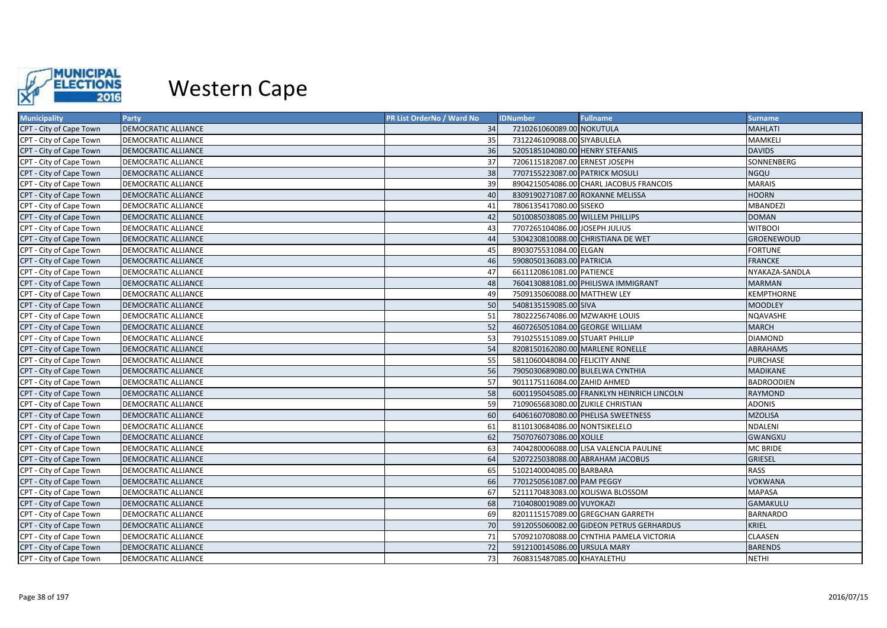

| <b>Municipality</b>     | <b>Party</b>               | <b>PR List OrderNo / Ward No</b> | <b>Fullname</b><br><b>IDNumber</b>         | <b>Surname</b>    |
|-------------------------|----------------------------|----------------------------------|--------------------------------------------|-------------------|
| CPT - City of Cape Town | DEMOCRATIC ALLIANCE        | 34                               | 7210261060089.00 NOKUTULA                  | <b>MAHLATI</b>    |
| CPT - City of Cape Town | DEMOCRATIC ALLIANCE        | 35                               | 7312246109088.00 SIYABULELA                | <b>MAMKELI</b>    |
| CPT - City of Cape Town | <b>DEMOCRATIC ALLIANCE</b> | 36                               | 5205185104080.00 HENRY STEFANIS            | <b>DAVIDS</b>     |
| CPT - City of Cape Town | DEMOCRATIC ALLIANCE        | 37                               | 7206115182087.00 ERNEST JOSEPH             | SONNENBERG        |
| CPT - City of Cape Town | DEMOCRATIC ALLIANCE        | 38                               | 7707155223087.00 PATRICK MOSULI            | <b>NGQU</b>       |
| CPT - City of Cape Town | DEMOCRATIC ALLIANCE        | 39                               | 8904215054086.00 CHARL JACOBUS FRANCOIS    | <b>MARAIS</b>     |
| CPT - City of Cape Town | <b>DEMOCRATIC ALLIANCE</b> | 40                               | 8309190271087.00 ROXANNE MELISSA           | <b>HOORN</b>      |
| CPT - City of Cape Town | DEMOCRATIC ALLIANCE        | 41                               | 7806135417080.00 SISEKO                    | <b>MBANDEZI</b>   |
| CPT - City of Cape Town | <b>DEMOCRATIC ALLIANCE</b> | 42                               | 5010085038085.00 WILLEM PHILLIPS           | <b>DOMAN</b>      |
| CPT - City of Cape Town | DEMOCRATIC ALLIANCE        | 43                               | 7707265104086.00 JOSEPH JULIUS             | <b>WITBOOI</b>    |
| CPT - City of Cape Town | DEMOCRATIC ALLIANCE        | 44                               | 5304230810088.00 CHRISTIANA DE WET         | GROENEWOUD        |
| CPT - City of Cape Town | DEMOCRATIC ALLIANCE        | 45                               | 8903075531084.00 ELGAN                     | <b>FORTUNE</b>    |
| CPT - City of Cape Town | <b>DEMOCRATIC ALLIANCE</b> | 46                               | 5908050136083.00 PATRICIA                  | <b>FRANCKE</b>    |
| CPT - City of Cape Town | DEMOCRATIC ALLIANCE        | 47                               | 6611120861081.00 PATIENCE                  | NYAKAZA-SANDLA    |
| CPT - City of Cape Town | <b>DEMOCRATIC ALLIANCE</b> | 48                               | 7604130881081.00 PHILISWA IMMIGRANT        | <b>MARMAN</b>     |
| CPT - City of Cape Town | DEMOCRATIC ALLIANCE        | 49                               | 7509135060088.00 MATTHEW LEY               | <b>KEMPTHORNE</b> |
| CPT - City of Cape Town | <b>DEMOCRATIC ALLIANCE</b> | 50                               | 5408135159085.00 SIVA                      | <b>MOODLEY</b>    |
| CPT - City of Cape Town | <b>DEMOCRATIC ALLIANCE</b> | 51                               | 7802225674086.00 MZWAKHE LOUIS             | NQAVASHE          |
| CPT - City of Cape Town | DEMOCRATIC ALLIANCE        | 52                               | 4607265051084.00 GEORGE WILLIAM            | <b>MARCH</b>      |
| CPT - City of Cape Town | DEMOCRATIC ALLIANCE        | 53                               | 7910255151089.00 STUART PHILLIP            | DIAMOND           |
| CPT - City of Cape Town | DEMOCRATIC ALLIANCE        | 54                               | 8208150162080.00 MARLENE RONELLE           | <b>ABRAHAMS</b>   |
| CPT - City of Cape Town | DEMOCRATIC ALLIANCE        | 55                               | 5811060048084.00 FELICITY ANNE             | <b>PURCHASE</b>   |
| CPT - City of Cape Town | <b>DEMOCRATIC ALLIANCE</b> | 56                               | 7905030689080.00 BULELWA CYNTHIA           | <b>MADIKANE</b>   |
| CPT - City of Cape Town | DEMOCRATIC ALLIANCE        | 57                               | 9011175116084.00 ZAHID AHMED               | <b>BADROODIEN</b> |
| CPT - City of Cape Town | <b>DEMOCRATIC ALLIANCE</b> | 58                               | 6001195045085.00 FRANKLYN HEINRICH LINCOLN | RAYMOND           |
| CPT - City of Cape Town | DEMOCRATIC ALLIANCE        | 59                               | 7109065683080.00 ZUKILE CHRISTIAN          | ADONIS            |
| CPT - City of Cape Town | <b>DEMOCRATIC ALLIANCE</b> | 60                               | 6406160708080.00 PHELISA SWEETNESS         | <b>MZOLISA</b>    |
| CPT - City of Cape Town | DEMOCRATIC ALLIANCE        | 61                               | 8110130684086.00 NONTSIKELELO              | NDALENI           |
| CPT - City of Cape Town | DEMOCRATIC ALLIANCE        | 62                               | 7507076073086.00 XOLILE                    | GWANGXU           |
| CPT - City of Cape Town | <b>DEMOCRATIC ALLIANCE</b> | 63                               | 7404280006088.00 LISA VALENCIA PAULINE     | <b>MC BRIDE</b>   |
| CPT - City of Cape Town | <b>DEMOCRATIC ALLIANCE</b> | 64                               | 5207225038088.00 ABRAHAM JACOBUS           | <b>GRIESEL</b>    |
| CPT - City of Cape Town | DEMOCRATIC ALLIANCE        | 65                               | 5102140004085.00 BARBARA                   | RASS              |
| CPT - City of Cape Town | DEMOCRATIC ALLIANCE        | 66                               | 7701250561087.00 PAM PEGGY                 | <b>VOKWANA</b>    |
| CPT - City of Cape Town | DEMOCRATIC ALLIANCE        | 67                               | 5211170483083.00 XOLISWA BLOSSOM           | <b>MAPASA</b>     |
| CPT - City of Cape Town | <b>DEMOCRATIC ALLIANCE</b> | 68                               | 7104080019089.00 VUYOKAZI                  | <b>GAMAKULU</b>   |
| CPT - City of Cape Town | DEMOCRATIC ALLIANCE        | 69                               | 8201115157089.00 GREGCHAN GARRETH          | <b>BARNARDO</b>   |
| CPT - City of Cape Town | DEMOCRATIC ALLIANCE        | 70                               | 5912055060082.00 GIDEON PETRUS GERHARDUS   | <b>KRIEL</b>      |
| CPT - City of Cape Town | <b>DEMOCRATIC ALLIANCE</b> | 71                               | 5709210708088.00 CYNTHIA PAMELA VICTORIA   | CLAASEN           |
| CPT - City of Cape Town | <b>DEMOCRATIC ALLIANCE</b> | 72                               | 5912100145086.00 URSULA MARY               | <b>BARENDS</b>    |
| CPT - City of Cape Town | DEMOCRATIC ALLIANCE        | 73                               | 7608315487085.00 KHAYALETHU                | <b>NETHI</b>      |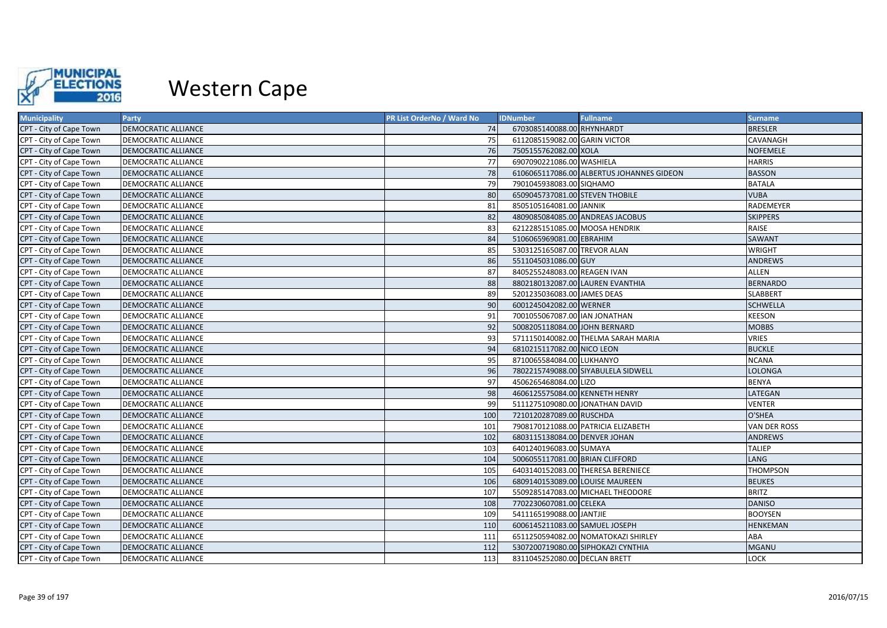

| <b>Municipality</b>     | Party                      | PR List OrderNo / Ward No | <b>IDNumber</b>                 | <b>Fullname</b>                           | <b>Surname</b>      |
|-------------------------|----------------------------|---------------------------|---------------------------------|-------------------------------------------|---------------------|
| CPT - City of Cape Town | <b>DEMOCRATIC ALLIANCE</b> | 74                        | 6703085140088.00 RHYNHARDT      |                                           | <b>BRESLER</b>      |
| CPT - City of Cape Town | DEMOCRATIC ALLIANCE        | 75                        | 6112085159082.00 GARIN VICTOR   |                                           | <b>CAVANAGH</b>     |
| CPT - City of Cape Town | DEMOCRATIC ALLIANCE        | 76                        | 7505155762082.00 XOLA           |                                           | <b>NOFEMELE</b>     |
| CPT - City of Cape Town | DEMOCRATIC ALLIANCE        | 77                        | 6907090221086.00 WASHIELA       |                                           | <b>HARRIS</b>       |
| CPT - City of Cape Town | <b>DEMOCRATIC ALLIANCE</b> | 78                        |                                 | 6106065117086.00 ALBERTUS JOHANNES GIDEON | <b>BASSON</b>       |
| CPT - City of Cape Town | DEMOCRATIC ALLIANCE        | 79                        | 7901045938083.00 SIQHAMO        |                                           | <b>BATALA</b>       |
| CPT - City of Cape Town | <b>DEMOCRATIC ALLIANCE</b> | 80                        | 6509045737081.00 STEVEN THOBILE |                                           | <b>VUBA</b>         |
| CPT - City of Cape Town | <b>DEMOCRATIC ALLIANCE</b> | 81                        | 8505105164081.00 JANNIK         |                                           | <b>RADEMEYER</b>    |
| CPT - City of Cape Town | DEMOCRATIC ALLIANCE        | 82                        |                                 | 4809085084085.00 ANDREAS JACOBUS          | <b>SKIPPERS</b>     |
| CPT - City of Cape Town | DEMOCRATIC ALLIANCE        | 83                        | 6212285151085.00 MOOSA HENDRIK  |                                           | RAISE               |
| CPT - City of Cape Town | <b>DEMOCRATIC ALLIANCE</b> | 84                        | 5106065969081.00 EBRAHIM        |                                           | <b>SAWANT</b>       |
| CPT - City of Cape Town | DEMOCRATIC ALLIANCE        | 85                        | 5303125165087.00 TREVOR ALAN    |                                           | <b>WRIGHT</b>       |
| CPT - City of Cape Town | <b>DEMOCRATIC ALLIANCE</b> | 86                        | 5511045031086.00 GUY            |                                           | ANDREWS             |
| CPT - City of Cape Town | <b>DEMOCRATIC ALLIANCE</b> | 87                        | 8405255248083.00 REAGEN IVAN    |                                           | <b>ALLEN</b>        |
| CPT - City of Cape Town | DEMOCRATIC ALLIANCE        | 88                        |                                 | 8802180132087.00 LAUREN EVANTHIA          | <b>BERNARDO</b>     |
| CPT - City of Cape Town | <b>DEMOCRATIC ALLIANCE</b> | 89                        | 5201235036083.00 JAMES DEAS     |                                           | <b>SLABBERT</b>     |
| CPT - City of Cape Town | DEMOCRATIC ALLIANCE        | 90                        | 6001245042082.00 WERNER         |                                           | <b>SCHWELLA</b>     |
| CPT - City of Cape Town | DEMOCRATIC ALLIANCE        | 91                        | 7001055067087.00 IAN JONATHAN   |                                           | <b>KEESON</b>       |
| CPT - City of Cape Town | DEMOCRATIC ALLIANCE        | 92                        | 5008205118084.00 JOHN BERNARD   |                                           | <b>MOBBS</b>        |
| CPT - City of Cape Town | DEMOCRATIC ALLIANCE        | 93                        |                                 | 5711150140082.00 THELMA SARAH MARIA       | <b>VRIES</b>        |
| CPT - City of Cape Town | <b>DEMOCRATIC ALLIANCE</b> | 94                        | 6810215117082.00 NICO LEON      |                                           | <b>BUCKLE</b>       |
| CPT - City of Cape Town | DEMOCRATIC ALLIANCE        | 95                        | 8710065584084.00 LUKHANYO       |                                           | <b>NCANA</b>        |
| CPT - City of Cape Town | <b>DEMOCRATIC ALLIANCE</b> | 96                        |                                 | 7802215749088.00 SIYABULELA SIDWELL       | <b>LOLONGA</b>      |
| CPT - City of Cape Town | DEMOCRATIC ALLIANCE        | 97                        | 4506265468084.00 LIZO           |                                           | <b>BENYA</b>        |
| CPT - City of Cape Town | <b>DEMOCRATIC ALLIANCE</b> | 98                        | 4606125575084.00 KENNETH HENRY  |                                           | LATEGAN             |
| CPT - City of Cape Town | DEMOCRATIC ALLIANCE        | 99                        | 5111275109080.00 JONATHAN DAVID |                                           | <b>VENTER</b>       |
| CPT - City of Cape Town | <b>DEMOCRATIC ALLIANCE</b> | 100                       | 7210120287089.00 RUSCHDA        |                                           | O'SHEA              |
| CPT - City of Cape Town | <b>DEMOCRATIC ALLIANCE</b> | 101                       |                                 | 7908170121088.00 PATRICIA ELIZABETH       | <b>VAN DER ROSS</b> |
| CPT - City of Cape Town | <b>DEMOCRATIC ALLIANCE</b> | 102                       | 6803115138084.00 DENVER JOHAN   |                                           | ANDREWS             |
| CPT - City of Cape Town | <b>DEMOCRATIC ALLIANCE</b> | 103                       | 6401240196083.00 SUMAYA         |                                           | <b>TALIEP</b>       |
| CPT - City of Cape Town | <b>DEMOCRATIC ALLIANCE</b> | 104                       | 5006055117081.00 BRIAN CLIFFORD |                                           | LANG                |
| CPT - City of Cape Town | DEMOCRATIC ALLIANCE        | 105                       |                                 | 6403140152083.00 THERESA BERENIECE        | <b>THOMPSON</b>     |
| CPT - City of Cape Town | <b>DEMOCRATIC ALLIANCE</b> | 106                       | 6809140153089.00 LOUISE MAUREEN |                                           | <b>BEUKES</b>       |
| CPT - City of Cape Town | DEMOCRATIC ALLIANCE        | 107                       |                                 | 5509285147083.00 MICHAEL THEODORE         | <b>BRITZ</b>        |
| CPT - City of Cape Town | <b>DEMOCRATIC ALLIANCE</b> | 108                       | 7702230607081.00 CELEKA         |                                           | <b>DANISO</b>       |
| CPT - City of Cape Town | DEMOCRATIC ALLIANCE        | 109                       | 5411165199088.00 JANTJIE        |                                           | <b>BOOYSEN</b>      |
| CPT - City of Cape Town | DEMOCRATIC ALLIANCE        | 110                       | 6006145211083.00 SAMUEL JOSEPH  |                                           | <b>HENKEMAN</b>     |
| CPT - City of Cape Town | DEMOCRATIC ALLIANCE        | 111                       |                                 | 6511250594082.00 NOMATOKAZI SHIRLEY       | ABA                 |
| CPT - City of Cape Town | <b>DEMOCRATIC ALLIANCE</b> | 112                       |                                 | 5307200719080.00 SIPHOKAZI CYNTHIA        | <b>MGANU</b>        |
| CPT - City of Cape Town | DEMOCRATIC ALLIANCE        | 113                       | 8311045252080.00 DECLAN BRETT   |                                           | <b>LOCK</b>         |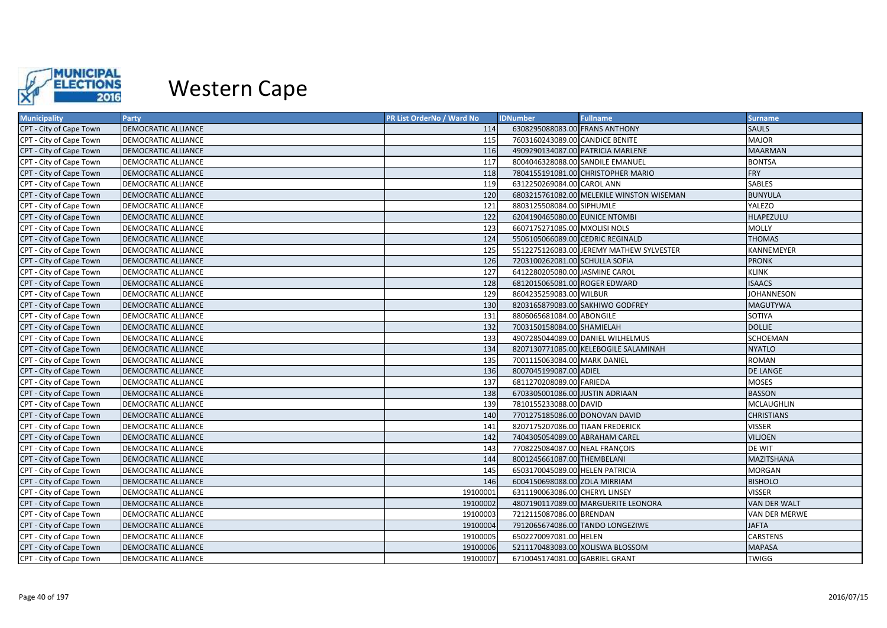

| <b>Municipality</b>     | Party                      | PR List OrderNo / Ward No | <b>IDNumber</b>                  | <b>Fullname</b>                           | <b>Surname</b>      |
|-------------------------|----------------------------|---------------------------|----------------------------------|-------------------------------------------|---------------------|
| CPT - City of Cape Town | DEMOCRATIC ALLIANCE        | 114                       | 6308295088083.00 FRANS ANTHONY   |                                           | <b>SAULS</b>        |
| CPT - City of Cape Town | DEMOCRATIC ALLIANCE        | 115                       | 7603160243089.00 CANDICE BENITE  |                                           | <b>MAJOR</b>        |
| CPT - City of Cape Town | <b>DEMOCRATIC ALLIANCE</b> | 116                       |                                  | 4909290134087.00 PATRICIA MARLENE         | <b>MAARMAN</b>      |
| CPT - City of Cape Town | DEMOCRATIC ALLIANCE        | 117                       | 8004046328088.00 SANDILE EMANUEL |                                           | BONTSA              |
| CPT - City of Cape Town | <b>DEMOCRATIC ALLIANCE</b> | 118                       |                                  | 7804155191081.00 CHRISTOPHER MARIO        | <b>FRY</b>          |
| CPT - City of Cape Town | DEMOCRATIC ALLIANCE        | 119                       | 6312250269084.00 CAROL ANN       |                                           | <b>SABLES</b>       |
| CPT - City of Cape Town | DEMOCRATIC ALLIANCE        | 120                       |                                  | 6803215761082.00 MELEKILE WINSTON WISEMAN | <b>BUNYULA</b>      |
| CPT - City of Cape Town | DEMOCRATIC ALLIANCE        | 121                       | 8803125508084.00 SIPHUMLE        |                                           | YALEZO              |
| CPT - City of Cape Town | <b>DEMOCRATIC ALLIANCE</b> | 122                       | 6204190465080.00 EUNICE NTOMBI   |                                           | HLAPEZULU           |
| CPT - City of Cape Town | DEMOCRATIC ALLIANCE        | 123                       | 6607175271085.00 MXOLISI NOLS    |                                           | <b>MOLLY</b>        |
| CPT - City of Cape Town | DEMOCRATIC ALLIANCE        | 124                       | 5506105066089.00 CEDRIC REGINALD |                                           | <b>THOMAS</b>       |
| CPT - City of Cape Town | DEMOCRATIC ALLIANCE        | 125                       |                                  | 5512275126083.00 JEREMY MATHEW SYLVESTER  | KANNEMEYER          |
| CPT - City of Cape Town | <b>DEMOCRATIC ALLIANCE</b> | 126                       | 7203100262081.00 SCHULLA SOFIA   |                                           | <b>PRONK</b>        |
| CPT - City of Cape Town | <b>DEMOCRATIC ALLIANCE</b> | 127                       | 6412280205080.00 JASMINE CAROL   |                                           | <b>KLINK</b>        |
| CPT - City of Cape Town | DEMOCRATIC ALLIANCE        | 128                       | 6812015065081.00 ROGER EDWARD    |                                           | <b>ISAACS</b>       |
| CPT - City of Cape Town | DEMOCRATIC ALLIANCE        | 129                       | 8604235259083.00 WILBUR          |                                           | <b>JOHANNESON</b>   |
| CPT - City of Cape Town | <b>DEMOCRATIC ALLIANCE</b> | 130                       |                                  | 8203165879083.00 SAKHIWO GODFREY          | <b>MAGUTYWA</b>     |
| CPT - City of Cape Town | DEMOCRATIC ALLIANCE        | 131                       | 8806065681084.00 ABONGILE        |                                           | SOTIYA              |
| CPT - City of Cape Town | DEMOCRATIC ALLIANCE        | 132                       | 7003150158084.00 SHAMIELAH       |                                           | <b>DOLLIE</b>       |
| CPT - City of Cape Town | DEMOCRATIC ALLIANCE        | 133                       |                                  | 4907285044089.00 DANIEL WILHELMUS         | SCHOEMAN            |
| CPT - City of Cape Town | DEMOCRATIC ALLIANCE        | 134                       |                                  | 8207130771085.00 KELEBOGILE SALAMINAH     | <b>NYATLO</b>       |
| CPT - City of Cape Town | <b>DEMOCRATIC ALLIANCE</b> | 135                       | 7001115063084.00 MARK DANIEL     |                                           | <b>ROMAN</b>        |
| CPT - City of Cape Town | <b>DEMOCRATIC ALLIANCE</b> | 136                       | 8007045199087.00 ADIEL           |                                           | DE LANGE            |
| CPT - City of Cape Town | <b>DEMOCRATIC ALLIANCE</b> | 137                       | 6811270208089.00 FARIEDA         |                                           | <b>MOSES</b>        |
| CPT - City of Cape Town | <b>DEMOCRATIC ALLIANCE</b> | 138                       | 6703305001086.00 JUSTIN ADRIAAN  |                                           | <b>BASSON</b>       |
| CPT - City of Cape Town | DEMOCRATIC ALLIANCE        | 139                       | 7810155233088.00 DAVID           |                                           | MCLAUGHLIN          |
| CPT - City of Cape Town | <b>DEMOCRATIC ALLIANCE</b> | 140                       | 7701275185086.00 DONOVAN DAVID   |                                           | <b>CHRISTIANS</b>   |
| CPT - City of Cape Town | <b>DEMOCRATIC ALLIANCE</b> | 141                       | 8207175207086.00 TIAAN FREDERICK |                                           | <b>VISSER</b>       |
| CPT - City of Cape Town | DEMOCRATIC ALLIANCE        | 142                       | 7404305054089.00 ABRAHAM CAREL   |                                           | <b>VILJOEN</b>      |
| CPT - City of Cape Town | <b>DEMOCRATIC ALLIANCE</b> | 143                       | 7708225084087.00 NEAL FRANÇOIS   |                                           | DE WIT              |
| CPT - City of Cape Town | <b>DEMOCRATIC ALLIANCE</b> | 144                       | 8001245661087.00 THEMBELANI      |                                           | MAZITSHANA          |
| CPT - City of Cape Town | DEMOCRATIC ALLIANCE        | 145                       | 6503170045089.00 HELEN PATRICIA  |                                           | MORGAN              |
| CPT - City of Cape Town | DEMOCRATIC ALLIANCE        | 146                       | 6004150698088.00 ZOLA MIRRIAM    |                                           | <b>BISHOLO</b>      |
| CPT - City of Cape Town | DEMOCRATIC ALLIANCE        | 19100001                  | 6311190063086.00 CHERYL LINSEY   |                                           | <b>VISSER</b>       |
| CPT - City of Cape Town | <b>DEMOCRATIC ALLIANCE</b> | 19100002                  |                                  | 4807190117089.00 MARGUERITE LEONORA       | <b>VAN DER WALT</b> |
| CPT - City of Cape Town | <b>DEMOCRATIC ALLIANCE</b> | 19100003                  | 7212115087086.00 BRENDAN         |                                           | VAN DER MERWE       |
| CPT - City of Cape Town | DEMOCRATIC ALLIANCE        | 19100004                  |                                  | 7912065674086.00 TANDO LONGEZIWE          | <b>JAFTA</b>        |
| CPT - City of Cape Town | <b>DEMOCRATIC ALLIANCE</b> | 19100005                  | 6502270097081.00 HELEN           |                                           | <b>CARSTENS</b>     |
| CPT - City of Cape Town | <b>DEMOCRATIC ALLIANCE</b> | 19100006                  |                                  | 5211170483083.00 XOLISWA BLOSSOM          | <b>MAPASA</b>       |
| CPT - City of Cape Town | DEMOCRATIC ALLIANCE        | 19100007                  | 6710045174081.00 GABRIEL GRANT   |                                           | <b>TWIGG</b>        |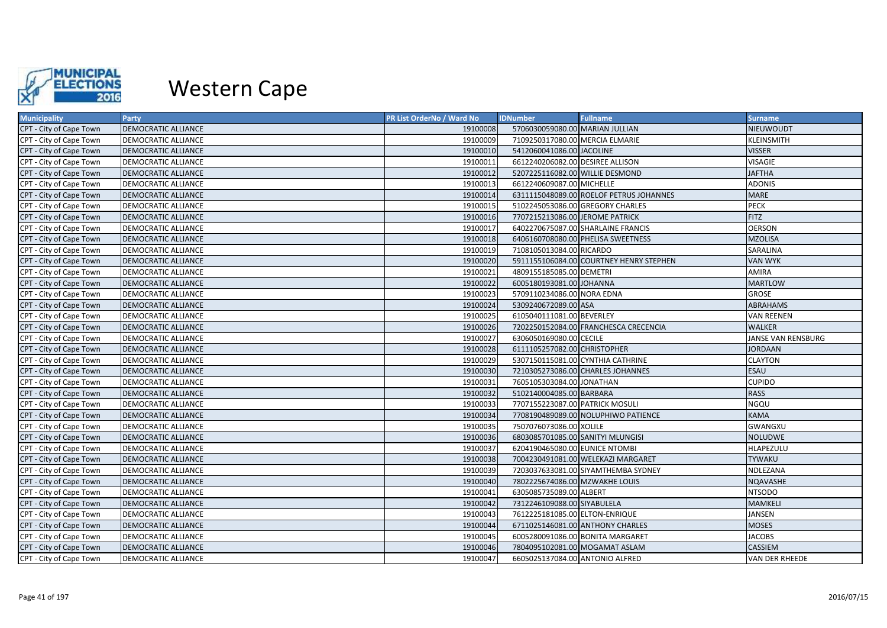

| <b>Municipality</b>     | Party                      | PR List OrderNo / Ward No | <b>IDNumber</b>                   | <b>Fullname</b>                         | <b>Surname</b>            |
|-------------------------|----------------------------|---------------------------|-----------------------------------|-----------------------------------------|---------------------------|
| CPT - City of Cape Town | DEMOCRATIC ALLIANCE        | 19100008                  | 5706030059080.00 MARIAN JULLIAN   |                                         | NIEUWOUDT                 |
| CPT - City of Cape Town | DEMOCRATIC ALLIANCE        | 19100009                  | 7109250317080.00 MERCIA ELMARIE   |                                         | KLEINSMITH                |
| CPT - City of Cape Town | <b>DEMOCRATIC ALLIANCE</b> | 19100010                  | 5412060041086.00 JACOLINE         |                                         | <b>VISSER</b>             |
| CPT - City of Cape Town | DEMOCRATIC ALLIANCE        | 19100011                  | 6612240206082.00 DESIREE ALLISON  |                                         | <b>VISAGIE</b>            |
| CPT - City of Cape Town | <b>DEMOCRATIC ALLIANCE</b> | 19100012                  | 5207225116082.00 WILLIE DESMOND   |                                         | <b>JAFTHA</b>             |
| CPT - City of Cape Town | <b>DEMOCRATIC ALLIANCE</b> | 19100013                  | 6612240609087.00 MICHELLE         |                                         | <b>ADONIS</b>             |
| CPT - City of Cape Town | DEMOCRATIC ALLIANCE        | 19100014                  |                                   | 6311115048089.00 ROELOF PETRUS JOHANNES | <b>MARE</b>               |
| CPT - City of Cape Town | DEMOCRATIC ALLIANCE        | 19100015                  | 5102245053086.00 GREGORY CHARLES  |                                         | <b>PECK</b>               |
| CPT - City of Cape Town | <b>DEMOCRATIC ALLIANCE</b> | 19100016                  | 7707215213086.00 JEROME PATRICK   |                                         | <b>FITZ</b>               |
| CPT - City of Cape Town | DEMOCRATIC ALLIANCE        | 19100017                  |                                   | 6402270675087.00 SHARLAINE FRANCIS      | <b>OERSON</b>             |
| CPT - City of Cape Town | <b>DEMOCRATIC ALLIANCE</b> | 19100018                  |                                   | 6406160708080.00 PHELISA SWEETNESS      | <b>MZOLISA</b>            |
| CPT - City of Cape Town | DEMOCRATIC ALLIANCE        | 19100019                  | 7108105013084.00 RICARDO          |                                         | SARALINA                  |
| CPT - City of Cape Town | DEMOCRATIC ALLIANCE        | 19100020                  |                                   | 5911155106084.00 COURTNEY HENRY STEPHEN | <b>VAN WYK</b>            |
| CPT - City of Cape Town | <b>DEMOCRATIC ALLIANCE</b> | 19100021                  | 4809155185085.00 DEMETRI          |                                         | AMIRA                     |
| CPT - City of Cape Town | DEMOCRATIC ALLIANCE        | 19100022                  | 6005180193081.00 JOHANNA          |                                         | <b>MARTLOW</b>            |
| CPT - City of Cape Town | DEMOCRATIC ALLIANCE        | 19100023                  | 5709110234086.00 NORA EDNA        |                                         | GROSE                     |
| CPT - City of Cape Town | DEMOCRATIC ALLIANCE        | 19100024                  | 5309240672089.00 ASA              |                                         | ABRAHAMS                  |
| CPT - City of Cape Town | DEMOCRATIC ALLIANCE        | 19100025                  | 6105040111081.00 BEVERLEY         |                                         | <b>VAN REENEN</b>         |
| CPT - City of Cape Town | DEMOCRATIC ALLIANCE        | 19100026                  |                                   | 7202250152084.00 FRANCHESCA CRECENCIA   | <b>WALKER</b>             |
| CPT - City of Cape Town | <b>DEMOCRATIC ALLIANCE</b> | 19100027                  | 6306050169080.00 CECILE           |                                         | <b>JANSE VAN RENSBURG</b> |
| CPT - City of Cape Town | DEMOCRATIC ALLIANCE        | 19100028                  | 6111105257082.00 CHRISTOPHER      |                                         | <b>JORDAAN</b>            |
| CPT - City of Cape Town | DEMOCRATIC ALLIANCE        | 19100029                  | 5307150115081.00 CYNTHIA CATHRINE |                                         | <b>CLAYTON</b>            |
| CPT - City of Cape Town | <b>DEMOCRATIC ALLIANCE</b> | 19100030                  |                                   | 7210305273086.00 CHARLES JOHANNES       | <b>ESAU</b>               |
| CPT - City of Cape Town | DEMOCRATIC ALLIANCE        | 19100031                  | 7605105303084.00 JONATHAN         |                                         | <b>CUPIDO</b>             |
| CPT - City of Cape Town | <b>DEMOCRATIC ALLIANCE</b> | 19100032                  | 5102140004085.00 BARBARA          |                                         | <b>RASS</b>               |
| CPT - City of Cape Town | DEMOCRATIC ALLIANCE        | 19100033                  | 7707155223087.00 PATRICK MOSULI   |                                         | NGQU                      |
| CPT - City of Cape Town | DEMOCRATIC ALLIANCE        | 19100034                  |                                   | 7708190489089.00 NOLUPHIWO PATIENCE     | <b>KAMA</b>               |
| CPT - City of Cape Town | <b>DEMOCRATIC ALLIANCE</b> | 19100035                  | 7507076073086.00 XOLILE           |                                         | GWANGXU                   |
| CPT - City of Cape Town | <b>DEMOCRATIC ALLIANCE</b> | 19100036                  | 6803085701085.00 SANITYI MLUNGISI |                                         | <b>NOLUDWE</b>            |
| CPT - City of Cape Town | <b>DEMOCRATIC ALLIANCE</b> | 19100037                  | 6204190465080.00 EUNICE NTOMBI    |                                         | HLAPEZULU                 |
| CPT - City of Cape Town | DEMOCRATIC ALLIANCE        | 19100038                  |                                   | 7004230491081.00 WELEKAZI MARGARET      | <b>TYWAKU</b>             |
| CPT - City of Cape Town | DEMOCRATIC ALLIANCE        | 19100039                  |                                   | 7203037633081.00 SIYAMTHEMBA SYDNEY     | NDLEZANA                  |
| CPT - City of Cape Town | <b>DEMOCRATIC ALLIANCE</b> | 19100040                  | 7802225674086.00 MZWAKHE LOUIS    |                                         | NQAVASHE                  |
| CPT - City of Cape Town | <b>DEMOCRATIC ALLIANCE</b> | 19100041                  | 6305085735089.00 ALBERT           |                                         | <b>NTSODO</b>             |
| CPT - City of Cape Town | <b>DEMOCRATIC ALLIANCE</b> | 19100042                  | 7312246109088.00 SIYABULELA       |                                         | <b>MAMKELI</b>            |
| CPT - City of Cape Town | DEMOCRATIC ALLIANCE        | 19100043                  | 7612225181085.00 ELTON-ENRIQUE    |                                         | <b>JANSEN</b>             |
| CPT - City of Cape Town | <b>DEMOCRATIC ALLIANCE</b> | 19100044                  |                                   | 6711025146081.00 ANTHONY CHARLES        | <b>MOSES</b>              |
| CPT - City of Cape Town | DEMOCRATIC ALLIANCE        | 19100045                  | 6005280091086.00 BONITA MARGARET  |                                         | <b>JACOBS</b>             |
| CPT - City of Cape Town | <b>DEMOCRATIC ALLIANCE</b> | 19100046                  | 7804095102081.00 MOGAMAT ASLAM    |                                         | CASSIEM                   |
| CPT - City of Cape Town | DEMOCRATIC ALLIANCE        | 19100047                  | 6605025137084.00 ANTONIO ALFRED   |                                         | VAN DER RHEEDE            |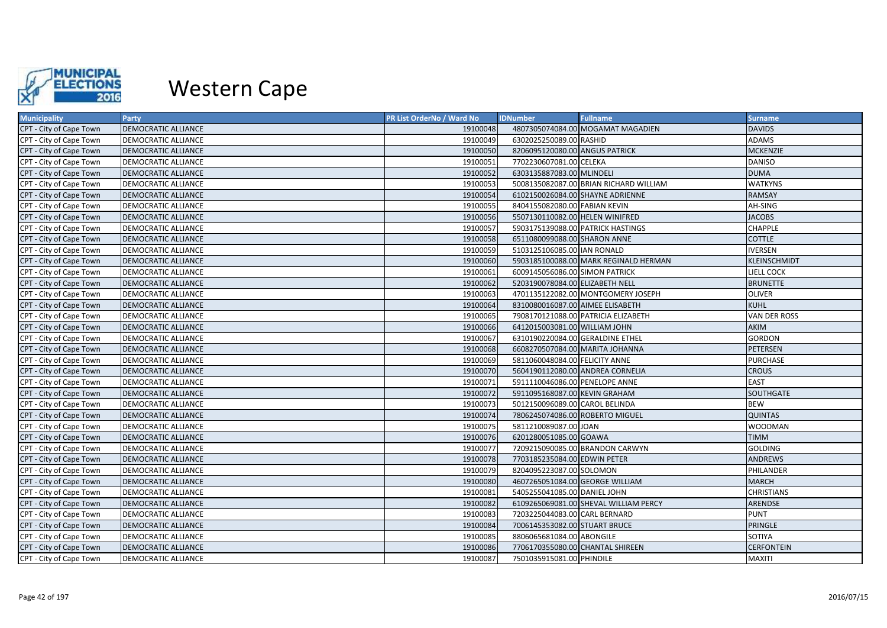

| <b>Municipality</b>     | Party                      | <b>PR List OrderNo / Ward No</b> | <b>IDNumber</b>                   | <b>Fullname</b>                        | <b>Surname</b>      |
|-------------------------|----------------------------|----------------------------------|-----------------------------------|----------------------------------------|---------------------|
| CPT - City of Cape Town | <b>DEMOCRATIC ALLIANCE</b> | 19100048                         |                                   | 4807305074084.00 MOGAMAT MAGADIEN      | <b>DAVIDS</b>       |
| CPT - City of Cape Town | DEMOCRATIC ALLIANCE        | 19100049                         | 6302025250089.00 RASHID           |                                        | <b>ADAMS</b>        |
| CPT - City of Cape Town | DEMOCRATIC ALLIANCE        | 19100050                         | 8206095120080.00 ANGUS PATRICK    |                                        | <b>MCKENZIE</b>     |
| CPT - City of Cape Town | DEMOCRATIC ALLIANCE        | 19100051                         | 7702230607081.00 CELEKA           |                                        | <b>DANISO</b>       |
| CPT - City of Cape Town | DEMOCRATIC ALLIANCE        | 19100052                         | 6303135887083.00 MLINDELI         |                                        | <b>DUMA</b>         |
| CPT - City of Cape Town | <b>DEMOCRATIC ALLIANCE</b> | 19100053                         |                                   | 5008135082087.00 BRIAN RICHARD WILLIAM | <b>WATKYNS</b>      |
| CPT - City of Cape Town | <b>DEMOCRATIC ALLIANCE</b> | 19100054                         | 6102150026084.00 SHAYNE ADRIENNE  |                                        | <b>RAMSAY</b>       |
| CPT - City of Cape Town | <b>DEMOCRATIC ALLIANCE</b> | 19100055                         | 8404155082080.00 FABIAN KEVIN     |                                        | AH-SING             |
| CPT - City of Cape Town | DEMOCRATIC ALLIANCE        | 19100056                         | 5507130110082.00 HELEN WINIFRED   |                                        | <b>JACOBS</b>       |
| CPT - City of Cape Town | DEMOCRATIC ALLIANCE        | 19100057                         | 5903175139088.00 PATRICK HASTINGS |                                        | CHAPPLE             |
| CPT - City of Cape Town | <b>DEMOCRATIC ALLIANCE</b> | 19100058                         | 6511080099088.00 SHARON ANNE      |                                        | <b>COTTLE</b>       |
| CPT - City of Cape Town | DEMOCRATIC ALLIANCE        | 19100059                         | 5103125106085.00 IAN RONALD       |                                        | <b>IVERSEN</b>      |
| CPT - City of Cape Town | <b>DEMOCRATIC ALLIANCE</b> | 19100060                         |                                   | 5903185100088.00 MARK REGINALD HERMAN  | KLEINSCHMIDT        |
| CPT - City of Cape Town | <b>DEMOCRATIC ALLIANCE</b> | 19100061                         | 6009145056086.00 SIMON PATRICK    |                                        | LIELL COCK          |
| CPT - City of Cape Town | DEMOCRATIC ALLIANCE        | 19100062                         | 5203190078084.00 ELIZABETH NELL   |                                        | <b>BRUNETTE</b>     |
| CPT - City of Cape Town | DEMOCRATIC ALLIANCE        | 19100063                         |                                   | 4701135122082.00 MONTGOMERY JOSEPH     | <b>OLIVER</b>       |
| CPT - City of Cape Town | DEMOCRATIC ALLIANCE        | 19100064                         | 8310080016087.00 AIMEE ELISABETH  |                                        | <b>KUHL</b>         |
| CPT - City of Cape Town | DEMOCRATIC ALLIANCE        | 19100065                         |                                   | 7908170121088.00 PATRICIA ELIZABETH    | <b>VAN DER ROSS</b> |
| CPT - City of Cape Town | <b>DEMOCRATIC ALLIANCE</b> | 19100066                         | 6412015003081.00 WILLIAM JOHN     |                                        | <b>AKIM</b>         |
| CPT - City of Cape Town | DEMOCRATIC ALLIANCE        | 19100067                         | 6310190220084.00 GERALDINE ETHEL  |                                        | <b>GORDON</b>       |
| CPT - City of Cape Town | <b>DEMOCRATIC ALLIANCE</b> | 19100068                         | 6608270507084.00 MARITA JOHANNA   |                                        | PETERSEN            |
| CPT - City of Cape Town | <b>DEMOCRATIC ALLIANCE</b> | 19100069                         | 5811060048084.00 FELICITY ANNE    |                                        | PURCHASE            |
| CPT - City of Cape Town | <b>DEMOCRATIC ALLIANCE</b> | 19100070                         | 5604190112080.00 ANDREA CORNELIA  |                                        | <b>CROUS</b>        |
| CPT - City of Cape Town | DEMOCRATIC ALLIANCE        | 19100071                         | 5911110046086.00 PENELOPE ANNE    |                                        | <b>EAST</b>         |
| CPT - City of Cape Town | <b>DEMOCRATIC ALLIANCE</b> | 19100072                         | 5911095168087.00 KEVIN GRAHAM     |                                        | <b>SOUTHGATE</b>    |
| CPT - City of Cape Town | DEMOCRATIC ALLIANCE        | 19100073                         | 5012150096089.00 CAROL BELINDA    |                                        | <b>BEW</b>          |
| CPT - City of Cape Town | <b>DEMOCRATIC ALLIANCE</b> | 19100074                         | 7806245074086.00 ROBERTO MIGUEL   |                                        | <b>QUINTAS</b>      |
| CPT - City of Cape Town | DEMOCRATIC ALLIANCE        | 19100075                         | 5811210089087.00 JOAN             |                                        | <b>WOODMAN</b>      |
| CPT - City of Cape Town | <b>DEMOCRATIC ALLIANCE</b> | 19100076                         | 6201280051085.00 GOAWA            |                                        | <b>TIMM</b>         |
| CPT - City of Cape Town | DEMOCRATIC ALLIANCE        | 19100077                         |                                   | 7209215090085.00 BRANDON CARWYN        | <b>GOLDING</b>      |
| CPT - City of Cape Town | <b>DEMOCRATIC ALLIANCE</b> | 19100078                         | 7703185235084.00 EDWIN PETER      |                                        | <b>ANDREWS</b>      |
| CPT - City of Cape Town | DEMOCRATIC ALLIANCE        | 19100079                         | 8204095223087.00 SOLOMON          |                                        | PHILANDER           |
| CPT - City of Cape Town | DEMOCRATIC ALLIANCE        | 19100080                         | 4607265051084.00 GEORGE WILLIAM   |                                        | <b>MARCH</b>        |
| CPT - City of Cape Town | DEMOCRATIC ALLIANCE        | 19100081                         | 5405255041085.00 DANIEL JOHN      |                                        | <b>CHRISTIANS</b>   |
| CPT - City of Cape Town | <b>DEMOCRATIC ALLIANCE</b> | 19100082                         |                                   | 6109265069081.00 SHEVAL WILLIAM PERCY  | ARENDSE             |
| CPT - City of Cape Town | <b>DEMOCRATIC ALLIANCE</b> | 19100083                         | 7203225044083.00 CARL BERNARD     |                                        | <b>PUNT</b>         |
| CPT - City of Cape Town | <b>DEMOCRATIC ALLIANCE</b> | 19100084                         | 7006145353082.00 STUART BRUCE     |                                        | PRINGLE             |
| CPT - City of Cape Town | DEMOCRATIC ALLIANCE        | 19100085                         | 8806065681084.00 ABONGILE         |                                        | SOTIYA              |
| CPT - City of Cape Town | <b>DEMOCRATIC ALLIANCE</b> | 19100086                         | 7706170355080.00 CHANTAL SHIREEN  |                                        | <b>CERFONTEIN</b>   |
| CPT - City of Cape Town | DEMOCRATIC ALLIANCE        | 19100087                         | 7501035915081.00 PHINDILE         |                                        | <b>MAXITI</b>       |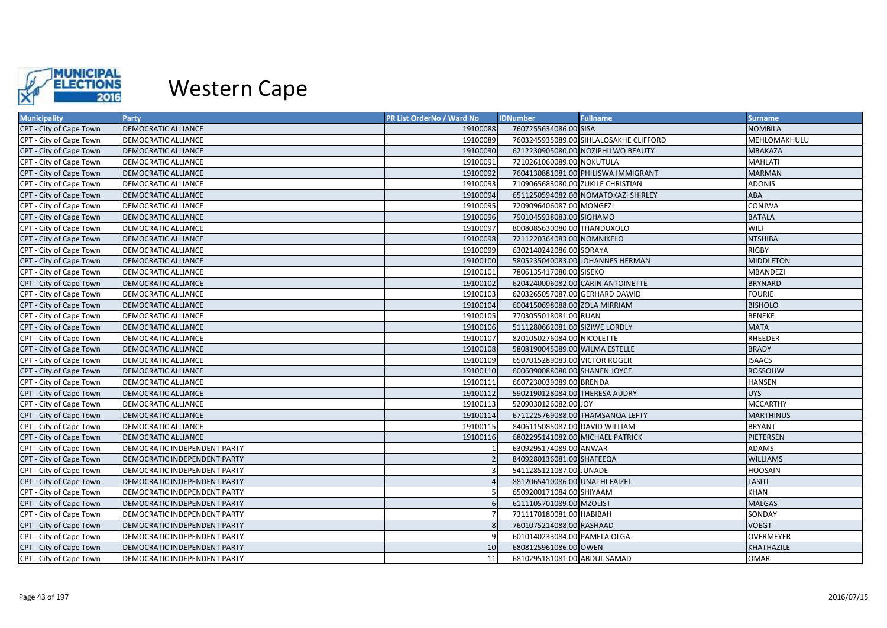

| <b>Municipality</b>     | Party                               | PR List OrderNo / Ward No | <b>IDNumber</b>                   | <b>Fullname</b>                        | <b>Surname</b>   |
|-------------------------|-------------------------------------|---------------------------|-----------------------------------|----------------------------------------|------------------|
| CPT - City of Cape Town | <b>DEMOCRATIC ALLIANCE</b>          | 19100088                  | 7607255634086.00 SISA             |                                        | <b>NOMBILA</b>   |
| CPT - City of Cape Town | DEMOCRATIC ALLIANCE                 | 19100089                  |                                   | 7603245935089.00 SIHLALOSAKHE CLIFFORD | MEHLOMAKHULU     |
| CPT - City of Cape Town | DEMOCRATIC ALLIANCE                 | 19100090                  |                                   | 6212230905080.00 NOZIPHILWO BEAUTY     | <b>MBAKAZA</b>   |
| CPT - City of Cape Town | DEMOCRATIC ALLIANCE                 | 19100091                  | 7210261060089.00 NOKUTULA         |                                        | <b>MAHLATI</b>   |
| CPT - City of Cape Town | DEMOCRATIC ALLIANCE                 | 19100092                  |                                   | 7604130881081.00 PHILISWA IMMIGRANT    | <b>MARMAN</b>    |
| CPT - City of Cape Town | DEMOCRATIC ALLIANCE                 | 19100093                  | 7109065683080.00 ZUKILE CHRISTIAN |                                        | <b>ADONIS</b>    |
| CPT - City of Cape Town | DEMOCRATIC ALLIANCE                 | 19100094                  |                                   | 6511250594082.00 NOMATOKAZI SHIRLEY    | ABA              |
| CPT - City of Cape Town | DEMOCRATIC ALLIANCE                 | 19100095                  | 7209096406087.00 MONGEZI          |                                        | CONJWA           |
| CPT - City of Cape Town | DEMOCRATIC ALLIANCE                 | 19100096                  | 7901045938083.00 SIQHAMO          |                                        | <b>BATALA</b>    |
| CPT - City of Cape Town | DEMOCRATIC ALLIANCE                 | 19100097                  | 8008085630080.00 THANDUXOLO       |                                        | <b>WILI</b>      |
| CPT - City of Cape Town | <b>DEMOCRATIC ALLIANCE</b>          | 19100098                  | 7211220364083.00 NOMNIKELO        |                                        | <b>NTSHIBA</b>   |
| CPT - City of Cape Town | DEMOCRATIC ALLIANCE                 | 19100099                  | 6302140242086.00 SORAYA           |                                        | <b>RIGBY</b>     |
| CPT - City of Cape Town | DEMOCRATIC ALLIANCE                 | 19100100                  |                                   | 5805235040083.00 JOHANNES HERMAN       | <b>MIDDLETON</b> |
| CPT - City of Cape Town | DEMOCRATIC ALLIANCE                 | 19100101                  | 7806135417080.00 SISEKO           |                                        | <b>MBANDEZI</b>  |
| CPT - City of Cape Town | DEMOCRATIC ALLIANCE                 | 19100102                  |                                   | 6204240006082.00 CARIN ANTOINETTE      | <b>BRYNARD</b>   |
| CPT - City of Cape Town | DEMOCRATIC ALLIANCE                 | 19100103                  | 6203265057087.00 GERHARD DAWID    |                                        | <b>FOURIE</b>    |
| CPT - City of Cape Town | <b>DEMOCRATIC ALLIANCE</b>          | 19100104                  | 6004150698088.00 ZOLA MIRRIAM     |                                        | <b>BISHOLO</b>   |
| CPT - City of Cape Town | DEMOCRATIC ALLIANCE                 | 19100105                  | 7703055018081.00 RUAN             |                                        | <b>BENEKE</b>    |
| CPT - City of Cape Town | DEMOCRATIC ALLIANCE                 | 19100106                  | 5111280662081.00 SIZIWE LORDLY    |                                        | <b>MATA</b>      |
| CPT - City of Cape Town | DEMOCRATIC ALLIANCE                 | 19100107                  | 8201050276084.00 NICOLETTE        |                                        | <b>RHEEDER</b>   |
| CPT - City of Cape Town | DEMOCRATIC ALLIANCE                 | 19100108                  | 5808190045089.00 WILMA ESTELLE    |                                        | <b>BRADY</b>     |
| CPT - City of Cape Town | DEMOCRATIC ALLIANCE                 | 19100109                  | 6507015289083.00 VICTOR ROGER     |                                        | <b>ISAACS</b>    |
| CPT - City of Cape Town | <b>DEMOCRATIC ALLIANCE</b>          | 19100110                  | 6006090088080.00 SHANEN JOYCE     |                                        | ROSSOUW          |
| CPT - City of Cape Town | DEMOCRATIC ALLIANCE                 | 19100111                  | 6607230039089.00 BRENDA           |                                        | <b>HANSEN</b>    |
| CPT - City of Cape Town | DEMOCRATIC ALLIANCE                 | 19100112                  | 5902190128084.00 THERESA AUDRY    |                                        | <b>UYS</b>       |
| CPT - City of Cape Town | DEMOCRATIC ALLIANCE                 | 19100113                  | 5209030126082.00 JOY              |                                        | <b>MCCARTHY</b>  |
| CPT - City of Cape Town | DEMOCRATIC ALLIANCE                 | 19100114                  |                                   | 6711225769088.00 THAMSANQA LEFTY       | <b>MARTHINUS</b> |
| CPT - City of Cape Town | DEMOCRATIC ALLIANCE                 | 19100115                  | 8406115085087.00 DAVID WILLIAM    |                                        | <b>BRYANT</b>    |
| CPT - City of Cape Town | <b>DEMOCRATIC ALLIANCE</b>          | 19100116                  | 6802295141082.00 MICHAEL PATRICK  |                                        | PIETERSEN        |
| CPT - City of Cape Town | DEMOCRATIC INDEPENDENT PARTY        |                           | 6309295174089.00 ANWAR            |                                        | ADAMS            |
| CPT - City of Cape Town | DEMOCRATIC INDEPENDENT PARTY        |                           | 8409280136081.00 SHAFEEQA         |                                        | <b>WILLIAMS</b>  |
| CPT - City of Cape Town | DEMOCRATIC INDEPENDENT PARTY        |                           | 5411285121087.00 JUNADE           |                                        | <b>HOOSAIN</b>   |
| CPT - City of Cape Town | DEMOCRATIC INDEPENDENT PARTY        |                           | 8812065410086.00 UNATHI FAIZEL    |                                        | LASITI           |
| CPT - City of Cape Town | DEMOCRATIC INDEPENDENT PARTY        |                           | 6509200171084.00 SHIYAAM          |                                        | <b>KHAN</b>      |
| CPT - City of Cape Town | DEMOCRATIC INDEPENDENT PARTY        |                           | 6111105701089.00 MZOLIST          |                                        | <b>MALGAS</b>    |
| CPT - City of Cape Town | DEMOCRATIC INDEPENDENT PARTY        |                           | 7311170180081.00 HABIBAH          |                                        | SONDAY           |
| CPT - City of Cape Town | DEMOCRATIC INDEPENDENT PARTY        |                           | 7601075214088.00 RASHAAD          |                                        | <b>VOEGT</b>     |
| CPT - City of Cape Town | DEMOCRATIC INDEPENDENT PARTY        |                           | 6010140233084.00 PAMELA OLGA      |                                        | <b>OVERMEYER</b> |
| CPT - City of Cape Town | <b>DEMOCRATIC INDEPENDENT PARTY</b> | 10                        | 6808125961086.00 OWEN             |                                        | KHATHAZILE       |
| CPT - City of Cape Town | DEMOCRATIC INDEPENDENT PARTY        | 11                        | 6810295181081.00 ABDUL SAMAD      |                                        | <b>OMAR</b>      |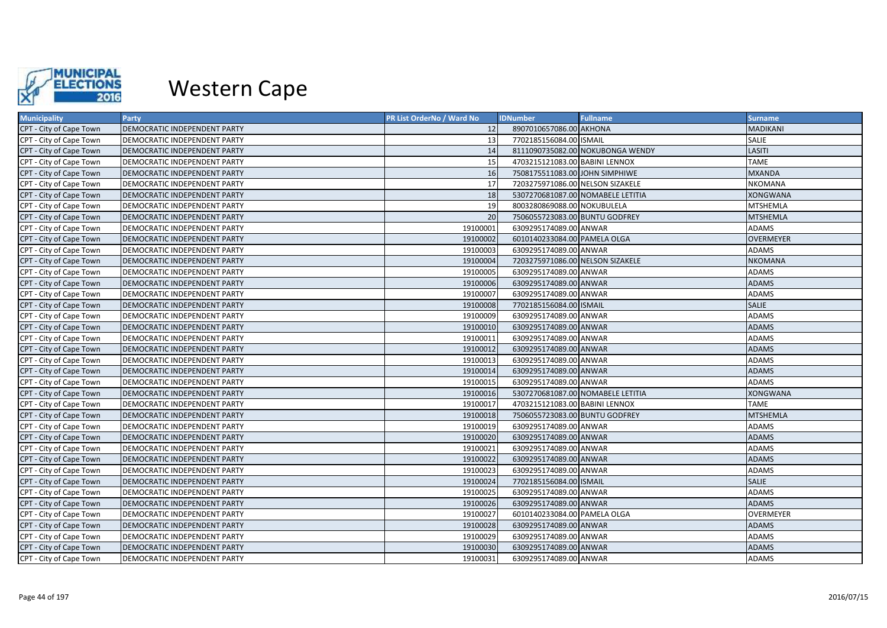

| <b>Municipality</b>     | <b>Party</b>                 | PR List OrderNo / Ward No | <b>IDNumber</b>                   | <b>Fullname</b>                  | <b>Surname</b>   |
|-------------------------|------------------------------|---------------------------|-----------------------------------|----------------------------------|------------------|
| CPT - City of Cape Town | DEMOCRATIC INDEPENDENT PARTY | 12                        | 8907010657086.00 AKHONA           |                                  | <b>MADIKANI</b>  |
| CPT - City of Cape Town | DEMOCRATIC INDEPENDENT PARTY | 13                        | 7702185156084.00 ISMAIL           |                                  | SALIE            |
| CPT - City of Cape Town | DEMOCRATIC INDEPENDENT PARTY | 14                        |                                   | 8111090735082.00 NOKUBONGA WENDY | LASITI           |
| CPT - City of Cape Town | DEMOCRATIC INDEPENDENT PARTY | 15                        | 4703215121083.00 BABINI LENNOX    |                                  | <b>TAME</b>      |
| CPT - City of Cape Town | DEMOCRATIC INDEPENDENT PARTY | 16                        | 7508175511083.00 JOHN SIMPHIWE    |                                  | <b>MXANDA</b>    |
| CPT - City of Cape Town | DEMOCRATIC INDEPENDENT PARTY | 17                        | 7203275971086.00 NELSON SIZAKELE  |                                  | <b>NKOMANA</b>   |
| CPT - City of Cape Town | DEMOCRATIC INDEPENDENT PARTY | 18                        | 5307270681087.00 NOMABELE LETITIA |                                  | <b>XONGWANA</b>  |
| CPT - City of Cape Town | DEMOCRATIC INDEPENDENT PARTY | 19                        | 8003280869088.00 NOKUBULELA       |                                  | <b>MTSHEMLA</b>  |
| CPT - City of Cape Town | DEMOCRATIC INDEPENDENT PARTY | 20                        | 7506055723083.00 BUNTU GODFREY    |                                  | <b>MTSHEMLA</b>  |
| CPT - City of Cape Town | DEMOCRATIC INDEPENDENT PARTY | 19100001                  | 6309295174089.00 ANWAR            |                                  | <b>ADAMS</b>     |
| CPT - City of Cape Town | DEMOCRATIC INDEPENDENT PARTY | 19100002                  | 6010140233084.00 PAMELA OLGA      |                                  | <b>OVERMEYER</b> |
| CPT - City of Cape Town | DEMOCRATIC INDEPENDENT PARTY | 19100003                  | 6309295174089.00 ANWAR            |                                  | <b>ADAMS</b>     |
| CPT - City of Cape Town | DEMOCRATIC INDEPENDENT PARTY | 19100004                  | 7203275971086.00 NELSON SIZAKELE  |                                  | <b>NKOMANA</b>   |
| CPT - City of Cape Town | DEMOCRATIC INDEPENDENT PARTY | 19100005                  | 6309295174089.00 ANWAR            |                                  | <b>ADAMS</b>     |
| CPT - City of Cape Town | DEMOCRATIC INDEPENDENT PARTY | 19100006                  | 6309295174089.00 ANWAR            |                                  | <b>ADAMS</b>     |
| CPT - City of Cape Town | DEMOCRATIC INDEPENDENT PARTY | 19100007                  | 6309295174089.00 ANWAR            |                                  | <b>ADAMS</b>     |
| CPT - City of Cape Town | DEMOCRATIC INDEPENDENT PARTY | 19100008                  | 7702185156084.00 ISMAIL           |                                  | <b>SALIE</b>     |
| CPT - City of Cape Town | DEMOCRATIC INDEPENDENT PARTY | 19100009                  | 6309295174089.00 ANWAR            |                                  | <b>ADAMS</b>     |
| CPT - City of Cape Town | DEMOCRATIC INDEPENDENT PARTY | 19100010                  | 6309295174089.00 ANWAR            |                                  | <b>ADAMS</b>     |
| CPT - City of Cape Town | DEMOCRATIC INDEPENDENT PARTY | 19100011                  | 6309295174089.00 ANWAR            |                                  | <b>ADAMS</b>     |
| CPT - City of Cape Town | DEMOCRATIC INDEPENDENT PARTY | 19100012                  | 6309295174089.00 ANWAR            |                                  | <b>ADAMS</b>     |
| CPT - City of Cape Town | DEMOCRATIC INDEPENDENT PARTY | 19100013                  | 6309295174089.00 ANWAR            |                                  | <b>ADAMS</b>     |
| CPT - City of Cape Town | DEMOCRATIC INDEPENDENT PARTY | 19100014                  | 6309295174089.00 ANWAR            |                                  | <b>ADAMS</b>     |
| CPT - City of Cape Town | DEMOCRATIC INDEPENDENT PARTY | 19100015                  | 6309295174089.00 ANWAR            |                                  | <b>ADAMS</b>     |
| CPT - City of Cape Town | DEMOCRATIC INDEPENDENT PARTY | 19100016                  | 5307270681087.00 NOMABELE LETITIA |                                  | <b>XONGWANA</b>  |
| CPT - City of Cape Town | DEMOCRATIC INDEPENDENT PARTY | 19100017                  | 4703215121083.00 BABINI LENNOX    |                                  | <b>TAME</b>      |
| CPT - City of Cape Town | DEMOCRATIC INDEPENDENT PARTY | 19100018                  | 7506055723083.00 BUNTU GODFREY    |                                  | <b>MTSHEMLA</b>  |
| CPT - City of Cape Town | DEMOCRATIC INDEPENDENT PARTY | 19100019                  | 6309295174089.00 ANWAR            |                                  | <b>ADAMS</b>     |
| CPT - City of Cape Town | DEMOCRATIC INDEPENDENT PARTY | 19100020                  | 6309295174089.00 ANWAR            |                                  | <b>ADAMS</b>     |
| CPT - City of Cape Town | DEMOCRATIC INDEPENDENT PARTY | 19100021                  | 6309295174089.00 ANWAR            |                                  | <b>ADAMS</b>     |
| CPT - City of Cape Town | DEMOCRATIC INDEPENDENT PARTY | 19100022                  | 6309295174089.00 ANWAR            |                                  | <b>ADAMS</b>     |
| CPT - City of Cape Town | DEMOCRATIC INDEPENDENT PARTY | 19100023                  | 6309295174089.00 ANWAR            |                                  | <b>ADAMS</b>     |
| CPT - City of Cape Town | DEMOCRATIC INDEPENDENT PARTY | 19100024                  | 7702185156084.00 ISMAIL           |                                  | <b>SALIE</b>     |
| CPT - City of Cape Town | DEMOCRATIC INDEPENDENT PARTY | 19100025                  | 6309295174089.00 ANWAR            |                                  | <b>ADAMS</b>     |
| CPT - City of Cape Town | DEMOCRATIC INDEPENDENT PARTY | 19100026                  | 6309295174089.00 ANWAR            |                                  | <b>ADAMS</b>     |
| CPT - City of Cape Town | DEMOCRATIC INDEPENDENT PARTY | 19100027                  | 6010140233084.00 PAMELA OLGA      |                                  | <b>OVERMEYER</b> |
| CPT - City of Cape Town | DEMOCRATIC INDEPENDENT PARTY | 19100028                  | 6309295174089.00 ANWAR            |                                  | <b>ADAMS</b>     |
| CPT - City of Cape Town | DEMOCRATIC INDEPENDENT PARTY | 19100029                  | 6309295174089.00 ANWAR            |                                  | <b>ADAMS</b>     |
| CPT - City of Cape Town | DEMOCRATIC INDEPENDENT PARTY | 19100030                  | 6309295174089.00 ANWAR            |                                  | <b>ADAMS</b>     |
| CPT - City of Cape Town | DEMOCRATIC INDEPENDENT PARTY | 19100031                  | 6309295174089.00 ANWAR            |                                  | <b>ADAMS</b>     |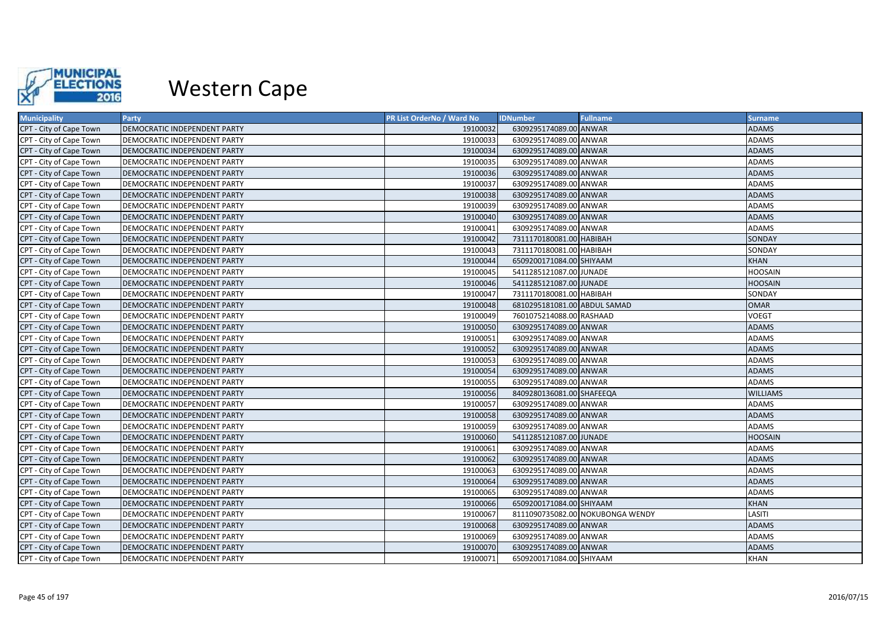

| <b>Municipality</b>     | Party                        | <b>PR List OrderNo / Ward No</b> | <b>IDNumber</b>              | <b>Fullname</b>                  | <b>Surname</b>  |
|-------------------------|------------------------------|----------------------------------|------------------------------|----------------------------------|-----------------|
| CPT - City of Cape Town | DEMOCRATIC INDEPENDENT PARTY | 19100032                         | 6309295174089.00 ANWAR       |                                  | <b>ADAMS</b>    |
| CPT - City of Cape Town | DEMOCRATIC INDEPENDENT PARTY | 19100033                         | 6309295174089.00 ANWAR       |                                  | <b>ADAMS</b>    |
| CPT - City of Cape Town | DEMOCRATIC INDEPENDENT PARTY | 19100034                         | 6309295174089.00 ANWAR       |                                  | <b>ADAMS</b>    |
| CPT - City of Cape Town | DEMOCRATIC INDEPENDENT PARTY | 19100035                         | 6309295174089.00 ANWAR       |                                  | <b>ADAMS</b>    |
| CPT - City of Cape Town | DEMOCRATIC INDEPENDENT PARTY | 19100036                         | 6309295174089.00 ANWAR       |                                  | <b>ADAMS</b>    |
| CPT - City of Cape Town | DEMOCRATIC INDEPENDENT PARTY | 19100037                         | 6309295174089.00 ANWAR       |                                  | <b>ADAMS</b>    |
| CPT - City of Cape Town | DEMOCRATIC INDEPENDENT PARTY | 19100038                         | 6309295174089.00 ANWAR       |                                  | <b>ADAMS</b>    |
| CPT - City of Cape Town | DEMOCRATIC INDEPENDENT PARTY | 19100039                         | 6309295174089.00 ANWAR       |                                  | <b>ADAMS</b>    |
| CPT - City of Cape Town | DEMOCRATIC INDEPENDENT PARTY | 19100040                         | 6309295174089.00 ANWAR       |                                  | <b>ADAMS</b>    |
| CPT - City of Cape Town | DEMOCRATIC INDEPENDENT PARTY | 19100041                         | 6309295174089.00 ANWAR       |                                  | <b>ADAMS</b>    |
| CPT - City of Cape Town | DEMOCRATIC INDEPENDENT PARTY | 19100042                         | 7311170180081.00 HABIBAH     |                                  | <b>SONDAY</b>   |
| CPT - City of Cape Town | DEMOCRATIC INDEPENDENT PARTY | 19100043                         | 7311170180081.00 HABIBAH     |                                  | SONDAY          |
| CPT - City of Cape Town | DEMOCRATIC INDEPENDENT PARTY | 19100044                         | 6509200171084.00 SHIYAAM     |                                  | <b>KHAN</b>     |
| CPT - City of Cape Town | DEMOCRATIC INDEPENDENT PARTY | 19100045                         | 5411285121087.00 JUNADE      |                                  | <b>HOOSAIN</b>  |
| CPT - City of Cape Town | DEMOCRATIC INDEPENDENT PARTY | 19100046                         | 5411285121087.00 JUNADE      |                                  | <b>HOOSAIN</b>  |
| CPT - City of Cape Town | DEMOCRATIC INDEPENDENT PARTY | 19100047                         | 7311170180081.00 HABIBAH     |                                  | SONDAY          |
| CPT - City of Cape Town | DEMOCRATIC INDEPENDENT PARTY | 19100048                         | 6810295181081.00 ABDUL SAMAD |                                  | <b>OMAR</b>     |
| CPT - City of Cape Town | DEMOCRATIC INDEPENDENT PARTY | 19100049                         | 7601075214088.00 RASHAAD     |                                  | <b>VOEGT</b>    |
| CPT - City of Cape Town | DEMOCRATIC INDEPENDENT PARTY | 19100050                         | 6309295174089.00 ANWAR       |                                  | <b>ADAMS</b>    |
| CPT - City of Cape Town | DEMOCRATIC INDEPENDENT PARTY | 19100051                         | 6309295174089.00 ANWAR       |                                  | <b>ADAMS</b>    |
| CPT - City of Cape Town | DEMOCRATIC INDEPENDENT PARTY | 19100052                         | 6309295174089.00 ANWAR       |                                  | <b>ADAMS</b>    |
| CPT - City of Cape Town | DEMOCRATIC INDEPENDENT PARTY | 19100053                         | 6309295174089.00 ANWAR       |                                  | <b>ADAMS</b>    |
| CPT - City of Cape Town | DEMOCRATIC INDEPENDENT PARTY | 19100054                         | 6309295174089.00 ANWAR       |                                  | <b>ADAMS</b>    |
| CPT - City of Cape Town | DEMOCRATIC INDEPENDENT PARTY | 19100055                         | 6309295174089.00 ANWAR       |                                  | <b>ADAMS</b>    |
| CPT - City of Cape Town | DEMOCRATIC INDEPENDENT PARTY | 19100056                         | 8409280136081.00 SHAFEEQA    |                                  | <b>WILLIAMS</b> |
| CPT - City of Cape Town | DEMOCRATIC INDEPENDENT PARTY | 19100057                         | 6309295174089.00 ANWAR       |                                  | <b>ADAMS</b>    |
| CPT - City of Cape Town | DEMOCRATIC INDEPENDENT PARTY | 19100058                         | 6309295174089.00 ANWAR       |                                  | <b>ADAMS</b>    |
| CPT - City of Cape Town | DEMOCRATIC INDEPENDENT PARTY | 19100059                         | 6309295174089.00 ANWAR       |                                  | ADAMS           |
| CPT - City of Cape Town | DEMOCRATIC INDEPENDENT PARTY | 19100060                         | 5411285121087.00 JUNADE      |                                  | <b>HOOSAIN</b>  |
| CPT - City of Cape Town | DEMOCRATIC INDEPENDENT PARTY | 19100061                         | 6309295174089.00 ANWAR       |                                  | <b>ADAMS</b>    |
| CPT - City of Cape Town | DEMOCRATIC INDEPENDENT PARTY | 19100062                         | 6309295174089.00 ANWAR       |                                  | <b>ADAMS</b>    |
| CPT - City of Cape Town | DEMOCRATIC INDEPENDENT PARTY | 19100063                         | 6309295174089.00 ANWAR       |                                  | <b>ADAMS</b>    |
| CPT - City of Cape Town | DEMOCRATIC INDEPENDENT PARTY | 19100064                         | 6309295174089.00 ANWAR       |                                  | <b>ADAMS</b>    |
| CPT - City of Cape Town | DEMOCRATIC INDEPENDENT PARTY | 19100065                         | 6309295174089.00 ANWAR       |                                  | <b>ADAMS</b>    |
| CPT - City of Cape Town | DEMOCRATIC INDEPENDENT PARTY | 19100066                         | 6509200171084.00 SHIYAAM     |                                  | <b>KHAN</b>     |
| CPT - City of Cape Town | DEMOCRATIC INDEPENDENT PARTY | 19100067                         |                              | 8111090735082.00 NOKUBONGA WENDY | LASITI          |
| CPT - City of Cape Town | DEMOCRATIC INDEPENDENT PARTY | 19100068                         | 6309295174089.00 ANWAR       |                                  | <b>ADAMS</b>    |
| CPT - City of Cape Town | DEMOCRATIC INDEPENDENT PARTY | 19100069                         | 6309295174089.00 ANWAR       |                                  | <b>ADAMS</b>    |
| CPT - City of Cape Town | DEMOCRATIC INDEPENDENT PARTY | 19100070                         | 6309295174089.00 ANWAR       |                                  | <b>ADAMS</b>    |
| CPT - City of Cape Town | DEMOCRATIC INDEPENDENT PARTY | 19100071                         | 6509200171084.00 SHIYAAM     |                                  | <b>KHAN</b>     |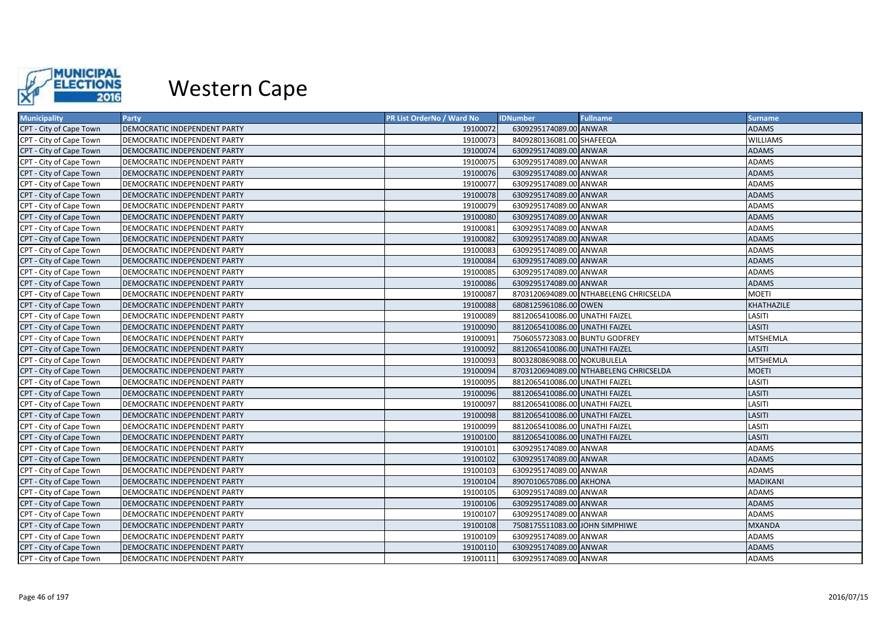

| <b>Municipality</b>     | Party                               | <b>PR List OrderNo / Ward No</b> | <b>IDNumber</b>                | <b>Fullname</b>                        | <b>Surname</b>  |
|-------------------------|-------------------------------------|----------------------------------|--------------------------------|----------------------------------------|-----------------|
| CPT - City of Cape Town | DEMOCRATIC INDEPENDENT PARTY        | 19100072                         | 6309295174089.00 ANWAR         |                                        | <b>ADAMS</b>    |
| CPT - City of Cape Town | DEMOCRATIC INDEPENDENT PARTY        | 19100073                         | 8409280136081.00 SHAFEEQA      |                                        | <b>WILLIAMS</b> |
| CPT - City of Cape Town | DEMOCRATIC INDEPENDENT PARTY        | 19100074                         | 6309295174089.00 ANWAR         |                                        | <b>ADAMS</b>    |
| CPT - City of Cape Town | DEMOCRATIC INDEPENDENT PARTY        | 19100075                         | 6309295174089.00 ANWAR         |                                        | <b>ADAMS</b>    |
| CPT - City of Cape Town | DEMOCRATIC INDEPENDENT PARTY        | 19100076                         | 6309295174089.00 ANWAR         |                                        | <b>ADAMS</b>    |
| CPT - City of Cape Town | DEMOCRATIC INDEPENDENT PARTY        | 19100077                         | 6309295174089.00 ANWAR         |                                        | <b>ADAMS</b>    |
| CPT - City of Cape Town | DEMOCRATIC INDEPENDENT PARTY        | 19100078                         | 6309295174089.00 ANWAR         |                                        | <b>ADAMS</b>    |
| CPT - City of Cape Town | DEMOCRATIC INDEPENDENT PARTY        | 19100079                         | 6309295174089.00 ANWAR         |                                        | <b>ADAMS</b>    |
| CPT - City of Cape Town | DEMOCRATIC INDEPENDENT PARTY        | 19100080                         | 6309295174089.00 ANWAR         |                                        | <b>ADAMS</b>    |
| CPT - City of Cape Town | DEMOCRATIC INDEPENDENT PARTY        | 19100081                         | 6309295174089.00 ANWAR         |                                        | ADAMS           |
| CPT - City of Cape Town | DEMOCRATIC INDEPENDENT PARTY        | 19100082                         | 6309295174089.00 ANWAR         |                                        | <b>ADAMS</b>    |
| CPT - City of Cape Town | DEMOCRATIC INDEPENDENT PARTY        | 19100083                         | 6309295174089.00 ANWAR         |                                        | <b>ADAMS</b>    |
| CPT - City of Cape Town | DEMOCRATIC INDEPENDENT PARTY        | 19100084                         | 6309295174089.00 ANWAR         |                                        | <b>ADAMS</b>    |
| CPT - City of Cape Town | DEMOCRATIC INDEPENDENT PARTY        | 19100085                         | 6309295174089.00 ANWAR         |                                        | <b>ADAMS</b>    |
| CPT - City of Cape Town | DEMOCRATIC INDEPENDENT PARTY        | 19100086                         | 6309295174089.00 ANWAR         |                                        | <b>ADAMS</b>    |
| CPT - City of Cape Town | <b>DEMOCRATIC INDEPENDENT PARTY</b> | 19100087                         |                                | 8703120694089.00 NTHABELENG CHRICSELDA | <b>MOETI</b>    |
| CPT - City of Cape Town | DEMOCRATIC INDEPENDENT PARTY        | 19100088                         | 6808125961086.00 OWEN          |                                        | KHATHAZILE      |
| CPT - City of Cape Town | DEMOCRATIC INDEPENDENT PARTY        | 19100089                         | 8812065410086.00 UNATHI FAIZEL |                                        | LASITI          |
| CPT - City of Cape Town | DEMOCRATIC INDEPENDENT PARTY        | 19100090                         | 8812065410086.00 UNATHI FAIZEL |                                        | LASITI          |
| CPT - City of Cape Town | DEMOCRATIC INDEPENDENT PARTY        | 19100091                         | 7506055723083.00 BUNTU GODFREY |                                        | <b>MTSHEMLA</b> |
| CPT - City of Cape Town | DEMOCRATIC INDEPENDENT PARTY        | 19100092                         | 8812065410086.00 UNATHI FAIZEL |                                        | LASITI          |
| CPT - City of Cape Town | DEMOCRATIC INDEPENDENT PARTY        | 19100093                         | 8003280869088.00 NOKUBULELA    |                                        | <b>MTSHEMLA</b> |
| CPT - City of Cape Town | <b>DEMOCRATIC INDEPENDENT PARTY</b> | 19100094                         |                                | 8703120694089.00 NTHABELENG CHRICSELDA | <b>MOETI</b>    |
| CPT - City of Cape Town | DEMOCRATIC INDEPENDENT PARTY        | 19100095                         | 8812065410086.00 UNATHI FAIZEL |                                        | LASITI          |
| CPT - City of Cape Town | DEMOCRATIC INDEPENDENT PARTY        | 19100096                         | 8812065410086.00 UNATHI FAIZEL |                                        | LASITI          |
| CPT - City of Cape Town | DEMOCRATIC INDEPENDENT PARTY        | 19100097                         | 8812065410086.00 UNATHI FAIZEL |                                        | LASITI          |
| CPT - City of Cape Town | DEMOCRATIC INDEPENDENT PARTY        | 19100098                         | 8812065410086.00 UNATHI FAIZEL |                                        | LASITI          |
| CPT - City of Cape Town | DEMOCRATIC INDEPENDENT PARTY        | 19100099                         | 8812065410086.00 UNATHI FAIZEL |                                        | LASITI          |
| CPT - City of Cape Town | DEMOCRATIC INDEPENDENT PARTY        | 19100100                         | 8812065410086.00 UNATHI FAIZEL |                                        | <b>LASITI</b>   |
| CPT - City of Cape Town | DEMOCRATIC INDEPENDENT PARTY        | 19100101                         | 6309295174089.00 ANWAR         |                                        | <b>ADAMS</b>    |
| CPT - City of Cape Town | DEMOCRATIC INDEPENDENT PARTY        | 19100102                         | 6309295174089.00 ANWAR         |                                        | <b>ADAMS</b>    |
| CPT - City of Cape Town | DEMOCRATIC INDEPENDENT PARTY        | 19100103                         | 6309295174089.00 ANWAR         |                                        | <b>ADAMS</b>    |
| CPT - City of Cape Town | DEMOCRATIC INDEPENDENT PARTY        | 19100104                         | 8907010657086.00 AKHONA        |                                        | <b>MADIKANI</b> |
| CPT - City of Cape Town | DEMOCRATIC INDEPENDENT PARTY        | 19100105                         | 6309295174089.00 ANWAR         |                                        | <b>ADAMS</b>    |
| CPT - City of Cape Town | DEMOCRATIC INDEPENDENT PARTY        | 19100106                         | 6309295174089.00 ANWAR         |                                        | <b>ADAMS</b>    |
| CPT - City of Cape Town | DEMOCRATIC INDEPENDENT PARTY        | 19100107                         | 6309295174089.00 ANWAR         |                                        | <b>ADAMS</b>    |
| CPT - City of Cape Town | DEMOCRATIC INDEPENDENT PARTY        | 19100108                         | 7508175511083.00 JOHN SIMPHIWE |                                        | <b>MXANDA</b>   |
| CPT - City of Cape Town | DEMOCRATIC INDEPENDENT PARTY        | 19100109                         | 6309295174089.00 ANWAR         |                                        | <b>ADAMS</b>    |
| CPT - City of Cape Town | DEMOCRATIC INDEPENDENT PARTY        | 19100110                         | 6309295174089.00 ANWAR         |                                        | <b>ADAMS</b>    |
| CPT - City of Cape Town | DEMOCRATIC INDEPENDENT PARTY        | 19100111                         | 6309295174089.00 ANWAR         |                                        | <b>ADAMS</b>    |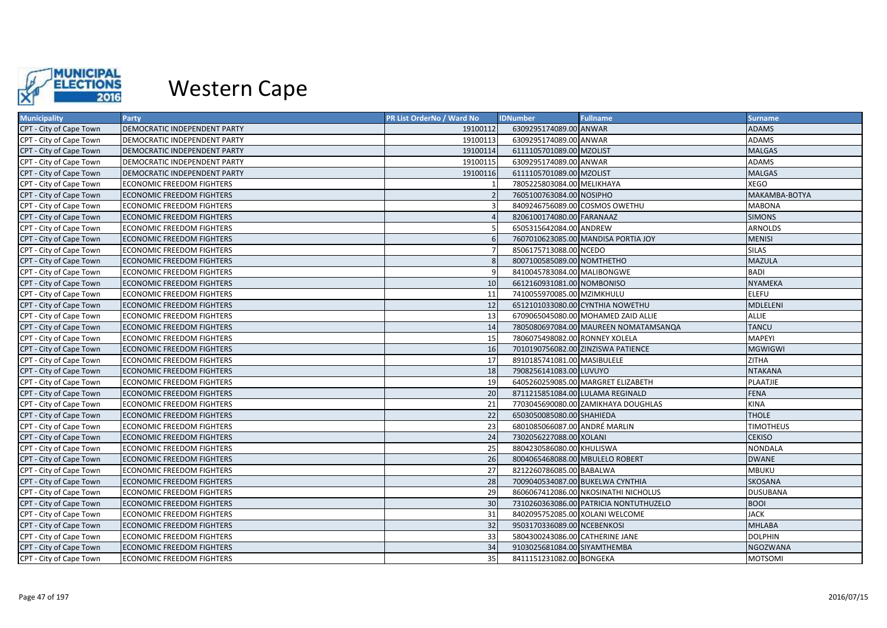

| <b>Municipality</b>     | Party                            | <b>PR List OrderNo / Ward No</b> | <b>IDNumber</b>                  | <b>Fullname</b>                        | <b>Surname</b>   |
|-------------------------|----------------------------------|----------------------------------|----------------------------------|----------------------------------------|------------------|
| CPT - City of Cape Town | DEMOCRATIC INDEPENDENT PARTY     | 19100112                         | 6309295174089.00 ANWAR           |                                        | <b>ADAMS</b>     |
| CPT - City of Cape Town | DEMOCRATIC INDEPENDENT PARTY     | 19100113                         | 6309295174089.00 ANWAR           |                                        | <b>ADAMS</b>     |
| CPT - City of Cape Town | DEMOCRATIC INDEPENDENT PARTY     | 19100114                         | 6111105701089.00 MZOLIST         |                                        | <b>MALGAS</b>    |
| CPT - City of Cape Town | DEMOCRATIC INDEPENDENT PARTY     | 19100115                         | 6309295174089.00 ANWAR           |                                        | ADAMS            |
| CPT - City of Cape Town | DEMOCRATIC INDEPENDENT PARTY     | 19100116                         | 6111105701089.00 MZOLIST         |                                        | <b>MALGAS</b>    |
| CPT - City of Cape Town | <b>ECONOMIC FREEDOM FIGHTERS</b> |                                  | 7805225803084.00 MELIKHAYA       |                                        | <b>XEGO</b>      |
| CPT - City of Cape Town | <b>ECONOMIC FREEDOM FIGHTERS</b> |                                  | 7605100763084.00 NOSIPHO         |                                        | MAKAMBA-BOTYA    |
| CPT - City of Cape Town | <b>ECONOMIC FREEDOM FIGHTERS</b> |                                  | 8409246756089.00 COSMOS OWETHU   |                                        | <b>MABONA</b>    |
| CPT - City of Cape Town | <b>ECONOMIC FREEDOM FIGHTERS</b> |                                  | 8206100174080.00 FARANAAZ        |                                        | <b>SIMONS</b>    |
| CPT - City of Cape Town | <b>ECONOMIC FREEDOM FIGHTERS</b> |                                  | 6505315642084.00 ANDREW          |                                        | <b>ARNOLDS</b>   |
| CPT - City of Cape Town | <b>ECONOMIC FREEDOM FIGHTERS</b> |                                  |                                  | 7607010623085.00 MANDISA PORTIA JOY    | <b>MENISI</b>    |
| CPT - City of Cape Town | <b>ECONOMIC FREEDOM FIGHTERS</b> |                                  | 8506175713088.00 NCEDO           |                                        | <b>SILAS</b>     |
| CPT - City of Cape Town | <b>ECONOMIC FREEDOM FIGHTERS</b> |                                  | 8007100585089.00 NOMTHETHO       |                                        | <b>MAZULA</b>    |
| CPT - City of Cape Town | <b>ECONOMIC FREEDOM FIGHTERS</b> |                                  | 8410045783084.00 MALIBONGWE      |                                        | <b>BADI</b>      |
| CPT - City of Cape Town | <b>ECONOMIC FREEDOM FIGHTERS</b> | 10                               | 6612160931081.00 NOMBONISO       |                                        | <b>NYAMEKA</b>   |
| CPT - City of Cape Town | <b>ECONOMIC FREEDOM FIGHTERS</b> | 11                               | 7410055970085.00 MZIMKHULU       |                                        | <b>ELEFU</b>     |
| CPT - City of Cape Town | <b>ECONOMIC FREEDOM FIGHTERS</b> | 12                               |                                  | 6512101033080.00 CYNTHIA NOWETHU       | MDLELENI         |
| CPT - City of Cape Town | <b>ECONOMIC FREEDOM FIGHTERS</b> | 13                               |                                  | 6709065045080.00 MOHAMED ZAID ALLIE    | <b>ALLIE</b>     |
| CPT - City of Cape Town | <b>ECONOMIC FREEDOM FIGHTERS</b> | 14                               |                                  | 7805080697084.00 MAUREEN NOMATAMSANQA  | <b>TANCU</b>     |
| CPT - City of Cape Town | <b>ECONOMIC FREEDOM FIGHTERS</b> | 15                               | 7806075498082.00 RONNEY XOLELA   |                                        | <b>MAPEYI</b>    |
| CPT - City of Cape Town | <b>ECONOMIC FREEDOM FIGHTERS</b> | 16                               |                                  | 7010190756082.00 ZINZISWA PATIENCE     | <b>MGWIGWI</b>   |
| CPT - City of Cape Town | <b>ECONOMIC FREEDOM FIGHTERS</b> | 17                               | 8910185741081.00 MASIBULELE      |                                        | <b>ZITHA</b>     |
| CPT - City of Cape Town | <b>ECONOMIC FREEDOM FIGHTERS</b> | 18                               | 7908256141083.00 LUVUYO          |                                        | <b>NTAKANA</b>   |
| CPT - City of Cape Town | <b>ECONOMIC FREEDOM FIGHTERS</b> | 19                               |                                  | 6405260259085.00 MARGRET ELIZABETH     | PLAATJIE         |
| CPT - City of Cape Town | <b>ECONOMIC FREEDOM FIGHTERS</b> | 20                               | 8711215851084.00 LULAMA REGINALD |                                        | <b>FENA</b>      |
| CPT - City of Cape Town | <b>ECONOMIC FREEDOM FIGHTERS</b> | 21                               |                                  | 7703045690080.00 ZAMIKHAYA DOUGHLAS    | <b>KINA</b>      |
| CPT - City of Cape Town | <b>ECONOMIC FREEDOM FIGHTERS</b> | 22                               | 6503050085080.00 SHAHIEDA        |                                        | <b>THOLE</b>     |
| CPT - City of Cape Town | <b>ECONOMIC FREEDOM FIGHTERS</b> | 23                               | 6801085066087.00 ANDRÉ MARLIN    |                                        | <b>TIMOTHEUS</b> |
| CPT - City of Cape Town | <b>ECONOMIC FREEDOM FIGHTERS</b> | 24                               | 7302056227088.00 XOLANI          |                                        | <b>CEKISO</b>    |
| CPT - City of Cape Town | <b>ECONOMIC FREEDOM FIGHTERS</b> | 25                               | 8804230586080.00 KHULISWA        |                                        | <b>NONDALA</b>   |
| CPT - City of Cape Town | <b>ECONOMIC FREEDOM FIGHTERS</b> | 26                               | 8004065468088.00 MBULELO ROBERT  |                                        | <b>DWANE</b>     |
| CPT - City of Cape Town | <b>ECONOMIC FREEDOM FIGHTERS</b> | 27                               | 8212260786085.00 BABALWA         |                                        | <b>MBUKU</b>     |
| CPT - City of Cape Town | <b>ECONOMIC FREEDOM FIGHTERS</b> | 28                               | 7009040534087.00 BUKELWA CYNTHIA |                                        | <b>SKOSANA</b>   |
| CPT - City of Cape Town | <b>ECONOMIC FREEDOM FIGHTERS</b> | 29                               |                                  | 8606067412086.00 NKOSINATHI NICHOLUS   | <b>DUSUBANA</b>  |
| CPT - City of Cape Town | <b>ECONOMIC FREEDOM FIGHTERS</b> | 30                               |                                  | 7310260363086.00 PATRICIA NONTUTHUZELO | <b>BOOI</b>      |
| CPT - City of Cape Town | <b>ECONOMIC FREEDOM FIGHTERS</b> | 31                               | 8402095752085.00 XOLANI WELCOME  |                                        | <b>JACK</b>      |
| CPT - City of Cape Town | <b>ECONOMIC FREEDOM FIGHTERS</b> | 32                               | 9503170336089.00 NCEBENKOSI      |                                        | <b>MHLABA</b>    |
| CPT - City of Cape Town | <b>ECONOMIC FREEDOM FIGHTERS</b> | 33                               | 5804300243086.00 CATHERINE JANE  |                                        | <b>DOLPHIN</b>   |
| CPT - City of Cape Town | <b>ECONOMIC FREEDOM FIGHTERS</b> | 34                               | 9103025681084.00 SIYAMTHEMBA     |                                        | NGOZWANA         |
| CPT - City of Cape Town | <b>ECONOMIC FREEDOM FIGHTERS</b> | 35                               | 8411151231082.00 BONGEKA         |                                        | <b>MOTSOMI</b>   |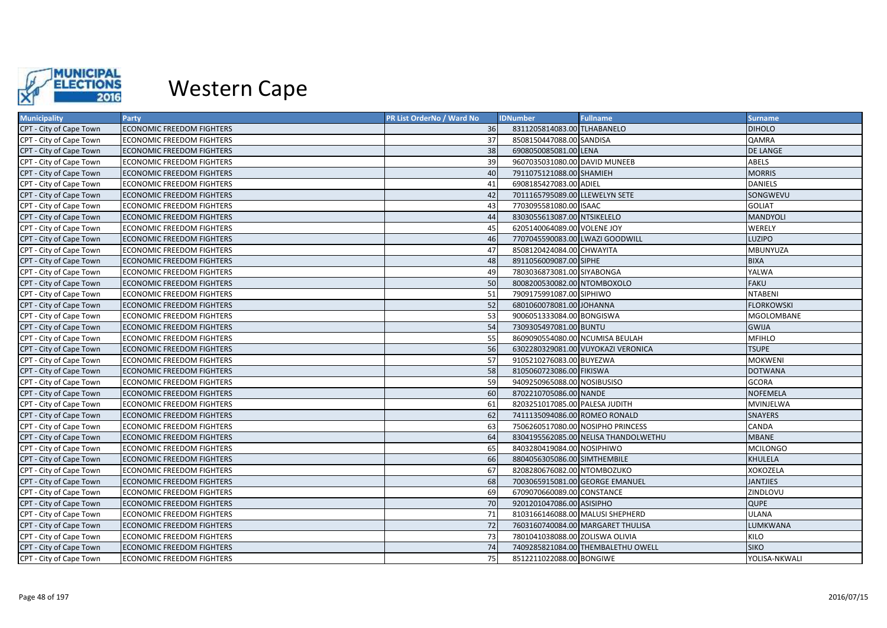

| <b>Municipality</b>     | Party                            | PR List OrderNo / Ward No | <b>IDNumber</b>                  | <b>Fullname</b>                      | <b>Surname</b>    |
|-------------------------|----------------------------------|---------------------------|----------------------------------|--------------------------------------|-------------------|
| CPT - City of Cape Town | <b>ECONOMIC FREEDOM FIGHTERS</b> | 36                        | 8311205814083.00 TLHABANELO      |                                      | <b>DIHOLO</b>     |
| CPT - City of Cape Town | ECONOMIC FREEDOM FIGHTERS        | 37                        | 8508150447088.00 SANDISA         |                                      | QAMRA             |
| CPT - City of Cape Town | <b>ECONOMIC FREEDOM FIGHTERS</b> | 38                        | 6908050085081.00 LENA            |                                      | <b>DE LANGE</b>   |
| CPT - City of Cape Town | <b>ECONOMIC FREEDOM FIGHTERS</b> | 39                        | 9607035031080.00 DAVID MUNEEB    |                                      | ABELS             |
| CPT - City of Cape Town | <b>ECONOMIC FREEDOM FIGHTERS</b> | 40                        | 7911075121088.00 SHAMIEH         |                                      | <b>MORRIS</b>     |
| CPT - City of Cape Town | <b>ECONOMIC FREEDOM FIGHTERS</b> | 41                        | 6908185427083.00 ADIEL           |                                      | <b>DANIELS</b>    |
| CPT - City of Cape Town | <b>ECONOMIC FREEDOM FIGHTERS</b> | 42                        | 7011165795089.00 LLEWELYN SETE   |                                      | SONGWEVU          |
| CPT - City of Cape Town | <b>ECONOMIC FREEDOM FIGHTERS</b> | 43                        | 7703095581080.00 ISAAC           |                                      | <b>GOLIAT</b>     |
| CPT - City of Cape Town | <b>ECONOMIC FREEDOM FIGHTERS</b> | 44                        | 8303055613087.00 NTSIKELELO      |                                      | MANDYOLI          |
| CPT - City of Cape Town | <b>ECONOMIC FREEDOM FIGHTERS</b> | 45                        | 6205140064089.00 VOLENE JOY      |                                      | WERELY            |
| CPT - City of Cape Town | <b>ECONOMIC FREEDOM FIGHTERS</b> | 46                        | 7707045590083.00 LWAZI GOODWILL  |                                      | <b>LUZIPO</b>     |
| CPT - City of Cape Town | <b>ECONOMIC FREEDOM FIGHTERS</b> | 47                        | 8508120424084.00 CHWAYITA        |                                      | <b>MBUNYUZA</b>   |
| CPT - City of Cape Town | <b>ECONOMIC FREEDOM FIGHTERS</b> | 48                        | 8911056009087.00 SIPHE           |                                      | <b>BIXA</b>       |
| CPT - City of Cape Town | <b>ECONOMIC FREEDOM FIGHTERS</b> | 49                        | 7803036873081.00 SIYABONGA       |                                      | YALWA             |
| CPT - City of Cape Town | <b>ECONOMIC FREEDOM FIGHTERS</b> | 50                        | 8008200530082.00 NTOMBOXOLO      |                                      | <b>FAKU</b>       |
| CPT - City of Cape Town | <b>ECONOMIC FREEDOM FIGHTERS</b> | 51                        | 7909175991087.00 SIPHIWO         |                                      | <b>NTABENI</b>    |
| CPT - City of Cape Town | <b>ECONOMIC FREEDOM FIGHTERS</b> | 52                        | 6801060078081.00 JOHANNA         |                                      | <b>FLORKOWSKI</b> |
| CPT - City of Cape Town | ECONOMIC FREEDOM FIGHTERS        | 53                        | 9006051333084.00 BONGISWA        |                                      | <b>MGOLOMBANE</b> |
| CPT - City of Cape Town | <b>ECONOMIC FREEDOM FIGHTERS</b> | 54                        | 7309305497081.00 BUNTU           |                                      | <b>GWIJA</b>      |
| CPT - City of Cape Town | <b>ECONOMIC FREEDOM FIGHTERS</b> | 55                        | 8609090554080.00 NCUMISA BEULAH  |                                      | <b>MFIHLO</b>     |
| CPT - City of Cape Town | <b>ECONOMIC FREEDOM FIGHTERS</b> | 56                        |                                  | 6302280329081.00 VUYOKAZI VERONICA   | <b>TSUPE</b>      |
| CPT - City of Cape Town | <b>ECONOMIC FREEDOM FIGHTERS</b> | 57                        | 9105210276083.00 BUYEZWA         |                                      | <b>MOKWENI</b>    |
| CPT - City of Cape Town | <b>ECONOMIC FREEDOM FIGHTERS</b> | 58                        | 8105060723086.00 FIKISWA         |                                      | <b>DOTWANA</b>    |
| CPT - City of Cape Town | <b>ECONOMIC FREEDOM FIGHTERS</b> | 59                        | 9409250965088.00 NOSIBUSISO      |                                      | <b>GCORA</b>      |
| CPT - City of Cape Town | <b>ECONOMIC FREEDOM FIGHTERS</b> | 60                        | 8702210705086.00 NANDE           |                                      | <b>NOFEMELA</b>   |
| CPT - City of Cape Town | <b>ECONOMIC FREEDOM FIGHTERS</b> | 61                        | 8203251017085.00 PALESA JUDITH   |                                      | MVINJELWA         |
| CPT - City of Cape Town | <b>ECONOMIC FREEDOM FIGHTERS</b> | 62                        | 7411135094086.00 ROMEO RONALD    |                                      | <b>SNAYERS</b>    |
| CPT - City of Cape Town | ECONOMIC FREEDOM FIGHTERS        | 63                        |                                  | 7506260517080.00 NOSIPHO PRINCESS    | CANDA             |
| CPT - City of Cape Town | <b>ECONOMIC FREEDOM FIGHTERS</b> | 64                        |                                  | 8304195562085.00 NELISA THANDOLWETHU | <b>MBANE</b>      |
| CPT - City of Cape Town | <b>ECONOMIC FREEDOM FIGHTERS</b> | 65                        | 8403280419084.00 NOSIPHIWO       |                                      | <b>MCILONGO</b>   |
| CPT - City of Cape Town | <b>ECONOMIC FREEDOM FIGHTERS</b> | 66                        | 8804056305086.00 SIMTHEMBILE     |                                      | <b>KHULELA</b>    |
| CPT - City of Cape Town | <b>ECONOMIC FREEDOM FIGHTERS</b> | 67                        | 8208280676082.00 NTOMBOZUKO      |                                      | <b>XOKOZELA</b>   |
| CPT - City of Cape Town | <b>ECONOMIC FREEDOM FIGHTERS</b> | 68                        |                                  | 7003065915081.00 GEORGE EMANUEL      | <b>JANTJIES</b>   |
| CPT - City of Cape Town | <b>ECONOMIC FREEDOM FIGHTERS</b> | 69                        | 6709070660089.00 CONSTANCE       |                                      | ZINDLOVU          |
| CPT - City of Cape Town | <b>ECONOMIC FREEDOM FIGHTERS</b> | 70                        | 9201201047086.00 ASISIPHO        |                                      | <b>QUPE</b>       |
| CPT - City of Cape Town | <b>ECONOMIC FREEDOM FIGHTERS</b> | 71                        | 8103166146088.00 MALUSI SHEPHERD |                                      | <b>ULANA</b>      |
| CPT - City of Cape Town | <b>ECONOMIC FREEDOM FIGHTERS</b> | 72                        |                                  | 7603160740084.00 MARGARET THULISA    | LUMKWANA          |
| CPT - City of Cape Town | <b>ECONOMIC FREEDOM FIGHTERS</b> | 73                        | 7801041038088.00 ZOLISWA OLIVIA  |                                      | KILO              |
| CPT - City of Cape Town | <b>ECONOMIC FREEDOM FIGHTERS</b> | 74                        |                                  | 7409285821084.00 THEMBALETHU OWELL   | <b>SIKO</b>       |
| CPT - City of Cape Town | <b>ECONOMIC FREEDOM FIGHTERS</b> | 75                        | 8512211022088.00 BONGIWE         |                                      | YOLISA-NKWALI     |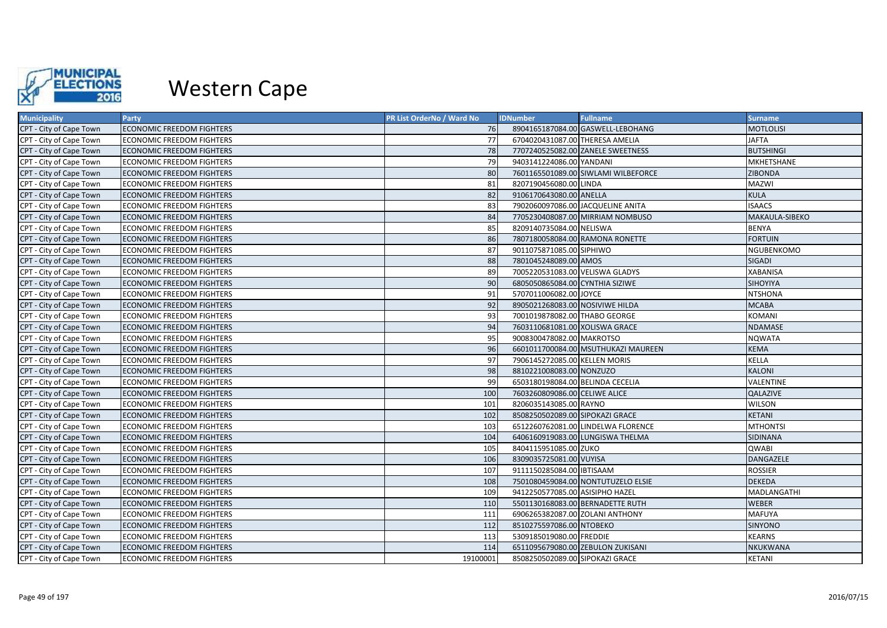

| <b>Municipality</b>     | Party                            | PR List OrderNo / Ward No | <b>IDNumber</b>                   | <b>Fullname</b>                     | <b>Surname</b>    |
|-------------------------|----------------------------------|---------------------------|-----------------------------------|-------------------------------------|-------------------|
| CPT - City of Cape Town | <b>ECONOMIC FREEDOM FIGHTERS</b> | 76                        |                                   | 8904165187084.00 GASWELL-LEBOHANG   | <b>MOTLOLISI</b>  |
| CPT - City of Cape Town | ECONOMIC FREEDOM FIGHTERS        | 77                        | 6704020431087.00 THERESA AMELIA   |                                     | <b>JAFTA</b>      |
| CPT - City of Cape Town | <b>ECONOMIC FREEDOM FIGHTERS</b> | 78                        |                                   | 7707240525082.00 ZANELE SWEETNESS   | <b>BUTSHINGI</b>  |
| CPT - City of Cape Town | <b>ECONOMIC FREEDOM FIGHTERS</b> | 79                        | 9403141224086.00 YANDANI          |                                     | MKHETSHANE        |
| CPT - City of Cape Town | <b>ECONOMIC FREEDOM FIGHTERS</b> | 80                        |                                   | 7601165501089.00 SIWLAMI WILBEFORCE | <b>ZIBONDA</b>    |
| CPT - City of Cape Town | <b>ECONOMIC FREEDOM FIGHTERS</b> | 81                        | 8207190456080.00 LINDA            |                                     | <b>MAZWI</b>      |
| CPT - City of Cape Town | <b>ECONOMIC FREEDOM FIGHTERS</b> | 82                        | 9106170643080.00 ANELLA           |                                     | <b>KULA</b>       |
| CPT - City of Cape Town | <b>ECONOMIC FREEDOM FIGHTERS</b> | 83                        | 7902060097086.00 JACQUELINE ANITA |                                     | <b>ISAACS</b>     |
| CPT - City of Cape Town | <b>ECONOMIC FREEDOM FIGHTERS</b> | 84                        |                                   | 7705230408087.00 MIRRIAM NOMBUSO    | MAKAULA-SIBEKO    |
| CPT - City of Cape Town | <b>ECONOMIC FREEDOM FIGHTERS</b> | 85                        | 8209140735084.00 NELISWA          |                                     | <b>BENYA</b>      |
| CPT - City of Cape Town | <b>ECONOMIC FREEDOM FIGHTERS</b> | 86                        |                                   | 7807180058084.00 RAMONA RONETTE     | <b>FORTUIN</b>    |
| CPT - City of Cape Town | <b>ECONOMIC FREEDOM FIGHTERS</b> | 87                        | 9011075871085.00 SIPHIWO          |                                     | <b>NGUBENKOMO</b> |
| CPT - City of Cape Town | <b>ECONOMIC FREEDOM FIGHTERS</b> | 88                        | 7801045248089.00 AMOS             |                                     | <b>SIGADI</b>     |
| CPT - City of Cape Town | <b>ECONOMIC FREEDOM FIGHTERS</b> | 89                        | 7005220531083.00 VELISWA GLADYS   |                                     | <b>XABANISA</b>   |
| CPT - City of Cape Town | <b>ECONOMIC FREEDOM FIGHTERS</b> | 90                        | 6805050865084.00 CYNTHIA SIZIWE   |                                     | SIHOYIYA          |
| CPT - City of Cape Town | <b>ECONOMIC FREEDOM FIGHTERS</b> | 91                        | 5707011006082.00 JOYCE            |                                     | <b>NTSHONA</b>    |
| CPT - City of Cape Town | <b>ECONOMIC FREEDOM FIGHTERS</b> | 92                        | 8905021268083.00 NOSIVIWE HILDA   |                                     | <b>MCABA</b>      |
| CPT - City of Cape Town | ECONOMIC FREEDOM FIGHTERS        | 93                        | 7001019878082.00 THABO GEORGE     |                                     | KOMANI            |
| CPT - City of Cape Town | <b>ECONOMIC FREEDOM FIGHTERS</b> | 94                        | 7603110681081.00 XOLISWA GRACE    |                                     | <b>NDAMASE</b>    |
| CPT - City of Cape Town | <b>ECONOMIC FREEDOM FIGHTERS</b> | 95                        | 9008300478082.00 MAKROTSO         |                                     | <b>NQWATA</b>     |
| CPT - City of Cape Town | <b>ECONOMIC FREEDOM FIGHTERS</b> | 96                        |                                   | 6601011700084.00 MSUTHUKAZI MAUREEN | <b>KEMA</b>       |
| CPT - City of Cape Town | <b>ECONOMIC FREEDOM FIGHTERS</b> | 97                        | 7906145272085.00 KELLEN MORIS     |                                     | <b>KELLA</b>      |
| CPT - City of Cape Town | <b>ECONOMIC FREEDOM FIGHTERS</b> | 98                        | 8810221008083.00 NONZUZO          |                                     | <b>KALONI</b>     |
| CPT - City of Cape Town | <b>ECONOMIC FREEDOM FIGHTERS</b> | 99                        | 6503180198084.00 BELINDA CECELIA  |                                     | VALENTINE         |
| CPT - City of Cape Town | <b>ECONOMIC FREEDOM FIGHTERS</b> | 100                       | 7603260809086.00 CELIWE ALICE     |                                     | QALAZIVE          |
| CPT - City of Cape Town | <b>ECONOMIC FREEDOM FIGHTERS</b> | 101                       | 8206035143085.00 RAYNO            |                                     | <b>WILSON</b>     |
| CPT - City of Cape Town | <b>ECONOMIC FREEDOM FIGHTERS</b> | 102                       | 8508250502089.00 SIPOKAZI GRACE   |                                     | <b>KETANI</b>     |
| CPT - City of Cape Town | ECONOMIC FREEDOM FIGHTERS        | 103                       |                                   | 6512260762081.00 LINDELWA FLORENCE  | <b>MTHONTSI</b>   |
| CPT - City of Cape Town | <b>ECONOMIC FREEDOM FIGHTERS</b> | 104                       |                                   | 6406160919083.00 LUNGISWA THELMA    | <b>SIDINANA</b>   |
| CPT - City of Cape Town | <b>ECONOMIC FREEDOM FIGHTERS</b> | 105                       | 8404115951085.00 ZUKO             |                                     | <b>QWABI</b>      |
| CPT - City of Cape Town | <b>ECONOMIC FREEDOM FIGHTERS</b> | 106                       | 8309035725081.00 VUYISA           |                                     | DANGAZELE         |
| CPT - City of Cape Town | <b>ECONOMIC FREEDOM FIGHTERS</b> | 107                       | 9111150285084.00 IBTISAAM         |                                     | <b>ROSSIER</b>    |
| CPT - City of Cape Town | <b>ECONOMIC FREEDOM FIGHTERS</b> | 108                       |                                   | 7501080459084.00 NONTUTUZELO ELSIE  | <b>DEKEDA</b>     |
| CPT - City of Cape Town | <b>ECONOMIC FREEDOM FIGHTERS</b> | 109                       | 9412250577085.00 ASISIPHO HAZEL   |                                     | MADLANGATHI       |
| CPT - City of Cape Town | <b>ECONOMIC FREEDOM FIGHTERS</b> | 110                       | 5501130168083.00 BERNADETTE RUTH  |                                     | <b>WEBER</b>      |
| CPT - City of Cape Town | <b>ECONOMIC FREEDOM FIGHTERS</b> | 111                       | 6906265382087.00 ZOLANI ANTHONY   |                                     | <b>MAFUYA</b>     |
| CPT - City of Cape Town | <b>ECONOMIC FREEDOM FIGHTERS</b> | 112                       | 8510275597086.00 NTOBEKO          |                                     | <b>SINYONO</b>    |
| CPT - City of Cape Town | <b>ECONOMIC FREEDOM FIGHTERS</b> | 113                       | 5309185019080.00 FREDDIE          |                                     | <b>KEARNS</b>     |
| CPT - City of Cape Town | <b>ECONOMIC FREEDOM FIGHTERS</b> | 114                       |                                   | 6511095679080.00 ZEBULON ZUKISANI   | <b>NKUKWANA</b>   |
| CPT - City of Cape Town | <b>ECONOMIC FREEDOM FIGHTERS</b> | 19100001                  | 8508250502089.00 SIPOKAZI GRACE   |                                     | <b>KETANI</b>     |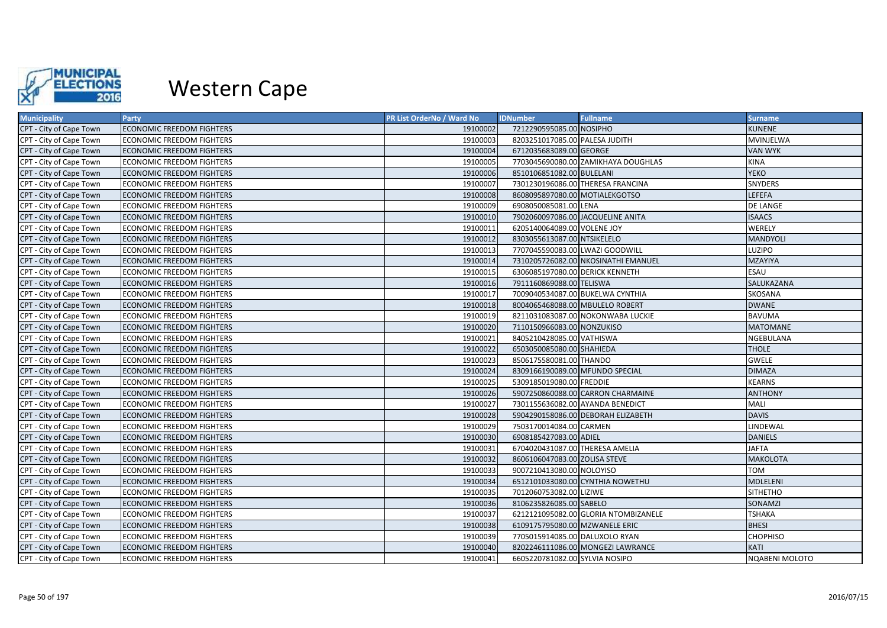

| <b>Municipality</b>     | Party                            | PR List OrderNo / Ward No | <b>IDNumber</b>                   | <b>Fullname</b>                      | <b>Surname</b>  |
|-------------------------|----------------------------------|---------------------------|-----------------------------------|--------------------------------------|-----------------|
| CPT - City of Cape Town | <b>ECONOMIC FREEDOM FIGHTERS</b> | 19100002                  | 7212290595085.00 NOSIPHO          |                                      | <b>KUNENE</b>   |
| CPT - City of Cape Town | ECONOMIC FREEDOM FIGHTERS        | 19100003                  | 8203251017085.00 PALESA JUDITH    |                                      | MVINJELWA       |
| CPT - City of Cape Town | <b>ECONOMIC FREEDOM FIGHTERS</b> | 19100004                  | 6712035683089.00 GEORGE           |                                      | <b>VAN WYK</b>  |
| CPT - City of Cape Town | <b>ECONOMIC FREEDOM FIGHTERS</b> | 19100005                  |                                   | 7703045690080.00 ZAMIKHAYA DOUGHLAS  | KINA            |
| CPT - City of Cape Town | <b>ECONOMIC FREEDOM FIGHTERS</b> | 19100006                  | 8510106851082.00 BULELANI         |                                      | <b>YEKO</b>     |
| CPT - City of Cape Town | <b>ECONOMIC FREEDOM FIGHTERS</b> | 19100007                  |                                   | 7301230196086.00 THERESA FRANCINA    | <b>SNYDERS</b>  |
| CPT - City of Cape Town | <b>ECONOMIC FREEDOM FIGHTERS</b> | 19100008                  | 8608095897080.00 MOTIALEKGOTSO    |                                      | <b>LEFEFA</b>   |
| CPT - City of Cape Town | <b>ECONOMIC FREEDOM FIGHTERS</b> | 19100009                  | 6908050085081.00 LENA             |                                      | <b>DE LANGE</b> |
| CPT - City of Cape Town | <b>ECONOMIC FREEDOM FIGHTERS</b> | 19100010                  | 7902060097086.00 JACQUELINE ANITA |                                      | <b>ISAACS</b>   |
| CPT - City of Cape Town | <b>ECONOMIC FREEDOM FIGHTERS</b> | 19100011                  | 6205140064089.00 VOLENE JOY       |                                      | WERELY          |
| CPT - City of Cape Town | <b>ECONOMIC FREEDOM FIGHTERS</b> | 19100012                  | 8303055613087.00 NTSIKELELO       |                                      | MANDYOLI        |
| CPT - City of Cape Town | <b>ECONOMIC FREEDOM FIGHTERS</b> | 19100013                  | 7707045590083.00 LWAZI GOODWILL   |                                      | LUZIPO          |
| CPT - City of Cape Town | <b>ECONOMIC FREEDOM FIGHTERS</b> | 19100014                  |                                   | 7310205726082.00 NKOSINATHI EMANUEL  | <b>MZAYIYA</b>  |
| CPT - City of Cape Town | <b>ECONOMIC FREEDOM FIGHTERS</b> | 19100015                  | 6306085197080.00 DERICK KENNETH   |                                      | ESAU            |
| CPT - City of Cape Town | <b>ECONOMIC FREEDOM FIGHTERS</b> | 19100016                  | 7911160869088.00 TELISWA          |                                      | SALUKAZANA      |
| CPT - City of Cape Town | <b>ECONOMIC FREEDOM FIGHTERS</b> | 19100017                  | 7009040534087.00 BUKELWA CYNTHIA  |                                      | SKOSANA         |
| CPT - City of Cape Town | <b>ECONOMIC FREEDOM FIGHTERS</b> | 19100018                  | 8004065468088.00 MBULELO ROBERT   |                                      | <b>DWANE</b>    |
| CPT - City of Cape Town | <b>ECONOMIC FREEDOM FIGHTERS</b> | 19100019                  |                                   | 8211031083087.00 NOKONWABA LUCKIE    | <b>BAVUMA</b>   |
| CPT - City of Cape Town | <b>ECONOMIC FREEDOM FIGHTERS</b> | 19100020                  | 7110150966083.00 NONZUKISO        |                                      | <b>MATOMANE</b> |
| CPT - City of Cape Town | <b>ECONOMIC FREEDOM FIGHTERS</b> | 19100021                  | 8405210428085.00 VATHISWA         |                                      | NGEBULANA       |
| CPT - City of Cape Town | <b>ECONOMIC FREEDOM FIGHTERS</b> | 19100022                  | 6503050085080.00 SHAHIEDA         |                                      | <b>THOLE</b>    |
| CPT - City of Cape Town | <b>ECONOMIC FREEDOM FIGHTERS</b> | 19100023                  | 8506175580081.00 THANDO           |                                      | <b>GWELE</b>    |
| CPT - City of Cape Town | <b>ECONOMIC FREEDOM FIGHTERS</b> | 19100024                  | 8309166190089.00 MFUNDO SPECIAL   |                                      | <b>DIMAZA</b>   |
| CPT - City of Cape Town | <b>ECONOMIC FREEDOM FIGHTERS</b> | 19100025                  | 5309185019080.00 FREDDIE          |                                      | <b>KEARNS</b>   |
| CPT - City of Cape Town | <b>ECONOMIC FREEDOM FIGHTERS</b> | 19100026                  |                                   | 5907250860088.00 CARRON CHARMAINE    | <b>ANTHONY</b>  |
| CPT - City of Cape Town | <b>ECONOMIC FREEDOM FIGHTERS</b> | 19100027                  | 7301155636082.00 AYANDA BENEDICT  |                                      | MALI            |
| CPT - City of Cape Town | <b>ECONOMIC FREEDOM FIGHTERS</b> | 19100028                  |                                   | 5904290158086.00 DEBORAH ELIZABETH   | <b>DAVIS</b>    |
| CPT - City of Cape Town | <b>ECONOMIC FREEDOM FIGHTERS</b> | 19100029                  | 7503170014084.00 CARMEN           |                                      | LINDEWAL        |
| CPT - City of Cape Town | <b>ECONOMIC FREEDOM FIGHTERS</b> | 19100030                  | 6908185427083.00 ADIEL            |                                      | <b>DANIELS</b>  |
| CPT - City of Cape Town | <b>ECONOMIC FREEDOM FIGHTERS</b> | 19100031                  | 6704020431087.00 THERESA AMELIA   |                                      | <b>JAFTA</b>    |
| CPT - City of Cape Town | <b>ECONOMIC FREEDOM FIGHTERS</b> | 19100032                  | 8606106047083.00 ZOLISA STEVE     |                                      | <b>MAKOLOTA</b> |
| CPT - City of Cape Town | <b>ECONOMIC FREEDOM FIGHTERS</b> | 19100033                  | 9007210413080.00 NOLOYISO         |                                      | том             |
| CPT - City of Cape Town | <b>ECONOMIC FREEDOM FIGHTERS</b> | 19100034                  |                                   | 6512101033080.00 CYNTHIA NOWETHU     | MDLELENI        |
| CPT - City of Cape Town | <b>ECONOMIC FREEDOM FIGHTERS</b> | 19100035                  | 7012060753082.00 LIZIWE           |                                      | <b>SITHETHO</b> |
| CPT - City of Cape Town | <b>ECONOMIC FREEDOM FIGHTERS</b> | 19100036                  | 8106235826085.00 SABELO           |                                      | SONAMZI         |
| CPT - City of Cape Town | <b>ECONOMIC FREEDOM FIGHTERS</b> | 19100037                  |                                   | 6212121095082.00 GLORIA NTOMBIZANELE | TSHAKA          |
| CPT - City of Cape Town | <b>ECONOMIC FREEDOM FIGHTERS</b> | 19100038                  | 6109175795080.00 MZWANELE ERIC    |                                      | <b>BHESI</b>    |
| CPT - City of Cape Town | <b>ECONOMIC FREEDOM FIGHTERS</b> | 19100039                  | 7705015914085.00 DALUXOLO RYAN    |                                      | <b>CHOPHISO</b> |
| CPT - City of Cape Town | <b>ECONOMIC FREEDOM FIGHTERS</b> | 19100040                  |                                   | 8202246111086.00 MONGEZI LAWRANCE    | KATI            |
| CPT - City of Cape Town | <b>ECONOMIC FREEDOM FIGHTERS</b> | 19100041                  | 6605220781082.00 SYLVIA NOSIPO    |                                      | NQABENI MOLOTO  |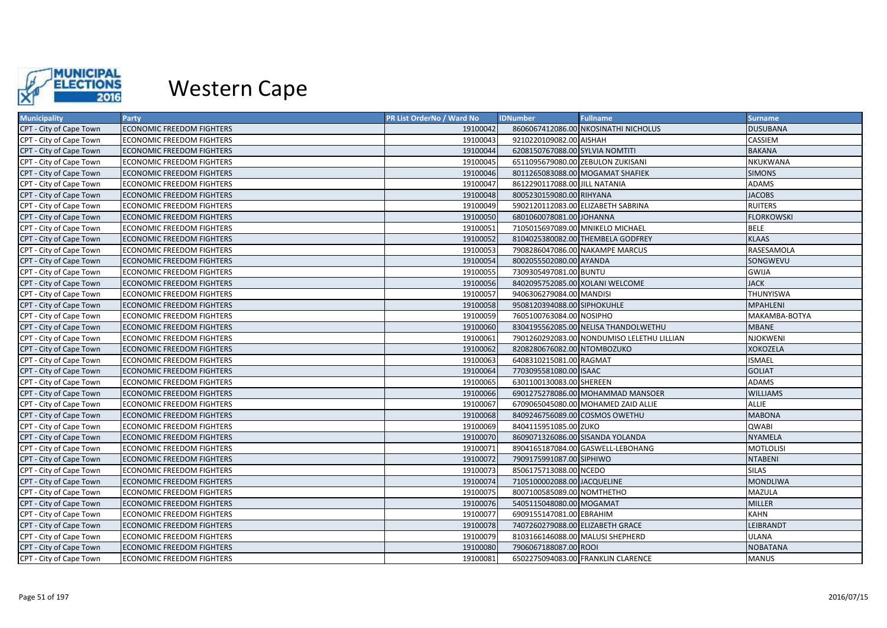

| <b>Municipality</b>     | Party                            | PR List OrderNo / Ward No | <b>IDNumber</b>                   | <b>Fullname</b>                            | <b>Surname</b>    |
|-------------------------|----------------------------------|---------------------------|-----------------------------------|--------------------------------------------|-------------------|
| CPT - City of Cape Town | <b>ECONOMIC FREEDOM FIGHTERS</b> | 19100042                  |                                   | 8606067412086.00 NKOSINATHI NICHOLUS       | <b>DUSUBANA</b>   |
| CPT - City of Cape Town | <b>ECONOMIC FREEDOM FIGHTERS</b> | 19100043                  | 9210220109082.00 AISHAH           |                                            | CASSIEM           |
| CPT - City of Cape Town | <b>ECONOMIC FREEDOM FIGHTERS</b> | 19100044                  | 6208150767088.00 SYLVIA NOMTITI   |                                            | <b>BAKANA</b>     |
| CPT - City of Cape Town | <b>ECONOMIC FREEDOM FIGHTERS</b> | 19100045                  | 6511095679080.00 ZEBULON ZUKISANI |                                            | NKUKWANA          |
| CPT - City of Cape Town | <b>ECONOMIC FREEDOM FIGHTERS</b> | 19100046                  |                                   | 8011265083088.00 MOGAMAT SHAFIEK           | <b>SIMONS</b>     |
| CPT - City of Cape Town | <b>ECONOMIC FREEDOM FIGHTERS</b> | 19100047                  | 8612290117088.00 JILL NATANIA     |                                            | <b>ADAMS</b>      |
| CPT - City of Cape Town | <b>ECONOMIC FREEDOM FIGHTERS</b> | 19100048                  | 8005230159080.00 RIHYANA          |                                            | <b>JACOBS</b>     |
| CPT - City of Cape Town | <b>ECONOMIC FREEDOM FIGHTERS</b> | 19100049                  |                                   | 5902120112083.00 ELIZABETH SABRINA         | <b>RUITERS</b>    |
| CPT - City of Cape Town | <b>ECONOMIC FREEDOM FIGHTERS</b> | 19100050                  | 6801060078081.00 JOHANNA          |                                            | <b>FLORKOWSKI</b> |
| CPT - City of Cape Town | <b>ECONOMIC FREEDOM FIGHTERS</b> | 19100051                  | 7105015697089.00 MNIKELO MICHAEL  |                                            | <b>BELE</b>       |
| CPT - City of Cape Town | <b>ECONOMIC FREEDOM FIGHTERS</b> | 19100052                  |                                   | 8104025380082.00 THEMBELA GODFREY          | <b>KLAAS</b>      |
| CPT - City of Cape Town | <b>ECONOMIC FREEDOM FIGHTERS</b> | 19100053                  |                                   | 7908286047086.00 NAKAMPE MARCUS            | RASESAMOLA        |
| CPT - City of Cape Town | <b>ECONOMIC FREEDOM FIGHTERS</b> | 19100054                  | 8002055502080.00 AYANDA           |                                            | SONGWEVU          |
| CPT - City of Cape Town | <b>ECONOMIC FREEDOM FIGHTERS</b> | 19100055                  | 7309305497081.00 BUNTU            |                                            | <b>GWIJA</b>      |
| CPT - City of Cape Town | <b>ECONOMIC FREEDOM FIGHTERS</b> | 19100056                  | 8402095752085.00 XOLANI WELCOME   |                                            | <b>JACK</b>       |
| CPT - City of Cape Town | <b>ECONOMIC FREEDOM FIGHTERS</b> | 19100057                  | 9406306279084.00 MANDISI          |                                            | THUNYISWA         |
| CPT - City of Cape Town | <b>ECONOMIC FREEDOM FIGHTERS</b> | 19100058                  | 9508120394088.00 SIPHOKUHLE       |                                            | <b>MPAHLENI</b>   |
| CPT - City of Cape Town | <b>ECONOMIC FREEDOM FIGHTERS</b> | 19100059                  | 7605100763084.00 NOSIPHO          |                                            | MAKAMBA-BOTYA     |
| CPT - City of Cape Town | <b>ECONOMIC FREEDOM FIGHTERS</b> | 19100060                  |                                   | 8304195562085.00 NELISA THANDOLWETHU       | <b>MBANE</b>      |
| CPT - City of Cape Town | <b>ECONOMIC FREEDOM FIGHTERS</b> | 19100061                  |                                   | 7901260292083.00 NONDUMISO LELETHU LILLIAN | <b>NJOKWENI</b>   |
| CPT - City of Cape Town | <b>ECONOMIC FREEDOM FIGHTERS</b> | 19100062                  | 8208280676082.00 NTOMBOZUKO       |                                            | XOKOZELA          |
| CPT - City of Cape Town | <b>ECONOMIC FREEDOM FIGHTERS</b> | 19100063                  | 6408310215081.00 RAGMAT           |                                            | <b>ISMAEL</b>     |
| CPT - City of Cape Town | <b>ECONOMIC FREEDOM FIGHTERS</b> | 19100064                  | 7703095581080.00 ISAAC            |                                            | <b>GOLIAT</b>     |
| CPT - City of Cape Town | <b>ECONOMIC FREEDOM FIGHTERS</b> | 19100065                  | 6301100130083.00 SHEREEN          |                                            | <b>ADAMS</b>      |
| CPT - City of Cape Town | <b>ECONOMIC FREEDOM FIGHTERS</b> | 19100066                  |                                   | 6901275278086.00 MOHAMMAD MANSOER          | <b>WILLIAMS</b>   |
| CPT - City of Cape Town | ECONOMIC FREEDOM FIGHTERS        | 19100067                  |                                   | 6709065045080.00 MOHAMED ZAID ALLIE        | <b>ALLIE</b>      |
| CPT - City of Cape Town | <b>ECONOMIC FREEDOM FIGHTERS</b> | 19100068                  | 8409246756089.00 COSMOS OWETHU    |                                            | <b>MABONA</b>     |
| CPT - City of Cape Town | <b>ECONOMIC FREEDOM FIGHTERS</b> | 19100069                  | 8404115951085.00 ZUKO             |                                            | QWABI             |
| CPT - City of Cape Town | <b>ECONOMIC FREEDOM FIGHTERS</b> | 19100070                  | 8609071326086.00 SISANDA YOLANDA  |                                            | <b>NYAMELA</b>    |
| CPT - City of Cape Town | <b>ECONOMIC FREEDOM FIGHTERS</b> | 19100071                  |                                   | 8904165187084.00 GASWELL-LEBOHANG          | <b>MOTLOLISI</b>  |
| CPT - City of Cape Town | <b>ECONOMIC FREEDOM FIGHTERS</b> | 19100072                  | 7909175991087.00 SIPHIWO          |                                            | <b>NTABENI</b>    |
| CPT - City of Cape Town | ECONOMIC FREEDOM FIGHTERS        | 19100073                  | 8506175713088.00 NCEDO            |                                            | <b>SILAS</b>      |
| CPT - City of Cape Town | <b>ECONOMIC FREEDOM FIGHTERS</b> | 19100074                  | 7105100002088.00 JACQUELINE       |                                            | <b>MONDLIWA</b>   |
| CPT - City of Cape Town | <b>ECONOMIC FREEDOM FIGHTERS</b> | 19100075                  | 8007100585089.00 NOMTHETHO        |                                            | MAZULA            |
| CPT - City of Cape Town | <b>ECONOMIC FREEDOM FIGHTERS</b> | 19100076                  | 5405115048080.00 MOGAMAT          |                                            | <b>MILLER</b>     |
| CPT - City of Cape Town | <b>ECONOMIC FREEDOM FIGHTERS</b> | 19100077                  | 6909155147081.00 EBRAHIM          |                                            | <b>KAHN</b>       |
| CPT - City of Cape Town | <b>ECONOMIC FREEDOM FIGHTERS</b> | 19100078                  | 7407260279088.00 ELIZABETH GRACE  |                                            | LEIBRANDT         |
| CPT - City of Cape Town | <b>ECONOMIC FREEDOM FIGHTERS</b> | 19100079                  | 8103166146088.00 MALUSI SHEPHERD  |                                            | <b>ULANA</b>      |
| CPT - City of Cape Town | <b>ECONOMIC FREEDOM FIGHTERS</b> | 19100080                  | 7906067188087.00 ROOI             |                                            | <b>NOBATANA</b>   |
| CPT - City of Cape Town | <b>ECONOMIC FREEDOM FIGHTERS</b> | 19100081                  |                                   | 6502275094083.00 FRANKLIN CLARENCE         | <b>MANUS</b>      |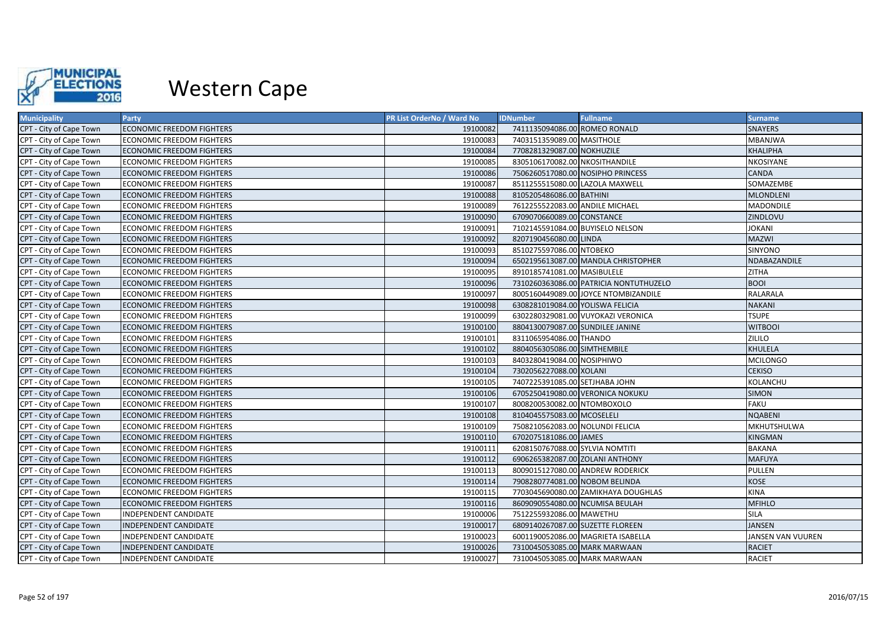

| <b>Municipality</b>     | Party                            | PR List OrderNo / Ward No | <b>IDNumber</b>                  | <b>Fullname</b>                        | <b>Surname</b>    |
|-------------------------|----------------------------------|---------------------------|----------------------------------|----------------------------------------|-------------------|
| CPT - City of Cape Town | <b>ECONOMIC FREEDOM FIGHTERS</b> | 19100082                  | 7411135094086.00 ROMEO RONALD    |                                        | <b>SNAYERS</b>    |
| CPT - City of Cape Town | ECONOMIC FREEDOM FIGHTERS        | 19100083                  | 7403151359089.00 MASITHOLE       |                                        | <b>MBANJWA</b>    |
| CPT - City of Cape Town | <b>ECONOMIC FREEDOM FIGHTERS</b> | 19100084                  | 7708281329087.00 NOKHUZILE       |                                        | <b>KHALIPHA</b>   |
| CPT - City of Cape Town | <b>ECONOMIC FREEDOM FIGHTERS</b> | 19100085                  | 8305106170082.00 NKOSITHANDILE   |                                        | <b>NKOSIYANE</b>  |
| CPT - City of Cape Town | <b>ECONOMIC FREEDOM FIGHTERS</b> | 19100086                  |                                  | 7506260517080.00 NOSIPHO PRINCESS      | <b>CANDA</b>      |
| CPT - City of Cape Town | <b>ECONOMIC FREEDOM FIGHTERS</b> | 19100087                  | 8511255515080.00 LAZOLA MAXWELL  |                                        | SOMAZEMBE         |
| CPT - City of Cape Town | <b>ECONOMIC FREEDOM FIGHTERS</b> | 19100088                  | 8105205486086.00 BATHINI         |                                        | MLONDLENI         |
| CPT - City of Cape Town | <b>ECONOMIC FREEDOM FIGHTERS</b> | 19100089                  | 7612255522083.00 ANDILE MICHAEL  |                                        | <b>MADONDILE</b>  |
| CPT - City of Cape Town | <b>ECONOMIC FREEDOM FIGHTERS</b> | 19100090                  | 6709070660089.00 CONSTANCE       |                                        | ZINDLOVU          |
| CPT - City of Cape Town | <b>ECONOMIC FREEDOM FIGHTERS</b> | 19100091                  | 7102145591084.00 BUYISELO NELSON |                                        | JOKANI            |
| CPT - City of Cape Town | <b>ECONOMIC FREEDOM FIGHTERS</b> | 19100092                  | 8207190456080.00 LINDA           |                                        | <b>MAZWI</b>      |
| CPT - City of Cape Town | <b>ECONOMIC FREEDOM FIGHTERS</b> | 19100093                  | 8510275597086.00 NTOBEKO         |                                        | <b>SINYONO</b>    |
| CPT - City of Cape Town | <b>ECONOMIC FREEDOM FIGHTERS</b> | 19100094                  |                                  | 6502195613087.00 MANDLA CHRISTOPHER    | NDABAZANDILE      |
| CPT - City of Cape Town | <b>ECONOMIC FREEDOM FIGHTERS</b> | 19100095                  | 8910185741081.00 MASIBULELE      |                                        | <b>ZITHA</b>      |
| CPT - City of Cape Town | <b>ECONOMIC FREEDOM FIGHTERS</b> | 19100096                  |                                  | 7310260363086.00 PATRICIA NONTUTHUZELO | <b>BOOI</b>       |
| CPT - City of Cape Town | <b>ECONOMIC FREEDOM FIGHTERS</b> | 19100097                  |                                  | 8005160449089.00 JOYCE NTOMBIZANDILE   | RALARALA          |
| CPT - City of Cape Town | <b>ECONOMIC FREEDOM FIGHTERS</b> | 19100098                  | 6308281019084.00 YOLISWA FELICIA |                                        | <b>NAKANI</b>     |
| CPT - City of Cape Town | ECONOMIC FREEDOM FIGHTERS        | 19100099                  |                                  | 6302280329081.00 VUYOKAZI VERONICA     | <b>TSUPE</b>      |
| CPT - City of Cape Town | <b>ECONOMIC FREEDOM FIGHTERS</b> | 19100100                  | 8804130079087.00 SUNDILEE JANINE |                                        | <b>WITBOOI</b>    |
| CPT - City of Cape Town | <b>ECONOMIC FREEDOM FIGHTERS</b> | 19100101                  | 8311065954086.00 THANDO          |                                        | ZILILO            |
| CPT - City of Cape Town | <b>ECONOMIC FREEDOM FIGHTERS</b> | 19100102                  | 8804056305086.00 SIMTHEMBILE     |                                        | KHULELA           |
| CPT - City of Cape Town | <b>ECONOMIC FREEDOM FIGHTERS</b> | 19100103                  | 8403280419084.00 NOSIPHIWO       |                                        | <b>MCILONGO</b>   |
| CPT - City of Cape Town | <b>ECONOMIC FREEDOM FIGHTERS</b> | 19100104                  | 7302056227088.00 XOLANI          |                                        | <b>CEKISO</b>     |
| CPT - City of Cape Town | <b>ECONOMIC FREEDOM FIGHTERS</b> | 19100105                  | 7407225391085.00 SETJHABA JOHN   |                                        | KOLANCHU          |
| CPT - City of Cape Town | <b>ECONOMIC FREEDOM FIGHTERS</b> | 19100106                  |                                  | 6705250419080.00 VERONICA NOKUKU       | <b>SIMON</b>      |
| CPT - City of Cape Town | <b>ECONOMIC FREEDOM FIGHTERS</b> | 19100107                  | 8008200530082.00 NTOMBOXOLO      |                                        | <b>FAKU</b>       |
| CPT - City of Cape Town | <b>ECONOMIC FREEDOM FIGHTERS</b> | 19100108                  | 8104045575083.00 MCOSELELI       |                                        | <b>NQABENI</b>    |
| CPT - City of Cape Town | ECONOMIC FREEDOM FIGHTERS        | 19100109                  | 7508210562083.00 NOLUNDI FELICIA |                                        | MKHUTSHULWA       |
| CPT - City of Cape Town | <b>ECONOMIC FREEDOM FIGHTERS</b> | 19100110                  | 6702075181086.00 JAMES           |                                        | <b>KINGMAN</b>    |
| CPT - City of Cape Town | <b>ECONOMIC FREEDOM FIGHTERS</b> | 19100111                  | 6208150767088.00 SYLVIA NOMTITI  |                                        | <b>BAKANA</b>     |
| CPT - City of Cape Town | <b>ECONOMIC FREEDOM FIGHTERS</b> | 19100112                  | 6906265382087.00 ZOLANI ANTHONY  |                                        | <b>MAFUYA</b>     |
| CPT - City of Cape Town | <b>ECONOMIC FREEDOM FIGHTERS</b> | 19100113                  |                                  | 8009015127080.00 ANDREW RODERICK       | <b>PULLEN</b>     |
| CPT - City of Cape Town | <b>ECONOMIC FREEDOM FIGHTERS</b> | 19100114                  | 7908280774081.00 NOBOM BELINDA   |                                        | KOSE              |
| CPT - City of Cape Town | <b>ECONOMIC FREEDOM FIGHTERS</b> | 19100115                  |                                  | 7703045690080.00 ZAMIKHAYA DOUGHLAS    | <b>KINA</b>       |
| CPT - City of Cape Town | <b>ECONOMIC FREEDOM FIGHTERS</b> | 19100116                  | 8609090554080.00 NCUMISA BEULAH  |                                        | <b>MFIHLO</b>     |
| CPT - City of Cape Town | INDEPENDENT CANDIDATE            | 19100006                  | 7512255932086.00 MAWETHU         |                                        | <b>SILA</b>       |
| CPT - City of Cape Town | INDEPENDENT CANDIDATE            | 19100017                  | 6809140267087.00 SUZETTE FLOREEN |                                        | <b>JANSEN</b>     |
| CPT - City of Cape Town | INDEPENDENT CANDIDATE            | 19100023                  |                                  | 6001190052086.00 MAGRIETA ISABELLA     | JANSEN VAN VUUREN |
| CPT - City of Cape Town | INDEPENDENT CANDIDATE            | 19100026                  | 7310045053085.00 MARK MARWAAN    |                                        | <b>RACIET</b>     |
| CPT - City of Cape Town | INDEPENDENT CANDIDATE            | 19100027                  | 7310045053085.00 MARK MARWAAN    |                                        | <b>RACIET</b>     |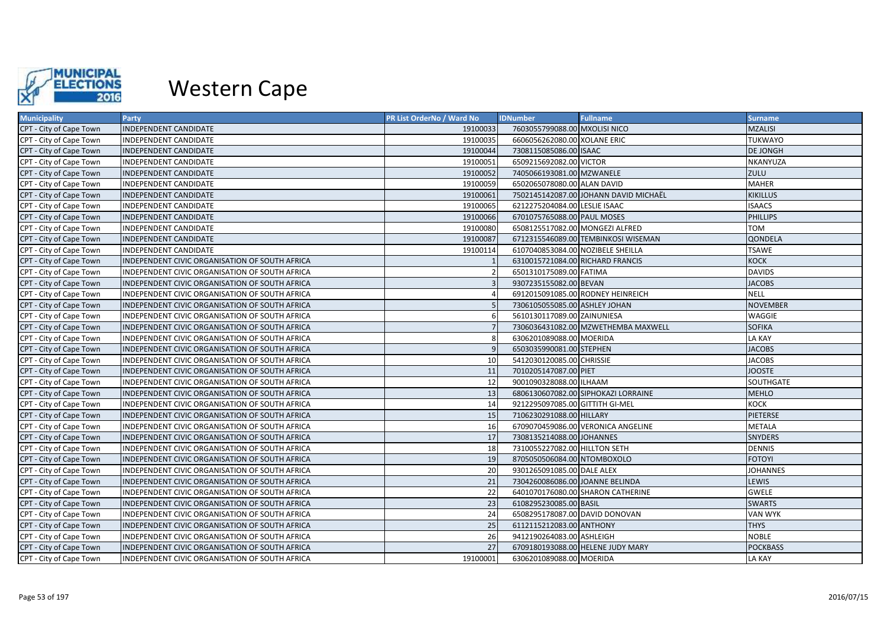

| <b>Municipality</b>     | Party                                          | PR List OrderNo / Ward No | <b>IDNumber</b>                   | <b>Fullname</b>                       | <b>Surname</b>  |
|-------------------------|------------------------------------------------|---------------------------|-----------------------------------|---------------------------------------|-----------------|
| CPT - City of Cape Town | INDEPENDENT CANDIDATE                          | 19100033                  | 7603055799088.00 MXOLISI NICO     |                                       | <b>MZALISI</b>  |
| CPT - City of Cape Town | INDEPENDENT CANDIDATE                          | 19100035                  | 6606056262080.00 XOLANE ERIC      |                                       | <b>TUKWAYO</b>  |
| CPT - City of Cape Town | INDEPENDENT CANDIDATE                          | 19100044                  | 7308115085086.00 ISAAC            |                                       | <b>DE JONGH</b> |
| CPT - City of Cape Town | INDEPENDENT CANDIDATE                          | 19100051                  | 6509215692082.00 VICTOR           |                                       | NKANYUZA        |
| CPT - City of Cape Town | INDEPENDENT CANDIDATE                          | 19100052                  | 7405066193081.00 MZWANELE         |                                       | ZULU            |
| CPT - City of Cape Town | INDEPENDENT CANDIDATE                          | 19100059                  | 6502065078080.00 ALAN DAVID       |                                       | <b>MAHER</b>    |
| CPT - City of Cape Town | INDEPENDENT CANDIDATE                          | 19100061                  |                                   | 7502145142087.00 JOHANN DAVID MICHAËL | <b>KIKILLUS</b> |
| CPT - City of Cape Town | INDEPENDENT CANDIDATE                          | 19100065                  | 6212275204084.00 LESLIE ISAAC     |                                       | <b>ISAACS</b>   |
| CPT - City of Cape Town | INDEPENDENT CANDIDATE                          | 19100066                  | 6701075765088.00 PAUL MOSES       |                                       | <b>PHILLIPS</b> |
| CPT - City of Cape Town | INDEPENDENT CANDIDATE                          | 19100080                  | 6508125517082.00 MONGEZI ALFRED   |                                       | TOM             |
| CPT - City of Cape Town | INDEPENDENT CANDIDATE                          | 19100087                  |                                   | 6712315546089.00 TEMBINKOSI WISEMAN   | QONDELA         |
| CPT - City of Cape Town | INDEPENDENT CANDIDATE                          | 19100114                  | 6107040853084.00 NOZIBELE SHEILLA |                                       | <b>TSAWE</b>    |
| CPT - City of Cape Town | INDEPENDENT CIVIC ORGANISATION OF SOUTH AFRICA |                           | 6310015721084.00 RICHARD FRANCIS  |                                       | <b>KOCK</b>     |
| CPT - City of Cape Town | INDEPENDENT CIVIC ORGANISATION OF SOUTH AFRICA |                           | 6501310175089.00 FATIMA           |                                       | <b>DAVIDS</b>   |
| CPT - City of Cape Town | INDEPENDENT CIVIC ORGANISATION OF SOUTH AFRICA |                           | 9307235155082.00 BEVAN            |                                       | <b>JACOBS</b>   |
| CPT - City of Cape Town | INDEPENDENT CIVIC ORGANISATION OF SOUTH AFRICA |                           |                                   | 6912015091085.00 RODNEY HEINREICH     | <b>NELL</b>     |
| CPT - City of Cape Town | INDEPENDENT CIVIC ORGANISATION OF SOUTH AFRICA |                           | 7306105055085.00 ASHLEY JOHAN     |                                       | <b>NOVEMBER</b> |
| CPT - City of Cape Town | INDEPENDENT CIVIC ORGANISATION OF SOUTH AFRICA |                           | 5610130117089.00 ZAINUNIESA       |                                       | WAGGIE          |
| CPT - City of Cape Town | INDEPENDENT CIVIC ORGANISATION OF SOUTH AFRICA |                           |                                   | 7306036431082.00 MZWETHEMBA MAXWELL   | <b>SOFIKA</b>   |
| CPT - City of Cape Town | INDEPENDENT CIVIC ORGANISATION OF SOUTH AFRICA |                           | 6306201089088.00 MOERIDA          |                                       | LA KAY          |
| CPT - City of Cape Town | INDEPENDENT CIVIC ORGANISATION OF SOUTH AFRICA |                           | 6503035990081.00 STEPHEN          |                                       | <b>JACOBS</b>   |
| CPT - City of Cape Town | INDEPENDENT CIVIC ORGANISATION OF SOUTH AFRICA | 10                        | 5412030120085.00 CHRISSIE         |                                       | <b>JACOBS</b>   |
| CPT - City of Cape Town | INDEPENDENT CIVIC ORGANISATION OF SOUTH AFRICA | 11                        | 7010205147087.00 PIET             |                                       | <b>JOOSTE</b>   |
| CPT - City of Cape Town | INDEPENDENT CIVIC ORGANISATION OF SOUTH AFRICA | 12                        | 9001090328088.00 ILHAAM           |                                       | SOUTHGATE       |
| CPT - City of Cape Town | INDEPENDENT CIVIC ORGANISATION OF SOUTH AFRICA | 13                        |                                   | 6806130607082.00 SIPHOKAZI LORRAINE   | <b>MEHLO</b>    |
| CPT - City of Cape Town | INDEPENDENT CIVIC ORGANISATION OF SOUTH AFRICA | 14                        | 9212295097085.00 GITTITH GI-MEL   |                                       | KOCK            |
| CPT - City of Cape Town | INDEPENDENT CIVIC ORGANISATION OF SOUTH AFRICA | 15                        | 7106230291088.00 HILLARY          |                                       | PIETERSE        |
| CPT - City of Cape Town | INDEPENDENT CIVIC ORGANISATION OF SOUTH AFRICA | 16                        |                                   | 6709070459086.00 VERONICA ANGELINE    | <b>METALA</b>   |
| CPT - City of Cape Town | INDEPENDENT CIVIC ORGANISATION OF SOUTH AFRICA | 17                        | 7308135214088.00 JOHANNES         |                                       | <b>SNYDERS</b>  |
| CPT - City of Cape Town | INDEPENDENT CIVIC ORGANISATION OF SOUTH AFRICA | 18                        | 7310055227082.00 HILLTON SETH     |                                       | <b>DENNIS</b>   |
| CPT - City of Cape Town | INDEPENDENT CIVIC ORGANISATION OF SOUTH AFRICA | 19                        | 8705050506084.00 NTOMBOXOLO       |                                       | <b>FOTOYI</b>   |
| CPT - City of Cape Town | INDEPENDENT CIVIC ORGANISATION OF SOUTH AFRICA | 20                        | 9301265091085.00 DALE ALEX        |                                       | <b>JOHANNES</b> |
| CPT - City of Cape Town | INDEPENDENT CIVIC ORGANISATION OF SOUTH AFRICA | 21                        | 7304260086086.00 JOANNE BELINDA   |                                       | LEWIS           |
| CPT - City of Cape Town | INDEPENDENT CIVIC ORGANISATION OF SOUTH AFRICA | 22                        |                                   | 6401070176080.00 SHARON CATHERINE     | <b>GWELE</b>    |
| CPT - City of Cape Town | INDEPENDENT CIVIC ORGANISATION OF SOUTH AFRICA | 23                        | 6108295230085.00 BASIL            |                                       | <b>SWARTS</b>   |
| CPT - City of Cape Town | INDEPENDENT CIVIC ORGANISATION OF SOUTH AFRICA | 24                        | 6508295178087.00 DAVID DONOVAN    |                                       | <b>VAN WYK</b>  |
| CPT - City of Cape Town | INDEPENDENT CIVIC ORGANISATION OF SOUTH AFRICA | 25                        | 6112115212083.00 ANTHONY          |                                       | <b>THYS</b>     |
| CPT - City of Cape Town | INDEPENDENT CIVIC ORGANISATION OF SOUTH AFRICA | 26                        | 9412190264083.00 ASHLEIGH         |                                       | <b>NOBLE</b>    |
| CPT - City of Cape Town | INDEPENDENT CIVIC ORGANISATION OF SOUTH AFRICA | 27                        |                                   | 6709180193088.00 HELENE JUDY MARY     | <b>POCKBASS</b> |
| CPT - City of Cape Town | INDEPENDENT CIVIC ORGANISATION OF SOUTH AFRICA | 19100001                  | 6306201089088.00 MOERIDA          |                                       | <b>LA KAY</b>   |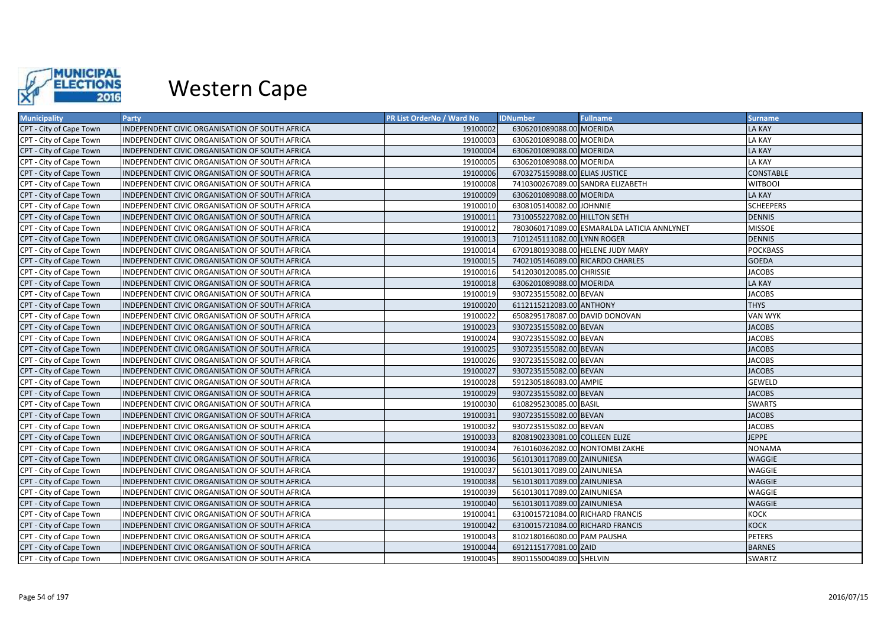

| <b>Municipality</b>     | <b>Party</b>                                   | PR List OrderNo / Ward No | <b>IDNumber</b>                  | <b>Fullname</b>                             | <b>Surname</b>   |
|-------------------------|------------------------------------------------|---------------------------|----------------------------------|---------------------------------------------|------------------|
| CPT - City of Cape Town | INDEPENDENT CIVIC ORGANISATION OF SOUTH AFRICA | 19100002                  | 6306201089088.00 MOERIDA         |                                             | <b>LA KAY</b>    |
| CPT - City of Cape Town | INDEPENDENT CIVIC ORGANISATION OF SOUTH AFRICA | 19100003                  | 6306201089088.00 MOERIDA         |                                             | <b>LA KAY</b>    |
| CPT - City of Cape Town | INDEPENDENT CIVIC ORGANISATION OF SOUTH AFRICA | 19100004                  | 6306201089088.00 MOERIDA         |                                             | <b>LA KAY</b>    |
| CPT - City of Cape Town | INDEPENDENT CIVIC ORGANISATION OF SOUTH AFRICA | 19100005                  | 6306201089088.00 MOERIDA         |                                             | LA KAY           |
| CPT - City of Cape Town | INDEPENDENT CIVIC ORGANISATION OF SOUTH AFRICA | 19100006                  | 6703275159088.00 ELIAS JUSTICE   |                                             | <b>CONSTABLE</b> |
| CPT - City of Cape Town | INDEPENDENT CIVIC ORGANISATION OF SOUTH AFRICA | 19100008                  |                                  | 7410300267089.00 SANDRA ELIZABETH           | <b>WITBOOI</b>   |
| CPT - City of Cape Town | INDEPENDENT CIVIC ORGANISATION OF SOUTH AFRICA | 19100009                  | 6306201089088.00 MOERIDA         |                                             | <b>LA KAY</b>    |
| CPT - City of Cape Town | INDEPENDENT CIVIC ORGANISATION OF SOUTH AFRICA | 19100010                  | 6308105140082.00 JOHNNIE         |                                             | <b>SCHEEPERS</b> |
| CPT - City of Cape Town | INDEPENDENT CIVIC ORGANISATION OF SOUTH AFRICA | 19100011                  | 7310055227082.00 HILLTON SETH    |                                             | <b>DENNIS</b>    |
| CPT - City of Cape Town | INDEPENDENT CIVIC ORGANISATION OF SOUTH AFRICA | 19100012                  |                                  | 7803060171089.00 ESMARALDA LATICIA ANNLYNET | <b>MISSOE</b>    |
| CPT - City of Cape Town | INDEPENDENT CIVIC ORGANISATION OF SOUTH AFRICA | 19100013                  | 7101245111082.00 LYNN ROGER      |                                             | <b>DENNIS</b>    |
| CPT - City of Cape Town | INDEPENDENT CIVIC ORGANISATION OF SOUTH AFRICA | 19100014                  |                                  | 6709180193088.00 HELENE JUDY MARY           | <b>POCKBASS</b>  |
| CPT - City of Cape Town | INDEPENDENT CIVIC ORGANISATION OF SOUTH AFRICA | 19100015                  | 7402105146089.00 RICARDO CHARLES |                                             | <b>GOEDA</b>     |
| CPT - City of Cape Town | INDEPENDENT CIVIC ORGANISATION OF SOUTH AFRICA | 19100016                  | 5412030120085.00 CHRISSIE        |                                             | <b>JACOBS</b>    |
| CPT - City of Cape Town | INDEPENDENT CIVIC ORGANISATION OF SOUTH AFRICA | 19100018                  | 6306201089088.00 MOERIDA         |                                             | <b>LA KAY</b>    |
| CPT - City of Cape Town | INDEPENDENT CIVIC ORGANISATION OF SOUTH AFRICA | 19100019                  | 9307235155082.00 BEVAN           |                                             | <b>JACOBS</b>    |
| CPT - City of Cape Town | INDEPENDENT CIVIC ORGANISATION OF SOUTH AFRICA | 19100020                  | 6112115212083.00 ANTHONY         |                                             | <b>THYS</b>      |
| CPT - City of Cape Town | INDEPENDENT CIVIC ORGANISATION OF SOUTH AFRICA | 19100022                  | 6508295178087.00 DAVID DONOVAN   |                                             | <b>VAN WYK</b>   |
| CPT - City of Cape Town | INDEPENDENT CIVIC ORGANISATION OF SOUTH AFRICA | 19100023                  | 9307235155082.00 BEVAN           |                                             | <b>JACOBS</b>    |
| CPT - City of Cape Town | INDEPENDENT CIVIC ORGANISATION OF SOUTH AFRICA | 19100024                  | 9307235155082.00 BEVAN           |                                             | <b>JACOBS</b>    |
| CPT - City of Cape Town | INDEPENDENT CIVIC ORGANISATION OF SOUTH AFRICA | 19100025                  | 9307235155082.00 BEVAN           |                                             | <b>JACOBS</b>    |
| CPT - City of Cape Town | INDEPENDENT CIVIC ORGANISATION OF SOUTH AFRICA | 19100026                  | 9307235155082.00 BEVAN           |                                             | <b>JACOBS</b>    |
| CPT - City of Cape Town | INDEPENDENT CIVIC ORGANISATION OF SOUTH AFRICA | 19100027                  | 9307235155082.00 BEVAN           |                                             | <b>JACOBS</b>    |
| CPT - City of Cape Town | INDEPENDENT CIVIC ORGANISATION OF SOUTH AFRICA | 19100028                  | 5912305186083.00 AMPIE           |                                             | <b>GEWELD</b>    |
| CPT - City of Cape Town | INDEPENDENT CIVIC ORGANISATION OF SOUTH AFRICA | 19100029                  | 9307235155082.00 BEVAN           |                                             | <b>JACOBS</b>    |
| CPT - City of Cape Town | INDEPENDENT CIVIC ORGANISATION OF SOUTH AFRICA | 19100030                  | 6108295230085.00 BASIL           |                                             | <b>SWARTS</b>    |
| CPT - City of Cape Town | INDEPENDENT CIVIC ORGANISATION OF SOUTH AFRICA | 19100031                  | 9307235155082.00 BEVAN           |                                             | <b>JACOBS</b>    |
| CPT - City of Cape Town | INDEPENDENT CIVIC ORGANISATION OF SOUTH AFRICA | 19100032                  | 9307235155082.00 BEVAN           |                                             | <b>JACOBS</b>    |
| CPT - City of Cape Town | INDEPENDENT CIVIC ORGANISATION OF SOUTH AFRICA | 19100033                  | 8208190233081.00 COLLEEN ELIZE   |                                             | <b>JEPPE</b>     |
| CPT - City of Cape Town | INDEPENDENT CIVIC ORGANISATION OF SOUTH AFRICA | 19100034                  | 7610160362082.00 NONTOMBI ZAKHE  |                                             | <b>NONAMA</b>    |
| CPT - City of Cape Town | INDEPENDENT CIVIC ORGANISATION OF SOUTH AFRICA | 19100036                  | 5610130117089.00 ZAINUNIESA      |                                             | <b>WAGGIE</b>    |
| CPT - City of Cape Town | INDEPENDENT CIVIC ORGANISATION OF SOUTH AFRICA | 19100037                  | 5610130117089.00 ZAINUNIESA      |                                             | WAGGIE           |
| CPT - City of Cape Town | INDEPENDENT CIVIC ORGANISATION OF SOUTH AFRICA | 19100038                  | 5610130117089.00 ZAINUNIESA      |                                             | <b>WAGGIE</b>    |
| CPT - City of Cape Town | INDEPENDENT CIVIC ORGANISATION OF SOUTH AFRICA | 19100039                  | 5610130117089.00 ZAINUNIESA      |                                             | WAGGIE           |
| CPT - City of Cape Town | INDEPENDENT CIVIC ORGANISATION OF SOUTH AFRICA | 19100040                  | 5610130117089.00 ZAINUNIESA      |                                             | <b>WAGGIE</b>    |
| CPT - City of Cape Town | INDEPENDENT CIVIC ORGANISATION OF SOUTH AFRICA | 19100041                  | 6310015721084.00 RICHARD FRANCIS |                                             | <b>KOCK</b>      |
| CPT - City of Cape Town | INDEPENDENT CIVIC ORGANISATION OF SOUTH AFRICA | 19100042                  | 6310015721084.00 RICHARD FRANCIS |                                             | <b>KOCK</b>      |
| CPT - City of Cape Town | INDEPENDENT CIVIC ORGANISATION OF SOUTH AFRICA | 19100043                  | 8102180166080.00 PAM PAUSHA      |                                             | <b>PETERS</b>    |
| CPT - City of Cape Town | INDEPENDENT CIVIC ORGANISATION OF SOUTH AFRICA | 19100044                  | 6912115177081.00 ZAID            |                                             | <b>BARNES</b>    |
| CPT - City of Cape Town | INDEPENDENT CIVIC ORGANISATION OF SOUTH AFRICA | 19100045                  | 8901155004089.00 SHELVIN         |                                             | SWARTZ           |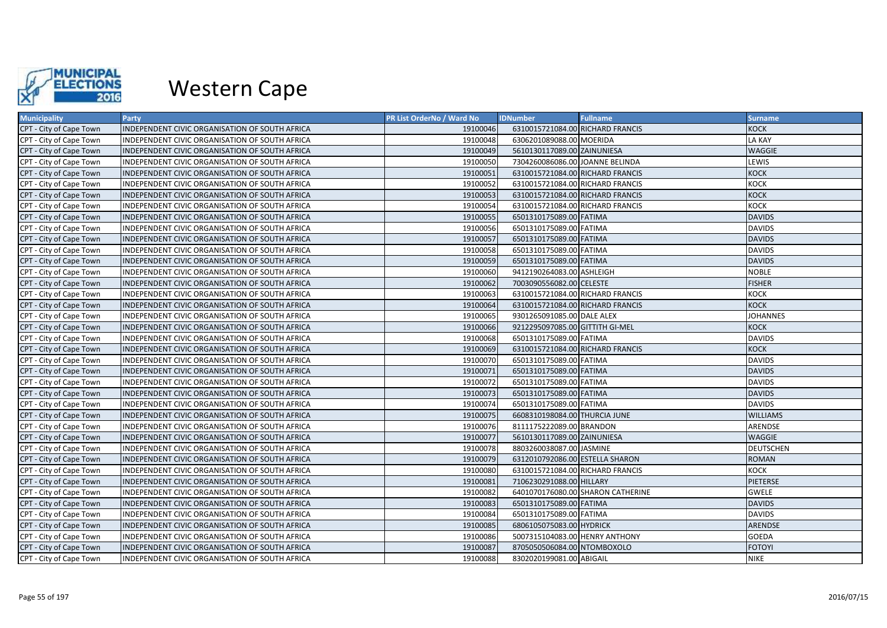

| <b>Municipality</b>     | Party                                          | PR List OrderNo / Ward No | <b>IDNumber</b>                  | <b>Fullname</b>                   | <b>Surname</b>   |
|-------------------------|------------------------------------------------|---------------------------|----------------------------------|-----------------------------------|------------------|
| CPT - City of Cape Town | INDEPENDENT CIVIC ORGANISATION OF SOUTH AFRICA | 19100046                  | 6310015721084.00 RICHARD FRANCIS |                                   | <b>KOCK</b>      |
| CPT - City of Cape Town | INDEPENDENT CIVIC ORGANISATION OF SOUTH AFRICA | 19100048                  | 6306201089088.00 MOERIDA         |                                   | <b>LA KAY</b>    |
| CPT - City of Cape Town | INDEPENDENT CIVIC ORGANISATION OF SOUTH AFRICA | 19100049                  | 5610130117089.00 ZAINUNIESA      |                                   | WAGGIE           |
| CPT - City of Cape Town | INDEPENDENT CIVIC ORGANISATION OF SOUTH AFRICA | 19100050                  | 7304260086086.00 JOANNE BELINDA  |                                   | LEWIS            |
| CPT - City of Cape Town | INDEPENDENT CIVIC ORGANISATION OF SOUTH AFRICA | 19100051                  | 6310015721084.00 RICHARD FRANCIS |                                   | <b>KOCK</b>      |
| CPT - City of Cape Town | INDEPENDENT CIVIC ORGANISATION OF SOUTH AFRICA | 19100052                  | 6310015721084.00 RICHARD FRANCIS |                                   | KOCK             |
| CPT - City of Cape Town | INDEPENDENT CIVIC ORGANISATION OF SOUTH AFRICA | 19100053                  | 6310015721084.00 RICHARD FRANCIS |                                   | <b>KOCK</b>      |
| CPT - City of Cape Town | INDEPENDENT CIVIC ORGANISATION OF SOUTH AFRICA | 19100054                  | 6310015721084.00 RICHARD FRANCIS |                                   | <b>KOCK</b>      |
| CPT - City of Cape Town | INDEPENDENT CIVIC ORGANISATION OF SOUTH AFRICA | 19100055                  | 6501310175089.00 FATIMA          |                                   | <b>DAVIDS</b>    |
| CPT - City of Cape Town | INDEPENDENT CIVIC ORGANISATION OF SOUTH AFRICA | 19100056                  | 6501310175089.00 FATIMA          |                                   | <b>DAVIDS</b>    |
| CPT - City of Cape Town | INDEPENDENT CIVIC ORGANISATION OF SOUTH AFRICA | 19100057                  | 6501310175089.00 FATIMA          |                                   | <b>DAVIDS</b>    |
| CPT - City of Cape Town | INDEPENDENT CIVIC ORGANISATION OF SOUTH AFRICA | 19100058                  | 6501310175089.00 FATIMA          |                                   | <b>DAVIDS</b>    |
| CPT - City of Cape Town | INDEPENDENT CIVIC ORGANISATION OF SOUTH AFRICA | 19100059                  | 6501310175089.00 FATIMA          |                                   | <b>DAVIDS</b>    |
| CPT - City of Cape Town | INDEPENDENT CIVIC ORGANISATION OF SOUTH AFRICA | 19100060                  | 9412190264083.00 ASHLEIGH        |                                   | <b>NOBLE</b>     |
| CPT - City of Cape Town | INDEPENDENT CIVIC ORGANISATION OF SOUTH AFRICA | 19100062                  | 7003090556082.00 CELESTE         |                                   | <b>FISHER</b>    |
| CPT - City of Cape Town | INDEPENDENT CIVIC ORGANISATION OF SOUTH AFRICA | 19100063                  | 6310015721084.00 RICHARD FRANCIS |                                   | <b>KOCK</b>      |
| CPT - City of Cape Town | INDEPENDENT CIVIC ORGANISATION OF SOUTH AFRICA | 19100064                  | 6310015721084.00 RICHARD FRANCIS |                                   | <b>KOCK</b>      |
| CPT - City of Cape Town | INDEPENDENT CIVIC ORGANISATION OF SOUTH AFRICA | 19100065                  | 9301265091085.00 DALE ALEX       |                                   | <b>JOHANNES</b>  |
| CPT - City of Cape Town | INDEPENDENT CIVIC ORGANISATION OF SOUTH AFRICA | 19100066                  | 9212295097085.00 GITTITH GI-MEL  |                                   | <b>KOCK</b>      |
| CPT - City of Cape Town | INDEPENDENT CIVIC ORGANISATION OF SOUTH AFRICA | 19100068                  | 6501310175089.00 FATIMA          |                                   | <b>DAVIDS</b>    |
| CPT - City of Cape Town | INDEPENDENT CIVIC ORGANISATION OF SOUTH AFRICA | 19100069                  | 6310015721084.00 RICHARD FRANCIS |                                   | <b>KOCK</b>      |
| CPT - City of Cape Town | INDEPENDENT CIVIC ORGANISATION OF SOUTH AFRICA | 19100070                  | 6501310175089.00 FATIMA          |                                   | <b>DAVIDS</b>    |
| CPT - City of Cape Town | INDEPENDENT CIVIC ORGANISATION OF SOUTH AFRICA | 19100071                  | 6501310175089.00 FATIMA          |                                   | <b>DAVIDS</b>    |
| CPT - City of Cape Town | INDEPENDENT CIVIC ORGANISATION OF SOUTH AFRICA | 19100072                  | 6501310175089.00 FATIMA          |                                   | <b>DAVIDS</b>    |
| CPT - City of Cape Town | INDEPENDENT CIVIC ORGANISATION OF SOUTH AFRICA | 19100073                  | 6501310175089.00 FATIMA          |                                   | <b>DAVIDS</b>    |
| CPT - City of Cape Town | INDEPENDENT CIVIC ORGANISATION OF SOUTH AFRICA | 19100074                  | 6501310175089.00 FATIMA          |                                   | <b>DAVIDS</b>    |
| CPT - City of Cape Town | INDEPENDENT CIVIC ORGANISATION OF SOUTH AFRICA | 19100075                  | 6608310198084.00 THURCIA JUNE    |                                   | <b>WILLIAMS</b>  |
| CPT - City of Cape Town | INDEPENDENT CIVIC ORGANISATION OF SOUTH AFRICA | 19100076                  | 8111175222089.00 BRANDON         |                                   | ARENDSE          |
| CPT - City of Cape Town | INDEPENDENT CIVIC ORGANISATION OF SOUTH AFRICA | 19100077                  | 5610130117089.00 ZAINUNIESA      |                                   | <b>WAGGIE</b>    |
| CPT - City of Cape Town | INDEPENDENT CIVIC ORGANISATION OF SOUTH AFRICA | 19100078                  | 8803260038087.00 JASMINE         |                                   | <b>DEUTSCHEN</b> |
| CPT - City of Cape Town | INDEPENDENT CIVIC ORGANISATION OF SOUTH AFRICA | 19100079                  | 6312010792086.00 ESTELLA SHARON  |                                   | <b>ROMAN</b>     |
| CPT - City of Cape Town | INDEPENDENT CIVIC ORGANISATION OF SOUTH AFRICA | 19100080                  | 6310015721084.00 RICHARD FRANCIS |                                   | KOCK             |
| CPT - City of Cape Town | INDEPENDENT CIVIC ORGANISATION OF SOUTH AFRICA | 19100081                  | 7106230291088.00 HILLARY         |                                   | <b>PIETERSE</b>  |
| CPT - City of Cape Town | INDEPENDENT CIVIC ORGANISATION OF SOUTH AFRICA | 19100082                  |                                  | 6401070176080.00 SHARON CATHERINE | <b>GWELE</b>     |
| CPT - City of Cape Town | INDEPENDENT CIVIC ORGANISATION OF SOUTH AFRICA | 19100083                  | 6501310175089.00 FATIMA          |                                   | <b>DAVIDS</b>    |
| CPT - City of Cape Town | INDEPENDENT CIVIC ORGANISATION OF SOUTH AFRICA | 19100084                  | 6501310175089.00 FATIMA          |                                   | <b>DAVIDS</b>    |
| CPT - City of Cape Town | INDEPENDENT CIVIC ORGANISATION OF SOUTH AFRICA | 19100085                  | 6806105075083.00 HYDRICK         |                                   | ARENDSE          |
| CPT - City of Cape Town | INDEPENDENT CIVIC ORGANISATION OF SOUTH AFRICA | 19100086                  | 5007315104083.00 HENRY ANTHONY   |                                   | <b>GOEDA</b>     |
| CPT - City of Cape Town | INDEPENDENT CIVIC ORGANISATION OF SOUTH AFRICA | 19100087                  | 8705050506084.00 NTOMBOXOLO      |                                   | <b>FOTOYI</b>    |
| CPT - City of Cape Town | INDEPENDENT CIVIC ORGANISATION OF SOUTH AFRICA | 19100088                  | 8302020199081.00 ABIGAIL         |                                   | <b>NIKE</b>      |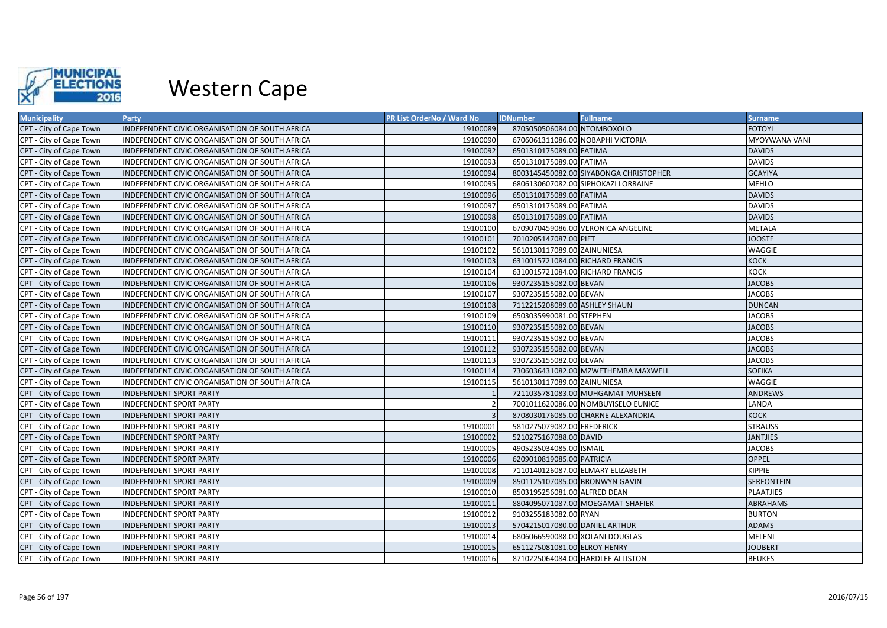

| <b>Municipality</b>     | <b>Party</b>                                   | PR List OrderNo / Ward No | <b>IDNumber</b>                  | <b>Fullname</b>                        | <b>Surname</b>    |
|-------------------------|------------------------------------------------|---------------------------|----------------------------------|----------------------------------------|-------------------|
| CPT - City of Cape Town | INDEPENDENT CIVIC ORGANISATION OF SOUTH AFRICA | 19100089                  | 8705050506084.00 NTOMBOXOLO      |                                        | <b>FOTOYI</b>     |
| CPT - City of Cape Town | INDEPENDENT CIVIC ORGANISATION OF SOUTH AFRICA | 19100090                  |                                  | 6706061311086.00 NOBAPHI VICTORIA      | MYOYWANA VANI     |
| CPT - City of Cape Town | INDEPENDENT CIVIC ORGANISATION OF SOUTH AFRICA | 19100092                  | 6501310175089.00 FATIMA          |                                        | <b>DAVIDS</b>     |
| CPT - City of Cape Town | INDEPENDENT CIVIC ORGANISATION OF SOUTH AFRICA | 19100093                  | 6501310175089.00 FATIMA          |                                        | <b>DAVIDS</b>     |
| CPT - City of Cape Town | INDEPENDENT CIVIC ORGANISATION OF SOUTH AFRICA | 19100094                  |                                  | 8003145450082.00 SIYABONGA CHRISTOPHER | <b>GCAYIYA</b>    |
| CPT - City of Cape Town | INDEPENDENT CIVIC ORGANISATION OF SOUTH AFRICA | 19100095                  |                                  | 6806130607082.00 SIPHOKAZI LORRAINE    | <b>MEHLO</b>      |
| CPT - City of Cape Town | INDEPENDENT CIVIC ORGANISATION OF SOUTH AFRICA | 19100096                  | 6501310175089.00 FATIMA          |                                        | <b>DAVIDS</b>     |
| CPT - City of Cape Town | INDEPENDENT CIVIC ORGANISATION OF SOUTH AFRICA | 19100097                  | 6501310175089.00 FATIMA          |                                        | <b>DAVIDS</b>     |
| CPT - City of Cape Town | INDEPENDENT CIVIC ORGANISATION OF SOUTH AFRICA | 19100098                  | 6501310175089.00 FATIMA          |                                        | <b>DAVIDS</b>     |
| CPT - City of Cape Town | INDEPENDENT CIVIC ORGANISATION OF SOUTH AFRICA | 19100100                  |                                  | 6709070459086.00 VERONICA ANGELINE     | <b>METALA</b>     |
| CPT - City of Cape Town | INDEPENDENT CIVIC ORGANISATION OF SOUTH AFRICA | 19100101                  | 7010205147087.00 PIET            |                                        | <b>JOOSTE</b>     |
| CPT - City of Cape Town | INDEPENDENT CIVIC ORGANISATION OF SOUTH AFRICA | 19100102                  | 5610130117089.00 ZAINUNIESA      |                                        | WAGGIE            |
| CPT - City of Cape Town | INDEPENDENT CIVIC ORGANISATION OF SOUTH AFRICA | 19100103                  | 6310015721084.00 RICHARD FRANCIS |                                        | KOCK              |
| CPT - City of Cape Town | INDEPENDENT CIVIC ORGANISATION OF SOUTH AFRICA | 19100104                  | 6310015721084.00 RICHARD FRANCIS |                                        | <b>KOCK</b>       |
| CPT - City of Cape Town | INDEPENDENT CIVIC ORGANISATION OF SOUTH AFRICA | 19100106                  | 9307235155082.00 BEVAN           |                                        | <b>JACOBS</b>     |
| CPT - City of Cape Town | INDEPENDENT CIVIC ORGANISATION OF SOUTH AFRICA | 19100107                  | 9307235155082.00 BEVAN           |                                        | <b>JACOBS</b>     |
| CPT - City of Cape Town | INDEPENDENT CIVIC ORGANISATION OF SOUTH AFRICA | 19100108                  | 7112215208089.00 ASHLEY SHAUN    |                                        | <b>DUNCAN</b>     |
| CPT - City of Cape Town | INDEPENDENT CIVIC ORGANISATION OF SOUTH AFRICA | 19100109                  | 6503035990081.00 STEPHEN         |                                        | <b>JACOBS</b>     |
| CPT - City of Cape Town | INDEPENDENT CIVIC ORGANISATION OF SOUTH AFRICA | 19100110                  | 9307235155082.00 BEVAN           |                                        | <b>JACOBS</b>     |
| CPT - City of Cape Town | INDEPENDENT CIVIC ORGANISATION OF SOUTH AFRICA | 19100111                  | 9307235155082.00 BEVAN           |                                        | <b>JACOBS</b>     |
| CPT - City of Cape Town | INDEPENDENT CIVIC ORGANISATION OF SOUTH AFRICA | 19100112                  | 9307235155082.00 BEVAN           |                                        | <b>JACOBS</b>     |
| CPT - City of Cape Town | INDEPENDENT CIVIC ORGANISATION OF SOUTH AFRICA | 19100113                  | 9307235155082.00 BEVAN           |                                        | <b>JACOBS</b>     |
| CPT - City of Cape Town | INDEPENDENT CIVIC ORGANISATION OF SOUTH AFRICA | 19100114                  |                                  | 7306036431082.00 MZWETHEMBA MAXWELL    | <b>SOFIKA</b>     |
| CPT - City of Cape Town | INDEPENDENT CIVIC ORGANISATION OF SOUTH AFRICA | 19100115                  | 5610130117089.00 ZAINUNIESA      |                                        | WAGGIE            |
| CPT - City of Cape Town | <b>INDEPENDENT SPORT PARTY</b>                 |                           |                                  | 7211035781083.00 MUHGAMAT MUHSEEN      | <b>ANDREWS</b>    |
| CPT - City of Cape Town | <b>INDEPENDENT SPORT PARTY</b>                 |                           |                                  | 7001011620086.00 NOMBUYISELO EUNICE    | LANDA             |
| CPT - City of Cape Town | INDEPENDENT SPORT PARTY                        |                           |                                  | 8708030176085.00 CHARNE ALEXANDRIA     | <b>KOCK</b>       |
| CPT - City of Cape Town | <b>INDEPENDENT SPORT PARTY</b>                 | 19100001                  | 5810275079082.00 FREDERICK       |                                        | <b>STRAUSS</b>    |
| CPT - City of Cape Town | <b>INDEPENDENT SPORT PARTY</b>                 | 19100002                  | 5210275167088.00 DAVID           |                                        | <b>JANTJIES</b>   |
| CPT - City of Cape Town | <b>INDEPENDENT SPORT PARTY</b>                 | 19100005                  | 4905235034085.00 ISMAIL          |                                        | <b>JACOBS</b>     |
| CPT - City of Cape Town | <b>INDEPENDENT SPORT PARTY</b>                 | 19100006                  | 6209010819085.00 PATRICIA        |                                        | <b>OPPEL</b>      |
| CPT - City of Cape Town | <b>INDEPENDENT SPORT PARTY</b>                 | 19100008                  |                                  | 7110140126087.00 ELMARY ELIZABETH      | <b>KIPPIE</b>     |
| CPT - City of Cape Town | <b>INDEPENDENT SPORT PARTY</b>                 | 19100009                  | 8501125107085.00 BRONWYN GAVIN   |                                        | <b>SERFONTEIN</b> |
| CPT - City of Cape Town | <b>INDEPENDENT SPORT PARTY</b>                 | 19100010                  | 8503195256081.00 ALFRED DEAN     |                                        | PLAATJIES         |
| CPT - City of Cape Town | <b>INDEPENDENT SPORT PARTY</b>                 | 19100011                  |                                  | 8804095071087.00 MOEGAMAT-SHAFIEK      | <b>ABRAHAMS</b>   |
| CPT - City of Cape Town | <b>INDEPENDENT SPORT PARTY</b>                 | 19100012                  | 9103255183082.00 RYAN            |                                        | <b>BURTON</b>     |
| CPT - City of Cape Town | <b>INDEPENDENT SPORT PARTY</b>                 | 19100013                  | 5704215017080.00 DANIEL ARTHUR   |                                        | <b>ADAMS</b>      |
| CPT - City of Cape Town | <b>INDEPENDENT SPORT PARTY</b>                 | 19100014                  | 6806066590088.00 XOLANI DOUGLAS  |                                        | MELENI            |
| CPT - City of Cape Town | <b>INDEPENDENT SPORT PARTY</b>                 | 19100015                  | 6511275081081.00 ELROY HENRY     |                                        | <b>JOUBERT</b>    |
| CPT - City of Cape Town | <b>INDEPENDENT SPORT PARTY</b>                 | 19100016                  |                                  | 8710225064084.00 HARDLEE ALLISTON      | <b>BEUKES</b>     |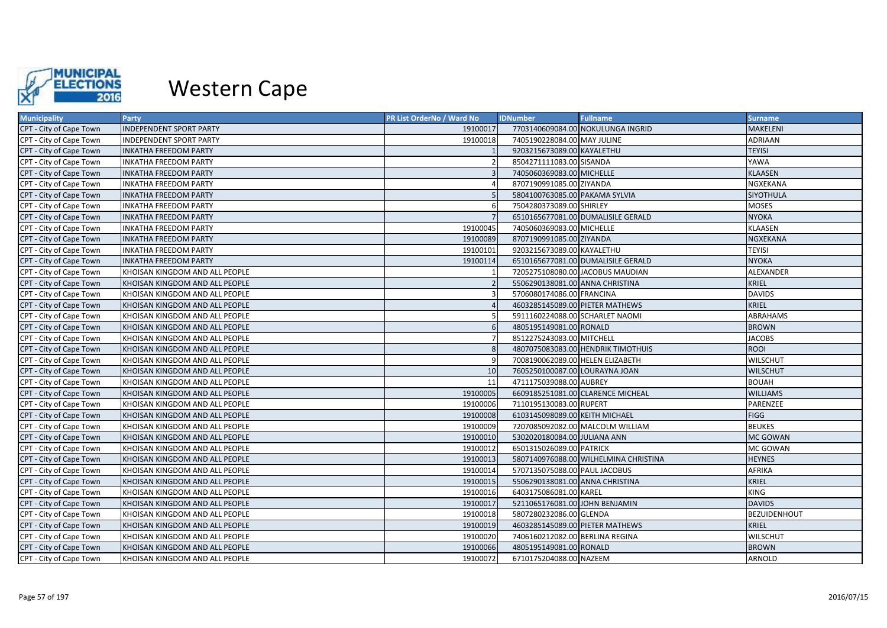

| <b>Municipality</b>     | <b>Party</b>                   | PR List OrderNo / Ward No | <b>IDNumber</b>                  | <b>Fullname</b>                       | <b>Surname</b>      |
|-------------------------|--------------------------------|---------------------------|----------------------------------|---------------------------------------|---------------------|
| CPT - City of Cape Town | <b>INDEPENDENT SPORT PARTY</b> | 19100017                  |                                  | 7703140609084.00 NOKULUNGA INGRID     | <b>MAKELENI</b>     |
| CPT - City of Cape Town | <b>INDEPENDENT SPORT PARTY</b> | 19100018                  | 7405190228084.00 MAY JULINE      |                                       | ADRIAAN             |
| CPT - City of Cape Town | <b>INKATHA FREEDOM PARTY</b>   |                           | 9203215673089.00 KAYALETHU       |                                       | <b>TEYISI</b>       |
| CPT - City of Cape Town | INKATHA FREEDOM PARTY          |                           | 8504271111083.00 SISANDA         |                                       | YAWA                |
| CPT - City of Cape Town | <b>INKATHA FREEDOM PARTY</b>   |                           | 7405060369083.00 MICHELLE        |                                       | <b>KLAASEN</b>      |
| CPT - City of Cape Town | <b>INKATHA FREEDOM PARTY</b>   |                           | 8707190991085.00 ZIYANDA         |                                       | NGXEKANA            |
| CPT - City of Cape Town | <b>INKATHA FREEDOM PARTY</b>   |                           | 5804100763085.00 PAKAMA SYLVIA   |                                       | <b>SIYOTHULA</b>    |
| CPT - City of Cape Town | <b>INKATHA FREEDOM PARTY</b>   |                           | 7504280373089.00 SHIRLEY         |                                       | <b>MOSES</b>        |
| CPT - City of Cape Town | <b>INKATHA FREEDOM PARTY</b>   |                           |                                  | 6510165677081.00 DUMALISILE GERALD    | <b>NYOKA</b>        |
| CPT - City of Cape Town | <b>INKATHA FREEDOM PARTY</b>   | 19100045                  | 7405060369083.00 MICHELLE        |                                       | <b>KLAASEN</b>      |
| CPT - City of Cape Town | <b>INKATHA FREEDOM PARTY</b>   | 19100089                  | 8707190991085.00 ZIYANDA         |                                       | NGXEKANA            |
| CPT - City of Cape Town | <b>INKATHA FREEDOM PARTY</b>   | 19100101                  | 9203215673089.00 KAYALETHU       |                                       | <b>TEYISI</b>       |
| CPT - City of Cape Town | <b>INKATHA FREEDOM PARTY</b>   | 19100114                  |                                  | 6510165677081.00 DUMALISILE GERALD    | <b>NYOKA</b>        |
| CPT - City of Cape Town | KHOISAN KINGDOM AND ALL PEOPLE |                           |                                  | 7205275108080.00 JACOBUS MAUDIAN      | ALEXANDER           |
| CPT - City of Cape Town | KHOISAN KINGDOM AND ALL PEOPLE |                           | 5506290138081.00 ANNA CHRISTINA  |                                       | <b>KRIEL</b>        |
| CPT - City of Cape Town | KHOISAN KINGDOM AND ALL PEOPLE |                           | 5706080174086.00 FRANCINA        |                                       | <b>DAVIDS</b>       |
| CPT - City of Cape Town | KHOISAN KINGDOM AND ALL PEOPLE |                           | 4603285145089.00 PIETER MATHEWS  |                                       | <b>KRIEL</b>        |
| CPT - City of Cape Town | KHOISAN KINGDOM AND ALL PEOPLE |                           | 5911160224088.00 SCHARLET NAOMI  |                                       | ABRAHAMS            |
| CPT - City of Cape Town | KHOISAN KINGDOM AND ALL PEOPLE |                           | 4805195149081.00 RONALD          |                                       | <b>BROWN</b>        |
| CPT - City of Cape Town | KHOISAN KINGDOM AND ALL PEOPLE |                           | 8512275243083.00 MITCHELL        |                                       | <b>JACOBS</b>       |
| CPT - City of Cape Town | KHOISAN KINGDOM AND ALL PEOPLE |                           |                                  | 4807075083083.00 HENDRIK TIMOTHUIS    | <b>ROOI</b>         |
| CPT - City of Cape Town | KHOISAN KINGDOM AND ALL PEOPLE |                           | 7008190062089.00 HELEN ELIZABETH |                                       | <b>WILSCHUT</b>     |
| CPT - City of Cape Town | KHOISAN KINGDOM AND ALL PEOPLE | 10                        | 7605250100087.00 LOURAYNA JOAN   |                                       | <b>WILSCHUT</b>     |
| CPT - City of Cape Town | KHOISAN KINGDOM AND ALL PEOPLE | 11                        | 4711175039088.00 AUBREY          |                                       | <b>BOUAH</b>        |
| CPT - City of Cape Town | KHOISAN KINGDOM AND ALL PEOPLE | 19100005                  |                                  | 6609185251081.00 CLARENCE MICHEAL     | <b>WILLIAMS</b>     |
| CPT - City of Cape Town | KHOISAN KINGDOM AND ALL PEOPLE | 19100006                  | 7110195130083.00 RUPERT          |                                       | PARENZEE            |
| CPT - City of Cape Town | KHOISAN KINGDOM AND ALL PEOPLE | 19100008                  | 6103145098089.00 KEITH MICHAEL   |                                       | <b>FIGG</b>         |
| CPT - City of Cape Town | KHOISAN KINGDOM AND ALL PEOPLE | 19100009                  |                                  | 7207085092082.00 MALCOLM WILLIAM      | <b>BEUKES</b>       |
| CPT - City of Cape Town | KHOISAN KINGDOM AND ALL PEOPLE | 19100010                  | 5302020180084.00 JULIANA ANN     |                                       | <b>MC GOWAN</b>     |
| CPT - City of Cape Town | KHOISAN KINGDOM AND ALL PEOPLE | 19100012                  | 6501315026089.00 PATRICK         |                                       | MC GOWAN            |
| CPT - City of Cape Town | KHOISAN KINGDOM AND ALL PEOPLE | 19100013                  |                                  | 5807140976088.00 WILHELMINA CHRISTINA | <b>HEYNES</b>       |
| CPT - City of Cape Town | KHOISAN KINGDOM AND ALL PEOPLE | 19100014                  | 5707135075088.00 PAUL JACOBUS    |                                       | <b>AFRIKA</b>       |
| CPT - City of Cape Town | KHOISAN KINGDOM AND ALL PEOPLE | 19100015                  | 5506290138081.00 ANNA CHRISTINA  |                                       | KRIEL               |
| CPT - City of Cape Town | KHOISAN KINGDOM AND ALL PEOPLE | 19100016                  | 6403175086081.00 KAREL           |                                       | <b>KING</b>         |
| CPT - City of Cape Town | KHOISAN KINGDOM AND ALL PEOPLE | 19100017                  | 5211065176081.00 JOHN BENJAMIN   |                                       | <b>DAVIDS</b>       |
| CPT - City of Cape Town | KHOISAN KINGDOM AND ALL PEOPLE | 19100018                  | 5807280232086.00 GLENDA          |                                       | <b>BEZUIDENHOUT</b> |
| CPT - City of Cape Town | KHOISAN KINGDOM AND ALL PEOPLE | 19100019                  | 4603285145089.00 PIETER MATHEWS  |                                       | <b>KRIEL</b>        |
| CPT - City of Cape Town | KHOISAN KINGDOM AND ALL PEOPLE | 19100020                  | 7406160212082.00 BERLINA REGINA  |                                       | <b>WILSCHUT</b>     |
| CPT - City of Cape Town | KHOISAN KINGDOM AND ALL PEOPLE | 19100066                  | 4805195149081.00 RONALD          |                                       | <b>BROWN</b>        |
| CPT - City of Cape Town | KHOISAN KINGDOM AND ALL PEOPLE | 19100072                  | 6710175204088.00 NAZEEM          |                                       | ARNOLD              |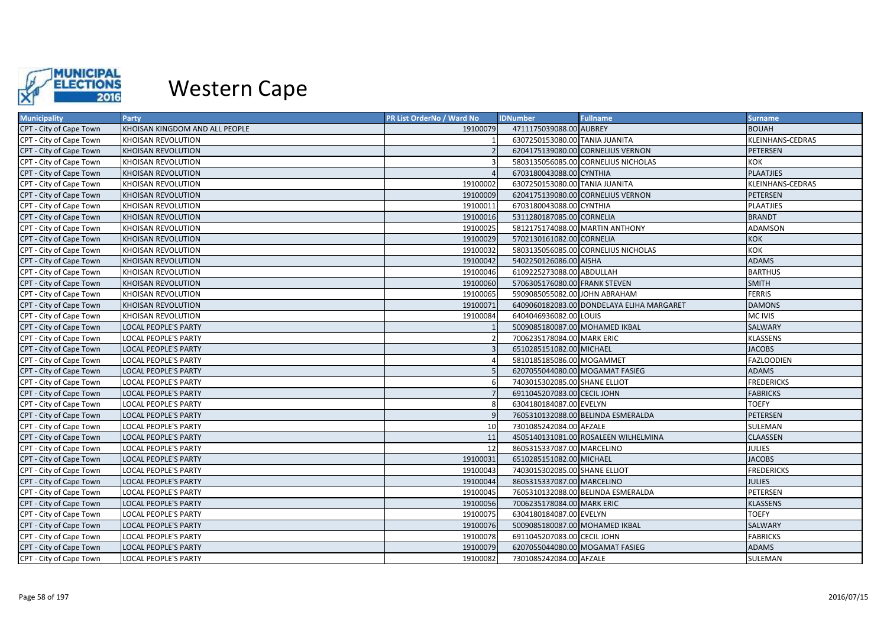

| <b>Municipality</b>     | <b>Party</b>                   | PR List OrderNo / Ward No | <b>IDNumber</b>                 | <b>Fullname</b>                           | <b>Surname</b>    |
|-------------------------|--------------------------------|---------------------------|---------------------------------|-------------------------------------------|-------------------|
| CPT - City of Cape Town | KHOISAN KINGDOM AND ALL PEOPLE | 19100079                  | 4711175039088.00 AUBREY         |                                           | <b>BOUAH</b>      |
| CPT - City of Cape Town | <b>KHOISAN REVOLUTION</b>      |                           | 6307250153080.00 TANIA JUANITA  |                                           | KLEINHANS-CEDRAS  |
| CPT - City of Cape Town | <b>KHOISAN REVOLUTION</b>      |                           |                                 | 6204175139080.00 CORNELIUS VERNON         | <b>PETERSEN</b>   |
| CPT - City of Cape Town | KHOISAN REVOLUTION             |                           |                                 | 5803135056085.00 CORNELIUS NICHOLAS       | KOK               |
| CPT - City of Cape Town | <b>KHOISAN REVOLUTION</b>      |                           | 6703180043088.00 CYNTHIA        |                                           | <b>PLAATJIES</b>  |
| CPT - City of Cape Town | KHOISAN REVOLUTION             | 19100002                  | 6307250153080.00 TANIA JUANITA  |                                           | KLEINHANS-CEDRAS  |
| CPT - City of Cape Town | <b>KHOISAN REVOLUTION</b>      | 19100009                  |                                 | 6204175139080.00 CORNELIUS VERNON         | <b>PETERSEN</b>   |
| CPT - City of Cape Town | <b>KHOISAN REVOLUTION</b>      | 19100011                  | 6703180043088.00 CYNTHIA        |                                           | <b>PLAATJIES</b>  |
| CPT - City of Cape Town | <b>KHOISAN REVOLUTION</b>      | 19100016                  | 5311280187085.00 CORNELIA       |                                           | <b>BRANDT</b>     |
| CPT - City of Cape Town | KHOISAN REVOLUTION             | 19100025                  | 5812175174088.00 MARTIN ANTHONY |                                           | <b>ADAMSON</b>    |
| CPT - City of Cape Town | <b>KHOISAN REVOLUTION</b>      | 19100029                  | 5702130161082.00 CORNELIA       |                                           | KOK               |
| CPT - City of Cape Town | KHOISAN REVOLUTION             | 19100032                  |                                 | 5803135056085.00 CORNELIUS NICHOLAS       | KOK               |
| CPT - City of Cape Town | <b>KHOISAN REVOLUTION</b>      | 19100042                  | 5402250126086.00 AISHA          |                                           | <b>ADAMS</b>      |
| CPT - City of Cape Town | <b>KHOISAN REVOLUTION</b>      | 19100046                  | 6109225273088.00 ABDULLAH       |                                           | <b>BARTHUS</b>    |
| CPT - City of Cape Town | <b>KHOISAN REVOLUTION</b>      | 19100060                  | 5706305176080.00 FRANK STEVEN   |                                           | <b>SMITH</b>      |
| CPT - City of Cape Town | KHOISAN REVOLUTION             | 19100065                  | 5909085055082.00 JOHN ABRAHAM   |                                           | <b>FERRIS</b>     |
| CPT - City of Cape Town | <b>KHOISAN REVOLUTION</b>      | 19100071                  |                                 | 6409060182083.00 DONDELAYA ELIHA MARGARET | <b>DAMONS</b>     |
| CPT - City of Cape Town | KHOISAN REVOLUTION             | 19100084                  | 6404046936082.00 LOUIS          |                                           | <b>MC IVIS</b>    |
| CPT - City of Cape Town | <b>LOCAL PEOPLE'S PARTY</b>    |                           | 5009085180087.00 MOHAMED IKBAL  |                                           | <b>SALWARY</b>    |
| CPT - City of Cape Town | <b>LOCAL PEOPLE'S PARTY</b>    |                           | 7006235178084.00 MARK ERIC      |                                           | <b>KLASSENS</b>   |
| CPT - City of Cape Town | LOCAL PEOPLE'S PARTY           |                           | 6510285151082.00 MICHAEL        |                                           | <b>JACOBS</b>     |
| CPT - City of Cape Town | <b>LOCAL PEOPLE'S PARTY</b>    |                           | 5810185185086.00 MOGAMMET       |                                           | <b>FAZLOODIEN</b> |
| CPT - City of Cape Town | <b>LOCAL PEOPLE'S PARTY</b>    |                           |                                 | 6207055044080.00 MOGAMAT FASIEG           | <b>ADAMS</b>      |
| CPT - City of Cape Town | <b>LOCAL PEOPLE'S PARTY</b>    |                           | 7403015302085.00 SHANE ELLIOT   |                                           | <b>FREDERICKS</b> |
| CPT - City of Cape Town | <b>LOCAL PEOPLE'S PARTY</b>    |                           | 6911045207083.00 CECIL JOHN     |                                           | <b>FABRICKS</b>   |
| CPT - City of Cape Town | <b>LOCAL PEOPLE'S PARTY</b>    |                           | 6304180184087.00 EVELYN         |                                           | TOEFY             |
| CPT - City of Cape Town | <b>LOCAL PEOPLE'S PARTY</b>    |                           |                                 | 7605310132088.00 BELINDA ESMERALDA        | <b>PETERSEN</b>   |
| CPT - City of Cape Town | <b>LOCAL PEOPLE'S PARTY</b>    | 10                        | 7301085242084.00 AFZALE         |                                           | SULEMAN           |
| CPT - City of Cape Town | <b>LOCAL PEOPLE'S PARTY</b>    | 11                        |                                 | 4505140131081.00 ROSALEEN WILHELMINA      | <b>CLAASSEN</b>   |
| CPT - City of Cape Town | <b>LOCAL PEOPLE'S PARTY</b>    | 12                        | 8605315337087.00 MARCELINO      |                                           | <b>JULIES</b>     |
| CPT - City of Cape Town | <b>LOCAL PEOPLE'S PARTY</b>    | 19100031                  | 6510285151082.00 MICHAEL        |                                           | <b>JACOBS</b>     |
| CPT - City of Cape Town | <b>LOCAL PEOPLE'S PARTY</b>    | 19100043                  | 7403015302085.00 SHANE ELLIOT   |                                           | <b>FREDERICKS</b> |
| CPT - City of Cape Town | <b>LOCAL PEOPLE'S PARTY</b>    | 19100044                  | 8605315337087.00 MARCELINO      |                                           | <b>JULIES</b>     |
| CPT - City of Cape Town | <b>LOCAL PEOPLE'S PARTY</b>    | 19100045                  |                                 | 7605310132088.00 BELINDA ESMERALDA        | PETERSEN          |
| CPT - City of Cape Town | <b>LOCAL PEOPLE'S PARTY</b>    | 19100056                  | 7006235178084.00 MARK ERIC      |                                           | <b>KLASSENS</b>   |
| CPT - City of Cape Town | <b>LOCAL PEOPLE'S PARTY</b>    | 19100075                  | 6304180184087.00 EVELYN         |                                           | <b>TOEFY</b>      |
| CPT - City of Cape Town | <b>LOCAL PEOPLE'S PARTY</b>    | 19100076                  | 5009085180087.00 MOHAMED IKBAL  |                                           | SALWARY           |
| CPT - City of Cape Town | <b>LOCAL PEOPLE'S PARTY</b>    | 19100078                  | 6911045207083.00 CECIL JOHN     |                                           | <b>FABRICKS</b>   |
| CPT - City of Cape Town | <b>LOCAL PEOPLE'S PARTY</b>    | 19100079                  | 6207055044080.00 MOGAMAT FASIEG |                                           | <b>ADAMS</b>      |
| CPT - City of Cape Town | <b>LOCAL PEOPLE'S PARTY</b>    | 19100082                  | 7301085242084.00 AFZALE         |                                           | <b>SULEMAN</b>    |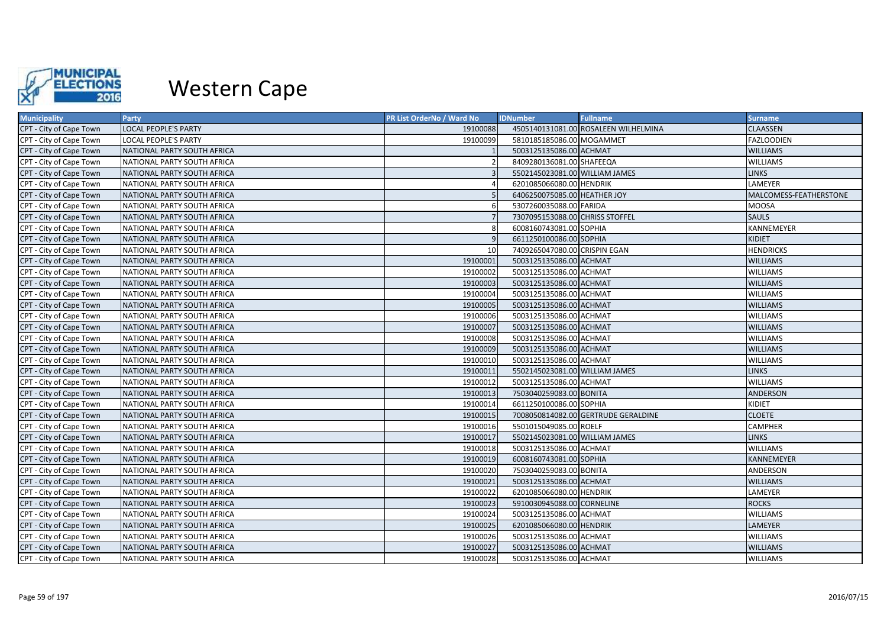

| <b>Municipality</b>     | Party                       | PR List OrderNo / Ward No | <b>IDNumber</b>                 | <b>Fullname</b>                      | <b>Surname</b>         |
|-------------------------|-----------------------------|---------------------------|---------------------------------|--------------------------------------|------------------------|
| CPT - City of Cape Town | <b>LOCAL PEOPLE'S PARTY</b> | 19100088                  |                                 | 4505140131081.00 ROSALEEN WILHELMINA | <b>CLAASSEN</b>        |
| CPT - City of Cape Town | <b>LOCAL PEOPLE'S PARTY</b> | 19100099                  | 5810185185086.00 MOGAMMET       |                                      | <b>FAZLOODIEN</b>      |
| CPT - City of Cape Town | NATIONAL PARTY SOUTH AFRICA |                           | 5003125135086.00 ACHMAT         |                                      | <b>WILLIAMS</b>        |
| CPT - City of Cape Town | NATIONAL PARTY SOUTH AFRICA |                           | 8409280136081.00 SHAFEEQA       |                                      | <b>WILLIAMS</b>        |
| CPT - City of Cape Town | NATIONAL PARTY SOUTH AFRICA |                           | 5502145023081.00 WILLIAM JAMES  |                                      | <b>LINKS</b>           |
| CPT - City of Cape Town | NATIONAL PARTY SOUTH AFRICA |                           | 6201085066080.00 HENDRIK        |                                      | LAMEYER                |
| CPT - City of Cape Town | NATIONAL PARTY SOUTH AFRICA |                           | 6406250075085.00 HEATHER JOY    |                                      | MALCOMESS-FEATHERSTONE |
| CPT - City of Cape Town | NATIONAL PARTY SOUTH AFRICA |                           | 5307260035088.00 FARIDA         |                                      | <b>MOOSA</b>           |
| CPT - City of Cape Town | NATIONAL PARTY SOUTH AFRICA |                           | 7307095153088.00 CHRISS STOFFEL |                                      | <b>SAULS</b>           |
| CPT - City of Cape Town | NATIONAL PARTY SOUTH AFRICA |                           | 6008160743081.00 SOPHIA         |                                      | KANNEMEYER             |
| CPT - City of Cape Town | NATIONAL PARTY SOUTH AFRICA |                           | 6611250100086.00 SOPHIA         |                                      | KIDIET                 |
| CPT - City of Cape Town | NATIONAL PARTY SOUTH AFRICA | 10                        | 7409265047080.00 CRISPIN EGAN   |                                      | <b>HENDRICKS</b>       |
| CPT - City of Cape Town | NATIONAL PARTY SOUTH AFRICA | 19100001                  | 5003125135086.00 ACHMAT         |                                      | <b>WILLIAMS</b>        |
| CPT - City of Cape Town | NATIONAL PARTY SOUTH AFRICA | 19100002                  | 5003125135086.00 ACHMAT         |                                      | <b>WILLIAMS</b>        |
| CPT - City of Cape Town | NATIONAL PARTY SOUTH AFRICA | 19100003                  | 5003125135086.00 ACHMAT         |                                      | <b>WILLIAMS</b>        |
| CPT - City of Cape Town | NATIONAL PARTY SOUTH AFRICA | 19100004                  | 5003125135086.00 ACHMAT         |                                      | WILLIAMS               |
| CPT - City of Cape Town | NATIONAL PARTY SOUTH AFRICA | 19100005                  | 5003125135086.00 ACHMAT         |                                      | <b>WILLIAMS</b>        |
| CPT - City of Cape Town | NATIONAL PARTY SOUTH AFRICA | 19100006                  | 5003125135086.00 ACHMAT         |                                      | <b>WILLIAMS</b>        |
| CPT - City of Cape Town | NATIONAL PARTY SOUTH AFRICA | 19100007                  | 5003125135086.00 ACHMAT         |                                      | <b>WILLIAMS</b>        |
| CPT - City of Cape Town | NATIONAL PARTY SOUTH AFRICA | 19100008                  | 5003125135086.00 ACHMAT         |                                      | <b>WILLIAMS</b>        |
| CPT - City of Cape Town | NATIONAL PARTY SOUTH AFRICA | 19100009                  | 5003125135086.00 ACHMAT         |                                      | <b>WILLIAMS</b>        |
| CPT - City of Cape Town | NATIONAL PARTY SOUTH AFRICA | 19100010                  | 5003125135086.00 ACHMAT         |                                      | <b>WILLIAMS</b>        |
| CPT - City of Cape Town | NATIONAL PARTY SOUTH AFRICA | 19100011                  | 5502145023081.00 WILLIAM JAMES  |                                      | <b>LINKS</b>           |
| CPT - City of Cape Town | NATIONAL PARTY SOUTH AFRICA | 19100012                  | 5003125135086.00 ACHMAT         |                                      | WILLIAMS               |
| CPT - City of Cape Town | NATIONAL PARTY SOUTH AFRICA | 19100013                  | 7503040259083.00 BONITA         |                                      | ANDERSON               |
| CPT - City of Cape Town | NATIONAL PARTY SOUTH AFRICA | 19100014                  | 6611250100086.00 SOPHIA         |                                      | KIDIET                 |
| CPT - City of Cape Town | NATIONAL PARTY SOUTH AFRICA | 19100015                  |                                 | 7008050814082.00 GERTRUDE GERALDINE  | <b>CLOETE</b>          |
| CPT - City of Cape Town | NATIONAL PARTY SOUTH AFRICA | 19100016                  | 5501015049085.00 ROELF          |                                      | <b>CAMPHER</b>         |
| CPT - City of Cape Town | NATIONAL PARTY SOUTH AFRICA | 19100017                  | 5502145023081.00 WILLIAM JAMES  |                                      | <b>LINKS</b>           |
| CPT - City of Cape Town | NATIONAL PARTY SOUTH AFRICA | 19100018                  | 5003125135086.00 ACHMAT         |                                      | <b>WILLIAMS</b>        |
| CPT - City of Cape Town | NATIONAL PARTY SOUTH AFRICA | 19100019                  | 6008160743081.00 SOPHIA         |                                      | KANNEMEYER             |
| CPT - City of Cape Town | NATIONAL PARTY SOUTH AFRICA | 19100020                  | 7503040259083.00 BONITA         |                                      | ANDERSON               |
| CPT - City of Cape Town | NATIONAL PARTY SOUTH AFRICA | 19100021                  | 5003125135086.00 ACHMAT         |                                      | <b>WILLIAMS</b>        |
| CPT - City of Cape Town | NATIONAL PARTY SOUTH AFRICA | 19100022                  | 6201085066080.00 HENDRIK        |                                      | LAMEYER                |
| CPT - City of Cape Town | NATIONAL PARTY SOUTH AFRICA | 19100023                  | 5910030945088.00 CORNELINE      |                                      | <b>ROCKS</b>           |
| CPT - City of Cape Town | NATIONAL PARTY SOUTH AFRICA | 19100024                  | 5003125135086.00 ACHMAT         |                                      | <b>WILLIAMS</b>        |
| CPT - City of Cape Town | NATIONAL PARTY SOUTH AFRICA | 19100025                  | 6201085066080.00 HENDRIK        |                                      | LAMEYER                |
| CPT - City of Cape Town | NATIONAL PARTY SOUTH AFRICA | 19100026                  | 5003125135086.00 ACHMAT         |                                      | WILLIAMS               |
| CPT - City of Cape Town | NATIONAL PARTY SOUTH AFRICA | 19100027                  | 5003125135086.00 ACHMAT         |                                      | <b>WILLIAMS</b>        |
| CPT - City of Cape Town | NATIONAL PARTY SOUTH AFRICA | 19100028                  | 5003125135086.00 ACHMAT         |                                      | <b>WILLIAMS</b>        |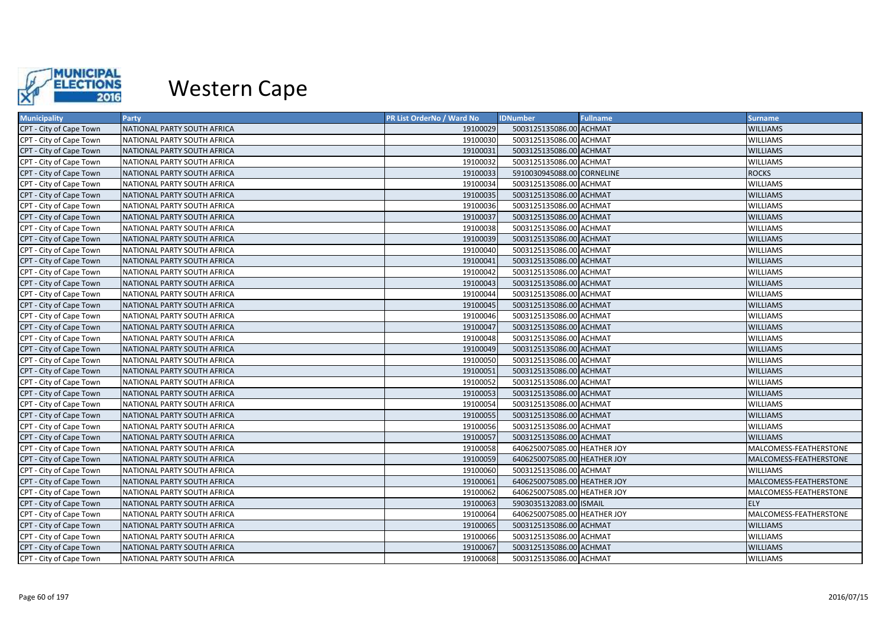

| <b>Municipality</b>     | Party                       | PR List OrderNo / Ward No | <b>IDNumber</b>              | <b>Fullname</b> | <b>Surname</b>         |
|-------------------------|-----------------------------|---------------------------|------------------------------|-----------------|------------------------|
| CPT - City of Cape Town | NATIONAL PARTY SOUTH AFRICA | 19100029                  | 5003125135086.00 ACHMAT      |                 | <b>WILLIAMS</b>        |
| CPT - City of Cape Town | NATIONAL PARTY SOUTH AFRICA | 19100030                  | 5003125135086.00 ACHMAT      |                 | <b>WILLIAMS</b>        |
| CPT - City of Cape Town | NATIONAL PARTY SOUTH AFRICA | 19100031                  | 5003125135086.00 ACHMAT      |                 | <b>WILLIAMS</b>        |
| CPT - City of Cape Town | NATIONAL PARTY SOUTH AFRICA | 19100032                  | 5003125135086.00 ACHMAT      |                 | <b>WILLIAMS</b>        |
| CPT - City of Cape Town | NATIONAL PARTY SOUTH AFRICA | 19100033                  | 5910030945088.00 CORNELINE   |                 | <b>ROCKS</b>           |
| CPT - City of Cape Town | NATIONAL PARTY SOUTH AFRICA | 19100034                  | 5003125135086.00 ACHMAT      |                 | <b>WILLIAMS</b>        |
| CPT - City of Cape Town | NATIONAL PARTY SOUTH AFRICA | 19100035                  | 5003125135086.00 ACHMAT      |                 | <b>WILLIAMS</b>        |
| CPT - City of Cape Town | NATIONAL PARTY SOUTH AFRICA | 19100036                  | 5003125135086.00 ACHMAT      |                 | <b>WILLIAMS</b>        |
| CPT - City of Cape Town | NATIONAL PARTY SOUTH AFRICA | 19100037                  | 5003125135086.00 ACHMAT      |                 | <b>WILLIAMS</b>        |
| CPT - City of Cape Town | NATIONAL PARTY SOUTH AFRICA | 19100038                  | 5003125135086.00 ACHMAT      |                 | <b>WILLIAMS</b>        |
| CPT - City of Cape Town | NATIONAL PARTY SOUTH AFRICA | 19100039                  | 5003125135086.00 ACHMAT      |                 | <b>WILLIAMS</b>        |
| CPT - City of Cape Town | NATIONAL PARTY SOUTH AFRICA | 19100040                  | 5003125135086.00 ACHMAT      |                 | <b>WILLIAMS</b>        |
| CPT - City of Cape Town | NATIONAL PARTY SOUTH AFRICA | 19100041                  | 5003125135086.00 ACHMAT      |                 | <b>WILLIAMS</b>        |
| CPT - City of Cape Town | NATIONAL PARTY SOUTH AFRICA | 19100042                  | 5003125135086.00 ACHMAT      |                 | <b>WILLIAMS</b>        |
| CPT - City of Cape Town | NATIONAL PARTY SOUTH AFRICA | 19100043                  | 5003125135086.00 ACHMAT      |                 | <b>WILLIAMS</b>        |
| CPT - City of Cape Town | NATIONAL PARTY SOUTH AFRICA | 19100044                  | 5003125135086.00 ACHMAT      |                 | <b>WILLIAMS</b>        |
| CPT - City of Cape Town | NATIONAL PARTY SOUTH AFRICA | 19100045                  | 5003125135086.00 ACHMAT      |                 | <b>WILLIAMS</b>        |
| CPT - City of Cape Town | NATIONAL PARTY SOUTH AFRICA | 19100046                  | 5003125135086.00 ACHMAT      |                 | <b>WILLIAMS</b>        |
| CPT - City of Cape Town | NATIONAL PARTY SOUTH AFRICA | 19100047                  | 5003125135086.00 ACHMAT      |                 | <b>WILLIAMS</b>        |
| CPT - City of Cape Town | NATIONAL PARTY SOUTH AFRICA | 19100048                  | 5003125135086.00 ACHMAT      |                 | <b>WILLIAMS</b>        |
| CPT - City of Cape Town | NATIONAL PARTY SOUTH AFRICA | 19100049                  | 5003125135086.00 ACHMAT      |                 | <b>WILLIAMS</b>        |
| CPT - City of Cape Town | NATIONAL PARTY SOUTH AFRICA | 19100050                  | 5003125135086.00 ACHMAT      |                 | <b>WILLIAMS</b>        |
| CPT - City of Cape Town | NATIONAL PARTY SOUTH AFRICA | 19100051                  | 5003125135086.00 ACHMAT      |                 | <b>WILLIAMS</b>        |
| CPT - City of Cape Town | NATIONAL PARTY SOUTH AFRICA | 19100052                  | 5003125135086.00 ACHMAT      |                 | <b>WILLIAMS</b>        |
| CPT - City of Cape Town | NATIONAL PARTY SOUTH AFRICA | 19100053                  | 5003125135086.00 ACHMAT      |                 | <b>WILLIAMS</b>        |
| CPT - City of Cape Town | NATIONAL PARTY SOUTH AFRICA | 19100054                  | 5003125135086.00 ACHMAT      |                 | <b>WILLIAMS</b>        |
| CPT - City of Cape Town | NATIONAL PARTY SOUTH AFRICA | 19100055                  | 5003125135086.00 ACHMAT      |                 | <b>WILLIAMS</b>        |
| CPT - City of Cape Town | NATIONAL PARTY SOUTH AFRICA | 19100056                  | 5003125135086.00 ACHMAT      |                 | <b>WILLIAMS</b>        |
| CPT - City of Cape Town | NATIONAL PARTY SOUTH AFRICA | 19100057                  | 5003125135086.00 ACHMAT      |                 | <b>WILLIAMS</b>        |
| CPT - City of Cape Town | NATIONAL PARTY SOUTH AFRICA | 19100058                  | 6406250075085.00 HEATHER JOY |                 | MALCOMESS-FEATHERSTONE |
| CPT - City of Cape Town | NATIONAL PARTY SOUTH AFRICA | 19100059                  | 6406250075085.00 HEATHER JOY |                 | MALCOMESS-FEATHERSTONE |
| CPT - City of Cape Town | NATIONAL PARTY SOUTH AFRICA | 19100060                  | 5003125135086.00 ACHMAT      |                 | <b>WILLIAMS</b>        |
| CPT - City of Cape Town | NATIONAL PARTY SOUTH AFRICA | 19100061                  | 6406250075085.00 HEATHER JOY |                 | MALCOMESS-FEATHERSTONE |
| CPT - City of Cape Town | NATIONAL PARTY SOUTH AFRICA | 19100062                  | 6406250075085.00 HEATHER JOY |                 | MALCOMESS-FEATHERSTONE |
| CPT - City of Cape Town | NATIONAL PARTY SOUTH AFRICA | 19100063                  | 5903035132083.00 ISMAIL      |                 | <b>ELY</b>             |
| CPT - City of Cape Town | NATIONAL PARTY SOUTH AFRICA | 19100064                  | 6406250075085.00 HEATHER JOY |                 | MALCOMESS-FEATHERSTONE |
| CPT - City of Cape Town | NATIONAL PARTY SOUTH AFRICA | 19100065                  | 5003125135086.00 ACHMAT      |                 | <b>WILLIAMS</b>        |
| CPT - City of Cape Town | NATIONAL PARTY SOUTH AFRICA | 19100066                  | 5003125135086.00 ACHMAT      |                 | <b>WILLIAMS</b>        |
| CPT - City of Cape Town | NATIONAL PARTY SOUTH AFRICA | 19100067                  | 5003125135086.00 ACHMAT      |                 | <b>WILLIAMS</b>        |
| CPT - City of Cape Town | NATIONAL PARTY SOUTH AFRICA | 19100068                  | 5003125135086.00 ACHMAT      |                 | <b>WILLIAMS</b>        |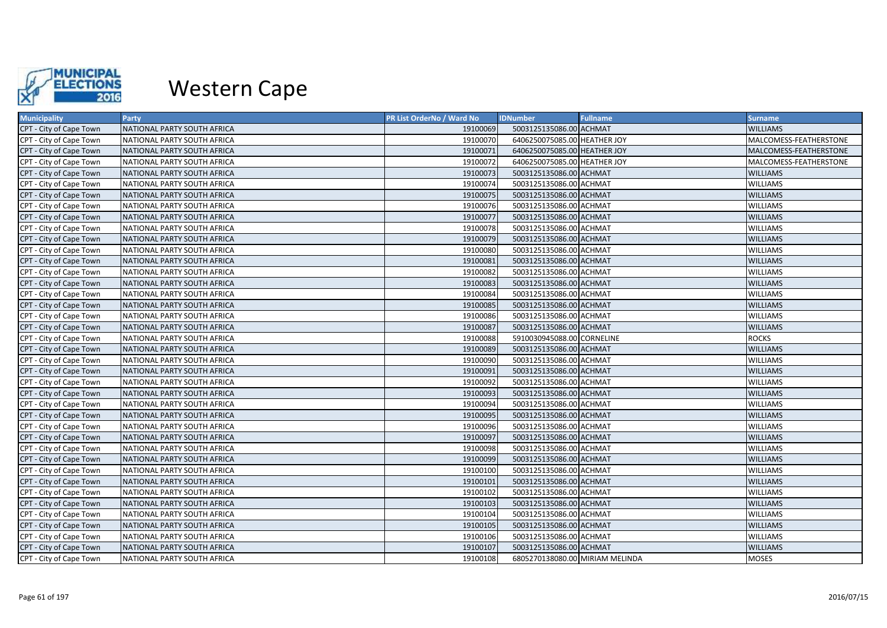

| <b>Municipality</b>     | <b>Party</b>                | PR List OrderNo / Ward No | <b>IDNumber</b>                 | <b>Fullname</b> | <b>Surname</b>         |
|-------------------------|-----------------------------|---------------------------|---------------------------------|-----------------|------------------------|
| CPT - City of Cape Town | NATIONAL PARTY SOUTH AFRICA | 19100069                  | 5003125135086.00 ACHMAT         |                 | <b>WILLIAMS</b>        |
| CPT - City of Cape Town | NATIONAL PARTY SOUTH AFRICA | 19100070                  | 6406250075085.00 HEATHER JOY    |                 | MALCOMESS-FEATHERSTONE |
| CPT - City of Cape Town | NATIONAL PARTY SOUTH AFRICA | 19100071                  | 6406250075085.00 HEATHER JOY    |                 | MALCOMESS-FEATHERSTONE |
| CPT - City of Cape Town | NATIONAL PARTY SOUTH AFRICA | 19100072                  | 6406250075085.00 HEATHER JOY    |                 | MALCOMESS-FEATHERSTONE |
| CPT - City of Cape Town | NATIONAL PARTY SOUTH AFRICA | 19100073                  | 5003125135086.00 ACHMAT         |                 | <b>WILLIAMS</b>        |
| CPT - City of Cape Town | NATIONAL PARTY SOUTH AFRICA | 19100074                  | 5003125135086.00 ACHMAT         |                 | <b>WILLIAMS</b>        |
| CPT - City of Cape Town | NATIONAL PARTY SOUTH AFRICA | 19100075                  | 5003125135086.00 ACHMAT         |                 | <b>WILLIAMS</b>        |
| CPT - City of Cape Town | NATIONAL PARTY SOUTH AFRICA | 19100076                  | 5003125135086.00 ACHMAT         |                 | <b>WILLIAMS</b>        |
| CPT - City of Cape Town | NATIONAL PARTY SOUTH AFRICA | 19100077                  | 5003125135086.00 ACHMAT         |                 | <b>WILLIAMS</b>        |
| CPT - City of Cape Town | NATIONAL PARTY SOUTH AFRICA | 19100078                  | 5003125135086.00 ACHMAT         |                 | <b>WILLIAMS</b>        |
| CPT - City of Cape Town | NATIONAL PARTY SOUTH AFRICA | 19100079                  | 5003125135086.00 ACHMAT         |                 | <b>WILLIAMS</b>        |
| CPT - City of Cape Town | NATIONAL PARTY SOUTH AFRICA | 19100080                  | 5003125135086.00 ACHMAT         |                 | <b>WILLIAMS</b>        |
| CPT - City of Cape Town | NATIONAL PARTY SOUTH AFRICA | 19100081                  | 5003125135086.00 ACHMAT         |                 | <b>WILLIAMS</b>        |
| CPT - City of Cape Town | NATIONAL PARTY SOUTH AFRICA | 19100082                  | 5003125135086.00 ACHMAT         |                 | <b>WILLIAMS</b>        |
| CPT - City of Cape Town | NATIONAL PARTY SOUTH AFRICA | 19100083                  | 5003125135086.00 ACHMAT         |                 | <b>WILLIAMS</b>        |
| CPT - City of Cape Town | NATIONAL PARTY SOUTH AFRICA | 19100084                  | 5003125135086.00 ACHMAT         |                 | <b>WILLIAMS</b>        |
| CPT - City of Cape Town | NATIONAL PARTY SOUTH AFRICA | 19100085                  | 5003125135086.00 ACHMAT         |                 | <b>WILLIAMS</b>        |
| CPT - City of Cape Town | NATIONAL PARTY SOUTH AFRICA | 19100086                  | 5003125135086.00 ACHMAT         |                 | <b>WILLIAMS</b>        |
| CPT - City of Cape Town | NATIONAL PARTY SOUTH AFRICA | 19100087                  | 5003125135086.00 ACHMAT         |                 | <b>WILLIAMS</b>        |
| CPT - City of Cape Town | NATIONAL PARTY SOUTH AFRICA | 19100088                  | 5910030945088.00 CORNELINE      |                 | <b>ROCKS</b>           |
| CPT - City of Cape Town | NATIONAL PARTY SOUTH AFRICA | 19100089                  | 5003125135086.00 ACHMAT         |                 | <b>WILLIAMS</b>        |
| CPT - City of Cape Town | NATIONAL PARTY SOUTH AFRICA | 19100090                  | 5003125135086.00 ACHMAT         |                 | <b>WILLIAMS</b>        |
| CPT - City of Cape Town | NATIONAL PARTY SOUTH AFRICA | 19100091                  | 5003125135086.00 ACHMAT         |                 | <b>WILLIAMS</b>        |
| CPT - City of Cape Town | NATIONAL PARTY SOUTH AFRICA | 19100092                  | 5003125135086.00 ACHMAT         |                 | <b>WILLIAMS</b>        |
| CPT - City of Cape Town | NATIONAL PARTY SOUTH AFRICA | 19100093                  | 5003125135086.00 ACHMAT         |                 | <b>WILLIAMS</b>        |
| CPT - City of Cape Town | NATIONAL PARTY SOUTH AFRICA | 19100094                  | 5003125135086.00 ACHMAT         |                 | <b>WILLIAMS</b>        |
| CPT - City of Cape Town | NATIONAL PARTY SOUTH AFRICA | 19100095                  | 5003125135086.00 ACHMAT         |                 | <b>WILLIAMS</b>        |
| CPT - City of Cape Town | NATIONAL PARTY SOUTH AFRICA | 19100096                  | 5003125135086.00 ACHMAT         |                 | <b>WILLIAMS</b>        |
| CPT - City of Cape Town | NATIONAL PARTY SOUTH AFRICA | 19100097                  | 5003125135086.00 ACHMAT         |                 | <b>WILLIAMS</b>        |
| CPT - City of Cape Town | NATIONAL PARTY SOUTH AFRICA | 19100098                  | 5003125135086.00 ACHMAT         |                 | <b>WILLIAMS</b>        |
| CPT - City of Cape Town | NATIONAL PARTY SOUTH AFRICA | 19100099                  | 5003125135086.00 ACHMAT         |                 | <b>WILLIAMS</b>        |
| CPT - City of Cape Town | NATIONAL PARTY SOUTH AFRICA | 19100100                  | 5003125135086.00 ACHMAT         |                 | <b>WILLIAMS</b>        |
| CPT - City of Cape Town | NATIONAL PARTY SOUTH AFRICA | 19100101                  | 5003125135086.00 ACHMAT         |                 | <b>WILLIAMS</b>        |
| CPT - City of Cape Town | NATIONAL PARTY SOUTH AFRICA | 19100102                  | 5003125135086.00 ACHMAT         |                 | <b>WILLIAMS</b>        |
| CPT - City of Cape Town | NATIONAL PARTY SOUTH AFRICA | 19100103                  | 5003125135086.00 ACHMAT         |                 | <b>WILLIAMS</b>        |
| CPT - City of Cape Town | NATIONAL PARTY SOUTH AFRICA | 19100104                  | 5003125135086.00 ACHMAT         |                 | <b>WILLIAMS</b>        |
| CPT - City of Cape Town | NATIONAL PARTY SOUTH AFRICA | 19100105                  | 5003125135086.00 ACHMAT         |                 | <b>WILLIAMS</b>        |
| CPT - City of Cape Town | NATIONAL PARTY SOUTH AFRICA | 19100106                  | 5003125135086.00 ACHMAT         |                 | <b>WILLIAMS</b>        |
| CPT - City of Cape Town | NATIONAL PARTY SOUTH AFRICA | 19100107                  | 5003125135086.00 ACHMAT         |                 | <b>WILLIAMS</b>        |
| CPT - City of Cape Town | NATIONAL PARTY SOUTH AFRICA | 19100108                  | 6805270138080.00 MIRIAM MELINDA |                 | <b>MOSES</b>           |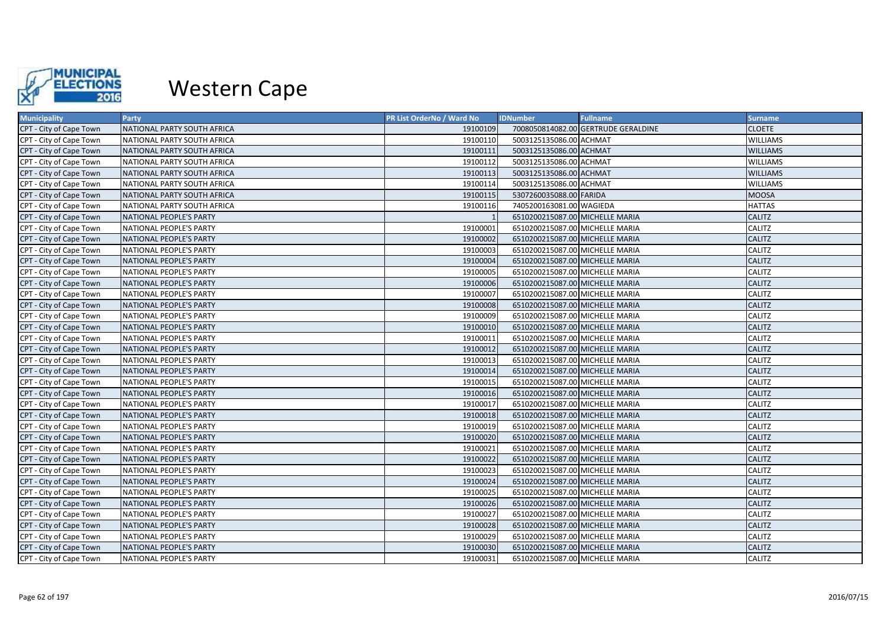

| <b>Municipality</b>     | Party                       | PR List OrderNo / Ward No | <b>IDNumber</b>                 | <b>Fullname</b>                     | <b>Surname</b>  |
|-------------------------|-----------------------------|---------------------------|---------------------------------|-------------------------------------|-----------------|
| CPT - City of Cape Town | NATIONAL PARTY SOUTH AFRICA | 19100109                  |                                 | 7008050814082.00 GERTRUDE GERALDINE | <b>CLOETE</b>   |
| CPT - City of Cape Town | NATIONAL PARTY SOUTH AFRICA | 19100110                  | 5003125135086.00 ACHMAT         |                                     | <b>WILLIAMS</b> |
| CPT - City of Cape Town | NATIONAL PARTY SOUTH AFRICA | 19100111                  | 5003125135086.00 ACHMAT         |                                     | <b>WILLIAMS</b> |
| CPT - City of Cape Town | NATIONAL PARTY SOUTH AFRICA | 19100112                  | 5003125135086.00 ACHMAT         |                                     | <b>WILLIAMS</b> |
| CPT - City of Cape Town | NATIONAL PARTY SOUTH AFRICA | 19100113                  | 5003125135086.00 ACHMAT         |                                     | <b>WILLIAMS</b> |
| CPT - City of Cape Town | NATIONAL PARTY SOUTH AFRICA | 19100114                  | 5003125135086.00 ACHMAT         |                                     | <b>WILLIAMS</b> |
| CPT - City of Cape Town | NATIONAL PARTY SOUTH AFRICA | 19100115                  | 5307260035088.00 FARIDA         |                                     | <b>MOOSA</b>    |
| CPT - City of Cape Town | NATIONAL PARTY SOUTH AFRICA | 19100116                  | 7405200163081.00 WAGIEDA        |                                     | <b>HATTAS</b>   |
| CPT - City of Cape Town | NATIONAL PEOPLE'S PARTY     |                           | 6510200215087.00 MICHELLE MARIA |                                     | <b>CALITZ</b>   |
| CPT - City of Cape Town | NATIONAL PEOPLE'S PARTY     | 19100001                  | 6510200215087.00 MICHELLE MARIA |                                     | <b>CALITZ</b>   |
| CPT - City of Cape Town | NATIONAL PEOPLE'S PARTY     | 19100002                  | 6510200215087.00 MICHELLE MARIA |                                     | <b>CALITZ</b>   |
| CPT - City of Cape Town | NATIONAL PEOPLE'S PARTY     | 19100003                  | 6510200215087.00 MICHELLE MARIA |                                     | <b>CALITZ</b>   |
| CPT - City of Cape Town | NATIONAL PEOPLE'S PARTY     | 19100004                  | 6510200215087.00 MICHELLE MARIA |                                     | <b>CALITZ</b>   |
| CPT - City of Cape Town | NATIONAL PEOPLE'S PARTY     | 19100005                  | 6510200215087.00 MICHELLE MARIA |                                     | <b>CALITZ</b>   |
| CPT - City of Cape Town | NATIONAL PEOPLE'S PARTY     | 19100006                  | 6510200215087.00 MICHELLE MARIA |                                     | <b>CALITZ</b>   |
| CPT - City of Cape Town | NATIONAL PEOPLE'S PARTY     | 19100007                  | 6510200215087.00 MICHELLE MARIA |                                     | <b>CALITZ</b>   |
| CPT - City of Cape Town | NATIONAL PEOPLE'S PARTY     | 19100008                  | 6510200215087.00 MICHELLE MARIA |                                     | <b>CALITZ</b>   |
| CPT - City of Cape Town | NATIONAL PEOPLE'S PARTY     | 19100009                  | 6510200215087.00 MICHELLE MARIA |                                     | <b>CALITZ</b>   |
| CPT - City of Cape Town | NATIONAL PEOPLE'S PARTY     | 19100010                  | 6510200215087.00 MICHELLE MARIA |                                     | <b>CALITZ</b>   |
| CPT - City of Cape Town | NATIONAL PEOPLE'S PARTY     | 19100011                  | 6510200215087.00 MICHELLE MARIA |                                     | <b>CALITZ</b>   |
| CPT - City of Cape Town | NATIONAL PEOPLE'S PARTY     | 19100012                  | 6510200215087.00 MICHELLE MARIA |                                     | <b>CALITZ</b>   |
| CPT - City of Cape Town | NATIONAL PEOPLE'S PARTY     | 19100013                  | 6510200215087.00 MICHELLE MARIA |                                     | <b>CALITZ</b>   |
| CPT - City of Cape Town | NATIONAL PEOPLE'S PARTY     | 19100014                  | 6510200215087.00 MICHELLE MARIA |                                     | <b>CALITZ</b>   |
| CPT - City of Cape Town | NATIONAL PEOPLE'S PARTY     | 19100015                  | 6510200215087.00 MICHELLE MARIA |                                     | CALITZ          |
| CPT - City of Cape Town | NATIONAL PEOPLE'S PARTY     | 19100016                  | 6510200215087.00 MICHELLE MARIA |                                     | <b>CALITZ</b>   |
| CPT - City of Cape Town | NATIONAL PEOPLE'S PARTY     | 19100017                  | 6510200215087.00 MICHELLE MARIA |                                     | <b>CALITZ</b>   |
| CPT - City of Cape Town | NATIONAL PEOPLE'S PARTY     | 19100018                  | 6510200215087.00 MICHELLE MARIA |                                     | <b>CALITZ</b>   |
| CPT - City of Cape Town | NATIONAL PEOPLE'S PARTY     | 19100019                  | 6510200215087.00 MICHELLE MARIA |                                     | <b>CALITZ</b>   |
| CPT - City of Cape Town | NATIONAL PEOPLE'S PARTY     | 19100020                  | 6510200215087.00 MICHELLE MARIA |                                     | <b>CALITZ</b>   |
| CPT - City of Cape Town | NATIONAL PEOPLE'S PARTY     | 19100021                  | 6510200215087.00 MICHELLE MARIA |                                     | <b>CALITZ</b>   |
| CPT - City of Cape Town | NATIONAL PEOPLE'S PARTY     | 19100022                  | 6510200215087.00 MICHELLE MARIA |                                     | <b>CALITZ</b>   |
| CPT - City of Cape Town | NATIONAL PEOPLE'S PARTY     | 19100023                  | 6510200215087.00 MICHELLE MARIA |                                     | <b>CALITZ</b>   |
| CPT - City of Cape Town | NATIONAL PEOPLE'S PARTY     | 19100024                  | 6510200215087.00 MICHELLE MARIA |                                     | <b>CALITZ</b>   |
| CPT - City of Cape Town | NATIONAL PEOPLE'S PARTY     | 19100025                  | 6510200215087.00 MICHELLE MARIA |                                     | <b>CALITZ</b>   |
| CPT - City of Cape Town | NATIONAL PEOPLE'S PARTY     | 19100026                  | 6510200215087.00 MICHELLE MARIA |                                     | <b>CALITZ</b>   |
| CPT - City of Cape Town | NATIONAL PEOPLE'S PARTY     | 19100027                  | 6510200215087.00 MICHELLE MARIA |                                     | <b>CALITZ</b>   |
| CPT - City of Cape Town | NATIONAL PEOPLE'S PARTY     | 19100028                  | 6510200215087.00 MICHELLE MARIA |                                     | <b>CALITZ</b>   |
| CPT - City of Cape Town | NATIONAL PEOPLE'S PARTY     | 19100029                  | 6510200215087.00 MICHELLE MARIA |                                     | CALITZ          |
| CPT - City of Cape Town | NATIONAL PEOPLE'S PARTY     | 19100030                  | 6510200215087.00 MICHELLE MARIA |                                     | <b>CALITZ</b>   |
| CPT - City of Cape Town | NATIONAL PEOPLE'S PARTY     | 19100031                  | 6510200215087.00 MICHELLE MARIA |                                     | <b>CALITZ</b>   |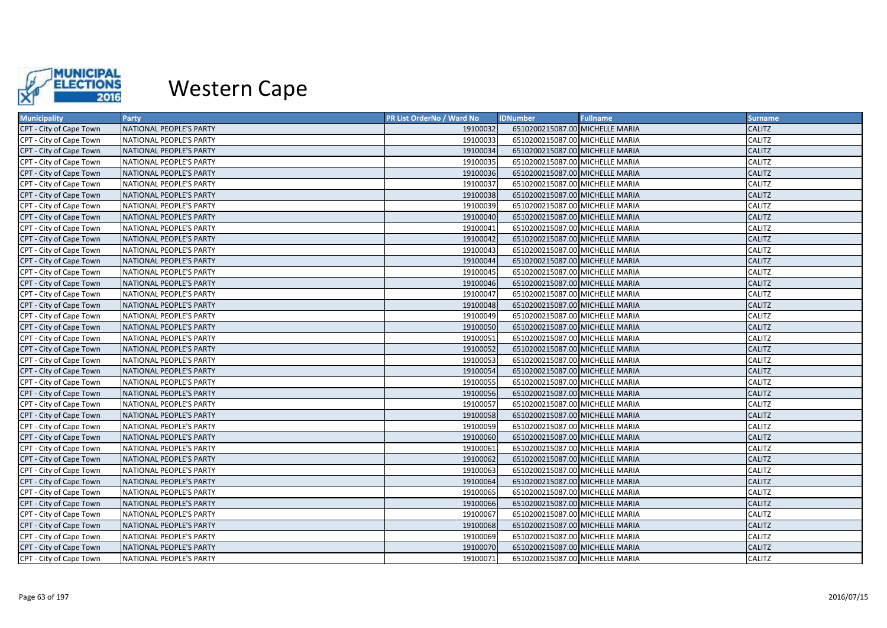

| <b>Municipality</b>     | Party                   | PR List OrderNo / Ward No | <b>IDNumber</b>                 | <b>Fullname</b> | <b>Surname</b> |
|-------------------------|-------------------------|---------------------------|---------------------------------|-----------------|----------------|
| CPT - City of Cape Town | NATIONAL PEOPLE'S PARTY | 19100032                  | 6510200215087.00 MICHELLE MARIA |                 | <b>CALITZ</b>  |
| CPT - City of Cape Town | NATIONAL PEOPLE'S PARTY | 19100033                  | 6510200215087.00 MICHELLE MARIA |                 | <b>CALITZ</b>  |
| CPT - City of Cape Town | NATIONAL PEOPLE'S PARTY | 19100034                  | 6510200215087.00 MICHELLE MARIA |                 | <b>CALITZ</b>  |
| CPT - City of Cape Town | NATIONAL PEOPLE'S PARTY | 19100035                  | 6510200215087.00 MICHELLE MARIA |                 | <b>CALITZ</b>  |
| CPT - City of Cape Town | NATIONAL PEOPLE'S PARTY | 19100036                  | 6510200215087.00 MICHELLE MARIA |                 | <b>CALITZ</b>  |
| CPT - City of Cape Town | NATIONAL PEOPLE'S PARTY | 19100037                  | 6510200215087.00 MICHELLE MARIA |                 | <b>CALITZ</b>  |
| CPT - City of Cape Town | NATIONAL PEOPLE'S PARTY | 19100038                  | 6510200215087.00 MICHELLE MARIA |                 | <b>CALITZ</b>  |
| CPT - City of Cape Town | NATIONAL PEOPLE'S PARTY | 19100039                  | 6510200215087.00 MICHELLE MARIA |                 | <b>CALITZ</b>  |
| CPT - City of Cape Town | NATIONAL PEOPLE'S PARTY | 19100040                  | 6510200215087.00 MICHELLE MARIA |                 | <b>CALITZ</b>  |
| CPT - City of Cape Town | NATIONAL PEOPLE'S PARTY | 19100041                  | 6510200215087.00 MICHELLE MARIA |                 | <b>CALITZ</b>  |
| CPT - City of Cape Town | NATIONAL PEOPLE'S PARTY | 19100042                  | 6510200215087.00 MICHELLE MARIA |                 | <b>CALITZ</b>  |
| CPT - City of Cape Town | NATIONAL PEOPLE'S PARTY | 19100043                  | 6510200215087.00 MICHELLE MARIA |                 | <b>CALITZ</b>  |
| CPT - City of Cape Town | NATIONAL PEOPLE'S PARTY | 19100044                  | 6510200215087.00 MICHELLE MARIA |                 | <b>CALITZ</b>  |
| CPT - City of Cape Town | NATIONAL PEOPLE'S PARTY | 19100045                  | 6510200215087.00 MICHELLE MARIA |                 | <b>CALITZ</b>  |
| CPT - City of Cape Town | NATIONAL PEOPLE'S PARTY | 19100046                  | 6510200215087.00 MICHELLE MARIA |                 | <b>CALITZ</b>  |
| CPT - City of Cape Town | NATIONAL PEOPLE'S PARTY | 19100047                  | 6510200215087.00 MICHELLE MARIA |                 | <b>CALITZ</b>  |
| CPT - City of Cape Town | NATIONAL PEOPLE'S PARTY | 19100048                  | 6510200215087.00 MICHELLE MARIA |                 | <b>CALITZ</b>  |
| CPT - City of Cape Town | NATIONAL PEOPLE'S PARTY | 19100049                  | 6510200215087.00 MICHELLE MARIA |                 | <b>CALITZ</b>  |
| CPT - City of Cape Town | NATIONAL PEOPLE'S PARTY | 19100050                  | 6510200215087.00 MICHELLE MARIA |                 | <b>CALITZ</b>  |
| CPT - City of Cape Town | NATIONAL PEOPLE'S PARTY | 19100051                  | 6510200215087.00 MICHELLE MARIA |                 | <b>CALITZ</b>  |
| CPT - City of Cape Town | NATIONAL PEOPLE'S PARTY | 19100052                  | 6510200215087.00 MICHELLE MARIA |                 | <b>CALITZ</b>  |
| CPT - City of Cape Town | NATIONAL PEOPLE'S PARTY | 19100053                  | 6510200215087.00 MICHELLE MARIA |                 | <b>CALITZ</b>  |
| CPT - City of Cape Town | NATIONAL PEOPLE'S PARTY | 19100054                  | 6510200215087.00 MICHELLE MARIA |                 | <b>CALITZ</b>  |
| CPT - City of Cape Town | NATIONAL PEOPLE'S PARTY | 19100055                  | 6510200215087.00 MICHELLE MARIA |                 | <b>CALITZ</b>  |
| CPT - City of Cape Town | NATIONAL PEOPLE'S PARTY | 19100056                  | 6510200215087.00 MICHELLE MARIA |                 | <b>CALITZ</b>  |
| CPT - City of Cape Town | NATIONAL PEOPLE'S PARTY | 19100057                  | 6510200215087.00 MICHELLE MARIA |                 | CALITZ         |
| CPT - City of Cape Town | NATIONAL PEOPLE'S PARTY | 19100058                  | 6510200215087.00 MICHELLE MARIA |                 | <b>CALITZ</b>  |
| CPT - City of Cape Town | NATIONAL PEOPLE'S PARTY | 19100059                  | 6510200215087.00 MICHELLE MARIA |                 | <b>CALITZ</b>  |
| CPT - City of Cape Town | NATIONAL PEOPLE'S PARTY | 19100060                  | 6510200215087.00 MICHELLE MARIA |                 | <b>CALITZ</b>  |
| CPT - City of Cape Town | NATIONAL PEOPLE'S PARTY | 19100061                  | 6510200215087.00 MICHELLE MARIA |                 | <b>CALITZ</b>  |
| CPT - City of Cape Town | NATIONAL PEOPLE'S PARTY | 19100062                  | 6510200215087.00 MICHELLE MARIA |                 | <b>CALITZ</b>  |
| CPT - City of Cape Town | NATIONAL PEOPLE'S PARTY | 19100063                  | 6510200215087.00 MICHELLE MARIA |                 | <b>CALITZ</b>  |
| CPT - City of Cape Town | NATIONAL PEOPLE'S PARTY | 19100064                  | 6510200215087.00 MICHELLE MARIA |                 | <b>CALITZ</b>  |
| CPT - City of Cape Town | NATIONAL PEOPLE'S PARTY | 19100065                  | 6510200215087.00 MICHELLE MARIA |                 | <b>CALITZ</b>  |
| CPT - City of Cape Town | NATIONAL PEOPLE'S PARTY | 19100066                  | 6510200215087.00 MICHELLE MARIA |                 | <b>CALITZ</b>  |
| CPT - City of Cape Town | NATIONAL PEOPLE'S PARTY | 19100067                  | 6510200215087.00 MICHELLE MARIA |                 | CALITZ         |
| CPT - City of Cape Town | NATIONAL PEOPLE'S PARTY | 19100068                  | 6510200215087.00 MICHELLE MARIA |                 | <b>CALITZ</b>  |
| CPT - City of Cape Town | NATIONAL PEOPLE'S PARTY | 19100069                  | 6510200215087.00 MICHELLE MARIA |                 | <b>CALITZ</b>  |
| CPT - City of Cape Town | NATIONAL PEOPLE'S PARTY | 19100070                  | 6510200215087.00 MICHELLE MARIA |                 | <b>CALITZ</b>  |
| CPT - City of Cape Town | NATIONAL PEOPLE'S PARTY | 19100071                  | 6510200215087.00 MICHELLE MARIA |                 | <b>CALITZ</b>  |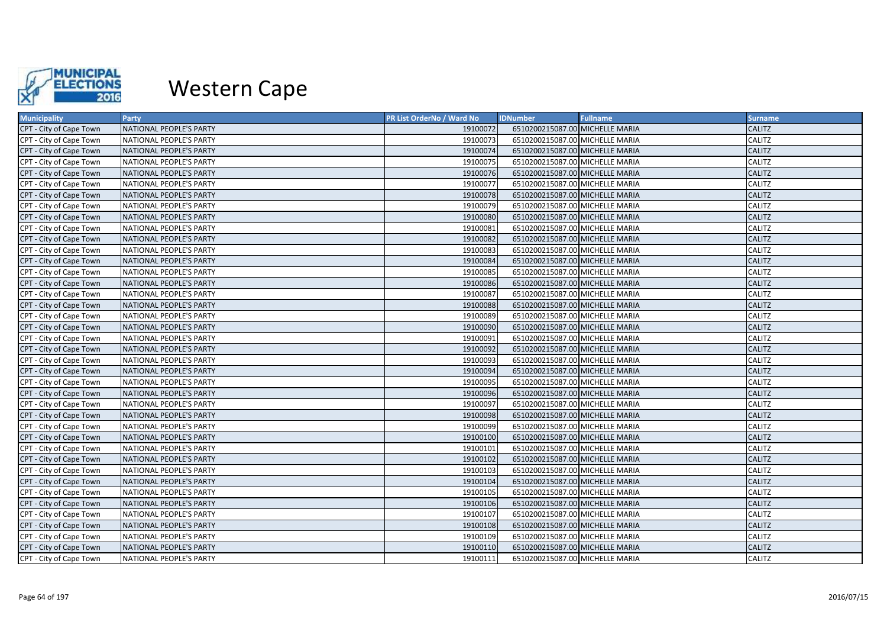

| <b>Municipality</b>     | Party                          | PR List OrderNo / Ward No | <b>IDNumber</b>                 | <b>Fullname</b> | <b>Surname</b> |
|-------------------------|--------------------------------|---------------------------|---------------------------------|-----------------|----------------|
| CPT - City of Cape Town | NATIONAL PEOPLE'S PARTY        | 19100072                  | 6510200215087.00 MICHELLE MARIA |                 | <b>CALITZ</b>  |
| CPT - City of Cape Town | NATIONAL PEOPLE'S PARTY        | 19100073                  | 6510200215087.00 MICHELLE MARIA |                 | <b>CALITZ</b>  |
| CPT - City of Cape Town | NATIONAL PEOPLE'S PARTY        | 19100074                  | 6510200215087.00 MICHELLE MARIA |                 | <b>CALITZ</b>  |
| CPT - City of Cape Town | NATIONAL PEOPLE'S PARTY        | 19100075                  | 6510200215087.00 MICHELLE MARIA |                 | <b>CALITZ</b>  |
| CPT - City of Cape Town | NATIONAL PEOPLE'S PARTY        | 19100076                  | 6510200215087.00 MICHELLE MARIA |                 | <b>CALITZ</b>  |
| CPT - City of Cape Town | NATIONAL PEOPLE'S PARTY        | 19100077                  | 6510200215087.00 MICHELLE MARIA |                 | <b>CALITZ</b>  |
| CPT - City of Cape Town | NATIONAL PEOPLE'S PARTY        | 19100078                  | 6510200215087.00 MICHELLE MARIA |                 | <b>CALITZ</b>  |
| CPT - City of Cape Town | NATIONAL PEOPLE'S PARTY        | 19100079                  | 6510200215087.00 MICHELLE MARIA |                 | <b>CALITZ</b>  |
| CPT - City of Cape Town | NATIONAL PEOPLE'S PARTY        | 19100080                  | 6510200215087.00 MICHELLE MARIA |                 | <b>CALITZ</b>  |
| CPT - City of Cape Town | NATIONAL PEOPLE'S PARTY        | 19100081                  | 6510200215087.00 MICHELLE MARIA |                 | <b>CALITZ</b>  |
| CPT - City of Cape Town | NATIONAL PEOPLE'S PARTY        | 19100082                  | 6510200215087.00 MICHELLE MARIA |                 | <b>CALITZ</b>  |
| CPT - City of Cape Town | NATIONAL PEOPLE'S PARTY        | 19100083                  | 6510200215087.00 MICHELLE MARIA |                 | <b>CALITZ</b>  |
| CPT - City of Cape Town | NATIONAL PEOPLE'S PARTY        | 19100084                  | 6510200215087.00 MICHELLE MARIA |                 | <b>CALITZ</b>  |
| CPT - City of Cape Town | NATIONAL PEOPLE'S PARTY        | 19100085                  | 6510200215087.00 MICHELLE MARIA |                 | <b>CALITZ</b>  |
| CPT - City of Cape Town | NATIONAL PEOPLE'S PARTY        | 19100086                  | 6510200215087.00 MICHELLE MARIA |                 | <b>CALITZ</b>  |
| CPT - City of Cape Town | NATIONAL PEOPLE'S PARTY        | 19100087                  | 6510200215087.00 MICHELLE MARIA |                 | <b>CALITZ</b>  |
| CPT - City of Cape Town | NATIONAL PEOPLE'S PARTY        | 19100088                  | 6510200215087.00 MICHELLE MARIA |                 | <b>CALITZ</b>  |
| CPT - City of Cape Town | NATIONAL PEOPLE'S PARTY        | 19100089                  | 6510200215087.00 MICHELLE MARIA |                 | CALITZ         |
| CPT - City of Cape Town | NATIONAL PEOPLE'S PARTY        | 19100090                  | 6510200215087.00 MICHELLE MARIA |                 | <b>CALITZ</b>  |
| CPT - City of Cape Town | NATIONAL PEOPLE'S PARTY        | 19100091                  | 6510200215087.00 MICHELLE MARIA |                 | <b>CALITZ</b>  |
| CPT - City of Cape Town | NATIONAL PEOPLE'S PARTY        | 19100092                  | 6510200215087.00 MICHELLE MARIA |                 | <b>CALITZ</b>  |
| CPT - City of Cape Town | NATIONAL PEOPLE'S PARTY        | 19100093                  | 6510200215087.00 MICHELLE MARIA |                 | CALITZ         |
| CPT - City of Cape Town | <b>NATIONAL PEOPLE'S PARTY</b> | 19100094                  | 6510200215087.00 MICHELLE MARIA |                 | <b>CALITZ</b>  |
| CPT - City of Cape Town | NATIONAL PEOPLE'S PARTY        | 19100095                  | 6510200215087.00 MICHELLE MARIA |                 | <b>CALITZ</b>  |
| CPT - City of Cape Town | NATIONAL PEOPLE'S PARTY        | 19100096                  | 6510200215087.00 MICHELLE MARIA |                 | <b>CALITZ</b>  |
| CPT - City of Cape Town | NATIONAL PEOPLE'S PARTY        | 19100097                  | 6510200215087.00 MICHELLE MARIA |                 | <b>CALITZ</b>  |
| CPT - City of Cape Town | NATIONAL PEOPLE'S PARTY        | 19100098                  | 6510200215087.00 MICHELLE MARIA |                 | <b>CALITZ</b>  |
| CPT - City of Cape Town | NATIONAL PEOPLE'S PARTY        | 19100099                  | 6510200215087.00 MICHELLE MARIA |                 | <b>CALITZ</b>  |
| CPT - City of Cape Town | NATIONAL PEOPLE'S PARTY        | 19100100                  | 6510200215087.00 MICHELLE MARIA |                 | <b>CALITZ</b>  |
| CPT - City of Cape Town | NATIONAL PEOPLE'S PARTY        | 19100101                  | 6510200215087.00 MICHELLE MARIA |                 | <b>CALITZ</b>  |
| CPT - City of Cape Town | NATIONAL PEOPLE'S PARTY        | 19100102                  | 6510200215087.00 MICHELLE MARIA |                 | <b>CALITZ</b>  |
| CPT - City of Cape Town | NATIONAL PEOPLE'S PARTY        | 19100103                  | 6510200215087.00 MICHELLE MARIA |                 | <b>CALITZ</b>  |
| CPT - City of Cape Town | NATIONAL PEOPLE'S PARTY        | 19100104                  | 6510200215087.00 MICHELLE MARIA |                 | <b>CALITZ</b>  |
| CPT - City of Cape Town | NATIONAL PEOPLE'S PARTY        | 19100105                  | 6510200215087.00 MICHELLE MARIA |                 | CALITZ         |
| CPT - City of Cape Town | NATIONAL PEOPLE'S PARTY        | 19100106                  | 6510200215087.00 MICHELLE MARIA |                 | <b>CALITZ</b>  |
| CPT - City of Cape Town | NATIONAL PEOPLE'S PARTY        | 19100107                  | 6510200215087.00 MICHELLE MARIA |                 | <b>CALITZ</b>  |
| CPT - City of Cape Town | NATIONAL PEOPLE'S PARTY        | 19100108                  | 6510200215087.00 MICHELLE MARIA |                 | <b>CALITZ</b>  |
| CPT - City of Cape Town | NATIONAL PEOPLE'S PARTY        | 19100109                  | 6510200215087.00 MICHELLE MARIA |                 | <b>CALITZ</b>  |
| CPT - City of Cape Town | NATIONAL PEOPLE'S PARTY        | 19100110                  | 6510200215087.00 MICHELLE MARIA |                 | <b>CALITZ</b>  |
| CPT - City of Cape Town | NATIONAL PEOPLE'S PARTY        | 19100111                  | 6510200215087.00 MICHELLE MARIA |                 | CALITZ         |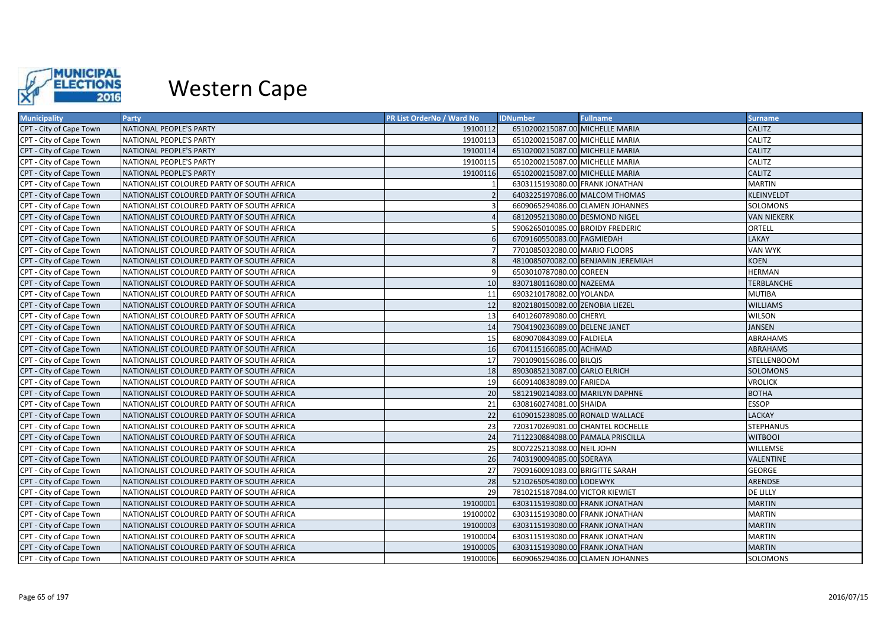

| <b>Municipality</b>     | Party                                      | <b>PR List OrderNo / Ward No</b> | <b>IDNumber</b>                   | <b>Fullname</b>                    | <b>Surname</b>     |
|-------------------------|--------------------------------------------|----------------------------------|-----------------------------------|------------------------------------|--------------------|
| CPT - City of Cape Town | NATIONAL PEOPLE'S PARTY                    | 19100112                         | 6510200215087.00 MICHELLE MARIA   |                                    | <b>CALITZ</b>      |
| CPT - City of Cape Town | NATIONAL PEOPLE'S PARTY                    | 19100113                         | 6510200215087.00 MICHELLE MARIA   |                                    | CALITZ             |
| CPT - City of Cape Town | NATIONAL PEOPLE'S PARTY                    | 19100114                         | 6510200215087.00 MICHELLE MARIA   |                                    | <b>CALITZ</b>      |
| CPT - City of Cape Town | NATIONAL PEOPLE'S PARTY                    | 19100115                         | 6510200215087.00 MICHELLE MARIA   |                                    | <b>CALITZ</b>      |
| CPT - City of Cape Town | NATIONAL PEOPLE'S PARTY                    | 19100116                         | 6510200215087.00 MICHELLE MARIA   |                                    | <b>CALITZ</b>      |
| CPT - City of Cape Town | NATIONALIST COLOURED PARTY OF SOUTH AFRICA |                                  | 6303115193080.00 FRANK JONATHAN   |                                    | <b>MARTIN</b>      |
| CPT - City of Cape Town | NATIONALIST COLOURED PARTY OF SOUTH AFRICA |                                  |                                   | 6403225197086.00 MALCOM THOMAS     | <b>KLEINVELDT</b>  |
| CPT - City of Cape Town | NATIONALIST COLOURED PARTY OF SOUTH AFRICA |                                  |                                   | 6609065294086.00 CLAMEN JOHANNES   | SOLOMONS           |
| CPT - City of Cape Town | NATIONALIST COLOURED PARTY OF SOUTH AFRICA |                                  | 6812095213080.00 DESMOND NIGEL    |                                    | <b>VAN NIEKERK</b> |
| CPT - City of Cape Town | NATIONALIST COLOURED PARTY OF SOUTH AFRICA |                                  | 5906265010085.00 BROIDY FREDERIC  |                                    | ORTELL             |
| CPT - City of Cape Town | NATIONALIST COLOURED PARTY OF SOUTH AFRICA |                                  | 6709160550083.00 FAGMIEDAH        |                                    | <b>LAKAY</b>       |
| CPT - City of Cape Town | NATIONALIST COLOURED PARTY OF SOUTH AFRICA |                                  | 7701085032080.00 MARIO FLOORS     |                                    | <b>VAN WYK</b>     |
| CPT - City of Cape Town | NATIONALIST COLOURED PARTY OF SOUTH AFRICA |                                  |                                   | 4810085070082.00 BENJAMIN JEREMIAH | <b>KOEN</b>        |
| CPT - City of Cape Town | NATIONALIST COLOURED PARTY OF SOUTH AFRICA |                                  | 6503010787080.00 COREEN           |                                    | <b>HERMAN</b>      |
| CPT - City of Cape Town | NATIONALIST COLOURED PARTY OF SOUTH AFRICA | 10                               | 8307180116080.00 NAZEEMA          |                                    | <b>TERBLANCHE</b>  |
| CPT - City of Cape Town | NATIONALIST COLOURED PARTY OF SOUTH AFRICA | 11                               | 6903210178082.00 YOLANDA          |                                    | <b>MUTIBA</b>      |
| CPT - City of Cape Town | NATIONALIST COLOURED PARTY OF SOUTH AFRICA | 12                               | 8202180150082.00 ZENOBIA LIEZEL   |                                    | <b>WILLIAMS</b>    |
| CPT - City of Cape Town | NATIONALIST COLOURED PARTY OF SOUTH AFRICA | 13                               | 6401260789080.00 CHERYL           |                                    | <b>WILSON</b>      |
| CPT - City of Cape Town | NATIONALIST COLOURED PARTY OF SOUTH AFRICA | 14                               | 7904190236089.00 DELENE JANET     |                                    | <b>JANSEN</b>      |
| CPT - City of Cape Town | NATIONALIST COLOURED PARTY OF SOUTH AFRICA | 15                               | 6809070843089.00 FALDIELA         |                                    | ABRAHAMS           |
| CPT - City of Cape Town | NATIONALIST COLOURED PARTY OF SOUTH AFRICA | 16                               | 6704115166085.00 ACHMAD           |                                    | ABRAHAMS           |
| CPT - City of Cape Town | NATIONALIST COLOURED PARTY OF SOUTH AFRICA | 17                               | 7901090156086.00 BILQIS           |                                    | <b>STELLENBOOM</b> |
| CPT - City of Cape Town | NATIONALIST COLOURED PARTY OF SOUTH AFRICA | 18                               | 8903085213087.00 CARLO ELRICH     |                                    | <b>SOLOMONS</b>    |
| CPT - City of Cape Town | NATIONALIST COLOURED PARTY OF SOUTH AFRICA | 19                               | 6609140838089.00 FARIEDA          |                                    | <b>VROLICK</b>     |
| CPT - City of Cape Town | NATIONALIST COLOURED PARTY OF SOUTH AFRICA | 20                               | 5812190214083.00 MARILYN DAPHNE   |                                    | <b>BOTHA</b>       |
| CPT - City of Cape Town | NATIONALIST COLOURED PARTY OF SOUTH AFRICA | 21                               | 6308160274081.00 SHAIDA           |                                    | <b>ESSOP</b>       |
| CPT - City of Cape Town | NATIONALIST COLOURED PARTY OF SOUTH AFRICA | 22                               |                                   | 6109015238085.00 RONALD WALLACE    | <b>LACKAY</b>      |
| CPT - City of Cape Town | NATIONALIST COLOURED PARTY OF SOUTH AFRICA | 23                               |                                   | 7203170269081.00 CHANTEL ROCHELLE  | <b>STEPHANUS</b>   |
| CPT - City of Cape Town | NATIONALIST COLOURED PARTY OF SOUTH AFRICA | 24                               | 7112230884088.00 PAMALA PRISCILLA |                                    | <b>WITBOOI</b>     |
| CPT - City of Cape Town | NATIONALIST COLOURED PARTY OF SOUTH AFRICA | 25                               | 8007225213088.00 NEIL JOHN        |                                    | <b>WILLEMSE</b>    |
| CPT - City of Cape Town | NATIONALIST COLOURED PARTY OF SOUTH AFRICA | 26                               | 7403190094085.00 SOERAYA          |                                    | <b>VALENTINE</b>   |
| CPT - City of Cape Town | NATIONALIST COLOURED PARTY OF SOUTH AFRICA | 27                               | 7909160091083.00 BRIGITTE SARAH   |                                    | <b>GEORGE</b>      |
| CPT - City of Cape Town | NATIONALIST COLOURED PARTY OF SOUTH AFRICA | 28                               | 5210265054080.00 LODEWYK          |                                    | <b>ARENDSE</b>     |
| CPT - City of Cape Town | NATIONALIST COLOURED PARTY OF SOUTH AFRICA | 29                               | 7810215187084.00 VICTOR KIEWIET   |                                    | <b>DE LILLY</b>    |
| CPT - City of Cape Town | NATIONALIST COLOURED PARTY OF SOUTH AFRICA | 19100001                         | 6303115193080.00 FRANK JONATHAN   |                                    | <b>MARTIN</b>      |
| CPT - City of Cape Town | NATIONALIST COLOURED PARTY OF SOUTH AFRICA | 19100002                         | 6303115193080.00 FRANK JONATHAN   |                                    | <b>MARTIN</b>      |
| CPT - City of Cape Town | NATIONALIST COLOURED PARTY OF SOUTH AFRICA | 19100003                         | 6303115193080.00 FRANK JONATHAN   |                                    | <b>MARTIN</b>      |
| CPT - City of Cape Town | NATIONALIST COLOURED PARTY OF SOUTH AFRICA | 19100004                         | 6303115193080.00 FRANK JONATHAN   |                                    | <b>MARTIN</b>      |
| CPT - City of Cape Town | NATIONALIST COLOURED PARTY OF SOUTH AFRICA | 19100005                         | 6303115193080.00 FRANK JONATHAN   |                                    | <b>MARTIN</b>      |
| CPT - City of Cape Town | NATIONALIST COLOURED PARTY OF SOUTH AFRICA | 19100006                         |                                   | 6609065294086.00 CLAMEN JOHANNES   | <b>SOLOMONS</b>    |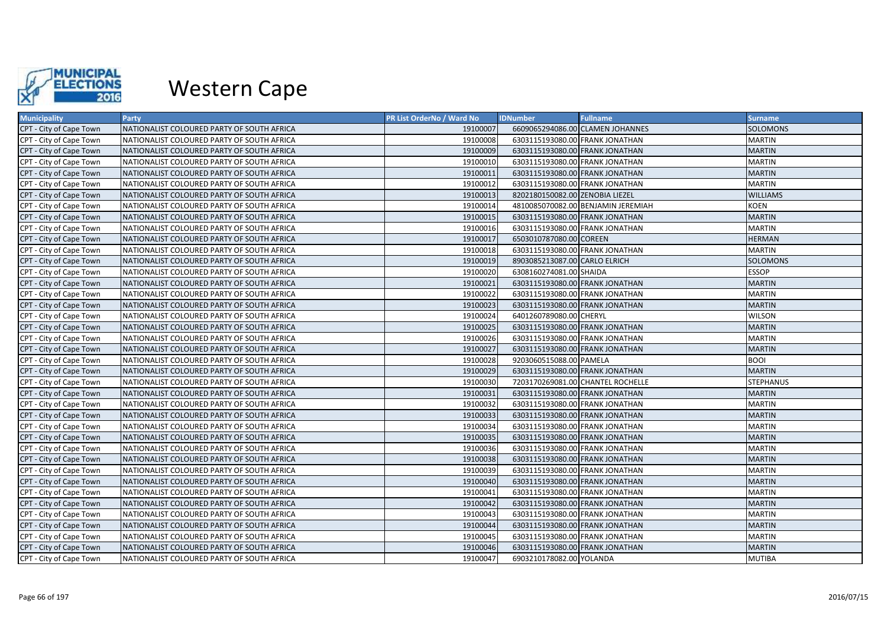

| <b>Municipality</b>     | Party                                      | <b>PR List OrderNo / Ward No</b> | <b>IDNumber</b>                 | <b>Fullname</b>                    | <b>Surname</b>   |
|-------------------------|--------------------------------------------|----------------------------------|---------------------------------|------------------------------------|------------------|
| CPT - City of Cape Town | NATIONALIST COLOURED PARTY OF SOUTH AFRICA | 19100007                         |                                 | 6609065294086.00 CLAMEN JOHANNES   | <b>SOLOMONS</b>  |
| CPT - City of Cape Town | NATIONALIST COLOURED PARTY OF SOUTH AFRICA | 19100008                         | 6303115193080.00 FRANK JONATHAN |                                    | <b>MARTIN</b>    |
| CPT - City of Cape Town | NATIONALIST COLOURED PARTY OF SOUTH AFRICA | 19100009                         | 6303115193080.00 FRANK JONATHAN |                                    | <b>MARTIN</b>    |
| CPT - City of Cape Town | NATIONALIST COLOURED PARTY OF SOUTH AFRICA | 19100010                         | 6303115193080.00 FRANK JONATHAN |                                    | <b>MARTIN</b>    |
| CPT - City of Cape Town | NATIONALIST COLOURED PARTY OF SOUTH AFRICA | 19100011                         | 6303115193080.00 FRANK JONATHAN |                                    | <b>MARTIN</b>    |
| CPT - City of Cape Town | NATIONALIST COLOURED PARTY OF SOUTH AFRICA | 19100012                         | 6303115193080.00 FRANK JONATHAN |                                    | <b>MARTIN</b>    |
| CPT - City of Cape Town | NATIONALIST COLOURED PARTY OF SOUTH AFRICA | 19100013                         | 8202180150082.00 ZENOBIA LIEZEL |                                    | <b>WILLIAMS</b>  |
| CPT - City of Cape Town | NATIONALIST COLOURED PARTY OF SOUTH AFRICA | 19100014                         |                                 | 4810085070082.00 BENJAMIN JEREMIAH | <b>KOEN</b>      |
| CPT - City of Cape Town | NATIONALIST COLOURED PARTY OF SOUTH AFRICA | 19100015                         | 6303115193080.00 FRANK JONATHAN |                                    | <b>MARTIN</b>    |
| CPT - City of Cape Town | NATIONALIST COLOURED PARTY OF SOUTH AFRICA | 19100016                         | 6303115193080.00 FRANK JONATHAN |                                    | <b>MARTIN</b>    |
| CPT - City of Cape Town | NATIONALIST COLOURED PARTY OF SOUTH AFRICA | 19100017                         | 6503010787080.00 COREEN         |                                    | <b>HERMAN</b>    |
| CPT - City of Cape Town | NATIONALIST COLOURED PARTY OF SOUTH AFRICA | 19100018                         | 6303115193080.00 FRANK JONATHAN |                                    | <b>MARTIN</b>    |
| CPT - City of Cape Town | NATIONALIST COLOURED PARTY OF SOUTH AFRICA | 19100019                         | 8903085213087.00 CARLO ELRICH   |                                    | <b>SOLOMONS</b>  |
| CPT - City of Cape Town | NATIONALIST COLOURED PARTY OF SOUTH AFRICA | 19100020                         | 6308160274081.00 SHAIDA         |                                    | <b>ESSOP</b>     |
| CPT - City of Cape Town | NATIONALIST COLOURED PARTY OF SOUTH AFRICA | 19100021                         | 6303115193080.00 FRANK JONATHAN |                                    | <b>MARTIN</b>    |
| CPT - City of Cape Town | NATIONALIST COLOURED PARTY OF SOUTH AFRICA | 19100022                         | 6303115193080.00 FRANK JONATHAN |                                    | <b>MARTIN</b>    |
| CPT - City of Cape Town | NATIONALIST COLOURED PARTY OF SOUTH AFRICA | 19100023                         | 6303115193080.00 FRANK JONATHAN |                                    | <b>MARTIN</b>    |
| CPT - City of Cape Town | NATIONALIST COLOURED PARTY OF SOUTH AFRICA | 19100024                         | 6401260789080.00 CHERYL         |                                    | <b>WILSON</b>    |
| CPT - City of Cape Town | NATIONALIST COLOURED PARTY OF SOUTH AFRICA | 19100025                         | 6303115193080.00 FRANK JONATHAN |                                    | <b>MARTIN</b>    |
| CPT - City of Cape Town | NATIONALIST COLOURED PARTY OF SOUTH AFRICA | 19100026                         | 6303115193080.00 FRANK JONATHAN |                                    | <b>MARTIN</b>    |
| CPT - City of Cape Town | NATIONALIST COLOURED PARTY OF SOUTH AFRICA | 19100027                         | 6303115193080.00 FRANK JONATHAN |                                    | <b>MARTIN</b>    |
| CPT - City of Cape Town | NATIONALIST COLOURED PARTY OF SOUTH AFRICA | 19100028                         | 9203060515088.00 PAMELA         |                                    | <b>BOOI</b>      |
| CPT - City of Cape Town | NATIONALIST COLOURED PARTY OF SOUTH AFRICA | 19100029                         | 6303115193080.00 FRANK JONATHAN |                                    | <b>MARTIN</b>    |
| CPT - City of Cape Town | NATIONALIST COLOURED PARTY OF SOUTH AFRICA | 19100030                         |                                 | 7203170269081.00 CHANTEL ROCHELLE  | <b>STEPHANUS</b> |
| CPT - City of Cape Town | NATIONALIST COLOURED PARTY OF SOUTH AFRICA | 19100031                         | 6303115193080.00 FRANK JONATHAN |                                    | <b>MARTIN</b>    |
| CPT - City of Cape Town | NATIONALIST COLOURED PARTY OF SOUTH AFRICA | 19100032                         | 6303115193080.00 FRANK JONATHAN |                                    | <b>MARTIN</b>    |
| CPT - City of Cape Town | NATIONALIST COLOURED PARTY OF SOUTH AFRICA | 19100033                         | 6303115193080.00 FRANK JONATHAN |                                    | <b>MARTIN</b>    |
| CPT - City of Cape Town | NATIONALIST COLOURED PARTY OF SOUTH AFRICA | 19100034                         | 6303115193080.00 FRANK JONATHAN |                                    | <b>MARTIN</b>    |
| CPT - City of Cape Town | NATIONALIST COLOURED PARTY OF SOUTH AFRICA | 19100035                         | 6303115193080.00 FRANK JONATHAN |                                    | <b>MARTIN</b>    |
| CPT - City of Cape Town | NATIONALIST COLOURED PARTY OF SOUTH AFRICA | 19100036                         | 6303115193080.00 FRANK JONATHAN |                                    | <b>MARTIN</b>    |
| CPT - City of Cape Town | NATIONALIST COLOURED PARTY OF SOUTH AFRICA | 19100038                         | 6303115193080.00 FRANK JONATHAN |                                    | <b>MARTIN</b>    |
| CPT - City of Cape Town | NATIONALIST COLOURED PARTY OF SOUTH AFRICA | 19100039                         | 6303115193080.00 FRANK JONATHAN |                                    | <b>MARTIN</b>    |
| CPT - City of Cape Town | NATIONALIST COLOURED PARTY OF SOUTH AFRICA | 19100040                         | 6303115193080.00 FRANK JONATHAN |                                    | <b>MARTIN</b>    |
| CPT - City of Cape Town | NATIONALIST COLOURED PARTY OF SOUTH AFRICA | 19100041                         | 6303115193080.00 FRANK JONATHAN |                                    | <b>MARTIN</b>    |
| CPT - City of Cape Town | NATIONALIST COLOURED PARTY OF SOUTH AFRICA | 19100042                         | 6303115193080.00 FRANK JONATHAN |                                    | <b>MARTIN</b>    |
| CPT - City of Cape Town | NATIONALIST COLOURED PARTY OF SOUTH AFRICA | 19100043                         | 6303115193080.00 FRANK JONATHAN |                                    | <b>MARTIN</b>    |
| CPT - City of Cape Town | NATIONALIST COLOURED PARTY OF SOUTH AFRICA | 19100044                         | 6303115193080.00 FRANK JONATHAN |                                    | <b>MARTIN</b>    |
| CPT - City of Cape Town | NATIONALIST COLOURED PARTY OF SOUTH AFRICA | 19100045                         | 6303115193080.00 FRANK JONATHAN |                                    | <b>MARTIN</b>    |
| CPT - City of Cape Town | NATIONALIST COLOURED PARTY OF SOUTH AFRICA | 19100046                         | 6303115193080.00 FRANK JONATHAN |                                    | <b>MARTIN</b>    |
| CPT - City of Cape Town | NATIONALIST COLOURED PARTY OF SOUTH AFRICA | 19100047                         | 6903210178082.00 YOLANDA        |                                    | <b>MUTIBA</b>    |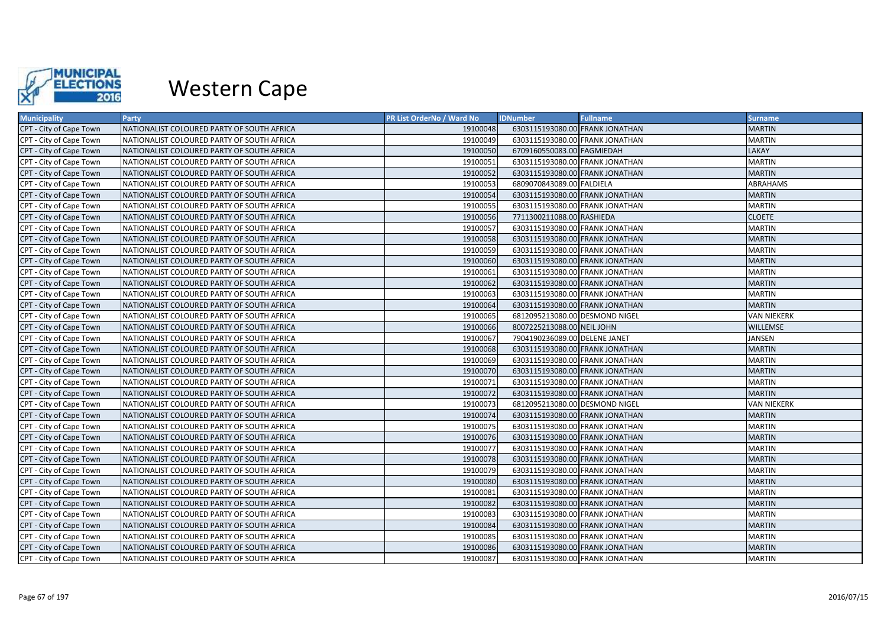

| <b>Municipality</b>     | Party                                      | <b>PR List OrderNo / Ward No</b> | <b>IDNumber</b>                 | <b>Fullname</b> | <b>Surname</b>     |
|-------------------------|--------------------------------------------|----------------------------------|---------------------------------|-----------------|--------------------|
| CPT - City of Cape Town | NATIONALIST COLOURED PARTY OF SOUTH AFRICA | 19100048                         | 6303115193080.00 FRANK JONATHAN |                 | <b>MARTIN</b>      |
| CPT - City of Cape Town | NATIONALIST COLOURED PARTY OF SOUTH AFRICA | 19100049                         | 6303115193080.00 FRANK JONATHAN |                 | <b>MARTIN</b>      |
| CPT - City of Cape Town | NATIONALIST COLOURED PARTY OF SOUTH AFRICA | 19100050                         | 6709160550083.00 FAGMIEDAH      |                 | <b>LAKAY</b>       |
| CPT - City of Cape Town | NATIONALIST COLOURED PARTY OF SOUTH AFRICA | 19100051                         | 6303115193080.00 FRANK JONATHAN |                 | <b>MARTIN</b>      |
| CPT - City of Cape Town | NATIONALIST COLOURED PARTY OF SOUTH AFRICA | 19100052                         | 6303115193080.00 FRANK JONATHAN |                 | <b>MARTIN</b>      |
| CPT - City of Cape Town | NATIONALIST COLOURED PARTY OF SOUTH AFRICA | 19100053                         | 6809070843089.00 FALDIELA       |                 | ABRAHAMS           |
| CPT - City of Cape Town | NATIONALIST COLOURED PARTY OF SOUTH AFRICA | 19100054                         | 6303115193080.00 FRANK JONATHAN |                 | <b>MARTIN</b>      |
| CPT - City of Cape Town | NATIONALIST COLOURED PARTY OF SOUTH AFRICA | 19100055                         | 6303115193080.00 FRANK JONATHAN |                 | <b>MARTIN</b>      |
| CPT - City of Cape Town | NATIONALIST COLOURED PARTY OF SOUTH AFRICA | 19100056                         | 7711300211088.00 RASHIEDA       |                 | <b>CLOETE</b>      |
| CPT - City of Cape Town | NATIONALIST COLOURED PARTY OF SOUTH AFRICA | 19100057                         | 6303115193080.00 FRANK JONATHAN |                 | <b>MARTIN</b>      |
| CPT - City of Cape Town | NATIONALIST COLOURED PARTY OF SOUTH AFRICA | 19100058                         | 6303115193080.00 FRANK JONATHAN |                 | <b>MARTIN</b>      |
| CPT - City of Cape Town | NATIONALIST COLOURED PARTY OF SOUTH AFRICA | 19100059                         | 6303115193080.00 FRANK JONATHAN |                 | <b>MARTIN</b>      |
| CPT - City of Cape Town | NATIONALIST COLOURED PARTY OF SOUTH AFRICA | 19100060                         | 6303115193080.00 FRANK JONATHAN |                 | <b>MARTIN</b>      |
| CPT - City of Cape Town | NATIONALIST COLOURED PARTY OF SOUTH AFRICA | 19100061                         | 6303115193080.00 FRANK JONATHAN |                 | <b>MARTIN</b>      |
| CPT - City of Cape Town | NATIONALIST COLOURED PARTY OF SOUTH AFRICA | 19100062                         | 6303115193080.00 FRANK JONATHAN |                 | <b>MARTIN</b>      |
| CPT - City of Cape Town | NATIONALIST COLOURED PARTY OF SOUTH AFRICA | 19100063                         | 6303115193080.00 FRANK JONATHAN |                 | <b>MARTIN</b>      |
| CPT - City of Cape Town | NATIONALIST COLOURED PARTY OF SOUTH AFRICA | 19100064                         | 6303115193080.00 FRANK JONATHAN |                 | <b>MARTIN</b>      |
| CPT - City of Cape Town | NATIONALIST COLOURED PARTY OF SOUTH AFRICA | 19100065                         | 6812095213080.00 DESMOND NIGEL  |                 | <b>VAN NIEKERK</b> |
| CPT - City of Cape Town | NATIONALIST COLOURED PARTY OF SOUTH AFRICA | 19100066                         | 8007225213088.00 NEIL JOHN      |                 | <b>WILLEMSE</b>    |
| CPT - City of Cape Town | NATIONALIST COLOURED PARTY OF SOUTH AFRICA | 19100067                         | 7904190236089.00 DELENE JANET   |                 | <b>JANSEN</b>      |
| CPT - City of Cape Town | NATIONALIST COLOURED PARTY OF SOUTH AFRICA | 19100068                         | 6303115193080.00 FRANK JONATHAN |                 | <b>MARTIN</b>      |
| CPT - City of Cape Town | NATIONALIST COLOURED PARTY OF SOUTH AFRICA | 19100069                         | 6303115193080.00 FRANK JONATHAN |                 | <b>MARTIN</b>      |
| CPT - City of Cape Town | NATIONALIST COLOURED PARTY OF SOUTH AFRICA | 19100070                         | 6303115193080.00 FRANK JONATHAN |                 | <b>MARTIN</b>      |
| CPT - City of Cape Town | NATIONALIST COLOURED PARTY OF SOUTH AFRICA | 19100071                         | 6303115193080.00 FRANK JONATHAN |                 | <b>MARTIN</b>      |
| CPT - City of Cape Town | NATIONALIST COLOURED PARTY OF SOUTH AFRICA | 19100072                         | 6303115193080.00 FRANK JONATHAN |                 | <b>MARTIN</b>      |
| CPT - City of Cape Town | NATIONALIST COLOURED PARTY OF SOUTH AFRICA | 19100073                         | 6812095213080.00 DESMOND NIGEL  |                 | <b>VAN NIEKERK</b> |
| CPT - City of Cape Town | NATIONALIST COLOURED PARTY OF SOUTH AFRICA | 19100074                         | 6303115193080.00 FRANK JONATHAN |                 | <b>MARTIN</b>      |
| CPT - City of Cape Town | NATIONALIST COLOURED PARTY OF SOUTH AFRICA | 19100075                         | 6303115193080.00 FRANK JONATHAN |                 | <b>MARTIN</b>      |
| CPT - City of Cape Town | NATIONALIST COLOURED PARTY OF SOUTH AFRICA | 19100076                         | 6303115193080.00 FRANK JONATHAN |                 | <b>MARTIN</b>      |
| CPT - City of Cape Town | NATIONALIST COLOURED PARTY OF SOUTH AFRICA | 19100077                         | 6303115193080.00 FRANK JONATHAN |                 | <b>MARTIN</b>      |
| CPT - City of Cape Town | NATIONALIST COLOURED PARTY OF SOUTH AFRICA | 19100078                         | 6303115193080.00 FRANK JONATHAN |                 | <b>MARTIN</b>      |
| CPT - City of Cape Town | NATIONALIST COLOURED PARTY OF SOUTH AFRICA | 19100079                         | 6303115193080.00 FRANK JONATHAN |                 | <b>MARTIN</b>      |
| CPT - City of Cape Town | NATIONALIST COLOURED PARTY OF SOUTH AFRICA | 19100080                         | 6303115193080.00 FRANK JONATHAN |                 | <b>MARTIN</b>      |
| CPT - City of Cape Town | NATIONALIST COLOURED PARTY OF SOUTH AFRICA | 19100081                         | 6303115193080.00 FRANK JONATHAN |                 | <b>MARTIN</b>      |
| CPT - City of Cape Town | NATIONALIST COLOURED PARTY OF SOUTH AFRICA | 19100082                         | 6303115193080.00 FRANK JONATHAN |                 | <b>MARTIN</b>      |
| CPT - City of Cape Town | NATIONALIST COLOURED PARTY OF SOUTH AFRICA | 19100083                         | 6303115193080.00 FRANK JONATHAN |                 | <b>MARTIN</b>      |
| CPT - City of Cape Town | NATIONALIST COLOURED PARTY OF SOUTH AFRICA | 19100084                         | 6303115193080.00 FRANK JONATHAN |                 | <b>MARTIN</b>      |
| CPT - City of Cape Town | NATIONALIST COLOURED PARTY OF SOUTH AFRICA | 19100085                         | 6303115193080.00 FRANK JONATHAN |                 | <b>MARTIN</b>      |
| CPT - City of Cape Town | NATIONALIST COLOURED PARTY OF SOUTH AFRICA | 19100086                         | 6303115193080.00 FRANK JONATHAN |                 | <b>MARTIN</b>      |
| CPT - City of Cape Town | NATIONALIST COLOURED PARTY OF SOUTH AFRICA | 19100087                         | 6303115193080.00 FRANK JONATHAN |                 | <b>MARTIN</b>      |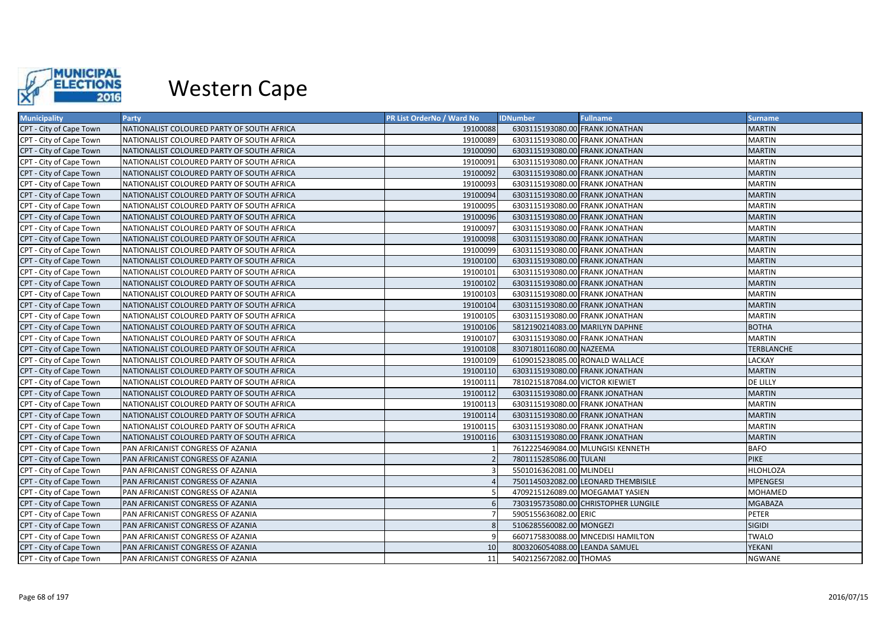

| <b>Municipality</b>     | Party                                      | <b>PR List OrderNo / Ward No</b> | <b>IDNumber</b>                 | <b>Fullname</b>                      | <b>Surname</b>  |
|-------------------------|--------------------------------------------|----------------------------------|---------------------------------|--------------------------------------|-----------------|
| CPT - City of Cape Town | NATIONALIST COLOURED PARTY OF SOUTH AFRICA | 19100088                         | 6303115193080.00 FRANK JONATHAN |                                      | <b>MARTIN</b>   |
| CPT - City of Cape Town | NATIONALIST COLOURED PARTY OF SOUTH AFRICA | 19100089                         | 6303115193080.00 FRANK JONATHAN |                                      | <b>MARTIN</b>   |
| CPT - City of Cape Town | NATIONALIST COLOURED PARTY OF SOUTH AFRICA | 19100090                         | 6303115193080.00 FRANK JONATHAN |                                      | <b>MARTIN</b>   |
| CPT - City of Cape Town | NATIONALIST COLOURED PARTY OF SOUTH AFRICA | 19100091                         | 6303115193080.00 FRANK JONATHAN |                                      | <b>MARTIN</b>   |
| CPT - City of Cape Town | NATIONALIST COLOURED PARTY OF SOUTH AFRICA | 19100092                         | 6303115193080.00 FRANK JONATHAN |                                      | <b>MARTIN</b>   |
| CPT - City of Cape Town | NATIONALIST COLOURED PARTY OF SOUTH AFRICA | 19100093                         | 6303115193080.00 FRANK JONATHAN |                                      | <b>MARTIN</b>   |
| CPT - City of Cape Town | NATIONALIST COLOURED PARTY OF SOUTH AFRICA | 19100094                         | 6303115193080.00 FRANK JONATHAN |                                      | <b>MARTIN</b>   |
| CPT - City of Cape Town | NATIONALIST COLOURED PARTY OF SOUTH AFRICA | 19100095                         | 6303115193080.00 FRANK JONATHAN |                                      | <b>MARTIN</b>   |
| CPT - City of Cape Town | NATIONALIST COLOURED PARTY OF SOUTH AFRICA | 19100096                         | 6303115193080.00 FRANK JONATHAN |                                      | <b>MARTIN</b>   |
| CPT - City of Cape Town | NATIONALIST COLOURED PARTY OF SOUTH AFRICA | 19100097                         | 6303115193080.00 FRANK JONATHAN |                                      | <b>MARTIN</b>   |
| CPT - City of Cape Town | NATIONALIST COLOURED PARTY OF SOUTH AFRICA | 19100098                         | 6303115193080.00 FRANK JONATHAN |                                      | <b>MARTIN</b>   |
| CPT - City of Cape Town | NATIONALIST COLOURED PARTY OF SOUTH AFRICA | 19100099                         | 6303115193080.00 FRANK JONATHAN |                                      | <b>MARTIN</b>   |
| CPT - City of Cape Town | NATIONALIST COLOURED PARTY OF SOUTH AFRICA | 19100100                         | 6303115193080.00 FRANK JONATHAN |                                      | <b>MARTIN</b>   |
| CPT - City of Cape Town | NATIONALIST COLOURED PARTY OF SOUTH AFRICA | 19100101                         | 6303115193080.00 FRANK JONATHAN |                                      | <b>MARTIN</b>   |
| CPT - City of Cape Town | NATIONALIST COLOURED PARTY OF SOUTH AFRICA | 19100102                         | 6303115193080.00 FRANK JONATHAN |                                      | <b>MARTIN</b>   |
| CPT - City of Cape Town | NATIONALIST COLOURED PARTY OF SOUTH AFRICA | 19100103                         | 6303115193080.00 FRANK JONATHAN |                                      | <b>MARTIN</b>   |
| CPT - City of Cape Town | NATIONALIST COLOURED PARTY OF SOUTH AFRICA | 19100104                         | 6303115193080.00 FRANK JONATHAN |                                      | <b>MARTIN</b>   |
| CPT - City of Cape Town | NATIONALIST COLOURED PARTY OF SOUTH AFRICA | 19100105                         | 6303115193080.00 FRANK JONATHAN |                                      | <b>MARTIN</b>   |
| CPT - City of Cape Town | NATIONALIST COLOURED PARTY OF SOUTH AFRICA | 19100106                         | 5812190214083.00 MARILYN DAPHNE |                                      | <b>BOTHA</b>    |
| CPT - City of Cape Town | NATIONALIST COLOURED PARTY OF SOUTH AFRICA | 19100107                         | 6303115193080.00 FRANK JONATHAN |                                      | <b>MARTIN</b>   |
| CPT - City of Cape Town | NATIONALIST COLOURED PARTY OF SOUTH AFRICA | 19100108                         | 8307180116080.00 NAZEEMA        |                                      | TERBLANCHE      |
| CPT - City of Cape Town | NATIONALIST COLOURED PARTY OF SOUTH AFRICA | 19100109                         | 6109015238085.00 RONALD WALLACE |                                      | LACKAY          |
| CPT - City of Cape Town | NATIONALIST COLOURED PARTY OF SOUTH AFRICA | 19100110                         | 6303115193080.00 FRANK JONATHAN |                                      | <b>MARTIN</b>   |
| CPT - City of Cape Town | NATIONALIST COLOURED PARTY OF SOUTH AFRICA | 19100111                         | 7810215187084.00 VICTOR KIEWIET |                                      | DE LILLY        |
| CPT - City of Cape Town | NATIONALIST COLOURED PARTY OF SOUTH AFRICA | 19100112                         | 6303115193080.00 FRANK JONATHAN |                                      | <b>MARTIN</b>   |
| CPT - City of Cape Town | NATIONALIST COLOURED PARTY OF SOUTH AFRICA | 19100113                         | 6303115193080.00 FRANK JONATHAN |                                      | <b>MARTIN</b>   |
| CPT - City of Cape Town | NATIONALIST COLOURED PARTY OF SOUTH AFRICA | 19100114                         | 6303115193080.00 FRANK JONATHAN |                                      | <b>MARTIN</b>   |
| CPT - City of Cape Town | NATIONALIST COLOURED PARTY OF SOUTH AFRICA | 19100115                         | 6303115193080.00 FRANK JONATHAN |                                      | <b>MARTIN</b>   |
| CPT - City of Cape Town | NATIONALIST COLOURED PARTY OF SOUTH AFRICA | 19100116                         | 6303115193080.00 FRANK JONATHAN |                                      | <b>MARTIN</b>   |
| CPT - City of Cape Town | PAN AFRICANIST CONGRESS OF AZANIA          |                                  |                                 | 7612225469084.00 MLUNGISI KENNETH    | <b>BAFO</b>     |
| CPT - City of Cape Town | PAN AFRICANIST CONGRESS OF AZANIA          |                                  | 7801115285086.00 TULANI         |                                      | <b>PIKE</b>     |
| CPT - City of Cape Town | PAN AFRICANIST CONGRESS OF AZANIA          |                                  | 5501016362081.00 MLINDELI       |                                      | <b>HLOHLOZA</b> |
| CPT - City of Cape Town | PAN AFRICANIST CONGRESS OF AZANIA          |                                  |                                 | 7501145032082.00 LEONARD THEMBISILE  | <b>MPENGESI</b> |
| CPT - City of Cape Town | PAN AFRICANIST CONGRESS OF AZANIA          |                                  |                                 | 4709215126089.00 MOEGAMAT YASIEN     | MOHAMED         |
| CPT - City of Cape Town | PAN AFRICANIST CONGRESS OF AZANIA          |                                  |                                 | 7303195735080.00 CHRISTOPHER LUNGILE | <b>MGABAZA</b>  |
| CPT - City of Cape Town | PAN AFRICANIST CONGRESS OF AZANIA          |                                  | 5905155636082.00 ERIC           |                                      | PETER           |
| CPT - City of Cape Town | PAN AFRICANIST CONGRESS OF AZANIA          |                                  | 5106285560082.00 MONGEZI        |                                      | <b>SIGIDI</b>   |
| CPT - City of Cape Town | PAN AFRICANIST CONGRESS OF AZANIA          |                                  |                                 | 6607175830088.00 MNCEDISI HAMILTON   | <b>TWALO</b>    |
| CPT - City of Cape Town | PAN AFRICANIST CONGRESS OF AZANIA          | 10                               | 8003206054088.00 LEANDA SAMUEL  |                                      | YEKANI          |
| CPT - City of Cape Town | PAN AFRICANIST CONGRESS OF AZANIA          | 11                               | 5402125672082.00 THOMAS         |                                      | <b>NGWANE</b>   |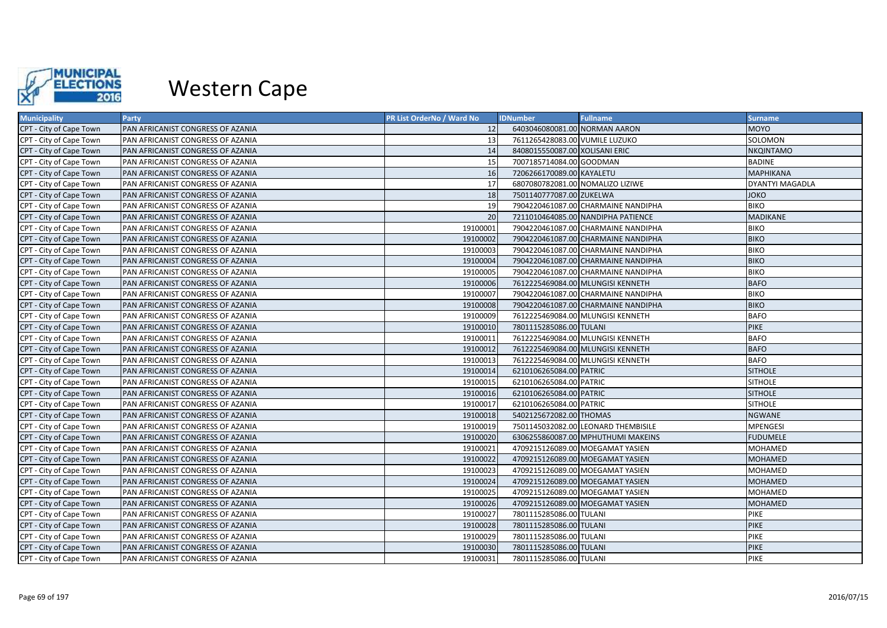

| <b>Municipality</b>     | Party                             | PR List OrderNo / Ward No | <b>IDNumber</b>                  | <b>Fullname</b>                     | <b>Surname</b>         |
|-------------------------|-----------------------------------|---------------------------|----------------------------------|-------------------------------------|------------------------|
| CPT - City of Cape Town | PAN AFRICANIST CONGRESS OF AZANIA | 12                        | 6403046080081.00 NORMAN AARON    |                                     | <b>MOYO</b>            |
| CPT - City of Cape Town | PAN AFRICANIST CONGRESS OF AZANIA | 13                        | 7611265428083.00 VUMILE LUZUKO   |                                     | SOLOMON                |
| CPT - City of Cape Town | PAN AFRICANIST CONGRESS OF AZANIA | 14                        | 8408015550087.00 XOLISANI ERIC   |                                     | <b>NKQINTAMO</b>       |
| CPT - City of Cape Town | PAN AFRICANIST CONGRESS OF AZANIA | 15                        | 7007185714084.00 GOODMAN         |                                     | <b>BADINE</b>          |
| CPT - City of Cape Town | PAN AFRICANIST CONGRESS OF AZANIA | 16                        | 7206266170089.00 KAYALETU        |                                     | <b>MAPHIKANA</b>       |
| CPT - City of Cape Town | PAN AFRICANIST CONGRESS OF AZANIA | 17                        | 6807080782081.00 NOMALIZO LIZIWE |                                     | <b>DYANTYI MAGADLA</b> |
| CPT - City of Cape Town | PAN AFRICANIST CONGRESS OF AZANIA | 18                        | 7501140777087.00 ZUKELWA         |                                     | <b>JOKO</b>            |
| CPT - City of Cape Town | PAN AFRICANIST CONGRESS OF AZANIA | 19                        |                                  | 7904220461087.00 CHARMAINE NANDIPHA | <b>BIKO</b>            |
| CPT - City of Cape Town | PAN AFRICANIST CONGRESS OF AZANIA | 20                        |                                  | 7211010464085.00 NANDIPHA PATIENCE  | <b>MADIKANE</b>        |
| CPT - City of Cape Town | PAN AFRICANIST CONGRESS OF AZANIA | 19100001                  |                                  | 7904220461087.00 CHARMAINE NANDIPHA | <b>BIKO</b>            |
| CPT - City of Cape Town | PAN AFRICANIST CONGRESS OF AZANIA | 19100002                  |                                  | 7904220461087.00 CHARMAINE NANDIPHA | <b>BIKO</b>            |
| CPT - City of Cape Town | PAN AFRICANIST CONGRESS OF AZANIA | 19100003                  |                                  | 7904220461087.00 CHARMAINE NANDIPHA | <b>BIKO</b>            |
| CPT - City of Cape Town | PAN AFRICANIST CONGRESS OF AZANIA | 19100004                  |                                  | 7904220461087.00 CHARMAINE NANDIPHA | <b>BIKO</b>            |
| CPT - City of Cape Town | PAN AFRICANIST CONGRESS OF AZANIA | 19100005                  |                                  | 7904220461087.00 CHARMAINE NANDIPHA | <b>BIKO</b>            |
| CPT - City of Cape Town | PAN AFRICANIST CONGRESS OF AZANIA | 19100006                  |                                  | 7612225469084.00 MLUNGISI KENNETH   | <b>BAFO</b>            |
| CPT - City of Cape Town | PAN AFRICANIST CONGRESS OF AZANIA | 19100007                  |                                  | 7904220461087.00 CHARMAINE NANDIPHA | <b>BIKO</b>            |
| CPT - City of Cape Town | PAN AFRICANIST CONGRESS OF AZANIA | 19100008                  |                                  | 7904220461087.00 CHARMAINE NANDIPHA | <b>BIKO</b>            |
| CPT - City of Cape Town | PAN AFRICANIST CONGRESS OF AZANIA | 19100009                  |                                  | 7612225469084.00 MLUNGISI KENNETH   | <b>BAFO</b>            |
| CPT - City of Cape Town | PAN AFRICANIST CONGRESS OF AZANIA | 19100010                  | 7801115285086.00 TULANI          |                                     | <b>PIKE</b>            |
| CPT - City of Cape Town | PAN AFRICANIST CONGRESS OF AZANIA | 19100011                  |                                  | 7612225469084.00 MLUNGISI KENNETH   | <b>BAFO</b>            |
| CPT - City of Cape Town | PAN AFRICANIST CONGRESS OF AZANIA | 19100012                  |                                  | 7612225469084.00 MLUNGISI KENNETH   | <b>BAFO</b>            |
| CPT - City of Cape Town | PAN AFRICANIST CONGRESS OF AZANIA | 19100013                  |                                  | 7612225469084.00 MLUNGISI KENNETH   | <b>BAFO</b>            |
| CPT - City of Cape Town | PAN AFRICANIST CONGRESS OF AZANIA | 19100014                  | 6210106265084.00 PATRIC          |                                     | <b>SITHOLE</b>         |
| CPT - City of Cape Town | PAN AFRICANIST CONGRESS OF AZANIA | 19100015                  | 6210106265084.00 PATRIC          |                                     | <b>SITHOLE</b>         |
| CPT - City of Cape Town | PAN AFRICANIST CONGRESS OF AZANIA | 19100016                  | 6210106265084.00 PATRIC          |                                     | <b>SITHOLE</b>         |
| CPT - City of Cape Town | PAN AFRICANIST CONGRESS OF AZANIA | 19100017                  | 6210106265084.00 PATRIC          |                                     | <b>SITHOLE</b>         |
| CPT - City of Cape Town | PAN AFRICANIST CONGRESS OF AZANIA | 19100018                  | 5402125672082.00 THOMAS          |                                     | <b>NGWANE</b>          |
| CPT - City of Cape Town | PAN AFRICANIST CONGRESS OF AZANIA | 19100019                  |                                  | 7501145032082.00 LEONARD THEMBISILE | <b>MPENGESI</b>        |
| CPT - City of Cape Town | PAN AFRICANIST CONGRESS OF AZANIA | 19100020                  |                                  | 6306255860087.00 MPHUTHUMI MAKEINS  | <b>FUDUMELE</b>        |
| CPT - City of Cape Town | PAN AFRICANIST CONGRESS OF AZANIA | 19100021                  |                                  | 4709215126089.00 MOEGAMAT YASIEN    | <b>MOHAMED</b>         |
| CPT - City of Cape Town | PAN AFRICANIST CONGRESS OF AZANIA | 19100022                  |                                  | 4709215126089.00 MOEGAMAT YASIEN    | <b>MOHAMED</b>         |
| CPT - City of Cape Town | PAN AFRICANIST CONGRESS OF AZANIA | 19100023                  |                                  | 4709215126089.00 MOEGAMAT YASIEN    | MOHAMED                |
| CPT - City of Cape Town | PAN AFRICANIST CONGRESS OF AZANIA | 19100024                  |                                  | 4709215126089.00 MOEGAMAT YASIEN    | <b>MOHAMED</b>         |
| CPT - City of Cape Town | PAN AFRICANIST CONGRESS OF AZANIA | 19100025                  |                                  | 4709215126089.00 MOEGAMAT YASIEN    | <b>MOHAMED</b>         |
| CPT - City of Cape Town | PAN AFRICANIST CONGRESS OF AZANIA | 19100026                  |                                  | 4709215126089.00 MOEGAMAT YASIEN    | <b>MOHAMED</b>         |
| CPT - City of Cape Town | PAN AFRICANIST CONGRESS OF AZANIA | 19100027                  | 7801115285086.00 TULANI          |                                     | <b>PIKE</b>            |
| CPT - City of Cape Town | PAN AFRICANIST CONGRESS OF AZANIA | 19100028                  | 7801115285086.00 TULANI          |                                     | <b>PIKE</b>            |
| CPT - City of Cape Town | PAN AFRICANIST CONGRESS OF AZANIA | 19100029                  | 7801115285086.00 TULANI          |                                     | <b>PIKE</b>            |
| CPT - City of Cape Town | PAN AFRICANIST CONGRESS OF AZANIA | 19100030                  | 7801115285086.00 TULANI          |                                     | <b>PIKE</b>            |
| CPT - City of Cape Town | PAN AFRICANIST CONGRESS OF AZANIA | 19100031                  | 7801115285086.00 TULANI          |                                     | <b>PIKE</b>            |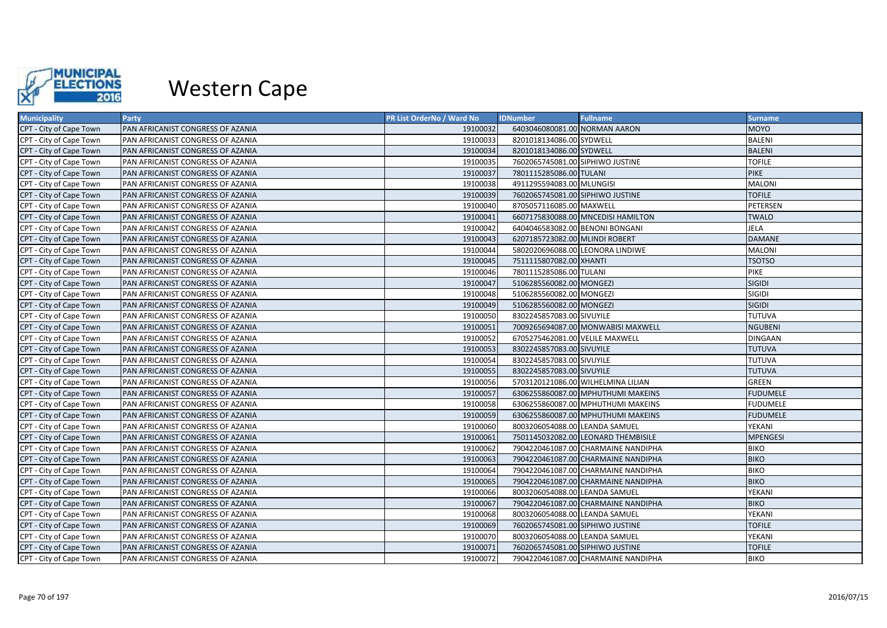

| <b>Municipality</b>     | Party                             | <b>PR List OrderNo / Ward No</b> | <b>IDNumber</b>                  | <b>Fullname</b>                     | <b>Surname</b>  |
|-------------------------|-----------------------------------|----------------------------------|----------------------------------|-------------------------------------|-----------------|
| CPT - City of Cape Town | PAN AFRICANIST CONGRESS OF AZANIA | 19100032                         | 6403046080081.00 NORMAN AARON    |                                     | <b>MOYO</b>     |
| CPT - City of Cape Town | PAN AFRICANIST CONGRESS OF AZANIA | 19100033                         | 8201018134086.00 SYDWELL         |                                     | <b>BALENI</b>   |
| CPT - City of Cape Town | PAN AFRICANIST CONGRESS OF AZANIA | 19100034                         | 8201018134086.00 SYDWELL         |                                     | <b>BALENI</b>   |
| CPT - City of Cape Town | PAN AFRICANIST CONGRESS OF AZANIA | 19100035                         | 7602065745081.00 SIPHIWO JUSTINE |                                     | <b>TOFILE</b>   |
| CPT - City of Cape Town | PAN AFRICANIST CONGRESS OF AZANIA | 19100037                         | 7801115285086.00 TULANI          |                                     | <b>PIKE</b>     |
| CPT - City of Cape Town | PAN AFRICANIST CONGRESS OF AZANIA | 19100038                         | 4911295594083.00 MLUNGISI        |                                     | <b>MALONI</b>   |
| CPT - City of Cape Town | PAN AFRICANIST CONGRESS OF AZANIA | 19100039                         | 7602065745081.00 SIPHIWO JUSTINE |                                     | <b>TOFILE</b>   |
| CPT - City of Cape Town | PAN AFRICANIST CONGRESS OF AZANIA | 19100040                         | 8705057116085.00 MAXWELL         |                                     | PETERSEN        |
| CPT - City of Cape Town | PAN AFRICANIST CONGRESS OF AZANIA | 19100041                         |                                  | 6607175830088.00 MNCEDISI HAMILTON  | <b>TWALO</b>    |
| CPT - City of Cape Town | PAN AFRICANIST CONGRESS OF AZANIA | 19100042                         | 6404046583082.00 BENONI BONGANI  |                                     | <b>JELA</b>     |
| CPT - City of Cape Town | PAN AFRICANIST CONGRESS OF AZANIA | 19100043                         | 6207185723082.00 MLINDI ROBERT   |                                     | <b>DAMANE</b>   |
| CPT - City of Cape Town | PAN AFRICANIST CONGRESS OF AZANIA | 19100044                         |                                  | 5802020696088.00 LEONORA LINDIWE    | <b>MALONI</b>   |
| CPT - City of Cape Town | PAN AFRICANIST CONGRESS OF AZANIA | 19100045                         | 7511115807082.00 XHANTI          |                                     | <b>TSOTSO</b>   |
| CPT - City of Cape Town | PAN AFRICANIST CONGRESS OF AZANIA | 19100046                         | 7801115285086.00 TULANI          |                                     | PIKE            |
| CPT - City of Cape Town | PAN AFRICANIST CONGRESS OF AZANIA | 19100047                         | 5106285560082.00 MONGEZI         |                                     | <b>SIGIDI</b>   |
| CPT - City of Cape Town | PAN AFRICANIST CONGRESS OF AZANIA | 19100048                         | 5106285560082.00 MONGEZI         |                                     | <b>SIGIDI</b>   |
| CPT - City of Cape Town | PAN AFRICANIST CONGRESS OF AZANIA | 19100049                         | 5106285560082.00 MONGEZI         |                                     | <b>SIGIDI</b>   |
| CPT - City of Cape Town | PAN AFRICANIST CONGRESS OF AZANIA | 19100050                         | 8302245857083.00 SIVUYILE        |                                     | <b>TUTUVA</b>   |
| CPT - City of Cape Town | PAN AFRICANIST CONGRESS OF AZANIA | 19100051                         |                                  | 7009265694087.00 MONWABISI MAXWELL  | <b>NGUBENI</b>  |
| CPT - City of Cape Town | PAN AFRICANIST CONGRESS OF AZANIA | 19100052                         | 6705275462081.00 VELILE MAXWELL  |                                     | <b>DINGAAN</b>  |
| CPT - City of Cape Town | PAN AFRICANIST CONGRESS OF AZANIA | 19100053                         | 8302245857083.00 SIVUYILE        |                                     | <b>TUTUVA</b>   |
| CPT - City of Cape Town | PAN AFRICANIST CONGRESS OF AZANIA | 19100054                         | 8302245857083.00 SIVUYILE        |                                     | <b>TUTUVA</b>   |
| CPT - City of Cape Town | PAN AFRICANIST CONGRESS OF AZANIA | 19100055                         | 8302245857083.00 SIVUYILE        |                                     | <b>TUTUVA</b>   |
| CPT - City of Cape Town | PAN AFRICANIST CONGRESS OF AZANIA | 19100056                         |                                  | 5703120121086.00 WILHELMINA LILIAN  | GREEN           |
| CPT - City of Cape Town | PAN AFRICANIST CONGRESS OF AZANIA | 19100057                         |                                  | 6306255860087.00 MPHUTHUMI MAKEINS  | <b>FUDUMELE</b> |
| CPT - City of Cape Town | PAN AFRICANIST CONGRESS OF AZANIA | 19100058                         |                                  | 6306255860087.00 MPHUTHUMI MAKEINS  | <b>FUDUMELE</b> |
| CPT - City of Cape Town | PAN AFRICANIST CONGRESS OF AZANIA | 19100059                         |                                  | 6306255860087.00 MPHUTHUMI MAKEINS  | <b>FUDUMELE</b> |
| CPT - City of Cape Town | PAN AFRICANIST CONGRESS OF AZANIA | 19100060                         | 8003206054088.00 LEANDA SAMUEL   |                                     | YEKANI          |
| CPT - City of Cape Town | PAN AFRICANIST CONGRESS OF AZANIA | 19100061                         |                                  | 7501145032082.00 LEONARD THEMBISILE | <b>MPENGESI</b> |
| CPT - City of Cape Town | PAN AFRICANIST CONGRESS OF AZANIA | 19100062                         |                                  | 7904220461087.00 CHARMAINE NANDIPHA | <b>BIKO</b>     |
| CPT - City of Cape Town | PAN AFRICANIST CONGRESS OF AZANIA | 19100063                         |                                  | 7904220461087.00 CHARMAINE NANDIPHA | <b>BIKO</b>     |
| CPT - City of Cape Town | PAN AFRICANIST CONGRESS OF AZANIA | 19100064                         |                                  | 7904220461087.00 CHARMAINE NANDIPHA | <b>BIKO</b>     |
| CPT - City of Cape Town | PAN AFRICANIST CONGRESS OF AZANIA | 19100065                         |                                  | 7904220461087.00 CHARMAINE NANDIPHA | <b>BIKO</b>     |
| CPT - City of Cape Town | PAN AFRICANIST CONGRESS OF AZANIA | 19100066                         | 8003206054088.00 LEANDA SAMUEL   |                                     | YEKANI          |
| CPT - City of Cape Town | PAN AFRICANIST CONGRESS OF AZANIA | 19100067                         |                                  | 7904220461087.00 CHARMAINE NANDIPHA | <b>BIKO</b>     |
| CPT - City of Cape Town | PAN AFRICANIST CONGRESS OF AZANIA | 19100068                         | 8003206054088.00 LEANDA SAMUEL   |                                     | YEKANI          |
| CPT - City of Cape Town | PAN AFRICANIST CONGRESS OF AZANIA | 19100069                         | 7602065745081.00 SIPHIWO JUSTINE |                                     | <b>TOFILE</b>   |
| CPT - City of Cape Town | PAN AFRICANIST CONGRESS OF AZANIA | 19100070                         | 8003206054088.00 LEANDA SAMUEL   |                                     | YEKANI          |
| CPT - City of Cape Town | PAN AFRICANIST CONGRESS OF AZANIA | 19100071                         | 7602065745081.00 SIPHIWO JUSTINE |                                     | <b>TOFILE</b>   |
| CPT - City of Cape Town | PAN AFRICANIST CONGRESS OF AZANIA | 19100072                         |                                  | 7904220461087.00 CHARMAINE NANDIPHA | <b>BIKO</b>     |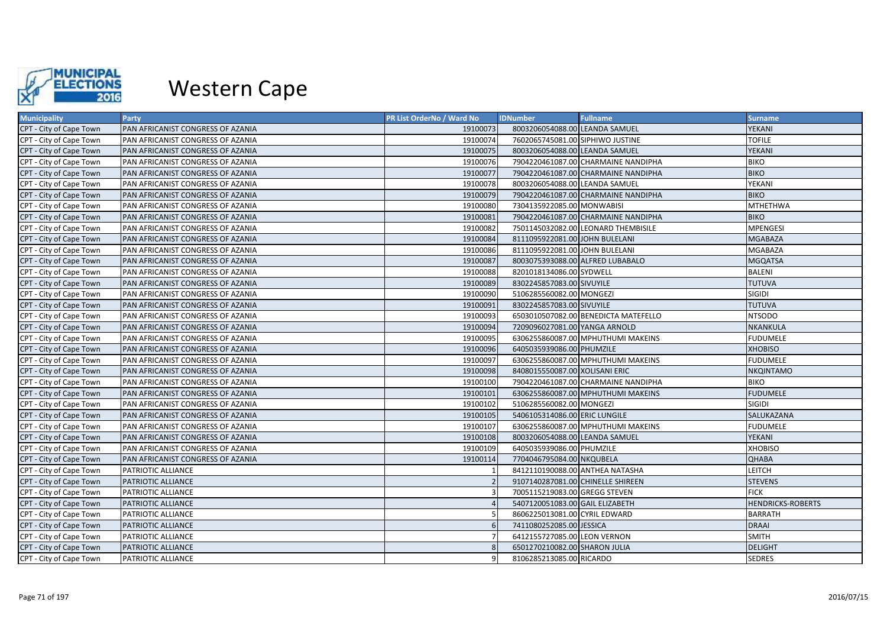

| <b>Municipality</b>     | Party                             | <b>PR List OrderNo / Ward No</b> | <b>IDNumber</b>                   | <b>Fullname</b>                      | <b>Surname</b>           |
|-------------------------|-----------------------------------|----------------------------------|-----------------------------------|--------------------------------------|--------------------------|
| CPT - City of Cape Town | PAN AFRICANIST CONGRESS OF AZANIA | 19100073                         | 8003206054088.00 LEANDA SAMUEL    |                                      | YEKANI                   |
| CPT - City of Cape Town | PAN AFRICANIST CONGRESS OF AZANIA | 19100074                         | 7602065745081.00 SIPHIWO JUSTINE  |                                      | <b>TOFILE</b>            |
| CPT - City of Cape Town | PAN AFRICANIST CONGRESS OF AZANIA | 19100075                         | 8003206054088.00 LEANDA SAMUEL    |                                      | YEKANI                   |
| CPT - City of Cape Town | PAN AFRICANIST CONGRESS OF AZANIA | 19100076                         |                                   | 7904220461087.00 CHARMAINE NANDIPHA  | <b>BIKO</b>              |
| CPT - City of Cape Town | PAN AFRICANIST CONGRESS OF AZANIA | 19100077                         |                                   | 7904220461087.00 CHARMAINE NANDIPHA  | <b>BIKO</b>              |
| CPT - City of Cape Town | PAN AFRICANIST CONGRESS OF AZANIA | 19100078                         | 8003206054088.00 LEANDA SAMUEL    |                                      | YEKANI                   |
| CPT - City of Cape Town | PAN AFRICANIST CONGRESS OF AZANIA | 19100079                         |                                   | 7904220461087.00 CHARMAINE NANDIPHA  | <b>BIKO</b>              |
| CPT - City of Cape Town | PAN AFRICANIST CONGRESS OF AZANIA | 19100080                         | 7304135922085.00 MONWABISI        |                                      | <b>MTHETHWA</b>          |
| CPT - City of Cape Town | PAN AFRICANIST CONGRESS OF AZANIA | 19100081                         |                                   | 7904220461087.00 CHARMAINE NANDIPHA  | <b>BIKO</b>              |
| CPT - City of Cape Town | PAN AFRICANIST CONGRESS OF AZANIA | 19100082                         |                                   | 7501145032082.00 LEONARD THEMBISILE  | <b>MPENGESI</b>          |
| CPT - City of Cape Town | PAN AFRICANIST CONGRESS OF AZANIA | 19100084                         | 8111095922081.00 JOHN BULELANI    |                                      | <b>MGABAZA</b>           |
| CPT - City of Cape Town | PAN AFRICANIST CONGRESS OF AZANIA | 19100086                         | 8111095922081.00 JOHN BULELANI    |                                      | <b>MGABAZA</b>           |
| CPT - City of Cape Town | PAN AFRICANIST CONGRESS OF AZANIA | 19100087                         | 8003075393088.00 ALFRED LUBABALO  |                                      | <b>MGQATSA</b>           |
| CPT - City of Cape Town | PAN AFRICANIST CONGRESS OF AZANIA | 19100088                         | 8201018134086.00 SYDWELL          |                                      | <b>BALENI</b>            |
| CPT - City of Cape Town | PAN AFRICANIST CONGRESS OF AZANIA | 19100089                         | 8302245857083.00 SIVUYILE         |                                      | TUTUVA                   |
| CPT - City of Cape Town | PAN AFRICANIST CONGRESS OF AZANIA | 19100090                         | 5106285560082.00 MONGEZI          |                                      | <b>SIGIDI</b>            |
| CPT - City of Cape Town | PAN AFRICANIST CONGRESS OF AZANIA | 19100091                         | 8302245857083.00 SIVUYILE         |                                      | <b>TUTUVA</b>            |
| CPT - City of Cape Town | PAN AFRICANIST CONGRESS OF AZANIA | 19100093                         |                                   | 6503010507082.00 BENEDICTA MATEFELLO | <b>NTSODO</b>            |
| CPT - City of Cape Town | PAN AFRICANIST CONGRESS OF AZANIA | 19100094                         | 7209096027081.00 YANGA ARNOLD     |                                      | <b>NKANKULA</b>          |
| CPT - City of Cape Town | PAN AFRICANIST CONGRESS OF AZANIA | 19100095                         |                                   | 6306255860087.00 MPHUTHUMI MAKEINS   | <b>FUDUMELE</b>          |
| CPT - City of Cape Town | PAN AFRICANIST CONGRESS OF AZANIA | 19100096                         | 6405035939086.00 PHUMZILE         |                                      | <b>XHOBISO</b>           |
| CPT - City of Cape Town | PAN AFRICANIST CONGRESS OF AZANIA | 19100097                         |                                   | 6306255860087.00 MPHUTHUMI MAKEINS   | <b>FUDUMELE</b>          |
| CPT - City of Cape Town | PAN AFRICANIST CONGRESS OF AZANIA | 19100098                         | 8408015550087.00 XOLISANI ERIC    |                                      | <b>NKQINTAMO</b>         |
| CPT - City of Cape Town | PAN AFRICANIST CONGRESS OF AZANIA | 19100100                         |                                   | 7904220461087.00 CHARMAINE NANDIPHA  | <b>BIKO</b>              |
| CPT - City of Cape Town | PAN AFRICANIST CONGRESS OF AZANIA | 19100101                         |                                   | 6306255860087.00 MPHUTHUMI MAKEINS   | <b>FUDUMELE</b>          |
| CPT - City of Cape Town | PAN AFRICANIST CONGRESS OF AZANIA | 19100102                         | 5106285560082.00 MONGEZI          |                                      | SIGIDI                   |
| CPT - City of Cape Town | PAN AFRICANIST CONGRESS OF AZANIA | 19100105                         | 5406105314086.00 ERIC LUNGILE     |                                      | SALUKAZANA               |
| CPT - City of Cape Town | PAN AFRICANIST CONGRESS OF AZANIA | 19100107                         |                                   | 6306255860087.00 MPHUTHUMI MAKEINS   | <b>FUDUMELE</b>          |
| CPT - City of Cape Town | PAN AFRICANIST CONGRESS OF AZANIA | 19100108                         | 8003206054088.00 LEANDA SAMUEL    |                                      | YEKANI                   |
| CPT - City of Cape Town | PAN AFRICANIST CONGRESS OF AZANIA | 19100109                         | 6405035939086.00 PHUMZILE         |                                      | <b>XHOBISO</b>           |
| CPT - City of Cape Town | PAN AFRICANIST CONGRESS OF AZANIA | 19100114                         | 7704046795084.00 NKQUBELA         |                                      | <b>QHABA</b>             |
| CPT - City of Cape Town | PATRIOTIC ALLIANCE                |                                  | 8412110190088.00 ANTHEA NATASHA   |                                      | LEITCH                   |
| CPT - City of Cape Town | PATRIOTIC ALLIANCE                |                                  | 9107140287081.00 CHINELLE SHIREEN |                                      | <b>STEVENS</b>           |
| CPT - City of Cape Town | PATRIOTIC ALLIANCE                |                                  | 7005115219083.00 GREGG STEVEN     |                                      | <b>FICK</b>              |
| CPT - City of Cape Town | PATRIOTIC ALLIANCE                |                                  | 5407120051083.00 GAIL ELIZABETH   |                                      | <b>HENDRICKS-ROBERTS</b> |
| CPT - City of Cape Town | PATRIOTIC ALLIANCE                |                                  | 8606225013081.00 CYRIL EDWARD     |                                      | <b>BARRATH</b>           |
| CPT - City of Cape Town | PATRIOTIC ALLIANCE                |                                  | 7411080252085.00 JESSICA          |                                      | <b>DRAAI</b>             |
| CPT - City of Cape Town | PATRIOTIC ALLIANCE                |                                  | 6412155727085.00 LEON VERNON      |                                      | <b>SMITH</b>             |
| CPT - City of Cape Town | PATRIOTIC ALLIANCE                |                                  | 6501270210082.00 SHARON JULIA     |                                      | <b>DELIGHT</b>           |
| CPT - City of Cape Town | PATRIOTIC ALLIANCE                |                                  | 8106285213085.00 RICARDO          |                                      | <b>SEDRES</b>            |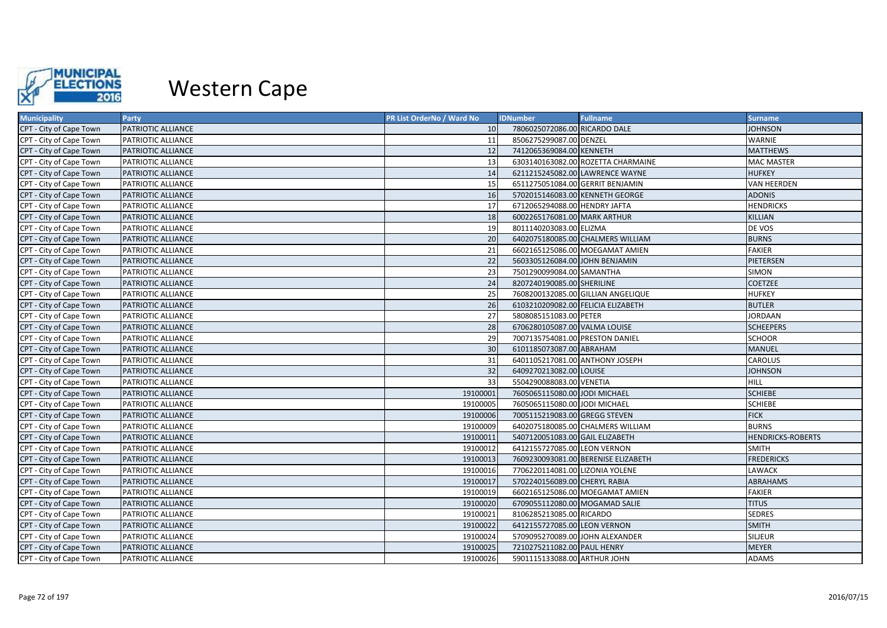

| <b>Municipality</b>     | <b>Party</b>       | PR List OrderNo / Ward No | <b>IDNumber</b>                    | <b>Fullname</b>                     | <b>Surname</b>           |
|-------------------------|--------------------|---------------------------|------------------------------------|-------------------------------------|--------------------------|
| CPT - City of Cape Town | PATRIOTIC ALLIANCE | 10 <sup>1</sup>           | 7806025072086.00 RICARDO DALE      |                                     | <b>JOHNSON</b>           |
| CPT - City of Cape Town | PATRIOTIC ALLIANCE | 11                        | 8506275299087.00 DENZEL            |                                     | WARNIE                   |
| CPT - City of Cape Town | PATRIOTIC ALLIANCE | 12                        | 7412065369084.00 KENNETH           |                                     | <b>MATTHEWS</b>          |
| CPT - City of Cape Town | PATRIOTIC ALLIANCE | 13                        |                                    | 6303140163082.00 ROZETTA CHARMAINE  | <b>MAC MASTER</b>        |
| CPT - City of Cape Town | PATRIOTIC ALLIANCE | 14                        | 6211215245082.00 LAWRENCE WAYNE    |                                     | <b>HUFKEY</b>            |
| CPT - City of Cape Town | PATRIOTIC ALLIANCE | 15                        | 6511275051084.00 GERRIT BENJAMIN   |                                     | <b>VAN HEERDEN</b>       |
| CPT - City of Cape Town | PATRIOTIC ALLIANCE | 16                        | 5702015146083.00 KENNETH GEORGE    |                                     | <b>ADONIS</b>            |
| CPT - City of Cape Town | PATRIOTIC ALLIANCE | 17                        | 6712065294088.00 HENDRY JAFTA      |                                     | <b>HENDRICKS</b>         |
| CPT - City of Cape Town | PATRIOTIC ALLIANCE | 18                        | 6002265176081.00 MARK ARTHUR       |                                     | <b>KILLIAN</b>           |
| CPT - City of Cape Town | PATRIOTIC ALLIANCE | 19                        | 8011140203083.00 ELIZMA            |                                     | DE VOS                   |
| CPT - City of Cape Town | PATRIOTIC ALLIANCE | 20                        |                                    | 6402075180085.00 CHALMERS WILLIAM   | <b>BURNS</b>             |
| CPT - City of Cape Town | PATRIOTIC ALLIANCE | 21                        |                                    | 6602165125086.00 MOEGAMAT AMIEN     | <b>FAKIER</b>            |
| CPT - City of Cape Town | PATRIOTIC ALLIANCE | 22                        | 5603305126084.00 JOHN BENJAMIN     |                                     | PIETERSEN                |
| CPT - City of Cape Town | PATRIOTIC ALLIANCE | 23                        | 7501290099084.00 SAMANTHA          |                                     | SIMON                    |
| CPT - City of Cape Town | PATRIOTIC ALLIANCE | 24                        | 8207240190085.00 SHERILINE         |                                     | <b>COETZEE</b>           |
| CPT - City of Cape Town | PATRIOTIC ALLIANCE | 25                        |                                    | 7608200132085.00 GILLIAN ANGELIQUE  | <b>HUFKEY</b>            |
| CPT - City of Cape Town | PATRIOTIC ALLIANCE | 26                        | 6103210209082.00 FELICIA ELIZABETH |                                     | <b>BUTLER</b>            |
| CPT - City of Cape Town | PATRIOTIC ALLIANCE | 27                        | 5808085151083.00 PETER             |                                     | <b>JORDAAN</b>           |
| CPT - City of Cape Town | PATRIOTIC ALLIANCE | 28                        | 6706280105087.00 VALMA LOUISE      |                                     | <b>SCHEEPERS</b>         |
| CPT - City of Cape Town | PATRIOTIC ALLIANCE | 29                        | 7007135754081.00 PRESTON DANIEL    |                                     | <b>SCHOOR</b>            |
| CPT - City of Cape Town | PATRIOTIC ALLIANCE | 30                        | 6101185073087.00 ABRAHAM           |                                     | <b>MANUEL</b>            |
| CPT - City of Cape Town | PATRIOTIC ALLIANCE | 31                        | 6401105217081.00 ANTHONY JOSEPH    |                                     | <b>CAROLUS</b>           |
| CPT - City of Cape Town | PATRIOTIC ALLIANCE | 32                        | 6409270213082.00 LOUISE            |                                     | <b>JOHNSON</b>           |
| CPT - City of Cape Town | PATRIOTIC ALLIANCE | 33                        | 5504290088083.00 VENETIA           |                                     | <b>HILL</b>              |
| CPT - City of Cape Town | PATRIOTIC ALLIANCE | 19100001                  | 7605065115080.00 JODI MICHAEL      |                                     | <b>SCHIEBE</b>           |
| CPT - City of Cape Town | PATRIOTIC ALLIANCE | 19100005                  | 7605065115080.00 JODI MICHAEL      |                                     | <b>SCHIEBE</b>           |
| CPT - City of Cape Town | PATRIOTIC ALLIANCE | 19100006                  | 7005115219083.00 GREGG STEVEN      |                                     | <b>FICK</b>              |
| CPT - City of Cape Town | PATRIOTIC ALLIANCE | 19100009                  |                                    | 6402075180085.00 CHALMERS WILLIAM   | <b>BURNS</b>             |
| CPT - City of Cape Town | PATRIOTIC ALLIANCE | 19100011                  | 5407120051083.00 GAIL ELIZABETH    |                                     | <b>HENDRICKS-ROBERTS</b> |
| CPT - City of Cape Town | PATRIOTIC ALLIANCE | 19100012                  | 6412155727085.00 LEON VERNON       |                                     | <b>SMITH</b>             |
| CPT - City of Cape Town | PATRIOTIC ALLIANCE | 19100013                  |                                    | 7609230093081.00 BERENISE ELIZABETH | <b>FREDERICKS</b>        |
| CPT - City of Cape Town | PATRIOTIC ALLIANCE | 19100016                  | 7706220114081.00 LIZONIA YOLENE    |                                     | LAWACK                   |
| CPT - City of Cape Town | PATRIOTIC ALLIANCE | 19100017                  | 5702240156089.00 CHERYL RABIA      |                                     | ABRAHAMS                 |
| CPT - City of Cape Town | PATRIOTIC ALLIANCE | 19100019                  |                                    | 6602165125086.00 MOEGAMAT AMIEN     | <b>FAKIER</b>            |
| CPT - City of Cape Town | PATRIOTIC ALLIANCE | 19100020                  | 6709055112080.00 MOGAMAD SALIE     |                                     | <b>TITUS</b>             |
| CPT - City of Cape Town | PATRIOTIC ALLIANCE | 19100021                  | 8106285213085.00 RICARDO           |                                     | <b>SEDRES</b>            |
| CPT - City of Cape Town | PATRIOTIC ALLIANCE | 19100022                  | 6412155727085.00 LEON VERNON       |                                     | <b>SMITH</b>             |
| CPT - City of Cape Town | PATRIOTIC ALLIANCE | 19100024                  | 5709095270089.00 JOHN ALEXANDER    |                                     | <b>SILJEUR</b>           |
| CPT - City of Cape Town | PATRIOTIC ALLIANCE | 19100025                  | 7210275211082.00 PAUL HENRY        |                                     | <b>MEYER</b>             |
| CPT - City of Cape Town | PATRIOTIC ALLIANCE | 19100026                  | 5901115133088.00 ARTHUR JOHN       |                                     | <b>ADAMS</b>             |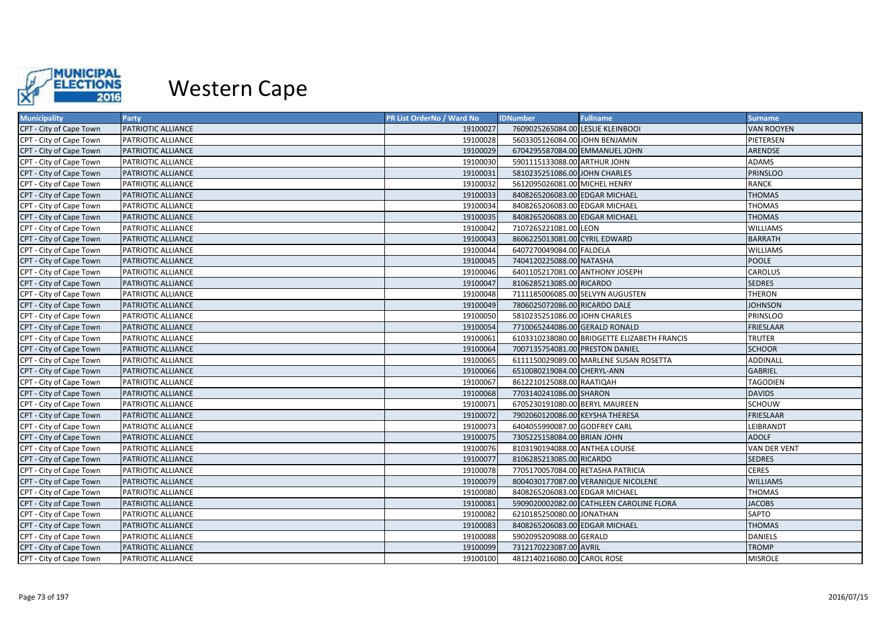

| <b>Municipality</b>     | Party              | <b>PR List OrderNo / Ward No</b> | <b>IDNumber</b><br><b>Fullname</b>           | <b>Surname</b>      |
|-------------------------|--------------------|----------------------------------|----------------------------------------------|---------------------|
| CPT - City of Cape Town | PATRIOTIC ALLIANCE | 19100027                         | 7609025265084.00 LESLIE KLEINBOOI            | <b>VAN ROOYEN</b>   |
| CPT - City of Cape Town | PATRIOTIC ALLIANCE | 19100028                         | 5603305126084.00 JOHN BENJAMIN               | PIETERSEN           |
| CPT - City of Cape Town | PATRIOTIC ALLIANCE | 19100029                         | 6704295587084.00 EMMANUEL JOHN               | ARENDSE             |
| CPT - City of Cape Town | PATRIOTIC ALLIANCE | 19100030                         | 5901115133088.00 ARTHUR JOHN                 | ADAMS               |
| CPT - City of Cape Town | PATRIOTIC ALLIANCE | 19100031                         | 5810235251086.00 JOHN CHARLES                | <b>PRINSLOO</b>     |
| CPT - City of Cape Town | PATRIOTIC ALLIANCE | 19100032                         | 5612095026081.00 MICHEL HENRY                | <b>RANCK</b>        |
| CPT - City of Cape Town | PATRIOTIC ALLIANCE | 19100033                         | 8408265206083.00 EDGAR MICHAEL               | <b>THOMAS</b>       |
| CPT - City of Cape Town | PATRIOTIC ALLIANCE | 19100034                         | 8408265206083.00 EDGAR MICHAEL               | <b>THOMAS</b>       |
| CPT - City of Cape Town | PATRIOTIC ALLIANCE | 19100035                         | 8408265206083.00 EDGAR MICHAEL               | <b>THOMAS</b>       |
| CPT - City of Cape Town | PATRIOTIC ALLIANCE | 19100042                         | 7107265221081.00 LEON                        | WILLIAMS            |
| CPT - City of Cape Town | PATRIOTIC ALLIANCE | 19100043                         | 8606225013081.00 CYRIL EDWARD                | <b>BARRATH</b>      |
| CPT - City of Cape Town | PATRIOTIC ALLIANCE | 19100044                         | 6407270049084.00 FALDELA                     | <b>WILLIAMS</b>     |
| CPT - City of Cape Town | PATRIOTIC ALLIANCE | 19100045                         | 7404120225088.00 NATASHA                     | <b>POOLE</b>        |
| CPT - City of Cape Town | PATRIOTIC ALLIANCE | 19100046                         | 6401105217081.00 ANTHONY JOSEPH              | CAROLUS             |
| CPT - City of Cape Town | PATRIOTIC ALLIANCE | 19100047                         | 8106285213085.00 RICARDO                     | <b>SEDRES</b>       |
| CPT - City of Cape Town | PATRIOTIC ALLIANCE | 19100048                         | 7111185006085.00 SELVYN AUGUSTEN             | <b>THERON</b>       |
| CPT - City of Cape Town | PATRIOTIC ALLIANCE | 19100049                         | 7806025072086.00 RICARDO DALE                | <b>JOHNSON</b>      |
| CPT - City of Cape Town | PATRIOTIC ALLIANCE | 19100050                         | 5810235251086.00 JOHN CHARLES                | <b>PRINSLOO</b>     |
| CPT - City of Cape Town | PATRIOTIC ALLIANCE | 19100054                         | 7710065244086.00 GERALD RONALD               | <b>FRIESLAAR</b>    |
| CPT - City of Cape Town | PATRIOTIC ALLIANCE | 19100061                         | 6103310238080.00 BRIDGETTE ELIZABETH FRANCIS | <b>TRUTER</b>       |
| CPT - City of Cape Town | PATRIOTIC ALLIANCE | 19100064                         | 7007135754081.00 PRESTON DANIEL              | <b>SCHOOR</b>       |
| CPT - City of Cape Town | PATRIOTIC ALLIANCE | 19100065                         | 6111150029089.00 MARLENE SUSAN ROSETTA       | ADDINALL            |
| CPT - City of Cape Town | PATRIOTIC ALLIANCE | 19100066                         | 6510080219084.00 CHERYL-ANN                  | <b>GABRIEL</b>      |
| CPT - City of Cape Town | PATRIOTIC ALLIANCE | 19100067                         | 8612210125088.00 RAATIQAH                    | <b>TAGODIEN</b>     |
| CPT - City of Cape Town | PATRIOTIC ALLIANCE | 19100068                         | 7703140241086.00 SHARON                      | <b>DAVIDS</b>       |
| CPT - City of Cape Town | PATRIOTIC ALLIANCE | 19100071                         | 6705230191080.00 BERYL MAUREEN               | SCHOUW              |
| CPT - City of Cape Town | PATRIOTIC ALLIANCE | 19100072                         | 7902060120086.00 KEYSHA THERESA              | FRIESLAAR           |
| CPT - City of Cape Town | PATRIOTIC ALLIANCE | 19100073                         | 6404055990087.00 GODFREY CARL                | LEIBRANDT           |
| CPT - City of Cape Town | PATRIOTIC ALLIANCE | 19100075                         | 7305225158084.00 BRIAN JOHN                  | <b>ADOLF</b>        |
| CPT - City of Cape Town | PATRIOTIC ALLIANCE | 19100076                         | 8103190194088.00 ANTHEA LOUISE               | <b>VAN DER VENT</b> |
| CPT - City of Cape Town | PATRIOTIC ALLIANCE | 19100077                         | 8106285213085.00 RICARDO                     | <b>SEDRES</b>       |
| CPT - City of Cape Town | PATRIOTIC ALLIANCE | 19100078                         | 7705170057084.00 RETASHA PATRICIA            | <b>CERES</b>        |
| CPT - City of Cape Town | PATRIOTIC ALLIANCE | 19100079                         | 8004030177087.00 VERANIQUE NICOLENE          | <b>WILLIAMS</b>     |
| CPT - City of Cape Town | PATRIOTIC ALLIANCE | 19100080                         | 8408265206083.00 EDGAR MICHAEL               | <b>THOMAS</b>       |
| CPT - City of Cape Town | PATRIOTIC ALLIANCE | 19100081                         | 5909020002082.00 CATHLEEN CAROLINE FLORA     | <b>JACOBS</b>       |
| CPT - City of Cape Town | PATRIOTIC ALLIANCE | 19100082                         | 6210185250080.00 JONATHAN                    | SAPTO               |
| CPT - City of Cape Town | PATRIOTIC ALLIANCE | 19100083                         | 8408265206083.00 EDGAR MICHAEL               | <b>THOMAS</b>       |
| CPT - City of Cape Town | PATRIOTIC ALLIANCE | 19100088                         | 5902095209088.00 GERALD                      | <b>DANIELS</b>      |
| CPT - City of Cape Town | PATRIOTIC ALLIANCE | 19100099                         | 7312170223087.00 AVRIL                       | <b>TROMP</b>        |
| CPT - City of Cape Town | PATRIOTIC ALLIANCE | 19100100                         | 4812140216080.00 CAROL ROSE                  | <b>MISROLE</b>      |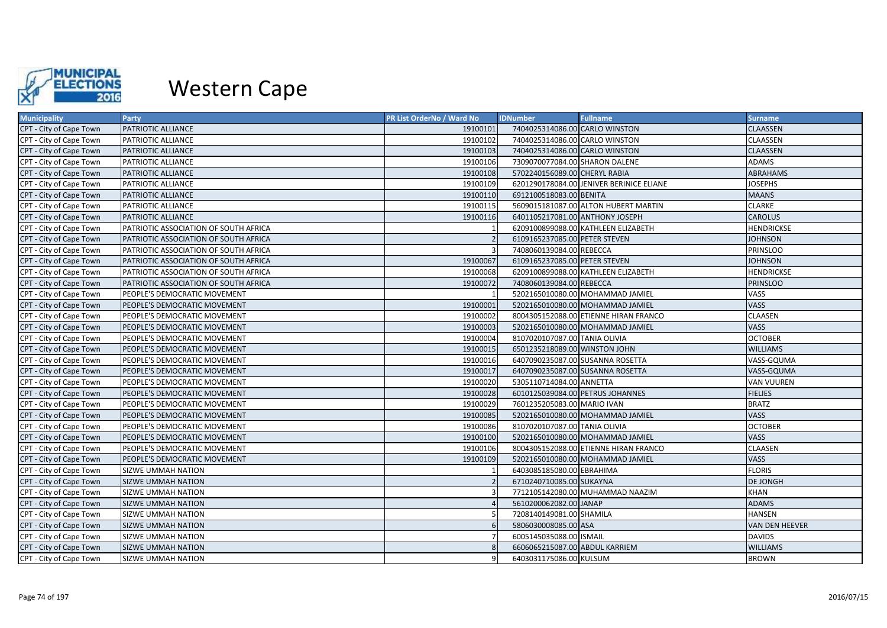

| <b>Municipality</b>     | Party                                 | <b>PR List OrderNo / Ward No</b> | <b>IDNumber</b><br><b>Fullname</b>       | <b>Surname</b>    |
|-------------------------|---------------------------------------|----------------------------------|------------------------------------------|-------------------|
| CPT - City of Cape Town | PATRIOTIC ALLIANCE                    | 19100101                         | 7404025314086.00 CARLO WINSTON           | <b>CLAASSEN</b>   |
| CPT - City of Cape Town | PATRIOTIC ALLIANCE                    | 19100102                         | 7404025314086.00 CARLO WINSTON           | <b>CLAASSEN</b>   |
| CPT - City of Cape Town | PATRIOTIC ALLIANCE                    | 19100103                         | 7404025314086.00 CARLO WINSTON           | <b>CLAASSEN</b>   |
| CPT - City of Cape Town | PATRIOTIC ALLIANCE                    | 19100106                         | 7309070077084.00 SHARON DALENE           | ADAMS             |
| CPT - City of Cape Town | PATRIOTIC ALLIANCE                    | 19100108                         | 5702240156089.00 CHERYL RABIA            | ABRAHAMS          |
| CPT - City of Cape Town | PATRIOTIC ALLIANCE                    | 19100109                         | 6201290178084.00 JENIVER BERINICE ELIANE | <b>JOSEPHS</b>    |
| CPT - City of Cape Town | PATRIOTIC ALLIANCE                    | 19100110                         | 6912100518083.00 BENITA                  | <b>MAANS</b>      |
| CPT - City of Cape Town | PATRIOTIC ALLIANCE                    | 19100115                         | 5609015181087.00 ALTON HUBERT MARTIN     | <b>CLARKE</b>     |
| CPT - City of Cape Town | PATRIOTIC ALLIANCE                    | 19100116                         | 6401105217081.00 ANTHONY JOSEPH          | <b>CAROLUS</b>    |
| CPT - City of Cape Town | PATRIOTIC ASSOCIATION OF SOUTH AFRICA |                                  | 6209100899088.00 KATHLEEN ELIZABETH      | <b>HENDRICKSE</b> |
| CPT - City of Cape Town | PATRIOTIC ASSOCIATION OF SOUTH AFRICA |                                  | 6109165237085.00 PETER STEVEN            | <b>JOHNSON</b>    |
| CPT - City of Cape Town | PATRIOTIC ASSOCIATION OF SOUTH AFRICA |                                  | 7408060139084.00 REBECCA                 | PRINSLOO          |
| CPT - City of Cape Town | PATRIOTIC ASSOCIATION OF SOUTH AFRICA | 19100067                         | 6109165237085.00 PETER STEVEN            | <b>JOHNSON</b>    |
| CPT - City of Cape Town | PATRIOTIC ASSOCIATION OF SOUTH AFRICA | 19100068                         | 6209100899088.00 KATHLEEN ELIZABETH      | <b>HENDRICKSE</b> |
| CPT - City of Cape Town | PATRIOTIC ASSOCIATION OF SOUTH AFRICA | 19100072                         | 7408060139084.00 REBECCA                 | <b>PRINSLOO</b>   |
| CPT - City of Cape Town | PEOPLE'S DEMOCRATIC MOVEMENT          |                                  | 5202165010080.00 MOHAMMAD JAMIEL         | VASS              |
| CPT - City of Cape Town | PEOPLE'S DEMOCRATIC MOVEMENT          | 19100001                         | 5202165010080.00 MOHAMMAD JAMIEL         | VASS              |
| CPT - City of Cape Town | PEOPLE'S DEMOCRATIC MOVEMENT          | 19100002                         | 8004305152088.00 ETIENNE HIRAN FRANCO    | CLAASEN           |
| CPT - City of Cape Town | PEOPLE'S DEMOCRATIC MOVEMENT          | 19100003                         | 5202165010080.00 MOHAMMAD JAMIEL         | VASS              |
| CPT - City of Cape Town | PEOPLE'S DEMOCRATIC MOVEMENT          | 19100004                         | 8107020107087.00 TANIA OLIVIA            | <b>OCTOBER</b>    |
| CPT - City of Cape Town | PEOPLE'S DEMOCRATIC MOVEMENT          | 19100015                         | 6501235218089.00 WINSTON JOHN            | <b>WILLIAMS</b>   |
| CPT - City of Cape Town | PEOPLE'S DEMOCRATIC MOVEMENT          | 19100016                         | 6407090235087.00 SUSANNA ROSETTA         | VASS-GQUMA        |
| CPT - City of Cape Town | PEOPLE'S DEMOCRATIC MOVEMENT          | 19100017                         | 6407090235087.00 SUSANNA ROSETTA         | VASS-GQUMA        |
| CPT - City of Cape Town | PEOPLE'S DEMOCRATIC MOVEMENT          | 19100020                         | 5305110714084.00 ANNETTA                 | <b>VAN VUUREN</b> |
| CPT - City of Cape Town | PEOPLE'S DEMOCRATIC MOVEMENT          | 19100028                         | 6010125039084.00 PETRUS JOHANNES         | <b>FIELIES</b>    |
| CPT - City of Cape Town | PEOPLE'S DEMOCRATIC MOVEMENT          | 19100029                         | 7601235205083.00 MARIO IVAN              | <b>BRATZ</b>      |
| CPT - City of Cape Town | PEOPLE'S DEMOCRATIC MOVEMENT          | 19100085                         | 5202165010080.00 MOHAMMAD JAMIEL         | <b>VASS</b>       |
| CPT - City of Cape Town | PEOPLE'S DEMOCRATIC MOVEMENT          | 19100086                         | 8107020107087.00 TANIA OLIVIA            | <b>OCTOBER</b>    |
| CPT - City of Cape Town | PEOPLE'S DEMOCRATIC MOVEMENT          | 19100100                         | 5202165010080.00 MOHAMMAD JAMIEL         | VASS              |
| CPT - City of Cape Town | PEOPLE'S DEMOCRATIC MOVEMENT          | 19100106                         | 8004305152088.00 ETIENNE HIRAN FRANCO    | CLAASEN           |
| CPT - City of Cape Town | PEOPLE'S DEMOCRATIC MOVEMENT          | 19100109                         | 5202165010080.00 MOHAMMAD JAMIEL         | VASS              |
| CPT - City of Cape Town | SIZWE UMMAH NATION                    |                                  | 6403085185080.00 EBRAHIMA                | <b>FLORIS</b>     |
| CPT - City of Cape Town | SIZWE UMMAH NATION                    |                                  | 6710240710085.00 SUKAYNA                 | <b>DE JONGH</b>   |
| CPT - City of Cape Town | <b>SIZWE UMMAH NATION</b>             |                                  | 7712105142080.00 MUHAMMAD NAAZIM         | KHAN              |
| CPT - City of Cape Town | SIZWE UMMAH NATION                    |                                  | 5610200062082.00 JANAP                   | <b>ADAMS</b>      |
| CPT - City of Cape Town | SIZWE UMMAH NATION                    |                                  | 7208140149081.00 SHAMILA                 | <b>HANSEN</b>     |
| CPT - City of Cape Town | <b>SIZWE UMMAH NATION</b>             |                                  | 5806030008085.00 ASA                     | VAN DEN HEEVER    |
| CPT - City of Cape Town | SIZWE UMMAH NATION                    |                                  | 6005145035088.00 ISMAIL                  | <b>DAVIDS</b>     |
| CPT - City of Cape Town | SIZWE UMMAH NATION                    |                                  | 6606065215087.00 ABDUL KARRIEM           | <b>WILLIAMS</b>   |
| CPT - City of Cape Town | <b>SIZWE UMMAH NATION</b>             | q                                | 6403031175086.00 KULSUM                  | <b>BROWN</b>      |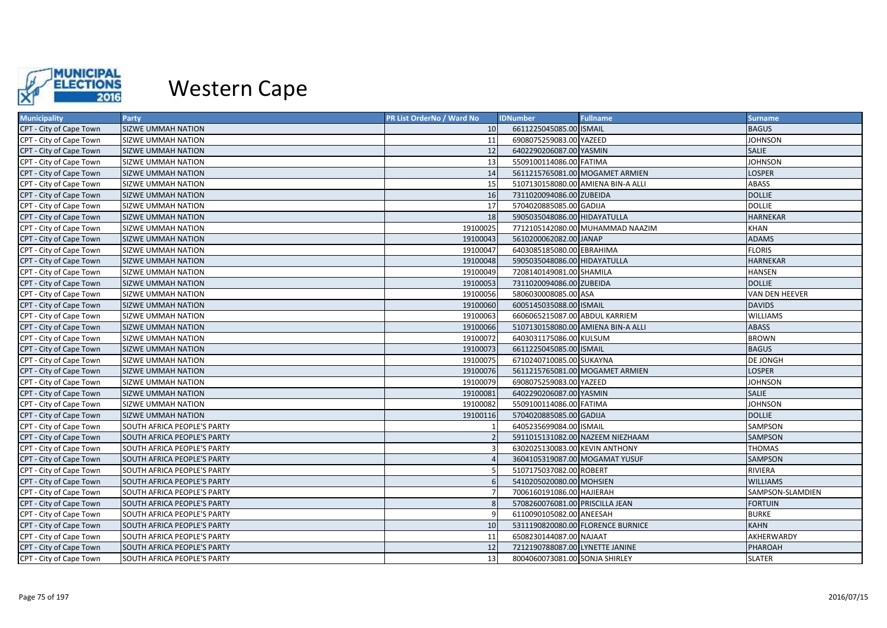

| <b>Municipality</b>     | Party                       | <b>PR List OrderNo / Ward No</b> | <b>IDNumber</b>                    | <b>Fullname</b>                   | <b>Surname</b>   |
|-------------------------|-----------------------------|----------------------------------|------------------------------------|-----------------------------------|------------------|
| CPT - City of Cape Town | <b>SIZWE UMMAH NATION</b>   | 10 <sup>1</sup>                  | 6611225045085.00 ISMAIL            |                                   | <b>BAGUS</b>     |
| CPT - City of Cape Town | SIZWE UMMAH NATION          | 11                               | 6908075259083.00 YAZEED            |                                   | <b>JOHNSON</b>   |
| CPT - City of Cape Town | <b>SIZWE UMMAH NATION</b>   | 12                               | 6402290206087.00 YASMIN            |                                   | <b>SALIE</b>     |
| CPT - City of Cape Town | SIZWE UMMAH NATION          | 13                               | 5509100114086.00 FATIMA            |                                   | JOHNSON          |
| CPT - City of Cape Town | <b>SIZWE UMMAH NATION</b>   | 14                               |                                    | 5611215765081.00 MOGAMET ARMIEN   | <b>LOSPER</b>    |
| CPT - City of Cape Town | SIZWE UMMAH NATION          | 15                               | 5107130158080.00 AMIENA BIN-A ALLI |                                   | ABASS            |
| CPT - City of Cape Town | <b>SIZWE UMMAH NATION</b>   | 16                               | 7311020094086.00 ZUBEIDA           |                                   | <b>DOLLIE</b>    |
| CPT - City of Cape Town | SIZWE UMMAH NATION          | 17                               | 5704020885085.00 GADIJA            |                                   | <b>DOLLIE</b>    |
| CPT - City of Cape Town | SIZWE UMMAH NATION          | 18                               | 5905035048086.00 HIDAYATULLA       |                                   | <b>HARNEKAR</b>  |
| CPT - City of Cape Town | SIZWE UMMAH NATION          | 19100025                         |                                    | 7712105142080.00 MUHAMMAD NAAZIM  | <b>KHAN</b>      |
| CPT - City of Cape Town | SIZWE UMMAH NATION          | 19100043                         | 5610200062082.00 JANAP             |                                   | <b>ADAMS</b>     |
| CPT - City of Cape Town | SIZWE UMMAH NATION          | 19100047                         | 6403085185080.00 EBRAHIMA          |                                   | <b>FLORIS</b>    |
| CPT - City of Cape Town | <b>SIZWE UMMAH NATION</b>   | 19100048                         | 5905035048086.00 HIDAYATULLA       |                                   | <b>HARNEKAR</b>  |
| CPT - City of Cape Town | SIZWE UMMAH NATION          | 19100049                         | 7208140149081.00 SHAMILA           |                                   | <b>HANSEN</b>    |
| CPT - City of Cape Town | SIZWE UMMAH NATION          | 19100053                         | 7311020094086.00 ZUBEIDA           |                                   | <b>DOLLIE</b>    |
| CPT - City of Cape Town | <b>SIZWE UMMAH NATION</b>   | 19100056                         | 5806030008085.00 ASA               |                                   | VAN DEN HEEVER   |
| CPT - City of Cape Town | <b>SIZWE UMMAH NATION</b>   | 19100060                         | 6005145035088.00 ISMAIL            |                                   | <b>DAVIDS</b>    |
| CPT - City of Cape Town | SIZWE UMMAH NATION          | 19100063                         | 6606065215087.00 ABDUL KARRIEM     |                                   | <b>WILLIAMS</b>  |
| CPT - City of Cape Town | SIZWE UMMAH NATION          | 19100066                         | 5107130158080.00 AMIENA BIN-A ALLI |                                   | <b>ABASS</b>     |
| CPT - City of Cape Town | SIZWE UMMAH NATION          | 19100072                         | 6403031175086.00 KULSUM            |                                   | <b>BROWN</b>     |
| CPT - City of Cape Town | SIZWE UMMAH NATION          | 19100073                         | 6611225045085.00 ISMAIL            |                                   | <b>BAGUS</b>     |
| CPT - City of Cape Town | SIZWE UMMAH NATION          | 19100075                         | 6710240710085.00 SUKAYNA           |                                   | DE JONGH         |
| CPT - City of Cape Town | <b>SIZWE UMMAH NATION</b>   | 19100076                         |                                    | 5611215765081.00 MOGAMET ARMIEN   | <b>LOSPER</b>    |
| CPT - City of Cape Town | SIZWE UMMAH NATION          | 19100079                         | 6908075259083.00 YAZEED            |                                   | <b>JOHNSON</b>   |
| CPT - City of Cape Town | <b>SIZWE UMMAH NATION</b>   | 19100081                         | 6402290206087.00 YASMIN            |                                   | <b>SALIE</b>     |
| CPT - City of Cape Town | SIZWE UMMAH NATION          | 19100082                         | 5509100114086.00 FATIMA            |                                   | <b>JOHNSON</b>   |
| CPT - City of Cape Town | <b>SIZWE UMMAH NATION</b>   | 19100116                         | 5704020885085.00 GADIJA            |                                   | <b>DOLLIE</b>    |
| CPT - City of Cape Town | SOUTH AFRICA PEOPLE'S PARTY |                                  | 6405235699084.00 ISMAIL            |                                   | SAMPSON          |
| CPT - City of Cape Town | SOUTH AFRICA PEOPLE'S PARTY |                                  |                                    | 5911015131082.00 NAZEEM NIEZHAAM  | <b>SAMPSON</b>   |
| CPT - City of Cape Town | SOUTH AFRICA PEOPLE'S PARTY |                                  | 6302025130083.00 KEVIN ANTHONY     |                                   | <b>THOMAS</b>    |
| CPT - City of Cape Town | SOUTH AFRICA PEOPLE'S PARTY |                                  | 3604105319087.00 MOGAMAT YUSUF     |                                   | <b>SAMPSON</b>   |
| CPT - City of Cape Town | SOUTH AFRICA PEOPLE'S PARTY |                                  | 5107175037082.00 ROBERT            |                                   | RIVIERA          |
| CPT - City of Cape Town | SOUTH AFRICA PEOPLE'S PARTY |                                  | 5410205020080.00 MOHSIEN           |                                   | <b>WILLIAMS</b>  |
| CPT - City of Cape Town | SOUTH AFRICA PEOPLE'S PARTY |                                  | 7006160191086.00 HAJIERAH          |                                   | SAMPSON-SLAMDIEN |
| CPT - City of Cape Town | SOUTH AFRICA PEOPLE'S PARTY |                                  | 5708260076081.00 PRISCILLA JEAN    |                                   | <b>FORTUIN</b>   |
| CPT - City of Cape Town | SOUTH AFRICA PEOPLE'S PARTY |                                  | 6110090105082.00 ANEESAH           |                                   | <b>BURKE</b>     |
| CPT - City of Cape Town | SOUTH AFRICA PEOPLE'S PARTY | 10                               |                                    | 5311190820080.00 FLORENCE BURNICE | <b>KAHN</b>      |
| CPT - City of Cape Town | SOUTH AFRICA PEOPLE'S PARTY | 11                               | 6508230144087.00 NAJAAT            |                                   | AKHERWARDY       |
| CPT - City of Cape Town | SOUTH AFRICA PEOPLE'S PARTY | 12                               | 7212190788087.00 LYNETTE JANINE    |                                   | PHAROAH          |
| CPT - City of Cape Town | SOUTH AFRICA PEOPLE'S PARTY | 13                               | 8004060073081.00 SONJA SHIRLEY     |                                   | <b>SLATER</b>    |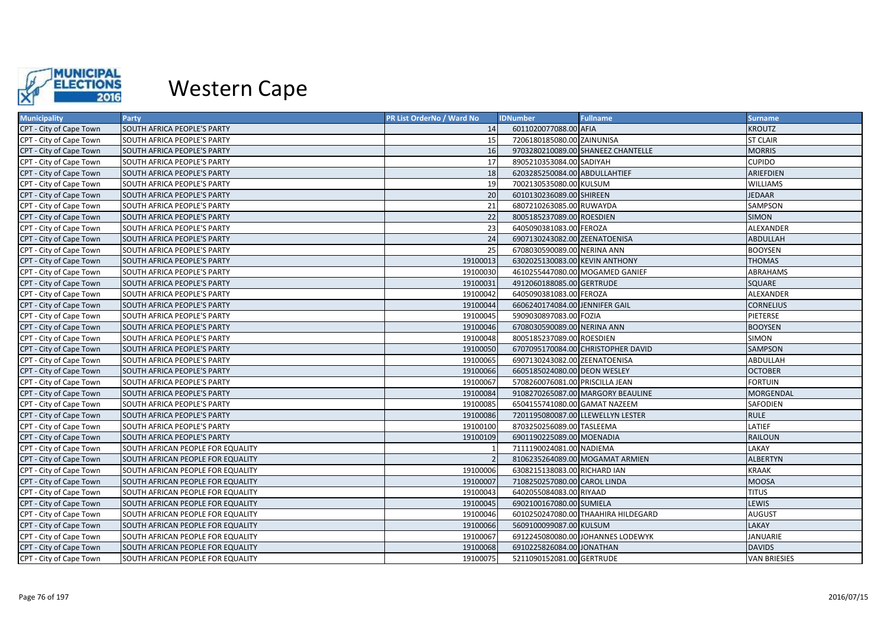

| <b>Municipality</b>     | Party                             | <b>PR List OrderNo / Ward No</b> | <b>IDNumber</b>                 | <b>Fullname</b>                     | <b>Surname</b>      |
|-------------------------|-----------------------------------|----------------------------------|---------------------------------|-------------------------------------|---------------------|
| CPT - City of Cape Town | SOUTH AFRICA PEOPLE'S PARTY       | 14                               | 6011020077088.00 AFIA           |                                     | <b>KROUTZ</b>       |
| CPT - City of Cape Town | SOUTH AFRICA PEOPLE'S PARTY       | 15                               | 7206180185080.00 ZAINUNISA      |                                     | <b>ST CLAIR</b>     |
| CPT - City of Cape Town | SOUTH AFRICA PEOPLE'S PARTY       | 16                               |                                 | 9703280210089.00 SHANEEZ CHANTELLE  | <b>MORRIS</b>       |
| CPT - City of Cape Town | SOUTH AFRICA PEOPLE'S PARTY       | 17                               | 8905210353084.00 SADIYAH        |                                     | <b>CUPIDO</b>       |
| CPT - City of Cape Town | SOUTH AFRICA PEOPLE'S PARTY       | 18                               | 6203285250084.00 ABDULLAHTIEF   |                                     | ARIEFDIEN           |
| CPT - City of Cape Town | SOUTH AFRICA PEOPLE'S PARTY       | 19                               | 7002130535080.00 KULSUM         |                                     | <b>WILLIAMS</b>     |
| CPT - City of Cape Town | SOUTH AFRICA PEOPLE'S PARTY       | 20                               | 6010130236089.00 SHIREEN        |                                     | <b>JEDAAR</b>       |
| CPT - City of Cape Town | SOUTH AFRICA PEOPLE'S PARTY       | 21                               | 6807210263085.00 RUWAYDA        |                                     | SAMPSON             |
| CPT - City of Cape Town | SOUTH AFRICA PEOPLE'S PARTY       | 22                               | 8005185237089.00 ROESDIEN       |                                     | <b>SIMON</b>        |
| CPT - City of Cape Town | SOUTH AFRICA PEOPLE'S PARTY       | 23                               | 6405090381083.00 FEROZA         |                                     | ALEXANDER           |
| CPT - City of Cape Town | SOUTH AFRICA PEOPLE'S PARTY       | 24                               | 6907130243082.00 ZEENATOENISA   |                                     | <b>ABDULLAH</b>     |
| CPT - City of Cape Town | SOUTH AFRICA PEOPLE'S PARTY       | 25                               | 6708030590089.00 NERINA ANN     |                                     | <b>BOOYSEN</b>      |
| CPT - City of Cape Town | SOUTH AFRICA PEOPLE'S PARTY       | 19100013                         | 6302025130083.00 KEVIN ANTHONY  |                                     | <b>THOMAS</b>       |
| CPT - City of Cape Town | SOUTH AFRICA PEOPLE'S PARTY       | 19100030                         |                                 | 4610255447080.00 MOGAMED GANIEF     | ABRAHAMS            |
| CPT - City of Cape Town | SOUTH AFRICA PEOPLE'S PARTY       | 19100031                         | 4912060188085.00 GERTRUDE       |                                     | SQUARE              |
| CPT - City of Cape Town | SOUTH AFRICA PEOPLE'S PARTY       | 19100042                         | 6405090381083.00 FEROZA         |                                     | ALEXANDER           |
| CPT - City of Cape Town | SOUTH AFRICA PEOPLE'S PARTY       | 19100044                         | 6606240174084.00 JENNIFER GAIL  |                                     | <b>CORNELIUS</b>    |
| CPT - City of Cape Town | SOUTH AFRICA PEOPLE'S PARTY       | 19100045                         | 5909030897083.00 FOZIA          |                                     | PIETERSE            |
| CPT - City of Cape Town | SOUTH AFRICA PEOPLE'S PARTY       | 19100046                         | 6708030590089.00 NERINA ANN     |                                     | <b>BOOYSEN</b>      |
| CPT - City of Cape Town | SOUTH AFRICA PEOPLE'S PARTY       | 19100048                         | 8005185237089.00 ROESDIEN       |                                     | SIMON               |
| CPT - City of Cape Town | SOUTH AFRICA PEOPLE'S PARTY       | 19100050                         |                                 | 6707095170084.00 CHRISTOPHER DAVID  | SAMPSON             |
| CPT - City of Cape Town | SOUTH AFRICA PEOPLE'S PARTY       | 19100065                         | 6907130243082.00 ZEENATOENISA   |                                     | ABDULLAH            |
| CPT - City of Cape Town | SOUTH AFRICA PEOPLE'S PARTY       | 19100066                         | 6605185024080.00 DEON WESLEY    |                                     | <b>OCTOBER</b>      |
| CPT - City of Cape Town | SOUTH AFRICA PEOPLE'S PARTY       | 19100067                         | 5708260076081.00 PRISCILLA JEAN |                                     | <b>FORTUIN</b>      |
| CPT - City of Cape Town | SOUTH AFRICA PEOPLE'S PARTY       | 19100084                         |                                 | 9108270265087.00 MARGORY BEAULINE   | MORGENDAL           |
| CPT - City of Cape Town | SOUTH AFRICA PEOPLE'S PARTY       | 19100085                         | 6504155741080.00 GAMAT NAZEEM   |                                     | SAFODIEN            |
| CPT - City of Cape Town | SOUTH AFRICA PEOPLE'S PARTY       | 19100086                         |                                 | 7201195080087.00 LLEWELLYN LESTER   | <b>RULE</b>         |
| CPT - City of Cape Town | SOUTH AFRICA PEOPLE'S PARTY       | 19100100                         | 8703250256089.00 TASLEEMA       |                                     | LATIEF              |
| CPT - City of Cape Town | SOUTH AFRICA PEOPLE'S PARTY       | 19100109                         | 6901190225089.00 MOENADIA       |                                     | <b>RAILOUN</b>      |
| CPT - City of Cape Town | SOUTH AFRICAN PEOPLE FOR EQUALITY |                                  | 7111190024081.00 NADIEMA        |                                     | LAKAY               |
| CPT - City of Cape Town | SOUTH AFRICAN PEOPLE FOR EQUALITY |                                  |                                 | 8106235264089.00 MOGAMAT ARMIEN     | <b>ALBERTYN</b>     |
| CPT - City of Cape Town | SOUTH AFRICAN PEOPLE FOR EQUALITY | 19100006                         | 6308215138083.00 RICHARD IAN    |                                     | <b>KRAAK</b>        |
| CPT - City of Cape Town | SOUTH AFRICAN PEOPLE FOR EQUALITY | 19100007                         | 7108250257080.00 CAROL LINDA    |                                     | <b>MOOSA</b>        |
| CPT - City of Cape Town | SOUTH AFRICAN PEOPLE FOR EQUALITY | 19100043                         | 6402055084083.00 RIYAAD         |                                     | <b>TITUS</b>        |
| CPT - City of Cape Town | SOUTH AFRICAN PEOPLE FOR EQUALITY | 19100045                         | 6902100167080.00 SUMIELA        |                                     | LEWIS               |
| CPT - City of Cape Town | SOUTH AFRICAN PEOPLE FOR EQUALITY | 19100046                         |                                 | 6010250247080.00 THAAHIRA HILDEGARD | <b>AUGUST</b>       |
| CPT - City of Cape Town | SOUTH AFRICAN PEOPLE FOR EQUALITY | 19100066                         | 5609100099087.00 KULSUM         |                                     | LAKAY               |
| CPT - City of Cape Town | SOUTH AFRICAN PEOPLE FOR EQUALITY | 19100067                         |                                 | 6912245080080.00 JOHANNES LODEWYK   | JANUARIE            |
| CPT - City of Cape Town | SOUTH AFRICAN PEOPLE FOR EQUALITY | 19100068                         | 6910225826084.00 JONATHAN       |                                     | <b>DAVIDS</b>       |
| CPT - City of Cape Town | SOUTH AFRICAN PEOPLE FOR EQUALITY | 19100075                         | 5211090152081.00 GERTRUDE       |                                     | <b>VAN BRIESIES</b> |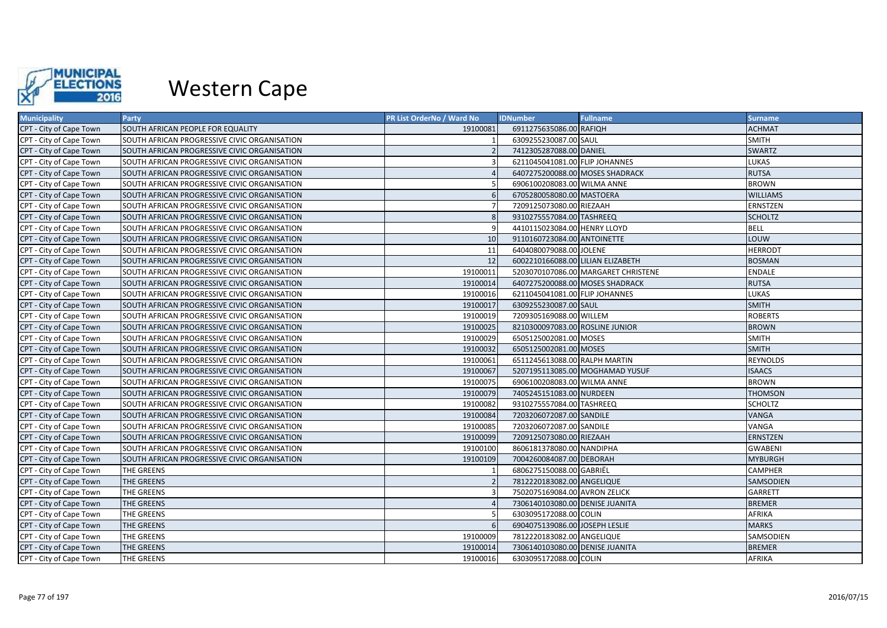

| <b>Municipality</b>     | Party                                        | PR List OrderNo / Ward No | <b>IDNumber</b>                   | <b>Fullname</b>                     | <b>Surname</b>   |
|-------------------------|----------------------------------------------|---------------------------|-----------------------------------|-------------------------------------|------------------|
| CPT - City of Cape Town | SOUTH AFRICAN PEOPLE FOR EQUALITY            | 19100081                  | 6911275635086.00 RAFIQH           |                                     | <b>ACHMAT</b>    |
| CPT - City of Cape Town | SOUTH AFRICAN PROGRESSIVE CIVIC ORGANISATION |                           | 6309255230087.00 SAUL             |                                     | <b>SMITH</b>     |
| CPT - City of Cape Town | SOUTH AFRICAN PROGRESSIVE CIVIC ORGANISATION |                           | 7412305287088.00 DANIEL           |                                     | <b>SWARTZ</b>    |
| CPT - City of Cape Town | SOUTH AFRICAN PROGRESSIVE CIVIC ORGANISATION |                           | 6211045041081.00 FLIP JOHANNES    |                                     | LUKAS            |
| CPT - City of Cape Town | SOUTH AFRICAN PROGRESSIVE CIVIC ORGANISATION |                           | 6407275200088.00 MOSES SHADRACK   |                                     | <b>RUTSA</b>     |
| CPT - City of Cape Town | SOUTH AFRICAN PROGRESSIVE CIVIC ORGANISATION |                           | 6906100208083.00 WILMA ANNE       |                                     | <b>BROWN</b>     |
| CPT - City of Cape Town | SOUTH AFRICAN PROGRESSIVE CIVIC ORGANISATION |                           | 6705280058080.00 MASTOERA         |                                     | <b>WILLIAMS</b>  |
| CPT - City of Cape Town | SOUTH AFRICAN PROGRESSIVE CIVIC ORGANISATION |                           | 7209125073080.00 RIEZAAH          |                                     | <b>ERNSTZEN</b>  |
| CPT - City of Cape Town | SOUTH AFRICAN PROGRESSIVE CIVIC ORGANISATION |                           | 9310275557084.00 TASHREEQ         |                                     | <b>SCHOLTZ</b>   |
| CPT - City of Cape Town | SOUTH AFRICAN PROGRESSIVE CIVIC ORGANISATION |                           | 4410115023084.00 HENRY LLOYD      |                                     | <b>BELL</b>      |
| CPT - City of Cape Town | SOUTH AFRICAN PROGRESSIVE CIVIC ORGANISATION | 10                        | 9110160723084.00 ANTOINETTE       |                                     | LOUW             |
| CPT - City of Cape Town | SOUTH AFRICAN PROGRESSIVE CIVIC ORGANISATION | 11                        | 6404080079088.00 JOLENE           |                                     | <b>HERRODT</b>   |
| CPT - City of Cape Town | SOUTH AFRICAN PROGRESSIVE CIVIC ORGANISATION | 12                        | 6002210166088.00 LILIAN ELIZABETH |                                     | <b>BOSMAN</b>    |
| CPT - City of Cape Town | SOUTH AFRICAN PROGRESSIVE CIVIC ORGANISATION | 19100011                  |                                   | 5203070107086.00 MARGARET CHRISTENE | <b>ENDALE</b>    |
| CPT - City of Cape Town | SOUTH AFRICAN PROGRESSIVE CIVIC ORGANISATION | 19100014                  | 6407275200088.00 MOSES SHADRACK   |                                     | <b>RUTSA</b>     |
| CPT - City of Cape Town | SOUTH AFRICAN PROGRESSIVE CIVIC ORGANISATION | 19100016                  | 6211045041081.00 FLIP JOHANNES    |                                     | <b>LUKAS</b>     |
| CPT - City of Cape Town | SOUTH AFRICAN PROGRESSIVE CIVIC ORGANISATION | 19100017                  | 6309255230087.00 SAUL             |                                     | <b>SMITH</b>     |
| CPT - City of Cape Town | SOUTH AFRICAN PROGRESSIVE CIVIC ORGANISATION | 19100019                  | 7209305169088.00 WILLEM           |                                     | <b>ROBERTS</b>   |
| CPT - City of Cape Town | SOUTH AFRICAN PROGRESSIVE CIVIC ORGANISATION | 19100025                  | 8210300097083.00 ROSLINE JUNIOR   |                                     | <b>BROWN</b>     |
| CPT - City of Cape Town | SOUTH AFRICAN PROGRESSIVE CIVIC ORGANISATION | 19100029                  | 6505125002081.00 MOSES            |                                     | <b>SMITH</b>     |
| CPT - City of Cape Town | SOUTH AFRICAN PROGRESSIVE CIVIC ORGANISATION | 19100032                  | 6505125002081.00 MOSES            |                                     | <b>SMITH</b>     |
| CPT - City of Cape Town | SOUTH AFRICAN PROGRESSIVE CIVIC ORGANISATION | 19100061                  | 6511245613088.00 RALPH MARTIN     |                                     | <b>REYNOLDS</b>  |
| CPT - City of Cape Town | SOUTH AFRICAN PROGRESSIVE CIVIC ORGANISATION | 19100067                  |                                   | 5207195113085.00 MOGHAMAD YUSUF     | <b>ISAACS</b>    |
| CPT - City of Cape Town | SOUTH AFRICAN PROGRESSIVE CIVIC ORGANISATION | 19100075                  | 6906100208083.00 WILMA ANNE       |                                     | <b>BROWN</b>     |
| CPT - City of Cape Town | SOUTH AFRICAN PROGRESSIVE CIVIC ORGANISATION | 19100079                  | 7405245151083.00 NURDEEN          |                                     | <b>THOMSON</b>   |
| CPT - City of Cape Town | SOUTH AFRICAN PROGRESSIVE CIVIC ORGANISATION | 19100082                  | 9310275557084.00 TASHREEQ         |                                     | <b>SCHOLTZ</b>   |
| CPT - City of Cape Town | SOUTH AFRICAN PROGRESSIVE CIVIC ORGANISATION | 19100084                  | 7203206072087.00 SANDILE          |                                     | <b>VANGA</b>     |
| CPT - City of Cape Town | SOUTH AFRICAN PROGRESSIVE CIVIC ORGANISATION | 19100085                  | 7203206072087.00 SANDILE          |                                     | VANGA            |
| CPT - City of Cape Town | SOUTH AFRICAN PROGRESSIVE CIVIC ORGANISATION | 19100099                  | 7209125073080.00 RIEZAAH          |                                     | <b>ERNSTZEN</b>  |
| CPT - City of Cape Town | SOUTH AFRICAN PROGRESSIVE CIVIC ORGANISATION | 19100100                  | 8606181378080.00 NANDIPHA         |                                     | <b>GWABENI</b>   |
| CPT - City of Cape Town | SOUTH AFRICAN PROGRESSIVE CIVIC ORGANISATION | 19100109                  | 7004260084087.00 DEBORAH          |                                     | <b>MYBURGH</b>   |
| CPT - City of Cape Town | THE GREENS                                   |                           | 6806275150088.00 GABRIËL          |                                     | <b>CAMPHER</b>   |
| CPT - City of Cape Town | THE GREENS                                   |                           | 7812220183082.00 ANGELIQUE        |                                     | <b>SAMSODIEN</b> |
| CPT - City of Cape Town | THE GREENS                                   |                           | 7502075169084.00 AVRON ZELICK     |                                     | <b>GARRETT</b>   |
| CPT - City of Cape Town | THE GREENS                                   |                           | 7306140103080.00 DENISE JUANITA   |                                     | <b>BREMER</b>    |
| CPT - City of Cape Town | THE GREENS                                   |                           | 6303095172088.00 COLIN            |                                     | <b>AFRIKA</b>    |
| CPT - City of Cape Town | THE GREENS                                   |                           | 6904075139086.00 JOSEPH LESLIE    |                                     | <b>MARKS</b>     |
| CPT - City of Cape Town | THE GREENS                                   | 19100009                  | 7812220183082.00 ANGELIQUE        |                                     | SAMSODIEN        |
| CPT - City of Cape Town | THE GREENS                                   | 19100014                  | 7306140103080.00 DENISE JUANITA   |                                     | <b>BREMER</b>    |
| CPT - City of Cape Town | THE GREENS                                   | 19100016                  | 6303095172088.00 COLIN            |                                     | <b>AFRIKA</b>    |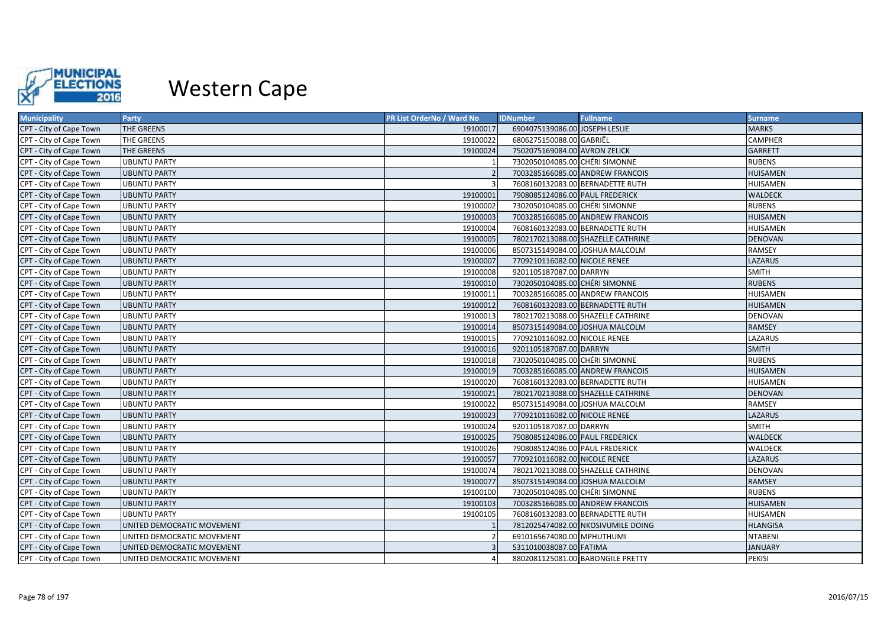

| <b>Municipality</b>     | Party                      | <b>PR List OrderNo / Ward No</b> | <b>IDNumber</b>                  | <b>Fullname</b>                    | <b>Surname</b>  |
|-------------------------|----------------------------|----------------------------------|----------------------------------|------------------------------------|-----------------|
| CPT - City of Cape Town | THE GREENS                 | 19100017                         | 6904075139086.00 JOSEPH LESLIE   |                                    | <b>MARKS</b>    |
| CPT - City of Cape Town | THE GREENS                 | 19100022                         | 6806275150088.00 GABRIËL         |                                    | <b>CAMPHER</b>  |
| CPT - City of Cape Town | THE GREENS                 | 19100024                         | 7502075169084.00 AVRON ZELICK    |                                    | <b>GARRETT</b>  |
| CPT - City of Cape Town | <b>UBUNTU PARTY</b>        |                                  | 7302050104085.00 CHÉRI SIMONNE   |                                    | <b>RUBENS</b>   |
| CPT - City of Cape Town | <b>UBUNTU PARTY</b>        |                                  |                                  | 7003285166085.00 ANDREW FRANCOIS   | <b>HUISAMEN</b> |
| CPT - City of Cape Town | <b>UBUNTU PARTY</b>        |                                  | 7608160132083.00 BERNADETTE RUTH |                                    | <b>HUISAMEN</b> |
| CPT - City of Cape Town | <b>UBUNTU PARTY</b>        | 19100001                         | 7908085124086.00 PAUL FREDERICK  |                                    | <b>WALDECK</b>  |
| CPT - City of Cape Town | <b>UBUNTU PARTY</b>        | 19100002                         | 7302050104085.00 CHÉRI SIMONNE   |                                    | <b>RUBENS</b>   |
| CPT - City of Cape Town | <b>UBUNTU PARTY</b>        | 19100003                         |                                  | 7003285166085.00 ANDREW FRANCOIS   | <b>HUISAMEN</b> |
| CPT - City of Cape Town | <b>UBUNTU PARTY</b>        | 19100004                         |                                  | 7608160132083.00 BERNADETTE RUTH   | <b>HUISAMEN</b> |
| CPT - City of Cape Town | <b>UBUNTU PARTY</b>        | 19100005                         |                                  | 7802170213088.00 SHAZELLE CATHRINE | <b>DENOVAN</b>  |
| CPT - City of Cape Town | <b>UBUNTU PARTY</b>        | 19100006                         |                                  | 8507315149084.00 JOSHUA MALCOLM    | <b>RAMSEY</b>   |
| CPT - City of Cape Town | <b>UBUNTU PARTY</b>        | 19100007                         | 7709210116082.00 NICOLE RENEE    |                                    | <b>LAZARUS</b>  |
| CPT - City of Cape Town | <b>UBUNTU PARTY</b>        | 19100008                         | 9201105187087.00 DARRYN          |                                    | <b>SMITH</b>    |
| CPT - City of Cape Town | <b>UBUNTU PARTY</b>        | 19100010                         | 7302050104085.00 CHÉRI SIMONNE   |                                    | <b>RUBENS</b>   |
| CPT - City of Cape Town | <b>UBUNTU PARTY</b>        | 19100011                         |                                  | 7003285166085.00 ANDREW FRANCOIS   | <b>HUISAMEN</b> |
| CPT - City of Cape Town | <b>UBUNTU PARTY</b>        | 19100012                         | 7608160132083.00 BERNADETTE RUTH |                                    | <b>HUISAMEN</b> |
| CPT - City of Cape Town | <b>UBUNTU PARTY</b>        | 19100013                         |                                  | 7802170213088.00 SHAZELLE CATHRINE | <b>DENOVAN</b>  |
| CPT - City of Cape Town | <b>UBUNTU PARTY</b>        | 19100014                         |                                  | 8507315149084.00 JOSHUA MALCOLM    | <b>RAMSEY</b>   |
| CPT - City of Cape Town | <b>UBUNTU PARTY</b>        | 19100015                         | 7709210116082.00 NICOLE RENEE    |                                    | LAZARUS         |
| CPT - City of Cape Town | <b>UBUNTU PARTY</b>        | 19100016                         | 9201105187087.00 DARRYN          |                                    | <b>SMITH</b>    |
| CPT - City of Cape Town | <b>UBUNTU PARTY</b>        | 19100018                         | 7302050104085.00 CHÉRI SIMONNE   |                                    | <b>RUBENS</b>   |
| CPT - City of Cape Town | <b>UBUNTU PARTY</b>        | 19100019                         |                                  | 7003285166085.00 ANDREW FRANCOIS   | <b>HUISAMEN</b> |
| CPT - City of Cape Town | <b>UBUNTU PARTY</b>        | 19100020                         | 7608160132083.00 BERNADETTE RUTH |                                    | <b>HUISAMEN</b> |
| CPT - City of Cape Town | <b>UBUNTU PARTY</b>        | 19100021                         |                                  | 7802170213088.00 SHAZELLE CATHRINE | <b>DENOVAN</b>  |
| CPT - City of Cape Town | <b>UBUNTU PARTY</b>        | 19100022                         |                                  | 8507315149084.00 JOSHUA MALCOLM    | <b>RAMSEY</b>   |
| CPT - City of Cape Town | <b>UBUNTU PARTY</b>        | 19100023                         | 7709210116082.00 NICOLE RENEE    |                                    | LAZARUS         |
| CPT - City of Cape Town | <b>UBUNTU PARTY</b>        | 19100024                         | 9201105187087.00 DARRYN          |                                    | <b>SMITH</b>    |
| CPT - City of Cape Town | <b>UBUNTU PARTY</b>        | 19100025                         | 7908085124086.00 PAUL FREDERICK  |                                    | <b>WALDECK</b>  |
| CPT - City of Cape Town | <b>UBUNTU PARTY</b>        | 19100026                         | 7908085124086.00 PAUL FREDERICK  |                                    | <b>WALDECK</b>  |
| CPT - City of Cape Town | <b>UBUNTU PARTY</b>        | 19100057                         | 7709210116082.00 NICOLE RENEE    |                                    | <b>LAZARUS</b>  |
| CPT - City of Cape Town | <b>UBUNTU PARTY</b>        | 19100074                         |                                  | 7802170213088.00 SHAZELLE CATHRINE | <b>DENOVAN</b>  |
| CPT - City of Cape Town | <b>UBUNTU PARTY</b>        | 19100077                         |                                  | 8507315149084.00 JOSHUA MALCOLM    | <b>RAMSEY</b>   |
| CPT - City of Cape Town | <b>UBUNTU PARTY</b>        | 19100100                         | 7302050104085.00 CHÉRI SIMONNE   |                                    | <b>RUBENS</b>   |
| CPT - City of Cape Town | <b>UBUNTU PARTY</b>        | 19100103                         |                                  | 7003285166085.00 ANDREW FRANCOIS   | <b>HUISAMEN</b> |
| CPT - City of Cape Town | <b>UBUNTU PARTY</b>        | 19100105                         |                                  | 7608160132083.00 BERNADETTE RUTH   | <b>HUISAMEN</b> |
| CPT - City of Cape Town | UNITED DEMOCRATIC MOVEMENT |                                  |                                  | 7812025474082.00 NKOSIVUMILE DOING | <b>HLANGISA</b> |
| CPT - City of Cape Town | UNITED DEMOCRATIC MOVEMENT |                                  | 6910165674080.00 MPHUTHUMI       |                                    | <b>NTABENI</b>  |
| CPT - City of Cape Town | UNITED DEMOCRATIC MOVEMENT |                                  | 5311010038087.00 FATIMA          |                                    | <b>JANUARY</b>  |
| CPT - City of Cape Town | UNITED DEMOCRATIC MOVEMENT |                                  |                                  | 8802081125081.00 BABONGILE PRETTY  | <b>PEKISI</b>   |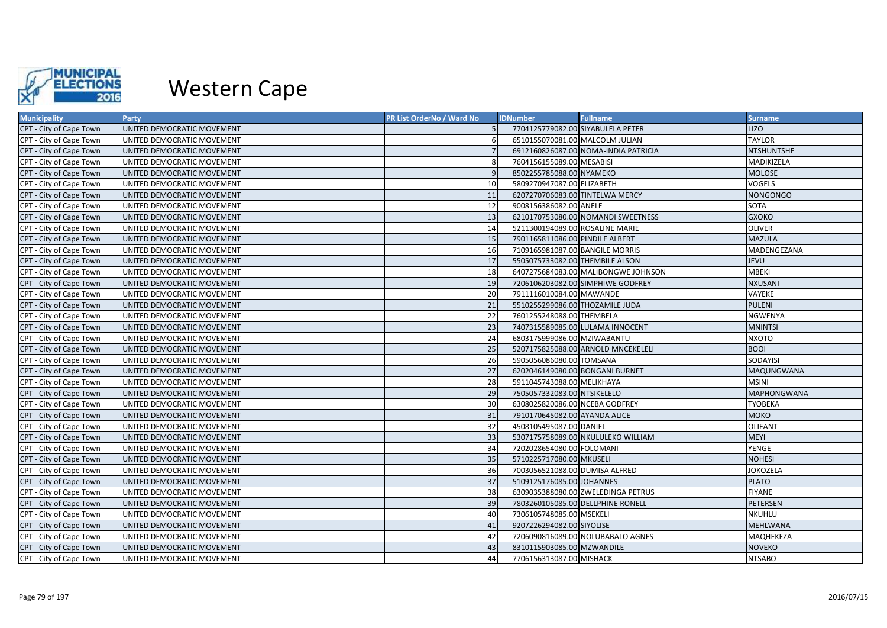

| <b>Municipality</b>     | Party                      | PR List OrderNo / Ward No | <b>IDNumber</b>                   | <b>Fullname</b>                      | <b>Surname</b>     |
|-------------------------|----------------------------|---------------------------|-----------------------------------|--------------------------------------|--------------------|
| CPT - City of Cape Town | UNITED DEMOCRATIC MOVEMENT |                           | 7704125779082.00 SIYABULELA PETER |                                      | <b>LIZO</b>        |
| CPT - City of Cape Town | UNITED DEMOCRATIC MOVEMENT |                           | 6510155070081.00 MALCOLM JULIAN   |                                      | <b>TAYLOR</b>      |
| CPT - City of Cape Town | UNITED DEMOCRATIC MOVEMENT |                           |                                   | 6912160826087.00 NOMA-INDIA PATRICIA | <b>NTSHUNTSHE</b>  |
| CPT - City of Cape Town | UNITED DEMOCRATIC MOVEMENT |                           | 7604156155089.00 MESABISI         |                                      | MADIKIZELA         |
| CPT - City of Cape Town | UNITED DEMOCRATIC MOVEMENT |                           | 8502255785088.00 NYAMEKO          |                                      | <b>MOLOSE</b>      |
| CPT - City of Cape Town | UNITED DEMOCRATIC MOVEMENT | 10                        | 5809270947087.00 ELIZABETH        |                                      | <b>VOGELS</b>      |
| CPT - City of Cape Town | UNITED DEMOCRATIC MOVEMENT | 11                        | 6207270706083.00 TINTELWA MERCY   |                                      | <b>NONGONGO</b>    |
| CPT - City of Cape Town | UNITED DEMOCRATIC MOVEMENT | 12                        | 9008156386082.00 ANELE            |                                      | SOTA               |
| CPT - City of Cape Town | UNITED DEMOCRATIC MOVEMENT | 13                        |                                   | 6210170753080.00 NOMANDI SWEETNESS   | <b>GXOKO</b>       |
| CPT - City of Cape Town | UNITED DEMOCRATIC MOVEMENT | 14                        | 5211300194089.00 ROSALINE MARIE   |                                      | <b>OLIVER</b>      |
| CPT - City of Cape Town | UNITED DEMOCRATIC MOVEMENT | 15                        | 7901165811086.00 PINDILE ALBERT   |                                      | <b>MAZULA</b>      |
| CPT - City of Cape Town | UNITED DEMOCRATIC MOVEMENT | 16                        | 7109165981087.00 BANGILE MORRIS   |                                      | MADENGEZANA        |
| CPT - City of Cape Town | UNITED DEMOCRATIC MOVEMENT | 17                        | 5505075733082.00 THEMBILE ALSON   |                                      | <b>JEVU</b>        |
| CPT - City of Cape Town | UNITED DEMOCRATIC MOVEMENT | 18                        |                                   | 6407275684083.00 MALIBONGWE JOHNSON  | <b>MBEKI</b>       |
| CPT - City of Cape Town | UNITED DEMOCRATIC MOVEMENT | 19                        |                                   | 7206106203082.00 SIMPHIWE GODFREY    | <b>NXUSANI</b>     |
| CPT - City of Cape Town | UNITED DEMOCRATIC MOVEMENT | 20                        | 7911116010084.00 MAWANDE          |                                      | VAYEKE             |
| CPT - City of Cape Town | UNITED DEMOCRATIC MOVEMENT | 21                        | 5510255299086.00 THOZAMILE JUDA   |                                      | <b>PULENI</b>      |
| CPT - City of Cape Town | UNITED DEMOCRATIC MOVEMENT | 22                        | 7601255248088.00 THEMBELA         |                                      | <b>NGWENYA</b>     |
| CPT - City of Cape Town | UNITED DEMOCRATIC MOVEMENT | 23                        |                                   | 7407315589085.00 LULAMA INNOCENT     | <b>MNINTSI</b>     |
| CPT - City of Cape Town | UNITED DEMOCRATIC MOVEMENT | 24                        | 6803175999086.00 MZIWABANTU       |                                      | <b>NXOTO</b>       |
| CPT - City of Cape Town | UNITED DEMOCRATIC MOVEMENT | 25                        |                                   | 5207175825088.00 ARNOLD MNCEKELELI   | <b>BOOI</b>        |
| CPT - City of Cape Town | UNITED DEMOCRATIC MOVEMENT | 26                        | 5905056086080.00 TOMSANA          |                                      | SODAYISI           |
| CPT - City of Cape Town | UNITED DEMOCRATIC MOVEMENT | 27                        | 6202046149080.00 BONGANI BURNET   |                                      | MAQUNGWANA         |
| CPT - City of Cape Town | UNITED DEMOCRATIC MOVEMENT | 28                        | 5911045743088.00 MELIKHAYA        |                                      | <b>MSINI</b>       |
| CPT - City of Cape Town | UNITED DEMOCRATIC MOVEMENT | 29                        | 7505057332083.00 NTSIKELELO       |                                      | <b>MAPHONGWANA</b> |
| CPT - City of Cape Town | UNITED DEMOCRATIC MOVEMENT | 30                        | 6308025820086.00 NCEBA GODFREY    |                                      | <b>TYOBEKA</b>     |
| CPT - City of Cape Town | UNITED DEMOCRATIC MOVEMENT | 31                        | 7910170645082.00 AYANDA ALICE     |                                      | <b>MOKO</b>        |
| CPT - City of Cape Town | UNITED DEMOCRATIC MOVEMENT | 32                        | 4508105495087.00 DANIEL           |                                      | <b>OLIFANT</b>     |
| CPT - City of Cape Town | UNITED DEMOCRATIC MOVEMENT | 33                        |                                   | 5307175758089.00 NKULULEKO WILLIAM   | <b>MEYI</b>        |
| CPT - City of Cape Town | UNITED DEMOCRATIC MOVEMENT | 34                        | 7202028654080.00 FOLOMANI         |                                      | <b>YENGE</b>       |
| CPT - City of Cape Town | UNITED DEMOCRATIC MOVEMENT | 35                        | 5710225717080.00 MKUSELI          |                                      | <b>NOHESI</b>      |
| CPT - City of Cape Town | UNITED DEMOCRATIC MOVEMENT | 36                        | 7003056521088.00 DUMISA ALFRED    |                                      | <b>JOKOZELA</b>    |
| CPT - City of Cape Town | UNITED DEMOCRATIC MOVEMENT | 37                        | 5109125176085.00 JOHANNES         |                                      | <b>PLATO</b>       |
| CPT - City of Cape Town | UNITED DEMOCRATIC MOVEMENT | 38                        |                                   | 6309035388080.00 ZWELEDINGA PETRUS   | <b>FIYANE</b>      |
| CPT - City of Cape Town | UNITED DEMOCRATIC MOVEMENT | 39                        |                                   | 7803260105085.00 DELLPHINE RONELL    | PETERSEN           |
| CPT - City of Cape Town | UNITED DEMOCRATIC MOVEMENT | 40                        | 7306105748085.00 MSEKELI          |                                      | <b>NKUHLU</b>      |
| CPT - City of Cape Town | UNITED DEMOCRATIC MOVEMENT | 41                        | 9207226294082.00 SIYOLISE         |                                      | <b>MEHLWANA</b>    |
| CPT - City of Cape Town | UNITED DEMOCRATIC MOVEMENT | 42                        |                                   | 7206090816089.00 NOLUBABALO AGNES    | MAQHEKEZA          |
| CPT - City of Cape Town | UNITED DEMOCRATIC MOVEMENT | 43                        | 8310115903085.00 MZWANDILE        |                                      | <b>NOVEKO</b>      |
| CPT - City of Cape Town | UNITED DEMOCRATIC MOVEMENT | 44                        | 7706156313087.00 MISHACK          |                                      | <b>NTSABO</b>      |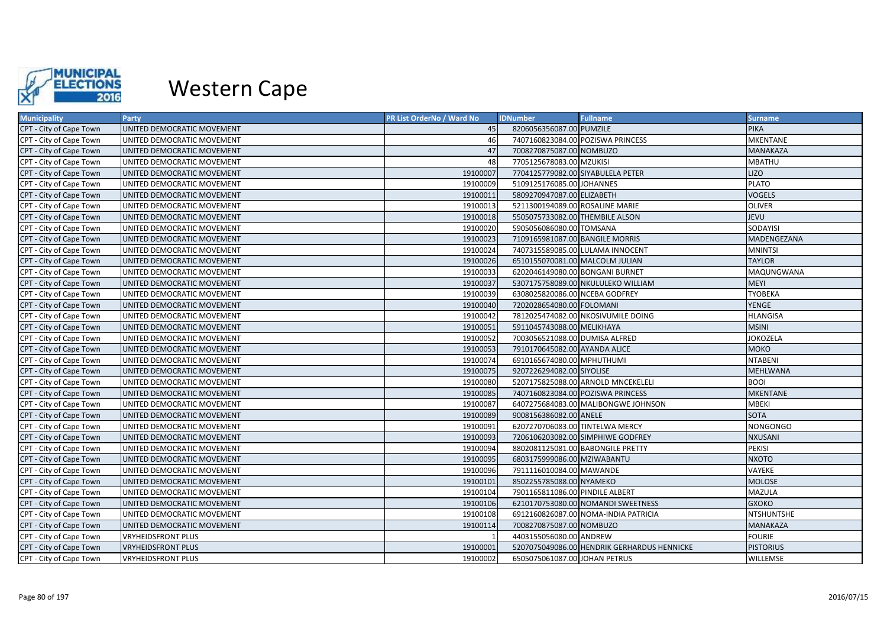

| <b>Municipality</b>     | Party                      | PR List OrderNo / Ward No | <b>IDNumber</b>                   | <b>Fullname</b>                             | <b>Surname</b>    |
|-------------------------|----------------------------|---------------------------|-----------------------------------|---------------------------------------------|-------------------|
| CPT - City of Cape Town | UNITED DEMOCRATIC MOVEMENT | 45                        | 8206056356087.00 PUMZILE          |                                             | PIKA              |
| CPT - City of Cape Town | UNITED DEMOCRATIC MOVEMENT | 46                        |                                   | 7407160823084.00 POZISWA PRINCESS           | <b>MKENTANE</b>   |
| CPT - City of Cape Town | UNITED DEMOCRATIC MOVEMENT | 47                        | 7008270875087.00 NOMBUZO          |                                             | MANAKAZA          |
| CPT - City of Cape Town | UNITED DEMOCRATIC MOVEMENT | 48                        | 7705125678083.00 MZUKISI          |                                             | <b>MBATHU</b>     |
| CPT - City of Cape Town | UNITED DEMOCRATIC MOVEMENT | 19100007                  | 7704125779082.00 SIYABULELA PETER |                                             | <b>LIZO</b>       |
| CPT - City of Cape Town | UNITED DEMOCRATIC MOVEMENT | 19100009                  | 5109125176085.00 JOHANNES         |                                             | <b>PLATO</b>      |
| CPT - City of Cape Town | UNITED DEMOCRATIC MOVEMENT | 19100011                  | 5809270947087.00 ELIZABETH        |                                             | <b>VOGELS</b>     |
| CPT - City of Cape Town | UNITED DEMOCRATIC MOVEMENT | 19100013                  | 5211300194089.00 ROSALINE MARIE   |                                             | <b>OLIVER</b>     |
| CPT - City of Cape Town | UNITED DEMOCRATIC MOVEMENT | 19100018                  | 5505075733082.00 THEMBILE ALSON   |                                             | <b>JEVU</b>       |
| CPT - City of Cape Town | UNITED DEMOCRATIC MOVEMENT | 19100020                  | 5905056086080.00 TOMSANA          |                                             | SODAYISI          |
| CPT - City of Cape Town | UNITED DEMOCRATIC MOVEMENT | 19100023                  | 7109165981087.00 BANGILE MORRIS   |                                             | MADENGEZANA       |
| CPT - City of Cape Town | UNITED DEMOCRATIC MOVEMENT | 19100024                  |                                   | 7407315589085.00 LULAMA INNOCENT            | <b>MNINTSI</b>    |
| CPT - City of Cape Town | UNITED DEMOCRATIC MOVEMENT | 19100026                  | 6510155070081.00 MALCOLM JULIAN   |                                             | <b>TAYLOR</b>     |
| CPT - City of Cape Town | UNITED DEMOCRATIC MOVEMENT | 19100033                  | 6202046149080.00 BONGANI BURNET   |                                             | MAQUNGWANA        |
| CPT - City of Cape Town | UNITED DEMOCRATIC MOVEMENT | 19100037                  |                                   | 5307175758089.00 NKULULEKO WILLIAM          | <b>MEYI</b>       |
| CPT - City of Cape Town | UNITED DEMOCRATIC MOVEMENT | 19100039                  | 6308025820086.00 NCEBA GODFREY    |                                             | <b>TYOBEKA</b>    |
| CPT - City of Cape Town | UNITED DEMOCRATIC MOVEMENT | 19100040                  | 7202028654080.00 FOLOMANI         |                                             | <b>YENGE</b>      |
| CPT - City of Cape Town | UNITED DEMOCRATIC MOVEMENT | 19100042                  |                                   | 7812025474082.00 NKOSIVUMILE DOING          | <b>HLANGISA</b>   |
| CPT - City of Cape Town | UNITED DEMOCRATIC MOVEMENT | 19100051                  | 5911045743088.00 MELIKHAYA        |                                             | <b>MSINI</b>      |
| CPT - City of Cape Town | UNITED DEMOCRATIC MOVEMENT | 19100052                  | 7003056521088.00 DUMISA ALFRED    |                                             | <b>JOKOZELA</b>   |
| CPT - City of Cape Town | UNITED DEMOCRATIC MOVEMENT | 19100053                  | 7910170645082.00 AYANDA ALICE     |                                             | <b>MOKO</b>       |
| CPT - City of Cape Town | UNITED DEMOCRATIC MOVEMENT | 19100074                  | 6910165674080.00 MPHUTHUMI        |                                             | <b>NTABENI</b>    |
| CPT - City of Cape Town | UNITED DEMOCRATIC MOVEMENT | 19100075                  | 9207226294082.00 SIYOLISE         |                                             | <b>MEHLWANA</b>   |
| CPT - City of Cape Town | UNITED DEMOCRATIC MOVEMENT | 19100080                  |                                   | 5207175825088.00 ARNOLD MNCEKELELI          | <b>BOOI</b>       |
| CPT - City of Cape Town | UNITED DEMOCRATIC MOVEMENT | 19100085                  |                                   | 7407160823084.00 POZISWA PRINCESS           | <b>MKENTANE</b>   |
| CPT - City of Cape Town | UNITED DEMOCRATIC MOVEMENT | 19100087                  |                                   | 6407275684083.00 MALIBONGWE JOHNSON         | <b>MBEKI</b>      |
| CPT - City of Cape Town | UNITED DEMOCRATIC MOVEMENT | 19100089                  | 9008156386082.00 ANELE            |                                             | <b>SOTA</b>       |
| CPT - City of Cape Town | UNITED DEMOCRATIC MOVEMENT | 19100091                  | 6207270706083.00 TINTELWA MERCY   |                                             | <b>NONGONGO</b>   |
| CPT - City of Cape Town | UNITED DEMOCRATIC MOVEMENT | 19100093                  |                                   | 7206106203082.00 SIMPHIWE GODFREY           | <b>NXUSANI</b>    |
| CPT - City of Cape Town | UNITED DEMOCRATIC MOVEMENT | 19100094                  |                                   | 8802081125081.00 BABONGILE PRETTY           | PEKISI            |
| CPT - City of Cape Town | UNITED DEMOCRATIC MOVEMENT | 19100095                  | 6803175999086.00 MZIWABANTU       |                                             | <b>NXOTO</b>      |
| CPT - City of Cape Town | UNITED DEMOCRATIC MOVEMENT | 19100096                  | 7911116010084.00 MAWANDE          |                                             | VAYEKE            |
| CPT - City of Cape Town | UNITED DEMOCRATIC MOVEMENT | 19100101                  | 8502255785088.00 NYAMEKO          |                                             | <b>MOLOSE</b>     |
| CPT - City of Cape Town | UNITED DEMOCRATIC MOVEMENT | 19100104                  | 7901165811086.00 PINDILE ALBERT   |                                             | <b>MAZULA</b>     |
| CPT - City of Cape Town | UNITED DEMOCRATIC MOVEMENT | 19100106                  |                                   | 6210170753080.00 NOMANDI SWEETNESS          | <b>GXOKO</b>      |
| CPT - City of Cape Town | UNITED DEMOCRATIC MOVEMENT | 19100108                  |                                   | 6912160826087.00 NOMA-INDIA PATRICIA        | <b>NTSHUNTSHE</b> |
| CPT - City of Cape Town | UNITED DEMOCRATIC MOVEMENT | 19100114                  | 7008270875087.00 NOMBUZO          |                                             | MANAKAZA          |
| CPT - City of Cape Town | <b>VRYHEIDSFRONT PLUS</b>  |                           | 4403155056080.00 ANDREW           |                                             | <b>FOURIE</b>     |
| CPT - City of Cape Town | <b>VRYHEIDSFRONT PLUS</b>  | 19100001                  |                                   | 5207075049086.00 HENDRIK GERHARDUS HENNICKE | <b>PISTORIUS</b>  |
| CPT - City of Cape Town | <b>VRYHEIDSFRONT PLUS</b>  | 19100002                  | 6505075061087.00 JOHAN PETRUS     |                                             | WILLEMSE          |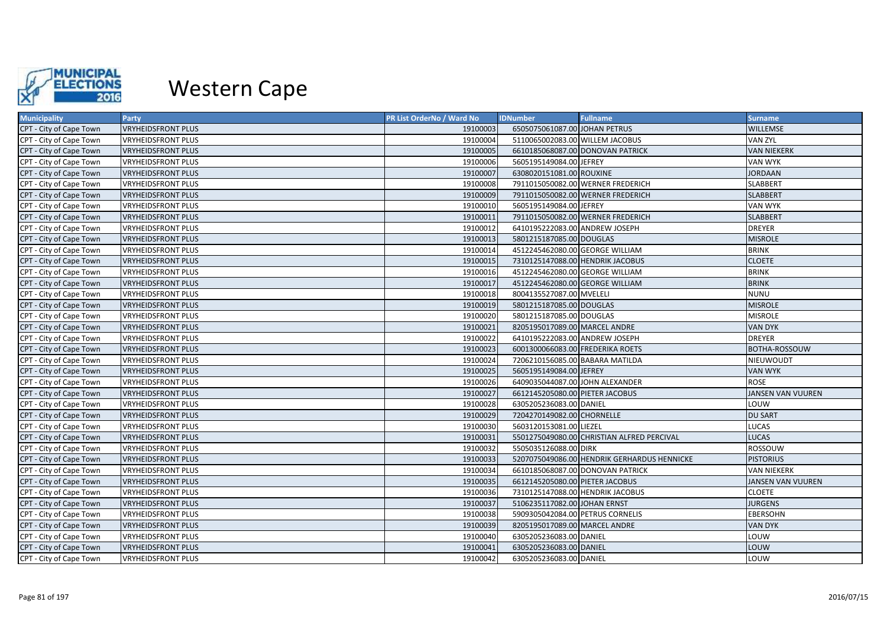

| <b>Municipality</b>     | Party                     | <b>PR List OrderNo / Ward No</b> | <b>IDNumber</b><br><b>Fullname</b>          | <b>Surname</b>           |
|-------------------------|---------------------------|----------------------------------|---------------------------------------------|--------------------------|
| CPT - City of Cape Town | <b>VRYHEIDSFRONT PLUS</b> | 19100003                         | 6505075061087.00 JOHAN PETRUS               | <b>WILLEMSE</b>          |
| CPT - City of Cape Town | <b>VRYHEIDSFRONT PLUS</b> | 19100004                         | 5110065002083.00 WILLEM JACOBUS             | <b>VAN ZYL</b>           |
| CPT - City of Cape Town | <b>VRYHEIDSFRONT PLUS</b> | 19100005                         | 6610185068087.00 DONOVAN PATRICK            | <b>VAN NIEKERK</b>       |
| CPT - City of Cape Town | <b>VRYHEIDSFRONT PLUS</b> | 19100006                         | 5605195149084.00 JEFREY                     | <b>VAN WYK</b>           |
| CPT - City of Cape Town | <b>VRYHEIDSFRONT PLUS</b> | 19100007                         | 6308020151081.00 ROUXINE                    | <b>JORDAAN</b>           |
| CPT - City of Cape Town | <b>VRYHEIDSFRONT PLUS</b> | 19100008                         | 7911015050082.00 WERNER FREDERICH           | <b>SLABBERT</b>          |
| CPT - City of Cape Town | <b>VRYHEIDSFRONT PLUS</b> | 19100009                         | 7911015050082.00 WERNER FREDERICH           | <b>SLABBERT</b>          |
| CPT - City of Cape Town | <b>VRYHEIDSFRONT PLUS</b> | 19100010                         | 5605195149084.00 JEFREY                     | VAN WYK                  |
| CPT - City of Cape Town | <b>VRYHEIDSFRONT PLUS</b> | 19100011                         | 7911015050082.00 WERNER FREDERICH           | <b>SLABBERT</b>          |
| CPT - City of Cape Town | <b>VRYHEIDSFRONT PLUS</b> | 19100012                         | 6410195222083.00 ANDREW JOSEPH              | <b>DREYER</b>            |
| CPT - City of Cape Town | <b>VRYHEIDSFRONT PLUS</b> | 19100013                         | 5801215187085.00 DOUGLAS                    | <b>MISROLE</b>           |
| CPT - City of Cape Town | <b>VRYHEIDSFRONT PLUS</b> | 19100014                         | 4512245462080.00 GEORGE WILLIAM             | <b>BRINK</b>             |
| CPT - City of Cape Town | <b>VRYHEIDSFRONT PLUS</b> | 19100015                         | 7310125147088.00 HENDRIK JACOBUS            | <b>CLOETE</b>            |
| CPT - City of Cape Town | <b>VRYHEIDSFRONT PLUS</b> | 19100016                         | 4512245462080.00 GEORGE WILLIAM             | <b>BRINK</b>             |
| CPT - City of Cape Town | <b>VRYHEIDSFRONT PLUS</b> | 19100017                         | 4512245462080.00 GEORGE WILLIAM             | <b>BRINK</b>             |
| CPT - City of Cape Town | <b>VRYHEIDSFRONT PLUS</b> | 19100018                         | 8004135527087.00 MVELELI                    | <b>NUNU</b>              |
| CPT - City of Cape Town | <b>VRYHEIDSFRONT PLUS</b> | 19100019                         | 5801215187085.00 DOUGLAS                    | <b>MISROLE</b>           |
| CPT - City of Cape Town | <b>VRYHEIDSFRONT PLUS</b> | 19100020                         | 5801215187085.00 DOUGLAS                    | <b>MISROLE</b>           |
| CPT - City of Cape Town | <b>VRYHEIDSFRONT PLUS</b> | 19100021                         | 8205195017089.00 MARCEL ANDRE               | <b>VAN DYK</b>           |
| CPT - City of Cape Town | <b>VRYHEIDSFRONT PLUS</b> | 19100022                         | 6410195222083.00 ANDREW JOSEPH              | <b>DREYER</b>            |
| CPT - City of Cape Town | <b>VRYHEIDSFRONT PLUS</b> | 19100023                         | 6001300066083.00 FREDERIKA ROETS            | BOTHA-ROSSOUW            |
| CPT - City of Cape Town | <b>VRYHEIDSFRONT PLUS</b> | 19100024                         | 7206210156085.00 BABARA MATILDA             | NIEUWOUDT                |
| CPT - City of Cape Town | <b>VRYHEIDSFRONT PLUS</b> | 19100025                         | 5605195149084.00 JEFREY                     | <b>VAN WYK</b>           |
| CPT - City of Cape Town | <b>VRYHEIDSFRONT PLUS</b> | 19100026                         | 6409035044087.00 JOHN ALEXANDER             | ROSE                     |
| CPT - City of Cape Town | <b>VRYHEIDSFRONT PLUS</b> | 19100027                         | 6612145205080.00 PIETER JACOBUS             | JANSEN VAN VUUREN        |
| CPT - City of Cape Town | <b>VRYHEIDSFRONT PLUS</b> | 19100028                         | 6305205236083.00 DANIEL                     | LOUW                     |
| CPT - City of Cape Town | <b>VRYHEIDSFRONT PLUS</b> | 19100029                         | 7204270149082.00 CHORNELLE                  | <b>DU SART</b>           |
| CPT - City of Cape Town | <b>VRYHEIDSFRONT PLUS</b> | 19100030                         | 5603120153081.00 LIEZEL                     | <b>LUCAS</b>             |
| CPT - City of Cape Town | <b>VRYHEIDSFRONT PLUS</b> | 19100031                         | 5501275049080.00 CHRISTIAN ALFRED PERCIVAL  | LUCAS                    |
| CPT - City of Cape Town | <b>VRYHEIDSFRONT PLUS</b> | 19100032                         | 5505035126088.00 DIRK                       | ROSSOUW                  |
| CPT - City of Cape Town | <b>VRYHEIDSFRONT PLUS</b> | 19100033                         | 5207075049086.00 HENDRIK GERHARDUS HENNICKE | <b>PISTORIUS</b>         |
| CPT - City of Cape Town | <b>VRYHEIDSFRONT PLUS</b> | 19100034                         | 6610185068087.00 DONOVAN PATRICK            | VAN NIEKERK              |
| CPT - City of Cape Town | <b>VRYHEIDSFRONT PLUS</b> | 19100035                         | 6612145205080.00 PIETER JACOBUS             | <b>JANSEN VAN VUUREN</b> |
| CPT - City of Cape Town | <b>VRYHEIDSFRONT PLUS</b> | 19100036                         | 7310125147088.00 HENDRIK JACOBUS            | <b>CLOETE</b>            |
| CPT - City of Cape Town | <b>VRYHEIDSFRONT PLUS</b> | 19100037                         | 5106235117082.00 JOHAN ERNST                | <b>JURGENS</b>           |
| CPT - City of Cape Town | <b>VRYHEIDSFRONT PLUS</b> | 19100038                         | 5909305042084.00 PETRUS CORNELIS            | <b>EBERSOHN</b>          |
| CPT - City of Cape Town | <b>VRYHEIDSFRONT PLUS</b> | 19100039                         | 8205195017089.00 MARCEL ANDRE               | VAN DYK                  |
| CPT - City of Cape Town | <b>VRYHEIDSFRONT PLUS</b> | 19100040                         | 6305205236083.00 DANIEL                     | LOUW                     |
| CPT - City of Cape Town | <b>VRYHEIDSFRONT PLUS</b> | 19100041                         | 6305205236083.00 DANIEL                     | LOUW                     |
| CPT - City of Cape Town | <b>VRYHEIDSFRONT PLUS</b> | 19100042                         | 6305205236083.00 DANIEL                     | LOUW                     |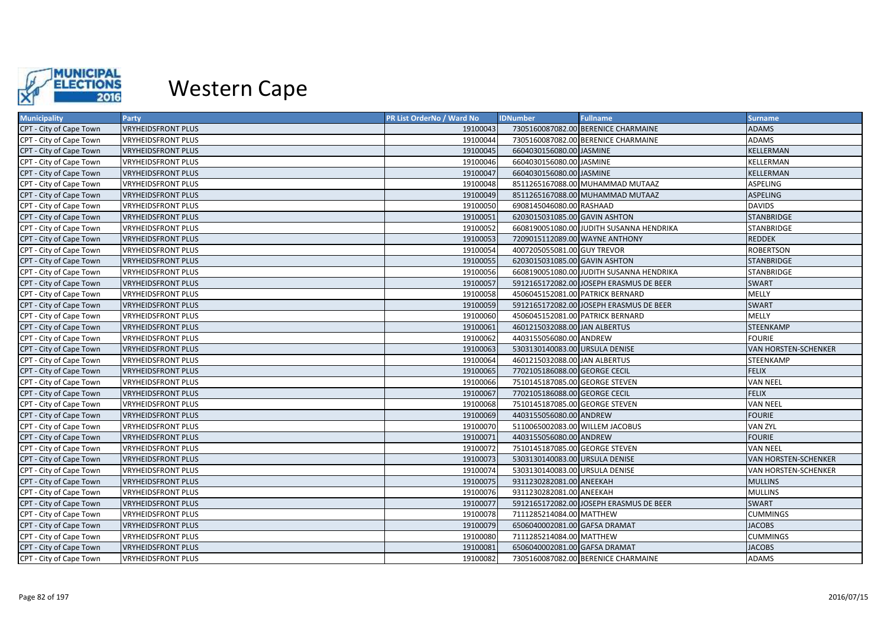

| <b>Municipality</b>     | Party                     | <b>PR List OrderNo / Ward No</b> | <b>IDNumber</b>                  | <b>Fullname</b>                          | <b>Surname</b>       |
|-------------------------|---------------------------|----------------------------------|----------------------------------|------------------------------------------|----------------------|
| CPT - City of Cape Town | <b>VRYHEIDSFRONT PLUS</b> | 19100043                         |                                  | 7305160087082.00 BERENICE CHARMAINE      | <b>ADAMS</b>         |
| CPT - City of Cape Town | <b>VRYHEIDSFRONT PLUS</b> | 19100044                         |                                  | 7305160087082.00 BERENICE CHARMAINE      | <b>ADAMS</b>         |
| CPT - City of Cape Town | <b>VRYHEIDSFRONT PLUS</b> | 19100045                         | 6604030156080.00 JASMINE         |                                          | KELLERMAN            |
| CPT - City of Cape Town | <b>VRYHEIDSFRONT PLUS</b> | 19100046                         | 6604030156080.00 JASMINE         |                                          | KELLERMAN            |
| CPT - City of Cape Town | <b>VRYHEIDSFRONT PLUS</b> | 19100047                         | 6604030156080.00 JASMINE         |                                          | KELLERMAN            |
| CPT - City of Cape Town | <b>VRYHEIDSFRONT PLUS</b> | 19100048                         |                                  | 8511265167088.00 MUHAMMAD MUTAAZ         | ASPELING             |
| CPT - City of Cape Town | <b>VRYHEIDSFRONT PLUS</b> | 19100049                         |                                  | 8511265167088.00 MUHAMMAD MUTAAZ         | <b>ASPELING</b>      |
| CPT - City of Cape Town | <b>VRYHEIDSFRONT PLUS</b> | 19100050                         | 6908145046080.00 RASHAAD         |                                          | <b>DAVIDS</b>        |
| CPT - City of Cape Town | <b>VRYHEIDSFRONT PLUS</b> | 19100051                         | 6203015031085.00 GAVIN ASHTON    |                                          | <b>STANBRIDGE</b>    |
| CPT - City of Cape Town | <b>VRYHEIDSFRONT PLUS</b> | 19100052                         |                                  | 6608190051080.00 JUDITH SUSANNA HENDRIKA | STANBRIDGE           |
| CPT - City of Cape Town | <b>VRYHEIDSFRONT PLUS</b> | 19100053                         | 7209015112089.00 WAYNE ANTHONY   |                                          | <b>REDDEK</b>        |
| CPT - City of Cape Town | <b>VRYHEIDSFRONT PLUS</b> | 19100054                         | 4007205055081.00 GUY TREVOR      |                                          | <b>ROBERTSON</b>     |
| CPT - City of Cape Town | <b>VRYHEIDSFRONT PLUS</b> | 19100055                         | 6203015031085.00 GAVIN ASHTON    |                                          | <b>STANBRIDGE</b>    |
| CPT - City of Cape Town | <b>VRYHEIDSFRONT PLUS</b> | 19100056                         |                                  | 6608190051080.00 JUDITH SUSANNA HENDRIKA | STANBRIDGE           |
| CPT - City of Cape Town | <b>VRYHEIDSFRONT PLUS</b> | 19100057                         |                                  | 5912165172082.00 JOSEPH ERASMUS DE BEER  | SWART                |
| CPT - City of Cape Town | <b>VRYHEIDSFRONT PLUS</b> | 19100058                         | 4506045152081.00 PATRICK BERNARD |                                          | MELLY                |
| CPT - City of Cape Town | <b>VRYHEIDSFRONT PLUS</b> | 19100059                         |                                  | 5912165172082.00 JOSEPH ERASMUS DE BEER  | <b>SWART</b>         |
| CPT - City of Cape Town | <b>VRYHEIDSFRONT PLUS</b> | 19100060                         | 4506045152081.00 PATRICK BERNARD |                                          | MELLY                |
| CPT - City of Cape Town | <b>VRYHEIDSFRONT PLUS</b> | 19100061                         | 4601215032088.00 JAN ALBERTUS    |                                          | STEENKAMP            |
| CPT - City of Cape Town | <b>VRYHEIDSFRONT PLUS</b> | 19100062                         | 4403155056080.00 ANDREW          |                                          | <b>FOURIE</b>        |
| CPT - City of Cape Town | <b>VRYHEIDSFRONT PLUS</b> | 19100063                         | 5303130140083.00 URSULA DENISE   |                                          | VAN HORSTEN-SCHENKER |
| CPT - City of Cape Town | <b>VRYHEIDSFRONT PLUS</b> | 19100064                         | 4601215032088.00 JAN ALBERTUS    |                                          | STEENKAMP            |
| CPT - City of Cape Town | <b>VRYHEIDSFRONT PLUS</b> | 19100065                         | 7702105186088.00 GEORGE CECIL    |                                          | <b>FELIX</b>         |
| CPT - City of Cape Town | <b>VRYHEIDSFRONT PLUS</b> | 19100066                         | 7510145187085.00 GEORGE STEVEN   |                                          | <b>VAN NEEL</b>      |
| CPT - City of Cape Town | <b>VRYHEIDSFRONT PLUS</b> | 19100067                         | 7702105186088.00 GEORGE CECIL    |                                          | <b>FELIX</b>         |
| CPT - City of Cape Town | <b>VRYHEIDSFRONT PLUS</b> | 19100068                         | 7510145187085.00 GEORGE STEVEN   |                                          | <b>VAN NEEL</b>      |
| CPT - City of Cape Town | <b>VRYHEIDSFRONT PLUS</b> | 19100069                         | 4403155056080.00 ANDREW          |                                          | <b>FOURIE</b>        |
| CPT - City of Cape Town | <b>VRYHEIDSFRONT PLUS</b> | 19100070                         | 5110065002083.00 WILLEM JACOBUS  |                                          | VAN ZYL              |
| CPT - City of Cape Town | <b>VRYHEIDSFRONT PLUS</b> | 19100071                         | 4403155056080.00 ANDREW          |                                          | <b>FOURIE</b>        |
| CPT - City of Cape Town | <b>VRYHEIDSFRONT PLUS</b> | 19100072                         | 7510145187085.00 GEORGE STEVEN   |                                          | VAN NEEL             |
| CPT - City of Cape Town | <b>VRYHEIDSFRONT PLUS</b> | 19100073                         | 5303130140083.00 URSULA DENISE   |                                          | VAN HORSTEN-SCHENKER |
| CPT - City of Cape Town | <b>VRYHEIDSFRONT PLUS</b> | 19100074                         | 5303130140083.00 URSULA DENISE   |                                          | VAN HORSTEN-SCHENKER |
| CPT - City of Cape Town | <b>VRYHEIDSFRONT PLUS</b> | 19100075                         | 9311230282081.00 ANEEKAH         |                                          | <b>MULLINS</b>       |
| CPT - City of Cape Town | <b>VRYHEIDSFRONT PLUS</b> | 19100076                         | 9311230282081.00 ANEEKAH         |                                          | <b>MULLINS</b>       |
| CPT - City of Cape Town | <b>VRYHEIDSFRONT PLUS</b> | 19100077                         |                                  | 5912165172082.00 JOSEPH ERASMUS DE BEER  | <b>SWART</b>         |
| CPT - City of Cape Town | <b>VRYHEIDSFRONT PLUS</b> | 19100078                         | 7111285214084.00 MATTHEW         |                                          | <b>CUMMINGS</b>      |
| CPT - City of Cape Town | <b>VRYHEIDSFRONT PLUS</b> | 19100079                         | 6506040002081.00 GAFSA DRAMAT    |                                          | <b>JACOBS</b>        |
| CPT - City of Cape Town | <b>VRYHEIDSFRONT PLUS</b> | 19100080                         | 7111285214084.00 MATTHEW         |                                          | <b>CUMMINGS</b>      |
| CPT - City of Cape Town | <b>VRYHEIDSFRONT PLUS</b> | 19100081                         | 6506040002081.00 GAFSA DRAMAT    |                                          | <b>JACOBS</b>        |
| CPT - City of Cape Town | <b>VRYHEIDSFRONT PLUS</b> | 19100082                         |                                  | 7305160087082.00 BERENICE CHARMAINE      | <b>ADAMS</b>         |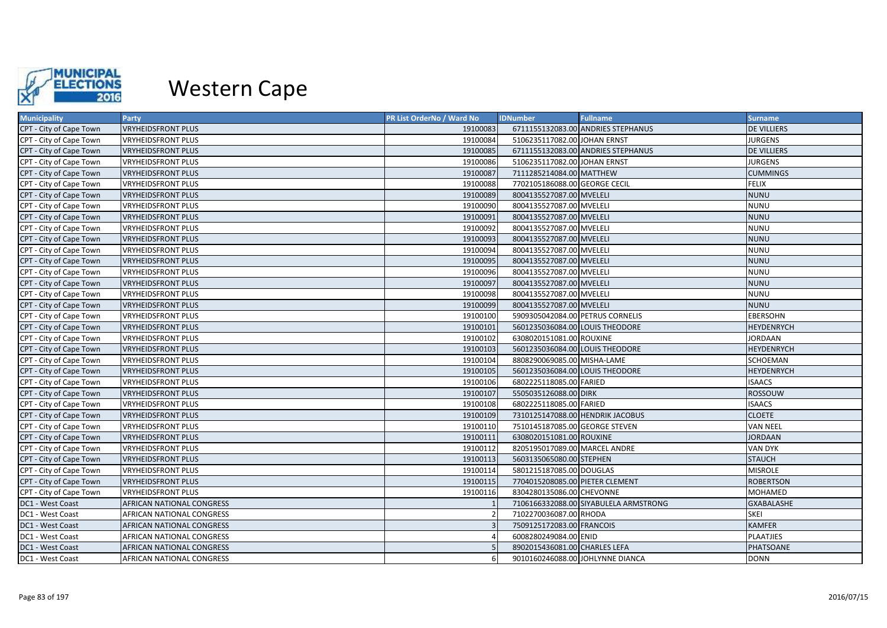

| <b>Municipality</b>     | Party                     | PR List OrderNo / Ward No | <b>IDNumber</b>                  | <b>Fullname</b>                       | <b>Surname</b>     |
|-------------------------|---------------------------|---------------------------|----------------------------------|---------------------------------------|--------------------|
| CPT - City of Cape Town | <b>VRYHEIDSFRONT PLUS</b> | 19100083                  |                                  | 6711155132083.00 ANDRIES STEPHANUS    | <b>DE VILLIERS</b> |
| CPT - City of Cape Town | <b>VRYHEIDSFRONT PLUS</b> | 19100084                  | 5106235117082.00 JOHAN ERNST     |                                       | <b>JURGENS</b>     |
| CPT - City of Cape Town | <b>VRYHEIDSFRONT PLUS</b> | 19100085                  |                                  | 6711155132083.00 ANDRIES STEPHANUS    | <b>DE VILLIERS</b> |
| CPT - City of Cape Town | <b>VRYHEIDSFRONT PLUS</b> | 19100086                  | 5106235117082.00 JOHAN ERNST     |                                       | <b>JURGENS</b>     |
| CPT - City of Cape Town | <b>VRYHEIDSFRONT PLUS</b> | 19100087                  | 7111285214084.00 MATTHEW         |                                       | <b>CUMMINGS</b>    |
| CPT - City of Cape Town | <b>VRYHEIDSFRONT PLUS</b> | 19100088                  | 7702105186088.00 GEORGE CECIL    |                                       | <b>FELIX</b>       |
| CPT - City of Cape Town | <b>VRYHEIDSFRONT PLUS</b> | 19100089                  | 8004135527087.00 MVELELI         |                                       | <b>NUNU</b>        |
| CPT - City of Cape Town | <b>VRYHEIDSFRONT PLUS</b> | 19100090                  | 8004135527087.00 MVELELI         |                                       | <b>NUNU</b>        |
| CPT - City of Cape Town | <b>VRYHEIDSFRONT PLUS</b> | 19100091                  | 8004135527087.00 MVELELI         |                                       | <b>NUNU</b>        |
| CPT - City of Cape Town | <b>VRYHEIDSFRONT PLUS</b> | 19100092                  | 8004135527087.00 MVELELI         |                                       | <b>NUNU</b>        |
| CPT - City of Cape Town | <b>VRYHEIDSFRONT PLUS</b> | 19100093                  | 8004135527087.00 MVELELI         |                                       | <b>NUNU</b>        |
| CPT - City of Cape Town | <b>VRYHEIDSFRONT PLUS</b> | 19100094                  | 8004135527087.00 MVELELI         |                                       | <b>NUNU</b>        |
| CPT - City of Cape Town | <b>VRYHEIDSFRONT PLUS</b> | 19100095                  | 8004135527087.00 MVELELI         |                                       | <b>NUNU</b>        |
| CPT - City of Cape Town | <b>VRYHEIDSFRONT PLUS</b> | 19100096                  | 8004135527087.00 MVELELI         |                                       | <b>NUNU</b>        |
| CPT - City of Cape Town | <b>VRYHEIDSFRONT PLUS</b> | 19100097                  | 8004135527087.00 MVELELI         |                                       | <b>NUNU</b>        |
| CPT - City of Cape Town | <b>VRYHEIDSFRONT PLUS</b> | 19100098                  | 8004135527087.00 MVELELI         |                                       | <b>NUNU</b>        |
| CPT - City of Cape Town | <b>VRYHEIDSFRONT PLUS</b> | 19100099                  | 8004135527087.00 MVELELI         |                                       | <b>NUNU</b>        |
| CPT - City of Cape Town | <b>VRYHEIDSFRONT PLUS</b> | 19100100                  | 5909305042084.00 PETRUS CORNELIS |                                       | <b>EBERSOHN</b>    |
| CPT - City of Cape Town | <b>VRYHEIDSFRONT PLUS</b> | 19100101                  | 5601235036084.00 LOUIS THEODORE  |                                       | <b>HEYDENRYCH</b>  |
| CPT - City of Cape Town | <b>VRYHEIDSFRONT PLUS</b> | 19100102                  | 6308020151081.00 ROUXINE         |                                       | JORDAAN            |
| CPT - City of Cape Town | <b>VRYHEIDSFRONT PLUS</b> | 19100103                  | 5601235036084.00 LOUIS THEODORE  |                                       | <b>HEYDENRYCH</b>  |
| CPT - City of Cape Town | <b>VRYHEIDSFRONT PLUS</b> | 19100104                  | 8808290069085.00 MISHA-LAME      |                                       | <b>SCHOEMAN</b>    |
| CPT - City of Cape Town | <b>VRYHEIDSFRONT PLUS</b> | 19100105                  | 5601235036084.00 LOUIS THEODORE  |                                       | <b>HEYDENRYCH</b>  |
| CPT - City of Cape Town | <b>VRYHEIDSFRONT PLUS</b> | 19100106                  | 6802225118085.00 FARIED          |                                       | <b>ISAACS</b>      |
| CPT - City of Cape Town | <b>VRYHEIDSFRONT PLUS</b> | 19100107                  | 5505035126088.00 DIRK            |                                       | ROSSOUW            |
| CPT - City of Cape Town | <b>VRYHEIDSFRONT PLUS</b> | 19100108                  | 6802225118085.00 FARIED          |                                       | <b>ISAACS</b>      |
| CPT - City of Cape Town | <b>VRYHEIDSFRONT PLUS</b> | 19100109                  | 7310125147088.00 HENDRIK JACOBUS |                                       | <b>CLOETE</b>      |
| CPT - City of Cape Town | <b>VRYHEIDSFRONT PLUS</b> | 19100110                  | 7510145187085.00 GEORGE STEVEN   |                                       | <b>VAN NEEL</b>    |
| CPT - City of Cape Town | <b>VRYHEIDSFRONT PLUS</b> | 19100111                  | 6308020151081.00 ROUXINE         |                                       | <b>JORDAAN</b>     |
| CPT - City of Cape Town | <b>VRYHEIDSFRONT PLUS</b> | 19100112                  | 8205195017089.00 MARCEL ANDRE    |                                       | <b>VAN DYK</b>     |
| CPT - City of Cape Town | <b>VRYHEIDSFRONT PLUS</b> | 19100113                  | 5603135065080.00 STEPHEN         |                                       | <b>STAUCH</b>      |
| CPT - City of Cape Town | <b>VRYHEIDSFRONT PLUS</b> | 19100114                  | 5801215187085.00 DOUGLAS         |                                       | <b>MISROLE</b>     |
| CPT - City of Cape Town | <b>VRYHEIDSFRONT PLUS</b> | 19100115                  | 7704015208085.00 PIETER CLEMENT  |                                       | <b>ROBERTSON</b>   |
| CPT - City of Cape Town | <b>VRYHEIDSFRONT PLUS</b> | 19100116                  | 8304280135086.00 CHEVONNE        |                                       | <b>MOHAMED</b>     |
| DC1 - West Coast        | AFRICAN NATIONAL CONGRESS |                           |                                  | 7106166332088.00 SIYABULELA ARMSTRONG | <b>GXABALASHE</b>  |
| DC1 - West Coast        | AFRICAN NATIONAL CONGRESS |                           | 7102270036087.00 RHODA           |                                       | <b>SKEI</b>        |
| DC1 - West Coast        | AFRICAN NATIONAL CONGRESS |                           | 7509125172083.00 FRANCOIS        |                                       | <b>KAMFER</b>      |
| DC1 - West Coast        | AFRICAN NATIONAL CONGRESS |                           | 6008280249084.00 ENID            |                                       | PLAATJIES          |
| DC1 - West Coast        | AFRICAN NATIONAL CONGRESS |                           | 8902015436081.00 CHARLES LEFA    |                                       | PHATSOANE          |
| DC1 - West Coast        | AFRICAN NATIONAL CONGRESS | 6                         | 9010160246088.00 JOHLYNNE DIANCA |                                       | <b>DONN</b>        |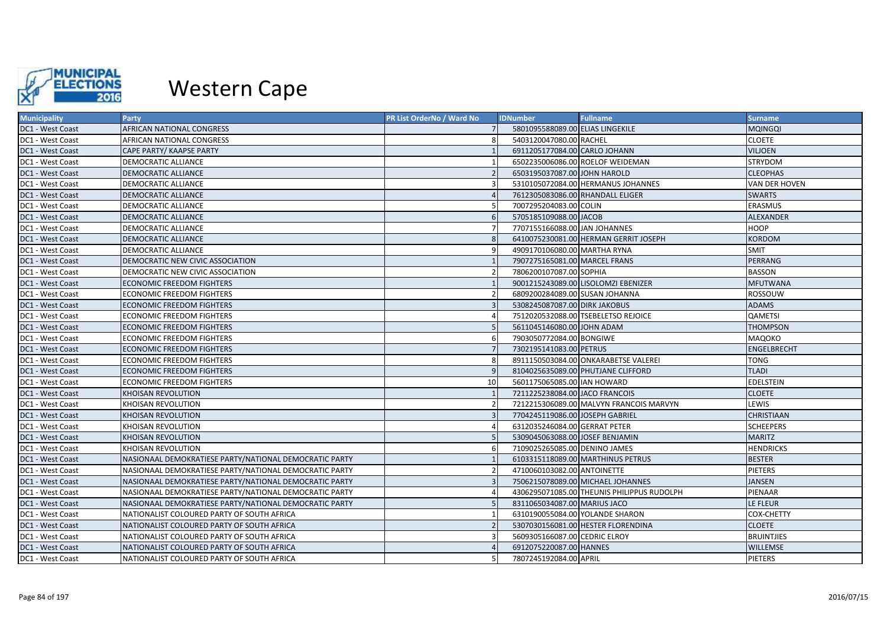

| <b>Municipality</b> | Party                                                  | PR List OrderNo / Ward No | <b>IDNumber</b>                  | <b>Fullname</b>                            | Surname              |
|---------------------|--------------------------------------------------------|---------------------------|----------------------------------|--------------------------------------------|----------------------|
| DC1 - West Coast    | AFRICAN NATIONAL CONGRESS                              |                           | 5801095588089.00 ELIAS LINGEKILE |                                            | <b>MQINGQI</b>       |
| DC1 - West Coast    | AFRICAN NATIONAL CONGRESS                              |                           | 5403120047080.00 RACHEL          |                                            | <b>CLOETE</b>        |
| DC1 - West Coast    | CAPE PARTY/ KAAPSE PARTY                               |                           | 6911205177084.00 CARLO JOHANN    |                                            | <b>VILJOEN</b>       |
| DC1 - West Coast    | DEMOCRATIC ALLIANCE                                    |                           |                                  | 6502235006086.00 ROELOF WEIDEMAN           | <b>STRYDOM</b>       |
| DC1 - West Coast    | DEMOCRATIC ALLIANCE                                    |                           | 6503195037087.00 JOHN HAROLD     |                                            | <b>CLEOPHAS</b>      |
| DC1 - West Coast    | DEMOCRATIC ALLIANCE                                    |                           |                                  | 5310105072084.00 HERMANUS JOHANNES         | <b>VAN DER HOVEN</b> |
| DC1 - West Coast    | <b>DEMOCRATIC ALLIANCE</b>                             |                           | 7612305083086.00 RHANDALL ELIGER |                                            | <b>SWARTS</b>        |
| DC1 - West Coast    | DEMOCRATIC ALLIANCE                                    |                           | 7007295204083.00 COLIN           |                                            | ERASMUS              |
| DC1 - West Coast    | <b>DEMOCRATIC ALLIANCE</b>                             |                           | 5705185109088.00 JACOB           |                                            | ALEXANDER            |
| DC1 - West Coast    | DEMOCRATIC ALLIANCE                                    |                           | 7707155166088.00 JAN JOHANNES    |                                            | <b>HOOP</b>          |
| DC1 - West Coast    | DEMOCRATIC ALLIANCE                                    |                           |                                  | 6410075230081.00 HERMAN GERRIT JOSEPH      | <b>KORDOM</b>        |
| DC1 - West Coast    | DEMOCRATIC ALLIANCE                                    |                           | 4909170106080.00 MARTHA RYNA     |                                            | <b>SMIT</b>          |
| DC1 - West Coast    | DEMOCRATIC NEW CIVIC ASSOCIATION                       |                           | 7907275165081.00 MARCEL FRANS    |                                            | <b>PERRANG</b>       |
| DC1 - West Coast    | DEMOCRATIC NEW CIVIC ASSOCIATION                       |                           | 7806200107087.00 SOPHIA          |                                            | <b>BASSON</b>        |
| DC1 - West Coast    | <b>ECONOMIC FREEDOM FIGHTERS</b>                       |                           |                                  | 9001215243089.00 LISOLOMZI EBENIZER        | <b>MFUTWANA</b>      |
| DC1 - West Coast    | <b>ECONOMIC FREEDOM FIGHTERS</b>                       |                           | 6809200284089.00 SUSAN JOHANNA   |                                            | ROSSOUW              |
| DC1 - West Coast    | <b>ECONOMIC FREEDOM FIGHTERS</b>                       |                           | 5308245087087.00 DIRK JAKOBUS    |                                            | <b>ADAMS</b>         |
| DC1 - West Coast    | <b>ECONOMIC FREEDOM FIGHTERS</b>                       |                           |                                  | 7512020532088.00 TSEBELETSO REJOICE        | QAMETSI              |
| DC1 - West Coast    | <b>ECONOMIC FREEDOM FIGHTERS</b>                       |                           | 5611045146080.00 JOHN ADAM       |                                            | <b>THOMPSON</b>      |
| DC1 - West Coast    | <b>ECONOMIC FREEDOM FIGHTERS</b>                       |                           | 7903050772084.00 BONGIWE         |                                            | MAQOKO               |
| DC1 - West Coast    | <b>ECONOMIC FREEDOM FIGHTERS</b>                       |                           | 7302195141083.00 PETRUS          |                                            | ENGELBRECHT          |
| DC1 - West Coast    | <b>ECONOMIC FREEDOM FIGHTERS</b>                       |                           |                                  | 8911150503084.00 ONKARABETSE VALEREI       | <b>TONG</b>          |
| DC1 - West Coast    | <b>ECONOMIC FREEDOM FIGHTERS</b>                       |                           |                                  | 8104025635089.00 PHUTJANE CLIFFORD         | <b>TLADI</b>         |
| DC1 - West Coast    | <b>ECONOMIC FREEDOM FIGHTERS</b>                       | 10                        | 5601175065085.00 IAN HOWARD      |                                            | <b>EDELSTEIN</b>     |
| DC1 - West Coast    | <b>KHOISAN REVOLUTION</b>                              |                           | 7211225238084.00 JACO FRANCOIS   |                                            | <b>CLOETE</b>        |
| DC1 - West Coast    | <b>KHOISAN REVOLUTION</b>                              |                           |                                  | 7212215306089.00 MALVYN FRANCOIS MARVYN    | LEWIS                |
| DC1 - West Coast    | <b>KHOISAN REVOLUTION</b>                              |                           | 7704245119086.00 JOSEPH GABRIEL  |                                            | <b>CHRISTIAAN</b>    |
| DC1 - West Coast    | <b>KHOISAN REVOLUTION</b>                              |                           | 6312035246084.00 GERRAT PETER    |                                            | <b>SCHEEPERS</b>     |
| DC1 - West Coast    | <b>KHOISAN REVOLUTION</b>                              |                           | 5309045063088.00 JOSEF BENJAMIN  |                                            | <b>MARITZ</b>        |
| DC1 - West Coast    | <b>KHOISAN REVOLUTION</b>                              |                           | 7109025265085.00 DENINO JAMES    |                                            | <b>HENDRICKS</b>     |
| DC1 - West Coast    | NASIONAAL DEMOKRATIESE PARTY/NATIONAL DEMOCRATIC PARTY |                           |                                  | 6103315118089.00 MARTHINUS PETRUS          | <b>BESTER</b>        |
| DC1 - West Coast    | NASIONAAL DEMOKRATIESE PARTY/NATIONAL DEMOCRATIC PARTY |                           | 4710060103082.00 ANTOINETTE      |                                            | <b>PIETERS</b>       |
| DC1 - West Coast    | NASIONAAL DEMOKRATIESE PARTY/NATIONAL DEMOCRATIC PARTY |                           |                                  | 7506215078089.00 MICHAEL JOHANNES          | <b>JANSEN</b>        |
| DC1 - West Coast    | NASIONAAL DEMOKRATIESE PARTY/NATIONAL DEMOCRATIC PARTY |                           |                                  | 4306295071085.00 THEUNIS PHILIPPUS RUDOLPH | PIENAAR              |
| DC1 - West Coast    | NASIONAAL DEMOKRATIESE PARTY/NATIONAL DEMOCRATIC PARTY |                           | 8311065034087.00 MARIUS JACO     |                                            | LE FLEUR             |
| DC1 - West Coast    | NATIONALIST COLOURED PARTY OF SOUTH AFRICA             |                           | 6310190055084.00 YOLANDE SHARON  |                                            | <b>COX-CHETTY</b>    |
| DC1 - West Coast    | NATIONALIST COLOURED PARTY OF SOUTH AFRICA             |                           |                                  | 5307030156081.00 HESTER FLORENDINA         | <b>CLOETE</b>        |
| DC1 - West Coast    | NATIONALIST COLOURED PARTY OF SOUTH AFRICA             |                           | 5609305166087.00 CEDRIC ELROY    |                                            | <b>BRUINTJIES</b>    |
| DC1 - West Coast    | NATIONALIST COLOURED PARTY OF SOUTH AFRICA             |                           | 6912075220087.00 HANNES          |                                            | <b>WILLEMSE</b>      |
| DC1 - West Coast    | NATIONALIST COLOURED PARTY OF SOUTH AFRICA             |                           | 7807245192084.00 APRIL           |                                            | PIETERS              |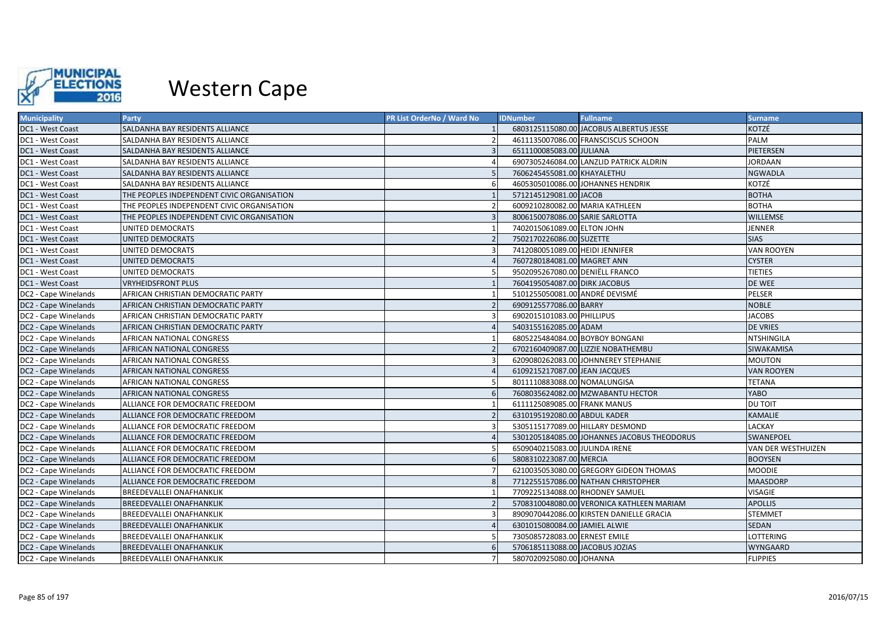

| <b>Municipality</b>  | Party                                      | PR List OrderNo / Ward No | <b>IDNumber</b>                 | <b>Fullname</b>                             | <b>Surname</b>     |
|----------------------|--------------------------------------------|---------------------------|---------------------------------|---------------------------------------------|--------------------|
| DC1 - West Coast     | SALDANHA BAY RESIDENTS ALLIANCE            |                           |                                 | 6803125115080.00 JACOBUS ALBERTUS JESSE     | KOTZÉ              |
| DC1 - West Coast     | SALDANHA BAY RESIDENTS ALLIANCE            |                           |                                 | 4611135007086.00 FRANSCISCUS SCHOON         | PALM               |
| DC1 - West Coast     | SALDANHA BAY RESIDENTS ALLIANCE            |                           | 6511100085083.00 JULIANA        |                                             | <b>PIETERSEN</b>   |
| DC1 - West Coast     | SALDANHA BAY RESIDENTS ALLIANCE            |                           |                                 | 6907305246084.00 LANZLID PATRICK ALDRIN     | <b>JORDAAN</b>     |
| DC1 - West Coast     | SALDANHA BAY RESIDENTS ALLIANCE            |                           | 7606245455081.00 KHAYALETHU     |                                             | <b>NGWADLA</b>     |
| DC1 - West Coast     | SALDANHA BAY RESIDENTS ALLIANCE            |                           |                                 | 4605305010086.00 JOHANNES HENDRIK           | KOTZÉ              |
| DC1 - West Coast     | THE PEOPLES INDEPENDENT CIVIC ORGANISATION |                           | 5712145129081.00 JACOB          |                                             | <b>BOTHA</b>       |
| DC1 - West Coast     | THE PEOPLES INDEPENDENT CIVIC ORGANISATION |                           | 6009210280082.00 MARIA KATHLEEN |                                             | <b>BOTHA</b>       |
| DC1 - West Coast     | THE PEOPLES INDEPENDENT CIVIC ORGANISATION |                           | 8006150078086.00 SARIE SARLOTTA |                                             | WILLEMSE           |
| DC1 - West Coast     | UNITED DEMOCRATS                           |                           | 7402015061089.00 ELTON JOHN     |                                             | <b>JENNER</b>      |
| DC1 - West Coast     | <b>UNITED DEMOCRATS</b>                    |                           | 7502170226086.00 SUZETTE        |                                             | <b>SIAS</b>        |
| DC1 - West Coast     | UNITED DEMOCRATS                           |                           | 7412080051089.00 HEIDI JENNIFER |                                             | <b>VAN ROOYEN</b>  |
| DC1 - West Coast     | <b>UNITED DEMOCRATS</b>                    |                           | 7607280184081.00 MAGRET ANN     |                                             | <b>CYSTER</b>      |
| DC1 - West Coast     | UNITED DEMOCRATS                           |                           | 9502095267080.00 DENIELL FRANCO |                                             | <b>TIETIES</b>     |
| DC1 - West Coast     | <b>VRYHEIDSFRONT PLUS</b>                  |                           | 7604195054087.00 DIRK JACOBUS   |                                             | <b>DE WEE</b>      |
| DC2 - Cape Winelands | AFRICAN CHRISTIAN DEMOCRATIC PARTY         |                           | 5101255050081.00 ANDRÉ DEVISMÉ  |                                             | <b>PELSER</b>      |
| DC2 - Cape Winelands | AFRICAN CHRISTIAN DEMOCRATIC PARTY         |                           | 6909125577086.00 BARRY          |                                             | <b>NOBLE</b>       |
| DC2 - Cape Winelands | AFRICAN CHRISTIAN DEMOCRATIC PARTY         |                           | 6902015101083.00 PHILLIPUS      |                                             | <b>JACOBS</b>      |
| DC2 - Cape Winelands | AFRICAN CHRISTIAN DEMOCRATIC PARTY         |                           | 5403155162085.00 ADAM           |                                             | <b>DE VRIES</b>    |
| DC2 - Cape Winelands | AFRICAN NATIONAL CONGRESS                  |                           | 6805225484084.00 BOYBOY BONGANI |                                             | <b>NTSHINGILA</b>  |
| DC2 - Cape Winelands | AFRICAN NATIONAL CONGRESS                  |                           |                                 | 6702160409087.00 LIZZIE NOBATHEMBU          | SIWAKAMISA         |
| DC2 - Cape Winelands | AFRICAN NATIONAL CONGRESS                  |                           |                                 | 6209080262083.00 JOHNNEREY STEPHANIE        | <b>MOUTON</b>      |
| DC2 - Cape Winelands | AFRICAN NATIONAL CONGRESS                  |                           | 6109215217087.00 JEAN JACQUES   |                                             | <b>VAN ROOYEN</b>  |
| DC2 - Cape Winelands | AFRICAN NATIONAL CONGRESS                  |                           | 8011110883088.00 NOMALUNGISA    |                                             | <b>TETANA</b>      |
| DC2 - Cape Winelands | AFRICAN NATIONAL CONGRESS                  |                           |                                 | 7608035624082.00 MZWABANTU HECTOR           | YABO               |
| DC2 - Cape Winelands | ALLIANCE FOR DEMOCRATIC FREEDOM            |                           | 6111125089085.00 FRANK MANUS    |                                             | <b>DU TOIT</b>     |
| DC2 - Cape Winelands | ALLIANCE FOR DEMOCRATIC FREEDOM            |                           | 6310195192080.00 ABDUL KADER    |                                             | <b>KAMALIE</b>     |
| DC2 - Cape Winelands | ALLIANCE FOR DEMOCRATIC FREEDOM            |                           |                                 | 5305115177089.00 HILLARY DESMOND            | LACKAY             |
| DC2 - Cape Winelands | ALLIANCE FOR DEMOCRATIC FREEDOM            |                           |                                 | 5301205184085.00 JOHANNES JACOBUS THEODORUS | <b>SWANEPOEL</b>   |
| DC2 - Cape Winelands | ALLIANCE FOR DEMOCRATIC FREEDOM            |                           | 6509040215083.00 JULINDA IRENE  |                                             | VAN DER WESTHUIZEN |
| DC2 - Cape Winelands | ALLIANCE FOR DEMOCRATIC FREEDOM            |                           | 5808310223087.00 MERCIA         |                                             | <b>BOOYSEN</b>     |
| DC2 - Cape Winelands | ALLIANCE FOR DEMOCRATIC FREEDOM            |                           |                                 | 6210035053080.00 GREGORY GIDEON THOMAS      | <b>MOODIE</b>      |
| DC2 - Cape Winelands | ALLIANCE FOR DEMOCRATIC FREEDOM            |                           |                                 | 7712255157086.00 NATHAN CHRISTOPHER         | <b>MAASDORP</b>    |
| DC2 - Cape Winelands | <b>BREEDEVALLEI ONAFHANKLIK</b>            |                           | 7709225134088.00 RHODNEY SAMUEL |                                             | <b>VISAGIE</b>     |
| DC2 - Cape Winelands | <b>BREEDEVALLEI ONAFHANKLIK</b>            |                           |                                 | 5708310048080.00 VERONICA KATHLEEN MARIAM   | <b>APOLLIS</b>     |
| DC2 - Cape Winelands | <b>BREEDEVALLEI ONAFHANKLIK</b>            |                           |                                 | 8909070442086.00 KIRSTEN DANIELLE GRACIA    | <b>STEMMET</b>     |
| DC2 - Cape Winelands | <b>BREEDEVALLEI ONAFHANKLIK</b>            |                           | 6301015080084.00 JAMIEL ALWIE   |                                             | SEDAN              |
| DC2 - Cape Winelands | <b>BREEDEVALLEI ONAFHANKLIK</b>            |                           | 7305085728083.00 ERNEST EMILE   |                                             | LOTTERING          |
| DC2 - Cape Winelands | <b>BREEDEVALLEI ONAFHANKLIK</b>            |                           | 5706185113088.00 JACOBUS JOZIAS |                                             | <b>WYNGAARD</b>    |
| DC2 - Cape Winelands | <b>BREEDEVALLEI ONAFHANKLIK</b>            |                           | 5807020925080.00 JOHANNA        |                                             | <b>FLIPPIES</b>    |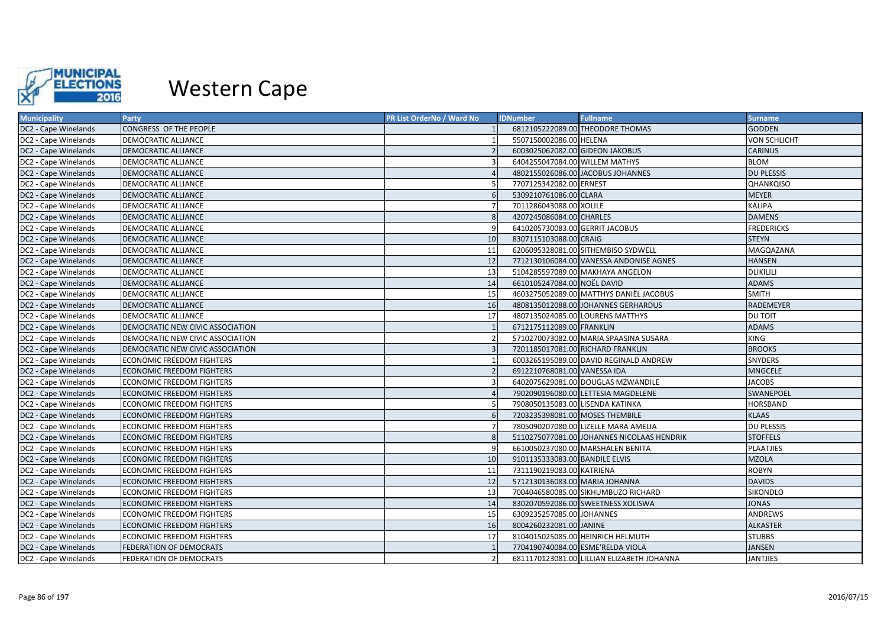

| <b>Municipality</b>  | <b>Party</b>                     | PR List OrderNo / Ward No | <b>IDNumber</b>                  | <b>Fullname</b>                            | <b>Surname</b>      |
|----------------------|----------------------------------|---------------------------|----------------------------------|--------------------------------------------|---------------------|
| DC2 - Cape Winelands | CONGRESS OF THE PEOPLE           |                           |                                  | 6812105222089.00 THEODORE THOMAS           | <b>GODDEN</b>       |
| DC2 - Cape Winelands | DEMOCRATIC ALLIANCE              |                           | 5507150002086.00 HELENA          |                                            | <b>VON SCHLICHT</b> |
| DC2 - Cape Winelands | DEMOCRATIC ALLIANCE              |                           | 6003025062082.00 GIDEON JAKOBUS  |                                            | <b>CARINUS</b>      |
| DC2 - Cape Winelands | DEMOCRATIC ALLIANCE              |                           | 6404255047084.00 WILLEM MATHYS   |                                            | <b>BLOM</b>         |
| DC2 - Cape Winelands | DEMOCRATIC ALLIANCE              |                           |                                  | 4802155026086.00 JACOBUS JOHANNES          | <b>DU PLESSIS</b>   |
| DC2 - Cape Winelands | DEMOCRATIC ALLIANCE              |                           | 7707125342082.00 ERNEST          |                                            | QHANKQISO           |
| DC2 - Cape Winelands | <b>DEMOCRATIC ALLIANCE</b>       |                           | 5309210761086.00 CLARA           |                                            | <b>MEYER</b>        |
| DC2 - Cape Winelands | DEMOCRATIC ALLIANCE              |                           | 7011286043088.00 XOLILE          |                                            | KALIPA              |
| DC2 - Cape Winelands | DEMOCRATIC ALLIANCE              |                           | 4207245086084.00 CHARLES         |                                            | <b>DAMENS</b>       |
| DC2 - Cape Winelands | DEMOCRATIC ALLIANCE              |                           | 6410205730083.00 GERRIT JACOBUS  |                                            | <b>FREDERICKS</b>   |
| DC2 - Cape Winelands | DEMOCRATIC ALLIANCE              | 10                        | 8307115103088.00 CRAIG           |                                            | <b>STEYN</b>        |
| DC2 - Cape Winelands | DEMOCRATIC ALLIANCE              | 11                        |                                  | 6206095328081.00 SITHEMBISO SYDWELL        | MAGQAZANA           |
| DC2 - Cape Winelands | DEMOCRATIC ALLIANCE              | 12                        |                                  | 7712130106084.00 VANESSA ANDONISE AGNES    | <b>HANSEN</b>       |
| DC2 - Cape Winelands | DEMOCRATIC ALLIANCE              | 13                        |                                  | 5104285597089.00 MAKHAYA ANGELON           | <b>DLIKILILI</b>    |
| DC2 - Cape Winelands | DEMOCRATIC ALLIANCE              | 14                        | 6610105247084.00 NOËL DAVID      |                                            | <b>ADAMS</b>        |
| DC2 - Cape Winelands | DEMOCRATIC ALLIANCE              | 15                        |                                  | 4603275052089.00 MATTHYS DANIËL JACOBUS    | <b>SMITH</b>        |
| DC2 - Cape Winelands | <b>DEMOCRATIC ALLIANCE</b>       | 16                        |                                  | 4808135012088.00 JOHANNES GERHARDUS        | <b>RADEMEYER</b>    |
| DC2 - Cape Winelands | DEMOCRATIC ALLIANCE              | 17                        |                                  | 4807135024085.00 LOURENS MATTHYS           | <b>DU TOIT</b>      |
| DC2 - Cape Winelands | DEMOCRATIC NEW CIVIC ASSOCIATION |                           | 6712175112089.00 FRANKLIN        |                                            | <b>ADAMS</b>        |
| DC2 - Cape Winelands | DEMOCRATIC NEW CIVIC ASSOCIATION |                           |                                  | 5710270073082.00 MARIA SPAASINA SUSARA     | KING                |
| DC2 - Cape Winelands | DEMOCRATIC NEW CIVIC ASSOCIATION |                           |                                  | 7201185017081.00 RICHARD FRANKLIN          | <b>BROOKS</b>       |
| DC2 - Cape Winelands | <b>ECONOMIC FREEDOM FIGHTERS</b> |                           |                                  | 6003265195089.00 DAVID REGINALD ANDREW     | <b>SNYDERS</b>      |
| DC2 - Cape Winelands | <b>ECONOMIC FREEDOM FIGHTERS</b> |                           | 6912210768081.00 VANESSA IDA     |                                            | <b>MNGCELE</b>      |
| DC2 - Cape Winelands | <b>ECONOMIC FREEDOM FIGHTERS</b> |                           |                                  | 6402075629081.00 DOUGLAS MZWANDILE         | <b>JACOBS</b>       |
| DC2 - Cape Winelands | <b>ECONOMIC FREEDOM FIGHTERS</b> |                           |                                  | 7902090196080.00 LETTESIA MAGDELENE        | SWANEPOEL           |
| DC2 - Cape Winelands | <b>ECONOMIC FREEDOM FIGHTERS</b> |                           | 7908050135083.00 LISENDA KATINKA |                                            | HORSBAND            |
| DC2 - Cape Winelands | <b>ECONOMIC FREEDOM FIGHTERS</b> |                           | 7203235398081.00 MOSES THEMBILE  |                                            | <b>KLAAS</b>        |
| DC2 - Cape Winelands | <b>ECONOMIC FREEDOM FIGHTERS</b> |                           |                                  | 7805090207080.00 LIZELLE MARA AMELIA       | <b>DU PLESSIS</b>   |
| DC2 - Cape Winelands | <b>ECONOMIC FREEDOM FIGHTERS</b> |                           |                                  | 5110275077081.00 JOHANNES NICOLAAS HENDRIK | <b>STOFFELS</b>     |
| DC2 - Cape Winelands | <b>ECONOMIC FREEDOM FIGHTERS</b> |                           |                                  | 6610050237080.00 MARSHALEN BENITA          | <b>PLAATJIES</b>    |
| DC2 - Cape Winelands | <b>ECONOMIC FREEDOM FIGHTERS</b> | 10                        | 9101135333083.00 BANDILE ELVIS   |                                            | <b>MZOLA</b>        |
| DC2 - Cape Winelands | <b>ECONOMIC FREEDOM FIGHTERS</b> | 11                        | 7311190219083.00 KATRIENA        |                                            | <b>ROBYN</b>        |
| DC2 - Cape Winelands | <b>ECONOMIC FREEDOM FIGHTERS</b> | 12                        | 5712130136083.00 MARIA JOHANNA   |                                            | <b>DAVIDS</b>       |
| DC2 - Cape Winelands | <b>ECONOMIC FREEDOM FIGHTERS</b> | 13                        |                                  | 7004046580085.00 SIKHUMBUZO RICHARD        | SIKONDLO            |
| DC2 - Cape Winelands | <b>ECONOMIC FREEDOM FIGHTERS</b> | 14                        |                                  | 8302070592086.00 SWEETNESS XOLISWA         | <b>JONAS</b>        |
| DC2 - Cape Winelands | <b>ECONOMIC FREEDOM FIGHTERS</b> | 15                        | 6309235257085.00 JOHANNES        |                                            | ANDREWS             |
| DC2 - Cape Winelands | <b>ECONOMIC FREEDOM FIGHTERS</b> | 16                        | 8004260232081.00 JANINE          |                                            | <b>ALKASTER</b>     |
| DC2 - Cape Winelands | <b>ECONOMIC FREEDOM FIGHTERS</b> | 17                        |                                  | 8104015025085.00 HEINRICH HELMUTH          | <b>STUBBS</b>       |
| DC2 - Cape Winelands | FEDERATION OF DEMOCRATS          |                           |                                  | 7704190740084.00 ESME'RELDA VIOLA          | <b>JANSEN</b>       |
| DC2 - Cape Winelands | FEDERATION OF DEMOCRATS          |                           |                                  | 6811170123081.00 LILLIAN ELIZABETH JOHANNA | <b>JANTJIES</b>     |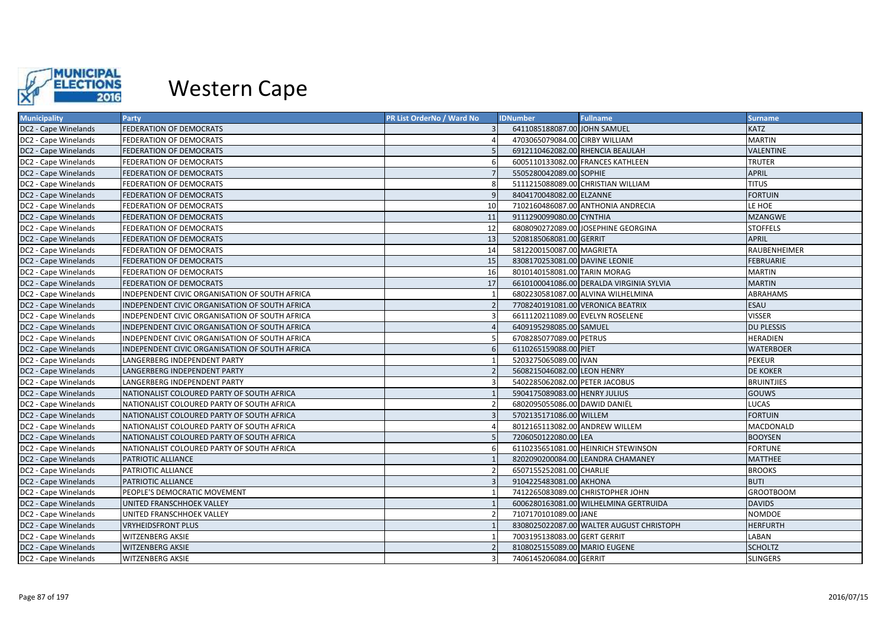

| <b>Municipality</b>  | Party                                          | PR List OrderNo / Ward No | <b>IDNumber</b>                   | <b>Fullname</b>                          | <b>Surname</b>    |
|----------------------|------------------------------------------------|---------------------------|-----------------------------------|------------------------------------------|-------------------|
| DC2 - Cape Winelands | FEDERATION OF DEMOCRATS                        |                           | 6411085188087.00 JOHN SAMUEL      |                                          | <b>KATZ</b>       |
| DC2 - Cape Winelands | FEDERATION OF DEMOCRATS                        |                           | 4703065079084.00 CIRBY WILLIAM    |                                          | <b>MARTIN</b>     |
| DC2 - Cape Winelands | FEDERATION OF DEMOCRATS                        |                           |                                   | 6912110462082.00 RHENCIA BEAULAH         | <b>VALENTINE</b>  |
| DC2 - Cape Winelands | FEDERATION OF DEMOCRATS                        |                           |                                   | 6005110133082.00 FRANCES KATHLEEN        | TRUTER            |
| DC2 - Cape Winelands | FEDERATION OF DEMOCRATS                        |                           | 5505280042089.00 SOPHIE           |                                          | <b>APRIL</b>      |
| DC2 - Cape Winelands | FEDERATION OF DEMOCRATS                        |                           |                                   | 5111215088089.00 CHRISTIAN WILLIAM       | <b>TITUS</b>      |
| DC2 - Cape Winelands | FEDERATION OF DEMOCRATS                        |                           | 8404170048082.00 ELZANNE          |                                          | <b>FORTUIN</b>    |
| DC2 - Cape Winelands | FEDERATION OF DEMOCRATS                        | 10                        |                                   | 7102160486087.00 ANTHONIA ANDRECIA       | LE HOE            |
| DC2 - Cape Winelands | FEDERATION OF DEMOCRATS                        | 11                        | 9111290099080.00 CYNTHIA          |                                          | <b>MZANGWE</b>    |
| DC2 - Cape Winelands | FEDERATION OF DEMOCRATS                        | 12                        |                                   | 6808090272089.00 JOSEPHINE GEORGINA      | <b>STOFFELS</b>   |
| DC2 - Cape Winelands | FEDERATION OF DEMOCRATS                        | 13                        | 5208185068081.00 GERRIT           |                                          | <b>APRIL</b>      |
| DC2 - Cape Winelands | FEDERATION OF DEMOCRATS                        | 14                        | 5812200150087.00 MAGRIETA         |                                          | RAUBENHEIMER      |
| DC2 - Cape Winelands | FEDERATION OF DEMOCRATS                        | 15                        | 8308170253081.00 DAVINE LEONIE    |                                          | <b>FEBRUARIE</b>  |
| DC2 - Cape Winelands | FEDERATION OF DEMOCRATS                        | 16                        | 8010140158081.00 TARIN MORAG      |                                          | <b>MARTIN</b>     |
| DC2 - Cape Winelands | FEDERATION OF DEMOCRATS                        | 17                        |                                   | 6610100041086.00 DERALDA VIRGINIA SYLVIA | <b>MARTIN</b>     |
| DC2 - Cape Winelands | INDEPENDENT CIVIC ORGANISATION OF SOUTH AFRICA |                           |                                   | 6802230581087.00 ALVINA WILHELMINA       | <b>ABRAHAMS</b>   |
| DC2 - Cape Winelands | INDEPENDENT CIVIC ORGANISATION OF SOUTH AFRICA |                           | 7708240191081.00 VERONICA BEATRIX |                                          | <b>ESAU</b>       |
| DC2 - Cape Winelands | INDEPENDENT CIVIC ORGANISATION OF SOUTH AFRICA |                           | 6611120211089.00 EVELYN ROSELENE  |                                          | <b>VISSER</b>     |
| DC2 - Cape Winelands | INDEPENDENT CIVIC ORGANISATION OF SOUTH AFRICA |                           | 6409195298085.00 SAMUEL           |                                          | <b>DU PLESSIS</b> |
| DC2 - Cape Winelands | INDEPENDENT CIVIC ORGANISATION OF SOUTH AFRICA |                           | 6708285077089.00 PETRUS           |                                          | <b>HERADIEN</b>   |
| DC2 - Cape Winelands | INDEPENDENT CIVIC ORGANISATION OF SOUTH AFRICA |                           | 6110265159088.00 PIET             |                                          | <b>WATERBOER</b>  |
| DC2 - Cape Winelands | LANGERBERG INDEPENDENT PARTY                   |                           | 5203275065089.00 IVAN             |                                          | <b>PEKEUR</b>     |
| DC2 - Cape Winelands | LANGERBERG INDEPENDENT PARTY                   |                           | 5608215046082.00 LEON HENRY       |                                          | <b>DE KOKER</b>   |
| DC2 - Cape Winelands | LANGERBERG INDEPENDENT PARTY                   |                           | 5402285062082.00 PETER JACOBUS    |                                          | <b>BRUINTJIES</b> |
| DC2 - Cape Winelands | NATIONALIST COLOURED PARTY OF SOUTH AFRICA     |                           | 5904175089083.00 HENRY JULIUS     |                                          | GOUWS             |
| DC2 - Cape Winelands | NATIONALIST COLOURED PARTY OF SOUTH AFRICA     |                           | 6802095055086.00 DAWID DANIEL     |                                          | LUCAS             |
| DC2 - Cape Winelands | NATIONALIST COLOURED PARTY OF SOUTH AFRICA     |                           | 5702135171086.00 WILLEM           |                                          | <b>FORTUIN</b>    |
| DC2 - Cape Winelands | NATIONALIST COLOURED PARTY OF SOUTH AFRICA     |                           | 8012165113082.00 ANDREW WILLEM    |                                          | <b>MACDONALD</b>  |
| DC2 - Cape Winelands | NATIONALIST COLOURED PARTY OF SOUTH AFRICA     |                           | 7206050122080.00 LEA              |                                          | <b>BOOYSEN</b>    |
| DC2 - Cape Winelands | NATIONALIST COLOURED PARTY OF SOUTH AFRICA     |                           |                                   | 6110235651081.00 HEINRICH STEWINSON      | <b>FORTUNE</b>    |
| DC2 - Cape Winelands | PATRIOTIC ALLIANCE                             |                           |                                   | 8202090200084.00 LEANDRA CHAMANEY        | <b>MATTHEE</b>    |
| DC2 - Cape Winelands | PATRIOTIC ALLIANCE                             |                           | 6507155252081.00 CHARLIE          |                                          | <b>BROOKS</b>     |
| DC2 - Cape Winelands | PATRIOTIC ALLIANCE                             |                           | 9104225483081.00 AKHONA           |                                          | <b>BUTI</b>       |
| DC2 - Cape Winelands | PEOPLE'S DEMOCRATIC MOVEMENT                   |                           |                                   | 7412265083089.00 CHRISTOPHER JOHN        | <b>GROOTBOOM</b>  |
| DC2 - Cape Winelands | UNITED FRANSCHHOEK VALLEY                      |                           |                                   | 6006280163081.00 WILHELMINA GERTRUIDA    | <b>DAVIDS</b>     |
| DC2 - Cape Winelands | UNITED FRANSCHHOEK VALLEY                      |                           | 7107170101089.00 JANE             |                                          | <b>NOMDOE</b>     |
| DC2 - Cape Winelands | <b>VRYHEIDSFRONT PLUS</b>                      |                           |                                   | 8308025022087.00 WALTER AUGUST CHRISTOPH | <b>HERFURTH</b>   |
| DC2 - Cape Winelands | WITZENBERG AKSIE                               |                           | 7003195138083.00 GERT GERRIT      |                                          | <b>LABAN</b>      |
| DC2 - Cape Winelands | <b>WITZENBERG AKSIE</b>                        |                           | 8108025155089.00 MARIO EUGENE     |                                          | <b>SCHOLTZ</b>    |
| DC2 - Cape Winelands | <b>WITZENBERG AKSIE</b>                        |                           | 7406145206084.00 GERRIT           |                                          | <b>SLINGERS</b>   |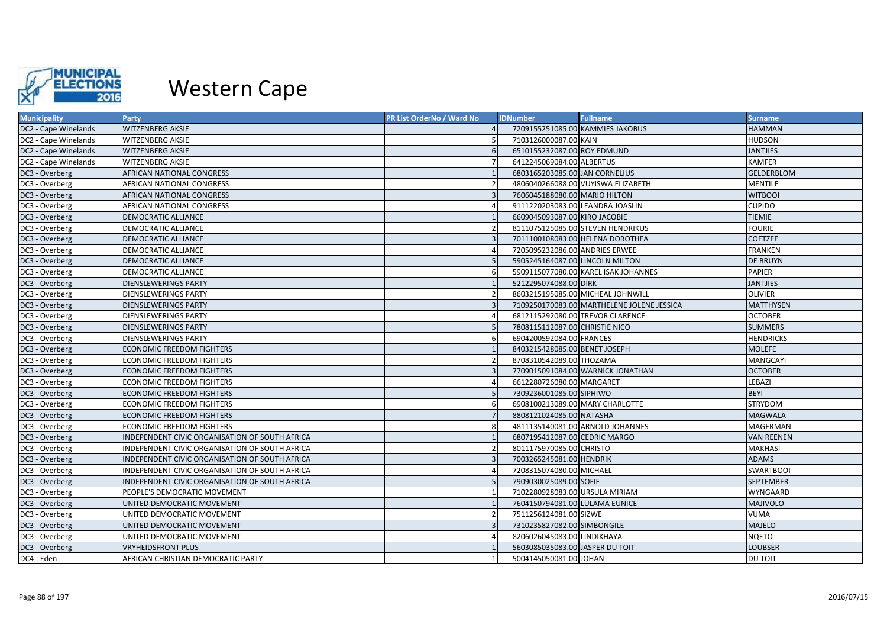

| <b>Municipality</b>  | Party                                          | PR List OrderNo / Ward No | <b>IDNumber</b>                  | <b>Fullname</b>                            | <b>Surname</b>    |
|----------------------|------------------------------------------------|---------------------------|----------------------------------|--------------------------------------------|-------------------|
| DC2 - Cape Winelands | <b>WITZENBERG AKSIE</b>                        |                           |                                  | 7209155251085.00 KAMMIES JAKOBUS           | <b>HAMMAN</b>     |
| DC2 - Cape Winelands | <b>WITZENBERG AKSIE</b>                        |                           | 7103126000087.00 KAIN            |                                            | <b>HUDSON</b>     |
| DC2 - Cape Winelands | <b>WITZENBERG AKSIE</b>                        |                           | 6510155232087.00 ROY EDMUND      |                                            | <b>JANTJIES</b>   |
| DC2 - Cape Winelands | <b>WITZENBERG AKSIE</b>                        |                           | 6412245069084.00 ALBERTUS        |                                            | <b>KAMFER</b>     |
| DC3 - Overberg       | AFRICAN NATIONAL CONGRESS                      |                           | 6803165203085.00 JAN CORNELIUS   |                                            | <b>GELDERBLOM</b> |
| DC3 - Overberg       | AFRICAN NATIONAL CONGRESS                      |                           |                                  | 4806040266088.00 VUYISWA ELIZABETH         | <b>MENTILE</b>    |
| DC3 - Overberg       | AFRICAN NATIONAL CONGRESS                      |                           | 7606045188080.00 MARIO HILTON    |                                            | <b>WITBOOI</b>    |
| DC3 - Overberg       | AFRICAN NATIONAL CONGRESS                      |                           | 9111220203083.00 LEANDRA JOASLIN |                                            | <b>CUPIDO</b>     |
| DC3 - Overberg       | DEMOCRATIC ALLIANCE                            |                           | 6609045093087.00 KIRO JACOBIE    |                                            | <b>TIEMIE</b>     |
| DC3 - Overberg       | DEMOCRATIC ALLIANCE                            |                           |                                  | 8111075125085.00 STEVEN HENDRIKUS          | <b>FOURIE</b>     |
| DC3 - Overberg       | DEMOCRATIC ALLIANCE                            |                           |                                  | 7011100108083.00 HELENA DOROTHEA           | <b>COETZEE</b>    |
| DC3 - Overberg       | <b>DEMOCRATIC ALLIANCE</b>                     |                           | 7205095232086.00 ANDRIES ERWEE   |                                            | <b>FRANKEN</b>    |
| DC3 - Overberg       | DEMOCRATIC ALLIANCE                            |                           | 5905245164087.00 LINCOLN MILTON  |                                            | <b>DE BRUYN</b>   |
| DC3 - Overberg       | DEMOCRATIC ALLIANCE                            |                           |                                  | 5909115077080.00 KAREL ISAK JOHANNES       | <b>PAPIER</b>     |
| DC3 - Overberg       | DIENSLEWERINGS PARTY                           |                           | 5212295074088.00 DIRK            |                                            | <b>JANTJIES</b>   |
| DC3 - Overberg       | DIENSLEWERINGS PARTY                           |                           |                                  | 8603215195085.00 MICHEAL JOHNWILL          | <b>OLIVIER</b>    |
| DC3 - Overberg       | DIENSLEWERINGS PARTY                           |                           |                                  | 7109250170083.00 MARTHELENE JOLENE JESSICA | <b>MATTHYSEN</b>  |
| DC3 - Overberg       | DIENSLEWERINGS PARTY                           |                           |                                  | 6812115292080.00 TREVOR CLARENCE           | <b>OCTOBER</b>    |
| DC3 - Overberg       | DIENSLEWERINGS PARTY                           |                           | 7808115112087.00 CHRISTIE NICO   |                                            | <b>SUMMERS</b>    |
| DC3 - Overberg       | DIENSLEWERINGS PARTY                           |                           | 6904200592084.00 FRANCES         |                                            | <b>HENDRICKS</b>  |
| DC3 - Overberg       | <b>ECONOMIC FREEDOM FIGHTERS</b>               |                           | 8403215428085.00 BENET JOSEPH    |                                            | <b>MOLEFE</b>     |
| DC3 - Overberg       | <b>ECONOMIC FREEDOM FIGHTERS</b>               |                           | 8708310542089.00 THOZAMA         |                                            | <b>MANGCAYI</b>   |
| DC3 - Overberg       | <b>ECONOMIC FREEDOM FIGHTERS</b>               |                           |                                  | 7709015091084.00 WARNICK JONATHAN          | <b>OCTOBER</b>    |
| DC3 - Overberg       | <b>ECONOMIC FREEDOM FIGHTERS</b>               |                           | 6612280726080.00 MARGARET        |                                            | LEBAZI            |
| DC3 - Overberg       | <b>ECONOMIC FREEDOM FIGHTERS</b>               |                           | 7309236001085.00 SIPHIWO         |                                            | <b>BEYI</b>       |
| DC3 - Overberg       | <b>ECONOMIC FREEDOM FIGHTERS</b>               |                           | 6908100213089.00 MARY CHARLOTTE  |                                            | <b>STRYDOM</b>    |
| DC3 - Overberg       | <b>ECONOMIC FREEDOM FIGHTERS</b>               |                           | 8808121024085.00 NATASHA         |                                            | <b>MAGWALA</b>    |
| DC3 - Overberg       | <b>ECONOMIC FREEDOM FIGHTERS</b>               |                           |                                  | 4811135140081.00 ARNOLD JOHANNES           | MAGERMAN          |
| DC3 - Overberg       | INDEPENDENT CIVIC ORGANISATION OF SOUTH AFRICA |                           | 6807195412087.00 CEDRIC MARGO    |                                            | <b>VAN REENEN</b> |
| DC3 - Overberg       | INDEPENDENT CIVIC ORGANISATION OF SOUTH AFRICA |                           | 8011175970085.00 CHRISTO         |                                            | <b>MAKHASI</b>    |
| DC3 - Overberg       | INDEPENDENT CIVIC ORGANISATION OF SOUTH AFRICA |                           | 7003265245081.00 HENDRIK         |                                            | <b>ADAMS</b>      |
| DC3 - Overberg       | INDEPENDENT CIVIC ORGANISATION OF SOUTH AFRICA |                           | 7208315074080.00 MICHAEL         |                                            | <b>SWARTBOOI</b>  |
| DC3 - Overberg       | INDEPENDENT CIVIC ORGANISATION OF SOUTH AFRICA |                           | 7909030025089.00 SOFIE           |                                            | <b>SEPTEMBER</b>  |
| DC3 - Overberg       | PEOPLE'S DEMOCRATIC MOVEMENT                   |                           | 7102280928083.00 URSULA MIRIAM   |                                            | <b>WYNGAARD</b>   |
| DC3 - Overberg       | UNITED DEMOCRATIC MOVEMENT                     |                           | 7604150794081.00 LULAMA EUNICE   |                                            | MAJIVOLO          |
| DC3 - Overberg       | UNITED DEMOCRATIC MOVEMENT                     |                           | 7511256124081.00 SIZWE           |                                            | <b>VUMA</b>       |
| DC3 - Overberg       | UNITED DEMOCRATIC MOVEMENT                     |                           | 7310235827082.00 SIMBONGILE      |                                            | <b>MAJELO</b>     |
| DC3 - Overberg       | UNITED DEMOCRATIC MOVEMENT                     |                           | 8206026045083.00 LINDIKHAYA      |                                            | <b>NQETO</b>      |
| DC3 - Overberg       | VRYHEIDSFRONT PLUS                             |                           | 5603085035083.00 JASPER DU TOIT  |                                            | <b>LOUBSER</b>    |
| DC4 - Eden           | AFRICAN CHRISTIAN DEMOCRATIC PARTY             |                           | 5004145050081.00 JOHAN           |                                            | <b>DU TOIT</b>    |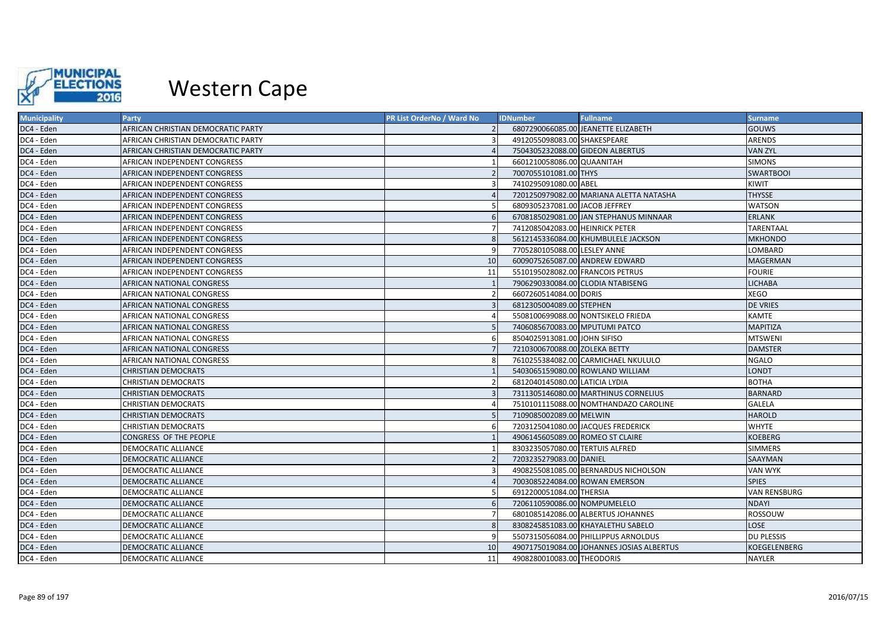

| <b>Municipality</b> | Party                              | <b>PR List OrderNo / Ward No</b> | <b>IDNumber</b>                  | <b>Fullname</b>                           | <b>Surname</b>      |
|---------------------|------------------------------------|----------------------------------|----------------------------------|-------------------------------------------|---------------------|
| DC4 - Eden          | AFRICAN CHRISTIAN DEMOCRATIC PARTY | $\mathcal{P}$                    |                                  | 6807290066085.00 JEANETTE ELIZABETH       | <b>GOUWS</b>        |
| DC4 - Eden          | AFRICAN CHRISTIAN DEMOCRATIC PARTY |                                  | 4912055098083.00 SHAKESPEARE     |                                           | <b>ARENDS</b>       |
| DC4 - Eden          | AFRICAN CHRISTIAN DEMOCRATIC PARTY |                                  | 7504305232088.00 GIDEON ALBERTUS |                                           | <b>VAN ZYL</b>      |
| DC4 - Eden          | AFRICAN INDEPENDENT CONGRESS       |                                  | 6601210058086.00 QUAANITAH       |                                           | <b>SIMONS</b>       |
| DC4 - Eden          | AFRICAN INDEPENDENT CONGRESS       |                                  | 7007055101081.00 THYS            |                                           | <b>SWARTBOOI</b>    |
| DC4 - Eden          | AFRICAN INDEPENDENT CONGRESS       |                                  | 7410295091080.00 ABEL            |                                           | KIWIT               |
| DC4 - Eden          | AFRICAN INDEPENDENT CONGRESS       |                                  |                                  | 7201250979082.00 MARIANA ALETTA NATASHA   | <b>THYSSE</b>       |
| DC4 - Eden          | AFRICAN INDEPENDENT CONGRESS       |                                  | 6809305237081.00 JACOB JEFFREY   |                                           | <b>WATSON</b>       |
| DC4 - Eden          | AFRICAN INDEPENDENT CONGRESS       |                                  |                                  | 6708185029081.00 JAN STEPHANUS MINNAAR    | <b>ERLANK</b>       |
| DC4 - Eden          | AFRICAN INDEPENDENT CONGRESS       |                                  | 7412085042083.00 HEINRICK PETER  |                                           | TARENTAAL           |
| DC4 - Eden          | AFRICAN INDEPENDENT CONGRESS       |                                  |                                  | 5612145336084.00 KHUMBULELE JACKSON       | <b>MKHONDO</b>      |
| DC4 - Eden          | AFRICAN INDEPENDENT CONGRESS       |                                  | 7705280105088.00 LESLEY ANNE     |                                           | LOMBARD             |
| DC4 - Eden          | AFRICAN INDEPENDENT CONGRESS       | 10                               | 6009075265087.00 ANDREW EDWARD   |                                           | <b>MAGERMAN</b>     |
| DC4 - Eden          | AFRICAN INDEPENDENT CONGRESS       | 11                               | 5510195028082.00 FRANCOIS PETRUS |                                           | <b>FOURIE</b>       |
| DC4 - Eden          | AFRICAN NATIONAL CONGRESS          |                                  |                                  | 7906290330084.00 CLODIA NTABISENG         | <b>LICHABA</b>      |
| DC4 - Eden          | AFRICAN NATIONAL CONGRESS          |                                  | 6607260514084.00 DORIS           |                                           | XEGO                |
| DC4 - Eden          | AFRICAN NATIONAL CONGRESS          |                                  | 6812305004089.00 STEPHEN         |                                           | <b>DE VRIES</b>     |
| DC4 - Eden          | AFRICAN NATIONAL CONGRESS          |                                  |                                  | 5508100699088.00 NONTSIKELO FRIEDA        | <b>KAMTE</b>        |
| DC4 - Eden          | AFRICAN NATIONAL CONGRESS          |                                  | 7406085670083.00 MPUTUMI PATCO   |                                           | <b>MAPITIZA</b>     |
| DC4 - Eden          | AFRICAN NATIONAL CONGRESS          |                                  | 8504025913081.00 JOHN SIFISO     |                                           | <b>MTSWENI</b>      |
| DC4 - Eden          | AFRICAN NATIONAL CONGRESS          |                                  | 7210300670088.00 ZOLEKA BETTY    |                                           | <b>DAMSTER</b>      |
| DC4 - Eden          | AFRICAN NATIONAL CONGRESS          |                                  |                                  | 7610255384082.00 CARMICHAEL NKULULO       | <b>NGALO</b>        |
| DC4 - Eden          | <b>CHRISTIAN DEMOCRATS</b>         |                                  |                                  | 5403065159080.00 ROWLAND WILLIAM          | <b>LONDT</b>        |
| DC4 - Eden          | <b>CHRISTIAN DEMOCRATS</b>         |                                  | 6812040145080.00 LATICIA LYDIA   |                                           | <b>BOTHA</b>        |
| DC4 - Eden          | <b>CHRISTIAN DEMOCRATS</b>         |                                  |                                  | 7311305146080.00 MARTHINUS CORNELIUS      | <b>BARNARD</b>      |
| DC4 - Eden          | <b>CHRISTIAN DEMOCRATS</b>         |                                  |                                  | 7510101115088.00 NOMTHANDAZO CAROLINE     | <b>GALELA</b>       |
| DC4 - Eden          | <b>CHRISTIAN DEMOCRATS</b>         |                                  | 7109085002089.00 MELWIN          |                                           | <b>HAROLD</b>       |
| DC4 - Eden          | <b>CHRISTIAN DEMOCRATS</b>         |                                  |                                  | 7203125041080.00 JACQUES FREDERICK        | <b>WHYTE</b>        |
| DC4 - Eden          | CONGRESS OF THE PEOPLE             |                                  | 4906145605089.00 ROMEO ST CLAIRE |                                           | <b>KOEBERG</b>      |
| DC4 - Eden          | DEMOCRATIC ALLIANCE                |                                  | 8303235057080.00 TERTUIS ALFRED  |                                           | <b>SIMMERS</b>      |
| DC4 - Eden          | DEMOCRATIC ALLIANCE                |                                  | 7203235279083.00 DANIEL          |                                           | SAAYMAN             |
| DC4 - Eden          | DEMOCRATIC ALLIANCE                |                                  |                                  | 4908255081085.00 BERNARDUS NICHOLSON      | <b>VAN WYK</b>      |
| DC4 - Eden          | DEMOCRATIC ALLIANCE                |                                  | 7003085224084.00 ROWAN EMERSON   |                                           | <b>SPIES</b>        |
| DC4 - Eden          | DEMOCRATIC ALLIANCE                |                                  | 6912200051084.00 THERSIA         |                                           | <b>VAN RENSBURG</b> |
| DC4 - Eden          | DEMOCRATIC ALLIANCE                |                                  | 7206110590086.00 NOMPUMELELO     |                                           | <b>NDAYI</b>        |
| DC4 - Eden          | DEMOCRATIC ALLIANCE                |                                  |                                  | 6801085142086.00 ALBERTUS JOHANNES        | ROSSOUW             |
| DC4 - Eden          | DEMOCRATIC ALLIANCE                |                                  |                                  | 8308245851083.00 KHAYALETHU SABELO        | <b>LOSE</b>         |
| DC4 - Eden          | DEMOCRATIC ALLIANCE                |                                  |                                  | 5507315056084.00 PHILLIPPUS ARNOLDUS      | DU PLESSIS          |
| DC4 - Eden          | <b>DEMOCRATIC ALLIANCE</b>         | 10                               |                                  | 4907175019084.00 JOHANNES JOSIAS ALBERTUS | KOEGELENBERG        |
| DC4 - Eden          | DEMOCRATIC ALLIANCE                | 11                               | 4908280010083.00 THEODORIS       |                                           | <b>NAYLER</b>       |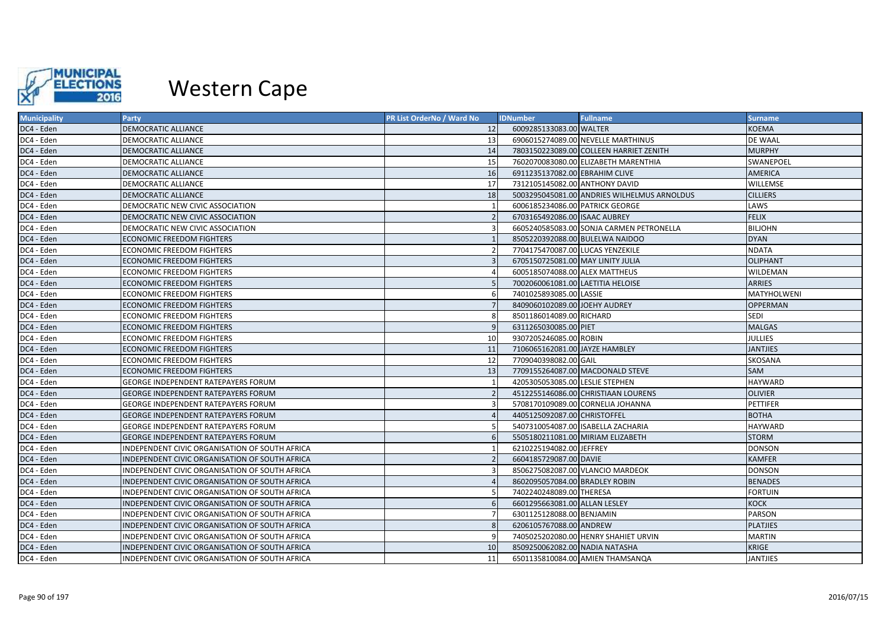

| <b>Municipality</b> | Party                                          | <b>PR List OrderNo / Ward No</b> | <b>IDNumber</b>                   | <b>Fullname</b>                             | <b>Surname</b>   |
|---------------------|------------------------------------------------|----------------------------------|-----------------------------------|---------------------------------------------|------------------|
| DC4 - Eden          | DEMOCRATIC ALLIANCE                            | 12                               | 6009285133083.00 WALTER           |                                             | <b>KOEMA</b>     |
| DC4 - Eden          | DEMOCRATIC ALLIANCE                            | 13                               |                                   | 6906015274089.00 NEVELLE MARTHINUS          | DE WAAL          |
| DC4 - Eden          | DEMOCRATIC ALLIANCE                            | 14                               |                                   | 7803150223089.00 COLLEEN HARRIET ZENITH     | <b>MURPHY</b>    |
| DC4 - Eden          | DEMOCRATIC ALLIANCE                            | 15                               |                                   | 7602070083080.00 ELIZABETH MARENTHIA        | <b>SWANEPOEL</b> |
| DC4 - Eden          | DEMOCRATIC ALLIANCE                            | 16                               | 6911235137082.00 EBRAHIM CLIVE    |                                             | <b>AMERICA</b>   |
| DC4 - Eden          | DEMOCRATIC ALLIANCE                            | 17                               | 7312105145082.00 ANTHONY DAVID    |                                             | WILLEMSE         |
| DC4 - Eden          | DEMOCRATIC ALLIANCE                            | 18                               |                                   | 5003295045081.00 ANDRIES WILHELMUS ARNOLDUS | <b>CILLIERS</b>  |
| DC4 - Eden          | DEMOCRATIC NEW CIVIC ASSOCIATION               |                                  | 6006185234086.00 PATRICK GEORGE   |                                             | LAWS             |
| DC4 - Eden          | DEMOCRATIC NEW CIVIC ASSOCIATION               |                                  | 6703165492086.00 ISAAC AUBREY     |                                             | <b>FELIX</b>     |
| DC4 - Eden          | DEMOCRATIC NEW CIVIC ASSOCIATION               |                                  |                                   | 6605240585083.00 SONJA CARMEN PETRONELLA    | <b>BILJOHN</b>   |
| DC4 - Eden          | <b>ECONOMIC FREEDOM FIGHTERS</b>               |                                  | 8505220392088.00 BULELWA NAIDOO   |                                             | <b>DYAN</b>      |
| DC4 - Eden          | <b>ECONOMIC FREEDOM FIGHTERS</b>               |                                  | 7704175470087.00 LUCAS YENZEKILE  |                                             | <b>NDATA</b>     |
| DC4 - Eden          | <b>ECONOMIC FREEDOM FIGHTERS</b>               |                                  | 6705150725081.00 MAY LINITY JULIA |                                             | <b>OLIPHANT</b>  |
| DC4 - Eden          | <b>ECONOMIC FREEDOM FIGHTERS</b>               |                                  | 6005185074088.00 ALEX MATTHEUS    |                                             | WILDEMAN         |
| DC4 - Eden          | ECONOMIC FREEDOM FIGHTERS                      |                                  | 7002060061081.00 LAETITIA HELOISE |                                             | <b>ARRIES</b>    |
| DC4 - Eden          | <b>ECONOMIC FREEDOM FIGHTERS</b>               |                                  | 7401025893085.00 LASSIE           |                                             | MATYHOLWENI      |
| DC4 - Eden          | <b>ECONOMIC FREEDOM FIGHTERS</b>               |                                  | 8409060102089.00 JOEHY AUDREY     |                                             | <b>OPPERMAN</b>  |
| DC4 - Eden          | <b>ECONOMIC FREEDOM FIGHTERS</b>               |                                  | 8501186014089.00 RICHARD          |                                             | <b>SEDI</b>      |
| DC4 - Eden          | <b>ECONOMIC FREEDOM FIGHTERS</b>               |                                  | 6311265030085.00 PIET             |                                             | <b>MALGAS</b>    |
| DC4 - Eden          | <b>ECONOMIC FREEDOM FIGHTERS</b>               | 10                               | 9307205246085.00 ROBIN            |                                             | <b>JULLIES</b>   |
| DC4 - Eden          | ECONOMIC FREEDOM FIGHTERS                      | 11                               | 7106065162081.00 JAYZE HAMBLEY    |                                             | <b>JANTJIES</b>  |
| DC4 - Eden          | <b>ECONOMIC FREEDOM FIGHTERS</b>               | 12                               | 7709040398082.00 GAIL             |                                             | SKOSANA          |
| DC4 - Eden          | <b>ECONOMIC FREEDOM FIGHTERS</b>               | 13                               |                                   | 7709155264087.00 MACDONALD STEVE            | SAM              |
| DC4 - Eden          | GEORGE INDEPENDENT RATEPAYERS FORUM            |                                  | 4205305053085.00 LESLIE STEPHEN   |                                             | <b>HAYWARD</b>   |
| DC4 - Eden          | GEORGE INDEPENDENT RATEPAYERS FORUM            |                                  |                                   | 4512255146086.00 CHRISTIAAN LOURENS         | <b>OLIVIER</b>   |
| DC4 - Eden          | <b>GEORGE INDEPENDENT RATEPAYERS FORUM</b>     |                                  |                                   | 5708170109089.00 CORNELIA JOHANNA           | PETTIFER         |
| DC4 - Eden          | <b>GEORGE INDEPENDENT RATEPAYERS FORUM</b>     |                                  | 4405125092087.00 CHRISTOFFEL      |                                             | <b>BOTHA</b>     |
| DC4 - Eden          | GEORGE INDEPENDENT RATEPAYERS FORUM            |                                  |                                   | 5407310054087.00 ISABELLA ZACHARIA          | HAYWARD          |
| DC4 - Eden          | <b>GEORGE INDEPENDENT RATEPAYERS FORUM</b>     |                                  |                                   | 5505180211081.00 MIRIAM ELIZABETH           | <b>STORM</b>     |
| DC4 - Eden          | INDEPENDENT CIVIC ORGANISATION OF SOUTH AFRICA |                                  | 6210225194082.00 JEFFREY          |                                             | <b>DONSON</b>    |
| DC4 - Eden          | INDEPENDENT CIVIC ORGANISATION OF SOUTH AFRICA |                                  | 6604185729087.00 DAVIE            |                                             | <b>KAMFER</b>    |
| DC4 - Eden          | INDEPENDENT CIVIC ORGANISATION OF SOUTH AFRICA |                                  |                                   | 8506275082087.00 VLANCIO MARDEOK            | <b>DONSON</b>    |
| DC4 - Eden          | INDEPENDENT CIVIC ORGANISATION OF SOUTH AFRICA |                                  | 8602095057084.00 BRADLEY ROBIN    |                                             | <b>BENADES</b>   |
| DC4 - Eden          | INDEPENDENT CIVIC ORGANISATION OF SOUTH AFRICA |                                  | 7402240248089.00 THERESA          |                                             | <b>FORTUIN</b>   |
| DC4 - Eden          | INDEPENDENT CIVIC ORGANISATION OF SOUTH AFRICA |                                  | 6601295663081.00 ALLAN LESLEY     |                                             | <b>KOCK</b>      |
| DC4 - Eden          | INDEPENDENT CIVIC ORGANISATION OF SOUTH AFRICA |                                  | 6301125128088.00 BENJAMIN         |                                             | <b>PARSON</b>    |
| DC4 - Eden          | INDEPENDENT CIVIC ORGANISATION OF SOUTH AFRICA |                                  | 6206105767088.00 ANDREW           |                                             | <b>PLATJIES</b>  |
| DC4 - Eden          | INDEPENDENT CIVIC ORGANISATION OF SOUTH AFRICA |                                  |                                   | 7405025202080.00 HENRY SHAHIET URVIN        | <b>MARTIN</b>    |
| DC4 - Eden          | INDEPENDENT CIVIC ORGANISATION OF SOUTH AFRICA | 10                               | 8509250062082.00 NADIA NATASHA    |                                             | <b>KRIGE</b>     |
| DC4 - Eden          | INDEPENDENT CIVIC ORGANISATION OF SOUTH AFRICA | 11                               |                                   | 6501135810084.00 AMIEN THAMSANQA            | <b>JANTJIES</b>  |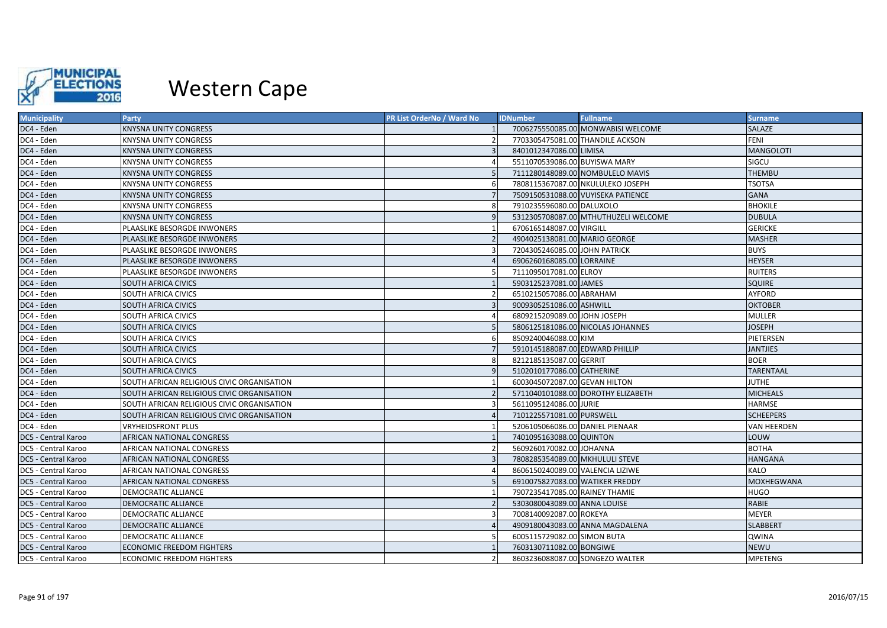

| <b>Municipality</b> | Party                                      | PR List OrderNo / Ward No | <b>IDNumber</b>                  | <b>Fullname</b>                      | <b>Surname</b>     |
|---------------------|--------------------------------------------|---------------------------|----------------------------------|--------------------------------------|--------------------|
| DC4 - Eden          | <b>KNYSNA UNITY CONGRESS</b>               |                           |                                  | 7006275550085.00 MONWABISI WELCOME   | <b>SALAZE</b>      |
| DC4 - Eden          | <b>KNYSNA UNITY CONGRESS</b>               |                           | 7703305475081.00 THANDILE ACKSON |                                      | <b>FENI</b>        |
| DC4 - Eden          | <b>KNYSNA UNITY CONGRESS</b>               |                           | 8401012347086.00 LIMISA          |                                      | <b>MANGOLOTI</b>   |
| DC4 - Eden          | KNYSNA UNITY CONGRESS                      |                           | 5511070539086.00 BUYISWA MARY    |                                      | SIGCU              |
| DC4 - Eden          | <b>KNYSNA UNITY CONGRESS</b>               |                           |                                  | 7111280148089.00 NOMBULELO MAVIS     | <b>THEMBU</b>      |
| DC4 - Eden          | <b>KNYSNA UNITY CONGRESS</b>               |                           |                                  | 7808115367087.00 NKULULEKO JOSEPH    | <b>TSOTSA</b>      |
| DC4 - Eden          | <b>KNYSNA UNITY CONGRESS</b>               |                           |                                  | 7509150531088.00 VUYISEKA PATIENCE   | <b>GANA</b>        |
| DC4 - Eden          | KNYSNA UNITY CONGRESS                      |                           | 7910235596080.00 DALUXOLO        |                                      | <b>BHOKILE</b>     |
| DC4 - Eden          | <b>KNYSNA UNITY CONGRESS</b>               |                           |                                  | 5312305708087.00 MTHUTHUZELI WELCOME | <b>DUBULA</b>      |
| DC4 - Eden          | PLAASLIKE BESORGDE INWONERS                |                           | 6706165148087.00 VIRGILL         |                                      | <b>GERICKE</b>     |
| DC4 - Eden          | PLAASLIKE BESORGDE INWONERS                |                           | 4904025138081.00 MARIO GEORGE    |                                      | <b>MASHER</b>      |
| DC4 - Eden          | PLAASLIKE BESORGDE INWONERS                |                           | 7204305246085.00 JOHN PATRICK    |                                      | <b>BUYS</b>        |
| DC4 - Eden          | PLAASLIKE BESORGDE INWONERS                |                           | 6906260168085.00 LORRAINE        |                                      | <b>HEYSER</b>      |
| DC4 - Eden          | PLAASLIKE BESORGDE INWONERS                |                           | 7111095017081.00 ELROY           |                                      | <b>RUITERS</b>     |
| DC4 - Eden          | SOUTH AFRICA CIVICS                        |                           | 5903125237081.00 JAMES           |                                      | <b>SQUIRE</b>      |
| DC4 - Eden          | SOUTH AFRICA CIVICS                        |                           | 6510215057086.00 ABRAHAM         |                                      | <b>AYFORD</b>      |
| DC4 - Eden          | SOUTH AFRICA CIVICS                        |                           | 9009305251086.00 ASHWILL         |                                      | <b>OKTOBER</b>     |
| DC4 - Eden          | SOUTH AFRICA CIVICS                        |                           | 6809215209089.00 JOHN JOSEPH     |                                      | <b>MULLER</b>      |
| DC4 - Eden          | SOUTH AFRICA CIVICS                        |                           |                                  | 5806125181086.00 NICOLAS JOHANNES    | <b>JOSEPH</b>      |
| DC4 - Eden          | SOUTH AFRICA CIVICS                        |                           | 8509240046088.00 KIM             |                                      | PIETERSEN          |
| DC4 - Eden          | SOUTH AFRICA CIVICS                        |                           | 5910145188087.00 EDWARD PHILLIP  |                                      | <b>JANTJIES</b>    |
| DC4 - Eden          | SOUTH AFRICA CIVICS                        |                           | 8212185135087.00 GERRIT          |                                      | <b>BOER</b>        |
| DC4 - Eden          | <b>SOUTH AFRICA CIVICS</b>                 |                           | 5102010177086.00 CATHERINE       |                                      | <b>TARENTAAL</b>   |
| DC4 - Eden          | SOUTH AFRICAN RELIGIOUS CIVIC ORGANISATION |                           | 6003045072087.00 GEVAN HILTON    |                                      | <b>JUTHE</b>       |
| DC4 - Eden          | SOUTH AFRICAN RELIGIOUS CIVIC ORGANISATION |                           |                                  | 5711040101088.00 DOROTHY ELIZABETH   | <b>MICHEALS</b>    |
| DC4 - Eden          | SOUTH AFRICAN RELIGIOUS CIVIC ORGANISATION |                           | 5611095124086.00 JURIE           |                                      | <b>HARMSE</b>      |
| DC4 - Eden          | SOUTH AFRICAN RELIGIOUS CIVIC ORGANISATION |                           | 7101225571081.00 PURSWELL        |                                      | <b>SCHEEPERS</b>   |
| DC4 - Eden          | <b>VRYHEIDSFRONT PLUS</b>                  |                           | 5206105066086.00 DANIEL PIENAAR  |                                      | <b>VAN HEERDEN</b> |
| DC5 - Central Karoo | AFRICAN NATIONAL CONGRESS                  |                           | 7401095163088.00 QUINTON         |                                      | LOUW               |
| DC5 - Central Karoo | AFRICAN NATIONAL CONGRESS                  |                           | 5609260170082.00 JOHANNA         |                                      | <b>BOTHA</b>       |
| DC5 - Central Karoo | AFRICAN NATIONAL CONGRESS                  |                           | 7808285354089.00 MKHULULI STEVE  |                                      | <b>HANGANA</b>     |
| DC5 - Central Karoo | AFRICAN NATIONAL CONGRESS                  |                           | 8606150240089.00 VALENCIA LIZIWE |                                      | KALO               |
| DC5 - Central Karoo | AFRICAN NATIONAL CONGRESS                  |                           | 6910075827083.00 WATIKER FREDDY  |                                      | MOXHEGWANA         |
| DC5 - Central Karoo | DEMOCRATIC ALLIANCE                        |                           | 7907235417085.00 RAINEY THAMIE   |                                      | <b>HUGO</b>        |
| DC5 - Central Karoo | <b>DEMOCRATIC ALLIANCE</b>                 |                           | 5303080043089.00 ANNA LOUISE     |                                      | <b>RABIE</b>       |
| DC5 - Central Karoo | DEMOCRATIC ALLIANCE                        |                           | 7008140092087.00 ROKEYA          |                                      | <b>MEYER</b>       |
| DC5 - Central Karoo | <b>DEMOCRATIC ALLIANCE</b>                 |                           |                                  | 4909180043083.00 ANNA MAGDALENA      | <b>SLABBERT</b>    |
| DC5 - Central Karoo | DEMOCRATIC ALLIANCE                        |                           | 6005115729082.00 SIMON BUTA      |                                      | <b>QWINA</b>       |
| DC5 - Central Karoo | <b>ECONOMIC FREEDOM FIGHTERS</b>           |                           | 7603130711082.00 BONGIWE         |                                      | <b>NEWU</b>        |
| DC5 - Central Karoo | <b>ECONOMIC FREEDOM FIGHTERS</b>           |                           | 8603236088087.00 SONGEZO WALTER  |                                      | <b>MPETENG</b>     |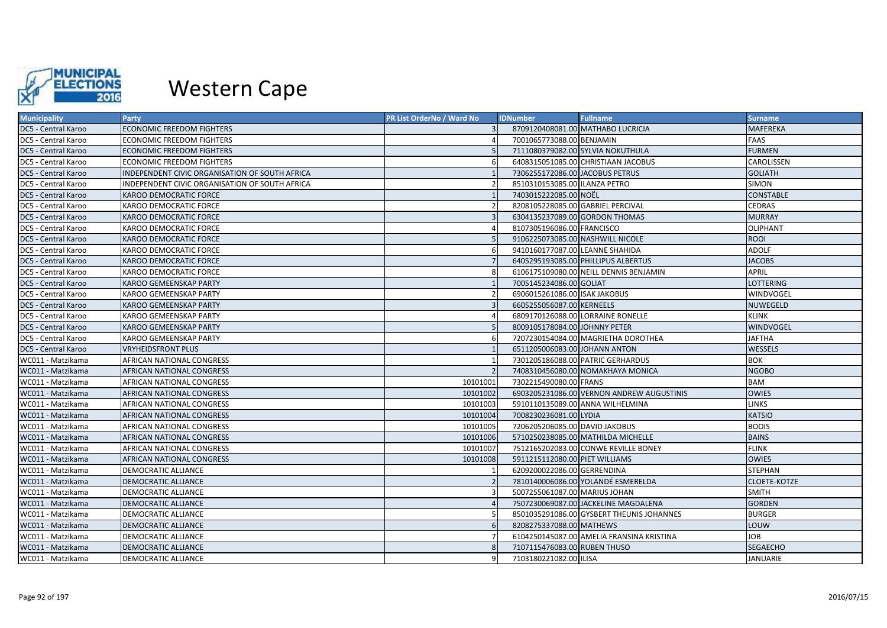

| <b>Municipality</b> | Party                                          | <b>PR List OrderNo / Ward No</b> | <b>IDNumber</b>                   | <b>Fullname</b>                           | <b>Surname</b>      |
|---------------------|------------------------------------------------|----------------------------------|-----------------------------------|-------------------------------------------|---------------------|
| DC5 - Central Karoo | <b>ECONOMIC FREEDOM FIGHTERS</b>               |                                  |                                   | 8709120408081.00 MATHABO LUCRICIA         | <b>MAFEREKA</b>     |
| DC5 - Central Karoo | <b>ECONOMIC FREEDOM FIGHTERS</b>               |                                  | 7001065773088.00 BENJAMIN         |                                           | <b>FAAS</b>         |
| DC5 - Central Karoo | <b>ECONOMIC FREEDOM FIGHTERS</b>               |                                  |                                   | 7111080379082.00 SYLVIA NOKUTHULA         | <b>FURMEN</b>       |
| DC5 - Central Karoo | <b>ECONOMIC FREEDOM FIGHTERS</b>               | 6                                |                                   | 6408315051085.00 CHRISTIAAN JACOBUS       | CAROLISSEN          |
| DC5 - Central Karoo | INDEPENDENT CIVIC ORGANISATION OF SOUTH AFRICA |                                  | 7306255172086.00 JACOBUS PETRUS   |                                           | <b>GOLIATH</b>      |
| DC5 - Central Karoo | INDEPENDENT CIVIC ORGANISATION OF SOUTH AFRICA |                                  | 8510310153085.00 ILANZA PETRO     |                                           | <b>SIMON</b>        |
| DC5 - Central Karoo | <b>KAROO DEMOCRATIC FORCE</b>                  |                                  | 7403015222085.00 NOËL             |                                           | <b>CONSTABLE</b>    |
| DC5 - Central Karoo | KAROO DEMOCRATIC FORCE                         |                                  | 8208105228085.00 GABRIEL PERCIVAL |                                           | <b>CEDRAS</b>       |
| DC5 - Central Karoo | <b>KAROO DEMOCRATIC FORCE</b>                  |                                  |                                   | 6304135237089.00 GORDON THOMAS            | <b>MURRAY</b>       |
| DC5 - Central Karoo | KAROO DEMOCRATIC FORCE                         |                                  | 8107305196086.00 FRANCISCO        |                                           | <b>OLIPHANT</b>     |
| DC5 - Central Karoo | <b>KAROO DEMOCRATIC FORCE</b>                  |                                  | 9106225073085.00 NASHWILL NICOLE  |                                           | <b>ROOI</b>         |
| DC5 - Central Karoo | KAROO DEMOCRATIC FORCE                         | 6                                | 9410160177087.00 LEANNE SHAHIDA   |                                           | <b>ADOLF</b>        |
| DC5 - Central Karoo | <b>KAROO DEMOCRATIC FORCE</b>                  | $\overline{7}$                   |                                   | 6405295193085.00 PHILLIPUS ALBERTUS       | <b>JACOBS</b>       |
| DC5 - Central Karoo | KAROO DEMOCRATIC FORCE                         |                                  |                                   | 6106175109080.00 NEILL DENNIS BENJAMIN    | <b>APRIL</b>        |
| DC5 - Central Karoo | KAROO GEMEENSKAP PARTY                         |                                  | 7005145234086.00 GOLIAT           |                                           | <b>LOTTERING</b>    |
| DC5 - Central Karoo | KAROO GEMEENSKAP PARTY                         |                                  | 6906015261086.00 ISAK JAKOBUS     |                                           | WINDVOGEL           |
| DC5 - Central Karoo | <b>KAROO GEMEENSKAP PARTY</b>                  |                                  | 6605255056087.00 KERNEELS         |                                           | NUWEGELD            |
| DC5 - Central Karoo | KAROO GEMEENSKAP PARTY                         |                                  |                                   | 6809170126088.00 LORRAINE RONELLE         | <b>KLINK</b>        |
| DC5 - Central Karoo | <b>KAROO GEMEENSKAP PARTY</b>                  |                                  | 8009105178084.00 JOHNNY PETER     |                                           | WINDVOGEL           |
| DC5 - Central Karoo | <b>KAROO GEMEENSKAP PARTY</b>                  |                                  |                                   | 7207230154084.00 MAGRIETHA DOROTHEA       | <b>JAFTHA</b>       |
| DC5 - Central Karoo | <b>VRYHEIDSFRONT PLUS</b>                      |                                  | 6511205006083.00 JOHANN ANTON     |                                           | WESSELS             |
| WC011 - Matzikama   | AFRICAN NATIONAL CONGRESS                      |                                  |                                   | 7301205186088.00 PATRIC GERHARDUS         | <b>BOK</b>          |
| WC011 - Matzikama   | AFRICAN NATIONAL CONGRESS                      |                                  |                                   | 7408310456080.00 NOMAKHAYA MONICA         | <b>NGOBO</b>        |
| WC011 - Matzikama   | AFRICAN NATIONAL CONGRESS                      | 10101001                         | 7302215490080.00 FRANS            |                                           | <b>BAM</b>          |
| WC011 - Matzikama   | AFRICAN NATIONAL CONGRESS                      | 10101002                         |                                   | 6903205231086.00 VERNON ANDREW AUGUSTINIS | <b>OWIES</b>        |
| WC011 - Matzikama   | AFRICAN NATIONAL CONGRESS                      | 10101003                         |                                   | 5910110135089.00 ANNA WILHELMINA          | LINKS               |
| WC011 - Matzikama   | AFRICAN NATIONAL CONGRESS                      | 10101004                         | 7008230236081.00 LYDIA            |                                           | <b>KATSIO</b>       |
| WC011 - Matzikama   | AFRICAN NATIONAL CONGRESS                      | 10101005                         | 7206205206085.00 DAVID JAKOBUS    |                                           | <b>BOOIS</b>        |
| WC011 - Matzikama   | AFRICAN NATIONAL CONGRESS                      | 10101006                         |                                   | 5710250238085.00 MATHILDA MICHELLE        | <b>BAINS</b>        |
| WC011 - Matzikama   | AFRICAN NATIONAL CONGRESS                      | 10101007                         |                                   | 7512165202083.00 CONWE REVILLE BONEY      | <b>FLINK</b>        |
| WC011 - Matzikama   | AFRICAN NATIONAL CONGRESS                      | 10101008                         | 5911215112080.00 PIET WILLIAMS    |                                           | <b>OWIES</b>        |
| WC011 - Matzikama   | DEMOCRATIC ALLIANCE                            |                                  | 6209200022086.00 GERRENDINA       |                                           | STEPHAN             |
| WC011 - Matzikama   | DEMOCRATIC ALLIANCE                            |                                  |                                   | 7810140006086.00 YOLANDÉ ESMERELDA        | <b>CLOETE-KOTZE</b> |
| WC011 - Matzikama   | <b>DEMOCRATIC ALLIANCE</b>                     |                                  | 5007255061087.00 MARIUS JOHAN     |                                           | <b>SMITH</b>        |
| WC011 - Matzikama   | <b>DEMOCRATIC ALLIANCE</b>                     |                                  |                                   | 7507230069087.00 JACKELINE MAGDALENA      | <b>GORDEN</b>       |
| WC011 - Matzikama   | DEMOCRATIC ALLIANCE                            |                                  |                                   | 8501035291086.00 GYSBERT THEUNIS JOHANNES | <b>BURGER</b>       |
| WC011 - Matzikama   | <b>DEMOCRATIC ALLIANCE</b>                     | 6                                | 8208275337088.00 MATHEWS          |                                           | LOUW                |
| WC011 - Matzikama   | DEMOCRATIC ALLIANCE                            |                                  |                                   | 6104250145087.00 AMELIA FRANSINA KRISTINA | <b>JOB</b>          |
| WC011 - Matzikama   | <b>DEMOCRATIC ALLIANCE</b>                     |                                  | 7107115476083.00 RUBEN THUSO      |                                           | <b>SEGAECHO</b>     |
| WC011 - Matzikama   | <b>DEMOCRATIC ALLIANCE</b>                     |                                  | 7103180221082.00 ILISA            |                                           | <b>JANUARIE</b>     |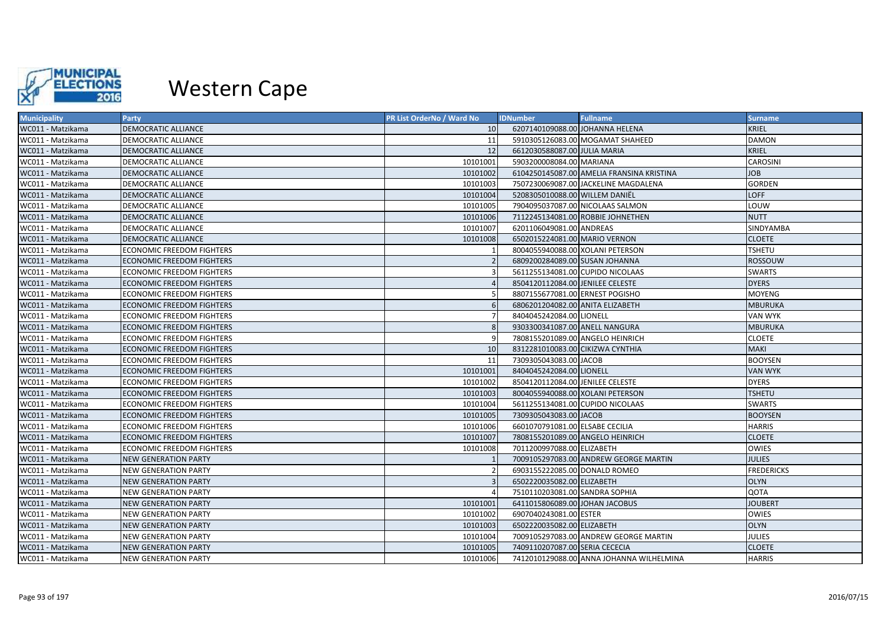

| <b>Municipality</b> | <b>Party</b>                     | <b>PR List OrderNo / Ward No</b> | <b>IDNumber</b>                  | <b>Fullname</b>                           | <b>Surname</b>    |
|---------------------|----------------------------------|----------------------------------|----------------------------------|-------------------------------------------|-------------------|
| WC011 - Matzikama   | DEMOCRATIC ALLIANCE              | <b>10</b>                        | 6207140109088.00 JOHANNA HELENA  |                                           | <b>KRIEL</b>      |
| WC011 - Matzikama   | DEMOCRATIC ALLIANCE              | 11                               |                                  | 5910305126083.00 MOGAMAT SHAHEED          | <b>DAMON</b>      |
| WC011 - Matzikama   | DEMOCRATIC ALLIANCE              | 12                               | 6612030588087.00 JULIA MARIA     |                                           | <b>KRIEL</b>      |
| WC011 - Matzikama   | DEMOCRATIC ALLIANCE              | 10101001                         | 5903200008084.00 MARIANA         |                                           | <b>CAROSINI</b>   |
| WC011 - Matzikama   | DEMOCRATIC ALLIANCE              | 10101002                         |                                  | 6104250145087.00 AMELIA FRANSINA KRISTINA | <b>JOB</b>        |
| WC011 - Matzikama   | DEMOCRATIC ALLIANCE              | 10101003                         |                                  | 7507230069087.00 JACKELINE MAGDALENA      | <b>GORDEN</b>     |
| WC011 - Matzikama   | DEMOCRATIC ALLIANCE              | 10101004                         | 5208305010088.00 WILLEM DANIEL   |                                           | <b>LOFF</b>       |
| WC011 - Matzikama   | DEMOCRATIC ALLIANCE              | 10101005                         |                                  | 7904095037087.00 NICOLAAS SALMON          | LOUW              |
| WC011 - Matzikama   | DEMOCRATIC ALLIANCE              | 10101006                         |                                  | 7112245134081.00 ROBBIE JOHNETHEN         | <b>NUTT</b>       |
| WC011 - Matzikama   | DEMOCRATIC ALLIANCE              | 10101007                         | 6201106049081.00 ANDREAS         |                                           | SINDYAMBA         |
| WC011 - Matzikama   | DEMOCRATIC ALLIANCE              | 10101008                         | 6502015224081.00 MARIO VERNON    |                                           | <b>CLOETE</b>     |
| WC011 - Matzikama   | ECONOMIC FREEDOM FIGHTERS        |                                  | 8004055940088.00 XOLANI PETERSON |                                           | <b>TSHETU</b>     |
| WC011 - Matzikama   | <b>ECONOMIC FREEDOM FIGHTERS</b> |                                  | 6809200284089.00 SUSAN JOHANNA   |                                           | <b>ROSSOUW</b>    |
| WC011 - Matzikama   | <b>ECONOMIC FREEDOM FIGHTERS</b> |                                  | 5611255134081.00 CUPIDO NICOLAAS |                                           | <b>SWARTS</b>     |
| WC011 - Matzikama   | <b>ECONOMIC FREEDOM FIGHTERS</b> |                                  | 8504120112084.00 JENILEE CELESTE |                                           | <b>DYERS</b>      |
| WC011 - Matzikama   | <b>ECONOMIC FREEDOM FIGHTERS</b> |                                  | 8807155677081.00 ERNEST POGISHO  |                                           | <b>MOYENG</b>     |
| WC011 - Matzikama   | <b>ECONOMIC FREEDOM FIGHTERS</b> |                                  | 6806201204082.00 ANITA ELIZABETH |                                           | <b>MBURUKA</b>    |
| WC011 - Matzikama   | <b>ECONOMIC FREEDOM FIGHTERS</b> |                                  | 8404045242084.00 LIONELL         |                                           | <b>VAN WYK</b>    |
| WC011 - Matzikama   | <b>ECONOMIC FREEDOM FIGHTERS</b> |                                  | 9303300341087.00 ANELL NANGURA   |                                           | <b>MBURUKA</b>    |
| WC011 - Matzikama   | <b>ECONOMIC FREEDOM FIGHTERS</b> |                                  | 7808155201089.00 ANGELO HEINRICH |                                           | <b>CLOETE</b>     |
| WC011 - Matzikama   | <b>ECONOMIC FREEDOM FIGHTERS</b> | 10                               | 8312281010083.00 CIKIZWA CYNTHIA |                                           | <b>MAKI</b>       |
| WC011 - Matzikama   | <b>ECONOMIC FREEDOM FIGHTERS</b> | 11                               | 7309305043083.00 JACOB           |                                           | <b>BOOYSEN</b>    |
| WC011 - Matzikama   | <b>ECONOMIC FREEDOM FIGHTERS</b> | 10101001                         | 8404045242084.00 LIONELL         |                                           | <b>VAN WYK</b>    |
| WC011 - Matzikama   | <b>ECONOMIC FREEDOM FIGHTERS</b> | 10101002                         | 8504120112084.00 JENILEE CELESTE |                                           | <b>DYERS</b>      |
| WC011 - Matzikama   | <b>ECONOMIC FREEDOM FIGHTERS</b> | 10101003                         | 8004055940088.00 XOLANI PETERSON |                                           | <b>TSHETU</b>     |
| WC011 - Matzikama   | <b>ECONOMIC FREEDOM FIGHTERS</b> | 10101004                         | 5611255134081.00 CUPIDO NICOLAAS |                                           | <b>SWARTS</b>     |
| WC011 - Matzikama   | <b>ECONOMIC FREEDOM FIGHTERS</b> | 10101005                         | 7309305043083.00 JACOB           |                                           | <b>BOOYSEN</b>    |
| WC011 - Matzikama   | <b>ECONOMIC FREEDOM FIGHTERS</b> | 10101006                         | 6601070791081.00 ELSABE CECILIA  |                                           | <b>HARRIS</b>     |
| WC011 - Matzikama   | <b>ECONOMIC FREEDOM FIGHTERS</b> | 10101007                         | 7808155201089.00 ANGELO HEINRICH |                                           | <b>CLOETE</b>     |
| WC011 - Matzikama   | <b>ECONOMIC FREEDOM FIGHTERS</b> | 10101008                         | 7011200997088.00 ELIZABETH       |                                           | <b>OWIES</b>      |
| WC011 - Matzikama   | <b>NEW GENERATION PARTY</b>      |                                  |                                  | 7009105297083.00 ANDREW GEORGE MARTIN     | <b>JULIES</b>     |
| WC011 - Matzikama   | <b>NEW GENERATION PARTY</b>      |                                  | 6903155222085.00 DONALD ROMEO    |                                           | <b>FREDERICKS</b> |
| WC011 - Matzikama   | <b>NEW GENERATION PARTY</b>      |                                  | 6502220035082.00 ELIZABETH       |                                           | <b>OLYN</b>       |
| WC011 - Matzikama   | <b>NEW GENERATION PARTY</b>      |                                  | 7510110203081.00 SANDRA SOPHIA   |                                           | QOTA              |
| WC011 - Matzikama   | <b>NEW GENERATION PARTY</b>      | 10101001                         | 6411015806089.00 JOHAN JACOBUS   |                                           | <b>JOUBERT</b>    |
| WC011 - Matzikama   | <b>NEW GENERATION PARTY</b>      | 10101002                         | 6907040243081.00 ESTER           |                                           | <b>OWIES</b>      |
| WC011 - Matzikama   | <b>NEW GENERATION PARTY</b>      | 10101003                         | 6502220035082.00 ELIZABETH       |                                           | <b>OLYN</b>       |
| WC011 - Matzikama   | <b>NEW GENERATION PARTY</b>      | 10101004                         |                                  | 7009105297083.00 ANDREW GEORGE MARTIN     | <b>JULIES</b>     |
| WC011 - Matzikama   | <b>NEW GENERATION PARTY</b>      | 10101005                         | 7409110207087.00 SERIA CECECIA   |                                           | <b>CLOETE</b>     |
| WC011 - Matzikama   | <b>NEW GENERATION PARTY</b>      | 10101006                         |                                  | 7412010129088.00 ANNA JOHANNA WILHELMINA  | <b>HARRIS</b>     |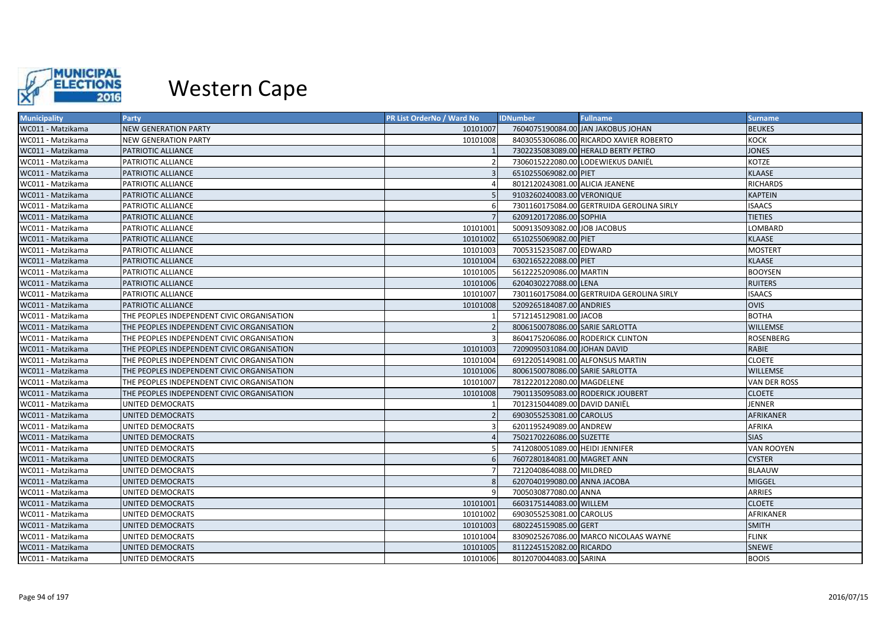

| <b>Municipality</b> | <b>Party</b>                               | <b>PR List OrderNo / Ward No</b> | <b>IDNumber</b>                  | <b>Fullname</b>                           | <b>Surname</b>      |
|---------------------|--------------------------------------------|----------------------------------|----------------------------------|-------------------------------------------|---------------------|
| WC011 - Matzikama   | <b>NEW GENERATION PARTY</b>                | 10101007                         |                                  | 7604075190084.00 JAN JAKOBUS JOHAN        | <b>BEUKES</b>       |
| WC011 - Matzikama   | <b>NEW GENERATION PARTY</b>                | 10101008                         |                                  | 8403055306086.00 RICARDO XAVIER ROBERTO   | <b>KOCK</b>         |
| WC011 - Matzikama   | PATRIOTIC ALLIANCE                         |                                  |                                  | 7302235083089.00 HERALD BERTY PETRO       | <b>JONES</b>        |
| WC011 - Matzikama   | PATRIOTIC ALLIANCE                         |                                  |                                  | 7306015222080.00 LODEWIEKUS DANIËL        | KOTZE               |
| WC011 - Matzikama   | PATRIOTIC ALLIANCE                         |                                  | 6510255069082.00 PIET            |                                           | <b>KLAASE</b>       |
| WC011 - Matzikama   | PATRIOTIC ALLIANCE                         |                                  | 8012120243081.00 ALICIA JEANENE  |                                           | <b>RICHARDS</b>     |
| WC011 - Matzikama   | PATRIOTIC ALLIANCE                         |                                  | 9103260240083.00 VERONIQUE       |                                           | <b>KAPTEIN</b>      |
| WC011 - Matzikama   | PATRIOTIC ALLIANCE                         |                                  |                                  | 7301160175084.00 GERTRUIDA GEROLINA SIRLY | <b>ISAACS</b>       |
| WC011 - Matzikama   | PATRIOTIC ALLIANCE                         |                                  | 6209120172086.00 SOPHIA          |                                           | <b>TIETIES</b>      |
| WC011 - Matzikama   | PATRIOTIC ALLIANCE                         | 10101001                         | 5009135093082.00 JOB JACOBUS     |                                           | LOMBARD             |
| WC011 - Matzikama   | PATRIOTIC ALLIANCE                         | 10101002                         | 6510255069082.00 PIET            |                                           | <b>KLAASE</b>       |
| WC011 - Matzikama   | PATRIOTIC ALLIANCE                         | 10101003                         | 7005315235087.00 EDWARD          |                                           | <b>MOSTERT</b>      |
| WC011 - Matzikama   | PATRIOTIC ALLIANCE                         | 10101004                         | 6302165222088.00 PIET            |                                           | <b>KLAASE</b>       |
| WC011 - Matzikama   | PATRIOTIC ALLIANCE                         | 10101005                         | 5612225209086.00 MARTIN          |                                           | <b>BOOYSEN</b>      |
| WC011 - Matzikama   | PATRIOTIC ALLIANCE                         | 10101006                         | 6204030227088.00 LENA            |                                           | <b>RUITERS</b>      |
| WC011 - Matzikama   | PATRIOTIC ALLIANCE                         | 10101007                         |                                  | 7301160175084.00 GERTRUIDA GEROLINA SIRLY | <b>ISAACS</b>       |
| WC011 - Matzikama   | PATRIOTIC ALLIANCE                         | 10101008                         | 5209265184087.00 ANDRIES         |                                           | <b>OVIS</b>         |
| WC011 - Matzikama   | THE PEOPLES INDEPENDENT CIVIC ORGANISATION |                                  | 5712145129081.00 JACOB           |                                           | <b>BOTHA</b>        |
| WC011 - Matzikama   | THE PEOPLES INDEPENDENT CIVIC ORGANISATION |                                  | 8006150078086.00 SARIE SARLOTTA  |                                           | WILLEMSE            |
| WC011 - Matzikama   | THE PEOPLES INDEPENDENT CIVIC ORGANISATION |                                  |                                  | 8604175206086.00 RODERICK CLINTON         | ROSENBERG           |
| WC011 - Matzikama   | THE PEOPLES INDEPENDENT CIVIC ORGANISATION | 10101003                         | 7209095031084.00 JOHAN DAVID     |                                           | RABIE               |
| WC011 - Matzikama   | THE PEOPLES INDEPENDENT CIVIC ORGANISATION | 10101004                         | 6912205149081.00 ALFONSUS MARTIN |                                           | <b>CLOETE</b>       |
| WC011 - Matzikama   | THE PEOPLES INDEPENDENT CIVIC ORGANISATION | 10101006                         | 8006150078086.00 SARIE SARLOTTA  |                                           | <b>WILLEMSE</b>     |
| WC011 - Matzikama   | THE PEOPLES INDEPENDENT CIVIC ORGANISATION | 10101007                         | 7812220122080.00 MAGDELENE       |                                           | <b>VAN DER ROSS</b> |
| WC011 - Matzikama   | THE PEOPLES INDEPENDENT CIVIC ORGANISATION | 10101008                         |                                  | 7901135095083.00 RODERICK JOUBERT         | <b>CLOETE</b>       |
| WC011 - Matzikama   | UNITED DEMOCRATS                           |                                  | 7012315044089.00 DAVID DANIËL    |                                           | <b>JENNER</b>       |
| WC011 - Matzikama   | UNITED DEMOCRATS                           |                                  | 6903055253081.00 CAROLUS         |                                           | AFRIKANER           |
| WC011 - Matzikama   | UNITED DEMOCRATS                           |                                  | 6201195249089.00 ANDREW          |                                           | <b>AFRIKA</b>       |
| WC011 - Matzikama   | UNITED DEMOCRATS                           |                                  | 7502170226086.00 SUZETTE         |                                           | <b>SIAS</b>         |
| WC011 - Matzikama   | UNITED DEMOCRATS                           |                                  | 7412080051089.00 HEIDI JENNIFER  |                                           | <b>VAN ROOYEN</b>   |
| WC011 - Matzikama   | UNITED DEMOCRATS                           |                                  | 7607280184081.00 MAGRET ANN      |                                           | <b>CYSTER</b>       |
| WC011 - Matzikama   | UNITED DEMOCRATS                           |                                  | 7212040864088.00 MILDRED         |                                           | <b>BLAAUW</b>       |
| WC011 - Matzikama   | UNITED DEMOCRATS                           |                                  | 6207040199080.00 ANNA JACOBA     |                                           | <b>MIGGEL</b>       |
| WC011 - Matzikama   | UNITED DEMOCRATS                           |                                  | 7005030877080.00 ANNA            |                                           | <b>ARRIES</b>       |
| WC011 - Matzikama   | <b>UNITED DEMOCRATS</b>                    | 10101001                         | 6603175144083.00 WILLEM          |                                           | <b>CLOETE</b>       |
| WC011 - Matzikama   | UNITED DEMOCRATS                           | 10101002                         | 6903055253081.00 CAROLUS         |                                           | <b>AFRIKANER</b>    |
| WC011 - Matzikama   | UNITED DEMOCRATS                           | 10101003                         | 6802245159085.00 GERT            |                                           | <b>SMITH</b>        |
| WC011 - Matzikama   | UNITED DEMOCRATS                           | 10101004                         |                                  | 8309025267086.00 MARCO NICOLAAS WAYNE     | <b>FLINK</b>        |
| WC011 - Matzikama   | <b>UNITED DEMOCRATS</b>                    | 10101005                         | 8112245152082.00 RICARDO         |                                           | <b>SNEWE</b>        |
| WC011 - Matzikama   | UNITED DEMOCRATS                           | 10101006                         | 8012070044083.00 SARINA          |                                           | <b>BOOIS</b>        |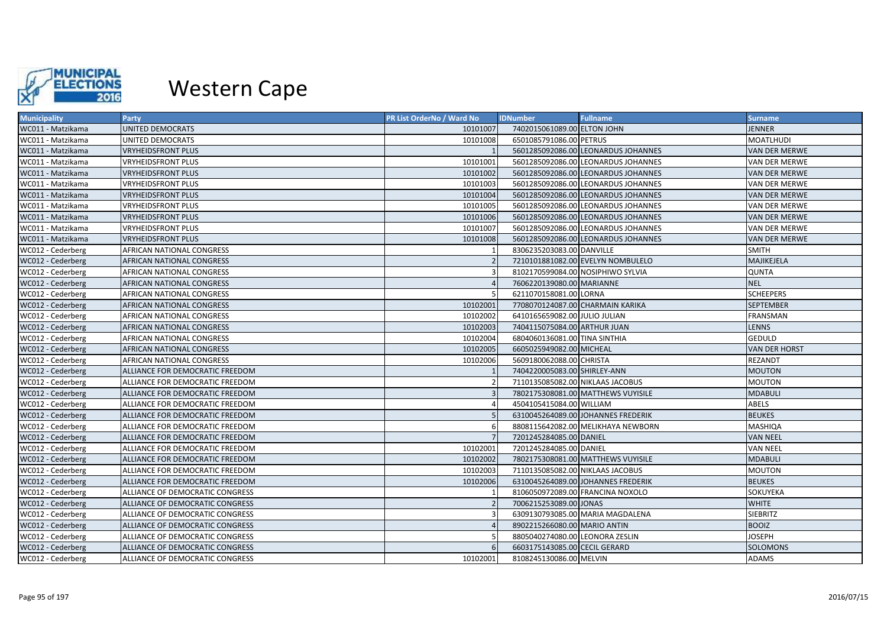

| <b>Municipality</b> | Party                           | PR List OrderNo / Ward No | <b>IDNumber</b>                   | <b>Fullname</b>                     | Surname,             |
|---------------------|---------------------------------|---------------------------|-----------------------------------|-------------------------------------|----------------------|
| WC011 - Matzikama   | <b>UNITED DEMOCRATS</b>         | 10101007                  | 7402015061089.00 ELTON JOHN       |                                     | <b>JENNER</b>        |
| WC011 - Matzikama   | UNITED DEMOCRATS                | 10101008                  | 6501085791086.00 PETRUS           |                                     | <b>MOATLHUDI</b>     |
| WC011 - Matzikama   | <b>VRYHEIDSFRONT PLUS</b>       |                           |                                   | 5601285092086.00 LEONARDUS JOHANNES | <b>VAN DER MERWE</b> |
| WC011 - Matzikama   | VRYHEIDSFRONT PLUS              | 10101001                  |                                   | 5601285092086.00 LEONARDUS JOHANNES | VAN DER MERWE        |
| WC011 - Matzikama   | <b>VRYHEIDSFRONT PLUS</b>       | 10101002                  |                                   | 5601285092086.00 LEONARDUS JOHANNES | VAN DER MERWE        |
| WC011 - Matzikama   | <b>VRYHEIDSFRONT PLUS</b>       | 10101003                  |                                   | 5601285092086.00 LEONARDUS JOHANNES | <b>VAN DER MERWE</b> |
| WC011 - Matzikama   | <b>VRYHEIDSFRONT PLUS</b>       | 10101004                  |                                   | 5601285092086.00 LEONARDUS JOHANNES | <b>VAN DER MERWE</b> |
| WC011 - Matzikama   | <b>VRYHEIDSFRONT PLUS</b>       | 10101005                  |                                   | 5601285092086.00 LEONARDUS JOHANNES | VAN DER MERWE        |
| WC011 - Matzikama   | <b>VRYHEIDSFRONT PLUS</b>       | 10101006                  |                                   | 5601285092086.00 LEONARDUS JOHANNES | VAN DER MERWE        |
| WC011 - Matzikama   | <b>VRYHEIDSFRONT PLUS</b>       | 10101007                  |                                   | 5601285092086.00 LEONARDUS JOHANNES | VAN DER MERWE        |
| WC011 - Matzikama   | <b>VRYHEIDSFRONT PLUS</b>       | 10101008                  |                                   | 5601285092086.00 LEONARDUS JOHANNES | <b>VAN DER MERWE</b> |
| WC012 - Cederberg   | AFRICAN NATIONAL CONGRESS       |                           | 8306235203083.00 DANVILLE         |                                     | <b>SMITH</b>         |
| WC012 - Cederberg   | AFRICAN NATIONAL CONGRESS       |                           |                                   | 7210101881082.00 EVELYN NOMBULELO   | MAJIKEJELA           |
| WC012 - Cederberg   | AFRICAN NATIONAL CONGRESS       |                           | 8102170599084.00 NOSIPHIWO SYLVIA |                                     | <b>QUNTA</b>         |
| WC012 - Cederberg   | AFRICAN NATIONAL CONGRESS       |                           | 7606220139080.00 MARIANNE         |                                     | <b>NEL</b>           |
| WC012 - Cederberg   | AFRICAN NATIONAL CONGRESS       |                           | 6211070158081.00 LORNA            |                                     | <b>SCHEEPERS</b>     |
| WC012 - Cederberg   | AFRICAN NATIONAL CONGRESS       | 10102001                  | 7708070124087.00 CHARMAIN KARIKA  |                                     | <b>SEPTEMBER</b>     |
| WC012 - Cederberg   | AFRICAN NATIONAL CONGRESS       | 10102002                  | 6410165659082.00 JULIO JULIAN     |                                     | FRANSMAN             |
| WC012 - Cederberg   | AFRICAN NATIONAL CONGRESS       | 10102003                  | 7404115075084.00 ARTHUR JUAN      |                                     | <b>LENNS</b>         |
| WC012 - Cederberg   | AFRICAN NATIONAL CONGRESS       | 10102004                  | 6804060136081.00 TINA SINTHIA     |                                     | <b>GEDULD</b>        |
| WC012 - Cederberg   | AFRICAN NATIONAL CONGRESS       | 10102005                  | 6605025949082.00 MICHEAL          |                                     | <b>VAN DER HORST</b> |
| WC012 - Cederberg   | AFRICAN NATIONAL CONGRESS       | 10102006                  | 5609180062088.00 CHRISTA          |                                     | REZANDT              |
| WC012 - Cederberg   | ALLIANCE FOR DEMOCRATIC FREEDOM |                           | 7404220005083.00 SHIRLEY-ANN      |                                     | <b>MOUTON</b>        |
| WC012 - Cederberg   | ALLIANCE FOR DEMOCRATIC FREEDOM |                           | 7110135085082.00 NIKLAAS JACOBUS  |                                     | <b>MOUTON</b>        |
| WC012 - Cederberg   | ALLIANCE FOR DEMOCRATIC FREEDOM |                           |                                   | 7802175308081.00 MATTHEWS VUYISILE  | <b>MDABULI</b>       |
| WC012 - Cederberg   | ALLIANCE FOR DEMOCRATIC FREEDOM |                           | 4504105415084.00 WILLIAM          |                                     | ABELS                |
| WC012 - Cederberg   | ALLIANCE FOR DEMOCRATIC FREEDOM |                           |                                   | 6310045264089.00 JOHANNES FREDERIK  | <b>BEUKES</b>        |
| WC012 - Cederberg   | ALLIANCE FOR DEMOCRATIC FREEDOM |                           |                                   | 8808115642082.00 MELIKHAYA NEWBORN  | MASHIQA              |
| WC012 - Cederberg   | ALLIANCE FOR DEMOCRATIC FREEDOM |                           | 7201245284085.00 DANIEL           |                                     | <b>VAN NEEL</b>      |
| WC012 - Cederberg   | ALLIANCE FOR DEMOCRATIC FREEDOM | 10102001                  | 7201245284085.00 DANIEL           |                                     | <b>VAN NEEL</b>      |
| WC012 - Cederberg   | ALLIANCE FOR DEMOCRATIC FREEDOM | 10102002                  |                                   | 7802175308081.00 MATTHEWS VUYISILE  | <b>MDABULI</b>       |
| WC012 - Cederberg   | ALLIANCE FOR DEMOCRATIC FREEDOM | 10102003                  | 7110135085082.00 NIKLAAS JACOBUS  |                                     | <b>MOUTON</b>        |
| WC012 - Cederberg   | ALLIANCE FOR DEMOCRATIC FREEDOM | 10102006                  |                                   | 6310045264089.00 JOHANNES FREDERIK  | <b>BEUKES</b>        |
| WC012 - Cederberg   | ALLIANCE OF DEMOCRATIC CONGRESS |                           | 8106050972089.00 FRANCINA NOXOLO  |                                     | SOKUYEKA             |
| WC012 - Cederberg   | ALLIANCE OF DEMOCRATIC CONGRESS |                           | 7006215253089.00 JONAS            |                                     | <b>WHITE</b>         |
| WC012 - Cederberg   | ALLIANCE OF DEMOCRATIC CONGRESS |                           |                                   | 6309130793085.00 MARIA MAGDALENA    | <b>SIEBRITZ</b>      |
| WC012 - Cederberg   | ALLIANCE OF DEMOCRATIC CONGRESS |                           | 8902215266080.00 MARIO ANTIN      |                                     | <b>BOOIZ</b>         |
| WC012 - Cederberg   | ALLIANCE OF DEMOCRATIC CONGRESS |                           | 8805040274080.00 LEONORA ZESLIN   |                                     | <b>JOSEPH</b>        |
| WC012 - Cederberg   | ALLIANCE OF DEMOCRATIC CONGRESS |                           | 6603175143085.00 CECIL GERARD     |                                     | <b>SOLOMONS</b>      |
| WC012 - Cederberg   | ALLIANCE OF DEMOCRATIC CONGRESS | 10102001                  | 8108245130086.00 MELVIN           |                                     | <b>ADAMS</b>         |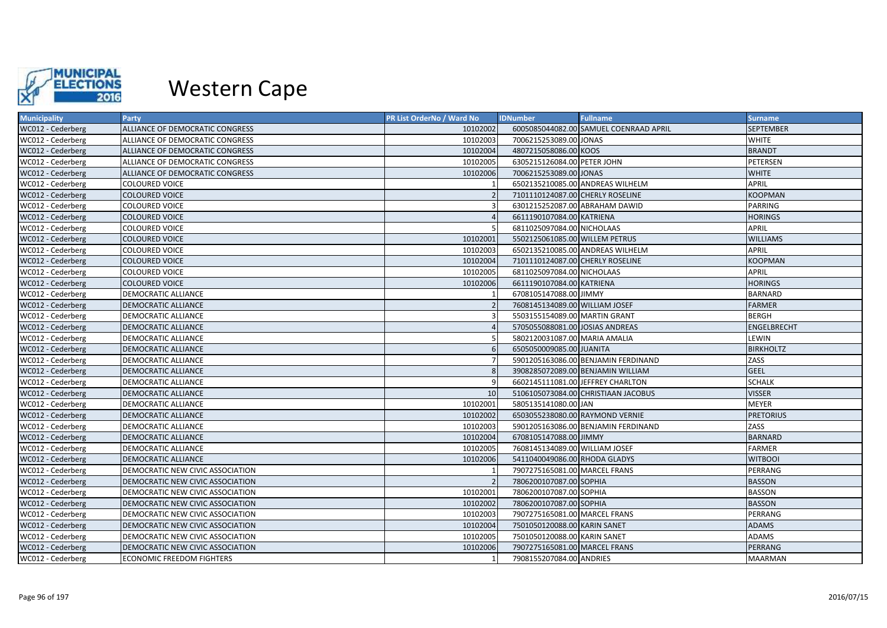

| <b>Municipality</b> | <b>Party</b>                            | <b>PR List OrderNo / Ward No</b> | <b>IDNumber</b><br><b>Fullname</b>     | <b>Surname</b>     |
|---------------------|-----------------------------------------|----------------------------------|----------------------------------------|--------------------|
| WC012 - Cederberg   | ALLIANCE OF DEMOCRATIC CONGRESS         | 10102002                         | 6005085044082.00 SAMUEL COENRAAD APRIL | <b>SEPTEMBER</b>   |
| WC012 - Cederberg   | ALLIANCE OF DEMOCRATIC CONGRESS         | 10102003                         | 7006215253089.00 JONAS                 | <b>WHITE</b>       |
| WC012 - Cederberg   | ALLIANCE OF DEMOCRATIC CONGRESS         | 10102004                         | 4807215058086.00 KOOS                  | <b>BRANDT</b>      |
| WC012 - Cederberg   | ALLIANCE OF DEMOCRATIC CONGRESS         | 10102005                         | 6305215126084.00 PETER JOHN            | <b>PETERSEN</b>    |
| WC012 - Cederberg   | ALLIANCE OF DEMOCRATIC CONGRESS         | 10102006                         | 7006215253089.00 JONAS                 | <b>WHITE</b>       |
| WC012 - Cederberg   | <b>COLOURED VOICE</b>                   |                                  | 6502135210085.00 ANDREAS WILHELM       | <b>APRIL</b>       |
| WC012 - Cederberg   | <b>COLOURED VOICE</b>                   |                                  | 7101110124087.00 CHERLY ROSELINE       | <b>KOOPMAN</b>     |
| WC012 - Cederberg   | <b>COLOURED VOICE</b>                   |                                  | 6301215252087.00 ABRAHAM DAWID         | PARRING            |
| WC012 - Cederberg   | <b>COLOURED VOICE</b>                   |                                  | 6611190107084.00 KATRIENA              | <b>HORINGS</b>     |
| WC012 - Cederberg   | <b>COLOURED VOICE</b>                   |                                  | 6811025097084.00 NICHOLAAS             | <b>APRIL</b>       |
| WC012 - Cederberg   | <b>COLOURED VOICE</b>                   | 10102001                         | 5502125061085.00 WILLEM PETRUS         | <b>WILLIAMS</b>    |
| WC012 - Cederberg   | <b>COLOURED VOICE</b>                   | 10102003                         | 6502135210085.00 ANDREAS WILHELM       | <b>APRIL</b>       |
| WC012 - Cederberg   | <b>COLOURED VOICE</b>                   | 10102004                         | 7101110124087.00 CHERLY ROSELINE       | <b>KOOPMAN</b>     |
| WC012 - Cederberg   | <b>COLOURED VOICE</b>                   | 10102005                         | 6811025097084.00 NICHOLAAS             | <b>APRIL</b>       |
| WC012 - Cederberg   | <b>COLOURED VOICE</b>                   | 10102006                         | 6611190107084.00 KATRIENA              | <b>HORINGS</b>     |
| WC012 - Cederberg   | <b>DEMOCRATIC ALLIANCE</b>              |                                  | 6708105147088.00 JIMMY                 | <b>BARNARD</b>     |
| WC012 - Cederberg   | <b>DEMOCRATIC ALLIANCE</b>              |                                  | 7608145134089.00 WILLIAM JOSEF         | <b>FARMER</b>      |
| WC012 - Cederberg   | <b>DEMOCRATIC ALLIANCE</b>              |                                  | 5503155154089.00 MARTIN GRANT          | <b>BERGH</b>       |
| WC012 - Cederberg   | <b>DEMOCRATIC ALLIANCE</b>              |                                  | 5705055088081.00 JOSIAS ANDREAS        | <b>ENGELBRECHT</b> |
| WC012 - Cederberg   | DEMOCRATIC ALLIANCE                     |                                  | 5802120031087.00 MARIA AMALIA          | LEWIN              |
| WC012 - Cederberg   | <b>DEMOCRATIC ALLIANCE</b>              |                                  | 6505050009085.00 JUANITA               | <b>BIRKHOLTZ</b>   |
| WC012 - Cederberg   | DEMOCRATIC ALLIANCE                     |                                  | 5901205163086.00 BENJAMIN FERDINAND    | ZASS               |
| WC012 - Cederberg   | <b>DEMOCRATIC ALLIANCE</b>              |                                  | 3908285072089.00 BENJAMIN WILLIAM      | <b>GEEL</b>        |
| WC012 - Cederberg   | <b>DEMOCRATIC ALLIANCE</b>              |                                  | 6602145111081.00 JEFFREY CHARLTON      | <b>SCHALK</b>      |
| WC012 - Cederberg   | <b>DEMOCRATIC ALLIANCE</b>              | 10                               | 5106105073084.00 CHRISTIAAN JACOBUS    | <b>VISSER</b>      |
| WC012 - Cederberg   | DEMOCRATIC ALLIANCE                     | 10102001                         | 5805135141080.00 JAN                   | MEYER              |
| WC012 - Cederberg   | DEMOCRATIC ALLIANCE                     | 10102002                         | 6503055238080.00 RAYMOND VERNIE        | <b>PRETORIUS</b>   |
| WC012 - Cederberg   | <b>DEMOCRATIC ALLIANCE</b>              | 10102003                         | 5901205163086.00 BENJAMIN FERDINAND    | ZASS               |
| WC012 - Cederberg   | <b>DEMOCRATIC ALLIANCE</b>              | 10102004                         | 6708105147088.00 JIMMY                 | <b>BARNARD</b>     |
| WC012 - Cederberg   | DEMOCRATIC ALLIANCE                     | 10102005                         | 7608145134089.00 WILLIAM JOSEF         | <b>FARMER</b>      |
| WC012 - Cederberg   | DEMOCRATIC ALLIANCE                     | 10102006                         | 5411040049086.00 RHODA GLADYS          | <b>WITBOOI</b>     |
| WC012 - Cederberg   | DEMOCRATIC NEW CIVIC ASSOCIATION        |                                  | 7907275165081.00 MARCEL FRANS          | PERRANG            |
| WC012 - Cederberg   | DEMOCRATIC NEW CIVIC ASSOCIATION        |                                  | 7806200107087.00 SOPHIA                | <b>BASSON</b>      |
| WC012 - Cederberg   | DEMOCRATIC NEW CIVIC ASSOCIATION        | 10102001                         | 7806200107087.00 SOPHIA                | <b>BASSON</b>      |
| WC012 - Cederberg   | <b>DEMOCRATIC NEW CIVIC ASSOCIATION</b> | 10102002                         | 7806200107087.00 SOPHIA                | <b>BASSON</b>      |
| WC012 - Cederberg   | DEMOCRATIC NEW CIVIC ASSOCIATION        | 10102003                         | 7907275165081.00 MARCEL FRANS          | PERRANG            |
| WC012 - Cederberg   | DEMOCRATIC NEW CIVIC ASSOCIATION        | 10102004                         | 7501050120088.00 KARIN SANET           | <b>ADAMS</b>       |
| WC012 - Cederberg   | DEMOCRATIC NEW CIVIC ASSOCIATION        | 10102005                         | 7501050120088.00 KARIN SANET           | ADAMS              |
| WC012 - Cederberg   | DEMOCRATIC NEW CIVIC ASSOCIATION        | 10102006                         | 7907275165081.00 MARCEL FRANS          | <b>PERRANG</b>     |
| WC012 - Cederberg   | ECONOMIC FREEDOM FIGHTERS               |                                  | 7908155207084.00 ANDRIES               | <b>MAARMAN</b>     |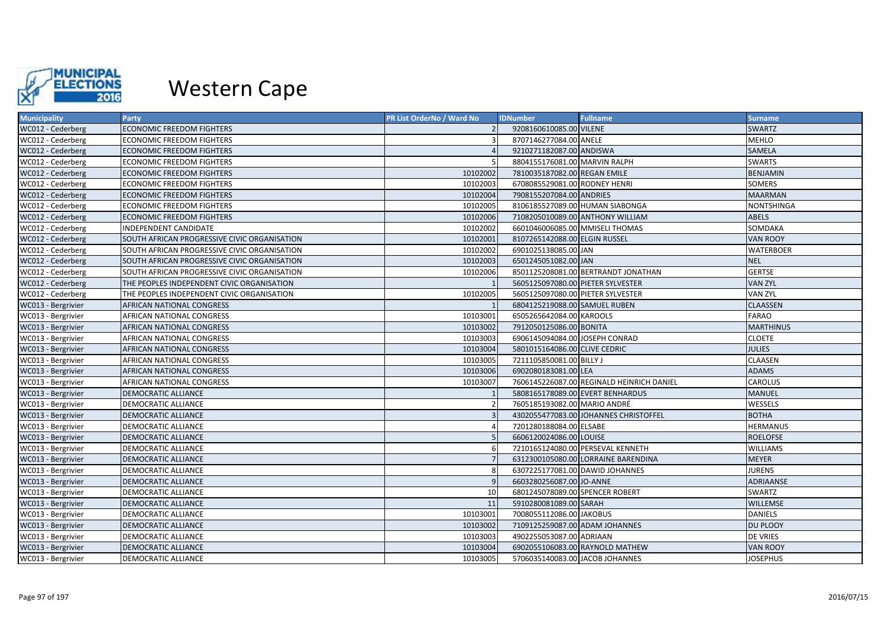

| <b>Municipality</b> | Party                                        | <b>PR List OrderNo / Ward No</b> | <b>IDNumber</b>                   | <b>Fullname</b>                           | <b>Surname</b>    |
|---------------------|----------------------------------------------|----------------------------------|-----------------------------------|-------------------------------------------|-------------------|
| WC012 - Cederberg   | <b>ECONOMIC FREEDOM FIGHTERS</b>             |                                  | 9208160610085.00 VILENE           |                                           | <b>SWARTZ</b>     |
| WC012 - Cederberg   | <b>ECONOMIC FREEDOM FIGHTERS</b>             |                                  | 8707146277084.00 ANELE            |                                           | <b>MEHLO</b>      |
| WC012 - Cederberg   | <b>ECONOMIC FREEDOM FIGHTERS</b>             |                                  | 9210271182087.00 ANDISWA          |                                           | <b>SAMELA</b>     |
| WC012 - Cederberg   | <b>ECONOMIC FREEDOM FIGHTERS</b>             |                                  | 8804155176081.00 MARVIN RALPH     |                                           | <b>SWARTS</b>     |
| WC012 - Cederberg   | <b>ECONOMIC FREEDOM FIGHTERS</b>             | 10102002                         | 7810035187082.00 REGAN EMILE      |                                           | <b>BENJAMIN</b>   |
| WC012 - Cederberg   | <b>ECONOMIC FREEDOM FIGHTERS</b>             | 10102003                         | 6708085529081.00 RODNEY HENRI     |                                           | <b>SOMERS</b>     |
| WC012 - Cederberg   | <b>ECONOMIC FREEDOM FIGHTERS</b>             | 10102004                         | 7908155207084.00 ANDRIES          |                                           | <b>MAARMAN</b>    |
| WC012 - Cederberg   | <b>ECONOMIC FREEDOM FIGHTERS</b>             | 10102005                         | 8106185527089.00 HUMAN SIABONGA   |                                           | <b>NONTSHINGA</b> |
| WC012 - Cederberg   | <b>ECONOMIC FREEDOM FIGHTERS</b>             | 10102006                         |                                   | 7108205010089.00 ANTHONY WILLIAM          | <b>ABELS</b>      |
| WC012 - Cederberg   | INDEPENDENT CANDIDATE                        | 10102002                         | 6601046006085.00 MMISELI THOMAS   |                                           | SOMDAKA           |
| WC012 - Cederberg   | SOUTH AFRICAN PROGRESSIVE CIVIC ORGANISATION | 10102001                         | 8107265142088.00 ELGIN RUSSEL     |                                           | <b>VAN ROOY</b>   |
| WC012 - Cederberg   | SOUTH AFRICAN PROGRESSIVE CIVIC ORGANISATION | 10102002                         | 6901025138085.00 JAN              |                                           | <b>WATERBOER</b>  |
| WC012 - Cederberg   | SOUTH AFRICAN PROGRESSIVE CIVIC ORGANISATION | 10102003                         | 6501245051082.00 JAN              |                                           | <b>NEL</b>        |
| WC012 - Cederberg   | SOUTH AFRICAN PROGRESSIVE CIVIC ORGANISATION | 10102006                         |                                   | 8501125208081.00 BERTRANDT JONATHAN       | <b>GERTSE</b>     |
| WC012 - Cederberg   | THE PEOPLES INDEPENDENT CIVIC ORGANISATION   |                                  | 5605125097080.00 PIETER SYLVESTER |                                           | <b>VAN ZYL</b>    |
| WC012 - Cederberg   | THE PEOPLES INDEPENDENT CIVIC ORGANISATION   | 10102005                         | 5605125097080.00 PIETER SYLVESTER |                                           | <b>VAN ZYL</b>    |
| WC013 - Bergrivier  | AFRICAN NATIONAL CONGRESS                    |                                  | 6804125219088.00 SAMUEL RUBEN     |                                           | <b>CLAASSEN</b>   |
| WC013 - Bergrivier  | AFRICAN NATIONAL CONGRESS                    | 10103001                         | 6505265642084.00 KAROOLS          |                                           | <b>FARAO</b>      |
| WC013 - Bergrivier  | AFRICAN NATIONAL CONGRESS                    | 10103002                         | 7912050125086.00 BONITA           |                                           | <b>MARTHINUS</b>  |
| WC013 - Bergrivier  | AFRICAN NATIONAL CONGRESS                    | 10103003                         | 6906145094084.00 JOSEPH CONRAD    |                                           | <b>CLOETE</b>     |
| WC013 - Bergrivier  | AFRICAN NATIONAL CONGRESS                    | 10103004                         | 5801015164086.00 CLIVE CEDRIC     |                                           | <b>JULIES</b>     |
| WC013 - Bergrivier  | AFRICAN NATIONAL CONGRESS                    | 10103005                         | 7211105850081.00 BILLY J          |                                           | <b>CLAASEN</b>    |
| WC013 - Bergrivier  | AFRICAN NATIONAL CONGRESS                    | 10103006                         | 6902080183081.00 LEA              |                                           | <b>ADAMS</b>      |
| WC013 - Bergrivier  | AFRICAN NATIONAL CONGRESS                    | 10103007                         |                                   | 7606145226087.00 REGINALD HEINRICH DANIEL | <b>CAROLUS</b>    |
| WC013 - Bergrivier  | <b>DEMOCRATIC ALLIANCE</b>                   |                                  |                                   | 5808165178089.00 EVERT BENHARDUS          | <b>MANUEL</b>     |
| WC013 - Bergrivier  | DEMOCRATIC ALLIANCE                          |                                  | 7605185193082.00 MARIO ANDRÉ      |                                           | WESSELS           |
| WC013 - Bergrivier  | <b>DEMOCRATIC ALLIANCE</b>                   |                                  |                                   | 4302055477083.00 JOHANNES CHRISTOFFEL     | <b>BOTHA</b>      |
| WC013 - Bergrivier  | DEMOCRATIC ALLIANCE                          |                                  | 7201280188084.00 ELSABE           |                                           | <b>HERMANUS</b>   |
| WC013 - Bergrivier  | DEMOCRATIC ALLIANCE                          |                                  | 6606120024086.00 LOUISE           |                                           | <b>ROELOFSE</b>   |
| WC013 - Bergrivier  | DEMOCRATIC ALLIANCE                          |                                  |                                   | 7210165124080.00 PERSEVAL KENNETH         | <b>WILLIAMS</b>   |
| WC013 - Bergrivier  | <b>DEMOCRATIC ALLIANCE</b>                   |                                  |                                   | 6312300105080.00 LORRAINE BARENDINA       | <b>MEYER</b>      |
| WC013 - Bergrivier  | DEMOCRATIC ALLIANCE                          |                                  | 6307225177081.00 DAWID JOHANNES   |                                           | <b>JURENS</b>     |
| WC013 - Bergrivier  | <b>DEMOCRATIC ALLIANCE</b>                   |                                  | 6603280256087.00 JO-ANNE          |                                           | ADRIAANSE         |
| WC013 - Bergrivier  | DEMOCRATIC ALLIANCE                          | 10                               | 6801245078089.00 SPENCER ROBERT   |                                           | SWARTZ            |
| WC013 - Bergrivier  | DEMOCRATIC ALLIANCE                          | 11                               | 5910280081089.00 SARAH            |                                           | WILLEMSE          |
| WC013 - Bergrivier  | DEMOCRATIC ALLIANCE                          | 10103001                         | 7008055112086.00 JAKOBUS          |                                           | <b>DANIELS</b>    |
| WC013 - Bergrivier  | <b>DEMOCRATIC ALLIANCE</b>                   | 10103002                         | 7109125259087.00 ADAM JOHANNES    |                                           | DU PLOOY          |
| WC013 - Bergrivier  | DEMOCRATIC ALLIANCE                          | 10103003                         | 4902255053087.00 ADRIAAN          |                                           | <b>DE VRIES</b>   |
| WC013 - Bergrivier  | <b>DEMOCRATIC ALLIANCE</b>                   | 10103004                         |                                   | 6902055106083.00 RAYNOLD MATHEW           | <b>VAN ROOY</b>   |
| WC013 - Bergrivier  | DEMOCRATIC ALLIANCE                          | 10103005                         | 5706035140083.00 JACOB JOHANNES   |                                           | <b>JOSEPHUS</b>   |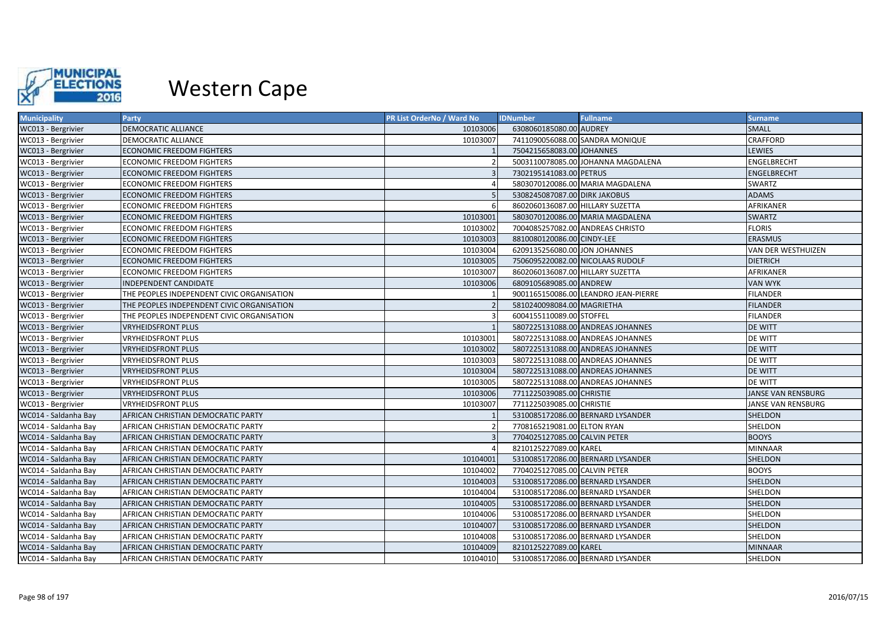

| <b>Municipality</b>  | Party                                      | <b>PR List OrderNo / Ward No</b> | <b>IDNumber</b>                  | <b>Fullname</b>                      | <b>Surname</b>     |
|----------------------|--------------------------------------------|----------------------------------|----------------------------------|--------------------------------------|--------------------|
| WC013 - Bergrivier   | <b>DEMOCRATIC ALLIANCE</b>                 | 10103006                         | 6308060185080.00 AUDREY          |                                      | <b>SMALL</b>       |
| WC013 - Bergrivier   | DEMOCRATIC ALLIANCE                        | 10103007                         | 7411090056088.00 SANDRA MONIQUE  |                                      | <b>CRAFFORD</b>    |
| WC013 - Bergrivier   | <b>ECONOMIC FREEDOM FIGHTERS</b>           |                                  | 7504215658083.00 JOHANNES        |                                      | LEWIES             |
| WC013 - Bergrivier   | <b>ECONOMIC FREEDOM FIGHTERS</b>           |                                  |                                  | 5003110078085.00 JOHANNA MAGDALENA   | <b>ENGELBRECHT</b> |
| WC013 - Bergrivier   | <b>ECONOMIC FREEDOM FIGHTERS</b>           |                                  | 7302195141083.00 PETRUS          |                                      | <b>ENGELBRECHT</b> |
| WC013 - Bergrivier   | <b>ECONOMIC FREEDOM FIGHTERS</b>           |                                  |                                  | 5803070120086.00 MARIA MAGDALENA     | SWARTZ             |
| WC013 - Bergrivier   | <b>ECONOMIC FREEDOM FIGHTERS</b>           |                                  | 5308245087087.00 DIRK JAKOBUS    |                                      | <b>ADAMS</b>       |
| WC013 - Bergrivier   | <b>ECONOMIC FREEDOM FIGHTERS</b>           |                                  | 8602060136087.00 HILLARY SUZETTA |                                      | AFRIKANER          |
| WC013 - Bergrivier   | <b>ECONOMIC FREEDOM FIGHTERS</b>           | 10103001                         |                                  | 5803070120086.00 MARIA MAGDALENA     | SWARTZ             |
| WC013 - Bergrivier   | <b>ECONOMIC FREEDOM FIGHTERS</b>           | 10103002                         | 7004085257082.00 ANDREAS CHRISTO |                                      | <b>FLORIS</b>      |
| WC013 - Bergrivier   | <b>ECONOMIC FREEDOM FIGHTERS</b>           | 10103003                         | 8810080120086.00 CINDY-LEE       |                                      | <b>ERASMUS</b>     |
| WC013 - Bergrivier   | <b>ECONOMIC FREEDOM FIGHTERS</b>           | 10103004                         | 6209135256080.00 JON JOHANNES    |                                      | VAN DER WESTHUIZEN |
| WC013 - Bergrivier   | <b>ECONOMIC FREEDOM FIGHTERS</b>           | 10103005                         | 7506095220082.00 NICOLAAS RUDOLF |                                      | <b>DIETRICH</b>    |
| WC013 - Bergrivier   | <b>ECONOMIC FREEDOM FIGHTERS</b>           | 10103007                         | 8602060136087.00 HILLARY SUZETTA |                                      | AFRIKANER          |
| WC013 - Bergrivier   | INDEPENDENT CANDIDATE                      | 10103006                         | 6809105689085.00 ANDREW          |                                      | <b>VAN WYK</b>     |
| WC013 - Bergrivier   | THE PEOPLES INDEPENDENT CIVIC ORGANISATION |                                  |                                  | 9001165150086.00 LEANDRO JEAN-PIERRE | <b>FILANDER</b>    |
| WC013 - Bergrivier   | THE PEOPLES INDEPENDENT CIVIC ORGANISATION |                                  | 5810240098084.00 MAGRIETHA       |                                      | <b>FILANDER</b>    |
| WC013 - Bergrivier   | THE PEOPLES INDEPENDENT CIVIC ORGANISATION |                                  | 6004155110089.00 STOFFEL         |                                      | <b>FILANDER</b>    |
| WC013 - Bergrivier   | <b>VRYHEIDSFRONT PLUS</b>                  |                                  |                                  | 5807225131088.00 ANDREAS JOHANNES    | DE WITT            |
| WC013 - Bergrivier   | <b>VRYHEIDSFRONT PLUS</b>                  | 10103001                         |                                  | 5807225131088.00 ANDREAS JOHANNES    | DE WITT            |
| WC013 - Bergrivier   | VRYHEIDSFRONT PLUS                         | 10103002                         |                                  | 5807225131088.00 ANDREAS JOHANNES    | DE WITT            |
| WC013 - Bergrivier   | <b>VRYHEIDSFRONT PLUS</b>                  | 10103003                         |                                  | 5807225131088.00 ANDREAS JOHANNES    | <b>DE WITT</b>     |
| WC013 - Bergrivier   | <b>VRYHEIDSFRONT PLUS</b>                  | 10103004                         |                                  | 5807225131088.00 ANDREAS JOHANNES    | <b>DE WITT</b>     |
| WC013 - Bergrivier   | <b>VRYHEIDSFRONT PLUS</b>                  | 10103005                         |                                  | 5807225131088.00 ANDREAS JOHANNES    | DE WITT            |
| WC013 - Bergrivier   | <b>VRYHEIDSFRONT PLUS</b>                  | 10103006                         | 7711225039085.00 CHRISTIE        |                                      | JANSE VAN RENSBURG |
| WC013 - Bergrivier   | VRYHEIDSFRONT PLUS                         | 10103007                         | 7711225039085.00 CHRISTIE        |                                      | JANSE VAN RENSBURG |
| WC014 - Saldanha Bay | AFRICAN CHRISTIAN DEMOCRATIC PARTY         |                                  |                                  | 5310085172086.00 BERNARD LYSANDER    | SHELDON            |
| WC014 - Saldanha Bay | AFRICAN CHRISTIAN DEMOCRATIC PARTY         |                                  | 7708165219081.00 ELTON RYAN      |                                      | SHELDON            |
| WC014 - Saldanha Bay | AFRICAN CHRISTIAN DEMOCRATIC PARTY         |                                  | 7704025127085.00 CALVIN PETER    |                                      | <b>BOOYS</b>       |
| WC014 - Saldanha Bay | AFRICAN CHRISTIAN DEMOCRATIC PARTY         |                                  | 8210125227089.00 KAREL           |                                      | <b>MINNAAR</b>     |
| WC014 - Saldanha Bay | AFRICAN CHRISTIAN DEMOCRATIC PARTY         | 10104001                         |                                  | 5310085172086.00 BERNARD LYSANDER    | SHELDON            |
| WC014 - Saldanha Bay | AFRICAN CHRISTIAN DEMOCRATIC PARTY         | 10104002                         | 7704025127085.00 CALVIN PETER    |                                      | <b>BOOYS</b>       |
| WC014 - Saldanha Bay | AFRICAN CHRISTIAN DEMOCRATIC PARTY         | 10104003                         |                                  | 5310085172086.00 BERNARD LYSANDER    | <b>SHELDON</b>     |
| WC014 - Saldanha Bay | AFRICAN CHRISTIAN DEMOCRATIC PARTY         | 10104004                         |                                  | 5310085172086.00 BERNARD LYSANDER    | SHELDON            |
| WC014 - Saldanha Bay | AFRICAN CHRISTIAN DEMOCRATIC PARTY         | 10104005                         |                                  | 5310085172086.00 BERNARD LYSANDER    | <b>SHELDON</b>     |
| WC014 - Saldanha Bay | AFRICAN CHRISTIAN DEMOCRATIC PARTY         | 10104006                         |                                  | 5310085172086.00 BERNARD LYSANDER    | SHELDON            |
| WC014 - Saldanha Bay | AFRICAN CHRISTIAN DEMOCRATIC PARTY         | 10104007                         |                                  | 5310085172086.00 BERNARD LYSANDER    | SHELDON            |
| WC014 - Saldanha Bay | AFRICAN CHRISTIAN DEMOCRATIC PARTY         | 10104008                         |                                  | 5310085172086.00 BERNARD LYSANDER    | SHELDON            |
| WC014 - Saldanha Bay | AFRICAN CHRISTIAN DEMOCRATIC PARTY         | 10104009                         | 8210125227089.00 KAREL           |                                      | <b>MINNAAR</b>     |
| WC014 - Saldanha Bay | AFRICAN CHRISTIAN DEMOCRATIC PARTY         | 10104010                         |                                  | 5310085172086.00 BERNARD LYSANDER    | SHELDON            |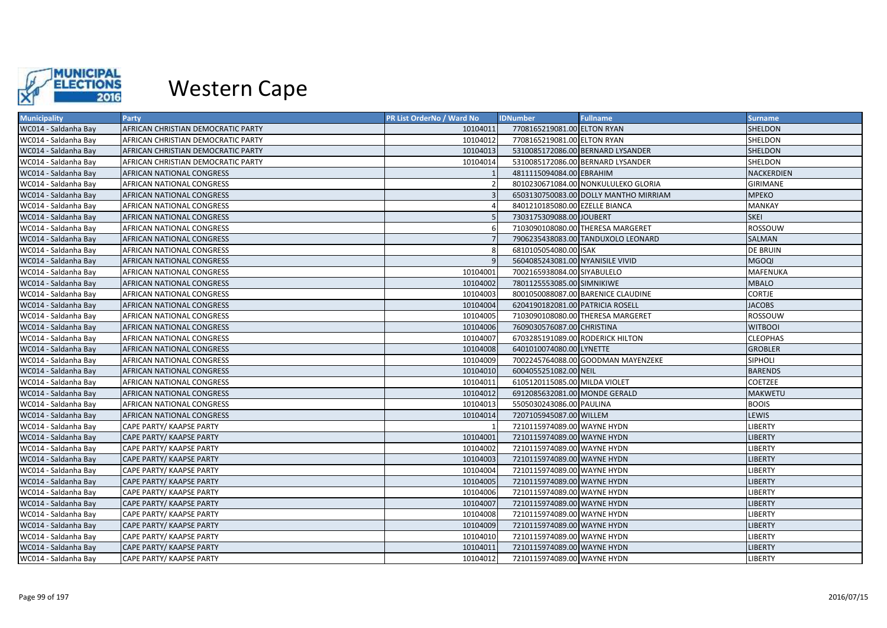

| <b>Municipality</b>  | <b>Party</b>                       | <b>PR List OrderNo / Ward No</b> | <b>IDNumber</b><br><b>Fullname</b>    | <b>Surname</b>    |
|----------------------|------------------------------------|----------------------------------|---------------------------------------|-------------------|
| WC014 - Saldanha Bay | AFRICAN CHRISTIAN DEMOCRATIC PARTY | 10104011                         | 7708165219081.00 ELTON RYAN           | <b>SHELDON</b>    |
| WC014 - Saldanha Bay | AFRICAN CHRISTIAN DEMOCRATIC PARTY | 10104012                         | 7708165219081.00 ELTON RYAN           | SHELDON           |
| WC014 - Saldanha Bay | AFRICAN CHRISTIAN DEMOCRATIC PARTY | 10104013                         | 5310085172086.00 BERNARD LYSANDER     | SHELDON           |
| WC014 - Saldanha Bay | AFRICAN CHRISTIAN DEMOCRATIC PARTY | 10104014                         | 5310085172086.00 BERNARD LYSANDER     | SHELDON           |
| WC014 - Saldanha Bay | AFRICAN NATIONAL CONGRESS          |                                  | 4811115094084.00 EBRAHIM              | <b>NACKERDIEN</b> |
| WC014 - Saldanha Bay | AFRICAN NATIONAL CONGRESS          |                                  | 8010230671084.00 NONKULULEKO GLORIA   | <b>GIRIMANE</b>   |
| WC014 - Saldanha Bay | AFRICAN NATIONAL CONGRESS          |                                  | 6503130750083.00 DOLLY MANTHO MIRRIAM | <b>MPEKO</b>      |
| WC014 - Saldanha Bay | AFRICAN NATIONAL CONGRESS          |                                  | 8401210185080.00 EZELLE BIANCA        | <b>MANKAY</b>     |
| WC014 - Saldanha Bay | AFRICAN NATIONAL CONGRESS          |                                  | 7303175309088.00 JOUBERT              | <b>SKEI</b>       |
| WC014 - Saldanha Bay | AFRICAN NATIONAL CONGRESS          |                                  | 7103090108080.00 THERESA MARGERET     | ROSSOUW           |
| WC014 - Saldanha Bay | AFRICAN NATIONAL CONGRESS          |                                  | 7906235438083.00 TANDUXOLO LEONARD    | SALMAN            |
| WC014 - Saldanha Bay | AFRICAN NATIONAL CONGRESS          |                                  | 6810105054080.00 ISAK                 | <b>DE BRUIN</b>   |
| WC014 - Saldanha Bay | AFRICAN NATIONAL CONGRESS          |                                  | 5604085243081.00 NYANISILE VIVID      | <b>MGOQI</b>      |
| WC014 - Saldanha Bay | AFRICAN NATIONAL CONGRESS          | 10104001                         | 7002165938084.00 SIYABULELO           | <b>MAFENUKA</b>   |
| WC014 - Saldanha Bay | AFRICAN NATIONAL CONGRESS          | 10104002                         | 7801125553085.00 SIMNIKIWE            | <b>MBALO</b>      |
| WC014 - Saldanha Bay | AFRICAN NATIONAL CONGRESS          | 10104003                         | 8001050088087.00 BARENICE CLAUDINE    | <b>CORTJE</b>     |
| WC014 - Saldanha Bay | AFRICAN NATIONAL CONGRESS          | 10104004                         | 6204190182081.00 PATRICIA ROSELL      | <b>JACOBS</b>     |
| WC014 - Saldanha Bay | AFRICAN NATIONAL CONGRESS          | 10104005                         | 7103090108080.00 THERESA MARGERET     | ROSSOUW           |
| WC014 - Saldanha Bay | AFRICAN NATIONAL CONGRESS          | 10104006                         | 7609030576087.00 CHRISTINA            | <b>WITBOOI</b>    |
| WC014 - Saldanha Bay | AFRICAN NATIONAL CONGRESS          | 10104007                         | 6703285191089.00 RODERICK HILTON      | <b>CLEOPHAS</b>   |
| WC014 - Saldanha Bay | AFRICAN NATIONAL CONGRESS          | 10104008                         | 6401010074080.00 LYNETTE              | <b>GROBLER</b>    |
| WC014 - Saldanha Bay | AFRICAN NATIONAL CONGRESS          | 10104009                         | 7002245764088.00 GOODMAN MAYENZEKE    | SIPHOLI           |
| WC014 - Saldanha Bay | AFRICAN NATIONAL CONGRESS          | 10104010                         | 6004055251082.00 NEIL                 | <b>BARENDS</b>    |
| WC014 - Saldanha Bay | AFRICAN NATIONAL CONGRESS          | 10104011                         | 6105120115085.00 MILDA VIOLET         | <b>COETZEE</b>    |
| WC014 - Saldanha Bay | AFRICAN NATIONAL CONGRESS          | 10104012                         | 6912085632081.00 MONDE GERALD         | <b>MAKWETU</b>    |
| WC014 - Saldanha Bay | AFRICAN NATIONAL CONGRESS          | 10104013                         | 5505030243086.00 PAULINA              | <b>BOOIS</b>      |
| WC014 - Saldanha Bay | AFRICAN NATIONAL CONGRESS          | 10104014                         | 7207105945087.00 WILLEM               | LEWIS             |
| WC014 - Saldanha Bay | CAPE PARTY/ KAAPSE PARTY           |                                  | 7210115974089.00 WAYNE HYDN           | <b>LIBERTY</b>    |
| WC014 - Saldanha Bay | CAPE PARTY/ KAAPSE PARTY           | 10104001                         | 7210115974089.00 WAYNE HYDN           | <b>LIBERTY</b>    |
| WC014 - Saldanha Bay | CAPE PARTY/ KAAPSE PARTY           | 10104002                         | 7210115974089.00 WAYNE HYDN           | LIBERTY           |
| WC014 - Saldanha Bay | CAPE PARTY/ KAAPSE PARTY           | 10104003                         | 7210115974089.00 WAYNE HYDN           | <b>LIBERTY</b>    |
| WC014 - Saldanha Bay | CAPE PARTY/ KAAPSE PARTY           | 10104004                         | 7210115974089.00 WAYNE HYDN           | <b>LIBERTY</b>    |
| WC014 - Saldanha Bay | CAPE PARTY/ KAAPSE PARTY           | 10104005                         | 7210115974089.00 WAYNE HYDN           | <b>LIBERTY</b>    |
| WC014 - Saldanha Bay | CAPE PARTY/ KAAPSE PARTY           | 10104006                         | 7210115974089.00 WAYNE HYDN           | LIBERTY           |
| WC014 - Saldanha Bay | CAPE PARTY/ KAAPSE PARTY           | 10104007                         | 7210115974089.00 WAYNE HYDN           | <b>LIBERTY</b>    |
| WC014 - Saldanha Bay | CAPE PARTY/ KAAPSE PARTY           | 10104008                         | 7210115974089.00 WAYNE HYDN           | LIBERTY           |
| WC014 - Saldanha Bay | CAPE PARTY/ KAAPSE PARTY           | 10104009                         | 7210115974089.00 WAYNE HYDN           | <b>LIBERTY</b>    |
| WC014 - Saldanha Bay | CAPE PARTY/ KAAPSE PARTY           | 10104010                         | 7210115974089.00 WAYNE HYDN           | LIBERTY           |
| WC014 - Saldanha Bay | CAPE PARTY/ KAAPSE PARTY           | 10104011                         | 7210115974089.00 WAYNE HYDN           | <b>LIBERTY</b>    |
| WC014 - Saldanha Bay | CAPE PARTY/ KAAPSE PARTY           | 10104012                         | 7210115974089.00 WAYNE HYDN           | <b>LIBERTY</b>    |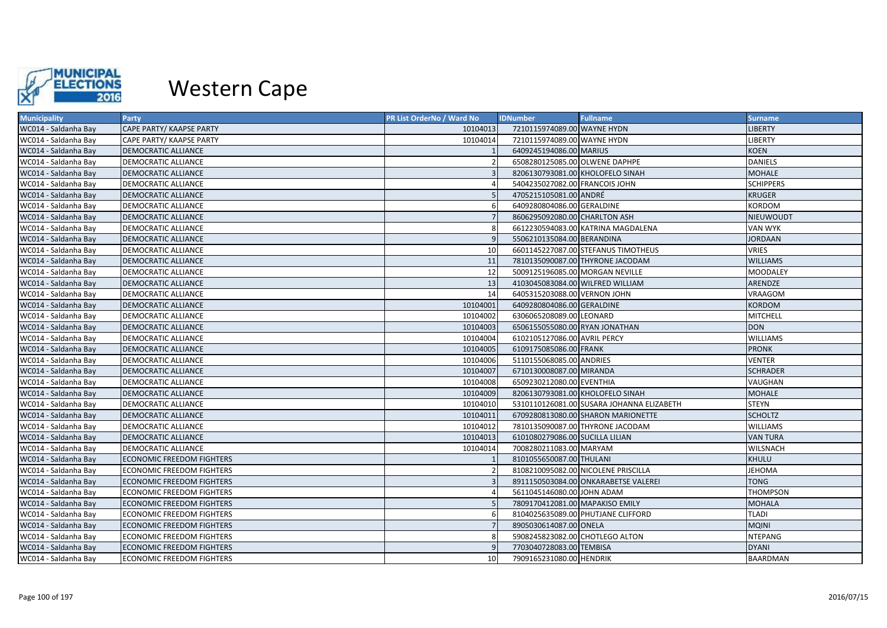

| <b>Municipality</b>  | Party                            | <b>PR List OrderNo / Ward No</b> | <b>IDNumber</b>                  | <b>Fullname</b>                           | <b>Surname</b>   |
|----------------------|----------------------------------|----------------------------------|----------------------------------|-------------------------------------------|------------------|
| WC014 - Saldanha Bay | CAPE PARTY/ KAAPSE PARTY         | 10104013                         | 7210115974089.00 WAYNE HYDN      |                                           | <b>LIBERTY</b>   |
| WC014 - Saldanha Bay | CAPE PARTY/ KAAPSE PARTY         | 10104014                         | 7210115974089.00 WAYNE HYDN      |                                           | <b>LIBERTY</b>   |
| WC014 - Saldanha Bay | <b>DEMOCRATIC ALLIANCE</b>       |                                  | 6409245194086.00 MARIUS          |                                           | <b>KOEN</b>      |
| WC014 - Saldanha Bay | DEMOCRATIC ALLIANCE              |                                  | 6508280125085.00 OLWENE DAPHPE   |                                           | <b>DANIELS</b>   |
| WC014 - Saldanha Bay | DEMOCRATIC ALLIANCE              |                                  | 8206130793081.00 KHOLOFELO SINAH |                                           | <b>MOHALE</b>    |
| WC014 - Saldanha Bay | DEMOCRATIC ALLIANCE              |                                  | 5404235027082.00 FRANCOIS JOHN   |                                           | <b>SCHIPPERS</b> |
| WC014 - Saldanha Bay | <b>DEMOCRATIC ALLIANCE</b>       |                                  | 4705215105081.00 ANDRÉ           |                                           | <b>KRUGER</b>    |
| WC014 - Saldanha Bay | DEMOCRATIC ALLIANCE              |                                  | 6409280804086.00 GERALDINE       |                                           | <b>KORDOM</b>    |
| WC014 - Saldanha Bay | DEMOCRATIC ALLIANCE              |                                  | 8606295092080.00 CHARLTON ASH    |                                           | NIEUWOUDT        |
| WC014 - Saldanha Bay | DEMOCRATIC ALLIANCE              |                                  |                                  | 6612230594083.00 KATRINA MAGDALENA        | <b>VAN WYK</b>   |
| WC014 - Saldanha Bay | DEMOCRATIC ALLIANCE              |                                  | 5506210135084.00 BERANDINA       |                                           | <b>JORDAAN</b>   |
| WC014 - Saldanha Bay | DEMOCRATIC ALLIANCE              | 10                               |                                  | 6601145227087.00 STEFANUS TIMOTHEUS       | <b>VRIES</b>     |
| WC014 - Saldanha Bay | <b>DEMOCRATIC ALLIANCE</b>       | 11                               |                                  | 7810135090087.00 THYRONE JACODAM          | <b>WILLIAMS</b>  |
| WC014 - Saldanha Bay | DEMOCRATIC ALLIANCE              | 12                               | 5009125196085.00 MORGAN NEVILLE  |                                           | <b>MOODALEY</b>  |
| WC014 - Saldanha Bay | DEMOCRATIC ALLIANCE              | 13                               | 4103045083084.00 WILFRED WILLIAM |                                           | ARENDZE          |
| WC014 - Saldanha Bay | DEMOCRATIC ALLIANCE              | 14                               | 6405315203088.00 VERNON JOHN     |                                           | <b>VRAAGOM</b>   |
| WC014 - Saldanha Bay | <b>DEMOCRATIC ALLIANCE</b>       | 10104001                         | 6409280804086.00 GERALDINE       |                                           | <b>KORDOM</b>    |
| WC014 - Saldanha Bay | DEMOCRATIC ALLIANCE              | 10104002                         | 6306065208089.00 LEONARD         |                                           | <b>MITCHELL</b>  |
| WC014 - Saldanha Bay | <b>DEMOCRATIC ALLIANCE</b>       | 10104003                         | 6506155055080.00 RYAN JONATHAN   |                                           | <b>DON</b>       |
| WC014 - Saldanha Bay | DEMOCRATIC ALLIANCE              | 10104004                         | 6102105127086.00 AVRIL PERCY     |                                           | <b>WILLIAMS</b>  |
| WC014 - Saldanha Bay | DEMOCRATIC ALLIANCE              | 10104005                         | 6109175085086.00 FRANK           |                                           | <b>PRONK</b>     |
| WC014 - Saldanha Bay | DEMOCRATIC ALLIANCE              | 10104006                         | 5110155068085.00 ANDRIES         |                                           | <b>VENTER</b>    |
| WC014 - Saldanha Bay | <b>DEMOCRATIC ALLIANCE</b>       | 10104007                         | 6710130008087.00 MIRANDA         |                                           | <b>SCHRADER</b>  |
| WC014 - Saldanha Bay | DEMOCRATIC ALLIANCE              | 10104008                         | 6509230212080.00 EVENTHIA        |                                           | VAUGHAN          |
| WC014 - Saldanha Bay | <b>DEMOCRATIC ALLIANCE</b>       | 10104009                         | 8206130793081.00 KHOLOFELO SINAH |                                           | <b>MOHALE</b>    |
| WC014 - Saldanha Bay | DEMOCRATIC ALLIANCE              | 10104010                         |                                  | 5310110126081.00 SUSARA JOHANNA ELIZABETH | <b>STEYN</b>     |
| WC014 - Saldanha Bay | DEMOCRATIC ALLIANCE              | 10104011                         |                                  | 6709280813080.00 SHARON MARIONETTE        | <b>SCHOLTZ</b>   |
| WC014 - Saldanha Bay | DEMOCRATIC ALLIANCE              | 10104012                         |                                  | 7810135090087.00 THYRONE JACODAM          | <b>WILLIAMS</b>  |
| WC014 - Saldanha Bay | <b>DEMOCRATIC ALLIANCE</b>       | 10104013                         | 6101080279086.00 SUCILLA LILIAN  |                                           | <b>VAN TURA</b>  |
| WC014 - Saldanha Bay | DEMOCRATIC ALLIANCE              | 10104014                         | 7008280211083.00 MARYAM          |                                           | <b>WILSNACH</b>  |
| WC014 - Saldanha Bay | <b>ECONOMIC FREEDOM FIGHTERS</b> |                                  | 8101055650087.00 THULANI         |                                           | <b>KHULU</b>     |
| WC014 - Saldanha Bay | <b>ECONOMIC FREEDOM FIGHTERS</b> |                                  |                                  | 8108210095082.00 NICOLENE PRISCILLA       | <b>JEHOMA</b>    |
| WC014 - Saldanha Bay | <b>ECONOMIC FREEDOM FIGHTERS</b> |                                  |                                  | 8911150503084.00 ONKARABETSE VALEREI      | <b>TONG</b>      |
| WC014 - Saldanha Bay | <b>ECONOMIC FREEDOM FIGHTERS</b> |                                  | 5611045146080.00 JOHN ADAM       |                                           | <b>THOMPSON</b>  |
| WC014 - Saldanha Bay | <b>ECONOMIC FREEDOM FIGHTERS</b> |                                  | 7809170412081.00 MAPAKISO EMILY  |                                           | <b>MOHALA</b>    |
| WC014 - Saldanha Bay | <b>ECONOMIC FREEDOM FIGHTERS</b> |                                  |                                  | 8104025635089.00 PHUTJANE CLIFFORD        | TLADI            |
| WC014 - Saldanha Bay | <b>ECONOMIC FREEDOM FIGHTERS</b> |                                  | 8905030614087.00 ONELA           |                                           | <b>MQINI</b>     |
| WC014 - Saldanha Bay | <b>ECONOMIC FREEDOM FIGHTERS</b> |                                  | 5908245823082.00 CHOTLEGO ALTON  |                                           | <b>NTEPANG</b>   |
| WC014 - Saldanha Bay | <b>ECONOMIC FREEDOM FIGHTERS</b> |                                  | 7703040728083.00 TEMBISA         |                                           | <b>DYANI</b>     |
| WC014 - Saldanha Bay | <b>ECONOMIC FREEDOM FIGHTERS</b> | 10                               | 7909165231080.00 HENDRIK         |                                           | <b>BAARDMAN</b>  |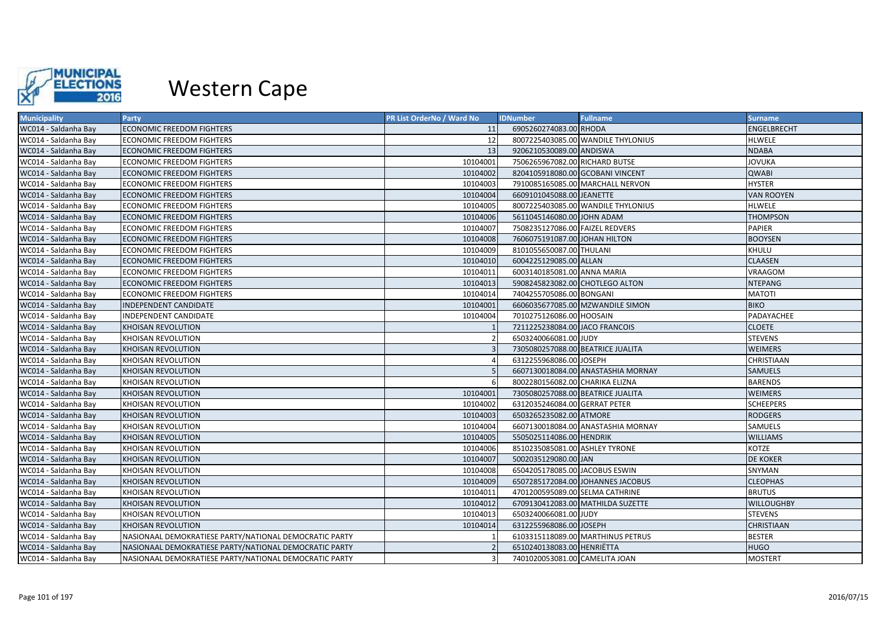

| <b>Municipality</b>  | <b>Party</b>                                           | <b>PR List OrderNo / Ward No</b> | <b>IDNumber</b>                   | <b>Fullname</b>                    | <b>Surname</b>     |
|----------------------|--------------------------------------------------------|----------------------------------|-----------------------------------|------------------------------------|--------------------|
| WC014 - Saldanha Bay | <b>ECONOMIC FREEDOM FIGHTERS</b>                       | 11                               | 6905260274083.00 RHODA            |                                    | <b>ENGELBRECHT</b> |
| WC014 - Saldanha Bay | <b>ECONOMIC FREEDOM FIGHTERS</b>                       | 12                               |                                   | 8007225403085.00 WANDILE THYLONIUS | <b>HLWELE</b>      |
| WC014 - Saldanha Bay | <b>ECONOMIC FREEDOM FIGHTERS</b>                       | 13                               | 9206210530089.00 ANDISWA          |                                    | <b>NDABA</b>       |
| WC014 - Saldanha Bay | <b>ECONOMIC FREEDOM FIGHTERS</b>                       | 10104001                         | 7506265967082.00 RICHARD BUTSE    |                                    | <b>JOVUKA</b>      |
| WC014 - Saldanha Bay | <b>ECONOMIC FREEDOM FIGHTERS</b>                       | 10104002                         | 8204105918080.00 GCOBANI VINCENT  |                                    | <b>QWABI</b>       |
| WC014 - Saldanha Bay | <b>ECONOMIC FREEDOM FIGHTERS</b>                       | 10104003                         |                                   | 7910085165085.00 MARCHALL NERVON   | <b>HYSTER</b>      |
| WC014 - Saldanha Bay | <b>ECONOMIC FREEDOM FIGHTERS</b>                       | 10104004                         | 6609101045088.00 JEANETTE         |                                    | <b>VAN ROOYEN</b>  |
| WC014 - Saldanha Bay | <b>ECONOMIC FREEDOM FIGHTERS</b>                       | 10104005                         |                                   | 8007225403085.00 WANDILE THYLONIUS | <b>HLWELE</b>      |
| WC014 - Saldanha Bay | <b>ECONOMIC FREEDOM FIGHTERS</b>                       | 10104006                         | 5611045146080.00 JOHN ADAM        |                                    | <b>THOMPSON</b>    |
| WC014 - Saldanha Bay | <b>ECONOMIC FREEDOM FIGHTERS</b>                       | 10104007                         | 7508235127086.00 FAIZEL REDVERS   |                                    | PAPIER             |
| WC014 - Saldanha Bay | <b>ECONOMIC FREEDOM FIGHTERS</b>                       | 10104008                         | 7606075191087.00 JOHAN HILTON     |                                    | <b>BOOYSEN</b>     |
| WC014 - Saldanha Bay | <b>ECONOMIC FREEDOM FIGHTERS</b>                       | 10104009                         | 8101055650087.00 THULANI          |                                    | KHULU              |
| WC014 - Saldanha Bay | <b>ECONOMIC FREEDOM FIGHTERS</b>                       | 10104010                         | 6004225129085.00 ALLAN            |                                    | <b>CLAASEN</b>     |
| WC014 - Saldanha Bay | <b>ECONOMIC FREEDOM FIGHTERS</b>                       | 10104011                         | 6003140185081.00 ANNA MARIA       |                                    | VRAAGOM            |
| WC014 - Saldanha Bay | ECONOMIC FREEDOM FIGHTERS                              | 10104013                         | 5908245823082.00 CHOTLEGO ALTON   |                                    | <b>NTEPANG</b>     |
| WC014 - Saldanha Bay | <b>ECONOMIC FREEDOM FIGHTERS</b>                       | 10104014                         | 7404255705086.00 BONGANI          |                                    | <b>MATOTI</b>      |
| WC014 - Saldanha Bay | <b>INDEPENDENT CANDIDATE</b>                           | 10104001                         |                                   | 6606035677085.00 MZWANDILE SIMON   | <b>BIKO</b>        |
| WC014 - Saldanha Bay | INDEPENDENT CANDIDATE                                  | 10104004                         | 7010275126086.00 HOOSAIN          |                                    | PADAYACHEE         |
| WC014 - Saldanha Bay | <b>KHOISAN REVOLUTION</b>                              |                                  | 7211225238084.00 JACO FRANCOIS    |                                    | <b>CLOETE</b>      |
| WC014 - Saldanha Bay | <b>KHOISAN REVOLUTION</b>                              |                                  | 6503240066081.00 JUDY             |                                    | <b>STEVENS</b>     |
| WC014 - Saldanha Bay | KHOISAN REVOLUTION                                     |                                  | 7305080257088.00 BEATRICE JUALITA |                                    | <b>WEIMERS</b>     |
| WC014 - Saldanha Bay | KHOISAN REVOLUTION                                     |                                  | 6312255968086.00 JOSEPH           |                                    | CHRISTIAAN         |
| WC014 - Saldanha Bay | <b>KHOISAN REVOLUTION</b>                              |                                  |                                   | 6607130018084.00 ANASTASHIA MORNAY | <b>SAMUELS</b>     |
| WC014 - Saldanha Bay | KHOISAN REVOLUTION                                     |                                  | 8002280156082.00 CHARIKA ELIZNA   |                                    | BARENDS            |
| WC014 - Saldanha Bay | KHOISAN REVOLUTION                                     | 10104001                         | 7305080257088.00 BEATRICE JUALITA |                                    | <b>WEIMERS</b>     |
| WC014 - Saldanha Bay | KHOISAN REVOLUTION                                     | 10104002                         | 6312035246084.00 GERRAT PETER     |                                    | <b>SCHEEPERS</b>   |
| WC014 - Saldanha Bay | <b>KHOISAN REVOLUTION</b>                              | 10104003                         | 6503265235082.00 ATMORE           |                                    | <b>RODGERS</b>     |
| WC014 - Saldanha Bay | KHOISAN REVOLUTION                                     | 10104004                         |                                   | 6607130018084.00 ANASTASHIA MORNAY | SAMUELS            |
| WC014 - Saldanha Bay | <b>KHOISAN REVOLUTION</b>                              | 10104005                         | 5505025114086.00 HENDRIK          |                                    | <b>WILLIAMS</b>    |
| WC014 - Saldanha Bay | <b>KHOISAN REVOLUTION</b>                              | 10104006                         | 8510235085081.00 ASHLEY TYRONE    |                                    | <b>KOTZE</b>       |
| WC014 - Saldanha Bay | <b>KHOISAN REVOLUTION</b>                              | 10104007                         | 5002035129080.00 JAN              |                                    | <b>DE KOKER</b>    |
| WC014 - Saldanha Bay | KHOISAN REVOLUTION                                     | 10104008                         | 6504205178085.00 JACOBUS ESWIN    |                                    | SNYMAN             |
| WC014 - Saldanha Bay | <b>KHOISAN REVOLUTION</b>                              | 10104009                         |                                   | 6507285172084.00 JOHANNES JACOBUS  | <b>CLEOPHAS</b>    |
| WC014 - Saldanha Bay | <b>KHOISAN REVOLUTION</b>                              | 10104011                         | 4701200595089.00 SELMA CATHRINE   |                                    | <b>BRUTUS</b>      |
| WC014 - Saldanha Bay | <b>KHOISAN REVOLUTION</b>                              | 10104012                         |                                   | 6709130412083.00 MATHILDA SUZETTE  | <b>WILLOUGHBY</b>  |
| WC014 - Saldanha Bay | KHOISAN REVOLUTION                                     | 10104013                         | 6503240066081.00 JUDY             |                                    | <b>STEVENS</b>     |
| WC014 - Saldanha Bay | <b>KHOISAN REVOLUTION</b>                              | 10104014                         | 6312255968086.00 JOSEPH           |                                    | <b>CHRISTIAAN</b>  |
| WC014 - Saldanha Bay | NASIONAAL DEMOKRATIESE PARTY/NATIONAL DEMOCRATIC PARTY |                                  |                                   | 6103315118089.00 MARTHINUS PETRUS  | <b>BESTER</b>      |
| WC014 - Saldanha Bay | NASIONAAL DEMOKRATIESE PARTY/NATIONAL DEMOCRATIC PARTY |                                  | 6510240138083.00 HENRIETTA        |                                    | <b>HUGO</b>        |
| WC014 - Saldanha Bay | NASIONAAL DEMOKRATIESE PARTY/NATIONAL DEMOCRATIC PARTY |                                  | 7401020053081.00 CAMELITA JOAN    |                                    | <b>MOSTERT</b>     |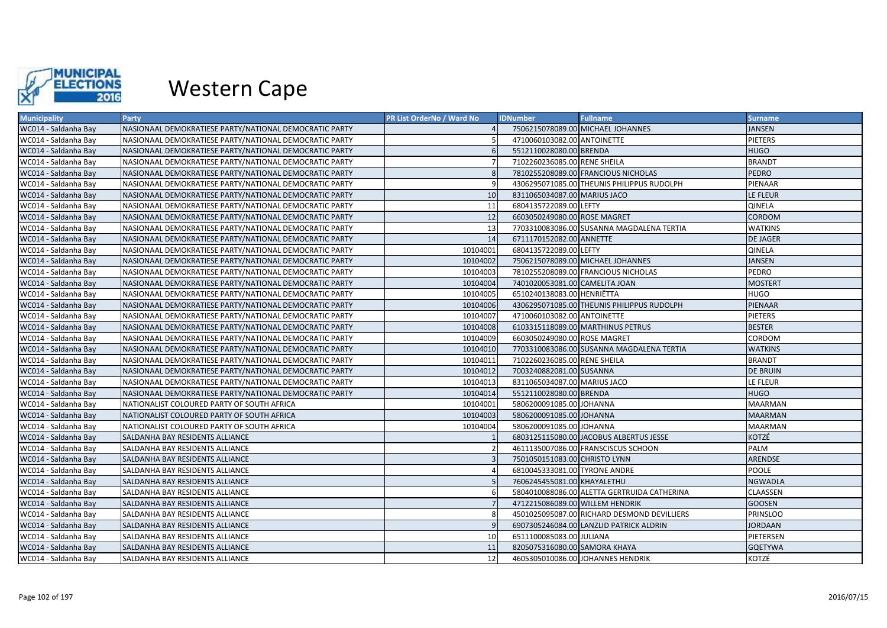

| <b>Municipality</b>  | Party                                                  | <b>PR List OrderNo / Ward No</b> | <b>IDNumber</b>                 | <b>Fullname</b>                             | <b>Surname</b>  |
|----------------------|--------------------------------------------------------|----------------------------------|---------------------------------|---------------------------------------------|-----------------|
| WC014 - Saldanha Bay | NASIONAAL DEMOKRATIESE PARTY/NATIONAL DEMOCRATIC PARTY |                                  |                                 | 7506215078089.00 MICHAEL JOHANNES           | <b>JANSEN</b>   |
| WC014 - Saldanha Bay | NASIONAAL DEMOKRATIESE PARTY/NATIONAL DEMOCRATIC PARTY |                                  | 4710060103082.00 ANTOINETTE     |                                             | <b>PIETERS</b>  |
| WC014 - Saldanha Bay | NASIONAAL DEMOKRATIESE PARTY/NATIONAL DEMOCRATIC PARTY |                                  | 5512110028080.00 BRENDA         |                                             | <b>HUGO</b>     |
| WC014 - Saldanha Bay | NASIONAAL DEMOKRATIESE PARTY/NATIONAL DEMOCRATIC PARTY |                                  | 7102260236085.00 RENE SHEILA    |                                             | <b>BRANDT</b>   |
| WC014 - Saldanha Bay | NASIONAAL DEMOKRATIESE PARTY/NATIONAL DEMOCRATIC PARTY |                                  |                                 | 7810255208089.00 FRANCIOUS NICHOLAS         | <b>PEDRO</b>    |
| WC014 - Saldanha Bay | NASIONAAL DEMOKRATIESE PARTY/NATIONAL DEMOCRATIC PARTY |                                  |                                 | 4306295071085.00 THEUNIS PHILIPPUS RUDOLPH  | PIENAAR         |
| WC014 - Saldanha Bay | NASIONAAL DEMOKRATIESE PARTY/NATIONAL DEMOCRATIC PARTY | 10                               | 8311065034087.00 MARIUS JACO    |                                             | LE FLEUR        |
| WC014 - Saldanha Bay | NASIONAAL DEMOKRATIESE PARTY/NATIONAL DEMOCRATIC PARTY | 11                               | 6804135722089.00 LEFTY          |                                             | <b>QINELA</b>   |
| WC014 - Saldanha Bay | NASIONAAL DEMOKRATIESE PARTY/NATIONAL DEMOCRATIC PARTY | 12                               | 6603050249080.00 ROSE MAGRET    |                                             | <b>CORDOM</b>   |
| WC014 - Saldanha Bay | NASIONAAL DEMOKRATIESE PARTY/NATIONAL DEMOCRATIC PARTY | 13                               |                                 | 7703310083086.00 SUSANNA MAGDALENA TERTIA   | <b>WATKINS</b>  |
| WC014 - Saldanha Bay | NASIONAAL DEMOKRATIESE PARTY/NATIONAL DEMOCRATIC PARTY | 14                               | 6711170152082.00 ANNETTE        |                                             | <b>DE JAGER</b> |
| WC014 - Saldanha Bay | NASIONAAL DEMOKRATIESE PARTY/NATIONAL DEMOCRATIC PARTY | 10104001                         | 6804135722089.00 LEFTY          |                                             | QINELA          |
| WC014 - Saldanha Bay | NASIONAAL DEMOKRATIESE PARTY/NATIONAL DEMOCRATIC PARTY | 10104002                         |                                 | 7506215078089.00 MICHAEL JOHANNES           | <b>JANSEN</b>   |
| WC014 - Saldanha Bay | NASIONAAL DEMOKRATIESE PARTY/NATIONAL DEMOCRATIC PARTY | 10104003                         |                                 | 7810255208089.00 FRANCIOUS NICHOLAS         | PEDRO           |
| WC014 - Saldanha Bay | NASIONAAL DEMOKRATIESE PARTY/NATIONAL DEMOCRATIC PARTY | 10104004                         | 7401020053081.00 CAMELITA JOAN  |                                             | <b>MOSTERT</b>  |
| WC014 - Saldanha Bay | NASIONAAL DEMOKRATIESE PARTY/NATIONAL DEMOCRATIC PARTY | 10104005                         | 6510240138083.00 HENRIËTTA      |                                             | <b>HUGO</b>     |
| WC014 - Saldanha Bay | NASIONAAL DEMOKRATIESE PARTY/NATIONAL DEMOCRATIC PARTY | 10104006                         |                                 | 4306295071085.00 THEUNIS PHILIPPUS RUDOLPH  | PIENAAR         |
| WC014 - Saldanha Bay | NASIONAAL DEMOKRATIESE PARTY/NATIONAL DEMOCRATIC PARTY | 10104007                         | 4710060103082.00 ANTOINETTE     |                                             | PIETERS         |
| WC014 - Saldanha Bay | NASIONAAL DEMOKRATIESE PARTY/NATIONAL DEMOCRATIC PARTY | 10104008                         |                                 | 6103315118089.00 MARTHINUS PETRUS           | <b>BESTER</b>   |
| WC014 - Saldanha Bay | NASIONAAL DEMOKRATIESE PARTY/NATIONAL DEMOCRATIC PARTY | 10104009                         | 6603050249080.00 ROSE MAGRET    |                                             | CORDOM          |
| WC014 - Saldanha Bay | NASIONAAL DEMOKRATIESE PARTY/NATIONAL DEMOCRATIC PARTY | 10104010                         |                                 | 7703310083086.00 SUSANNA MAGDALENA TERTIA   | <b>WATKINS</b>  |
| WC014 - Saldanha Bay | NASIONAAL DEMOKRATIESE PARTY/NATIONAL DEMOCRATIC PARTY | 10104011                         | 7102260236085.00 RENE SHEILA    |                                             | <b>BRANDT</b>   |
| WC014 - Saldanha Bay | NASIONAAL DEMOKRATIESE PARTY/NATIONAL DEMOCRATIC PARTY | 10104012                         | 7003240882081.00 SUSANNA        |                                             | <b>DE BRUIN</b> |
| WC014 - Saldanha Bay | NASIONAAL DEMOKRATIESE PARTY/NATIONAL DEMOCRATIC PARTY | 10104013                         | 8311065034087.00 MARIUS JACO    |                                             | LE FLEUR        |
| WC014 - Saldanha Bay | NASIONAAL DEMOKRATIESE PARTY/NATIONAL DEMOCRATIC PARTY | 10104014                         | 5512110028080.00 BRENDA         |                                             | <b>HUGO</b>     |
| WC014 - Saldanha Bay | NATIONALIST COLOURED PARTY OF SOUTH AFRICA             | 10104001                         | 5806200091085.00 JOHANNA        |                                             | <b>MAARMAN</b>  |
| WC014 - Saldanha Bay | NATIONALIST COLOURED PARTY OF SOUTH AFRICA             | 10104003                         | 5806200091085.00 JOHANNA        |                                             | <b>MAARMAN</b>  |
| WC014 - Saldanha Bay | NATIONALIST COLOURED PARTY OF SOUTH AFRICA             | 10104004                         | 5806200091085.00 JOHANNA        |                                             | <b>MAARMAN</b>  |
| WC014 - Saldanha Bay | SALDANHA BAY RESIDENTS ALLIANCE                        |                                  |                                 | 6803125115080.00 JACOBUS ALBERTUS JESSE     | <b>KOTZÉ</b>    |
| WC014 - Saldanha Bay | SALDANHA BAY RESIDENTS ALLIANCE                        |                                  |                                 | 4611135007086.00 FRANSCISCUS SCHOON         | PALM            |
| WC014 - Saldanha Bay | SALDANHA BAY RESIDENTS ALLIANCE                        |                                  | 7501050151083.00 CHRISTO LYNN   |                                             | ARENDSE         |
| WC014 - Saldanha Bay | SALDANHA BAY RESIDENTS ALLIANCE                        |                                  | 6810045333081.00 TYRONE ANDRE   |                                             | <b>POOLE</b>    |
| WC014 - Saldanha Bay | SALDANHA BAY RESIDENTS ALLIANCE                        |                                  | 7606245455081.00 KHAYALETHU     |                                             | <b>NGWADLA</b>  |
| WC014 - Saldanha Bay | SALDANHA BAY RESIDENTS ALLIANCE                        |                                  |                                 | 5804010088086.00 ALETTA GERTRUIDA CATHERINA | CLAASSEN        |
| WC014 - Saldanha Bay | SALDANHA BAY RESIDENTS ALLIANCE                        |                                  | 4712215086089.00 WILLEM HENDRIK |                                             | <b>GOOSEN</b>   |
| WC014 - Saldanha Bay | SALDANHA BAY RESIDENTS ALLIANCE                        | 8                                |                                 | 4501025095087.00 RICHARD DESMOND DEVILLIERS | <b>PRINSLOO</b> |
| WC014 - Saldanha Bay | SALDANHA BAY RESIDENTS ALLIANCE                        |                                  |                                 | 6907305246084.00 LANZLID PATRICK ALDRIN     | <b>JORDAAN</b>  |
| WC014 - Saldanha Bay | SALDANHA BAY RESIDENTS ALLIANCE                        | 10                               | 6511100085083.00 JULIANA        |                                             | PIETERSEN       |
| WC014 - Saldanha Bay | SALDANHA BAY RESIDENTS ALLIANCE                        | 11                               | 8205075316080.00 SAMORA KHAYA   |                                             | <b>GQETYWA</b>  |
| WC014 - Saldanha Bay | SALDANHA BAY RESIDENTS ALLIANCE                        | 12                               |                                 | 4605305010086.00 JOHANNES HENDRIK           | KOTZÉ           |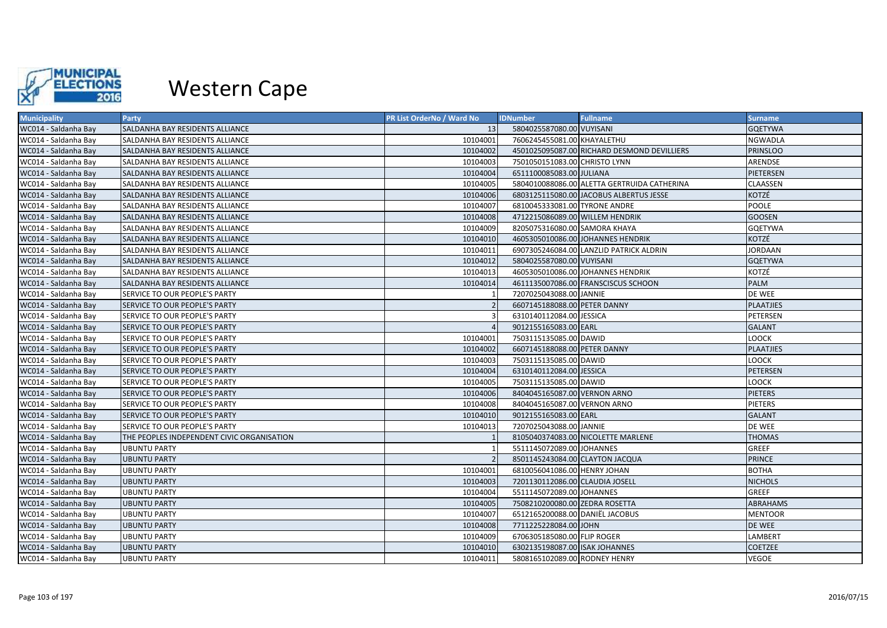

| <b>Municipality</b>  | <b>Party</b>                               | <b>PR List OrderNo / Ward No</b> | <b>IDNumber</b>                 | <b>Fullname</b>                             | <b>Surname</b>   |
|----------------------|--------------------------------------------|----------------------------------|---------------------------------|---------------------------------------------|------------------|
| WC014 - Saldanha Bay | SALDANHA BAY RESIDENTS ALLIANCE            | 13                               | 5804025587080.00 VUYISANI       |                                             | <b>GQETYWA</b>   |
| WC014 - Saldanha Bay | SALDANHA BAY RESIDENTS ALLIANCE            | 10104001                         | 7606245455081.00 KHAYALETHU     |                                             | <b>NGWADLA</b>   |
| WC014 - Saldanha Bay | SALDANHA BAY RESIDENTS ALLIANCE            | 10104002                         |                                 | 4501025095087.00 RICHARD DESMOND DEVILLIERS | <b>PRINSLOO</b>  |
| WC014 - Saldanha Bay | SALDANHA BAY RESIDENTS ALLIANCE            | 10104003                         | 7501050151083.00 CHRISTO LYNN   |                                             | ARENDSE          |
| WC014 - Saldanha Bay | SALDANHA BAY RESIDENTS ALLIANCE            | 10104004                         | 6511100085083.00 JULIANA        |                                             | PIETERSEN        |
| WC014 - Saldanha Bay | SALDANHA BAY RESIDENTS ALLIANCE            | 10104005                         |                                 | 5804010088086.00 ALETTA GERTRUIDA CATHERINA | CLAASSEN         |
| WC014 - Saldanha Bay | SALDANHA BAY RESIDENTS ALLIANCE            | 10104006                         |                                 | 6803125115080.00 JACOBUS ALBERTUS JESSE     | KOTZÉ            |
| WC014 - Saldanha Bay | SALDANHA BAY RESIDENTS ALLIANCE            | 10104007                         | 6810045333081.00 TYRONE ANDRE   |                                             | <b>POOLE</b>     |
| WC014 - Saldanha Bay | SALDANHA BAY RESIDENTS ALLIANCE            | 10104008                         | 4712215086089.00 WILLEM HENDRIK |                                             | <b>GOOSEN</b>    |
| WC014 - Saldanha Bay | SALDANHA BAY RESIDENTS ALLIANCE            | 10104009                         | 8205075316080.00 SAMORA KHAYA   |                                             | <b>GQETYWA</b>   |
| WC014 - Saldanha Bay | SALDANHA BAY RESIDENTS ALLIANCE            | 10104010                         |                                 | 4605305010086.00 JOHANNES HENDRIK           | KOTZÉ            |
| WC014 - Saldanha Bay | SALDANHA BAY RESIDENTS ALLIANCE            | 10104011                         |                                 | 6907305246084.00 LANZLID PATRICK ALDRIN     | <b>JORDAAN</b>   |
| WC014 - Saldanha Bay | SALDANHA BAY RESIDENTS ALLIANCE            | 10104012                         | 5804025587080.00 VUYISANI       |                                             | <b>GQETYWA</b>   |
| WC014 - Saldanha Bay | SALDANHA BAY RESIDENTS ALLIANCE            | 10104013                         |                                 | 4605305010086.00 JOHANNES HENDRIK           | KOTZÉ            |
| WC014 - Saldanha Bay | SALDANHA BAY RESIDENTS ALLIANCE            | 10104014                         |                                 | 4611135007086.00 FRANSCISCUS SCHOON         | <b>PALM</b>      |
| WC014 - Saldanha Bay | SERVICE TO OUR PEOPLE'S PARTY              |                                  | 7207025043088.00 JANNIE         |                                             | DE WEE           |
| WC014 - Saldanha Bay | SERVICE TO OUR PEOPLE'S PARTY              |                                  | 6607145188088.00 PETER DANNY    |                                             | <b>PLAATJIES</b> |
| WC014 - Saldanha Bay | SERVICE TO OUR PEOPLE'S PARTY              |                                  | 6310140112084.00 JESSICA        |                                             | PETERSEN         |
| WC014 - Saldanha Bay | SERVICE TO OUR PEOPLE'S PARTY              |                                  | 9012155165083.00 EARL           |                                             | <b>GALANT</b>    |
| WC014 - Saldanha Bay | SERVICE TO OUR PEOPLE'S PARTY              | 10104001                         | 7503115135085.00 DAWID          |                                             | <b>LOOCK</b>     |
| WC014 - Saldanha Bay | SERVICE TO OUR PEOPLE'S PARTY              | 10104002                         | 6607145188088.00 PETER DANNY    |                                             | <b>PLAATJIES</b> |
| WC014 - Saldanha Bay | SERVICE TO OUR PEOPLE'S PARTY              | 10104003                         | 7503115135085.00 DAWID          |                                             | <b>LOOCK</b>     |
| WC014 - Saldanha Bay | SERVICE TO OUR PEOPLE'S PARTY              | 10104004                         | 6310140112084.00 JESSICA        |                                             | <b>PETERSEN</b>  |
| WC014 - Saldanha Bay | SERVICE TO OUR PEOPLE'S PARTY              | 10104005                         | 7503115135085.00 DAWID          |                                             | <b>LOOCK</b>     |
| WC014 - Saldanha Bay | SERVICE TO OUR PEOPLE'S PARTY              | 10104006                         | 8404045165087.00 VERNON ARNO    |                                             | <b>PIETERS</b>   |
| WC014 - Saldanha Bay | SERVICE TO OUR PEOPLE'S PARTY              | 10104008                         | 8404045165087.00 VERNON ARNO    |                                             | <b>PIETERS</b>   |
| WC014 - Saldanha Bay | SERVICE TO OUR PEOPLE'S PARTY              | 10104010                         | 9012155165083.00 EARL           |                                             | <b>GALANT</b>    |
| WC014 - Saldanha Bay | SERVICE TO OUR PEOPLE'S PARTY              | 10104013                         | 7207025043088.00 JANNIE         |                                             | DE WEE           |
| WC014 - Saldanha Bay | THE PEOPLES INDEPENDENT CIVIC ORGANISATION |                                  |                                 | 8105040374083.00 NICOLETTE MARLENE          | <b>THOMAS</b>    |
| WC014 - Saldanha Bay | <b>UBUNTU PARTY</b>                        |                                  | 5511145072089.00 JOHANNES       |                                             | <b>GREEF</b>     |
| WC014 - Saldanha Bay | <b>UBUNTU PARTY</b>                        |                                  | 8501145243084.00 CLAYTON JACQUA |                                             | <b>PRINCE</b>    |
| WC014 - Saldanha Bay | UBUNTU PARTY                               | 10104001                         | 6810056041086.00 HENRY JOHAN    |                                             | <b>BOTHA</b>     |
| WC014 - Saldanha Bay | <b>UBUNTU PARTY</b>                        | 10104003                         | 7201130112086.00 CLAUDIA JOSELL |                                             | <b>NICHOLS</b>   |
| WC014 - Saldanha Bay | <b>UBUNTU PARTY</b>                        | 10104004                         | 5511145072089.00 JOHANNES       |                                             | <b>GREEF</b>     |
| WC014 - Saldanha Bay | <b>UBUNTU PARTY</b>                        | 10104005                         | 7508210200080.00 ZEDRA ROSETTA  |                                             | ABRAHAMS         |
| WC014 - Saldanha Bay | <b>UBUNTU PARTY</b>                        | 10104007                         | 6512165200088.00 DANIËL JACOBUS |                                             | <b>MENTOOR</b>   |
| WC014 - Saldanha Bay | <b>UBUNTU PARTY</b>                        | 10104008                         | 7711225228084.00 JOHN           |                                             | <b>DE WEE</b>    |
| WC014 - Saldanha Bay | UBUNTU PARTY                               | 10104009                         | 6706305185080.00 FLIP ROGER     |                                             | LAMBERT          |
| WC014 - Saldanha Bay | <b>UBUNTU PARTY</b>                        | 10104010                         | 6302135198087.00 ISAK JOHANNES  |                                             | <b>COETZEE</b>   |
| WC014 - Saldanha Bay | <b>UBUNTU PARTY</b>                        | 10104011                         | 5808165102089.00 RODNEY HENRY   |                                             | <b>VEGOE</b>     |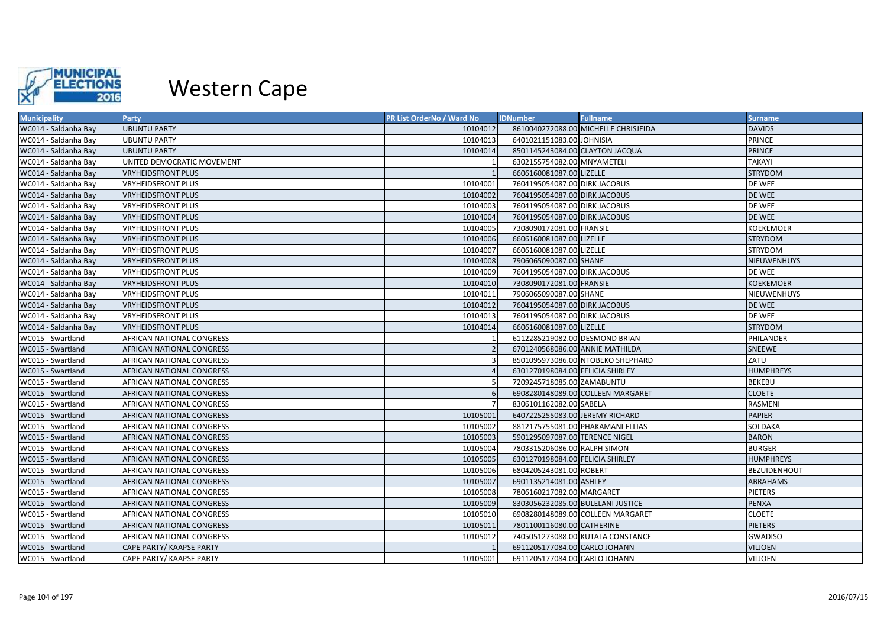

| <b>Municipality</b>  | Party                           | <b>PR List OrderNo / Ward No</b> | <b>IDNumber</b>                   | <b>Fullname</b>                      | <b>Surname</b>      |
|----------------------|---------------------------------|----------------------------------|-----------------------------------|--------------------------------------|---------------------|
| WC014 - Saldanha Bay | <b>UBUNTU PARTY</b>             | 10104012                         |                                   | 8610040272088.00 MICHELLE CHRISJEIDA | <b>DAVIDS</b>       |
| WC014 - Saldanha Bay | <b>UBUNTU PARTY</b>             | 10104013                         | 6401021151083.00 JOHNISIA         |                                      | <b>PRINCE</b>       |
| WC014 - Saldanha Bay | <b>UBUNTU PARTY</b>             | 10104014                         | 8501145243084.00 CLAYTON JACQUA   |                                      | <b>PRINCE</b>       |
| WC014 - Saldanha Bay | UNITED DEMOCRATIC MOVEMENT      |                                  | 6302155754082.00 MNYAMETELI       |                                      | <b>TAKAYI</b>       |
| WC014 - Saldanha Bay | <b>VRYHEIDSFRONT PLUS</b>       |                                  | 6606160081087.00 LIZELLE          |                                      | <b>STRYDOM</b>      |
| WC014 - Saldanha Bay | <b>VRYHEIDSFRONT PLUS</b>       | 10104001                         | 7604195054087.00 DIRK JACOBUS     |                                      | <b>DE WEE</b>       |
| WC014 - Saldanha Bay | <b>VRYHEIDSFRONT PLUS</b>       | 10104002                         | 7604195054087.00 DIRK JACOBUS     |                                      | <b>DE WEE</b>       |
| WC014 - Saldanha Bay | <b>VRYHEIDSFRONT PLUS</b>       | 10104003                         | 7604195054087.00 DIRK JACOBUS     |                                      | DE WEE              |
| WC014 - Saldanha Bay | <b>VRYHEIDSFRONT PLUS</b>       | 10104004                         | 7604195054087.00 DIRK JACOBUS     |                                      | DE WEE              |
| WC014 - Saldanha Bay | <b>VRYHEIDSFRONT PLUS</b>       | 10104005                         | 7308090172081.00 FRANSIE          |                                      | <b>KOEKEMOER</b>    |
| WC014 - Saldanha Bay | <b>VRYHEIDSFRONT PLUS</b>       | 10104006                         | 6606160081087.00 LIZELLE          |                                      | <b>STRYDOM</b>      |
| WC014 - Saldanha Bay | <b>VRYHEIDSFRONT PLUS</b>       | 10104007                         | 6606160081087.00 LIZELLE          |                                      | <b>STRYDOM</b>      |
| WC014 - Saldanha Bay | <b>VRYHEIDSFRONT PLUS</b>       | 10104008                         | 7906065090087.00 SHANE            |                                      | <b>INIEUWENHUYS</b> |
| WC014 - Saldanha Bay | <b>VRYHEIDSFRONT PLUS</b>       | 10104009                         | 7604195054087.00 DIRK JACOBUS     |                                      | DE WEE              |
| WC014 - Saldanha Bay | <b>VRYHEIDSFRONT PLUS</b>       | 10104010                         | 7308090172081.00 FRANSIE          |                                      | <b>KOEKEMOER</b>    |
| WC014 - Saldanha Bay | <b>VRYHEIDSFRONT PLUS</b>       | 10104011                         | 7906065090087.00 SHANE            |                                      | NIEUWENHUYS         |
| WC014 - Saldanha Bay | <b>VRYHEIDSFRONT PLUS</b>       | 10104012                         | 7604195054087.00 DIRK JACOBUS     |                                      | <b>DE WEE</b>       |
| WC014 - Saldanha Bay | <b>VRYHEIDSFRONT PLUS</b>       | 10104013                         | 7604195054087.00 DIRK JACOBUS     |                                      | <b>DE WEE</b>       |
| WC014 - Saldanha Bay | <b>VRYHEIDSFRONT PLUS</b>       | 10104014                         | 6606160081087.00 LIZELLE          |                                      | <b>STRYDOM</b>      |
| WC015 - Swartland    | AFRICAN NATIONAL CONGRESS       |                                  | 6112285219082.00 DESMOND BRIAN    |                                      | PHILANDER           |
| WC015 - Swartland    | AFRICAN NATIONAL CONGRESS       |                                  | 6701240568086.00 ANNIE MATHILDA   |                                      | <b>SNEEWE</b>       |
| WC015 - Swartland    | AFRICAN NATIONAL CONGRESS       |                                  |                                   | 8501095973086.00 NTOBEKO SHEPHARD    | ZATU                |
| WC015 - Swartland    | AFRICAN NATIONAL CONGRESS       |                                  | 6301270198084.00 FELICIA SHIRLEY  |                                      | <b>HUMPHREYS</b>    |
| WC015 - Swartland    | AFRICAN NATIONAL CONGRESS       |                                  | 7209245718085.00 ZAMABUNTU        |                                      | <b>BEKEBU</b>       |
| WC015 - Swartland    | AFRICAN NATIONAL CONGRESS       |                                  |                                   | 6908280148089.00 COLLEEN MARGARET    | <b>CLOETE</b>       |
| WC015 - Swartland    | AFRICAN NATIONAL CONGRESS       |                                  | 8306101162082.00 SABELA           |                                      | RASMENI             |
| WC015 - Swartland    | AFRICAN NATIONAL CONGRESS       | 10105001                         | 6407225255083.00 JEREMY RICHARD   |                                      | <b>PAPIER</b>       |
| WC015 - Swartland    | AFRICAN NATIONAL CONGRESS       | 10105002                         |                                   | 8812175755081.00 PHAKAMANI ELLIAS    | SOLDAKA             |
| WC015 - Swartland    | AFRICAN NATIONAL CONGRESS       | 10105003                         | 5901295097087.00 TERENCE NIGEL    |                                      | <b>BARON</b>        |
| WC015 - Swartland    | AFRICAN NATIONAL CONGRESS       | 10105004                         | 7803315206086.00 RALPH SIMON      |                                      | <b>BURGER</b>       |
| WC015 - Swartland    | AFRICAN NATIONAL CONGRESS       | 10105005                         | 6301270198084.00 FELICIA SHIRLEY  |                                      | <b>HUMPHREYS</b>    |
| WC015 - Swartland    | AFRICAN NATIONAL CONGRESS       | 10105006                         | 6804205243081.00 ROBERT           |                                      | BEZUIDENHOUT        |
| WC015 - Swartland    | AFRICAN NATIONAL CONGRESS       | 10105007                         | 6901135214081.00 ASHLEY           |                                      | <b>ABRAHAMS</b>     |
| WC015 - Swartland    | AFRICAN NATIONAL CONGRESS       | 10105008                         | 7806160217082.00 MARGARET         |                                      | <b>PIETERS</b>      |
| WC015 - Swartland    | AFRICAN NATIONAL CONGRESS       | 10105009                         | 8303056232085.00 BULELANI JUSTICE |                                      | <b>PENXA</b>        |
| WC015 - Swartland    | AFRICAN NATIONAL CONGRESS       | 10105010                         |                                   | 6908280148089.00 COLLEEN MARGARET    | <b>CLOETE</b>       |
| WC015 - Swartland    | AFRICAN NATIONAL CONGRESS       | 10105011                         | 7801100116080.00 CATHERINE        |                                      | <b>PIETERS</b>      |
| WC015 - Swartland    | AFRICAN NATIONAL CONGRESS       | 10105012                         |                                   | 7405051273088.00 KUTALA CONSTANCE    | <b>GWADISO</b>      |
| WC015 - Swartland    | <b>CAPE PARTY/ KAAPSE PARTY</b> |                                  | 6911205177084.00 CARLO JOHANN     |                                      | <b>VILJOEN</b>      |
| WC015 - Swartland    | CAPE PARTY/ KAAPSE PARTY        | 10105001                         | 6911205177084.00 CARLO JOHANN     |                                      | <b>VILJOEN</b>      |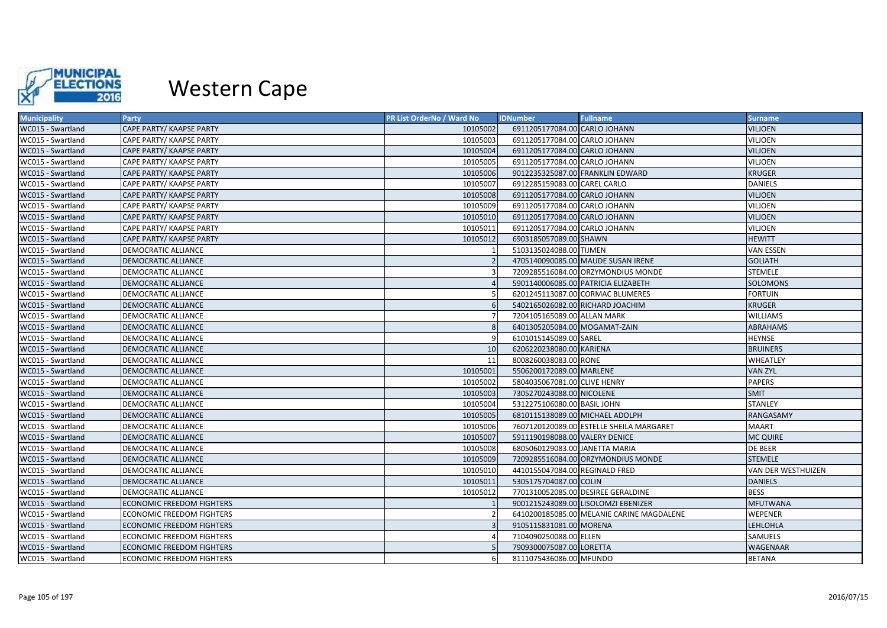

| <b>Municipality</b> | Party                            | <b>PR List OrderNo / Ward No</b> | <b>IDNumber</b>                  | <b>Fullname</b>                           | <b>Surname</b>            |
|---------------------|----------------------------------|----------------------------------|----------------------------------|-------------------------------------------|---------------------------|
| WC015 - Swartland   | <b>CAPE PARTY/ KAAPSE PARTY</b>  | 10105002                         | 6911205177084.00 CARLO JOHANN    |                                           | <b>VILJOEN</b>            |
| WC015 - Swartland   | CAPE PARTY/ KAAPSE PARTY         | 10105003                         | 6911205177084.00 CARLO JOHANN    |                                           | <b>VILJOEN</b>            |
| WC015 - Swartland   | CAPE PARTY/ KAAPSE PARTY         | 10105004                         | 6911205177084.00 CARLO JOHANN    |                                           | <b>VILJOEN</b>            |
| WC015 - Swartland   | CAPE PARTY/ KAAPSE PARTY         | 10105005                         | 6911205177084.00 CARLO JOHANN    |                                           | <b>VILJOEN</b>            |
| WC015 - Swartland   | CAPE PARTY/ KAAPSE PARTY         | 10105006                         |                                  | 9012235325087.00 FRANKLIN EDWARD          | <b>KRUGER</b>             |
| WC015 - Swartland   | CAPE PARTY/ KAAPSE PARTY         | 10105007                         | 6912285159083.00 CAREL CARLO     |                                           | <b>DANIELS</b>            |
| WC015 - Swartland   | CAPE PARTY/ KAAPSE PARTY         | 10105008                         | 6911205177084.00 CARLO JOHANN    |                                           | <b>VILJOEN</b>            |
| WC015 - Swartland   | CAPE PARTY/ KAAPSE PARTY         | 10105009                         | 6911205177084.00 CARLO JOHANN    |                                           | <b>VILJOEN</b>            |
| WC015 - Swartland   | CAPE PARTY/ KAAPSE PARTY         | 10105010                         | 6911205177084.00 CARLO JOHANN    |                                           | <b>VILJOEN</b>            |
| WC015 - Swartland   | CAPE PARTY/ KAAPSE PARTY         | 10105011                         | 6911205177084.00 CARLO JOHANN    |                                           | <b>VILJOEN</b>            |
| WC015 - Swartland   | CAPE PARTY/ KAAPSE PARTY         | 10105012                         | 6903185057089.00 SHAWN           |                                           | <b>HEWITT</b>             |
| WC015 - Swartland   | DEMOCRATIC ALLIANCE              |                                  | 5103135024088.00 TIJMEN          |                                           | <b>VAN ESSEN</b>          |
| WC015 - Swartland   | <b>DEMOCRATIC ALLIANCE</b>       |                                  |                                  | 4705140090085.00 MAUDE SUSAN IRENE        | <b>GOLIATH</b>            |
| WC015 - Swartland   | <b>DEMOCRATIC ALLIANCE</b>       |                                  |                                  | 7209285516084.00 ORZYMONDIUS MONDE        | <b>STEMELE</b>            |
| WC015 - Swartland   | <b>DEMOCRATIC ALLIANCE</b>       |                                  |                                  | 5901140006085.00 PATRICIA ELIZABETH       | <b>SOLOMONS</b>           |
| WC015 - Swartland   | <b>DEMOCRATIC ALLIANCE</b>       |                                  |                                  | 6201245113087.00 CORMAC BLUMERES          | <b>FORTUIN</b>            |
| WC015 - Swartland   | <b>DEMOCRATIC ALLIANCE</b>       |                                  | 5402165026082.00 RICHARD JOACHIM |                                           | <b>KRUGER</b>             |
| WC015 - Swartland   | DEMOCRATIC ALLIANCE              |                                  | 7204105165089.00 ALLAN MARK      |                                           | <b>WILLIAMS</b>           |
| WC015 - Swartland   | <b>DEMOCRATIC ALLIANCE</b>       |                                  | 6401305205084.00 MOGAMAT-ZAIN    |                                           | <b>ABRAHAMS</b>           |
| WC015 - Swartland   | <b>DEMOCRATIC ALLIANCE</b>       |                                  | 6101015145089.00 SAREL           |                                           | <b>HEYNSE</b>             |
| WC015 - Swartland   | <b>DEMOCRATIC ALLIANCE</b>       | 10                               | 6206220238080.00 KARIENA         |                                           | <b>BRUINERS</b>           |
| WC015 - Swartland   | <b>DEMOCRATIC ALLIANCE</b>       | 11                               | 8008260038083.00 RONE            |                                           | <b>WHEATLEY</b>           |
| WC015 - Swartland   | <b>DEMOCRATIC ALLIANCE</b>       | 10105001                         | 5506200172089.00 MARLENE         |                                           | <b>VAN ZYL</b>            |
| WC015 - Swartland   | DEMOCRATIC ALLIANCE              | 10105002                         | 5804035067081.00 CLIVE HENRY     |                                           | <b>PAPERS</b>             |
| WC015 - Swartland   | <b>DEMOCRATIC ALLIANCE</b>       | 10105003                         | 7305270243088.00 NICOLENE        |                                           | <b>SMIT</b>               |
| WC015 - Swartland   | DEMOCRATIC ALLIANCE              | 10105004                         | 5312275106080.00 BASIL JOHN      |                                           | STANLEY                   |
| WC015 - Swartland   | <b>DEMOCRATIC ALLIANCE</b>       | 10105005                         | 6810115138089.00 MICHAEL ADOLPH  |                                           | RANGASAMY                 |
| WC015 - Swartland   | <b>DEMOCRATIC ALLIANCE</b>       | 10105006                         |                                  | 7607120120089.00 ESTELLE SHEILA MARGARET  | <b>MAART</b>              |
| WC015 - Swartland   | <b>DEMOCRATIC ALLIANCE</b>       | 10105007                         | 5911190198088.00 VALERY DENICE   |                                           | <b>MC QUIRE</b>           |
| WC015 - Swartland   | <b>DEMOCRATIC ALLIANCE</b>       | 10105008                         | 6805060129083.00 JANETTA MARIA   |                                           | <b>DE BEER</b>            |
| WC015 - Swartland   | <b>DEMOCRATIC ALLIANCE</b>       | 10105009                         |                                  | 7209285516084.00 ORZYMONDIUS MONDE        | <b>STEMELE</b>            |
| WC015 - Swartland   | DEMOCRATIC ALLIANCE              | 10105010                         | 4410155047084.00 REGINALD FRED   |                                           | <b>VAN DER WESTHUIZEN</b> |
| WC015 - Swartland   | <b>DEMOCRATIC ALLIANCE</b>       | 10105011                         | 5305175704087.00 COLIN           |                                           | <b>DANIELS</b>            |
| WC015 - Swartland   | DEMOCRATIC ALLIANCE              | 10105012                         |                                  | 7701310052085.00 DESIREE GERALDINE        | <b>BESS</b>               |
| WC015 - Swartland   | <b>ECONOMIC FREEDOM FIGHTERS</b> |                                  |                                  | 9001215243089.00 LISOLOMZI EBENIZER       | <b>MFUTWANA</b>           |
| WC015 - Swartland   | <b>ECONOMIC FREEDOM FIGHTERS</b> |                                  |                                  | 6410200185085.00 MELANIE CARINE MAGDALENE | WEPENER                   |
| WC015 - Swartland   | <b>ECONOMIC FREEDOM FIGHTERS</b> |                                  | 9105115831081.00 MORENA          |                                           | <b>LEHLOHLA</b>           |
| WC015 - Swartland   | <b>ECONOMIC FREEDOM FIGHTERS</b> |                                  | 7104090250088.00 ELLEN           |                                           | SAMUELS                   |
| WC015 - Swartland   | <b>ECONOMIC FREEDOM FIGHTERS</b> |                                  | 7909300075087.00 LORETTA         |                                           | <b>WAGENAAR</b>           |
| WC015 - Swartland   | <b>ECONOMIC FREEDOM FIGHTERS</b> |                                  | 8111075436086.00 MFUNDO          |                                           | <b>BETANA</b>             |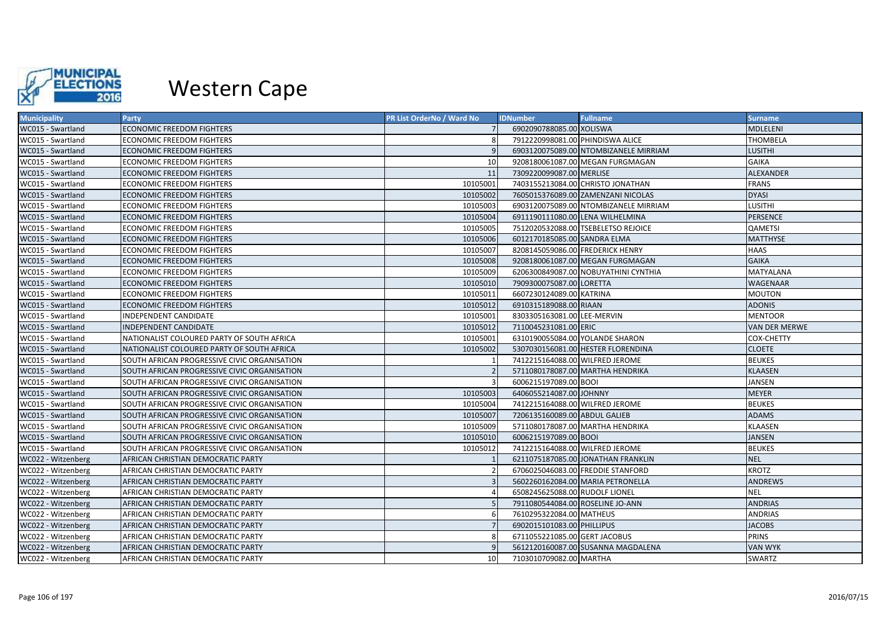

| <b>Municipality</b> | <b>Party</b>                                 | <b>PR List OrderNo / Ward No</b> | <b>IDNumber</b>                  | <b>Fullname</b>                       | <b>Surname</b>       |
|---------------------|----------------------------------------------|----------------------------------|----------------------------------|---------------------------------------|----------------------|
| WC015 - Swartland   | <b>ECONOMIC FREEDOM FIGHTERS</b>             | $7^{\circ}$                      | 6902090788085.00 XOLISWA         |                                       | <b>MDLELENI</b>      |
| WC015 - Swartland   | <b>ECONOMIC FREEDOM FIGHTERS</b>             |                                  | 7912220998081.00 PHINDISWA ALICE |                                       | <b>THOMBELA</b>      |
| WC015 - Swartland   | <b>ECONOMIC FREEDOM FIGHTERS</b>             |                                  |                                  | 6903120075089.00 NTOMBIZANELE MIRRIAM | <b>LUSITHI</b>       |
| WC015 - Swartland   | <b>ECONOMIC FREEDOM FIGHTERS</b>             | 10                               |                                  | 9208180061087.00 MEGAN FURGMAGAN      | <b>GAIKA</b>         |
| WC015 - Swartland   | <b>ECONOMIC FREEDOM FIGHTERS</b>             | 11                               | 7309220099087.00 MERLISE         |                                       | ALEXANDER            |
| WC015 - Swartland   | <b>ECONOMIC FREEDOM FIGHTERS</b>             | 10105001                         |                                  | 7403155213084.00 CHRISTO JONATHAN     | <b>FRANS</b>         |
| WC015 - Swartland   | <b>ECONOMIC FREEDOM FIGHTERS</b>             | 10105002                         |                                  | 7605015376089.00 ZAMENZANI NICOLAS    | <b>DYASI</b>         |
| WC015 - Swartland   | <b>ECONOMIC FREEDOM FIGHTERS</b>             | 10105003                         |                                  | 6903120075089.00 NTOMBIZANELE MIRRIAM | <b>LUSITHI</b>       |
| WC015 - Swartland   | <b>ECONOMIC FREEDOM FIGHTERS</b>             | 10105004                         |                                  | 6911190111080.00 LENA WILHELMINA      | <b>PERSENCE</b>      |
| WC015 - Swartland   | <b>ECONOMIC FREEDOM FIGHTERS</b>             | 10105005                         |                                  | 7512020532088.00 TSEBELETSO REJOICE   | <b>QAMETSI</b>       |
| WC015 - Swartland   | <b>ECONOMIC FREEDOM FIGHTERS</b>             | 10105006                         | 6012170185085.00 SANDRA ELMA     |                                       | <b>MATTHYSE</b>      |
| WC015 - Swartland   | <b>ECONOMIC FREEDOM FIGHTERS</b>             | 10105007                         | 8208145059086.00 FREDERICK HENRY |                                       | <b>HAAS</b>          |
| WC015 - Swartland   | <b>ECONOMIC FREEDOM FIGHTERS</b>             | 10105008                         |                                  | 9208180061087.00 MEGAN FURGMAGAN      | <b>GAIKA</b>         |
| WC015 - Swartland   | <b>ECONOMIC FREEDOM FIGHTERS</b>             | 10105009                         |                                  | 6206300849087.00 NOBUYATHINI CYNTHIA  | MATYALANA            |
| WC015 - Swartland   | <b>ECONOMIC FREEDOM FIGHTERS</b>             | 10105010                         | 7909300075087.00 LORETTA         |                                       | WAGENAAR             |
| WC015 - Swartland   | <b>ECONOMIC FREEDOM FIGHTERS</b>             | 10105011                         | 6607230124089.00 KATRINA         |                                       | <b>MOUTON</b>        |
| WC015 - Swartland   | <b>ECONOMIC FREEDOM FIGHTERS</b>             | 10105012                         | 6910315189088.00 RIAAN           |                                       | <b>ADONIS</b>        |
| WC015 - Swartland   | INDEPENDENT CANDIDATE                        | 10105001                         | 8303305163081.00 LEE-MERVIN      |                                       | <b>MENTOOR</b>       |
| WC015 - Swartland   | <b>INDEPENDENT CANDIDATE</b>                 | 10105012                         | 7110045231081.00 ERIC            |                                       | <b>VAN DER MERWE</b> |
| WC015 - Swartland   | NATIONALIST COLOURED PARTY OF SOUTH AFRICA   | 10105001                         | 6310190055084.00 YOLANDE SHARON  |                                       | <b>COX-CHETTY</b>    |
| WC015 - Swartland   | NATIONALIST COLOURED PARTY OF SOUTH AFRICA   | 10105002                         |                                  | 5307030156081.00 HESTER FLORENDINA    | <b>CLOETE</b>        |
| WC015 - Swartland   | SOUTH AFRICAN PROGRESSIVE CIVIC ORGANISATION |                                  | 7412215164088.00 WILFRED JEROME  |                                       | <b>BEUKES</b>        |
| WC015 - Swartland   | SOUTH AFRICAN PROGRESSIVE CIVIC ORGANISATION |                                  |                                  | 5711080178087.00 MARTHA HENDRIKA      | <b>KLAASEN</b>       |
| WC015 - Swartland   | SOUTH AFRICAN PROGRESSIVE CIVIC ORGANISATION |                                  | 6006215197089.00 BOOI            |                                       | <b>JANSEN</b>        |
| WC015 - Swartland   | SOUTH AFRICAN PROGRESSIVE CIVIC ORGANISATION | 10105003                         | 6406055214087.00 JOHNNY          |                                       | <b>MEYER</b>         |
| WC015 - Swartland   | SOUTH AFRICAN PROGRESSIVE CIVIC ORGANISATION | 10105004                         | 7412215164088.00 WILFRED JEROME  |                                       | <b>BEUKES</b>        |
| WC015 - Swartland   | SOUTH AFRICAN PROGRESSIVE CIVIC ORGANISATION | 10105007                         | 7206135160089.00 ABDUL GALIEB    |                                       | <b>ADAMS</b>         |
| WC015 - Swartland   | SOUTH AFRICAN PROGRESSIVE CIVIC ORGANISATION | 10105009                         |                                  | 5711080178087.00 MARTHA HENDRIKA      | KLAASEN              |
| WC015 - Swartland   | SOUTH AFRICAN PROGRESSIVE CIVIC ORGANISATION | 10105010                         | 6006215197089.00 BOOI            |                                       | <b>JANSEN</b>        |
| WC015 - Swartland   | SOUTH AFRICAN PROGRESSIVE CIVIC ORGANISATION | 10105012                         | 7412215164088.00 WILFRED JEROME  |                                       | <b>BEUKES</b>        |
| WC022 - Witzenberg  | AFRICAN CHRISTIAN DEMOCRATIC PARTY           |                                  |                                  | 6211075187085.00 JONATHAN FRANKLIN    | <b>NEL</b>           |
| WC022 - Witzenberg  | AFRICAN CHRISTIAN DEMOCRATIC PARTY           |                                  |                                  | 6706025046083.00 FREDDIE STANFORD     | <b>KROTZ</b>         |
| WC022 - Witzenberg  | AFRICAN CHRISTIAN DEMOCRATIC PARTY           |                                  |                                  | 5602260162084.00 MARIA PETRONELLA     | <b>ANDREWS</b>       |
| WC022 - Witzenberg  | AFRICAN CHRISTIAN DEMOCRATIC PARTY           |                                  | 6508245625088.00 RUDOLF LIONEL   |                                       | <b>NEL</b>           |
| WC022 - Witzenberg  | AFRICAN CHRISTIAN DEMOCRATIC PARTY           |                                  | 7911080544084.00 ROSELINE JO-ANN |                                       | <b>ANDRIAS</b>       |
| WC022 - Witzenberg  | AFRICAN CHRISTIAN DEMOCRATIC PARTY           |                                  | 7610295322084.00 MATHEUS         |                                       | <b>ANDRIAS</b>       |
| WC022 - Witzenberg  | AFRICAN CHRISTIAN DEMOCRATIC PARTY           |                                  | 6902015101083.00 PHILLIPUS       |                                       | <b>JACOBS</b>        |
| WC022 - Witzenberg  | AFRICAN CHRISTIAN DEMOCRATIC PARTY           |                                  | 6711055221085.00 GERT JACOBUS    |                                       | <b>PRINS</b>         |
| WC022 - Witzenberg  | AFRICAN CHRISTIAN DEMOCRATIC PARTY           |                                  |                                  | 5612120160087.00 SUSANNA MAGDALENA    | <b>VAN WYK</b>       |
| WC022 - Witzenberg  | AFRICAN CHRISTIAN DEMOCRATIC PARTY           | 10                               | 7103010709082.00 MARTHA          |                                       | SWARTZ               |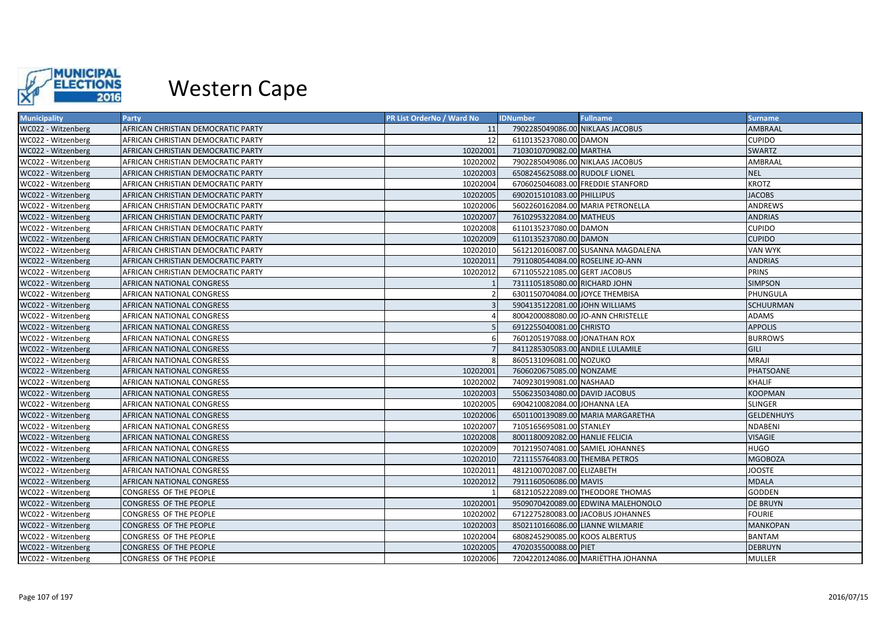

| <b>Municipality</b> | <b>Party</b>                       | <b>PR List OrderNo / Ward No</b> | <b>IDNumber</b>                  | <b>Fullname</b>                    | <b>Surname</b>    |
|---------------------|------------------------------------|----------------------------------|----------------------------------|------------------------------------|-------------------|
| WC022 - Witzenberg  | AFRICAN CHRISTIAN DEMOCRATIC PARTY | 11                               | 7902285049086.00 NIKLAAS JACOBUS |                                    | AMBRAAL           |
| WC022 - Witzenberg  | AFRICAN CHRISTIAN DEMOCRATIC PARTY | 12                               | 6110135237080.00 DAMON           |                                    | <b>CUPIDO</b>     |
| WC022 - Witzenberg  | AFRICAN CHRISTIAN DEMOCRATIC PARTY | 10202001                         | 7103010709082.00 MARTHA          |                                    | <b>SWARTZ</b>     |
| WC022 - Witzenberg  | AFRICAN CHRISTIAN DEMOCRATIC PARTY | 10202002                         | 7902285049086.00 NIKLAAS JACOBUS |                                    | AMBRAAL           |
| WC022 - Witzenberg  | AFRICAN CHRISTIAN DEMOCRATIC PARTY | 10202003                         | 6508245625088.00 RUDOLF LIONEL   |                                    | <b>NEL</b>        |
| WC022 - Witzenberg  | AFRICAN CHRISTIAN DEMOCRATIC PARTY | 10202004                         |                                  | 6706025046083.00 FREDDIE STANFORD  | <b>KROTZ</b>      |
| WC022 - Witzenberg  | AFRICAN CHRISTIAN DEMOCRATIC PARTY | 10202005                         | 6902015101083.00 PHILLIPUS       |                                    | <b>JACOBS</b>     |
| WC022 - Witzenberg  | AFRICAN CHRISTIAN DEMOCRATIC PARTY | 10202006                         |                                  | 5602260162084.00 MARIA PETRONELLA  | <b>ANDREWS</b>    |
| WC022 - Witzenberg  | AFRICAN CHRISTIAN DEMOCRATIC PARTY | 10202007                         | 7610295322084.00 MATHEUS         |                                    | <b>ANDRIAS</b>    |
| WC022 - Witzenberg  | AFRICAN CHRISTIAN DEMOCRATIC PARTY | 10202008                         | 6110135237080.00 DAMON           |                                    | <b>CUPIDO</b>     |
| WC022 - Witzenberg  | AFRICAN CHRISTIAN DEMOCRATIC PARTY | 10202009                         | 6110135237080.00 DAMON           |                                    | <b>CUPIDO</b>     |
| WC022 - Witzenberg  | AFRICAN CHRISTIAN DEMOCRATIC PARTY | 10202010                         |                                  | 5612120160087.00 SUSANNA MAGDALENA | <b>VAN WYK</b>    |
| WC022 - Witzenberg  | AFRICAN CHRISTIAN DEMOCRATIC PARTY | 10202011                         | 7911080544084.00 ROSELINE JO-ANN |                                    | <b>ANDRIAS</b>    |
| WC022 - Witzenberg  | AFRICAN CHRISTIAN DEMOCRATIC PARTY | 10202012                         | 6711055221085.00 GERT JACOBUS    |                                    | <b>PRINS</b>      |
| WC022 - Witzenberg  | AFRICAN NATIONAL CONGRESS          |                                  | 7311105185080.00 RICHARD JOHN    |                                    | <b>SIMPSON</b>    |
| WC022 - Witzenberg  | AFRICAN NATIONAL CONGRESS          |                                  | 6301150704084.00 JOYCE THEMBISA  |                                    | PHUNGULA          |
| WC022 - Witzenberg  | AFRICAN NATIONAL CONGRESS          |                                  | 5904135122081.00 JOHN WILLIAMS   |                                    | <b>SCHUURMAN</b>  |
| WC022 - Witzenberg  | AFRICAN NATIONAL CONGRESS          |                                  |                                  | 8004200088080.00 JO-ANN CHRISTELLE | ADAMS             |
| WC022 - Witzenberg  | AFRICAN NATIONAL CONGRESS          |                                  | 6912255040081.00 CHRISTO         |                                    | <b>APPOLIS</b>    |
| WC022 - Witzenberg  | AFRICAN NATIONAL CONGRESS          |                                  | 7601205197088.00 JONATHAN ROX    |                                    | <b>BURROWS</b>    |
| WC022 - Witzenberg  | AFRICAN NATIONAL CONGRESS          |                                  | 8411285305083.00 ANDILE LULAMILE |                                    | GILI              |
| WC022 - Witzenberg  | AFRICAN NATIONAL CONGRESS          |                                  | 8605131096081.00 NOZUKO          |                                    | <b>MRAJI</b>      |
| WC022 - Witzenberg  | AFRICAN NATIONAL CONGRESS          | 10202001                         | 7606020675085.00 NONZAME         |                                    | <b>PHATSOANE</b>  |
| WC022 - Witzenberg  | AFRICAN NATIONAL CONGRESS          | 10202002                         | 7409230199081.00 NASHAAD         |                                    | <b>KHALIF</b>     |
| WC022 - Witzenberg  | AFRICAN NATIONAL CONGRESS          | 10202003                         | 5506235034080.00 DAVID JACOBUS   |                                    | <b>KOOPMAN</b>    |
| WC022 - Witzenberg  | AFRICAN NATIONAL CONGRESS          | 10202005                         | 6904210082084.00 JOHANNA LEA     |                                    | <b>SLINGER</b>    |
| WC022 - Witzenberg  | AFRICAN NATIONAL CONGRESS          | 10202006                         |                                  | 6501100139089.00 MARIA MARGARETHA  | <b>GELDENHUYS</b> |
| WC022 - Witzenberg  | AFRICAN NATIONAL CONGRESS          | 10202007                         | 7105165695081.00 STANLEY         |                                    | <b>NDABENI</b>    |
| WC022 - Witzenberg  | AFRICAN NATIONAL CONGRESS          | 10202008                         | 8001180092082.00 HANLIE FELICIA  |                                    | <b>VISAGIE</b>    |
| WC022 - Witzenberg  | AFRICAN NATIONAL CONGRESS          | 10202009                         | 7012195074081.00 SAMIEL JOHANNES |                                    | <b>HUGO</b>       |
| WC022 - Witzenberg  | AFRICAN NATIONAL CONGRESS          | 10202010                         | 7211155764083.00 THEMBA PETROS   |                                    | <b>MGOBOZA</b>    |
| WC022 - Witzenberg  | AFRICAN NATIONAL CONGRESS          | 10202011                         | 4812100702087.00 ELIZABETH       |                                    | <b>JOOSTE</b>     |
| WC022 - Witzenberg  | AFRICAN NATIONAL CONGRESS          | 10202012                         | 7911160506086.00 MAVIS           |                                    | <b>MDALA</b>      |
| WC022 - Witzenberg  | CONGRESS OF THE PEOPLE             |                                  |                                  | 6812105222089.00 THEODORE THOMAS   | <b>GODDEN</b>     |
| WC022 - Witzenberg  | CONGRESS OF THE PEOPLE             | 10202001                         |                                  | 9509070420089.00 EDWINA MALEHONOLO | <b>DE BRUYN</b>   |
| WC022 - Witzenberg  | CONGRESS OF THE PEOPLE             | 10202002                         |                                  | 6712275280083.00 JACOBUS JOHANNES  | <b>FOURIE</b>     |
| WC022 - Witzenberg  | CONGRESS OF THE PEOPLE             | 10202003                         | 8502110166086.00 LIANNE WILMARIE |                                    | <b>MANKOPAN</b>   |
| WC022 - Witzenberg  | CONGRESS OF THE PEOPLE             | 10202004                         | 6808245290085.00 KOOS ALBERTUS   |                                    | <b>BANTAM</b>     |
| WC022 - Witzenberg  | CONGRESS OF THE PEOPLE             | 10202005                         | 4702035500088.00 PIET            |                                    | <b>DEBRUYN</b>    |
| WC022 - Witzenberg  | CONGRESS OF THE PEOPLE             | 10202006                         |                                  | 7204220124086.00 MARIËTTHA JOHANNA | <b>MULLER</b>     |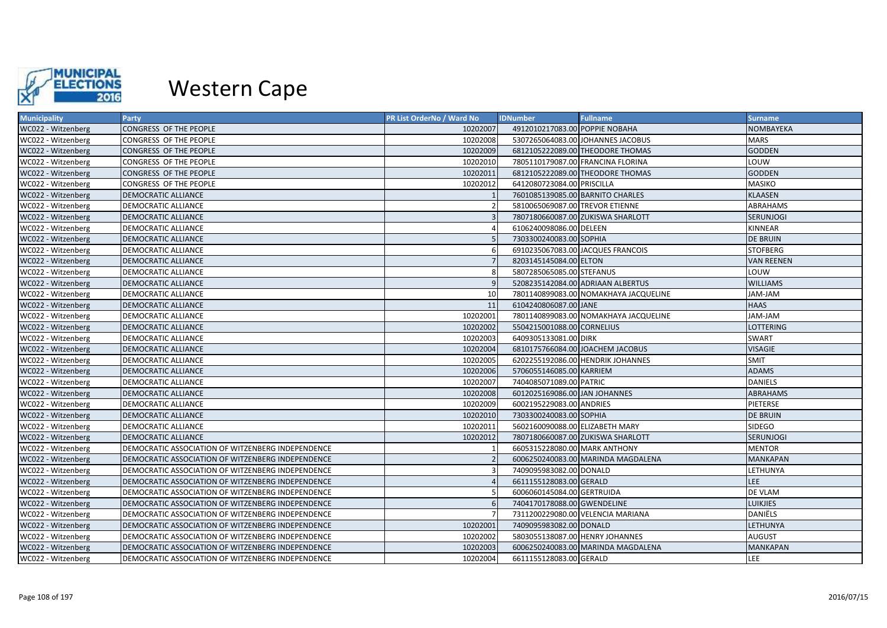

| <b>Municipality</b> | <b>Party</b>                                      | <b>PR List OrderNo / Ward No</b> | <b>IDNumber</b>                  | <b>Fullname</b>                       | <b>Surname</b>    |
|---------------------|---------------------------------------------------|----------------------------------|----------------------------------|---------------------------------------|-------------------|
| WC022 - Witzenberg  | CONGRESS OF THE PEOPLE                            | 10202007                         | 4912010217083.00 POPPIE NOBAHA   |                                       | <b>NOMBAYEKA</b>  |
| WC022 - Witzenberg  | CONGRESS OF THE PEOPLE                            | 10202008                         |                                  | 5307265064083.00 JOHANNES JACOBUS     | <b>MARS</b>       |
| WC022 - Witzenberg  | CONGRESS OF THE PEOPLE                            | 10202009                         |                                  | 6812105222089.00 THEODORE THOMAS      | <b>GODDEN</b>     |
| WC022 - Witzenberg  | CONGRESS OF THE PEOPLE                            | 10202010                         |                                  | 7805110179087.00 FRANCINA FLORINA     | LOUW              |
| WC022 - Witzenberg  | CONGRESS OF THE PEOPLE                            | 10202011                         |                                  | 6812105222089.00 THEODORE THOMAS      | <b>GODDEN</b>     |
| WC022 - Witzenberg  | CONGRESS OF THE PEOPLE                            | 10202012                         | 6412080723084.00 PRISCILLA       |                                       | <b>MASIKO</b>     |
| WC022 - Witzenberg  | DEMOCRATIC ALLIANCE                               |                                  | 7601085139085.00 BARNITO CHARLES |                                       | <b>KLAASEN</b>    |
| WC022 - Witzenberg  | DEMOCRATIC ALLIANCE                               |                                  | 5810065069087.00 TREVOR ETIENNE  |                                       | <b>ABRAHAMS</b>   |
| WC022 - Witzenberg  | DEMOCRATIC ALLIANCE                               |                                  |                                  | 7807180660087.00 ZUKISWA SHARLOTT     | <b>SERUNJOGI</b>  |
| WC022 - Witzenberg  | DEMOCRATIC ALLIANCE                               |                                  | 6106240098086.00 DELEEN          |                                       | <b>KINNEAR</b>    |
| WC022 - Witzenberg  | DEMOCRATIC ALLIANCE                               |                                  | 7303300240083.00 SOPHIA          |                                       | <b>DE BRUIN</b>   |
| WC022 - Witzenberg  | DEMOCRATIC ALLIANCE                               |                                  |                                  | 6910235067083.00 JACQUES FRANCOIS     | <b>STOFBERG</b>   |
| WC022 - Witzenberg  | DEMOCRATIC ALLIANCE                               |                                  | 8203145145084.00 ELTON           |                                       | <b>VAN REENEN</b> |
| WC022 - Witzenberg  | DEMOCRATIC ALLIANCE                               |                                  | 5807285065085.00 STEFANUS        |                                       | LOUW              |
| WC022 - Witzenberg  | DEMOCRATIC ALLIANCE                               |                                  |                                  | 5208235142084.00 ADRIAAN ALBERTUS     | <b>WILLIAMS</b>   |
| WC022 - Witzenberg  | DEMOCRATIC ALLIANCE                               | 10                               |                                  | 7801140899083.00 NOMAKHAYA JACQUELINE | JAM-JAM           |
| WC022 - Witzenberg  | <b>DEMOCRATIC ALLIANCE</b>                        | 11                               | 6104240806087.00 JANE            |                                       | <b>HAAS</b>       |
| WC022 - Witzenberg  | DEMOCRATIC ALLIANCE                               | 10202001                         |                                  | 7801140899083.00 NOMAKHAYA JACQUELINE | JAM-JAM           |
| WC022 - Witzenberg  | DEMOCRATIC ALLIANCE                               | 10202002                         | 5504215001088.00 CORNELIUS       |                                       | <b>LOTTERING</b>  |
| WC022 - Witzenberg  | DEMOCRATIC ALLIANCE                               | 10202003                         | 6409305133081.00 DIRK            |                                       | <b>SWART</b>      |
| WC022 - Witzenberg  | DEMOCRATIC ALLIANCE                               | 10202004                         |                                  | 6810175766084.00 JOACHEM JACOBUS      | <b>VISAGIE</b>    |
| WC022 - Witzenberg  | DEMOCRATIC ALLIANCE                               | 10202005                         |                                  | 6202255192086.00 HENDRIK JOHANNES     | SMIT              |
| WC022 - Witzenberg  | <b>DEMOCRATIC ALLIANCE</b>                        | 10202006                         | 5706055146085.00 KARRIEM         |                                       | <b>ADAMS</b>      |
| WC022 - Witzenberg  | <b>DEMOCRATIC ALLIANCE</b>                        | 10202007                         | 7404085071089.00 PATRIC          |                                       | <b>DANIELS</b>    |
| WC022 - Witzenberg  | DEMOCRATIC ALLIANCE                               | 10202008                         | 6012025169086.00 JAN JOHANNES    |                                       | <b>ABRAHAMS</b>   |
| WC022 - Witzenberg  | DEMOCRATIC ALLIANCE                               | 10202009                         | 6002195229083.00 ANDRIES         |                                       | PIETERSE          |
| WC022 - Witzenberg  | DEMOCRATIC ALLIANCE                               | 10202010                         | 7303300240083.00 SOPHIA          |                                       | <b>DE BRUIN</b>   |
| WC022 - Witzenberg  | DEMOCRATIC ALLIANCE                               | 10202011                         | 5602160090088.00 ELIZABETH MARY  |                                       | <b>SIDEGO</b>     |
| WC022 - Witzenberg  | DEMOCRATIC ALLIANCE                               | 10202012                         |                                  | 7807180660087.00 ZUKISWA SHARLOTT     | <b>SERUNJOGI</b>  |
| WC022 - Witzenberg  | DEMOCRATIC ASSOCIATION OF WITZENBERG INDEPENDENCE |                                  | 6605315228080.00 MARK ANTHONY    |                                       | <b>MENTOR</b>     |
| WC022 - Witzenberg  | DEMOCRATIC ASSOCIATION OF WITZENBERG INDEPENDENCE |                                  |                                  | 6006250240083.00 MARINDA MAGDALENA    | <b>MANKAPAN</b>   |
| WC022 - Witzenberg  | DEMOCRATIC ASSOCIATION OF WITZENBERG INDEPENDENCE |                                  | 7409095983082.00 DONALD          |                                       | LETHUNYA          |
| WC022 - Witzenberg  | DEMOCRATIC ASSOCIATION OF WITZENBERG INDEPENDENCE |                                  | 6611155128083.00 GERALD          |                                       | LEE               |
| WC022 - Witzenberg  | DEMOCRATIC ASSOCIATION OF WITZENBERG INDEPENDENCE |                                  | 6006060145084.00 GERTRUIDA       |                                       | <b>DE VLAM</b>    |
| WC022 - Witzenberg  | DEMOCRATIC ASSOCIATION OF WITZENBERG INDEPENDENCE |                                  | 7404170178088.00 GWENDELINE      |                                       | <b>LUIKJIES</b>   |
| WC022 - Witzenberg  | DEMOCRATIC ASSOCIATION OF WITZENBERG INDEPENDENCE |                                  |                                  | 7311200229080.00 VELENCIA MARIANA     | <b>DANIËLS</b>    |
| WC022 - Witzenberg  | DEMOCRATIC ASSOCIATION OF WITZENBERG INDEPENDENCE | 10202001                         | 7409095983082.00 DONALD          |                                       | LETHUNYA          |
| WC022 - Witzenberg  | DEMOCRATIC ASSOCIATION OF WITZENBERG INDEPENDENCE | 10202002                         | 5803055138087.00 HENRY JOHANNES  |                                       | AUGUST            |
| WC022 - Witzenberg  | DEMOCRATIC ASSOCIATION OF WITZENBERG INDEPENDENCE | 10202003                         |                                  | 6006250240083.00 MARINDA MAGDALENA    | <b>MANKAPAN</b>   |
| WC022 - Witzenberg  | DEMOCRATIC ASSOCIATION OF WITZENBERG INDEPENDENCE | 10202004                         | 6611155128083.00 GERALD          |                                       | LEE               |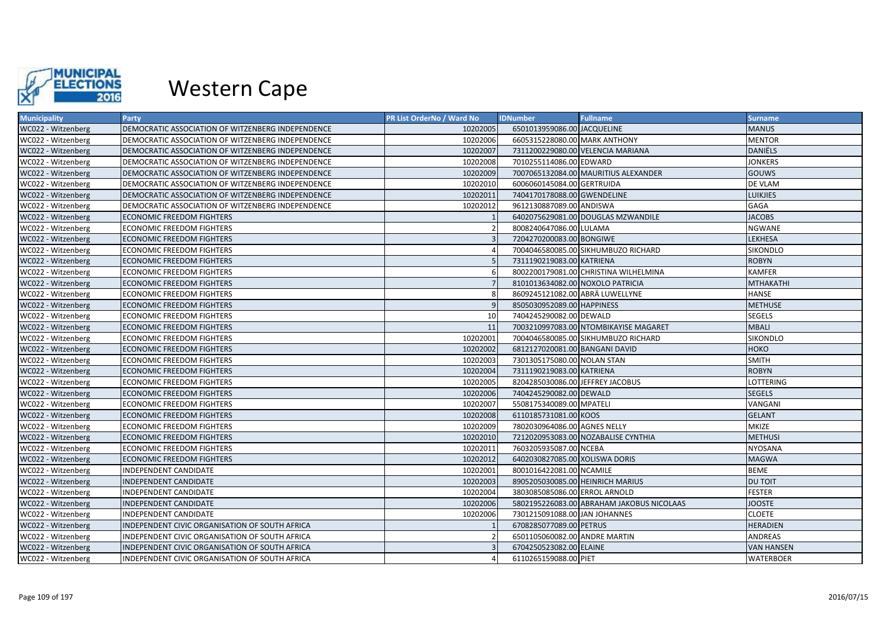

| <b>Municipality</b> | Party                                             | <b>PR List OrderNo / Ward No</b> | <b>IDNumber</b>                  | <b>Fullname</b>                           | <b>Surname</b>    |
|---------------------|---------------------------------------------------|----------------------------------|----------------------------------|-------------------------------------------|-------------------|
| WC022 - Witzenberg  | DEMOCRATIC ASSOCIATION OF WITZENBERG INDEPENDENCE | 10202005                         | 6501013959086.00 JACQUELINE      |                                           | <b>MANUS</b>      |
| WC022 - Witzenberg  | DEMOCRATIC ASSOCIATION OF WITZENBERG INDEPENDENCE | 10202006                         | 6605315228080.00 MARK ANTHONY    |                                           | <b>MENTOR</b>     |
| WC022 - Witzenberg  | DEMOCRATIC ASSOCIATION OF WITZENBERG INDEPENDENCE | 10202007                         |                                  | 7311200229080.00 VELENCIA MARIANA         | <b>DANIËLS</b>    |
| WC022 - Witzenberg  | DEMOCRATIC ASSOCIATION OF WITZENBERG INDEPENDENCE | 10202008                         | 7010255114086.00 EDWARD          |                                           | <b>JONKERS</b>    |
| WC022 - Witzenberg  | DEMOCRATIC ASSOCIATION OF WITZENBERG INDEPENDENCE | 10202009                         |                                  | 7007065132084.00 MAURITIUS ALEXANDER      | <b>GOUWS</b>      |
| WC022 - Witzenberg  | DEMOCRATIC ASSOCIATION OF WITZENBERG INDEPENDENCE | 10202010                         | 6006060145084.00 GERTRUIDA       |                                           | <b>DE VLAM</b>    |
| WC022 - Witzenberg  | DEMOCRATIC ASSOCIATION OF WITZENBERG INDEPENDENCE | 10202011                         | 7404170178088.00 GWENDELINE      |                                           | <b>LUIKJIES</b>   |
| WC022 - Witzenberg  | DEMOCRATIC ASSOCIATION OF WITZENBERG INDEPENDENCE | 10202012                         | 9612130887089.00 ANDISWA         |                                           | <b>GAGA</b>       |
| WC022 - Witzenberg  | <b>ECONOMIC FREEDOM FIGHTERS</b>                  |                                  |                                  | 6402075629081.00 DOUGLAS MZWANDILE        | <b>JACOBS</b>     |
| WC022 - Witzenberg  | <b>ECONOMIC FREEDOM FIGHTERS</b>                  |                                  | 8008240647086.00 LULAMA          |                                           | <b>NGWANE</b>     |
| WC022 - Witzenberg  | <b>ECONOMIC FREEDOM FIGHTERS</b>                  |                                  | 7204270200083.00 BONGIWE         |                                           | <b>LEKHESA</b>    |
| WC022 - Witzenberg  | <b>ECONOMIC FREEDOM FIGHTERS</b>                  |                                  |                                  | 7004046580085.00 SIKHUMBUZO RICHARD       | <b>SIKONDLO</b>   |
| WC022 - Witzenberg  | <b>ECONOMIC FREEDOM FIGHTERS</b>                  |                                  | 7311190219083.00 KATRIENA        |                                           | <b>ROBYN</b>      |
| WC022 - Witzenberg  | <b>ECONOMIC FREEDOM FIGHTERS</b>                  |                                  |                                  | 8002200179081.00 CHRISTINA WILHELMINA     | <b>KAMFER</b>     |
| WC022 - Witzenberg  | ECONOMIC FREEDOM FIGHTERS                         |                                  | 8101013634082.00 NOXOLO PATRICIA |                                           | <b>MTHAKATHI</b>  |
| WC022 - Witzenberg  | <b>ECONOMIC FREEDOM FIGHTERS</b>                  |                                  | 8609245121082.00 ABRÄ LUWELLYNE  |                                           | <b>HANSE</b>      |
| WC022 - Witzenberg  | <b>ECONOMIC FREEDOM FIGHTERS</b>                  |                                  | 8505030952089.00 HAPPINESS       |                                           | <b>METHUSE</b>    |
| WC022 - Witzenberg  | <b>ECONOMIC FREEDOM FIGHTERS</b>                  | 10                               | 7404245290082.00 DEWALD          |                                           | <b>SEGELS</b>     |
| WC022 - Witzenberg  | <b>ECONOMIC FREEDOM FIGHTERS</b>                  | 11                               |                                  | 7003210997083.00 NTOMBIKAYISE MAGARET     | <b>MBALI</b>      |
| WC022 - Witzenberg  | <b>ECONOMIC FREEDOM FIGHTERS</b>                  | 10202001                         |                                  | 7004046580085.00 SIKHUMBUZO RICHARD       | <b>SIKONDLO</b>   |
| WC022 - Witzenberg  | ECONOMIC FREEDOM FIGHTERS                         | 10202002                         | 6812127020081.00 BANGANI DAVID   |                                           | <b>НОКО</b>       |
| WC022 - Witzenberg  | <b>ECONOMIC FREEDOM FIGHTERS</b>                  | 10202003                         | 7301305175080.00 NOLAN STAN      |                                           | <b>SMITH</b>      |
| WC022 - Witzenberg  | <b>ECONOMIC FREEDOM FIGHTERS</b>                  | 10202004                         | 7311190219083.00 KATRIENA        |                                           | <b>ROBYN</b>      |
| WC022 - Witzenberg  | <b>ECONOMIC FREEDOM FIGHTERS</b>                  | 10202005                         | 8204285030086.00 JEFFREY JACOBUS |                                           | LOTTERING         |
| WC022 - Witzenberg  | <b>ECONOMIC FREEDOM FIGHTERS</b>                  | 10202006                         | 7404245290082.00 DEWALD          |                                           | <b>SEGELS</b>     |
| WC022 - Witzenberg  | <b>ECONOMIC FREEDOM FIGHTERS</b>                  | 10202007                         | 5508175340089.00 MPATELI         |                                           | VANGANI           |
| WC022 - Witzenberg  | <b>ECONOMIC FREEDOM FIGHTERS</b>                  | 10202008                         | 6110185731081.00 KOOS            |                                           | <b>GELANT</b>     |
| WC022 - Witzenberg  | <b>ECONOMIC FREEDOM FIGHTERS</b>                  | 10202009                         | 7802030964086.00 AGNES NELLY     |                                           | <b>MKIZE</b>      |
| WC022 - Witzenberg  | <b>ECONOMIC FREEDOM FIGHTERS</b>                  | 10202010                         |                                  | 7212020953083.00 NOZABALISE CYNTHIA       | <b>METHUSI</b>    |
| WC022 - Witzenberg  | <b>ECONOMIC FREEDOM FIGHTERS</b>                  | 10202011                         | 7603205935087.00 NCEBA           |                                           | <b>NYOSANA</b>    |
| WC022 - Witzenberg  | <b>ECONOMIC FREEDOM FIGHTERS</b>                  | 10202012                         | 6402030827085.00 XOLISWA DORIS   |                                           | <b>MAGWA</b>      |
| WC022 - Witzenberg  | INDEPENDENT CANDIDATE                             | 10202001                         | 8001016422081.00 NCAMILE         |                                           | <b>BEME</b>       |
| WC022 - Witzenberg  | <b>INDEPENDENT CANDIDATE</b>                      | 10202003                         | 8905205030085.00 HEINRICH MARIUS |                                           | <b>DU TOIT</b>    |
| WC022 - Witzenberg  | INDEPENDENT CANDIDATE                             | 10202004                         | 3803085085086.00 ERROL ARNOLD    |                                           | <b>FESTER</b>     |
| WC022 - Witzenberg  | <b>INDEPENDENT CANDIDATE</b>                      | 10202006                         |                                  | 5802195226083.00 ABRAHAM JAKOBUS NICOLAAS | <b>JOOSTE</b>     |
| WC022 - Witzenberg  | INDEPENDENT CANDIDATE                             | 10202006                         | 7301215091088.00 JAN JOHANNES    |                                           | <b>CLOETE</b>     |
| WC022 - Witzenberg  | INDEPENDENT CIVIC ORGANISATION OF SOUTH AFRICA    |                                  | 6708285077089.00 PETRUS          |                                           | <b>HERADIEN</b>   |
| WC022 - Witzenberg  | INDEPENDENT CIVIC ORGANISATION OF SOUTH AFRICA    |                                  | 6501105060082.00 ANDRE MARTIN    |                                           | ANDREAS           |
| WC022 - Witzenberg  | INDEPENDENT CIVIC ORGANISATION OF SOUTH AFRICA    |                                  | 6704250523082.00 ELAINE          |                                           | <b>VAN HANSEN</b> |
| WC022 - Witzenberg  | INDEPENDENT CIVIC ORGANISATION OF SOUTH AFRICA    |                                  | 6110265159088.00 PIET            |                                           | <b>WATERBOER</b>  |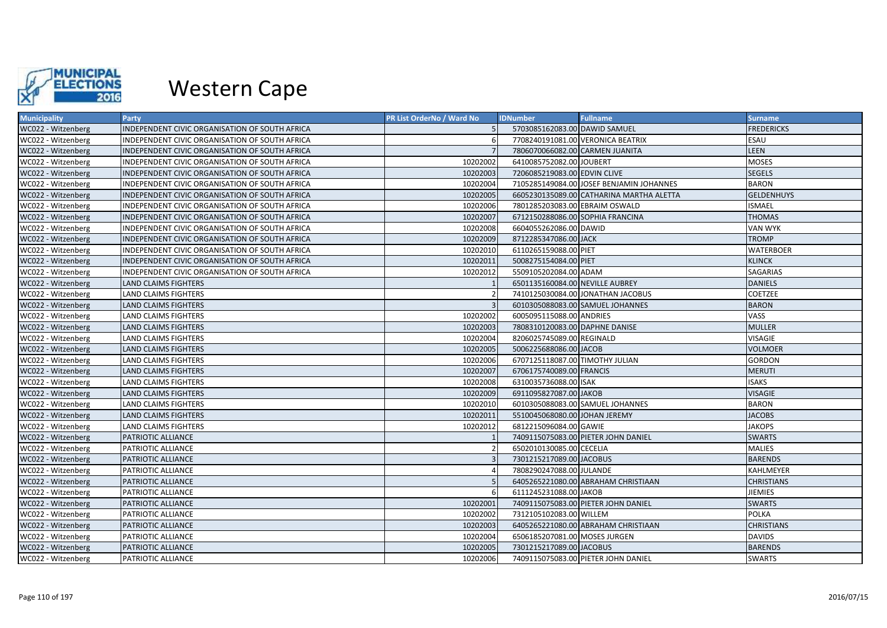

| <b>Municipality</b> | <b>Party</b>                                   | <b>PR List OrderNo / Ward No</b> | <b>IDNumber</b>                  | <b>Fullname</b>                          | <b>Surname</b>    |
|---------------------|------------------------------------------------|----------------------------------|----------------------------------|------------------------------------------|-------------------|
| WC022 - Witzenberg  | INDEPENDENT CIVIC ORGANISATION OF SOUTH AFRICA |                                  | 5703085162083.00 DAWID SAMUEL    |                                          | <b>FREDERICKS</b> |
| WC022 - Witzenberg  | INDEPENDENT CIVIC ORGANISATION OF SOUTH AFRICA |                                  |                                  | 7708240191081.00 VERONICA BEATRIX        | <b>ESAU</b>       |
| WC022 - Witzenberg  | INDEPENDENT CIVIC ORGANISATION OF SOUTH AFRICA |                                  | 7806070066082.00 CARMEN JUANITA  |                                          | <b>LEEN</b>       |
| WC022 - Witzenberg  | INDEPENDENT CIVIC ORGANISATION OF SOUTH AFRICA | 10202002                         | 6410085752082.00 JOUBERT         |                                          | <b>MOSES</b>      |
| WC022 - Witzenberg  | INDEPENDENT CIVIC ORGANISATION OF SOUTH AFRICA | 10202003                         | 7206085219083.00 EDVIN CLIVE     |                                          | <b>SEGELS</b>     |
| WC022 - Witzenberg  | INDEPENDENT CIVIC ORGANISATION OF SOUTH AFRICA | 10202004                         |                                  | 7105285149084.00 JOSEF BENJAMIN JOHANNES | <b>BARON</b>      |
| WC022 - Witzenberg  | INDEPENDENT CIVIC ORGANISATION OF SOUTH AFRICA | 10202005                         |                                  | 6605230135089.00 CATHARINA MARTHA ALETTA | <b>GELDENHUYS</b> |
| WC022 - Witzenberg  | INDEPENDENT CIVIC ORGANISATION OF SOUTH AFRICA | 10202006                         | 7801285203083.00 EBRAIM OSWALD   |                                          | <b>ISMAEL</b>     |
| WC022 - Witzenberg  | INDEPENDENT CIVIC ORGANISATION OF SOUTH AFRICA | 10202007                         | 6712150288086.00 SOPHIA FRANCINA |                                          | <b>THOMAS</b>     |
| WC022 - Witzenberg  | INDEPENDENT CIVIC ORGANISATION OF SOUTH AFRICA | 10202008                         | 6604055262086.00 DAWID           |                                          | <b>VAN WYK</b>    |
| WC022 - Witzenberg  | INDEPENDENT CIVIC ORGANISATION OF SOUTH AFRICA | 10202009                         | 8712285347086.00 JACK            |                                          | <b>TROMP</b>      |
| WC022 - Witzenberg  | INDEPENDENT CIVIC ORGANISATION OF SOUTH AFRICA | 10202010                         | 6110265159088.00 PIET            |                                          | <b>WATERBOER</b>  |
| WC022 - Witzenberg  | INDEPENDENT CIVIC ORGANISATION OF SOUTH AFRICA | 10202011                         | 5008275154084.00 PIET            |                                          | <b>KLINCK</b>     |
| WC022 - Witzenberg  | INDEPENDENT CIVIC ORGANISATION OF SOUTH AFRICA | 10202012                         | 5509105202084.00 ADAM            |                                          | <b>SAGARIAS</b>   |
| WC022 - Witzenberg  | LAND CLAIMS FIGHTERS                           |                                  | 6501135160084.00 NEVILLE AUBREY  |                                          | <b>DANIELS</b>    |
| WC022 - Witzenberg  | LAND CLAIMS FIGHTERS                           |                                  |                                  | 7410125030084.00 JONATHAN JACOBUS        | <b>COETZEE</b>    |
| WC022 - Witzenberg  | LAND CLAIMS FIGHTERS                           |                                  |                                  | 6010305088083.00 SAMUEL JOHANNES         | <b>BARON</b>      |
| WC022 - Witzenberg  | LAND CLAIMS FIGHTERS                           | 10202002                         | 6005095115088.00 ANDRIES         |                                          | VASS              |
| WC022 - Witzenberg  | LAND CLAIMS FIGHTERS                           | 10202003                         | 7808310120083.00 DAPHNE DANISE   |                                          | <b>MULLER</b>     |
| WC022 - Witzenberg  | LAND CLAIMS FIGHTERS                           | 10202004                         | 8206025745089.00 REGINALD        |                                          | <b>VISAGIE</b>    |
| WC022 - Witzenberg  | LAND CLAIMS FIGHTERS                           | 10202005                         | 5006225688086.00 JACOB           |                                          | <b>VOLMOER</b>    |
| WC022 - Witzenberg  | LAND CLAIMS FIGHTERS                           | 10202006                         | 6707125118087.00 TIMOTHY JULIAN  |                                          | <b>GORDON</b>     |
| WC022 - Witzenberg  | LAND CLAIMS FIGHTERS                           | 10202007                         | 6706175740089.00 FRANCIS         |                                          | <b>MERUTI</b>     |
| WC022 - Witzenberg  | LAND CLAIMS FIGHTERS                           | 10202008                         | 6310035736088.00 ISAK            |                                          | <b>ISAKS</b>      |
| WC022 - Witzenberg  | LAND CLAIMS FIGHTERS                           | 10202009                         | 6911095827087.00 JAKOB           |                                          | <b>VISAGIE</b>    |
| WC022 - Witzenberg  | LAND CLAIMS FIGHTERS                           | 10202010                         |                                  | 6010305088083.00 SAMUEL JOHANNES         | <b>BARON</b>      |
| WC022 - Witzenberg  | LAND CLAIMS FIGHTERS                           | 10202011                         | 5510045068080.00 JOHAN JEREMY    |                                          | <b>JACOBS</b>     |
| WC022 - Witzenberg  | LAND CLAIMS FIGHTERS                           | 10202012                         | 6812215096084.00 GAWIE           |                                          | <b>JAKOPS</b>     |
| WC022 - Witzenberg  | PATRIOTIC ALLIANCE                             |                                  |                                  | 7409115075083.00 PIETER JOHN DANIEL      | <b>SWARTS</b>     |
| WC022 - Witzenberg  | PATRIOTIC ALLIANCE                             |                                  | 6502010130085.00 CECELIA         |                                          | <b>MALIES</b>     |
| WC022 - Witzenberg  | PATRIOTIC ALLIANCE                             |                                  | 7301215217089.00 JACOBUS         |                                          | <b>BARENDS</b>    |
| WC022 - Witzenberg  | PATRIOTIC ALLIANCE                             |                                  | 7808290247088.00 JULANDE         |                                          | KAHLMEYER         |
| WC022 - Witzenberg  | PATRIOTIC ALLIANCE                             |                                  |                                  | 6405265221080.00 ABRAHAM CHRISTIAAN      | <b>CHRISTIANS</b> |
| WC022 - Witzenberg  | PATRIOTIC ALLIANCE                             |                                  | 6111245231088.00 JAKOB           |                                          | JIEMIES           |
| WC022 - Witzenberg  | PATRIOTIC ALLIANCE                             | 10202001                         |                                  | 7409115075083.00 PIETER JOHN DANIEL      | <b>SWARTS</b>     |
| WC022 - Witzenberg  | PATRIOTIC ALLIANCE                             | 10202002                         | 7312105102083.00 WILLEM          |                                          | <b>POLKA</b>      |
| WC022 - Witzenberg  | PATRIOTIC ALLIANCE                             | 10202003                         |                                  | 6405265221080.00 ABRAHAM CHRISTIAAN      | <b>CHRISTIANS</b> |
| WC022 - Witzenberg  | PATRIOTIC ALLIANCE                             | 10202004                         | 6506185207081.00 MOSES JURGEN    |                                          | <b>DAVIDS</b>     |
| WC022 - Witzenberg  | PATRIOTIC ALLIANCE                             | 10202005                         | 7301215217089.00 JACOBUS         |                                          | <b>BARENDS</b>    |
| WC022 - Witzenberg  | PATRIOTIC ALLIANCE                             | 10202006                         |                                  | 7409115075083.00 PIETER JOHN DANIEL      | <b>SWARTS</b>     |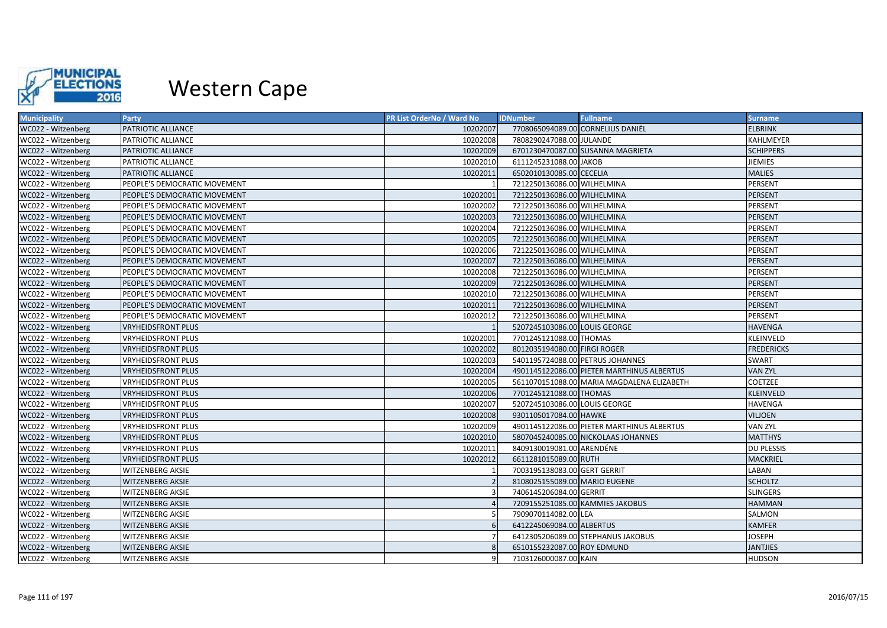

| <b>Municipality</b> | <b>Party</b>                 | <b>PR List OrderNo / Ward No</b> | <b>IDNumber</b>                   | <b>Fullname</b>                            | <b>Surname</b>    |
|---------------------|------------------------------|----------------------------------|-----------------------------------|--------------------------------------------|-------------------|
| WC022 - Witzenberg  | PATRIOTIC ALLIANCE           | 10202007                         | 7708065094089.00 CORNELIUS DANIËL |                                            | <b>ELBRINK</b>    |
| WC022 - Witzenberg  | PATRIOTIC ALLIANCE           | 10202008                         | 7808290247088.00 JULANDE          |                                            | <b>KAHLMEYER</b>  |
| WC022 - Witzenberg  | PATRIOTIC ALLIANCE           | 10202009                         |                                   | 6701230470087.00 SUSANNA MAGRIETA          | <b>SCHIPPERS</b>  |
| WC022 - Witzenberg  | PATRIOTIC ALLIANCE           | 10202010                         | 6111245231088.00 JAKOB            |                                            | <b>JIEMIES</b>    |
| WC022 - Witzenberg  | PATRIOTIC ALLIANCE           | 10202011                         | 6502010130085.00 CECELIA          |                                            | <b>MALIES</b>     |
| WC022 - Witzenberg  | PEOPLE'S DEMOCRATIC MOVEMENT |                                  | 7212250136086.00 WILHELMINA       |                                            | PERSENT           |
| WC022 - Witzenberg  | PEOPLE'S DEMOCRATIC MOVEMENT | 10202001                         | 7212250136086.00 WILHELMINA       |                                            | <b>PERSENT</b>    |
| WC022 - Witzenberg  | PEOPLE'S DEMOCRATIC MOVEMENT | 10202002                         | 7212250136086.00 WILHELMINA       |                                            | PERSENT           |
| WC022 - Witzenberg  | PEOPLE'S DEMOCRATIC MOVEMENT | 10202003                         | 7212250136086.00 WILHELMINA       |                                            | PERSENT           |
| WC022 - Witzenberg  | PEOPLE'S DEMOCRATIC MOVEMENT | 10202004                         | 7212250136086.00 WILHELMINA       |                                            | PERSENT           |
| WC022 - Witzenberg  | PEOPLE'S DEMOCRATIC MOVEMENT | 10202005                         | 7212250136086.00 WILHELMINA       |                                            | PERSENT           |
| WC022 - Witzenberg  | PEOPLE'S DEMOCRATIC MOVEMENT | 10202006                         | 7212250136086.00 WILHELMINA       |                                            | PERSENT           |
| WC022 - Witzenberg  | PEOPLE'S DEMOCRATIC MOVEMENT | 10202007                         | 7212250136086.00 WILHELMINA       |                                            | PERSENT           |
| WC022 - Witzenberg  | PEOPLE'S DEMOCRATIC MOVEMENT | 10202008                         | 7212250136086.00 WILHELMINA       |                                            | PERSENT           |
| WC022 - Witzenberg  | PEOPLE'S DEMOCRATIC MOVEMENT | 10202009                         | 7212250136086.00 WILHELMINA       |                                            | PERSENT           |
| WC022 - Witzenberg  | PEOPLE'S DEMOCRATIC MOVEMENT | 10202010                         | 7212250136086.00 WILHELMINA       |                                            | PERSENT           |
| WC022 - Witzenberg  | PEOPLE'S DEMOCRATIC MOVEMENT | 10202011                         | 7212250136086.00 WILHELMINA       |                                            | PERSENT           |
| WC022 - Witzenberg  | PEOPLE'S DEMOCRATIC MOVEMENT | 10202012                         | 7212250136086.00 WILHELMINA       |                                            | PERSENT           |
| WC022 - Witzenberg  | <b>VRYHEIDSFRONT PLUS</b>    |                                  | 5207245103086.00 LOUIS GEORGE     |                                            | <b>HAVENGA</b>    |
| WC022 - Witzenberg  | <b>VRYHEIDSFRONT PLUS</b>    | 10202001                         | 7701245121088.00 THOMAS           |                                            | KLEINVELD         |
| WC022 - Witzenberg  | VRYHEIDSFRONT PLUS           | 10202002                         | 8012035194080.00 FIRGI ROGER      |                                            | <b>FREDERICKS</b> |
| WC022 - Witzenberg  | <b>VRYHEIDSFRONT PLUS</b>    | 10202003                         | 5401195724088.00 PETRUS JOHANNES  |                                            | <b>SWART</b>      |
| WC022 - Witzenberg  | <b>VRYHEIDSFRONT PLUS</b>    | 10202004                         |                                   | 4901145122086.00 PIETER MARTHINUS ALBERTUS | <b>VAN ZYL</b>    |
| WC022 - Witzenberg  | <b>VRYHEIDSFRONT PLUS</b>    | 10202005                         |                                   | 5611070151088.00 MARIA MAGDALENA ELIZABETH | <b>COETZEE</b>    |
| WC022 - Witzenberg  | <b>VRYHEIDSFRONT PLUS</b>    | 10202006                         | 7701245121088.00 THOMAS           |                                            | <b>KLEINVELD</b>  |
| WC022 - Witzenberg  | <b>VRYHEIDSFRONT PLUS</b>    | 10202007                         | 5207245103086.00 LOUIS GEORGE     |                                            | <b>HAVENGA</b>    |
| WC022 - Witzenberg  | <b>VRYHEIDSFRONT PLUS</b>    | 10202008                         | 9301105017084.00 HAWKE            |                                            | <b>VILJOEN</b>    |
| WC022 - Witzenberg  | <b>VRYHEIDSFRONT PLUS</b>    | 10202009                         |                                   | 4901145122086.00 PIETER MARTHINUS ALBERTUS | <b>VAN ZYL</b>    |
| WC022 - Witzenberg  | <b>VRYHEIDSFRONT PLUS</b>    | 10202010                         |                                   | 5807045240085.00 NICKOLAAS JOHANNES        | <b>MATTHYS</b>    |
| WC022 - Witzenberg  | <b>VRYHEIDSFRONT PLUS</b>    | 10202011                         | 8409130019081.00 ARENDÉNE         |                                            | <b>DU PLESSIS</b> |
| WC022 - Witzenberg  | <b>VRYHEIDSFRONT PLUS</b>    | 10202012                         | 6611281015089.00 RUTH             |                                            | <b>MACKRIEL</b>   |
| WC022 - Witzenberg  | WITZENBERG AKSIE             |                                  | 7003195138083.00 GERT GERRIT      |                                            | LABAN             |
| WC022 - Witzenberg  | <b>WITZENBERG AKSIE</b>      |                                  | 8108025155089.00 MARIO EUGENE     |                                            | <b>SCHOLTZ</b>    |
| WC022 - Witzenberg  | WITZENBERG AKSIE             |                                  | 7406145206084.00 GERRIT           |                                            | <b>SLINGERS</b>   |
| WC022 - Witzenberg  | <b>WITZENBERG AKSIE</b>      |                                  | 7209155251085.00 KAMMIES JAKOBUS  |                                            | <b>HAMMAN</b>     |
| WC022 - Witzenberg  | <b>WITZENBERG AKSIE</b>      |                                  | 7909070114082.00 LEA              |                                            | SALMON            |
| WC022 - Witzenberg  | <b>WITZENBERG AKSIE</b>      |                                  | 6412245069084.00 ALBERTUS         |                                            | <b>KAMFER</b>     |
| WC022 - Witzenberg  | WITZENBERG AKSIE             |                                  |                                   | 6412305206089.00 STEPHANUS JAKOBUS         | <b>JOSEPH</b>     |
| WC022 - Witzenberg  | <b>WITZENBERG AKSIE</b>      |                                  | 6510155232087.00 ROY EDMUND       |                                            | <b>JANTJIES</b>   |
| WC022 - Witzenberg  | <b>WITZENBERG AKSIE</b>      | q                                | 7103126000087.00 KAIN             |                                            | <b>HUDSON</b>     |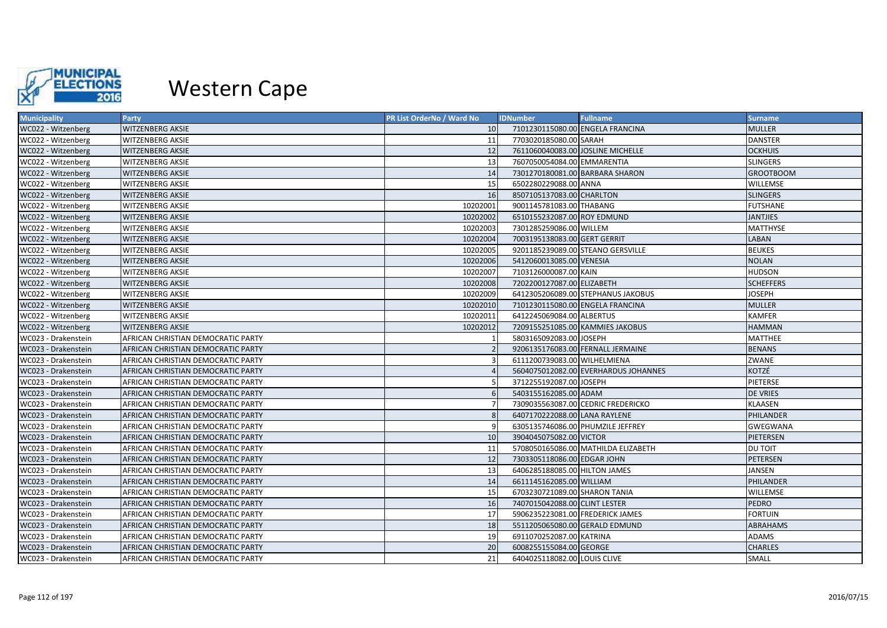

| <b>Municipality</b> | Party                              | <b>PR List OrderNo / Ward No</b> | <b>IDNumber</b>                   | <b>Fullname</b>                      | <b>Surname</b>   |
|---------------------|------------------------------------|----------------------------------|-----------------------------------|--------------------------------------|------------------|
| WC022 - Witzenberg  | WITZENBERG AKSIE                   | 10                               | 7101230115080.00 ENGELA FRANCINA  |                                      | <b>MULLER</b>    |
| WC022 - Witzenberg  | WITZENBERG AKSIE                   | 11                               | 7703020185080.00 SARAH            |                                      | <b>DANSTER</b>   |
| WC022 - Witzenberg  | WITZENBERG AKSIE                   | 12                               | 7611060040083.00 JOSLINE MICHELLE |                                      | <b>OCKHUIS</b>   |
| WC022 - Witzenberg  | WITZENBERG AKSIE                   | 13                               | 7607050054084.00 EMMARENTIA       |                                      | <b>SLINGERS</b>  |
| WC022 - Witzenberg  | WITZENBERG AKSIE                   | 14                               | 7301270180081.00 BARBARA SHARON   |                                      | <b>GROOTBOOM</b> |
| WC022 - Witzenberg  | <b>WITZENBERG AKSIE</b>            | 15                               | 6502280229088.00 ANNA             |                                      | <b>WILLEMSE</b>  |
| WC022 - Witzenberg  | <b>WITZENBERG AKSIE</b>            | 16                               | 8507105137083.00 CHARLTON         |                                      | <b>SLINGERS</b>  |
| WC022 - Witzenberg  | WITZENBERG AKSIE                   | 10202001                         | 9001145781083.00 THABANG          |                                      | <b>FUTSHANE</b>  |
| WC022 - Witzenberg  | WITZENBERG AKSIE                   | 10202002                         | 6510155232087.00 ROY EDMUND       |                                      | <b>JANTJIES</b>  |
| WC022 - Witzenberg  | WITZENBERG AKSIE                   | 10202003                         | 7301285259086.00 WILLEM           |                                      | <b>MATTHYSE</b>  |
| WC022 - Witzenberg  | WITZENBERG AKSIE                   | 10202004                         | 7003195138083.00 GERT GERRIT      |                                      | <b>LABAN</b>     |
| WC022 - Witzenberg  | WITZENBERG AKSIE                   | 10202005                         | 9201185239089.00 STEANO GERSVILLE |                                      | <b>BEUKES</b>    |
| WC022 - Witzenberg  | <b>WITZENBERG AKSIE</b>            | 10202006                         | 5412060013085.00 VENESIA          |                                      | <b>NOLAN</b>     |
| WC022 - Witzenberg  | WITZENBERG AKSIE                   | 10202007                         | 7103126000087.00 KAIN             |                                      | <b>HUDSON</b>    |
| WC022 - Witzenberg  | WITZENBERG AKSIE                   | 10202008                         | 7202200127087.00 ELIZABETH        |                                      | <b>SCHEFFERS</b> |
| WC022 - Witzenberg  | WITZENBERG AKSIE                   | 10202009                         |                                   | 6412305206089.00 STEPHANUS JAKOBUS   | <b>JOSEPH</b>    |
| WC022 - Witzenberg  | <b>WITZENBERG AKSIE</b>            | 10202010                         | 7101230115080.00 ENGELA FRANCINA  |                                      | <b>MULLER</b>    |
| WC022 - Witzenberg  | <b>WITZENBERG AKSIE</b>            | 10202011                         | 6412245069084.00 ALBERTUS         |                                      | <b>KAMFER</b>    |
| WC022 - Witzenberg  | WITZENBERG AKSIE                   | 10202012                         | 7209155251085.00 KAMMIES JAKOBUS  |                                      | <b>HAMMAN</b>    |
| WC023 - Drakenstein | AFRICAN CHRISTIAN DEMOCRATIC PARTY |                                  | 5803165092083.00 JOSEPH           |                                      | <b>MATTHEE</b>   |
| WC023 - Drakenstein | AFRICAN CHRISTIAN DEMOCRATIC PARTY |                                  |                                   | 9206135176083.00 FERNALL JERMAINE    | <b>BENANS</b>    |
| WC023 - Drakenstein | AFRICAN CHRISTIAN DEMOCRATIC PARTY |                                  | 6111200739083.00 WILHELMIENA      |                                      | ZWANE            |
| WC023 - Drakenstein | AFRICAN CHRISTIAN DEMOCRATIC PARTY |                                  |                                   | 5604075012082.00 EVERHARDUS JOHANNES | KOTZÉ            |
| WC023 - Drakenstein | AFRICAN CHRISTIAN DEMOCRATIC PARTY |                                  | 3712255192087.00 JOSEPH           |                                      | PIETERSE         |
| WC023 - Drakenstein | AFRICAN CHRISTIAN DEMOCRATIC PARTY |                                  | 5403155162085.00 ADAM             |                                      | <b>DE VRIES</b>  |
| WC023 - Drakenstein | AFRICAN CHRISTIAN DEMOCRATIC PARTY |                                  |                                   | 7309035563087.00 CEDRIC FREDERICKO   | <b>KLAASEN</b>   |
| WC023 - Drakenstein | AFRICAN CHRISTIAN DEMOCRATIC PARTY |                                  | 6407170222088.00 LANA RAYLENE     |                                      | PHILANDER        |
| WC023 - Drakenstein | AFRICAN CHRISTIAN DEMOCRATIC PARTY |                                  | 6305135746086.00 PHUMZILE JEFFREY |                                      | <b>GWEGWANA</b>  |
| WC023 - Drakenstein | AFRICAN CHRISTIAN DEMOCRATIC PARTY | 10                               | 3904045075082.00 VICTOR           |                                      | PIETERSEN        |
| WC023 - Drakenstein | AFRICAN CHRISTIAN DEMOCRATIC PARTY | 11                               |                                   | 5708050165086.00 MATHILDA ELIZABETH  | <b>DU TOIT</b>   |
| WC023 - Drakenstein | AFRICAN CHRISTIAN DEMOCRATIC PARTY | 12                               | 7303305118086.00 EDGAR JOHN       |                                      | PETERSEN         |
| WC023 - Drakenstein | AFRICAN CHRISTIAN DEMOCRATIC PARTY | 13                               | 6406285188085.00 HILTON JAMES     |                                      | JANSEN           |
| WC023 - Drakenstein | AFRICAN CHRISTIAN DEMOCRATIC PARTY | 14                               | 6611145162085.00 WILLIAM          |                                      | PHILANDER        |
| WC023 - Drakenstein | AFRICAN CHRISTIAN DEMOCRATIC PARTY | 15                               | 6703230721089.00 SHARON TANIA     |                                      | <b>WILLEMSE</b>  |
| WC023 - Drakenstein | AFRICAN CHRISTIAN DEMOCRATIC PARTY | 16                               | 7407015042088.00 CLINT LESTER     |                                      | <b>PEDRO</b>     |
| WC023 - Drakenstein | AFRICAN CHRISTIAN DEMOCRATIC PARTY | 17                               | 5906235223081.00 FREDERICK JAMES  |                                      | <b>FORTUIN</b>   |
| WC023 - Drakenstein | AFRICAN CHRISTIAN DEMOCRATIC PARTY | 18                               | 5511205065080.00 GERALD EDMUND    |                                      | ABRAHAMS         |
| WC023 - Drakenstein | AFRICAN CHRISTIAN DEMOCRATIC PARTY | 19                               | 6911070252087.00 KATRINA          |                                      | <b>ADAMS</b>     |
| WC023 - Drakenstein | AFRICAN CHRISTIAN DEMOCRATIC PARTY | 20                               | 6008255155084.00 GEORGE           |                                      | <b>CHARLES</b>   |
| WC023 - Drakenstein | AFRICAN CHRISTIAN DEMOCRATIC PARTY | 21                               | 6404025118082.00 LOUIS CLIVE      |                                      | SMALL            |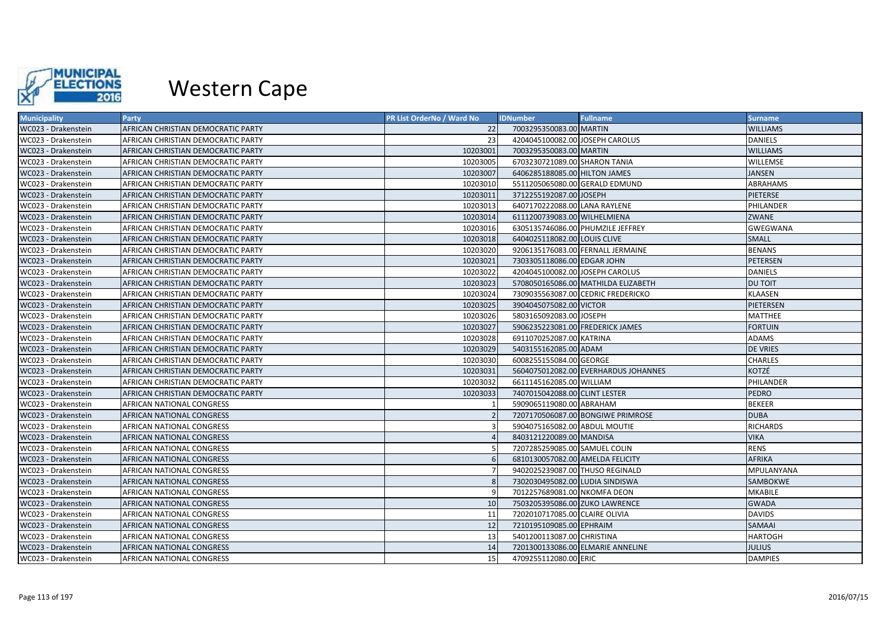

| <b>Municipality</b> | Party                              | <b>PR List OrderNo / Ward No</b> | <b>IDNumber</b>                   | <b>Fullname</b>                      | <b>Surname</b>  |
|---------------------|------------------------------------|----------------------------------|-----------------------------------|--------------------------------------|-----------------|
| WC023 - Drakenstein | AFRICAN CHRISTIAN DEMOCRATIC PARTY | 22                               | 7003295350083.00 MARTIN           |                                      | <b>WILLIAMS</b> |
| WC023 - Drakenstein | AFRICAN CHRISTIAN DEMOCRATIC PARTY | 23                               | 4204045100082.00 JOSEPH CAROLUS   |                                      | <b>DANIELS</b>  |
| WC023 - Drakenstein | AFRICAN CHRISTIAN DEMOCRATIC PARTY | 10203001                         | 7003295350083.00 MARTIN           |                                      | <b>WILLIAMS</b> |
| WC023 - Drakenstein | AFRICAN CHRISTIAN DEMOCRATIC PARTY | 10203005                         | 6703230721089.00 SHARON TANIA     |                                      | <b>WILLEMSE</b> |
| WC023 - Drakenstein | AFRICAN CHRISTIAN DEMOCRATIC PARTY | 10203007                         | 6406285188085.00 HILTON JAMES     |                                      | <b>JANSEN</b>   |
| WC023 - Drakenstein | AFRICAN CHRISTIAN DEMOCRATIC PARTY | 10203010                         | 5511205065080.00 GERALD EDMUND    |                                      | ABRAHAMS        |
| WC023 - Drakenstein | AFRICAN CHRISTIAN DEMOCRATIC PARTY | 10203011                         | 3712255192087.00 JOSEPH           |                                      | <b>PIETERSE</b> |
| WC023 - Drakenstein | AFRICAN CHRISTIAN DEMOCRATIC PARTY | 10203013                         | 6407170222088.00 LANA RAYLENE     |                                      | PHILANDER       |
| WC023 - Drakenstein | AFRICAN CHRISTIAN DEMOCRATIC PARTY | 10203014                         | 6111200739083.00 WILHELMIENA      |                                      | ZWANE           |
| WC023 - Drakenstein | AFRICAN CHRISTIAN DEMOCRATIC PARTY | 10203016                         | 6305135746086.00 PHUMZILE JEFFREY |                                      | <b>GWEGWANA</b> |
| WC023 - Drakenstein | AFRICAN CHRISTIAN DEMOCRATIC PARTY | 10203018                         | 6404025118082.00 LOUIS CLIVE      |                                      | <b>SMALL</b>    |
| WC023 - Drakenstein | AFRICAN CHRISTIAN DEMOCRATIC PARTY | 10203020                         |                                   | 9206135176083.00 FERNALL JERMAINE    | <b>BENANS</b>   |
| WC023 - Drakenstein | AFRICAN CHRISTIAN DEMOCRATIC PARTY | 10203021                         | 7303305118086.00 EDGAR JOHN       |                                      | <b>PETERSEN</b> |
| WC023 - Drakenstein | AFRICAN CHRISTIAN DEMOCRATIC PARTY | 10203022                         | 4204045100082.00 JOSEPH CAROLUS   |                                      | DANIELS         |
| WC023 - Drakenstein | AFRICAN CHRISTIAN DEMOCRATIC PARTY | 10203023                         |                                   | 5708050165086.00 MATHILDA ELIZABETH  | <b>DU TOIT</b>  |
| WC023 - Drakenstein | AFRICAN CHRISTIAN DEMOCRATIC PARTY | 10203024                         |                                   | 7309035563087.00 CEDRIC FREDERICKO   | <b>KLAASEN</b>  |
| WC023 - Drakenstein | AFRICAN CHRISTIAN DEMOCRATIC PARTY | 10203025                         | 3904045075082.00 VICTOR           |                                      | PIETERSEN       |
| WC023 - Drakenstein | AFRICAN CHRISTIAN DEMOCRATIC PARTY | 10203026                         | 5803165092083.00 JOSEPH           |                                      | MATTHEE         |
| WC023 - Drakenstein | AFRICAN CHRISTIAN DEMOCRATIC PARTY | 10203027                         | 5906235223081.00 FREDERICK JAMES  |                                      | <b>FORTUIN</b>  |
| WC023 - Drakenstein | AFRICAN CHRISTIAN DEMOCRATIC PARTY | 10203028                         | 6911070252087.00 KATRINA          |                                      | <b>ADAMS</b>    |
| WC023 - Drakenstein | AFRICAN CHRISTIAN DEMOCRATIC PARTY | 10203029                         | 5403155162085.00 ADAM             |                                      | DE VRIES        |
| WC023 - Drakenstein | AFRICAN CHRISTIAN DEMOCRATIC PARTY | 10203030                         | 6008255155084.00 GEORGE           |                                      | <b>CHARLES</b>  |
| WC023 - Drakenstein | AFRICAN CHRISTIAN DEMOCRATIC PARTY | 10203031                         |                                   | 5604075012082.00 EVERHARDUS JOHANNES | KOTZÉ           |
| WC023 - Drakenstein | AFRICAN CHRISTIAN DEMOCRATIC PARTY | 10203032                         | 6611145162085.00 WILLIAM          |                                      | PHILANDER       |
| WC023 - Drakenstein | AFRICAN CHRISTIAN DEMOCRATIC PARTY | 10203033                         | 7407015042088.00 CLINT LESTER     |                                      | PEDRO           |
| WC023 - Drakenstein | AFRICAN NATIONAL CONGRESS          |                                  | 5909065119080.00 ABRAHAM          |                                      | <b>BEKEER</b>   |
| WC023 - Drakenstein | AFRICAN NATIONAL CONGRESS          |                                  |                                   | 7207170506087.00 BONGIWE PRIMROSE    | <b>DUBA</b>     |
| WC023 - Drakenstein | AFRICAN NATIONAL CONGRESS          |                                  | 5904075165082.00 ABDUL MOUTIE     |                                      | <b>RICHARDS</b> |
| WC023 - Drakenstein | AFRICAN NATIONAL CONGRESS          |                                  | 8403121220089.00 MANDISA          |                                      | <b>VIKA</b>     |
| WC023 - Drakenstein | AFRICAN NATIONAL CONGRESS          |                                  | 7207285259085.00 SAMUEL COLIN     |                                      | <b>RENS</b>     |
| WC023 - Drakenstein | AFRICAN NATIONAL CONGRESS          | 6                                | 6810130057082.00 AMELDA FELICITY  |                                      | <b>AFRIKA</b>   |
| WC023 - Drakenstein | AFRICAN NATIONAL CONGRESS          | $\overline{7}$                   | 9402025239087.00 THUSO REGINALD   |                                      | MPULANYANA      |
| WC023 - Drakenstein | AFRICAN NATIONAL CONGRESS          | 8                                | 7302030495082.00 LUDIA SINDISWA   |                                      | SAMBOKWE        |
| WC023 - Drakenstein | AFRICAN NATIONAL CONGRESS          |                                  | 7012257689081.00 NKOMFA DEON      |                                      | <b>MKABILE</b>  |
| WC023 - Drakenstein | AFRICAN NATIONAL CONGRESS          | 10                               | 7503205395086.00 ZUKO LAWRENCE    |                                      | <b>GWADA</b>    |
| WC023 - Drakenstein | AFRICAN NATIONAL CONGRESS          | 11                               | 7202010717085.00 CLAIRE OLIVIA    |                                      | <b>DAVIDS</b>   |
| WC023 - Drakenstein | AFRICAN NATIONAL CONGRESS          | 12                               | 7210195109085.00 EPHRAIM          |                                      | SAMAAI          |
| WC023 - Drakenstein | AFRICAN NATIONAL CONGRESS          | 13                               | 5401200113087.00 CHRISTINA        |                                      | <b>HARTOGH</b>  |
| WC023 - Drakenstein | AFRICAN NATIONAL CONGRESS          | 14                               |                                   | 7201300133086.00 ELMARIE ANNELINE    | <b>JULIUS</b>   |
| WC023 - Drakenstein | AFRICAN NATIONAL CONGRESS          | 15 <sub>l</sub>                  | 4709255112080.00 ERIC             |                                      | <b>DAMPIES</b>  |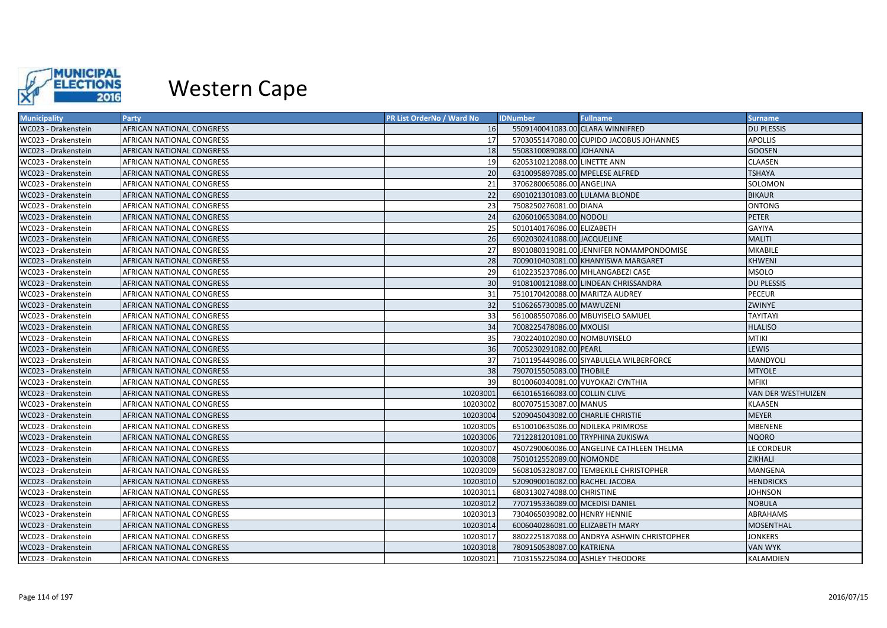

| <b>Municipality</b> | Party                     | PR List OrderNo / Ward No | <b>IDNumber</b>                   | <b>Fullname</b>                            | <b>Surname</b>            |
|---------------------|---------------------------|---------------------------|-----------------------------------|--------------------------------------------|---------------------------|
| WC023 - Drakenstein | AFRICAN NATIONAL CONGRESS | 16                        | 5509140041083.00 CLARA WINNIFRED  |                                            | <b>DU PLESSIS</b>         |
| WC023 - Drakenstein | AFRICAN NATIONAL CONGRESS | 17                        |                                   | 5703055147080.00 CUPIDO JACOBUS JOHANNES   | <b>APOLLIS</b>            |
| WC023 - Drakenstein | AFRICAN NATIONAL CONGRESS | 18                        | 5508310089088.00 JOHANNA          |                                            | <b>GOOSEN</b>             |
| WC023 - Drakenstein | AFRICAN NATIONAL CONGRESS | 19                        | 6205310212088.00 LINETTE ANN      |                                            | <b>CLAASEN</b>            |
| WC023 - Drakenstein | AFRICAN NATIONAL CONGRESS | 20                        | 6310095897085.00 MPELESE ALFRED   |                                            | <b>TSHAYA</b>             |
| WC023 - Drakenstein | AFRICAN NATIONAL CONGRESS | 21                        | 3706280065086.00 ANGELINA         |                                            | SOLOMON                   |
| WC023 - Drakenstein | AFRICAN NATIONAL CONGRESS | 22                        | 6901021301083.00 LULAMA BLONDE    |                                            | <b>BIKAUR</b>             |
| WC023 - Drakenstein | AFRICAN NATIONAL CONGRESS | 23                        | 7508250276081.00 DIANA            |                                            | <b>ONTONG</b>             |
| WC023 - Drakenstein | AFRICAN NATIONAL CONGRESS | 24                        | 6206010653084.00 NODOLI           |                                            | <b>PETER</b>              |
| WC023 - Drakenstein | AFRICAN NATIONAL CONGRESS | 25                        | 5010140176086.00 ELIZABETH        |                                            | <b>GAYIYA</b>             |
| WC023 - Drakenstein | AFRICAN NATIONAL CONGRESS | 26                        | 6902030241088.00 JACQUELINE       |                                            | <b>MALITI</b>             |
| WC023 - Drakenstein | AFRICAN NATIONAL CONGRESS | 27                        |                                   | 8901080319081.00 JENNIFER NOMAMPONDOMISE   | <b>MKABILE</b>            |
| WC023 - Drakenstein | AFRICAN NATIONAL CONGRESS | 28                        |                                   | 7009010403081.00 KHANYISWA MARGARET        | <b>KHWENI</b>             |
| WC023 - Drakenstein | AFRICAN NATIONAL CONGRESS | 29                        |                                   | 6102235237086.00 MHLANGABEZI CASE          | <b>MSOLO</b>              |
| WC023 - Drakenstein | AFRICAN NATIONAL CONGRESS | 30                        |                                   | 9108100121088.00 LINDEAN CHRISSANDRA       | <b>DU PLESSIS</b>         |
| WC023 - Drakenstein | AFRICAN NATIONAL CONGRESS | 31                        | 7510170420088.00 MARITZA AUDREY   |                                            | <b>PECEUR</b>             |
| WC023 - Drakenstein | AFRICAN NATIONAL CONGRESS | 32                        | 5106265730085.00 MAWUZENI         |                                            | ZWINYE                    |
| WC023 - Drakenstein | AFRICAN NATIONAL CONGRESS | 33                        |                                   | 5610085507086.00 MBUYISELO SAMUEL          | <b>TAYITAYI</b>           |
| WC023 - Drakenstein | AFRICAN NATIONAL CONGRESS | 34                        | 7008225478086.00 MXOLISI          |                                            | <b>HLALISO</b>            |
| WC023 - Drakenstein | AFRICAN NATIONAL CONGRESS | 35                        | 7302240102080.00 NOMBUYISELO      |                                            | <b>MTIKI</b>              |
| WC023 - Drakenstein | AFRICAN NATIONAL CONGRESS | 36                        | 7005230291082.00 PEARL            |                                            | LEWIS                     |
| WC023 - Drakenstein | AFRICAN NATIONAL CONGRESS | 37                        |                                   | 7101195449086.00 SIYABULELA WILBERFORCE    | MANDYOLI                  |
| WC023 - Drakenstein | AFRICAN NATIONAL CONGRESS | 38                        | 7907015505083.00 THOBILE          |                                            | <b>MTYOLE</b>             |
| WC023 - Drakenstein | AFRICAN NATIONAL CONGRESS | 39                        |                                   | 8010060340081.00 VUYOKAZI CYNTHIA          | <b>MFIKI</b>              |
| WC023 - Drakenstein | AFRICAN NATIONAL CONGRESS | 10203001                  | 6610165166083.00 COLLIN CLIVE     |                                            | <b>VAN DER WESTHUIZEN</b> |
| WC023 - Drakenstein | AFRICAN NATIONAL CONGRESS | 10203002                  | 8007075153087.00 MANUS            |                                            | <b>KLAASEN</b>            |
| WC023 - Drakenstein | AFRICAN NATIONAL CONGRESS | 10203004                  | 5209045043082.00 CHARLIE CHRISTIE |                                            | <b>MEYER</b>              |
| WC023 - Drakenstein | AFRICAN NATIONAL CONGRESS | 10203005                  |                                   | 6510010635086.00 NDILEKA PRIMROSE          | MBENENE                   |
| WC023 - Drakenstein | AFRICAN NATIONAL CONGRESS | 10203006                  |                                   | 7212281201081.00 TRYPHINA ZUKISWA          | <b>NQORO</b>              |
| WC023 - Drakenstein | AFRICAN NATIONAL CONGRESS | 10203007                  |                                   | 4507290060086.00 ANGELINE CATHLEEN THELMA  | LE CORDEUR                |
| WC023 - Drakenstein | AFRICAN NATIONAL CONGRESS | 10203008                  | 7501012552089.00 NOMONDE          |                                            | <b>ZIKHALI</b>            |
| WC023 - Drakenstein | AFRICAN NATIONAL CONGRESS | 10203009                  |                                   | 5608105328087.00 TEMBEKILE CHRISTOPHER     | MANGENA                   |
| WC023 - Drakenstein | AFRICAN NATIONAL CONGRESS | 10203010                  | 5209090016082.00 RACHEL JACOBA    |                                            | <b>HENDRICKS</b>          |
| WC023 - Drakenstein | AFRICAN NATIONAL CONGRESS | 10203011                  | 6803130274088.00 CHRISTINE        |                                            | <b>JOHNSON</b>            |
| WC023 - Drakenstein | AFRICAN NATIONAL CONGRESS | 10203012                  | 7707195336089.00 MCEDISI DANIEL   |                                            | <b>NOBULA</b>             |
| WC023 - Drakenstein | AFRICAN NATIONAL CONGRESS | 10203013                  | 7304065039082.00 HENRY HENNIE     |                                            | ABRAHAMS                  |
| WC023 - Drakenstein | AFRICAN NATIONAL CONGRESS | 10203014                  | 6006040286081.00 ELIZABETH MARY   |                                            | <b>MOSENTHAL</b>          |
| WC023 - Drakenstein | AFRICAN NATIONAL CONGRESS | 10203017                  |                                   | 8802225187088.00 ANDRYA ASHWIN CHRISTOPHER | <b>JONKERS</b>            |
| WC023 - Drakenstein | AFRICAN NATIONAL CONGRESS | 10203018                  | 7809150538087.00 KATRIENA         |                                            | <b>VAN WYK</b>            |
| WC023 - Drakenstein | AFRICAN NATIONAL CONGRESS | 10203021                  | 7103155225084.00 ASHLEY THEODORE  |                                            | <b>KALAMDIEN</b>          |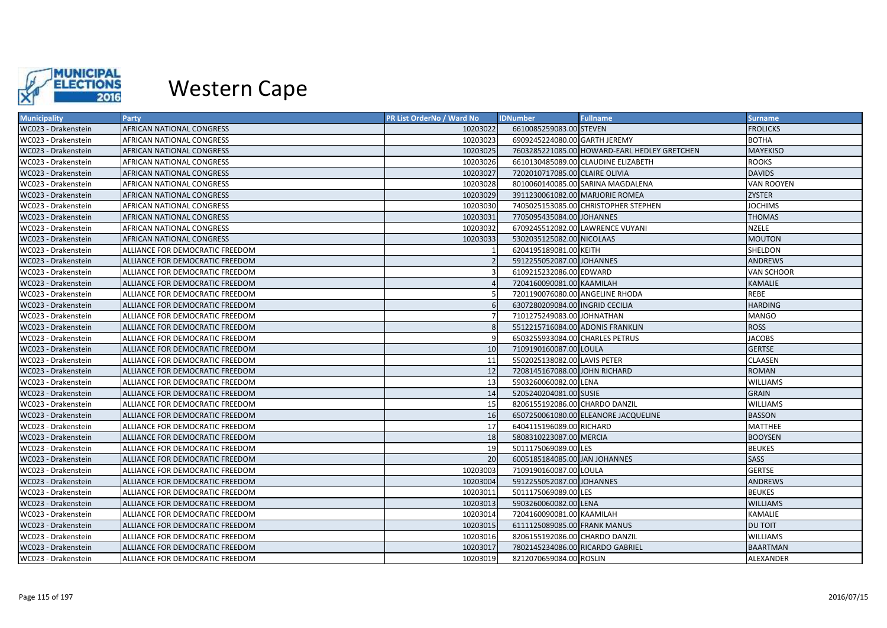

| <b>Municipality</b> | <b>Party</b>                    | <b>PR List OrderNo / Ward No</b> | <b>IDNumber</b>                  | <b>Fullname</b>                              | <b>Surname</b>    |
|---------------------|---------------------------------|----------------------------------|----------------------------------|----------------------------------------------|-------------------|
| WC023 - Drakenstein | AFRICAN NATIONAL CONGRESS       | 10203022                         | 6610085259083.00 STEVEN          |                                              | <b>FROLICKS</b>   |
| WC023 - Drakenstein | AFRICAN NATIONAL CONGRESS       | 10203023                         | 6909245224080.00 GARTH JEREMY    |                                              | <b>BOTHA</b>      |
| WC023 - Drakenstein | AFRICAN NATIONAL CONGRESS       | 10203025                         |                                  | 7603285221085.00 HOWARD-EARL HEDLEY GRETCHEN | <b>MAYEKISO</b>   |
| WC023 - Drakenstein | AFRICAN NATIONAL CONGRESS       | 10203026                         |                                  | 6610130485089.00 CLAUDINE ELIZABETH          | <b>ROOKS</b>      |
| WC023 - Drakenstein | AFRICAN NATIONAL CONGRESS       | 10203027                         | 7202010717085.00 CLAIRE OLIVIA   |                                              | <b>DAVIDS</b>     |
| WC023 - Drakenstein | AFRICAN NATIONAL CONGRESS       | 10203028                         |                                  | 8010060140085.00 SARINA MAGDALENA            | <b>VAN ROOYEN</b> |
| WC023 - Drakenstein | AFRICAN NATIONAL CONGRESS       | 10203029                         | 3911230061082.00 MARJORIE ROMEA  |                                              | <b>ZYSTER</b>     |
| WC023 - Drakenstein | AFRICAN NATIONAL CONGRESS       | 10203030                         |                                  | 7405025153085.00 CHRISTOPHER STEPHEN         | <b>JOCHIMS</b>    |
| WC023 - Drakenstein | AFRICAN NATIONAL CONGRESS       | 10203031                         | 7705095435084.00 JOHANNES        |                                              | <b>THOMAS</b>     |
| WC023 - Drakenstein | AFRICAN NATIONAL CONGRESS       | 10203032                         |                                  | 6709245512082.00 LAWRENCE VUYANI             | <b>NZELE</b>      |
| WC023 - Drakenstein | AFRICAN NATIONAL CONGRESS       | 10203033                         | 5302035125082.00 NICOLAAS        |                                              | <b>MOUTON</b>     |
| WC023 - Drakenstein | ALLIANCE FOR DEMOCRATIC FREEDOM |                                  | 6204195189081.00 KEITH           |                                              | <b>SHELDON</b>    |
| WC023 - Drakenstein | ALLIANCE FOR DEMOCRATIC FREEDOM |                                  | 5912255052087.00 JOHANNES        |                                              | <b>ANDREWS</b>    |
| WC023 - Drakenstein | ALLIANCE FOR DEMOCRATIC FREEDOM |                                  | 6109215232086.00 EDWARD          |                                              | <b>VAN SCHOOR</b> |
| WC023 - Drakenstein | ALLIANCE FOR DEMOCRATIC FREEDOM |                                  | 7204160090081.00 KAAMILAH        |                                              | <b>KAMALIE</b>    |
| WC023 - Drakenstein | ALLIANCE FOR DEMOCRATIC FREEDOM |                                  | 7201190076080.00 ANGELINE RHODA  |                                              | REBE              |
| WC023 - Drakenstein | ALLIANCE FOR DEMOCRATIC FREEDOM |                                  | 6307280209084.00 INGRID CECILIA  |                                              | <b>HARDING</b>    |
| WC023 - Drakenstein | ALLIANCE FOR DEMOCRATIC FREEDOM |                                  | 7101275249083.00 JOHNATHAN       |                                              | <b>MANGO</b>      |
| WC023 - Drakenstein | ALLIANCE FOR DEMOCRATIC FREEDOM |                                  | 5512215716084.00 ADONIS FRANKLIN |                                              | <b>ROSS</b>       |
| WC023 - Drakenstein | ALLIANCE FOR DEMOCRATIC FREEDOM | q                                | 6503255933084.00 CHARLES PETRUS  |                                              | <b>JACOBS</b>     |
| WC023 - Drakenstein | ALLIANCE FOR DEMOCRATIC FREEDOM | 10                               | 7109190160087.00 LOULA           |                                              | <b>GERTSE</b>     |
| WC023 - Drakenstein | ALLIANCE FOR DEMOCRATIC FREEDOM | 11                               | 5502025138082.00 LAVIS PETER     |                                              | <b>CLAASEN</b>    |
| WC023 - Drakenstein | ALLIANCE FOR DEMOCRATIC FREEDOM | 12                               | 7208145167088.00 JOHN RICHARD    |                                              | <b>ROMAN</b>      |
| WC023 - Drakenstein | ALLIANCE FOR DEMOCRATIC FREEDOM | 13                               | 5903260060082.00 LENA            |                                              | <b>WILLIAMS</b>   |
| WC023 - Drakenstein | ALLIANCE FOR DEMOCRATIC FREEDOM | 14                               | 5205240204081.00 SUSIE           |                                              | <b>GRAIN</b>      |
| WC023 - Drakenstein | ALLIANCE FOR DEMOCRATIC FREEDOM | 15                               | 8206155192086.00 CHARDO DANZIL   |                                              | <b>WILLIAMS</b>   |
| WC023 - Drakenstein | ALLIANCE FOR DEMOCRATIC FREEDOM | 16                               |                                  | 6507250061080.00 ELEANORE JACQUELINE         | <b>BASSON</b>     |
| WC023 - Drakenstein | ALLIANCE FOR DEMOCRATIC FREEDOM | 17                               | 6404115196089.00 RICHARD         |                                              | <b>MATTHEE</b>    |
| WC023 - Drakenstein | ALLIANCE FOR DEMOCRATIC FREEDOM | 18                               | 5808310223087.00 MERCIA          |                                              | <b>BOOYSEN</b>    |
| WC023 - Drakenstein | ALLIANCE FOR DEMOCRATIC FREEDOM | 19                               | 5011175069089.00 LES             |                                              | <b>BEUKES</b>     |
| WC023 - Drakenstein | ALLIANCE FOR DEMOCRATIC FREEDOM | 20                               | 6005185184085.00 JAN JOHANNES    |                                              | <b>SASS</b>       |
| WC023 - Drakenstein | ALLIANCE FOR DEMOCRATIC FREEDOM | 10203003                         | 7109190160087.00 LOULA           |                                              | <b>GERTSE</b>     |
| WC023 - Drakenstein | ALLIANCE FOR DEMOCRATIC FREEDOM | 10203004                         | 5912255052087.00 JOHANNES        |                                              | <b>ANDREWS</b>    |
| WC023 - Drakenstein | ALLIANCE FOR DEMOCRATIC FREEDOM | 10203011                         | 5011175069089.00 LES             |                                              | <b>BEUKES</b>     |
| WC023 - Drakenstein | ALLIANCE FOR DEMOCRATIC FREEDOM | 10203013                         | 5903260060082.00 LENA            |                                              | <b>WILLIAMS</b>   |
| WC023 - Drakenstein | ALLIANCE FOR DEMOCRATIC FREEDOM | 10203014                         | 7204160090081.00 KAAMILAH        |                                              | KAMALIE           |
| WC023 - Drakenstein | ALLIANCE FOR DEMOCRATIC FREEDOM | 10203015                         | 6111125089085.00 FRANK MANUS     |                                              | <b>DU TOIT</b>    |
| WC023 - Drakenstein | ALLIANCE FOR DEMOCRATIC FREEDOM | 10203016                         | 8206155192086.00 CHARDO DANZIL   |                                              | <b>WILLIAMS</b>   |
| WC023 - Drakenstein | ALLIANCE FOR DEMOCRATIC FREEDOM | 10203017                         | 7802145234086.00 RICARDO GABRIEL |                                              | <b>BAARTMAN</b>   |
| WC023 - Drakenstein | ALLIANCE FOR DEMOCRATIC FREEDOM | 10203019                         | 8212070659084.00 ROSLIN          |                                              | <b>ALEXANDER</b>  |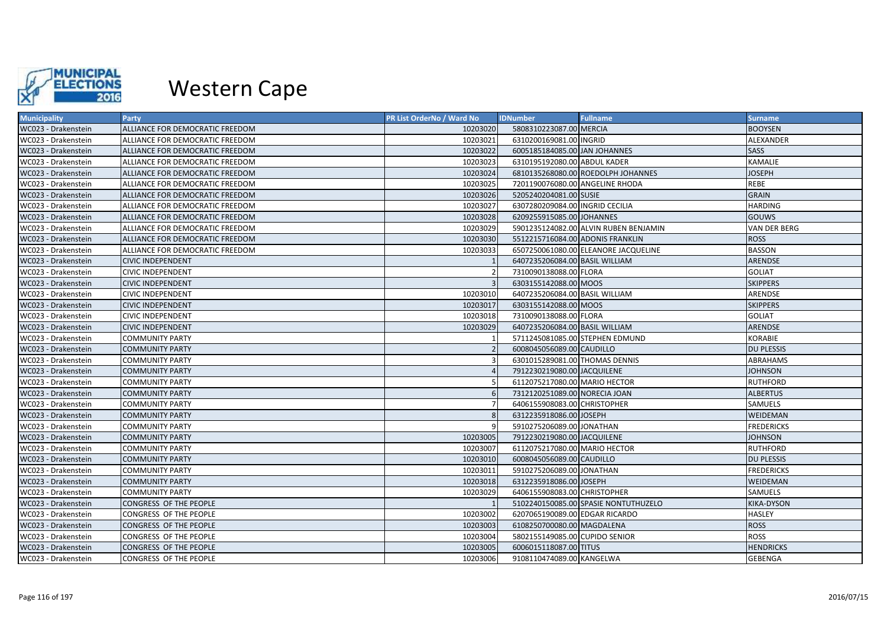

| <b>Municipality</b> | <b>Party</b>                    | <b>PR List OrderNo / Ward No</b> | <b>IDNumber</b><br><b>Fullname</b>    | <b>Surname</b>    |
|---------------------|---------------------------------|----------------------------------|---------------------------------------|-------------------|
| WC023 - Drakenstein | ALLIANCE FOR DEMOCRATIC FREEDOM | 10203020                         | 5808310223087.00 MERCIA               | <b>BOOYSEN</b>    |
| WC023 - Drakenstein | ALLIANCE FOR DEMOCRATIC FREEDOM | 10203021                         | 6310200169081.00 INGRID               | ALEXANDER         |
| WC023 - Drakenstein | ALLIANCE FOR DEMOCRATIC FREEDOM | 10203022                         | 6005185184085.00 JAN JOHANNES         | SASS              |
| WC023 - Drakenstein | ALLIANCE FOR DEMOCRATIC FREEDOM | 10203023                         | 6310195192080.00 ABDUL KADER          | KAMALIE           |
| WC023 - Drakenstein | ALLIANCE FOR DEMOCRATIC FREEDOM | 10203024                         | 6810135268080.00 ROEDOLPH JOHANNES    | <b>JOSEPH</b>     |
| WC023 - Drakenstein | ALLIANCE FOR DEMOCRATIC FREEDOM | 10203025                         | 7201190076080.00 ANGELINE RHODA       | <b>REBE</b>       |
| WC023 - Drakenstein | ALLIANCE FOR DEMOCRATIC FREEDOM | 10203026                         | 5205240204081.00 SUSIE                | <b>GRAIN</b>      |
| WC023 - Drakenstein | ALLIANCE FOR DEMOCRATIC FREEDOM | 10203027                         | 6307280209084.00 INGRID CECILIA       | <b>HARDING</b>    |
| WC023 - Drakenstein | ALLIANCE FOR DEMOCRATIC FREEDOM | 10203028                         | 6209255915085.00 JOHANNES             | <b>GOUWS</b>      |
| WC023 - Drakenstein | ALLIANCE FOR DEMOCRATIC FREEDOM | 10203029                         | 5901235124082.00 ALVIN RUBEN BENJAMIN | VAN DER BERG      |
| WC023 - Drakenstein | ALLIANCE FOR DEMOCRATIC FREEDOM | 10203030                         | 5512215716084.00 ADONIS FRANKLIN      | <b>ROSS</b>       |
| WC023 - Drakenstein | ALLIANCE FOR DEMOCRATIC FREEDOM | 10203033                         | 6507250061080.00 ELEANORE JACQUELINE  | <b>BASSON</b>     |
| WC023 - Drakenstein | <b>CIVIC INDEPENDENT</b>        |                                  | 6407235206084.00 BASIL WILLIAM        | <b>ARENDSE</b>    |
| WC023 - Drakenstein | <b>CIVIC INDEPENDENT</b>        |                                  | 7310090138088.00 FLORA                | <b>GOLIAT</b>     |
| WC023 - Drakenstein | CIVIC INDEPENDENT               |                                  | 6303155142088.00 MOOS                 | <b>SKIPPERS</b>   |
| WC023 - Drakenstein | CIVIC INDEPENDENT               | 10203010                         | 6407235206084.00 BASIL WILLIAM        | ARENDSE           |
| WC023 - Drakenstein | <b>CIVIC INDEPENDENT</b>        | 10203017                         | 6303155142088.00 MOOS                 | <b>SKIPPERS</b>   |
| WC023 - Drakenstein | <b>CIVIC INDEPENDENT</b>        | 10203018                         | 7310090138088.00 FLORA                | <b>GOLIAT</b>     |
| WC023 - Drakenstein | <b>CIVIC INDEPENDENT</b>        | 10203029                         | 6407235206084.00 BASIL WILLIAM        | ARENDSE           |
| WC023 - Drakenstein | <b>COMMUNITY PARTY</b>          |                                  | 5711245081085.00 STEPHEN EDMUND       | <b>KORABIE</b>    |
| WC023 - Drakenstein | COMMUNITY PARTY                 |                                  | 6008045056089.00 CAUDILLO             | <b>DU PLESSIS</b> |
| WC023 - Drakenstein | <b>COMMUNITY PARTY</b>          |                                  | 6301015289081.00 THOMAS DENNIS        | ABRAHAMS          |
| WC023 - Drakenstein | <b>COMMUNITY PARTY</b>          |                                  | 7912230219080.00 JACQUILENE           | <b>JOHNSON</b>    |
| WC023 - Drakenstein | <b>COMMUNITY PARTY</b>          |                                  | 6112075217080.00 MARIO HECTOR         | <b>RUTHFORD</b>   |
| WC023 - Drakenstein | <b>COMMUNITY PARTY</b>          |                                  | 7312120251089.00 NORECIA JOAN         | <b>ALBERTUS</b>   |
| WC023 - Drakenstein | COMMUNITY PARTY                 |                                  | 6406155908083.00 CHRISTOPHER          | SAMUELS           |
| WC023 - Drakenstein | <b>COMMUNITY PARTY</b>          |                                  | 6312235918086.00 JOSEPH               | WEIDEMAN          |
| WC023 - Drakenstein | <b>COMMUNITY PARTY</b>          |                                  | 5910275206089.00 JONATHAN             | <b>FREDERICKS</b> |
| WC023 - Drakenstein | <b>COMMUNITY PARTY</b>          | 10203005                         | 7912230219080.00 JACQUILENE           | <b>JOHNSON</b>    |
| WC023 - Drakenstein | <b>COMMUNITY PARTY</b>          | 10203007                         | 6112075217080.00 MARIO HECTOR         | <b>RUTHFORD</b>   |
| WC023 - Drakenstein | <b>COMMUNITY PARTY</b>          | 10203010                         | 6008045056089.00 CAUDILLO             | <b>DU PLESSIS</b> |
| WC023 - Drakenstein | COMMUNITY PARTY                 | 10203011                         | 5910275206089.00 JONATHAN             | <b>FREDERICKS</b> |
| WC023 - Drakenstein | <b>COMMUNITY PARTY</b>          | 10203018                         | 6312235918086.00 JOSEPH               | WEIDEMAN          |
| WC023 - Drakenstein | <b>COMMUNITY PARTY</b>          | 10203029                         | 6406155908083.00 CHRISTOPHER          | SAMUELS           |
| WC023 - Drakenstein | CONGRESS OF THE PEOPLE          |                                  | 5102240150085.00 SPASIE NONTUTHUZELO  | <b>KIKA-DYSON</b> |
| WC023 - Drakenstein | CONGRESS OF THE PEOPLE          | 10203002                         | 6207065190089.00 EDGAR RICARDO        | <b>HASLEY</b>     |
| WC023 - Drakenstein | CONGRESS OF THE PEOPLE          | 10203003                         | 6108250700080.00 MAGDALENA            | <b>ROSS</b>       |
| WC023 - Drakenstein | CONGRESS OF THE PEOPLE          | 10203004                         | 5802155149085.00 CUPIDO SENIOR        | <b>ROSS</b>       |
| WC023 - Drakenstein | CONGRESS OF THE PEOPLE          | 10203005                         | 6006015118087.00 TITUS                | <b>HENDRICKS</b>  |
| WC023 - Drakenstein | CONGRESS OF THE PEOPLE          | 10203006                         | 9108110474089.00 KANGELWA             | <b>GEBENGA</b>    |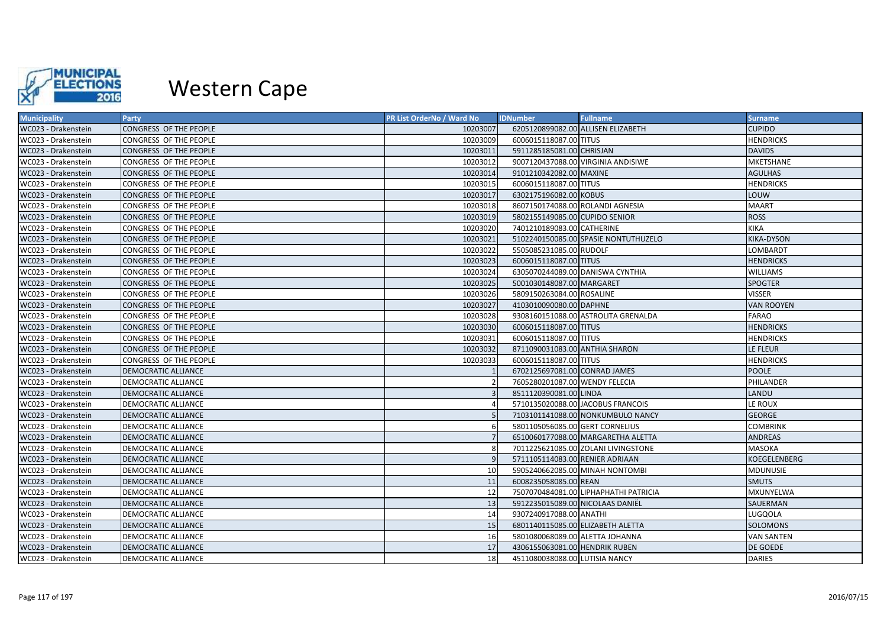

| <b>Municipality</b> | <b>Party</b>               | <b>PR List OrderNo / Ward No</b> | <b>IDNumber</b>                   | <b>Fullname</b>                       | <b>Surname</b>    |
|---------------------|----------------------------|----------------------------------|-----------------------------------|---------------------------------------|-------------------|
| WC023 - Drakenstein | CONGRESS OF THE PEOPLE     | 10203007                         |                                   | 6205120899082.00 ALLISEN ELIZABETH    | <b>CUPIDO</b>     |
| WC023 - Drakenstein | CONGRESS OF THE PEOPLE     | 10203009                         | 6006015118087.00 TITUS            |                                       | <b>HENDRICKS</b>  |
| WC023 - Drakenstein | CONGRESS OF THE PEOPLE     | 10203011                         | 5911285185081.00 CHRISJAN         |                                       | <b>DAVIDS</b>     |
| WC023 - Drakenstein | CONGRESS OF THE PEOPLE     | 10203012                         |                                   | 9007120437088.00 VIRGINIA ANDISIWE    | <b>MKETSHANE</b>  |
| WC023 - Drakenstein | CONGRESS OF THE PEOPLE     | 10203014                         | 9101210342082.00 MAXINE           |                                       | <b>AGULHAS</b>    |
| WC023 - Drakenstein | CONGRESS OF THE PEOPLE     | 10203015                         | 6006015118087.00 TITUS            |                                       | <b>HENDRICKS</b>  |
| WC023 - Drakenstein | CONGRESS OF THE PEOPLE     | 10203017                         | 6302175196082.00 KOBUS            |                                       | LOUW              |
| WC023 - Drakenstein | CONGRESS OF THE PEOPLE     | 10203018                         | 8607150174088.00 ROLANDI AGNESIA  |                                       | <b>MAART</b>      |
| WC023 - Drakenstein | CONGRESS OF THE PEOPLE     | 10203019                         | 5802155149085.00 CUPIDO SENIOR    |                                       | <b>ROSS</b>       |
| WC023 - Drakenstein | CONGRESS OF THE PEOPLE     | 10203020                         | 7401210189083.00 CATHERINE        |                                       | <b>KIKA</b>       |
| WC023 - Drakenstein | CONGRESS OF THE PEOPLE     | 10203021                         |                                   | 5102240150085.00 SPASIE NONTUTHUZELO  | KIKA-DYSON        |
| WC023 - Drakenstein | CONGRESS OF THE PEOPLE     | 10203022                         | 5505085231085.00 RUDOLF           |                                       | LOMBARDT          |
| WC023 - Drakenstein | CONGRESS OF THE PEOPLE     | 10203023                         | 6006015118087.00 TITUS            |                                       | <b>HENDRICKS</b>  |
| WC023 - Drakenstein | CONGRESS OF THE PEOPLE     | 10203024                         |                                   | 6305070244089.00 DANISWA CYNTHIA      | <b>WILLIAMS</b>   |
| WC023 - Drakenstein | CONGRESS OF THE PEOPLE     | 10203025                         | 5001030148087.00 MARGARET         |                                       | <b>SPOGTER</b>    |
| WC023 - Drakenstein | CONGRESS OF THE PEOPLE     | 10203026                         | 5809150263084.00 ROSALINE         |                                       | <b>VISSER</b>     |
| WC023 - Drakenstein | CONGRESS OF THE PEOPLE     | 10203027                         | 4103010090080.00 DAPHNE           |                                       | <b>VAN ROOYEN</b> |
| WC023 - Drakenstein | CONGRESS OF THE PEOPLE     | 10203028                         |                                   | 9308160151088.00 ASTROLITA GRENALDA   | <b>FARAO</b>      |
| WC023 - Drakenstein | CONGRESS OF THE PEOPLE     | 10203030                         | 6006015118087.00 TITUS            |                                       | <b>HENDRICKS</b>  |
| WC023 - Drakenstein | CONGRESS OF THE PEOPLE     | 10203031                         | 6006015118087.00 TITUS            |                                       | <b>HENDRICKS</b>  |
| WC023 - Drakenstein | CONGRESS OF THE PEOPLE     | 10203032                         | 8711090031083.00 ANTHIA SHARON    |                                       | LE FLEUR          |
| WC023 - Drakenstein | CONGRESS OF THE PEOPLE     | 10203033                         | 6006015118087.00 TITUS            |                                       | <b>HENDRICKS</b>  |
| WC023 - Drakenstein | <b>DEMOCRATIC ALLIANCE</b> |                                  | 6702125697081.00 CONRAD JAMES     |                                       | <b>POOLE</b>      |
| WC023 - Drakenstein | <b>DEMOCRATIC ALLIANCE</b> |                                  | 7605280201087.00 WENDY FELECIA    |                                       | PHILANDER         |
| WC023 - Drakenstein | DEMOCRATIC ALLIANCE        |                                  | 8511120390081.00 LINDA            |                                       | LANDU             |
| WC023 - Drakenstein | DEMOCRATIC ALLIANCE        |                                  |                                   | 5710135020088.00 JACOBUS FRANCOIS     | LE ROUX           |
| WC023 - Drakenstein | DEMOCRATIC ALLIANCE        |                                  |                                   | 7103101141088.00 NONKUMBULO NANCY     | <b>GEORGE</b>     |
| WC023 - Drakenstein | DEMOCRATIC ALLIANCE        |                                  | 5801105056085.00 GERT CORNELIUS   |                                       | <b>COMBRINK</b>   |
| WC023 - Drakenstein | DEMOCRATIC ALLIANCE        |                                  |                                   | 6510060177088.00 MARGARETHA ALETTA    | <b>ANDREAS</b>    |
| WC023 - Drakenstein | DEMOCRATIC ALLIANCE        |                                  |                                   | 7011225621085.00 ZOLANI LIVINGSTONE   | <b>MASOKA</b>     |
| WC023 - Drakenstein | DEMOCRATIC ALLIANCE        |                                  | 5711105114083.00 RENIER ADRIAAN   |                                       | KOEGELENBERG      |
| WC023 - Drakenstein | DEMOCRATIC ALLIANCE        | 10                               |                                   | 5905240662085.00 MINAH NONTOMBI       | <b>MDUNUSIE</b>   |
| WC023 - Drakenstein | DEMOCRATIC ALLIANCE        | 11                               | 6008235058085.00 REAN             |                                       | <b>SMUTS</b>      |
| WC023 - Drakenstein | DEMOCRATIC ALLIANCE        | 12                               |                                   | 7507070484081.00 LIPHAPHATHI PATRICIA | MXUNYELWA         |
| WC023 - Drakenstein | DEMOCRATIC ALLIANCE        | 13                               | 5912235015089.00 NICOLAAS DANIËL  |                                       | SAUERMAN          |
| WC023 - Drakenstein | DEMOCRATIC ALLIANCE        | 14                               | 9307240917088.00 ANATHI           |                                       | LUGQOLA           |
| WC023 - Drakenstein | DEMOCRATIC ALLIANCE        | 15                               | 6801140115085.00 ELIZABETH ALETTA |                                       | SOLOMONS          |
| WC023 - Drakenstein | DEMOCRATIC ALLIANCE        | 16                               | 5801080068089.00 ALETTA JOHANNA   |                                       | <b>VAN SANTEN</b> |
| WC023 - Drakenstein | DEMOCRATIC ALLIANCE        | 17                               | 4306155063081.00 HENDRIK RUBEN    |                                       | <b>DE GOEDE</b>   |
| WC023 - Drakenstein | DEMOCRATIC ALLIANCE        | 18                               | 4511080038088.00 LUTISIA NANCY    |                                       | <b>DARIES</b>     |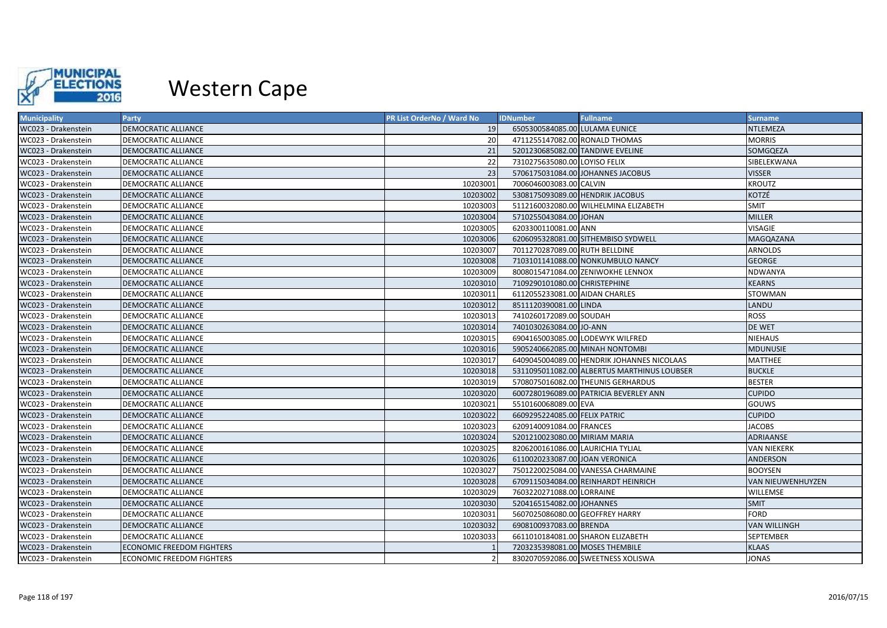

| <b>Municipality</b> | <b>Party</b>                     | <b>PR List OrderNo / Ward No</b> | <b>IDNumber</b>                   | <b>Fullname</b>                             | <b>Surname</b>      |
|---------------------|----------------------------------|----------------------------------|-----------------------------------|---------------------------------------------|---------------------|
| WC023 - Drakenstein | DEMOCRATIC ALLIANCE              | 19                               | 6505300584085.00 LULAMA EUNICE    |                                             | <b>NTLEMEZA</b>     |
| WC023 - Drakenstein | DEMOCRATIC ALLIANCE              | 20                               | 4711255147082.00 RONALD THOMAS    |                                             | <b>MORRIS</b>       |
| WC023 - Drakenstein | DEMOCRATIC ALLIANCE              | 21                               | 5201230685082.00 TANDIWE EVELINE  |                                             | SOMGQEZA            |
| WC023 - Drakenstein | DEMOCRATIC ALLIANCE              | 22                               | 7310275635080.00 LOYISO FELIX     |                                             | SIBELEKWANA         |
| WC023 - Drakenstein | DEMOCRATIC ALLIANCE              | 23                               |                                   | 5706175031084.00 JOHANNES JACOBUS           | <b>VISSER</b>       |
| WC023 - Drakenstein | DEMOCRATIC ALLIANCE              | 10203001                         | 7006046003083.00 CALVIN           |                                             | <b>KROUTZ</b>       |
| WC023 - Drakenstein | DEMOCRATIC ALLIANCE              | 10203002                         | 5308175093089.00 HENDRIK JACOBUS  |                                             | KOTZÉ               |
| WC023 - Drakenstein | DEMOCRATIC ALLIANCE              | 10203003                         |                                   | 5112160032080.00 WILHELMINA ELIZABETH       | SMIT                |
| WC023 - Drakenstein | DEMOCRATIC ALLIANCE              | 10203004                         | 5710255043084.00 JOHAN            |                                             | <b>MILLER</b>       |
| WC023 - Drakenstein | DEMOCRATIC ALLIANCE              | 10203005                         | 6203300110081.00 ANN              |                                             | <b>VISAGIE</b>      |
| WC023 - Drakenstein | DEMOCRATIC ALLIANCE              | 10203006                         |                                   | 6206095328081.00 SITHEMBISO SYDWELL         | MAGQAZANA           |
| WC023 - Drakenstein | DEMOCRATIC ALLIANCE              | 10203007                         | 7011270287089.00 RUTH BELLDINE    |                                             | <b>ARNOLDS</b>      |
| WC023 - Drakenstein | DEMOCRATIC ALLIANCE              | 10203008                         |                                   | 7103101141088.00 NONKUMBULO NANCY           | <b>GEORGE</b>       |
| WC023 - Drakenstein | DEMOCRATIC ALLIANCE              | 10203009                         |                                   | 8008015471084.00 ZENIWOKHE LENNOX           | <b>NDWANYA</b>      |
| WC023 - Drakenstein | DEMOCRATIC ALLIANCE              | 10203010                         | 7109290101080.00 CHRISTEPHINE     |                                             | <b>KEARNS</b>       |
| WC023 - Drakenstein | DEMOCRATIC ALLIANCE              | 10203011                         | 6112055233081.00 AIDAN CHARLES    |                                             | <b>STOWMAN</b>      |
| WC023 - Drakenstein | <b>DEMOCRATIC ALLIANCE</b>       | 10203012                         | 8511120390081.00 LINDA            |                                             | <b>LANDU</b>        |
| WC023 - Drakenstein | DEMOCRATIC ALLIANCE              | 10203013                         | 7410260172089.00 SOUDAH           |                                             | <b>ROSS</b>         |
| WC023 - Drakenstein | DEMOCRATIC ALLIANCE              | 10203014                         | 7401030263084.00 JO-ANN           |                                             | <b>DE WET</b>       |
| WC023 - Drakenstein | DEMOCRATIC ALLIANCE              | 10203015                         |                                   | 6904165003085.00 LODEWYK WILFRED            | <b>NIEHAUS</b>      |
| WC023 - Drakenstein | DEMOCRATIC ALLIANCE              | 10203016                         |                                   | 5905240662085.00 MINAH NONTOMBI             | <b>MDUNUSIE</b>     |
| WC023 - Drakenstein | DEMOCRATIC ALLIANCE              | 10203017                         |                                   | 6409045004089.00 HENDRIK JOHANNES NICOLAAS  | <b>MATTHEE</b>      |
| WC023 - Drakenstein | <b>DEMOCRATIC ALLIANCE</b>       | 10203018                         |                                   | 5311095011082.00 ALBERTUS MARTHINUS LOUBSER | <b>BUCKLE</b>       |
| WC023 - Drakenstein | DEMOCRATIC ALLIANCE              | 10203019                         |                                   | 5708075016082.00 THEUNIS GERHARDUS          | <b>BESTER</b>       |
| WC023 - Drakenstein | <b>DEMOCRATIC ALLIANCE</b>       | 10203020                         |                                   | 6007280196089.00 PATRICIA BEVERLEY ANN      | <b>CUPIDO</b>       |
| WC023 - Drakenstein | DEMOCRATIC ALLIANCE              | 10203021                         | 5510160068089.00 EVA              |                                             | GOUWS               |
| WC023 - Drakenstein | DEMOCRATIC ALLIANCE              | 10203022                         | 6609295224085.00 FELIX PATRIC     |                                             | <b>CUPIDO</b>       |
| WC023 - Drakenstein | DEMOCRATIC ALLIANCE              | 10203023                         | 6209140091084.00 FRANCES          |                                             | <b>JACOBS</b>       |
| WC023 - Drakenstein | DEMOCRATIC ALLIANCE              | 10203024                         | 5201210023080.00 MIRIAM MARIA     |                                             | ADRIAANSE           |
| WC023 - Drakenstein | DEMOCRATIC ALLIANCE              | 10203025                         | 8206200161086.00 LAURICHIA TYLIAL |                                             | <b>VAN NIEKERK</b>  |
| WC023 - Drakenstein | DEMOCRATIC ALLIANCE              | 10203026                         | 6110020233087.00 JOAN VERONICA    |                                             | ANDERSON            |
| WC023 - Drakenstein | DEMOCRATIC ALLIANCE              | 10203027                         |                                   | 7501220025084.00 VANESSA CHARMAINE          | <b>BOOYSEN</b>      |
| WC023 - Drakenstein | DEMOCRATIC ALLIANCE              | 10203028                         |                                   | 6709115034084.00 REINHARDT HEINRICH         | VAN NIEUWENHUYZEN   |
| WC023 - Drakenstein | DEMOCRATIC ALLIANCE              | 10203029                         | 7603220271088.00 LORRAINE         |                                             | <b>WILLEMSE</b>     |
| WC023 - Drakenstein | DEMOCRATIC ALLIANCE              | 10203030                         | 5204165154082.00 JOHANNES         |                                             | <b>SMIT</b>         |
| WC023 - Drakenstein | DEMOCRATIC ALLIANCE              | 10203031                         | 5607025086080.00 GEOFFREY HARRY   |                                             | <b>FORD</b>         |
| WC023 - Drakenstein | DEMOCRATIC ALLIANCE              | 10203032                         | 6908100937083.00 BRENDA           |                                             | <b>VAN WILLINGH</b> |
| WC023 - Drakenstein | DEMOCRATIC ALLIANCE              | 10203033                         |                                   | 6611010184081.00 SHARON ELIZABETH           | SEPTEMBER           |
| WC023 - Drakenstein | <b>ECONOMIC FREEDOM FIGHTERS</b> |                                  | 7203235398081.00 MOSES THEMBILE   |                                             | <b>KLAAS</b>        |
| WC023 - Drakenstein | <b>ECONOMIC FREEDOM FIGHTERS</b> |                                  |                                   | 8302070592086.00 SWEETNESS XOLISWA          | JONAS               |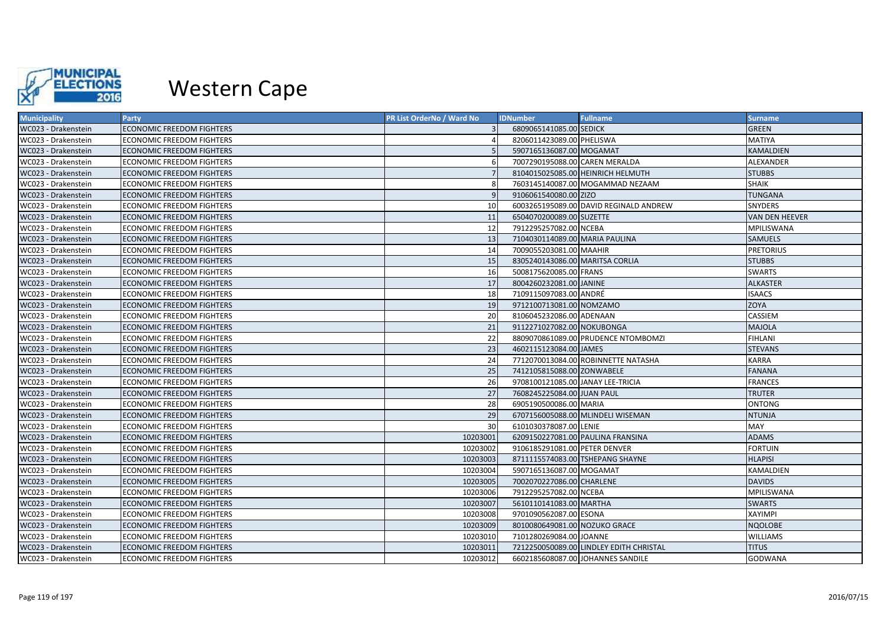

| <b>Municipality</b> | <b>Party</b>                     | <b>PR List OrderNo / Ward No</b> | <b>IDNumber</b>                   | <b>Fullname</b>                         | <b>Surname</b>    |
|---------------------|----------------------------------|----------------------------------|-----------------------------------|-----------------------------------------|-------------------|
| WC023 - Drakenstein | <b>ECONOMIC FREEDOM FIGHTERS</b> |                                  | 6809065141085.00 SEDICK           |                                         | <b>GREEN</b>      |
| WC023 - Drakenstein | <b>ECONOMIC FREEDOM FIGHTERS</b> |                                  | 8206011423089.00 PHELISWA         |                                         | <b>MATIYA</b>     |
| WC023 - Drakenstein | <b>ECONOMIC FREEDOM FIGHTERS</b> |                                  | 5907165136087.00 MOGAMAT          |                                         | KAMALDIEN         |
| WC023 - Drakenstein | <b>ECONOMIC FREEDOM FIGHTERS</b> |                                  | 7007290195088.00 CAREN MERALDA    |                                         | ALEXANDER         |
| WC023 - Drakenstein | <b>ECONOMIC FREEDOM FIGHTERS</b> |                                  |                                   | 8104015025085.00 HEINRICH HELMUTH       | <b>STUBBS</b>     |
| WC023 - Drakenstein | <b>ECONOMIC FREEDOM FIGHTERS</b> |                                  |                                   | 7603145140087.00 MOGAMMAD NEZAAM        | SHAIK             |
| WC023 - Drakenstein | <b>ECONOMIC FREEDOM FIGHTERS</b> |                                  | 9106061540080.00 ZIZO             |                                         | <b>TUNGANA</b>    |
| WC023 - Drakenstein | <b>ECONOMIC FREEDOM FIGHTERS</b> | 10                               |                                   | 6003265195089.00 DAVID REGINALD ANDREW  | <b>SNYDERS</b>    |
| WC023 - Drakenstein | <b>ECONOMIC FREEDOM FIGHTERS</b> | 11                               | 6504070200089.00 SUZETTE          |                                         | VAN DEN HEEVER    |
| WC023 - Drakenstein | ECONOMIC FREEDOM FIGHTERS        | 12                               | 7912295257082.00 NCEBA            |                                         | MPILISWANA        |
| WC023 - Drakenstein | <b>ECONOMIC FREEDOM FIGHTERS</b> | 13                               | 7104030114089.00 MARIA PAULINA    |                                         | <b>SAMUELS</b>    |
| WC023 - Drakenstein | <b>ECONOMIC FREEDOM FIGHTERS</b> | 14                               | 7009055203081.00 MAAHIR           |                                         | <b>PRETORIUS</b>  |
| WC023 - Drakenstein | <b>ECONOMIC FREEDOM FIGHTERS</b> | 15                               | 8305240143086.00 MARITSA CORLIA   |                                         | <b>STUBBS</b>     |
| WC023 - Drakenstein | <b>ECONOMIC FREEDOM FIGHTERS</b> | 16                               | 5008175620085.00 FRANS            |                                         | <b>SWARTS</b>     |
| WC023 - Drakenstein | <b>ECONOMIC FREEDOM FIGHTERS</b> | 17                               | 8004260232081.00 JANINE           |                                         | <b>ALKASTER</b>   |
| WC023 - Drakenstein | <b>ECONOMIC FREEDOM FIGHTERS</b> | 18                               | 7109115097083.00 ANDRÉ            |                                         | <b>ISAACS</b>     |
| WC023 - Drakenstein | <b>ECONOMIC FREEDOM FIGHTERS</b> | 19                               | 9712100713081.00 NOMZAMO          |                                         | <b>ZOYA</b>       |
| WC023 - Drakenstein | <b>ECONOMIC FREEDOM FIGHTERS</b> | 20                               | 8106045232086.00 ADENAAN          |                                         | <b>CASSIEM</b>    |
| WC023 - Drakenstein | <b>ECONOMIC FREEDOM FIGHTERS</b> | 21                               | 9112271027082.00 NOKUBONGA        |                                         | <b>MAJOLA</b>     |
| WC023 - Drakenstein | <b>ECONOMIC FREEDOM FIGHTERS</b> | 22                               |                                   | 8809070861089.00 PRUDENCE NTOMBOMZI     | <b>FIHLANI</b>    |
| WC023 - Drakenstein | ECONOMIC FREEDOM FIGHTERS        | 23                               | 4602115123084.00 JAMES            |                                         | <b>STEVANS</b>    |
| WC023 - Drakenstein | ECONOMIC FREEDOM FIGHTERS        | 24                               |                                   | 7712070013084.00 ROBINNETTE NATASHA     | <b>KARRA</b>      |
| WC023 - Drakenstein | <b>ECONOMIC FREEDOM FIGHTERS</b> | 25                               | 7412105815088.00 ZONWABELE        |                                         | <b>FANANA</b>     |
| WC023 - Drakenstein | <b>ECONOMIC FREEDOM FIGHTERS</b> | 26                               | 9708100121085.00 JANAY LEE-TRICIA |                                         | <b>FRANCES</b>    |
| WC023 - Drakenstein | <b>ECONOMIC FREEDOM FIGHTERS</b> | 27                               | 7608245225084.00 JUAN PAUL        |                                         | <b>TRUTER</b>     |
| WC023 - Drakenstein | <b>ECONOMIC FREEDOM FIGHTERS</b> | 28                               | 6905190500086.00 MARIA            |                                         | <b>ONTONG</b>     |
| WC023 - Drakenstein | <b>ECONOMIC FREEDOM FIGHTERS</b> | 29                               |                                   | 6707156005088.00 MLINDELI WISEMAN       | <b>NTUNJA</b>     |
| WC023 - Drakenstein | ECONOMIC FREEDOM FIGHTERS        | 30                               | 6101030378087.00 LENIE            |                                         | MAY               |
| WC023 - Drakenstein | <b>ECONOMIC FREEDOM FIGHTERS</b> | 10203001                         |                                   | 6209150227081.00 PAULINA FRANSINA       | <b>ADAMS</b>      |
| WC023 - Drakenstein | <b>ECONOMIC FREEDOM FIGHTERS</b> | 10203002                         | 9106185291081.00 PETER DENVER     |                                         | <b>FORTUIN</b>    |
| WC023 - Drakenstein | <b>ECONOMIC FREEDOM FIGHTERS</b> | 10203003                         |                                   | 8711115574083.00 TSHEPANG SHAYNE        | <b>HLAPISI</b>    |
| WC023 - Drakenstein | <b>ECONOMIC FREEDOM FIGHTERS</b> | 10203004                         | 5907165136087.00 MOGAMAT          |                                         | KAMALDIEN         |
| WC023 - Drakenstein | <b>ECONOMIC FREEDOM FIGHTERS</b> | 10203005                         | 7002070227086.00 CHARLENE         |                                         | <b>DAVIDS</b>     |
| WC023 - Drakenstein | <b>ECONOMIC FREEDOM FIGHTERS</b> | 10203006                         | 7912295257082.00 NCEBA            |                                         | <b>MPILISWANA</b> |
| WC023 - Drakenstein | <b>ECONOMIC FREEDOM FIGHTERS</b> | 10203007                         | 5610110141083.00 MARTHA           |                                         | <b>SWARTS</b>     |
| WC023 - Drakenstein | <b>ECONOMIC FREEDOM FIGHTERS</b> | 10203008                         | 9701090562087.00 ESONA            |                                         | <b>XAYIMPI</b>    |
| WC023 - Drakenstein | <b>ECONOMIC FREEDOM FIGHTERS</b> | 10203009                         | 8010080649081.00 NOZUKO GRACE     |                                         | <b>NQOLOBE</b>    |
| WC023 - Drakenstein | <b>ECONOMIC FREEDOM FIGHTERS</b> | 10203010                         | 7101280269084.00 JOANNE           |                                         | <b>WILLIAMS</b>   |
| WC023 - Drakenstein | <b>ECONOMIC FREEDOM FIGHTERS</b> | 10203011                         |                                   | 7212250050089.00 LINDLEY EDITH CHRISTAL | <b>TITUS</b>      |
| WC023 - Drakenstein | <b>ECONOMIC FREEDOM FIGHTERS</b> | 10203012                         |                                   | 6602185608087.00 JOHANNES SANDILE       | <b>GODWANA</b>    |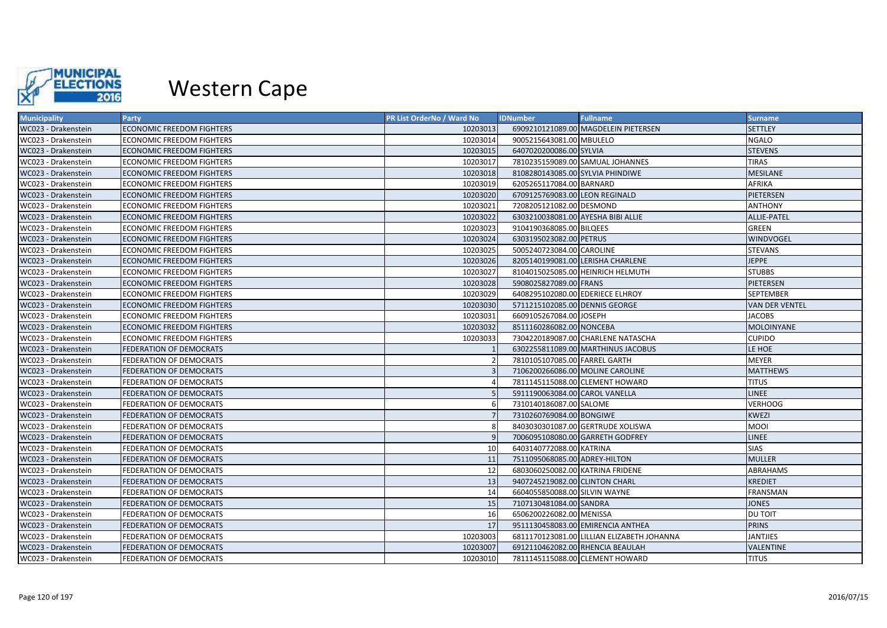

| <b>Municipality</b> | <b>Party</b>                     | <b>PR List OrderNo / Ward No</b> | <b>IDNumber</b>                    | <b>Fullname</b>                            | <b>Surname</b>        |
|---------------------|----------------------------------|----------------------------------|------------------------------------|--------------------------------------------|-----------------------|
| WC023 - Drakenstein | <b>ECONOMIC FREEDOM FIGHTERS</b> | 10203013                         |                                    | 6909210121089.00 MAGDELEIN PIETERSEN       | <b>SETTLEY</b>        |
| WC023 - Drakenstein | <b>ECONOMIC FREEDOM FIGHTERS</b> | 10203014                         | 9005215643081.00 MBULELO           |                                            | <b>NGALO</b>          |
| WC023 - Drakenstein | <b>ECONOMIC FREEDOM FIGHTERS</b> | 10203015                         | 6407020200086.00 SYLVIA            |                                            | <b>STEVENS</b>        |
| WC023 - Drakenstein | <b>ECONOMIC FREEDOM FIGHTERS</b> | 10203017                         |                                    | 7810235159089.00 SAMUAL JOHANNES           | <b>TIRAS</b>          |
| WC023 - Drakenstein | <b>ECONOMIC FREEDOM FIGHTERS</b> | 10203018                         | 8108280143085.00 SYLVIA PHINDIWE   |                                            | <b>MESILANE</b>       |
| WC023 - Drakenstein | <b>ECONOMIC FREEDOM FIGHTERS</b> | 10203019                         | 6205265117084.00 BARNARD           |                                            | AFRIKA                |
| WC023 - Drakenstein | <b>ECONOMIC FREEDOM FIGHTERS</b> | 10203020                         | 6709125769083.00 LEON REGINALD     |                                            | PIETERSEN             |
| WC023 - Drakenstein | <b>ECONOMIC FREEDOM FIGHTERS</b> | 10203021                         | 7208205121082.00 DESMOND           |                                            | <b>ANTHONY</b>        |
| WC023 - Drakenstein | <b>ECONOMIC FREEDOM FIGHTERS</b> | 10203022                         | 6303210038081.00 AYESHA BIBI ALLIE |                                            | <b>ALLIE-PATEL</b>    |
| WC023 - Drakenstein | <b>ECONOMIC FREEDOM FIGHTERS</b> | 10203023                         | 9104190368085.00 BILQEES           |                                            | <b>GREEN</b>          |
| WC023 - Drakenstein | <b>ECONOMIC FREEDOM FIGHTERS</b> | 10203024                         | 6303195023082.00 PETRUS            |                                            | WINDVOGEL             |
| WC023 - Drakenstein | ECONOMIC FREEDOM FIGHTERS        | 10203025                         | 5005240723084.00 CAROLINE          |                                            | <b>STEVANS</b>        |
| WC023 - Drakenstein | <b>ECONOMIC FREEDOM FIGHTERS</b> | 10203026                         |                                    | 8205140199081.00 LERISHA CHARLENE          | <b>JEPPE</b>          |
| WC023 - Drakenstein | <b>ECONOMIC FREEDOM FIGHTERS</b> | 10203027                         |                                    | 8104015025085.00 HEINRICH HELMUTH          | <b>STUBBS</b>         |
| WC023 - Drakenstein | <b>ECONOMIC FREEDOM FIGHTERS</b> | 10203028                         | 5908025827089.00 FRANS             |                                            | PIETERSEN             |
| WC023 - Drakenstein | <b>ECONOMIC FREEDOM FIGHTERS</b> | 10203029                         | 6408295102080.00 EDERIECE ELHROY   |                                            | <b>SEPTEMBER</b>      |
| WC023 - Drakenstein | <b>ECONOMIC FREEDOM FIGHTERS</b> | 10203030                         | 5711215102085.00 DENNIS GEORGE     |                                            | <b>VAN DER VENTEL</b> |
| WC023 - Drakenstein | <b>ECONOMIC FREEDOM FIGHTERS</b> | 10203031                         | 6609105267084.00 JOSEPH            |                                            | <b>JACOBS</b>         |
| WC023 - Drakenstein | <b>ECONOMIC FREEDOM FIGHTERS</b> | 10203032                         | 8511160286082.00 NONCEBA           |                                            | <b>MOLOINYANE</b>     |
| WC023 - Drakenstein | <b>ECONOMIC FREEDOM FIGHTERS</b> | 10203033                         |                                    | 7304220189087.00 CHARLENE NATASCHA         | <b>CUPIDO</b>         |
| WC023 - Drakenstein | FEDERATION OF DEMOCRATS          |                                  |                                    | 6302255811089.00 MARTHINUS JACOBUS         | LE HOE                |
| WC023 - Drakenstein | FEDERATION OF DEMOCRATS          |                                  | 7810105107085.00 FARREL GARTH      |                                            | <b>MEYER</b>          |
| WC023 - Drakenstein | <b>FEDERATION OF DEMOCRATS</b>   |                                  | 7106200266086.00 MOLINE CAROLINE   |                                            | <b>MATTHEWS</b>       |
| WC023 - Drakenstein | FEDERATION OF DEMOCRATS          |                                  |                                    | 7811145115088.00 CLEMENT HOWARD            | <b>TITUS</b>          |
| WC023 - Drakenstein | FEDERATION OF DEMOCRATS          |                                  | 5911190063084.00 CAROL VANELLA     |                                            | <b>LINEE</b>          |
| WC023 - Drakenstein | FEDERATION OF DEMOCRATS          |                                  | 7310140186087.00 SALOME            |                                            | <b>VERHOOG</b>        |
| WC023 - Drakenstein | FEDERATION OF DEMOCRATS          |                                  | 7310260769084.00 BONGIWE           |                                            | <b>KWEZI</b>          |
| WC023 - Drakenstein | FEDERATION OF DEMOCRATS          |                                  |                                    | 8403030301087.00 GERTRUDE XOLISWA          | <b>MOOI</b>           |
| WC023 - Drakenstein | FEDERATION OF DEMOCRATS          |                                  | 7006095108080.00 GARRETH GODFREY   |                                            | <b>LINEE</b>          |
| WC023 - Drakenstein | FEDERATION OF DEMOCRATS          | 10                               | 6403140772088.00 KATRINA           |                                            | <b>SIAS</b>           |
| WC023 - Drakenstein | FEDERATION OF DEMOCRATS          | 11                               | 7511095068085.00 ADREY-HILTON      |                                            | <b>MULLER</b>         |
| WC023 - Drakenstein | FEDERATION OF DEMOCRATS          | 12                               | 6803060250082.00 KATRINA FRIDENE   |                                            | <b>ABRAHAMS</b>       |
| WC023 - Drakenstein | FEDERATION OF DEMOCRATS          | 13                               | 9407245219082.00 CLINTON CHARL     |                                            | <b>KREDIET</b>        |
| WC023 - Drakenstein | FEDERATION OF DEMOCRATS          | 14                               | 6604055850088.00 SILVIN WAYNE      |                                            | <b>FRANSMAN</b>       |
| WC023 - Drakenstein | FEDERATION OF DEMOCRATS          | 15                               | 7107130481084.00 SANDRA            |                                            | <b>JONES</b>          |
| WC023 - Drakenstein | FEDERATION OF DEMOCRATS          | 16                               | 6506200226082.00 MENISSA           |                                            | <b>DU TOIT</b>        |
| WC023 - Drakenstein | FEDERATION OF DEMOCRATS          | 17                               |                                    | 9511130458083.00 EMIRENCIA ANTHEA          | <b>PRINS</b>          |
| WC023 - Drakenstein | FEDERATION OF DEMOCRATS          | 10203003                         |                                    | 6811170123081.00 LILLIAN ELIZABETH JOHANNA | <b>JANTJIES</b>       |
| WC023 - Drakenstein | FEDERATION OF DEMOCRATS          | 10203007                         | 6912110462082.00 RHENCIA BEAULAH   |                                            | <b>VALENTINE</b>      |
| WC023 - Drakenstein | FEDERATION OF DEMOCRATS          | 10203010                         |                                    | 7811145115088.00 CLEMENT HOWARD            | <b>TITUS</b>          |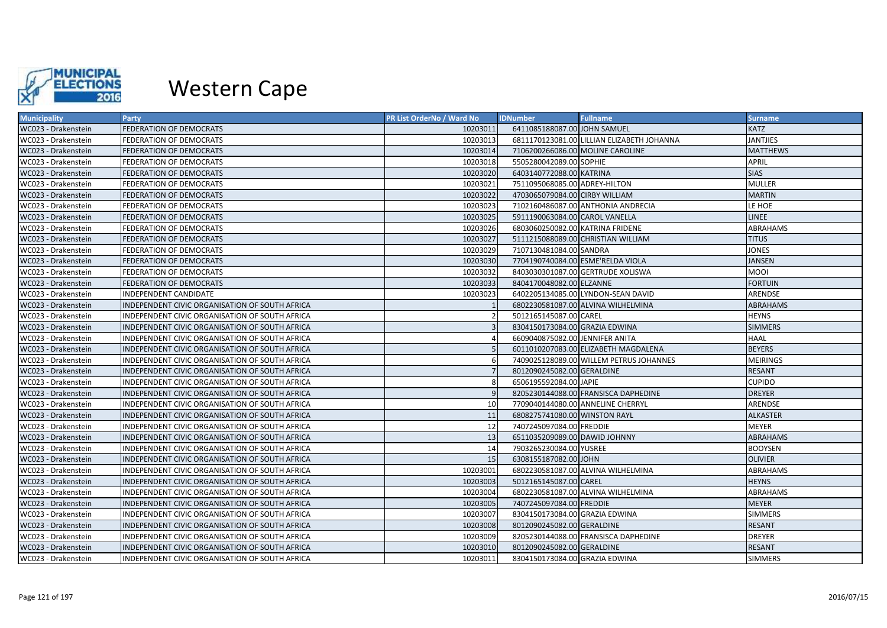

| <b>Municipality</b> | <b>Party</b>                                   | <b>PR List OrderNo / Ward No</b> | <b>IDNumber</b>                  | <b>Fullname</b>                            | <b>Surname</b>  |
|---------------------|------------------------------------------------|----------------------------------|----------------------------------|--------------------------------------------|-----------------|
| WC023 - Drakenstein | FEDERATION OF DEMOCRATS                        | 10203011                         | 6411085188087.00 JOHN SAMUEL     |                                            | <b>KATZ</b>     |
| WC023 - Drakenstein | FEDERATION OF DEMOCRATS                        | 10203013                         |                                  | 6811170123081.00 LILLIAN ELIZABETH JOHANNA | <b>JANTJIES</b> |
| WC023 - Drakenstein | FEDERATION OF DEMOCRATS                        | 10203014                         |                                  | 7106200266086.00 MOLINE CAROLINE           | <b>MATTHEWS</b> |
| WC023 - Drakenstein | FEDERATION OF DEMOCRATS                        | 10203018                         | 5505280042089.00 SOPHIE          |                                            | <b>APRIL</b>    |
| WC023 - Drakenstein | FEDERATION OF DEMOCRATS                        | 10203020                         | 6403140772088.00 KATRINA         |                                            | <b>SIAS</b>     |
| WC023 - Drakenstein | FEDERATION OF DEMOCRATS                        | 10203021                         | 7511095068085.00 ADREY-HILTON    |                                            | <b>MULLER</b>   |
| WC023 - Drakenstein | FEDERATION OF DEMOCRATS                        | 10203022                         | 4703065079084.00 CIRBY WILLIAM   |                                            | <b>MARTIN</b>   |
| WC023 - Drakenstein | FEDERATION OF DEMOCRATS                        | 10203023                         |                                  | 7102160486087.00 ANTHONIA ANDRECIA         | LE HOE          |
| WC023 - Drakenstein | FEDERATION OF DEMOCRATS                        | 10203025                         | 5911190063084.00 CAROL VANELLA   |                                            | <b>LINEE</b>    |
| WC023 - Drakenstein | FEDERATION OF DEMOCRATS                        | 10203026                         | 6803060250082.00 KATRINA FRIDENE |                                            | ABRAHAMS        |
| WC023 - Drakenstein | FEDERATION OF DEMOCRATS                        | 10203027                         |                                  | 5111215088089.00 CHRISTIAN WILLIAM         | <b>TITUS</b>    |
| WC023 - Drakenstein | FEDERATION OF DEMOCRATS                        | 10203029                         | 7107130481084.00 SANDRA          |                                            | <b>JONES</b>    |
| WC023 - Drakenstein | FEDERATION OF DEMOCRATS                        | 10203030                         |                                  | 7704190740084.00 ESME'RELDA VIOLA          | <b>JANSEN</b>   |
| WC023 - Drakenstein | FEDERATION OF DEMOCRATS                        | 10203032                         |                                  | 8403030301087.00 GERTRUDE XOLISWA          | MOOI            |
| WC023 - Drakenstein | FEDERATION OF DEMOCRATS                        | 10203033                         | 8404170048082.00 ELZANNE         |                                            | <b>FORTUIN</b>  |
| WC023 - Drakenstein | INDEPENDENT CANDIDATE                          | 10203023                         |                                  | 6402205134085.00 LYNDON-SEAN DAVID         | ARENDSE         |
| WC023 - Drakenstein | INDEPENDENT CIVIC ORGANISATION OF SOUTH AFRICA |                                  |                                  | 6802230581087.00 ALVINA WILHELMINA         | <b>ABRAHAMS</b> |
| WC023 - Drakenstein | INDEPENDENT CIVIC ORGANISATION OF SOUTH AFRICA |                                  | 5012165145087.00 CAREL           |                                            | <b>HEYNS</b>    |
| WC023 - Drakenstein | INDEPENDENT CIVIC ORGANISATION OF SOUTH AFRICA |                                  | 8304150173084.00 GRAZIA EDWINA   |                                            | <b>SIMMERS</b>  |
| WC023 - Drakenstein | INDEPENDENT CIVIC ORGANISATION OF SOUTH AFRICA |                                  | 6609040875082.00 JENNIFER ANITA  |                                            | <b>HAAL</b>     |
| WC023 - Drakenstein | INDEPENDENT CIVIC ORGANISATION OF SOUTH AFRICA |                                  |                                  | 6011010207083.00 ELIZABETH MAGDALENA       | <b>BEYERS</b>   |
| WC023 - Drakenstein | INDEPENDENT CIVIC ORGANISATION OF SOUTH AFRICA | 6                                |                                  | 7409025128089.00 WILLEM PETRUS JOHANNES    | <b>MEIRINGS</b> |
| WC023 - Drakenstein | INDEPENDENT CIVIC ORGANISATION OF SOUTH AFRICA |                                  | 8012090245082.00 GERALDINE       |                                            | <b>RESANT</b>   |
| WC023 - Drakenstein | INDEPENDENT CIVIC ORGANISATION OF SOUTH AFRICA | 8                                | 6506195592084.00 JAPIE           |                                            | <b>CUPIDO</b>   |
| WC023 - Drakenstein | INDEPENDENT CIVIC ORGANISATION OF SOUTH AFRICA | $\mathbf{q}$                     |                                  | 8205230144088.00 FRANSISCA DAPHEDINE       | <b>DREYER</b>   |
| WC023 - Drakenstein | INDEPENDENT CIVIC ORGANISATION OF SOUTH AFRICA | 10                               |                                  | 7709040144080.00 ANNELINE CHERRYL          | ARENDSE         |
| WC023 - Drakenstein | INDEPENDENT CIVIC ORGANISATION OF SOUTH AFRICA | 11                               | 6808275741080.00 WINSTON RAYL    |                                            | <b>ALKASTER</b> |
| WC023 - Drakenstein | INDEPENDENT CIVIC ORGANISATION OF SOUTH AFRICA | 12                               | 7407245097084.00 FREDDIE         |                                            | <b>MEYER</b>    |
| WC023 - Drakenstein | INDEPENDENT CIVIC ORGANISATION OF SOUTH AFRICA | 13                               | 6511035209089.00 DAWID JOHNNY    |                                            | ABRAHAMS        |
| WC023 - Drakenstein | INDEPENDENT CIVIC ORGANISATION OF SOUTH AFRICA | 14                               | 7903265230084.00 YUSREE          |                                            | <b>BOOYSEN</b>  |
| WC023 - Drakenstein | INDEPENDENT CIVIC ORGANISATION OF SOUTH AFRICA | 15                               | 6308155187082.00 JOHN            |                                            | <b>OLIVIER</b>  |
| WC023 - Drakenstein | INDEPENDENT CIVIC ORGANISATION OF SOUTH AFRICA | 10203001                         |                                  | 6802230581087.00 ALVINA WILHELMINA         | ABRAHAMS        |
| WC023 - Drakenstein | INDEPENDENT CIVIC ORGANISATION OF SOUTH AFRICA | 10203003                         | 5012165145087.00 CAREL           |                                            | <b>HEYNS</b>    |
| WC023 - Drakenstein | INDEPENDENT CIVIC ORGANISATION OF SOUTH AFRICA | 10203004                         |                                  | 6802230581087.00 ALVINA WILHELMINA         | ABRAHAMS        |
| WC023 - Drakenstein | INDEPENDENT CIVIC ORGANISATION OF SOUTH AFRICA | 10203005                         | 7407245097084.00 FREDDIE         |                                            | <b>MEYER</b>    |
| WC023 - Drakenstein | INDEPENDENT CIVIC ORGANISATION OF SOUTH AFRICA | 10203007                         | 8304150173084.00 GRAZIA EDWINA   |                                            | <b>SIMMERS</b>  |
| WC023 - Drakenstein | INDEPENDENT CIVIC ORGANISATION OF SOUTH AFRICA | 10203008                         | 8012090245082.00 GERALDINE       |                                            | <b>RESANT</b>   |
| WC023 - Drakenstein | INDEPENDENT CIVIC ORGANISATION OF SOUTH AFRICA | 10203009                         |                                  | 8205230144088.00 FRANSISCA DAPHEDINE       | <b>DREYER</b>   |
| WC023 - Drakenstein | INDEPENDENT CIVIC ORGANISATION OF SOUTH AFRICA | 10203010                         | 8012090245082.00 GERALDINE       |                                            | <b>RESANT</b>   |
| WC023 - Drakenstein | INDEPENDENT CIVIC ORGANISATION OF SOUTH AFRICA | 10203011                         | 8304150173084.00 GRAZIA EDWINA   |                                            | <b>SIMMERS</b>  |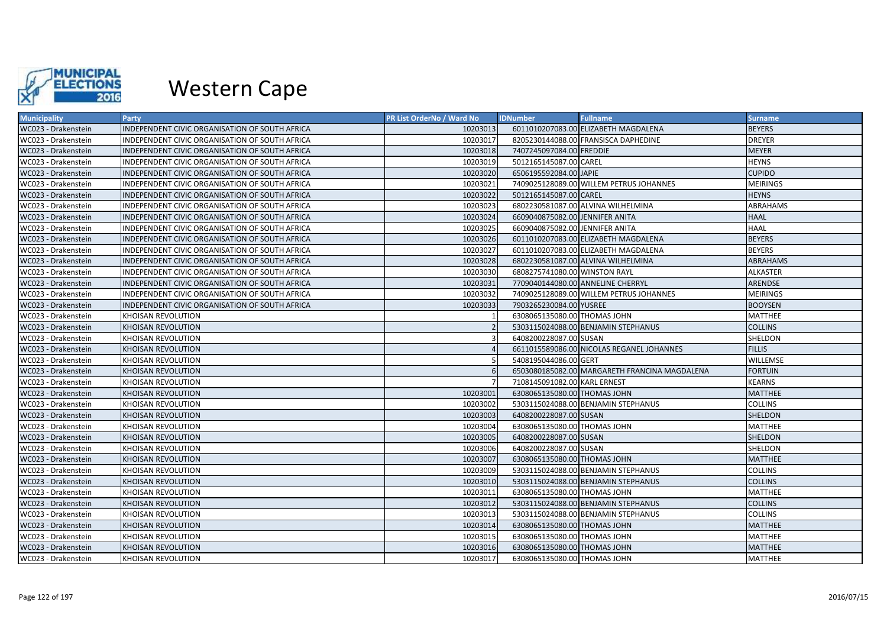

| <b>Municipality</b> | <b>Party</b>                                   | PR List OrderNo / Ward No | <b>IDNumber</b>                 | <b>Fullname</b>                               | <b>Surname</b>  |
|---------------------|------------------------------------------------|---------------------------|---------------------------------|-----------------------------------------------|-----------------|
| WC023 - Drakenstein | INDEPENDENT CIVIC ORGANISATION OF SOUTH AFRICA | 10203013                  |                                 | 6011010207083.00 ELIZABETH MAGDALENA          | <b>BEYERS</b>   |
| WC023 - Drakenstein | INDEPENDENT CIVIC ORGANISATION OF SOUTH AFRICA | 10203017                  |                                 | 8205230144088.00 FRANSISCA DAPHEDINE          | <b>DREYER</b>   |
| WC023 - Drakenstein | INDEPENDENT CIVIC ORGANISATION OF SOUTH AFRICA | 10203018                  | 7407245097084.00 FREDDIE        |                                               | <b>MEYER</b>    |
| WC023 - Drakenstein | INDEPENDENT CIVIC ORGANISATION OF SOUTH AFRICA | 10203019                  | 5012165145087.00 CAREL          |                                               | <b>HEYNS</b>    |
| WC023 - Drakenstein | INDEPENDENT CIVIC ORGANISATION OF SOUTH AFRICA | 10203020                  | 6506195592084.00 JAPIE          |                                               | <b>CUPIDO</b>   |
| WC023 - Drakenstein | INDEPENDENT CIVIC ORGANISATION OF SOUTH AFRICA | 10203021                  |                                 | 7409025128089.00 WILLEM PETRUS JOHANNES       | <b>MEIRINGS</b> |
| WC023 - Drakenstein | INDEPENDENT CIVIC ORGANISATION OF SOUTH AFRICA | 10203022                  | 5012165145087.00 CAREL          |                                               | <b>HEYNS</b>    |
| WC023 - Drakenstein | INDEPENDENT CIVIC ORGANISATION OF SOUTH AFRICA | 10203023                  |                                 | 6802230581087.00 ALVINA WILHELMINA            | <b>ABRAHAMS</b> |
| WC023 - Drakenstein | INDEPENDENT CIVIC ORGANISATION OF SOUTH AFRICA | 10203024                  | 6609040875082.00 JENNIFER ANITA |                                               | <b>HAAL</b>     |
| WC023 - Drakenstein | INDEPENDENT CIVIC ORGANISATION OF SOUTH AFRICA | 10203025                  | 6609040875082.00 JENNIFER ANITA |                                               | <b>HAAL</b>     |
| WC023 - Drakenstein | INDEPENDENT CIVIC ORGANISATION OF SOUTH AFRICA | 10203026                  |                                 | 6011010207083.00 ELIZABETH MAGDALENA          | <b>BEYERS</b>   |
| WC023 - Drakenstein | INDEPENDENT CIVIC ORGANISATION OF SOUTH AFRICA | 10203027                  |                                 | 6011010207083.00 ELIZABETH MAGDALENA          | <b>BEYERS</b>   |
| WC023 - Drakenstein | INDEPENDENT CIVIC ORGANISATION OF SOUTH AFRICA | 10203028                  |                                 | 6802230581087.00 ALVINA WILHELMINA            | ABRAHAMS        |
| WC023 - Drakenstein | INDEPENDENT CIVIC ORGANISATION OF SOUTH AFRICA | 10203030                  | 6808275741080.00 WINSTON RAYL   |                                               | <b>ALKASTER</b> |
| WC023 - Drakenstein | INDEPENDENT CIVIC ORGANISATION OF SOUTH AFRICA | 10203031                  |                                 | 7709040144080.00 ANNELINE CHERRYL             | ARENDSE         |
| WC023 - Drakenstein | INDEPENDENT CIVIC ORGANISATION OF SOUTH AFRICA | 10203032                  |                                 | 7409025128089.00 WILLEM PETRUS JOHANNES       | <b>MEIRINGS</b> |
| WC023 - Drakenstein | INDEPENDENT CIVIC ORGANISATION OF SOUTH AFRICA | 10203033                  | 7903265230084.00 YUSREE         |                                               | <b>BOOYSEN</b>  |
| WC023 - Drakenstein | KHOISAN REVOLUTION                             |                           | 6308065135080.00 THOMAS JOHN    |                                               | <b>MATTHEE</b>  |
| WC023 - Drakenstein | KHOISAN REVOLUTION                             |                           |                                 | 5303115024088.00 BENJAMIN STEPHANUS           | <b>COLLINS</b>  |
| WC023 - Drakenstein | KHOISAN REVOLUTION                             |                           | 6408200228087.00 SUSAN          |                                               | SHELDON         |
| WC023 - Drakenstein | KHOISAN REVOLUTION                             |                           |                                 | 6611015589086.00 NICOLAS REGANEL JOHANNES     | <b>FILLIS</b>   |
| WC023 - Drakenstein | KHOISAN REVOLUTION                             |                           | 5408195044086.00 GERT           |                                               | <b>WILLEMSE</b> |
| WC023 - Drakenstein | <b>KHOISAN REVOLUTION</b>                      |                           |                                 | 6503080185082.00 MARGARETH FRANCINA MAGDALENA | <b>FORTUIN</b>  |
| WC023 - Drakenstein | KHOISAN REVOLUTION                             |                           | 7108145091082.00 KARL ERNEST    |                                               | <b>KEARNS</b>   |
| WC023 - Drakenstein | KHOISAN REVOLUTION                             | 10203001                  | 6308065135080.00 THOMAS JOHN    |                                               | <b>MATTHEE</b>  |
| WC023 - Drakenstein | KHOISAN REVOLUTION                             | 10203002                  |                                 | 5303115024088.00 BENJAMIN STEPHANUS           | <b>COLLINS</b>  |
| WC023 - Drakenstein | KHOISAN REVOLUTION                             | 10203003                  | 6408200228087.00 SUSAN          |                                               | SHELDON         |
| WC023 - Drakenstein | KHOISAN REVOLUTION                             | 10203004                  | 6308065135080.00 THOMAS JOHN    |                                               | <b>MATTHEE</b>  |
| WC023 - Drakenstein | <b>KHOISAN REVOLUTION</b>                      | 10203005                  | 6408200228087.00 SUSAN          |                                               | <b>SHELDON</b>  |
| WC023 - Drakenstein | KHOISAN REVOLUTION                             | 10203006                  | 6408200228087.00 SUSAN          |                                               | SHELDON         |
| WC023 - Drakenstein | KHOISAN REVOLUTION                             | 10203007                  | 6308065135080.00 THOMAS JOHN    |                                               | <b>MATTHEE</b>  |
| WC023 - Drakenstein | KHOISAN REVOLUTION                             | 10203009                  |                                 | 5303115024088.00 BENJAMIN STEPHANUS           | <b>COLLINS</b>  |
| WC023 - Drakenstein | <b>KHOISAN REVOLUTION</b>                      | 10203010                  |                                 | 5303115024088.00 BENJAMIN STEPHANUS           | <b>COLLINS</b>  |
| WC023 - Drakenstein | KHOISAN REVOLUTION                             | 10203011                  | 6308065135080.00 THOMAS JOHN    |                                               | <b>MATTHEE</b>  |
| WC023 - Drakenstein | <b>KHOISAN REVOLUTION</b>                      | 10203012                  |                                 | 5303115024088.00 BENJAMIN STEPHANUS           | <b>COLLINS</b>  |
| WC023 - Drakenstein | KHOISAN REVOLUTION                             | 10203013                  |                                 | 5303115024088.00 BENJAMIN STEPHANUS           | <b>COLLINS</b>  |
| WC023 - Drakenstein | KHOISAN REVOLUTION                             | 10203014                  | 6308065135080.00 THOMAS JOHN    |                                               | <b>MATTHEE</b>  |
| WC023 - Drakenstein | KHOISAN REVOLUTION                             | 10203015                  | 6308065135080.00 THOMAS JOHN    |                                               | MATTHEE         |
| WC023 - Drakenstein | KHOISAN REVOLUTION                             | 10203016                  | 6308065135080.00 THOMAS JOHN    |                                               | <b>MATTHEE</b>  |
| WC023 - Drakenstein | <b>KHOISAN REVOLUTION</b>                      | 10203017                  | 6308065135080.00 THOMAS JOHN    |                                               | <b>MATTHEE</b>  |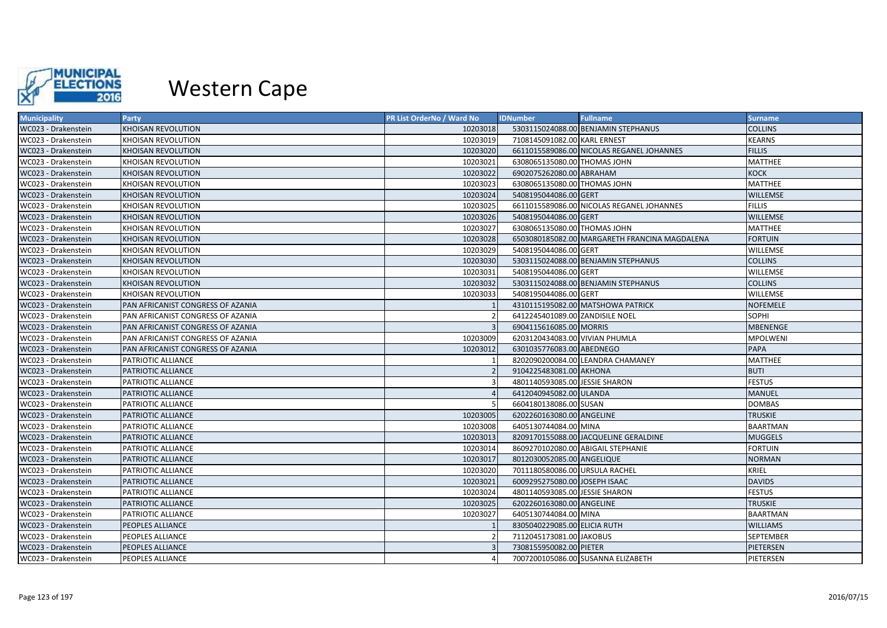

| <b>Municipality</b> | Party                             | <b>PR List OrderNo / Ward No</b> | <b>IDNumber</b>                 | <b>Fullname</b>                               | <b>Surname</b>   |
|---------------------|-----------------------------------|----------------------------------|---------------------------------|-----------------------------------------------|------------------|
| WC023 - Drakenstein | <b>KHOISAN REVOLUTION</b>         | 10203018                         |                                 | 5303115024088.00 BENJAMIN STEPHANUS           | <b>COLLINS</b>   |
| WC023 - Drakenstein | KHOISAN REVOLUTION                | 10203019                         | 7108145091082.00 KARL ERNEST    |                                               | <b>KEARNS</b>    |
| WC023 - Drakenstein | <b>KHOISAN REVOLUTION</b>         | 10203020                         |                                 | 6611015589086.00 NICOLAS REGANEL JOHANNES     | <b>FILLIS</b>    |
| WC023 - Drakenstein | KHOISAN REVOLUTION                | 10203021                         | 6308065135080.00 THOMAS JOHN    |                                               | <b>MATTHEE</b>   |
| WC023 - Drakenstein | KHOISAN REVOLUTION                | 10203022                         | 6902075262080.00 ABRAHAM        |                                               | <b>KOCK</b>      |
| WC023 - Drakenstein | <b>KHOISAN REVOLUTION</b>         | 10203023                         | 6308065135080.00 THOMAS JOHN    |                                               | <b>MATTHEE</b>   |
| WC023 - Drakenstein | <b>KHOISAN REVOLUTION</b>         | 10203024                         | 5408195044086.00 GERT           |                                               | <b>WILLEMSE</b>  |
| WC023 - Drakenstein | KHOISAN REVOLUTION                | 10203025                         |                                 | 6611015589086.00 NICOLAS REGANEL JOHANNES     | <b>FILLIS</b>    |
| WC023 - Drakenstein | <b>KHOISAN REVOLUTION</b>         | 10203026                         | 5408195044086.00 GERT           |                                               | <b>WILLEMSE</b>  |
| WC023 - Drakenstein | <b>KHOISAN REVOLUTION</b>         | 10203027                         | 6308065135080.00 THOMAS JOHN    |                                               | <b>MATTHEE</b>   |
| WC023 - Drakenstein | <b>KHOISAN REVOLUTION</b>         | 10203028                         |                                 | 6503080185082.00 MARGARETH FRANCINA MAGDALENA | <b>FORTUIN</b>   |
| WC023 - Drakenstein | <b>KHOISAN REVOLUTION</b>         | 10203029                         | 5408195044086.00 GERT           |                                               | <b>WILLEMSE</b>  |
| WC023 - Drakenstein | <b>KHOISAN REVOLUTION</b>         | 10203030                         |                                 | 5303115024088.00 BENJAMIN STEPHANUS           | <b>COLLINS</b>   |
| WC023 - Drakenstein | KHOISAN REVOLUTION                | 10203031                         | 5408195044086.00 GERT           |                                               | <b>WILLEMSE</b>  |
| WC023 - Drakenstein | KHOISAN REVOLUTION                | 10203032                         |                                 | 5303115024088.00 BENJAMIN STEPHANUS           | <b>COLLINS</b>   |
| WC023 - Drakenstein | KHOISAN REVOLUTION                | 10203033                         | 5408195044086.00 GERT           |                                               | <b>WILLEMSE</b>  |
| WC023 - Drakenstein | PAN AFRICANIST CONGRESS OF AZANIA |                                  |                                 | 4310115195082.00 MATSHOWA PATRICK             | <b>NOFEMELE</b>  |
| WC023 - Drakenstein | PAN AFRICANIST CONGRESS OF AZANIA |                                  | 6412245401089.00 ZANDISILE NOEL |                                               | <b>SOPHI</b>     |
| WC023 - Drakenstein | PAN AFRICANIST CONGRESS OF AZANIA |                                  | 6904115616085.00 MORRIS         |                                               | <b>MBENENGE</b>  |
| WC023 - Drakenstein | PAN AFRICANIST CONGRESS OF AZANIA | 10203009                         | 6203120434083.00 VIVIAN PHUMLA  |                                               | <b>MPOLWENI</b>  |
| WC023 - Drakenstein | PAN AFRICANIST CONGRESS OF AZANIA | 10203012                         | 6301035776083.00 ABEDNEGO       |                                               | PAPA             |
| WC023 - Drakenstein | PATRIOTIC ALLIANCE                |                                  |                                 | 8202090200084.00 LEANDRA CHAMANEY             | <b>MATTHEE</b>   |
| WC023 - Drakenstein | PATRIOTIC ALLIANCE                |                                  | 9104225483081.00 AKHONA         |                                               | <b>BUTI</b>      |
| WC023 - Drakenstein | PATRIOTIC ALLIANCE                |                                  | 4801140593085.00 JESSIE SHARON  |                                               | <b>FESTUS</b>    |
| WC023 - Drakenstein | PATRIOTIC ALLIANCE                |                                  | 6412040945082.00 ULANDA         |                                               | <b>MANUEL</b>    |
| WC023 - Drakenstein | PATRIOTIC ALLIANCE                |                                  | 6604180138086.00 SUSAN          |                                               | <b>DOMBAS</b>    |
| WC023 - Drakenstein | PATRIOTIC ALLIANCE                | 10203005                         | 6202260163080.00 ANGELINE       |                                               | <b>TRUSKIE</b>   |
| WC023 - Drakenstein | PATRIOTIC ALLIANCE                | 10203008                         | 6405130744084.00 MINA           |                                               | <b>BAARTMAN</b>  |
| WC023 - Drakenstein | PATRIOTIC ALLIANCE                | 10203013                         |                                 | 8209170155088.00 JACQUELINE GERALDINE         | <b>MUGGELS</b>   |
| WC023 - Drakenstein | PATRIOTIC ALLIANCE                | 10203014                         |                                 | 8609270102080.00 ABIGAIL STEPHANIE            | <b>FORTUIN</b>   |
| WC023 - Drakenstein | PATRIOTIC ALLIANCE                | 10203017                         | 8012030052085.00 ANGELIQUE      |                                               | <b>NORMAN</b>    |
| WC023 - Drakenstein | PATRIOTIC ALLIANCE                | 10203020                         | 7011180580086.00 URSULA RACHEL  |                                               | KRIEL            |
| WC023 - Drakenstein | PATRIOTIC ALLIANCE                | 10203021                         | 6009295275080.00 JOSEPH ISAAC   |                                               | <b>DAVIDS</b>    |
| WC023 - Drakenstein | PATRIOTIC ALLIANCE                | 10203024                         | 4801140593085.00 JESSIE SHARON  |                                               | <b>FESTUS</b>    |
| WC023 - Drakenstein | PATRIOTIC ALLIANCE                | 10203025                         | 6202260163080.00 ANGELINE       |                                               | <b>TRUSKIE</b>   |
| WC023 - Drakenstein | PATRIOTIC ALLIANCE                | 10203027                         | 6405130744084.00 MINA           |                                               | <b>BAARTMAN</b>  |
| WC023 - Drakenstein | PEOPLES ALLIANCE                  |                                  | 8305040229085.00 ELICIA RUTH    |                                               | <b>WILLIAMS</b>  |
| WC023 - Drakenstein | PEOPLES ALLIANCE                  |                                  | 7112045173081.00 JAKOBUS        |                                               | <b>SEPTEMBER</b> |
| WC023 - Drakenstein | PEOPLES ALLIANCE                  |                                  | 7308155950082.00 PIETER         |                                               | PIETERSEN        |
| WC023 - Drakenstein | PEOPLES ALLIANCE                  |                                  |                                 | 7007200105086.00 SUSANNA ELIZABETH            | PIETERSEN        |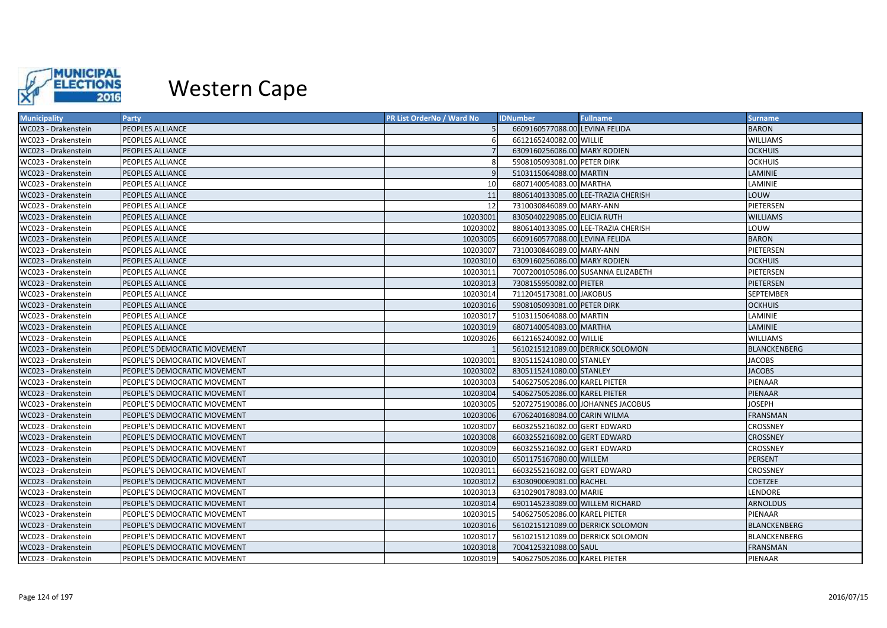

| <b>Municipality</b> | Party                        | <b>PR List OrderNo / Ward No</b> | <b>IDNumber</b>                 | <b>Fullname</b>                     | <b>Surname</b>      |
|---------------------|------------------------------|----------------------------------|---------------------------------|-------------------------------------|---------------------|
| WC023 - Drakenstein | PEOPLES ALLIANCE             |                                  | 6609160577088.00 LEVINA FELIDA  |                                     | <b>BARON</b>        |
| WC023 - Drakenstein | PEOPLES ALLIANCE             |                                  | 6612165240082.00 WILLIE         |                                     | <b>WILLIAMS</b>     |
| WC023 - Drakenstein | PEOPLES ALLIANCE             |                                  | 6309160256086.00 MARY RODIEN    |                                     | <b>OCKHUIS</b>      |
| WC023 - Drakenstein | PEOPLES ALLIANCE             |                                  | 5908105093081.00 PETER DIRK     |                                     | <b>OCKHUIS</b>      |
| WC023 - Drakenstein | PEOPLES ALLIANCE             |                                  | 5103115064088.00 MARTIN         |                                     | LAMINIE             |
| WC023 - Drakenstein | PEOPLES ALLIANCE             | 10                               | 6807140054083.00 MARTHA         |                                     | LAMINIE             |
| WC023 - Drakenstein | PEOPLES ALLIANCE             | 11                               |                                 | 8806140133085.00 LEE-TRAZIA CHERISH | LOUW                |
| WC023 - Drakenstein | PEOPLES ALLIANCE             | 12                               | 7310030846089.00 MARY-ANN       |                                     | PIETERSEN           |
| WC023 - Drakenstein | PEOPLES ALLIANCE             | 10203001                         | 8305040229085.00 ELICIA RUTH    |                                     | <b>WILLIAMS</b>     |
| WC023 - Drakenstein | PEOPLES ALLIANCE             | 10203002                         |                                 | 8806140133085.00 LEE-TRAZIA CHERISH | LOUW                |
| WC023 - Drakenstein | PEOPLES ALLIANCE             | 10203005                         | 6609160577088.00 LEVINA FELIDA  |                                     | <b>BARON</b>        |
| WC023 - Drakenstein | PEOPLES ALLIANCE             | 10203007                         | 7310030846089.00 MARY-ANN       |                                     | PIETERSEN           |
| WC023 - Drakenstein | PEOPLES ALLIANCE             | 10203010                         | 6309160256086.00 MARY RODIEN    |                                     | <b>OCKHUIS</b>      |
| WC023 - Drakenstein | PEOPLES ALLIANCE             | 10203011                         |                                 | 7007200105086.00 SUSANNA ELIZABETH  | PIETERSEN           |
| WC023 - Drakenstein | PEOPLES ALLIANCE             | 10203013                         | 7308155950082.00 PIETER         |                                     | PIETERSEN           |
| WC023 - Drakenstein | PEOPLES ALLIANCE             | 10203014                         | 7112045173081.00 JAKOBUS        |                                     | <b>SEPTEMBER</b>    |
| WC023 - Drakenstein | PEOPLES ALLIANCE             | 10203016                         | 5908105093081.00 PETER DIRK     |                                     | <b>OCKHUIS</b>      |
| WC023 - Drakenstein | PEOPLES ALLIANCE             | 10203017                         | 5103115064088.00 MARTIN         |                                     | LAMINIE             |
| WC023 - Drakenstein | PEOPLES ALLIANCE             | 10203019                         | 6807140054083.00 MARTHA         |                                     | LAMINIE             |
| WC023 - Drakenstein | PEOPLES ALLIANCE             | 10203026                         | 6612165240082.00 WILLIE         |                                     | <b>WILLIAMS</b>     |
| WC023 - Drakenstein | PEOPLE'S DEMOCRATIC MOVEMENT |                                  |                                 | 5610215121089.00 DERRICK SOLOMON    | <b>BLANCKENBERG</b> |
| WC023 - Drakenstein | PEOPLE'S DEMOCRATIC MOVEMENT | 10203001                         | 8305115241080.00 STANLEY        |                                     | <b>JACOBS</b>       |
| WC023 - Drakenstein | PEOPLE'S DEMOCRATIC MOVEMENT | 10203002                         | 8305115241080.00 STANLEY        |                                     | <b>JACOBS</b>       |
| WC023 - Drakenstein | PEOPLE'S DEMOCRATIC MOVEMENT | 10203003                         | 5406275052086.00 KAREL PIETER   |                                     | PIENAAR             |
| WC023 - Drakenstein | PEOPLE'S DEMOCRATIC MOVEMENT | 10203004                         | 5406275052086.00 KAREL PIETER   |                                     | PIENAAR             |
| WC023 - Drakenstein | PEOPLE'S DEMOCRATIC MOVEMENT | 10203005                         |                                 | 5207275190086.00 JOHANNES JACOBUS   | <b>JOSEPH</b>       |
| WC023 - Drakenstein | PEOPLE'S DEMOCRATIC MOVEMENT | 10203006                         | 6706240168084.00 CARIN WILMA    |                                     | <b>FRANSMAN</b>     |
| WC023 - Drakenstein | PEOPLE'S DEMOCRATIC MOVEMENT | 10203007                         | 6603255216082.00 GERT EDWARD    |                                     | <b>CROSSNEY</b>     |
| WC023 - Drakenstein | PEOPLE'S DEMOCRATIC MOVEMENT | 10203008                         | 6603255216082.00 GERT EDWARD    |                                     | <b>CROSSNEY</b>     |
| WC023 - Drakenstein | PEOPLE'S DEMOCRATIC MOVEMENT | 10203009                         | 6603255216082.00 GERT EDWARD    |                                     | <b>CROSSNEY</b>     |
| WC023 - Drakenstein | PEOPLE'S DEMOCRATIC MOVEMENT | 10203010                         | 6501175167080.00 WILLEM         |                                     | PERSENT             |
| WC023 - Drakenstein | PEOPLE'S DEMOCRATIC MOVEMENT | 10203011                         | 6603255216082.00 GERT EDWARD    |                                     | <b>CROSSNEY</b>     |
| WC023 - Drakenstein | PEOPLE'S DEMOCRATIC MOVEMENT | 10203012                         | 6303090069081.00 RACHEL         |                                     | <b>COETZEE</b>      |
| WC023 - Drakenstein | PEOPLE'S DEMOCRATIC MOVEMENT | 10203013                         | 6310290178083.00 MARIE          |                                     | LENDORE             |
| WC023 - Drakenstein | PEOPLE'S DEMOCRATIC MOVEMENT | 10203014                         | 6901145233089.00 WILLEM RICHARD |                                     | <b>ARNOLDUS</b>     |
| WC023 - Drakenstein | PEOPLE'S DEMOCRATIC MOVEMENT | 10203015                         | 5406275052086.00 KAREL PIETER   |                                     | PIENAAR             |
| WC023 - Drakenstein | PEOPLE'S DEMOCRATIC MOVEMENT | 10203016                         |                                 | 5610215121089.00 DERRICK SOLOMON    | <b>BLANCKENBERG</b> |
| WC023 - Drakenstein | PEOPLE'S DEMOCRATIC MOVEMENT | 10203017                         |                                 | 5610215121089.00 DERRICK SOLOMON    | <b>BLANCKENBERG</b> |
| WC023 - Drakenstein | PEOPLE'S DEMOCRATIC MOVEMENT | 10203018                         | 7004125321088.00 SAUL           |                                     | <b>FRANSMAN</b>     |
| WC023 - Drakenstein | PEOPLE'S DEMOCRATIC MOVEMENT | 10203019                         | 5406275052086.00 KAREL PIETER   |                                     | PIENAAR             |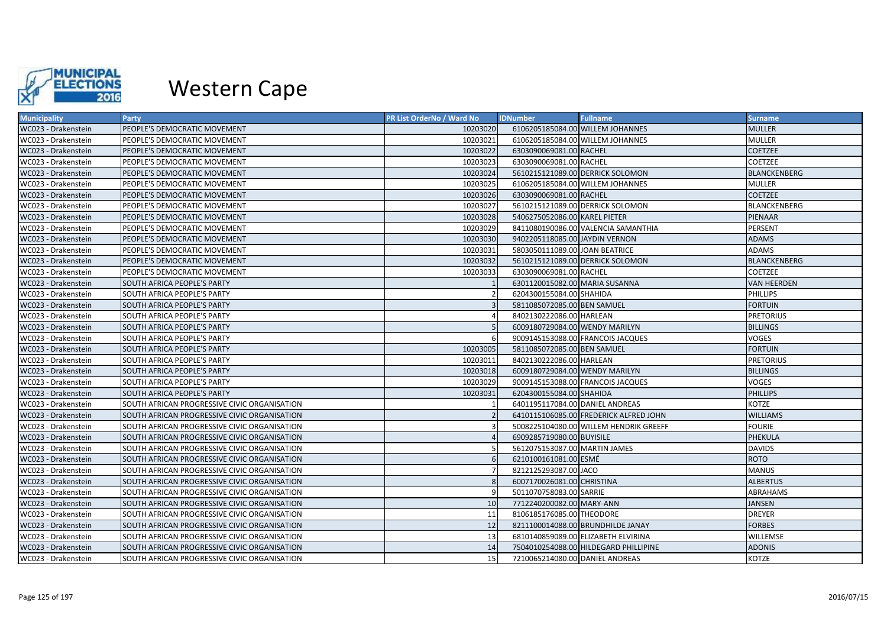

| <b>Municipality</b> | Party                                        | <b>PR List OrderNo / Ward No</b> | <b>IDNumber</b>                 | <b>Fullname</b>                        | <b>Surname</b>      |
|---------------------|----------------------------------------------|----------------------------------|---------------------------------|----------------------------------------|---------------------|
| WC023 - Drakenstein | PEOPLE'S DEMOCRATIC MOVEMENT                 | 10203020                         |                                 | 6106205185084.00 WILLEM JOHANNES       | <b>MULLER</b>       |
| WC023 - Drakenstein | PEOPLE'S DEMOCRATIC MOVEMENT                 | 10203021                         |                                 | 6106205185084.00 WILLEM JOHANNES       | <b>MULLER</b>       |
| WC023 - Drakenstein | PEOPLE'S DEMOCRATIC MOVEMENT                 | 10203022                         | 6303090069081.00 RACHEL         |                                        | <b>COETZEE</b>      |
| WC023 - Drakenstein | PEOPLE'S DEMOCRATIC MOVEMENT                 | 10203023                         | 6303090069081.00 RACHEL         |                                        | <b>COETZEE</b>      |
| WC023 - Drakenstein | PEOPLE'S DEMOCRATIC MOVEMENT                 | 10203024                         |                                 | 5610215121089.00 DERRICK SOLOMON       | <b>BLANCKENBERG</b> |
| WC023 - Drakenstein | PEOPLE'S DEMOCRATIC MOVEMENT                 | 10203025                         |                                 | 6106205185084.00 WILLEM JOHANNES       | <b>MULLER</b>       |
| WC023 - Drakenstein | PEOPLE'S DEMOCRATIC MOVEMENT                 | 10203026                         | 6303090069081.00 RACHEL         |                                        | <b>COETZEE</b>      |
| WC023 - Drakenstein | PEOPLE'S DEMOCRATIC MOVEMENT                 | 10203027                         |                                 | 5610215121089.00 DERRICK SOLOMON       | <b>BLANCKENBERG</b> |
| WC023 - Drakenstein | PEOPLE'S DEMOCRATIC MOVEMENT                 | 10203028                         | 5406275052086.00 KAREL PIETER   |                                        | PIENAAR             |
| WC023 - Drakenstein | PEOPLE'S DEMOCRATIC MOVEMENT                 | 10203029                         |                                 | 8411080190086.00 VALENCIA SAMANTHIA    | PERSENT             |
| WC023 - Drakenstein | PEOPLE'S DEMOCRATIC MOVEMENT                 | 10203030                         | 9402205118085.00 JAYDIN VERNON  |                                        | <b>ADAMS</b>        |
| WC023 - Drakenstein | PEOPLE'S DEMOCRATIC MOVEMENT                 | 10203031                         | 5803050111089.00 JOAN BEATRICE  |                                        | <b>ADAMS</b>        |
| WC023 - Drakenstein | PEOPLE'S DEMOCRATIC MOVEMENT                 | 10203032                         |                                 | 5610215121089.00 DERRICK SOLOMON       | <b>BLANCKENBERG</b> |
| WC023 - Drakenstein | PEOPLE'S DEMOCRATIC MOVEMENT                 | 10203033                         | 6303090069081.00 RACHEL         |                                        | <b>COETZEE</b>      |
| WC023 - Drakenstein | SOUTH AFRICA PEOPLE'S PARTY                  |                                  | 6301120015082.00 MARIA SUSANNA  |                                        | <b>VAN HEERDEN</b>  |
| WC023 - Drakenstein | SOUTH AFRICA PEOPLE'S PARTY                  |                                  | 6204300155084.00 SHAHIDA        |                                        | <b>PHILLIPS</b>     |
| WC023 - Drakenstein | SOUTH AFRICA PEOPLE'S PARTY                  |                                  | 5811085072085.00 BEN SAMUEL     |                                        | <b>FORTUIN</b>      |
| WC023 - Drakenstein | SOUTH AFRICA PEOPLE'S PARTY                  |                                  | 8402130222086.00 HARLEAN        |                                        | <b>PRETORIUS</b>    |
| WC023 - Drakenstein | SOUTH AFRICA PEOPLE'S PARTY                  |                                  | 6009180729084.00 WENDY MARILYN  |                                        | <b>BILLINGS</b>     |
| WC023 - Drakenstein | SOUTH AFRICA PEOPLE'S PARTY                  |                                  |                                 | 9009145153088.00 FRANCOIS JACQUES      | <b>VOGES</b>        |
| WC023 - Drakenstein | SOUTH AFRICA PEOPLE'S PARTY                  | 10203005                         | 5811085072085.00 BEN SAMUEL     |                                        | <b>FORTUIN</b>      |
| WC023 - Drakenstein | SOUTH AFRICA PEOPLE'S PARTY                  | 10203011                         | 8402130222086.00 HARLEAN        |                                        | <b>PRETORIUS</b>    |
| WC023 - Drakenstein | SOUTH AFRICA PEOPLE'S PARTY                  | 10203018                         | 6009180729084.00 WENDY MARILYN  |                                        | <b>BILLINGS</b>     |
| WC023 - Drakenstein | SOUTH AFRICA PEOPLE'S PARTY                  | 10203029                         |                                 | 9009145153088.00 FRANCOIS JACQUES      | <b>VOGES</b>        |
| WC023 - Drakenstein | SOUTH AFRICA PEOPLE'S PARTY                  | 10203031                         | 6204300155084.00 SHAHIDA        |                                        | <b>PHILLIPS</b>     |
| WC023 - Drakenstein | SOUTH AFRICAN PROGRESSIVE CIVIC ORGANISATION |                                  | 6401195117084.00 DANIEL ANDREAS |                                        | KOTZE               |
| WC023 - Drakenstein | SOUTH AFRICAN PROGRESSIVE CIVIC ORGANISATION |                                  |                                 | 6410115106085.00 FREDERICK ALFRED JOHN | <b>WILLIAMS</b>     |
| WC023 - Drakenstein | SOUTH AFRICAN PROGRESSIVE CIVIC ORGANISATION |                                  |                                 | 5008225104080.00 WILLEM HENDRIK GREEFF | <b>FOURIE</b>       |
| WC023 - Drakenstein | SOUTH AFRICAN PROGRESSIVE CIVIC ORGANISATION |                                  | 6909285719080.00 BUYISILE       |                                        | PHEKULA             |
| WC023 - Drakenstein | SOUTH AFRICAN PROGRESSIVE CIVIC ORGANISATION |                                  | 5612075153087.00 MARTIN JAMES   |                                        | <b>DAVIDS</b>       |
| WC023 - Drakenstein | SOUTH AFRICAN PROGRESSIVE CIVIC ORGANISATION |                                  | 6210100161081.00 ESMÉ           |                                        | <b>ROTO</b>         |
| WC023 - Drakenstein | SOUTH AFRICAN PROGRESSIVE CIVIC ORGANISATION |                                  | 8212125293087.00 JACO           |                                        | <b>MANUS</b>        |
| WC023 - Drakenstein | SOUTH AFRICAN PROGRESSIVE CIVIC ORGANISATION |                                  | 6007170026081.00 CHRISTINA      |                                        | <b>ALBERTUS</b>     |
| WC023 - Drakenstein | SOUTH AFRICAN PROGRESSIVE CIVIC ORGANISATION |                                  | 5011070758083.00 SARRIE         |                                        | ABRAHAMS            |
| WC023 - Drakenstein | SOUTH AFRICAN PROGRESSIVE CIVIC ORGANISATION | 10                               | 7712240200082.00 MARY-ANN       |                                        | <b>JANSEN</b>       |
| WC023 - Drakenstein | SOUTH AFRICAN PROGRESSIVE CIVIC ORGANISATION | 11                               | 8106185176085.00 THEODORE       |                                        | <b>DREYER</b>       |
| WC023 - Drakenstein | SOUTH AFRICAN PROGRESSIVE CIVIC ORGANISATION | 12                               |                                 | 8211100014088.00 BRUNDHILDE JANAY      | <b>FORBES</b>       |
| WC023 - Drakenstein | SOUTH AFRICAN PROGRESSIVE CIVIC ORGANISATION | 13                               |                                 | 6810140859089.00 ELIZABETH ELVIRINA    | <b>WILLEMSE</b>     |
| WC023 - Drakenstein | SOUTH AFRICAN PROGRESSIVE CIVIC ORGANISATION | 14                               |                                 | 7504010254088.00 HILDEGARD PHILLIPINE  | <b>ADONIS</b>       |
| WC023 - Drakenstein | SOUTH AFRICAN PROGRESSIVE CIVIC ORGANISATION | 15                               | 7210065214080.00 DANIËL ANDREAS |                                        | KOTZE               |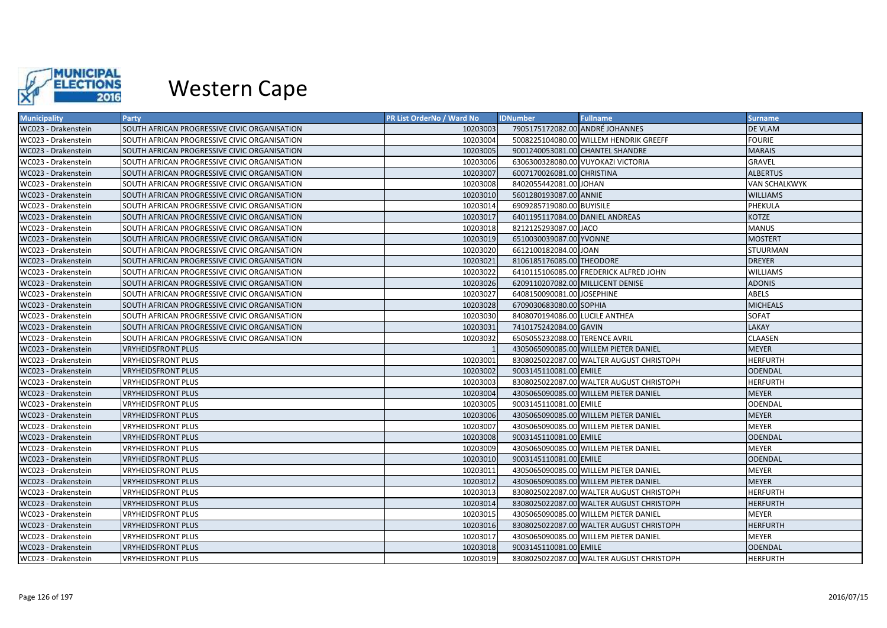

| <b>Municipality</b> | Party                                        | <b>PR List OrderNo / Ward No</b> | <b>IDNumber</b>                   | <b>Fullname</b>                          | <b>Surname</b>       |
|---------------------|----------------------------------------------|----------------------------------|-----------------------------------|------------------------------------------|----------------------|
| WC023 - Drakenstein | SOUTH AFRICAN PROGRESSIVE CIVIC ORGANISATION | 10203003                         | 7905175172082.00 ANDRÉ JOHANNES   |                                          | <b>DE VLAM</b>       |
| WC023 - Drakenstein | SOUTH AFRICAN PROGRESSIVE CIVIC ORGANISATION | 10203004                         |                                   | 5008225104080.00 WILLEM HENDRIK GREEFF   | <b>FOURIE</b>        |
| WC023 - Drakenstein | SOUTH AFRICAN PROGRESSIVE CIVIC ORGANISATION | 10203005                         |                                   | 9001240053081.00 CHANTEL SHANDRE         | <b>MARAIS</b>        |
| WC023 - Drakenstein | SOUTH AFRICAN PROGRESSIVE CIVIC ORGANISATION | 10203006                         |                                   | 6306300328080.00 VUYOKAZI VICTORIA       | GRAVEL               |
| WC023 - Drakenstein | SOUTH AFRICAN PROGRESSIVE CIVIC ORGANISATION | 10203007                         | 6007170026081.00 CHRISTINA        |                                          | <b>ALBERTUS</b>      |
| WC023 - Drakenstein | SOUTH AFRICAN PROGRESSIVE CIVIC ORGANISATION | 10203008                         | 8402055442081.00 JOHAN            |                                          | <b>VAN SCHALKWYK</b> |
| WC023 - Drakenstein | SOUTH AFRICAN PROGRESSIVE CIVIC ORGANISATION | 10203010                         | 5601280193087.00 ANNIE            |                                          | <b>WILLIAMS</b>      |
| WC023 - Drakenstein | SOUTH AFRICAN PROGRESSIVE CIVIC ORGANISATION | 10203014                         | 6909285719080.00 BUYISILE         |                                          | PHEKULA              |
| WC023 - Drakenstein | SOUTH AFRICAN PROGRESSIVE CIVIC ORGANISATION | 10203017                         | 6401195117084.00 DANIEL ANDREAS   |                                          | <b>KOTZE</b>         |
| WC023 - Drakenstein | SOUTH AFRICAN PROGRESSIVE CIVIC ORGANISATION | 10203018                         | 8212125293087.00 JACO             |                                          | <b>MANUS</b>         |
| WC023 - Drakenstein | SOUTH AFRICAN PROGRESSIVE CIVIC ORGANISATION | 10203019                         | 6510030039087.00 YVONNE           |                                          | <b>MOSTERT</b>       |
| WC023 - Drakenstein | SOUTH AFRICAN PROGRESSIVE CIVIC ORGANISATION | 10203020                         | 6612100182084.00 JOAN             |                                          | <b>STUURMAN</b>      |
| WC023 - Drakenstein | SOUTH AFRICAN PROGRESSIVE CIVIC ORGANISATION | 10203021                         | 8106185176085.00 THEODORE         |                                          | <b>DREYER</b>        |
| WC023 - Drakenstein | SOUTH AFRICAN PROGRESSIVE CIVIC ORGANISATION | 10203022                         |                                   | 6410115106085.00 FREDERICK ALFRED JOHN   | <b>WILLIAMS</b>      |
| WC023 - Drakenstein | SOUTH AFRICAN PROGRESSIVE CIVIC ORGANISATION | 10203026                         | 6209110207082.00 MILLICENT DENISE |                                          | <b>ADONIS</b>        |
| WC023 - Drakenstein | SOUTH AFRICAN PROGRESSIVE CIVIC ORGANISATION | 10203027                         | 6408150090081.00 JOSEPHINE        |                                          | <b>ABELS</b>         |
| WC023 - Drakenstein | SOUTH AFRICAN PROGRESSIVE CIVIC ORGANISATION | 10203028                         | 6709030683080.00 SOPHIA           |                                          | <b>MICHEALS</b>      |
| WC023 - Drakenstein | SOUTH AFRICAN PROGRESSIVE CIVIC ORGANISATION | 10203030                         | 8408070194086.00 LUCILE ANTHEA    |                                          | <b>SOFAT</b>         |
| WC023 - Drakenstein | SOUTH AFRICAN PROGRESSIVE CIVIC ORGANISATION | 10203031                         | 7410175242084.00 GAVIN            |                                          | LAKAY                |
| WC023 - Drakenstein | SOUTH AFRICAN PROGRESSIVE CIVIC ORGANISATION | 10203032                         | 6505055232088.00 TERENCE AVRIL    |                                          | <b>CLAASEN</b>       |
| WC023 - Drakenstein | VRYHEIDSFRONT PLUS                           |                                  |                                   | 4305065090085.00 WILLEM PIETER DANIEL    | <b>MEYER</b>         |
| WC023 - Drakenstein | VRYHEIDSFRONT PLUS                           | 10203001                         |                                   | 8308025022087.00 WALTER AUGUST CHRISTOPH | <b>HERFURTH</b>      |
| WC023 - Drakenstein | VRYHEIDSFRONT PLUS                           | 10203002                         | 9003145110081.00 EMILE            |                                          | <b>ODENDAL</b>       |
| WC023 - Drakenstein | <b>VRYHEIDSFRONT PLUS</b>                    | 10203003                         |                                   | 8308025022087.00 WALTER AUGUST CHRISTOPH | <b>HERFURTH</b>      |
| WC023 - Drakenstein | <b>VRYHEIDSFRONT PLUS</b>                    | 10203004                         |                                   | 4305065090085.00 WILLEM PIETER DANIEL    | <b>MEYER</b>         |
| WC023 - Drakenstein | VRYHEIDSFRONT PLUS                           | 10203005                         | 9003145110081.00 EMILE            |                                          | <b>ODENDAL</b>       |
| WC023 - Drakenstein | VRYHEIDSFRONT PLUS                           | 10203006                         |                                   | 4305065090085.00 WILLEM PIETER DANIEL    | <b>MEYER</b>         |
| WC023 - Drakenstein | <b>VRYHEIDSFRONT PLUS</b>                    | 10203007                         |                                   | 4305065090085.00 WILLEM PIETER DANIEL    | <b>MEYER</b>         |
| WC023 - Drakenstein | <b>VRYHEIDSFRONT PLUS</b>                    | 10203008                         | 9003145110081.00 EMILE            |                                          | <b>ODENDAL</b>       |
| WC023 - Drakenstein | <b>VRYHEIDSFRONT PLUS</b>                    | 10203009                         |                                   | 4305065090085.00 WILLEM PIETER DANIEL    | <b>MEYER</b>         |
| WC023 - Drakenstein | <b>VRYHEIDSFRONT PLUS</b>                    | 10203010                         | 9003145110081.00 EMILE            |                                          | <b>ODENDAL</b>       |
| WC023 - Drakenstein | VRYHEIDSFRONT PLUS                           | 10203011                         |                                   | 4305065090085.00 WILLEM PIETER DANIEL    | <b>MEYER</b>         |
| WC023 - Drakenstein | VRYHEIDSFRONT PLUS                           | 10203012                         |                                   | 4305065090085.00 WILLEM PIETER DANIEL    | <b>MEYER</b>         |
| WC023 - Drakenstein | <b>VRYHEIDSFRONT PLUS</b>                    | 10203013                         |                                   | 8308025022087.00 WALTER AUGUST CHRISTOPH | <b>HERFURTH</b>      |
| WC023 - Drakenstein | <b>VRYHEIDSFRONT PLUS</b>                    | 10203014                         |                                   | 8308025022087.00 WALTER AUGUST CHRISTOPH | <b>HERFURTH</b>      |
| WC023 - Drakenstein | VRYHEIDSFRONT PLUS                           | 10203015                         |                                   | 4305065090085.00 WILLEM PIETER DANIEL    | <b>MEYER</b>         |
| WC023 - Drakenstein | <b>VRYHEIDSFRONT PLUS</b>                    | 10203016                         |                                   | 8308025022087.00 WALTER AUGUST CHRISTOPH | <b>HERFURTH</b>      |
| WC023 - Drakenstein | VRYHEIDSFRONT PLUS                           | 10203017                         |                                   | 4305065090085.00 WILLEM PIETER DANIEL    | MEYER                |
| WC023 - Drakenstein | <b>VRYHEIDSFRONT PLUS</b>                    | 10203018                         | 9003145110081.00 EMILE            |                                          | <b>ODENDAL</b>       |
| WC023 - Drakenstein | <b>VRYHEIDSFRONT PLUS</b>                    | 10203019                         |                                   | 8308025022087.00 WALTER AUGUST CHRISTOPH | <b>HERFURTH</b>      |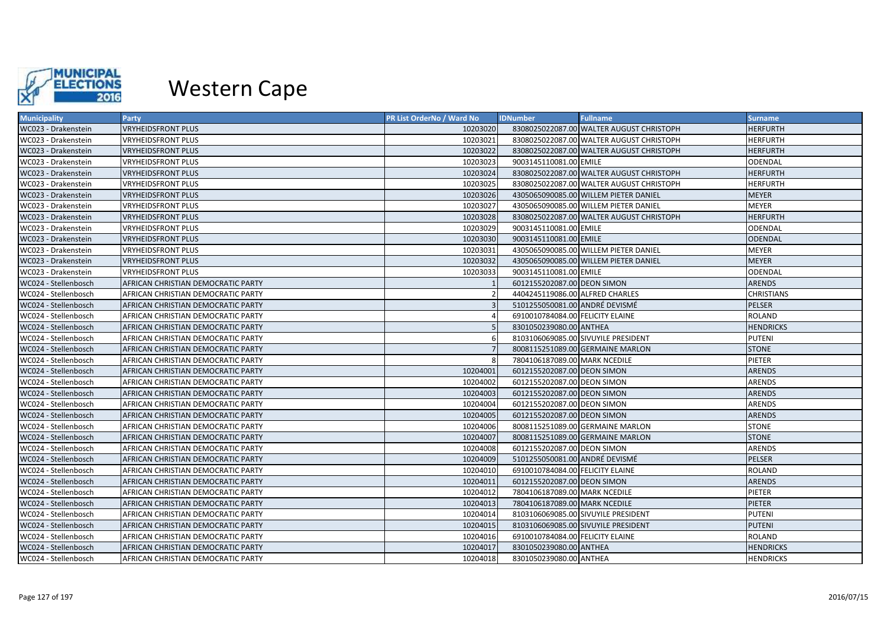

| <b>Municipality</b>  | <b>Party</b>                       | PR List OrderNo / Ward No | <b>IDNumber</b>                  | <b>Fullname</b>                          | <b>Surname</b>    |
|----------------------|------------------------------------|---------------------------|----------------------------------|------------------------------------------|-------------------|
| WC023 - Drakenstein  | <b>VRYHEIDSFRONT PLUS</b>          | 10203020                  |                                  | 8308025022087.00 WALTER AUGUST CHRISTOPH | <b>HERFURTH</b>   |
| WC023 - Drakenstein  | VRYHEIDSFRONT PLUS                 | 10203021                  |                                  | 8308025022087.00 WALTER AUGUST CHRISTOPH | <b>HERFURTH</b>   |
| WC023 - Drakenstein  | <b>VRYHEIDSFRONT PLUS</b>          | 10203022                  |                                  | 8308025022087.00 WALTER AUGUST CHRISTOPH | <b>HERFURTH</b>   |
| WC023 - Drakenstein  | VRYHEIDSFRONT PLUS                 | 10203023                  | 9003145110081.00 EMILE           |                                          | ODENDAL           |
| WC023 - Drakenstein  | VRYHEIDSFRONT PLUS                 | 10203024                  |                                  | 8308025022087.00 WALTER AUGUST CHRISTOPH | <b>HERFURTH</b>   |
| WC023 - Drakenstein  | <b>VRYHEIDSFRONT PLUS</b>          | 10203025                  |                                  | 8308025022087.00 WALTER AUGUST CHRISTOPH | <b>HERFURTH</b>   |
| WC023 - Drakenstein  | VRYHEIDSFRONT PLUS                 | 10203026                  |                                  | 4305065090085.00 WILLEM PIETER DANIEL    | <b>MEYER</b>      |
| WC023 - Drakenstein  | <b>VRYHEIDSFRONT PLUS</b>          | 10203027                  |                                  | 4305065090085.00 WILLEM PIETER DANIEL    | MEYER             |
| WC023 - Drakenstein  | VRYHEIDSFRONT PLUS                 | 10203028                  |                                  | 8308025022087.00 WALTER AUGUST CHRISTOPH | <b>HERFURTH</b>   |
| WC023 - Drakenstein  | <b>VRYHEIDSFRONT PLUS</b>          | 10203029                  | 9003145110081.00 EMILE           |                                          | ODENDAL           |
| WC023 - Drakenstein  | <b>VRYHEIDSFRONT PLUS</b>          | 10203030                  | 9003145110081.00 EMILE           |                                          | <b>ODENDAL</b>    |
| WC023 - Drakenstein  | VRYHEIDSFRONT PLUS                 | 10203031                  |                                  | 4305065090085.00 WILLEM PIETER DANIEL    | <b>MEYER</b>      |
| WC023 - Drakenstein  | <b>VRYHEIDSFRONT PLUS</b>          | 10203032                  |                                  | 4305065090085.00 WILLEM PIETER DANIEL    | <b>MEYER</b>      |
| WC023 - Drakenstein  | <b>VRYHEIDSFRONT PLUS</b>          | 10203033                  | 9003145110081.00 EMILE           |                                          | ODENDAL           |
| WC024 - Stellenbosch | AFRICAN CHRISTIAN DEMOCRATIC PARTY |                           | 6012155202087.00 DEON SIMON      |                                          | <b>ARENDS</b>     |
| WC024 - Stellenbosch | AFRICAN CHRISTIAN DEMOCRATIC PARTY |                           | 4404245119086.00 ALFRED CHARLES  |                                          | <b>CHRISTIANS</b> |
| WC024 - Stellenbosch | AFRICAN CHRISTIAN DEMOCRATIC PARTY |                           | 5101255050081.00 ANDRÉ DEVISMÉ   |                                          | <b>PELSER</b>     |
| WC024 - Stellenbosch | AFRICAN CHRISTIAN DEMOCRATIC PARTY |                           | 6910010784084.00 FELICITY ELAINE |                                          | <b>ROLAND</b>     |
| WC024 - Stellenbosch | AFRICAN CHRISTIAN DEMOCRATIC PARTY |                           | 8301050239080.00 ANTHEA          |                                          | <b>HENDRICKS</b>  |
| WC024 - Stellenbosch | AFRICAN CHRISTIAN DEMOCRATIC PARTY |                           |                                  | 8103106069085.00 SIVUYILE PRESIDENT      | <b>PUTENI</b>     |
| WC024 - Stellenbosch | AFRICAN CHRISTIAN DEMOCRATIC PARTY |                           |                                  | 8008115251089.00 GERMAINE MARLON         | <b>STONE</b>      |
| WC024 - Stellenbosch | AFRICAN CHRISTIAN DEMOCRATIC PARTY |                           | 7804106187089.00 MARK NCEDILE    |                                          | PIETER            |
| WC024 - Stellenbosch | AFRICAN CHRISTIAN DEMOCRATIC PARTY | 10204001                  | 6012155202087.00 DEON SIMON      |                                          | <b>ARENDS</b>     |
| WC024 - Stellenbosch | AFRICAN CHRISTIAN DEMOCRATIC PARTY | 10204002                  | 6012155202087.00 DEON SIMON      |                                          | <b>ARENDS</b>     |
| WC024 - Stellenbosch | AFRICAN CHRISTIAN DEMOCRATIC PARTY | 10204003                  | 6012155202087.00 DEON SIMON      |                                          | <b>ARENDS</b>     |
| WC024 - Stellenbosch | AFRICAN CHRISTIAN DEMOCRATIC PARTY | 10204004                  | 6012155202087.00 DEON SIMON      |                                          | ARENDS            |
| WC024 - Stellenbosch | AFRICAN CHRISTIAN DEMOCRATIC PARTY | 10204005                  | 6012155202087.00 DEON SIMON      |                                          | <b>ARENDS</b>     |
| WC024 - Stellenbosch | AFRICAN CHRISTIAN DEMOCRATIC PARTY | 10204006                  |                                  | 8008115251089.00 GERMAINE MARLON         | <b>STONE</b>      |
| WC024 - Stellenbosch | AFRICAN CHRISTIAN DEMOCRATIC PARTY | 10204007                  |                                  | 8008115251089.00 GERMAINE MARLON         | <b>STONE</b>      |
| WC024 - Stellenbosch | AFRICAN CHRISTIAN DEMOCRATIC PARTY | 10204008                  | 6012155202087.00 DEON SIMON      |                                          | ARENDS            |
| WC024 - Stellenbosch | AFRICAN CHRISTIAN DEMOCRATIC PARTY | 10204009                  | 5101255050081.00 ANDRÉ DEVISMÉ   |                                          | <b>PELSER</b>     |
| WC024 - Stellenbosch | AFRICAN CHRISTIAN DEMOCRATIC PARTY | 10204010                  | 6910010784084.00 FELICITY ELAINE |                                          | <b>ROLAND</b>     |
| WC024 - Stellenbosch | AFRICAN CHRISTIAN DEMOCRATIC PARTY | 10204011                  | 6012155202087.00 DEON SIMON      |                                          | <b>ARENDS</b>     |
| WC024 - Stellenbosch | AFRICAN CHRISTIAN DEMOCRATIC PARTY | 10204012                  | 7804106187089.00 MARK NCEDILE    |                                          | PIETER            |
| WC024 - Stellenbosch | AFRICAN CHRISTIAN DEMOCRATIC PARTY | 10204013                  | 7804106187089.00 MARK NCEDILE    |                                          | <b>PIETER</b>     |
| WC024 - Stellenbosch | AFRICAN CHRISTIAN DEMOCRATIC PARTY | 10204014                  |                                  | 8103106069085.00 SIVUYILE PRESIDENT      | <b>PUTENI</b>     |
| WC024 - Stellenbosch | AFRICAN CHRISTIAN DEMOCRATIC PARTY | 10204015                  |                                  | 8103106069085.00 SIVUYILE PRESIDENT      | <b>PUTENI</b>     |
| WC024 - Stellenbosch | AFRICAN CHRISTIAN DEMOCRATIC PARTY | 10204016                  | 6910010784084.00 FELICITY ELAINE |                                          | ROLAND            |
| WC024 - Stellenbosch | AFRICAN CHRISTIAN DEMOCRATIC PARTY | 10204017                  | 8301050239080.00 ANTHEA          |                                          | <b>HENDRICKS</b>  |
| WC024 - Stellenbosch | AFRICAN CHRISTIAN DEMOCRATIC PARTY | 10204018                  | 8301050239080.00 ANTHEA          |                                          | <b>HENDRICKS</b>  |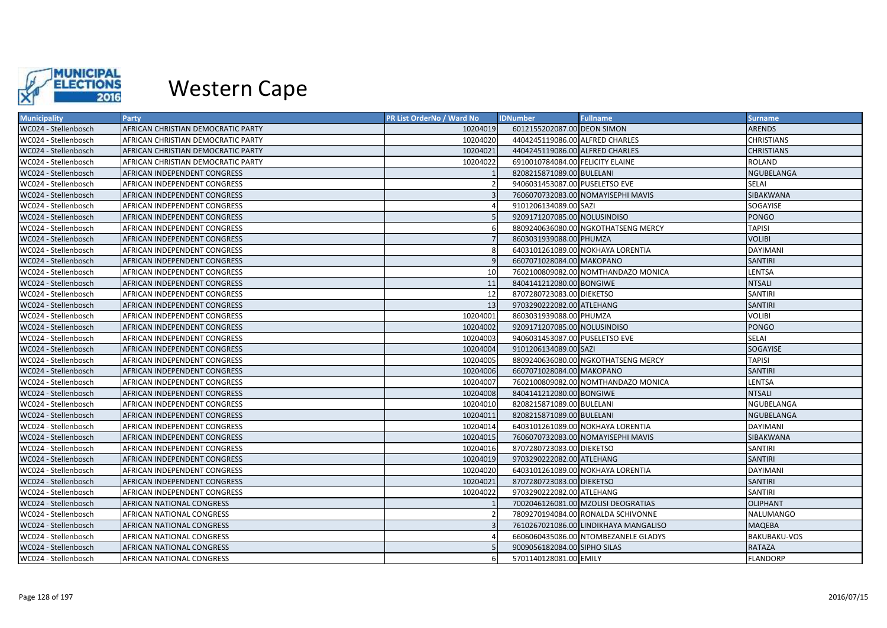

| <b>Municipality</b>  | Party                              | <b>PR List OrderNo / Ward No</b> | <b>IDNumber</b><br><b>Fullname</b>    | <b>Surname</b>    |
|----------------------|------------------------------------|----------------------------------|---------------------------------------|-------------------|
| WC024 - Stellenbosch | AFRICAN CHRISTIAN DEMOCRATIC PARTY | 10204019                         | 6012155202087.00 DEON SIMON           | <b>ARENDS</b>     |
| WC024 - Stellenbosch | AFRICAN CHRISTIAN DEMOCRATIC PARTY | 10204020                         | 4404245119086.00 ALFRED CHARLES       | <b>CHRISTIANS</b> |
| WC024 - Stellenbosch | AFRICAN CHRISTIAN DEMOCRATIC PARTY | 10204021                         | 4404245119086.00 ALFRED CHARLES       | <b>CHRISTIANS</b> |
| WC024 - Stellenbosch | AFRICAN CHRISTIAN DEMOCRATIC PARTY | 10204022                         | 6910010784084.00 FELICITY ELAINE      | ROLAND            |
| WC024 - Stellenbosch | AFRICAN INDEPENDENT CONGRESS       |                                  | 8208215871089.00 BULELANI             | <b>NGUBELANGA</b> |
| WC024 - Stellenbosch | AFRICAN INDEPENDENT CONGRESS       |                                  | 9406031453087.00 PUSELETSO EVE        | SELAI             |
| WC024 - Stellenbosch | AFRICAN INDEPENDENT CONGRESS       |                                  | 7606070732083.00 NOMAYISEPHI MAVIS    | SIBAKWANA         |
| WC024 - Stellenbosch | AFRICAN INDEPENDENT CONGRESS       |                                  | 9101206134089.00 SAZI                 | SOGAYISE          |
| WC024 - Stellenbosch | AFRICAN INDEPENDENT CONGRESS       |                                  | 9209171207085.00 NOLUSINDISO          | PONGO             |
| WC024 - Stellenbosch | AFRICAN INDEPENDENT CONGRESS       |                                  | 8809240636080.00 NGKOTHATSENG MERCY   | <b>TAPISI</b>     |
| WC024 - Stellenbosch | AFRICAN INDEPENDENT CONGRESS       |                                  | 8603031939088.00 PHUMZA               | <b>VOLIBI</b>     |
| WC024 - Stellenbosch | AFRICAN INDEPENDENT CONGRESS       |                                  | 6403101261089.00 NOKHAYA LORENTIA     | <b>DAYIMANI</b>   |
| WC024 - Stellenbosch | AFRICAN INDEPENDENT CONGRESS       |                                  | 6607071028084.00 MAKOPANO             | <b>SANTIRI</b>    |
| WC024 - Stellenbosch | AFRICAN INDEPENDENT CONGRESS       | 10                               | 7602100809082.00 NOMTHANDAZO MONICA   | <b>LENTSA</b>     |
| WC024 - Stellenbosch | AFRICAN INDEPENDENT CONGRESS       | 11                               | 8404141212080.00 BONGIWE              | <b>NTSALI</b>     |
| WC024 - Stellenbosch | AFRICAN INDEPENDENT CONGRESS       | 12                               | 8707280723083.00 DIEKETSO             | <b>SANTIRI</b>    |
| WC024 - Stellenbosch | AFRICAN INDEPENDENT CONGRESS       | 13                               | 9703290222082.00 ATLEHANG             | <b>SANTIRI</b>    |
| WC024 - Stellenbosch | AFRICAN INDEPENDENT CONGRESS       | 10204001                         | 8603031939088.00 PHUMZA               | <b>VOLIBI</b>     |
| WC024 - Stellenbosch | AFRICAN INDEPENDENT CONGRESS       | 10204002                         | 9209171207085.00 NOLUSINDISO          | <b>PONGO</b>      |
| WC024 - Stellenbosch | AFRICAN INDEPENDENT CONGRESS       | 10204003                         | 9406031453087.00 PUSELETSO EVE        | SELAI             |
| WC024 - Stellenbosch | AFRICAN INDEPENDENT CONGRESS       | 10204004                         | 9101206134089.00 SAZI                 | SOGAYISE          |
| WC024 - Stellenbosch | AFRICAN INDEPENDENT CONGRESS       | 10204005                         | 8809240636080.00 NGKOTHATSENG MERCY   | <b>TAPISI</b>     |
| WC024 - Stellenbosch | AFRICAN INDEPENDENT CONGRESS       | 10204006                         | 6607071028084.00 MAKOPANO             | <b>SANTIRI</b>    |
| WC024 - Stellenbosch | AFRICAN INDEPENDENT CONGRESS       | 10204007                         | 7602100809082.00 NOMTHANDAZO MONICA   | LENTSA            |
| WC024 - Stellenbosch | AFRICAN INDEPENDENT CONGRESS       | 10204008                         | 8404141212080.00 BONGIWE              | <b>NTSALI</b>     |
| WC024 - Stellenbosch | AFRICAN INDEPENDENT CONGRESS       | 10204010                         | 8208215871089.00 BULELANI             | NGUBELANGA        |
| WC024 - Stellenbosch | AFRICAN INDEPENDENT CONGRESS       | 10204011                         | 8208215871089.00 BULELANI             | NGUBELANGA        |
| WC024 - Stellenbosch | AFRICAN INDEPENDENT CONGRESS       | 10204014                         | 6403101261089.00 NOKHAYA LORENTIA     | <b>DAYIMANI</b>   |
| WC024 - Stellenbosch | AFRICAN INDEPENDENT CONGRESS       | 10204015                         | 7606070732083.00 NOMAYISEPHI MAVIS    | SIBAKWANA         |
| WC024 - Stellenbosch | AFRICAN INDEPENDENT CONGRESS       | 10204016                         | 8707280723083.00 DIEKETSO             | SANTIRI           |
| WC024 - Stellenbosch | AFRICAN INDEPENDENT CONGRESS       | 10204019                         | 9703290222082.00 ATLEHANG             | <b>SANTIRI</b>    |
| WC024 - Stellenbosch | AFRICAN INDEPENDENT CONGRESS       | 10204020                         | 6403101261089.00 NOKHAYA LORENTIA     | <b>DAYIMANI</b>   |
| WC024 - Stellenbosch | AFRICAN INDEPENDENT CONGRESS       | 10204021                         | 8707280723083.00 DIEKETSO             | <b>SANTIRI</b>    |
| WC024 - Stellenbosch | AFRICAN INDEPENDENT CONGRESS       | 10204022                         | 9703290222082.00 ATLEHANG             | SANTIRI           |
| WC024 - Stellenbosch | AFRICAN NATIONAL CONGRESS          |                                  | 7002046126081.00 MZOLISI DEOGRATIAS   | <b>OLIPHANT</b>   |
| WC024 - Stellenbosch | AFRICAN NATIONAL CONGRESS          |                                  | 7809270194084.00 RONALDA SCHIVONNE    | <b>NALUMANGO</b>  |
| WC024 - Stellenbosch | AFRICAN NATIONAL CONGRESS          |                                  | 7610267021086.00 LINDIKHAYA MANGALISO | <b>MAQEBA</b>     |
| WC024 - Stellenbosch | AFRICAN NATIONAL CONGRESS          |                                  | 6606060435086.00 NTOMBEZANELE GLADYS  | BAKUBAKU-VOS      |
| WC024 - Stellenbosch | AFRICAN NATIONAL CONGRESS          |                                  | 9009056182084.00 SIPHO SILAS          | <b>RATAZA</b>     |
| WC024 - Stellenbosch | AFRICAN NATIONAL CONGRESS          | 6                                | 5701140128081.00 EMILY                | <b>FLANDORP</b>   |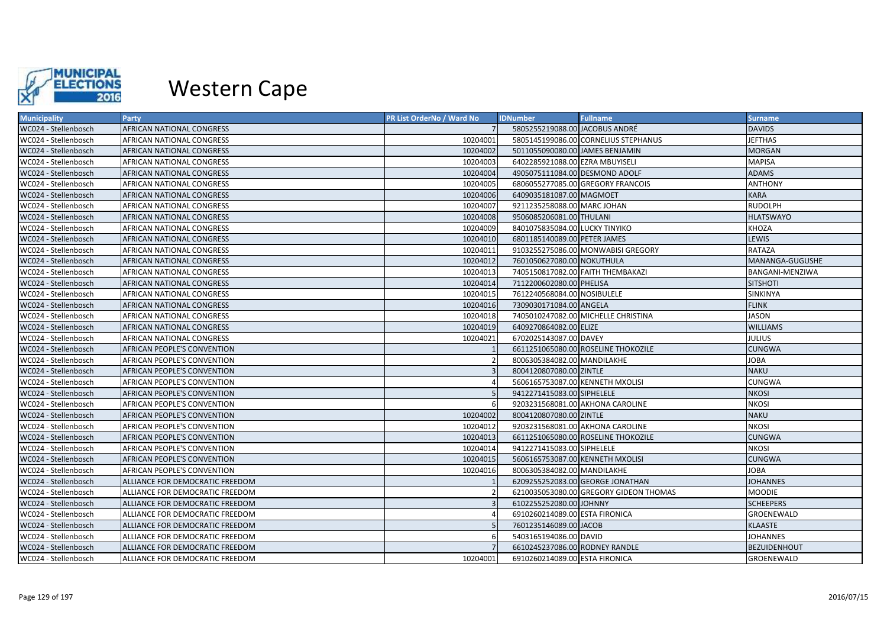

| <b>Municipality</b>  | <b>Party</b>                       | <b>PR List OrderNo / Ward No</b> | <b>IDNumber</b>                  | <b>Fullname</b>                        | <b>Surname</b>      |
|----------------------|------------------------------------|----------------------------------|----------------------------------|----------------------------------------|---------------------|
| WC024 - Stellenbosch | AFRICAN NATIONAL CONGRESS          |                                  | 5805255219088.00 JACOBUS ANDRÉ   |                                        | <b>DAVIDS</b>       |
| WC024 - Stellenbosch | AFRICAN NATIONAL CONGRESS          | 10204001                         |                                  | 5805145199086.00 CORNELIUS STEPHANUS   | <b>JEFTHAS</b>      |
| WC024 - Stellenbosch | AFRICAN NATIONAL CONGRESS          | 10204002                         | 5011055090080.00 JAMES BENJAMIN  |                                        | <b>MORGAN</b>       |
| WC024 - Stellenbosch | AFRICAN NATIONAL CONGRESS          | 10204003                         | 6402285921088.00 EZRA MBUYISELI  |                                        | MAPISA              |
| WC024 - Stellenbosch | AFRICAN NATIONAL CONGRESS          | 10204004                         | 4905075111084.00 DESMOND ADOLF   |                                        | <b>ADAMS</b>        |
| WC024 - Stellenbosch | AFRICAN NATIONAL CONGRESS          | 10204005                         |                                  | 6806055277085.00 GREGORY FRANCOIS      | <b>ANTHONY</b>      |
| WC024 - Stellenbosch | AFRICAN NATIONAL CONGRESS          | 10204006                         | 6409035181087.00 MAGMOET         |                                        | <b>KARA</b>         |
| WC024 - Stellenbosch | AFRICAN NATIONAL CONGRESS          | 10204007                         | 9211235258088.00 MARC JOHAN      |                                        | RUDOLPH             |
| WC024 - Stellenbosch | AFRICAN NATIONAL CONGRESS          | 10204008                         | 9506085206081.00 THULANI         |                                        | <b>HLATSWAYO</b>    |
| WC024 - Stellenbosch | AFRICAN NATIONAL CONGRESS          | 10204009                         | 8401075835084.00 LUCKY TINYIKO   |                                        | KHOZA               |
| WC024 - Stellenbosch | AFRICAN NATIONAL CONGRESS          | 10204010                         | 6801185140089.00 PETER JAMES     |                                        | LEWIS               |
| WC024 - Stellenbosch | AFRICAN NATIONAL CONGRESS          | 10204011                         |                                  | 9103255275086.00 MONWABISI GREGORY     | <b>RATAZA</b>       |
| WC024 - Stellenbosch | AFRICAN NATIONAL CONGRESS          | 10204012                         | 7601050627080.00 NOKUTHULA       |                                        | MANANGA-GUGUSHE     |
| WC024 - Stellenbosch | AFRICAN NATIONAL CONGRESS          | 10204013                         |                                  | 7405150817082.00 FAITH THEMBAKAZI      | BANGANI-MENZIWA     |
| WC024 - Stellenbosch | AFRICAN NATIONAL CONGRESS          | 10204014                         | 7112200602080.00 PHELISA         |                                        | <b>SITSHOTI</b>     |
| WC024 - Stellenbosch | AFRICAN NATIONAL CONGRESS          | 10204015                         | 7612240568084.00 NOSIBULELE      |                                        | SINKINYA            |
| WC024 - Stellenbosch | AFRICAN NATIONAL CONGRESS          | 10204016                         | 7309030171084.00 ANGELA          |                                        | <b>FLINK</b>        |
| WC024 - Stellenbosch | AFRICAN NATIONAL CONGRESS          | 10204018                         |                                  | 7405010247082.00 MICHELLE CHRISTINA    | <b>JASON</b>        |
| WC024 - Stellenbosch | AFRICAN NATIONAL CONGRESS          | 10204019                         | 6409270864082.00 ELIZE           |                                        | <b>WILLIAMS</b>     |
| WC024 - Stellenbosch | AFRICAN NATIONAL CONGRESS          | 10204021                         | 6702025143087.00 DAVEY           |                                        | <b>JULIUS</b>       |
| WC024 - Stellenbosch | AFRICAN PEOPLE'S CONVENTION        |                                  |                                  | 6611251065080.00 ROSELINE THOKOZILE    | <b>CUNGWA</b>       |
| WC024 - Stellenbosch | AFRICAN PEOPLE'S CONVENTION        |                                  | 8006305384082.00 MANDILAKHE      |                                        | <b>JOBA</b>         |
| WC024 - Stellenbosch | AFRICAN PEOPLE'S CONVENTION        |                                  | 8004120807080.00 ZINTLE          |                                        | <b>NAKU</b>         |
| WC024 - Stellenbosch | AFRICAN PEOPLE'S CONVENTION        |                                  | 5606165753087.00 KENNETH MXOLISI |                                        | <b>CUNGWA</b>       |
| WC024 - Stellenbosch | AFRICAN PEOPLE'S CONVENTION        |                                  | 9412271415083.00 SIPHELELE       |                                        | <b>NKOSI</b>        |
| WC024 - Stellenbosch | AFRICAN PEOPLE'S CONVENTION        |                                  |                                  | 9203231568081.00 AKHONA CAROLINE       | <b>NKOSI</b>        |
| WC024 - Stellenbosch | AFRICAN PEOPLE'S CONVENTION        | 10204002                         | 8004120807080.00 ZINTLE          |                                        | <b>NAKU</b>         |
| WC024 - Stellenbosch | <b>AFRICAN PEOPLE'S CONVENTION</b> | 10204012                         |                                  | 9203231568081.00 AKHONA CAROLINE       | <b>NKOSI</b>        |
| WC024 - Stellenbosch | AFRICAN PEOPLE'S CONVENTION        | 10204013                         |                                  | 6611251065080.00 ROSELINE THOKOZILE    | <b>CUNGWA</b>       |
| WC024 - Stellenbosch | <b>AFRICAN PEOPLE'S CONVENTION</b> | 10204014                         | 9412271415083.00 SIPHELELE       |                                        | <b>NKOSI</b>        |
| WC024 - Stellenbosch | AFRICAN PEOPLE'S CONVENTION        | 10204015                         | 5606165753087.00 KENNETH MXOLISI |                                        | <b>CUNGWA</b>       |
| WC024 - Stellenbosch | AFRICAN PEOPLE'S CONVENTION        | 10204016                         | 8006305384082.00 MANDILAKHE      |                                        | <b>JOBA</b>         |
| WC024 - Stellenbosch | ALLIANCE FOR DEMOCRATIC FREEDOM    |                                  |                                  | 6209255252083.00 GEORGE JONATHAN       | <b>JOHANNES</b>     |
| WC024 - Stellenbosch | ALLIANCE FOR DEMOCRATIC FREEDOM    |                                  |                                  | 6210035053080.00 GREGORY GIDEON THOMAS | <b>MOODIE</b>       |
| WC024 - Stellenbosch | ALLIANCE FOR DEMOCRATIC FREEDOM    |                                  | 6102255252080.00 JOHNNY          |                                        | <b>SCHEEPERS</b>    |
| WC024 - Stellenbosch | ALLIANCE FOR DEMOCRATIC FREEDOM    |                                  | 6910260214089.00 ESTA FIRONICA   |                                        | GROENEWALD          |
| WC024 - Stellenbosch | ALLIANCE FOR DEMOCRATIC FREEDOM    |                                  | 7601235146089.00 JACOB           |                                        | <b>KLAASTE</b>      |
| WC024 - Stellenbosch | ALLIANCE FOR DEMOCRATIC FREEDOM    |                                  | 5403165194086.00 DAVID           |                                        | <b>JOHANNES</b>     |
| WC024 - Stellenbosch | ALLIANCE FOR DEMOCRATIC FREEDOM    |                                  | 6610245237086.00 RODNEY RANDLE   |                                        | <b>BEZUIDENHOUT</b> |
| WC024 - Stellenbosch | ALLIANCE FOR DEMOCRATIC FREEDOM    | 10204001                         | 6910260214089.00 ESTA FIRONICA   |                                        | GROENEWALD          |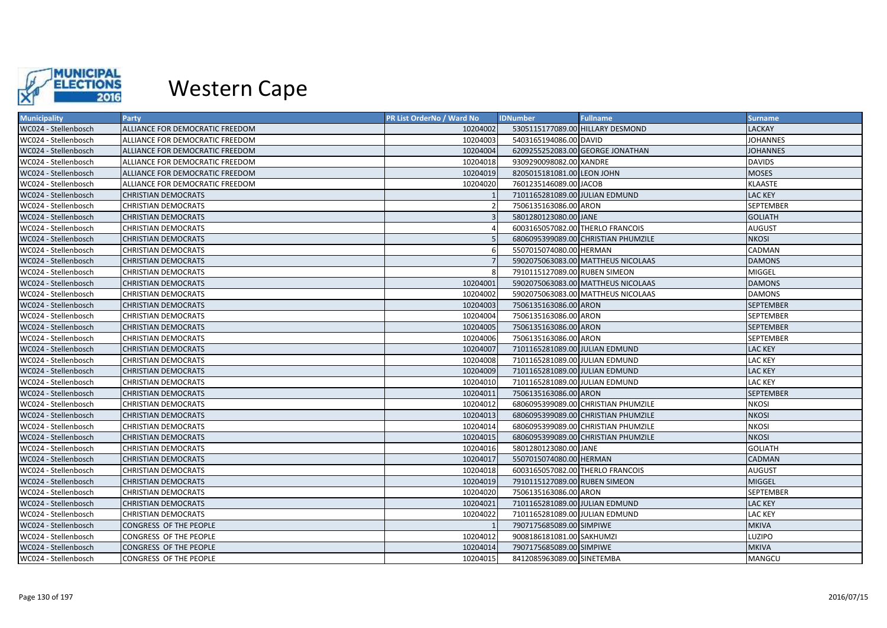

| <b>Municipality</b>  | Party                           | <b>PR List OrderNo / Ward No</b> | <b>IDNumber</b>                  | <b>Fullname</b>                     | <b>Surname</b>   |
|----------------------|---------------------------------|----------------------------------|----------------------------------|-------------------------------------|------------------|
| WC024 - Stellenbosch | ALLIANCE FOR DEMOCRATIC FREEDOM | 10204002                         | 5305115177089.00 HILLARY DESMOND |                                     | LACKAY           |
| WC024 - Stellenbosch | ALLIANCE FOR DEMOCRATIC FREEDOM | 10204003                         | 5403165194086.00 DAVID           |                                     | <b>JOHANNES</b>  |
| WC024 - Stellenbosch | ALLIANCE FOR DEMOCRATIC FREEDOM | 10204004                         |                                  | 6209255252083.00 GEORGE JONATHAN    | <b>JOHANNES</b>  |
| WC024 - Stellenbosch | ALLIANCE FOR DEMOCRATIC FREEDOM | 10204018                         | 9309290098082.00 XANDRE          |                                     | <b>DAVIDS</b>    |
| WC024 - Stellenbosch | ALLIANCE FOR DEMOCRATIC FREEDOM | 10204019                         | 8205015181081.00 LEON JOHN       |                                     | <b>MOSES</b>     |
| WC024 - Stellenbosch | ALLIANCE FOR DEMOCRATIC FREEDOM | 10204020                         | 7601235146089.00 JACOB           |                                     | <b>KLAASTE</b>   |
| WC024 - Stellenbosch | <b>CHRISTIAN DEMOCRATS</b>      |                                  | 7101165281089.00 JULIAN EDMUND   |                                     | <b>LAC KEY</b>   |
| WC024 - Stellenbosch | CHRISTIAN DEMOCRATS             |                                  | 7506135163086.00 ARON            |                                     | <b>SEPTEMBER</b> |
| WC024 - Stellenbosch | <b>CHRISTIAN DEMOCRATS</b>      |                                  | 5801280123080.00 JANE            |                                     | <b>GOLIATH</b>   |
| WC024 - Stellenbosch | CHRISTIAN DEMOCRATS             |                                  | 6003165057082.00 THERLO FRANCOIS |                                     | AUGUST           |
| WC024 - Stellenbosch | <b>CHRISTIAN DEMOCRATS</b>      |                                  |                                  | 6806095399089.00 CHRISTIAN PHUMZILE | <b>NKOSI</b>     |
| WC024 - Stellenbosch | CHRISTIAN DEMOCRATS             |                                  | 5507015074080.00 HERMAN          |                                     | CADMAN           |
| WC024 - Stellenbosch | <b>CHRISTIAN DEMOCRATS</b>      |                                  |                                  | 5902075063083.00 MATTHEUS NICOLAAS  | <b>DAMONS</b>    |
| WC024 - Stellenbosch | <b>CHRISTIAN DEMOCRATS</b>      |                                  | 7910115127089.00 RUBEN SIMEON    |                                     | <b>MIGGEL</b>    |
| WC024 - Stellenbosch | CHRISTIAN DEMOCRATS             | 10204001                         |                                  | 5902075063083.00 MATTHEUS NICOLAAS  | <b>DAMONS</b>    |
| WC024 - Stellenbosch | <b>CHRISTIAN DEMOCRATS</b>      | 10204002                         |                                  | 5902075063083.00 MATTHEUS NICOLAAS  | <b>DAMONS</b>    |
| WC024 - Stellenbosch | <b>CHRISTIAN DEMOCRATS</b>      | 10204003                         | 7506135163086.00 ARON            |                                     | <b>SEPTEMBER</b> |
| WC024 - Stellenbosch | CHRISTIAN DEMOCRATS             | 10204004                         | 7506135163086.00 ARON            |                                     | <b>SEPTEMBER</b> |
| WC024 - Stellenbosch | <b>CHRISTIAN DEMOCRATS</b>      | 10204005                         | 7506135163086.00 ARON            |                                     | <b>SEPTEMBER</b> |
| WC024 - Stellenbosch | CHRISTIAN DEMOCRATS             | 10204006                         | 7506135163086.00 ARON            |                                     | SEPTEMBER        |
| WC024 - Stellenbosch | CHRISTIAN DEMOCRATS             | 10204007                         | 7101165281089.00 JULIAN EDMUND   |                                     | <b>LAC KEY</b>   |
| WC024 - Stellenbosch | CHRISTIAN DEMOCRATS             | 10204008                         | 7101165281089.00 JULIAN EDMUND   |                                     | <b>LAC KEY</b>   |
| WC024 - Stellenbosch | <b>CHRISTIAN DEMOCRATS</b>      | 10204009                         | 7101165281089.00 JULIAN EDMUND   |                                     | <b>LAC KEY</b>   |
| WC024 - Stellenbosch | <b>CHRISTIAN DEMOCRATS</b>      | 10204010                         | 7101165281089.00 JULIAN EDMUND   |                                     | <b>LAC KEY</b>   |
| WC024 - Stellenbosch | <b>CHRISTIAN DEMOCRATS</b>      | 10204011                         | 7506135163086.00 ARON            |                                     | <b>SEPTEMBER</b> |
| WC024 - Stellenbosch | CHRISTIAN DEMOCRATS             | 10204012                         |                                  | 6806095399089.00 CHRISTIAN PHUMZILE | <b>NKOSI</b>     |
| WC024 - Stellenbosch | <b>CHRISTIAN DEMOCRATS</b>      | 10204013                         |                                  | 6806095399089.00 CHRISTIAN PHUMZILE | <b>NKOSI</b>     |
| WC024 - Stellenbosch | <b>CHRISTIAN DEMOCRATS</b>      | 10204014                         |                                  | 6806095399089.00 CHRISTIAN PHUMZILE | <b>NKOSI</b>     |
| WC024 - Stellenbosch | <b>CHRISTIAN DEMOCRATS</b>      | 10204015                         |                                  | 6806095399089.00 CHRISTIAN PHUMZILE | <b>NKOSI</b>     |
| WC024 - Stellenbosch | <b>CHRISTIAN DEMOCRATS</b>      | 10204016                         | 5801280123080.00 JANE            |                                     | <b>GOLIATH</b>   |
| WC024 - Stellenbosch | <b>CHRISTIAN DEMOCRATS</b>      | 10204017                         | 5507015074080.00 HERMAN          |                                     | CADMAN           |
| WC024 - Stellenbosch | CHRISTIAN DEMOCRATS             | 10204018                         | 6003165057082.00 THERLO FRANCOIS |                                     | <b>AUGUST</b>    |
| WC024 - Stellenbosch | <b>CHRISTIAN DEMOCRATS</b>      | 10204019                         | 7910115127089.00 RUBEN SIMEON    |                                     | <b>MIGGEL</b>    |
| WC024 - Stellenbosch | <b>CHRISTIAN DEMOCRATS</b>      | 10204020                         | 7506135163086.00 ARON            |                                     | <b>SEPTEMBER</b> |
| WC024 - Stellenbosch | <b>CHRISTIAN DEMOCRATS</b>      | 10204021                         | 7101165281089.00 JULIAN EDMUND   |                                     | <b>LAC KEY</b>   |
| WC024 - Stellenbosch | <b>CHRISTIAN DEMOCRATS</b>      | 10204022                         | 7101165281089.00 JULIAN EDMUND   |                                     | <b>LAC KEY</b>   |
| WC024 - Stellenbosch | CONGRESS OF THE PEOPLE          |                                  | 7907175685089.00 SIMPIWE         |                                     | <b>MKIVA</b>     |
| WC024 - Stellenbosch | CONGRESS OF THE PEOPLE          | 10204012                         | 9008186181081.00 SAKHUMZI        |                                     | LUZIPO           |
| WC024 - Stellenbosch | CONGRESS OF THE PEOPLE          | 10204014                         | 7907175685089.00 SIMPIWE         |                                     | <b>MKIVA</b>     |
| WC024 - Stellenbosch | CONGRESS OF THE PEOPLE          | 10204015                         | 8412085963089.00 SINETEMBA       |                                     | MANGCU           |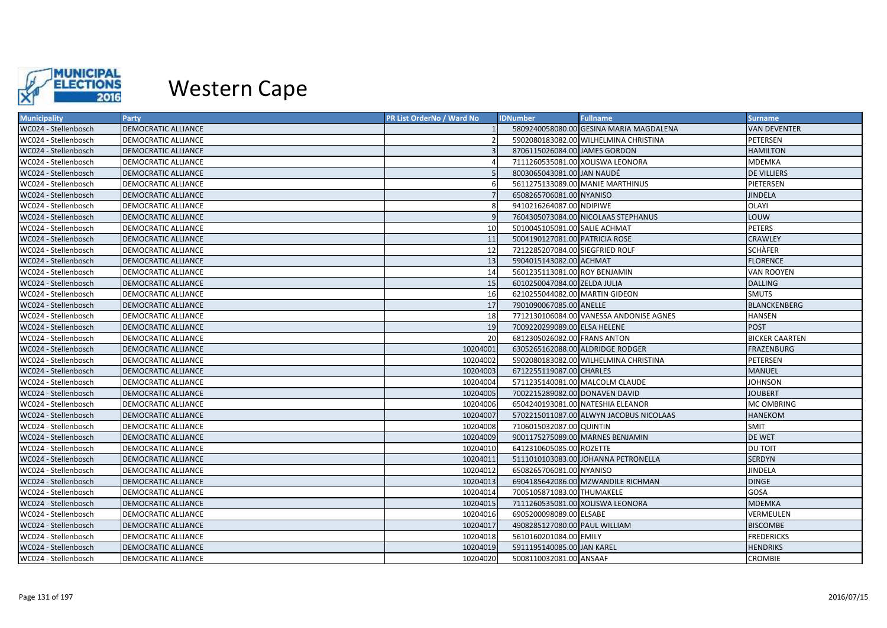

| <b>Municipality</b>  | Party                      | PR List OrderNo / Ward No | <b>IDNumber</b>                 | <b>Fullname</b>                         | <b>Surname</b>        |
|----------------------|----------------------------|---------------------------|---------------------------------|-----------------------------------------|-----------------------|
| WC024 - Stellenbosch | <b>DEMOCRATIC ALLIANCE</b> |                           |                                 | 5809240058080.00 GESINA MARIA MAGDALENA | <b>VAN DEVENTER</b>   |
| WC024 - Stellenbosch | DEMOCRATIC ALLIANCE        |                           |                                 | 5902080183082.00 WILHELMINA CHRISTINA   | PETERSEN              |
| WC024 - Stellenbosch | <b>DEMOCRATIC ALLIANCE</b> |                           | 8706115026084.00 JAMES GORDON   |                                         | <b>HAMILTON</b>       |
| WC024 - Stellenbosch | DEMOCRATIC ALLIANCE        |                           |                                 | 7111260535081.00 XOLISWA LEONORA        | MDEMKA                |
| WC024 - Stellenbosch | <b>DEMOCRATIC ALLIANCE</b> |                           | 8003065043081.00 JAN NAUDÉ      |                                         | <b>DE VILLIERS</b>    |
| WC024 - Stellenbosch | <b>DEMOCRATIC ALLIANCE</b> |                           |                                 | 5611275133089.00 MANIE MARTHINUS        | PIETERSEN             |
| WC024 - Stellenbosch | <b>DEMOCRATIC ALLIANCE</b> |                           | 6508265706081.00 NYANISO        |                                         | <b>JINDELA</b>        |
| WC024 - Stellenbosch | <b>DEMOCRATIC ALLIANCE</b> |                           | 9410216264087.00 NDIPIWE        |                                         | OLAYI                 |
| WC024 - Stellenbosch | <b>DEMOCRATIC ALLIANCE</b> |                           |                                 | 7604305073084.00 NICOLAAS STEPHANUS     | LOUW                  |
| WC024 - Stellenbosch | DEMOCRATIC ALLIANCE        | 10                        | 5010045105081.00 SALIE ACHMAT   |                                         | <b>PETERS</b>         |
| WC024 - Stellenbosch | <b>DEMOCRATIC ALLIANCE</b> | 11                        | 5004190127081.00 PATRICIA ROSE  |                                         | <b>CRAWLEY</b>        |
| WC024 - Stellenbosch | DEMOCRATIC ALLIANCE        | 12                        | 7212285207084.00 SIEGFRIED ROLF |                                         | <b>SCHAFER</b>        |
| WC024 - Stellenbosch | <b>DEMOCRATIC ALLIANCE</b> | 13                        | 5904015143082.00 ACHMAT         |                                         | <b>FLORENCE</b>       |
| WC024 - Stellenbosch | <b>DEMOCRATIC ALLIANCE</b> | 14                        | 5601235113081.00 ROY BENJAMIN   |                                         | <b>VAN ROOYEN</b>     |
| WC024 - Stellenbosch | <b>DEMOCRATIC ALLIANCE</b> | 15                        | 6010250047084.00 ZELDA JULIA    |                                         | <b>DALLING</b>        |
| WC024 - Stellenbosch | DEMOCRATIC ALLIANCE        | 16                        | 6210255044082.00 MARTIN GIDEON  |                                         | <b>SMUTS</b>          |
| WC024 - Stellenbosch | <b>DEMOCRATIC ALLIANCE</b> | 17                        | 7901090067085.00 ANELLE         |                                         | <b>BLANCKENBERG</b>   |
| WC024 - Stellenbosch | <b>DEMOCRATIC ALLIANCE</b> | 18                        |                                 | 7712130106084.00 VANESSA ANDONISE AGNES | <b>HANSEN</b>         |
| WC024 - Stellenbosch | <b>DEMOCRATIC ALLIANCE</b> | 19                        | 7009220299089.00 ELSA HELENE    |                                         | <b>POST</b>           |
| WC024 - Stellenbosch | <b>DEMOCRATIC ALLIANCE</b> | 20                        | 6812305026082.00 FRANS ANTON    |                                         | <b>BICKER CAARTEN</b> |
| WC024 - Stellenbosch | <b>DEMOCRATIC ALLIANCE</b> | 10204001                  |                                 | 6305265162088.00 ALDRIDGE RODGER        | <b>FRAZENBURG</b>     |
| WC024 - Stellenbosch | <b>DEMOCRATIC ALLIANCE</b> | 10204002                  |                                 | 5902080183082.00 WILHELMINA CHRISTINA   | PETERSEN              |
| WC024 - Stellenbosch | <b>DEMOCRATIC ALLIANCE</b> | 10204003                  | 6712255119087.00 CHARLES        |                                         | <b>MANUEL</b>         |
| WC024 - Stellenbosch | DEMOCRATIC ALLIANCE        | 10204004                  |                                 | 5711235140081.00 MALCOLM CLAUDE         | <b>JOHNSON</b>        |
| WC024 - Stellenbosch | <b>DEMOCRATIC ALLIANCE</b> | 10204005                  | 7002215289082.00 DONAVEN DAVID  |                                         | <b>JOUBERT</b>        |
| WC024 - Stellenbosch | DEMOCRATIC ALLIANCE        | 10204006                  |                                 | 6504240193081.00 NATESHIA ELEANOR       | MC OMBRING            |
| WC024 - Stellenbosch | <b>DEMOCRATIC ALLIANCE</b> | 10204007                  |                                 | 5702215011087.00 ALWYN JACOBUS NICOLAAS | <b>HANEKOM</b>        |
| WC024 - Stellenbosch | DEMOCRATIC ALLIANCE        | 10204008                  | 7106015032087.00 QUINTIN        |                                         | SMIT                  |
| WC024 - Stellenbosch | <b>DEMOCRATIC ALLIANCE</b> | 10204009                  |                                 | 9001175275089.00 MARNES BENJAMIN        | <b>DE WET</b>         |
| WC024 - Stellenbosch | DEMOCRATIC ALLIANCE        | 10204010                  | 6412310605085.00 ROZETTE        |                                         | <b>DU TOIT</b>        |
| WC024 - Stellenbosch | <b>DEMOCRATIC ALLIANCE</b> | 10204011                  |                                 | 5111010103083.00 JOHANNA PETRONELLA     | SERDYN                |
| WC024 - Stellenbosch | DEMOCRATIC ALLIANCE        | 10204012                  | 6508265706081.00 NYANISO        |                                         | JINDELA               |
| WC024 - Stellenbosch | <b>DEMOCRATIC ALLIANCE</b> | 10204013                  |                                 | 6904185642086.00 MZWANDILE RICHMAN      | <b>DINGE</b>          |
| WC024 - Stellenbosch | DEMOCRATIC ALLIANCE        | 10204014                  | 7005105871083.00 THUMAKELE      |                                         | GOSA                  |
| WC024 - Stellenbosch | <b>DEMOCRATIC ALLIANCE</b> | 10204015                  |                                 | 7111260535081.00 XOLISWA LEONORA        | <b>MDEMKA</b>         |
| WC024 - Stellenbosch | DEMOCRATIC ALLIANCE        | 10204016                  | 6905200098089.00 ELSABE         |                                         | VERMEULEN             |
| WC024 - Stellenbosch | <b>DEMOCRATIC ALLIANCE</b> | 10204017                  | 4908285127080.00 PAUL WILLIAM   |                                         | <b>BISCOMBE</b>       |
| WC024 - Stellenbosch | DEMOCRATIC ALLIANCE        | 10204018                  | 5610160201084.00 EMILY          |                                         | <b>FREDERICKS</b>     |
| WC024 - Stellenbosch | <b>DEMOCRATIC ALLIANCE</b> | 10204019                  | 5911195140085.00 JAN KAREL      |                                         | <b>HENDRIKS</b>       |
| WC024 - Stellenbosch | <b>DEMOCRATIC ALLIANCE</b> | 10204020                  | 5008110032081.00 ANSAAF         |                                         | <b>CROMBIE</b>        |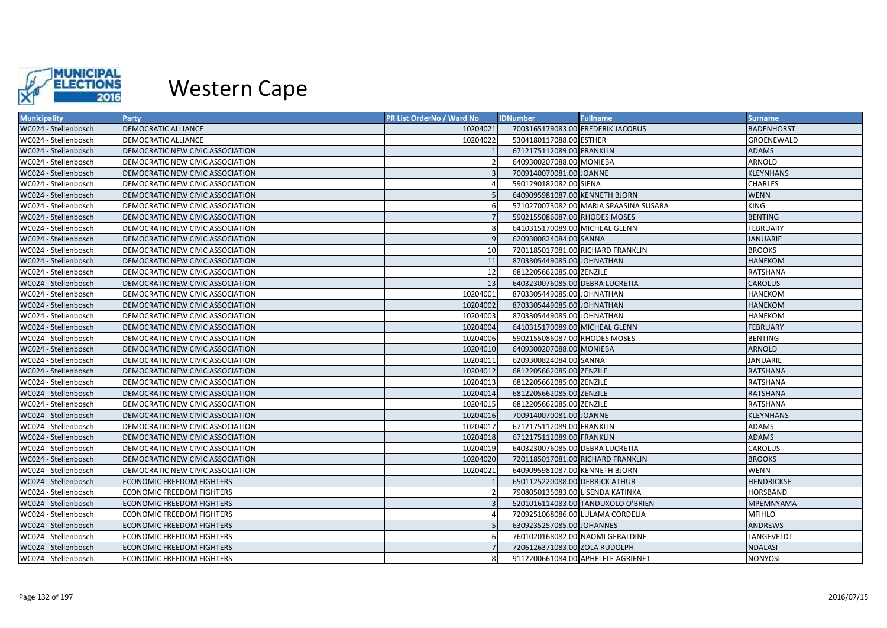

| <b>Municipality</b>  | <b>Party</b>                     | <b>PR List OrderNo / Ward No</b> | <b>IDNumber</b><br><b>Fullname</b>     | <b>Surname</b>    |
|----------------------|----------------------------------|----------------------------------|----------------------------------------|-------------------|
| WC024 - Stellenbosch | DEMOCRATIC ALLIANCE              | 10204021                         | 7003165179083.00 FREDERIK JACOBUS      | <b>BADENHORST</b> |
| WC024 - Stellenbosch | DEMOCRATIC ALLIANCE              | 10204022                         | 5304180117088.00 ESTHER                | GROENEWALD        |
| WC024 - Stellenbosch | DEMOCRATIC NEW CIVIC ASSOCIATION |                                  | 6712175112089.00 FRANKLIN              | <b>ADAMS</b>      |
| WC024 - Stellenbosch | DEMOCRATIC NEW CIVIC ASSOCIATION |                                  | 6409300207088.00 MONIEBA               | ARNOLD            |
| WC024 - Stellenbosch | DEMOCRATIC NEW CIVIC ASSOCIATION |                                  | 7009140070081.00 JOANNE                | <b>KLEYNHANS</b>  |
| WC024 - Stellenbosch | DEMOCRATIC NEW CIVIC ASSOCIATION |                                  | 5901290182082.00 SIENA                 | <b>CHARLES</b>    |
| WC024 - Stellenbosch | DEMOCRATIC NEW CIVIC ASSOCIATION |                                  | 6409095981087.00 KENNETH BJORN         | <b>WENN</b>       |
| WC024 - Stellenbosch | DEMOCRATIC NEW CIVIC ASSOCIATION |                                  | 5710270073082.00 MARIA SPAASINA SUSARA | <b>KING</b>       |
| WC024 - Stellenbosch | DEMOCRATIC NEW CIVIC ASSOCIATION |                                  | 5902155086087.00 RHODES MOSES          | <b>BENTING</b>    |
| WC024 - Stellenbosch | DEMOCRATIC NEW CIVIC ASSOCIATION |                                  | 6410315170089.00 MICHEAL GLENN         | <b>FEBRUARY</b>   |
| WC024 - Stellenbosch | DEMOCRATIC NEW CIVIC ASSOCIATION |                                  | 6209300824084.00 SANNA                 | <b>JANUARIE</b>   |
| WC024 - Stellenbosch | DEMOCRATIC NEW CIVIC ASSOCIATION | 10                               | 7201185017081.00 RICHARD FRANKLIN      | <b>BROOKS</b>     |
| WC024 - Stellenbosch | DEMOCRATIC NEW CIVIC ASSOCIATION | 11                               | 8703305449085.00 JOHNATHAN             | <b>HANEKOM</b>    |
| WC024 - Stellenbosch | DEMOCRATIC NEW CIVIC ASSOCIATION | 12                               | 6812205662085.00 ZENZILE               | <b>RATSHANA</b>   |
| WC024 - Stellenbosch | DEMOCRATIC NEW CIVIC ASSOCIATION | 13                               | 6403230076085.00 DEBRA LUCRETIA        | <b>CAROLUS</b>    |
| WC024 - Stellenbosch | DEMOCRATIC NEW CIVIC ASSOCIATION | 10204001                         | 8703305449085.00 JOHNATHAN             | <b>HANEKOM</b>    |
| WC024 - Stellenbosch | DEMOCRATIC NEW CIVIC ASSOCIATION | 10204002                         | 8703305449085.00 JOHNATHAN             | <b>HANEKOM</b>    |
| WC024 - Stellenbosch | DEMOCRATIC NEW CIVIC ASSOCIATION | 10204003                         | 8703305449085.00 JOHNATHAN             | <b>HANEKOM</b>    |
| WC024 - Stellenbosch | DEMOCRATIC NEW CIVIC ASSOCIATION | 10204004                         | 6410315170089.00 MICHEAL GLENN         | <b>FEBRUARY</b>   |
| WC024 - Stellenbosch | DEMOCRATIC NEW CIVIC ASSOCIATION | 10204006                         | 5902155086087.00 RHODES MOSES          | <b>BENTING</b>    |
| WC024 - Stellenbosch | DEMOCRATIC NEW CIVIC ASSOCIATION | 10204010                         | 6409300207088.00 MONIEBA               | <b>ARNOLD</b>     |
| WC024 - Stellenbosch | DEMOCRATIC NEW CIVIC ASSOCIATION | 10204011                         | 6209300824084.00 SANNA                 | <b>JANUARIE</b>   |
| WC024 - Stellenbosch | DEMOCRATIC NEW CIVIC ASSOCIATION | 10204012                         | 6812205662085.00 ZENZILE               | <b>RATSHANA</b>   |
| WC024 - Stellenbosch | DEMOCRATIC NEW CIVIC ASSOCIATION | 10204013                         | 6812205662085.00 ZENZILE               | <b>RATSHANA</b>   |
| WC024 - Stellenbosch | DEMOCRATIC NEW CIVIC ASSOCIATION | 10204014                         | 6812205662085.00 ZENZILE               | <b>RATSHANA</b>   |
| WC024 - Stellenbosch | DEMOCRATIC NEW CIVIC ASSOCIATION | 10204015                         | 6812205662085.00 ZENZILE               | RATSHANA          |
| WC024 - Stellenbosch | DEMOCRATIC NEW CIVIC ASSOCIATION | 10204016                         | 7009140070081.00 JOANNE                | <b>KLEYNHANS</b>  |
| WC024 - Stellenbosch | DEMOCRATIC NEW CIVIC ASSOCIATION | 10204017                         | 6712175112089.00 FRANKLIN              | <b>ADAMS</b>      |
| WC024 - Stellenbosch | DEMOCRATIC NEW CIVIC ASSOCIATION | 10204018                         | 6712175112089.00 FRANKLIN              | <b>ADAMS</b>      |
| WC024 - Stellenbosch | DEMOCRATIC NEW CIVIC ASSOCIATION | 10204019                         | 6403230076085.00 DEBRA LUCRETIA        | <b>CAROLUS</b>    |
| WC024 - Stellenbosch | DEMOCRATIC NEW CIVIC ASSOCIATION | 10204020                         | 7201185017081.00 RICHARD FRANKLIN      | <b>BROOKS</b>     |
| WC024 - Stellenbosch | DEMOCRATIC NEW CIVIC ASSOCIATION | 10204021                         | 6409095981087.00 KENNETH BJORN         | <b>WENN</b>       |
| WC024 - Stellenbosch | <b>ECONOMIC FREEDOM FIGHTERS</b> |                                  | 6501125220088.00 DERRICK ATHUR         | <b>HENDRICKSE</b> |
| WC024 - Stellenbosch | <b>ECONOMIC FREEDOM FIGHTERS</b> |                                  | 7908050135083.00 LISENDA KATINKA       | <b>HORSBAND</b>   |
| WC024 - Stellenbosch | <b>ECONOMIC FREEDOM FIGHTERS</b> |                                  | 5201016114083.00 TANDUXOLO O'BRIEN     | <b>MPEMNYAMA</b>  |
| WC024 - Stellenbosch | <b>ECONOMIC FREEDOM FIGHTERS</b> |                                  | 7209251068086.00 LULAMA CORDELIA       | <b>MFIHLO</b>     |
| WC024 - Stellenbosch | <b>ECONOMIC FREEDOM FIGHTERS</b> |                                  | 6309235257085.00 JOHANNES              | <b>ANDREWS</b>    |
| WC024 - Stellenbosch | ECONOMIC FREEDOM FIGHTERS        |                                  | 7601020168082.00 NAOMI GERALDINE       | LANGEVELDT        |
| WC024 - Stellenbosch | <b>ECONOMIC FREEDOM FIGHTERS</b> |                                  | 7206126371083.00 ZOLA RUDOLPH          | <b>NDALASI</b>    |
| WC024 - Stellenbosch | <b>ECONOMIC FREEDOM FIGHTERS</b> | 8                                | 9112200661084.00 APHELELE AGRIENET     | <b>NONYOSI</b>    |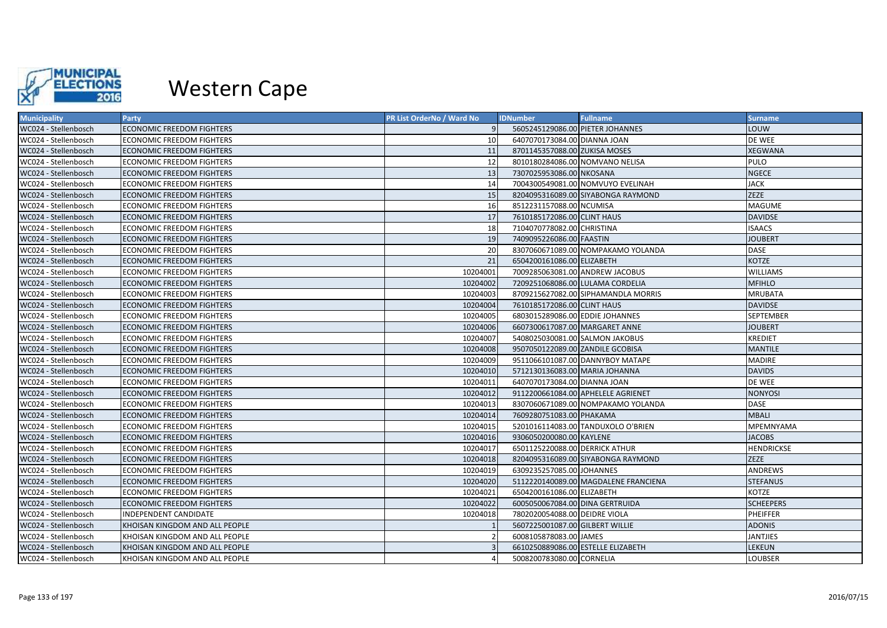

| <b>Municipality</b>  | <b>Party</b>                     | <b>PR List OrderNo / Ward No</b> | <b>IDNumber</b>                  | <b>Fullname</b>                      | <b>Surname</b>    |
|----------------------|----------------------------------|----------------------------------|----------------------------------|--------------------------------------|-------------------|
| WC024 - Stellenbosch | <b>ECONOMIC FREEDOM FIGHTERS</b> | $\mathbf{q}$                     | 5605245129086.00 PIETER JOHANNES |                                      | LOUW              |
| WC024 - Stellenbosch | <b>ECONOMIC FREEDOM FIGHTERS</b> | 10                               | 6407070173084.00 DIANNA JOAN     |                                      | DE WEE            |
| WC024 - Stellenbosch | <b>ECONOMIC FREEDOM FIGHTERS</b> | 11                               | 8701145357088.00 ZUKISA MOSES    |                                      | <b>XEGWANA</b>    |
| WC024 - Stellenbosch | <b>ECONOMIC FREEDOM FIGHTERS</b> | 12                               |                                  | 8010180284086.00 NOMVANO NELISA      | <b>PULO</b>       |
| WC024 - Stellenbosch | <b>ECONOMIC FREEDOM FIGHTERS</b> | 13                               | 7307025953086.00 NKOSANA         |                                      | <b>NGECE</b>      |
| WC024 - Stellenbosch | <b>ECONOMIC FREEDOM FIGHTERS</b> | 14                               |                                  | 7004300549081.00 NOMVUYO EVELINAH    | <b>JACK</b>       |
| WC024 - Stellenbosch | <b>ECONOMIC FREEDOM FIGHTERS</b> | 15                               |                                  | 8204095316089.00 SIYABONGA RAYMOND   | <b>ZEZE</b>       |
| WC024 - Stellenbosch | <b>ECONOMIC FREEDOM FIGHTERS</b> | 16                               | 8512231157088.00 NCUMISA         |                                      | <b>MAGUME</b>     |
| WC024 - Stellenbosch | <b>ECONOMIC FREEDOM FIGHTERS</b> | 17                               | 7610185172086.00 CLINT HAUS      |                                      | <b>DAVIDSE</b>    |
| WC024 - Stellenbosch | <b>ECONOMIC FREEDOM FIGHTERS</b> | 18                               | 7104070778082.00 CHRISTINA       |                                      | <b>ISAACS</b>     |
| WC024 - Stellenbosch | <b>ECONOMIC FREEDOM FIGHTERS</b> | 19                               | 7409095226086.00 FAASTIN         |                                      | <b>JOUBERT</b>    |
| WC024 - Stellenbosch | <b>ECONOMIC FREEDOM FIGHTERS</b> | 20                               |                                  | 8307060671089.00 NOMPAKAMO YOLANDA   | <b>DASE</b>       |
| WC024 - Stellenbosch | <b>ECONOMIC FREEDOM FIGHTERS</b> | 21                               | 6504200161086.00 ELIZABETH       |                                      | <b>KOTZE</b>      |
| WC024 - Stellenbosch | <b>ECONOMIC FREEDOM FIGHTERS</b> | 10204001                         |                                  | 7009285063081.00 ANDREW JACOBUS      | <b>WILLIAMS</b>   |
| WC024 - Stellenbosch | <b>ECONOMIC FREEDOM FIGHTERS</b> | 10204002                         |                                  | 7209251068086.00 LULAMA CORDELIA     | <b>MFIHLO</b>     |
| WC024 - Stellenbosch | <b>ECONOMIC FREEDOM FIGHTERS</b> | 10204003                         |                                  | 8709215627082.00 SIPHAMANDLA MORRIS  | <b>MRUBATA</b>    |
| WC024 - Stellenbosch | <b>ECONOMIC FREEDOM FIGHTERS</b> | 10204004                         | 7610185172086.00 CLINT HAUS      |                                      | <b>DAVIDSE</b>    |
| WC024 - Stellenbosch | <b>ECONOMIC FREEDOM FIGHTERS</b> | 10204005                         | 6803015289086.00 EDDIE JOHANNES  |                                      | <b>SEPTEMBER</b>  |
| WC024 - Stellenbosch | <b>ECONOMIC FREEDOM FIGHTERS</b> | 10204006                         | 6607300617087.00 MARGARET ANNE   |                                      | <b>JOUBERT</b>    |
| WC024 - Stellenbosch | <b>ECONOMIC FREEDOM FIGHTERS</b> | 10204007                         | 5408025030081.00 SALMON JAKOBUS  |                                      | <b>KREDIET</b>    |
| WC024 - Stellenbosch | ECONOMIC FREEDOM FIGHTERS        | 10204008                         | 9507050122089.00 ZANDILE GCOBISA |                                      | <b>MANTILE</b>    |
| WC024 - Stellenbosch | <b>ECONOMIC FREEDOM FIGHTERS</b> | 10204009                         |                                  | 9511066101087.00 DANNYBOY MATAPE     | <b>MADIRE</b>     |
| WC024 - Stellenbosch | <b>ECONOMIC FREEDOM FIGHTERS</b> | 10204010                         | 5712130136083.00 MARIA JOHANNA   |                                      | <b>DAVIDS</b>     |
| WC024 - Stellenbosch | <b>ECONOMIC FREEDOM FIGHTERS</b> | 10204011                         | 6407070173084.00 DIANNA JOAN     |                                      | DE WEE            |
| WC024 - Stellenbosch | <b>ECONOMIC FREEDOM FIGHTERS</b> | 10204012                         |                                  | 9112200661084.00 APHELELE AGRIENET   | <b>NONYOSI</b>    |
| WC024 - Stellenbosch | <b>ECONOMIC FREEDOM FIGHTERS</b> | 10204013                         |                                  | 8307060671089.00 NOMPAKAMO YOLANDA   | <b>DASE</b>       |
| WC024 - Stellenbosch | <b>ECONOMIC FREEDOM FIGHTERS</b> | 10204014                         | 7609280751083.00 PHAKAMA         |                                      | <b>MBALI</b>      |
| WC024 - Stellenbosch | <b>ECONOMIC FREEDOM FIGHTERS</b> | 10204015                         |                                  | 5201016114083.00 TANDUXOLO O'BRIEN   | MPEMNYAMA         |
| WC024 - Stellenbosch | <b>ECONOMIC FREEDOM FIGHTERS</b> | 10204016                         | 9306050200080.00 KAYLENE         |                                      | <b>JACOBS</b>     |
| WC024 - Stellenbosch | <b>ECONOMIC FREEDOM FIGHTERS</b> | 10204017                         | 6501125220088.00 DERRICK ATHUR   |                                      | <b>HENDRICKSE</b> |
| WC024 - Stellenbosch | <b>ECONOMIC FREEDOM FIGHTERS</b> | 10204018                         |                                  | 8204095316089.00 SIYABONGA RAYMOND   | <b>ZEZE</b>       |
| WC024 - Stellenbosch | <b>ECONOMIC FREEDOM FIGHTERS</b> | 10204019                         | 6309235257085.00 JOHANNES        |                                      | <b>ANDREWS</b>    |
| WC024 - Stellenbosch | <b>ECONOMIC FREEDOM FIGHTERS</b> | 10204020                         |                                  | 5112220140089.00 MAGDALENE FRANCIENA | <b>STEFANUS</b>   |
| WC024 - Stellenbosch | <b>ECONOMIC FREEDOM FIGHTERS</b> | 10204021                         | 6504200161086.00 ELIZABETH       |                                      | KOTZE             |
| WC024 - Stellenbosch | <b>ECONOMIC FREEDOM FIGHTERS</b> | 10204022                         | 6005050067084.00 DINA GERTRUIDA  |                                      | <b>SCHEEPERS</b>  |
| WC024 - Stellenbosch | <b>INDEPENDENT CANDIDATE</b>     | 10204018                         | 7802020054088.00 DEIDRE VIOLA    |                                      | <b>PHEIFFER</b>   |
| WC024 - Stellenbosch | KHOISAN KINGDOM AND ALL PEOPLE   |                                  | 5607225001087.00 GILBERT WILLIE  |                                      | <b>ADONIS</b>     |
| WC024 - Stellenbosch | KHOISAN KINGDOM AND ALL PEOPLE   |                                  | 6008105878083.00 JAMES           |                                      | <b>JANTJIES</b>   |
| WC024 - Stellenbosch | KHOISAN KINGDOM AND ALL PEOPLE   |                                  |                                  | 6610250889086.00 ESTELLE ELIZABETH   | LEKEUN            |
| WC024 - Stellenbosch | KHOISAN KINGDOM AND ALL PEOPLE   |                                  | 5008200783080.00 CORNELIA        |                                      | <b>LOUBSER</b>    |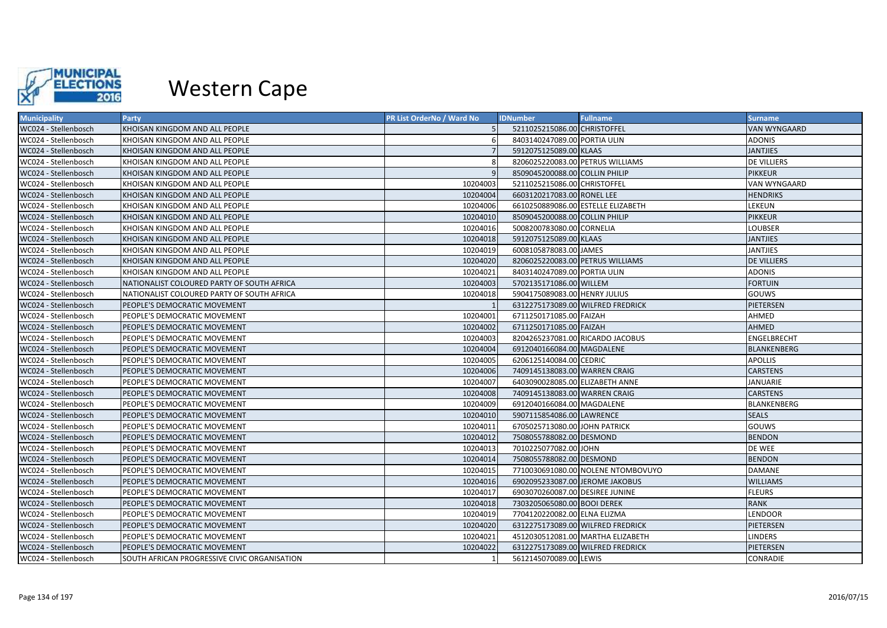

| <b>Municipality</b>  | <b>Party</b>                                 | <b>PR List OrderNo / Ward No</b> | <b>Fullname</b><br><b>IDNumber</b> | <b>Surname</b>      |
|----------------------|----------------------------------------------|----------------------------------|------------------------------------|---------------------|
| WC024 - Stellenbosch | KHOISAN KINGDOM AND ALL PEOPLE               |                                  | 5211025215086.00 CHRISTOFFEL       | <b>VAN WYNGAARD</b> |
| WC024 - Stellenbosch | KHOISAN KINGDOM AND ALL PEOPLE               |                                  | 8403140247089.00 PORTIA ULIN       | <b>ADONIS</b>       |
| WC024 - Stellenbosch | KHOISAN KINGDOM AND ALL PEOPLE               |                                  | 5912075125089.00 KLAAS             | <b>JANTJIES</b>     |
| WC024 - Stellenbosch | KHOISAN KINGDOM AND ALL PEOPLE               |                                  | 8206025220083.00 PETRUS WILLIAMS   | <b>DE VILLIERS</b>  |
| WC024 - Stellenbosch | KHOISAN KINGDOM AND ALL PEOPLE               |                                  | 8509045200088.00 COLLIN PHILIP     | <b>PIKKEUR</b>      |
| WC024 - Stellenbosch | KHOISAN KINGDOM AND ALL PEOPLE               | 10204003                         | 5211025215086.00 CHRISTOFFEL       | <b>VAN WYNGAARD</b> |
| WC024 - Stellenbosch | KHOISAN KINGDOM AND ALL PEOPLE               | 10204004                         | 6603120217083.00 RONEL LEE         | <b>HENDRIKS</b>     |
| WC024 - Stellenbosch | KHOISAN KINGDOM AND ALL PEOPLE               | 10204006                         | 6610250889086.00 ESTELLE ELIZABETH | LEKEUN              |
| WC024 - Stellenbosch | KHOISAN KINGDOM AND ALL PEOPLE               | 10204010                         | 8509045200088.00 COLLIN PHILIP     | <b>PIKKEUR</b>      |
| WC024 - Stellenbosch | KHOISAN KINGDOM AND ALL PEOPLE               | 10204016                         | 5008200783080.00 CORNELIA          | <b>LOUBSER</b>      |
| WC024 - Stellenbosch | KHOISAN KINGDOM AND ALL PEOPLE               | 10204018                         | 5912075125089.00 KLAAS             | <b>JANTJIES</b>     |
| WC024 - Stellenbosch | KHOISAN KINGDOM AND ALL PEOPLE               | 10204019                         | 6008105878083.00 JAMES             | <b>JANTJIES</b>     |
| WC024 - Stellenbosch | KHOISAN KINGDOM AND ALL PEOPLE               | 10204020                         | 8206025220083.00 PETRUS WILLIAMS   | <b>DE VILLIERS</b>  |
| WC024 - Stellenbosch | KHOISAN KINGDOM AND ALL PEOPLE               | 10204021                         | 8403140247089.00 PORTIA ULIN       | <b>ADONIS</b>       |
| WC024 - Stellenbosch | NATIONALIST COLOURED PARTY OF SOUTH AFRICA   | 10204003                         | 5702135171086.00 WILLEM            | <b>FORTUIN</b>      |
| WC024 - Stellenbosch | NATIONALIST COLOURED PARTY OF SOUTH AFRICA   | 10204018                         | 5904175089083.00 HENRY JULIUS      | GOUWS               |
| WC024 - Stellenbosch | PEOPLE'S DEMOCRATIC MOVEMENT                 |                                  | 6312275173089.00 WILFRED FREDRICK  | PIETERSEN           |
| WC024 - Stellenbosch | PEOPLE'S DEMOCRATIC MOVEMENT                 | 10204001                         | 6711250171085.00 FAIZAH            | AHMED               |
| WC024 - Stellenbosch | PEOPLE'S DEMOCRATIC MOVEMENT                 | 10204002                         | 6711250171085.00 FAIZAH            | <b>AHMED</b>        |
| WC024 - Stellenbosch | PEOPLE'S DEMOCRATIC MOVEMENT                 | 10204003                         | 8204265237081.00 RICARDO JACOBUS   | ENGELBRECHT         |
| WC024 - Stellenbosch | PEOPLE'S DEMOCRATIC MOVEMENT                 | 10204004                         | 6912040166084.00 MAGDALENE         | <b>BLANKENBERG</b>  |
| WC024 - Stellenbosch | PEOPLE'S DEMOCRATIC MOVEMENT                 | 10204005                         | 6206125140084.00 CEDRIC            | <b>APOLLIS</b>      |
| WC024 - Stellenbosch | PEOPLE'S DEMOCRATIC MOVEMENT                 | 10204006                         | 7409145138083.00 WARREN CRAIG      | <b>CARSTENS</b>     |
| WC024 - Stellenbosch | PEOPLE'S DEMOCRATIC MOVEMENT                 | 10204007                         | 6403090028085.00 ELIZABETH ANNE    | JANUARIE            |
| WC024 - Stellenbosch | PEOPLE'S DEMOCRATIC MOVEMENT                 | 10204008                         | 7409145138083.00 WARREN CRAIG      | <b>CARSTENS</b>     |
| WC024 - Stellenbosch | PEOPLE'S DEMOCRATIC MOVEMENT                 | 10204009                         | 6912040166084.00 MAGDALENE         | <b>BLANKENBERG</b>  |
| WC024 - Stellenbosch | PEOPLE'S DEMOCRATIC MOVEMENT                 | 10204010                         | 5907115854086.00 LAWRENCE          | <b>SEALS</b>        |
| WC024 - Stellenbosch | PEOPLE'S DEMOCRATIC MOVEMENT                 | 10204011                         | 6705025713080.00 JOHN PATRICK      | GOUWS               |
| WC024 - Stellenbosch | PEOPLE'S DEMOCRATIC MOVEMENT                 | 10204012                         | 7508055788082.00 DESMOND           | <b>BENDON</b>       |
| WC024 - Stellenbosch | PEOPLE'S DEMOCRATIC MOVEMENT                 | 10204013                         | 7010225077082.00 JOHN              | DE WEE              |
| WC024 - Stellenbosch | PEOPLE'S DEMOCRATIC MOVEMENT                 | 10204014                         | 7508055788082.00 DESMOND           | <b>BENDON</b>       |
| WC024 - Stellenbosch | PEOPLE'S DEMOCRATIC MOVEMENT                 | 10204015                         | 7710030691080.00 NOLENE NTOMBOVUYO | <b>DAMANE</b>       |
| WC024 - Stellenbosch | PEOPLE'S DEMOCRATIC MOVEMENT                 | 10204016                         | 6902095233087.00 JEROME JAKOBUS    | <b>WILLIAMS</b>     |
| WC024 - Stellenbosch | PEOPLE'S DEMOCRATIC MOVEMENT                 | 10204017                         | 6903070260087.00 DESIREE JUNINE    | <b>FLEURS</b>       |
| WC024 - Stellenbosch | PEOPLE'S DEMOCRATIC MOVEMENT                 | 10204018                         | 7303205065080.00 BOOI DEREK        | <b>RANK</b>         |
| WC024 - Stellenbosch | PEOPLE'S DEMOCRATIC MOVEMENT                 | 10204019                         | 7704120220082.00 ELNA ELIZMA       | LENDOOR             |
| WC024 - Stellenbosch | PEOPLE'S DEMOCRATIC MOVEMENT                 | 10204020                         | 6312275173089.00 WILFRED FREDRICK  | PIETERSEN           |
| WC024 - Stellenbosch | PEOPLE'S DEMOCRATIC MOVEMENT                 | 10204021                         | 4512030512081.00 MARTHA ELIZABETH  | <b>LINDERS</b>      |
| WC024 - Stellenbosch | PEOPLE'S DEMOCRATIC MOVEMENT                 | 10204022                         | 6312275173089.00 WILFRED FREDRICK  | PIETERSEN           |
| WC024 - Stellenbosch | SOUTH AFRICAN PROGRESSIVE CIVIC ORGANISATION |                                  | 5612145070089.00 LEWIS             | <b>CONRADIE</b>     |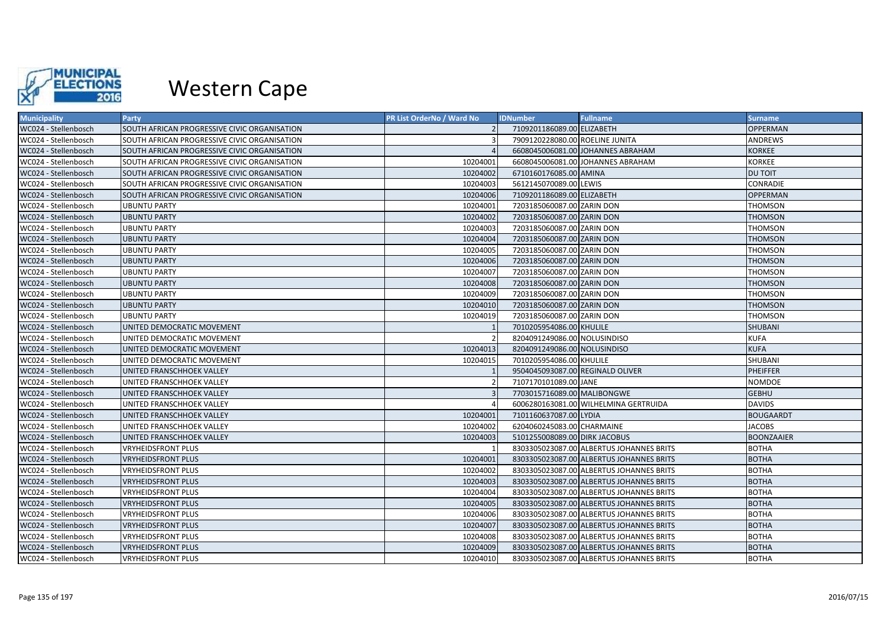

| <b>Municipality</b>  | <b>Party</b>                                 | <b>PR List OrderNo / Ward No</b> | <b>IDNumber</b><br><b>Fullname</b>       | <b>Surname</b>    |
|----------------------|----------------------------------------------|----------------------------------|------------------------------------------|-------------------|
| WC024 - Stellenbosch | SOUTH AFRICAN PROGRESSIVE CIVIC ORGANISATION |                                  | 7109201186089.00 ELIZABETH               | <b>OPPERMAN</b>   |
| WC024 - Stellenbosch | SOUTH AFRICAN PROGRESSIVE CIVIC ORGANISATION |                                  | 7909120228080.00 ROELINE JUNITA          | ANDREWS           |
| WC024 - Stellenbosch | SOUTH AFRICAN PROGRESSIVE CIVIC ORGANISATION |                                  | 6608045006081.00 JOHANNES ABRAHAM        | <b>KORKEE</b>     |
| WC024 - Stellenbosch | SOUTH AFRICAN PROGRESSIVE CIVIC ORGANISATION | 10204001                         | 6608045006081.00 JOHANNES ABRAHAM        | <b>KORKEE</b>     |
| WC024 - Stellenbosch | SOUTH AFRICAN PROGRESSIVE CIVIC ORGANISATION | 10204002                         | 6710160176085.00 AMINA                   | <b>DU TOIT</b>    |
| WC024 - Stellenbosch | SOUTH AFRICAN PROGRESSIVE CIVIC ORGANISATION | 10204003                         | 5612145070089.00 LEWIS                   | CONRADIE          |
| WC024 - Stellenbosch | SOUTH AFRICAN PROGRESSIVE CIVIC ORGANISATION | 10204006                         | 7109201186089.00 ELIZABETH               | <b>OPPERMAN</b>   |
| WC024 - Stellenbosch | <b>UBUNTU PARTY</b>                          | 10204001                         | 7203185060087.00 ZARIN DON               | <b>THOMSON</b>    |
| WC024 - Stellenbosch | <b>UBUNTU PARTY</b>                          | 10204002                         | 7203185060087.00 ZARIN DON               | <b>THOMSON</b>    |
| WC024 - Stellenbosch | UBUNTU PARTY                                 | 10204003                         | 7203185060087.00 ZARIN DON               | THOMSON           |
| WC024 - Stellenbosch | <b>UBUNTU PARTY</b>                          | 10204004                         | 7203185060087.00 ZARIN DON               | <b>THOMSON</b>    |
| WC024 - Stellenbosch | <b>UBUNTU PARTY</b>                          | 10204005                         | 7203185060087.00 ZARIN DON               | <b>THOMSON</b>    |
| WC024 - Stellenbosch | UBUNTU PARTY                                 | 10204006                         | 7203185060087.00 ZARIN DON               | <b>THOMSON</b>    |
| WC024 - Stellenbosch | <b>UBUNTU PARTY</b>                          | 10204007                         | 7203185060087.00 ZARIN DON               | <b>THOMSON</b>    |
| WC024 - Stellenbosch | <b>UBUNTU PARTY</b>                          | 10204008                         | 7203185060087.00 ZARIN DON               | <b>THOMSON</b>    |
| WC024 - Stellenbosch | UBUNTU PARTY                                 | 10204009                         | 7203185060087.00 ZARIN DON               | <b>THOMSON</b>    |
| WC024 - Stellenbosch | <b>UBUNTU PARTY</b>                          | 10204010                         | 7203185060087.00 ZARIN DON               | <b>THOMSON</b>    |
| WC024 - Stellenbosch | <b>UBUNTU PARTY</b>                          | 10204019                         | 7203185060087.00 ZARIN DON               | <b>THOMSON</b>    |
| WC024 - Stellenbosch | UNITED DEMOCRATIC MOVEMENT                   |                                  | 7010205954086.00 KHULILE                 | <b>SHUBANI</b>    |
| WC024 - Stellenbosch | UNITED DEMOCRATIC MOVEMENT                   |                                  | 8204091249086.00 NOLUSINDISO             | <b>KUFA</b>       |
| WC024 - Stellenbosch | UNITED DEMOCRATIC MOVEMENT                   | 10204013                         | 8204091249086.00 NOLUSINDISO             | <b>KUFA</b>       |
| WC024 - Stellenbosch | UNITED DEMOCRATIC MOVEMENT                   | 10204015                         | 7010205954086.00 KHULILE                 | SHUBANI           |
| WC024 - Stellenbosch | UNITED FRANSCHHOEK VALLEY                    |                                  | 9504045093087.00 REGINALD OLIVER         | PHEIFFER          |
| WC024 - Stellenbosch | UNITED FRANSCHHOEK VALLEY                    |                                  | 7107170101089.00 JANE                    | <b>NOMDOE</b>     |
| WC024 - Stellenbosch | UNITED FRANSCHHOEK VALLEY                    |                                  | 7703015716089.00 MALIBONGWE              | <b>GEBHU</b>      |
| WC024 - Stellenbosch | UNITED FRANSCHHOEK VALLEY                    |                                  | 6006280163081.00 WILHELMINA GERTRUIDA    | <b>DAVIDS</b>     |
| WC024 - Stellenbosch | UNITED FRANSCHHOEK VALLEY                    | 10204001                         | 7101160637087.00 LYDIA                   | <b>BOUGAARDT</b>  |
| WC024 - Stellenbosch | UNITED FRANSCHHOEK VALLEY                    | 10204002                         | 6204060245083.00 CHARMAINE               | <b>JACOBS</b>     |
| WC024 - Stellenbosch | UNITED FRANSCHHOEK VALLEY                    | 10204003                         | 5101255008089.00 DIRK JACOBUS            | <b>BOONZAAIER</b> |
| WC024 - Stellenbosch | <b>VRYHEIDSFRONT PLUS</b>                    |                                  | 8303305023087.00 ALBERTUS JOHANNES BRITS | <b>BOTHA</b>      |
| WC024 - Stellenbosch | <b>VRYHEIDSFRONT PLUS</b>                    | 10204001                         | 8303305023087.00 ALBERTUS JOHANNES BRITS | <b>BOTHA</b>      |
| WC024 - Stellenbosch | VRYHEIDSFRONT PLUS                           | 10204002                         | 8303305023087.00 ALBERTUS JOHANNES BRITS | <b>BOTHA</b>      |
| WC024 - Stellenbosch | <b>VRYHEIDSFRONT PLUS</b>                    | 10204003                         | 8303305023087.00 ALBERTUS JOHANNES BRITS | <b>BOTHA</b>      |
| WC024 - Stellenbosch | <b>VRYHEIDSFRONT PLUS</b>                    | 10204004                         | 8303305023087.00 ALBERTUS JOHANNES BRITS | <b>BOTHA</b>      |
| WC024 - Stellenbosch | VRYHEIDSFRONT PLUS                           | 10204005                         | 8303305023087.00 ALBERTUS JOHANNES BRITS | <b>BOTHA</b>      |
| WC024 - Stellenbosch | VRYHEIDSFRONT PLUS                           | 10204006                         | 8303305023087.00 ALBERTUS JOHANNES BRITS | <b>BOTHA</b>      |
| WC024 - Stellenbosch | <b>VRYHEIDSFRONT PLUS</b>                    | 10204007                         | 8303305023087.00 ALBERTUS JOHANNES BRITS | <b>BOTHA</b>      |
| WC024 - Stellenbosch | VRYHEIDSFRONT PLUS                           | 10204008                         | 8303305023087.00 ALBERTUS JOHANNES BRITS | <b>BOTHA</b>      |
| WC024 - Stellenbosch | <b>VRYHEIDSFRONT PLUS</b>                    | 10204009                         | 8303305023087.00 ALBERTUS JOHANNES BRITS | <b>BOTHA</b>      |
| WC024 - Stellenbosch | <b>VRYHEIDSFRONT PLUS</b>                    | 10204010                         | 8303305023087.00 ALBERTUS JOHANNES BRITS | <b>BOTHA</b>      |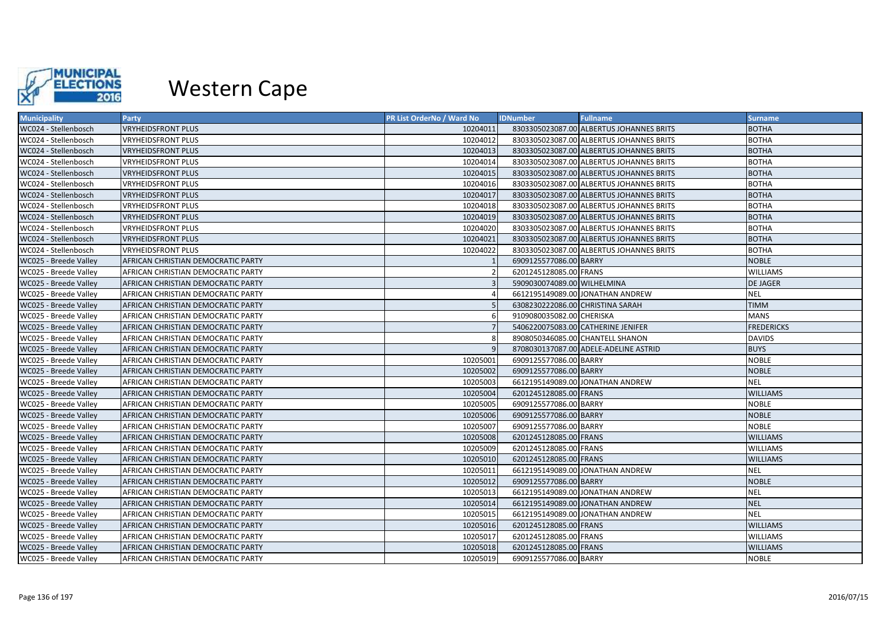

| <b>Municipality</b>   | <b>Party</b>                       | <b>PR List OrderNo / Ward No</b> | <b>IDNumber</b>                  | <b>Fullname</b>                          | <b>Surname</b>    |
|-----------------------|------------------------------------|----------------------------------|----------------------------------|------------------------------------------|-------------------|
| WC024 - Stellenbosch  | <b>VRYHEIDSFRONT PLUS</b>          | 10204011                         |                                  | 8303305023087.00 ALBERTUS JOHANNES BRITS | <b>BOTHA</b>      |
| WC024 - Stellenbosch  | <b>VRYHEIDSFRONT PLUS</b>          | 10204012                         |                                  | 8303305023087.00 ALBERTUS JOHANNES BRITS | <b>BOTHA</b>      |
| WC024 - Stellenbosch  | <b>VRYHEIDSFRONT PLUS</b>          | 10204013                         |                                  | 8303305023087.00 ALBERTUS JOHANNES BRITS | <b>BOTHA</b>      |
| WC024 - Stellenbosch  | VRYHEIDSFRONT PLUS                 | 10204014                         |                                  | 8303305023087.00 ALBERTUS JOHANNES BRITS | <b>BOTHA</b>      |
| WC024 - Stellenbosch  | VRYHEIDSFRONT PLUS                 | 10204015                         |                                  | 8303305023087.00 ALBERTUS JOHANNES BRITS | <b>BOTHA</b>      |
| WC024 - Stellenbosch  | <b>VRYHEIDSFRONT PLUS</b>          | 10204016                         |                                  | 8303305023087.00 ALBERTUS JOHANNES BRITS | <b>BOTHA</b>      |
| WC024 - Stellenbosch  | VRYHEIDSFRONT PLUS                 | 10204017                         |                                  | 8303305023087.00 ALBERTUS JOHANNES BRITS | <b>BOTHA</b>      |
| WC024 - Stellenbosch  | <b>VRYHEIDSFRONT PLUS</b>          | 10204018                         |                                  | 8303305023087.00 ALBERTUS JOHANNES BRITS | <b>BOTHA</b>      |
| WC024 - Stellenbosch  | VRYHEIDSFRONT PLUS                 | 10204019                         |                                  | 8303305023087.00 ALBERTUS JOHANNES BRITS | <b>BOTHA</b>      |
| WC024 - Stellenbosch  | VRYHEIDSFRONT PLUS                 | 10204020                         |                                  | 8303305023087.00 ALBERTUS JOHANNES BRITS | <b>BOTHA</b>      |
| WC024 - Stellenbosch  | VRYHEIDSFRONT PLUS                 | 10204021                         |                                  | 8303305023087.00 ALBERTUS JOHANNES BRITS | <b>BOTHA</b>      |
| WC024 - Stellenbosch  | <b>VRYHEIDSFRONT PLUS</b>          | 10204022                         |                                  | 8303305023087.00 ALBERTUS JOHANNES BRITS | <b>BOTHA</b>      |
| WC025 - Breede Valley | AFRICAN CHRISTIAN DEMOCRATIC PARTY |                                  | 6909125577086.00 BARRY           |                                          | <b>NOBLE</b>      |
| WC025 - Breede Valley | AFRICAN CHRISTIAN DEMOCRATIC PARTY |                                  | 6201245128085.00 FRANS           |                                          | <b>WILLIAMS</b>   |
| WC025 - Breede Valley | AFRICAN CHRISTIAN DEMOCRATIC PARTY |                                  | 5909030074089.00 WILHELMINA      |                                          | <b>DE JAGER</b>   |
| WC025 - Breede Valley | AFRICAN CHRISTIAN DEMOCRATIC PARTY |                                  |                                  | 6612195149089.00 JONATHAN ANDREW         | <b>NEL</b>        |
| WC025 - Breede Valley | AFRICAN CHRISTIAN DEMOCRATIC PARTY |                                  | 6308230222086.00 CHRISTINA SARAH |                                          | <b>TIMM</b>       |
| WC025 - Breede Valley | AFRICAN CHRISTIAN DEMOCRATIC PARTY |                                  | 9109080035082.00 CHERISKA        |                                          | <b>MANS</b>       |
| WC025 - Breede Valley | AFRICAN CHRISTIAN DEMOCRATIC PARTY |                                  |                                  | 5406220075083.00 CATHERINE JENIFER       | <b>FREDERICKS</b> |
| WC025 - Breede Valley | AFRICAN CHRISTIAN DEMOCRATIC PARTY |                                  |                                  | 8908050346085.00 CHANTELL SHANON         | <b>DAVIDS</b>     |
| WC025 - Breede Valley | AFRICAN CHRISTIAN DEMOCRATIC PARTY |                                  |                                  | 8708030137087.00 ADELE-ADELINE ASTRID    | <b>BUYS</b>       |
| WC025 - Breede Valley | AFRICAN CHRISTIAN DEMOCRATIC PARTY | 10205001                         | 6909125577086.00 BARRY           |                                          | <b>NOBLE</b>      |
| WC025 - Breede Valley | AFRICAN CHRISTIAN DEMOCRATIC PARTY | 10205002                         | 6909125577086.00 BARRY           |                                          | <b>NOBLE</b>      |
| WC025 - Breede Valley | AFRICAN CHRISTIAN DEMOCRATIC PARTY | 10205003                         |                                  | 6612195149089.00 JONATHAN ANDREW         | <b>NEL</b>        |
| WC025 - Breede Valley | AFRICAN CHRISTIAN DEMOCRATIC PARTY | 10205004                         | 6201245128085.00 FRANS           |                                          | <b>WILLIAMS</b>   |
| WC025 - Breede Valley | AFRICAN CHRISTIAN DEMOCRATIC PARTY | 10205005                         | 6909125577086.00 BARRY           |                                          | <b>NOBLE</b>      |
| WC025 - Breede Valley | AFRICAN CHRISTIAN DEMOCRATIC PARTY | 10205006                         | 6909125577086.00 BARRY           |                                          | <b>NOBLE</b>      |
| WC025 - Breede Valley | AFRICAN CHRISTIAN DEMOCRATIC PARTY | 10205007                         | 6909125577086.00 BARRY           |                                          | <b>NOBLE</b>      |
| WC025 - Breede Valley | AFRICAN CHRISTIAN DEMOCRATIC PARTY | 10205008                         | 6201245128085.00 FRANS           |                                          | <b>WILLIAMS</b>   |
| WC025 - Breede Valley | AFRICAN CHRISTIAN DEMOCRATIC PARTY | 10205009                         | 6201245128085.00 FRANS           |                                          | <b>WILLIAMS</b>   |
| WC025 - Breede Valley | AFRICAN CHRISTIAN DEMOCRATIC PARTY | 10205010                         | 6201245128085.00 FRANS           |                                          | <b>WILLIAMS</b>   |
| WC025 - Breede Valley | AFRICAN CHRISTIAN DEMOCRATIC PARTY | 10205011                         |                                  | 6612195149089.00 JONATHAN ANDREW         | <b>NEL</b>        |
| WC025 - Breede Valley | AFRICAN CHRISTIAN DEMOCRATIC PARTY | 10205012                         | 6909125577086.00 BARRY           |                                          | <b>NOBLE</b>      |
| WC025 - Breede Valley | AFRICAN CHRISTIAN DEMOCRATIC PARTY | 10205013                         |                                  | 6612195149089.00 JONATHAN ANDREW         | <b>NEL</b>        |
| WC025 - Breede Valley | AFRICAN CHRISTIAN DEMOCRATIC PARTY | 10205014                         |                                  | 6612195149089.00 JONATHAN ANDREW         | <b>NEL</b>        |
| WC025 - Breede Valley | AFRICAN CHRISTIAN DEMOCRATIC PARTY | 10205015                         |                                  | 6612195149089.00 JONATHAN ANDREW         | <b>NEL</b>        |
| WC025 - Breede Valley | AFRICAN CHRISTIAN DEMOCRATIC PARTY | 10205016                         | 6201245128085.00 FRANS           |                                          | <b>WILLIAMS</b>   |
| WC025 - Breede Valley | AFRICAN CHRISTIAN DEMOCRATIC PARTY | 10205017                         | 6201245128085.00 FRANS           |                                          | <b>WILLIAMS</b>   |
| WC025 - Breede Valley | AFRICAN CHRISTIAN DEMOCRATIC PARTY | 10205018                         | 6201245128085.00 FRANS           |                                          | <b>WILLIAMS</b>   |
| WC025 - Breede Valley | AFRICAN CHRISTIAN DEMOCRATIC PARTY | 10205019                         | 6909125577086.00 BARRY           |                                          | <b>NOBLE</b>      |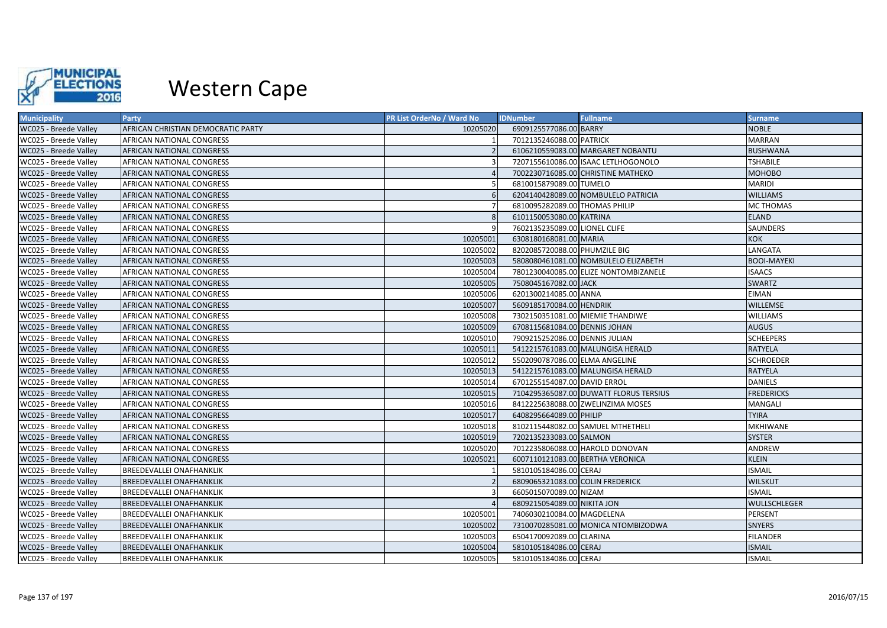

| <b>Municipality</b>   | <b>Party</b>                       | <b>PR List OrderNo / Ward No</b> | <b>IDNumber</b>                  | <b>Fullname</b>                        | <b>Surname</b>     |
|-----------------------|------------------------------------|----------------------------------|----------------------------------|----------------------------------------|--------------------|
| WC025 - Breede Valley | AFRICAN CHRISTIAN DEMOCRATIC PARTY | 10205020                         | 6909125577086.00 BARRY           |                                        | <b>NOBLE</b>       |
| WC025 - Breede Valley | AFRICAN NATIONAL CONGRESS          |                                  | 7012135246088.00 PATRICK         |                                        | <b>MARRAN</b>      |
| WC025 - Breede Valley | AFRICAN NATIONAL CONGRESS          |                                  |                                  | 6106210559083.00 MARGARET NOBANTU      | <b>BUSHWANA</b>    |
| WC025 - Breede Valley | AFRICAN NATIONAL CONGRESS          |                                  |                                  | 7207155610086.00 ISAAC LETLHOGONOLO    | <b>TSHABILE</b>    |
| WC025 - Breede Valley | AFRICAN NATIONAL CONGRESS          |                                  |                                  | 7002230716085.00 CHRISTINE MATHEKO     | <b>MOHOBO</b>      |
| WC025 - Breede Valley | AFRICAN NATIONAL CONGRESS          |                                  | 6810015879089.00 TUMELO          |                                        | <b>MARIDI</b>      |
| WC025 - Breede Valley | AFRICAN NATIONAL CONGRESS          |                                  |                                  | 6204140428089.00 NOMBULELO PATRICIA    | <b>WILLIAMS</b>    |
| WC025 - Breede Valley | AFRICAN NATIONAL CONGRESS          |                                  | 6810095282089.00 THOMAS PHILIP   |                                        | <b>MC THOMAS</b>   |
| WC025 - Breede Valley | AFRICAN NATIONAL CONGRESS          |                                  | 6101150053080.00 KATRINA         |                                        | ELAND              |
| WC025 - Breede Valley | AFRICAN NATIONAL CONGRESS          |                                  | 7602135235089.00 LIONEL CLIFE    |                                        | SAUNDERS           |
| WC025 - Breede Valley | AFRICAN NATIONAL CONGRESS          | 10205001                         | 6308180168081.00 MARIA           |                                        | <b>KOK</b>         |
| WC025 - Breede Valley | AFRICAN NATIONAL CONGRESS          | 10205002                         | 8202085720088.00 PHUMZILE BIG    |                                        | LANGATA            |
| WC025 - Breede Valley | AFRICAN NATIONAL CONGRESS          | 10205003                         |                                  | 5808080461081.00 NOMBULELO ELIZABETH   | <b>BOOI-MAYEKI</b> |
| WC025 - Breede Valley | AFRICAN NATIONAL CONGRESS          | 10205004                         |                                  | 7801230040085.00 ELIZE NONTOMBIZANELE  | <b>ISAACS</b>      |
| WC025 - Breede Valley | AFRICAN NATIONAL CONGRESS          | 10205005                         | 7508045167082.00 JACK            |                                        | SWARTZ             |
| WC025 - Breede Valley | AFRICAN NATIONAL CONGRESS          | 10205006                         | 6201300214085.00 ANNA            |                                        | EIMAN              |
| WC025 - Breede Valley | AFRICAN NATIONAL CONGRESS          | 10205007                         | 5609185170084.00 HENDRIK         |                                        | WILLEMSE           |
| WC025 - Breede Valley | AFRICAN NATIONAL CONGRESS          | 10205008                         |                                  | 7302150351081.00 MIEMIE THANDIWE       | <b>WILLIAMS</b>    |
| WC025 - Breede Valley | AFRICAN NATIONAL CONGRESS          | 10205009                         | 6708115681084.00 DENNIS JOHAN    |                                        | <b>AUGUS</b>       |
| WC025 - Breede Valley | AFRICAN NATIONAL CONGRESS          | 10205010                         | 7909215252086.00 DENNIS JULIAN   |                                        | <b>SCHEEPERS</b>   |
| WC025 - Breede Valley | AFRICAN NATIONAL CONGRESS          | 10205011                         |                                  | 5412215761083.00 MALUNGISA HERALD      | <b>RATYELA</b>     |
| WC025 - Breede Valley | AFRICAN NATIONAL CONGRESS          | 10205012                         | 5502090787086.00 ELMA ANGELINE   |                                        | <b>SCHROEDER</b>   |
| WC025 - Breede Valley | AFRICAN NATIONAL CONGRESS          | 10205013                         |                                  | 5412215761083.00 MALUNGISA HERALD      | RATYELA            |
| WC025 - Breede Valley | AFRICAN NATIONAL CONGRESS          | 10205014                         | 6701255154087.00 DAVID ERROL     |                                        | <b>DANIELS</b>     |
| WC025 - Breede Valley | AFRICAN NATIONAL CONGRESS          | 10205015                         |                                  | 7104295365087.00 DUWATT FLORUS TERSIUS | <b>FREDERICKS</b>  |
| WC025 - Breede Valley | AFRICAN NATIONAL CONGRESS          | 10205016                         |                                  | 8412225638088.00 ZWELINZIMA MOSES      | MANGALI            |
| WC025 - Breede Valley | AFRICAN NATIONAL CONGRESS          | 10205017                         | 6408295664089.00 PHILIP          |                                        | <b>TYIRA</b>       |
| WC025 - Breede Valley | AFRICAN NATIONAL CONGRESS          | 10205018                         |                                  | 8102115448082.00 SAMUEL MTHETHELI      | MKHIWANE           |
| WC025 - Breede Valley | AFRICAN NATIONAL CONGRESS          | 10205019                         | 7202135233083.00 SALMON          |                                        | <b>SYSTER</b>      |
| WC025 - Breede Valley | AFRICAN NATIONAL CONGRESS          | 10205020                         | 7012235806088.00 HAROLD DONOVAN  |                                        | ANDREW             |
| WC025 - Breede Valley | AFRICAN NATIONAL CONGRESS          | 10205021                         | 6007110121083.00 BERTHA VERONICA |                                        | <b>KLEIN</b>       |
| WC025 - Breede Valley | <b>BREEDEVALLEI ONAFHANKLIK</b>    |                                  | 5810105184086.00 CERAJ           |                                        | <b>ISMAIL</b>      |
| WC025 - Breede Valley | <b>BREEDEVALLEI ONAFHANKLIK</b>    |                                  | 6809065321083.00 COLIN FREDERICK |                                        | <b>WILSKUT</b>     |
| WC025 - Breede Valley | BREEDEVALLEI ONAFHANKLIK           |                                  | 6605015070089.00 NIZAM           |                                        | <b>ISMAIL</b>      |
| WC025 - Breede Valley | BREEDEVALLEI ONAFHANKLIK           |                                  | 6809215054089.00 NIKITA JON      |                                        | WULLSCHLEGER       |
| WC025 - Breede Valley | BREEDEVALLEI ONAFHANKLIK           | 10205001                         | 7406030210084.00 MAGDELENA       |                                        | PERSENT            |
| WC025 - Breede Valley | <b>BREEDEVALLEI ONAFHANKLIK</b>    | 10205002                         |                                  | 7310070285081.00 MONICA NTOMBIZODWA    | <b>SNYERS</b>      |
| WC025 - Breede Valley | BREEDEVALLEI ONAFHANKLIK           | 10205003                         | 6504170092089.00 CLARINA         |                                        | <b>FILANDER</b>    |
| WC025 - Breede Valley | <b>BREEDEVALLEI ONAFHANKLIK</b>    | 10205004                         | 5810105184086.00 CERAJ           |                                        | <b>ISMAIL</b>      |
| WC025 - Breede Valley | <b>BREEDEVALLEI ONAFHANKLIK</b>    | 10205005                         | 5810105184086.00 CERAJ           |                                        | <b>ISMAIL</b>      |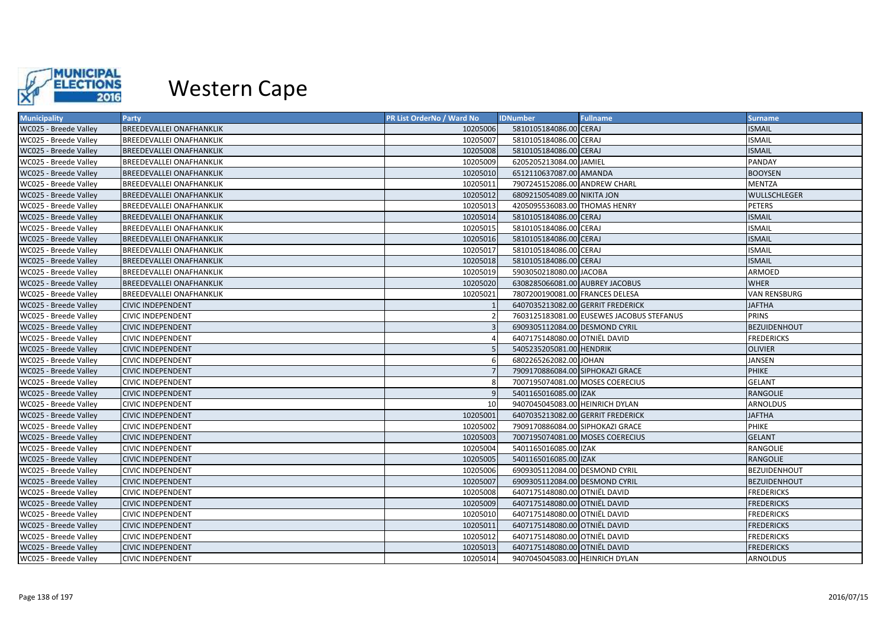

| <b>Municipality</b>   | Party                           | <b>PR List OrderNo / Ward No</b> | <b>IDNumber</b>                   | <b>Fullname</b>                           | <b>Surname</b>      |
|-----------------------|---------------------------------|----------------------------------|-----------------------------------|-------------------------------------------|---------------------|
| WC025 - Breede Valley | <b>BREEDEVALLEI ONAFHANKLIK</b> | 10205006                         | 5810105184086.00 CERAJ            |                                           | <b>ISMAIL</b>       |
| WC025 - Breede Valley | BREEDEVALLEI ONAFHANKLIK        | 10205007                         | 5810105184086.00 CERAJ            |                                           | <b>ISMAIL</b>       |
| WC025 - Breede Valley | <b>BREEDEVALLEI ONAFHANKLIK</b> | 10205008                         | 5810105184086.00 CERAJ            |                                           | <b>ISMAIL</b>       |
| WC025 - Breede Valley | BREEDEVALLEI ONAFHANKLIK        | 10205009                         | 6205205213084.00 JAMIEL           |                                           | <b>PANDAY</b>       |
| WC025 - Breede Valley | <b>BREEDEVALLEI ONAFHANKLIK</b> | 10205010                         | 6512110637087.00 AMANDA           |                                           | <b>BOOYSEN</b>      |
| WC025 - Breede Valley | <b>BREEDEVALLEI ONAFHANKLIK</b> | 10205011                         | 7907245152086.00 ANDREW CHARL     |                                           | <b>MENTZA</b>       |
| WC025 - Breede Valley | <b>BREEDEVALLEI ONAFHANKLIK</b> | 10205012                         | 6809215054089.00 NIKITA JON       |                                           | <b>WULLSCHLEGER</b> |
| WC025 - Breede Valley | BREEDEVALLEI ONAFHANKLIK        | 10205013                         | 4205095536083.00 THOMAS HENRY     |                                           | <b>PETERS</b>       |
| WC025 - Breede Valley | <b>BREEDEVALLEI ONAFHANKLIK</b> | 10205014                         | 5810105184086.00 CERAJ            |                                           | <b>ISMAIL</b>       |
| WC025 - Breede Valley | <b>BREEDEVALLEI ONAFHANKLIK</b> | 10205015                         | 5810105184086.00 CERAJ            |                                           | <b>ISMAIL</b>       |
| WC025 - Breede Valley | <b>BREEDEVALLEI ONAFHANKLIK</b> | 10205016                         | 5810105184086.00 CERAJ            |                                           | <b>ISMAIL</b>       |
| WC025 - Breede Valley | BREEDEVALLEI ONAFHANKLIK        | 10205017                         | 5810105184086.00 CERAJ            |                                           | <b>ISMAIL</b>       |
| WC025 - Breede Valley | BREEDEVALLEI ONAFHANKLIK        | 10205018                         | 5810105184086.00 CERAJ            |                                           | <b>ISMAIL</b>       |
| WC025 - Breede Valley | BREEDEVALLEI ONAFHANKLIK        | 10205019                         | 5903050218080.00 JACOBA           |                                           | ARMOED              |
| WC025 - Breede Valley | BREEDEVALLEI ONAFHANKLIK        | 10205020                         | 6308285066081.00 AUBREY JACOBUS   |                                           | <b>WHER</b>         |
| WC025 - Breede Valley | BREEDEVALLEI ONAFHANKLIK        | 10205021                         | 7807200190081.00 FRANCES DELESA   |                                           | <b>VAN RENSBURG</b> |
| WC025 - Breede Valley | <b>CIVIC INDEPENDENT</b>        |                                  | 6407035213082.00 GERRIT FREDERICK |                                           | <b>JAFTHA</b>       |
| WC025 - Breede Valley | <b>CIVIC INDEPENDENT</b>        |                                  |                                   | 7603125183081.00 EUSEWES JACOBUS STEFANUS | PRINS               |
| WC025 - Breede Valley | <b>CIVIC INDEPENDENT</b>        |                                  | 6909305112084.00 DESMOND CYRIL    |                                           | <b>BEZUIDENHOUT</b> |
| WC025 - Breede Valley | <b>CIVIC INDEPENDENT</b>        |                                  | 6407175148080.00 OTNIËL DAVID     |                                           | <b>FREDERICKS</b>   |
| WC025 - Breede Valley | <b>CIVIC INDEPENDENT</b>        |                                  | 5405235205081.00 HENDRIK          |                                           | <b>OLIVIER</b>      |
| WC025 - Breede Valley | <b>CIVIC INDEPENDENT</b>        | 6                                | 6802265262082.00 JOHAN            |                                           | <b>JANSEN</b>       |
| WC025 - Breede Valley | <b>CIVIC INDEPENDENT</b>        |                                  | 7909170886084.00 SIPHOKAZI GRACE  |                                           | <b>PHIKE</b>        |
| WC025 - Breede Valley | <b>CIVIC INDEPENDENT</b>        |                                  | 7007195074081.00 MOSES COERECIUS  |                                           | <b>GELANT</b>       |
| WC025 - Breede Valley | <b>CIVIC INDEPENDENT</b>        |                                  | 5401165016085.00 IZAK             |                                           | <b>RANGOLIE</b>     |
| WC025 - Breede Valley | <b>CIVIC INDEPENDENT</b>        | 10                               | 9407045045083.00 HEINRICH DYLAN   |                                           | <b>ARNOLDUS</b>     |
| WC025 - Breede Valley | <b>CIVIC INDEPENDENT</b>        | 10205001                         | 6407035213082.00 GERRIT FREDERICK |                                           | <b>JAFTHA</b>       |
| WC025 - Breede Valley | <b>CIVIC INDEPENDENT</b>        | 10205002                         | 7909170886084.00 SIPHOKAZI GRACE  |                                           | PHIKE               |
| WC025 - Breede Valley | <b>CIVIC INDEPENDENT</b>        | 10205003                         | 7007195074081.00 MOSES COERECIUS  |                                           | <b>GELANT</b>       |
| WC025 - Breede Valley | <b>CIVIC INDEPENDENT</b>        | 10205004                         | 5401165016085.00 IZAK             |                                           | RANGOLIE            |
| WC025 - Breede Valley | <b>CIVIC INDEPENDENT</b>        | 10205005                         | 5401165016085.00 IZAK             |                                           | RANGOLIE            |
| WC025 - Breede Valley | <b>CIVIC INDEPENDENT</b>        | 10205006                         | 6909305112084.00 DESMOND CYRIL    |                                           | BEZUIDENHOUT        |
| WC025 - Breede Valley | <b>CIVIC INDEPENDENT</b>        | 10205007                         | 6909305112084.00 DESMOND CYRIL    |                                           | <b>BEZUIDENHOUT</b> |
| WC025 - Breede Valley | <b>CIVIC INDEPENDENT</b>        | 10205008                         | 6407175148080.00 OTNIËL DAVID     |                                           | <b>FREDERICKS</b>   |
| WC025 - Breede Valley | <b>CIVIC INDEPENDENT</b>        | 10205009                         | 6407175148080.00 OTNIËL DAVID     |                                           | <b>FREDERICKS</b>   |
| WC025 - Breede Valley | <b>CIVIC INDEPENDENT</b>        | 10205010                         | 6407175148080.00 OTNIËL DAVID     |                                           | <b>FREDERICKS</b>   |
| WC025 - Breede Valley | <b>CIVIC INDEPENDENT</b>        | 10205011                         | 6407175148080.00 OTNIËL DAVID     |                                           | <b>FREDERICKS</b>   |
| WC025 - Breede Valley | <b>CIVIC INDEPENDENT</b>        | 10205012                         | 6407175148080.00 OTNIËL DAVID     |                                           | <b>FREDERICKS</b>   |
| WC025 - Breede Valley | <b>CIVIC INDEPENDENT</b>        | 10205013                         | 6407175148080.00 OTNIËL DAVID     |                                           | <b>FREDERICKS</b>   |
| WC025 - Breede Valley | <b>CIVIC INDEPENDENT</b>        | 10205014                         | 9407045045083.00 HEINRICH DYLAN   |                                           | ARNOLDUS            |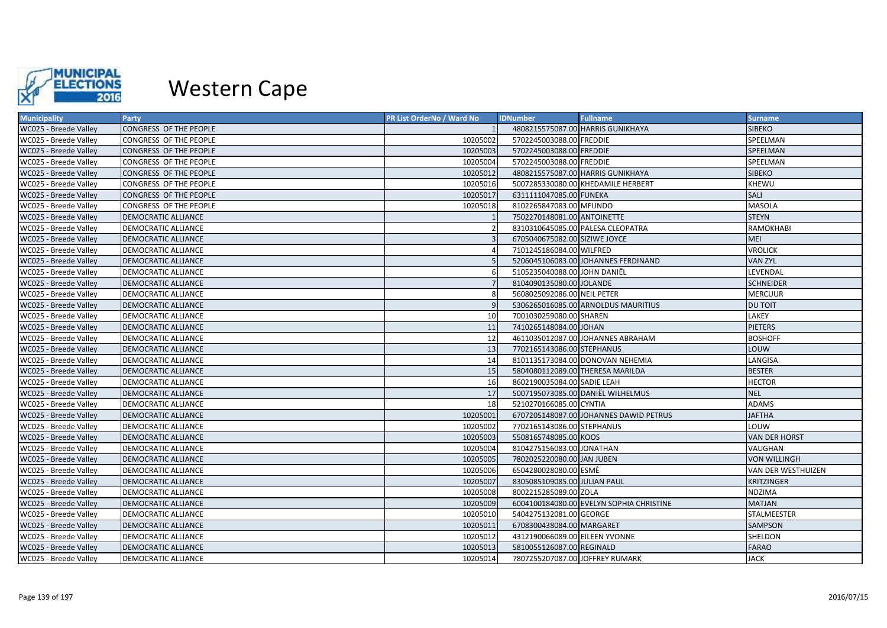

| <b>Municipality</b>   | Party                         | <b>PR List OrderNo / Ward No</b> | <b>IDNumber</b>                  | <b>Fullname</b>                          | <b>Surname</b>       |
|-----------------------|-------------------------------|----------------------------------|----------------------------------|------------------------------------------|----------------------|
| WC025 - Breede Valley | <b>CONGRESS OF THE PEOPLE</b> |                                  |                                  | 4808215575087.00 HARRIS GUNIKHAYA        | <b>SIBEKO</b>        |
| WC025 - Breede Valley | CONGRESS OF THE PEOPLE        | 10205002                         | 5702245003088.00 FREDDIE         |                                          | SPEELMAN             |
| WC025 - Breede Valley | <b>CONGRESS OF THE PEOPLE</b> | 10205003                         | 5702245003088.00 FREDDIE         |                                          | SPEELMAN             |
| WC025 - Breede Valley | CONGRESS OF THE PEOPLE        | 10205004                         | 5702245003088.00 FREDDIE         |                                          | SPEELMAN             |
| WC025 - Breede Valley | <b>CONGRESS OF THE PEOPLE</b> | 10205012                         |                                  | 4808215575087.00 HARRIS GUNIKHAYA        | <b>SIBEKO</b>        |
| WC025 - Breede Valley | CONGRESS OF THE PEOPLE        | 10205016                         |                                  | 5007285330080.00 KHEDAMILE HERBERT       | KHEWU                |
| WC025 - Breede Valley | <b>CONGRESS OF THE PEOPLE</b> | 10205017                         | 6311111047085.00 FUNEKA          |                                          | <b>SALI</b>          |
| WC025 - Breede Valley | CONGRESS OF THE PEOPLE        | 10205018                         | 8102265847083.00 MFUNDO          |                                          | <b>MASOLA</b>        |
| WC025 - Breede Valley | <b>DEMOCRATIC ALLIANCE</b>    |                                  | 7502270148081.00 ANTOINETTE      |                                          | <b>STEYN</b>         |
| WC025 - Breede Valley | <b>DEMOCRATIC ALLIANCE</b>    |                                  |                                  | 8310310645085.00 PALESA CLEOPATRA        | <b>RAMOKHABI</b>     |
| WC025 - Breede Valley | <b>DEMOCRATIC ALLIANCE</b>    |                                  | 6705040675082.00 SIZIWE JOYCE    |                                          | MEI                  |
| WC025 - Breede Valley | <b>DEMOCRATIC ALLIANCE</b>    |                                  | 7101245186084.00 WILFRED         |                                          | <b>VROLICK</b>       |
| WC025 - Breede Valley | <b>DEMOCRATIC ALLIANCE</b>    |                                  |                                  | 5206045106083.00 JOHANNES FERDINAND      | <b>VAN ZYL</b>       |
| WC025 - Breede Valley | <b>DEMOCRATIC ALLIANCE</b>    |                                  | 5105235040088.00 JOHN DANIEL     |                                          | LEVENDAL             |
| WC025 - Breede Valley | <b>DEMOCRATIC ALLIANCE</b>    |                                  | 8104090135080.00 JOLANDE         |                                          | <b>SCHNEIDER</b>     |
| WC025 - Breede Valley | <b>DEMOCRATIC ALLIANCE</b>    |                                  | 5608025092086.00 NEIL PETER      |                                          | <b>MERCUUR</b>       |
| WC025 - Breede Valley | <b>DEMOCRATIC ALLIANCE</b>    |                                  |                                  | 5306265016085.00 ARNOLDUS MAURITIUS      | <b>DU TOIT</b>       |
| WC025 - Breede Valley | <b>DEMOCRATIC ALLIANCE</b>    | 10                               | 7001030259080.00 SHAREN          |                                          | LAKEY                |
| WC025 - Breede Valley | <b>DEMOCRATIC ALLIANCE</b>    | 11                               | 7410265148084.00 JOHAN           |                                          | <b>PIETERS</b>       |
| WC025 - Breede Valley | <b>DEMOCRATIC ALLIANCE</b>    | 12                               |                                  | 4611035012087.00 JOHANNES ABRAHAM        | <b>BOSHOFF</b>       |
| WC025 - Breede Valley | <b>DEMOCRATIC ALLIANCE</b>    | 13                               | 7702165143086.00 STEPHANUS       |                                          | LOUW                 |
| WC025 - Breede Valley | <b>DEMOCRATIC ALLIANCE</b>    | 14                               |                                  | 8101135173084.00 DONOVAN NEHEMIA         | LANGISA              |
| WC025 - Breede Valley | <b>DEMOCRATIC ALLIANCE</b>    | 15                               | 5804080112089.00 THERESA MARILDA |                                          | <b>BESTER</b>        |
| WC025 - Breede Valley | <b>DEMOCRATIC ALLIANCE</b>    | 16                               | 8602190035084.00 SADIE LEAH      |                                          | <b>HECTOR</b>        |
| WC025 - Breede Valley | <b>DEMOCRATIC ALLIANCE</b>    | 17                               |                                  | 5007195073085.00 DANIËL WILHELMUS        | <b>NEL</b>           |
| WC025 - Breede Valley | DEMOCRATIC ALLIANCE           | 18                               | 5210270166085.00 CYNTIA          |                                          | <b>ADAMS</b>         |
| WC025 - Breede Valley | <b>DEMOCRATIC ALLIANCE</b>    | 10205001                         |                                  | 6707205148087.00 JOHANNES DAWID PETRUS   | <b>JAFTHA</b>        |
| WC025 - Breede Valley | <b>DEMOCRATIC ALLIANCE</b>    | 10205002                         | 7702165143086.00 STEPHANUS       |                                          | LOUW                 |
| WC025 - Breede Valley | <b>DEMOCRATIC ALLIANCE</b>    | 10205003                         | 5508165748085.00 KOOS            |                                          | <b>VAN DER HORST</b> |
| WC025 - Breede Valley | <b>DEMOCRATIC ALLIANCE</b>    | 10205004                         | 8104275156083.00 JONATHAN        |                                          | VAUGHAN              |
| WC025 - Breede Valley | <b>DEMOCRATIC ALLIANCE</b>    | 10205005                         | 7802025220080.00 JAN JUBEN       |                                          | <b>VON WILLINGH</b>  |
| WC025 - Breede Valley | DEMOCRATIC ALLIANCE           | 10205006                         | 6504280028080.00 ESMÈ            |                                          | VAN DER WESTHUIZEN   |
| WC025 - Breede Valley | <b>DEMOCRATIC ALLIANCE</b>    | 10205007                         | 8305085109085.00 JULIAN PAUL     |                                          | <b>KRITZINGER</b>    |
| WC025 - Breede Valley | <b>DEMOCRATIC ALLIANCE</b>    | 10205008                         | 8002215285089.00 ZOLA            |                                          | <b>NDZIMA</b>        |
| WC025 - Breede Valley | <b>DEMOCRATIC ALLIANCE</b>    | 10205009                         |                                  | 6004100184080.00 EVELYN SOPHIA CHRISTINE | <b>MATJAN</b>        |
| WC025 - Breede Valley | <b>DEMOCRATIC ALLIANCE</b>    | 10205010                         | 5404275132081.00 GEORGE          |                                          | <b>STALMEESTER</b>   |
| WC025 - Breede Valley | <b>DEMOCRATIC ALLIANCE</b>    | 10205011                         | 6708300438084.00 MARGARET        |                                          | <b>SAMPSON</b>       |
| WC025 - Breede Valley | <b>DEMOCRATIC ALLIANCE</b>    | 10205012                         | 4312190066089.00 EILEEN YVONNE   |                                          | SHELDON              |
| WC025 - Breede Valley | <b>DEMOCRATIC ALLIANCE</b>    | 10205013                         | 5810055126087.00 REGINALD        |                                          | <b>FARAO</b>         |
| WC025 - Breede Valley | <b>DEMOCRATIC ALLIANCE</b>    | 10205014                         | 7807255207087.00 JOFFREY RUMARK  |                                          | <b>JACK</b>          |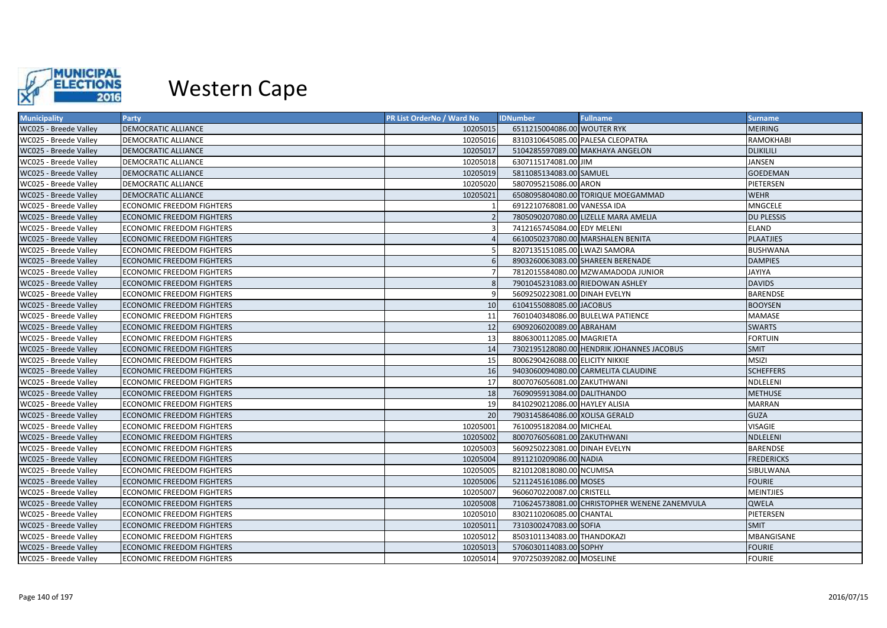

| <b>Municipality</b>   | <b>Party</b>                     | PR List OrderNo / Ward No | <b>IDNumber</b>                 | <b>Fullname</b>                               | <b>Surname</b>    |
|-----------------------|----------------------------------|---------------------------|---------------------------------|-----------------------------------------------|-------------------|
| WC025 - Breede Valley | <b>DEMOCRATIC ALLIANCE</b>       | 10205015                  | 6511215004086.00 WOUTER RYK     |                                               | <b>MEIRING</b>    |
| WC025 - Breede Valley | DEMOCRATIC ALLIANCE              | 10205016                  |                                 | 8310310645085.00 PALESA CLEOPATRA             | <b>RAMOKHABI</b>  |
| WC025 - Breede Valley | <b>DEMOCRATIC ALLIANCE</b>       | 10205017                  |                                 | 5104285597089.00 MAKHAYA ANGELON              | DLIKILILI         |
| WC025 - Breede Valley | DEMOCRATIC ALLIANCE              | 10205018                  | 6307115174081.00 JIM            |                                               | <b>JANSEN</b>     |
| WC025 - Breede Valley | <b>DEMOCRATIC ALLIANCE</b>       | 10205019                  | 5811085134083.00 SAMUEL         |                                               | <b>GOEDEMAN</b>   |
| WC025 - Breede Valley | DEMOCRATIC ALLIANCE              | 10205020                  | 5807095215086.00 ARON           |                                               | PIETERSEN         |
| WC025 - Breede Valley | <b>DEMOCRATIC ALLIANCE</b>       | 10205021                  |                                 | 6508095804080.00 TORIQUE MOEGAMMAD            | <b>WEHR</b>       |
| WC025 - Breede Valley | <b>ECONOMIC FREEDOM FIGHTERS</b> |                           | 6912210768081.00 VANESSA IDA    |                                               | MNGCELE           |
| WC025 - Breede Valley | <b>ECONOMIC FREEDOM FIGHTERS</b> |                           |                                 | 7805090207080.00 LIZELLE MARA AMELIA          | <b>DU PLESSIS</b> |
| WC025 - Breede Valley | <b>ECONOMIC FREEDOM FIGHTERS</b> |                           | 7412165745084.00 EDY MELENI     |                                               | <b>ELAND</b>      |
| WC025 - Breede Valley | <b>ECONOMIC FREEDOM FIGHTERS</b> |                           |                                 | 6610050237080.00 MARSHALEN BENITA             | <b>PLAATJIES</b>  |
| WC025 - Breede Valley | ECONOMIC FREEDOM FIGHTERS        |                           | 8207135151085.00 LWAZI SAMORA   |                                               | <b>BUSHWANA</b>   |
| WC025 - Breede Valley | <b>ECONOMIC FREEDOM FIGHTERS</b> |                           |                                 | 8903260063083.00 SHAREEN BERENADE             | <b>DAMPIES</b>    |
| WC025 - Breede Valley | <b>ECONOMIC FREEDOM FIGHTERS</b> |                           |                                 | 7812015584080.00 MZWAMADODA JUNIOR            | <b>JAYIYA</b>     |
| WC025 - Breede Valley | <b>ECONOMIC FREEDOM FIGHTERS</b> |                           |                                 | 7901045231083.00 RIEDOWAN ASHLEY              | <b>DAVIDS</b>     |
| WC025 - Breede Valley | <b>ECONOMIC FREEDOM FIGHTERS</b> |                           | 5609250223081.00 DINAH EVELYN   |                                               | <b>BARENDSE</b>   |
| WC025 - Breede Valley | <b>ECONOMIC FREEDOM FIGHTERS</b> | 10 <sup>1</sup>           | 6104155088085.00 JACOBUS        |                                               | <b>BOOYSEN</b>    |
| WC025 - Breede Valley | <b>ECONOMIC FREEDOM FIGHTERS</b> | 11                        |                                 | 7601040348086.00 BULELWA PATIENCE             | <b>MAMASE</b>     |
| WC025 - Breede Valley | <b>ECONOMIC FREEDOM FIGHTERS</b> | 12                        | 6909206020089.00 ABRAHAM        |                                               | <b>SWARTS</b>     |
| WC025 - Breede Valley | <b>ECONOMIC FREEDOM FIGHTERS</b> | 13                        | 8806300112085.00 MAGRIETA       |                                               | <b>FORTUIN</b>    |
| WC025 - Breede Valley | <b>ECONOMIC FREEDOM FIGHTERS</b> | 14                        |                                 | 7302195128080.00 HENDRIK JOHANNES JACOBUS     | <b>SMIT</b>       |
| WC025 - Breede Valley | <b>ECONOMIC FREEDOM FIGHTERS</b> | 15                        | 8006290426088.00 ELICITY NIKKIE |                                               | MSIZI             |
| WC025 - Breede Valley | <b>ECONOMIC FREEDOM FIGHTERS</b> | 16                        |                                 | 9403060094080.00 CARMELITA CLAUDINE           | <b>SCHEFFERS</b>  |
| WC025 - Breede Valley | <b>ECONOMIC FREEDOM FIGHTERS</b> | 17                        | 8007076056081.00 ZAKUTHWANI     |                                               | NDLELENI          |
| WC025 - Breede Valley | <b>ECONOMIC FREEDOM FIGHTERS</b> | 18                        | 7609095913084.00 DALITHANDO     |                                               | <b>METHUSE</b>    |
| WC025 - Breede Valley | <b>ECONOMIC FREEDOM FIGHTERS</b> | 19                        | 8410290212086.00 HAYLEY ALISIA  |                                               | <b>MARRAN</b>     |
| WC025 - Breede Valley | <b>ECONOMIC FREEDOM FIGHTERS</b> | 20                        | 7903145864086.00 XOLISA GERALD  |                                               | <b>GUZA</b>       |
| WC025 - Breede Valley | <b>ECONOMIC FREEDOM FIGHTERS</b> | 10205001                  | 7610095182084.00 MICHEAL        |                                               | <b>VISAGIE</b>    |
| WC025 - Breede Valley | <b>ECONOMIC FREEDOM FIGHTERS</b> | 10205002                  | 8007076056081.00 ZAKUTHWANI     |                                               | <b>NDLELENI</b>   |
| WC025 - Breede Valley | <b>ECONOMIC FREEDOM FIGHTERS</b> | 10205003                  | 5609250223081.00 DINAH EVELYN   |                                               | <b>BARENDSE</b>   |
| WC025 - Breede Valley | <b>ECONOMIC FREEDOM FIGHTERS</b> | 10205004                  | 8911210209086.00 NADIA          |                                               | <b>FREDERICKS</b> |
| WC025 - Breede Valley | <b>ECONOMIC FREEDOM FIGHTERS</b> | 10205005                  | 8210120818080.00 NCUMISA        |                                               | SIBULWANA         |
| WC025 - Breede Valley | <b>ECONOMIC FREEDOM FIGHTERS</b> | 10205006                  | 5211245161086.00 MOSES          |                                               | <b>FOURIE</b>     |
| WC025 - Breede Valley | <b>ECONOMIC FREEDOM FIGHTERS</b> | 10205007                  | 9606070220087.00 CRISTELL       |                                               | <b>MEINTJIES</b>  |
| WC025 - Breede Valley | <b>ECONOMIC FREEDOM FIGHTERS</b> | 10205008                  |                                 | 7106245738081.00 CHRISTOPHER WENENE ZANEMVULA | <b>QWELA</b>      |
| WC025 - Breede Valley | <b>ECONOMIC FREEDOM FIGHTERS</b> | 10205010                  | 8302110206085.00 CHANTAL        |                                               | PIETERSEN         |
| WC025 - Breede Valley | <b>ECONOMIC FREEDOM FIGHTERS</b> | 10205011                  | 7310300247083.00 SOFIA          |                                               | <b>SMIT</b>       |
| WC025 - Breede Valley | ECONOMIC FREEDOM FIGHTERS        | 10205012                  | 8503101134083.00 THANDOKAZI     |                                               | MBANGISANE        |
| WC025 - Breede Valley | <b>ECONOMIC FREEDOM FIGHTERS</b> | 10205013                  | 5706030114083.00 SOPHY          |                                               | <b>FOURIE</b>     |
| WC025 - Breede Valley | <b>ECONOMIC FREEDOM FIGHTERS</b> | 10205014                  | 9707250392082.00 MOSELINE       |                                               | <b>FOURIE</b>     |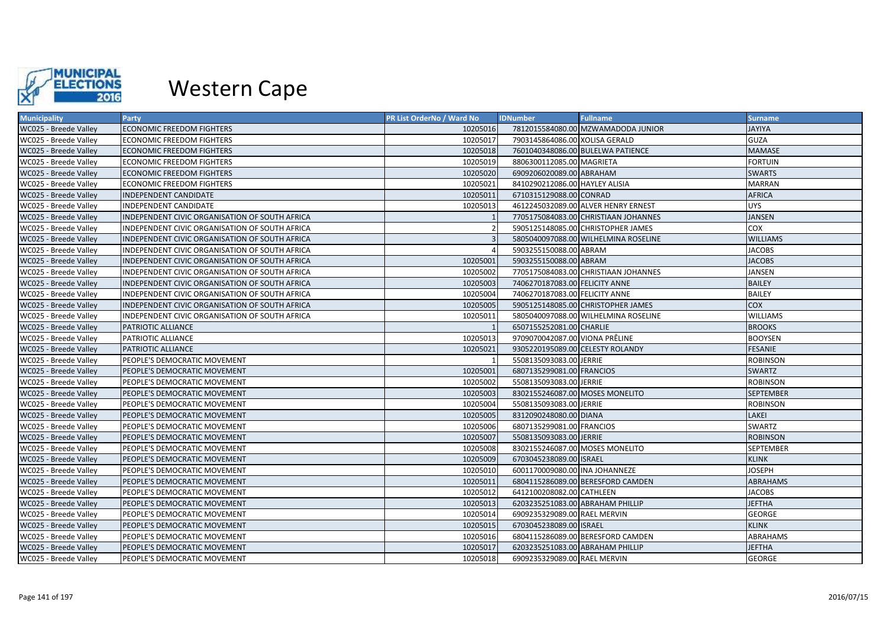

| <b>Municipality</b>   | <b>Party</b>                                   | <b>PR List OrderNo / Ward No</b> | <b>IDNumber</b>                  | <b>Fullname</b>                      | <b>Surname</b>   |
|-----------------------|------------------------------------------------|----------------------------------|----------------------------------|--------------------------------------|------------------|
| WC025 - Breede Valley | <b>ECONOMIC FREEDOM FIGHTERS</b>               | 10205016                         |                                  | 7812015584080.00 MZWAMADODA JUNIOR   | <b>JAYIYA</b>    |
| WC025 - Breede Valley | <b>ECONOMIC FREEDOM FIGHTERS</b>               | 10205017                         | 7903145864086.00 XOLISA GERALD   |                                      | <b>GUZA</b>      |
| WC025 - Breede Valley | <b>ECONOMIC FREEDOM FIGHTERS</b>               | 10205018                         |                                  | 7601040348086.00 BULELWA PATIENCE    | <b>MAMASE</b>    |
| WC025 - Breede Valley | <b>ECONOMIC FREEDOM FIGHTERS</b>               | 10205019                         | 8806300112085.00 MAGRIETA        |                                      | <b>FORTUIN</b>   |
| WC025 - Breede Valley | <b>ECONOMIC FREEDOM FIGHTERS</b>               | 10205020                         | 6909206020089.00 ABRAHAM         |                                      | <b>SWARTS</b>    |
| WC025 - Breede Valley | <b>ECONOMIC FREEDOM FIGHTERS</b>               | 10205021                         | 8410290212086.00 HAYLEY ALISIA   |                                      | <b>MARRAN</b>    |
| WC025 - Breede Valley | INDEPENDENT CANDIDATE                          | 10205011                         | 6710315129088.00 CONRAD          |                                      | <b>AFRICA</b>    |
| WC025 - Breede Valley | INDEPENDENT CANDIDATE                          | 10205013                         |                                  | 4612245032089.00 ALVER HENRY ERNEST  | <b>UYS</b>       |
| WC025 - Breede Valley | INDEPENDENT CIVIC ORGANISATION OF SOUTH AFRICA |                                  |                                  | 7705175084083.00 CHRISTIAAN JOHANNES | <b>JANSEN</b>    |
| WC025 - Breede Valley | INDEPENDENT CIVIC ORGANISATION OF SOUTH AFRICA |                                  |                                  | 5905125148085.00 CHRISTOPHER JAMES   | COX              |
| WC025 - Breede Valley | INDEPENDENT CIVIC ORGANISATION OF SOUTH AFRICA |                                  |                                  | 5805040097088.00 WILHELMINA ROSELINE | <b>WILLIAMS</b>  |
| WC025 - Breede Valley | INDEPENDENT CIVIC ORGANISATION OF SOUTH AFRICA |                                  | 5903255150088.00 ABRAM           |                                      | <b>JACOBS</b>    |
| WC025 - Breede Valley | INDEPENDENT CIVIC ORGANISATION OF SOUTH AFRICA | 10205001                         | 5903255150088.00 ABRAM           |                                      | <b>JACOBS</b>    |
| WC025 - Breede Valley | INDEPENDENT CIVIC ORGANISATION OF SOUTH AFRICA | 10205002                         |                                  | 7705175084083.00 CHRISTIAAN JOHANNES | <b>JANSEN</b>    |
| WC025 - Breede Valley | INDEPENDENT CIVIC ORGANISATION OF SOUTH AFRICA | 10205003                         | 7406270187083.00 FELICITY ANNE   |                                      | <b>BAILEY</b>    |
| WC025 - Breede Valley | INDEPENDENT CIVIC ORGANISATION OF SOUTH AFRICA | 10205004                         | 7406270187083.00 FELICITY ANNE   |                                      | <b>BAILEY</b>    |
| WC025 - Breede Valley | INDEPENDENT CIVIC ORGANISATION OF SOUTH AFRICA | 10205005                         |                                  | 5905125148085.00 CHRISTOPHER JAMES   | <b>COX</b>       |
| WC025 - Breede Valley | INDEPENDENT CIVIC ORGANISATION OF SOUTH AFRICA | 10205011                         |                                  | 5805040097088.00 WILHELMINA ROSELINE | <b>WILLIAMS</b>  |
| WC025 - Breede Valley | PATRIOTIC ALLIANCE                             |                                  | 6507155252081.00 CHARLIE         |                                      | <b>BROOKS</b>    |
| WC025 - Breede Valley | PATRIOTIC ALLIANCE                             | 10205013                         | 9709070042087.00 VIONA PRÊLINE   |                                      | <b>BOOYSEN</b>   |
| WC025 - Breede Valley | PATRIOTIC ALLIANCE                             | 10205021                         | 9305220195089.00 CELESTY ROLANDY |                                      | <b>FESANIE</b>   |
| WC025 - Breede Valley | PEOPLE'S DEMOCRATIC MOVEMENT                   |                                  | 5508135093083.00 JERRIE          |                                      | <b>ROBINSON</b>  |
| WC025 - Breede Valley | PEOPLE'S DEMOCRATIC MOVEMENT                   | 10205001                         | 6807135299081.00 FRANCIOS        |                                      | <b>SWARTZ</b>    |
| WC025 - Breede Valley | PEOPLE'S DEMOCRATIC MOVEMENT                   | 10205002                         | 5508135093083.00 JERRIE          |                                      | <b>ROBINSON</b>  |
| WC025 - Breede Valley | PEOPLE'S DEMOCRATIC MOVEMENT                   | 10205003                         | 8302155246087.00 MOSES MONELITO  |                                      | <b>SEPTEMBER</b> |
| WC025 - Breede Valley | PEOPLE'S DEMOCRATIC MOVEMENT                   | 10205004                         | 5508135093083.00 JERRIE          |                                      | <b>ROBINSON</b>  |
| WC025 - Breede Valley | PEOPLE'S DEMOCRATIC MOVEMENT                   | 10205005                         | 8312090248080.00 DIANA           |                                      | LAKEI            |
| WC025 - Breede Valley | PEOPLE'S DEMOCRATIC MOVEMENT                   | 10205006                         | 6807135299081.00 FRANCIOS        |                                      | SWARTZ           |
| WC025 - Breede Valley | PEOPLE'S DEMOCRATIC MOVEMENT                   | 10205007                         | 5508135093083.00 JERRIE          |                                      | <b>ROBINSON</b>  |
| WC025 - Breede Valley | PEOPLE'S DEMOCRATIC MOVEMENT                   | 10205008                         | 8302155246087.00 MOSES MONELITO  |                                      | <b>SEPTEMBER</b> |
| WC025 - Breede Valley | PEOPLE'S DEMOCRATIC MOVEMENT                   | 10205009                         | 6703045238089.00 ISRAEL          |                                      | <b>KLINK</b>     |
| WC025 - Breede Valley | PEOPLE'S DEMOCRATIC MOVEMENT                   | 10205010                         | 6001170009080.00 INA JOHANNEZE   |                                      | <b>JOSEPH</b>    |
| WC025 - Breede Valley | PEOPLE'S DEMOCRATIC MOVEMENT                   | 10205011                         |                                  | 6804115286089.00 BERESFORD CAMDEN    | <b>ABRAHAMS</b>  |
| WC025 - Breede Valley | PEOPLE'S DEMOCRATIC MOVEMENT                   | 10205012                         | 6412100208082.00 CATHLEEN        |                                      | <b>JACOBS</b>    |
| WC025 - Breede Valley | PEOPLE'S DEMOCRATIC MOVEMENT                   | 10205013                         | 6203235251083.00 ABRAHAM PHILLIP |                                      | <b>JEFTHA</b>    |
| WC025 - Breede Valley | PEOPLE'S DEMOCRATIC MOVEMENT                   | 10205014                         | 6909235329089.00 RAEL MERVIN     |                                      | <b>GEORGE</b>    |
| WC025 - Breede Valley | PEOPLE'S DEMOCRATIC MOVEMENT                   | 10205015                         | 6703045238089.00 ISRAEL          |                                      | <b>KLINK</b>     |
| WC025 - Breede Valley | PEOPLE'S DEMOCRATIC MOVEMENT                   | 10205016                         |                                  | 6804115286089.00 BERESFORD CAMDEN    | ABRAHAMS         |
| WC025 - Breede Valley | PEOPLE'S DEMOCRATIC MOVEMENT                   | 10205017                         | 6203235251083.00 ABRAHAM PHILLIP |                                      | <b>JEFTHA</b>    |
| WC025 - Breede Valley | PEOPLE'S DEMOCRATIC MOVEMENT                   | 10205018                         | 6909235329089.00 RAEL MERVIN     |                                      | <b>GEORGE</b>    |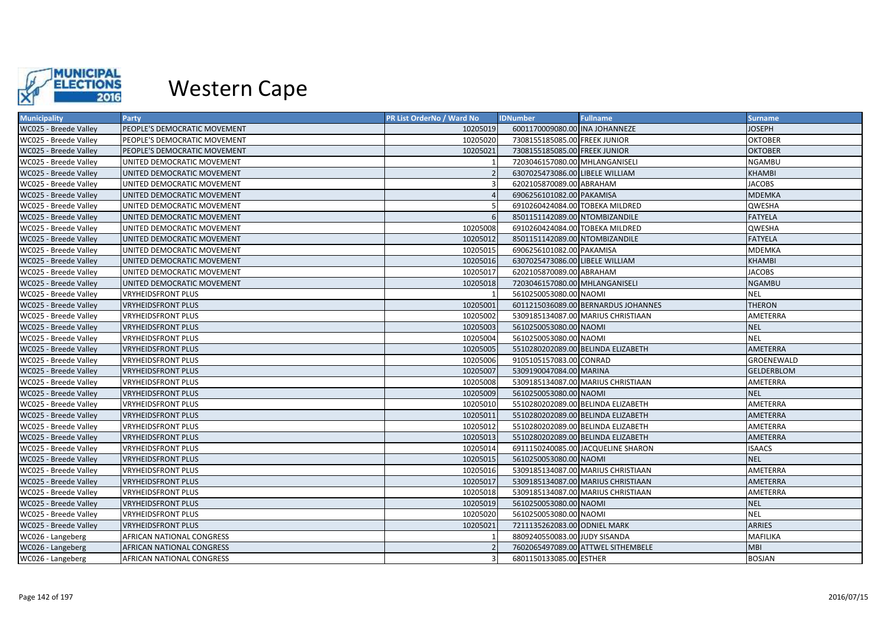

| <b>Municipality</b>   | <b>Party</b>                 | <b>PR List OrderNo / Ward No</b> | <b>IDNumber</b>                 | <b>Fullname</b>                     | <b>Surname</b>    |
|-----------------------|------------------------------|----------------------------------|---------------------------------|-------------------------------------|-------------------|
| WC025 - Breede Valley | PEOPLE'S DEMOCRATIC MOVEMENT | 10205019                         | 6001170009080.00 INA JOHANNEZE  |                                     | <b>JOSEPH</b>     |
| WC025 - Breede Valley | PEOPLE'S DEMOCRATIC MOVEMENT | 10205020                         | 7308155185085.00 FREEK JUNIOR   |                                     | <b>OKTOBER</b>    |
| WC025 - Breede Valley | PEOPLE'S DEMOCRATIC MOVEMENT | 10205021                         | 7308155185085.00 FREEK JUNIOR   |                                     | <b>OKTOBER</b>    |
| WC025 - Breede Valley | UNITED DEMOCRATIC MOVEMENT   |                                  | 7203046157080.00 MHLANGANISELI  |                                     | <b>NGAMBU</b>     |
| WC025 - Breede Valley | UNITED DEMOCRATIC MOVEMENT   |                                  | 6307025473086.00 LIBELE WILLIAM |                                     | <b>KHAMBI</b>     |
| WC025 - Breede Valley | UNITED DEMOCRATIC MOVEMENT   |                                  | 6202105870089.00 ABRAHAM        |                                     | <b>JACOBS</b>     |
| WC025 - Breede Valley | UNITED DEMOCRATIC MOVEMENT   |                                  | 6906256101082.00 PAKAMISA       |                                     | <b>MDEMKA</b>     |
| WC025 - Breede Valley | UNITED DEMOCRATIC MOVEMENT   |                                  | 6910260424084.00 TOBEKA MILDRED |                                     | QWESHA            |
| WC025 - Breede Valley | UNITED DEMOCRATIC MOVEMENT   |                                  | 8501151142089.00 NTOMBIZANDILE  |                                     | <b>FATYELA</b>    |
| WC025 - Breede Valley | UNITED DEMOCRATIC MOVEMENT   | 10205008                         | 6910260424084.00 TOBEKA MILDRED |                                     | QWESHA            |
| WC025 - Breede Valley | UNITED DEMOCRATIC MOVEMENT   | 10205012                         | 8501151142089.00 NTOMBIZANDILE  |                                     | <b>FATYELA</b>    |
| WC025 - Breede Valley | UNITED DEMOCRATIC MOVEMENT   | 10205015                         | 6906256101082.00 PAKAMISA       |                                     | <b>MDEMKA</b>     |
| WC025 - Breede Valley | UNITED DEMOCRATIC MOVEMENT   | 10205016                         | 6307025473086.00 LIBELE WILLIAM |                                     | <b>KHAMBI</b>     |
| WC025 - Breede Valley | UNITED DEMOCRATIC MOVEMENT   | 10205017                         | 6202105870089.00 ABRAHAM        |                                     | <b>JACOBS</b>     |
| WC025 - Breede Valley | UNITED DEMOCRATIC MOVEMENT   | 10205018                         | 7203046157080.00 MHLANGANISELI  |                                     | <b>NGAMBU</b>     |
| WC025 - Breede Valley | <b>VRYHEIDSFRONT PLUS</b>    |                                  | 5610250053080.00 NAOMI          |                                     | <b>NEL</b>        |
| WC025 - Breede Valley | <b>VRYHEIDSFRONT PLUS</b>    | 10205001                         |                                 | 6011215036089.00 BERNARDUS JOHANNES | <b>THERON</b>     |
| WC025 - Breede Valley | <b>VRYHEIDSFRONT PLUS</b>    | 10205002                         |                                 | 5309185134087.00 MARIUS CHRISTIAAN  | AMETERRA          |
| WC025 - Breede Valley | <b>VRYHEIDSFRONT PLUS</b>    | 10205003                         | 5610250053080.00 NAOMI          |                                     | <b>NEL</b>        |
| WC025 - Breede Valley | <b>VRYHEIDSFRONT PLUS</b>    | 10205004                         | 5610250053080.00 NAOMI          |                                     | <b>NEL</b>        |
| WC025 - Breede Valley | VRYHEIDSFRONT PLUS           | 10205005                         |                                 | 5510280202089.00 BELINDA ELIZABETH  | <b>AMETERRA</b>   |
| WC025 - Breede Valley | <b>VRYHEIDSFRONT PLUS</b>    | 10205006                         | 9105105157083.00 CONRAD         |                                     | <b>GROENEWALD</b> |
| WC025 - Breede Valley | <b>VRYHEIDSFRONT PLUS</b>    | 10205007                         | 5309190047084.00 MARINA         |                                     | <b>GELDERBLOM</b> |
| WC025 - Breede Valley | <b>VRYHEIDSFRONT PLUS</b>    | 10205008                         |                                 | 5309185134087.00 MARIUS CHRISTIAAN  | AMETERRA          |
| WC025 - Breede Valley | <b>VRYHEIDSFRONT PLUS</b>    | 10205009                         | 5610250053080.00 NAOMI          |                                     | <b>NEL</b>        |
| WC025 - Breede Valley | VRYHEIDSFRONT PLUS           | 10205010                         |                                 | 5510280202089.00 BELINDA ELIZABETH  | AMETERRA          |
| WC025 - Breede Valley | <b>VRYHEIDSFRONT PLUS</b>    | 10205011                         |                                 | 5510280202089.00 BELINDA ELIZABETH  | AMETERRA          |
| WC025 - Breede Valley | <b>VRYHEIDSFRONT PLUS</b>    | 10205012                         |                                 | 5510280202089.00 BELINDA ELIZABETH  | AMETERRA          |
| WC025 - Breede Valley | <b>VRYHEIDSFRONT PLUS</b>    | 10205013                         |                                 | 5510280202089.00 BELINDA ELIZABETH  | AMETERRA          |
| WC025 - Breede Valley | <b>VRYHEIDSFRONT PLUS</b>    | 10205014                         |                                 | 6911150240085.00 JACQUELINE SHARON  | <b>ISAACS</b>     |
| WC025 - Breede Valley | <b>VRYHEIDSFRONT PLUS</b>    | 10205015                         | 5610250053080.00 NAOMI          |                                     | <b>NEL</b>        |
| WC025 - Breede Valley | VRYHEIDSFRONT PLUS           | 10205016                         |                                 | 5309185134087.00 MARIUS CHRISTIAAN  | AMETERRA          |
| WC025 - Breede Valley | <b>VRYHEIDSFRONT PLUS</b>    | 10205017                         |                                 | 5309185134087.00 MARIUS CHRISTIAAN  | <b>AMETERRA</b>   |
| WC025 - Breede Valley | <b>VRYHEIDSFRONT PLUS</b>    | 10205018                         |                                 | 5309185134087.00 MARIUS CHRISTIAAN  | AMETERRA          |
| WC025 - Breede Valley | <b>VRYHEIDSFRONT PLUS</b>    | 10205019                         | 5610250053080.00 NAOMI          |                                     | <b>NEL</b>        |
| WC025 - Breede Valley | <b>VRYHEIDSFRONT PLUS</b>    | 10205020                         | 5610250053080.00 NAOMI          |                                     | <b>NEL</b>        |
| WC025 - Breede Valley | <b>VRYHEIDSFRONT PLUS</b>    | 10205021                         | 7211135262083.00 ODNIEL MARK    |                                     | <b>ARRIES</b>     |
| WC026 - Langeberg     | AFRICAN NATIONAL CONGRESS    |                                  | 8809240550083.00 JUDY SISANDA   |                                     | MAFILIKA          |
| WC026 - Langeberg     | AFRICAN NATIONAL CONGRESS    |                                  |                                 | 7602065497089.00 ATTWEL SITHEMBELE  | <b>MBI</b>        |
| WC026 - Langeberg     | AFRICAN NATIONAL CONGRESS    |                                  | 6801150133085.00 ESTHER         |                                     | <b>BOSJAN</b>     |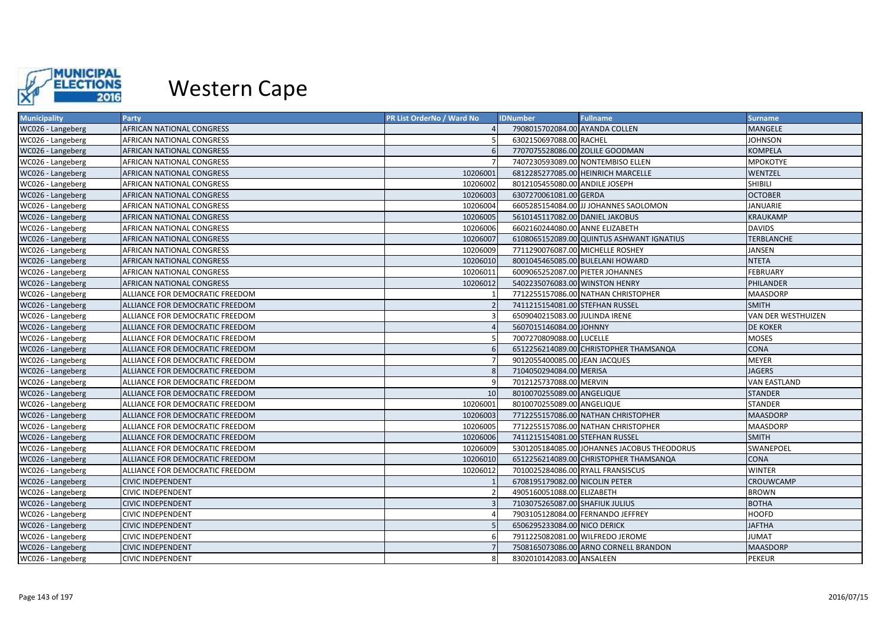

| <b>Municipality</b> | Party                           | <b>PR List OrderNo / Ward No</b> | <b>IDNumber</b>                   | <b>Fullname</b>                             | <b>Surname</b>      |
|---------------------|---------------------------------|----------------------------------|-----------------------------------|---------------------------------------------|---------------------|
| WC026 - Langeberg   | AFRICAN NATIONAL CONGRESS       |                                  | 7908015702084.00 AYANDA COLLEN    |                                             | <b>MANGELE</b>      |
| WC026 - Langeberg   | AFRICAN NATIONAL CONGRESS       |                                  | 6302150697088.00 RACHEL           |                                             | <b>JOHNSON</b>      |
| WC026 - Langeberg   | AFRICAN NATIONAL CONGRESS       |                                  | 7707075528086.00 ZOLILE GOODMAN   |                                             | <b>KOMPELA</b>      |
| WC026 - Langeberg   | AFRICAN NATIONAL CONGRESS       |                                  |                                   | 7407230593089.00 NONTEMBISO ELLEN           | <b>MPOKOTYE</b>     |
| WC026 - Langeberg   | AFRICAN NATIONAL CONGRESS       | 10206001                         |                                   | 6812285277085.00 HEINRICH MARCELLE          | WENTZEL             |
| WC026 - Langeberg   | AFRICAN NATIONAL CONGRESS       | 10206002                         | 8012105455080.00 ANDILE JOSEPH    |                                             | <b>SHIBILI</b>      |
| WC026 - Langeberg   | AFRICAN NATIONAL CONGRESS       | 10206003                         | 6307270061081.00 GERDA            |                                             | <b>OCTOBER</b>      |
| WC026 - Langeberg   | AFRICAN NATIONAL CONGRESS       | 10206004                         |                                   | 6605285154084.00 JJ JOHANNES SAOLOMON       | JANUARIE            |
| WC026 - Langeberg   | AFRICAN NATIONAL CONGRESS       | 10206005                         | 5610145117082.00 DANIEL JAKOBUS   |                                             | <b>KRAUKAMP</b>     |
| WC026 - Langeberg   | AFRICAN NATIONAL CONGRESS       | 10206006                         | 6602160244080.00 ANNE ELIZABETH   |                                             | <b>DAVIDS</b>       |
| WC026 - Langeberg   | AFRICAN NATIONAL CONGRESS       | 10206007                         |                                   | 6108065152089.00 QUINTUS ASHWANT IGNATIUS   | TERBLANCHE          |
| WC026 - Langeberg   | AFRICAN NATIONAL CONGRESS       | 10206009                         | 7711290076087.00 MICHELLE ROSHEY  |                                             | <b>JANSEN</b>       |
| WC026 - Langeberg   | AFRICAN NATIONAL CONGRESS       | 10206010                         |                                   | 8001045465085.00 BULELANI HOWARD            | <b>NTETA</b>        |
| WC026 - Langeberg   | AFRICAN NATIONAL CONGRESS       | 10206011                         | 6009065252087.00 PIETER JOHANNES  |                                             | <b>FEBRUARY</b>     |
| WC026 - Langeberg   | AFRICAN NATIONAL CONGRESS       | 10206012                         | 5402235076083.00 WINSTON HENRY    |                                             | PHILANDER           |
| WC026 - Langeberg   | ALLIANCE FOR DEMOCRATIC FREEDOM |                                  |                                   | 7712255157086.00 NATHAN CHRISTOPHER         | MAASDORP            |
| WC026 - Langeberg   | ALLIANCE FOR DEMOCRATIC FREEDOM |                                  | 7411215154081.00 STEFHAN RUSSEL   |                                             | <b>SMITH</b>        |
| WC026 - Langeberg   | ALLIANCE FOR DEMOCRATIC FREEDOM |                                  | 6509040215083.00 JULINDA IRENE    |                                             | VAN DER WESTHUIZEN  |
| WC026 - Langeberg   | ALLIANCE FOR DEMOCRATIC FREEDOM |                                  | 5607015146084.00 JOHNNY           |                                             | <b>DE KOKER</b>     |
| WC026 - Langeberg   | ALLIANCE FOR DEMOCRATIC FREEDOM |                                  | 7007270809088.00 LUCELLE          |                                             | <b>MOSES</b>        |
| WC026 - Langeberg   | ALLIANCE FOR DEMOCRATIC FREEDOM |                                  |                                   | 6512256214089.00 CHRISTOPHER THAMSANQA      | <b>CONA</b>         |
| WC026 - Langeberg   | ALLIANCE FOR DEMOCRATIC FREEDOM |                                  | 9012055400085.00 JEAN JACQUES     |                                             | <b>MEYER</b>        |
| WC026 - Langeberg   | ALLIANCE FOR DEMOCRATIC FREEDOM |                                  | 7104050294084.00 MERISA           |                                             | <b>JAGERS</b>       |
| WC026 - Langeberg   | ALLIANCE FOR DEMOCRATIC FREEDOM |                                  | 7012125737088.00 MERVIN           |                                             | <b>VAN EASTLAND</b> |
| WC026 - Langeberg   | ALLIANCE FOR DEMOCRATIC FREEDOM | 10                               | 8010070255089.00 ANGELIQUE        |                                             | <b>STANDER</b>      |
| WC026 - Langeberg   | ALLIANCE FOR DEMOCRATIC FREEDOM | 10206001                         | 8010070255089.00 ANGELIQUE        |                                             | <b>STANDER</b>      |
| WC026 - Langeberg   | ALLIANCE FOR DEMOCRATIC FREEDOM | 10206003                         |                                   | 7712255157086.00 NATHAN CHRISTOPHER         | <b>MAASDORP</b>     |
| WC026 - Langeberg   | ALLIANCE FOR DEMOCRATIC FREEDOM | 10206005                         |                                   | 7712255157086.00 NATHAN CHRISTOPHER         | <b>MAASDORP</b>     |
| WC026 - Langeberg   | ALLIANCE FOR DEMOCRATIC FREEDOM | 10206006                         | 7411215154081.00 STEFHAN RUSSEL   |                                             | <b>SMITH</b>        |
| WC026 - Langeberg   | ALLIANCE FOR DEMOCRATIC FREEDOM | 10206009                         |                                   | 5301205184085.00 JOHANNES JACOBUS THEODORUS | SWANEPOEL           |
| WC026 - Langeberg   | ALLIANCE FOR DEMOCRATIC FREEDOM | 10206010                         |                                   | 6512256214089.00 CHRISTOPHER THAMSANQA      | <b>CONA</b>         |
| WC026 - Langeberg   | ALLIANCE FOR DEMOCRATIC FREEDOM | 10206012                         | 7010025284086.00 RYALL FRANSISCUS |                                             | <b>WINTER</b>       |
| WC026 - Langeberg   | <b>CIVIC INDEPENDENT</b>        |                                  | 6708195179082.00 NICOLIN PETER    |                                             | CROUWCAMP           |
| WC026 - Langeberg   | <b>CIVIC INDEPENDENT</b>        |                                  | 4905160051088.00 ELIZABETH        |                                             | <b>BROWN</b>        |
| WC026 - Langeberg   | <b>CIVIC INDEPENDENT</b>        |                                  | 7103075265087.00 SHAFIUK JULIUS   |                                             | <b>BOTHA</b>        |
| WC026 - Langeberg   | <b>CIVIC INDEPENDENT</b>        |                                  |                                   | 7903105128084.00 FERNANDO JEFFREY           | <b>HOOFD</b>        |
| WC026 - Langeberg   | <b>CIVIC INDEPENDENT</b>        |                                  | 6506295233084.00 NICO DERICK      |                                             | <b>JAFTHA</b>       |
| WC026 - Langeberg   | <b>CIVIC INDEPENDENT</b>        |                                  |                                   | 7911225082081.00 WILFREDO JEROME            | <b>JUMAT</b>        |
| WC026 - Langeberg   | <b>CIVIC INDEPENDENT</b>        |                                  |                                   | 7508165073086.00 ARNO CORNELL BRANDON       | <b>MAASDORP</b>     |
| WC026 - Langeberg   | <b>CIVIC INDEPENDENT</b>        |                                  | 8302010142083.00 ANSALEEN         |                                             | <b>PEKEUR</b>       |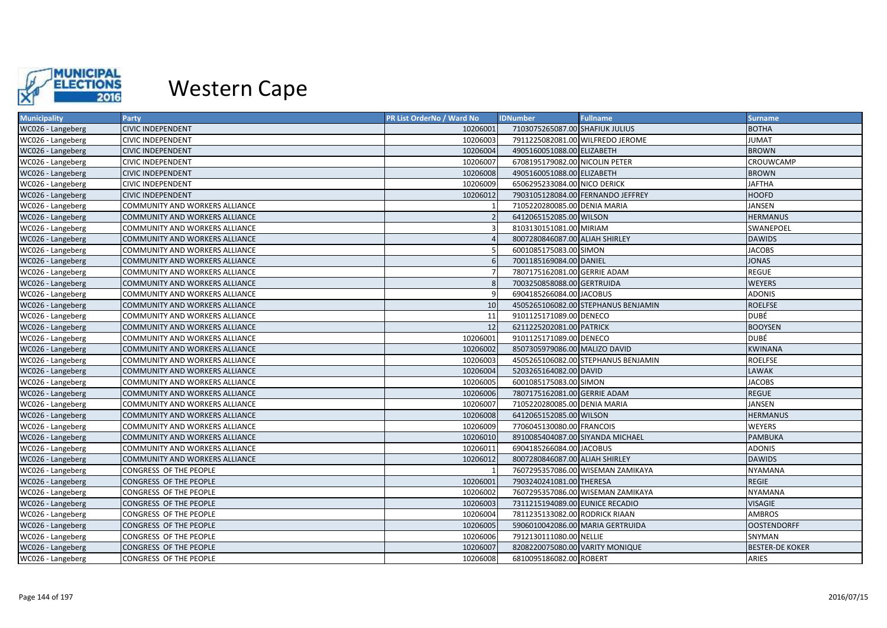

| <b>Municipality</b> | Party                                 | PR List OrderNo / Ward No | <b>IDNumber</b>                  | <b>Fullname</b>                     | <b>Surname</b>         |
|---------------------|---------------------------------------|---------------------------|----------------------------------|-------------------------------------|------------------------|
| WC026 - Langeberg   | <b>CIVIC INDEPENDENT</b>              | 10206001                  | 7103075265087.00 SHAFIUK JULIUS  |                                     | <b>BOTHA</b>           |
| WC026 - Langeberg   | <b>CIVIC INDEPENDENT</b>              | 10206003                  |                                  | 7911225082081.00 WILFREDO JEROME    | <b>JUMAT</b>           |
| WC026 - Langeberg   | <b>CIVIC INDEPENDENT</b>              | 10206004                  | 4905160051088.00 ELIZABETH       |                                     | <b>BROWN</b>           |
| WC026 - Langeberg   | <b>CIVIC INDEPENDENT</b>              | 10206007                  | 6708195179082.00 NICOLIN PETER   |                                     | CROUWCAMP              |
| WC026 - Langeberg   | <b>CIVIC INDEPENDENT</b>              | 10206008                  | 4905160051088.00 ELIZABETH       |                                     | <b>BROWN</b>           |
| WC026 - Langeberg   | <b>CIVIC INDEPENDENT</b>              | 10206009                  | 6506295233084.00 NICO DERICK     |                                     | <b>JAFTHA</b>          |
| WC026 - Langeberg   | <b>CIVIC INDEPENDENT</b>              | 10206012                  |                                  | 7903105128084.00 FERNANDO JEFFREY   | <b>HOOFD</b>           |
| WC026 - Langeberg   | COMMUNITY AND WORKERS ALLIANCE        |                           | 7105220280085.00 DENIA MARIA     |                                     | <b>JANSEN</b>          |
| WC026 - Langeberg   | COMMUNITY AND WORKERS ALLIANCE        |                           | 6412065152085.00 WILSON          |                                     | <b>HERMANUS</b>        |
| WC026 - Langeberg   | COMMUNITY AND WORKERS ALLIANCE        |                           | 8103130151081.00 MIRIAM          |                                     | SWANEPOEL              |
| WC026 - Langeberg   | COMMUNITY AND WORKERS ALLIANCE        |                           | 8007280846087.00 ALIAH SHIRLEY   |                                     | <b>DAWIDS</b>          |
| WC026 - Langeberg   | COMMUNITY AND WORKERS ALLIANCE        |                           | 6001085175083.00 SIMON           |                                     | <b>JACOBS</b>          |
| WC026 - Langeberg   | <b>COMMUNITY AND WORKERS ALLIANCE</b> |                           | 7001185169084.00 DANIEL          |                                     | <b>JONAS</b>           |
| WC026 - Langeberg   | COMMUNITY AND WORKERS ALLIANCE        |                           | 7807175162081.00 GERRIE ADAM     |                                     | <b>REGUE</b>           |
| WC026 - Langeberg   | COMMUNITY AND WORKERS ALLIANCE        |                           | 7003250858088.00 GERTRUIDA       |                                     | <b>WEYERS</b>          |
| WC026 - Langeberg   | COMMUNITY AND WORKERS ALLIANCE        |                           | 6904185266084.00 JACOBUS         |                                     | <b>ADONIS</b>          |
| WC026 - Langeberg   | <b>COMMUNITY AND WORKERS ALLIANCE</b> | 10 <sup>1</sup>           |                                  | 4505265106082.00 STEPHANUS BENJAMIN | <b>ROELFSE</b>         |
| WC026 - Langeberg   | COMMUNITY AND WORKERS ALLIANCE        | 11                        | 9101125171089.00 DENECO          |                                     | <b>DUBÉ</b>            |
| WC026 - Langeberg   | <b>COMMUNITY AND WORKERS ALLIANCE</b> | 12                        | 6211225202081.00 PATRICK         |                                     | <b>BOOYSEN</b>         |
| WC026 - Langeberg   | COMMUNITY AND WORKERS ALLIANCE        | 10206001                  | 9101125171089.00 DENECO          |                                     | <b>DUBÉ</b>            |
| WC026 - Langeberg   | COMMUNITY AND WORKERS ALLIANCE        | 10206002                  | 8507305979086.00 MALIZO DAVID    |                                     | <b>KWINANA</b>         |
| WC026 - Langeberg   | COMMUNITY AND WORKERS ALLIANCE        | 10206003                  |                                  | 4505265106082.00 STEPHANUS BENJAMIN | <b>ROELFSE</b>         |
| WC026 - Langeberg   | <b>COMMUNITY AND WORKERS ALLIANCE</b> | 10206004                  | 5203265164082.00 DAVID           |                                     | <b>LAWAK</b>           |
| WC026 - Langeberg   | COMMUNITY AND WORKERS ALLIANCE        | 10206005                  | 6001085175083.00 SIMON           |                                     | <b>JACOBS</b>          |
| WC026 - Langeberg   | COMMUNITY AND WORKERS ALLIANCE        | 10206006                  | 7807175162081.00 GERRIE ADAM     |                                     | <b>REGUE</b>           |
| WC026 - Langeberg   | COMMUNITY AND WORKERS ALLIANCE        | 10206007                  | 7105220280085.00 DENIA MARIA     |                                     | <b>JANSEN</b>          |
| WC026 - Langeberg   | <b>COMMUNITY AND WORKERS ALLIANCE</b> | 10206008                  | 6412065152085.00 WILSON          |                                     | <b>HERMANUS</b>        |
| WC026 - Langeberg   | COMMUNITY AND WORKERS ALLIANCE        | 10206009                  | 7706045130080.00 FRANCOIS        |                                     | WEYERS                 |
| WC026 - Langeberg   | <b>COMMUNITY AND WORKERS ALLIANCE</b> | 10206010                  | 8910085404087.00 SIYANDA MICHAEL |                                     | PAMBUKA                |
| WC026 - Langeberg   | COMMUNITY AND WORKERS ALLIANCE        | 10206011                  | 6904185266084.00 JACOBUS         |                                     | <b>ADONIS</b>          |
| WC026 - Langeberg   | COMMUNITY AND WORKERS ALLIANCE        | 10206012                  | 8007280846087.00 ALIAH SHIRLEY   |                                     | <b>DAWIDS</b>          |
| WC026 - Langeberg   | CONGRESS OF THE PEOPLE                |                           |                                  | 7607295357086.00 WISEMAN ZAMIKAYA   | <b>NYAMANA</b>         |
| WC026 - Langeberg   | CONGRESS OF THE PEOPLE                | 10206001                  | 7903240241081.00 THERESA         |                                     | REGIE                  |
| WC026 - Langeberg   | CONGRESS OF THE PEOPLE                | 10206002                  |                                  | 7607295357086.00 WISEMAN ZAMIKAYA   | <b>NYAMANA</b>         |
| WC026 - Langeberg   | <b>CONGRESS OF THE PEOPLE</b>         | 10206003                  | 7311215194089.00 EUNICE RECADIO  |                                     | <b>VISAGIE</b>         |
| WC026 - Langeberg   | CONGRESS OF THE PEOPLE                | 10206004                  | 7811235133082.00 RODRICK RIAAN   |                                     | <b>AMBROS</b>          |
| WC026 - Langeberg   | CONGRESS OF THE PEOPLE                | 10206005                  |                                  | 5906010042086.00 MARIA GERTRUIDA    | <b>OOSTENDORFF</b>     |
| WC026 - Langeberg   | CONGRESS OF THE PEOPLE                | 10206006                  | 7912130111080.00 NELLIE          |                                     | SNYMAN                 |
| WC026 - Langeberg   | CONGRESS OF THE PEOPLE                | 10206007                  | 8208220075080.00 VARITY MONIQUE  |                                     | <b>BESTER-DE KOKER</b> |
| WC026 - Langeberg   | <b>CONGRESS OF THE PEOPLE</b>         | 10206008                  | 6810095186082.00 ROBERT          |                                     | ARIES                  |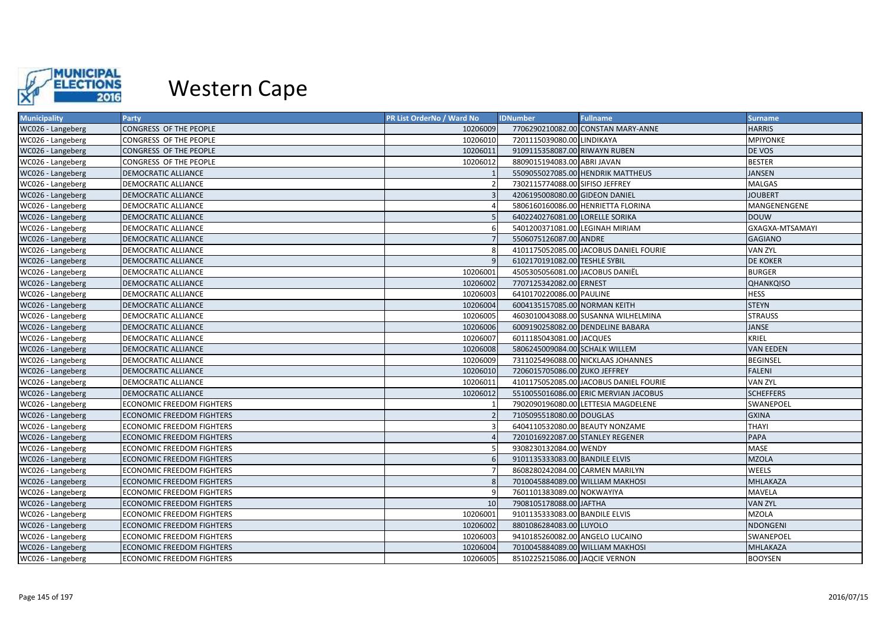

| <b>Municipality</b> | Party                            | <b>PR List OrderNo / Ward No</b> | <b>IDNumber</b>                  | <b>Fullname</b>                        | <b>Surname</b>   |
|---------------------|----------------------------------|----------------------------------|----------------------------------|----------------------------------------|------------------|
| WC026 - Langeberg   | <b>CONGRESS OF THE PEOPLE</b>    | 10206009                         |                                  | 7706290210082.00 CONSTAN MARY-ANNE     | <b>HARRIS</b>    |
| WC026 - Langeberg   | CONGRESS OF THE PEOPLE           | 10206010                         | 7201115039080.00 LINDIKAYA       |                                        | <b>MPIYONKE</b>  |
| WC026 - Langeberg   | CONGRESS OF THE PEOPLE           | 10206011                         | 9109115358087.00 RIWAYN RUBEN    |                                        | <b>DE VOS</b>    |
| WC026 - Langeberg   | CONGRESS OF THE PEOPLE           | 10206012                         | 8809015194083.00 ABRI JAVAN      |                                        | <b>BESTER</b>    |
| WC026 - Langeberg   | <b>DEMOCRATIC ALLIANCE</b>       |                                  |                                  | 5509055027085.00 HENDRIK MATTHEUS      | <b>JANSEN</b>    |
| WC026 - Langeberg   | DEMOCRATIC ALLIANCE              |                                  | 7302115774088.00 SIFISO JEFFREY  |                                        | <b>MALGAS</b>    |
| WC026 - Langeberg   | <b>DEMOCRATIC ALLIANCE</b>       |                                  | 4206195008080.00 GIDEON DANIEL   |                                        | <b>JOUBERT</b>   |
| WC026 - Langeberg   | DEMOCRATIC ALLIANCE              |                                  |                                  | 5806160160086.00 HENRIETTA FLORINA     | MANGENENGENE     |
| WC026 - Langeberg   | <b>DEMOCRATIC ALLIANCE</b>       |                                  | 6402240276081.00 LORELLE SORIKA  |                                        | <b>DOUW</b>      |
| WC026 - Langeberg   | DEMOCRATIC ALLIANCE              |                                  | 5401200371081.00 LEGINAH MIRIAM  |                                        | GXAGXA-MTSAMAYI  |
| WC026 - Langeberg   | DEMOCRATIC ALLIANCE              |                                  | 5506075126087.00 ANDRE           |                                        | <b>GAGIANO</b>   |
| WC026 - Langeberg   | DEMOCRATIC ALLIANCE              |                                  |                                  | 4101175052085.00 JACOBUS DANIEL FOURIE | <b>VAN ZYL</b>   |
| WC026 - Langeberg   | <b>DEMOCRATIC ALLIANCE</b>       |                                  | 6102170191082.00 TESHLE SYBIL    |                                        | <b>DE KOKER</b>  |
| WC026 - Langeberg   | <b>DEMOCRATIC ALLIANCE</b>       | 10206001                         | 4505305056081.00 JACOBUS DANIËL  |                                        | <b>BURGER</b>    |
| WC026 - Langeberg   | <b>DEMOCRATIC ALLIANCE</b>       | 10206002                         | 7707125342082.00 ERNEST          |                                        | <b>QHANKQISO</b> |
| WC026 - Langeberg   | DEMOCRATIC ALLIANCE              | 10206003                         | 6410170220086.00 PAULINE         |                                        | <b>HESS</b>      |
| WC026 - Langeberg   | <b>DEMOCRATIC ALLIANCE</b>       | 10206004                         | 6004135157085.00 NORMAN KEITH    |                                        | <b>STEYN</b>     |
| WC026 - Langeberg   | DEMOCRATIC ALLIANCE              | 10206005                         |                                  | 4603010043088.00 SUSANNA WILHELMINA    | <b>STRAUSS</b>   |
| WC026 - Langeberg   | <b>DEMOCRATIC ALLIANCE</b>       | 10206006                         |                                  | 6009190258082.00 DENDELINE BABARA      | <b>JANSE</b>     |
| WC026 - Langeberg   | DEMOCRATIC ALLIANCE              | 10206007                         | 6011185043081.00 JACQUES         |                                        | <b>KRIEL</b>     |
| WC026 - Langeberg   | <b>DEMOCRATIC ALLIANCE</b>       | 10206008                         | 5806245009084.00 SCHALK WILLEM   |                                        | <b>VAN EEDEN</b> |
| WC026 - Langeberg   | DEMOCRATIC ALLIANCE              | 10206009                         |                                  | 7311025496088.00 NICKLAAS JOHANNES     | <b>BEGINSEL</b>  |
| WC026 - Langeberg   | <b>DEMOCRATIC ALLIANCE</b>       | 10206010                         | 7206015705086.00 ZUKO JEFFREY    |                                        | <b>FALENI</b>    |
| WC026 - Langeberg   | <b>DEMOCRATIC ALLIANCE</b>       | 10206011                         |                                  | 4101175052085.00 JACOBUS DANIEL FOURIE | <b>VAN ZYL</b>   |
| WC026 - Langeberg   | <b>DEMOCRATIC ALLIANCE</b>       | 10206012                         |                                  | 5510055016086.00 ERIC MERVIAN JACOBUS  | <b>SCHEFFERS</b> |
| WC026 - Langeberg   | <b>ECONOMIC FREEDOM FIGHTERS</b> |                                  |                                  | 7902090196080.00 LETTESIA MAGDELENE    | SWANEPOEL        |
| WC026 - Langeberg   | <b>ECONOMIC FREEDOM FIGHTERS</b> |                                  | 7105095518080.00 DOUGLAS         |                                        | <b>GXINA</b>     |
| WC026 - Langeberg   | <b>ECONOMIC FREEDOM FIGHTERS</b> |                                  | 6404110532080.00 BEAUTY NONZAME  |                                        | <b>THAYI</b>     |
| WC026 - Langeberg   | <b>ECONOMIC FREEDOM FIGHTERS</b> |                                  | 7201016922087.00 STANLEY REGENER |                                        | PAPA             |
| WC026 - Langeberg   | <b>ECONOMIC FREEDOM FIGHTERS</b> |                                  | 9308230132084.00 WENDY           |                                        | <b>MASE</b>      |
| WC026 - Langeberg   | <b>ECONOMIC FREEDOM FIGHTERS</b> |                                  | 9101135333083.00 BANDILE ELVIS   |                                        | <b>MZOLA</b>     |
| WC026 - Langeberg   | <b>ECONOMIC FREEDOM FIGHTERS</b> |                                  | 8608280242084.00 CARMEN MARILYN  |                                        | WEELS            |
| WC026 - Langeberg   | <b>ECONOMIC FREEDOM FIGHTERS</b> |                                  |                                  | 7010045884089.00 WILLIAM MAKHOSI       | <b>MHLAKAZA</b>  |
| WC026 - Langeberg   | <b>ECONOMIC FREEDOM FIGHTERS</b> |                                  | 7601101383089.00 NOKWAYIYA       |                                        | <b>MAVELA</b>    |
| WC026 - Langeberg   | <b>ECONOMIC FREEDOM FIGHTERS</b> | 10                               | 7908105178088.00 JAFTHA          |                                        | <b>VAN ZYL</b>   |
| WC026 - Langeberg   | <b>ECONOMIC FREEDOM FIGHTERS</b> | 10206001                         | 9101135333083.00 BANDILE ELVIS   |                                        | <b>MZOLA</b>     |
| WC026 - Langeberg   | <b>ECONOMIC FREEDOM FIGHTERS</b> | 10206002                         | 8801086284083.00 LUYOLO          |                                        | <b>NDONGENI</b>  |
| WC026 - Langeberg   | <b>ECONOMIC FREEDOM FIGHTERS</b> | 10206003                         | 9410185260082.00 ANGELO LUCAINO  |                                        | SWANEPOEL        |
| WC026 - Langeberg   | <b>ECONOMIC FREEDOM FIGHTERS</b> | 10206004                         | 7010045884089.00 WILLIAM MAKHOSI |                                        | MHLAKAZA         |
| WC026 - Langeberg   | <b>ECONOMIC FREEDOM FIGHTERS</b> | 10206005                         | 8510225215086.00 JAQCIE VERNON   |                                        | <b>BOOYSEN</b>   |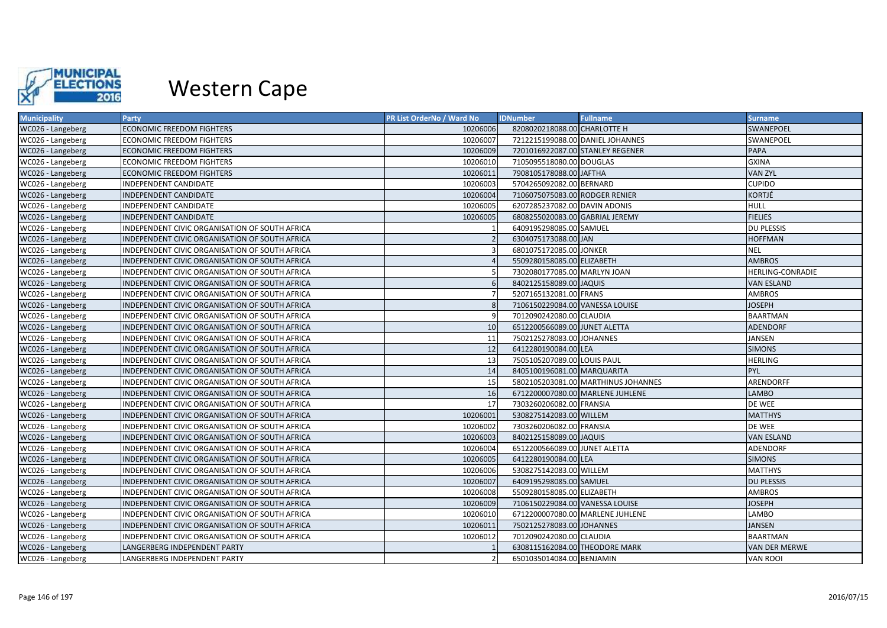

| <b>Municipality</b> | Party                                          | PR List OrderNo / Ward No | <b>IDNumber</b>                  | <b>Fullname</b>                     | Surname,             |
|---------------------|------------------------------------------------|---------------------------|----------------------------------|-------------------------------------|----------------------|
| WC026 - Langeberg   | <b>ECONOMIC FREEDOM FIGHTERS</b>               | 10206006                  | 8208020218088.00 CHARLOTTE H     |                                     | SWANEPOEL            |
| WC026 - Langeberg   | <b>ECONOMIC FREEDOM FIGHTERS</b>               | 10206007                  | 7212215199088.00 DANIEL JOHANNES |                                     | SWANEPOEL            |
| WC026 - Langeberg   | <b>ECONOMIC FREEDOM FIGHTERS</b>               | 10206009                  | 7201016922087.00 STANLEY REGENER |                                     | PAPA                 |
| WC026 - Langeberg   | <b>ECONOMIC FREEDOM FIGHTERS</b>               | 10206010                  | 7105095518080.00 DOUGLAS         |                                     | <b>GXINA</b>         |
| WC026 - Langeberg   | <b>ECONOMIC FREEDOM FIGHTERS</b>               | 10206011                  | 7908105178088.00 JAFTHA          |                                     | <b>VAN ZYL</b>       |
| WC026 - Langeberg   | INDEPENDENT CANDIDATE                          | 10206003                  | 5704265092082.00 BERNARD         |                                     | <b>CUPIDO</b>        |
| WC026 - Langeberg   | <b>INDEPENDENT CANDIDATE</b>                   | 10206004                  | 7106075075083.00 RODGER RENIER   |                                     | <b>KORTJÉ</b>        |
| WC026 - Langeberg   | INDEPENDENT CANDIDATE                          | 10206005                  | 6207285237082.00 DAVIN ADONIS    |                                     | <b>HULL</b>          |
| WC026 - Langeberg   | <b>INDEPENDENT CANDIDATE</b>                   | 10206005                  | 6808255020083.00 GABRIAL JEREMY  |                                     | <b>FIELIES</b>       |
| WC026 - Langeberg   | INDEPENDENT CIVIC ORGANISATION OF SOUTH AFRICA |                           | 6409195298085.00 SAMUEL          |                                     | <b>DU PLESSIS</b>    |
| WC026 - Langeberg   | INDEPENDENT CIVIC ORGANISATION OF SOUTH AFRICA |                           | 6304075173088.00 JAN             |                                     | <b>HOFFMAN</b>       |
| WC026 - Langeberg   | INDEPENDENT CIVIC ORGANISATION OF SOUTH AFRICA |                           | 6801075172085.00 JONKER          |                                     | <b>NEL</b>           |
| WC026 - Langeberg   | INDEPENDENT CIVIC ORGANISATION OF SOUTH AFRICA |                           | 5509280158085.00 ELIZABETH       |                                     | <b>AMBROS</b>        |
| WC026 - Langeberg   | INDEPENDENT CIVIC ORGANISATION OF SOUTH AFRICA |                           | 7302080177085.00 MARLYN JOAN     |                                     | HERLING-CONRADIE     |
| WC026 - Langeberg   | INDEPENDENT CIVIC ORGANISATION OF SOUTH AFRICA |                           | 8402125158089.00 JAQUIS          |                                     | <b>VAN ESLAND</b>    |
| WC026 - Langeberg   | INDEPENDENT CIVIC ORGANISATION OF SOUTH AFRICA |                           | 5207165132081.00 FRANS           |                                     | <b>AMBROS</b>        |
| WC026 - Langeberg   | INDEPENDENT CIVIC ORGANISATION OF SOUTH AFRICA |                           | 7106150229084.00 VANESSA LOUISE  |                                     | <b>JOSEPH</b>        |
| WC026 - Langeberg   | INDEPENDENT CIVIC ORGANISATION OF SOUTH AFRICA |                           | 7012090242080.00 CLAUDIA         |                                     | <b>BAARTMAN</b>      |
| WC026 - Langeberg   | INDEPENDENT CIVIC ORGANISATION OF SOUTH AFRICA | 10                        | 6512200566089.00 JUNET ALETTA    |                                     | <b>ADENDORF</b>      |
| WC026 - Langeberg   | INDEPENDENT CIVIC ORGANISATION OF SOUTH AFRICA | 11                        | 7502125278083.00 JOHANNES        |                                     | <b>JANSEN</b>        |
| WC026 - Langeberg   | INDEPENDENT CIVIC ORGANISATION OF SOUTH AFRICA | 12                        | 6412280190084.00 LEA             |                                     | <b>SIMONS</b>        |
| WC026 - Langeberg   | INDEPENDENT CIVIC ORGANISATION OF SOUTH AFRICA | 13                        | 7505105207089.00 LOUIS PAUL      |                                     | <b>HERLING</b>       |
| WC026 - Langeberg   | INDEPENDENT CIVIC ORGANISATION OF SOUTH AFRICA | 14                        | 8405100196081.00 MARQUARITA      |                                     | PYL                  |
| WC026 - Langeberg   | INDEPENDENT CIVIC ORGANISATION OF SOUTH AFRICA | 15                        |                                  | 5802105203081.00 MARTHINUS JOHANNES | ARENDORFF            |
| WC026 - Langeberg   | INDEPENDENT CIVIC ORGANISATION OF SOUTH AFRICA | 16                        |                                  | 6712200007080.00 MARLENE JUHLENE    | <b>LAMBO</b>         |
| WC026 - Langeberg   | INDEPENDENT CIVIC ORGANISATION OF SOUTH AFRICA | 17                        | 7303260206082.00 FRANSIA         |                                     | DE WEE               |
| WC026 - Langeberg   | INDEPENDENT CIVIC ORGANISATION OF SOUTH AFRICA | 10206001                  | 5308275142083.00 WILLEM          |                                     | <b>MATTHYS</b>       |
| WC026 - Langeberg   | INDEPENDENT CIVIC ORGANISATION OF SOUTH AFRICA | 10206002                  | 7303260206082.00 FRANSIA         |                                     | DE WEE               |
| WC026 - Langeberg   | INDEPENDENT CIVIC ORGANISATION OF SOUTH AFRICA | 10206003                  | 8402125158089.00 JAQUIS          |                                     | <b>VAN ESLAND</b>    |
| WC026 - Langeberg   | INDEPENDENT CIVIC ORGANISATION OF SOUTH AFRICA | 10206004                  | 6512200566089.00 JUNET ALETTA    |                                     | ADENDORF             |
| WC026 - Langeberg   | INDEPENDENT CIVIC ORGANISATION OF SOUTH AFRICA | 10206005                  | 6412280190084.00 LEA             |                                     | <b>SIMONS</b>        |
| WC026 - Langeberg   | INDEPENDENT CIVIC ORGANISATION OF SOUTH AFRICA | 10206006                  | 5308275142083.00 WILLEM          |                                     | <b>MATTHYS</b>       |
| WC026 - Langeberg   | INDEPENDENT CIVIC ORGANISATION OF SOUTH AFRICA | 10206007                  | 6409195298085.00 SAMUEL          |                                     | <b>DU PLESSIS</b>    |
| WC026 - Langeberg   | INDEPENDENT CIVIC ORGANISATION OF SOUTH AFRICA | 10206008                  | 5509280158085.00 ELIZABETH       |                                     | <b>AMBROS</b>        |
| WC026 - Langeberg   | INDEPENDENT CIVIC ORGANISATION OF SOUTH AFRICA | 10206009                  | 7106150229084.00 VANESSA LOUISE  |                                     | <b>JOSEPH</b>        |
| WC026 - Langeberg   | INDEPENDENT CIVIC ORGANISATION OF SOUTH AFRICA | 10206010                  |                                  | 6712200007080.00 MARLENE JUHLENE    | <b>LAMBO</b>         |
| WC026 - Langeberg   | INDEPENDENT CIVIC ORGANISATION OF SOUTH AFRICA | 10206011                  | 7502125278083.00 JOHANNES        |                                     | <b>JANSEN</b>        |
| WC026 - Langeberg   | INDEPENDENT CIVIC ORGANISATION OF SOUTH AFRICA | 10206012                  | 7012090242080.00 CLAUDIA         |                                     | <b>BAARTMAN</b>      |
| WC026 - Langeberg   | LANGERBERG INDEPENDENT PARTY                   |                           | 6308115162084.00 THEODORE MARK   |                                     | <b>VAN DER MERWE</b> |
| WC026 - Langeberg   | LANGERBERG INDEPENDENT PARTY                   |                           | 6501035014084.00 BENJAMIN        |                                     | <b>VAN ROOI</b>      |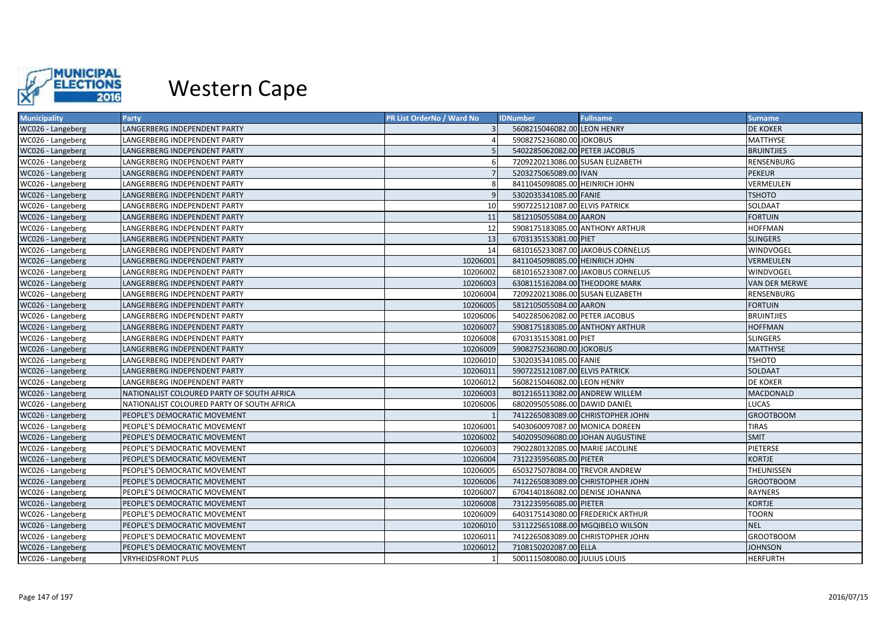

| <b>Municipality</b> | <b>Party</b>                               | <b>PR List OrderNo / Ward No</b> | <b>IDNumber</b>                  | <b>Fullname</b>                   | Surname              |
|---------------------|--------------------------------------------|----------------------------------|----------------------------------|-----------------------------------|----------------------|
| WC026 - Langeberg   | LANGERBERG INDEPENDENT PARTY               |                                  | 5608215046082.00 LEON HENRY      |                                   | <b>DE KOKER</b>      |
| WC026 - Langeberg   | LANGERBERG INDEPENDENT PARTY               |                                  | 5908275236080.00 JOKOBUS         |                                   | <b>MATTHYSE</b>      |
| WC026 - Langeberg   | LANGERBERG INDEPENDENT PARTY               |                                  | 5402285062082.00 PETER JACOBUS   |                                   | <b>BRUINTJIES</b>    |
| WC026 - Langeberg   | LANGERBERG INDEPENDENT PARTY               |                                  | 7209220213086.00 SUSAN ELIZABETH |                                   | RENSENBURG           |
| WC026 - Langeberg   | LANGERBERG INDEPENDENT PARTY               |                                  | 5203275065089.00 IVAN            |                                   | <b>PEKEUR</b>        |
| WC026 - Langeberg   | LANGERBERG INDEPENDENT PARTY               |                                  | 8411045098085.00 HEINRICH JOHN   |                                   | VERMEULEN            |
| WC026 - Langeberg   | LANGERBERG INDEPENDENT PARTY               | $\mathbf{q}$                     | 5302035341085.00 FANIE           |                                   | <b>TSHOTO</b>        |
| WC026 - Langeberg   | LANGERBERG INDEPENDENT PARTY               | 10                               | 5907225121087.00 ELVIS PATRICK   |                                   | SOLDAAT              |
| WC026 - Langeberg   | LANGERBERG INDEPENDENT PARTY               | 11                               | 5812105055084.00 AARON           |                                   | <b>FORTUIN</b>       |
| WC026 - Langeberg   | LANGERBERG INDEPENDENT PARTY               | 12                               | 5908175183085.00 ANTHONY ARTHUR  |                                   | <b>HOFFMAN</b>       |
| WC026 - Langeberg   | LANGERBERG INDEPENDENT PARTY               | 13                               | 6703135153081.00 PIET            |                                   | <b>SLINGERS</b>      |
| WC026 - Langeberg   | LANGERBERG INDEPENDENT PARTY               | 14                               |                                  | 6810165233087.00 JAKOBUS CORNELUS | WINDVOGEL            |
| WC026 - Langeberg   | LANGERBERG INDEPENDENT PARTY               | 10206001                         | 8411045098085.00 HEINRICH JOHN   |                                   | <b>VERMEULEN</b>     |
| WC026 - Langeberg   | LANGERBERG INDEPENDENT PARTY               | 10206002                         |                                  | 6810165233087.00 JAKOBUS CORNELUS | WINDVOGEL            |
| WC026 - Langeberg   | LANGERBERG INDEPENDENT PARTY               | 10206003                         | 6308115162084.00 THEODORE MARK   |                                   | <b>VAN DER MERWE</b> |
| WC026 - Langeberg   | LANGERBERG INDEPENDENT PARTY               | 10206004                         | 7209220213086.00 SUSAN ELIZABETH |                                   | RENSENBURG           |
| WC026 - Langeberg   | LANGERBERG INDEPENDENT PARTY               | 10206005                         | 5812105055084.00 AARON           |                                   | <b>FORTUIN</b>       |
| WC026 - Langeberg   | LANGERBERG INDEPENDENT PARTY               | 10206006                         | 5402285062082.00 PETER JACOBUS   |                                   | <b>BRUINTJIES</b>    |
| WC026 - Langeberg   | LANGERBERG INDEPENDENT PARTY               | 10206007                         | 5908175183085.00 ANTHONY ARTHUR  |                                   | <b>HOFFMAN</b>       |
| WC026 - Langeberg   | LANGERBERG INDEPENDENT PARTY               | 10206008                         | 6703135153081.00 PIET            |                                   | <b>SLINGERS</b>      |
| WC026 - Langeberg   | LANGERBERG INDEPENDENT PARTY               | 10206009                         | 5908275236080.00 JOKOBUS         |                                   | <b>MATTHYSE</b>      |
| WC026 - Langeberg   | LANGERBERG INDEPENDENT PARTY               | 10206010                         | 5302035341085.00 FANIE           |                                   | <b>TSHOTO</b>        |
| WC026 - Langeberg   | LANGERBERG INDEPENDENT PARTY               | 10206011                         | 5907225121087.00 ELVIS PATRICK   |                                   | <b>SOLDAAT</b>       |
| WC026 - Langeberg   | LANGERBERG INDEPENDENT PARTY               | 10206012                         | 5608215046082.00 LEON HENRY      |                                   | <b>DE KOKER</b>      |
| WC026 - Langeberg   | NATIONALIST COLOURED PARTY OF SOUTH AFRICA | 10206003                         | 8012165113082.00 ANDREW WILLEM   |                                   | <b>MACDONALD</b>     |
| WC026 - Langeberg   | NATIONALIST COLOURED PARTY OF SOUTH AFRICA | 10206006                         | 6802095055086.00 DAWID DANIËL    |                                   | <b>LUCAS</b>         |
| WC026 - Langeberg   | PEOPLE'S DEMOCRATIC MOVEMENT               |                                  |                                  | 7412265083089.00 CHRISTOPHER JOHN | <b>GROOTBOOM</b>     |
| WC026 - Langeberg   | PEOPLE'S DEMOCRATIC MOVEMENT               | 10206001                         | 5403060097087.00 MONICA DOREEN   |                                   | TIRAS                |
| WC026 - Langeberg   | PEOPLE'S DEMOCRATIC MOVEMENT               | 10206002                         |                                  | 5402095096080.00 JOHAN AUGUSTINE  | <b>SMIT</b>          |
| WC026 - Langeberg   | PEOPLE'S DEMOCRATIC MOVEMENT               | 10206003                         | 7902280132085.00 MARIE JACOLINE  |                                   | PIETERSE             |
| WC026 - Langeberg   | PEOPLE'S DEMOCRATIC MOVEMENT               | 10206004                         | 7312235956085.00 PIETER          |                                   | <b>KORTJE</b>        |
| WC026 - Langeberg   | PEOPLE'S DEMOCRATIC MOVEMENT               | 10206005                         | 6503275078084.00 TREVOR ANDREW   |                                   | THEUNISSEN           |
| WC026 - Langeberg   | PEOPLE'S DEMOCRATIC MOVEMENT               | 10206006                         |                                  | 7412265083089.00 CHRISTOPHER JOHN | <b>GROOTBOOM</b>     |
| WC026 - Langeberg   | PEOPLE'S DEMOCRATIC MOVEMENT               | 10206007                         | 6704140186082.00 DENISE JOHANNA  |                                   | <b>RAYNERS</b>       |
| WC026 - Langeberg   | PEOPLE'S DEMOCRATIC MOVEMENT               | 10206008                         | 7312235956085.00 PIETER          |                                   | <b>KORTJE</b>        |
| WC026 - Langeberg   | PEOPLE'S DEMOCRATIC MOVEMENT               | 10206009                         |                                  | 6403175143080.00 FREDERICK ARTHUR | <b>TOORN</b>         |
| WC026 - Langeberg   | PEOPLE'S DEMOCRATIC MOVEMENT               | 10206010                         |                                  | 5311225651088.00 MGQIBELO WILSON  | <b>NEL</b>           |
| WC026 - Langeberg   | PEOPLE'S DEMOCRATIC MOVEMENT               | 10206011                         |                                  | 7412265083089.00 CHRISTOPHER JOHN | <b>GROOTBOOM</b>     |
| WC026 - Langeberg   | PEOPLE'S DEMOCRATIC MOVEMENT               | 10206012                         | 7108150202087.00 ELLA            |                                   | <b>JOHNSON</b>       |
| WC026 - Langeberg   | <b>VRYHEIDSFRONT PLUS</b>                  |                                  | 5001115080080.00 JULIUS LOUIS    |                                   | <b>HERFURTH</b>      |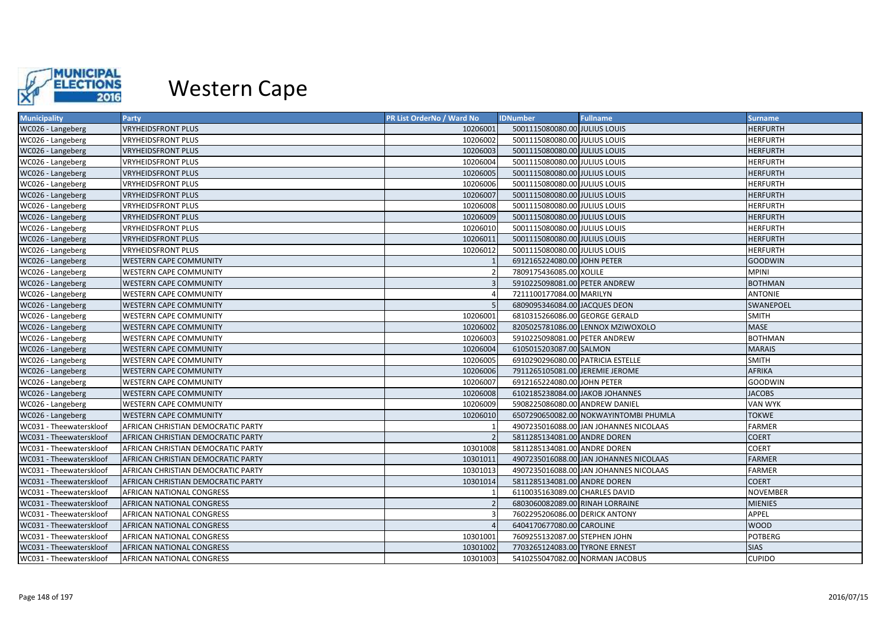

| <b>Municipality</b>     | <b>Party</b>                       | <b>PR List OrderNo / Ward No</b> | <b>IDNumber</b>                   | <b>Fullname</b>                        | <b>Surname</b>   |
|-------------------------|------------------------------------|----------------------------------|-----------------------------------|----------------------------------------|------------------|
| WC026 - Langeberg       | <b>VRYHEIDSFRONT PLUS</b>          | 10206001                         | 5001115080080.00 JULIUS LOUIS     |                                        | <b>HERFURTH</b>  |
| WC026 - Langeberg       | <b>VRYHEIDSFRONT PLUS</b>          | 10206002                         | 5001115080080.00 JULIUS LOUIS     |                                        | <b>HERFURTH</b>  |
| WC026 - Langeberg       | <b>VRYHEIDSFRONT PLUS</b>          | 10206003                         | 5001115080080.00 JULIUS LOUIS     |                                        | <b>HERFURTH</b>  |
| WC026 - Langeberg       | VRYHEIDSFRONT PLUS                 | 10206004                         | 5001115080080.00 JULIUS LOUIS     |                                        | <b>HERFURTH</b>  |
| WC026 - Langeberg       | <b>VRYHEIDSFRONT PLUS</b>          | 10206005                         | 5001115080080.00 JULIUS LOUIS     |                                        | <b>HERFURTH</b>  |
| WC026 - Langeberg       | <b>VRYHEIDSFRONT PLUS</b>          | 10206006                         | 5001115080080.00 JULIUS LOUIS     |                                        | <b>HERFURTH</b>  |
| WC026 - Langeberg       | <b>VRYHEIDSFRONT PLUS</b>          | 10206007                         | 5001115080080.00 JULIUS LOUIS     |                                        | <b>HERFURTH</b>  |
| WC026 - Langeberg       | <b>VRYHEIDSFRONT PLUS</b>          | 10206008                         | 5001115080080.00 JULIUS LOUIS     |                                        | <b>HERFURTH</b>  |
| WC026 - Langeberg       | <b>VRYHEIDSFRONT PLUS</b>          | 10206009                         | 5001115080080.00 JULIUS LOUIS     |                                        | <b>HERFURTH</b>  |
| WC026 - Langeberg       | VRYHEIDSFRONT PLUS                 | 10206010                         | 5001115080080.00 JULIUS LOUIS     |                                        | <b>HERFURTH</b>  |
| WC026 - Langeberg       | <b>VRYHEIDSFRONT PLUS</b>          | 10206011                         | 5001115080080.00 JULIUS LOUIS     |                                        | <b>HERFURTH</b>  |
| WC026 - Langeberg       | <b>VRYHEIDSFRONT PLUS</b>          | 10206012                         | 5001115080080.00 JULIUS LOUIS     |                                        | <b>HERFURTH</b>  |
| WC026 - Langeberg       | <b>WESTERN CAPE COMMUNITY</b>      |                                  | 6912165224080.00 JOHN PETER       |                                        | <b>GOODWIN</b>   |
| WC026 - Langeberg       | <b>WESTERN CAPE COMMUNITY</b>      |                                  | 7809175436085.00 XOLILE           |                                        | <b>MPINI</b>     |
| WC026 - Langeberg       | WESTERN CAPE COMMUNITY             |                                  | 5910225098081.00 PETER ANDREW     |                                        | <b>BOTHMAN</b>   |
| WC026 - Langeberg       | <b>WESTERN CAPE COMMUNITY</b>      |                                  | 7211100177084.00 MARILYN          |                                        | <b>ANTONIE</b>   |
| WC026 - Langeberg       | <b>WESTERN CAPE COMMUNITY</b>      |                                  | 6809095346084.00 JACQUES DEON     |                                        | <b>SWANEPOEL</b> |
| WC026 - Langeberg       | WESTERN CAPE COMMUNITY             | 10206001                         | 6810315266086.00 GEORGE GERALD    |                                        | <b>SMITH</b>     |
| WC026 - Langeberg       | <b>WESTERN CAPE COMMUNITY</b>      | 10206002                         |                                   | 8205025781086.00 LENNOX MZIWOXOLO      | <b>MASE</b>      |
| WC026 - Langeberg       | <b>WESTERN CAPE COMMUNITY</b>      | 10206003                         | 5910225098081.00 PETER ANDREW     |                                        | <b>BOTHMAN</b>   |
| WC026 - Langeberg       | WESTERN CAPE COMMUNITY             | 10206004                         | 6105015203087.00 SALMON           |                                        | <b>MARAIS</b>    |
| WC026 - Langeberg       | <b>WESTERN CAPE COMMUNITY</b>      | 10206005                         | 6910290296080.00 PATRICIA ESTELLE |                                        | <b>SMITH</b>     |
| WC026 - Langeberg       | <b>WESTERN CAPE COMMUNITY</b>      | 10206006                         | 7911265105081.00 JEREMIE JEROME   |                                        | <b>AFRIKA</b>    |
| WC026 - Langeberg       | <b>WESTERN CAPE COMMUNITY</b>      | 10206007                         | 6912165224080.00 JOHN PETER       |                                        | <b>GOODWIN</b>   |
| WC026 - Langeberg       | <b>WESTERN CAPE COMMUNITY</b>      | 10206008                         | 6102185238084.00 JAKOB JOHANNES   |                                        | <b>JACOBS</b>    |
| WC026 - Langeberg       | WESTERN CAPE COMMUNITY             | 10206009                         | 5908225086080.00 ANDREW DANIEL    |                                        | <b>VAN WYK</b>   |
| WC026 - Langeberg       | <b>WESTERN CAPE COMMUNITY</b>      | 10206010                         |                                   | 6507290650082.00 NOKWAYINTOMBI PHUMLA  | <b>TOKWE</b>     |
| WC031 - Theewaterskloof | AFRICAN CHRISTIAN DEMOCRATIC PARTY |                                  |                                   | 4907235016088.00 JAN JOHANNES NICOLAAS | <b>FARMER</b>    |
| WC031 - Theewaterskloof | AFRICAN CHRISTIAN DEMOCRATIC PARTY |                                  | 5811285134081.00 ANDRE DOREN      |                                        | <b>COERT</b>     |
| WC031 - Theewaterskloof | AFRICAN CHRISTIAN DEMOCRATIC PARTY | 10301008                         | 5811285134081.00 ANDRE DOREN      |                                        | <b>COERT</b>     |
| WC031 - Theewaterskloof | AFRICAN CHRISTIAN DEMOCRATIC PARTY | 10301011                         |                                   | 4907235016088.00 JAN JOHANNES NICOLAAS | <b>FARMER</b>    |
| WC031 - Theewaterskloof | AFRICAN CHRISTIAN DEMOCRATIC PARTY | 10301013                         |                                   | 4907235016088.00 JAN JOHANNES NICOLAAS | <b>FARMER</b>    |
| WC031 - Theewaterskloof | AFRICAN CHRISTIAN DEMOCRATIC PARTY | 10301014                         | 5811285134081.00 ANDRE DOREN      |                                        | <b>COERT</b>     |
| WC031 - Theewaterskloof | AFRICAN NATIONAL CONGRESS          |                                  | 6110035163089.00 CHARLES DAVID    |                                        | <b>NOVEMBER</b>  |
| WC031 - Theewaterskloof | AFRICAN NATIONAL CONGRESS          |                                  | 6803060082089.00 RINAH LORRAINE   |                                        | <b>MIENIES</b>   |
| WC031 - Theewaterskloof | AFRICAN NATIONAL CONGRESS          |                                  | 7602295206086.00 DERICK ANTONY    |                                        | <b>APPEL</b>     |
| WC031 - Theewaterskloof | AFRICAN NATIONAL CONGRESS          |                                  | 6404170677080.00 CAROLINE         |                                        | <b>WOOD</b>      |
| WC031 - Theewaterskloof | AFRICAN NATIONAL CONGRESS          | 10301001                         | 7609255132087.00 STEPHEN JOHN     |                                        | POTBERG          |
| WC031 - Theewaterskloof | AFRICAN NATIONAL CONGRESS          | 10301002                         | 7703265124083.00 TYRONE ERNEST    |                                        | <b>SIAS</b>      |
| WC031 - Theewaterskloof | AFRICAN NATIONAL CONGRESS          | 10301003                         | 5410255047082.00 NORMAN JACOBUS   |                                        | <b>CUPIDO</b>    |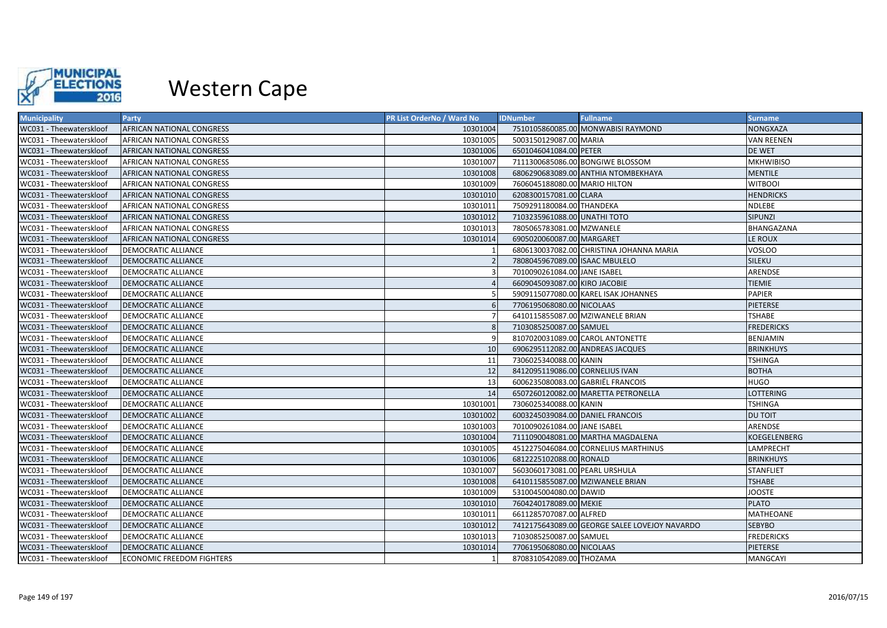

| <b>Municipality</b>     | Party                            | <b>PR List OrderNo / Ward No</b> | <b>IDNumber</b>                   | <b>Fullname</b>                               | <b>Surname</b>      |
|-------------------------|----------------------------------|----------------------------------|-----------------------------------|-----------------------------------------------|---------------------|
| WC031 - Theewaterskloof | <b>AFRICAN NATIONAL CONGRESS</b> | 10301004                         |                                   | 7510105860085.00 MONWABISI RAYMOND            | <b>NONGXAZA</b>     |
| WC031 - Theewaterskloof | <b>AFRICAN NATIONAL CONGRESS</b> | 10301005                         | 5003150129087.00 MARIA            |                                               | <b>VAN REENEN</b>   |
| WC031 - Theewaterskloof | <b>AFRICAN NATIONAL CONGRESS</b> | 10301006                         | 6501046041084.00 PETER            |                                               | DE WET              |
| WC031 - Theewaterskloof | <b>AFRICAN NATIONAL CONGRESS</b> | 10301007                         |                                   | 7111300685086.00 BONGIWE BLOSSOM              | <b>MKHWIBISO</b>    |
| WC031 - Theewaterskloof | AFRICAN NATIONAL CONGRESS        | 10301008                         |                                   | 6806290683089.00 ANTHIA NTOMBEKHAYA           | <b>MENTILE</b>      |
| WC031 - Theewaterskloof | <b>AFRICAN NATIONAL CONGRESS</b> | 10301009                         | 7606045188080.00 MARIO HILTON     |                                               | <b>WITBOOI</b>      |
| WC031 - Theewaterskloof | <b>AFRICAN NATIONAL CONGRESS</b> | 10301010                         | 6208300157081.00 CLARA            |                                               | <b>HENDRICKS</b>    |
| WC031 - Theewaterskloof | <b>AFRICAN NATIONAL CONGRESS</b> | 10301011                         | 7509291180084.00 THANDEKA         |                                               | <b>NDLEBE</b>       |
| WC031 - Theewaterskloof | AFRICAN NATIONAL CONGRESS        | 10301012                         | 7103235961088.00 UNATHI TOTO      |                                               | <b>SIPUNZI</b>      |
| WC031 - Theewaterskloof | <b>AFRICAN NATIONAL CONGRESS</b> | 10301013                         | 7805065783081.00 MZWANELE         |                                               | <b>BHANGAZANA</b>   |
| WC031 - Theewaterskloof | <b>AFRICAN NATIONAL CONGRESS</b> | 10301014                         | 6905020060087.00 MARGARET         |                                               | LE ROUX             |
| WC031 - Theewaterskloof | <b>DEMOCRATIC ALLIANCE</b>       |                                  |                                   | 6806130037082.00 CHRISTINA JOHANNA MARIA      | <b>VOSLOO</b>       |
| WC031 - Theewaterskloof | <b>DEMOCRATIC ALLIANCE</b>       |                                  | 7808045967089.00 ISAAC MBULELO    |                                               | <b>SILEKU</b>       |
| WC031 - Theewaterskloof | <b>DEMOCRATIC ALLIANCE</b>       |                                  | 7010090261084.00 JANE ISABEL      |                                               | <b>ARENDSE</b>      |
| WC031 - Theewaterskloof | <b>DEMOCRATIC ALLIANCE</b>       |                                  | 6609045093087.00 KIRO JACOBIE     |                                               | <b>TIEMIE</b>       |
| WC031 - Theewaterskloof | <b>DEMOCRATIC ALLIANCE</b>       |                                  |                                   | 5909115077080.00 KAREL ISAK JOHANNES          | <b>PAPIER</b>       |
| WC031 - Theewaterskloof | <b>DEMOCRATIC ALLIANCE</b>       |                                  | 7706195068080.00 NICOLAAS         |                                               | <b>PIETERSE</b>     |
| WC031 - Theewaterskloof | <b>DEMOCRATIC ALLIANCE</b>       |                                  | 6410115855087.00 MZIWANELE BRIAN  |                                               | <b>TSHABE</b>       |
| WC031 - Theewaterskloof | <b>DEMOCRATIC ALLIANCE</b>       |                                  | 7103085250087.00 SAMUEL           |                                               | <b>FREDERICKS</b>   |
| WC031 - Theewaterskloof | <b>DEMOCRATIC ALLIANCE</b>       |                                  | 8107020031089.00 CAROL ANTONETTE  |                                               | <b>BENJAMIN</b>     |
| WC031 - Theewaterskloof | <b>DEMOCRATIC ALLIANCE</b>       | 10                               | 6906295112082.00 ANDREAS JACQUES  |                                               | <b>BRINKHUYS</b>    |
| WC031 - Theewaterskloof | <b>DEMOCRATIC ALLIANCE</b>       | 11                               | 7306025340088.00 KANIN            |                                               | <b>TSHINGA</b>      |
| WC031 - Theewaterskloof | <b>DEMOCRATIC ALLIANCE</b>       | 12                               | 8412095119086.00 CORNELIUS IVAN   |                                               | <b>BOTHA</b>        |
| WC031 - Theewaterskloof | <b>DEMOCRATIC ALLIANCE</b>       | 13                               | 6006235080083.00 GABRIËL FRANCOIS |                                               | <b>HUGO</b>         |
| WC031 - Theewaterskloof | <b>DEMOCRATIC ALLIANCE</b>       | 14                               |                                   | 6507260120082.00 MARETTA PETRONELLA           | <b>LOTTERING</b>    |
| WC031 - Theewaterskloof | <b>DEMOCRATIC ALLIANCE</b>       | 10301001                         | 7306025340088.00 KANIN            |                                               | <b>TSHINGA</b>      |
| WC031 - Theewaterskloof | <b>DEMOCRATIC ALLIANCE</b>       | 10301002                         | 6003245039084.00 DANIEL FRANCOIS  |                                               | <b>DU TOIT</b>      |
| WC031 - Theewaterskloof | <b>DEMOCRATIC ALLIANCE</b>       | 10301003                         | 7010090261084.00 JANE ISABEL      |                                               | ARENDSE             |
| WC031 - Theewaterskloof | <b>DEMOCRATIC ALLIANCE</b>       | 10301004                         |                                   | 7111090048081.00 MARTHA MAGDALENA             | <b>KOEGELENBERG</b> |
| WC031 - Theewaterskloof | <b>DEMOCRATIC ALLIANCE</b>       | 10301005                         |                                   | 4512275046084.00 CORNELIUS MARTHINUS          | LAMPRECHT           |
| WC031 - Theewaterskloof | <b>DEMOCRATIC ALLIANCE</b>       | 10301006                         | 6812225102088.00 RONALD           |                                               | <b>BRINKHUYS</b>    |
| WC031 - Theewaterskloof | <b>DEMOCRATIC ALLIANCE</b>       | 10301007                         | 5603060173081.00 PEARL URSHULA    |                                               | <b>STANFLIET</b>    |
| WC031 - Theewaterskloof | <b>DEMOCRATIC ALLIANCE</b>       | 10301008                         | 6410115855087.00 MZIWANELE BRIAN  |                                               | <b>TSHABE</b>       |
| WC031 - Theewaterskloof | <b>DEMOCRATIC ALLIANCE</b>       | 10301009                         | 5310045004080.00 DAWID            |                                               | <b>JOOSTE</b>       |
| WC031 - Theewaterskloof | <b>DEMOCRATIC ALLIANCE</b>       | 10301010                         | 7604240178089.00 MEKIE            |                                               | <b>PLATO</b>        |
| WC031 - Theewaterskloof | <b>DEMOCRATIC ALLIANCE</b>       | 10301011                         | 6611285707087.00 ALFRED           |                                               | <b>MATHEOANE</b>    |
| WC031 - Theewaterskloof | <b>DEMOCRATIC ALLIANCE</b>       | 10301012                         |                                   | 7412175643089.00 GEORGE SALEE LOVEJOY NAVARDO | <b>SEBYBO</b>       |
| WC031 - Theewaterskloof | <b>DEMOCRATIC ALLIANCE</b>       | 10301013                         | 7103085250087.00 SAMUEL           |                                               | <b>FREDERICKS</b>   |
| WC031 - Theewaterskloof | <b>DEMOCRATIC ALLIANCE</b>       | 10301014                         | 7706195068080.00 NICOLAAS         |                                               | <b>PIETERSE</b>     |
| WC031 - Theewaterskloof | <b>ECONOMIC FREEDOM FIGHTERS</b> |                                  | 8708310542089.00 THOZAMA          |                                               | <b>MANGCAYI</b>     |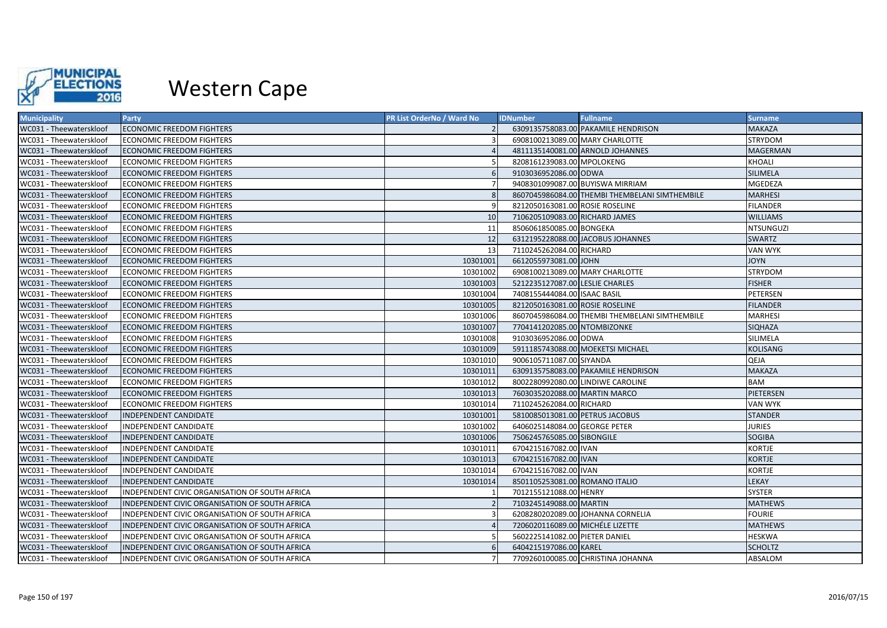

| <b>Municipality</b>     | Party                                          | <b>PR List OrderNo / Ward No</b> | <b>IDNumber</b>                  | <b>Fullname</b>                                | Surname          |
|-------------------------|------------------------------------------------|----------------------------------|----------------------------------|------------------------------------------------|------------------|
| WC031 - Theewaterskloof | <b>ECONOMIC FREEDOM FIGHTERS</b>               |                                  |                                  | 6309135758083.00 PAKAMILE HENDRISON            | <b>MAKAZA</b>    |
| WC031 - Theewaterskloof | <b>ECONOMIC FREEDOM FIGHTERS</b>               |                                  | 6908100213089.00 MARY CHARLOTTE  |                                                | STRYDOM          |
| WC031 - Theewaterskloof | <b>ECONOMIC FREEDOM FIGHTERS</b>               |                                  |                                  | 4811135140081.00 ARNOLD JOHANNES               | <b>MAGERMAN</b>  |
| WC031 - Theewaterskloof | <b>ECONOMIC FREEDOM FIGHTERS</b>               |                                  | 8208161239083.00 MPOLOKENG       |                                                | <b>KHOALI</b>    |
| WC031 - Theewaterskloof | <b>ECONOMIC FREEDOM FIGHTERS</b>               |                                  | 9103036952086.00 ODWA            |                                                | SILIMELA         |
| WC031 - Theewaterskloof | <b>ECONOMIC FREEDOM FIGHTERS</b>               |                                  |                                  | 9408301099087.00 BUYISWA MIRRIAM               | MGEDEZA          |
| WC031 - Theewaterskloof | <b>ECONOMIC FREEDOM FIGHTERS</b>               |                                  |                                  | 8607045986084.00 THEMBI THEMBELANI SIMTHEMBILE | <b>MARHESI</b>   |
| WC031 - Theewaterskloof | <b>ECONOMIC FREEDOM FIGHTERS</b>               |                                  | 8212050163081.00 ROSIE ROSELINE  |                                                | <b>FILANDER</b>  |
| WC031 - Theewaterskloof | <b>ECONOMIC FREEDOM FIGHTERS</b>               | 10                               | 7106205109083.00 RICHARD JAMES   |                                                | <b>WILLIAMS</b>  |
| WC031 - Theewaterskloof | <b>ECONOMIC FREEDOM FIGHTERS</b>               | 11                               | 8506061850085.00 BONGEKA         |                                                | <b>NTSUNGUZI</b> |
| WC031 - Theewaterskloof | <b>ECONOMIC FREEDOM FIGHTERS</b>               | 12                               |                                  | 6312195228088.00 JACOBUS JOHANNES              | SWARTZ           |
| WC031 - Theewaterskloof | <b>ECONOMIC FREEDOM FIGHTERS</b>               | 13                               | 7110245262084.00 RICHARD         |                                                | <b>VAN WYK</b>   |
| WC031 - Theewaterskloof | <b>ECONOMIC FREEDOM FIGHTERS</b>               | 10301001                         | 6612055973081.00 JOHN            |                                                | <b>JOYN</b>      |
| WC031 - Theewaterskloof | <b>ECONOMIC FREEDOM FIGHTERS</b>               | 10301002                         | 6908100213089.00 MARY CHARLOTTE  |                                                | <b>STRYDOM</b>   |
| WC031 - Theewaterskloof | <b>ECONOMIC FREEDOM FIGHTERS</b>               | 10301003                         | 5212235127087.00 LESLIE CHARLES  |                                                | <b>FISHER</b>    |
| WC031 - Theewaterskloof | <b>ECONOMIC FREEDOM FIGHTERS</b>               | 10301004                         | 7408155444084.00 ISAAC BASIL     |                                                | PETERSEN         |
| WC031 - Theewaterskloof | <b>ECONOMIC FREEDOM FIGHTERS</b>               | 10301005                         | 8212050163081.00 ROSIE ROSELINE  |                                                | <b>FILANDER</b>  |
| WC031 - Theewaterskloof | <b>ECONOMIC FREEDOM FIGHTERS</b>               | 10301006                         |                                  | 8607045986084.00 THEMBI THEMBELANI SIMTHEMBILE | <b>MARHESI</b>   |
| WC031 - Theewaterskloof | <b>ECONOMIC FREEDOM FIGHTERS</b>               | 10301007                         | 7704141202085.00 NTOMBIZONKE     |                                                | <b>SIQHAZA</b>   |
| WC031 - Theewaterskloof | <b>ECONOMIC FREEDOM FIGHTERS</b>               | 10301008                         | 9103036952086.00 ODWA            |                                                | <b>SILIMELA</b>  |
| WC031 - Theewaterskloof | <b>ECONOMIC FREEDOM FIGHTERS</b>               | 10301009                         |                                  | 5911185743088.00 MOEKETSI MICHAEL              | KOLISANG         |
| WC031 - Theewaterskloof | <b>ECONOMIC FREEDOM FIGHTERS</b>               | 10301010                         | 9006105711087.00 SIYANDA         |                                                | QEJA             |
| WC031 - Theewaterskloof | <b>ECONOMIC FREEDOM FIGHTERS</b>               | 10301011                         |                                  | 6309135758083.00 PAKAMILE HENDRISON            | <b>MAKAZA</b>    |
| WC031 - Theewaterskloof | <b>ECONOMIC FREEDOM FIGHTERS</b>               | 10301012                         |                                  | 8002280992080.00 LINDIWE CAROLINE              | <b>BAM</b>       |
| WC031 - Theewaterskloof | <b>ECONOMIC FREEDOM FIGHTERS</b>               | 10301013                         | 7603035202088.00 MARTIN MARCO    |                                                | PIETERSEN        |
| WC031 - Theewaterskloof | <b>ECONOMIC FREEDOM FIGHTERS</b>               | 10301014                         | 7110245262084.00 RICHARD         |                                                | <b>VAN WYK</b>   |
| WC031 - Theewaterskloof | INDEPENDENT CANDIDATE                          | 10301001                         | 5810085013081.00 PETRUS JACOBUS  |                                                | <b>STANDER</b>   |
| WC031 - Theewaterskloof | INDEPENDENT CANDIDATE                          | 10301002                         | 6406025148084.00 GEORGE PETER    |                                                | <b>JURIES</b>    |
| WC031 - Theewaterskloof | <b>INDEPENDENT CANDIDATE</b>                   | 10301006                         | 7506245765085.00 SIBONGILE       |                                                | <b>SOGIBA</b>    |
| WC031 - Theewaterskloof | INDEPENDENT CANDIDATE                          | 10301011                         | 6704215167082.00 IVAN            |                                                | <b>KORTJE</b>    |
| WC031 - Theewaterskloof | INDEPENDENT CANDIDATE                          | 10301013                         | 6704215167082.00 IVAN            |                                                | <b>KORTJE</b>    |
| WC031 - Theewaterskloof | INDEPENDENT CANDIDATE                          | 10301014                         | 6704215167082.00 IVAN            |                                                | <b>KORTJE</b>    |
| WC031 - Theewaterskloof | INDEPENDENT CANDIDATE                          | 10301014                         | 8501105253081.00 ROMANO ITALIO   |                                                | LEKAY            |
| WC031 - Theewaterskloof | INDEPENDENT CIVIC ORGANISATION OF SOUTH AFRICA |                                  | 7012155121088.00 HENRY           |                                                | <b>SYSTER</b>    |
| WC031 - Theewaterskloof | INDEPENDENT CIVIC ORGANISATION OF SOUTH AFRICA |                                  | 7103245149088.00 MARTIN          |                                                | <b>MATHEWS</b>   |
| WC031 - Theewaterskloof | INDEPENDENT CIVIC ORGANISATION OF SOUTH AFRICA |                                  |                                  | 6208280202089.00 JOHANNA CORNELIA              | <b>FOURIE</b>    |
| WC031 - Theewaterskloof | INDEPENDENT CIVIC ORGANISATION OF SOUTH AFRICA |                                  | 7206020116089.00 MICHÉLE LIZETTE |                                                | <b>MATHEWS</b>   |
| WC031 - Theewaterskloof | INDEPENDENT CIVIC ORGANISATION OF SOUTH AFRICA |                                  | 5602225141082.00 PIETER DANIEL   |                                                | <b>HESKWA</b>    |
| WC031 - Theewaterskloof | INDEPENDENT CIVIC ORGANISATION OF SOUTH AFRICA |                                  | 6404215197086.00 KAREL           |                                                | <b>SCHOLTZ</b>   |
| WC031 - Theewaterskloof | INDEPENDENT CIVIC ORGANISATION OF SOUTH AFRICA |                                  |                                  | 7709260100085.00 CHRISTINA JOHANNA             | ABSALOM          |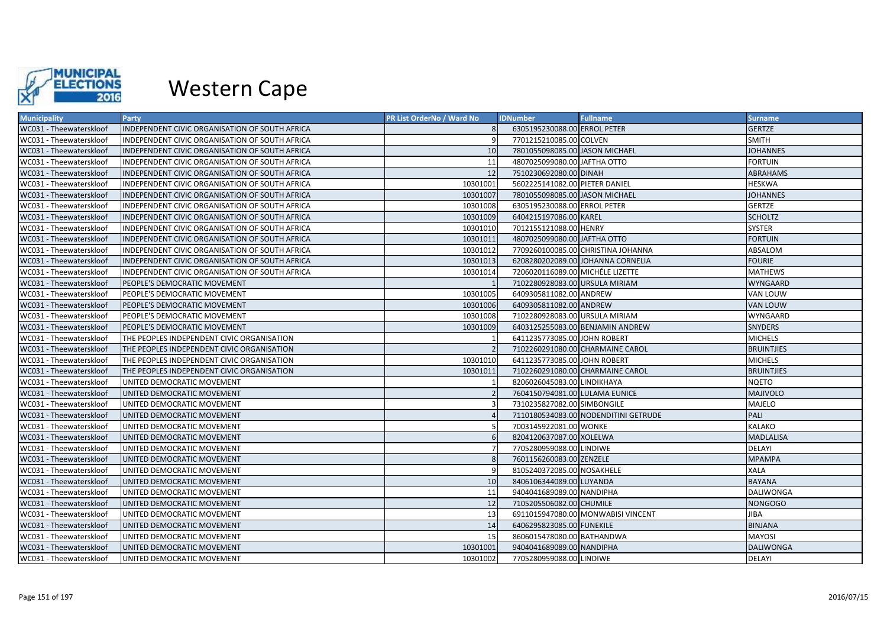

| <b>Municipality</b>     | Party                                          | <b>PR List OrderNo / Ward No</b> | <b>IDNumber</b>                  | <b>Fullname</b>                      | Surname           |
|-------------------------|------------------------------------------------|----------------------------------|----------------------------------|--------------------------------------|-------------------|
| WC031 - Theewaterskloof | INDEPENDENT CIVIC ORGANISATION OF SOUTH AFRICA | 8 <sup>1</sup>                   | 6305195230088.00 ERROL PETER     |                                      | <b>GERTZE</b>     |
| WC031 - Theewaterskloof | INDEPENDENT CIVIC ORGANISATION OF SOUTH AFRICA |                                  | 7701215210085.00 COLVEN          |                                      | <b>SMITH</b>      |
| WC031 - Theewaterskloof | INDEPENDENT CIVIC ORGANISATION OF SOUTH AFRICA | 10                               | 7801055098085.00 JASON MICHAEL   |                                      | <b>JOHANNES</b>   |
| WC031 - Theewaterskloof | INDEPENDENT CIVIC ORGANISATION OF SOUTH AFRICA | 11                               | 4807025099080.00 JAFTHA OTTO     |                                      | <b>FORTUIN</b>    |
| WC031 - Theewaterskloof | INDEPENDENT CIVIC ORGANISATION OF SOUTH AFRICA | 12                               | 7510230692080.00 DINAH           |                                      | ABRAHAMS          |
| WC031 - Theewaterskloof | INDEPENDENT CIVIC ORGANISATION OF SOUTH AFRICA | 10301001                         | 5602225141082.00 PIETER DANIEL   |                                      | <b>HESKWA</b>     |
| WC031 - Theewaterskloof | INDEPENDENT CIVIC ORGANISATION OF SOUTH AFRICA | 10301007                         | 7801055098085.00 JASON MICHAEL   |                                      | <b>JOHANNES</b>   |
| WC031 - Theewaterskloof | INDEPENDENT CIVIC ORGANISATION OF SOUTH AFRICA | 10301008                         | 6305195230088.00 ERROL PETER     |                                      | <b>GERTZE</b>     |
| WC031 - Theewaterskloof | INDEPENDENT CIVIC ORGANISATION OF SOUTH AFRICA | 10301009                         | 6404215197086.00 KAREL           |                                      | <b>SCHOLTZ</b>    |
| WC031 - Theewaterskloof | INDEPENDENT CIVIC ORGANISATION OF SOUTH AFRICA | 10301010                         | 7012155121088.00 HENRY           |                                      | <b>SYSTER</b>     |
| WC031 - Theewaterskloof | INDEPENDENT CIVIC ORGANISATION OF SOUTH AFRICA | 10301011                         | 4807025099080.00 JAFTHA OTTO     |                                      | <b>FORTUIN</b>    |
| WC031 - Theewaterskloof | INDEPENDENT CIVIC ORGANISATION OF SOUTH AFRICA | 10301012                         |                                  | 7709260100085.00 CHRISTINA JOHANNA   | ABSALOM           |
| WC031 - Theewaterskloof | INDEPENDENT CIVIC ORGANISATION OF SOUTH AFRICA | 10301013                         |                                  | 6208280202089.00 JOHANNA CORNELIA    | <b>FOURIE</b>     |
| WC031 - Theewaterskloof | INDEPENDENT CIVIC ORGANISATION OF SOUTH AFRICA | 10301014                         | 7206020116089.00 MICHÉLE LIZETTE |                                      | <b>MATHEWS</b>    |
| WC031 - Theewaterskloof | PEOPLE'S DEMOCRATIC MOVEMENT                   |                                  | 7102280928083.00 URSULA MIRIAM   |                                      | <b>WYNGAARD</b>   |
| WC031 - Theewaterskloof | PEOPLE'S DEMOCRATIC MOVEMENT                   | 10301005                         | 6409305811082.00 ANDREW          |                                      | <b>VAN LOUW</b>   |
| WC031 - Theewaterskloof | PEOPLE'S DEMOCRATIC MOVEMENT                   | 10301006                         | 6409305811082.00 ANDREW          |                                      | <b>VAN LOUW</b>   |
| WC031 - Theewaterskloof | PEOPLE'S DEMOCRATIC MOVEMENT                   | 10301008                         | 7102280928083.00 URSULA MIRIAM   |                                      | <b>WYNGAARD</b>   |
| WC031 - Theewaterskloof | PEOPLE'S DEMOCRATIC MOVEMENT                   | 10301009                         |                                  | 6403125255083.00 BENJAMIN ANDREW     | <b>SNYDERS</b>    |
| WC031 - Theewaterskloof | THE PEOPLES INDEPENDENT CIVIC ORGANISATION     |                                  | 6411235773085.00 JOHN ROBERT     |                                      | <b>MICHELS</b>    |
| WC031 - Theewaterskloof | THE PEOPLES INDEPENDENT CIVIC ORGANISATION     |                                  |                                  | 7102260291080.00 CHARMAINE CAROL     | <b>BRUINTJIES</b> |
| WC031 - Theewaterskloof | THE PEOPLES INDEPENDENT CIVIC ORGANISATION     | 10301010                         | 6411235773085.00 JOHN ROBERT     |                                      | <b>MICHELS</b>    |
| WC031 - Theewaterskloof | THE PEOPLES INDEPENDENT CIVIC ORGANISATION     | 10301011                         |                                  | 7102260291080.00 CHARMAINE CAROL     | <b>BRUINTJIES</b> |
| WC031 - Theewaterskloof | UNITED DEMOCRATIC MOVEMENT                     |                                  | 8206026045083.00 LINDIKHAYA      |                                      | <b>NOETO</b>      |
| WC031 - Theewaterskloof | UNITED DEMOCRATIC MOVEMENT                     |                                  | 7604150794081.00 LULAMA EUNICE   |                                      | MAJIVOLO          |
| WC031 - Theewaterskloof | UNITED DEMOCRATIC MOVEMENT                     |                                  | 7310235827082.00 SIMBONGILE      |                                      | MAJELO            |
| WC031 - Theewaterskloof | UNITED DEMOCRATIC MOVEMENT                     |                                  |                                  | 7110180534083.00 NODENDITINI GETRUDE | PALI              |
| WC031 - Theewaterskloof | UNITED DEMOCRATIC MOVEMENT                     |                                  | 7003145922081.00 WONKE           |                                      | KALAKO            |
| WC031 - Theewaterskloof | UNITED DEMOCRATIC MOVEMENT                     |                                  | 8204120637087.00 XOLELWA         |                                      | <b>MADLALISA</b>  |
| WC031 - Theewaterskloof | UNITED DEMOCRATIC MOVEMENT                     |                                  | 7705280959088.00 LINDIWE         |                                      | <b>DELAYI</b>     |
| WC031 - Theewaterskloof | UNITED DEMOCRATIC MOVEMENT                     |                                  | 7601156260083.00 ZENZELE         |                                      | <b>MPAMPA</b>     |
| WC031 - Theewaterskloof | UNITED DEMOCRATIC MOVEMENT                     | q                                | 8105240372085.00 NOSAKHELE       |                                      | <b>XALA</b>       |
| WC031 - Theewaterskloof | UNITED DEMOCRATIC MOVEMENT                     | 10                               | 8406106344089.00 LUYANDA         |                                      | <b>BAYANA</b>     |
| WC031 - Theewaterskloof | UNITED DEMOCRATIC MOVEMENT                     | 11                               | 9404041689089.00 NANDIPHA        |                                      | <b>DALIWONGA</b>  |
| WC031 - Theewaterskloof | UNITED DEMOCRATIC MOVEMENT                     | 12                               | 7105205506082.00 CHUMILE         |                                      | <b>NONGOGO</b>    |
| WC031 - Theewaterskloof | UNITED DEMOCRATIC MOVEMENT                     | 13                               |                                  | 6911015947080.00 MONWABISI VINCENT   | <b>JIBA</b>       |
| WC031 - Theewaterskloof | UNITED DEMOCRATIC MOVEMENT                     | 14                               | 6406295823085.00 FUNEKILE        |                                      | <b>BINJANA</b>    |
| WC031 - Theewaterskloof | UNITED DEMOCRATIC MOVEMENT                     | 15                               | 8606015478080.00 BATHANDWA       |                                      | <b>MAYOSI</b>     |
| WC031 - Theewaterskloof | UNITED DEMOCRATIC MOVEMENT                     | 10301001                         | 9404041689089.00 NANDIPHA        |                                      | DALIWONGA         |
| WC031 - Theewaterskloof | UNITED DEMOCRATIC MOVEMENT                     | 10301002                         | 7705280959088.00 LINDIWE         |                                      | <b>DELAYI</b>     |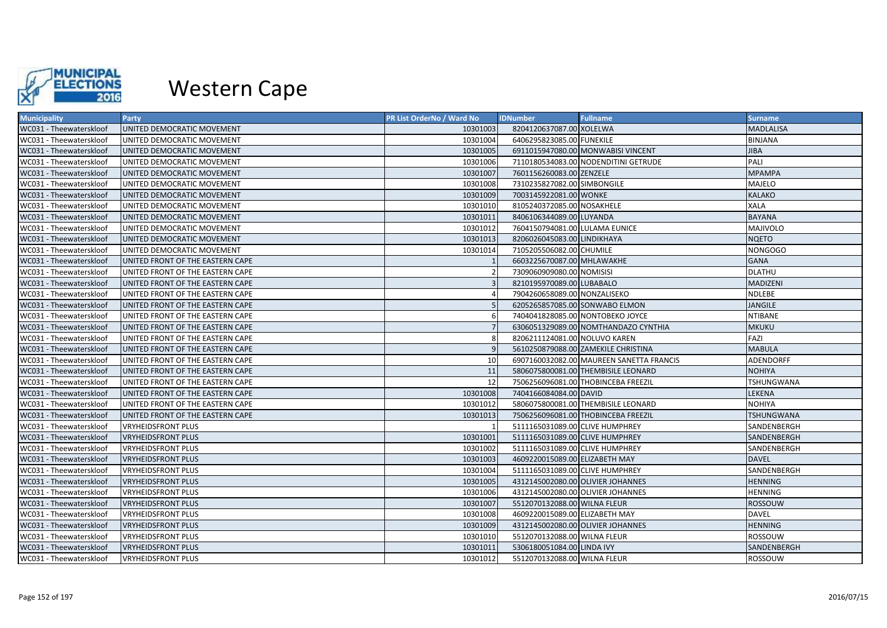

| <b>Municipality</b>     | Party                            | <b>PR List OrderNo / Ward No</b> | <b>IDNumber</b>                 | <b>Fullname</b>                          | <b>Surname</b>    |
|-------------------------|----------------------------------|----------------------------------|---------------------------------|------------------------------------------|-------------------|
| WC031 - Theewaterskloof | UNITED DEMOCRATIC MOVEMENT       | 10301003                         | 8204120637087.00 XOLELWA        |                                          | <b>MADLALISA</b>  |
| WC031 - Theewaterskloof | UNITED DEMOCRATIC MOVEMENT       | 10301004                         | 6406295823085.00 FUNEKILE       |                                          | <b>BINJANA</b>    |
| WC031 - Theewaterskloof | UNITED DEMOCRATIC MOVEMENT       | 10301005                         |                                 | 6911015947080.00 MONWABISI VINCENT       | <b>JIBA</b>       |
| WC031 - Theewaterskloof | UNITED DEMOCRATIC MOVEMENT       | 10301006                         |                                 | 7110180534083.00 NODENDITINI GETRUDE     | PALI              |
| WC031 - Theewaterskloof | UNITED DEMOCRATIC MOVEMENT       | 10301007                         | 7601156260083.00 ZENZELE        |                                          | <b>MPAMPA</b>     |
| WC031 - Theewaterskloof | UNITED DEMOCRATIC MOVEMENT       | 10301008                         | 7310235827082.00 SIMBONGILE     |                                          | MAJELO            |
| WC031 - Theewaterskloof | UNITED DEMOCRATIC MOVEMENT       | 10301009                         | 7003145922081.00 WONKE          |                                          | <b>KALAKO</b>     |
| WC031 - Theewaterskloof | UNITED DEMOCRATIC MOVEMENT       | 10301010                         | 8105240372085.00 NOSAKHELE      |                                          | <b>XALA</b>       |
| WC031 - Theewaterskloof | UNITED DEMOCRATIC MOVEMENT       | 10301011                         | 8406106344089.00 LUYANDA        |                                          | <b>BAYANA</b>     |
| WC031 - Theewaterskloof | UNITED DEMOCRATIC MOVEMENT       | 10301012                         | 7604150794081.00 LULAMA EUNICE  |                                          | MAJIVOLO          |
| WC031 - Theewaterskloof | UNITED DEMOCRATIC MOVEMENT       | 10301013                         | 8206026045083.00 LINDIKHAYA     |                                          | <b>NQETO</b>      |
| WC031 - Theewaterskloof | UNITED DEMOCRATIC MOVEMENT       | 10301014                         | 7105205506082.00 CHUMILE        |                                          | <b>NONGOGO</b>    |
| WC031 - Theewaterskloof | UNITED FRONT OF THE EASTERN CAPE |                                  | 6603225670087.00 MHLAWAKHE      |                                          | <b>GANA</b>       |
| WC031 - Theewaterskloof | UNITED FRONT OF THE EASTERN CAPE |                                  | 7309060909080.00 NOMISISI       |                                          | <b>DLATHU</b>     |
| WC031 - Theewaterskloof | UNITED FRONT OF THE EASTERN CAPE |                                  | 8210195970089.00 LUBABALO       |                                          | <b>MADIZENI</b>   |
| WC031 - Theewaterskloof | UNITED FRONT OF THE EASTERN CAPE |                                  | 7904260658089.00 NONZALISEKO    |                                          | <b>NDLEBE</b>     |
| WC031 - Theewaterskloof | UNITED FRONT OF THE EASTERN CAPE |                                  | 6205265857085.00 SONWABO ELMON  |                                          | <b>JANGILE</b>    |
| WC031 - Theewaterskloof | UNITED FRONT OF THE EASTERN CAPE |                                  |                                 | 7404041828085.00 NONTOBEKO JOYCE         | <b>NTIBANE</b>    |
| WC031 - Theewaterskloof | UNITED FRONT OF THE EASTERN CAPE |                                  |                                 | 6306051329089.00 NOMTHANDAZO CYNTHIA     | <b>MKUKU</b>      |
| WC031 - Theewaterskloof | UNITED FRONT OF THE EASTERN CAPE |                                  | 8206211124081.00 NOLUVO KAREN   |                                          | FAZI              |
| WC031 - Theewaterskloof | UNITED FRONT OF THE EASTERN CAPE |                                  |                                 | 5610250879088.00 ZAMEKILE CHRISTINA      | <b>MABULA</b>     |
| WC031 - Theewaterskloof | UNITED FRONT OF THE EASTERN CAPE | 10                               |                                 | 6907160032082.00 MAUREEN SANETTA FRANCIS | ADENDORFF         |
| WC031 - Theewaterskloof | UNITED FRONT OF THE EASTERN CAPE | 11                               |                                 | 5806075800081.00 THEMBISILE LEONARD      | <b>NOHIYA</b>     |
| WC031 - Theewaterskloof | UNITED FRONT OF THE EASTERN CAPE | 12                               |                                 | 7506256096081.00 THOBINCEBA FREEZIL      | TSHUNGWANA        |
| WC031 - Theewaterskloof | UNITED FRONT OF THE EASTERN CAPE | 10301008                         | 7404166084084.00 DAVID          |                                          | LEKENA            |
| WC031 - Theewaterskloof | UNITED FRONT OF THE EASTERN CAPE | 10301012                         |                                 | 5806075800081.00 THEMBISILE LEONARD      | <b>NOHIYA</b>     |
| WC031 - Theewaterskloof | UNITED FRONT OF THE EASTERN CAPE | 10301013                         |                                 | 7506256096081.00 THOBINCEBA FREEZIL      | <b>TSHUNGWANA</b> |
| WC031 - Theewaterskloof | <b>VRYHEIDSFRONT PLUS</b>        |                                  | 5111165031089.00 CLIVE HUMPHREY |                                          | SANDENBERGH       |
| WC031 - Theewaterskloof | <b>VRYHEIDSFRONT PLUS</b>        | 10301001                         | 5111165031089.00 CLIVE HUMPHREY |                                          | SANDENBERGH       |
| WC031 - Theewaterskloof | <b>VRYHEIDSFRONT PLUS</b>        | 10301002                         | 5111165031089.00 CLIVE HUMPHREY |                                          | SANDENBERGH       |
| WC031 - Theewaterskloof | <b>VRYHEIDSFRONT PLUS</b>        | 10301003                         | 4609220015089.00 ELIZABETH MAY  |                                          | <b>DAVEL</b>      |
| WC031 - Theewaterskloof | <b>VRYHEIDSFRONT PLUS</b>        | 10301004                         | 5111165031089.00 CLIVE HUMPHREY |                                          | SANDENBERGH       |
| WC031 - Theewaterskloof | <b>VRYHEIDSFRONT PLUS</b>        | 10301005                         |                                 | 4312145002080.00 OLIVIER JOHANNES        | <b>HENNING</b>    |
| WC031 - Theewaterskloof | <b>VRYHEIDSFRONT PLUS</b>        | 10301006                         |                                 | 4312145002080.00 OLIVIER JOHANNES        | <b>HENNING</b>    |
| WC031 - Theewaterskloof | <b>VRYHEIDSFRONT PLUS</b>        | 10301007                         | 5512070132088.00 WILNA FLEUR    |                                          | <b>ROSSOUW</b>    |
| WC031 - Theewaterskloof | <b>VRYHEIDSFRONT PLUS</b>        | 10301008                         | 4609220015089.00 ELIZABETH MAY  |                                          | <b>DAVEL</b>      |
| WC031 - Theewaterskloof | <b>VRYHEIDSFRONT PLUS</b>        | 10301009                         |                                 | 4312145002080.00 OLIVIER JOHANNES        | <b>HENNING</b>    |
| WC031 - Theewaterskloof | <b>VRYHEIDSFRONT PLUS</b>        | 10301010                         | 5512070132088.00 WILNA FLEUR    |                                          | ROSSOUW           |
| WC031 - Theewaterskloof | <b>VRYHEIDSFRONT PLUS</b>        | 10301011                         | 5306180051084.00 LINDA IVY      |                                          | SANDENBERGH       |
| WC031 - Theewaterskloof | <b>VRYHEIDSFRONT PLUS</b>        | 10301012                         | 5512070132088.00 WILNA FLEUR    |                                          | ROSSOUW           |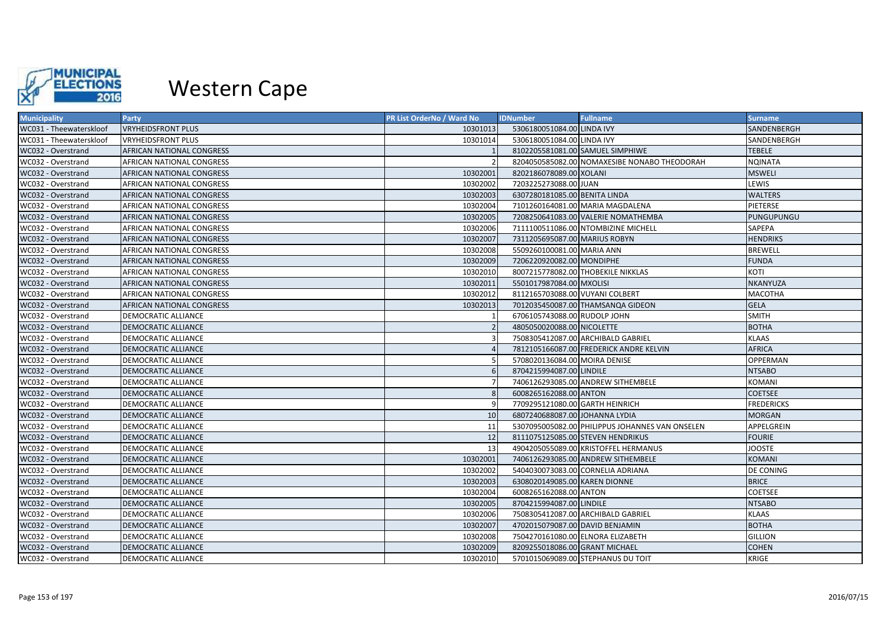

| <b>Municipality</b>     | <b>Party</b>               | <b>PR List OrderNo / Ward No</b> | <b>IDNumber</b>                   | <b>Fullname</b>                                 | <b>Surname</b>    |
|-------------------------|----------------------------|----------------------------------|-----------------------------------|-------------------------------------------------|-------------------|
| WC031 - Theewaterskloof | <b>VRYHEIDSFRONT PLUS</b>  | 10301013                         | 5306180051084.00 LINDA IVY        |                                                 | SANDENBERGH       |
| WC031 - Theewaterskloof | <b>VRYHEIDSFRONT PLUS</b>  | 10301014                         | 5306180051084.00 LINDA IVY        |                                                 | SANDENBERGH       |
| WC032 - Overstrand      | AFRICAN NATIONAL CONGRESS  |                                  |                                   | 8102205581081.00 SAMUEL SIMPHIWE                | <b>TEBELE</b>     |
| WC032 - Overstrand      | AFRICAN NATIONAL CONGRESS  |                                  |                                   | 8204050585082.00 NOMAXESIBE NONABO THEODORAH    | <b>NQINATA</b>    |
| WC032 - Overstrand      | AFRICAN NATIONAL CONGRESS  | 10302001                         | 8202186078089.00 XOLANI           |                                                 | <b>MSWELI</b>     |
| WC032 - Overstrand      | AFRICAN NATIONAL CONGRESS  | 10302002                         | 7203225273088.00 JUAN             |                                                 | LEWIS             |
| WC032 - Overstrand      | AFRICAN NATIONAL CONGRESS  | 10302003                         | 6307280181085.00 BENITA LINDA     |                                                 | <b>WALTERS</b>    |
| WC032 - Overstrand      | AFRICAN NATIONAL CONGRESS  | 10302004                         |                                   | 7101260164081.00 MARIA MAGDALENA                | PIETERSE          |
| WC032 - Overstrand      | AFRICAN NATIONAL CONGRESS  | 10302005                         |                                   | 7208250641083.00 VALERIE NOMATHEMBA             | PUNGUPUNGU        |
| WC032 - Overstrand      | AFRICAN NATIONAL CONGRESS  | 10302006                         |                                   | 7111100511086.00 NTOMBIZINE MICHELL             | SAPEPA            |
| WC032 - Overstrand      | AFRICAN NATIONAL CONGRESS  | 10302007                         | 7311205695087.00 MARIUS ROBYN     |                                                 | <b>HENDRIKS</b>   |
| WC032 - Overstrand      | AFRICAN NATIONAL CONGRESS  | 10302008                         | 5509260100081.00 MARIA ANN        |                                                 | <b>BREWELL</b>    |
| WC032 - Overstrand      | AFRICAN NATIONAL CONGRESS  | 10302009                         | 7206220920082.00 MONDIPHE         |                                                 | <b>FUNDA</b>      |
| WC032 - Overstrand      | AFRICAN NATIONAL CONGRESS  | 10302010                         |                                   | 8007215778082.00 THOBEKILE NIKKLAS              | KOTI              |
| WC032 - Overstrand      | AFRICAN NATIONAL CONGRESS  | 10302011                         | 5501017987084.00 MXOLISI          |                                                 | <b>NKANYUZA</b>   |
| WC032 - Overstrand      | AFRICAN NATIONAL CONGRESS  | 10302012                         | 8112165703088.00 VUYANI COLBERT   |                                                 | <b>MACOTHA</b>    |
| WC032 - Overstrand      | AFRICAN NATIONAL CONGRESS  | 10302013                         |                                   | 7012035450087.00 THAMSANQA GIDEON               | <b>GELA</b>       |
| WC032 - Overstrand      | DEMOCRATIC ALLIANCE        |                                  | 6706105743088.00 RUDOLP JOHN      |                                                 | <b>SMITH</b>      |
| WC032 - Overstrand      | DEMOCRATIC ALLIANCE        |                                  | 4805050020088.00 NICOLETTE        |                                                 | <b>BOTHA</b>      |
| WC032 - Overstrand      | DEMOCRATIC ALLIANCE        |                                  |                                   | 7508305412087.00 ARCHIBALD GABRIEL              | <b>KLAAS</b>      |
| WC032 - Overstrand      | DEMOCRATIC ALLIANCE        |                                  |                                   | 7812105166087.00 FREDERICK ANDRE KELVIN         | <b>AFRICA</b>     |
| WC032 - Overstrand      | DEMOCRATIC ALLIANCE        |                                  | 5708020136084.00 MOIRA DENISE     |                                                 | <b>OPPERMAN</b>   |
| WC032 - Overstrand      | DEMOCRATIC ALLIANCE        |                                  | 8704215994087.00 LINDILE          |                                                 | <b>NTSABO</b>     |
| WC032 - Overstrand      | DEMOCRATIC ALLIANCE        |                                  |                                   | 7406126293085.00 ANDREW SITHEMBELE              | KOMANI            |
| WC032 - Overstrand      | <b>DEMOCRATIC ALLIANCE</b> |                                  | 6008265162088.00 ANTON            |                                                 | <b>COETSEE</b>    |
| WC032 - Overstrand      | DEMOCRATIC ALLIANCE        |                                  | 7709295121080.00 GARTH HEINRICH   |                                                 | <b>FREDERICKS</b> |
| WC032 - Overstrand      | DEMOCRATIC ALLIANCE        | 10                               | 6807240688087.00 JOHANNA LYDIA    |                                                 | <b>MORGAN</b>     |
| WC032 - Overstrand      | DEMOCRATIC ALLIANCE        | 11                               |                                   | 5307095005082.00 PHILIPPUS JOHANNES VAN ONSELEN | APPELGREIN        |
| WC032 - Overstrand      | DEMOCRATIC ALLIANCE        | 12                               |                                   | 8111075125085.00 STEVEN HENDRIKUS               | <b>FOURIE</b>     |
| WC032 - Overstrand      | DEMOCRATIC ALLIANCE        | 13                               |                                   | 4904205055089.00 KRISTOFFEL HERMANUS            | <b>JOOSTE</b>     |
| WC032 - Overstrand      | DEMOCRATIC ALLIANCE        | 10302001                         |                                   | 7406126293085.00 ANDREW SITHEMBELE              | <b>KOMANI</b>     |
| WC032 - Overstrand      | DEMOCRATIC ALLIANCE        | 10302002                         |                                   | 5404030073083.00 CORNELIA ADRIANA               | <b>DE CONING</b>  |
| WC032 - Overstrand      | DEMOCRATIC ALLIANCE        | 10302003                         | 6308020149085.00 KAREN DIONNE     |                                                 | <b>BRICE</b>      |
| WC032 - Overstrand      | DEMOCRATIC ALLIANCE        | 10302004                         | 6008265162088.00 ANTON            |                                                 | <b>COETSEE</b>    |
| WC032 - Overstrand      | DEMOCRATIC ALLIANCE        | 10302005                         | 8704215994087.00 LINDILE          |                                                 | <b>NTSABO</b>     |
| WC032 - Overstrand      | DEMOCRATIC ALLIANCE        | 10302006                         |                                   | 7508305412087.00 ARCHIBALD GABRIEL              | <b>KLAAS</b>      |
| WC032 - Overstrand      | DEMOCRATIC ALLIANCE        | 10302007                         | 4702015079087.00 DAVID BENJAMIN   |                                                 | <b>BOTHA</b>      |
| WC032 - Overstrand      | DEMOCRATIC ALLIANCE        | 10302008                         | 7504270161080.00 ELNORA ELIZABETH |                                                 | <b>GILLION</b>    |
| WC032 - Overstrand      | DEMOCRATIC ALLIANCE        | 10302009                         | 8209255018086.00 GRANT MICHAEL    |                                                 | <b>COHEN</b>      |
| WC032 - Overstrand      | DEMOCRATIC ALLIANCE        | 10302010                         |                                   | 5701015069089.00 STEPHANUS DU TOIT              | <b>KRIGE</b>      |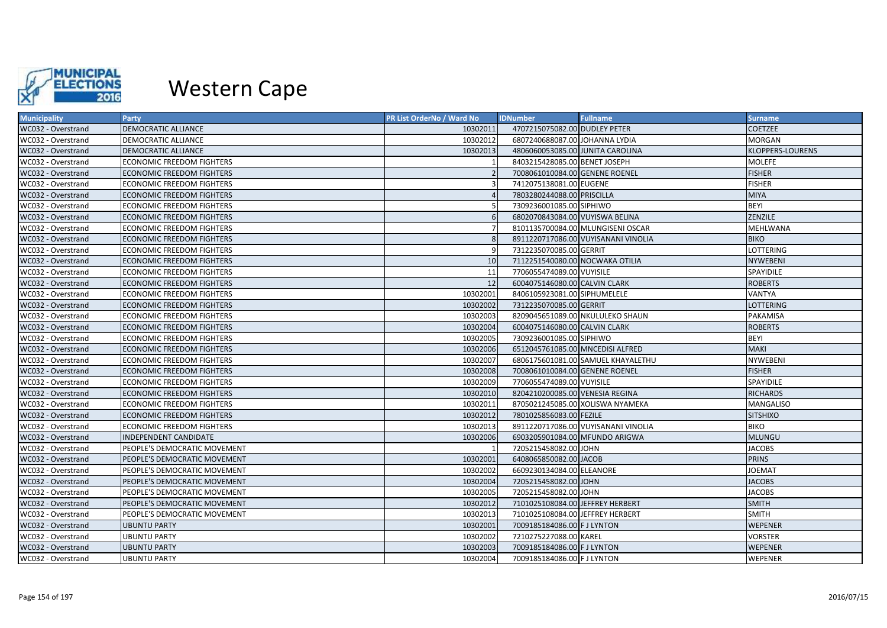

| <b>Municipality</b> | <b>Party</b>                     | <b>PR List OrderNo / Ward No</b> | <b>IDNumber</b>                  | <b>Fullname</b>                     | <b>Surname</b>   |
|---------------------|----------------------------------|----------------------------------|----------------------------------|-------------------------------------|------------------|
| WC032 - Overstrand  | <b>DEMOCRATIC ALLIANCE</b>       | 10302011                         | 4707215075082.00 DUDLEY PETER    |                                     | <b>COETZEE</b>   |
| WC032 - Overstrand  | DEMOCRATIC ALLIANCE              | 10302012                         | 6807240688087.00 JOHANNA LYDIA   |                                     | MORGAN           |
| WC032 - Overstrand  | DEMOCRATIC ALLIANCE              | 10302013                         | 4806060053085.00 JUNITA CAROLINA |                                     | KLOPPERS-LOURENS |
| WC032 - Overstrand  | ECONOMIC FREEDOM FIGHTERS        |                                  | 8403215428085.00 BENET JOSEPH    |                                     | <b>MOLEFE</b>    |
| WC032 - Overstrand  | <b>ECONOMIC FREEDOM FIGHTERS</b> |                                  | 7008061010084.00 GENENE ROENEL   |                                     | <b>FISHER</b>    |
| WC032 - Overstrand  | <b>ECONOMIC FREEDOM FIGHTERS</b> |                                  | 7412075138081.00 EUGENE          |                                     | <b>FISHER</b>    |
| WC032 - Overstrand  | <b>ECONOMIC FREEDOM FIGHTERS</b> |                                  | 7803280244088.00 PRISCILLA       |                                     | <b>MIYA</b>      |
| WC032 - Overstrand  | <b>ECONOMIC FREEDOM FIGHTERS</b> |                                  | 7309236001085.00 SIPHIWO         |                                     | <b>BEYI</b>      |
| WC032 - Overstrand  | <b>ECONOMIC FREEDOM FIGHTERS</b> |                                  | 6802070843084.00 VUYISWA BELINA  |                                     | ZENZILE          |
| WC032 - Overstrand  | ECONOMIC FREEDOM FIGHTERS        |                                  |                                  | 8101135700084.00 MLUNGISENI OSCAR   | MEHLWANA         |
| WC032 - Overstrand  | <b>ECONOMIC FREEDOM FIGHTERS</b> |                                  |                                  | 8911220717086.00 VUYISANANI VINOLIA | <b>BIKO</b>      |
| WC032 - Overstrand  | <b>ECONOMIC FREEDOM FIGHTERS</b> |                                  | 7312235070085.00 GERRIT          |                                     | <b>LOTTERING</b> |
| WC032 - Overstrand  | <b>ECONOMIC FREEDOM FIGHTERS</b> | 10                               | 7112251540080.00 NOCWAKA OTILIA  |                                     | <b>NYWEBENI</b>  |
| WC032 - Overstrand  | <b>ECONOMIC FREEDOM FIGHTERS</b> | 11                               | 7706055474089.00 VUYISILE        |                                     | SPAYIDILE        |
| WC032 - Overstrand  | <b>ECONOMIC FREEDOM FIGHTERS</b> | 12                               | 6004075146080.00 CALVIN CLARK    |                                     | <b>ROBERTS</b>   |
| WC032 - Overstrand  | <b>ECONOMIC FREEDOM FIGHTERS</b> | 10302001                         | 8406105923081.00 SIPHUMELELE     |                                     | VANTYA           |
| WC032 - Overstrand  | <b>ECONOMIC FREEDOM FIGHTERS</b> | 10302002                         | 7312235070085.00 GERRIT          |                                     | <b>LOTTERING</b> |
| WC032 - Overstrand  | <b>ECONOMIC FREEDOM FIGHTERS</b> | 10302003                         |                                  | 8209045651089.00 NKULULEKO SHAUN    | PAKAMISA         |
| WC032 - Overstrand  | <b>ECONOMIC FREEDOM FIGHTERS</b> | 10302004                         | 6004075146080.00 CALVIN CLARK    |                                     | <b>ROBERTS</b>   |
| WC032 - Overstrand  | ECONOMIC FREEDOM FIGHTERS        | 10302005                         | 7309236001085.00 SIPHIWO         |                                     | <b>BEYI</b>      |
| WC032 - Overstrand  | ECONOMIC FREEDOM FIGHTERS        | 10302006                         | 6512045761085.00 MNCEDISI ALFRED |                                     | <b>MAKI</b>      |
| WC032 - Overstrand  | <b>ECONOMIC FREEDOM FIGHTERS</b> | 10302007                         |                                  | 6806175601081.00 SAMUEL KHAYALETHU  | NYWEBENI         |
| WC032 - Overstrand  | <b>ECONOMIC FREEDOM FIGHTERS</b> | 10302008                         | 7008061010084.00 GENENE ROENEL   |                                     | <b>FISHER</b>    |
| WC032 - Overstrand  | <b>ECONOMIC FREEDOM FIGHTERS</b> | 10302009                         | 7706055474089.00 VUYISILE        |                                     | SPAYIDILE        |
| WC032 - Overstrand  | <b>ECONOMIC FREEDOM FIGHTERS</b> | 10302010                         | 8204210200085.00 VENESIA REGINA  |                                     | <b>RICHARDS</b>  |
| WC032 - Overstrand  | ECONOMIC FREEDOM FIGHTERS        | 10302011                         |                                  | 8705021245085.00 XOLISWA NYAMEKA    | <b>MANGALISO</b> |
| WC032 - Overstrand  | <b>ECONOMIC FREEDOM FIGHTERS</b> | 10302012                         | 7801025856083.00 FEZILE          |                                     | <b>SITSHIXO</b>  |
| WC032 - Overstrand  | <b>ECONOMIC FREEDOM FIGHTERS</b> | 10302013                         |                                  | 8911220717086.00 VUYISANANI VINOLIA | <b>BIKO</b>      |
| WC032 - Overstrand  | INDEPENDENT CANDIDATE            | 10302006                         | 6903205901084.00 MFUNDO ARIGWA   |                                     | <b>MLUNGU</b>    |
| WC032 - Overstrand  | PEOPLE'S DEMOCRATIC MOVEMENT     |                                  | 7205215458082.00 JOHN            |                                     | <b>JACOBS</b>    |
| WC032 - Overstrand  | PEOPLE'S DEMOCRATIC MOVEMENT     | 10302001                         | 6408065850082.00 JACOB           |                                     | <b>PRINS</b>     |
| WC032 - Overstrand  | PEOPLE'S DEMOCRATIC MOVEMENT     | 10302002                         | 6609230134084.00 ELEANORE        |                                     | <b>JOEMAT</b>    |
| WC032 - Overstrand  | PEOPLE'S DEMOCRATIC MOVEMENT     | 10302004                         | 7205215458082.00 JOHN            |                                     | <b>JACOBS</b>    |
| WC032 - Overstrand  | PEOPLE'S DEMOCRATIC MOVEMENT     | 10302005                         | 7205215458082.00 JOHN            |                                     | <b>JACOBS</b>    |
| WC032 - Overstrand  | PEOPLE'S DEMOCRATIC MOVEMENT     | 10302012                         | 7101025108084.00 JEFFREY HERBERT |                                     | <b>SMITH</b>     |
| WC032 - Overstrand  | PEOPLE'S DEMOCRATIC MOVEMENT     | 10302013                         | 7101025108084.00 JEFFREY HERBERT |                                     | <b>SMITH</b>     |
| WC032 - Overstrand  | <b>UBUNTU PARTY</b>              | 10302001                         | 7009185184086.00 F J LYNTON      |                                     | <b>WEPENER</b>   |
| WC032 - Overstrand  | <b>UBUNTU PARTY</b>              | 10302002                         | 7210275227088.00 KAREL           |                                     | <b>VORSTER</b>   |
| WC032 - Overstrand  | <b>UBUNTU PARTY</b>              | 10302003                         | 7009185184086.00 F J LYNTON      |                                     | WEPENER          |
| WC032 - Overstrand  | <b>UBUNTU PARTY</b>              | 10302004                         | 7009185184086.00 F J LYNTON      |                                     | WEPENER          |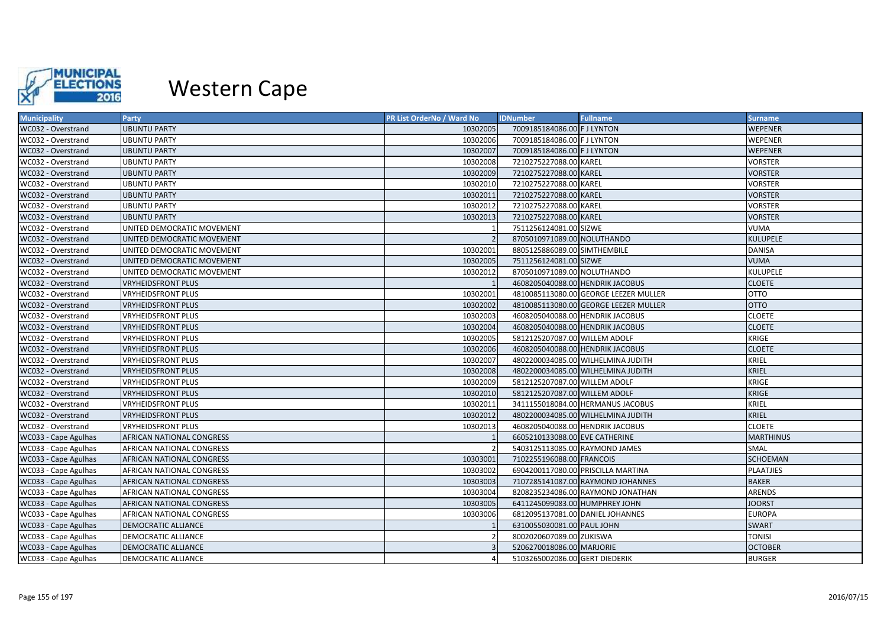

| <b>Municipality</b>  | Party                      | <b>PR List OrderNo / Ward No</b> | <b>IDNumber</b>                  | <b>Fullname</b>                       | <b>Surname</b>   |
|----------------------|----------------------------|----------------------------------|----------------------------------|---------------------------------------|------------------|
| WC032 - Overstrand   | <b>UBUNTU PARTY</b>        | 10302005                         | 7009185184086.00 F J LYNTON      |                                       | <b>WEPENER</b>   |
| WC032 - Overstrand   | <b>UBUNTU PARTY</b>        | 10302006                         | 7009185184086.00 F J LYNTON      |                                       | WEPENER          |
| WC032 - Overstrand   | <b>UBUNTU PARTY</b>        | 10302007                         | 7009185184086.00 F J LYNTON      |                                       | WEPENER          |
| WC032 - Overstrand   | <b>UBUNTU PARTY</b>        | 10302008                         | 7210275227088.00 KAREL           |                                       | <b>VORSTER</b>   |
| WC032 - Overstrand   | <b>UBUNTU PARTY</b>        | 10302009                         | 7210275227088.00 KAREL           |                                       | <b>VORSTER</b>   |
| WC032 - Overstrand   | <b>UBUNTU PARTY</b>        | 10302010                         | 7210275227088.00 KAREL           |                                       | <b>VORSTER</b>   |
| WC032 - Overstrand   | <b>UBUNTU PARTY</b>        | 10302011                         | 7210275227088.00 KAREL           |                                       | <b>VORSTER</b>   |
| WC032 - Overstrand   | <b>UBUNTU PARTY</b>        | 10302012                         | 7210275227088.00 KAREL           |                                       | <b>VORSTER</b>   |
| WC032 - Overstrand   | <b>UBUNTU PARTY</b>        | 10302013                         | 7210275227088.00 KAREL           |                                       | <b>VORSTER</b>   |
| WC032 - Overstrand   | UNITED DEMOCRATIC MOVEMENT |                                  | 7511256124081.00 SIZWE           |                                       | <b>VUMA</b>      |
| WC032 - Overstrand   | UNITED DEMOCRATIC MOVEMENT |                                  | 8705010971089.00 NOLUTHANDO      |                                       | KULUPELE         |
| WC032 - Overstrand   | UNITED DEMOCRATIC MOVEMENT | 10302001                         | 8805125886089.00 SIMTHEMBILE     |                                       | <b>DANISA</b>    |
| WC032 - Overstrand   | UNITED DEMOCRATIC MOVEMENT | 10302005                         | 7511256124081.00 SIZWE           |                                       | <b>VUMA</b>      |
| WC032 - Overstrand   | UNITED DEMOCRATIC MOVEMENT | 10302012                         | 8705010971089.00 NOLUTHANDO      |                                       | KULUPELE         |
| WC032 - Overstrand   | VRYHEIDSFRONT PLUS         |                                  |                                  | 4608205040088.00 HENDRIK JACOBUS      | <b>CLOETE</b>    |
| WC032 - Overstrand   | <b>VRYHEIDSFRONT PLUS</b>  | 10302001                         |                                  | 4810085113080.00 GEORGE LEEZER MULLER | <b>OTTO</b>      |
| WC032 - Overstrand   | <b>VRYHEIDSFRONT PLUS</b>  | 10302002                         |                                  | 4810085113080.00 GEORGE LEEZER MULLER | <b>OTTO</b>      |
| WC032 - Overstrand   | <b>VRYHEIDSFRONT PLUS</b>  | 10302003                         | 4608205040088.00 HENDRIK JACOBUS |                                       | <b>CLOETE</b>    |
| WC032 - Overstrand   | <b>VRYHEIDSFRONT PLUS</b>  | 10302004                         | 4608205040088.00 HENDRIK JACOBUS |                                       | <b>CLOETE</b>    |
| WC032 - Overstrand   | <b>VRYHEIDSFRONT PLUS</b>  | 10302005                         | 5812125207087.00 WILLEM ADOLF    |                                       | <b>KRIGE</b>     |
| WC032 - Overstrand   | VRYHEIDSFRONT PLUS         | 10302006                         | 4608205040088.00 HENDRIK JACOBUS |                                       | <b>CLOETE</b>    |
| WC032 - Overstrand   | <b>VRYHEIDSFRONT PLUS</b>  | 10302007                         |                                  | 4802200034085.00 WILHELMINA JUDITH    | KRIEL            |
| WC032 - Overstrand   | <b>VRYHEIDSFRONT PLUS</b>  | 10302008                         |                                  | 4802200034085.00 WILHELMINA JUDITH    | <b>KRIEL</b>     |
| WC032 - Overstrand   | VRYHEIDSFRONT PLUS         | 10302009                         | 5812125207087.00 WILLEM ADOLF    |                                       | <b>KRIGE</b>     |
| WC032 - Overstrand   | <b>VRYHEIDSFRONT PLUS</b>  | 10302010                         | 5812125207087.00 WILLEM ADOLF    |                                       | <b>KRIGE</b>     |
| WC032 - Overstrand   | VRYHEIDSFRONT PLUS         | 10302011                         |                                  | 3411155018084.00 HERMANUS JACOBUS     | <b>KRIEL</b>     |
| WC032 - Overstrand   | VRYHEIDSFRONT PLUS         | 10302012                         |                                  | 4802200034085.00 WILHELMINA JUDITH    | KRIEL            |
| WC032 - Overstrand   | <b>VRYHEIDSFRONT PLUS</b>  | 10302013                         | 4608205040088.00 HENDRIK JACOBUS |                                       | <b>CLOETE</b>    |
| WC033 - Cape Agulhas | AFRICAN NATIONAL CONGRESS  |                                  | 6605210133088.00 EVE CATHERINE   |                                       | <b>MARTHINUS</b> |
| WC033 - Cape Agulhas | AFRICAN NATIONAL CONGRESS  |                                  | 5403125113085.00 RAYMOND JAMES   |                                       | <b>SMAL</b>      |
| WC033 - Cape Agulhas | AFRICAN NATIONAL CONGRESS  | 10303001                         | 7102255196088.00 FRANCOIS        |                                       | <b>SCHOEMAN</b>  |
| WC033 - Cape Agulhas | AFRICAN NATIONAL CONGRESS  | 10303002                         |                                  | 6904200117080.00 PRISCILLA MARTINA    | <b>PLAATJIES</b> |
| WC033 - Cape Agulhas | AFRICAN NATIONAL CONGRESS  | 10303003                         |                                  | 7107285141087.00 RAYMOND JOHANNES     | <b>BAKER</b>     |
| WC033 - Cape Agulhas | AFRICAN NATIONAL CONGRESS  | 10303004                         |                                  | 8208235234086.00 RAYMOND JONATHAN     | <b>ARENDS</b>    |
| WC033 - Cape Agulhas | AFRICAN NATIONAL CONGRESS  | 10303005                         | 6411245099083.00 HUMPHREY JOHN   |                                       | <b>JOORST</b>    |
| WC033 - Cape Agulhas | AFRICAN NATIONAL CONGRESS  | 10303006                         | 6812095137081.00 DANIEL JOHANNES |                                       | <b>EUROPA</b>    |
| WC033 - Cape Agulhas | DEMOCRATIC ALLIANCE        |                                  | 6310055030081.00 PAUL JOHN       |                                       | <b>SWART</b>     |
| WC033 - Cape Agulhas | DEMOCRATIC ALLIANCE        |                                  | 8002020607089.00 ZUKISWA         |                                       | <b>TONISI</b>    |
| WC033 - Cape Agulhas | <b>DEMOCRATIC ALLIANCE</b> |                                  | 5206270018086.00 MARJORIE        |                                       | <b>OCTOBER</b>   |
| WC033 - Cape Agulhas | DEMOCRATIC ALLIANCE        |                                  | 5103265002086.00 GERT DIEDERIK   |                                       | <b>BURGER</b>    |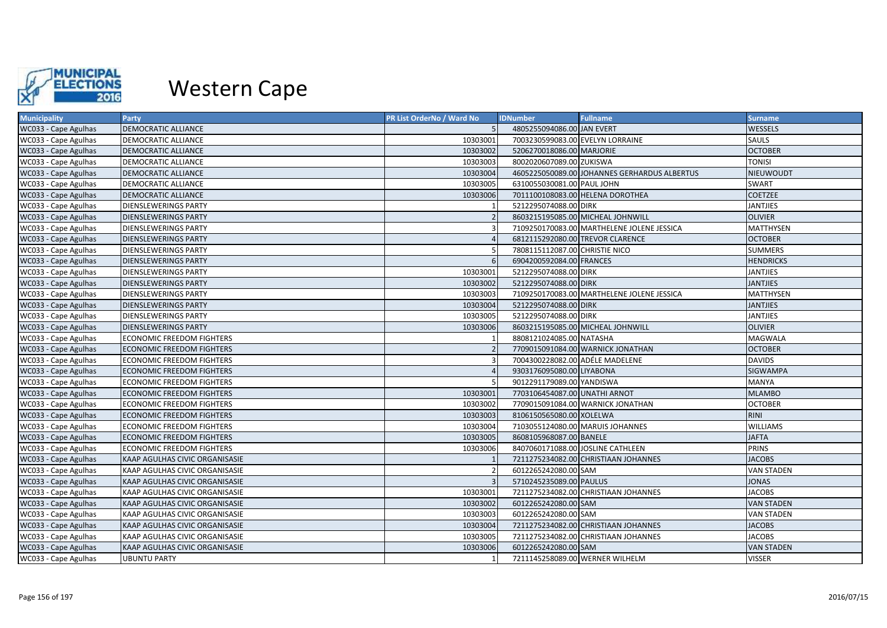

| <b>Municipality</b>  | Party                            | <b>PR List OrderNo / Ward No</b> | <b>IDNumber</b>                   | <b>Fullname</b>                              | <b>Surname</b>    |
|----------------------|----------------------------------|----------------------------------|-----------------------------------|----------------------------------------------|-------------------|
| WC033 - Cape Agulhas | <b>DEMOCRATIC ALLIANCE</b>       |                                  | 4805255094086.00 JAN EVERT        |                                              | WESSELS           |
| WC033 - Cape Agulhas | <b>DEMOCRATIC ALLIANCE</b>       | 10303001                         | 7003230599083.00 EVELYN LORRAINE  |                                              | SAULS             |
| WC033 - Cape Agulhas | <b>DEMOCRATIC ALLIANCE</b>       | 10303002                         | 5206270018086.00 MARJORIE         |                                              | <b>OCTOBER</b>    |
| WC033 - Cape Agulhas | <b>DEMOCRATIC ALLIANCE</b>       | 10303003                         | 8002020607089.00 ZUKISWA          |                                              | <b>TONISI</b>     |
| WC033 - Cape Agulhas | <b>DEMOCRATIC ALLIANCE</b>       | 10303004                         |                                   | 4605225050089.00 JOHANNES GERHARDUS ALBERTUS | <b>NIEUWOUDT</b>  |
| WC033 - Cape Agulhas | <b>DEMOCRATIC ALLIANCE</b>       | 10303005                         | 6310055030081.00 PAUL JOHN        |                                              | SWART             |
| WC033 - Cape Agulhas | <b>DEMOCRATIC ALLIANCE</b>       | 10303006                         |                                   | 7011100108083.00 HELENA DOROTHEA             | <b>COETZEE</b>    |
| WC033 - Cape Agulhas | DIENSLEWERINGS PARTY             |                                  | 5212295074088.00 DIRK             |                                              | JANTJIES          |
| WC033 - Cape Agulhas | <b>DIENSLEWERINGS PARTY</b>      |                                  |                                   | 8603215195085.00 MICHEAL JOHNWILL            | <b>OLIVIER</b>    |
| WC033 - Cape Agulhas | <b>DIENSLEWERINGS PARTY</b>      |                                  |                                   | 7109250170083.00 MARTHELENE JOLENE JESSICA   | <b>MATTHYSEN</b>  |
| WC033 - Cape Agulhas | <b>DIENSLEWERINGS PARTY</b>      |                                  |                                   | 6812115292080.00 TREVOR CLARENCE             | <b>OCTOBER</b>    |
| WC033 - Cape Agulhas | <b>DIENSLEWERINGS PARTY</b>      |                                  | 7808115112087.00 CHRISTIE NICO    |                                              | <b>SUMMERS</b>    |
| WC033 - Cape Agulhas | <b>DIENSLEWERINGS PARTY</b>      |                                  | 6904200592084.00 FRANCES          |                                              | <b>HENDRICKS</b>  |
| WC033 - Cape Agulhas | DIENSLEWERINGS PARTY             | 10303001                         | 5212295074088.00 DIRK             |                                              | <b>JANTJIES</b>   |
| WC033 - Cape Agulhas | <b>DIENSLEWERINGS PARTY</b>      | 10303002                         | 5212295074088.00 DIRK             |                                              | <b>JANTJIES</b>   |
| WC033 - Cape Agulhas | <b>DIENSLEWERINGS PARTY</b>      | 10303003                         |                                   | 7109250170083.00 MARTHELENE JOLENE JESSICA   | <b>MATTHYSEN</b>  |
| WC033 - Cape Agulhas | <b>DIENSLEWERINGS PARTY</b>      | 10303004                         | 5212295074088.00 DIRK             |                                              | <b>JANTJIES</b>   |
| WC033 - Cape Agulhas | <b>DIENSLEWERINGS PARTY</b>      | 10303005                         | 5212295074088.00 DIRK             |                                              | <b>JANTJIES</b>   |
| WC033 - Cape Agulhas | <b>DIENSLEWERINGS PARTY</b>      | 10303006                         |                                   | 8603215195085.00 MICHEAL JOHNWILL            | <b>OLIVIER</b>    |
| WC033 - Cape Agulhas | <b>ECONOMIC FREEDOM FIGHTERS</b> |                                  | 8808121024085.00 NATASHA          |                                              | <b>MAGWALA</b>    |
| WC033 - Cape Agulhas | <b>ECONOMIC FREEDOM FIGHTERS</b> |                                  |                                   | 7709015091084.00 WARNICK JONATHAN            | <b>OCTOBER</b>    |
| WC033 - Cape Agulhas | <b>ECONOMIC FREEDOM FIGHTERS</b> |                                  | 7004300228082.00 ADÉLE MADELENE   |                                              | <b>DAVIDS</b>     |
| WC033 - Cape Agulhas | <b>ECONOMIC FREEDOM FIGHTERS</b> |                                  | 9303176095080.00 LIYABONA         |                                              | <b>SIGWAMPA</b>   |
| WC033 - Cape Agulhas | <b>ECONOMIC FREEDOM FIGHTERS</b> |                                  | 9012291179089.00 YANDISWA         |                                              | <b>MANYA</b>      |
| WC033 - Cape Agulhas | <b>ECONOMIC FREEDOM FIGHTERS</b> | 10303001                         | 7703106454087.00 UNATHI ARNOT     |                                              | <b>MLAMBO</b>     |
| WC033 - Cape Agulhas | <b>ECONOMIC FREEDOM FIGHTERS</b> | 10303002                         |                                   | 7709015091084.00 WARNICK JONATHAN            | <b>OCTOBER</b>    |
| WC033 - Cape Agulhas | <b>ECONOMIC FREEDOM FIGHTERS</b> | 10303003                         | 8106150565080.00 XOLELWA          |                                              | <b>RINI</b>       |
| WC033 - Cape Agulhas | <b>ECONOMIC FREEDOM FIGHTERS</b> | 10303004                         |                                   | 7103055124080.00 MARUIS JOHANNES             | <b>WILLIAMS</b>   |
| WC033 - Cape Agulhas | <b>ECONOMIC FREEDOM FIGHTERS</b> | 10303005                         | 8608105968087.00 BANELE           |                                              | <b>JAFTA</b>      |
| WC033 - Cape Agulhas | <b>ECONOMIC FREEDOM FIGHTERS</b> | 10303006                         | 8407060171088.00 JOSLINE CATHLEEN |                                              | <b>PRINS</b>      |
| WC033 - Cape Agulhas | KAAP AGULHAS CIVIC ORGANISASIE   |                                  |                                   | 7211275234082.00 CHRISTIAAN JOHANNES         | <b>JACOBS</b>     |
| WC033 - Cape Agulhas | KAAP AGULHAS CIVIC ORGANISASIE   |                                  | 6012265242080.00 SAM              |                                              | <b>VAN STADEN</b> |
| WC033 - Cape Agulhas | KAAP AGULHAS CIVIC ORGANISASIE   |                                  | 5710245235089.00 PAULUS           |                                              | <b>JONAS</b>      |
| WC033 - Cape Agulhas | KAAP AGULHAS CIVIC ORGANISASIE   | 10303001                         |                                   | 7211275234082.00 CHRISTIAAN JOHANNES         | <b>JACOBS</b>     |
| WC033 - Cape Agulhas | KAAP AGULHAS CIVIC ORGANISASIE   | 10303002                         | 6012265242080.00 SAM              |                                              | <b>VAN STADEN</b> |
| WC033 - Cape Agulhas | KAAP AGULHAS CIVIC ORGANISASIE   | 10303003                         | 6012265242080.00 SAM              |                                              | <b>VAN STADEN</b> |
| WC033 - Cape Agulhas | KAAP AGULHAS CIVIC ORGANISASIE   | 10303004                         |                                   | 7211275234082.00 CHRISTIAAN JOHANNES         | <b>JACOBS</b>     |
| WC033 - Cape Agulhas | KAAP AGULHAS CIVIC ORGANISASIE   | 10303005                         |                                   | 7211275234082.00 CHRISTIAAN JOHANNES         | <b>JACOBS</b>     |
| WC033 - Cape Agulhas | KAAP AGULHAS CIVIC ORGANISASIE   | 10303006                         | 6012265242080.00 SAM              |                                              | <b>VAN STADEN</b> |
| WC033 - Cape Agulhas | <b>UBUNTU PARTY</b>              |                                  | 7211145258089.00 WERNER WILHELM   |                                              | <b>VISSER</b>     |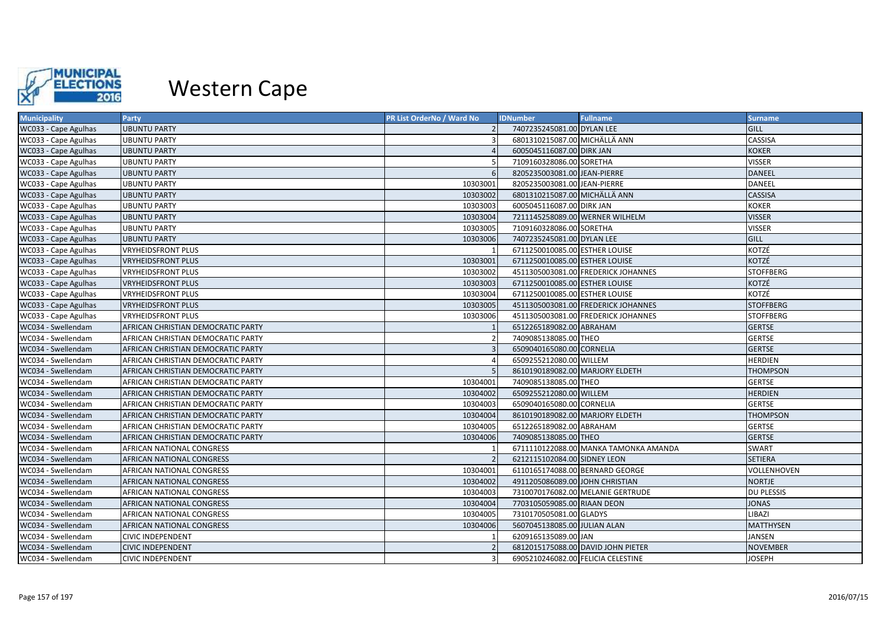

| <b>Municipality</b>  | Party                              | <b>PR List OrderNo / Ward No</b> | <b>IDNumber</b>                 | <b>Fullname</b>                       | <b>Surname</b>    |
|----------------------|------------------------------------|----------------------------------|---------------------------------|---------------------------------------|-------------------|
| WC033 - Cape Agulhas | <b>UBUNTU PARTY</b>                |                                  | 7407235245081.00 DYLAN LEE      |                                       | <b>GILL</b>       |
| WC033 - Cape Agulhas | <b>UBUNTU PARTY</b>                |                                  | 6801310215087.00 MICHÄLLÄ ANN   |                                       | <b>CASSISA</b>    |
| WC033 - Cape Agulhas | <b>UBUNTU PARTY</b>                |                                  | 6005045116087.00 DIRK JAN       |                                       | <b>KOKER</b>      |
| WC033 - Cape Agulhas | <b>UBUNTU PARTY</b>                |                                  | 7109160328086.00 SORETHA        |                                       | <b>VISSER</b>     |
| WC033 - Cape Agulhas | <b>UBUNTU PARTY</b>                |                                  | 8205235003081.00 JEAN-PIERRE    |                                       | <b>DANEEL</b>     |
| WC033 - Cape Agulhas | <b>UBUNTU PARTY</b>                | 10303001                         | 8205235003081.00 JEAN-PIERRE    |                                       | <b>DANEEL</b>     |
| WC033 - Cape Agulhas | <b>UBUNTU PARTY</b>                | 10303002                         | 6801310215087.00 MICHÄLLÄ ANN   |                                       | <b>CASSISA</b>    |
| WC033 - Cape Agulhas | <b>UBUNTU PARTY</b>                | 10303003                         | 6005045116087.00 DIRK JAN       |                                       | <b>KOKER</b>      |
| WC033 - Cape Agulhas | <b>UBUNTU PARTY</b>                | 10303004                         |                                 | 7211145258089.00 WERNER WILHELM       | <b>VISSER</b>     |
| WC033 - Cape Agulhas | <b>UBUNTU PARTY</b>                | 10303005                         | 7109160328086.00 SORETHA        |                                       | <b>VISSER</b>     |
| WC033 - Cape Agulhas | <b>UBUNTU PARTY</b>                | 10303006                         | 7407235245081.00 DYLAN LEE      |                                       | <b>GILL</b>       |
| WC033 - Cape Agulhas | <b>VRYHEIDSFRONT PLUS</b>          |                                  | 6711250010085.00 ESTHER LOUISE  |                                       | KOTZÉ             |
| WC033 - Cape Agulhas | <b>VRYHEIDSFRONT PLUS</b>          | 10303001                         | 6711250010085.00 ESTHER LOUISE  |                                       | KOTZÉ             |
| WC033 - Cape Agulhas | <b>VRYHEIDSFRONT PLUS</b>          | 10303002                         |                                 | 4511305003081.00 FREDERICK JOHANNES   | <b>STOFFBERG</b>  |
| WC033 - Cape Agulhas | <b>VRYHEIDSFRONT PLUS</b>          | 10303003                         | 6711250010085.00 ESTHER LOUISE  |                                       | KOTZÉ             |
| WC033 - Cape Agulhas | <b>VRYHEIDSFRONT PLUS</b>          | 10303004                         | 6711250010085.00 ESTHER LOUISE  |                                       | KOTZÉ             |
| WC033 - Cape Agulhas | <b>VRYHEIDSFRONT PLUS</b>          | 10303005                         |                                 | 4511305003081.00 FREDERICK JOHANNES   | <b>STOFFBERG</b>  |
| WC033 - Cape Agulhas | <b>VRYHEIDSFRONT PLUS</b>          | 10303006                         |                                 | 4511305003081.00 FREDERICK JOHANNES   | <b>STOFFBERG</b>  |
| WC034 - Swellendam   | AFRICAN CHRISTIAN DEMOCRATIC PARTY |                                  | 6512265189082.00 ABRAHAM        |                                       | <b>GERTSE</b>     |
| WC034 - Swellendam   | AFRICAN CHRISTIAN DEMOCRATIC PARTY |                                  | 7409085138085.00 THEO           |                                       | <b>GERTSE</b>     |
| WC034 - Swellendam   | AFRICAN CHRISTIAN DEMOCRATIC PARTY |                                  | 6509040165080.00 CORNELIA       |                                       | <b>GERTSE</b>     |
| WC034 - Swellendam   | AFRICAN CHRISTIAN DEMOCRATIC PARTY |                                  | 6509255212080.00 WILLEM         |                                       | <b>HERDIEN</b>    |
| WC034 - Swellendam   | AFRICAN CHRISTIAN DEMOCRATIC PARTY |                                  | 8610190189082.00 MARJORY ELDETH |                                       | <b>THOMPSON</b>   |
| WC034 - Swellendam   | AFRICAN CHRISTIAN DEMOCRATIC PARTY | 10304001                         | 7409085138085.00 THEO           |                                       | <b>GERTSE</b>     |
| WC034 - Swellendam   | AFRICAN CHRISTIAN DEMOCRATIC PARTY | 10304002                         | 6509255212080.00 WILLEM         |                                       | <b>HERDIEN</b>    |
| WC034 - Swellendam   | AFRICAN CHRISTIAN DEMOCRATIC PARTY | 10304003                         | 6509040165080.00 CORNELIA       |                                       | <b>GERTSE</b>     |
| WC034 - Swellendam   | AFRICAN CHRISTIAN DEMOCRATIC PARTY | 10304004                         | 8610190189082.00 MARJORY ELDETH |                                       | <b>THOMPSON</b>   |
| WC034 - Swellendam   | AFRICAN CHRISTIAN DEMOCRATIC PARTY | 10304005                         | 6512265189082.00 ABRAHAM        |                                       | <b>GERTSE</b>     |
| WC034 - Swellendam   | AFRICAN CHRISTIAN DEMOCRATIC PARTY | 10304006                         | 7409085138085.00 THEO           |                                       | <b>GERTSE</b>     |
| WC034 - Swellendam   | AFRICAN NATIONAL CONGRESS          |                                  |                                 | 6711110122088.00 MANKA TAMONKA AMANDA | <b>SWART</b>      |
| WC034 - Swellendam   | AFRICAN NATIONAL CONGRESS          |                                  | 6212115102084.00 SIDNEY LEON    |                                       | <b>SETIERA</b>    |
| WC034 - Swellendam   | AFRICAN NATIONAL CONGRESS          | 10304001                         |                                 | 6110165174088.00 BERNARD GEORGE       | VOLLENHOVEN       |
| WC034 - Swellendam   | AFRICAN NATIONAL CONGRESS          | 10304002                         | 4911205086089.00 JOHN CHRISTIAN |                                       | <b>NORTJE</b>     |
| WC034 - Swellendam   | AFRICAN NATIONAL CONGRESS          | 10304003                         |                                 | 7310070176082.00 MELANIE GERTRUDE     | <b>DU PLESSIS</b> |
| WC034 - Swellendam   | AFRICAN NATIONAL CONGRESS          | 10304004                         | 7703105059085.00 RIAAN DEON     |                                       | <b>JONAS</b>      |
| WC034 - Swellendam   | AFRICAN NATIONAL CONGRESS          | 10304005                         | 7310170505081.00 GLADYS         |                                       | LIBAZI            |
| WC034 - Swellendam   | AFRICAN NATIONAL CONGRESS          | 10304006                         | 5607045138085.00 JULIAN ALAN    |                                       | <b>MATTHYSEN</b>  |
| WC034 - Swellendam   | <b>CIVIC INDEPENDENT</b>           |                                  | 6209165135089.00 JAN            |                                       | JANSEN            |
| WC034 - Swellendam   | <b>CIVIC INDEPENDENT</b>           |                                  |                                 | 6812015175088.00 DAVID JOHN PIETER    | <b>NOVEMBER</b>   |
| WC034 - Swellendam   | <b>CIVIC INDEPENDENT</b>           | 3                                |                                 | 6905210246082.00 FELICIA CELESTINE    | <b>JOSEPH</b>     |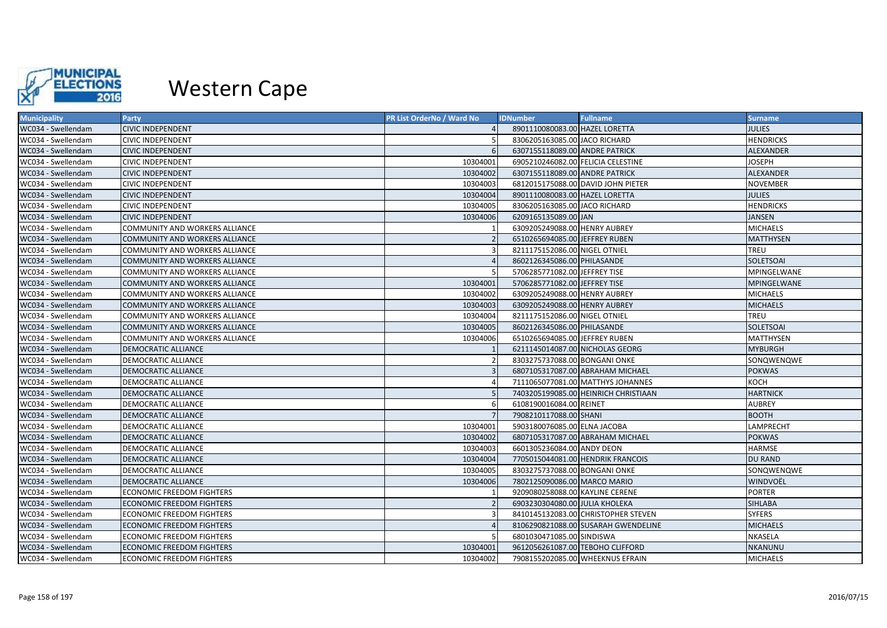

| <b>Municipality</b> | Party                                 | PR List OrderNo / Ward No | <b>IDNumber</b>                    | <b>Fullname</b>                      | <b>Surname</b>   |
|---------------------|---------------------------------------|---------------------------|------------------------------------|--------------------------------------|------------------|
| WC034 - Swellendam  | <b>CIVIC INDEPENDENT</b>              |                           | 8901110080083.00 HAZEL LORETTA     |                                      | <b>JULIES</b>    |
| WC034 - Swellendam  | <b>CIVIC INDEPENDENT</b>              |                           | 8306205163085.00 JACO RICHARD      |                                      | <b>HENDRICKS</b> |
| WC034 - Swellendam  | <b>CIVIC INDEPENDENT</b>              |                           | 6307155118089.00 ANDRE PATRICK     |                                      | <b>ALEXANDER</b> |
| WC034 - Swellendam  | <b>CIVIC INDEPENDENT</b>              | 10304001                  | 6905210246082.00 FELICIA CELESTINE |                                      | JOSEPH           |
| WC034 - Swellendam  | <b>CIVIC INDEPENDENT</b>              | 10304002                  | 6307155118089.00 ANDRE PATRICK     |                                      | <b>ALEXANDER</b> |
| WC034 - Swellendam  | <b>CIVIC INDEPENDENT</b>              | 10304003                  |                                    | 6812015175088.00 DAVID JOHN PIETER   | <b>NOVEMBER</b>  |
| WC034 - Swellendam  | <b>CIVIC INDEPENDENT</b>              | 10304004                  | 8901110080083.00 HAZEL LORETTA     |                                      | <b>JULIES</b>    |
| WC034 - Swellendam  | <b>CIVIC INDEPENDENT</b>              | 10304005                  | 8306205163085.00 JACO RICHARD      |                                      | <b>HENDRICKS</b> |
| WC034 - Swellendam  | <b>CIVIC INDEPENDENT</b>              | 10304006                  | 6209165135089.00 JAN               |                                      | JANSEN           |
| WC034 - Swellendam  | COMMUNITY AND WORKERS ALLIANCE        |                           | 6309205249088.00 HENRY AUBREY      |                                      | <b>MICHAELS</b>  |
| WC034 - Swellendam  | COMMUNITY AND WORKERS ALLIANCE        |                           | 6510265694085.00 JEFFREY RUBEN     |                                      | <b>MATTHYSEN</b> |
| WC034 - Swellendam  | <b>COMMUNITY AND WORKERS ALLIANCE</b> |                           | 8211175152086.00 NIGEL OTNIEL      |                                      | <b>TREU</b>      |
| WC034 - Swellendam  | <b>COMMUNITY AND WORKERS ALLIANCE</b> |                           | 8602126345086.00 PHILASANDE        |                                      | SOLETSOAI        |
| WC034 - Swellendam  | COMMUNITY AND WORKERS ALLIANCE        |                           | 5706285771082.00 JEFFREY TISE      |                                      | MPINGELWANE      |
| WC034 - Swellendam  | <b>COMMUNITY AND WORKERS ALLIANCE</b> | 10304001                  | 5706285771082.00 JEFFREY TISE      |                                      | MPINGELWANE      |
| WC034 - Swellendam  | COMMUNITY AND WORKERS ALLIANCE        | 10304002                  | 6309205249088.00 HENRY AUBREY      |                                      | <b>MICHAELS</b>  |
| WC034 - Swellendam  | <b>COMMUNITY AND WORKERS ALLIANCE</b> | 10304003                  | 6309205249088.00 HENRY AUBREY      |                                      | <b>MICHAELS</b>  |
| WC034 - Swellendam  | COMMUNITY AND WORKERS ALLIANCE        | 10304004                  | 8211175152086.00 NIGEL OTNIEL      |                                      | <b>TREU</b>      |
| WC034 - Swellendam  | <b>COMMUNITY AND WORKERS ALLIANCE</b> | 10304005                  | 8602126345086.00 PHILASANDE        |                                      | SOLETSOAI        |
| WC034 - Swellendam  | COMMUNITY AND WORKERS ALLIANCE        | 10304006                  | 6510265694085.00 JEFFREY RUBEN     |                                      | MATTHYSEN        |
| WC034 - Swellendam  | DEMOCRATIC ALLIANCE                   |                           | 6211145014087.00 NICHOLAS GEORG    |                                      | <b>MYBURGH</b>   |
| WC034 - Swellendam  | <b>DEMOCRATIC ALLIANCE</b>            |                           | 8303275737088.00 BONGANI ONKE      |                                      | SONQWENQWE       |
| WC034 - Swellendam  | <b>DEMOCRATIC ALLIANCE</b>            |                           |                                    | 6807105317087.00 ABRAHAM MICHAEL     | <b>POKWAS</b>    |
| WC034 - Swellendam  | DEMOCRATIC ALLIANCE                   |                           |                                    | 7111065077081.00 MATTHYS JOHANNES    | KOCH             |
| WC034 - Swellendam  | <b>DEMOCRATIC ALLIANCE</b>            |                           |                                    | 7403205199085.00 HEINRICH CHRISTIAAN | <b>HARTNICK</b>  |
| WC034 - Swellendam  | DEMOCRATIC ALLIANCE                   |                           | 6108190016084.00 REINET            |                                      | <b>AUBREY</b>    |
| WC034 - Swellendam  | <b>DEMOCRATIC ALLIANCE</b>            |                           | 7908210117088.00 SHANI             |                                      | <b>BOOTH</b>     |
| WC034 - Swellendam  | DEMOCRATIC ALLIANCE                   | 10304001                  | 5903180076085.00 ELNA JACOBA       |                                      | LAMPRECHT        |
| WC034 - Swellendam  | <b>DEMOCRATIC ALLIANCE</b>            | 10304002                  |                                    | 6807105317087.00 ABRAHAM MICHAEL     | <b>POKWAS</b>    |
| WC034 - Swellendam  | DEMOCRATIC ALLIANCE                   | 10304003                  | 6601305236084.00 ANDY DEON         |                                      | HARMSE           |
| WC034 - Swellendam  | DEMOCRATIC ALLIANCE                   | 10304004                  |                                    | 7705015044081.00 HENDRIK FRANCOIS    | DU RAND          |
| WC034 - Swellendam  | DEMOCRATIC ALLIANCE                   | 10304005                  | 8303275737088.00 BONGANI ONKE      |                                      | SONQWENQWE       |
| WC034 - Swellendam  | <b>DEMOCRATIC ALLIANCE</b>            | 10304006                  | 7802125090086.00 MARCO MARIO       |                                      | WINDVOËL         |
| WC034 - Swellendam  | <b>ECONOMIC FREEDOM FIGHTERS</b>      |                           | 9209080258088.00 KAYLINE CERENE    |                                      | <b>PORTER</b>    |
| WC034 - Swellendam  | <b>ECONOMIC FREEDOM FIGHTERS</b>      |                           | 6903230304080.00 JULIA KHOLEKA     |                                      | <b>SIHLABA</b>   |
| WC034 - Swellendam  | <b>ECONOMIC FREEDOM FIGHTERS</b>      |                           |                                    | 8410145132083.00 CHRISTOPHER STEVEN  | <b>SYFERS</b>    |
| WC034 - Swellendam  | <b>ECONOMIC FREEDOM FIGHTERS</b>      |                           |                                    | 8106290821088.00 SUSARAH GWENDELINE  | <b>MICHAELS</b>  |
| WC034 - Swellendam  | <b>ECONOMIC FREEDOM FIGHTERS</b>      |                           | 6801030471085.00 SINDISWA          |                                      | NKASELA          |
| WC034 - Swellendam  | <b>ECONOMIC FREEDOM FIGHTERS</b>      | 10304001                  | 9612056261087.00 TEBOHO CLIFFORD   |                                      | NKANUNU          |
| WC034 - Swellendam  | <b>ECONOMIC FREEDOM FIGHTERS</b>      | 10304002                  |                                    | 7908155202085.00 WHEEKNUS EFRAIN     | <b>MICHAELS</b>  |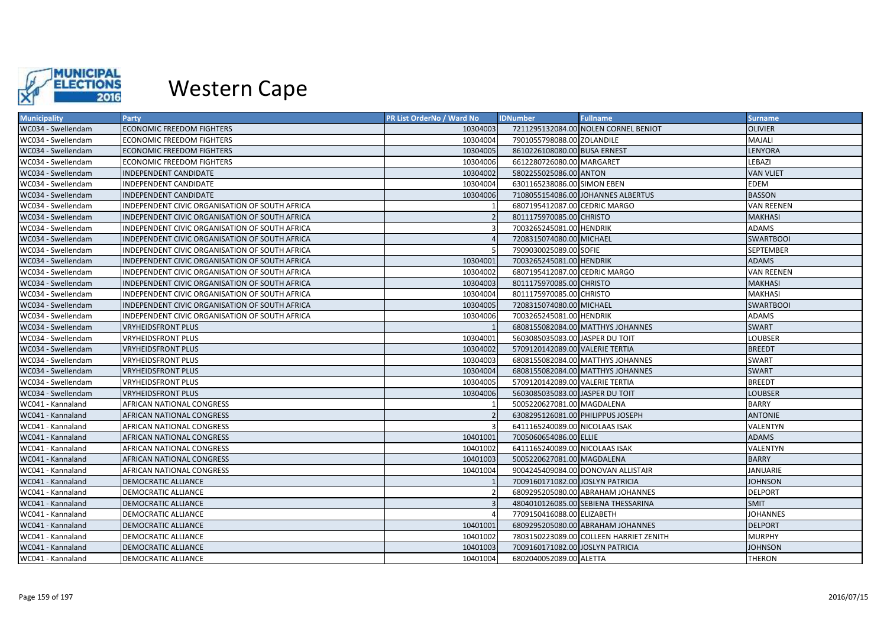

| <b>Municipality</b> | Party                                                 | <b>PR List OrderNo / Ward No</b> | <b>IDNumber</b>                   | <b>Fullname</b>                         | <b>Surname</b>    |
|---------------------|-------------------------------------------------------|----------------------------------|-----------------------------------|-----------------------------------------|-------------------|
| WC034 - Swellendam  | <b>ECONOMIC FREEDOM FIGHTERS</b>                      | 10304003                         |                                   | 7211295132084.00 NOLEN CORNEL BENIOT    | <b>OLIVIER</b>    |
| WC034 - Swellendam  | <b>ECONOMIC FREEDOM FIGHTERS</b>                      | 10304004                         | 7901055798088.00 ZOLANDILE        |                                         | <b>MAJALI</b>     |
| WC034 - Swellendam  | <b>ECONOMIC FREEDOM FIGHTERS</b>                      | 10304005                         | 8610226108080.00 BUSA ERNEST      |                                         | <b>LENYORA</b>    |
| WC034 - Swellendam  | <b>ECONOMIC FREEDOM FIGHTERS</b>                      | 10304006                         | 6612280726080.00 MARGARET         |                                         | LEBAZI            |
| WC034 - Swellendam  | INDEPENDENT CANDIDATE                                 | 10304002                         | 5802255025086.00 ANTON            |                                         | <b>VAN VLIET</b>  |
| WC034 - Swellendam  | <b>INDEPENDENT CANDIDATE</b>                          | 10304004                         | 6301165238086.00 SIMON EBEN       |                                         | <b>EDEM</b>       |
| WC034 - Swellendam  | <b>INDEPENDENT CANDIDATE</b>                          | 10304006                         |                                   | 7108055154086.00 JOHANNES ALBERTUS      | <b>BASSON</b>     |
| WC034 - Swellendam  | INDEPENDENT CIVIC ORGANISATION OF SOUTH AFRICA        |                                  | 6807195412087.00 CEDRIC MARGO     |                                         | <b>VAN REENEN</b> |
| WC034 - Swellendam  | INDEPENDENT CIVIC ORGANISATION OF SOUTH AFRICA        |                                  | 8011175970085.00 CHRISTO          |                                         | <b>MAKHASI</b>    |
| WC034 - Swellendam  | INDEPENDENT CIVIC ORGANISATION OF SOUTH AFRICA        |                                  | 7003265245081.00 HENDRIK          |                                         | <b>ADAMS</b>      |
| WC034 - Swellendam  | <b>INDEPENDENT CIVIC ORGANISATION OF SOUTH AFRICA</b> |                                  | 7208315074080.00 MICHAEL          |                                         | <b>SWARTBOOI</b>  |
| WC034 - Swellendam  | INDEPENDENT CIVIC ORGANISATION OF SOUTH AFRICA        |                                  | 7909030025089.00 SOFIE            |                                         | <b>SEPTEMBER</b>  |
| WC034 - Swellendam  | INDEPENDENT CIVIC ORGANISATION OF SOUTH AFRICA        | 10304001                         | 7003265245081.00 HENDRIK          |                                         | <b>ADAMS</b>      |
| WC034 - Swellendam  | INDEPENDENT CIVIC ORGANISATION OF SOUTH AFRICA        | 10304002                         | 6807195412087.00 CEDRIC MARGO     |                                         | <b>VAN REENEN</b> |
| WC034 - Swellendam  | INDEPENDENT CIVIC ORGANISATION OF SOUTH AFRICA        | 10304003                         | 8011175970085.00 CHRISTO          |                                         | <b>MAKHASI</b>    |
| WC034 - Swellendam  | INDEPENDENT CIVIC ORGANISATION OF SOUTH AFRICA        | 10304004                         | 8011175970085.00 CHRISTO          |                                         | <b>MAKHASI</b>    |
| WC034 - Swellendam  | INDEPENDENT CIVIC ORGANISATION OF SOUTH AFRICA        | 10304005                         | 7208315074080.00 MICHAEL          |                                         | <b>SWARTBOOI</b>  |
| WC034 - Swellendam  | INDEPENDENT CIVIC ORGANISATION OF SOUTH AFRICA        | 10304006                         | 7003265245081.00 HENDRIK          |                                         | <b>ADAMS</b>      |
| WC034 - Swellendam  | <b>VRYHEIDSFRONT PLUS</b>                             |                                  |                                   | 6808155082084.00 MATTHYS JOHANNES       | <b>SWART</b>      |
| WC034 - Swellendam  | <b>VRYHEIDSFRONT PLUS</b>                             | 10304001                         | 5603085035083.00 JASPER DU TOIT   |                                         | <b>LOUBSER</b>    |
| WC034 - Swellendam  | <b>VRYHEIDSFRONT PLUS</b>                             | 10304002                         | 5709120142089.00 VALERIE TERTIA   |                                         | <b>BREEDT</b>     |
| WC034 - Swellendam  | VRYHEIDSFRONT PLUS                                    | 10304003                         |                                   | 6808155082084.00 MATTHYS JOHANNES       | <b>SWART</b>      |
| WC034 - Swellendam  | <b>VRYHEIDSFRONT PLUS</b>                             | 10304004                         |                                   | 6808155082084.00 MATTHYS JOHANNES       | <b>SWART</b>      |
| WC034 - Swellendam  | <b>VRYHEIDSFRONT PLUS</b>                             | 10304005                         | 5709120142089.00 VALERIE TERTIA   |                                         | <b>BREEDT</b>     |
| WC034 - Swellendam  | <b>VRYHEIDSFRONT PLUS</b>                             | 10304006                         | 5603085035083.00 JASPER DU TOIT   |                                         | <b>LOUBSER</b>    |
| WC041 - Kannaland   | AFRICAN NATIONAL CONGRESS                             |                                  | 5005220627081.00 MAGDALENA        |                                         | <b>BARRY</b>      |
| WC041 - Kannaland   | AFRICAN NATIONAL CONGRESS                             |                                  | 6308295126081.00 PHILIPPUS JOSEPH |                                         | <b>ANTONIE</b>    |
| WC041 - Kannaland   | AFRICAN NATIONAL CONGRESS                             |                                  | 6411165240089.00 NICOLAAS ISAK    |                                         | VALENTYN          |
| WC041 - Kannaland   | AFRICAN NATIONAL CONGRESS                             | 10401001                         | 7005060654086.00 ELLIE            |                                         | <b>ADAMS</b>      |
| WC041 - Kannaland   | AFRICAN NATIONAL CONGRESS                             | 10401002                         | 6411165240089.00 NICOLAAS ISAK    |                                         | VALENTYN          |
| WC041 - Kannaland   | AFRICAN NATIONAL CONGRESS                             | 10401003                         | 5005220627081.00 MAGDALENA        |                                         | <b>BARRY</b>      |
| WC041 - Kannaland   | AFRICAN NATIONAL CONGRESS                             | 10401004                         |                                   | 9004245409084.00 DONOVAN ALLISTAIR      | <b>JANUARIE</b>   |
| WC041 - Kannaland   | <b>DEMOCRATIC ALLIANCE</b>                            |                                  | 7009160171082.00 JOSLYN PATRICIA  |                                         | <b>JOHNSON</b>    |
| WC041 - Kannaland   | <b>DEMOCRATIC ALLIANCE</b>                            |                                  |                                   | 6809295205080.00 ABRAHAM JOHANNES       | <b>DELPORT</b>    |
| WC041 - Kannaland   | <b>DEMOCRATIC ALLIANCE</b>                            |                                  |                                   | 4804010126085.00 SEBIENA THESSARINA     | <b>SMIT</b>       |
| WC041 - Kannaland   | <b>DEMOCRATIC ALLIANCE</b>                            |                                  | 7709150416088.00 ELIZABETH        |                                         | <b>JOHANNES</b>   |
| WC041 - Kannaland   | DEMOCRATIC ALLIANCE                                   | 10401001                         |                                   | 6809295205080.00 ABRAHAM JOHANNES       | <b>DELPORT</b>    |
| WC041 - Kannaland   | DEMOCRATIC ALLIANCE                                   | 10401002                         |                                   | 7803150223089.00 COLLEEN HARRIET ZENITH | <b>MURPHY</b>     |
| WC041 - Kannaland   | <b>DEMOCRATIC ALLIANCE</b>                            | 10401003                         | 7009160171082.00 JOSLYN PATRICIA  |                                         | <b>JOHNSON</b>    |
| WC041 - Kannaland   | <b>DEMOCRATIC ALLIANCE</b>                            | 10401004                         | 6802040052089.00 ALETTA           |                                         | <b>THERON</b>     |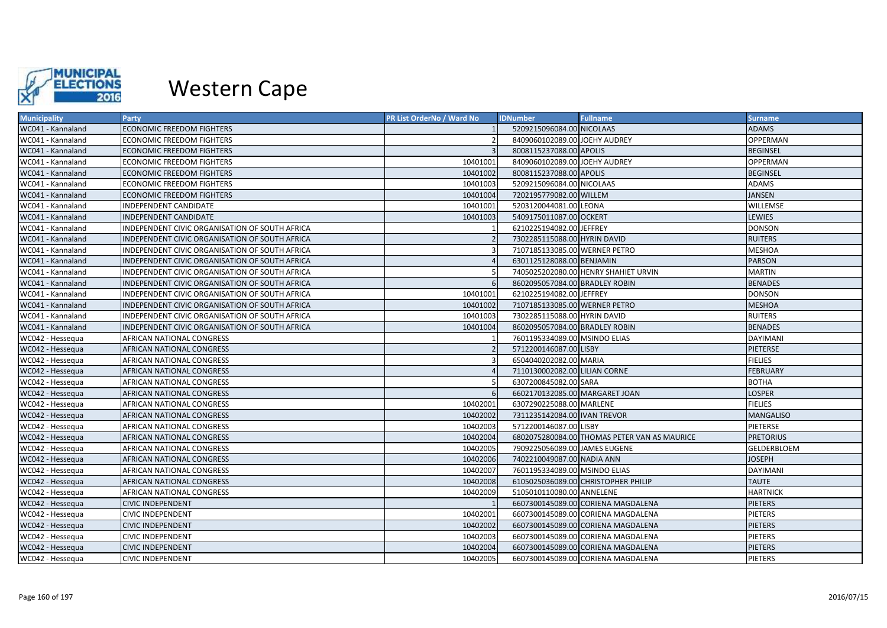

| <b>Municipality</b> | Party                                          | <b>PR List OrderNo / Ward No</b> | <b>IDNumber</b>                | <b>Fullname</b>                              | <b>Surname</b>   |
|---------------------|------------------------------------------------|----------------------------------|--------------------------------|----------------------------------------------|------------------|
| WC041 - Kannaland   | <b>ECONOMIC FREEDOM FIGHTERS</b>               |                                  | 5209215096084.00 NICOLAAS      |                                              | <b>ADAMS</b>     |
| WC041 - Kannaland   | <b>ECONOMIC FREEDOM FIGHTERS</b>               |                                  | 8409060102089.00 JOEHY AUDREY  |                                              | <b>OPPERMAN</b>  |
| WC041 - Kannaland   | <b>ECONOMIC FREEDOM FIGHTERS</b>               |                                  | 8008115237088.00 APOLIS        |                                              | <b>BEGINSEL</b>  |
| WC041 - Kannaland   | <b>ECONOMIC FREEDOM FIGHTERS</b>               | 10401001                         | 8409060102089.00 JOEHY AUDREY  |                                              | OPPERMAN         |
| WC041 - Kannaland   | <b>ECONOMIC FREEDOM FIGHTERS</b>               | 10401002                         | 8008115237088.00 APOLIS        |                                              | <b>BEGINSEL</b>  |
| WC041 - Kannaland   | <b>ECONOMIC FREEDOM FIGHTERS</b>               | 10401003                         | 5209215096084.00 NICOLAAS      |                                              | ADAMS            |
| WC041 - Kannaland   | <b>ECONOMIC FREEDOM FIGHTERS</b>               | 10401004                         | 7202195779082.00 WILLEM        |                                              | <b>JANSEN</b>    |
| WC041 - Kannaland   | <b>INDEPENDENT CANDIDATE</b>                   | 10401001                         | 5203120044081.00 LEONA         |                                              | WILLEMSE         |
| WC041 - Kannaland   | <b>INDEPENDENT CANDIDATE</b>                   | 10401003                         | 5409175011087.00 OCKERT        |                                              | <b>LEWIES</b>    |
| WC041 - Kannaland   | INDEPENDENT CIVIC ORGANISATION OF SOUTH AFRICA |                                  | 6210225194082.00 JEFFREY       |                                              | <b>DONSON</b>    |
| WC041 - Kannaland   | INDEPENDENT CIVIC ORGANISATION OF SOUTH AFRICA |                                  | 7302285115088.00 HYRIN DAVID   |                                              | <b>RUITERS</b>   |
| WC041 - Kannaland   | INDEPENDENT CIVIC ORGANISATION OF SOUTH AFRICA |                                  | 7107185133085.00 WERNER PETRO  |                                              | <b>MESHOA</b>    |
| WC041 - Kannaland   | INDEPENDENT CIVIC ORGANISATION OF SOUTH AFRICA |                                  | 6301125128088.00 BENJAMIN      |                                              | <b>PARSON</b>    |
| WC041 - Kannaland   | INDEPENDENT CIVIC ORGANISATION OF SOUTH AFRICA |                                  |                                | 7405025202080.00 HENRY SHAHIET URVIN         | <b>MARTIN</b>    |
| WC041 - Kannaland   | INDEPENDENT CIVIC ORGANISATION OF SOUTH AFRICA | 6                                | 8602095057084.00 BRADLEY ROBIN |                                              | <b>BENADES</b>   |
| WC041 - Kannaland   | INDEPENDENT CIVIC ORGANISATION OF SOUTH AFRICA | 10401001                         | 6210225194082.00 JEFFREY       |                                              | <b>DONSON</b>    |
| WC041 - Kannaland   | INDEPENDENT CIVIC ORGANISATION OF SOUTH AFRICA | 10401002                         | 7107185133085.00 WERNER PETRO  |                                              | <b>MESHOA</b>    |
| WC041 - Kannaland   | INDEPENDENT CIVIC ORGANISATION OF SOUTH AFRICA | 10401003                         | 7302285115088.00 HYRIN DAVID   |                                              | <b>RUITERS</b>   |
| WC041 - Kannaland   | INDEPENDENT CIVIC ORGANISATION OF SOUTH AFRICA | 10401004                         | 8602095057084.00 BRADLEY ROBIN |                                              | <b>BENADES</b>   |
| WC042 - Hessequa    | AFRICAN NATIONAL CONGRESS                      |                                  | 7601195334089.00 MSINDO ELIAS  |                                              | <b>DAYIMANI</b>  |
| WC042 - Hessequa    | AFRICAN NATIONAL CONGRESS                      |                                  | 5712200146087.00 LISBY         |                                              | <b>PIETERSE</b>  |
| WC042 - Hessequa    | AFRICAN NATIONAL CONGRESS                      |                                  | 6504040202082.00 MARIA         |                                              | <b>FIELIES</b>   |
| WC042 - Hessequa    | AFRICAN NATIONAL CONGRESS                      |                                  | 7110130002082.00 LILIAN CORNE  |                                              | <b>FEBRUARY</b>  |
| WC042 - Hessequa    | AFRICAN NATIONAL CONGRESS                      |                                  | 6307200845082.00 SARA          |                                              | <b>BOTHA</b>     |
| WC042 - Hessequa    | AFRICAN NATIONAL CONGRESS                      | 6                                | 6602170132085.00 MARGARET JOAN |                                              | <b>LOSPER</b>    |
| WC042 - Hessequa    | AFRICAN NATIONAL CONGRESS                      | 10402001                         | 6307290225088.00 MARLENE       |                                              | <b>FIELIES</b>   |
| WC042 - Hessequa    | AFRICAN NATIONAL CONGRESS                      | 10402002                         | 7311235142084.00 IVAN TREVOR   |                                              | <b>MANGALISO</b> |
| WC042 - Hessequa    | AFRICAN NATIONAL CONGRESS                      | 10402003                         | 5712200146087.00 LISBY         |                                              | <b>PIETERSE</b>  |
| WC042 - Hessequa    | AFRICAN NATIONAL CONGRESS                      | 10402004                         |                                | 6802075280084.00 THOMAS PETER VAN AS MAURICE | <b>PRETORIUS</b> |
| WC042 - Hessequa    | AFRICAN NATIONAL CONGRESS                      | 10402005                         | 7909225056089.00 JAMES EUGENE  |                                              | GELDERBLOEM      |
| WC042 - Hessequa    | AFRICAN NATIONAL CONGRESS                      | 10402006                         | 7402210049087.00 NADIA ANN     |                                              | <b>JOSEPH</b>    |
| WC042 - Hessequa    | AFRICAN NATIONAL CONGRESS                      | 10402007                         | 7601195334089.00 MSINDO ELIAS  |                                              | <b>DAYIMANI</b>  |
| WC042 - Hessequa    | AFRICAN NATIONAL CONGRESS                      | 10402008                         |                                | 6105025036089.00 CHRISTOPHER PHILIP          | <b>TAUTE</b>     |
| WC042 - Hessequa    | AFRICAN NATIONAL CONGRESS                      | 10402009                         | 5105010110080.00 ANNELENE      |                                              | <b>HARTNICK</b>  |
| WC042 - Hessequa    | <b>CIVIC INDEPENDENT</b>                       |                                  |                                | 6607300145089.00 CORIENA MAGDALENA           | <b>PIETERS</b>   |
| WC042 - Hessequa    | <b>CIVIC INDEPENDENT</b>                       | 10402001                         |                                | 6607300145089.00 CORIENA MAGDALENA           | <b>PIETERS</b>   |
| WC042 - Hessequa    | <b>CIVIC INDEPENDENT</b>                       | 10402002                         |                                | 6607300145089.00 CORIENA MAGDALENA           | <b>PIETERS</b>   |
| WC042 - Hessequa    | <b>CIVIC INDEPENDENT</b>                       | 10402003                         |                                | 6607300145089.00 CORIENA MAGDALENA           | <b>PIETERS</b>   |
| WC042 - Hessequa    | <b>CIVIC INDEPENDENT</b>                       | 10402004                         |                                | 6607300145089.00 CORIENA MAGDALENA           | <b>PIETERS</b>   |
| WC042 - Hessequa    | <b>CIVIC INDEPENDENT</b>                       | 10402005                         |                                | 6607300145089.00 CORIENA MAGDALENA           | <b>PIETERS</b>   |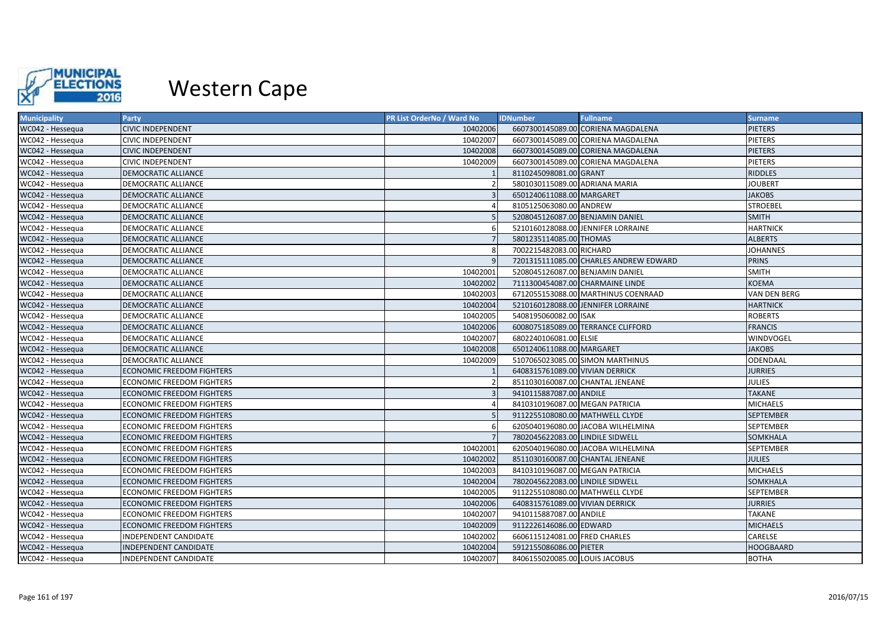

| <b>Municipality</b> | <b>Party</b>                     | <b>PR List OrderNo / Ward No</b> | <b>IDNumber</b>                  | <b>Fullname</b>                        | <b>Surname</b>   |
|---------------------|----------------------------------|----------------------------------|----------------------------------|----------------------------------------|------------------|
| WC042 - Hessequa    | <b>CIVIC INDEPENDENT</b>         | 10402006                         |                                  | 6607300145089.00 CORIENA MAGDALENA     | <b>PIETERS</b>   |
| WC042 - Hessequa    | <b>CIVIC INDEPENDENT</b>         | 10402007                         |                                  | 6607300145089.00 CORIENA MAGDALENA     | <b>PIETERS</b>   |
| WC042 - Hessequa    | <b>CIVIC INDEPENDENT</b>         | 10402008                         |                                  | 6607300145089.00 CORIENA MAGDALENA     | <b>PIETERS</b>   |
| WC042 - Hessegua    | <b>CIVIC INDEPENDENT</b>         | 10402009                         |                                  | 6607300145089.00 CORIENA MAGDALENA     | <b>PIETERS</b>   |
| WC042 - Hessequa    | <b>DEMOCRATIC ALLIANCE</b>       |                                  | 8110245098081.00 GRANT           |                                        | <b>RIDDLES</b>   |
| WC042 - Hessequa    | <b>DEMOCRATIC ALLIANCE</b>       |                                  | 5801030115089.00 ADRIANA MARIA   |                                        | <b>JOUBERT</b>   |
| WC042 - Hessequa    | <b>DEMOCRATIC ALLIANCE</b>       |                                  | 6501240611088.00 MARGARET        |                                        | <b>JAKOBS</b>    |
| WC042 - Hessequa    | <b>DEMOCRATIC ALLIANCE</b>       |                                  | 8105125063080.00 ANDREW          |                                        | <b>STROEBEL</b>  |
| WC042 - Hessequa    | <b>DEMOCRATIC ALLIANCE</b>       |                                  | 5208045126087.00 BENJAMIN DANIEL |                                        | <b>SMITH</b>     |
| WC042 - Hessequa    | DEMOCRATIC ALLIANCE              |                                  |                                  | 5210160128088.00 JENNIFER LORRAINE     | <b>HARTNICK</b>  |
| WC042 - Hessequa    | <b>DEMOCRATIC ALLIANCE</b>       |                                  | 5801235114085.00 THOMAS          |                                        | <b>ALBERTS</b>   |
| WC042 - Hessequa    | <b>DEMOCRATIC ALLIANCE</b>       |                                  | 7002215482083.00 RICHARD         |                                        | <b>JOHANNES</b>  |
| WC042 - Hessequa    | <b>DEMOCRATIC ALLIANCE</b>       |                                  |                                  | 7201315111085.00 CHARLES ANDREW EDWARD | <b>PRINS</b>     |
| WC042 - Hessequa    | <b>DEMOCRATIC ALLIANCE</b>       | 10402001                         | 5208045126087.00 BENJAMIN DANIEL |                                        | <b>SMITH</b>     |
| WC042 - Hessequa    | <b>DEMOCRATIC ALLIANCE</b>       | 10402002                         |                                  | 7111300454087.00 CHARMAINE LINDE       | <b>KOEMA</b>     |
| WC042 - Hessequa    | DEMOCRATIC ALLIANCE              | 10402003                         |                                  | 6712055153088.00 MARTHINUS COENRAAD    | VAN DEN BERG     |
| WC042 - Hessequa    | <b>DEMOCRATIC ALLIANCE</b>       | 10402004                         |                                  | 5210160128088.00 JENNIFER LORRAINE     | <b>HARTNICK</b>  |
| WC042 - Hessequa    | <b>DEMOCRATIC ALLIANCE</b>       | 10402005                         | 5408195060082.00 ISAK            |                                        | <b>ROBERTS</b>   |
| WC042 - Hessequa    | <b>DEMOCRATIC ALLIANCE</b>       | 10402006                         |                                  | 6008075185089.00 TERRANCE CLIFFORD     | <b>FRANCIS</b>   |
| WC042 - Hessequa    | <b>DEMOCRATIC ALLIANCE</b>       | 10402007                         | 6802240106081.00 ELSIE           |                                        | WINDVOGEL        |
| WC042 - Hessequa    | <b>DEMOCRATIC ALLIANCE</b>       | 10402008                         | 6501240611088.00 MARGARET        |                                        | <b>JAKOBS</b>    |
| WC042 - Hessequa    | <b>DEMOCRATIC ALLIANCE</b>       | 10402009                         |                                  | 5107065023085.00 SIMON MARTHINUS       | ODENDAAL         |
| WC042 - Hessequa    | <b>ECONOMIC FREEDOM FIGHTERS</b> |                                  | 6408315761089.00 VIVIAN DERRICK  |                                        | <b>JURRIES</b>   |
| WC042 - Hessequa    | <b>ECONOMIC FREEDOM FIGHTERS</b> |                                  | 8511030160087.00 CHANTAL JENEANE |                                        | <b>JULIES</b>    |
| WC042 - Hessequa    | <b>ECONOMIC FREEDOM FIGHTERS</b> |                                  | 9410115887087.00 ANDILE          |                                        | <b>TAKANE</b>    |
| WC042 - Hessequa    | <b>ECONOMIC FREEDOM FIGHTERS</b> |                                  | 8410310196087.00 MEGAN PATRICIA  |                                        | <b>MICHAELS</b>  |
| WC042 - Hessequa    | <b>ECONOMIC FREEDOM FIGHTERS</b> |                                  | 9112255108080.00 MATHWELL CLYDE  |                                        | <b>SEPTEMBER</b> |
| WC042 - Hessequa    | <b>ECONOMIC FREEDOM FIGHTERS</b> |                                  |                                  | 6205040196080.00 JACOBA WILHELMINA     | <b>SEPTEMBER</b> |
| WC042 - Hessequa    | <b>ECONOMIC FREEDOM FIGHTERS</b> |                                  | 7802045622083.00 LINDILE SIDWELL |                                        | <b>SOMKHALA</b>  |
| WC042 - Hessequa    | <b>ECONOMIC FREEDOM FIGHTERS</b> | 10402001                         |                                  | 6205040196080.00 JACOBA WILHELMINA     | <b>SEPTEMBER</b> |
| WC042 - Hessequa    | <b>ECONOMIC FREEDOM FIGHTERS</b> | 10402002                         |                                  | 8511030160087.00 CHANTAL JENEANE       | <b>JULIES</b>    |
| WC042 - Hessequa    | <b>ECONOMIC FREEDOM FIGHTERS</b> | 10402003                         | 8410310196087.00 MEGAN PATRICIA  |                                        | <b>MICHAELS</b>  |
| WC042 - Hessequa    | <b>ECONOMIC FREEDOM FIGHTERS</b> | 10402004                         | 7802045622083.00 LINDILE SIDWELL |                                        | <b>SOMKHALA</b>  |
| WC042 - Hessequa    | <b>ECONOMIC FREEDOM FIGHTERS</b> | 10402005                         | 9112255108080.00 MATHWELL CLYDE  |                                        | <b>SEPTEMBER</b> |
| WC042 - Hessequa    | <b>ECONOMIC FREEDOM FIGHTERS</b> | 10402006                         | 6408315761089.00 VIVIAN DERRICK  |                                        | <b>JURRIES</b>   |
| WC042 - Hessequa    | <b>ECONOMIC FREEDOM FIGHTERS</b> | 10402007                         | 9410115887087.00 ANDILE          |                                        | <b>TAKANE</b>    |
| WC042 - Hessequa    | <b>ECONOMIC FREEDOM FIGHTERS</b> | 10402009                         | 9112226146086.00 EDWARD          |                                        | <b>MICHAELS</b>  |
| WC042 - Hessequa    | INDEPENDENT CANDIDATE            | 10402002                         | 6606115124081.00 FRED CHARLES    |                                        | CARELSE          |
| WC042 - Hessequa    | INDEPENDENT CANDIDATE            | 10402004                         | 5912155086086.00 PIETER          |                                        | <b>HOOGBAARD</b> |
| WC042 - Hessequa    | <b>INDEPENDENT CANDIDATE</b>     | 10402007                         | 8406155020085.00 LOUIS JACOBUS   |                                        | <b>BOTHA</b>     |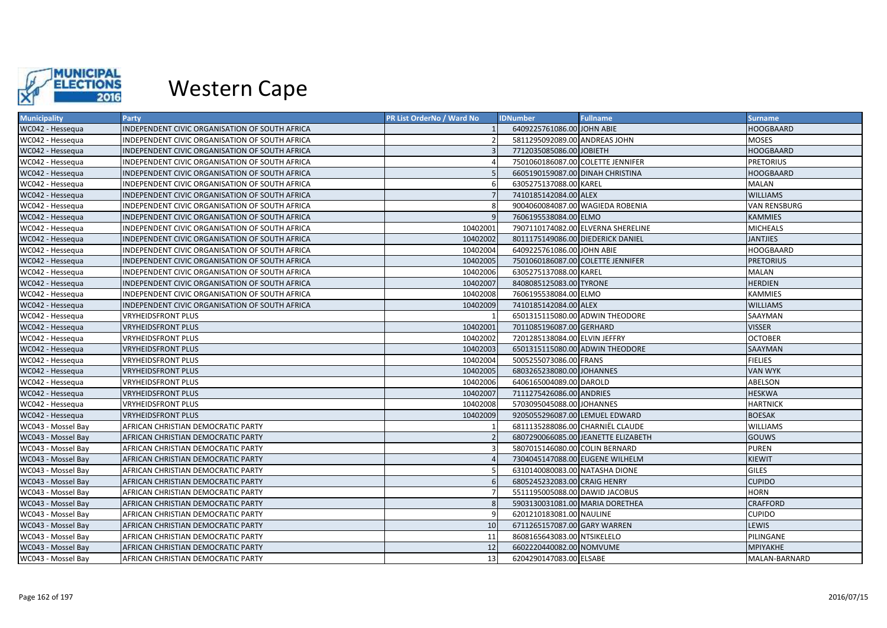

| <b>Municipality</b> | <b>Party</b>                                   | <b>PR List OrderNo / Ward No</b> | <b>IDNumber</b>                   | <b>Fullname</b>                     | <b>Surname</b>      |
|---------------------|------------------------------------------------|----------------------------------|-----------------------------------|-------------------------------------|---------------------|
| WC042 - Hessequa    | INDEPENDENT CIVIC ORGANISATION OF SOUTH AFRICA |                                  | 6409225761086.00 JOHN ABIE        |                                     | <b>HOOGBAARD</b>    |
| WC042 - Hessequa    | INDEPENDENT CIVIC ORGANISATION OF SOUTH AFRICA |                                  | 5811295092089.00 ANDREAS JOHN     |                                     | <b>MOSES</b>        |
| WC042 - Hessequa    | INDEPENDENT CIVIC ORGANISATION OF SOUTH AFRICA |                                  | 7712035085086.00 JOBIETH          |                                     | <b>HOOGBAARD</b>    |
| WC042 - Hessegua    | INDEPENDENT CIVIC ORGANISATION OF SOUTH AFRICA |                                  | 7501060186087.00 COLETTE JENNIFER |                                     | <b>PRETORIUS</b>    |
| WC042 - Hessequa    | INDEPENDENT CIVIC ORGANISATION OF SOUTH AFRICA |                                  | 6605190159087.00 DINAH CHRISTINA  |                                     | <b>HOOGBAARD</b>    |
| WC042 - Hessequa    | INDEPENDENT CIVIC ORGANISATION OF SOUTH AFRICA |                                  | 6305275137088.00 KAREL            |                                     | <b>MALAN</b>        |
| WC042 - Hessequa    | INDEPENDENT CIVIC ORGANISATION OF SOUTH AFRICA |                                  | 7410185142084.00 ALEX             |                                     | <b>WILLIAMS</b>     |
| WC042 - Hessequa    | INDEPENDENT CIVIC ORGANISATION OF SOUTH AFRICA |                                  |                                   | 9004060084087.00 WAGIEDA ROBENIA    | <b>VAN RENSBURG</b> |
| WC042 - Hessegua    | INDEPENDENT CIVIC ORGANISATION OF SOUTH AFRICA |                                  | 7606195538084.00 ELMO             |                                     | <b>KAMMIES</b>      |
| WC042 - Hessequa    | INDEPENDENT CIVIC ORGANISATION OF SOUTH AFRICA | 10402001                         |                                   | 7907110174082.00 ELVERNA SHERELINE  | <b>MICHEALS</b>     |
| WC042 - Hessequa    | INDEPENDENT CIVIC ORGANISATION OF SOUTH AFRICA | 10402002                         | 8011175149086.00 DIEDERICK DANIEL |                                     | <b>JANTJIES</b>     |
| WC042 - Hessegua    | INDEPENDENT CIVIC ORGANISATION OF SOUTH AFRICA | 10402004                         | 6409225761086.00 JOHN ABIE        |                                     | <b>HOOGBAARD</b>    |
| WC042 - Hessequa    | INDEPENDENT CIVIC ORGANISATION OF SOUTH AFRICA | 10402005                         | 7501060186087.00 COLETTE JENNIFER |                                     | <b>PRETORIUS</b>    |
| WC042 - Hessequa    | INDEPENDENT CIVIC ORGANISATION OF SOUTH AFRICA | 10402006                         | 6305275137088.00 KAREL            |                                     | <b>MALAN</b>        |
| WC042 - Hessegua    | INDEPENDENT CIVIC ORGANISATION OF SOUTH AFRICA | 10402007                         | 8408085125083.00 TYRONE           |                                     | <b>HERDIEN</b>      |
| WC042 - Hessequa    | INDEPENDENT CIVIC ORGANISATION OF SOUTH AFRICA | 10402008                         | 7606195538084.00 ELMO             |                                     | <b>KAMMIES</b>      |
| WC042 - Hessequa    | INDEPENDENT CIVIC ORGANISATION OF SOUTH AFRICA | 10402009                         | 7410185142084.00 ALEX             |                                     | <b>WILLIAMS</b>     |
| WC042 - Hessequa    | <b>VRYHEIDSFRONT PLUS</b>                      |                                  | 6501315115080.00 ADWIN THEODORE   |                                     | SAAYMAN             |
| WC042 - Hessequa    | <b>VRYHEIDSFRONT PLUS</b>                      | 10402001                         | 7011085196087.00 GERHARD          |                                     | <b>VISSER</b>       |
| WC042 - Hessequa    | <b>VRYHEIDSFRONT PLUS</b>                      | 10402002                         | 7201285138084.00 ELVIN JEFFRY     |                                     | <b>OCTOBER</b>      |
| WC042 - Hessegua    | VRYHEIDSFRONT PLUS                             | 10402003                         | 6501315115080.00 ADWIN THEODORE   |                                     | SAAYMAN             |
| WC042 - Hessequa    | <b>VRYHEIDSFRONT PLUS</b>                      | 10402004                         | 5005255073086.00 FRANS            |                                     | <b>FIELIES</b>      |
| WC042 - Hessegua    | <b>VRYHEIDSFRONT PLUS</b>                      | 10402005                         | 6803265238080.00 JOHANNES         |                                     | <b>VAN WYK</b>      |
| WC042 - Hessequa    | VRYHEIDSFRONT PLUS                             | 10402006                         | 6406165004089.00 DAROLD           |                                     | ABELSON             |
| WC042 - Hessequa    | <b>VRYHEIDSFRONT PLUS</b>                      | 10402007                         | 7111275426086.00 ANDRIES          |                                     | <b>HESKWA</b>       |
| WC042 - Hessequa    | <b>VRYHEIDSFRONT PLUS</b>                      | 10402008                         | 5703095045088.00 JOHANNES         |                                     | <b>HARTNICK</b>     |
| WC042 - Hessequa    | VRYHEIDSFRONT PLUS                             | 10402009                         | 9205055296087.00 LEMUEL EDWARD    |                                     | <b>BOESAK</b>       |
| WC043 - Mossel Bay  | AFRICAN CHRISTIAN DEMOCRATIC PARTY             |                                  | 6811135288086.00 CHARNIËL CLAUDE  |                                     | <b>WILLIAMS</b>     |
| WC043 - Mossel Bay  | AFRICAN CHRISTIAN DEMOCRATIC PARTY             |                                  |                                   | 6807290066085.00 JEANETTE ELIZABETH | <b>GOUWS</b>        |
| WC043 - Mossel Bay  | AFRICAN CHRISTIAN DEMOCRATIC PARTY             |                                  | 5807015146080.00 COLIN BERNARD    |                                     | <b>PUREN</b>        |
| WC043 - Mossel Bay  | AFRICAN CHRISTIAN DEMOCRATIC PARTY             |                                  | 7304045147088.00 EUGENE WILHELM   |                                     | <b>KIEWIT</b>       |
| WC043 - Mossel Bay  | AFRICAN CHRISTIAN DEMOCRATIC PARTY             |                                  | 6310140080083.00 NATASHA DIONE    |                                     | <b>GILES</b>        |
| WC043 - Mossel Bay  | AFRICAN CHRISTIAN DEMOCRATIC PARTY             |                                  | 6805245232083.00 CRAIG HENRY      |                                     | <b>CUPIDO</b>       |
| WC043 - Mossel Bay  | AFRICAN CHRISTIAN DEMOCRATIC PARTY             |                                  | 5511195005088.00 DAWID JACOBUS    |                                     | <b>HORN</b>         |
| WC043 - Mossel Bay  | AFRICAN CHRISTIAN DEMOCRATIC PARTY             |                                  | 5903130031081.00 MARIA DORETHEA   |                                     | <b>CRAFFORD</b>     |
| WC043 - Mossel Bay  | AFRICAN CHRISTIAN DEMOCRATIC PARTY             |                                  | 6201210183081.00 NAULINE          |                                     | <b>CUPIDO</b>       |
| WC043 - Mossel Bay  | AFRICAN CHRISTIAN DEMOCRATIC PARTY             | 10                               | 6711265157087.00 GARY WARREN      |                                     | <b>LEWIS</b>        |
| WC043 - Mossel Bay  | AFRICAN CHRISTIAN DEMOCRATIC PARTY             | 11                               | 8608165643083.00 NTSIKELELO       |                                     | PILINGANE           |
| WC043 - Mossel Bay  | AFRICAN CHRISTIAN DEMOCRATIC PARTY             | 12                               | 6602220440082.00 NOMVUME          |                                     | MPIYAKHE            |
| WC043 - Mossel Bay  | AFRICAN CHRISTIAN DEMOCRATIC PARTY             | 13                               | 6204290147083.00 ELSABE           |                                     | MALAN-BARNARD       |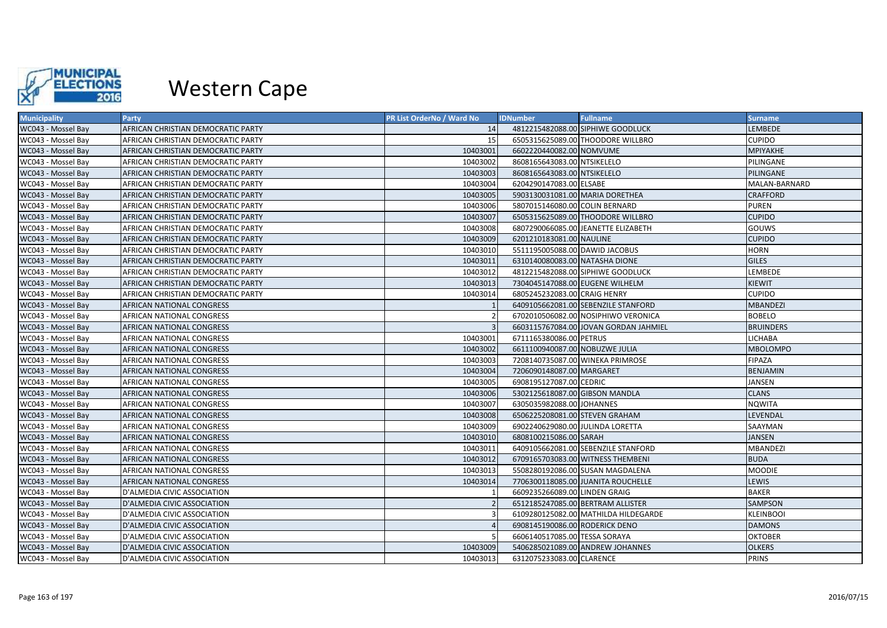

| <b>Municipality</b> | Party                              | <b>PR List OrderNo / Ward No</b> | <b>IDNumber</b><br><b>Fullname</b>    | <b>Surname</b>   |
|---------------------|------------------------------------|----------------------------------|---------------------------------------|------------------|
| WC043 - Mossel Bay  | AFRICAN CHRISTIAN DEMOCRATIC PARTY | 14                               | 4812215482088.00 SIPHIWE GOODLUCK     | <b>LEMBEDE</b>   |
| WC043 - Mossel Bay  | AFRICAN CHRISTIAN DEMOCRATIC PARTY | 15                               | 6505315625089.00 THOODORE WILLBRO     | <b>CUPIDO</b>    |
| WC043 - Mossel Bay  | AFRICAN CHRISTIAN DEMOCRATIC PARTY | 10403001                         | 6602220440082.00 NOMVUME              | MPIYAKHE         |
| WC043 - Mossel Bay  | AFRICAN CHRISTIAN DEMOCRATIC PARTY | 10403002                         | 8608165643083.00 NTSIKELELO           | PILINGANE        |
| WC043 - Mossel Bay  | AFRICAN CHRISTIAN DEMOCRATIC PARTY | 10403003                         | 8608165643083.00 NTSIKELELO           | PILINGANE        |
| WC043 - Mossel Bay  | AFRICAN CHRISTIAN DEMOCRATIC PARTY | 10403004                         | 6204290147083.00 ELSABE               | MALAN-BARNARD    |
| WC043 - Mossel Bay  | AFRICAN CHRISTIAN DEMOCRATIC PARTY | 10403005                         | 5903130031081.00 MARIA DORETHEA       | <b>CRAFFORD</b>  |
| WC043 - Mossel Bay  | AFRICAN CHRISTIAN DEMOCRATIC PARTY | 10403006                         | 5807015146080.00 COLIN BERNARD        | <b>PUREN</b>     |
| WC043 - Mossel Bay  | AFRICAN CHRISTIAN DEMOCRATIC PARTY | 10403007                         | 6505315625089.00 THOODORE WILLBRO     | <b>CUPIDO</b>    |
| WC043 - Mossel Bay  | AFRICAN CHRISTIAN DEMOCRATIC PARTY | 10403008                         | 6807290066085.00 JEANETTE ELIZABETH   | GOUWS            |
| WC043 - Mossel Bay  | AFRICAN CHRISTIAN DEMOCRATIC PARTY | 10403009                         | 6201210183081.00 NAULINE              | <b>CUPIDO</b>    |
| WC043 - Mossel Bay  | AFRICAN CHRISTIAN DEMOCRATIC PARTY | 10403010                         | 5511195005088.00 DAWID JACOBUS        | <b>HORN</b>      |
| WC043 - Mossel Bay  | AFRICAN CHRISTIAN DEMOCRATIC PARTY | 10403011                         | 6310140080083.00 NATASHA DIONE        | <b>GILES</b>     |
| WC043 - Mossel Bay  | AFRICAN CHRISTIAN DEMOCRATIC PARTY | 10403012                         | 4812215482088.00 SIPHIWE GOODLUCK     | LEMBEDE          |
| WC043 - Mossel Bay  | AFRICAN CHRISTIAN DEMOCRATIC PARTY | 10403013                         | 7304045147088.00 EUGENE WILHELM       | KIEWIT           |
| WC043 - Mossel Bay  | AFRICAN CHRISTIAN DEMOCRATIC PARTY | 10403014                         | 6805245232083.00 CRAIG HENRY          | <b>CUPIDO</b>    |
| WC043 - Mossel Bay  | AFRICAN NATIONAL CONGRESS          |                                  | 6409105662081.00 SEBENZILE STANFORD   | <b>MBANDEZI</b>  |
| WC043 - Mossel Bay  | AFRICAN NATIONAL CONGRESS          |                                  | 6702010506082.00 NOSIPHIWO VERONICA   | <b>BOBELO</b>    |
| WC043 - Mossel Bay  | AFRICAN NATIONAL CONGRESS          |                                  | 6603115767084.00 JOVAN GORDAN JAHMIEL | <b>BRUINDERS</b> |
| WC043 - Mossel Bay  | AFRICAN NATIONAL CONGRESS          | 10403001                         | 6711165380086.00 PETRUS               | <b>LICHABA</b>   |
| WC043 - Mossel Bay  | AFRICAN NATIONAL CONGRESS          | 10403002                         | 6611100940087.00 NOBUZWE JULIA        | <b>MBOLOMPO</b>  |
| WC043 - Mossel Bay  | AFRICAN NATIONAL CONGRESS          | 10403003                         | 7208140735087.00 WINEKA PRIMROSE      | <b>FIPAZA</b>    |
| WC043 - Mossel Bay  | AFRICAN NATIONAL CONGRESS          | 10403004                         | 7206090148087.00 MARGARET             | <b>BENJAMIN</b>  |
| WC043 - Mossel Bay  | AFRICAN NATIONAL CONGRESS          | 10403005                         | 6908195127087.00 CEDRIC               | JANSEN           |
| WC043 - Mossel Bay  | AFRICAN NATIONAL CONGRESS          | 10403006                         | 5302125618087.00 GIBSON MANDLA        | <b>CLANS</b>     |
| WC043 - Mossel Bay  | AFRICAN NATIONAL CONGRESS          | 10403007                         | 6305035982088.00 JOHANNES             | <b>NQWITA</b>    |
| WC043 - Mossel Bay  | AFRICAN NATIONAL CONGRESS          | 10403008                         | 6506225208081.00 STEVEN GRAHAM        | LEVENDAL         |
| WC043 - Mossel Bay  | AFRICAN NATIONAL CONGRESS          | 10403009                         | 6902240629080.00 JULINDA LORETTA      | SAAYMAN          |
| WC043 - Mossel Bay  | AFRICAN NATIONAL CONGRESS          | 10403010                         | 6808100215086.00 SARAH                | <b>JANSEN</b>    |
| WC043 - Mossel Bay  | AFRICAN NATIONAL CONGRESS          | 10403011                         | 6409105662081.00 SEBENZILE STANFORD   | <b>MBANDEZI</b>  |
| WC043 - Mossel Bay  | AFRICAN NATIONAL CONGRESS          | 10403012                         | 6709165703083.00 WITNESS THEMBENI     | <b>BUDA</b>      |
| WC043 - Mossel Bay  | AFRICAN NATIONAL CONGRESS          | 10403013                         | 5508280192086.00 SUSAN MAGDALENA      | <b>MOODIE</b>    |
| WC043 - Mossel Bay  | AFRICAN NATIONAL CONGRESS          | 10403014                         | 7706300118085.00 JUANITA ROUCHELLE    | LEWIS            |
| WC043 - Mossel Bay  | D'ALMEDIA CIVIC ASSOCIATION        |                                  | 6609235266089.00 LINDEN GRAIG         | <b>BAKER</b>     |
| WC043 - Mossel Bay  | D'ALMEDIA CIVIC ASSOCIATION        |                                  | 6512185247085.00 BERTRAM ALLISTER     | <b>SAMPSON</b>   |
| WC043 - Mossel Bay  | D'ALMEDIA CIVIC ASSOCIATION        |                                  | 6109280125082.00 MATHILDA HILDEGARDE  | <b>KLEINBOOI</b> |
| WC043 - Mossel Bay  | D'ALMEDIA CIVIC ASSOCIATION        |                                  | 6908145190086.00 RODERICK DENO        | <b>DAMONS</b>    |
| WC043 - Mossel Bay  | D'ALMEDIA CIVIC ASSOCIATION        |                                  | 6606140517085.00 TESSA SORAYA         | <b>OKTOBER</b>   |
| WC043 - Mossel Bay  | D'ALMEDIA CIVIC ASSOCIATION        | 10403009                         | 5406285021089.00 ANDREW JOHANNES      | <b>OLKERS</b>    |
| WC043 - Mossel Bay  | D'ALMEDIA CIVIC ASSOCIATION        | 10403013                         | 6312075233083.00 CLARENCE             | <b>PRINS</b>     |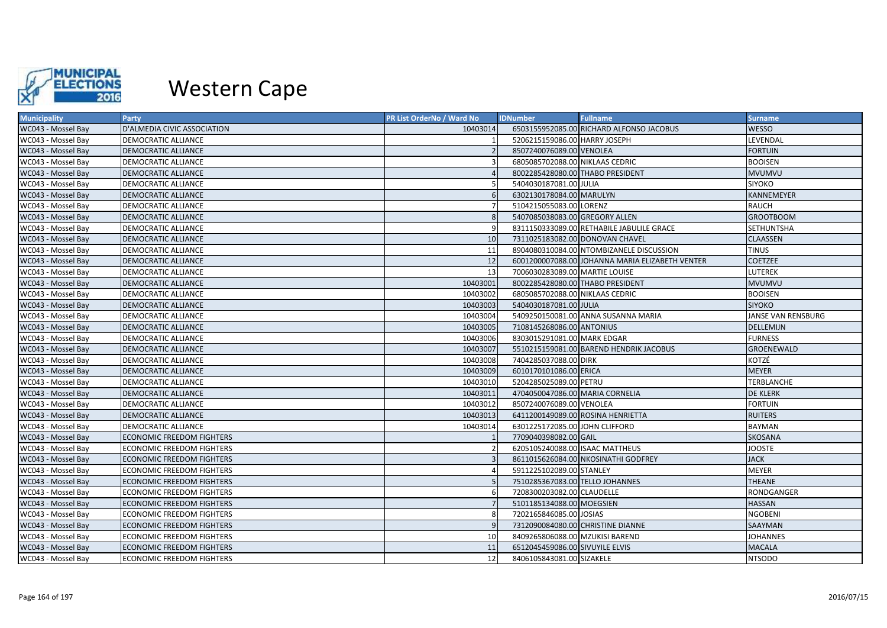

| <b>Municipality</b> | Party                            | <b>PR List OrderNo / Ward No</b> | <b>IDNumber</b>                   | <b>Fullname</b>                                 | <b>Surname</b>     |
|---------------------|----------------------------------|----------------------------------|-----------------------------------|-------------------------------------------------|--------------------|
| WC043 - Mossel Bay  | D'ALMEDIA CIVIC ASSOCIATION      | 10403014                         |                                   | 6503155952085.00 RICHARD ALFONSO JACOBUS        | <b>WESSO</b>       |
| WC043 - Mossel Bay  | <b>DEMOCRATIC ALLIANCE</b>       |                                  | 5206215159086.00 HARRY JOSEPH     |                                                 | LEVENDAL           |
| WC043 - Mossel Bay  | <b>DEMOCRATIC ALLIANCE</b>       |                                  | 8507240076089.00 VENOLEA          |                                                 | <b>FORTUIN</b>     |
| WC043 - Mossel Bay  | DEMOCRATIC ALLIANCE              |                                  | 6805085702088.00 NIKLAAS CEDRIC   |                                                 | <b>BOOISEN</b>     |
| WC043 - Mossel Bay  | <b>DEMOCRATIC ALLIANCE</b>       |                                  | 8002285428080.00 THABO PRESIDENT  |                                                 | <b>MVUMVU</b>      |
| WC043 - Mossel Bay  | <b>DEMOCRATIC ALLIANCE</b>       |                                  | 5404030187081.00 JULIA            |                                                 | <b>SIYOKO</b>      |
| WC043 - Mossel Bay  | <b>DEMOCRATIC ALLIANCE</b>       |                                  | 6302130178084.00 MARULYN          |                                                 | <b>KANNEMEYER</b>  |
| WC043 - Mossel Bay  | <b>DEMOCRATIC ALLIANCE</b>       |                                  | 5104215055083.00 LORENZ           |                                                 | <b>RAUCH</b>       |
| WC043 - Mossel Bay  | DEMOCRATIC ALLIANCE              |                                  | 5407085038083.00 GREGORY ALLEN    |                                                 | <b>GROOTBOOM</b>   |
| WC043 - Mossel Bay  | DEMOCRATIC ALLIANCE              |                                  |                                   | 8311150333089.00 RETHABILE JABULILE GRACE       | <b>SETHUNTSHA</b>  |
| WC043 - Mossel Bay  | <b>DEMOCRATIC ALLIANCE</b>       | 10                               | 7311025183082.00 DONOVAN CHAVEL   |                                                 | <b>CLAASSEN</b>    |
| WC043 - Mossel Bay  | <b>DEMOCRATIC ALLIANCE</b>       | 11                               |                                   | 8904080310084.00 NTOMBIZANELE DISCUSSION        | <b>TINUS</b>       |
| WC043 - Mossel Bay  | <b>DEMOCRATIC ALLIANCE</b>       | 12                               |                                   | 6001200007088.00 JOHANNA MARIA ELIZABETH VENTER | <b>COETZEE</b>     |
| WC043 - Mossel Bay  | DEMOCRATIC ALLIANCE              | 13                               | 7006030283089.00 MARTIE LOUISE    |                                                 | <b>LUTEREK</b>     |
| WC043 - Mossel Bay  | <b>DEMOCRATIC ALLIANCE</b>       | 10403001                         | 8002285428080.00 THABO PRESIDENT  |                                                 | <b>MVUMVU</b>      |
| WC043 - Mossel Bay  | <b>DEMOCRATIC ALLIANCE</b>       | 10403002                         | 6805085702088.00 NIKLAAS CEDRIC   |                                                 | <b>BOOISEN</b>     |
| WC043 - Mossel Bay  | <b>DEMOCRATIC ALLIANCE</b>       | 10403003                         | 5404030187081.00 JULIA            |                                                 | <b>SIYOKO</b>      |
| WC043 - Mossel Bay  | DEMOCRATIC ALLIANCE              | 10403004                         |                                   | 5409250150081.00 ANNA SUSANNA MARIA             | JANSE VAN RENSBURG |
| WC043 - Mossel Bay  | <b>DEMOCRATIC ALLIANCE</b>       | 10403005                         | 7108145268086.00 ANTONIUS         |                                                 | <b>DELLEMIJN</b>   |
| WC043 - Mossel Bay  | DEMOCRATIC ALLIANCE              | 10403006                         | 8303015291081.00 MARK EDGAR       |                                                 | <b>FURNESS</b>     |
| WC043 - Mossel Bay  | <b>DEMOCRATIC ALLIANCE</b>       | 10403007                         |                                   | 5510215159081.00 BAREND HENDRIK JACOBUS         | GROENEWALD         |
| WC043 - Mossel Bay  | DEMOCRATIC ALLIANCE              | 10403008                         | 7404285037088.00 DIRK             |                                                 | KOTZÉ              |
| WC043 - Mossel Bay  | <b>DEMOCRATIC ALLIANCE</b>       | 10403009                         | 6010170101086.00 ERICA            |                                                 | <b>MEYER</b>       |
| WC043 - Mossel Bay  | <b>DEMOCRATIC ALLIANCE</b>       | 10403010                         | 5204285025089.00 PETRU            |                                                 | TERBLANCHE         |
| WC043 - Mossel Bay  | <b>DEMOCRATIC ALLIANCE</b>       | 10403011                         | 4704050047086.00 MARIA CORNELIA   |                                                 | <b>DE KLERK</b>    |
| WC043 - Mossel Bay  | DEMOCRATIC ALLIANCE              | 10403012                         | 8507240076089.00 VENOLEA          |                                                 | <b>FORTUIN</b>     |
| WC043 - Mossel Bay  | <b>DEMOCRATIC ALLIANCE</b>       | 10403013                         |                                   | 6411200149089.00 ROSINA HENRIETTA               | <b>RUITERS</b>     |
| WC043 - Mossel Bay  | <b>DEMOCRATIC ALLIANCE</b>       | 10403014                         | 6301225172085.00 JOHN CLIFFORD    |                                                 | <b>BAYMAN</b>      |
| WC043 - Mossel Bay  | <b>ECONOMIC FREEDOM FIGHTERS</b> |                                  | 7709040398082.00 GAIL             |                                                 | <b>SKOSANA</b>     |
| WC043 - Mossel Bay  | <b>ECONOMIC FREEDOM FIGHTERS</b> |                                  | 6205105240088.00 ISAAC MATTHEUS   |                                                 | <b>JOOSTE</b>      |
| WC043 - Mossel Bay  | <b>ECONOMIC FREEDOM FIGHTERS</b> |                                  |                                   | 8611015626084.00 NKOSINATHI GODFREY             | <b>JACK</b>        |
| WC043 - Mossel Bay  | <b>ECONOMIC FREEDOM FIGHTERS</b> |                                  | 5911225102089.00 STANLEY          |                                                 | <b>MEYER</b>       |
| WC043 - Mossel Bay  | <b>ECONOMIC FREEDOM FIGHTERS</b> |                                  | 7510285367083.00 TELLO JOHANNES   |                                                 | <b>THEANE</b>      |
| WC043 - Mossel Bay  | <b>ECONOMIC FREEDOM FIGHTERS</b> |                                  | 7208300203082.00 CLAUDELLE        |                                                 | RONDGANGER         |
| WC043 - Mossel Bay  | <b>ECONOMIC FREEDOM FIGHTERS</b> |                                  | 5101185134088.00 MOEGSIEN         |                                                 | <b>HASSAN</b>      |
| WC043 - Mossel Bay  | <b>ECONOMIC FREEDOM FIGHTERS</b> |                                  | 7202165846085.00 JOSIAS           |                                                 | <b>NGOBENI</b>     |
| WC043 - Mossel Bay  | <b>ECONOMIC FREEDOM FIGHTERS</b> |                                  | 7312090084080.00 CHRISTINE DIANNE |                                                 | SAAYMAN            |
| WC043 - Mossel Bay  | <b>ECONOMIC FREEDOM FIGHTERS</b> | 10                               | 8409265806088.00 MZUKISI BAREND   |                                                 | <b>JOHANNES</b>    |
| WC043 - Mossel Bay  | <b>ECONOMIC FREEDOM FIGHTERS</b> | 11                               | 6512045459086.00 SIVUYILE ELVIS   |                                                 | <b>MACALA</b>      |
| WC043 - Mossel Bay  | <b>ECONOMIC FREEDOM FIGHTERS</b> | 12                               | 8406105843081.00 SIZAKELE         |                                                 | <b>NTSODO</b>      |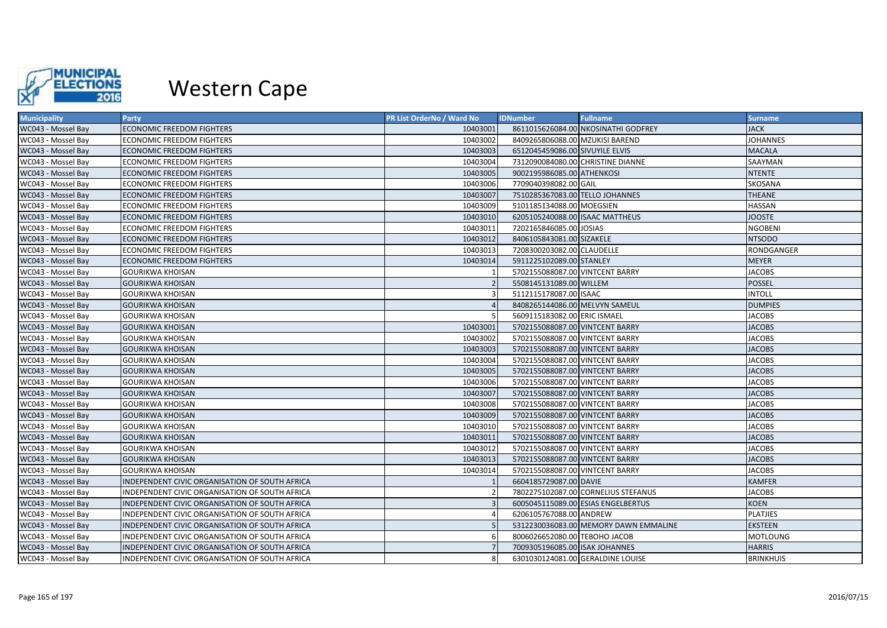

| <b>Municipality</b> | <b>Party</b>                                   | <b>PR List OrderNo / Ward No</b> | <b>IDNumber</b>                 | <b>Fullname</b>                       | <b>Surname</b>   |
|---------------------|------------------------------------------------|----------------------------------|---------------------------------|---------------------------------------|------------------|
| WC043 - Mossel Bay  | <b>ECONOMIC FREEDOM FIGHTERS</b>               | 10403001                         |                                 | 8611015626084.00 NKOSINATHI GODFREY   | <b>JACK</b>      |
| WC043 - Mossel Bay  | <b>ECONOMIC FREEDOM FIGHTERS</b>               | 10403002                         | 8409265806088.00 MZUKISI BAREND |                                       | <b>JOHANNES</b>  |
| WC043 - Mossel Bay  | <b>ECONOMIC FREEDOM FIGHTERS</b>               | 10403003                         | 6512045459086.00 SIVUYILE ELVIS |                                       | <b>MACALA</b>    |
| WC043 - Mossel Bay  | <b>ECONOMIC FREEDOM FIGHTERS</b>               | 10403004                         |                                 | 7312090084080.00 CHRISTINE DIANNE     | SAAYMAN          |
| WC043 - Mossel Bay  | <b>ECONOMIC FREEDOM FIGHTERS</b>               | 10403005                         | 9002195986085.00 ATHENKOSI      |                                       | <b>NTENTE</b>    |
| WC043 - Mossel Bay  | <b>ECONOMIC FREEDOM FIGHTERS</b>               | 10403006                         | 7709040398082.00 GAIL           |                                       | <b>SKOSANA</b>   |
| WC043 - Mossel Bay  | <b>ECONOMIC FREEDOM FIGHTERS</b>               | 10403007                         | 7510285367083.00 TELLO JOHANNES |                                       | <b>THEANE</b>    |
| WC043 - Mossel Bay  | <b>ECONOMIC FREEDOM FIGHTERS</b>               | 10403009                         | 5101185134088.00 MOEGSIEN       |                                       | <b>HASSAN</b>    |
| WC043 - Mossel Bay  | <b>ECONOMIC FREEDOM FIGHTERS</b>               | 10403010                         | 6205105240088.00 ISAAC MATTHEUS |                                       | <b>JOOSTE</b>    |
| WC043 - Mossel Bay  | <b>ECONOMIC FREEDOM FIGHTERS</b>               | 10403011                         | 7202165846085.00 JOSIAS         |                                       | <b>NGOBENI</b>   |
| WC043 - Mossel Bay  | <b>ECONOMIC FREEDOM FIGHTERS</b>               | 10403012                         | 8406105843081.00 SIZAKELE       |                                       | <b>NTSODO</b>    |
| WC043 - Mossel Bay  | <b>ECONOMIC FREEDOM FIGHTERS</b>               | 10403013                         | 7208300203082.00 CLAUDELLE      |                                       | RONDGANGER       |
| WC043 - Mossel Bay  | <b>ECONOMIC FREEDOM FIGHTERS</b>               | 10403014                         | 5911225102089.00 STANLEY        |                                       | <b>MEYER</b>     |
| WC043 - Mossel Bay  | GOURIKWA KHOISAN                               |                                  | 5702155088087.00 VINTCENT BARRY |                                       | <b>JACOBS</b>    |
| WC043 - Mossel Bay  | <b>GOURIKWA KHOISAN</b>                        |                                  | 5508145131089.00 WILLEM         |                                       | <b>POSSEL</b>    |
| WC043 - Mossel Bay  | <b>GOURIKWA KHOISAN</b>                        | 3                                | 5112115178087.00 ISAAC          |                                       | <b>INTOLL</b>    |
| WC043 - Mossel Bay  | <b>GOURIKWA KHOISAN</b>                        |                                  | 8408265144086.00 MELVYN SAMEUL  |                                       | <b>DUMPIES</b>   |
| WC043 - Mossel Bay  | <b>GOURIKWA KHOISAN</b>                        |                                  | 5609115183082.00 ERIC ISMAEL    |                                       | <b>JACOBS</b>    |
| WC043 - Mossel Bay  | <b>GOURIKWA KHOISAN</b>                        | 10403001                         | 5702155088087.00 VINTCENT BARRY |                                       | <b>JACOBS</b>    |
| WC043 - Mossel Bay  | GOURIKWA KHOISAN                               | 10403002                         | 5702155088087.00 VINTCENT BARRY |                                       | <b>JACOBS</b>    |
| WC043 - Mossel Bay  | GOURIKWA KHOISAN                               | 10403003                         | 5702155088087.00 VINTCENT BARRY |                                       | <b>JACOBS</b>    |
| WC043 - Mossel Bay  | GOURIKWA KHOISAN                               | 10403004                         | 5702155088087.00 VINTCENT BARRY |                                       | <b>JACOBS</b>    |
| WC043 - Mossel Bay  | <b>GOURIKWA KHOISAN</b>                        | 10403005                         | 5702155088087.00 VINTCENT BARRY |                                       | <b>JACOBS</b>    |
| WC043 - Mossel Bay  | <b>GOURIKWA KHOISAN</b>                        | 10403006                         | 5702155088087.00 VINTCENT BARRY |                                       | <b>JACOBS</b>    |
| WC043 - Mossel Bay  | <b>GOURIKWA KHOISAN</b>                        | 10403007                         | 5702155088087.00 VINTCENT BARRY |                                       | <b>JACOBS</b>    |
| WC043 - Mossel Bay  | <b>GOURIKWA KHOISAN</b>                        | 10403008                         | 5702155088087.00 VINTCENT BARRY |                                       | <b>JACOBS</b>    |
| WC043 - Mossel Bay  | <b>GOURIKWA KHOISAN</b>                        | 10403009                         | 5702155088087.00 VINTCENT BARRY |                                       | <b>JACOBS</b>    |
| WC043 - Mossel Bay  | GOURIKWA KHOISAN                               | 10403010                         | 5702155088087.00 VINTCENT BARRY |                                       | <b>JACOBS</b>    |
| WC043 - Mossel Bay  | <b>GOURIKWA KHOISAN</b>                        | 10403011                         | 5702155088087.00 VINTCENT BARRY |                                       | <b>JACOBS</b>    |
| WC043 - Mossel Bay  | <b>GOURIKWA KHOISAN</b>                        | 10403012                         | 5702155088087.00 VINTCENT BARRY |                                       | <b>JACOBS</b>    |
| WC043 - Mossel Bay  | <b>GOURIKWA KHOISAN</b>                        | 10403013                         | 5702155088087.00 VINTCENT BARRY |                                       | <b>JACOBS</b>    |
| WC043 - Mossel Bay  | <b>GOURIKWA KHOISAN</b>                        | 10403014                         | 5702155088087.00 VINTCENT BARRY |                                       | <b>JACOBS</b>    |
| WC043 - Mossel Bay  | INDEPENDENT CIVIC ORGANISATION OF SOUTH AFRICA |                                  | 6604185729087.00 DAVIE          |                                       | <b>KAMFER</b>    |
| WC043 - Mossel Bay  | INDEPENDENT CIVIC ORGANISATION OF SOUTH AFRICA |                                  |                                 | 7802275102087.00 CORNELIUS STEFANUS   | <b>JACOBS</b>    |
| WC043 - Mossel Bay  | INDEPENDENT CIVIC ORGANISATION OF SOUTH AFRICA |                                  |                                 | 6005045115089.00 ESIAS ENGELBERTUS    | <b>KOEN</b>      |
| WC043 - Mossel Bay  | INDEPENDENT CIVIC ORGANISATION OF SOUTH AFRICA | Δ                                | 6206105767088.00 ANDREW         |                                       | <b>PLATJIES</b>  |
| WC043 - Mossel Bay  | INDEPENDENT CIVIC ORGANISATION OF SOUTH AFRICA |                                  |                                 | 5312230036083.00 MEMORY DAWN EMMALINE | <b>EKSTEEN</b>   |
| WC043 - Mossel Bay  | INDEPENDENT CIVIC ORGANISATION OF SOUTH AFRICA | 6                                | 8006026652080.00 TEBOHO JACOB   |                                       | <b>MOTLOUNG</b>  |
| WC043 - Mossel Bay  | INDEPENDENT CIVIC ORGANISATION OF SOUTH AFRICA |                                  | 7009305196085.00 ISAK JOHANNES  |                                       | <b>HARRIS</b>    |
| WC043 - Mossel Bay  | INDEPENDENT CIVIC ORGANISATION OF SOUTH AFRICA | 8                                |                                 | 6301030124081.00 GERALDINE LOUISE     | <b>BRINKHUIS</b> |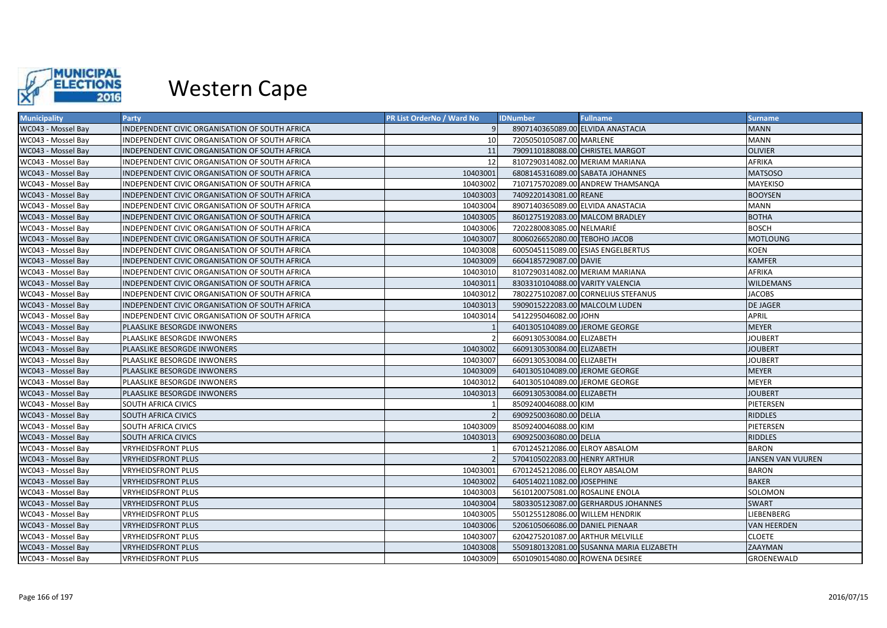

| <b>Municipality</b> | Party                                          | <b>PR List OrderNo / Ward No</b> | <b>IDNumber</b>                   | <b>Fullname</b>                          | <b>Surname</b>           |
|---------------------|------------------------------------------------|----------------------------------|-----------------------------------|------------------------------------------|--------------------------|
| WC043 - Mossel Bay  | INDEPENDENT CIVIC ORGANISATION OF SOUTH AFRICA |                                  | 8907140365089.00 ELVIDA ANASTACIA |                                          | <b>MANN</b>              |
| WC043 - Mossel Bay  | INDEPENDENT CIVIC ORGANISATION OF SOUTH AFRICA | 10                               | 7205050105087.00 MARLENE          |                                          | <b>MANN</b>              |
| WC043 - Mossel Bay  | INDEPENDENT CIVIC ORGANISATION OF SOUTH AFRICA | 11                               | 7909110188088.00 CHRISTEL MARGOT  |                                          | <b>OLIVIER</b>           |
| WC043 - Mossel Bay  | INDEPENDENT CIVIC ORGANISATION OF SOUTH AFRICA | 12                               | 8107290314082.00 MERIAM MARIANA   |                                          | AFRIKA                   |
| WC043 - Mossel Bay  | INDEPENDENT CIVIC ORGANISATION OF SOUTH AFRICA | 10403001                         | 6808145316089.00 SABATA JOHANNES  |                                          | <b>MATSOSO</b>           |
| WC043 - Mossel Bay  | INDEPENDENT CIVIC ORGANISATION OF SOUTH AFRICA | 10403002                         |                                   | 7107175702089.00 ANDREW THAMSANQA        | <b>MAYEKISO</b>          |
| WC043 - Mossel Bay  | INDEPENDENT CIVIC ORGANISATION OF SOUTH AFRICA | 10403003                         | 7409220143081.00 REANE            |                                          | <b>BOOYSEN</b>           |
| WC043 - Mossel Bay  | INDEPENDENT CIVIC ORGANISATION OF SOUTH AFRICA | 10403004                         | 8907140365089.00 ELVIDA ANASTACIA |                                          | <b>MANN</b>              |
| WC043 - Mossel Bay  | INDEPENDENT CIVIC ORGANISATION OF SOUTH AFRICA | 10403005                         | 8601275192083.00 MALCOM BRADLEY   |                                          | <b>BOTHA</b>             |
| WC043 - Mossel Bay  | INDEPENDENT CIVIC ORGANISATION OF SOUTH AFRICA | 10403006                         | 7202280083085.00 NELMARIÉ         |                                          | <b>BOSCH</b>             |
| WC043 - Mossel Bay  | INDEPENDENT CIVIC ORGANISATION OF SOUTH AFRICA | 10403007                         | 8006026652080.00 TEBOHO JACOB     |                                          | <b>MOTLOUNG</b>          |
| WC043 - Mossel Bay  | INDEPENDENT CIVIC ORGANISATION OF SOUTH AFRICA | 10403008                         |                                   | 6005045115089.00 ESIAS ENGELBERTUS       | <b>KOEN</b>              |
| WC043 - Mossel Bay  | INDEPENDENT CIVIC ORGANISATION OF SOUTH AFRICA | 10403009                         | 6604185729087.00 DAVIE            |                                          | <b>KAMFER</b>            |
| WC043 - Mossel Bay  | INDEPENDENT CIVIC ORGANISATION OF SOUTH AFRICA | 10403010                         | 8107290314082.00 MERIAM MARIANA   |                                          | AFRIKA                   |
| WC043 - Mossel Bay  | INDEPENDENT CIVIC ORGANISATION OF SOUTH AFRICA | 10403011                         | 8303310104088.00 VARITY VALENCIA  |                                          | <b>WILDEMANS</b>         |
| WC043 - Mossel Bay  | INDEPENDENT CIVIC ORGANISATION OF SOUTH AFRICA | 10403012                         |                                   | 7802275102087.00 CORNELIUS STEFANUS      | <b>JACOBS</b>            |
| WC043 - Mossel Bay  | INDEPENDENT CIVIC ORGANISATION OF SOUTH AFRICA | 10403013                         | 5909015222083.00 MALCOLM LUDEN    |                                          | <b>DE JAGER</b>          |
| WC043 - Mossel Bay  | INDEPENDENT CIVIC ORGANISATION OF SOUTH AFRICA | 10403014                         | 5412295046082.00 JOHN             |                                          | <b>APRIL</b>             |
| WC043 - Mossel Bay  | PLAASLIKE BESORGDE INWONERS                    |                                  | 6401305104089.00 JEROME GEORGE    |                                          | <b>MEYER</b>             |
| WC043 - Mossel Bay  | PLAASLIKE BESORGDE INWONERS                    |                                  | 6609130530084.00 ELIZABETH        |                                          | <b>JOUBERT</b>           |
| WC043 - Mossel Bay  | PLAASLIKE BESORGDE INWONERS                    | 10403002                         | 6609130530084.00 ELIZABETH        |                                          | <b>JOUBERT</b>           |
| WC043 - Mossel Bay  | PLAASLIKE BESORGDE INWONERS                    | 10403007                         | 6609130530084.00 ELIZABETH        |                                          | <b>JOUBERT</b>           |
| WC043 - Mossel Bay  | PLAASLIKE BESORGDE INWONERS                    | 10403009                         | 6401305104089.00 JEROME GEORGE    |                                          | <b>MEYER</b>             |
| WC043 - Mossel Bay  | PLAASLIKE BESORGDE INWONERS                    | 10403012                         | 6401305104089.00 JEROME GEORGE    |                                          | <b>MEYER</b>             |
| WC043 - Mossel Bay  | PLAASLIKE BESORGDE INWONERS                    | 10403013                         | 6609130530084.00 ELIZABETH        |                                          | <b>JOUBERT</b>           |
| WC043 - Mossel Bay  | SOUTH AFRICA CIVICS                            |                                  | 8509240046088.00 KIM              |                                          | PIETERSEN                |
| WC043 - Mossel Bay  | SOUTH AFRICA CIVICS                            |                                  | 6909250036080.00 DELIA            |                                          | <b>RIDDLES</b>           |
| WC043 - Mossel Bay  | SOUTH AFRICA CIVICS                            | 10403009                         | 8509240046088.00 KIM              |                                          | PIETERSEN                |
| WC043 - Mossel Bay  | SOUTH AFRICA CIVICS                            | 10403013                         | 6909250036080.00 DELIA            |                                          | <b>RIDDLES</b>           |
| WC043 - Mossel Bay  | <b>VRYHEIDSFRONT PLUS</b>                      |                                  | 6701245212086.00 ELROY ABSALOM    |                                          | <b>BARON</b>             |
| WC043 - Mossel Bay  | <b>VRYHEIDSFRONT PLUS</b>                      |                                  | 5704105022083.00 HENRY ARTHUR     |                                          | <b>JANSEN VAN VUUREN</b> |
| WC043 - Mossel Bay  | VRYHEIDSFRONT PLUS                             | 10403001                         | 6701245212086.00 ELROY ABSALOM    |                                          | <b>BARON</b>             |
| WC043 - Mossel Bay  | <b>VRYHEIDSFRONT PLUS</b>                      | 10403002                         | 6405140211082.00 JOSEPHINE        |                                          | <b>BAKER</b>             |
| WC043 - Mossel Bay  | <b>VRYHEIDSFRONT PLUS</b>                      | 10403003                         | 5610120075081.00 ROSALINE ENOLA   |                                          | SOLOMON                  |
| WC043 - Mossel Bay  | <b>VRYHEIDSFRONT PLUS</b>                      | 10403004                         |                                   | 5803305123087.00 GERHARDUS JOHANNES      | <b>SWART</b>             |
| WC043 - Mossel Bay  | <b>VRYHEIDSFRONT PLUS</b>                      | 10403005                         | 5501255128086.00 WILLEM HENDRIK   |                                          | LIEBENBERG               |
| WC043 - Mossel Bay  | <b>VRYHEIDSFRONT PLUS</b>                      | 10403006                         | 5206105066086.00 DANIEL PIENAAR   |                                          | <b>VAN HEERDEN</b>       |
| WC043 - Mossel Bay  | VRYHEIDSFRONT PLUS                             | 10403007                         | 6204275201087.00 ARTHUR MELVILLE  |                                          | <b>CLOETE</b>            |
| WC043 - Mossel Bay  | <b>VRYHEIDSFRONT PLUS</b>                      | 10403008                         |                                   | 5509180132081.00 SUSANNA MARIA ELIZABETH | ZAAYMAN                  |
| WC043 - Mossel Bay  | <b>VRYHEIDSFRONT PLUS</b>                      | 10403009                         | 6501090154080.00 ROWENA DESIREE   |                                          | GROENEWALD               |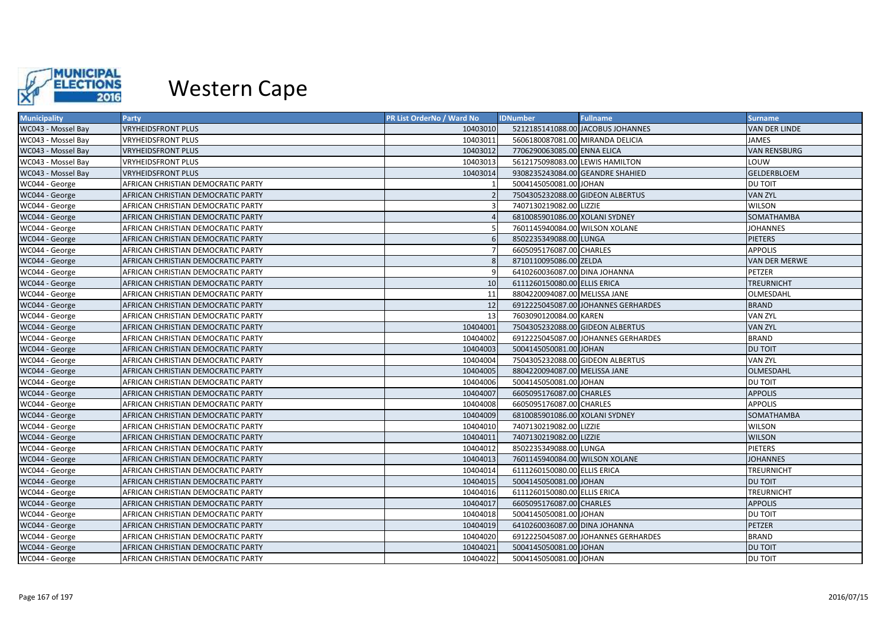

| <b>Municipality</b> | <b>Party</b>                       | <b>PR List OrderNo / Ward No</b> | <b>IDNumber</b>                  | <b>Fullname</b>                     | <b>Surname</b>       |
|---------------------|------------------------------------|----------------------------------|----------------------------------|-------------------------------------|----------------------|
| WC043 - Mossel Bay  | <b>VRYHEIDSFRONT PLUS</b>          | 10403010                         |                                  | 5212185141088.00 JACOBUS JOHANNES   | <b>VAN DER LINDE</b> |
| WC043 - Mossel Bay  | <b>VRYHEIDSFRONT PLUS</b>          | 10403011                         | 5606180087081.00 MIRANDA DELICIA |                                     | <b>JAMES</b>         |
| WC043 - Mossel Bay  | <b>VRYHEIDSFRONT PLUS</b>          | 10403012                         | 7706290063085.00 ENNA ELICA      |                                     | <b>VAN RENSBURG</b>  |
| WC043 - Mossel Bay  | VRYHEIDSFRONT PLUS                 | 10403013                         | 5612175098083.00 LEWIS HAMILTON  |                                     | LOUW                 |
| WC043 - Mossel Bay  | <b>VRYHEIDSFRONT PLUS</b>          | 10403014                         | 9308235243084.00 GEANDRE SHAHIED |                                     | <b>GELDERBLOEM</b>   |
| WC044 - George      | AFRICAN CHRISTIAN DEMOCRATIC PARTY |                                  | 5004145050081.00 JOHAN           |                                     | <b>DU TOIT</b>       |
| WC044 - George      | AFRICAN CHRISTIAN DEMOCRATIC PARTY |                                  | 7504305232088.00 GIDEON ALBERTUS |                                     | <b>VAN ZYL</b>       |
| WC044 - George      | AFRICAN CHRISTIAN DEMOCRATIC PARTY |                                  | 7407130219082.00 LIZZIE          |                                     | <b>WILSON</b>        |
| WC044 - George      | AFRICAN CHRISTIAN DEMOCRATIC PARTY |                                  | 6810085901086.00 XOLANI SYDNEY   |                                     | SOMATHAMBA           |
| WC044 - George      | AFRICAN CHRISTIAN DEMOCRATIC PARTY |                                  | 7601145940084.00 WILSON XOLANE   |                                     | <b>JOHANNES</b>      |
| WC044 - George      | AFRICAN CHRISTIAN DEMOCRATIC PARTY |                                  | 8502235349088.00 LUNGA           |                                     | <b>PIETERS</b>       |
| WC044 - George      | AFRICAN CHRISTIAN DEMOCRATIC PARTY |                                  | 6605095176087.00 CHARLES         |                                     | <b>APPOLIS</b>       |
| WC044 - George      | AFRICAN CHRISTIAN DEMOCRATIC PARTY |                                  | 8710110095086.00 ZELDA           |                                     | <b>VAN DER MERWE</b> |
| WC044 - George      | AFRICAN CHRISTIAN DEMOCRATIC PARTY |                                  | 6410260036087.00 DINA JOHANNA    |                                     | PETZER               |
| WC044 - George      | AFRICAN CHRISTIAN DEMOCRATIC PARTY | 10                               | 6111260150080.00 ELLIS ERICA     |                                     | <b>TREURNICHT</b>    |
| WC044 - George      | AFRICAN CHRISTIAN DEMOCRATIC PARTY | 11                               | 8804220094087.00 MELISSA JANE    |                                     | OLMESDAHL            |
| WC044 - George      | AFRICAN CHRISTIAN DEMOCRATIC PARTY | 12                               |                                  | 6912225045087.00 JOHANNES GERHARDES | <b>BRAND</b>         |
| WC044 - George      | AFRICAN CHRISTIAN DEMOCRATIC PARTY | 13                               | 7603090120084.00 KAREN           |                                     | <b>VAN ZYL</b>       |
| WC044 - George      | AFRICAN CHRISTIAN DEMOCRATIC PARTY | 10404001                         | 7504305232088.00 GIDEON ALBERTUS |                                     | <b>VAN ZYL</b>       |
| WC044 - George      | AFRICAN CHRISTIAN DEMOCRATIC PARTY | 10404002                         |                                  | 6912225045087.00 JOHANNES GERHARDES | <b>BRAND</b>         |
| WC044 - George      | AFRICAN CHRISTIAN DEMOCRATIC PARTY | 10404003                         | 5004145050081.00 JOHAN           |                                     | <b>DU TOIT</b>       |
| WC044 - George      | AFRICAN CHRISTIAN DEMOCRATIC PARTY | 10404004                         | 7504305232088.00 GIDEON ALBERTUS |                                     | <b>VAN ZYL</b>       |
| WC044 - George      | AFRICAN CHRISTIAN DEMOCRATIC PARTY | 10404005                         | 8804220094087.00 MELISSA JANE    |                                     | OLMESDAHL            |
| WC044 - George      | AFRICAN CHRISTIAN DEMOCRATIC PARTY | 10404006                         | 5004145050081.00 JOHAN           |                                     | <b>DU TOIT</b>       |
| WC044 - George      | AFRICAN CHRISTIAN DEMOCRATIC PARTY | 10404007                         | 6605095176087.00 CHARLES         |                                     | <b>APPOLIS</b>       |
| WC044 - George      | AFRICAN CHRISTIAN DEMOCRATIC PARTY | 10404008                         | 6605095176087.00 CHARLES         |                                     | <b>APPOLIS</b>       |
| WC044 - George      | AFRICAN CHRISTIAN DEMOCRATIC PARTY | 10404009                         | 6810085901086.00 XOLANI SYDNEY   |                                     | SOMATHAMBA           |
| WC044 - George      | AFRICAN CHRISTIAN DEMOCRATIC PARTY | 10404010                         | 7407130219082.00 LIZZIE          |                                     | <b>WILSON</b>        |
| WC044 - George      | AFRICAN CHRISTIAN DEMOCRATIC PARTY | 10404011                         | 7407130219082.00 LIZZIE          |                                     | <b>WILSON</b>        |
| WC044 - George      | AFRICAN CHRISTIAN DEMOCRATIC PARTY | 10404012                         | 8502235349088.00 LUNGA           |                                     | <b>PIETERS</b>       |
| WC044 - George      | AFRICAN CHRISTIAN DEMOCRATIC PARTY | 10404013                         | 7601145940084.00 WILSON XOLANE   |                                     | <b>JOHANNES</b>      |
| WC044 - George      | AFRICAN CHRISTIAN DEMOCRATIC PARTY | 10404014                         | 6111260150080.00 ELLIS ERICA     |                                     | <b>TREURNICHT</b>    |
| WC044 - George      | AFRICAN CHRISTIAN DEMOCRATIC PARTY | 10404015                         | 5004145050081.00 JOHAN           |                                     | <b>DU TOIT</b>       |
| WC044 - George      | AFRICAN CHRISTIAN DEMOCRATIC PARTY | 10404016                         | 6111260150080.00 ELLIS ERICA     |                                     | <b>TREURNICHT</b>    |
| WC044 - George      | AFRICAN CHRISTIAN DEMOCRATIC PARTY | 10404017                         | 6605095176087.00 CHARLES         |                                     | <b>APPOLIS</b>       |
| WC044 - George      | AFRICAN CHRISTIAN DEMOCRATIC PARTY | 10404018                         | 5004145050081.00 JOHAN           |                                     | <b>DU TOIT</b>       |
| WC044 - George      | AFRICAN CHRISTIAN DEMOCRATIC PARTY | 10404019                         | 6410260036087.00 DINA JOHANNA    |                                     | <b>PETZER</b>        |
| WC044 - George      | AFRICAN CHRISTIAN DEMOCRATIC PARTY | 10404020                         |                                  | 6912225045087.00 JOHANNES GERHARDES | <b>BRAND</b>         |
| WC044 - George      | AFRICAN CHRISTIAN DEMOCRATIC PARTY | 10404021                         | 5004145050081.00 JOHAN           |                                     | <b>DU TOIT</b>       |
| WC044 - George      | AFRICAN CHRISTIAN DEMOCRATIC PARTY | 10404022                         | 5004145050081.00 JOHAN           |                                     | <b>DU TOIT</b>       |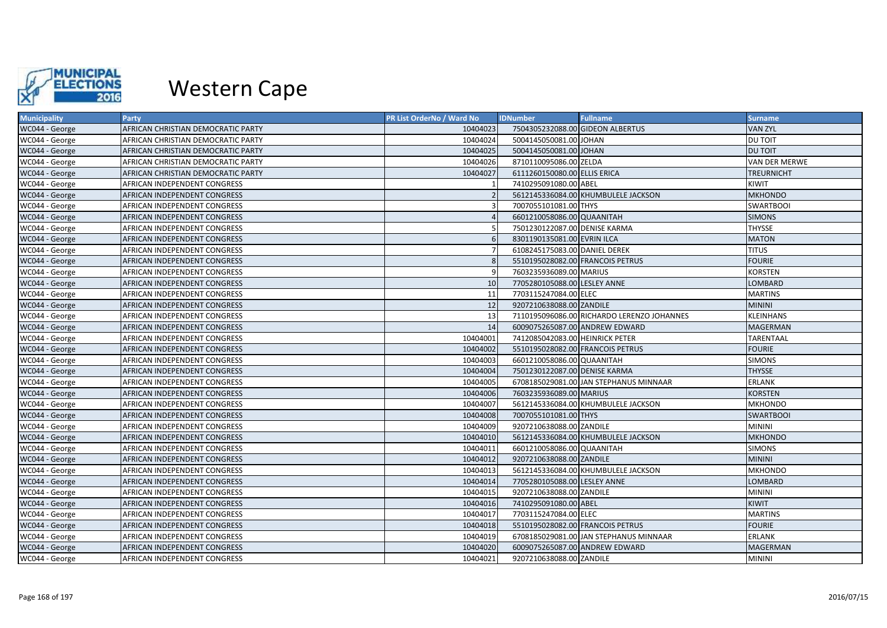

| <b>Municipality</b> | Party                              | <b>PR List OrderNo / Ward No</b> | <b>IDNumber</b>                  | <b>Fullname</b>                            | <b>Surname</b>    |
|---------------------|------------------------------------|----------------------------------|----------------------------------|--------------------------------------------|-------------------|
| WC044 - George      | AFRICAN CHRISTIAN DEMOCRATIC PARTY | 10404023                         | 7504305232088.00 GIDEON ALBERTUS |                                            | <b>VAN ZYL</b>    |
| WC044 - George      | AFRICAN CHRISTIAN DEMOCRATIC PARTY | 10404024                         | 5004145050081.00 JOHAN           |                                            | <b>DU TOIT</b>    |
| WC044 - George      | AFRICAN CHRISTIAN DEMOCRATIC PARTY | 10404025                         | 5004145050081.00 JOHAN           |                                            | <b>DU TOIT</b>    |
| WC044 - George      | AFRICAN CHRISTIAN DEMOCRATIC PARTY | 10404026                         | 8710110095086.00 ZELDA           |                                            | VAN DER MERWE     |
| WC044 - George      | AFRICAN CHRISTIAN DEMOCRATIC PARTY | 10404027                         | 6111260150080.00 ELLIS ERICA     |                                            | <b>TREURNICHT</b> |
| WC044 - George      | AFRICAN INDEPENDENT CONGRESS       |                                  | 7410295091080.00 ABEL            |                                            | KIWIT             |
| WC044 - George      | AFRICAN INDEPENDENT CONGRESS       |                                  |                                  | 5612145336084.00 KHUMBULELE JACKSON        | <b>MKHONDO</b>    |
| WC044 - George      | AFRICAN INDEPENDENT CONGRESS       |                                  | 7007055101081.00 THYS            |                                            | <b>SWARTBOOI</b>  |
| WC044 - George      | AFRICAN INDEPENDENT CONGRESS       |                                  | 6601210058086.00 QUAANITAH       |                                            | <b>SIMONS</b>     |
| WC044 - George      | AFRICAN INDEPENDENT CONGRESS       |                                  | 7501230122087.00 DENISE KARMA    |                                            | <b>THYSSE</b>     |
| WC044 - George      | AFRICAN INDEPENDENT CONGRESS       |                                  | 8301190135081.00 EVRIN ILCA      |                                            | <b>MATON</b>      |
| WC044 - George      | AFRICAN INDEPENDENT CONGRESS       |                                  | 6108245175083.00 DANIEL DEREK    |                                            | <b>TITUS</b>      |
| WC044 - George      | AFRICAN INDEPENDENT CONGRESS       |                                  | 5510195028082.00 FRANCOIS PETRUS |                                            | <b>FOURIE</b>     |
| WC044 - George      | AFRICAN INDEPENDENT CONGRESS       |                                  | 7603235936089.00 MARIUS          |                                            | <b>KORSTEN</b>    |
| WC044 - George      | AFRICAN INDEPENDENT CONGRESS       | 10                               | 7705280105088.00 LESLEY ANNE     |                                            | LOMBARD           |
| WC044 - George      | AFRICAN INDEPENDENT CONGRESS       | 11                               | 7703115247084.00 ELEC            |                                            | <b>MARTINS</b>    |
| WC044 - George      | AFRICAN INDEPENDENT CONGRESS       | 12                               | 9207210638088.00 ZANDILE         |                                            | <b>MININI</b>     |
| WC044 - George      | AFRICAN INDEPENDENT CONGRESS       | 13                               |                                  | 7110195096086.00 RICHARDO LERENZO JOHANNES | <b>KLEINHANS</b>  |
| WC044 - George      | AFRICAN INDEPENDENT CONGRESS       | 14                               | 6009075265087.00 ANDREW EDWARD   |                                            | <b>MAGERMAN</b>   |
| WC044 - George      | AFRICAN INDEPENDENT CONGRESS       | 10404001                         | 7412085042083.00 HEINRICK PETER  |                                            | <b>TARENTAAL</b>  |
| WC044 - George      | AFRICAN INDEPENDENT CONGRESS       | 10404002                         | 5510195028082.00 FRANCOIS PETRUS |                                            | <b>FOURIE</b>     |
| WC044 - George      | AFRICAN INDEPENDENT CONGRESS       | 10404003                         | 6601210058086.00 QUAANITAH       |                                            | <b>SIMONS</b>     |
| WC044 - George      | AFRICAN INDEPENDENT CONGRESS       | 10404004                         | 7501230122087.00 DENISE KARMA    |                                            | <b>THYSSE</b>     |
| WC044 - George      | AFRICAN INDEPENDENT CONGRESS       | 10404005                         |                                  | 6708185029081.00 JAN STEPHANUS MINNAAR     | <b>ERLANK</b>     |
| WC044 - George      | AFRICAN INDEPENDENT CONGRESS       | 10404006                         | 7603235936089.00 MARIUS          |                                            | <b>KORSTEN</b>    |
| WC044 - George      | AFRICAN INDEPENDENT CONGRESS       | 10404007                         |                                  | 5612145336084.00 KHUMBULELE JACKSON        | <b>MKHONDO</b>    |
| WC044 - George      | AFRICAN INDEPENDENT CONGRESS       | 10404008                         | 7007055101081.00 THYS            |                                            | <b>SWARTBOOI</b>  |
| WC044 - George      | AFRICAN INDEPENDENT CONGRESS       | 10404009                         | 9207210638088.00 ZANDILE         |                                            | <b>MININI</b>     |
| WC044 - George      | AFRICAN INDEPENDENT CONGRESS       | 10404010                         |                                  | 5612145336084.00 KHUMBULELE JACKSON        | <b>MKHONDO</b>    |
| WC044 - George      | AFRICAN INDEPENDENT CONGRESS       | 10404011                         | 6601210058086.00 QUAANITAH       |                                            | <b>SIMONS</b>     |
| WC044 - George      | AFRICAN INDEPENDENT CONGRESS       | 10404012                         | 9207210638088.00 ZANDILE         |                                            | <b>MININI</b>     |
| WC044 - George      | AFRICAN INDEPENDENT CONGRESS       | 10404013                         |                                  | 5612145336084.00 KHUMBULELE JACKSON        | <b>MKHONDO</b>    |
| WC044 - George      | AFRICAN INDEPENDENT CONGRESS       | 10404014                         | 7705280105088.00 LESLEY ANNE     |                                            | <b>LOMBARD</b>    |
| WC044 - George      | AFRICAN INDEPENDENT CONGRESS       | 10404015                         | 9207210638088.00 ZANDILE         |                                            | <b>MININI</b>     |
| WC044 - George      | AFRICAN INDEPENDENT CONGRESS       | 10404016                         | 7410295091080.00 ABEL            |                                            | KIWIT             |
| WC044 - George      | AFRICAN INDEPENDENT CONGRESS       | 10404017                         | 7703115247084.00 ELEC            |                                            | <b>MARTINS</b>    |
| WC044 - George      | AFRICAN INDEPENDENT CONGRESS       | 10404018                         | 5510195028082.00 FRANCOIS PETRUS |                                            | <b>FOURIE</b>     |
| WC044 - George      | AFRICAN INDEPENDENT CONGRESS       | 10404019                         |                                  | 6708185029081.00 JAN STEPHANUS MINNAAR     | <b>ERLANK</b>     |
| WC044 - George      | AFRICAN INDEPENDENT CONGRESS       | 10404020                         | 6009075265087.00 ANDREW EDWARD   |                                            | <b>MAGERMAN</b>   |
| WC044 - George      | AFRICAN INDEPENDENT CONGRESS       | 10404021                         | 9207210638088.00 ZANDILE         |                                            | <b>MININI</b>     |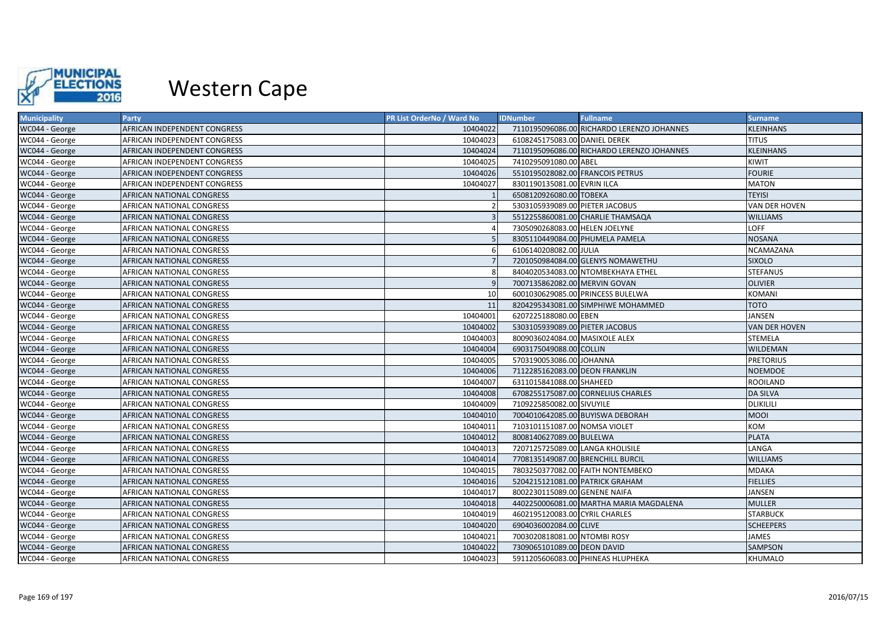

| <b>Municipality</b> | Party                        | <b>PR List OrderNo / Ward No</b> | <b>IDNumber</b>                   | <b>Fullname</b>                            | <b>Surname</b>   |
|---------------------|------------------------------|----------------------------------|-----------------------------------|--------------------------------------------|------------------|
| WC044 - George      | AFRICAN INDEPENDENT CONGRESS | 10404022                         |                                   | 7110195096086.00 RICHARDO LERENZO JOHANNES | <b>KLEINHANS</b> |
| WC044 - George      | AFRICAN INDEPENDENT CONGRESS | 10404023                         | 6108245175083.00 DANIEL DEREK     |                                            | <b>TITUS</b>     |
| WC044 - George      | AFRICAN INDEPENDENT CONGRESS | 10404024                         |                                   | 7110195096086.00 RICHARDO LERENZO JOHANNES | <b>KLEINHANS</b> |
| WC044 - George      | AFRICAN INDEPENDENT CONGRESS | 10404025                         | 7410295091080.00 ABEL             |                                            | KIWIT            |
| WC044 - George      | AFRICAN INDEPENDENT CONGRESS | 10404026                         | 5510195028082.00 FRANCOIS PETRUS  |                                            | <b>FOURIE</b>    |
| WC044 - George      | AFRICAN INDEPENDENT CONGRESS | 10404027                         | 8301190135081.00 EVRIN ILCA       |                                            | <b>MATON</b>     |
| WC044 - George      | AFRICAN NATIONAL CONGRESS    |                                  | 6508120926080.00 TOBEKA           |                                            | <b>TEYISI</b>    |
| WC044 - George      | AFRICAN NATIONAL CONGRESS    |                                  | 5303105939089.00 PIETER JACOBUS   |                                            | VAN DER HOVEN    |
| WC044 - George      | AFRICAN NATIONAL CONGRESS    |                                  |                                   | 5512255860081.00 CHARLIE THAMSAQA          | <b>WILLIAMS</b>  |
| WC044 - George      | AFRICAN NATIONAL CONGRESS    |                                  | 7305090268083.00 HELEN JOELYNE    |                                            | <b>LOFF</b>      |
| WC044 - George      | AFRICAN NATIONAL CONGRESS    |                                  | 8305110449084.00 PHUMELA PAMELA   |                                            | <b>NOSANA</b>    |
| WC044 - George      | AFRICAN NATIONAL CONGRESS    | 6                                | 6106140208082.00 JULIA            |                                            | <b>NCAMAZANA</b> |
| WC044 - George      | AFRICAN NATIONAL CONGRESS    |                                  |                                   | 7201050984084.00 GLENYS NOMAWETHU          | <b>SIXOLO</b>    |
| WC044 - George      | AFRICAN NATIONAL CONGRESS    |                                  |                                   | 8404020534083.00 NTOMBEKHAYA ETHEL         | <b>STEFANUS</b>  |
| WC044 - George      | AFRICAN NATIONAL CONGRESS    |                                  | 7007135862082.00 MERVIN GOVAN     |                                            | <b>OLIVIER</b>   |
| WC044 - George      | AFRICAN NATIONAL CONGRESS    | 10                               |                                   | 6001030629085.00 PRINCESS BULELWA          | <b>KOMANI</b>    |
| WC044 - George      | AFRICAN NATIONAL CONGRESS    | 11                               |                                   | 8204295343081.00 SIMPHIWE MOHAMMED         | <b>TOTO</b>      |
| WC044 - George      | AFRICAN NATIONAL CONGRESS    | 10404001                         | 6207225188080.00 EBEN             |                                            | <b>JANSEN</b>    |
| WC044 - George      | AFRICAN NATIONAL CONGRESS    | 10404002                         | 5303105939089.00 PIETER JACOBUS   |                                            | VAN DER HOVEN    |
| WC044 - George      | AFRICAN NATIONAL CONGRESS    | 10404003                         | 8009036024084.00 MASIXOLE ALEX    |                                            | <b>STEMELA</b>   |
| WC044 - George      | AFRICAN NATIONAL CONGRESS    | 10404004                         | 6903175049088.00 COLLIN           |                                            | WILDEMAN         |
| WC044 - George      | AFRICAN NATIONAL CONGRESS    | 10404005                         | 5703190053086.00 JOHANNA          |                                            | <b>PRETORIUS</b> |
| WC044 - George      | AFRICAN NATIONAL CONGRESS    | 10404006                         | 7112285162083.00 DEON FRANKLIN    |                                            | <b>NOEMDOE</b>   |
| WC044 - George      | AFRICAN NATIONAL CONGRESS    | 10404007                         | 6311015841088.00 SHAHEED          |                                            | <b>ROOILAND</b>  |
| WC044 - George      | AFRICAN NATIONAL CONGRESS    | 10404008                         |                                   | 6708255175087.00 CORNELIUS CHARLES         | <b>DA SILVA</b>  |
| WC044 - George      | AFRICAN NATIONAL CONGRESS    | 10404009                         | 7109225850082.00 SIVUYILE         |                                            | DLIKILILI        |
| WC044 - George      | AFRICAN NATIONAL CONGRESS    | 10404010                         |                                   | 7004010642085.00 BUYISWA DEBORAH           | <b>MOOI</b>      |
| WC044 - George      | AFRICAN NATIONAL CONGRESS    | 10404011                         | 7103101151087.00 NOMSA VIOLET     |                                            | KOM              |
| WC044 - George      | AFRICAN NATIONAL CONGRESS    | 10404012                         | 8008140627089.00 BULELWA          |                                            | <b>PLATA</b>     |
| WC044 - George      | AFRICAN NATIONAL CONGRESS    | 10404013                         | 7207125725089.00 LANGA KHOLISILE  |                                            | LANGA            |
| WC044 - George      | AFRICAN NATIONAL CONGRESS    | 10404014                         | 7708135149087.00 BRENCHILL BURCIL |                                            | <b>WILLIAMS</b>  |
| WC044 - George      | AFRICAN NATIONAL CONGRESS    | 10404015                         |                                   | 7803250377082.00 FAITH NONTEMBEKO          | <b>MDAKA</b>     |
| WC044 - George      | AFRICAN NATIONAL CONGRESS    | 10404016                         | 5204215121081.00 PATRICK GRAHAM   |                                            | <b>FIELLIES</b>  |
| WC044 - George      | AFRICAN NATIONAL CONGRESS    | 10404017                         | 8002230115089.00 GENENE NAIFA     |                                            | JANSEN           |
| WC044 - George      | AFRICAN NATIONAL CONGRESS    | 10404018                         |                                   | 4402250006081.00 MARTHA MARIA MAGDALENA    | <b>MULLER</b>    |
| WC044 - George      | AFRICAN NATIONAL CONGRESS    | 10404019                         | 4602195120083.00 CYRIL CHARLES    |                                            | <b>STARBUCK</b>  |
| WC044 - George      | AFRICAN NATIONAL CONGRESS    | 10404020                         | 6904036002084.00 CLIVE            |                                            | <b>SCHEEPERS</b> |
| WC044 - George      | AFRICAN NATIONAL CONGRESS    | 10404021                         | 7003020818081.00 NTOMBI ROSY      |                                            | <b>JAMES</b>     |
| WC044 - George      | AFRICAN NATIONAL CONGRESS    | 10404022                         | 7309065101089.00 DEON DAVID       |                                            | <b>SAMPSON</b>   |
| WC044 - George      | AFRICAN NATIONAL CONGRESS    | 10404023                         |                                   | 5911205606083.00 PHINEAS HLUPHEKA          | <b>KHUMALO</b>   |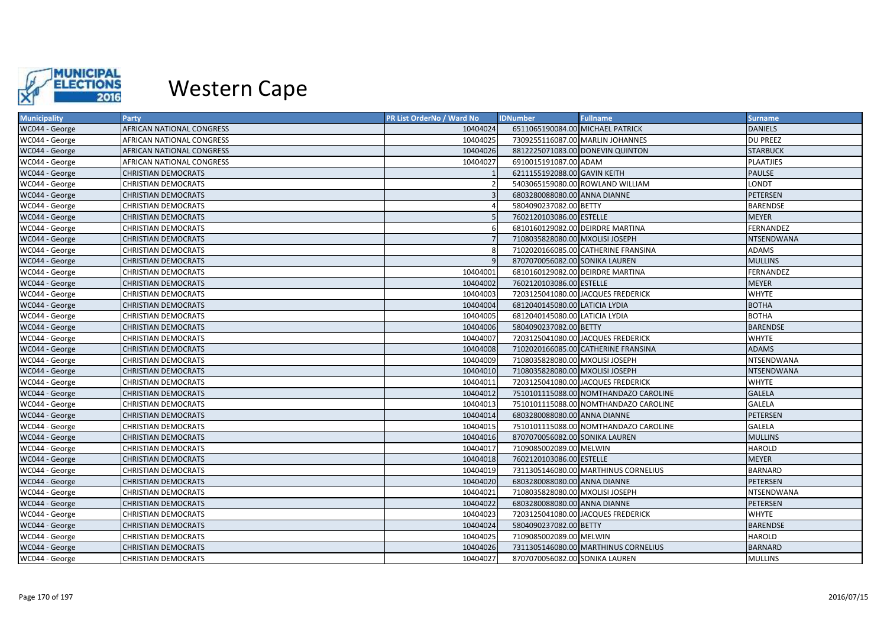

| <b>Municipality</b> | Party                      | <b>PR List OrderNo / Ward No</b> | <b>IDNumber</b>                  | <b>Fullname</b>                       | <b>Surname</b>    |
|---------------------|----------------------------|----------------------------------|----------------------------------|---------------------------------------|-------------------|
| WC044 - George      | AFRICAN NATIONAL CONGRESS  | 10404024                         | 6511065190084.00 MICHAEL PATRICK |                                       | <b>DANIELS</b>    |
| WC044 - George      | AFRICAN NATIONAL CONGRESS  | 10404025                         |                                  | 7309255116087.00 MARLIN JOHANNES      | <b>DU PREEZ</b>   |
| WC044 - George      | AFRICAN NATIONAL CONGRESS  | 10404026                         |                                  | 8812225071083.00 DONEVIN QUINTON      | <b>STARBUCK</b>   |
| WC044 - George      | AFRICAN NATIONAL CONGRESS  | 10404027                         | 6910015191087.00 ADAM            |                                       | <b>PLAATJIES</b>  |
| WC044 - George      | <b>CHRISTIAN DEMOCRATS</b> |                                  | 6211155192088.00 GAVIN KEITH     |                                       | <b>PAULSE</b>     |
| WC044 - George      | <b>CHRISTIAN DEMOCRATS</b> |                                  |                                  | 5403065159080.00 ROWLAND WILLIAM      | <b>LONDT</b>      |
| WC044 - George      | <b>CHRISTIAN DEMOCRATS</b> |                                  | 6803280088080.00 ANNA DIANNE     |                                       | <b>PETERSEN</b>   |
| WC044 - George      | <b>CHRISTIAN DEMOCRATS</b> |                                  | 5804090237082.00 BETTY           |                                       | <b>BARENDSE</b>   |
| WC044 - George      | <b>CHRISTIAN DEMOCRATS</b> |                                  | 7602120103086.00 ESTELLE         |                                       | <b>MEYER</b>      |
| WC044 - George      | <b>CHRISTIAN DEMOCRATS</b> |                                  | 6810160129082.00 DEIRDRE MARTINA |                                       | <b>FERNANDEZ</b>  |
| WC044 - George      | <b>CHRISTIAN DEMOCRATS</b> |                                  | 7108035828080.00 MXOLISI JOSEPH  |                                       | <b>NTSENDWANA</b> |
| WC044 - George      | <b>CHRISTIAN DEMOCRATS</b> |                                  |                                  | 7102020166085.00 CATHERINE FRANSINA   | <b>ADAMS</b>      |
| WC044 - George      | <b>CHRISTIAN DEMOCRATS</b> |                                  | 8707070056082.00 SONIKA LAUREN   |                                       | <b>MULLINS</b>    |
| WC044 - George      | <b>CHRISTIAN DEMOCRATS</b> | 10404001                         | 6810160129082.00 DEIRDRE MARTINA |                                       | FERNANDEZ         |
| WC044 - George      | <b>CHRISTIAN DEMOCRATS</b> | 10404002                         | 7602120103086.00 ESTELLE         |                                       | <b>MEYER</b>      |
| WC044 - George      | <b>CHRISTIAN DEMOCRATS</b> | 10404003                         |                                  | 7203125041080.00 JACQUES FREDERICK    | <b>WHYTE</b>      |
| WC044 - George      | <b>CHRISTIAN DEMOCRATS</b> | 10404004                         | 6812040145080.00 LATICIA LYDIA   |                                       | <b>BOTHA</b>      |
| WC044 - George      | <b>CHRISTIAN DEMOCRATS</b> | 10404005                         | 6812040145080.00 LATICIA LYDIA   |                                       | <b>BOTHA</b>      |
| WC044 - George      | <b>CHRISTIAN DEMOCRATS</b> | 10404006                         | 5804090237082.00 BETTY           |                                       | <b>BARENDSE</b>   |
| WC044 - George      | <b>CHRISTIAN DEMOCRATS</b> | 10404007                         |                                  | 7203125041080.00 JACQUES FREDERICK    | <b>WHYTE</b>      |
| WC044 - George      | <b>CHRISTIAN DEMOCRATS</b> | 10404008                         |                                  | 7102020166085.00 CATHERINE FRANSINA   | <b>ADAMS</b>      |
| WC044 - George      | <b>CHRISTIAN DEMOCRATS</b> | 10404009                         | 7108035828080.00 MXOLISI JOSEPH  |                                       | <b>NTSENDWANA</b> |
| WC044 - George      | <b>CHRISTIAN DEMOCRATS</b> | 10404010                         | 7108035828080.00 MXOLISI JOSEPH  |                                       | NTSENDWANA        |
| WC044 - George      | <b>CHRISTIAN DEMOCRATS</b> | 10404011                         |                                  | 7203125041080.00 JACQUES FREDERICK    | <b>WHYTE</b>      |
| WC044 - George      | <b>CHRISTIAN DEMOCRATS</b> | 10404012                         |                                  | 7510101115088.00 NOMTHANDAZO CAROLINE | <b>GALELA</b>     |
| WC044 - George      | <b>CHRISTIAN DEMOCRATS</b> | 10404013                         |                                  | 7510101115088.00 NOMTHANDAZO CAROLINE | <b>GALELA</b>     |
| WC044 - George      | <b>CHRISTIAN DEMOCRATS</b> | 10404014                         | 6803280088080.00 ANNA DIANNE     |                                       | <b>PETERSEN</b>   |
| WC044 - George      | <b>CHRISTIAN DEMOCRATS</b> | 10404015                         |                                  | 7510101115088.00 NOMTHANDAZO CAROLINE | <b>GALELA</b>     |
| WC044 - George      | <b>CHRISTIAN DEMOCRATS</b> | 10404016                         | 8707070056082.00 SONIKA LAUREN   |                                       | <b>MULLINS</b>    |
| WC044 - George      | <b>CHRISTIAN DEMOCRATS</b> | 10404017                         | 7109085002089.00 MELWIN          |                                       | <b>HAROLD</b>     |
| WC044 - George      | <b>CHRISTIAN DEMOCRATS</b> | 10404018                         | 7602120103086.00 ESTELLE         |                                       | <b>MEYER</b>      |
| WC044 - George      | <b>CHRISTIAN DEMOCRATS</b> | 10404019                         |                                  | 7311305146080.00 MARTHINUS CORNELIUS  | <b>BARNARD</b>    |
| WC044 - George      | <b>CHRISTIAN DEMOCRATS</b> | 10404020                         | 6803280088080.00 ANNA DIANNE     |                                       | <b>PETERSEN</b>   |
| WC044 - George      | <b>CHRISTIAN DEMOCRATS</b> | 10404021                         | 7108035828080.00 MXOLISI JOSEPH  |                                       | NTSENDWANA        |
| WC044 - George      | <b>CHRISTIAN DEMOCRATS</b> | 10404022                         | 6803280088080.00 ANNA DIANNE     |                                       | PETERSEN          |
| WC044 - George      | <b>CHRISTIAN DEMOCRATS</b> | 10404023                         |                                  | 7203125041080.00 JACQUES FREDERICK    | <b>WHYTE</b>      |
| WC044 - George      | <b>CHRISTIAN DEMOCRATS</b> | 10404024                         | 5804090237082.00 BETTY           |                                       | <b>BARENDSE</b>   |
| WC044 - George      | <b>CHRISTIAN DEMOCRATS</b> | 10404025                         | 7109085002089.00 MELWIN          |                                       | <b>HAROLD</b>     |
| WC044 - George      | <b>CHRISTIAN DEMOCRATS</b> | 10404026                         |                                  | 7311305146080.00 MARTHINUS CORNELIUS  | <b>BARNARD</b>    |
| WC044 - George      | <b>CHRISTIAN DEMOCRATS</b> | 10404027                         | 8707070056082.00 SONIKA LAUREN   |                                       | <b>MULLINS</b>    |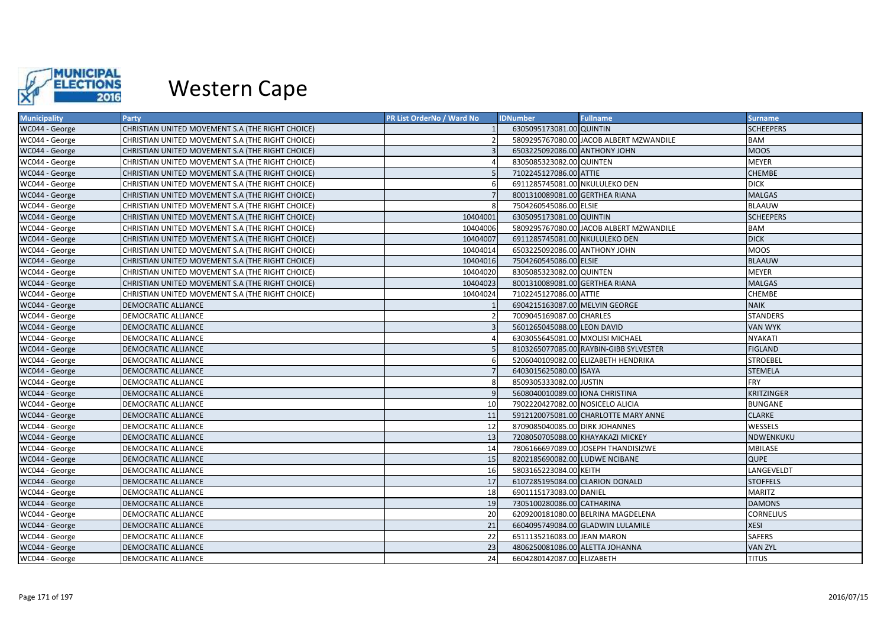

| <b>Municipality</b> | <b>Party</b>                                     | <b>PR List OrderNo / Ward No</b> | <b>IDNumber</b>                   | <b>Fullname</b>                         | <b>Surname</b>    |
|---------------------|--------------------------------------------------|----------------------------------|-----------------------------------|-----------------------------------------|-------------------|
| WC044 - George      | CHRISTIAN UNITED MOVEMENT S.A (THE RIGHT CHOICE) |                                  | 6305095173081.00 QUINTIN          |                                         | <b>SCHEEPERS</b>  |
| WC044 - George      | CHRISTIAN UNITED MOVEMENT S.A (THE RIGHT CHOICE) |                                  |                                   | 5809295767080.00 JACOB ALBERT MZWANDILE | <b>BAM</b>        |
| WC044 - George      | CHRISTIAN UNITED MOVEMENT S.A (THE RIGHT CHOICE) |                                  | 6503225092086.00 ANTHONY JOHN     |                                         | <b>MOOS</b>       |
| WC044 - George      | CHRISTIAN UNITED MOVEMENT S.A (THE RIGHT CHOICE) |                                  | 8305085323082.00 QUINTEN          |                                         | <b>MEYER</b>      |
| WC044 - George      | CHRISTIAN UNITED MOVEMENT S.A (THE RIGHT CHOICE) |                                  | 7102245127086.00 ATTIE            |                                         | <b>CHEMBE</b>     |
| WC044 - George      | CHRISTIAN UNITED MOVEMENT S.A (THE RIGHT CHOICE) |                                  | 6911285745081.00 NKULULEKO DEN    |                                         | <b>DICK</b>       |
| WC044 - George      | CHRISTIAN UNITED MOVEMENT S.A (THE RIGHT CHOICE) |                                  | 8001310089081.00 GERTHEA RIANA    |                                         | <b>MALGAS</b>     |
| WC044 - George      | CHRISTIAN UNITED MOVEMENT S.A (THE RIGHT CHOICE) |                                  | 7504260545086.00 ELSIE            |                                         | <b>BLAAUW</b>     |
| WC044 - George      | CHRISTIAN UNITED MOVEMENT S.A (THE RIGHT CHOICE) | 10404001                         | 6305095173081.00 QUINTIN          |                                         | <b>SCHEEPERS</b>  |
| WC044 - George      | CHRISTIAN UNITED MOVEMENT S.A (THE RIGHT CHOICE) | 10404006                         |                                   | 5809295767080.00 JACOB ALBERT MZWANDILE | <b>BAM</b>        |
| WC044 - George      | CHRISTIAN UNITED MOVEMENT S.A (THE RIGHT CHOICE) | 10404007                         | 6911285745081.00 NKULULEKO DEN    |                                         | <b>DICK</b>       |
| WC044 - George      | CHRISTIAN UNITED MOVEMENT S.A (THE RIGHT CHOICE) | 10404014                         | 6503225092086.00 ANTHONY JOHN     |                                         | <b>MOOS</b>       |
| WC044 - George      | CHRISTIAN UNITED MOVEMENT S.A (THE RIGHT CHOICE) | 10404016                         | 7504260545086.00 ELSIE            |                                         | <b>BLAAUW</b>     |
| WC044 - George      | CHRISTIAN UNITED MOVEMENT S.A (THE RIGHT CHOICE) | 10404020                         | 8305085323082.00 QUINTEN          |                                         | <b>MEYER</b>      |
| WC044 - George      | CHRISTIAN UNITED MOVEMENT S.A (THE RIGHT CHOICE) | 10404023                         | 8001310089081.00 GERTHEA RIANA    |                                         | <b>MALGAS</b>     |
| WC044 - George      | CHRISTIAN UNITED MOVEMENT S.A (THE RIGHT CHOICE) | 10404024                         | 7102245127086.00 ATTIE            |                                         | <b>CHEMBE</b>     |
| WC044 - George      | DEMOCRATIC ALLIANCE                              |                                  | 6904215163087.00 MELVIN GEORGE    |                                         | <b>NAIK</b>       |
| WC044 - George      | DEMOCRATIC ALLIANCE                              |                                  | 7009045169087.00 CHARLES          |                                         | <b>STANDERS</b>   |
| WC044 - George      | DEMOCRATIC ALLIANCE                              |                                  | 5601265045088.00 LEON DAVID       |                                         | <b>VAN WYK</b>    |
| WC044 - George      | DEMOCRATIC ALLIANCE                              |                                  | 6303055645081.00 MXOLISI MICHAEL  |                                         | <b>NYAKATI</b>    |
| WC044 - George      | DEMOCRATIC ALLIANCE                              |                                  |                                   | 8103265077085.00 RAYBIN-GIBB SYLVESTER  | <b>FIGLAND</b>    |
| WC044 - George      | DEMOCRATIC ALLIANCE                              |                                  |                                   | 5206040109082.00 ELIZABETH HENDRIKA     | <b>STROEBEL</b>   |
| WC044 - George      | DEMOCRATIC ALLIANCE                              |                                  | 6403015625080.00 ISAYA            |                                         | <b>STEMELA</b>    |
| WC044 - George      | DEMOCRATIC ALLIANCE                              |                                  | 8509305333082.00 JUSTIN           |                                         | <b>FRY</b>        |
| WC044 - George      | DEMOCRATIC ALLIANCE                              |                                  | 5608040010089.00 IONA CHRISTINA   |                                         | <b>KRITZINGER</b> |
| WC044 - George      | DEMOCRATIC ALLIANCE                              | 10                               | 7902220427082.00 NOSICELO ALICIA  |                                         | <b>BUNGANE</b>    |
| WC044 - George      | DEMOCRATIC ALLIANCE                              | 11                               |                                   | 5912120075081.00 CHARLOTTE MARY ANNE    | <b>CLARKE</b>     |
| WC044 - George      | DEMOCRATIC ALLIANCE                              | 12                               | 8709085040085.00 DIRK JOHANNES    |                                         | WESSELS           |
| WC044 - George      | DEMOCRATIC ALLIANCE                              | 13                               | 7208050705088.00 KHAYAKAZI MICKEY |                                         | NDWENKUKU         |
| WC044 - George      | DEMOCRATIC ALLIANCE                              | 14                               |                                   | 7806166697089.00 JOSEPH THANDISIZWE     | MBILASE           |
| WC044 - George      | DEMOCRATIC ALLIANCE                              | 15                               | 8202185690082.00 LUDWE NCIBANE    |                                         | <b>QUPE</b>       |
| WC044 - George      | DEMOCRATIC ALLIANCE                              | 16                               | 5803165223084.00 KEITH            |                                         | LANGEVELDT        |
| WC044 - George      | DEMOCRATIC ALLIANCE                              | 17                               | 6107285195084.00 CLARION DONALD   |                                         | <b>STOFFELS</b>   |
| WC044 - George      | DEMOCRATIC ALLIANCE                              | 18                               | 6901115173083.00 DANIEL           |                                         | <b>MARITZ</b>     |
| WC044 - George      | <b>DEMOCRATIC ALLIANCE</b>                       | 19                               | 7305100280086.00 CATHARINA        |                                         | <b>DAMONS</b>     |
| WC044 - George      | DEMOCRATIC ALLIANCE                              | 20                               |                                   | 6209200181080.00 BELRINA MAGDELENA      | <b>CORNELIUS</b>  |
| WC044 - George      | DEMOCRATIC ALLIANCE                              | 21                               |                                   | 6604095749084.00 GLADWIN LULAMILE       | <b>XESI</b>       |
| WC044 - George      | DEMOCRATIC ALLIANCE                              | 22                               | 6511135216083.00 JEAN MARON       |                                         | <b>SAFERS</b>     |
| WC044 - George      | <b>DEMOCRATIC ALLIANCE</b>                       | 23                               | 4806250081086.00 ALETTA JOHANNA   |                                         | <b>VAN ZYL</b>    |
| WC044 - George      | DEMOCRATIC ALLIANCE                              | 24                               | 6604280142087.00 ELIZABETH        |                                         | <b>TITUS</b>      |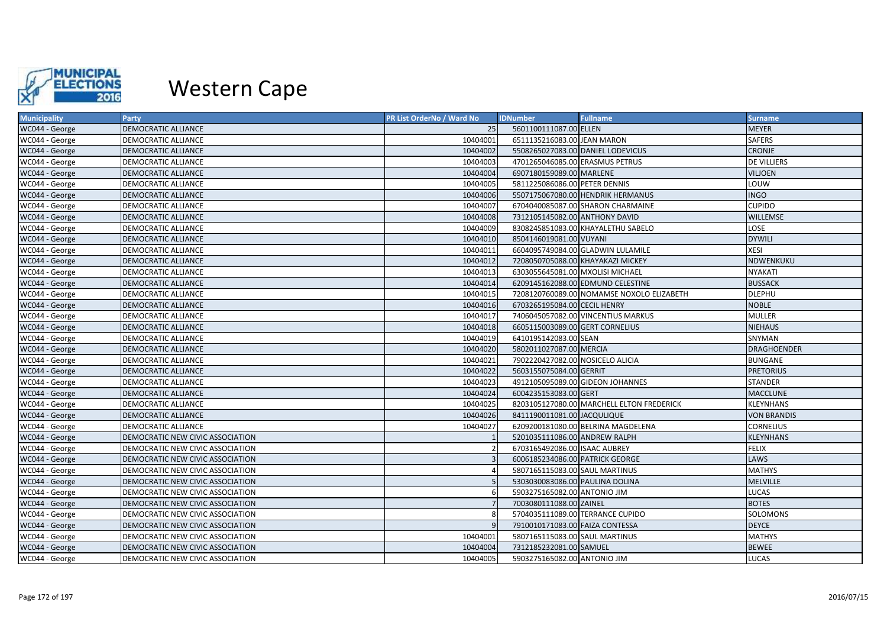

| <b>Municipality</b> | Party                            | <b>PR List OrderNo / Ward No</b> | <b>IDNumber</b>                  | <b>Fullname</b>                           | <b>Surname</b>     |
|---------------------|----------------------------------|----------------------------------|----------------------------------|-------------------------------------------|--------------------|
| WC044 - George      | <b>DEMOCRATIC ALLIANCE</b>       | 25                               | 5601100111087.00 ELLEN           |                                           | <b>MEYER</b>       |
| WC044 - George      | <b>DEMOCRATIC ALLIANCE</b>       | 10404001                         | 6511135216083.00 JEAN MARON      |                                           | <b>SAFERS</b>      |
| WC044 - George      | <b>DEMOCRATIC ALLIANCE</b>       | 10404002                         |                                  | 5508265027083.00 DANIEL LODEVICUS         | <b>CRONJE</b>      |
| WC044 - George      | <b>DEMOCRATIC ALLIANCE</b>       | 10404003                         | 4701265046085.00 ERASMUS PETRUS  |                                           | <b>DE VILLIERS</b> |
| WC044 - George      | DEMOCRATIC ALLIANCE              | 10404004                         | 6907180159089.00 MARLENE         |                                           | <b>VILJOEN</b>     |
| WC044 - George      | DEMOCRATIC ALLIANCE              | 10404005                         | 5811225086086.00 PETER DENNIS    |                                           | LOUW               |
| WC044 - George      | <b>DEMOCRATIC ALLIANCE</b>       | 10404006                         |                                  | 5507175067080.00 HENDRIK HERMANUS         | <b>INGO</b>        |
| WC044 - George      | DEMOCRATIC ALLIANCE              | 10404007                         |                                  | 6704040085087.00 SHARON CHARMAINE         | <b>CUPIDO</b>      |
| WC044 - George      | <b>DEMOCRATIC ALLIANCE</b>       | 10404008                         | 7312105145082.00 ANTHONY DAVID   |                                           | <b>WILLEMSE</b>    |
| WC044 - George      | <b>DEMOCRATIC ALLIANCE</b>       | 10404009                         |                                  | 8308245851083.00 KHAYALETHU SABELO        | LOSE               |
| WC044 - George      | <b>DEMOCRATIC ALLIANCE</b>       | 10404010                         | 8504146019081.00 VUYANI          |                                           | <b>DYWILI</b>      |
| WC044 - George      | <b>DEMOCRATIC ALLIANCE</b>       | 10404011                         |                                  | 6604095749084.00 GLADWIN LULAMILE         | <b>XESI</b>        |
| WC044 - George      | <b>DEMOCRATIC ALLIANCE</b>       | 10404012                         |                                  | 7208050705088.00 KHAYAKAZI MICKEY         | NDWENKUKU          |
| WC044 - George      | <b>DEMOCRATIC ALLIANCE</b>       | 10404013                         | 6303055645081.00 MXOLISI MICHAEL |                                           | <b>NYAKATI</b>     |
| WC044 - George      | <b>DEMOCRATIC ALLIANCE</b>       | 10404014                         |                                  | 6209145162088.00 EDMUND CELESTINE         | <b>BUSSACK</b>     |
| WC044 - George      | <b>DEMOCRATIC ALLIANCE</b>       | 10404015                         |                                  | 7208120760089.00 NOMAMSE NOXOLO ELIZABETH | <b>DLEPHU</b>      |
| WC044 - George      | DEMOCRATIC ALLIANCE              | 10404016                         | 6703265195084.00 CECIL HENRY     |                                           | <b>NOBLE</b>       |
| WC044 - George      | <b>DEMOCRATIC ALLIANCE</b>       | 10404017                         |                                  | 7406045057082.00 VINCENTIUS MARKUS        | <b>MULLER</b>      |
| WC044 - George      | <b>DEMOCRATIC ALLIANCE</b>       | 10404018                         | 6605115003089.00 GERT CORNELIUS  |                                           | <b>NIEHAUS</b>     |
| WC044 - George      | DEMOCRATIC ALLIANCE              | 10404019                         | 6410195142083.00 SEAN            |                                           | SNYMAN             |
| WC044 - George      | <b>DEMOCRATIC ALLIANCE</b>       | 10404020                         | 5802011027087.00 MERCIA          |                                           | <b>DRAGHOENDER</b> |
| WC044 - George      | <b>DEMOCRATIC ALLIANCE</b>       | 10404021                         | 7902220427082.00 NOSICELO ALICIA |                                           | <b>BUNGANE</b>     |
| WC044 - George      | DEMOCRATIC ALLIANCE              | 10404022                         | 5603155075084.00 GERRIT          |                                           | <b>PRETORIUS</b>   |
| WC044 - George      | <b>DEMOCRATIC ALLIANCE</b>       | 10404023                         |                                  | 4912105095089.00 GIDEON JOHANNES          | <b>STANDER</b>     |
| WC044 - George      | <b>DEMOCRATIC ALLIANCE</b>       | 10404024                         | 6004235153083.00 GERT            |                                           | <b>MACCLUNE</b>    |
| WC044 - George      | DEMOCRATIC ALLIANCE              | 10404025                         |                                  | 8203105127080.00 MARCHELL ELTON FREDERICK | KLEYNHANS          |
| WC044 - George      | <b>DEMOCRATIC ALLIANCE</b>       | 10404026                         | 8411190011081.00 JACQULIQUE      |                                           | <b>VON BRANDIS</b> |
| WC044 - George      | DEMOCRATIC ALLIANCE              | 10404027                         |                                  | 6209200181080.00 BELRINA MAGDELENA        | <b>CORNELIUS</b>   |
| WC044 - George      | DEMOCRATIC NEW CIVIC ASSOCIATION |                                  | 5201035111086.00 ANDREW RALPH    |                                           | <b>KLEYNHANS</b>   |
| WC044 - George      | DEMOCRATIC NEW CIVIC ASSOCIATION |                                  | 6703165492086.00 ISAAC AUBREY    |                                           | <b>FELIX</b>       |
| WC044 - George      | DEMOCRATIC NEW CIVIC ASSOCIATION |                                  | 6006185234086.00 PATRICK GEORGE  |                                           | LAWS               |
| WC044 - George      | DEMOCRATIC NEW CIVIC ASSOCIATION |                                  | 5807165115083.00 SAUL MARTINUS   |                                           | <b>MATHYS</b>      |
| WC044 - George      | DEMOCRATIC NEW CIVIC ASSOCIATION |                                  | 5303030083086.00 PAULINA DOLINA  |                                           | <b>MELVILLE</b>    |
| WC044 - George      | DEMOCRATIC NEW CIVIC ASSOCIATION |                                  | 5903275165082.00 ANTONIO JIM     |                                           | <b>LUCAS</b>       |
| WC044 - George      | DEMOCRATIC NEW CIVIC ASSOCIATION |                                  | 7003080111088.00 ZAINEL          |                                           | <b>BOTES</b>       |
| WC044 - George      | DEMOCRATIC NEW CIVIC ASSOCIATION |                                  | 5704035111089.00 TERRANCE CUPIDO |                                           | SOLOMONS           |
| WC044 - George      | DEMOCRATIC NEW CIVIC ASSOCIATION |                                  | 7910010171083.00 FAIZA CONTESSA  |                                           | <b>DEYCE</b>       |
| WC044 - George      | DEMOCRATIC NEW CIVIC ASSOCIATION | 10404001                         | 5807165115083.00 SAUL MARTINUS   |                                           | <b>MATHYS</b>      |
| WC044 - George      | DEMOCRATIC NEW CIVIC ASSOCIATION | 10404004                         | 7312185232081.00 SAMUEL          |                                           | <b>BEWEE</b>       |
| WC044 - George      | DEMOCRATIC NEW CIVIC ASSOCIATION | 10404005                         | 5903275165082.00 ANTONIO JIM     |                                           | <b>LUCAS</b>       |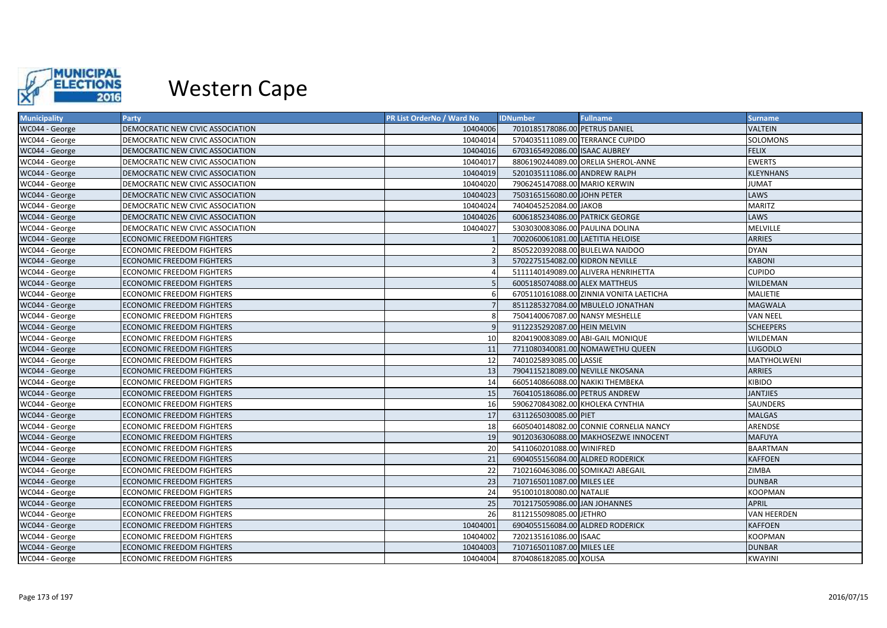

| <b>Municipality</b> | Party                                   | <b>PR List OrderNo / Ward No</b> | <b>IDNumber</b>                   | <b>Fullname</b>                         | <b>Surname</b>     |
|---------------------|-----------------------------------------|----------------------------------|-----------------------------------|-----------------------------------------|--------------------|
| WC044 - George      | <b>DEMOCRATIC NEW CIVIC ASSOCIATION</b> | 10404006                         | 7010185178086.00 PETRUS DANIEL    |                                         | <b>VALTEIN</b>     |
| WC044 - George      | DEMOCRATIC NEW CIVIC ASSOCIATION        | 10404014                         | 5704035111089.00 TERRANCE CUPIDO  |                                         | SOLOMONS           |
| WC044 - George      | DEMOCRATIC NEW CIVIC ASSOCIATION        | 10404016                         | 6703165492086.00 ISAAC AUBREY     |                                         | <b>FELIX</b>       |
| WC044 - George      | DEMOCRATIC NEW CIVIC ASSOCIATION        | 10404017                         |                                   | 8806190244089.00 ORELIA SHEROL-ANNE     | <b>EWERTS</b>      |
| WC044 - George      | DEMOCRATIC NEW CIVIC ASSOCIATION        | 10404019                         | 5201035111086.00 ANDREW RALPH     |                                         | <b>KLEYNHANS</b>   |
| WC044 - George      | DEMOCRATIC NEW CIVIC ASSOCIATION        | 10404020                         | 7906245147088.00 MARIO KERWIN     |                                         | <b>JUMAT</b>       |
| WC044 - George      | DEMOCRATIC NEW CIVIC ASSOCIATION        | 10404023                         | 7503165156080.00 JOHN PETER       |                                         | LAWS               |
| WC044 - George      | DEMOCRATIC NEW CIVIC ASSOCIATION        | 10404024                         | 7404045252084.00 JAKOB            |                                         | <b>MARITZ</b>      |
| WC044 - George      | DEMOCRATIC NEW CIVIC ASSOCIATION        | 10404026                         | 6006185234086.00 PATRICK GEORGE   |                                         | LAWS               |
| WC044 - George      | DEMOCRATIC NEW CIVIC ASSOCIATION        | 10404027                         | 5303030083086.00 PAULINA DOLINA   |                                         | <b>MELVILLE</b>    |
| WC044 - George      | <b>ECONOMIC FREEDOM FIGHTERS</b>        |                                  | 7002060061081.00 LAETITIA HELOISE |                                         | <b>ARRIES</b>      |
| WC044 - George      | <b>ECONOMIC FREEDOM FIGHTERS</b>        |                                  | 8505220392088.00 BULELWA NAIDOO   |                                         | <b>DYAN</b>        |
| WC044 - George      | <b>ECONOMIC FREEDOM FIGHTERS</b>        |                                  | 5702275154082.00 KIDRON NEVILLE   |                                         | <b>KABONI</b>      |
| WC044 - George      | <b>ECONOMIC FREEDOM FIGHTERS</b>        |                                  |                                   | 5111140149089.00 ALIVERA HENRIHETTA     | <b>CUPIDO</b>      |
| WC044 - George      | <b>ECONOMIC FREEDOM FIGHTERS</b>        |                                  | 6005185074088.00 ALEX MATTHEUS    |                                         | <b>WILDEMAN</b>    |
| WC044 - George      | <b>ECONOMIC FREEDOM FIGHTERS</b>        |                                  |                                   | 6705110161088.00 ZINNIA VONITA LAETICHA | <b>MALIETIE</b>    |
| WC044 - George      | <b>ECONOMIC FREEDOM FIGHTERS</b>        |                                  |                                   | 8511285327084.00 MBULELO JONATHAN       | <b>MAGWALA</b>     |
| WC044 - George      | <b>ECONOMIC FREEDOM FIGHTERS</b>        |                                  | 7504140067087.00 NANSY MESHELLE   |                                         | <b>VAN NEEL</b>    |
| WC044 - George      | <b>ECONOMIC FREEDOM FIGHTERS</b>        |                                  | 9112235292087.00 HEIN MELVIN      |                                         | <b>SCHEEPERS</b>   |
| WC044 - George      | <b>ECONOMIC FREEDOM FIGHTERS</b>        | 10                               |                                   | 8204190083089.00 ABI-GAIL MONIQUE       | WILDEMAN           |
| WC044 - George      | <b>ECONOMIC FREEDOM FIGHTERS</b>        | 11                               |                                   | 7711080340081.00 NOMAWETHU QUEEN        | <b>LUGODLO</b>     |
| WC044 - George      | <b>ECONOMIC FREEDOM FIGHTERS</b>        | 12                               | 7401025893085.00 LASSIE           |                                         | MATYHOLWENI        |
| WC044 - George      | <b>ECONOMIC FREEDOM FIGHTERS</b>        | 13                               | 7904115218089.00 NEVILLE NKOSANA  |                                         | <b>ARRIES</b>      |
| WC044 - George      | <b>ECONOMIC FREEDOM FIGHTERS</b>        | 14                               | 6605140866088.00 NAKIKI THEMBEKA  |                                         | KIBIDO             |
| WC044 - George      | <b>ECONOMIC FREEDOM FIGHTERS</b>        | 15                               | 7604105186086.00 PETRUS ANDREW    |                                         | <b>JANTJIES</b>    |
| WC044 - George      | <b>ECONOMIC FREEDOM FIGHTERS</b>        | 16                               | 5906270843082.00 KHOLEKA CYNTHIA  |                                         | SAUNDERS           |
| WC044 - George      | <b>ECONOMIC FREEDOM FIGHTERS</b>        | 17                               | 6311265030085.00 PIET             |                                         | <b>MALGAS</b>      |
| WC044 - George      | <b>ECONOMIC FREEDOM FIGHTERS</b>        | 18                               |                                   | 6605040148082.00 CONNIE CORNELIA NANCY  | ARENDSE            |
| WC044 - George      | <b>ECONOMIC FREEDOM FIGHTERS</b>        | 19                               |                                   | 9012036306088.00 MAKHOSEZWE INNOCENT    | <b>MAFUYA</b>      |
| WC044 - George      | <b>ECONOMIC FREEDOM FIGHTERS</b>        | 20                               | 5411060201088.00 WINIFRED         |                                         | <b>BAARTMAN</b>    |
| WC044 - George      | <b>ECONOMIC FREEDOM FIGHTERS</b>        | 21                               | 6904055156084.00 ALDRED RODERICK  |                                         | <b>KAFFOEN</b>     |
| WC044 - George      | <b>ECONOMIC FREEDOM FIGHTERS</b>        | 22                               | 7102160463086.00 SOMIKAZI ABEGAIL |                                         | ZIMBA              |
| WC044 - George      | <b>ECONOMIC FREEDOM FIGHTERS</b>        | 23                               | 7107165011087.00 MILES LEE        |                                         | <b>DUNBAR</b>      |
| WC044 - George      | <b>ECONOMIC FREEDOM FIGHTERS</b>        | 24                               | 9510010180080.00 NATALIE          |                                         | <b>KOOPMAN</b>     |
| WC044 - George      | <b>ECONOMIC FREEDOM FIGHTERS</b>        | 25                               | 7012175059086.00 JAN JOHANNES     |                                         | <b>APRIL</b>       |
| WC044 - George      | <b>ECONOMIC FREEDOM FIGHTERS</b>        | 26                               | 8112155098085.00 JETHRO           |                                         | <b>VAN HEERDEN</b> |
| WC044 - George      | <b>ECONOMIC FREEDOM FIGHTERS</b>        | 10404001                         | 6904055156084.00 ALDRED RODERICK  |                                         | <b>KAFFOEN</b>     |
| WC044 - George      | <b>ECONOMIC FREEDOM FIGHTERS</b>        | 10404002                         | 7202135161086.00 ISAAC            |                                         | <b>KOOPMAN</b>     |
| WC044 - George      | <b>ECONOMIC FREEDOM FIGHTERS</b>        | 10404003                         | 7107165011087.00 MILES LEE        |                                         | <b>DUNBAR</b>      |
| WC044 - George      | <b>ECONOMIC FREEDOM FIGHTERS</b>        | 10404004                         | 8704086182085.00 XOLISA           |                                         | <b>KWAYINI</b>     |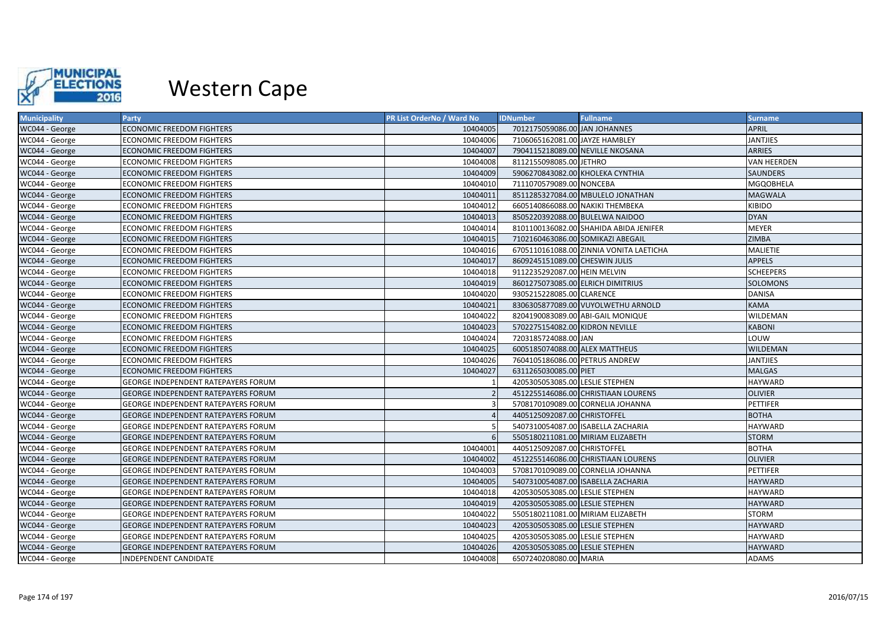

| <b>Municipality</b> | Party                                      | <b>PR List OrderNo / Ward No</b> | <b>IDNumber</b>                   | <b>Fullname</b>                         | <b>Surname</b>     |
|---------------------|--------------------------------------------|----------------------------------|-----------------------------------|-----------------------------------------|--------------------|
| WC044 - George      | <b>ECONOMIC FREEDOM FIGHTERS</b>           | 10404005                         | 7012175059086.00 JAN JOHANNES     |                                         | <b>APRIL</b>       |
| WC044 - George      | <b>ECONOMIC FREEDOM FIGHTERS</b>           | 10404006                         | 7106065162081.00 JAYZE HAMBLEY    |                                         | <b>JANTJIES</b>    |
| WC044 - George      | <b>ECONOMIC FREEDOM FIGHTERS</b>           | 10404007                         | 7904115218089.00 NEVILLE NKOSANA  |                                         | ARRIES             |
| WC044 - George      | <b>ECONOMIC FREEDOM FIGHTERS</b>           | 10404008                         | 8112155098085.00 JETHRO           |                                         | <b>VAN HEERDEN</b> |
| WC044 - George      | <b>ECONOMIC FREEDOM FIGHTERS</b>           | 10404009                         | 5906270843082.00 KHOLEKA CYNTHIA  |                                         | <b>SAUNDERS</b>    |
| WC044 - George      | <b>ECONOMIC FREEDOM FIGHTERS</b>           | 10404010                         | 7111070579089.00 NONCEBA          |                                         | MGQOBHELA          |
| WC044 - George      | <b>ECONOMIC FREEDOM FIGHTERS</b>           | 10404011                         |                                   | 8511285327084.00 MBULELO JONATHAN       | <b>MAGWALA</b>     |
| WC044 - George      | <b>ECONOMIC FREEDOM FIGHTERS</b>           | 10404012                         | 6605140866088.00 NAKIKI THEMBEKA  |                                         | <b>KIBIDO</b>      |
| WC044 - George      | <b>ECONOMIC FREEDOM FIGHTERS</b>           | 10404013                         | 8505220392088.00 BULELWA NAIDOO   |                                         | <b>DYAN</b>        |
| WC044 - George      | <b>ECONOMIC FREEDOM FIGHTERS</b>           | 10404014                         |                                   | 8101100136082.00 SHAHIDA ABIDA JENIFER  | <b>MEYER</b>       |
| WC044 - George      | <b>ECONOMIC FREEDOM FIGHTERS</b>           | 10404015                         | 7102160463086.00 SOMIKAZI ABEGAIL |                                         | <b>ZIMBA</b>       |
| WC044 - George      | <b>ECONOMIC FREEDOM FIGHTERS</b>           | 10404016                         |                                   | 6705110161088.00 ZINNIA VONITA LAETICHA | <b>MALIETIE</b>    |
| WC044 - George      | <b>ECONOMIC FREEDOM FIGHTERS</b>           | 10404017                         | 8609245151089.00 CHESWIN JULIS    |                                         | <b>APPELS</b>      |
| WC044 - George      | <b>ECONOMIC FREEDOM FIGHTERS</b>           | 10404018                         | 9112235292087.00 HEIN MELVIN      |                                         | <b>SCHEEPERS</b>   |
| WC044 - George      | <b>ECONOMIC FREEDOM FIGHTERS</b>           | 10404019                         | 8601275073085.00 ELRICH DIMITRIUS |                                         | <b>SOLOMONS</b>    |
| WC044 - George      | <b>ECONOMIC FREEDOM FIGHTERS</b>           | 10404020                         | 9305215228085.00 CLARENCE         |                                         | <b>DANISA</b>      |
| WC044 - George      | <b>ECONOMIC FREEDOM FIGHTERS</b>           | 10404021                         |                                   | 8306305877089.00 VUYOLWETHU ARNOLD      | <b>KAMA</b>        |
| WC044 - George      | <b>ECONOMIC FREEDOM FIGHTERS</b>           | 10404022                         |                                   | 8204190083089.00 ABI-GAIL MONIQUE       | WILDEMAN           |
| WC044 - George      | <b>ECONOMIC FREEDOM FIGHTERS</b>           | 10404023                         | 5702275154082.00 KIDRON NEVILLE   |                                         | <b>KABONI</b>      |
| WC044 - George      | <b>ECONOMIC FREEDOM FIGHTERS</b>           | 10404024                         | 7203185724088.00 JAN              |                                         | LOUW               |
| WC044 - George      | <b>ECONOMIC FREEDOM FIGHTERS</b>           | 10404025                         | 6005185074088.00 ALEX MATTHEUS    |                                         | <b>WILDEMAN</b>    |
| WC044 - George      | <b>ECONOMIC FREEDOM FIGHTERS</b>           | 10404026                         | 7604105186086.00 PETRUS ANDREW    |                                         | <b>JANTJIES</b>    |
| WC044 - George      | <b>ECONOMIC FREEDOM FIGHTERS</b>           | 10404027                         | 6311265030085.00 PIET             |                                         | <b>MALGAS</b>      |
| WC044 - George      | GEORGE INDEPENDENT RATEPAYERS FORUM        |                                  | 4205305053085.00 LESLIE STEPHEN   |                                         | <b>HAYWARD</b>     |
| WC044 - George      | <b>GEORGE INDEPENDENT RATEPAYERS FORUM</b> |                                  |                                   | 4512255146086.00 CHRISTIAAN LOURENS     | <b>OLIVIER</b>     |
| WC044 - George      | <b>GEORGE INDEPENDENT RATEPAYERS FORUM</b> |                                  |                                   | 5708170109089.00 CORNELIA JOHANNA       | PETTIFER           |
| WC044 - George      | <b>GEORGE INDEPENDENT RATEPAYERS FORUM</b> |                                  | 4405125092087.00 CHRISTOFFEL      |                                         | <b>BOTHA</b>       |
| WC044 - George      | GEORGE INDEPENDENT RATEPAYERS FORUM        |                                  |                                   | 5407310054087.00 ISABELLA ZACHARIA      | <b>HAYWARD</b>     |
| WC044 - George      | <b>GEORGE INDEPENDENT RATEPAYERS FORUM</b> |                                  |                                   | 5505180211081.00 MIRIAM ELIZABETH       | <b>STORM</b>       |
| WC044 - George      | GEORGE INDEPENDENT RATEPAYERS FORUM        | 10404001                         | 4405125092087.00 CHRISTOFFEL      |                                         | <b>BOTHA</b>       |
| WC044 - George      | <b>GEORGE INDEPENDENT RATEPAYERS FORUM</b> | 10404002                         |                                   | 4512255146086.00 CHRISTIAAN LOURENS     | <b>OLIVIER</b>     |
| WC044 - George      | GEORGE INDEPENDENT RATEPAYERS FORUM        | 10404003                         |                                   | 5708170109089.00 CORNELIA JOHANNA       | PETTIFER           |
| WC044 - George      | <b>GEORGE INDEPENDENT RATEPAYERS FORUM</b> | 10404005                         |                                   | 5407310054087.00 ISABELLA ZACHARIA      | <b>HAYWARD</b>     |
| WC044 - George      | GEORGE INDEPENDENT RATEPAYERS FORUM        | 10404018                         | 4205305053085.00 LESLIE STEPHEN   |                                         | <b>HAYWARD</b>     |
| WC044 - George      | <b>GEORGE INDEPENDENT RATEPAYERS FORUM</b> | 10404019                         | 4205305053085.00 LESLIE STEPHEN   |                                         | <b>HAYWARD</b>     |
| WC044 - George      | GEORGE INDEPENDENT RATEPAYERS FORUM        | 10404022                         |                                   | 5505180211081.00 MIRIAM ELIZABETH       | <b>STORM</b>       |
| WC044 - George      | <b>GEORGE INDEPENDENT RATEPAYERS FORUM</b> | 10404023                         | 4205305053085.00 LESLIE STEPHEN   |                                         | <b>HAYWARD</b>     |
| WC044 - George      | GEORGE INDEPENDENT RATEPAYERS FORUM        | 10404025                         | 4205305053085.00 LESLIE STEPHEN   |                                         | <b>HAYWARD</b>     |
| WC044 - George      | <b>GEORGE INDEPENDENT RATEPAYERS FORUM</b> | 10404026                         | 4205305053085.00 LESLIE STEPHEN   |                                         | <b>HAYWARD</b>     |
| WC044 - George      | <b>INDEPENDENT CANDIDATE</b>               | 10404008                         | 6507240208080.00 MARIA            |                                         | <b>ADAMS</b>       |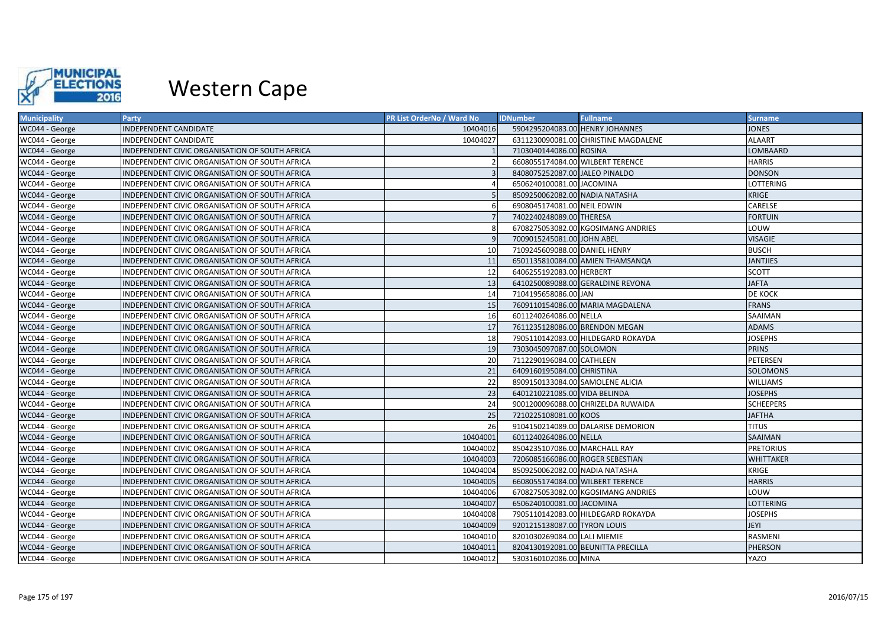

| <b>Municipality</b> | Party                                          | PR List OrderNo / Ward No | <b>IDNumber</b>                  | <b>Fullname</b>                      | <b>Surname</b>   |
|---------------------|------------------------------------------------|---------------------------|----------------------------------|--------------------------------------|------------------|
| WC044 - George      | <b>INDEPENDENT CANDIDATE</b>                   | 10404016                  | 5904295204083.00 HENRY JOHANNES  |                                      | <b>JONES</b>     |
| WC044 - George      | INDEPENDENT CANDIDATE                          | 10404027                  |                                  | 6311230090081.00 CHRISTINE MAGDALENE | <b>ALAART</b>    |
| WC044 - George      | INDEPENDENT CIVIC ORGANISATION OF SOUTH AFRICA |                           | 7103040144086.00 ROSINA          |                                      | LOMBAARD         |
| WC044 - George      | INDEPENDENT CIVIC ORGANISATION OF SOUTH AFRICA |                           | 6608055174084.00 WILBERT TERENCE |                                      | <b>HARRIS</b>    |
| WC044 - George      | INDEPENDENT CIVIC ORGANISATION OF SOUTH AFRICA |                           | 8408075252087.00 JALEO PINALDO   |                                      | <b>DONSON</b>    |
| WC044 - George      | INDEPENDENT CIVIC ORGANISATION OF SOUTH AFRICA |                           | 6506240100081.00 JACOMINA        |                                      | <b>LOTTERING</b> |
| WC044 - George      | INDEPENDENT CIVIC ORGANISATION OF SOUTH AFRICA |                           | 8509250062082.00 NADIA NATASHA   |                                      | <b>KRIGE</b>     |
| WC044 - George      | INDEPENDENT CIVIC ORGANISATION OF SOUTH AFRICA |                           | 6908045174081.00 NEIL EDWIN      |                                      | CARELSE          |
| WC044 - George      | INDEPENDENT CIVIC ORGANISATION OF SOUTH AFRICA |                           | 7402240248089.00 THERESA         |                                      | <b>FORTUIN</b>   |
| WC044 - George      | INDEPENDENT CIVIC ORGANISATION OF SOUTH AFRICA |                           |                                  | 6708275053082.00 KGOSIMANG ANDRIES   | LOUW             |
| WC044 - George      | INDEPENDENT CIVIC ORGANISATION OF SOUTH AFRICA |                           | 7009015245081.00 JOHN ABEL       |                                      | <b>VISAGIE</b>   |
| WC044 - George      | INDEPENDENT CIVIC ORGANISATION OF SOUTH AFRICA | 10                        | 7109245609088.00 DANIEL HENRY    |                                      | <b>BUSCH</b>     |
| WC044 - George      | INDEPENDENT CIVIC ORGANISATION OF SOUTH AFRICA | 11                        |                                  | 6501135810084.00 AMIEN THAMSANQA     | <b>JANTJIES</b>  |
| WC044 - George      | INDEPENDENT CIVIC ORGANISATION OF SOUTH AFRICA | 12                        | 6406255192083.00 HERBERT         |                                      | <b>SCOTT</b>     |
| WC044 - George      | INDEPENDENT CIVIC ORGANISATION OF SOUTH AFRICA | 13                        |                                  | 6410250089088.00 GERALDINE REVONA    | <b>JAFTA</b>     |
| WC044 - George      | INDEPENDENT CIVIC ORGANISATION OF SOUTH AFRICA | 14                        | 7104195658086.00 JAN             |                                      | <b>DE KOCK</b>   |
| WC044 - George      | INDEPENDENT CIVIC ORGANISATION OF SOUTH AFRICA | 15                        |                                  | 7609110154086.00 MARIA MAGDALENA     | <b>FRANS</b>     |
| WC044 - George      | INDEPENDENT CIVIC ORGANISATION OF SOUTH AFRICA | 16                        | 6011240264086.00 NELLA           |                                      | SAAIMAN          |
| WC044 - George      | INDEPENDENT CIVIC ORGANISATION OF SOUTH AFRICA | 17                        | 7611235128086.00 BRENDON MEGAN   |                                      | <b>ADAMS</b>     |
| WC044 - George      | INDEPENDENT CIVIC ORGANISATION OF SOUTH AFRICA | 18                        |                                  | 7905110142083.00 HILDEGARD ROKAYDA   | <b>JOSEPHS</b>   |
| WC044 - George      | INDEPENDENT CIVIC ORGANISATION OF SOUTH AFRICA | 19                        | 7303045097087.00 SOLOMON         |                                      | <b>PRINS</b>     |
| WC044 - George      | INDEPENDENT CIVIC ORGANISATION OF SOUTH AFRICA | 20                        | 7112290196084.00 CATHLEEN        |                                      | PETERSEN         |
| WC044 - George      | INDEPENDENT CIVIC ORGANISATION OF SOUTH AFRICA | 21                        | 6409160195084.00 CHRISTINA       |                                      | <b>SOLOMONS</b>  |
| WC044 - George      | INDEPENDENT CIVIC ORGANISATION OF SOUTH AFRICA | 22                        | 8909150133084.00 SAMOLENE ALICIA |                                      | <b>WILLIAMS</b>  |
| WC044 - George      | INDEPENDENT CIVIC ORGANISATION OF SOUTH AFRICA | 23                        | 6401210221085.00 VIDA BELINDA    |                                      | <b>JOSEPHS</b>   |
| WC044 - George      | INDEPENDENT CIVIC ORGANISATION OF SOUTH AFRICA | 24                        |                                  | 9001200096088.00 CHRIZELDA RUWAIDA   | <b>SCHEEPERS</b> |
| WC044 - George      | INDEPENDENT CIVIC ORGANISATION OF SOUTH AFRICA | 25                        | 7210225108081.00 KOOS            |                                      | <b>JAFTHA</b>    |
| WC044 - George      | INDEPENDENT CIVIC ORGANISATION OF SOUTH AFRICA | 26                        |                                  | 9104150214089.00 DALARISE DEMORION   | <b>TITUS</b>     |
| WC044 - George      | INDEPENDENT CIVIC ORGANISATION OF SOUTH AFRICA | 10404001                  | 6011240264086.00 NELLA           |                                      | SAAIMAN          |
| WC044 - George      | INDEPENDENT CIVIC ORGANISATION OF SOUTH AFRICA | 10404002                  | 8504235107086.00 MARCHALL RAY    |                                      | <b>PRETORIUS</b> |
| WC044 - George      | INDEPENDENT CIVIC ORGANISATION OF SOUTH AFRICA | 10404003                  | 7206085166086.00 ROGER SEBESTIAN |                                      | <b>WHITTAKER</b> |
| WC044 - George      | INDEPENDENT CIVIC ORGANISATION OF SOUTH AFRICA | 10404004                  | 8509250062082.00 NADIA NATASHA   |                                      | <b>KRIGE</b>     |
| WC044 - George      | INDEPENDENT CIVIC ORGANISATION OF SOUTH AFRICA | 10404005                  | 6608055174084.00 WILBERT TERENCE |                                      | <b>HARRIS</b>    |
| WC044 - George      | INDEPENDENT CIVIC ORGANISATION OF SOUTH AFRICA | 10404006                  |                                  | 6708275053082.00 KGOSIMANG ANDRIES   | LOUW             |
| WC044 - George      | INDEPENDENT CIVIC ORGANISATION OF SOUTH AFRICA | 10404007                  | 6506240100081.00 JACOMINA        |                                      | <b>LOTTERING</b> |
| WC044 - George      | INDEPENDENT CIVIC ORGANISATION OF SOUTH AFRICA | 10404008                  |                                  | 7905110142083.00 HILDEGARD ROKAYDA   | <b>JOSEPHS</b>   |
| WC044 - George      | INDEPENDENT CIVIC ORGANISATION OF SOUTH AFRICA | 10404009                  | 9201215138087.00 TYRON LOUIS     |                                      | JEYI             |
| WC044 - George      | INDEPENDENT CIVIC ORGANISATION OF SOUTH AFRICA | 10404010                  | 8201030269084.00 LALI MIEMIE     |                                      | RASMENI          |
| WC044 - George      | INDEPENDENT CIVIC ORGANISATION OF SOUTH AFRICA | 10404011                  |                                  | 8204130192081.00 BEUNITTA PRECILLA   | <b>PHERSON</b>   |
| WC044 - George      | INDEPENDENT CIVIC ORGANISATION OF SOUTH AFRICA | 10404012                  | 5303160102086.00 MINA            |                                      | YAZO             |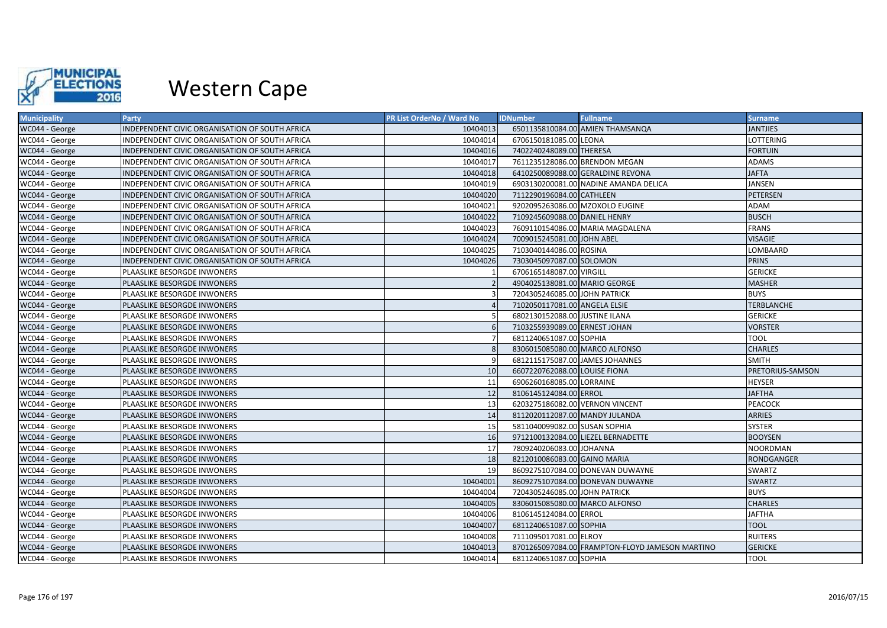

| <b>Municipality</b> | Party                                          | <b>PR List OrderNo / Ward No</b> | <b>IDNumber</b>                 | <b>Fullname</b>                                 | <b>Surname</b>    |
|---------------------|------------------------------------------------|----------------------------------|---------------------------------|-------------------------------------------------|-------------------|
| WC044 - George      | INDEPENDENT CIVIC ORGANISATION OF SOUTH AFRICA | 10404013                         |                                 | 6501135810084.00 AMIEN THAMSANQA                | <b>JANTJIES</b>   |
| WC044 - George      | INDEPENDENT CIVIC ORGANISATION OF SOUTH AFRICA | 10404014                         | 6706150181085.00 LEONA          |                                                 | <b>LOTTERING</b>  |
| WC044 - George      | INDEPENDENT CIVIC ORGANISATION OF SOUTH AFRICA | 10404016                         | 7402240248089.00 THERESA        |                                                 | <b>FORTUIN</b>    |
| WC044 - George      | INDEPENDENT CIVIC ORGANISATION OF SOUTH AFRICA | 10404017                         | 7611235128086.00 BRENDON MEGAN  |                                                 | <b>ADAMS</b>      |
| WC044 - George      | INDEPENDENT CIVIC ORGANISATION OF SOUTH AFRICA | 10404018                         |                                 | 6410250089088.00 GERALDINE REVONA               | <b>JAFTA</b>      |
| WC044 - George      | INDEPENDENT CIVIC ORGANISATION OF SOUTH AFRICA | 10404019                         |                                 | 6903130200081.00 NADINE AMANDA DELICA           | <b>JANSEN</b>     |
| WC044 - George      | INDEPENDENT CIVIC ORGANISATION OF SOUTH AFRICA | 10404020                         | 7112290196084.00 CATHLEEN       |                                                 | <b>PETERSEN</b>   |
| WC044 - George      | INDEPENDENT CIVIC ORGANISATION OF SOUTH AFRICA | 10404021                         | 9202095263086.00 MZOXOLO EUGINE |                                                 | <b>ADAM</b>       |
| WC044 - George      | INDEPENDENT CIVIC ORGANISATION OF SOUTH AFRICA | 10404022                         | 7109245609088.00 DANIEL HENRY   |                                                 | <b>BUSCH</b>      |
| WC044 - George      | INDEPENDENT CIVIC ORGANISATION OF SOUTH AFRICA | 10404023                         |                                 | 7609110154086.00 MARIA MAGDALENA                | <b>FRANS</b>      |
| WC044 - George      | INDEPENDENT CIVIC ORGANISATION OF SOUTH AFRICA | 10404024                         | 7009015245081.00 JOHN ABEL      |                                                 | <b>VISAGIE</b>    |
| WC044 - George      | INDEPENDENT CIVIC ORGANISATION OF SOUTH AFRICA | 10404025                         | 7103040144086.00 ROSINA         |                                                 | LOMBAARD          |
| WC044 - George      | INDEPENDENT CIVIC ORGANISATION OF SOUTH AFRICA | 10404026                         | 7303045097087.00 SOLOMON        |                                                 | <b>PRINS</b>      |
| WC044 - George      | PLAASLIKE BESORGDE INWONERS                    |                                  | 6706165148087.00 VIRGILL        |                                                 | <b>GERICKE</b>    |
| WC044 - George      | PLAASLIKE BESORGDE INWONERS                    |                                  | 4904025138081.00 MARIO GEORGE   |                                                 | <b>MASHER</b>     |
| WC044 - George      | PLAASLIKE BESORGDE INWONERS                    |                                  | 7204305246085.00 JOHN PATRICK   |                                                 | <b>BUYS</b>       |
| WC044 - George      | PLAASLIKE BESORGDE INWONERS                    |                                  | 7102050117081.00 ANGELA ELSIE   |                                                 | <b>TERBLANCHE</b> |
| WC044 - George      | PLAASLIKE BESORGDE INWONERS                    |                                  | 6802130152088.00 JUSTINE ILANA  |                                                 | <b>GERICKE</b>    |
| WC044 - George      | PLAASLIKE BESORGDE INWONERS                    |                                  | 7103255939089.00 ERNEST JOHAN   |                                                 | <b>VORSTER</b>    |
| WC044 - George      | PLAASLIKE BESORGDE INWONERS                    |                                  | 6811240651087.00 SOPHIA         |                                                 | <b>TOOL</b>       |
| WC044 - George      | PLAASLIKE BESORGDE INWONERS                    |                                  | 8306015085080.00 MARCO ALFONSO  |                                                 | <b>CHARLES</b>    |
| WC044 - George      | PLAASLIKE BESORGDE INWONERS                    |                                  | 6812115175087.00 JAMES JOHANNES |                                                 | <b>SMITH</b>      |
| WC044 - George      | PLAASLIKE BESORGDE INWONERS                    | 10                               | 6607220762088.00 LOUISE FIONA   |                                                 | PRETORIUS-SAMSON  |
| WC044 - George      | PLAASLIKE BESORGDE INWONERS                    | 11                               | 6906260168085.00 LORRAINE       |                                                 | <b>HEYSER</b>     |
| WC044 - George      | PLAASLIKE BESORGDE INWONERS                    | 12                               | 8106145124084.00 ERROL          |                                                 | <b>JAFTHA</b>     |
| WC044 - George      | PLAASLIKE BESORGDE INWONERS                    | 13                               | 6203275186082.00 VERNON VINCENT |                                                 | PEACOCK           |
| WC044 - George      | PLAASLIKE BESORGDE INWONERS                    | 14                               | 8112020112087.00 MANDY JULANDA  |                                                 | ARRIES            |
| WC044 - George      | PLAASLIKE BESORGDE INWONERS                    | 15                               | 5811040099082.00 SUSAN SOPHIA   |                                                 | <b>SYSTER</b>     |
| WC044 - George      | PLAASLIKE BESORGDE INWONERS                    | 16                               |                                 | 9712100132084.00 LIEZEL BERNADETTE              | <b>BOOYSEN</b>    |
| WC044 - George      | PLAASLIKE BESORGDE INWONERS                    | 17                               | 7809240206083.00 JOHANNA        |                                                 | <b>NOORDMAN</b>   |
| WC044 - George      | PLAASLIKE BESORGDE INWONERS                    | 18                               | 8212010086083.00 GAINO MARIA    |                                                 | <b>RONDGANGER</b> |
| WC044 - George      | PLAASLIKE BESORGDE INWONERS                    | 19                               |                                 | 8609275107084.00 DONEVAN DUWAYNE                | SWARTZ            |
| WC044 - George      | PLAASLIKE BESORGDE INWONERS                    | 10404001                         |                                 | 8609275107084.00 DONEVAN DUWAYNE                | <b>SWARTZ</b>     |
| WC044 - George      | PLAASLIKE BESORGDE INWONERS                    | 10404004                         | 7204305246085.00 JOHN PATRICK   |                                                 | <b>BUYS</b>       |
| WC044 - George      | PLAASLIKE BESORGDE INWONERS                    | 10404005                         | 8306015085080.00 MARCO ALFONSO  |                                                 | <b>CHARLES</b>    |
| WC044 - George      | PLAASLIKE BESORGDE INWONERS                    | 10404006                         | 8106145124084.00 ERROL          |                                                 | <b>JAFTHA</b>     |
| WC044 - George      | PLAASLIKE BESORGDE INWONERS                    | 10404007                         | 6811240651087.00 SOPHIA         |                                                 | <b>TOOL</b>       |
| WC044 - George      | PLAASLIKE BESORGDE INWONERS                    | 10404008                         | 7111095017081.00 ELROY          |                                                 | <b>RUITERS</b>    |
| WC044 - George      | PLAASLIKE BESORGDE INWONERS                    | 10404013                         |                                 | 8701265097084.00 FRAMPTON-FLOYD JAMESON MARTINO | <b>GERICKE</b>    |
| WC044 - George      | PLAASLIKE BESORGDE INWONERS                    | 10404014                         | 6811240651087.00 SOPHIA         |                                                 | <b>TOOL</b>       |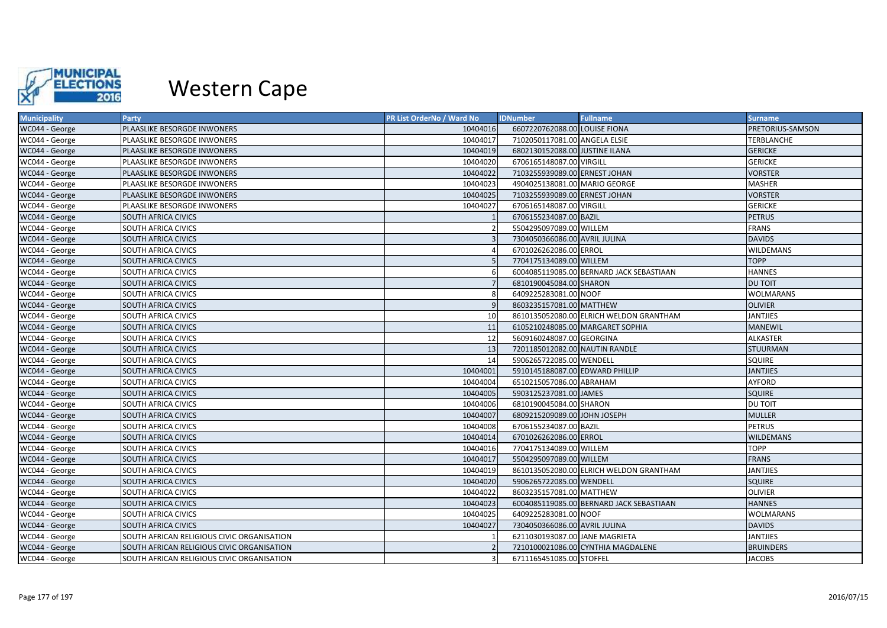

| <b>Municipality</b> | Party                                      | PR List OrderNo / Ward No | <b>IDNumber</b>                 | <b>Fullname</b>                          | <b>Surname</b>   |
|---------------------|--------------------------------------------|---------------------------|---------------------------------|------------------------------------------|------------------|
| WC044 - George      | PLAASLIKE BESORGDE INWONERS                | 10404016                  | 6607220762088.00 LOUISE FIONA   |                                          | PRETORIUS-SAMSON |
| WC044 - George      | PLAASLIKE BESORGDE INWONERS                | 10404017                  | 7102050117081.00 ANGELA ELSIE   |                                          | TERBLANCHE       |
| WC044 - George      | PLAASLIKE BESORGDE INWONERS                | 10404019                  | 6802130152088.00 JUSTINE ILANA  |                                          | <b>GERICKE</b>   |
| WC044 - George      | PLAASLIKE BESORGDE INWONERS                | 10404020                  | 6706165148087.00 VIRGILL        |                                          | <b>GERICKE</b>   |
| WC044 - George      | PLAASLIKE BESORGDE INWONERS                | 10404022                  | 7103255939089.00 ERNEST JOHAN   |                                          | <b>VORSTER</b>   |
| WC044 - George      | PLAASLIKE BESORGDE INWONERS                | 10404023                  | 4904025138081.00 MARIO GEORGE   |                                          | <b>MASHER</b>    |
| WC044 - George      | PLAASLIKE BESORGDE INWONERS                | 10404025                  | 7103255939089.00 ERNEST JOHAN   |                                          | <b>VORSTER</b>   |
| WC044 - George      | PLAASLIKE BESORGDE INWONERS                | 10404027                  | 6706165148087.00 VIRGILL        |                                          | <b>GERICKE</b>   |
| WC044 - George      | <b>SOUTH AFRICA CIVICS</b>                 |                           | 6706155234087.00 BAZIL          |                                          | <b>PETRUS</b>    |
| WC044 - George      | SOUTH AFRICA CIVICS                        |                           | 5504295097089.00 WILLEM         |                                          | <b>FRANS</b>     |
| WC044 - George      | SOUTH AFRICA CIVICS                        |                           | 7304050366086.00 AVRIL JULINA   |                                          | <b>DAVIDS</b>    |
| WC044 - George      | <b>SOUTH AFRICA CIVICS</b>                 |                           | 6701026262086.00 ERROL          |                                          | <b>WILDEMANS</b> |
| WC044 - George      | <b>SOUTH AFRICA CIVICS</b>                 |                           | 7704175134089.00 WILLEM         |                                          | <b>TOPP</b>      |
| WC044 - George      | <b>SOUTH AFRICA CIVICS</b>                 |                           |                                 | 6004085119085.00 BERNARD JACK SEBASTIAAN | <b>HANNES</b>    |
| WC044 - George      | <b>SOUTH AFRICA CIVICS</b>                 |                           | 6810190045084.00 SHARON         |                                          | <b>DU TOIT</b>   |
| WC044 - George      | <b>SOUTH AFRICA CIVICS</b>                 |                           | 6409225283081.00 NOOF           |                                          | WOLMARANS        |
| WC044 - George      | <b>SOUTH AFRICA CIVICS</b>                 |                           | 8603235157081.00 MATTHEW        |                                          | <b>OLIVIER</b>   |
| WC044 - George      | <b>SOUTH AFRICA CIVICS</b>                 | 10                        |                                 | 8610135052080.00 ELRICH WELDON GRANTHAM  | <b>JANTJIES</b>  |
| WC044 - George      | SOUTH AFRICA CIVICS                        | 11                        |                                 | 6105210248085.00 MARGARET SOPHIA         | <b>MANEWIL</b>   |
| WC044 - George      | <b>SOUTH AFRICA CIVICS</b>                 | 12                        | 5609160248087.00 GEORGINA       |                                          | <b>ALKASTER</b>  |
| WC044 - George      | SOUTH AFRICA CIVICS                        | 13                        | 7201185012082.00 NAUTIN RANDLE  |                                          | STUURMAN         |
| WC044 - George      | <b>SOUTH AFRICA CIVICS</b>                 | 14                        | 5906265722085.00 WENDELL        |                                          | SQUIRE           |
| WC044 - George      | SOUTH AFRICA CIVICS                        | 10404001                  | 5910145188087.00 EDWARD PHILLIP |                                          | <b>JANTJIES</b>  |
| WC044 - George      | <b>SOUTH AFRICA CIVICS</b>                 | 10404004                  | 6510215057086.00 ABRAHAM        |                                          | AYFORD           |
| WC044 - George      | <b>SOUTH AFRICA CIVICS</b>                 | 10404005                  | 5903125237081.00 JAMES          |                                          | <b>SQUIRE</b>    |
| WC044 - George      | <b>SOUTH AFRICA CIVICS</b>                 | 10404006                  | 6810190045084.00 SHARON         |                                          | <b>DU TOIT</b>   |
| WC044 - George      | <b>SOUTH AFRICA CIVICS</b>                 | 10404007                  | 6809215209089.00 JOHN JOSEPH    |                                          | <b>MULLER</b>    |
| WC044 - George      | <b>SOUTH AFRICA CIVICS</b>                 | 10404008                  | 6706155234087.00 BAZIL          |                                          | <b>PETRUS</b>    |
| WC044 - George      | <b>SOUTH AFRICA CIVICS</b>                 | 10404014                  | 6701026262086.00 ERROL          |                                          | <b>WILDEMANS</b> |
| WC044 - George      | <b>SOUTH AFRICA CIVICS</b>                 | 10404016                  | 7704175134089.00 WILLEM         |                                          | <b>TOPP</b>      |
| WC044 - George      | <b>SOUTH AFRICA CIVICS</b>                 | 10404017                  | 5504295097089.00 WILLEM         |                                          | <b>FRANS</b>     |
| WC044 - George      | <b>SOUTH AFRICA CIVICS</b>                 | 10404019                  |                                 | 8610135052080.00 ELRICH WELDON GRANTHAM  | <b>JANTJIES</b>  |
| WC044 - George      | <b>SOUTH AFRICA CIVICS</b>                 | 10404020                  | 5906265722085.00 WENDELL        |                                          | <b>SQUIRE</b>    |
| WC044 - George      | <b>SOUTH AFRICA CIVICS</b>                 | 10404022                  | 8603235157081.00 MATTHEW        |                                          | <b>OLIVIER</b>   |
| WC044 - George      | <b>SOUTH AFRICA CIVICS</b>                 | 10404023                  |                                 | 6004085119085.00 BERNARD JACK SEBASTIAAN | <b>HANNES</b>    |
| WC044 - George      | <b>SOUTH AFRICA CIVICS</b>                 | 10404025                  | 6409225283081.00 NOOF           |                                          | <b>WOLMARANS</b> |
| WC044 - George      | <b>SOUTH AFRICA CIVICS</b>                 | 10404027                  | 7304050366086.00 AVRIL JULINA   |                                          | <b>DAVIDS</b>    |
| WC044 - George      | SOUTH AFRICAN RELIGIOUS CIVIC ORGANISATION |                           | 6211030193087.00 JANE MAGRIETA  |                                          | <b>JANTJIES</b>  |
| WC044 - George      | SOUTH AFRICAN RELIGIOUS CIVIC ORGANISATION |                           |                                 | 7210100021086.00 CYNTHIA MAGDALENE       | <b>BRUINDERS</b> |
| WC044 - George      | SOUTH AFRICAN RELIGIOUS CIVIC ORGANISATION |                           | 6711165451085.00 STOFFEL        |                                          | <b>JACOBS</b>    |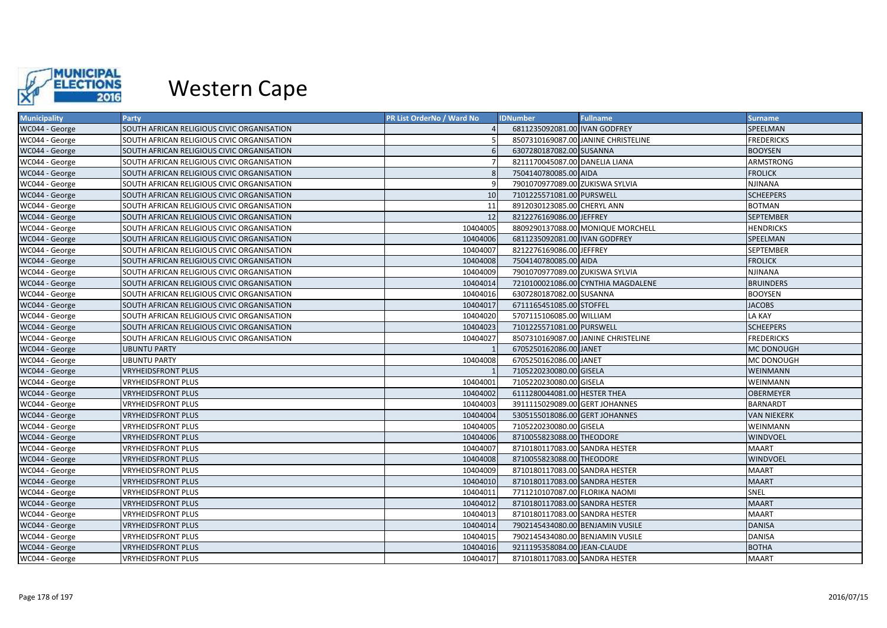

| <b>Municipality</b> | Party                                      | <b>PR List OrderNo / Ward No</b> | <b>IDNumber</b>                  | <b>Fullname</b>                     | <b>Surname</b>     |
|---------------------|--------------------------------------------|----------------------------------|----------------------------------|-------------------------------------|--------------------|
| WC044 - George      | SOUTH AFRICAN RELIGIOUS CIVIC ORGANISATION |                                  | 6811235092081.00 IVAN GODFREY    |                                     | SPEELMAN           |
| WC044 - George      | SOUTH AFRICAN RELIGIOUS CIVIC ORGANISATION |                                  |                                  | 8507310169087.00 JANINE CHRISTELINE | <b>FREDERICKS</b>  |
| WC044 - George      | SOUTH AFRICAN RELIGIOUS CIVIC ORGANISATION |                                  | 6307280187082.00 SUSANNA         |                                     | <b>BOOYSEN</b>     |
| WC044 - George      | SOUTH AFRICAN RELIGIOUS CIVIC ORGANISATION |                                  | 8211170045087.00 DANELIA LIANA   |                                     | ARMSTRONG          |
| WC044 - George      | SOUTH AFRICAN RELIGIOUS CIVIC ORGANISATION |                                  | 7504140780085.00 AIDA            |                                     | <b>FROLICK</b>     |
| WC044 - George      | SOUTH AFRICAN RELIGIOUS CIVIC ORGANISATION |                                  | 7901070977089.00 ZUKISWA SYLVIA  |                                     | <b>NJINANA</b>     |
| WC044 - George      | SOUTH AFRICAN RELIGIOUS CIVIC ORGANISATION | 10                               | 7101225571081.00 PURSWELL        |                                     | <b>SCHEEPERS</b>   |
| WC044 - George      | SOUTH AFRICAN RELIGIOUS CIVIC ORGANISATION | 11                               | 8912030123085.00 CHERYL ANN      |                                     | <b>BOTMAN</b>      |
| WC044 - George      | SOUTH AFRICAN RELIGIOUS CIVIC ORGANISATION | 12                               | 8212276169086.00 JEFFREY         |                                     | <b>SEPTEMBER</b>   |
| WC044 - George      | SOUTH AFRICAN RELIGIOUS CIVIC ORGANISATION | 10404005                         |                                  | 8809290137088.00 MONIQUE MORCHELL   | <b>HENDRICKS</b>   |
| WC044 - George      | SOUTH AFRICAN RELIGIOUS CIVIC ORGANISATION | 10404006                         | 6811235092081.00 IVAN GODFREY    |                                     | SPEELMAN           |
| WC044 - George      | SOUTH AFRICAN RELIGIOUS CIVIC ORGANISATION | 10404007                         | 8212276169086.00 JEFFREY         |                                     | <b>SEPTEMBER</b>   |
| WC044 - George      | SOUTH AFRICAN RELIGIOUS CIVIC ORGANISATION | 10404008                         | 7504140780085.00 AIDA            |                                     | <b>FROLICK</b>     |
| WC044 - George      | SOUTH AFRICAN RELIGIOUS CIVIC ORGANISATION | 10404009                         | 7901070977089.00 ZUKISWA SYLVIA  |                                     | <b>NJINANA</b>     |
| WC044 - George      | SOUTH AFRICAN RELIGIOUS CIVIC ORGANISATION | 10404014                         |                                  | 7210100021086.00 CYNTHIA MAGDALENE  | <b>BRUINDERS</b>   |
| WC044 - George      | SOUTH AFRICAN RELIGIOUS CIVIC ORGANISATION | 10404016                         | 6307280187082.00 SUSANNA         |                                     | <b>BOOYSEN</b>     |
| WC044 - George      | SOUTH AFRICAN RELIGIOUS CIVIC ORGANISATION | 10404017                         | 6711165451085.00 STOFFEL         |                                     | <b>JACOBS</b>      |
| WC044 - George      | SOUTH AFRICAN RELIGIOUS CIVIC ORGANISATION | 10404020                         | 5707115106085.00 WILLIAM         |                                     | LA KAY             |
| WC044 - George      | SOUTH AFRICAN RELIGIOUS CIVIC ORGANISATION | 10404023                         | 7101225571081.00 PURSWELL        |                                     | <b>SCHEEPERS</b>   |
| WC044 - George      | SOUTH AFRICAN RELIGIOUS CIVIC ORGANISATION | 10404027                         |                                  | 8507310169087.00 JANINE CHRISTELINE | <b>FREDERICKS</b>  |
| WC044 - George      | UBUNTU PARTY                               |                                  | 6705250162086.00 JANET           |                                     | MC DONOUGH         |
| WC044 - George      | <b>UBUNTU PARTY</b>                        | 10404008                         | 6705250162086.00 JANET           |                                     | MC DONOUGH         |
| WC044 - George      | <b>VRYHEIDSFRONT PLUS</b>                  |                                  | 7105220230080.00 GISELA          |                                     | <b>WEINMANN</b>    |
| WC044 - George      | <b>VRYHEIDSFRONT PLUS</b>                  | 10404001                         | 7105220230080.00 GISELA          |                                     | WEINMANN           |
| WC044 - George      | <b>VRYHEIDSFRONT PLUS</b>                  | 10404002                         | 6111280044081.00 HESTER THEA     |                                     | <b>OBERMEYER</b>   |
| WC044 - George      | VRYHEIDSFRONT PLUS                         | 10404003                         | 3911115029089.00 GERT JOHANNES   |                                     | <b>BARNARDT</b>    |
| WC044 - George      | VRYHEIDSFRONT PLUS                         | 10404004                         | 5305155018086.00 GERT JOHANNES   |                                     | <b>VAN NIEKERK</b> |
| WC044 - George      | <b>VRYHEIDSFRONT PLUS</b>                  | 10404005                         | 7105220230080.00 GISELA          |                                     | WEINMANN           |
| WC044 - George      | <b>VRYHEIDSFRONT PLUS</b>                  | 10404006                         | 8710055823088.00 THEODORE        |                                     | WINDVOEL           |
| WC044 - George      | <b>VRYHEIDSFRONT PLUS</b>                  | 10404007                         | 8710180117083.00 SANDRA HESTER   |                                     | <b>MAART</b>       |
| WC044 - George      | VRYHEIDSFRONT PLUS                         | 10404008                         | 8710055823088.00 THEODORE        |                                     | WINDVOEL           |
| WC044 - George      | VRYHEIDSFRONT PLUS                         | 10404009                         | 8710180117083.00 SANDRA HESTER   |                                     | <b>MAART</b>       |
| WC044 - George      | <b>VRYHEIDSFRONT PLUS</b>                  | 10404010                         | 8710180117083.00 SANDRA HESTER   |                                     | <b>MAART</b>       |
| WC044 - George      | <b>VRYHEIDSFRONT PLUS</b>                  | 10404011                         | 7711210107087.00 FLORIKA NAOMI   |                                     | <b>SNEL</b>        |
| WC044 - George      | VRYHEIDSFRONT PLUS                         | 10404012                         | 8710180117083.00 SANDRA HESTER   |                                     | <b>MAART</b>       |
| WC044 - George      | <b>VRYHEIDSFRONT PLUS</b>                  | 10404013                         | 8710180117083.00 SANDRA HESTER   |                                     | <b>MAART</b>       |
| WC044 - George      | VRYHEIDSFRONT PLUS                         | 10404014                         | 7902145434080.00 BENJAMIN VUSILE |                                     | <b>DANISA</b>      |
| WC044 - George      | VRYHEIDSFRONT PLUS                         | 10404015                         | 7902145434080.00 BENJAMIN VUSILE |                                     | <b>DANISA</b>      |
| WC044 - George      | <b>VRYHEIDSFRONT PLUS</b>                  | 10404016                         | 9211195358084.00 JEAN-CLAUDE     |                                     | <b>BOTHA</b>       |
| WC044 - George      | VRYHEIDSFRONT PLUS                         | 10404017                         | 8710180117083.00 SANDRA HESTER   |                                     | <b>MAART</b>       |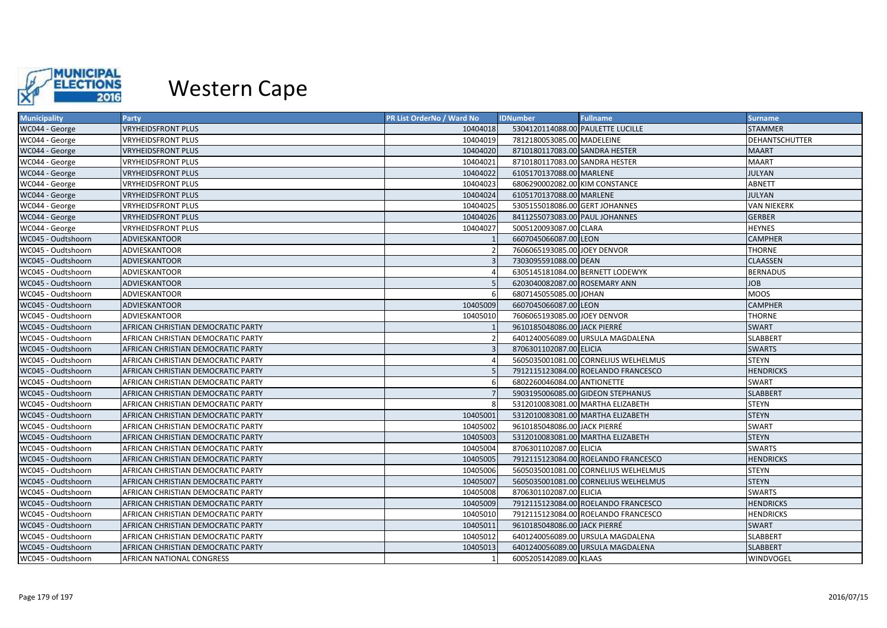

| <b>Municipality</b> | <b>Party</b>                       | <b>PR List OrderNo / Ward No</b> | <b>IDNumber</b>                   | <b>Fullname</b>                      | <b>Surname</b>        |
|---------------------|------------------------------------|----------------------------------|-----------------------------------|--------------------------------------|-----------------------|
| WC044 - George      | <b>VRYHEIDSFRONT PLUS</b>          | 10404018                         | 5304120114088.00 PAULETTE LUCILLE |                                      | <b>STAMMER</b>        |
| WC044 - George      | VRYHEIDSFRONT PLUS                 | 10404019                         | 7812180053085.00 MADELEINE        |                                      | <b>DEHANTSCHUTTER</b> |
| WC044 - George      | <b>VRYHEIDSFRONT PLUS</b>          | 10404020                         | 8710180117083.00 SANDRA HESTER    |                                      | <b>MAART</b>          |
| WC044 - George      | VRYHEIDSFRONT PLUS                 | 10404021                         | 8710180117083.00 SANDRA HESTER    |                                      | <b>MAART</b>          |
| WC044 - George      | VRYHEIDSFRONT PLUS                 | 10404022                         | 6105170137088.00 MARLENE          |                                      | <b>JULYAN</b>         |
| WC044 - George      | <b>VRYHEIDSFRONT PLUS</b>          | 10404023                         | 6806290002082.00 KIM CONSTANCE    |                                      | <b>ABNETT</b>         |
| WC044 - George      | <b>VRYHEIDSFRONT PLUS</b>          | 10404024                         | 6105170137088.00 MARLENE          |                                      | <b>JULYAN</b>         |
| WC044 - George      | <b>VRYHEIDSFRONT PLUS</b>          | 10404025                         | 5305155018086.00 GERT JOHANNES    |                                      | <b>VAN NIEKERK</b>    |
| WC044 - George      | VRYHEIDSFRONT PLUS                 | 10404026                         | 8411255073083.00 PAUL JOHANNES    |                                      | <b>GERBER</b>         |
| WC044 - George      | <b>VRYHEIDSFRONT PLUS</b>          | 10404027                         | 5005120093087.00 CLARA            |                                      | <b>HEYNES</b>         |
| WC045 - Oudtshoorn  | ADVIESKANTOOR                      |                                  | 6607045066087.00 LEON             |                                      | <b>CAMPHER</b>        |
| WC045 - Oudtshoorn  | ADVIESKANTOOR                      |                                  | 7606065193085.00 JOEY DENVOR      |                                      | <b>THORNE</b>         |
| WC045 - Oudtshoorn  | ADVIESKANTOOR                      |                                  | 7303095591088.00 DEAN             |                                      | <b>CLAASSEN</b>       |
| WC045 - Oudtshoorn  | ADVIESKANTOOR                      |                                  |                                   | 6305145181084.00 BERNETT LODEWYK     | <b>BERNADUS</b>       |
| WC045 - Oudtshoorn  | <b>ADVIESKANTOOR</b>               |                                  | 6203040082087.00 ROSEMARY ANN     |                                      | <b>JOB</b>            |
| WC045 - Oudtshoorn  | ADVIESKANTOOR                      |                                  | 6807145055085.00 JOHAN            |                                      | <b>MOOS</b>           |
| WC045 - Oudtshoorn  | ADVIESKANTOOR                      | 10405009                         | 6607045066087.00 LEON             |                                      | <b>CAMPHER</b>        |
| WC045 - Oudtshoorn  | ADVIESKANTOOR                      | 10405010                         | 7606065193085.00 JOEY DENVOR      |                                      | <b>THORNE</b>         |
| WC045 - Oudtshoorn  | AFRICAN CHRISTIAN DEMOCRATIC PARTY |                                  | 9610185048086.00 JACK PIERRÉ      |                                      | <b>SWART</b>          |
| WC045 - Oudtshoorn  | AFRICAN CHRISTIAN DEMOCRATIC PARTY |                                  |                                   | 6401240056089.00 URSULA MAGDALENA    | <b>SLABBERT</b>       |
| WC045 - Oudtshoorn  | AFRICAN CHRISTIAN DEMOCRATIC PARTY |                                  | 8706301102087.00 ELICIA           |                                      | <b>SWARTS</b>         |
| WC045 - Oudtshoorn  | AFRICAN CHRISTIAN DEMOCRATIC PARTY |                                  |                                   | 5605035001081.00 CORNELIUS WELHELMUS | <b>STEYN</b>          |
| WC045 - Oudtshoorn  | AFRICAN CHRISTIAN DEMOCRATIC PARTY |                                  |                                   | 7912115123084.00 ROELANDO FRANCESCO  | <b>HENDRICKS</b>      |
| WC045 - Oudtshoorn  | AFRICAN CHRISTIAN DEMOCRATIC PARTY |                                  | 6802260046084.00 ANTIONETTE       |                                      | <b>SWART</b>          |
| WC045 - Oudtshoorn  | AFRICAN CHRISTIAN DEMOCRATIC PARTY |                                  |                                   | 5903195006085.00 GIDEON STEPHANUS    | <b>SLABBERT</b>       |
| WC045 - Oudtshoorn  | AFRICAN CHRISTIAN DEMOCRATIC PARTY |                                  |                                   | 5312010083081.00 MARTHA ELIZABETH    | <b>STEYN</b>          |
| WC045 - Oudtshoorn  | AFRICAN CHRISTIAN DEMOCRATIC PARTY | 10405001                         |                                   | 5312010083081.00 MARTHA ELIZABETH    | <b>STEYN</b>          |
| WC045 - Oudtshoorn  | AFRICAN CHRISTIAN DEMOCRATIC PARTY | 10405002                         | 9610185048086.00 JACK PIERRÉ      |                                      | <b>SWART</b>          |
| WC045 - Oudtshoorn  | AFRICAN CHRISTIAN DEMOCRATIC PARTY | 10405003                         |                                   | 5312010083081.00 MARTHA ELIZABETH    | <b>STEYN</b>          |
| WC045 - Oudtshoorn  | AFRICAN CHRISTIAN DEMOCRATIC PARTY | 10405004                         | 8706301102087.00 ELICIA           |                                      | <b>SWARTS</b>         |
| WC045 - Oudtshoorn  | AFRICAN CHRISTIAN DEMOCRATIC PARTY | 10405005                         |                                   | 7912115123084.00 ROELANDO FRANCESCO  | <b>HENDRICKS</b>      |
| WC045 - Oudtshoorn  | AFRICAN CHRISTIAN DEMOCRATIC PARTY | 10405006                         |                                   | 5605035001081.00 CORNELIUS WELHELMUS | <b>STEYN</b>          |
| WC045 - Oudtshoorn  | AFRICAN CHRISTIAN DEMOCRATIC PARTY | 10405007                         |                                   | 5605035001081.00 CORNELIUS WELHELMUS | <b>STEYN</b>          |
| WC045 - Oudtshoorn  | AFRICAN CHRISTIAN DEMOCRATIC PARTY | 10405008                         | 8706301102087.00 ELICIA           |                                      | <b>SWARTS</b>         |
| WC045 - Oudtshoorn  | AFRICAN CHRISTIAN DEMOCRATIC PARTY | 10405009                         |                                   | 7912115123084.00 ROELANDO FRANCESCO  | <b>HENDRICKS</b>      |
| WC045 - Oudtshoorn  | AFRICAN CHRISTIAN DEMOCRATIC PARTY | 10405010                         |                                   | 7912115123084.00 ROELANDO FRANCESCO  | <b>HENDRICKS</b>      |
| WC045 - Oudtshoorn  | AFRICAN CHRISTIAN DEMOCRATIC PARTY | 10405011                         | 9610185048086.00 JACK PIERRÉ      |                                      | <b>SWART</b>          |
| WC045 - Oudtshoorn  | AFRICAN CHRISTIAN DEMOCRATIC PARTY | 10405012                         |                                   | 6401240056089.00 URSULA MAGDALENA    | SLABBERT              |
| WC045 - Oudtshoorn  | AFRICAN CHRISTIAN DEMOCRATIC PARTY | 10405013                         |                                   | 6401240056089.00 URSULA MAGDALENA    | <b>SLABBERT</b>       |
| WC045 - Oudtshoorn  | AFRICAN NATIONAL CONGRESS          |                                  | 6005205142089.00 KLAAS            |                                      | WINDVOGEL             |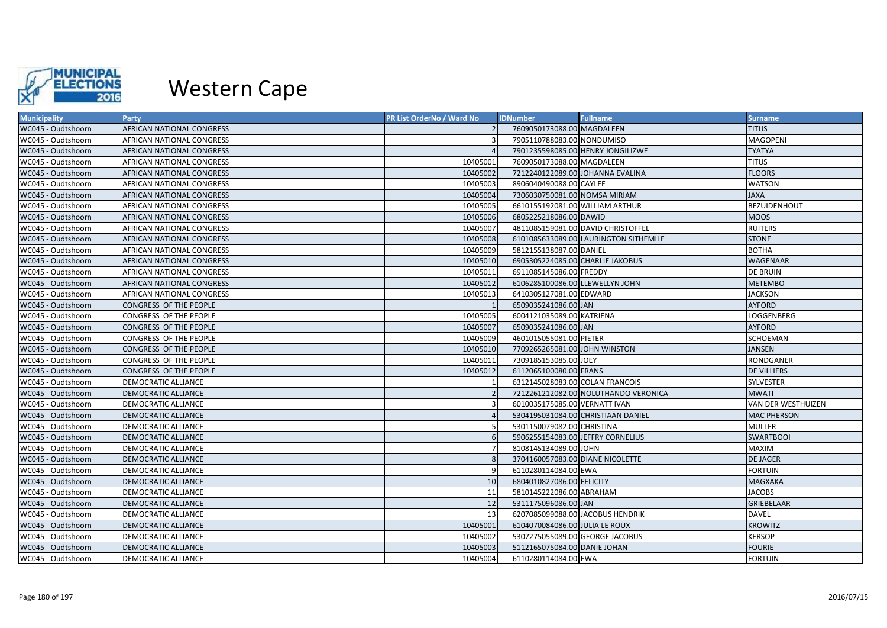

| <b>Municipality</b> | <b>Party</b>              | <b>PR List OrderNo / Ward No</b> | <b>IDNumber</b>                   | <b>Fullname</b>                       | <b>Surname</b>      |
|---------------------|---------------------------|----------------------------------|-----------------------------------|---------------------------------------|---------------------|
| WC045 - Oudtshoorn  | AFRICAN NATIONAL CONGRESS |                                  | 7609050173088.00 MAGDALEEN        |                                       | <b>TITUS</b>        |
| WC045 - Oudtshoorn  | AFRICAN NATIONAL CONGRESS |                                  | 7905110788083.00 NONDUMISO        |                                       | <b>MAGOPENI</b>     |
| WC045 - Oudtshoorn  | AFRICAN NATIONAL CONGRESS |                                  |                                   | 7901235598085.00 HENRY JONGILIZWE     | <b>TYATYA</b>       |
| WC045 - Oudtshoorn  | AFRICAN NATIONAL CONGRESS | 10405001                         | 7609050173088.00 MAGDALEEN        |                                       | <b>TITUS</b>        |
| WC045 - Oudtshoorn  | AFRICAN NATIONAL CONGRESS | 10405002                         | 7212240122089.00 JOHANNA EVALINA  |                                       | <b>FLOORS</b>       |
| WC045 - Oudtshoorn  | AFRICAN NATIONAL CONGRESS | 10405003                         | 8906040490088.00 CAYLEE           |                                       | <b>WATSON</b>       |
| WC045 - Oudtshoorn  | AFRICAN NATIONAL CONGRESS | 10405004                         | 7306030750081.00 NOMSA MIRIAM     |                                       | <b>JAXA</b>         |
| WC045 - Oudtshoorn  | AFRICAN NATIONAL CONGRESS | 10405005                         | 6610155192081.00 WILLIAM ARTHUR   |                                       | <b>BEZUIDENHOUT</b> |
| WC045 - Oudtshoorn  | AFRICAN NATIONAL CONGRESS | 10405006                         | 6805225218086.00 DAWID            |                                       | <b>MOOS</b>         |
| WC045 - Oudtshoorn  | AFRICAN NATIONAL CONGRESS | 10405007                         |                                   | 4811085159081.00 DAVID CHRISTOFFEL    | <b>RUITERS</b>      |
| WC045 - Oudtshoorn  | AFRICAN NATIONAL CONGRESS | 10405008                         |                                   | 6101085633089.00 LAURINGTON SITHEMILE | <b>STONE</b>        |
| WC045 - Oudtshoorn  | AFRICAN NATIONAL CONGRESS | 10405009                         | 5812155138087.00 DANIEL           |                                       | <b>BOTHA</b>        |
| WC045 - Oudtshoorn  | AFRICAN NATIONAL CONGRESS | 10405010                         | 6905305224085.00 CHARLIE JAKOBUS  |                                       | <b>WAGENAAR</b>     |
| WC045 - Oudtshoorn  | AFRICAN NATIONAL CONGRESS | 10405011                         | 6911085145086.00 FREDDY           |                                       | DE BRUIN            |
| WC045 - Oudtshoorn  | AFRICAN NATIONAL CONGRESS | 10405012                         | 6106285100086.00 LLEWELLYN JOHN   |                                       | <b>METEMBO</b>      |
| WC045 - Oudtshoorn  | AFRICAN NATIONAL CONGRESS | 10405013                         | 6410305127081.00 EDWARD           |                                       | <b>JACKSON</b>      |
| WC045 - Oudtshoorn  | CONGRESS OF THE PEOPLE    |                                  | 6509035241086.00 JAN              |                                       | <b>AYFORD</b>       |
| WC045 - Oudtshoorn  | CONGRESS OF THE PEOPLE    | 10405005                         | 6004121035089.00 KATRIENA         |                                       | <b>LOGGENBERG</b>   |
| WC045 - Oudtshoorn  | CONGRESS OF THE PEOPLE    | 10405007                         | 6509035241086.00 JAN              |                                       | <b>AYFORD</b>       |
| WC045 - Oudtshoorn  | CONGRESS OF THE PEOPLE    | 10405009                         | 4601015055081.00 PIETER           |                                       | SCHOEMAN            |
| WC045 - Oudtshoorn  | CONGRESS OF THE PEOPLE    | 10405010                         | 7709265265081.00 JOHN WINSTON     |                                       | <b>JANSEN</b>       |
| WC045 - Oudtshoorn  | CONGRESS OF THE PEOPLE    | 10405011                         | 7309185153085.00 JOEY             |                                       | <b>RONDGANER</b>    |
| WC045 - Oudtshoorn  | CONGRESS OF THE PEOPLE    | 10405012                         | 6112065100080.00 FRANS            |                                       | <b>DE VILLIERS</b>  |
| WC045 - Oudtshoorn  | DEMOCRATIC ALLIANCE       |                                  | 6312145028083.00 COLAN FRANCOIS   |                                       | <b>SYLVESTER</b>    |
| WC045 - Oudtshoorn  | DEMOCRATIC ALLIANCE       |                                  |                                   | 7212261212082.00 NOLUTHANDO VERONICA  | <b>MWATI</b>        |
| WC045 - Oudtshoorn  | DEMOCRATIC ALLIANCE       |                                  | 6010035175085.00 VERNATT IVAN     |                                       | VAN DER WESTHUIZEN  |
| WC045 - Oudtshoorn  | DEMOCRATIC ALLIANCE       |                                  |                                   | 5304195031084.00 CHRISTIAAN DANIEL    | <b>MAC PHERSON</b>  |
| WC045 - Oudtshoorn  | DEMOCRATIC ALLIANCE       |                                  | 5301150079082.00 CHRISTINA        |                                       | <b>MULLER</b>       |
| WC045 - Oudtshoorn  | DEMOCRATIC ALLIANCE       |                                  | 5906255154083.00 JEFFRY CORNELIUS |                                       | <b>SWARTBOOI</b>    |
| WC045 - Oudtshoorn  | DEMOCRATIC ALLIANCE       |                                  | 8108145134089.00 JOHN             |                                       | <b>MAXIM</b>        |
| WC045 - Oudtshoorn  | DEMOCRATIC ALLIANCE       |                                  | 3704160057083.00 DIANE NICOLETTE  |                                       | <b>DE JAGER</b>     |
| WC045 - Oudtshoorn  | DEMOCRATIC ALLIANCE       |                                  | 6110280114084.00 EWA              |                                       | <b>FORTUIN</b>      |
| WC045 - Oudtshoorn  | DEMOCRATIC ALLIANCE       | 10                               | 6804010827086.00 FELICITY         |                                       | <b>MAGXAKA</b>      |
| WC045 - Oudtshoorn  | DEMOCRATIC ALLIANCE       | 11                               | 5810145222086.00 ABRAHAM          |                                       | <b>JACOBS</b>       |
| WC045 - Oudtshoorn  | DEMOCRATIC ALLIANCE       | 12                               | 5311175096086.00 JAN              |                                       | <b>GRIEBELAAR</b>   |
| WC045 - Oudtshoorn  | DEMOCRATIC ALLIANCE       | 13                               | 6207085099088.00 JACOBUS HENDRIK  |                                       | <b>DAVEL</b>        |
| WC045 - Oudtshoorn  | DEMOCRATIC ALLIANCE       | 10405001                         | 6104070084086.00 JULIA LE ROUX    |                                       | <b>KROWITZ</b>      |
| WC045 - Oudtshoorn  | DEMOCRATIC ALLIANCE       | 10405002                         | 5307275055089.00 GEORGE JACOBUS   |                                       | <b>KERSOP</b>       |
| WC045 - Oudtshoorn  | DEMOCRATIC ALLIANCE       | 10405003                         | 5112165075084.00 DANIE JOHAN      |                                       | <b>FOURIE</b>       |
| WC045 - Oudtshoorn  | DEMOCRATIC ALLIANCE       | 10405004                         | 6110280114084.00 EWA              |                                       | <b>FORTUIN</b>      |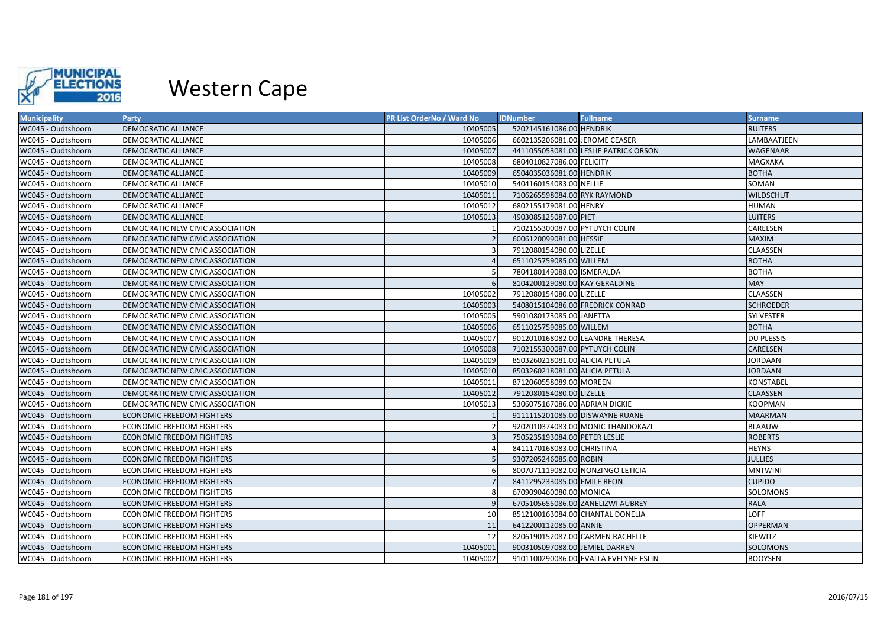

| <b>Municipality</b> | <b>Party</b>                     | <b>PR List OrderNo / Ward No</b> | <b>IDNumber</b>                  | <b>Fullname</b>                       | <b>Surname</b>    |
|---------------------|----------------------------------|----------------------------------|----------------------------------|---------------------------------------|-------------------|
| WC045 - Oudtshoorn  | <b>DEMOCRATIC ALLIANCE</b>       | 10405005                         | 5202145161086.00 HENDRIK         |                                       | <b>RUITERS</b>    |
| WC045 - Oudtshoorn  | DEMOCRATIC ALLIANCE              | 10405006                         | 6602135206081.00 JEROME CEASER   |                                       | LAMBAATJEEN       |
| WC045 - Oudtshoorn  | DEMOCRATIC ALLIANCE              | 10405007                         |                                  | 4411055053081.00 LESLIE PATRICK ORSON | WAGENAAR          |
| WC045 - Oudtshoorn  | DEMOCRATIC ALLIANCE              | 10405008                         | 6804010827086.00 FELICITY        |                                       | MAGXAKA           |
| WC045 - Oudtshoorn  | DEMOCRATIC ALLIANCE              | 10405009                         | 6504035036081.00 HENDRIK         |                                       | <b>BOTHA</b>      |
| WC045 - Oudtshoorn  | DEMOCRATIC ALLIANCE              | 10405010                         | 5404160154083.00 NELLIE          |                                       | SOMAN             |
| WC045 - Oudtshoorn  | <b>DEMOCRATIC ALLIANCE</b>       | 10405011                         | 7106265598084.00 RYK RAYMOND     |                                       | <b>WILDSCHUT</b>  |
| WC045 - Oudtshoorn  | DEMOCRATIC ALLIANCE              | 10405012                         | 6802155179081.00 HENRY           |                                       | <b>HUMAN</b>      |
| WC045 - Oudtshoorn  | DEMOCRATIC ALLIANCE              | 10405013                         | 4903085125087.00 PIET            |                                       | <b>LUITERS</b>    |
| WC045 - Oudtshoorn  | DEMOCRATIC NEW CIVIC ASSOCIATION |                                  | 7102155300087.00 PYTUYCH COLIN   |                                       | CARELSEN          |
| WC045 - Oudtshoorn  | DEMOCRATIC NEW CIVIC ASSOCIATION |                                  | 6006120099081.00 HESSIE          |                                       | <b>MAXIM</b>      |
| WC045 - Oudtshoorn  | DEMOCRATIC NEW CIVIC ASSOCIATION |                                  | 7912080154080.00 LIZELLE         |                                       | CLAASSEN          |
| WC045 - Oudtshoorn  | DEMOCRATIC NEW CIVIC ASSOCIATION |                                  | 6511025759085.00 WILLEM          |                                       | <b>BOTHA</b>      |
| WC045 - Oudtshoorn  | DEMOCRATIC NEW CIVIC ASSOCIATION |                                  | 7804180149088.00 ISMERALDA       |                                       | <b>BOTHA</b>      |
| WC045 - Oudtshoorn  | DEMOCRATIC NEW CIVIC ASSOCIATION |                                  | 8104200129080.00 KAY GERALDINE   |                                       | <b>MAY</b>        |
| WC045 - Oudtshoorn  | DEMOCRATIC NEW CIVIC ASSOCIATION | 10405002                         | 7912080154080.00 LIZELLE         |                                       | CLAASSEN          |
| WC045 - Oudtshoorn  | DEMOCRATIC NEW CIVIC ASSOCIATION | 10405003                         |                                  | 5408015104086.00 FREDRICK CONRAD      | <b>SCHROEDER</b>  |
| WC045 - Oudtshoorn  | DEMOCRATIC NEW CIVIC ASSOCIATION | 10405005                         | 5901080173085.00 JANETTA         |                                       | SYLVESTER         |
| WC045 - Oudtshoorn  | DEMOCRATIC NEW CIVIC ASSOCIATION | 10405006                         | 6511025759085.00 WILLEM          |                                       | <b>BOTHA</b>      |
| WC045 - Oudtshoorn  | DEMOCRATIC NEW CIVIC ASSOCIATION | 10405007                         | 9012010168082.00 LEANDRE THERESA |                                       | <b>DU PLESSIS</b> |
| WC045 - Oudtshoorn  | DEMOCRATIC NEW CIVIC ASSOCIATION | 10405008                         | 7102155300087.00 PYTUYCH COLIN   |                                       | CARELSEN          |
| WC045 - Oudtshoorn  | DEMOCRATIC NEW CIVIC ASSOCIATION | 10405009                         | 8503260218081.00 ALICIA PETULA   |                                       | <b>JORDAAN</b>    |
| WC045 - Oudtshoorn  | DEMOCRATIC NEW CIVIC ASSOCIATION | 10405010                         | 8503260218081.00 ALICIA PETULA   |                                       | <b>JORDAAN</b>    |
| WC045 - Oudtshoorn  | DEMOCRATIC NEW CIVIC ASSOCIATION | 10405011                         | 8712060558089.00 MOREEN          |                                       | <b>KONSTABEL</b>  |
| WC045 - Oudtshoorn  | DEMOCRATIC NEW CIVIC ASSOCIATION | 10405012                         | 7912080154080.00 LIZELLE         |                                       | CLAASSEN          |
| WC045 - Oudtshoorn  | DEMOCRATIC NEW CIVIC ASSOCIATION | 10405013                         | 5306075167086.00 ADRIAN DICKIE   |                                       | <b>KOOPMAN</b>    |
| WC045 - Oudtshoorn  | <b>ECONOMIC FREEDOM FIGHTERS</b> |                                  | 9111115201085.00 DISWAYNE RUANE  |                                       | <b>MAARMAN</b>    |
| WC045 - Oudtshoorn  | ECONOMIC FREEDOM FIGHTERS        |                                  |                                  | 9202010374083.00 MONIC THANDOKAZI     | <b>BLAAUW</b>     |
| WC045 - Oudtshoorn  | <b>ECONOMIC FREEDOM FIGHTERS</b> |                                  | 7505235193084.00 PETER LESLIE    |                                       | <b>ROBERTS</b>    |
| WC045 - Oudtshoorn  | <b>ECONOMIC FREEDOM FIGHTERS</b> |                                  | 8411170168083.00 CHRISTINA       |                                       | <b>HEYNS</b>      |
| WC045 - Oudtshoorn  | ECONOMIC FREEDOM FIGHTERS        |                                  | 9307205246085.00 ROBIN           |                                       | <b>JULLIES</b>    |
| WC045 - Oudtshoorn  | ECONOMIC FREEDOM FIGHTERS        |                                  |                                  | 8007071119082.00 NONZINGO LETICIA     | <b>MNTWINI</b>    |
| WC045 - Oudtshoorn  | <b>ECONOMIC FREEDOM FIGHTERS</b> |                                  | 8411295233085.00 EMILE REON      |                                       | <b>CUPIDO</b>     |
| WC045 - Oudtshoorn  | <b>ECONOMIC FREEDOM FIGHTERS</b> |                                  | 6709090460080.00 MONICA          |                                       | SOLOMONS          |
| WC045 - Oudtshoorn  | <b>ECONOMIC FREEDOM FIGHTERS</b> |                                  |                                  | 6705105655086.00 ZANELIZWI AUBREY     | <b>RALA</b>       |
| WC045 - Oudtshoorn  | <b>ECONOMIC FREEDOM FIGHTERS</b> | 10                               |                                  | 8512100163084.00 CHANTAL DONELIA      | <b>LOFF</b>       |
| WC045 - Oudtshoorn  | <b>ECONOMIC FREEDOM FIGHTERS</b> | 11                               | 6412200112085.00 ANNIE           |                                       | <b>OPPERMAN</b>   |
| WC045 - Oudtshoorn  | ECONOMIC FREEDOM FIGHTERS        | 12                               |                                  | 8206190152087.00 CARMEN RACHELLE      | KIEWITZ           |
| WC045 - Oudtshoorn  | <b>ECONOMIC FREEDOM FIGHTERS</b> | 10405001                         | 9003105097088.00 JEMIEL DARREN   |                                       | <b>SOLOMONS</b>   |
| WC045 - Oudtshoorn  | <b>ECONOMIC FREEDOM FIGHTERS</b> | 10405002                         |                                  | 9101100290086.00 EVALLA EVELYNE ESLIN | <b>BOOYSEN</b>    |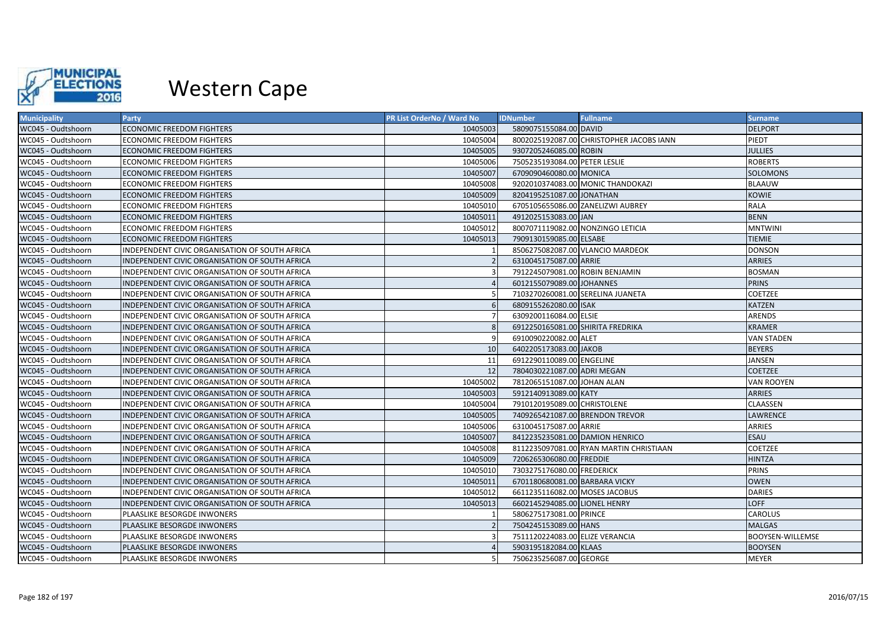

| <b>Municipality</b> | <b>Party</b>                                          | <b>PR List OrderNo / Ward No</b> | <b>IDNumber</b>                   | <b>Fullname</b>                          | <b>Surname</b>          |
|---------------------|-------------------------------------------------------|----------------------------------|-----------------------------------|------------------------------------------|-------------------------|
| WC045 - Oudtshoorn  | <b>ECONOMIC FREEDOM FIGHTERS</b>                      | 10405003                         | 5809075155084.00 DAVID            |                                          | <b>DELPORT</b>          |
| WC045 - Oudtshoorn  | <b>ECONOMIC FREEDOM FIGHTERS</b>                      | 10405004                         |                                   | 8002025192087.00 CHRISTOPHER JACOBS IANN | PIEDT                   |
| WC045 - Oudtshoorn  | <b>ECONOMIC FREEDOM FIGHTERS</b>                      | 10405005                         | 9307205246085.00 ROBIN            |                                          | <b>JULLIES</b>          |
| WC045 - Oudtshoorn  | <b>ECONOMIC FREEDOM FIGHTERS</b>                      | 10405006                         | 7505235193084.00 PETER LESLIE     |                                          | <b>ROBERTS</b>          |
| WC045 - Oudtshoorn  | <b>ECONOMIC FREEDOM FIGHTERS</b>                      | 10405007                         | 6709090460080.00 MONICA           |                                          | <b>SOLOMONS</b>         |
| WC045 - Oudtshoorn  | <b>ECONOMIC FREEDOM FIGHTERS</b>                      | 10405008                         |                                   | 9202010374083.00 MONIC THANDOKAZI        | <b>BLAAUW</b>           |
| WC045 - Oudtshoorn  | <b>ECONOMIC FREEDOM FIGHTERS</b>                      | 10405009                         | 8204195251087.00 JONATHAN         |                                          | <b>KOWIE</b>            |
| WC045 - Oudtshoorn  | ECONOMIC FREEDOM FIGHTERS                             | 10405010                         |                                   | 6705105655086.00 ZANELIZWI AUBREY        | RALA                    |
| WC045 - Oudtshoorn  | <b>ECONOMIC FREEDOM FIGHTERS</b>                      | 10405011                         | 4912025153083.00 JAN              |                                          | <b>BENN</b>             |
| WC045 - Oudtshoorn  | <b>ECONOMIC FREEDOM FIGHTERS</b>                      | 10405012                         | 8007071119082.00 NONZINGO LETICIA |                                          | <b>MNTWINI</b>          |
| WC045 - Oudtshoorn  | <b>ECONOMIC FREEDOM FIGHTERS</b>                      | 10405013                         | 7909130159085.00 ELSABE           |                                          | <b>TIEMIE</b>           |
| WC045 - Oudtshoorn  | INDEPENDENT CIVIC ORGANISATION OF SOUTH AFRICA        |                                  |                                   | 8506275082087.00 VLANCIO MARDEOK         | <b>DONSON</b>           |
| WC045 - Oudtshoorn  | INDEPENDENT CIVIC ORGANISATION OF SOUTH AFRICA        |                                  | 6310045175087.00 ARRIE            |                                          | <b>ARRIES</b>           |
| WC045 - Oudtshoorn  | INDEPENDENT CIVIC ORGANISATION OF SOUTH AFRICA        |                                  | 7912245079081.00 ROBIN BENJAMIN   |                                          | <b>BOSMAN</b>           |
| WC045 - Oudtshoorn  | INDEPENDENT CIVIC ORGANISATION OF SOUTH AFRICA        |                                  | 6012155079089.00 JOHANNES         |                                          | <b>PRINS</b>            |
| WC045 - Oudtshoorn  | INDEPENDENT CIVIC ORGANISATION OF SOUTH AFRICA        |                                  | 7103270260081.00 SERELINA JUANETA |                                          | <b>COETZEE</b>          |
| WC045 - Oudtshoorn  | INDEPENDENT CIVIC ORGANISATION OF SOUTH AFRICA        |                                  | 6809155262080.00 ISAK             |                                          | <b>KATZEN</b>           |
| WC045 - Oudtshoorn  | INDEPENDENT CIVIC ORGANISATION OF SOUTH AFRICA        |                                  | 6309200116084.00 ELSIE            |                                          | <b>ARENDS</b>           |
| WC045 - Oudtshoorn  | INDEPENDENT CIVIC ORGANISATION OF SOUTH AFRICA        |                                  | 6912250165081.00 SHIRITA FREDRIKA |                                          | <b>KRAMER</b>           |
| WC045 - Oudtshoorn  | INDEPENDENT CIVIC ORGANISATION OF SOUTH AFRICA        |                                  | 6910090220082.00 ALET             |                                          | <b>VAN STADEN</b>       |
| WC045 - Oudtshoorn  | INDEPENDENT CIVIC ORGANISATION OF SOUTH AFRICA        | 10                               | 6402205173083.00 JAKOB            |                                          | <b>BEYERS</b>           |
| WC045 - Oudtshoorn  | INDEPENDENT CIVIC ORGANISATION OF SOUTH AFRICA        | 11                               | 6912290110089.00 ENGELINE         |                                          | <b>JANSEN</b>           |
| WC045 - Oudtshoorn  | INDEPENDENT CIVIC ORGANISATION OF SOUTH AFRICA        | 12                               | 7804030221087.00 ADRI MEGAN       |                                          | <b>COETZEE</b>          |
| WC045 - Oudtshoorn  | INDEPENDENT CIVIC ORGANISATION OF SOUTH AFRICA        | 10405002                         | 7812065151087.00 JOHAN ALAN       |                                          | <b>VAN ROOYEN</b>       |
| WC045 - Oudtshoorn  | <b>INDEPENDENT CIVIC ORGANISATION OF SOUTH AFRICA</b> | 10405003                         | 5912140913089.00 KATY             |                                          | <b>ARRIES</b>           |
| WC045 - Oudtshoorn  | INDEPENDENT CIVIC ORGANISATION OF SOUTH AFRICA        | 10405004                         | 7910120195089.00 CHRISTOLENE      |                                          | CLAASSEN                |
| WC045 - Oudtshoorn  | INDEPENDENT CIVIC ORGANISATION OF SOUTH AFRICA        | 10405005                         | 7409265421087.00 BRENDON TREVOR   |                                          | LAWRENCE                |
| WC045 - Oudtshoorn  | INDEPENDENT CIVIC ORGANISATION OF SOUTH AFRICA        | 10405006                         | 6310045175087.00 ARRIE            |                                          | <b>ARRIES</b>           |
| WC045 - Oudtshoorn  | INDEPENDENT CIVIC ORGANISATION OF SOUTH AFRICA        | 10405007                         | 8412235235081.00 DAMION HENRICO   |                                          | <b>ESAU</b>             |
| WC045 - Oudtshoorn  | INDEPENDENT CIVIC ORGANISATION OF SOUTH AFRICA        | 10405008                         |                                   | 8112235097081.00 RYAN MARTIN CHRISTIAAN  | <b>COETZEE</b>          |
| WC045 - Oudtshoorn  | INDEPENDENT CIVIC ORGANISATION OF SOUTH AFRICA        | 10405009                         | 7206265306080.00 FREDDIE          |                                          | <b>HINTZA</b>           |
| WC045 - Oudtshoorn  | INDEPENDENT CIVIC ORGANISATION OF SOUTH AFRICA        | 10405010                         | 7303275176080.00 FREDERICK        |                                          | <b>PRINS</b>            |
| WC045 - Oudtshoorn  | INDEPENDENT CIVIC ORGANISATION OF SOUTH AFRICA        | 10405011                         | 6701180680081.00 BARBARA VICKY    |                                          | <b>OWEN</b>             |
| WC045 - Oudtshoorn  | INDEPENDENT CIVIC ORGANISATION OF SOUTH AFRICA        | 10405012                         | 6611235116082.00 MOSES JACOBUS    |                                          | <b>DARIES</b>           |
| WC045 - Oudtshoorn  | INDEPENDENT CIVIC ORGANISATION OF SOUTH AFRICA        | 10405013                         | 6602145294085.00 LIONEL HENRY     |                                          | <b>LOFF</b>             |
| WC045 - Oudtshoorn  | PLAASLIKE BESORGDE INWONERS                           |                                  | 5806275173081.00 PRINCE           |                                          | <b>CAROLUS</b>          |
| WC045 - Oudtshoorn  | PLAASLIKE BESORGDE INWONERS                           |                                  | 7504245153089.00 HANS             |                                          | <b>MALGAS</b>           |
| WC045 - Oudtshoorn  | PLAASLIKE BESORGDE INWONERS                           |                                  | 7511120224083.00 ELIZE VERANCIA   |                                          | <b>BOOYSEN-WILLEMSE</b> |
| WC045 - Oudtshoorn  | PLAASLIKE BESORGDE INWONERS                           |                                  | 5903195182084.00 KLAAS            |                                          | <b>BOOYSEN</b>          |
| WC045 - Oudtshoorn  | PLAASLIKE BESORGDE INWONERS                           |                                  | 7506235256087.00 GEORGE           |                                          | <b>MEYER</b>            |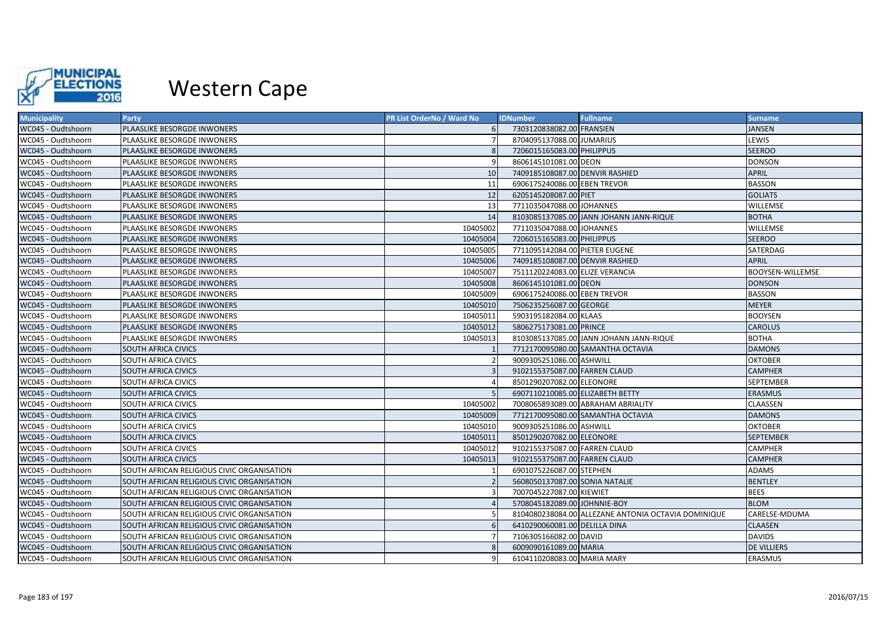

| <b>Municipality</b> | Party                                      | PR List OrderNo / Ward No | <b>IDNumber</b>                  | <b>Fullname</b>                                     | <b>Surname</b>     |
|---------------------|--------------------------------------------|---------------------------|----------------------------------|-----------------------------------------------------|--------------------|
| WC045 - Oudtshoorn  | PLAASLIKE BESORGDE INWONERS                |                           | 7303120838082.00 FRANSIEN        |                                                     | <b>JANSEN</b>      |
| WC045 - Oudtshoorn  | PLAASLIKE BESORGDE INWONERS                |                           | 8704095137088.00 JUMARIUS        |                                                     | LEWIS              |
| WC045 - Oudtshoorn  | PLAASLIKE BESORGDE INWONERS                |                           | 7206015165083.00 PHILIPPUS       |                                                     | <b>SEEROO</b>      |
| WC045 - Oudtshoorn  | PLAASLIKE BESORGDE INWONERS                |                           | 8606145101081.00 DEON            |                                                     | <b>DONSON</b>      |
| WC045 - Oudtshoorn  | PLAASLIKE BESORGDE INWONERS                | 10                        | 7409185108087.00 DENVIR RASHIED  |                                                     | <b>APRIL</b>       |
| WC045 - Oudtshoorn  | PLAASLIKE BESORGDE INWONERS                | 11                        | 6906175240086.00 EBEN TREVOR     |                                                     | <b>BASSON</b>      |
| WC045 - Oudtshoorn  | PLAASLIKE BESORGDE INWONERS                | 12                        | 6205145208087.00 PIET            |                                                     | <b>GOLIATS</b>     |
| WC045 - Oudtshoorn  | PLAASLIKE BESORGDE INWONERS                | 13                        | 7711035047088.00 JOHANNES        |                                                     | WILLEMSE           |
| WC045 - Oudtshoorn  | PLAASLIKE BESORGDE INWONERS                | 14                        |                                  | 8103085137085.00 JANN JOHANN JANN-RIQUE             | <b>BOTHA</b>       |
| WC045 - Oudtshoorn  | PLAASLIKE BESORGDE INWONERS                | 10405002                  | 7711035047088.00 JOHANNES        |                                                     | WILLEMSE           |
| WC045 - Oudtshoorn  | PLAASLIKE BESORGDE INWONERS                | 10405004                  | 7206015165083.00 PHILIPPUS       |                                                     | <b>SEEROO</b>      |
| WC045 - Oudtshoorn  | PLAASLIKE BESORGDE INWONERS                | 10405005                  | 7711095142084.00 PIETER EUGENE   |                                                     | SATERDAG           |
| WC045 - Oudtshoorn  | PLAASLIKE BESORGDE INWONERS                | 10405006                  | 7409185108087.00 DENVIR RASHIED  |                                                     | <b>APRIL</b>       |
| WC045 - Oudtshoorn  | PLAASLIKE BESORGDE INWONERS                | 10405007                  | 7511120224083.00 ELIZE VERANCIA  |                                                     | BOOYSEN-WILLEMSE   |
| WC045 - Oudtshoorn  | PLAASLIKE BESORGDE INWONERS                | 10405008                  | 8606145101081.00 DEON            |                                                     | <b>DONSON</b>      |
| WC045 - Oudtshoorn  | PLAASLIKE BESORGDE INWONERS                | 10405009                  | 6906175240086.00 EBEN TREVOR     |                                                     | <b>BASSON</b>      |
| WC045 - Oudtshoorn  | PLAASLIKE BESORGDE INWONERS                | 10405010                  | 7506235256087.00 GEORGE          |                                                     | <b>MEYER</b>       |
| WC045 - Oudtshoorn  | PLAASLIKE BESORGDE INWONERS                | 10405011                  | 5903195182084.00 KLAAS           |                                                     | <b>BOOYSEN</b>     |
| WC045 - Oudtshoorn  | PLAASLIKE BESORGDE INWONERS                | 10405012                  | 5806275173081.00 PRINCE          |                                                     | <b>CAROLUS</b>     |
| WC045 - Oudtshoorn  | PLAASLIKE BESORGDE INWONERS                | 10405013                  |                                  | 8103085137085.00 JANN JOHANN JANN-RIQUE             | <b>BOTHA</b>       |
| WC045 - Oudtshoorn  | SOUTH AFRICA CIVICS                        |                           |                                  | 7712170095080.00 SAMANTHA OCTAVIA                   | <b>DAMONS</b>      |
| WC045 - Oudtshoorn  | SOUTH AFRICA CIVICS                        |                           | 9009305251086.00 ASHWILL         |                                                     | <b>OKTOBER</b>     |
| WC045 - Oudtshoorn  | <b>SOUTH AFRICA CIVICS</b>                 |                           | 9102155375087.00 FARREN CLAUD    |                                                     | <b>CAMPHER</b>     |
| WC045 - Oudtshoorn  | SOUTH AFRICA CIVICS                        |                           | 8501290207082.00 ELEONORE        |                                                     | SEPTEMBER          |
| WC045 - Oudtshoorn  | SOUTH AFRICA CIVICS                        |                           | 6907110210085.00 ELIZABETH BETTY |                                                     | <b>ERASMUS</b>     |
| WC045 - Oudtshoorn  | SOUTH AFRICA CIVICS                        | 10405002                  |                                  | 7008065893089.00 ABRAHAM ABRIALITY                  | CLAASSEN           |
| WC045 - Oudtshoorn  | SOUTH AFRICA CIVICS                        | 10405009                  |                                  | 7712170095080.00 SAMANTHA OCTAVIA                   | <b>DAMONS</b>      |
| WC045 - Oudtshoorn  | SOUTH AFRICA CIVICS                        | 10405010                  | 9009305251086.00 ASHWILL         |                                                     | <b>OKTOBER</b>     |
| WC045 - Oudtshoorn  | SOUTH AFRICA CIVICS                        | 10405011                  | 8501290207082.00 ELEONORE        |                                                     | <b>SEPTEMBER</b>   |
| WC045 - Oudtshoorn  | SOUTH AFRICA CIVICS                        | 10405012                  | 9102155375087.00 FARREN CLAUD    |                                                     | <b>CAMPHER</b>     |
| WC045 - Oudtshoorn  | <b>SOUTH AFRICA CIVICS</b>                 | 10405013                  | 9102155375087.00 FARREN CLAUD    |                                                     | <b>CAMPHER</b>     |
| WC045 - Oudtshoorn  | SOUTH AFRICAN RELIGIOUS CIVIC ORGANISATION |                           | 6901075226087.00 STEPHEN         |                                                     | <b>ADAMS</b>       |
| WC045 - Oudtshoorn  | SOUTH AFRICAN RELIGIOUS CIVIC ORGANISATION |                           | 5608050137087.00 SONIA NATALIE   |                                                     | <b>BENTLEY</b>     |
| WC045 - Oudtshoorn  | SOUTH AFRICAN RELIGIOUS CIVIC ORGANISATION |                           | 7007045227087.00 KIEWIET         |                                                     | <b>BEES</b>        |
| WC045 - Oudtshoorn  | SOUTH AFRICAN RELIGIOUS CIVIC ORGANISATION |                           | 5708045182089.00 JOHNNIE-BOY     |                                                     | <b>BLOM</b>        |
| WC045 - Oudtshoorn  | SOUTH AFRICAN RELIGIOUS CIVIC ORGANISATION | -5                        |                                  | 8104080238084.00 ALLEZANE ANTONIA OCTAVIA DOMINIQUE | CARELSE-MDUMA      |
| WC045 - Oudtshoorn  | SOUTH AFRICAN RELIGIOUS CIVIC ORGANISATION |                           | 6410290060081.00 DELILLA DINA    |                                                     | <b>CLAASEN</b>     |
| WC045 - Oudtshoorn  | SOUTH AFRICAN RELIGIOUS CIVIC ORGANISATION |                           | 7106305166082.00 DAVID           |                                                     | <b>DAVIDS</b>      |
| WC045 - Oudtshoorn  | SOUTH AFRICAN RELIGIOUS CIVIC ORGANISATION |                           | 6009090161089.00 MARIA           |                                                     | <b>DE VILLIERS</b> |
| WC045 - Oudtshoorn  | SOUTH AFRICAN RELIGIOUS CIVIC ORGANISATION | 9                         | 6104110208083.00 MARIA MARY      |                                                     | <b>ERASMUS</b>     |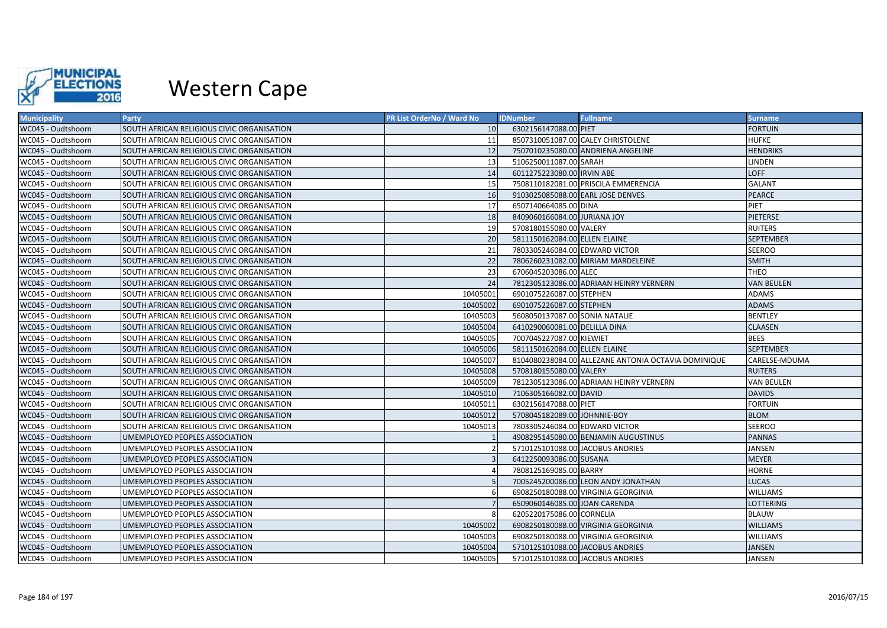

| <b>Municipality</b> | <b>Party</b>                               | PR List OrderNo / Ward No | <b>IDNumber</b>                   | <b>Fullname</b>                                     | <b>Surname</b>    |
|---------------------|--------------------------------------------|---------------------------|-----------------------------------|-----------------------------------------------------|-------------------|
| WC045 - Oudtshoorn  | SOUTH AFRICAN RELIGIOUS CIVIC ORGANISATION | 10                        | 6302156147088.00 PIET             |                                                     | <b>FORTUIN</b>    |
| WC045 - Oudtshoorn  | SOUTH AFRICAN RELIGIOUS CIVIC ORGANISATION | 11                        |                                   | 8507310051087.00 CALEY CHRISTOLENE                  | <b>HUFKE</b>      |
| WC045 - Oudtshoorn  | SOUTH AFRICAN RELIGIOUS CIVIC ORGANISATION | 12                        |                                   | 7507010235080.00 ANDRIENA ANGELINE                  | <b>HENDRIKS</b>   |
| WC045 - Oudtshoorn  | SOUTH AFRICAN RELIGIOUS CIVIC ORGANISATION | 13                        | 5106250011087.00 SARAH            |                                                     | LINDEN            |
| WC045 - Oudtshoorn  | SOUTH AFRICAN RELIGIOUS CIVIC ORGANISATION | 14                        | 6011275223080.00 IRVIN ABE        |                                                     | <b>LOFF</b>       |
| WC045 - Oudtshoorn  | SOUTH AFRICAN RELIGIOUS CIVIC ORGANISATION | 15                        |                                   | 7508110182081.00 PRISCILA EMMERENCIA                | <b>GALANT</b>     |
| WC045 - Oudtshoorn  | SOUTH AFRICAN RELIGIOUS CIVIC ORGANISATION | 16                        | 9103025085088.00 EARL JOSE DENVES |                                                     | <b>PEARCE</b>     |
| WC045 - Oudtshoorn  | SOUTH AFRICAN RELIGIOUS CIVIC ORGANISATION | 17                        | 6507140664085.00 DINA             |                                                     | PIET              |
| WC045 - Oudtshoorn  | SOUTH AFRICAN RELIGIOUS CIVIC ORGANISATION | 18                        | 8409060166084.00 JURIANA JOY      |                                                     | <b>PIETERSE</b>   |
| WC045 - Oudtshoorn  | SOUTH AFRICAN RELIGIOUS CIVIC ORGANISATION | 19                        | 5708180155080.00 VALERY           |                                                     | <b>RUITERS</b>    |
| WC045 - Oudtshoorn  | SOUTH AFRICAN RELIGIOUS CIVIC ORGANISATION | 20                        | 5811150162084.00 ELLEN ELAINE     |                                                     | <b>SEPTEMBER</b>  |
| WC045 - Oudtshoorn  | SOUTH AFRICAN RELIGIOUS CIVIC ORGANISATION | 21                        | 7803305246084.00 EDWARD VICTOR    |                                                     | <b>SEEROO</b>     |
| WC045 - Oudtshoorn  | SOUTH AFRICAN RELIGIOUS CIVIC ORGANISATION | 22                        |                                   | 7806260231082.00 MIRIAM MARDELEINE                  | <b>SMITH</b>      |
| WC045 - Oudtshoorn  | SOUTH AFRICAN RELIGIOUS CIVIC ORGANISATION | 23                        | 6706045203086.00 ALEC             |                                                     | <b>THEO</b>       |
| WC045 - Oudtshoorn  | SOUTH AFRICAN RELIGIOUS CIVIC ORGANISATION | 24                        |                                   | 7812305123086.00 ADRIAAN HEINRY VERNERN             | <b>VAN BEULEN</b> |
| WC045 - Oudtshoorn  | SOUTH AFRICAN RELIGIOUS CIVIC ORGANISATION | 10405001                  | 6901075226087.00 STEPHEN          |                                                     | <b>ADAMS</b>      |
| WC045 - Oudtshoorn  | SOUTH AFRICAN RELIGIOUS CIVIC ORGANISATION | 10405002                  | 6901075226087.00 STEPHEN          |                                                     | <b>ADAMS</b>      |
| WC045 - Oudtshoorn  | SOUTH AFRICAN RELIGIOUS CIVIC ORGANISATION | 10405003                  | 5608050137087.00 SONIA NATALIE    |                                                     | <b>BENTLEY</b>    |
| WC045 - Oudtshoorn  | SOUTH AFRICAN RELIGIOUS CIVIC ORGANISATION | 10405004                  | 6410290060081.00 DELILLA DINA     |                                                     | <b>CLAASEN</b>    |
| WC045 - Oudtshoorn  | SOUTH AFRICAN RELIGIOUS CIVIC ORGANISATION | 10405005                  | 7007045227087.00 KIEWIET          |                                                     | <b>BEES</b>       |
| WC045 - Oudtshoorn  | SOUTH AFRICAN RELIGIOUS CIVIC ORGANISATION | 10405006                  | 5811150162084.00 ELLEN ELAINE     |                                                     | <b>SEPTEMBER</b>  |
| WC045 - Oudtshoorn  | SOUTH AFRICAN RELIGIOUS CIVIC ORGANISATION | 10405007                  |                                   | 8104080238084.00 ALLEZANE ANTONIA OCTAVIA DOMINIQUE | CARELSE-MDUMA     |
| WC045 - Oudtshoorn  | SOUTH AFRICAN RELIGIOUS CIVIC ORGANISATION | 10405008                  | 5708180155080.00 VALERY           |                                                     | <b>RUITERS</b>    |
| WC045 - Oudtshoorn  | SOUTH AFRICAN RELIGIOUS CIVIC ORGANISATION | 10405009                  |                                   | 7812305123086.00 ADRIAAN HEINRY VERNERN             | <b>VAN BEULEN</b> |
| WC045 - Oudtshoorn  | SOUTH AFRICAN RELIGIOUS CIVIC ORGANISATION | 10405010                  | 7106305166082.00 DAVID            |                                                     | <b>DAVIDS</b>     |
| WC045 - Oudtshoorn  | SOUTH AFRICAN RELIGIOUS CIVIC ORGANISATION | 10405011                  | 6302156147088.00 PIET             |                                                     | <b>FORTUIN</b>    |
| WC045 - Oudtshoorn  | SOUTH AFRICAN RELIGIOUS CIVIC ORGANISATION | 10405012                  | 5708045182089.00 JOHNNIE-BOY      |                                                     | <b>BLOM</b>       |
| WC045 - Oudtshoorn  | SOUTH AFRICAN RELIGIOUS CIVIC ORGANISATION | 10405013                  | 7803305246084.00 EDWARD VICTOR    |                                                     | <b>SEEROO</b>     |
| WC045 - Oudtshoorn  | UMEMPLOYED PEOPLES ASSOCIATION             |                           |                                   | 4908295145080.00 BENJAMIN AUGUSTINUS                | <b>PANNAS</b>     |
| WC045 - Oudtshoorn  | UMEMPLOYED PEOPLES ASSOCIATION             |                           | 5710125101088.00 JACOBUS ANDRIES  |                                                     | <b>JANSEN</b>     |
| WC045 - Oudtshoorn  | UMEMPLOYED PEOPLES ASSOCIATION             |                           | 6412250093086.00 SUSANA           |                                                     | <b>MEYER</b>      |
| WC045 - Oudtshoorn  | UMEMPLOYED PEOPLES ASSOCIATION             |                           | 7808125169085.00 BARRY            |                                                     | <b>HORNE</b>      |
| WC045 - Oudtshoorn  | UMEMPLOYED PEOPLES ASSOCIATION             |                           |                                   | 7005245200086.00 LEON ANDY JONATHAN                 | <b>LUCAS</b>      |
| WC045 - Oudtshoorn  | UMEMPLOYED PEOPLES ASSOCIATION             |                           |                                   | 6908250180088.00 VIRGINIA GEORGINIA                 | <b>WILLIAMS</b>   |
| WC045 - Oudtshoorn  | UMEMPLOYED PEOPLES ASSOCIATION             |                           | 6509060146085.00 JOAN CARENDA     |                                                     | LOTTERING         |
| WC045 - Oudtshoorn  | UMEMPLOYED PEOPLES ASSOCIATION             | 8                         | 6205220175086.00 CORNELIA         |                                                     | <b>BLAUW</b>      |
| WC045 - Oudtshoorn  | UMEMPLOYED PEOPLES ASSOCIATION             | 10405002                  |                                   | 6908250180088.00 VIRGINIA GEORGINIA                 | <b>WILLIAMS</b>   |
| WC045 - Oudtshoorn  | UMEMPLOYED PEOPLES ASSOCIATION             | 10405003                  |                                   | 6908250180088.00 VIRGINIA GEORGINIA                 | <b>WILLIAMS</b>   |
| WC045 - Oudtshoorn  | UMEMPLOYED PEOPLES ASSOCIATION             | 10405004                  | 5710125101088.00 JACOBUS ANDRIES  |                                                     | <b>JANSEN</b>     |
| WC045 - Oudtshoorn  | UMEMPLOYED PEOPLES ASSOCIATION             | 10405005                  | 5710125101088.00 JACOBUS ANDRIES  |                                                     | <b>JANSEN</b>     |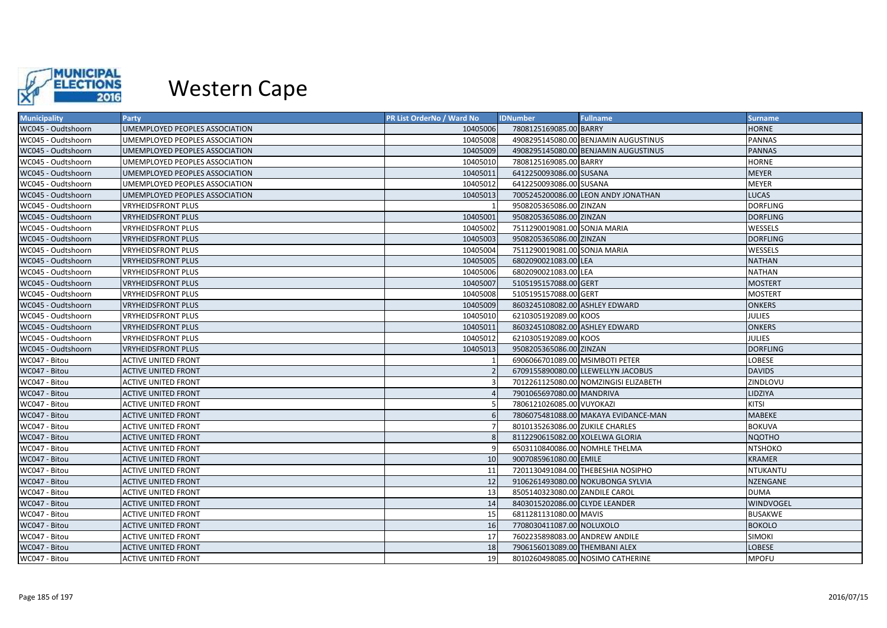

| <b>Municipality</b> | Party                          | <b>PR List OrderNo / Ward No</b> | <b>IDNumber</b>                 | <b>Fullname</b>                       | <b>Surname</b>  |
|---------------------|--------------------------------|----------------------------------|---------------------------------|---------------------------------------|-----------------|
| WC045 - Oudtshoorn  | UMEMPLOYED PEOPLES ASSOCIATION | 10405006                         | 7808125169085.00 BARRY          |                                       | <b>HORNE</b>    |
| WC045 - Oudtshoorn  | UMEMPLOYED PEOPLES ASSOCIATION | 10405008                         |                                 | 4908295145080.00 BENJAMIN AUGUSTINUS  | <b>PANNAS</b>   |
| WC045 - Oudtshoorn  | UMEMPLOYED PEOPLES ASSOCIATION | 10405009                         |                                 | 4908295145080.00 BENJAMIN AUGUSTINUS  | <b>PANNAS</b>   |
| WC045 - Oudtshoorn  | UMEMPLOYED PEOPLES ASSOCIATION | 10405010                         | 7808125169085.00 BARRY          |                                       | <b>HORNE</b>    |
| WC045 - Oudtshoorn  | UMEMPLOYED PEOPLES ASSOCIATION | 10405011                         | 6412250093086.00 SUSANA         |                                       | <b>MEYER</b>    |
| WC045 - Oudtshoorn  | UMEMPLOYED PEOPLES ASSOCIATION | 10405012                         | 6412250093086.00 SUSANA         |                                       | <b>MEYER</b>    |
| WC045 - Oudtshoorn  | UMEMPLOYED PEOPLES ASSOCIATION | 10405013                         |                                 | 7005245200086.00 LEON ANDY JONATHAN   | <b>LUCAS</b>    |
| WC045 - Oudtshoorn  | <b>VRYHEIDSFRONT PLUS</b>      |                                  | 9508205365086.00 ZINZAN         |                                       | <b>DORFLING</b> |
| WC045 - Oudtshoorn  | <b>VRYHEIDSFRONT PLUS</b>      | 10405001                         | 9508205365086.00 ZINZAN         |                                       | <b>DORFLING</b> |
| WC045 - Oudtshoorn  | <b>VRYHEIDSFRONT PLUS</b>      | 10405002                         | 7511290019081.00 SONJA MARIA    |                                       | WESSELS         |
| WC045 - Oudtshoorn  | <b>VRYHEIDSFRONT PLUS</b>      | 10405003                         | 9508205365086.00 ZINZAN         |                                       | <b>DORFLING</b> |
| WC045 - Oudtshoorn  | <b>VRYHEIDSFRONT PLUS</b>      | 10405004                         | 7511290019081.00 SONJA MARIA    |                                       | WESSELS         |
| WC045 - Oudtshoorn  | <b>VRYHEIDSFRONT PLUS</b>      | 10405005                         | 6802090021083.00 LEA            |                                       | <b>NATHAN</b>   |
| WC045 - Oudtshoorn  | <b>VRYHEIDSFRONT PLUS</b>      | 10405006                         | 6802090021083.00 LEA            |                                       | <b>NATHAN</b>   |
| WC045 - Oudtshoorn  | <b>VRYHEIDSFRONT PLUS</b>      | 10405007                         | 5105195157088.00 GERT           |                                       | <b>MOSTERT</b>  |
| WC045 - Oudtshoorn  | <b>VRYHEIDSFRONT PLUS</b>      | 10405008                         | 5105195157088.00 GERT           |                                       | <b>MOSTERT</b>  |
| WC045 - Oudtshoorn  | <b>VRYHEIDSFRONT PLUS</b>      | 10405009                         | 8603245108082.00 ASHLEY EDWARD  |                                       | <b>ONKERS</b>   |
| WC045 - Oudtshoorn  | <b>VRYHEIDSFRONT PLUS</b>      | 10405010                         | 6210305192089.00 KOOS           |                                       | <b>JULIES</b>   |
| WC045 - Oudtshoorn  | <b>VRYHEIDSFRONT PLUS</b>      | 10405011                         | 8603245108082.00 ASHLEY EDWARD  |                                       | <b>ONKERS</b>   |
| WC045 - Oudtshoorn  | <b>VRYHEIDSFRONT PLUS</b>      | 10405012                         | 6210305192089.00 KOOS           |                                       | <b>JULIES</b>   |
| WC045 - Oudtshoorn  | <b>VRYHEIDSFRONT PLUS</b>      | 10405013                         | 9508205365086.00 ZINZAN         |                                       | <b>DORFLING</b> |
| WC047 - Bitou       | <b>ACTIVE UNITED FRONT</b>     |                                  | 6906066701089.00 MSIMBOTI PETER |                                       | LOBESE          |
| WC047 - Bitou       | <b>ACTIVE UNITED FRONT</b>     |                                  |                                 | 6709155890080.00 LLEWELLYN JACOBUS    | <b>DAVIDS</b>   |
| WC047 - Bitou       | <b>ACTIVE UNITED FRONT</b>     |                                  |                                 | 7012261125080.00 NOMZINGISI ELIZABETH | ZINDLOVU        |
| WC047 - Bitou       | <b>ACTIVE UNITED FRONT</b>     |                                  | 7901065697080.00 MANDRIVA       |                                       | LIDZIYA         |
| WC047 - Bitou       | <b>ACTIVE UNITED FRONT</b>     |                                  | 7806121026085.00 VUYOKAZI       |                                       | <b>KITSI</b>    |
| WC047 - Bitou       | <b>ACTIVE UNITED FRONT</b>     |                                  |                                 | 7806075481088.00 MAKAYA EVIDANCE-MAN  | <b>MABEKE</b>   |
| WC047 - Bitou       | <b>ACTIVE UNITED FRONT</b>     |                                  | 8010135263086.00 ZUKILE CHARLES |                                       | <b>BOKUVA</b>   |
| WC047 - Bitou       | <b>ACTIVE UNITED FRONT</b>     |                                  | 8112290615082.00 XOLELWA GLORIA |                                       | <b>NQOTHO</b>   |
| WC047 - Bitou       | <b>ACTIVE UNITED FRONT</b>     |                                  | 6503110840086.00 NOMHLE THELMA  |                                       | <b>NTSHOKO</b>  |
| WC047 - Bitou       | <b>ACTIVE UNITED FRONT</b>     | 10                               | 9007085961080.00 EMILE          |                                       | <b>KRAMER</b>   |
| WC047 - Bitou       | <b>ACTIVE UNITED FRONT</b>     | 11                               |                                 | 7201130491084.00 THEBESHIA NOSIPHO    | NTUKANTU        |
| WC047 - Bitou       | <b>ACTIVE UNITED FRONT</b>     | 12                               |                                 | 9106261493080.00 NOKUBONGA SYLVIA     | NZENGANE        |
| WC047 - Bitou       | <b>ACTIVE UNITED FRONT</b>     | 13                               | 8505140323080.00 ZANDILE CAROL  |                                       | <b>DUMA</b>     |
| WC047 - Bitou       | <b>ACTIVE UNITED FRONT</b>     | 14                               | 8403015202086.00 CLYDE LEANDER  |                                       | WINDVOGEL       |
| WC047 - Bitou       | <b>ACTIVE UNITED FRONT</b>     | 15                               | 6811281131080.00 MAVIS          |                                       | <b>BUSAKWE</b>  |
| WC047 - Bitou       | <b>ACTIVE UNITED FRONT</b>     | 16                               | 7708030411087.00 NOLUXOLO       |                                       | <b>BOKOLO</b>   |
| WC047 - Bitou       | <b>ACTIVE UNITED FRONT</b>     | 17                               | 7602235898083.00 ANDREW ANDILE  |                                       | <b>SIMOKI</b>   |
| WC047 - Bitou       | <b>ACTIVE UNITED FRONT</b>     | 18                               | 7906156013089.00 THEMBANI ALEX  |                                       | <b>LOBESE</b>   |
| WC047 - Bitou       | <b>ACTIVE UNITED FRONT</b>     | 19                               |                                 | 8010260498085.00 NOSIMO CATHERINE     | <b>MPOFU</b>    |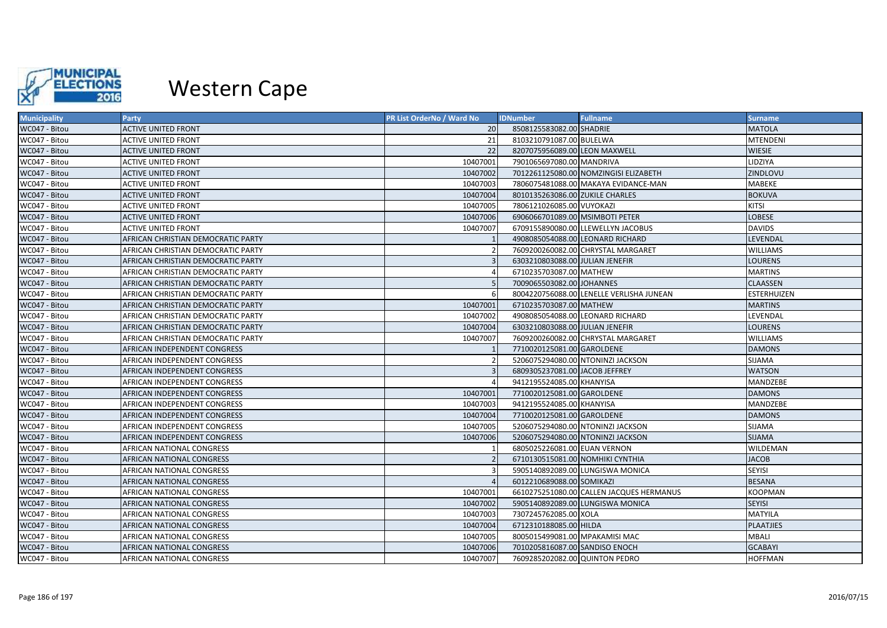

| <b>Municipality</b> | Party                              | <b>PR List OrderNo / Ward No</b> | <b>IDNumber</b>                  | <b>Fullname</b>                          | <b>Surname</b>   |
|---------------------|------------------------------------|----------------------------------|----------------------------------|------------------------------------------|------------------|
| WC047 - Bitou       | <b>ACTIVE UNITED FRONT</b>         | <b>20</b>                        | 8508125583082.00 SHADRIE         |                                          | <b>MATOLA</b>    |
| WC047 - Bitou       | ACTIVE UNITED FRONT                | 21                               | 8103210791087.00 BULELWA         |                                          | <b>MTENDENI</b>  |
| WC047 - Bitou       | <b>ACTIVE UNITED FRONT</b>         | 22                               | 8207075956089.00 LEON MAXWELL    |                                          | <b>WIESIE</b>    |
| WC047 - Bitou       | ACTIVE UNITED FRONT                | 10407001                         | 7901065697080.00 MANDRIVA        |                                          | LIDZIYA          |
| WC047 - Bitou       | ACTIVE UNITED FRONT                | 10407002                         |                                  | 7012261125080.00 NOMZINGISI ELIZABETH    | ZINDLOVU         |
| WC047 - Bitou       | <b>ACTIVE UNITED FRONT</b>         | 10407003                         |                                  | 7806075481088.00 MAKAYA EVIDANCE-MAN     | MABEKE           |
| WC047 - Bitou       | ACTIVE UNITED FRONT                | 10407004                         | 8010135263086.00 ZUKILE CHARLES  |                                          | <b>BOKUVA</b>    |
| WC047 - Bitou       | <b>ACTIVE UNITED FRONT</b>         | 10407005                         | 7806121026085.00 VUYOKAZI        |                                          | <b>KITSI</b>     |
| WC047 - Bitou       | ACTIVE UNITED FRONT                | 10407006                         | 6906066701089.00 MSIMBOTI PETER  |                                          | <b>LOBESE</b>    |
| WC047 - Bitou       | ACTIVE UNITED FRONT                | 10407007                         |                                  | 6709155890080.00 LLEWELLYN JACOBUS       | <b>DAVIDS</b>    |
| WC047 - Bitou       | AFRICAN CHRISTIAN DEMOCRATIC PARTY |                                  | 4908085054088.00 LEONARD RICHARD |                                          | LEVENDAL         |
| WC047 - Bitou       | AFRICAN CHRISTIAN DEMOCRATIC PARTY |                                  |                                  | 7609200260082.00 CHRYSTAL MARGARET       | <b>WILLIAMS</b>  |
| WC047 - Bitou       | AFRICAN CHRISTIAN DEMOCRATIC PARTY |                                  | 6303210803088.00 JULIAN JENEFIR  |                                          | <b>LOURENS</b>   |
| WC047 - Bitou       | AFRICAN CHRISTIAN DEMOCRATIC PARTY |                                  | 6710235703087.00 MATHEW          |                                          | <b>MARTINS</b>   |
| WC047 - Bitou       | AFRICAN CHRISTIAN DEMOCRATIC PARTY |                                  | 7009065503082.00 JOHANNES        |                                          | <b>CLAASSEN</b>  |
| WC047 - Bitou       | AFRICAN CHRISTIAN DEMOCRATIC PARTY |                                  |                                  | 8004220756088.00 LENELLE VERLISHA JUNEAN | ESTERHUIZEN      |
| WC047 - Bitou       | AFRICAN CHRISTIAN DEMOCRATIC PARTY | 10407001                         | 6710235703087.00 MATHEW          |                                          | <b>MARTINS</b>   |
| WC047 - Bitou       | AFRICAN CHRISTIAN DEMOCRATIC PARTY | 10407002                         |                                  | 4908085054088.00 LEONARD RICHARD         | LEVENDAL         |
| WC047 - Bitou       | AFRICAN CHRISTIAN DEMOCRATIC PARTY | 10407004                         | 6303210803088.00 JULIAN JENEFIR  |                                          | <b>LOURENS</b>   |
| WC047 - Bitou       | AFRICAN CHRISTIAN DEMOCRATIC PARTY | 10407007                         |                                  | 7609200260082.00 CHRYSTAL MARGARET       | <b>WILLIAMS</b>  |
| WC047 - Bitou       | AFRICAN INDEPENDENT CONGRESS       |                                  | 7710020125081.00 GAROLDENE       |                                          | <b>DAMONS</b>    |
| WC047 - Bitou       | AFRICAN INDEPENDENT CONGRESS       |                                  |                                  | 5206075294080.00 NTONINZI JACKSON        | SIJAMA           |
| WC047 - Bitou       | AFRICAN INDEPENDENT CONGRESS       |                                  | 6809305237081.00 JACOB JEFFREY   |                                          | <b>WATSON</b>    |
| WC047 - Bitou       | AFRICAN INDEPENDENT CONGRESS       |                                  | 9412195524085.00 KHANYISA        |                                          | MANDZEBE         |
| WC047 - Bitou       | AFRICAN INDEPENDENT CONGRESS       | 10407001                         | 7710020125081.00 GAROLDENE       |                                          | <b>DAMONS</b>    |
| WC047 - Bitou       | AFRICAN INDEPENDENT CONGRESS       | 10407003                         | 9412195524085.00 KHANYISA        |                                          | MANDZEBE         |
| WC047 - Bitou       | AFRICAN INDEPENDENT CONGRESS       | 10407004                         | 7710020125081.00 GAROLDENE       |                                          | <b>DAMONS</b>    |
| WC047 - Bitou       | AFRICAN INDEPENDENT CONGRESS       | 10407005                         |                                  | 5206075294080.00 NTONINZI JACKSON        | <b>SIJAMA</b>    |
| WC047 - Bitou       | AFRICAN INDEPENDENT CONGRESS       | 10407006                         |                                  | 5206075294080.00 NTONINZI JACKSON        | <b>SIJAMA</b>    |
| WC047 - Bitou       | AFRICAN NATIONAL CONGRESS          |                                  | 6805025226081.00 EUAN VERNON     |                                          | WILDEMAN         |
| WC047 - Bitou       | AFRICAN NATIONAL CONGRESS          |                                  | 6710130515081.00 NOMHIKI CYNTHIA |                                          | <b>JACOB</b>     |
| WC047 - Bitou       | AFRICAN NATIONAL CONGRESS          |                                  |                                  | 5905140892089.00 LUNGISWA MONICA         | <b>SEYISI</b>    |
| WC047 - Bitou       | AFRICAN NATIONAL CONGRESS          |                                  | 6012210689088.00 SOMIKAZI        |                                          | <b>BESANA</b>    |
| WC047 - Bitou       | AFRICAN NATIONAL CONGRESS          | 10407001                         |                                  | 6610275251080.00 CALLEN JACQUES HERMANUS | <b>KOOPMAN</b>   |
| WC047 - Bitou       | AFRICAN NATIONAL CONGRESS          | 10407002                         |                                  | 5905140892089.00 LUNGISWA MONICA         | <b>SEYISI</b>    |
| WC047 - Bitou       | AFRICAN NATIONAL CONGRESS          | 10407003                         | 7307245762085.00 XOLA            |                                          | <b>MATYILA</b>   |
| WC047 - Bitou       | AFRICAN NATIONAL CONGRESS          | 10407004                         | 6712310188085.00 HILDA           |                                          | <b>PLAATJIES</b> |
| WC047 - Bitou       | AFRICAN NATIONAL CONGRESS          | 10407005                         | 8005015499081.00 MPAKAMISI MAC   |                                          | <b>MBALI</b>     |
| WC047 - Bitou       | AFRICAN NATIONAL CONGRESS          | 10407006                         | 7010205816087.00 SANDISO ENOCH   |                                          | <b>GCABAYI</b>   |
| WC047 - Bitou       | AFRICAN NATIONAL CONGRESS          | 10407007                         | 7609285202082.00 QUINTON PEDRO   |                                          | <b>HOFFMAN</b>   |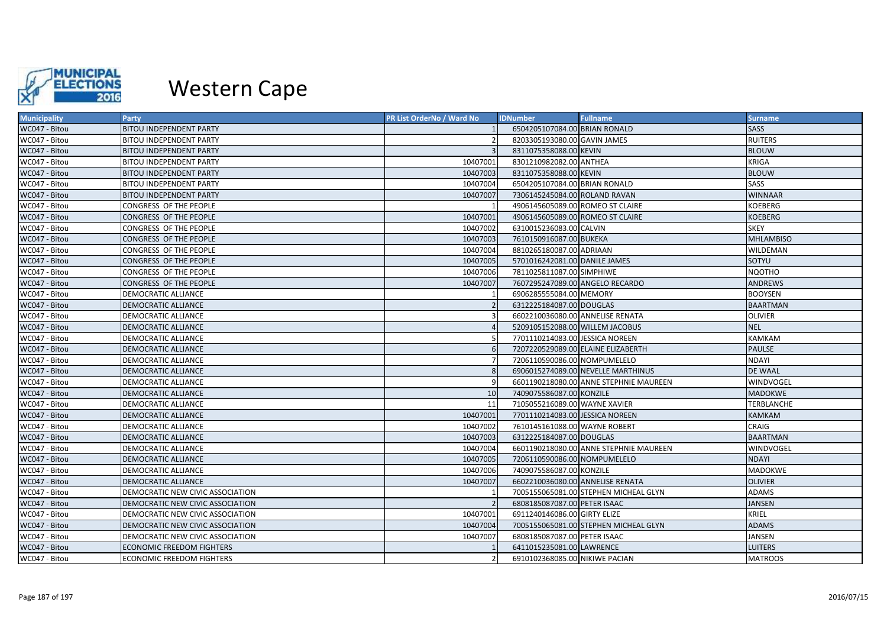

| <b>Municipality</b> | Party                            | PR List OrderNo / Ward No | <b>IDNumber</b>                  | <b>Fullname</b>                        | <b>Surname</b>   |
|---------------------|----------------------------------|---------------------------|----------------------------------|----------------------------------------|------------------|
| WC047 - Bitou       | <b>BITOU INDEPENDENT PARTY</b>   |                           | 6504205107084.00 BRIAN RONALD    |                                        | <b>SASS</b>      |
| WC047 - Bitou       | BITOU INDEPENDENT PARTY          |                           | 8203305193080.00 GAVIN JAMES     |                                        | <b>RUITERS</b>   |
| WC047 - Bitou       | BITOU INDEPENDENT PARTY          |                           | 8311075358088.00 KEVIN           |                                        | <b>BLOUW</b>     |
| WC047 - Bitou       | BITOU INDEPENDENT PARTY          | 10407001                  | 8301210982082.00 ANTHEA          |                                        | KRIGA            |
| WC047 - Bitou       | BITOU INDEPENDENT PARTY          | 10407003                  | 8311075358088.00 KEVIN           |                                        | <b>BLOUW</b>     |
| WC047 - Bitou       | BITOU INDEPENDENT PARTY          | 10407004                  | 6504205107084.00 BRIAN RONALD    |                                        | SASS             |
| WC047 - Bitou       | <b>BITOU INDEPENDENT PARTY</b>   | 10407007                  | 7306145245084.00 ROLAND RAVAN    |                                        | <b>WINNAAR</b>   |
| WC047 - Bitou       | CONGRESS OF THE PEOPLE           |                           | 4906145605089.00 ROMEO ST CLAIRE |                                        | <b>KOEBERG</b>   |
| WC047 - Bitou       | CONGRESS OF THE PEOPLE           | 10407001                  | 4906145605089.00 ROMEO ST CLAIRE |                                        | <b>KOEBERG</b>   |
| WC047 - Bitou       | CONGRESS OF THE PEOPLE           | 10407002                  | 6310015236083.00 CALVIN          |                                        | <b>SKEY</b>      |
| WC047 - Bitou       | CONGRESS OF THE PEOPLE           | 10407003                  | 7610150916087.00 BUKEKA          |                                        | <b>MHLAMBISO</b> |
| WC047 - Bitou       | CONGRESS OF THE PEOPLE           | 10407004                  | 8810265180087.00 ADRIAAN         |                                        | WILDEMAN         |
| WC047 - Bitou       | CONGRESS OF THE PEOPLE           | 10407005                  | 5701016242081.00 DANILE JAMES    |                                        | SOTYU            |
| WC047 - Bitou       | CONGRESS OF THE PEOPLE           | 10407006                  | 7811025811087.00 SIMPHIWE        |                                        | <b>NQOTHO</b>    |
| WC047 - Bitou       | CONGRESS OF THE PEOPLE           | 10407007                  | 7607295247089.00 ANGELO RECARDO  |                                        | <b>ANDREWS</b>   |
| WC047 - Bitou       | DEMOCRATIC ALLIANCE              |                           | 6906285555084.00 MEMORY          |                                        | <b>BOOYSEN</b>   |
| WC047 - Bitou       | <b>DEMOCRATIC ALLIANCE</b>       |                           | 6312225184087.00 DOUGLAS         |                                        | <b>BAARTMAN</b>  |
| WC047 - Bitou       | DEMOCRATIC ALLIANCE              |                           | 6602210036080.00 ANNELISE RENATA |                                        | <b>OLIVIER</b>   |
| WC047 - Bitou       | DEMOCRATIC ALLIANCE              |                           | 5209105152088.00 WILLEM JACOBUS  |                                        | <b>NEL</b>       |
| WC047 - Bitou       | <b>DEMOCRATIC ALLIANCE</b>       |                           | 7701110214083.00 JESSICA NOREEN  |                                        | KAMKAM           |
| WC047 - Bitou       | DEMOCRATIC ALLIANCE              |                           |                                  | 7207220529089.00 ELAINE ELIZABERTH     | <b>PAULSE</b>    |
| WC047 - Bitou       | <b>DEMOCRATIC ALLIANCE</b>       |                           | 7206110590086.00 NOMPUMELELO     |                                        | <b>NDAYI</b>     |
| WC047 - Bitou       | DEMOCRATIC ALLIANCE              |                           |                                  | 6906015274089.00 NEVELLE MARTHINUS     | <b>DE WAAL</b>   |
| WC047 - Bitou       | DEMOCRATIC ALLIANCE              |                           |                                  | 6601190218080.00 ANNE STEPHNIE MAUREEN | WINDVOGEL        |
| WC047 - Bitou       | <b>DEMOCRATIC ALLIANCE</b>       | 10                        | 7409075586087.00 KONZILE         |                                        | <b>MADOKWE</b>   |
| WC047 - Bitou       | DEMOCRATIC ALLIANCE              | 11                        | 7105055216089.00 WAYNE XAVIER    |                                        | TERBLANCHE       |
| WC047 - Bitou       | <b>DEMOCRATIC ALLIANCE</b>       | 10407001                  | 7701110214083.00 JESSICA NOREEN  |                                        | <b>KAMKAM</b>    |
| WC047 - Bitou       | DEMOCRATIC ALLIANCE              | 10407002                  | 7610145161088.00 WAYNE ROBERT    |                                        | <b>CRAIG</b>     |
| WC047 - Bitou       | DEMOCRATIC ALLIANCE              | 10407003                  | 6312225184087.00 DOUGLAS         |                                        | <b>BAARTMAN</b>  |
| WC047 - Bitou       | DEMOCRATIC ALLIANCE              | 10407004                  |                                  | 6601190218080.00 ANNE STEPHNIE MAUREEN | WINDVOGEL        |
| WC047 - Bitou       | DEMOCRATIC ALLIANCE              | 10407005                  | 7206110590086.00 NOMPUMELELO     |                                        | <b>NDAYI</b>     |
| WC047 - Bitou       | DEMOCRATIC ALLIANCE              | 10407006                  | 7409075586087.00 KONZILE         |                                        | <b>MADOKWE</b>   |
| WC047 - Bitou       | DEMOCRATIC ALLIANCE              | 10407007                  | 6602210036080.00 ANNELISE RENATA |                                        | <b>OLIVIER</b>   |
| WC047 - Bitou       | DEMOCRATIC NEW CIVIC ASSOCIATION |                           |                                  | 7005155065081.00 STEPHEN MICHEAL GLYN  | <b>ADAMS</b>     |
| WC047 - Bitou       | DEMOCRATIC NEW CIVIC ASSOCIATION |                           | 6808185087087.00 PETER ISAAC     |                                        | <b>JANSEN</b>    |
| WC047 - Bitou       | DEMOCRATIC NEW CIVIC ASSOCIATION | 10407001                  | 6911240146086.00 GIRTY ELIZE     |                                        | KRIEL            |
| WC047 - Bitou       | DEMOCRATIC NEW CIVIC ASSOCIATION | 10407004                  |                                  | 7005155065081.00 STEPHEN MICHEAL GLYN  | <b>ADAMS</b>     |
| WC047 - Bitou       | DEMOCRATIC NEW CIVIC ASSOCIATION | 10407007                  | 6808185087087.00 PETER ISAAC     |                                        | <b>JANSEN</b>    |
| WC047 - Bitou       | <b>ECONOMIC FREEDOM FIGHTERS</b> |                           | 6411015235081.00 LAWRENCE        |                                        | <b>LUITERS</b>   |
| WC047 - Bitou       | <b>ECONOMIC FREEDOM FIGHTERS</b> |                           | 6910102368085.00 NIKIWE PACIAN   |                                        | <b>MATROOS</b>   |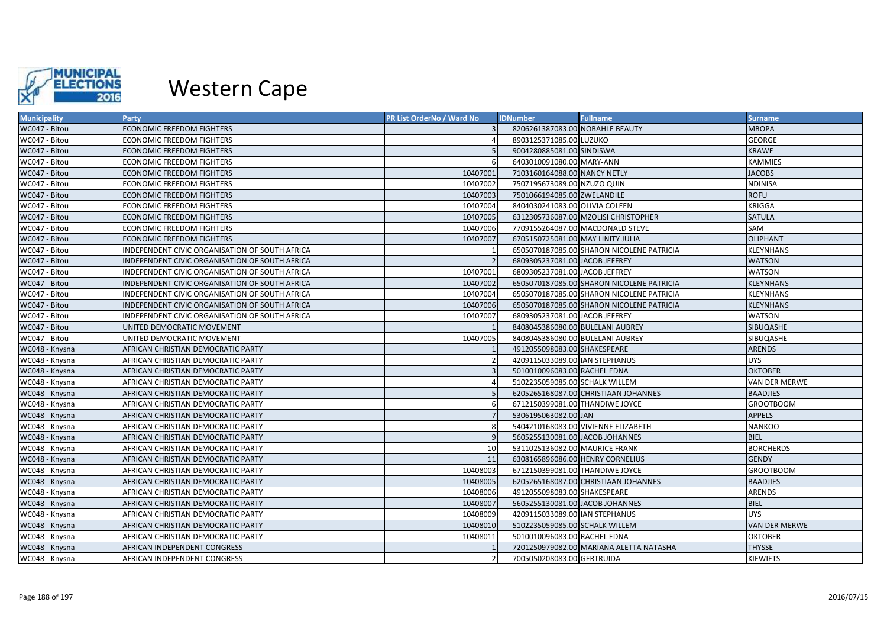

| <b>Municipality</b> | Party                                          | PR List OrderNo / Ward No | <b>IDNumber</b>                   | <b>Fullname</b>                           | Surname          |
|---------------------|------------------------------------------------|---------------------------|-----------------------------------|-------------------------------------------|------------------|
| WC047 - Bitou       | <b>ECONOMIC FREEDOM FIGHTERS</b>               |                           | 8206261387083.00 NOBAHLE BEAUTY   |                                           | <b>MBOPA</b>     |
| WC047 - Bitou       | <b>ECONOMIC FREEDOM FIGHTERS</b>               |                           | 8903125371085.00 LUZUKO           |                                           | <b>GEORGE</b>    |
| WC047 - Bitou       | <b>ECONOMIC FREEDOM FIGHTERS</b>               |                           | 9004280885081.00 SINDISWA         |                                           | <b>KRAWE</b>     |
| WC047 - Bitou       | <b>ECONOMIC FREEDOM FIGHTERS</b>               |                           | 6403010091080.00 MARY-ANN         |                                           | <b>KAMMIES</b>   |
| WC047 - Bitou       | <b>ECONOMIC FREEDOM FIGHTERS</b>               | 10407001                  | 7103160164088.00 NANCY NETLY      |                                           | <b>JACOBS</b>    |
| WC047 - Bitou       | <b>ECONOMIC FREEDOM FIGHTERS</b>               | 10407002                  | 7507195673089.00 NZUZO QUIN       |                                           | <b>NDINISA</b>   |
| WC047 - Bitou       | <b>ECONOMIC FREEDOM FIGHTERS</b>               | 10407003                  | 7501066194085.00 ZWELANDILE       |                                           | <b>ROFU</b>      |
| WC047 - Bitou       | <b>ECONOMIC FREEDOM FIGHTERS</b>               | 10407004                  | 8404030241083.00 OLIVIA COLEEN    |                                           | <b>KRIGGA</b>    |
| WC047 - Bitou       | <b>ECONOMIC FREEDOM FIGHTERS</b>               | 10407005                  |                                   | 6312305736087.00 MZOLISI CHRISTOPHER      | <b>SATULA</b>    |
| WC047 - Bitou       | <b>ECONOMIC FREEDOM FIGHTERS</b>               | 10407006                  |                                   | 7709155264087.00 MACDONALD STEVE          | SAM              |
| WC047 - Bitou       | <b>ECONOMIC FREEDOM FIGHTERS</b>               | 10407007                  | 6705150725081.00 MAY LINITY JULIA |                                           | <b>OLIPHANT</b>  |
| WC047 - Bitou       | INDEPENDENT CIVIC ORGANISATION OF SOUTH AFRICA |                           |                                   | 6505070187085.00 SHARON NICOLENE PATRICIA | <b>KLEYNHANS</b> |
| WC047 - Bitou       | INDEPENDENT CIVIC ORGANISATION OF SOUTH AFRICA |                           | 6809305237081.00 JACOB JEFFREY    |                                           | <b>WATSON</b>    |
| WC047 - Bitou       | INDEPENDENT CIVIC ORGANISATION OF SOUTH AFRICA | 10407001                  | 6809305237081.00 JACOB JEFFREY    |                                           | <b>WATSON</b>    |
| WC047 - Bitou       | INDEPENDENT CIVIC ORGANISATION OF SOUTH AFRICA | 10407002                  |                                   | 6505070187085.00 SHARON NICOLENE PATRICIA | <b>KLEYNHANS</b> |
| WC047 - Bitou       | INDEPENDENT CIVIC ORGANISATION OF SOUTH AFRICA | 10407004                  |                                   | 6505070187085.00 SHARON NICOLENE PATRICIA | <b>KLEYNHANS</b> |
| WC047 - Bitou       | INDEPENDENT CIVIC ORGANISATION OF SOUTH AFRICA | 10407006                  |                                   | 6505070187085.00 SHARON NICOLENE PATRICIA | <b>KLEYNHANS</b> |
| WC047 - Bitou       | INDEPENDENT CIVIC ORGANISATION OF SOUTH AFRICA | 10407007                  | 6809305237081.00 JACOB JEFFREY    |                                           | <b>WATSON</b>    |
| WC047 - Bitou       | UNITED DEMOCRATIC MOVEMENT                     |                           | 8408045386080.00 BULELANI AUBREY  |                                           | <b>SIBUQASHE</b> |
| WC047 - Bitou       | UNITED DEMOCRATIC MOVEMENT                     | 10407005                  | 8408045386080.00 BULELANI AUBREY  |                                           | SIBUQASHE        |
| WC048 - Knysna      | AFRICAN CHRISTIAN DEMOCRATIC PARTY             |                           | 4912055098083.00 SHAKESPEARE      |                                           | <b>ARENDS</b>    |
| WC048 - Knysna      | AFRICAN CHRISTIAN DEMOCRATIC PARTY             |                           | 4209115033089.00 IAN STEPHANUS    |                                           | <b>UYS</b>       |
| WC048 - Knysna      | AFRICAN CHRISTIAN DEMOCRATIC PARTY             |                           | 5010010096083.00 RACHEL EDNA      |                                           | <b>OKTOBER</b>   |
| WC048 - Knysna      | AFRICAN CHRISTIAN DEMOCRATIC PARTY             |                           | 5102235059085.00 SCHALK WILLEM    |                                           | VAN DER MERWE    |
| WC048 - Knysna      | AFRICAN CHRISTIAN DEMOCRATIC PARTY             |                           |                                   | 6205265168087.00 CHRISTIAAN JOHANNES      | <b>BAADJIES</b>  |
| WC048 - Knysna      | AFRICAN CHRISTIAN DEMOCRATIC PARTY             |                           | 6712150399081.00 THANDIWE JOYCE   |                                           | <b>GROOTBOOM</b> |
| WC048 - Knysna      | AFRICAN CHRISTIAN DEMOCRATIC PARTY             |                           | 5306195063082.00 JAN              |                                           | <b>APPELS</b>    |
| WC048 - Knysna      | AFRICAN CHRISTIAN DEMOCRATIC PARTY             |                           |                                   | 5404210168083.00 VIVIENNE ELIZABETH       | <b>NANKOO</b>    |
| WC048 - Knysna      | AFRICAN CHRISTIAN DEMOCRATIC PARTY             |                           | 5605255130081.00 JACOB JOHANNES   |                                           | <b>BIEL</b>      |
| WC048 - Knysna      | AFRICAN CHRISTIAN DEMOCRATIC PARTY             | 10                        | 5311025136082.00 MAURICE FRANK    |                                           | <b>BORCHERDS</b> |
| WC048 - Knysna      | AFRICAN CHRISTIAN DEMOCRATIC PARTY             | 11                        | 6308165896086.00 HENRY CORNELIUS  |                                           | <b>GENDY</b>     |
| WC048 - Knysna      | AFRICAN CHRISTIAN DEMOCRATIC PARTY             | 10408003                  | 6712150399081.00 THANDIWE JOYCE   |                                           | <b>GROOTBOOM</b> |
| WC048 - Knysna      | AFRICAN CHRISTIAN DEMOCRATIC PARTY             | 10408005                  |                                   | 6205265168087.00 CHRISTIAAN JOHANNES      | <b>BAADJIES</b>  |
| WC048 - Knysna      | AFRICAN CHRISTIAN DEMOCRATIC PARTY             | 10408006                  | 4912055098083.00 SHAKESPEARE      |                                           | <b>ARENDS</b>    |
| WC048 - Knysna      | AFRICAN CHRISTIAN DEMOCRATIC PARTY             | 10408007                  | 5605255130081.00 JACOB JOHANNES   |                                           | <b>BIEL</b>      |
| WC048 - Knysna      | AFRICAN CHRISTIAN DEMOCRATIC PARTY             | 10408009                  | 4209115033089.00 IAN STEPHANUS    |                                           | <b>UYS</b>       |
| WC048 - Knysna      | AFRICAN CHRISTIAN DEMOCRATIC PARTY             | 10408010                  | 5102235059085.00 SCHALK WILLEM    |                                           | VAN DER MERWE    |
| WC048 - Knysna      | AFRICAN CHRISTIAN DEMOCRATIC PARTY             | 10408011                  | 5010010096083.00 RACHEL EDNA      |                                           | <b>OKTOBER</b>   |
| WC048 - Knysna      | AFRICAN INDEPENDENT CONGRESS                   |                           |                                   | 7201250979082.00 MARIANA ALETTA NATASHA   | <b>THYSSE</b>    |
| WC048 - Knysna      | AFRICAN INDEPENDENT CONGRESS                   |                           | 7005050208083.00 GERTRUIDA        |                                           | <b>KIEWIETS</b>  |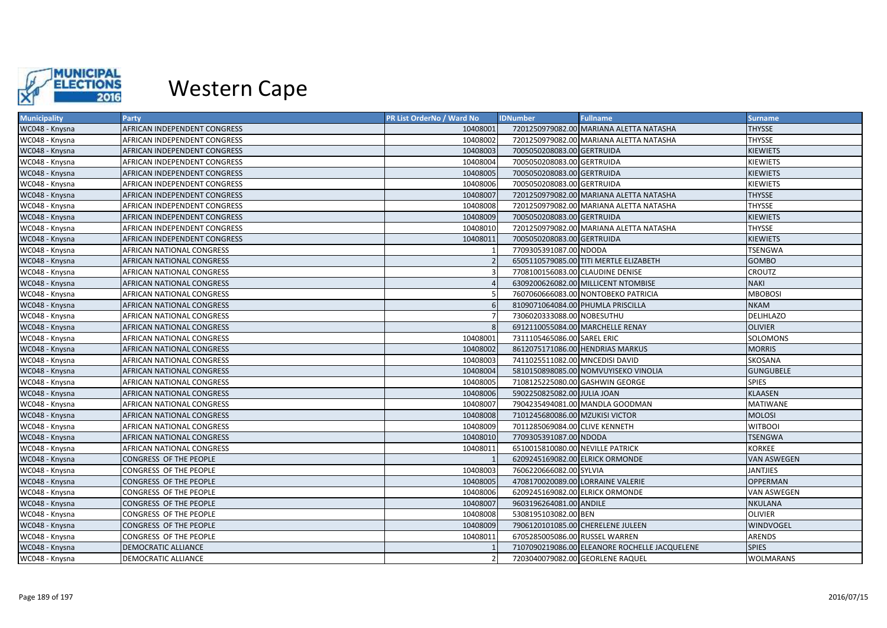

| <b>Municipality</b> | Party                         | <b>PR List OrderNo / Ward No</b> | <b>IDNumber</b>                   | <b>Fullname</b>                               | <b>Surname</b>     |
|---------------------|-------------------------------|----------------------------------|-----------------------------------|-----------------------------------------------|--------------------|
| WC048 - Knysna      | AFRICAN INDEPENDENT CONGRESS  | 10408001                         |                                   | 7201250979082.00 MARIANA ALETTA NATASHA       | <b>THYSSE</b>      |
| WC048 - Knysna      | AFRICAN INDEPENDENT CONGRESS  | 10408002                         |                                   | 7201250979082.00 MARIANA ALETTA NATASHA       | <b>THYSSE</b>      |
| WC048 - Knysna      | AFRICAN INDEPENDENT CONGRESS  | 10408003                         | 7005050208083.00 GERTRUIDA        |                                               | <b>KIEWIETS</b>    |
| WC048 - Knysna      | AFRICAN INDEPENDENT CONGRESS  | 10408004                         | 7005050208083.00 GERTRUIDA        |                                               | <b>KIEWIETS</b>    |
| WC048 - Knysna      | AFRICAN INDEPENDENT CONGRESS  | 10408005                         | 7005050208083.00 GERTRUIDA        |                                               | <b>KIEWIETS</b>    |
| WC048 - Knysna      | AFRICAN INDEPENDENT CONGRESS  | 10408006                         | 7005050208083.00 GERTRUIDA        |                                               | <b>KIEWIETS</b>    |
| WC048 - Knysna      | AFRICAN INDEPENDENT CONGRESS  | 10408007                         |                                   | 7201250979082.00 MARIANA ALETTA NATASHA       | <b>THYSSE</b>      |
| WC048 - Knysna      | AFRICAN INDEPENDENT CONGRESS  | 10408008                         |                                   | 7201250979082.00 MARIANA ALETTA NATASHA       | <b>THYSSE</b>      |
| WC048 - Knysna      | AFRICAN INDEPENDENT CONGRESS  | 10408009                         | 7005050208083.00 GERTRUIDA        |                                               | <b>KIEWIETS</b>    |
| WC048 - Knysna      | AFRICAN INDEPENDENT CONGRESS  | 10408010                         |                                   | 7201250979082.00 MARIANA ALETTA NATASHA       | <b>THYSSE</b>      |
| WC048 - Knysna      | AFRICAN INDEPENDENT CONGRESS  | 10408011                         | 7005050208083.00 GERTRUIDA        |                                               | <b>KIEWIETS</b>    |
| WC048 - Knysna      | AFRICAN NATIONAL CONGRESS     |                                  | 7709305391087.00 NDODA            |                                               | <b>TSENGWA</b>     |
| WC048 - Knysna      | AFRICAN NATIONAL CONGRESS     |                                  |                                   | 6505110579085.00 TITI MERTLE ELIZABETH        | <b>GOMBO</b>       |
| WC048 - Knysna      | AFRICAN NATIONAL CONGRESS     |                                  | 7708100156083.00 CLAUDINE DENISE  |                                               | <b>CROUTZ</b>      |
| WC048 - Knysna      | AFRICAN NATIONAL CONGRESS     |                                  |                                   | 6309200626082.00 MILLICENT NTOMBISE           | <b>NAKI</b>        |
| WC048 - Knysna      | AFRICAN NATIONAL CONGRESS     |                                  |                                   | 7607060666083.00 NONTOBEKO PATRICIA           | <b>MBOBOSI</b>     |
| WC048 - Knysna      | AFRICAN NATIONAL CONGRESS     |                                  | 8109071064084.00 PHUMLA PRISCILLA |                                               | <b>NKAM</b>        |
| WC048 - Knysna      | AFRICAN NATIONAL CONGRESS     |                                  | 7306020333088.00 NOBESUTHU        |                                               | <b>DELIHLAZO</b>   |
| WC048 - Knysna      | AFRICAN NATIONAL CONGRESS     |                                  | 6912110055084.00 MARCHELLE RENAY  |                                               | <b>OLIVIER</b>     |
| WC048 - Knysna      | AFRICAN NATIONAL CONGRESS     | 10408001                         | 7311105465086.00 SAREL ERIC       |                                               | SOLOMONS           |
| WC048 - Knysna      | AFRICAN NATIONAL CONGRESS     | 10408002                         |                                   | 8612075171086.00 HENDRIAS MARKUS              | <b>MORRIS</b>      |
| WC048 - Knysna      | AFRICAN NATIONAL CONGRESS     | 10408003                         | 7411025511082.00 MNCEDISI DAVID   |                                               | SKOSANA            |
| WC048 - Knysna      | AFRICAN NATIONAL CONGRESS     | 10408004                         |                                   | 5810150898085.00 NOMVUYISEKO VINOLIA          | <b>GUNGUBELE</b>   |
| WC048 - Knysna      | AFRICAN NATIONAL CONGRESS     | 10408005                         | 7108125225080.00 GASHWIN GEORGE   |                                               | <b>SPIES</b>       |
| WC048 - Knysna      | AFRICAN NATIONAL CONGRESS     | 10408006                         | 5902250825082.00 JULIA JOAN       |                                               | <b>KLAASEN</b>     |
| WC048 - Knysna      | AFRICAN NATIONAL CONGRESS     | 10408007                         |                                   | 7904235494081.00 MANDLA GOODMAN               | <b>MATIWANE</b>    |
| WC048 - Knysna      | AFRICAN NATIONAL CONGRESS     | 10408008                         | 7101245680086.00 MZUKISI VICTOR   |                                               | <b>MOLOSI</b>      |
| WC048 - Knysna      | AFRICAN NATIONAL CONGRESS     | 10408009                         | 7011285069084.00 CLIVE KENNETH    |                                               | <b>WITBOOI</b>     |
| WC048 - Knysna      | AFRICAN NATIONAL CONGRESS     | 10408010                         | 7709305391087.00 NDODA            |                                               | <b>TSENGWA</b>     |
| WC048 - Knysna      | AFRICAN NATIONAL CONGRESS     | 10408011                         | 6510015810080.00 NEVILLE PATRICK  |                                               | <b>KORKEE</b>      |
| WC048 - Knysna      | CONGRESS OF THE PEOPLE        |                                  | 6209245169082.00 ELRICK ORMONDE   |                                               | <b>VAN ASWEGEN</b> |
| WC048 - Knysna      | CONGRESS OF THE PEOPLE        | 10408003                         | 7606220666082.00 SYLVIA           |                                               | <b>JANTJIES</b>    |
| WC048 - Knysna      | CONGRESS OF THE PEOPLE        | 10408005                         | 4708170020089.00 LORRAINE VALERIE |                                               | <b>OPPERMAN</b>    |
| WC048 - Knysna      | CONGRESS OF THE PEOPLE        | 10408006                         | 6209245169082.00 ELRICK ORMONDE   |                                               | <b>VAN ASWEGEN</b> |
| WC048 - Knysna      | <b>CONGRESS OF THE PEOPLE</b> | 10408007                         | 9603196264081.00 ANDILE           |                                               | <b>NKULANA</b>     |
| WC048 - Knysna      | CONGRESS OF THE PEOPLE        | 10408008                         | 5308195103082.00 BEN              |                                               | <b>OLIVIER</b>     |
| WC048 - Knysna      | CONGRESS OF THE PEOPLE        | 10408009                         |                                   | 7906120101085.00 CHERELENE JULEEN             | WINDVOGEL          |
| WC048 - Knysna      | CONGRESS OF THE PEOPLE        | 10408011                         | 6705285005086.00 RUSSEL WARREN    |                                               | ARENDS             |
| WC048 - Knysna      | <b>DEMOCRATIC ALLIANCE</b>    |                                  |                                   | 7107090219086.00 ELEANORE ROCHELLE JACQUELENE | <b>SPIES</b>       |
| WC048 - Knysna      | <b>DEMOCRATIC ALLIANCE</b>    |                                  | 7203040079082.00 GEORLENE RAQUEL  |                                               | <b>WOLMARANS</b>   |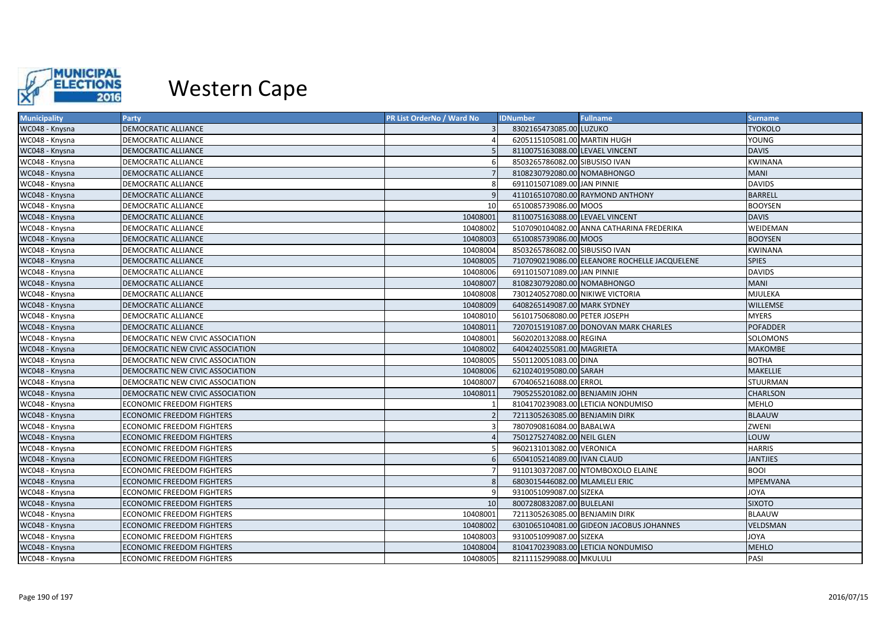

| <b>Municipality</b> | <b>Party</b>                     | <b>PR List OrderNo / Ward No</b> | <b>IDNumber</b>                  | <b>Fullname</b>                               | <b>Surname</b>  |
|---------------------|----------------------------------|----------------------------------|----------------------------------|-----------------------------------------------|-----------------|
| WC048 - Knysna      | <b>DEMOCRATIC ALLIANCE</b>       | $\overline{3}$                   | 8302165473085.00 LUZUKO          |                                               | <b>TYOKOLO</b>  |
| WC048 - Knysna      | <b>DEMOCRATIC ALLIANCE</b>       |                                  | 6205115105081.00 MARTIN HUGH     |                                               | YOUNG           |
| WC048 - Knysna      | <b>DEMOCRATIC ALLIANCE</b>       |                                  | 8110075163088.00 LEVAEL VINCENT  |                                               | <b>DAVIS</b>    |
| WC048 - Knysna      | DEMOCRATIC ALLIANCE              |                                  | 8503265786082.00 SIBUSISO IVAN   |                                               | <b>KWINANA</b>  |
| WC048 - Knysna      | <b>DEMOCRATIC ALLIANCE</b>       |                                  | 8108230792080.00 NOMABHONGO      |                                               | <b>MANI</b>     |
| WC048 - Knysna      | <b>DEMOCRATIC ALLIANCE</b>       |                                  | 6911015071089.00 JAN PINNIE      |                                               | <b>DAVIDS</b>   |
| WC048 - Knysna      | <b>DEMOCRATIC ALLIANCE</b>       |                                  |                                  | 4110165107080.00 RAYMOND ANTHONY              | <b>BARRELL</b>  |
| WC048 - Knysna      | <b>DEMOCRATIC ALLIANCE</b>       | 10                               | 6510085739086.00 MOOS            |                                               | <b>BOOYSEN</b>  |
| WC048 - Knysna      | <b>DEMOCRATIC ALLIANCE</b>       | 10408001                         | 8110075163088.00 LEVAEL VINCENT  |                                               | <b>DAVIS</b>    |
| WC048 - Knysna      | DEMOCRATIC ALLIANCE              | 10408002                         |                                  | 5107090104082.00 ANNA CATHARINA FREDERIKA     | WEIDEMAN        |
| WC048 - Knysna      | <b>DEMOCRATIC ALLIANCE</b>       | 10408003                         | 6510085739086.00 MOOS            |                                               | <b>BOOYSEN</b>  |
| WC048 - Knysna      | DEMOCRATIC ALLIANCE              | 10408004                         | 8503265786082.00 SIBUSISO IVAN   |                                               | <b>KWINANA</b>  |
| WC048 - Knysna      | <b>DEMOCRATIC ALLIANCE</b>       | 10408005                         |                                  | 7107090219086.00 ELEANORE ROCHELLE JACQUELENE | <b>SPIES</b>    |
| WC048 - Knysna      | <b>DEMOCRATIC ALLIANCE</b>       | 10408006                         | 6911015071089.00 JAN PINNIE      |                                               | <b>DAVIDS</b>   |
| WC048 - Knysna      | <b>DEMOCRATIC ALLIANCE</b>       | 10408007                         | 8108230792080.00 NOMABHONGO      |                                               | <b>MANI</b>     |
| WC048 - Knysna      | DEMOCRATIC ALLIANCE              | 10408008                         | 7301240527080.00 NIKIWE VICTORIA |                                               | <b>MJULEKA</b>  |
| WC048 - Knysna      | <b>DEMOCRATIC ALLIANCE</b>       | 10408009                         | 6408265149087.00 MARK SYDNEY     |                                               | <b>WILLEMSE</b> |
| WC048 - Knysna      | DEMOCRATIC ALLIANCE              | 10408010                         | 5610175068080.00 PETER JOSEPH    |                                               | <b>MYERS</b>    |
| WC048 - Knysna      | <b>DEMOCRATIC ALLIANCE</b>       | 10408011                         |                                  | 7207015191087.00 DONOVAN MARK CHARLES         | <b>POFADDER</b> |
| WC048 - Knysna      | DEMOCRATIC NEW CIVIC ASSOCIATION | 10408001                         | 5602020132088.00 REGINA          |                                               | SOLOMONS        |
| WC048 - Knysna      | DEMOCRATIC NEW CIVIC ASSOCIATION | 10408002                         | 6404240255081.00 MAGRIETA        |                                               | <b>MAKOMBE</b>  |
| WC048 - Knysna      | DEMOCRATIC NEW CIVIC ASSOCIATION | 10408005                         | 5501120051083.00 DINA            |                                               | <b>BOTHA</b>    |
| WC048 - Knysna      | DEMOCRATIC NEW CIVIC ASSOCIATION | 10408006                         | 6210240195080.00 SARAH           |                                               | <b>MAKELLIE</b> |
| WC048 - Knysna      | DEMOCRATIC NEW CIVIC ASSOCIATION | 10408007                         | 6704065216088.00 ERROL           |                                               | <b>STUURMAN</b> |
| WC048 - Knysna      | DEMOCRATIC NEW CIVIC ASSOCIATION | 10408011                         | 7905255201082.00 BENJAMIN JOHN   |                                               | <b>CHARLSON</b> |
| WC048 - Knysna      | <b>ECONOMIC FREEDOM FIGHTERS</b> |                                  |                                  | 8104170239083.00 LETICIA NONDUMISO            | <b>MEHLO</b>    |
| WC048 - Knysna      | <b>ECONOMIC FREEDOM FIGHTERS</b> |                                  | 7211305263085.00 BENJAMIN DIRK   |                                               | <b>BLAAUW</b>   |
| WC048 - Knysna      | <b>ECONOMIC FREEDOM FIGHTERS</b> |                                  | 7807090816084.00 BABALWA         |                                               | ZWENI           |
| WC048 - Knysna      | <b>ECONOMIC FREEDOM FIGHTERS</b> |                                  | 7501275274082.00 NEIL GLEN       |                                               | LOUW            |
| WC048 - Knysna      | <b>ECONOMIC FREEDOM FIGHTERS</b> |                                  | 9602131013082.00 VERONICA        |                                               | <b>HARRIS</b>   |
| WC048 - Knysna      | <b>ECONOMIC FREEDOM FIGHTERS</b> |                                  | 6504105214089.00 IVAN CLAUD      |                                               | <b>JANTJIES</b> |
| WC048 - Knysna      | <b>ECONOMIC FREEDOM FIGHTERS</b> |                                  |                                  | 9110130372087.00 NTOMBOXOLO ELAINE            | <b>BOOI</b>     |
| WC048 - Knysna      | <b>ECONOMIC FREEDOM FIGHTERS</b> |                                  | 6803015446082.00 MLAMLELI ERIC   |                                               | <b>MPEMVANA</b> |
| WC048 - Knysna      | <b>ECONOMIC FREEDOM FIGHTERS</b> |                                  | 9310051099087.00 SIZEKA          |                                               | <b>JOYA</b>     |
| WC048 - Knysna      | <b>ECONOMIC FREEDOM FIGHTERS</b> | <b>10</b>                        | 8007280832087.00 BULELANI        |                                               | <b>SIXOTO</b>   |
| WC048 - Knysna      | <b>ECONOMIC FREEDOM FIGHTERS</b> | 10408001                         | 7211305263085.00 BENJAMIN DIRK   |                                               | <b>BLAAUW</b>   |
| WC048 - Knysna      | <b>ECONOMIC FREEDOM FIGHTERS</b> | 10408002                         |                                  | 6301065104081.00 GIDEON JACOBUS JOHANNES      | VELDSMAN        |
| WC048 - Knysna      | <b>ECONOMIC FREEDOM FIGHTERS</b> | 10408003                         | 9310051099087.00 SIZEKA          |                                               | <b>JOYA</b>     |
| WC048 - Knysna      | <b>ECONOMIC FREEDOM FIGHTERS</b> | 10408004                         |                                  | 8104170239083.00 LETICIA NONDUMISO            | <b>MEHLO</b>    |
| WC048 - Knysna      | <b>ECONOMIC FREEDOM FIGHTERS</b> | 10408005                         | 8211115299088.00 MKULULI         |                                               | PASI            |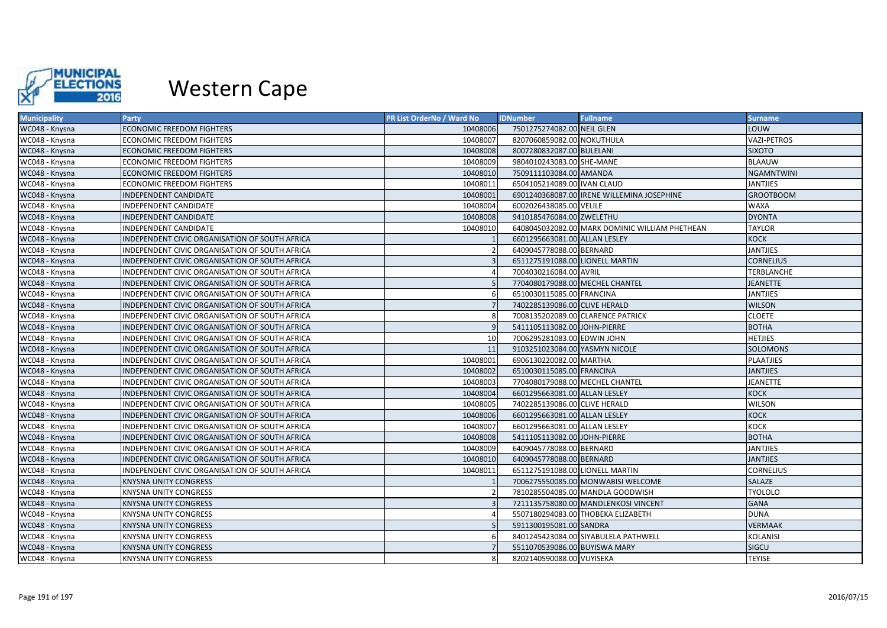

| <b>Municipality</b> | Party                                          | PR List OrderNo / Ward No | <b>IDNumber</b>                   | <b>Fullname</b>                                | <b>Surname</b>     |
|---------------------|------------------------------------------------|---------------------------|-----------------------------------|------------------------------------------------|--------------------|
| WC048 - Knysna      | <b>ECONOMIC FREEDOM FIGHTERS</b>               | 10408006                  | 7501275274082.00 NEIL GLEN        |                                                | LOUW               |
| WC048 - Knysna      | <b>ECONOMIC FREEDOM FIGHTERS</b>               | 10408007                  | 8207060859082.00 NOKUTHULA        |                                                | <b>VAZI-PETROS</b> |
| WC048 - Knysna      | <b>ECONOMIC FREEDOM FIGHTERS</b>               | 10408008                  | 8007280832087.00 BULELANI         |                                                | <b>SIXOTO</b>      |
| WC048 - Knysna      | <b>ECONOMIC FREEDOM FIGHTERS</b>               | 10408009                  | 9804010243083.00 SHE-MANE         |                                                | <b>BLAAUW</b>      |
| WC048 - Knysna      | <b>ECONOMIC FREEDOM FIGHTERS</b>               | 10408010                  | 7509111103084.00 AMANDA           |                                                | <b>NGAMNTWINI</b>  |
| WC048 - Knysna      | <b>ECONOMIC FREEDOM FIGHTERS</b>               | 10408011                  | 6504105214089.00 IVAN CLAUD       |                                                | <b>JANTJIES</b>    |
| WC048 - Knysna      | INDEPENDENT CANDIDATE                          | 10408001                  |                                   | 6901240368087.00 IRENE WILLEMINA JOSEPHINE     | <b>GROOTBOOM</b>   |
| WC048 - Knysna      | INDEPENDENT CANDIDATE                          | 10408004                  | 6002026438085.00 VELILE           |                                                | <b>WAXA</b>        |
| WC048 - Knysna      | INDEPENDENT CANDIDATE                          | 10408008                  | 9410185476084.00 ZWELETHU         |                                                | <b>DYONTA</b>      |
| WC048 - Knysna      | INDEPENDENT CANDIDATE                          | 10408010                  |                                   | 6408045032082.00 MARK DOMINIC WILLIAM PHETHEAN | <b>TAYLOR</b>      |
| WC048 - Knysna      | INDEPENDENT CIVIC ORGANISATION OF SOUTH AFRICA |                           | 6601295663081.00 ALLAN LESLEY     |                                                | <b>KOCK</b>        |
| WC048 - Knysna      | INDEPENDENT CIVIC ORGANISATION OF SOUTH AFRICA |                           | 6409045778088.00 BERNARD          |                                                | <b>JANTJIES</b>    |
| WC048 - Knysna      | INDEPENDENT CIVIC ORGANISATION OF SOUTH AFRICA |                           | 6511275191088.00 LIONELL MARTIN   |                                                | <b>CORNELIUS</b>   |
| WC048 - Knysna      | INDEPENDENT CIVIC ORGANISATION OF SOUTH AFRICA |                           | 7004030216084.00 AVRIL            |                                                | <b>TERBLANCHE</b>  |
| WC048 - Knysna      | INDEPENDENT CIVIC ORGANISATION OF SOUTH AFRICA |                           | 7704080179088.00 MECHEL CHANTEL   |                                                | <b>JEANETTE</b>    |
| WC048 - Knysna      | INDEPENDENT CIVIC ORGANISATION OF SOUTH AFRICA |                           | 6510030115085.00 FRANCINA         |                                                | <b>JANTJIES</b>    |
| WC048 - Knysna      | INDEPENDENT CIVIC ORGANISATION OF SOUTH AFRICA |                           | 7402285139086.00 CLIVE HERALD     |                                                | <b>WILSON</b>      |
| WC048 - Knysna      | INDEPENDENT CIVIC ORGANISATION OF SOUTH AFRICA |                           | 7008135202089.00 CLARENCE PATRICK |                                                | <b>CLOETE</b>      |
| WC048 - Knysna      | INDEPENDENT CIVIC ORGANISATION OF SOUTH AFRICA |                           | 5411105113082.00 JOHN-PIERRE      |                                                | <b>BOTHA</b>       |
| WC048 - Knysna      | INDEPENDENT CIVIC ORGANISATION OF SOUTH AFRICA | 10                        | 7006295281083.00 EDWIN JOHN       |                                                | <b>HETJIES</b>     |
| WC048 - Knysna      | INDEPENDENT CIVIC ORGANISATION OF SOUTH AFRICA | 11                        | 9103251023084.00 YASMYN NICOLE    |                                                | <b>SOLOMONS</b>    |
| WC048 - Knysna      | INDEPENDENT CIVIC ORGANISATION OF SOUTH AFRICA | 10408001                  | 6906130220082.00 MARTHA           |                                                | <b>PLAATJIES</b>   |
| WC048 - Knysna      | INDEPENDENT CIVIC ORGANISATION OF SOUTH AFRICA | 10408002                  | 6510030115085.00 FRANCINA         |                                                | <b>JANTJIES</b>    |
| WC048 - Knysna      | INDEPENDENT CIVIC ORGANISATION OF SOUTH AFRICA | 10408003                  | 7704080179088.00 MECHEL CHANTEL   |                                                | <b>JEANETTE</b>    |
| WC048 - Knysna      | INDEPENDENT CIVIC ORGANISATION OF SOUTH AFRICA | 10408004                  | 6601295663081.00 ALLAN LESLEY     |                                                | <b>KOCK</b>        |
| WC048 - Knysna      | INDEPENDENT CIVIC ORGANISATION OF SOUTH AFRICA | 10408005                  | 7402285139086.00 CLIVE HERALD     |                                                | <b>WILSON</b>      |
| WC048 - Knysna      | INDEPENDENT CIVIC ORGANISATION OF SOUTH AFRICA | 10408006                  | 6601295663081.00 ALLAN LESLEY     |                                                | <b>KOCK</b>        |
| WC048 - Knysna      | INDEPENDENT CIVIC ORGANISATION OF SOUTH AFRICA | 10408007                  | 6601295663081.00 ALLAN LESLEY     |                                                | <b>KOCK</b>        |
| WC048 - Knysna      | INDEPENDENT CIVIC ORGANISATION OF SOUTH AFRICA | 10408008                  | 5411105113082.00 JOHN-PIERRE      |                                                | <b>BOTHA</b>       |
| WC048 - Knysna      | INDEPENDENT CIVIC ORGANISATION OF SOUTH AFRICA | 10408009                  | 6409045778088.00 BERNARD          |                                                | <b>JANTJIES</b>    |
| WC048 - Knysna      | INDEPENDENT CIVIC ORGANISATION OF SOUTH AFRICA | 10408010                  | 6409045778088.00 BERNARD          |                                                | <b>JANTJIES</b>    |
| WC048 - Knysna      | INDEPENDENT CIVIC ORGANISATION OF SOUTH AFRICA | 10408011                  | 6511275191088.00 LIONELL MARTIN   |                                                | <b>CORNELIUS</b>   |
| WC048 - Knysna      | <b>KNYSNA UNITY CONGRESS</b>                   |                           |                                   | 7006275550085.00 MONWABISI WELCOME             | SALAZE             |
| WC048 - Knysna      | <b>KNYSNA UNITY CONGRESS</b>                   |                           |                                   | 7810285504085.00 MANDLA GOODWISH               | <b>TYOLOLO</b>     |
| WC048 - Knysna      | <b>KNYSNA UNITY CONGRESS</b>                   |                           |                                   | 7211135758080.00 MANDLENKOSI VINCENT           | <b>GANA</b>        |
| WC048 - Knysna      | <b>KNYSNA UNITY CONGRESS</b>                   |                           |                                   | 5507180294083.00 THOBEKA ELIZABETH             | <b>DUNA</b>        |
| WC048 - Knysna      | KNYSNA UNITY CONGRESS                          |                           | 5911300195081.00 SANDRA           |                                                | <b>VERMAAK</b>     |
| WC048 - Knysna      | KNYSNA UNITY CONGRESS                          |                           |                                   | 8401245423084.00 SIYABULELA PATHWELL           | <b>KOLANISI</b>    |
| WC048 - Knysna      | KNYSNA UNITY CONGRESS                          |                           | 5511070539086.00 BUYISWA MARY     |                                                | SIGCU              |
| WC048 - Knysna      | <b>KNYSNA UNITY CONGRESS</b>                   | 8                         | 8202140590088.00 VUYISEKA         |                                                | <b>TEYISE</b>      |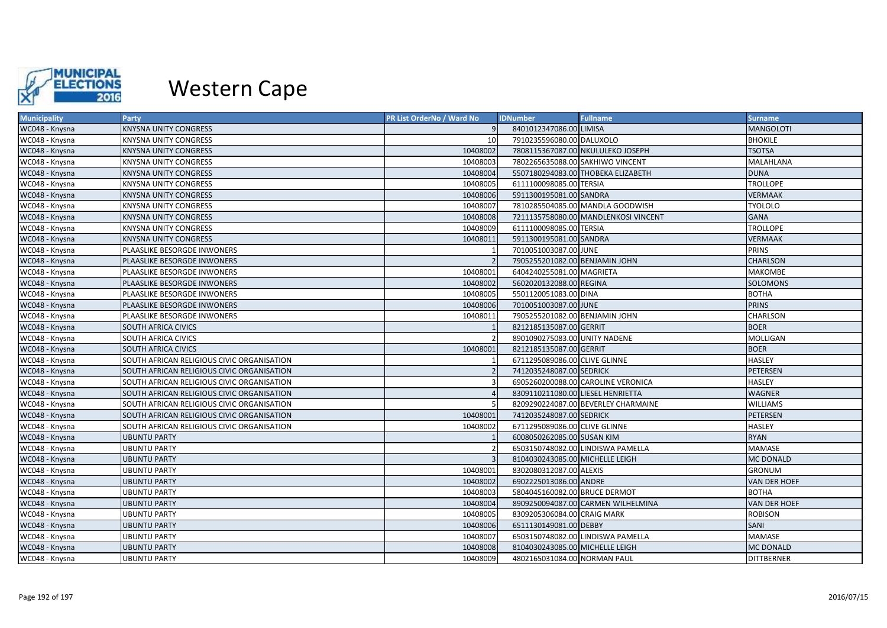

| <b>Municipality</b> | Party                                      | <b>PR List OrderNo / Ward No</b> | <b>IDNumber</b>                   | <b>Fullname</b>                      | <b>Surname</b>      |
|---------------------|--------------------------------------------|----------------------------------|-----------------------------------|--------------------------------------|---------------------|
| WC048 - Knysna      | <b>KNYSNA UNITY CONGRESS</b>               | $\mathbf{q}$                     | 8401012347086.00 LIMISA           |                                      | <b>MANGOLOTI</b>    |
| WC048 - Knysna      | <b>KNYSNA UNITY CONGRESS</b>               | 10                               | 7910235596080.00 DALUXOLO         |                                      | <b>BHOKILE</b>      |
| WC048 - Knysna      | <b>KNYSNA UNITY CONGRESS</b>               | 10408002                         |                                   | 7808115367087.00 NKULULEKO JOSEPH    | <b>TSOTSA</b>       |
| WC048 - Knysna      | KNYSNA UNITY CONGRESS                      | 10408003                         |                                   | 7802265635088.00 SAKHIWO VINCENT     | MALAHLANA           |
| WC048 - Knysna      | <b>KNYSNA UNITY CONGRESS</b>               | 10408004                         |                                   | 5507180294083.00 THOBEKA ELIZABETH   | <b>DUNA</b>         |
| WC048 - Knysna      | KNYSNA UNITY CONGRESS                      | 10408005                         | 6111100098085.00 TERSIA           |                                      | <b>TROLLOPE</b>     |
| WC048 - Knysna      | KNYSNA UNITY CONGRESS                      | 10408006                         | 5911300195081.00 SANDRA           |                                      | <b>VERMAAK</b>      |
| WC048 - Knysna      | KNYSNA UNITY CONGRESS                      | 10408007                         |                                   | 7810285504085.00 MANDLA GOODWISH     | <b>TYOLOLO</b>      |
| WC048 - Knysna      | KNYSNA UNITY CONGRESS                      | 10408008                         |                                   | 7211135758080.00 MANDLENKOSI VINCENT | <b>GANA</b>         |
| WC048 - Knysna      | KNYSNA UNITY CONGRESS                      | 10408009                         | 6111100098085.00 TERSIA           |                                      | <b>TROLLOPE</b>     |
| WC048 - Knysna      | <b>KNYSNA UNITY CONGRESS</b>               | 10408011                         | 5911300195081.00 SANDRA           |                                      | <b>VERMAAK</b>      |
| WC048 - Knysna      | PLAASLIKE BESORGDE INWONERS                |                                  | 7010051003087.00 JUNE             |                                      | <b>PRINS</b>        |
| WC048 - Knysna      | PLAASLIKE BESORGDE INWONERS                |                                  | 7905255201082.00 BENJAMIN JOHN    |                                      | <b>CHARLSON</b>     |
| WC048 - Knysna      | PLAASLIKE BESORGDE INWONERS                | 10408001                         | 6404240255081.00 MAGRIETA         |                                      | <b>MAKOMBE</b>      |
| WC048 - Knysna      | PLAASLIKE BESORGDE INWONERS                | 10408002                         | 5602020132088.00 REGINA           |                                      | <b>SOLOMONS</b>     |
| WC048 - Knysna      | PLAASLIKE BESORGDE INWONERS                | 10408005                         | 5501120051083.00 DINA             |                                      | <b>BOTHA</b>        |
| WC048 - Knysna      | PLAASLIKE BESORGDE INWONERS                | 10408006                         | 7010051003087.00 JUNE             |                                      | <b>PRINS</b>        |
| WC048 - Knysna      | PLAASLIKE BESORGDE INWONERS                | 10408011                         | 7905255201082.00 BENJAMIN JOHN    |                                      | <b>CHARLSON</b>     |
| WC048 - Knysna      | <b>SOUTH AFRICA CIVICS</b>                 |                                  | 8212185135087.00 GERRIT           |                                      | <b>BOER</b>         |
| WC048 - Knysna      | <b>SOUTH AFRICA CIVICS</b>                 |                                  | 8901090275083.00 UNITY NADENE     |                                      | <b>MOLLIGAN</b>     |
| WC048 - Knysna      | SOUTH AFRICA CIVICS                        | 10408001                         | 8212185135087.00 GERRIT           |                                      | <b>BOER</b>         |
| WC048 - Knysna      | SOUTH AFRICAN RELIGIOUS CIVIC ORGANISATION |                                  | 6711295089086.00 CLIVE GLINNE     |                                      | <b>HASLEY</b>       |
| WC048 - Knysna      | SOUTH AFRICAN RELIGIOUS CIVIC ORGANISATION |                                  | 7412035248087.00 SEDRICK          |                                      | PETERSEN            |
| WC048 - Knysna      | SOUTH AFRICAN RELIGIOUS CIVIC ORGANISATION |                                  |                                   | 6905260200088.00 CAROLINE VERONICA   | <b>HASLEY</b>       |
| WC048 - Knysna      | SOUTH AFRICAN RELIGIOUS CIVIC ORGANISATION |                                  | 8309110211080.00 LIESEL HENRIETTA |                                      | <b>WAGNER</b>       |
| WC048 - Knysna      | SOUTH AFRICAN RELIGIOUS CIVIC ORGANISATION |                                  |                                   | 8209290224087.00 BEVERLEY CHARMAINE  | <b>WILLIAMS</b>     |
| WC048 - Knysna      | SOUTH AFRICAN RELIGIOUS CIVIC ORGANISATION | 10408001                         | 7412035248087.00 SEDRICK          |                                      | <b>PETERSEN</b>     |
| WC048 - Knysna      | SOUTH AFRICAN RELIGIOUS CIVIC ORGANISATION | 10408002                         | 6711295089086.00 CLIVE GLINNE     |                                      | <b>HASLEY</b>       |
| WC048 - Knysna      | <b>UBUNTU PARTY</b>                        |                                  | 6008050262085.00 SUSAN KIM        |                                      | <b>RYAN</b>         |
| WC048 - Knysna      | <b>UBUNTU PARTY</b>                        |                                  |                                   | 6503150748082.00 LINDISWA PAMELLA    | <b>MAMASE</b>       |
| WC048 - Knysna      | <b>UBUNTU PARTY</b>                        |                                  | 8104030243085.00 MICHELLE LEIGH   |                                      | <b>MC DONALD</b>    |
| WC048 - Knysna      | <b>UBUNTU PARTY</b>                        | 10408001                         | 8302080312087.00 ALEXIS           |                                      | <b>GRONUM</b>       |
| WC048 - Knysna      | <b>UBUNTU PARTY</b>                        | 10408002                         | 6902225013086.00 ANDRE            |                                      | <b>VAN DER HOEF</b> |
| WC048 - Knysna      | <b>UBUNTU PARTY</b>                        | 10408003                         | 5804045160082.00 BRUCE DERMOT     |                                      | <b>BOTHA</b>        |
| WC048 - Knysna      | <b>UBUNTU PARTY</b>                        | 10408004                         |                                   | 8909250094087.00 CARMEN WILHELMINA   | <b>VAN DER HOEF</b> |
| WC048 - Knysna      | <b>UBUNTU PARTY</b>                        | 10408005                         | 8309205306084.00 CRAIG MARK       |                                      | <b>ROBISON</b>      |
| WC048 - Knysna      | <b>UBUNTU PARTY</b>                        | 10408006                         | 6511130149081.00 DEBBY            |                                      | SANI                |
| WC048 - Knysna      | <b>UBUNTU PARTY</b>                        | 10408007                         |                                   | 6503150748082.00 LINDISWA PAMELLA    | <b>MAMASE</b>       |
| WC048 - Knysna      | <b>UBUNTU PARTY</b>                        | 10408008                         | 8104030243085.00 MICHELLE LEIGH   |                                      | MC DONALD           |
| WC048 - Knysna      | <b>UBUNTU PARTY</b>                        | 10408009                         | 4802165031084.00 NORMAN PAUL      |                                      | <b>DITTBERNER</b>   |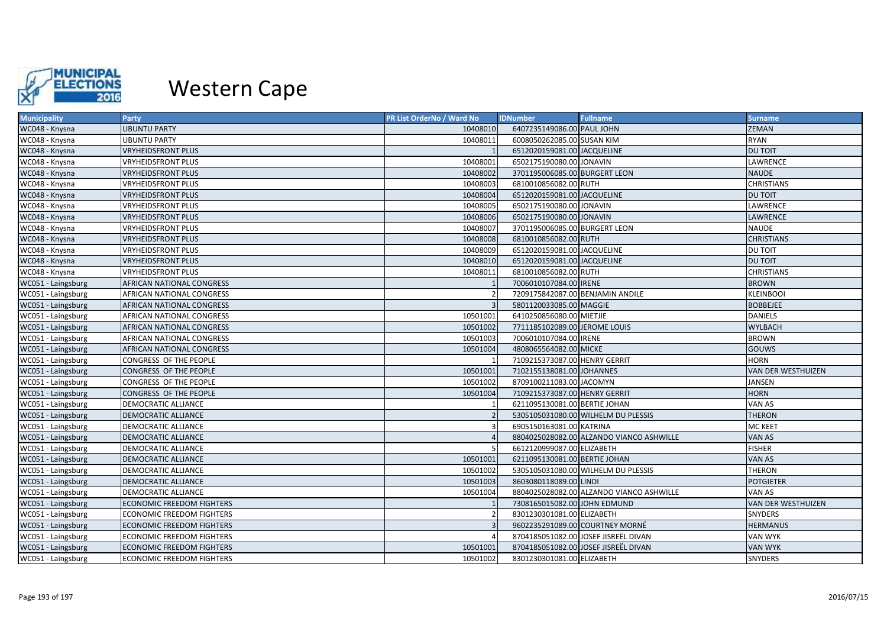

| <b>Municipality</b> | Party                            | PR List OrderNo / Ward No | <b>IDNumber</b>                  | <b>Fullname</b>                          | <b>Surname</b>            |
|---------------------|----------------------------------|---------------------------|----------------------------------|------------------------------------------|---------------------------|
| WC048 - Knysna      | <b>UBUNTU PARTY</b>              | 10408010                  | 6407235149086.00 PAUL JOHN       |                                          | <b>ZEMAN</b>              |
| WC048 - Knysna      | <b>UBUNTU PARTY</b>              | 10408011                  | 6008050262085.00 SUSAN KIM       |                                          | <b>RYAN</b>               |
| WC048 - Knysna      | <b>VRYHEIDSFRONT PLUS</b>        |                           | 6512020159081.00 JACQUELINE      |                                          | <b>DU TOIT</b>            |
| WC048 - Knysna      | VRYHEIDSFRONT PLUS               | 10408001                  | 6502175190080.00 JONAVIN         |                                          | LAWRENCE                  |
| WC048 - Knysna      | <b>VRYHEIDSFRONT PLUS</b>        | 10408002                  | 3701195006085.00 BURGERT LEON    |                                          | <b>NAUDE</b>              |
| WC048 - Knysna      | <b>VRYHEIDSFRONT PLUS</b>        | 10408003                  | 6810010856082.00 RUTH            |                                          | <b>CHRISTIANS</b>         |
| WC048 - Knysna      | <b>VRYHEIDSFRONT PLUS</b>        | 10408004                  | 6512020159081.00 JACQUELINE      |                                          | <b>DU TOIT</b>            |
| WC048 - Knysna      | <b>VRYHEIDSFRONT PLUS</b>        | 10408005                  | 6502175190080.00 JONAVIN         |                                          | LAWRENCE                  |
| WC048 - Knysna      | VRYHEIDSFRONT PLUS               | 10408006                  | 6502175190080.00 JONAVIN         |                                          | <b>LAWRENCE</b>           |
| WC048 - Knysna      | <b>VRYHEIDSFRONT PLUS</b>        | 10408007                  | 3701195006085.00 BURGERT LEON    |                                          | <b>NAUDE</b>              |
| WC048 - Knysna      | <b>VRYHEIDSFRONT PLUS</b>        | 10408008                  | 6810010856082.00 RUTH            |                                          | <b>CHRISTIANS</b>         |
| WC048 - Knysna      | <b>VRYHEIDSFRONT PLUS</b>        | 10408009                  | 6512020159081.00 JACQUELINE      |                                          | <b>DU TOIT</b>            |
| WC048 - Knysna      | <b>VRYHEIDSFRONT PLUS</b>        | 10408010                  | 6512020159081.00 JACQUELINE      |                                          | <b>DU TOIT</b>            |
| WC048 - Knysna      | <b>VRYHEIDSFRONT PLUS</b>        | 10408011                  | 6810010856082.00 RUTH            |                                          | <b>CHRISTIANS</b>         |
| WC051 - Laingsburg  | AFRICAN NATIONAL CONGRESS        |                           | 7006010107084.00 IRENE           |                                          | <b>BROWN</b>              |
| WC051 - Laingsburg  | AFRICAN NATIONAL CONGRESS        |                           | 7209175842087.00 BENJAMIN ANDILE |                                          | <b>KLEINBOOI</b>          |
| WC051 - Laingsburg  | AFRICAN NATIONAL CONGRESS        |                           | 5801120033085.00 MAGGIE          |                                          | <b>BOBBEJEE</b>           |
| WC051 - Laingsburg  | AFRICAN NATIONAL CONGRESS        | 10501001                  | 6410250856080.00 MIETJIE         |                                          | <b>DANIELS</b>            |
| WC051 - Laingsburg  | AFRICAN NATIONAL CONGRESS        | 10501002                  | 7711185102089.00 JEROME LOUIS    |                                          | <b>WYLBACH</b>            |
| WC051 - Laingsburg  | AFRICAN NATIONAL CONGRESS        | 10501003                  | 7006010107084.00 IRENE           |                                          | <b>BROWN</b>              |
| WC051 - Laingsburg  | AFRICAN NATIONAL CONGRESS        | 10501004                  | 4808065564082.00 MICKE           |                                          | GOUWS                     |
| WC051 - Laingsburg  | CONGRESS OF THE PEOPLE           |                           | 7109215373087.00 HENRY GERRIT    |                                          | <b>HORN</b>               |
| WC051 - Laingsburg  | CONGRESS OF THE PEOPLE           | 10501001                  | 7102155138081.00 JOHANNES        |                                          | <b>VAN DER WESTHUIZEN</b> |
| WC051 - Laingsburg  | CONGRESS OF THE PEOPLE           | 10501002                  | 8709100211083.00 JACOMYN         |                                          | <b>JANSEN</b>             |
| WC051 - Laingsburg  | CONGRESS OF THE PEOPLE           | 10501004                  | 7109215373087.00 HENRY GERRIT    |                                          | <b>HORN</b>               |
| WC051 - Laingsburg  | DEMOCRATIC ALLIANCE              |                           | 6211095130081.00 BERTIE JOHAN    |                                          | VAN AS                    |
| WC051 - Laingsburg  | DEMOCRATIC ALLIANCE              |                           |                                  | 5305105031080.00 WILHELM DU PLESSIS      | <b>THERON</b>             |
| WC051 - Laingsburg  | <b>DEMOCRATIC ALLIANCE</b>       |                           | 6905150163081.00 KATRINA         |                                          | <b>MC KEET</b>            |
| WC051 - Laingsburg  | <b>DEMOCRATIC ALLIANCE</b>       |                           |                                  | 8804025028082.00 ALZANDO VIANCO ASHWILLE | VAN AS                    |
| WC051 - Laingsburg  | DEMOCRATIC ALLIANCE              |                           | 6612120999087.00 ELIZABETH       |                                          | <b>FISHER</b>             |
| WC051 - Laingsburg  | DEMOCRATIC ALLIANCE              | 10501001                  | 6211095130081.00 BERTIE JOHAN    |                                          | VAN AS                    |
| WC051 - Laingsburg  | DEMOCRATIC ALLIANCE              | 10501002                  |                                  | 5305105031080.00 WILHELM DU PLESSIS      | <b>THERON</b>             |
| WC051 - Laingsburg  | <b>DEMOCRATIC ALLIANCE</b>       | 10501003                  | 8603080118089.00 LINDI           |                                          | <b>POTGIETER</b>          |
| WC051 - Laingsburg  | DEMOCRATIC ALLIANCE              | 10501004                  |                                  | 8804025028082.00 ALZANDO VIANCO ASHWILLE | VAN AS                    |
| WC051 - Laingsburg  | <b>ECONOMIC FREEDOM FIGHTERS</b> |                           | 7308165015082.00 JOHN EDMUND     |                                          | <b>VAN DER WESTHUIZEN</b> |
| WC051 - Laingsburg  | <b>ECONOMIC FREEDOM FIGHTERS</b> |                           | 8301230301081.00 ELIZABETH       |                                          | <b>SNYDERS</b>            |
| WC051 - Laingsburg  | <b>ECONOMIC FREEDOM FIGHTERS</b> |                           |                                  | 9602235291089.00 COURTNEY MORNÉ          | <b>HERMANUS</b>           |
| WC051 - Laingsburg  | <b>ECONOMIC FREEDOM FIGHTERS</b> |                           |                                  | 8704185051082.00 JOSEF JISREËL DIVAN     | <b>VAN WYK</b>            |
| WC051 - Laingsburg  | <b>ECONOMIC FREEDOM FIGHTERS</b> | 10501001                  |                                  | 8704185051082.00 JOSEF JISREEL DIVAN     | <b>VAN WYK</b>            |
| WC051 - Laingsburg  | <b>ECONOMIC FREEDOM FIGHTERS</b> | 10501002                  | 8301230301081.00 ELIZABETH       |                                          | <b>SNYDERS</b>            |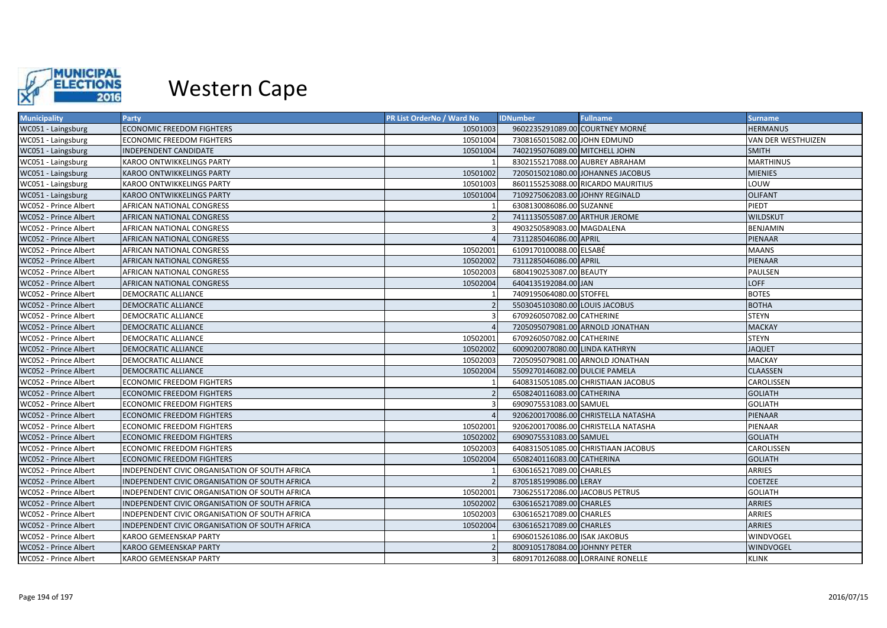

| <b>Municipality</b>   | Party                                          | <b>PR List OrderNo / Ward No</b> | <b>IDNumber</b>                 | <b>Fullname</b>                     | <b>Surname</b>     |
|-----------------------|------------------------------------------------|----------------------------------|---------------------------------|-------------------------------------|--------------------|
| WC051 - Laingsburg    | <b>ECONOMIC FREEDOM FIGHTERS</b>               | 10501003                         |                                 | 9602235291089.00 COURTNEY MORNÉ     | <b>HERMANUS</b>    |
| WC051 - Laingsburg    | <b>ECONOMIC FREEDOM FIGHTERS</b>               | 10501004                         | 7308165015082.00 JOHN EDMUND    |                                     | VAN DER WESTHUIZEN |
| WC051 - Laingsburg    | INDEPENDENT CANDIDATE                          | 10501004                         | 7402195076089.00 MITCHELL JOHN  |                                     | <b>SMITH</b>       |
| WC051 - Laingsburg    | KAROO ONTWIKKELINGS PARTY                      |                                  |                                 | 8302155217088.00 AUBREY ABRAHAM     | <b>MARTHINUS</b>   |
| WC051 - Laingsburg    | KAROO ONTWIKKELINGS PARTY                      | 10501002                         |                                 | 7205015021080.00 JOHANNES JACOBUS   | <b>MIENIES</b>     |
| WC051 - Laingsburg    | <b>KAROO ONTWIKKELINGS PARTY</b>               | 10501003                         |                                 | 8601155253088.00 RICARDO MAURITIUS  | LOUW               |
| WC051 - Laingsburg    | <b>KAROO ONTWIKKELINGS PARTY</b>               | 10501004                         | 7109275062083.00 JOHNY REGINALD |                                     | <b>OLIFANT</b>     |
| WC052 - Prince Albert | AFRICAN NATIONAL CONGRESS                      |                                  | 6308130086086.00 SUZANNE        |                                     | PIEDT              |
| WC052 - Prince Albert | AFRICAN NATIONAL CONGRESS                      |                                  | 7411135055087.00 ARTHUR JEROME  |                                     | <b>WILDSKUT</b>    |
| WC052 - Prince Albert | AFRICAN NATIONAL CONGRESS                      |                                  | 4903250589083.00 MAGDALENA      |                                     | BENJAMIN           |
| WC052 - Prince Albert | AFRICAN NATIONAL CONGRESS                      |                                  | 7311285046086.00 APRIL          |                                     | PIENAAR            |
| WC052 - Prince Albert | AFRICAN NATIONAL CONGRESS                      | 10502001                         | 6109170100088.00 ELSABÉ         |                                     | <b>MAANS</b>       |
| WC052 - Prince Albert | AFRICAN NATIONAL CONGRESS                      | 10502002                         | 7311285046086.00 APRIL          |                                     | PIENAAR            |
| WC052 - Prince Albert | AFRICAN NATIONAL CONGRESS                      | 10502003                         | 6804190253087.00 BEAUTY         |                                     | PAULSEN            |
| WC052 - Prince Albert | AFRICAN NATIONAL CONGRESS                      | 10502004                         | 6404135192084.00 JAN            |                                     | LOFF               |
| WC052 - Prince Albert | DEMOCRATIC ALLIANCE                            |                                  | 7409195064080.00 STOFFEL        |                                     | <b>BOTES</b>       |
| WC052 - Prince Albert | <b>DEMOCRATIC ALLIANCE</b>                     |                                  | 5503045103080.00 LOUIS JACOBUS  |                                     | <b>BOTHA</b>       |
| WC052 - Prince Albert | <b>DEMOCRATIC ALLIANCE</b>                     |                                  | 6709260507082.00 CATHERINE      |                                     | <b>STEYN</b>       |
| WC052 - Prince Albert | <b>DEMOCRATIC ALLIANCE</b>                     |                                  |                                 | 7205095079081.00 ARNOLD JONATHAN    | <b>MACKAY</b>      |
| WC052 - Prince Albert | DEMOCRATIC ALLIANCE                            | 10502001                         | 6709260507082.00 CATHERINE      |                                     | <b>STEYN</b>       |
| WC052 - Prince Albert | DEMOCRATIC ALLIANCE                            | 10502002                         | 6009020078080.00 LINDA KATHRYN  |                                     | <b>JAQUET</b>      |
| WC052 - Prince Albert | DEMOCRATIC ALLIANCE                            | 10502003                         |                                 | 7205095079081.00 ARNOLD JONATHAN    | <b>MACKAY</b>      |
| WC052 - Prince Albert | <b>DEMOCRATIC ALLIANCE</b>                     | 10502004                         | 5509270146082.00 DULCIE PAMELA  |                                     | <b>CLAASSEN</b>    |
| WC052 - Prince Albert | <b>ECONOMIC FREEDOM FIGHTERS</b>               |                                  |                                 | 6408315051085.00 CHRISTIAAN JACOBUS | CAROLISSEN         |
| WC052 - Prince Albert | <b>ECONOMIC FREEDOM FIGHTERS</b>               |                                  | 6508240116083.00 CATHERINA      |                                     | <b>GOLIATH</b>     |
| WC052 - Prince Albert | <b>ECONOMIC FREEDOM FIGHTERS</b>               |                                  | 6909075531083.00 SAMUEL         |                                     | <b>GOLIATH</b>     |
| WC052 - Prince Albert | <b>ECONOMIC FREEDOM FIGHTERS</b>               |                                  |                                 | 9206200170086.00 CHRISTELLA NATASHA | PIENAAR            |
| WC052 - Prince Albert | <b>ECONOMIC FREEDOM FIGHTERS</b>               | 10502001                         |                                 | 9206200170086.00 CHRISTELLA NATASHA | PIENAAR            |
| WC052 - Prince Albert | <b>ECONOMIC FREEDOM FIGHTERS</b>               | 10502002                         | 6909075531083.00 SAMUEL         |                                     | <b>GOLIATH</b>     |
| WC052 - Prince Albert | <b>ECONOMIC FREEDOM FIGHTERS</b>               | 10502003                         |                                 | 6408315051085.00 CHRISTIAAN JACOBUS | CAROLISSEN         |
| WC052 - Prince Albert | <b>ECONOMIC FREEDOM FIGHTERS</b>               | 10502004                         | 6508240116083.00 CATHERINA      |                                     | <b>GOLIATH</b>     |
| WC052 - Prince Albert | INDEPENDENT CIVIC ORGANISATION OF SOUTH AFRICA |                                  | 6306165217089.00 CHARLES        |                                     | <b>ARRIES</b>      |
| WC052 - Prince Albert | INDEPENDENT CIVIC ORGANISATION OF SOUTH AFRICA |                                  | 8705185199086.00 LERAY          |                                     | <b>COETZEE</b>     |
| WC052 - Prince Albert | INDEPENDENT CIVIC ORGANISATION OF SOUTH AFRICA | 10502001                         | 7306255172086.00 JACOBUS PETRUS |                                     | <b>GOLIATH</b>     |
| WC052 - Prince Albert | INDEPENDENT CIVIC ORGANISATION OF SOUTH AFRICA | 10502002                         | 6306165217089.00 CHARLES        |                                     | <b>ARRIES</b>      |
| WC052 - Prince Albert | INDEPENDENT CIVIC ORGANISATION OF SOUTH AFRICA | 10502003                         | 6306165217089.00 CHARLES        |                                     | <b>ARRIES</b>      |
| WC052 - Prince Albert | INDEPENDENT CIVIC ORGANISATION OF SOUTH AFRICA | 10502004                         | 6306165217089.00 CHARLES        |                                     | <b>ARRIES</b>      |
| WC052 - Prince Albert | KAROO GEMEENSKAP PARTY                         |                                  | 6906015261086.00 ISAK JAKOBUS   |                                     | WINDVOGEL          |
| WC052 - Prince Albert | KAROO GEMEENSKAP PARTY                         |                                  | 8009105178084.00 JOHNNY PETER   |                                     | WINDVOGEL          |
| WC052 - Prince Albert | KAROO GEMEENSKAP PARTY                         |                                  |                                 | 6809170126088.00 LORRAINE RONELLE   | <b>KLINK</b>       |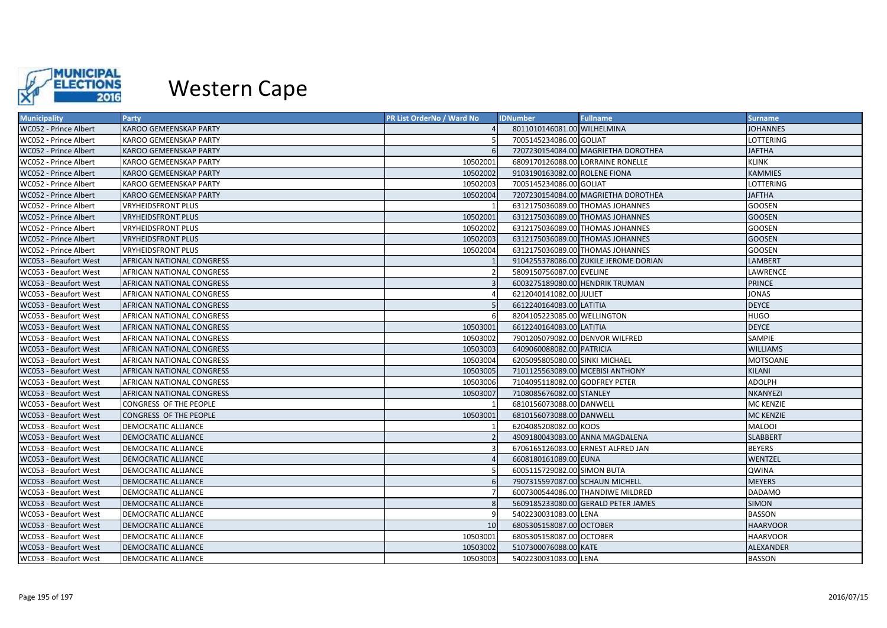

| <b>Municipality</b>   | <b>Party</b>                  | <b>PR List OrderNo / Ward No</b> | <b>IDNumber</b>                  | <b>Fullname</b>                       | <b>Surname</b>   |
|-----------------------|-------------------------------|----------------------------------|----------------------------------|---------------------------------------|------------------|
| WC052 - Prince Albert | <b>KAROO GEMEENSKAP PARTY</b> |                                  | 8011010146081.00 WILHELMINA      |                                       | <b>JOHANNES</b>  |
| WC052 - Prince Albert | <b>KAROO GEMEENSKAP PARTY</b> |                                  | 7005145234086.00 GOLIAT          |                                       | LOTTERING        |
| WC052 - Prince Albert | <b>KAROO GEMEENSKAP PARTY</b> | 6                                |                                  | 7207230154084.00 MAGRIETHA DOROTHEA   | <b>JAFTHA</b>    |
| WC052 - Prince Albert | KAROO GEMEENSKAP PARTY        | 10502001                         |                                  | 6809170126088.00 LORRAINE RONELLE     | <b>KLINK</b>     |
| WC052 - Prince Albert | <b>KAROO GEMEENSKAP PARTY</b> | 10502002                         | 9103190163082.00 ROLENE FIONA    |                                       | <b>KAMMIES</b>   |
| WC052 - Prince Albert | <b>KAROO GEMEENSKAP PARTY</b> | 10502003                         | 7005145234086.00 GOLIAT          |                                       | <b>LOTTERING</b> |
| WC052 - Prince Albert | <b>KAROO GEMEENSKAP PARTY</b> | 10502004                         |                                  | 7207230154084.00 MAGRIETHA DOROTHEA   | <b>JAFTHA</b>    |
| WC052 - Prince Albert | <b>VRYHEIDSFRONT PLUS</b>     |                                  |                                  | 6312175036089.00 THOMAS JOHANNES      | <b>GOOSEN</b>    |
| WC052 - Prince Albert | <b>VRYHEIDSFRONT PLUS</b>     | 10502001                         |                                  | 6312175036089.00 THOMAS JOHANNES      | <b>GOOSEN</b>    |
| WC052 - Prince Albert | <b>VRYHEIDSFRONT PLUS</b>     | 10502002                         |                                  | 6312175036089.00 THOMAS JOHANNES      | <b>GOOSEN</b>    |
| WC052 - Prince Albert | <b>VRYHEIDSFRONT PLUS</b>     | 10502003                         |                                  | 6312175036089.00 THOMAS JOHANNES      | <b>GOOSEN</b>    |
| WC052 - Prince Albert | <b>VRYHEIDSFRONT PLUS</b>     | 10502004                         |                                  | 6312175036089.00 THOMAS JOHANNES      | <b>GOOSEN</b>    |
| WC053 - Beaufort West | AFRICAN NATIONAL CONGRESS     |                                  |                                  | 9104255378086.00 ZUKILE JEROME DORIAN | LAMBERT          |
| WC053 - Beaufort West | AFRICAN NATIONAL CONGRESS     |                                  | 5809150756087.00 EVELINE         |                                       | <b>LAWRENCE</b>  |
| WC053 - Beaufort West | AFRICAN NATIONAL CONGRESS     |                                  |                                  | 6003275189080.00 HENDRIK TRUMAN       | <b>PRINCE</b>    |
| WC053 - Beaufort West | AFRICAN NATIONAL CONGRESS     |                                  | 6212040141082.00 JULIET          |                                       | <b>JONAS</b>     |
| WC053 - Beaufort West | AFRICAN NATIONAL CONGRESS     |                                  | 6612240164083.00 LATITIA         |                                       | <b>DEYCE</b>     |
| WC053 - Beaufort West | AFRICAN NATIONAL CONGRESS     |                                  | 8204105223085.00 WELLINGTON      |                                       | <b>HUGO</b>      |
| WC053 - Beaufort West | AFRICAN NATIONAL CONGRESS     | 10503001                         | 6612240164083.00 LATITIA         |                                       | <b>DEYCE</b>     |
| WC053 - Beaufort West | AFRICAN NATIONAL CONGRESS     | 10503002                         | 7901205079082.00 DENVOR WILFRED  |                                       | SAMPIE           |
| WC053 - Beaufort West | AFRICAN NATIONAL CONGRESS     | 10503003                         | 6409060088082.00 PATRICIA        |                                       | <b>WILLIAMS</b>  |
| WC053 - Beaufort West | AFRICAN NATIONAL CONGRESS     | 10503004                         | 6205095805080.00 SINKI MICHAEL   |                                       | <b>MOTSOANE</b>  |
| WC053 - Beaufort West | AFRICAN NATIONAL CONGRESS     | 10503005                         | 7101125563089.00 MCEBISI ANTHONY |                                       | <b>KILANI</b>    |
| WC053 - Beaufort West | AFRICAN NATIONAL CONGRESS     | 10503006                         | 7104095118082.00 GODFREY PETER   |                                       | ADOLPH           |
| WC053 - Beaufort West | AFRICAN NATIONAL CONGRESS     | 10503007                         | 7108085676082.00 STANLEY         |                                       | <b>NKANYEZI</b>  |
| WC053 - Beaufort West | CONGRESS OF THE PEOPLE        |                                  | 6810156073088.00 DANWELL         |                                       | <b>MC KENZIE</b> |
| WC053 - Beaufort West | CONGRESS OF THE PEOPLE        | 10503001                         | 6810156073088.00 DANWELL         |                                       | <b>MC KENZIE</b> |
| WC053 - Beaufort West | DEMOCRATIC ALLIANCE           |                                  | 6204085208082.00 KOOS            |                                       | <b>MALOOI</b>    |
| WC053 - Beaufort West | <b>DEMOCRATIC ALLIANCE</b>    |                                  |                                  | 4909180043083.00 ANNA MAGDALENA       | <b>SLABBERT</b>  |
| WC053 - Beaufort West | DEMOCRATIC ALLIANCE           |                                  |                                  | 6706165126083.00 ERNEST ALFRED JAN    | <b>BEYERS</b>    |
| WC053 - Beaufort West | <b>DEMOCRATIC ALLIANCE</b>    |                                  | 6608180161089.00 EUNA            |                                       | WENTZEL          |
| WC053 - Beaufort West | DEMOCRATIC ALLIANCE           |                                  | 6005115729082.00 SIMON BUTA      |                                       | <b>QWINA</b>     |
| WC053 - Beaufort West | <b>DEMOCRATIC ALLIANCE</b>    |                                  | 7907315597087.00 SCHAUN MICHELL  |                                       | <b>MEYERS</b>    |
| WC053 - Beaufort West | DEMOCRATIC ALLIANCE           |                                  |                                  | 6007300544086.00 THANDIWE MILDRED     | <b>DADAMO</b>    |
| WC053 - Beaufort West | <b>DEMOCRATIC ALLIANCE</b>    |                                  |                                  | 5609185233080.00 GERALD PETER JAMES   | <b>SIMON</b>     |
| WC053 - Beaufort West | DEMOCRATIC ALLIANCE           |                                  | 5402230031083.00 LENA            |                                       | <b>BASSON</b>    |
| WC053 - Beaufort West | <b>DEMOCRATIC ALLIANCE</b>    | 10                               | 6805305158087.00 OCTOBER         |                                       | <b>HAARVOOR</b>  |
| WC053 - Beaufort West | DEMOCRATIC ALLIANCE           | 10503001                         | 6805305158087.00 OCTOBER         |                                       | <b>HAARVOOR</b>  |
| WC053 - Beaufort West | <b>DEMOCRATIC ALLIANCE</b>    | 10503002                         | 5107300076088.00 KATE            |                                       | ALEXANDER        |
| WC053 - Beaufort West | <b>DEMOCRATIC ALLIANCE</b>    | 10503003                         | 5402230031083.00 LENA            |                                       | <b>BASSON</b>    |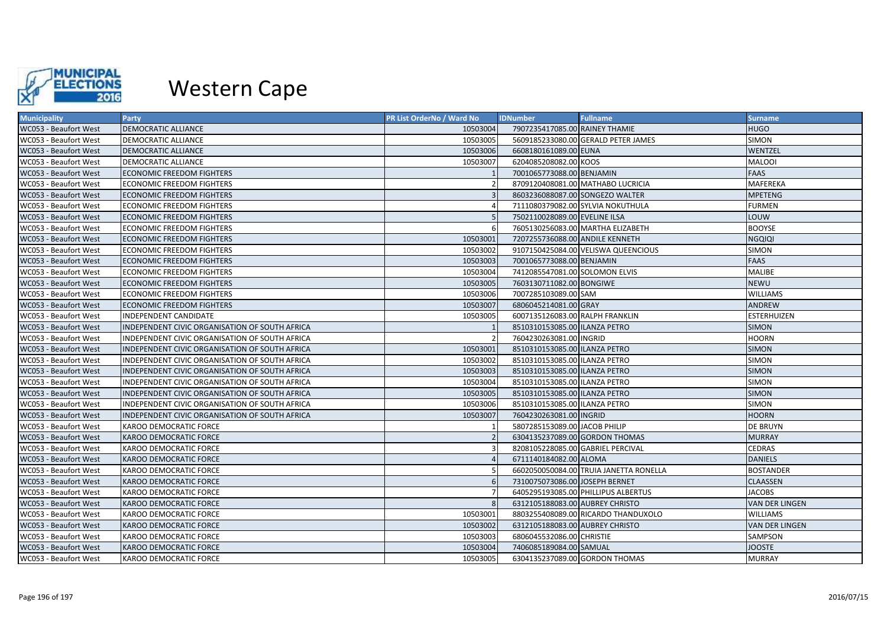

| <b>Municipality</b>   | Party                                                 | <b>PR List OrderNo / Ward No</b> | <b>IDNumber</b>                   | <b>Fullname</b>                        | <b>Surname</b>        |
|-----------------------|-------------------------------------------------------|----------------------------------|-----------------------------------|----------------------------------------|-----------------------|
| WC053 - Beaufort West | <b>DEMOCRATIC ALLIANCE</b>                            | 10503004                         | 7907235417085.00 RAINEY THAMIE    |                                        | <b>HUGO</b>           |
| WC053 - Beaufort West | DEMOCRATIC ALLIANCE                                   | 10503005                         |                                   | 5609185233080.00 GERALD PETER JAMES    | <b>SIMON</b>          |
| WC053 - Beaufort West | <b>DEMOCRATIC ALLIANCE</b>                            | 10503006                         | 6608180161089.00 EUNA             |                                        | WENTZEL               |
| WC053 - Beaufort West | DEMOCRATIC ALLIANCE                                   | 10503007                         | 6204085208082.00 KOOS             |                                        | <b>MALOOI</b>         |
| WC053 - Beaufort West | <b>ECONOMIC FREEDOM FIGHTERS</b>                      |                                  | 7001065773088.00 BENJAMIN         |                                        | <b>FAAS</b>           |
| WC053 - Beaufort West | <b>ECONOMIC FREEDOM FIGHTERS</b>                      |                                  |                                   | 8709120408081.00 MATHABO LUCRICIA      | <b>MAFEREKA</b>       |
| WC053 - Beaufort West | <b>ECONOMIC FREEDOM FIGHTERS</b>                      |                                  | 8603236088087.00 SONGEZO WALTER   |                                        | <b>MPETENG</b>        |
| WC053 - Beaufort West | <b>ECONOMIC FREEDOM FIGHTERS</b>                      |                                  |                                   | 7111080379082.00 SYLVIA NOKUTHULA      | <b>FURMEN</b>         |
| WC053 - Beaufort West | <b>ECONOMIC FREEDOM FIGHTERS</b>                      |                                  | 7502110028089.00 EVELINE ILSA     |                                        | LOUW                  |
| WC053 - Beaufort West | <b>ECONOMIC FREEDOM FIGHTERS</b>                      |                                  |                                   | 7605130256083.00 MARTHA ELIZABETH      | <b>BOOYSE</b>         |
| WC053 - Beaufort West | <b>ECONOMIC FREEDOM FIGHTERS</b>                      | 10503001                         | 7207255736088.00 ANDILE KENNETH   |                                        | <b>NGQIQI</b>         |
| WC053 - Beaufort West | <b>ECONOMIC FREEDOM FIGHTERS</b>                      | 10503002                         |                                   | 9107150425084.00 VELISWA QUEENCIOUS    | <b>SIMON</b>          |
| WC053 - Beaufort West | <b>ECONOMIC FREEDOM FIGHTERS</b>                      | 10503003                         | 7001065773088.00 BENJAMIN         |                                        | <b>FAAS</b>           |
| WC053 - Beaufort West | <b>ECONOMIC FREEDOM FIGHTERS</b>                      | 10503004                         | 7412085547081.00 SOLOMON ELVIS    |                                        | <b>MALIBE</b>         |
| WC053 - Beaufort West | <b>ECONOMIC FREEDOM FIGHTERS</b>                      | 10503005                         | 7603130711082.00 BONGIWE          |                                        | <b>NEWU</b>           |
| WC053 - Beaufort West | <b>ECONOMIC FREEDOM FIGHTERS</b>                      | 10503006                         | 7007285103089.00 SAM              |                                        | <b>WILLIAMS</b>       |
| WC053 - Beaufort West | <b>ECONOMIC FREEDOM FIGHTERS</b>                      | 10503007                         | 6806045214081.00 GRAY             |                                        | <b>ANDREW</b>         |
| WC053 - Beaufort West | INDEPENDENT CANDIDATE                                 | 10503005                         | 6007135126083.00 RALPH FRANKLIN   |                                        | <b>ESTERHUIZEN</b>    |
| WC053 - Beaufort West | INDEPENDENT CIVIC ORGANISATION OF SOUTH AFRICA        |                                  | 8510310153085.00 ILANZA PETRO     |                                        | <b>SIMON</b>          |
| WC053 - Beaufort West | INDEPENDENT CIVIC ORGANISATION OF SOUTH AFRICA        |                                  | 7604230263081.00 INGRID           |                                        | <b>HOORN</b>          |
| WC053 - Beaufort West | INDEPENDENT CIVIC ORGANISATION OF SOUTH AFRICA        | 10503001                         | 8510310153085.00 ILANZA PETRO     |                                        | <b>SIMON</b>          |
| WC053 - Beaufort West | INDEPENDENT CIVIC ORGANISATION OF SOUTH AFRICA        | 10503002                         | 8510310153085.00 ILANZA PETRO     |                                        | <b>SIMON</b>          |
| WC053 - Beaufort West | INDEPENDENT CIVIC ORGANISATION OF SOUTH AFRICA        | 10503003                         | 8510310153085.00 ILANZA PETRO     |                                        | <b>SIMON</b>          |
| WC053 - Beaufort West | INDEPENDENT CIVIC ORGANISATION OF SOUTH AFRICA        | 10503004                         | 8510310153085.00 ILANZA PETRO     |                                        | <b>SIMON</b>          |
| WC053 - Beaufort West | <b>INDEPENDENT CIVIC ORGANISATION OF SOUTH AFRICA</b> | 10503005                         | 8510310153085.00 ILANZA PETRO     |                                        | <b>SIMON</b>          |
| WC053 - Beaufort West | INDEPENDENT CIVIC ORGANISATION OF SOUTH AFRICA        | 10503006                         | 8510310153085.00 ILANZA PETRO     |                                        | <b>SIMON</b>          |
| WC053 - Beaufort West | INDEPENDENT CIVIC ORGANISATION OF SOUTH AFRICA        | 10503007                         | 7604230263081.00 INGRID           |                                        | <b>HOORN</b>          |
| WC053 - Beaufort West | <b>KAROO DEMOCRATIC FORCE</b>                         |                                  | 5807285153089.00 JACOB PHILIP     |                                        | <b>DE BRUYN</b>       |
| WC053 - Beaufort West | <b>KAROO DEMOCRATIC FORCE</b>                         |                                  | 6304135237089.00 GORDON THOMAS    |                                        | <b>MURRAY</b>         |
| WC053 - Beaufort West | <b>KAROO DEMOCRATIC FORCE</b>                         |                                  | 8208105228085.00 GABRIEL PERCIVAL |                                        | <b>CEDRAS</b>         |
| WC053 - Beaufort West | <b>KAROO DEMOCRATIC FORCE</b>                         |                                  | 6711140184082.00 ALOMA            |                                        | <b>DANIELS</b>        |
| WC053 - Beaufort West | KAROO DEMOCRATIC FORCE                                |                                  |                                   | 6602050050084.00 TRUIA JANETTA RONELLA | <b>BOSTANDER</b>      |
| WC053 - Beaufort West | <b>KAROO DEMOCRATIC FORCE</b>                         |                                  | 7310075073086.00 JOSEPH BERNET    |                                        | <b>CLAASSEN</b>       |
| WC053 - Beaufort West | <b>KAROO DEMOCRATIC FORCE</b>                         |                                  |                                   | 6405295193085.00 PHILLIPUS ALBERTUS    | <b>JACOBS</b>         |
| WC053 - Beaufort West | <b>KAROO DEMOCRATIC FORCE</b>                         |                                  | 6312105188083.00 AUBREY CHRISTO   |                                        | <b>VAN DER LINGEN</b> |
| WC053 - Beaufort West | <b>KAROO DEMOCRATIC FORCE</b>                         | 10503001                         |                                   | 8803255408089.00 RICARDO THANDUXOLO    | <b>WILLIAMS</b>       |
| WC053 - Beaufort West | <b>KAROO DEMOCRATIC FORCE</b>                         | 10503002                         | 6312105188083.00 AUBREY CHRISTO   |                                        | <b>VAN DER LINGEN</b> |
| WC053 - Beaufort West | <b>KAROO DEMOCRATIC FORCE</b>                         | 10503003                         | 6806045532086.00 CHRISTIE         |                                        | SAMPSON               |
| WC053 - Beaufort West | <b>KAROO DEMOCRATIC FORCE</b>                         | 10503004                         | 7406085189084.00 SAMUAL           |                                        | <b>JOOSTE</b>         |
| WC053 - Beaufort West | KAROO DEMOCRATIC FORCE                                | 10503005                         | 6304135237089.00 GORDON THOMAS    |                                        | <b>MURRAY</b>         |